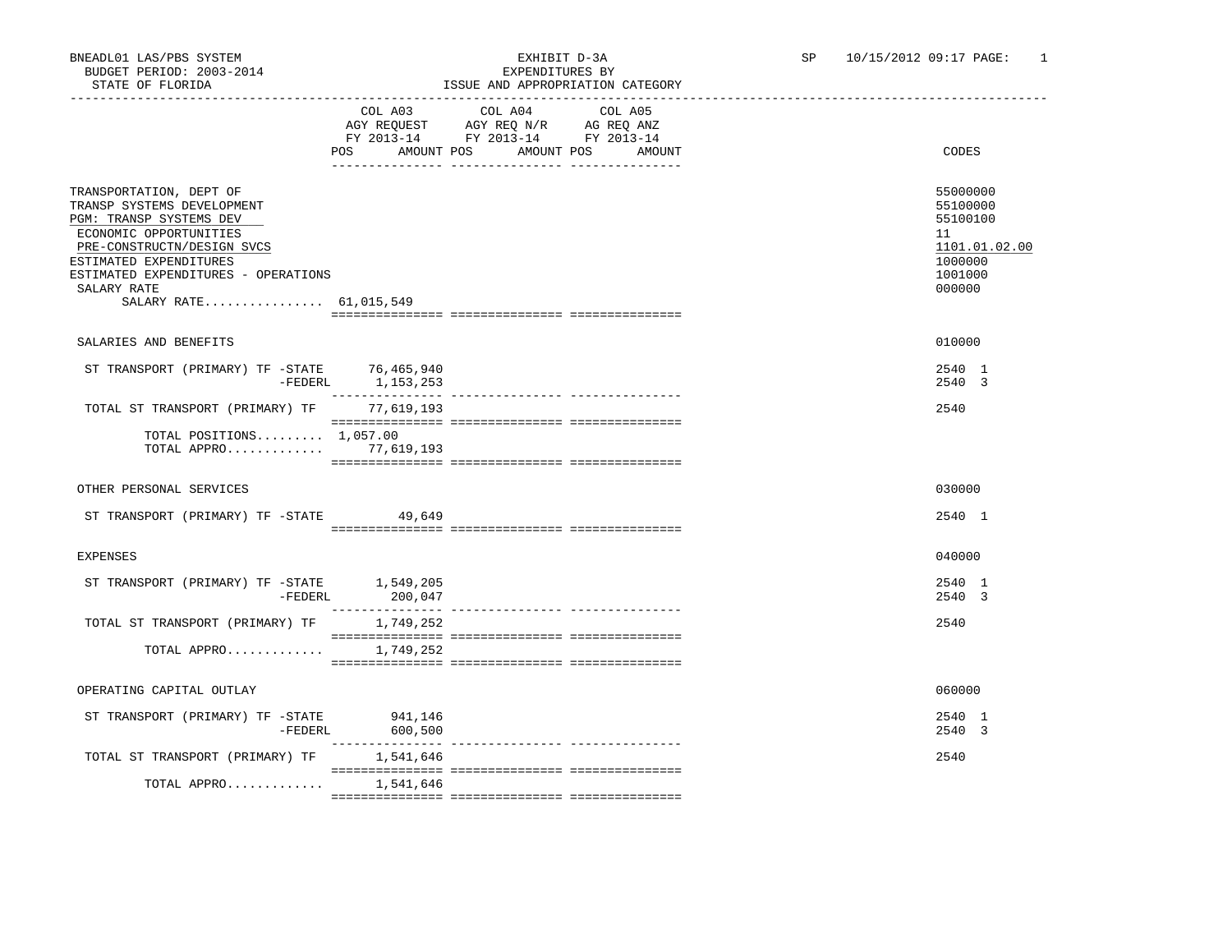### BNEADL01 LAS/PBS SYSTEM EXHIBIT D-3A SP 10/15/2012 09:17 PAGE: 1 ISSUE AND APPROPRIATION CATEGORY

|                                                                                                                                                                                                                                                    |                                     | LSSUE AND APPROPRIATION                                                           |                       |        |                                                                                         |
|----------------------------------------------------------------------------------------------------------------------------------------------------------------------------------------------------------------------------------------------------|-------------------------------------|-----------------------------------------------------------------------------------|-----------------------|--------|-----------------------------------------------------------------------------------------|
|                                                                                                                                                                                                                                                    | COL A03<br><b>POS</b><br>AMOUNT POS | COL A04<br>AGY REQUEST AGY REQ N/R AG REQ ANZ<br>FY 2013-14 FY 2013-14 FY 2013-14 | COL A05<br>AMOUNT POS | AMOUNT | CODES                                                                                   |
| TRANSPORTATION, DEPT OF<br>TRANSP SYSTEMS DEVELOPMENT<br>PGM: TRANSP SYSTEMS DEV<br>ECONOMIC OPPORTUNITIES<br>PRE-CONSTRUCTN/DESIGN SVCS<br>ESTIMATED EXPENDITURES<br>ESTIMATED EXPENDITURES - OPERATIONS<br>SALARY RATE<br>SALARY RATE 61,015,549 |                                     |                                                                                   |                       |        | 55000000<br>55100000<br>55100100<br>11<br>1101.01.02.00<br>1000000<br>1001000<br>000000 |
| SALARIES AND BENEFITS                                                                                                                                                                                                                              |                                     |                                                                                   |                       |        | 010000                                                                                  |
| ST TRANSPORT (PRIMARY) TF -STATE 76,465,940                                                                                                                                                                                                        | -FEDERL 1, 153, 253                 |                                                                                   |                       |        | 2540 1<br>2540 3                                                                        |
| TOTAL ST TRANSPORT (PRIMARY) TF                                                                                                                                                                                                                    | 77,619,193                          |                                                                                   |                       |        | 2540                                                                                    |
| TOTAL POSITIONS $1.057.00$<br>TOTAL APPRO 77, 619, 193                                                                                                                                                                                             |                                     |                                                                                   |                       |        |                                                                                         |
| OTHER PERSONAL SERVICES                                                                                                                                                                                                                            |                                     |                                                                                   |                       |        | 030000                                                                                  |
| ST TRANSPORT (PRIMARY) TF -STATE                                                                                                                                                                                                                   | 49,649                              |                                                                                   |                       |        | 2540 1                                                                                  |
| <b>EXPENSES</b>                                                                                                                                                                                                                                    |                                     |                                                                                   |                       |        | 040000                                                                                  |
| ST TRANSPORT (PRIMARY) TF -STATE 1,549,205<br>-FEDERL                                                                                                                                                                                              | 200,047                             |                                                                                   |                       |        | 2540 1<br>2540 3                                                                        |
| TOTAL ST TRANSPORT (PRIMARY) TF                                                                                                                                                                                                                    | 1,749,252                           |                                                                                   |                       |        | 2540                                                                                    |
| TOTAL APPRO                                                                                                                                                                                                                                        | 1,749,252                           |                                                                                   |                       |        |                                                                                         |
| OPERATING CAPITAL OUTLAY                                                                                                                                                                                                                           |                                     |                                                                                   |                       |        | 060000                                                                                  |
| ST TRANSPORT (PRIMARY) TF -STATE<br>$-$ FEDERL                                                                                                                                                                                                     | 941,146<br>600,500                  |                                                                                   |                       |        | 2540 1<br>2540 3                                                                        |
| TOTAL ST TRANSPORT (PRIMARY) TF 1,541,646                                                                                                                                                                                                          |                                     |                                                                                   |                       |        | 2540                                                                                    |
| TOTAL APPRO                                                                                                                                                                                                                                        | 1,541,646                           |                                                                                   |                       |        |                                                                                         |
|                                                                                                                                                                                                                                                    |                                     |                                                                                   |                       |        |                                                                                         |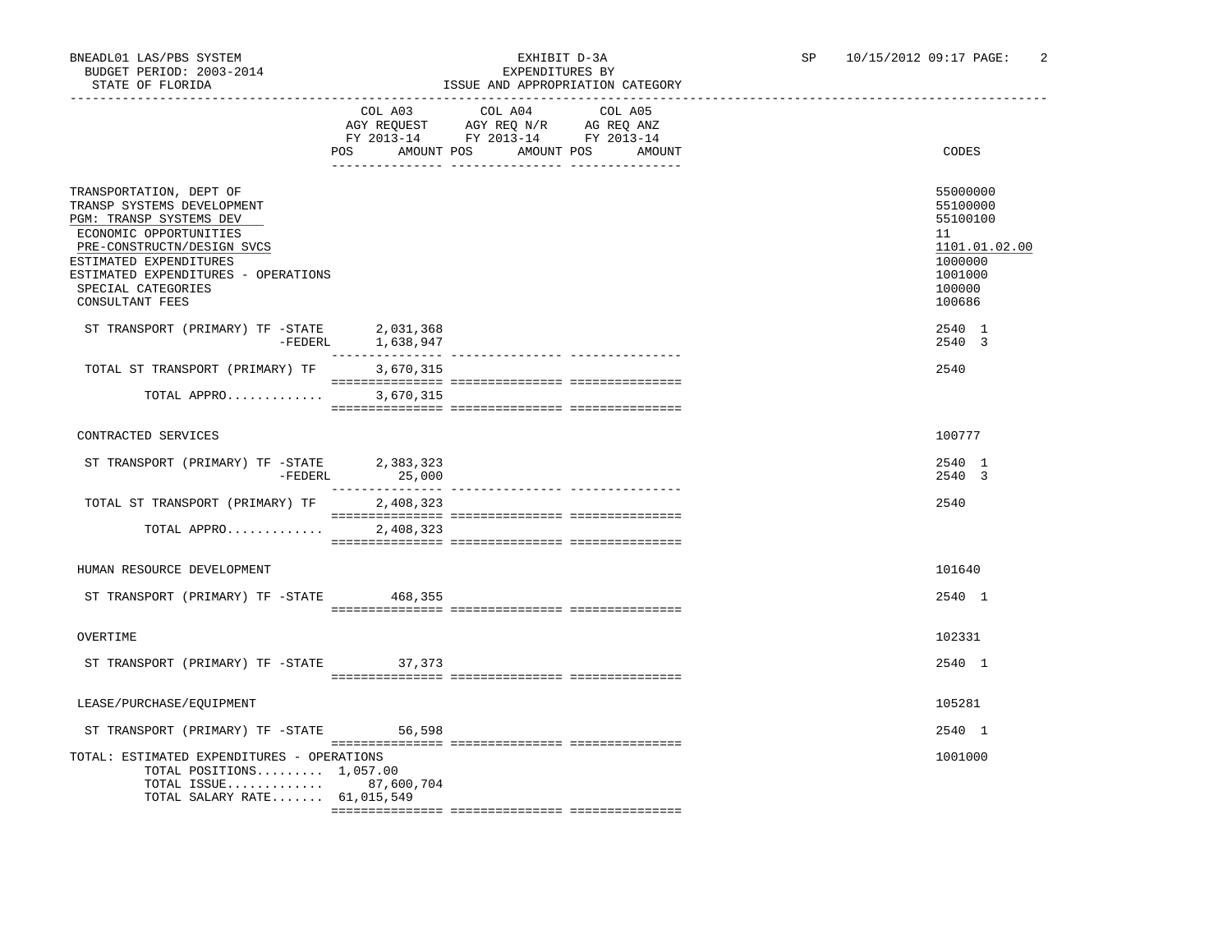### BNEADL01 LAS/PBS SYSTEM EXHIBIT D-3A SP 10/15/2012 09:17 PAGE: 2<br>BUDGET PERIOD: 2003-2014 SEXPENDITIERS BY ISSUE AND APPROPRIATION CATEGORY

|                                                                                                                                                                                                                                                    | POS AMOUNT POS    | COL A03 COL A04<br>AGY REQUEST AGY REQ N/R AG REQ ANZ<br>FY 2013-14 FY 2013-14 FY 2013-14 | COL A05<br>AMOUNT POS<br>AMOUNT | CODES                                                                                             |
|----------------------------------------------------------------------------------------------------------------------------------------------------------------------------------------------------------------------------------------------------|-------------------|-------------------------------------------------------------------------------------------|---------------------------------|---------------------------------------------------------------------------------------------------|
| TRANSPORTATION, DEPT OF<br>TRANSP SYSTEMS DEVELOPMENT<br>PGM: TRANSP SYSTEMS DEV<br>ECONOMIC OPPORTUNITIES<br>PRE-CONSTRUCTN/DESIGN SVCS<br>ESTIMATED EXPENDITURES<br>ESTIMATED EXPENDITURES - OPERATIONS<br>SPECIAL CATEGORIES<br>CONSULTANT FEES |                   |                                                                                           |                                 | 55000000<br>55100000<br>55100100<br>11<br>1101.01.02.00<br>1000000<br>1001000<br>100000<br>100686 |
| ST TRANSPORT (PRIMARY) TF -STATE 2,031,368                                                                                                                                                                                                         | -FEDERL 1,638,947 |                                                                                           |                                 | 2540 1<br>2540 3                                                                                  |
| TOTAL ST TRANSPORT (PRIMARY) TF                                                                                                                                                                                                                    | 3,670,315         |                                                                                           |                                 | 2540                                                                                              |
| TOTAL APPRO                                                                                                                                                                                                                                        | 3,670,315         |                                                                                           |                                 |                                                                                                   |
| CONTRACTED SERVICES                                                                                                                                                                                                                                |                   |                                                                                           |                                 | 100777                                                                                            |
| ST TRANSPORT (PRIMARY) TF -STATE 2,383,323<br>-FEDERL                                                                                                                                                                                              | 25,000            |                                                                                           |                                 | 2540 1<br>2540 3                                                                                  |
| TOTAL ST TRANSPORT (PRIMARY) TF                                                                                                                                                                                                                    | 2,408,323         |                                                                                           |                                 | 2540                                                                                              |
| TOTAL APPRO                                                                                                                                                                                                                                        | 2,408,323         |                                                                                           |                                 |                                                                                                   |
| HUMAN RESOURCE DEVELOPMENT                                                                                                                                                                                                                         |                   |                                                                                           |                                 | 101640                                                                                            |
| ST TRANSPORT (PRIMARY) TF -STATE 468,355                                                                                                                                                                                                           |                   |                                                                                           |                                 | 2540 1                                                                                            |
| OVERTIME                                                                                                                                                                                                                                           |                   |                                                                                           |                                 | 102331                                                                                            |
| ST TRANSPORT (PRIMARY) TF -STATE 37,373                                                                                                                                                                                                            |                   |                                                                                           |                                 | 2540 1                                                                                            |
| LEASE/PURCHASE/EQUIPMENT                                                                                                                                                                                                                           |                   |                                                                                           |                                 | 105281                                                                                            |
| ST TRANSPORT (PRIMARY) TF -STATE 56,598                                                                                                                                                                                                            |                   |                                                                                           |                                 | 2540 1                                                                                            |
| TOTAL: ESTIMATED EXPENDITURES - OPERATIONS<br>TOTAL POSITIONS $1,057.00$<br>TOTAL ISSUE 87,600,704<br>TOTAL SALARY RATE 61,015,549                                                                                                                 |                   |                                                                                           |                                 | 1001000                                                                                           |
|                                                                                                                                                                                                                                                    |                   |                                                                                           |                                 |                                                                                                   |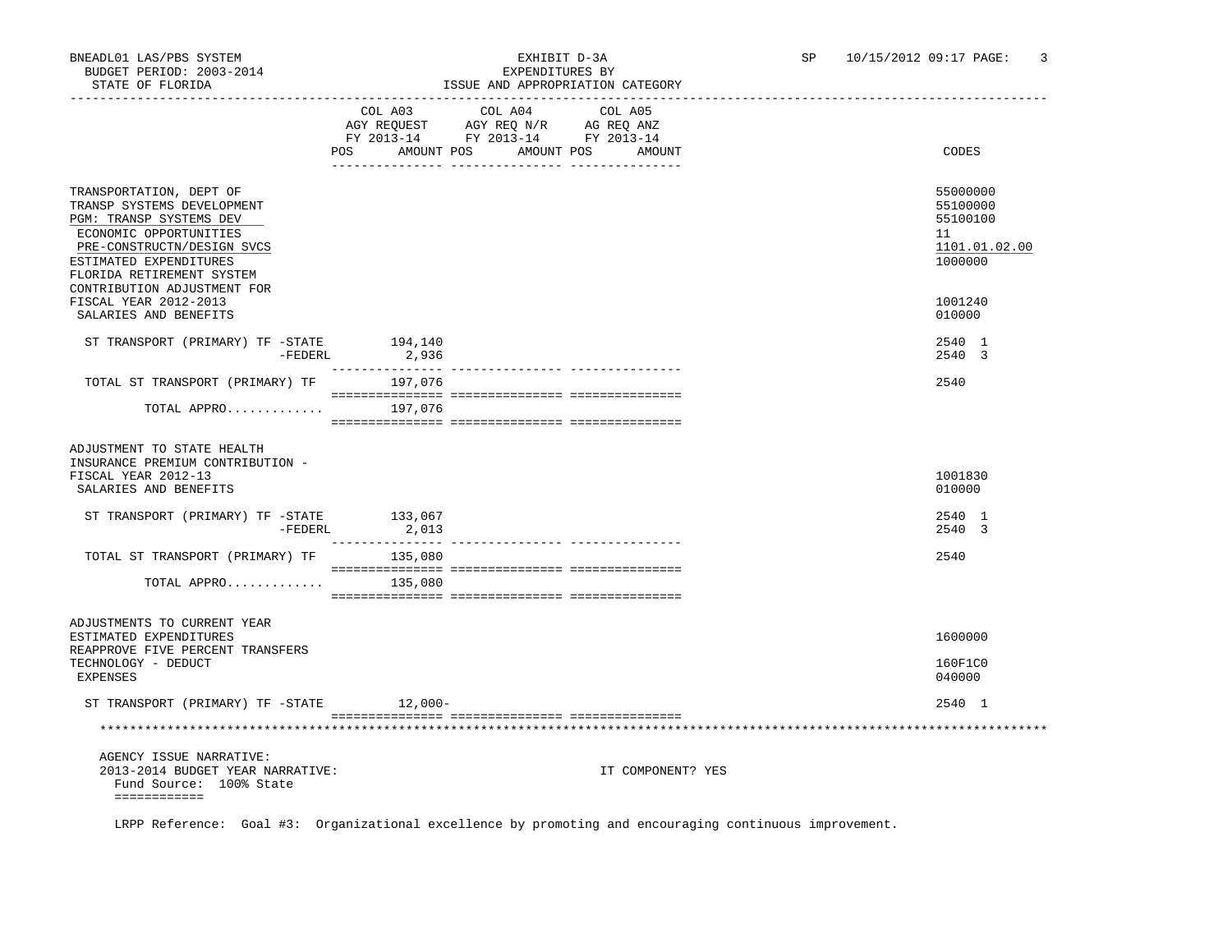| STATE OF FLORIDA                                                                                                                                                                                |                                                                                                                                                                                                                                                                                                                                                                                                                                     | ISSUE AND APPROPRIATION CATEGORY                                                                                  |         |                   |                                                                    |
|-------------------------------------------------------------------------------------------------------------------------------------------------------------------------------------------------|-------------------------------------------------------------------------------------------------------------------------------------------------------------------------------------------------------------------------------------------------------------------------------------------------------------------------------------------------------------------------------------------------------------------------------------|-------------------------------------------------------------------------------------------------------------------|---------|-------------------|--------------------------------------------------------------------|
|                                                                                                                                                                                                 | COL A03<br>POS                                                                                                                                                                                                                                                                                                                                                                                                                      | COL A04<br>NGY REQUEST AGY REQ N/R AG REQ ANZ<br>FY 2013-14 FY 2013-14 FY 2013-14<br>AMOUNT POS AMOUNT POS AMOUNT | COL A05 |                   | CODES                                                              |
| TRANSPORTATION, DEPT OF<br>TRANSP SYSTEMS DEVELOPMENT<br>PGM: TRANSP SYSTEMS DEV<br>ECONOMIC OPPORTUNITIES<br>PRE-CONSTRUCTN/DESIGN SVCS<br>ESTIMATED EXPENDITURES<br>FLORIDA RETIREMENT SYSTEM |                                                                                                                                                                                                                                                                                                                                                                                                                                     |                                                                                                                   |         |                   | 55000000<br>55100000<br>55100100<br>11<br>1101.01.02.00<br>1000000 |
| CONTRIBUTION ADJUSTMENT FOR<br>FISCAL YEAR 2012-2013<br>SALARIES AND BENEFITS                                                                                                                   |                                                                                                                                                                                                                                                                                                                                                                                                                                     |                                                                                                                   |         |                   | 1001240<br>010000                                                  |
| ST TRANSPORT (PRIMARY) TF -STATE<br>$-FEDERL$                                                                                                                                                   | 194,140<br>2,936                                                                                                                                                                                                                                                                                                                                                                                                                    |                                                                                                                   |         |                   | 2540 1<br>2540 3                                                   |
| TOTAL ST TRANSPORT (PRIMARY) TF 197,076                                                                                                                                                         |                                                                                                                                                                                                                                                                                                                                                                                                                                     |                                                                                                                   |         |                   | 2540                                                               |
| TOTAL APPRO 197,076                                                                                                                                                                             |                                                                                                                                                                                                                                                                                                                                                                                                                                     |                                                                                                                   |         |                   |                                                                    |
| ADJUSTMENT TO STATE HEALTH<br>INSURANCE PREMIUM CONTRIBUTION -<br>FISCAL YEAR 2012-13<br>SALARIES AND BENEFITS<br>ST TRANSPORT (PRIMARY) TF -STATE 133,067                                      |                                                                                                                                                                                                                                                                                                                                                                                                                                     |                                                                                                                   |         |                   | 1001830<br>010000<br>2540 1                                        |
| -FEDERL                                                                                                                                                                                         | 2,013                                                                                                                                                                                                                                                                                                                                                                                                                               |                                                                                                                   |         |                   | 2540 3                                                             |
| TOTAL ST TRANSPORT (PRIMARY) TF 135,080<br>TOTAL APPRO $\ldots \ldots \ldots \ldots$ 135,080                                                                                                    | $\begin{minipage}{0.03\textwidth} \begin{tabular}{l} \textbf{1} & \textbf{2} & \textbf{3} & \textbf{5} & \textbf{5} & \textbf{6} & \textbf{6} & \textbf{7} & \textbf{8} & \textbf{9} & \textbf{9} & \textbf{9} & \textbf{9} & \textbf{9} & \textbf{9} & \textbf{9} & \textbf{9} & \textbf{9} & \textbf{9} & \textbf{9} & \textbf{9} & \textbf{9} & \textbf{9} & \textbf{9} & \textbf{9} & \textbf{9} & \textbf{9} & \textbf{9} & \$ |                                                                                                                   |         |                   | 2540                                                               |
|                                                                                                                                                                                                 |                                                                                                                                                                                                                                                                                                                                                                                                                                     |                                                                                                                   |         |                   |                                                                    |
| ADJUSTMENTS TO CURRENT YEAR<br>ESTIMATED EXPENDITURES<br>REAPPROVE FIVE PERCENT TRANSFERS                                                                                                       |                                                                                                                                                                                                                                                                                                                                                                                                                                     |                                                                                                                   |         |                   | 1600000                                                            |
| TECHNOLOGY - DEDUCT<br>EXPENSES                                                                                                                                                                 |                                                                                                                                                                                                                                                                                                                                                                                                                                     |                                                                                                                   |         |                   | 160F1C0<br>040000                                                  |
| ST TRANSPORT (PRIMARY) TF -STATE                                                                                                                                                                | $12.000 -$                                                                                                                                                                                                                                                                                                                                                                                                                          |                                                                                                                   |         |                   | 2540 1                                                             |
|                                                                                                                                                                                                 |                                                                                                                                                                                                                                                                                                                                                                                                                                     |                                                                                                                   |         |                   |                                                                    |
| AGENCY ISSUE NARRATIVE:<br>2013-2014 BUDGET YEAR NARRATIVE:<br>Fund Source: 100% State<br>============                                                                                          |                                                                                                                                                                                                                                                                                                                                                                                                                                     |                                                                                                                   |         | IT COMPONENT? YES |                                                                    |
| LRPP Reference: Goal #3: Organizational excellence by promoting and encouraging continuous improvement.                                                                                         |                                                                                                                                                                                                                                                                                                                                                                                                                                     |                                                                                                                   |         |                   |                                                                    |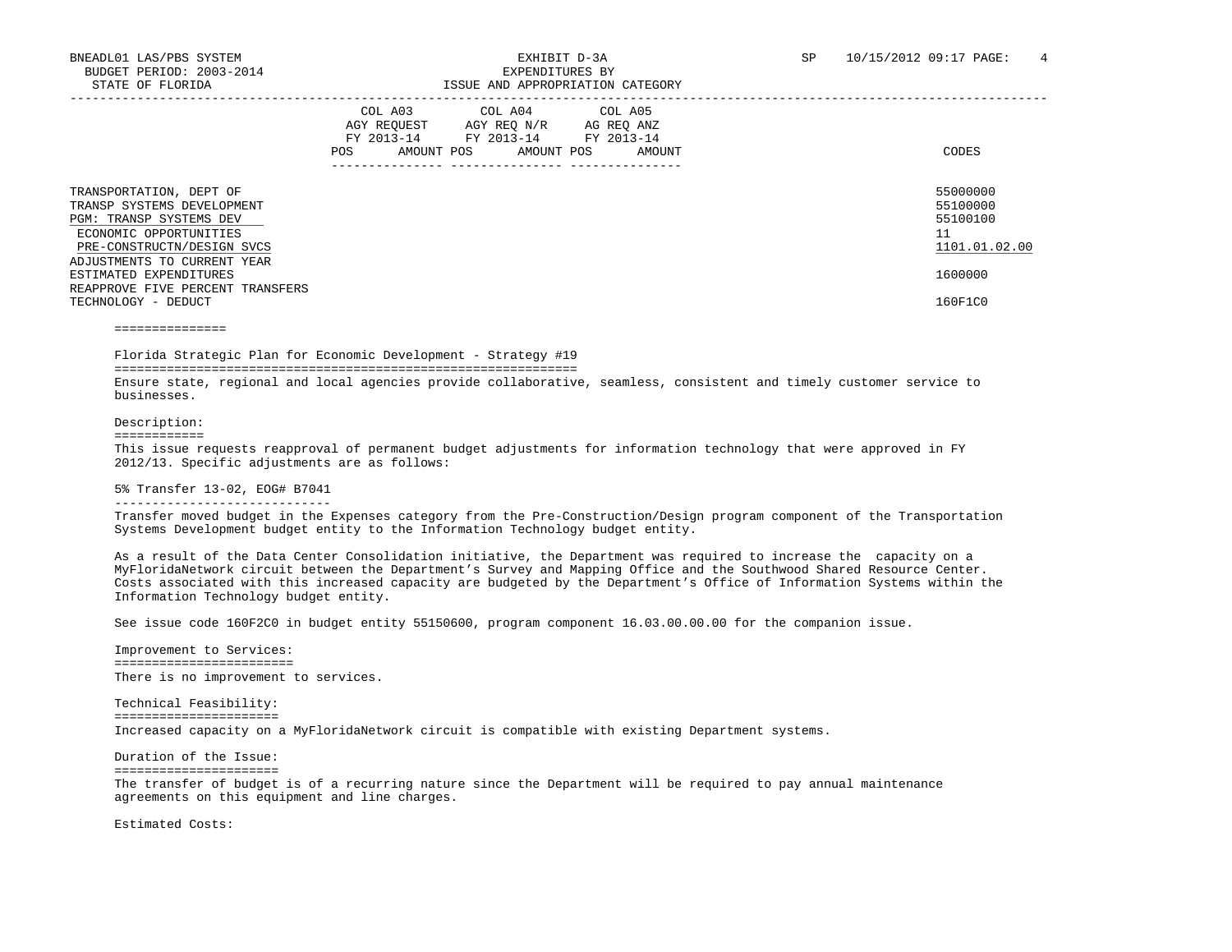|                                                                                                                                          | COL A03<br>AGY REOUEST<br>FY 2013-14<br>AMOUNT POS<br>POS | COL A04 COL A05<br>AGY REO N/R<br>FY 2013-14 FY 2013-14<br>AMOUNT POS | AG REO ANZ<br>AMOUNT | CODES                                                   |
|------------------------------------------------------------------------------------------------------------------------------------------|-----------------------------------------------------------|-----------------------------------------------------------------------|----------------------|---------------------------------------------------------|
| TRANSPORTATION, DEPT OF<br>TRANSP SYSTEMS DEVELOPMENT<br>PGM: TRANSP SYSTEMS DEV<br>ECONOMIC OPPORTUNITIES<br>PRE-CONSTRUCTN/DESIGN SVCS |                                                           |                                                                       |                      | 55000000<br>55100000<br>55100100<br>11<br>1101.01.02.00 |
| ADJUSTMENTS TO CURRENT YEAR<br>ESTIMATED EXPENDITURES<br>REAPPROVE FIVE PERCENT TRANSFERS<br>TECHNOLOGY - DEDUCT                         |                                                           |                                                                       |                      | 1600000<br>160F1C0                                      |

===============

 Florida Strategic Plan for Economic Development - Strategy #19 ==============================================================

 Ensure state, regional and local agencies provide collaborative, seamless, consistent and timely customer service to businesses.

#### Description:

#### ============

 This issue requests reapproval of permanent budget adjustments for information technology that were approved in FY 2012/13. Specific adjustments are as follows:

#### 5% Transfer 13-02, EOG# B7041

#### -----------------------------

 Transfer moved budget in the Expenses category from the Pre-Construction/Design program component of the Transportation Systems Development budget entity to the Information Technology budget entity.

 As a result of the Data Center Consolidation initiative, the Department was required to increase the capacity on a MyFloridaNetwork circuit between the Department's Survey and Mapping Office and the Southwood Shared Resource Center. Costs associated with this increased capacity are budgeted by the Department's Office of Information Systems within the Information Technology budget entity.

See issue code 160F2C0 in budget entity 55150600, program component 16.03.00.00.00 for the companion issue.

 Improvement to Services: ======================== There is no improvement to services.

 Technical Feasibility: ====================== Increased capacity on a MyFloridaNetwork circuit is compatible with existing Department systems.

 Duration of the Issue: ======================

 The transfer of budget is of a recurring nature since the Department will be required to pay annual maintenance agreements on this equipment and line charges.

Estimated Costs: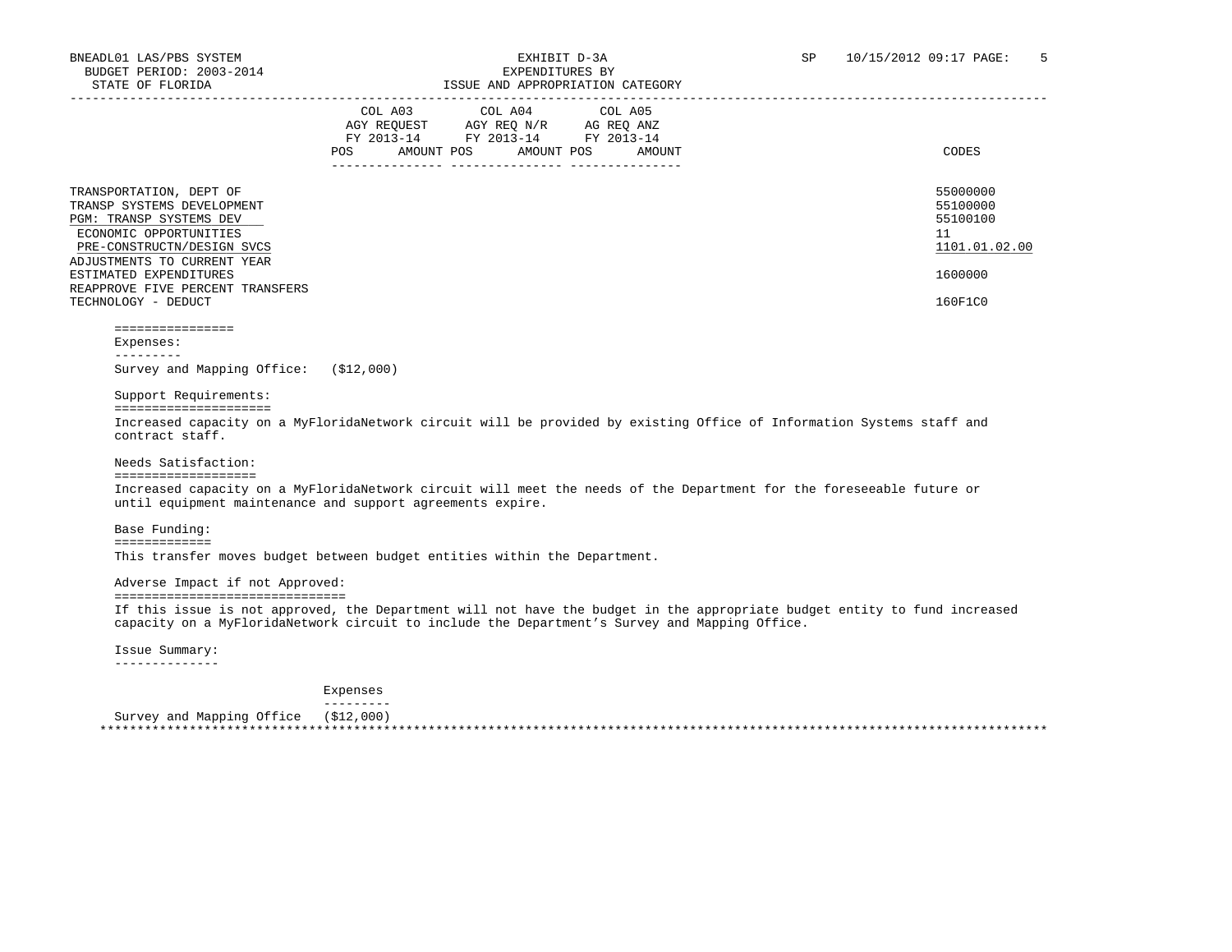| STATE OF FLORIDA                                                                                                                                                               | ISSUE AND APPROPRIATION CATEGORY                                                                                                         |                                                         |
|--------------------------------------------------------------------------------------------------------------------------------------------------------------------------------|------------------------------------------------------------------------------------------------------------------------------------------|---------------------------------------------------------|
|                                                                                                                                                                                | COL A03 COL A04 COL A05<br>AGY REQUEST AGY REQ N/R AG REQ ANZ<br>FY 2013-14 FY 2013-14 FY 2013-14<br>AMOUNT POS AMOUNT POS AMOUNT<br>POS | CODES                                                   |
| TRANSPORTATION, DEPT OF<br>TRANSP SYSTEMS DEVELOPMENT<br><b>PGM: TRANSP SYSTEMS DEV</b><br>ECONOMIC OPPORTUNITIES<br>PRE-CONSTRUCTN/DESIGN SVCS<br>ADJUSTMENTS TO CURRENT YEAR |                                                                                                                                          | 55000000<br>55100000<br>55100100<br>11<br>1101.01.02.00 |
| ESTIMATED EXPENDITURES<br>REAPPROVE FIVE PERCENT TRANSFERS<br>TECHNOLOGY - DEDUCT                                                                                              |                                                                                                                                          | 1600000<br>160F1C0                                      |

 ================ Expenses:

### ---------

Survey and Mapping Office: (\$12,000)

### Support Requirements:

=====================

 Increased capacity on a MyFloridaNetwork circuit will be provided by existing Office of Information Systems staff and contract staff.

#### Needs Satisfaction:

#### ===================

 Increased capacity on a MyFloridaNetwork circuit will meet the needs of the Department for the foreseeable future or until equipment maintenance and support agreements expire.

Base Funding:

#### =============

This transfer moves budget between budget entities within the Department.

Adverse Impact if not Approved:

===============================

 If this issue is not approved, the Department will not have the budget in the appropriate budget entity to fund increased capacity on a MyFloridaNetwork circuit to include the Department's Survey and Mapping Office.

 Issue Summary: --------------

> Expenses ---------

Survey and Mapping Office (\$12,000)

\*\*\*\*\*\*\*\*\*\*\*\*\*\*\*\*\*\*\*\*\*\*\*\*\*\*\*\*\*\*\*\*\*\*\*\*\*\*\*\*\*\*\*\*\*\*\*\*\*\*\*\*\*\*\*\*\*\*\*\*\*\*\*\*\*\*\*\*\*\*\*\*\*\*\*\*\*\*\*\*\*\*\*\*\*\*\*\*\*\*\*\*\*\*\*\*\*\*\*\*\*\*\*\*\*\*\*\*\*\*\*\*\*\*\*\*\*\*\*\*\*\*\*\*\*\*\*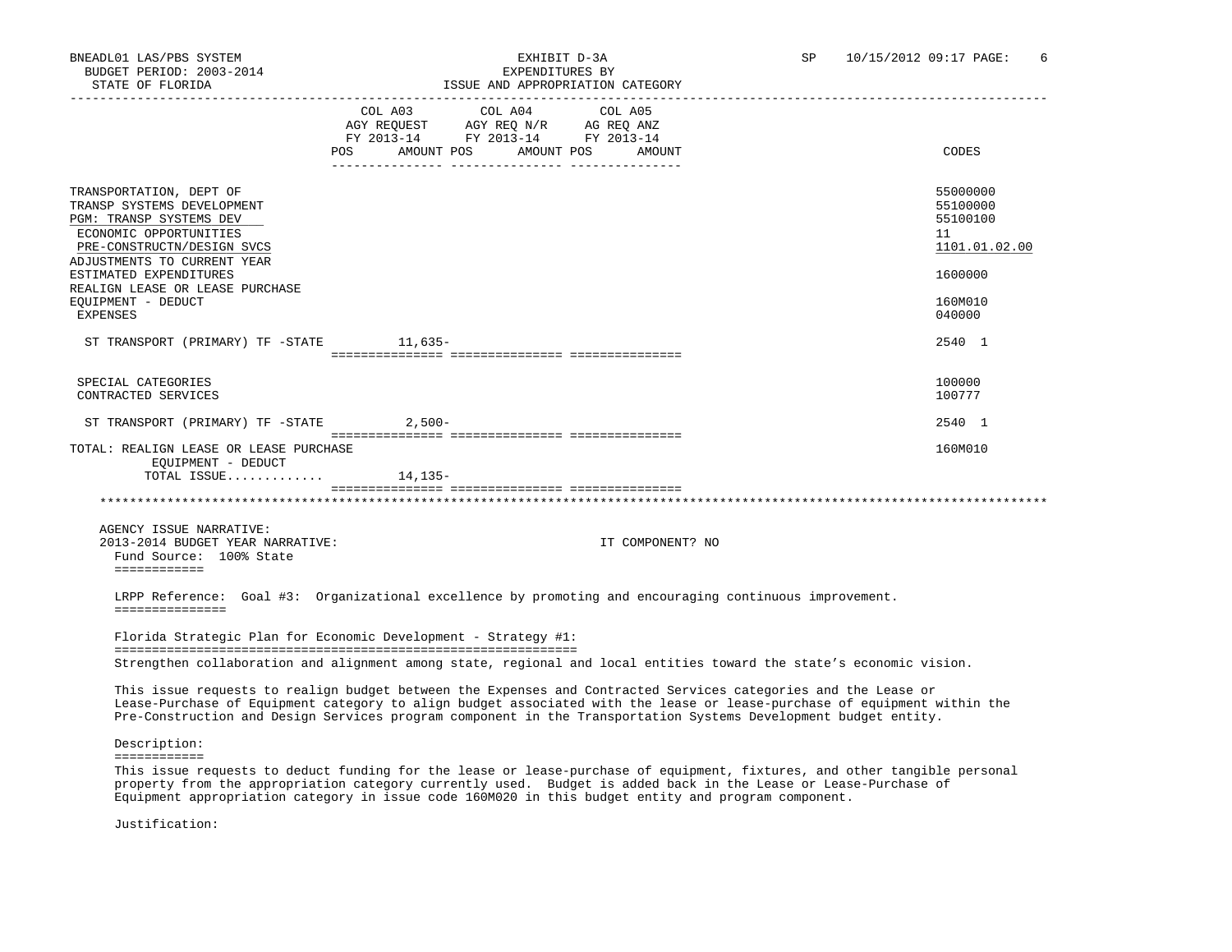# SATE OF FLORIDA ISSUE AND THE ANDERS AND APPROPRIATION OF FLORIDA ISSUE AND APPROPRIATION CATEGORY AND CATEGORY<br>SUPPROPRIATION CATEGORY CATEGORY AND APPROPRIATION CATEGORY AND A LIBRAL CATEGORY AND A LIBRAL CATEGORY AND A

| COL A03 COL A04<br>COL A05<br>AGY REQUEST AGY REQ N/R AG REQ ANZ<br>FY 2013-14 FY 2013-14 FY 2013-14<br>POS AMOUNT POS AMOUNT POS AMOUNT<br>CODES<br>55000000<br>55100000<br>55100100<br>ECONOMIC OPPORTUNITIES<br>11<br>PRE-CONSTRUCTN/DESIGN SVCS<br>1101.01.02.00<br>1600000<br>160M010<br>EXPENSES<br>040000<br>2540 1<br>ST TRANSPORT (PRIMARY) TF -STATE 11,635-<br>SPECIAL CATEGORIES<br>100000<br>CONTRACTED SERVICES<br>100777<br>ST TRANSPORT (PRIMARY) TF -STATE 2,500-<br>2540 1<br>160M010<br>EOUIPMENT - DEDUCT<br>TOTAL ISSUE $14,135-$<br>AGENCY ISSUE NARRATIVE:<br>2013-2014 BUDGET YEAR NARRATIVE:<br>IT COMPONENT? NO<br>Fund Source: 100% State<br>============<br>LRPP Reference: Goal #3: Organizational excellence by promoting and encouraging continuous improvement.<br>===============<br>Florida Strategic Plan for Economic Development - Strategy #1:<br>Strengthen collaboration and alignment among state, regional and local entities toward the state's economic vision.<br>This issue requests to realign budget between the Expenses and Contracted Services categories and the Lease or<br>Lease-Purchase of Equipment category to align budget associated with the lease or lease-purchase of equipment within the<br>Pre-Construction and Design Services program component in the Transportation Systems Development budget entity.<br>Description:<br>============<br>This issue requests to deduct funding for the lease or lease-purchase of equipment, fixtures, and other tangible personal | STATE OF FLORIDA |  | ISSUE AND APPROPRIATION CATEGORY |  |
|-------------------------------------------------------------------------------------------------------------------------------------------------------------------------------------------------------------------------------------------------------------------------------------------------------------------------------------------------------------------------------------------------------------------------------------------------------------------------------------------------------------------------------------------------------------------------------------------------------------------------------------------------------------------------------------------------------------------------------------------------------------------------------------------------------------------------------------------------------------------------------------------------------------------------------------------------------------------------------------------------------------------------------------------------------------------------------------------------------------------------------------------------------------------------------------------------------------------------------------------------------------------------------------------------------------------------------------------------------------------------------------------------------------------------------------------------------------------------------------------------------------------------------------------|------------------|--|----------------------------------|--|
| TRANSPORTATION, DEPT OF<br>TRANSP SYSTEMS DEVELOPMENT<br>PGM: TRANSP SYSTEMS DEV<br>ADJUSTMENTS TO CURRENT YEAR<br>ESTIMATED EXPENDITURES<br>REALIGN LEASE OR LEASE PURCHASE<br>TOTAL: REALIGN LEASE OR LEASE PURCHASE                                                                                                                                                                                                                                                                                                                                                                                                                                                                                                                                                                                                                                                                                                                                                                                                                                                                                                                                                                                                                                                                                                                                                                                                                                                                                                                    |                  |  |                                  |  |
| EQUIPMENT - DEDUCT                                                                                                                                                                                                                                                                                                                                                                                                                                                                                                                                                                                                                                                                                                                                                                                                                                                                                                                                                                                                                                                                                                                                                                                                                                                                                                                                                                                                                                                                                                                        |                  |  |                                  |  |
|                                                                                                                                                                                                                                                                                                                                                                                                                                                                                                                                                                                                                                                                                                                                                                                                                                                                                                                                                                                                                                                                                                                                                                                                                                                                                                                                                                                                                                                                                                                                           |                  |  |                                  |  |
|                                                                                                                                                                                                                                                                                                                                                                                                                                                                                                                                                                                                                                                                                                                                                                                                                                                                                                                                                                                                                                                                                                                                                                                                                                                                                                                                                                                                                                                                                                                                           |                  |  |                                  |  |
|                                                                                                                                                                                                                                                                                                                                                                                                                                                                                                                                                                                                                                                                                                                                                                                                                                                                                                                                                                                                                                                                                                                                                                                                                                                                                                                                                                                                                                                                                                                                           |                  |  |                                  |  |
|                                                                                                                                                                                                                                                                                                                                                                                                                                                                                                                                                                                                                                                                                                                                                                                                                                                                                                                                                                                                                                                                                                                                                                                                                                                                                                                                                                                                                                                                                                                                           |                  |  |                                  |  |
|                                                                                                                                                                                                                                                                                                                                                                                                                                                                                                                                                                                                                                                                                                                                                                                                                                                                                                                                                                                                                                                                                                                                                                                                                                                                                                                                                                                                                                                                                                                                           |                  |  |                                  |  |
|                                                                                                                                                                                                                                                                                                                                                                                                                                                                                                                                                                                                                                                                                                                                                                                                                                                                                                                                                                                                                                                                                                                                                                                                                                                                                                                                                                                                                                                                                                                                           |                  |  |                                  |  |
|                                                                                                                                                                                                                                                                                                                                                                                                                                                                                                                                                                                                                                                                                                                                                                                                                                                                                                                                                                                                                                                                                                                                                                                                                                                                                                                                                                                                                                                                                                                                           |                  |  |                                  |  |
|                                                                                                                                                                                                                                                                                                                                                                                                                                                                                                                                                                                                                                                                                                                                                                                                                                                                                                                                                                                                                                                                                                                                                                                                                                                                                                                                                                                                                                                                                                                                           |                  |  |                                  |  |
|                                                                                                                                                                                                                                                                                                                                                                                                                                                                                                                                                                                                                                                                                                                                                                                                                                                                                                                                                                                                                                                                                                                                                                                                                                                                                                                                                                                                                                                                                                                                           |                  |  |                                  |  |
|                                                                                                                                                                                                                                                                                                                                                                                                                                                                                                                                                                                                                                                                                                                                                                                                                                                                                                                                                                                                                                                                                                                                                                                                                                                                                                                                                                                                                                                                                                                                           |                  |  |                                  |  |
|                                                                                                                                                                                                                                                                                                                                                                                                                                                                                                                                                                                                                                                                                                                                                                                                                                                                                                                                                                                                                                                                                                                                                                                                                                                                                                                                                                                                                                                                                                                                           |                  |  |                                  |  |
|                                                                                                                                                                                                                                                                                                                                                                                                                                                                                                                                                                                                                                                                                                                                                                                                                                                                                                                                                                                                                                                                                                                                                                                                                                                                                                                                                                                                                                                                                                                                           |                  |  |                                  |  |
|                                                                                                                                                                                                                                                                                                                                                                                                                                                                                                                                                                                                                                                                                                                                                                                                                                                                                                                                                                                                                                                                                                                                                                                                                                                                                                                                                                                                                                                                                                                                           |                  |  |                                  |  |
|                                                                                                                                                                                                                                                                                                                                                                                                                                                                                                                                                                                                                                                                                                                                                                                                                                                                                                                                                                                                                                                                                                                                                                                                                                                                                                                                                                                                                                                                                                                                           |                  |  |                                  |  |
|                                                                                                                                                                                                                                                                                                                                                                                                                                                                                                                                                                                                                                                                                                                                                                                                                                                                                                                                                                                                                                                                                                                                                                                                                                                                                                                                                                                                                                                                                                                                           |                  |  |                                  |  |

 property from the appropriation category currently used. Budget is added back in the Lease or Lease-Purchase of Equipment appropriation category in issue code 160M020 in this budget entity and program component.

Justification: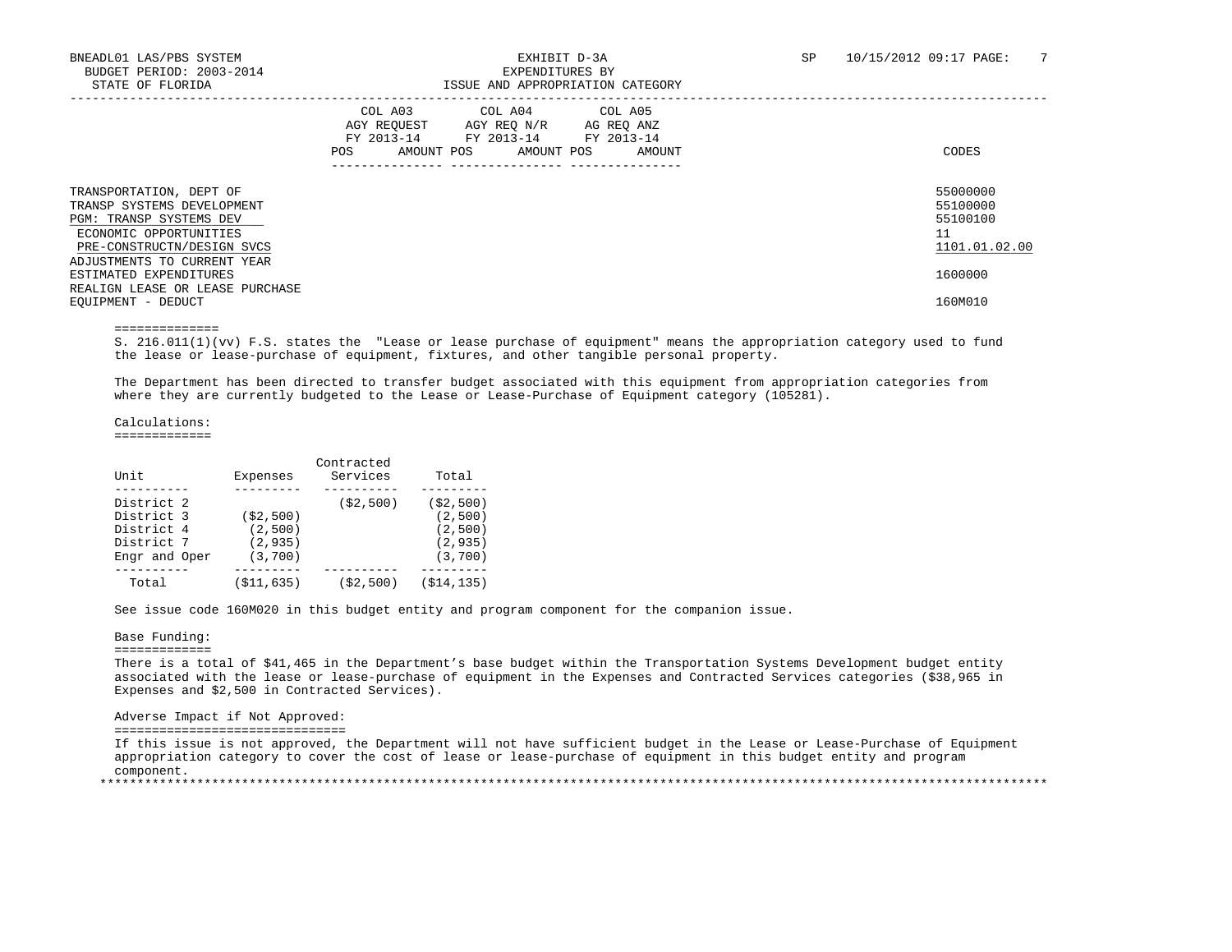# ISSUE AND APPROPRIATION CATEGORY

|                                                                                                                                          | COL A04 COL A05<br>COL A03<br>AGY REQUEST<br>AGY REQ N/R<br>AG REQ ANZ<br>FY 2013-14<br>FY 2013-14<br>FY 2013-14<br>AMOUNT POS<br>AMOUNT POS<br>POS.<br>AMOUNT | CODES                                                   |
|------------------------------------------------------------------------------------------------------------------------------------------|----------------------------------------------------------------------------------------------------------------------------------------------------------------|---------------------------------------------------------|
| TRANSPORTATION, DEPT OF<br>TRANSP SYSTEMS DEVELOPMENT<br>PGM: TRANSP SYSTEMS DEV<br>ECONOMIC OPPORTUNITIES<br>PRE-CONSTRUCTN/DESIGN SVCS |                                                                                                                                                                | 55000000<br>55100000<br>55100100<br>11<br>1101.01.02.00 |
| ADJUSTMENTS TO CURRENT YEAR<br>ESTIMATED EXPENDITURES<br>REALIGN LEASE OR LEASE PURCHASE<br>EOUIPMENT - DEDUCT                           |                                                                                                                                                                | 1600000<br>160M010                                      |

==============

 S. 216.011(1)(vv) F.S. states the "Lease or lease purchase of equipment" means the appropriation category used to fund the lease or lease-purchase of equipment, fixtures, and other tangible personal property.

 The Department has been directed to transfer budget associated with this equipment from appropriation categories from where they are currently budgeted to the Lease or Lease-Purchase of Equipment category (105281).

Calculations:

=============

| Unit                                                                  | Expenses                                       | Contracted<br>Services | Total                                                     |
|-----------------------------------------------------------------------|------------------------------------------------|------------------------|-----------------------------------------------------------|
| District 2<br>District 3<br>District 4<br>District 7<br>Engr and Oper | ( \$2, 500)<br>(2,500)<br>(2, 935)<br>(3, 700) | ( \$2, 500)            | ( \$2, 500)<br>(2,500)<br>(2,500)<br>(2, 935)<br>(3, 700) |
| Total                                                                 | (\$11,635)                                     | (\$2,500)              | (\$14,135)                                                |

See issue code 160M020 in this budget entity and program component for the companion issue.

#### Base Funding:

=============

 There is a total of \$41,465 in the Department's base budget within the Transportation Systems Development budget entity associated with the lease or lease-purchase of equipment in the Expenses and Contracted Services categories (\$38,965 in Expenses and \$2,500 in Contracted Services).

Adverse Impact if Not Approved:

===============================

 If this issue is not approved, the Department will not have sufficient budget in the Lease or Lease-Purchase of Equipment appropriation category to cover the cost of lease or lease-purchase of equipment in this budget entity and program component. \*\*\*\*\*\*\*\*\*\*\*\*\*\*\*\*\*\*\*\*\*\*\*\*\*\*\*\*\*\*\*\*\*\*\*\*\*\*\*\*\*\*\*\*\*\*\*\*\*\*\*\*\*\*\*\*\*\*\*\*\*\*\*\*\*\*\*\*\*\*\*\*\*\*\*\*\*\*\*\*\*\*\*\*\*\*\*\*\*\*\*\*\*\*\*\*\*\*\*\*\*\*\*\*\*\*\*\*\*\*\*\*\*\*\*\*\*\*\*\*\*\*\*\*\*\*\*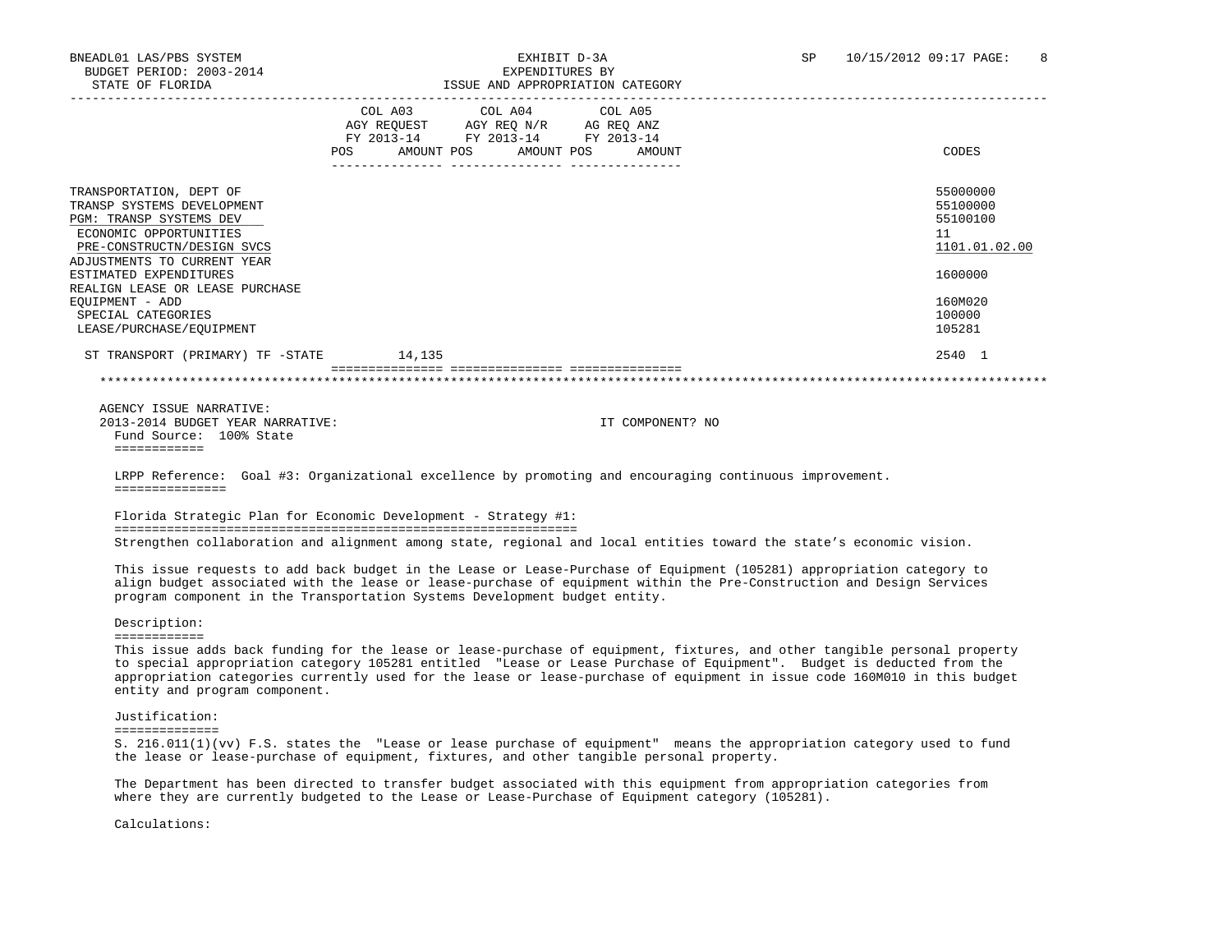# BNEADL01 LAS/PBS SYSTEM  $\,$  EXHIBIT D-3A SP 10/15/2012 09:17 PAGE: 8 SB 2003-2014

| STATE OF FLORIDA                                                                                                                                                                                                                                                                                                                                                                                                                 |     |                                                                                                                            | ISSUE AND APPROPRIATION CATEGORY |                                                                                                   |
|----------------------------------------------------------------------------------------------------------------------------------------------------------------------------------------------------------------------------------------------------------------------------------------------------------------------------------------------------------------------------------------------------------------------------------|-----|----------------------------------------------------------------------------------------------------------------------------|----------------------------------|---------------------------------------------------------------------------------------------------|
|                                                                                                                                                                                                                                                                                                                                                                                                                                  | POS | COL A03 COL A04 COL A05<br>AGY REQUEST AGY REQ N/R AG REQ ANZ<br>FY 2013-14 FY 2013-14 FY 2013-14<br>AMOUNT POS AMOUNT POS | AMOUNT                           | CODES                                                                                             |
| TRANSPORTATION, DEPT OF<br>TRANSP SYSTEMS DEVELOPMENT<br>PGM: TRANSP SYSTEMS DEV<br>ECONOMIC OPPORTUNITIES<br>PRE-CONSTRUCTN/DESIGN SVCS<br>ADJUSTMENTS TO CURRENT YEAR<br>ESTIMATED EXPENDITURES<br>REALIGN LEASE OR LEASE PURCHASE<br>EOUIPMENT - ADD<br>SPECIAL CATEGORIES<br>LEASE/PURCHASE/EQUIPMENT                                                                                                                        |     |                                                                                                                            |                                  | 55000000<br>55100000<br>55100100<br>11<br>1101.01.02.00<br>1600000<br>160M020<br>100000<br>105281 |
| ST TRANSPORT (PRIMARY) TF -STATE 14,135                                                                                                                                                                                                                                                                                                                                                                                          |     |                                                                                                                            |                                  | 2540 1                                                                                            |
|                                                                                                                                                                                                                                                                                                                                                                                                                                  |     |                                                                                                                            |                                  |                                                                                                   |
| AGENCY ISSUE NARRATIVE:<br>2013-2014 BUDGET YEAR NARRATIVE:<br>Fund Source: 100% State<br><b>EEEEEEEEEEE</b><br>LRPP Reference: Goal #3: Organizational excellence by promoting and encouraging continuous improvement.<br>===============                                                                                                                                                                                       |     |                                                                                                                            | IT COMPONENT? NO                 |                                                                                                   |
| Florida Strategic Plan for Economic Development - Strategy #1:                                                                                                                                                                                                                                                                                                                                                                   |     |                                                                                                                            |                                  |                                                                                                   |
| Strengthen collaboration and alignment among state, regional and local entities toward the state's economic vision.                                                                                                                                                                                                                                                                                                              |     |                                                                                                                            |                                  |                                                                                                   |
| This issue requests to add back budget in the Lease or Lease-Purchase of Equipment (105281) appropriation category to<br>align budget associated with the lease or lease-purchase of equipment within the Pre-Construction and Design Services<br>program component in the Transportation Systems Development budget entity.                                                                                                     |     |                                                                                                                            |                                  |                                                                                                   |
| Description:                                                                                                                                                                                                                                                                                                                                                                                                                     |     |                                                                                                                            |                                  |                                                                                                   |
| ============<br>This issue adds back funding for the lease or lease-purchase of equipment, fixtures, and other tangible personal property<br>to special appropriation category 105281 entitled "Lease or Lease Purchase of Equipment". Budget is deducted from the<br>appropriation categories currently used for the lease or lease-purchase of equipment in issue code 160M010 in this budget<br>entity and program component. |     |                                                                                                                            |                                  |                                                                                                   |
| Justification:<br>==============                                                                                                                                                                                                                                                                                                                                                                                                 |     |                                                                                                                            |                                  |                                                                                                   |

 S. 216.011(1)(vv) F.S. states the "Lease or lease purchase of equipment" means the appropriation category used to fund the lease or lease-purchase of equipment, fixtures, and other tangible personal property.

 The Department has been directed to transfer budget associated with this equipment from appropriation categories from where they are currently budgeted to the Lease or Lease-Purchase of Equipment category (105281).

Calculations: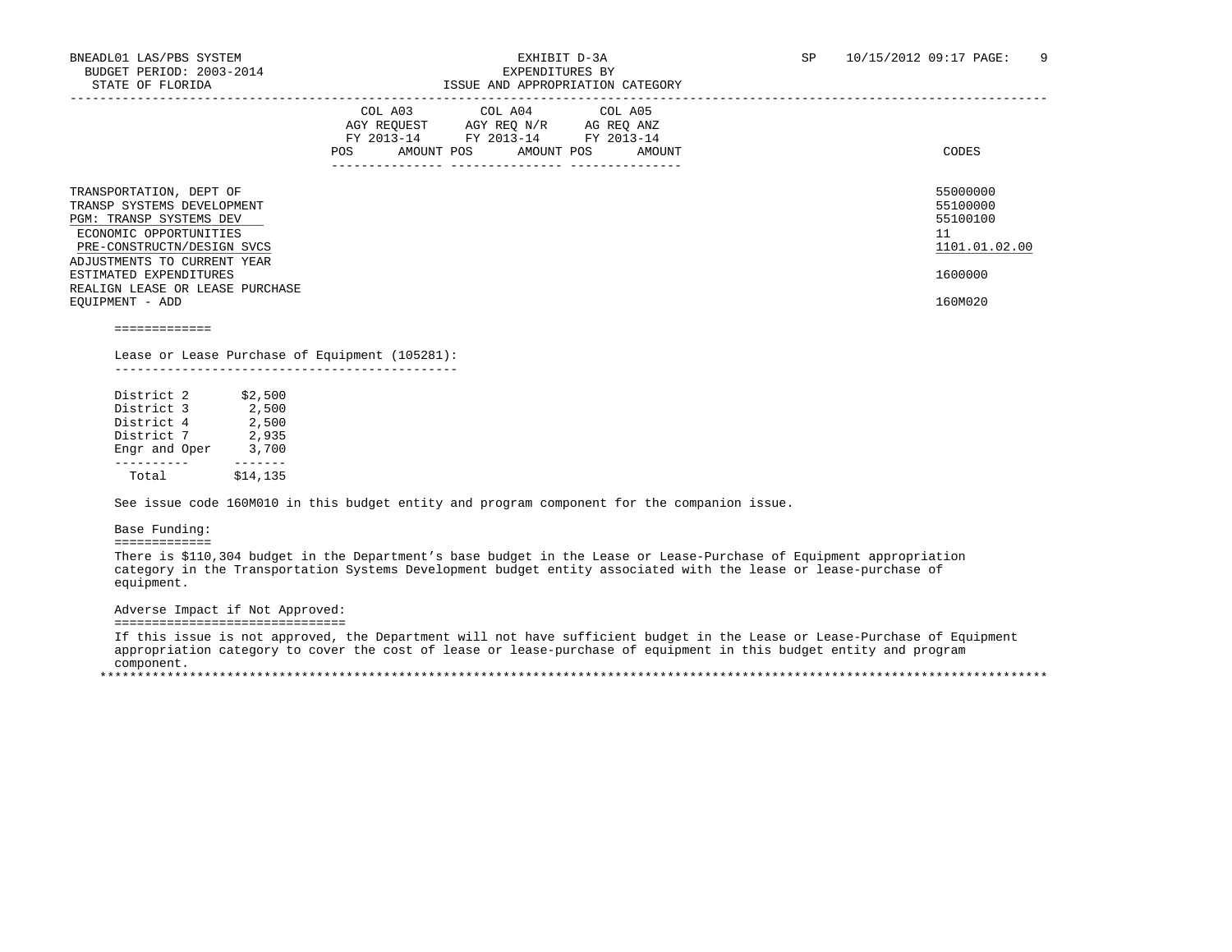|                                                                                                                                          | COL A04 COL A05<br>COL A03<br>AGY REOUEST<br>AGY REO N/R<br>AG REQ ANZ<br>FY 2013-14<br>FY 2013-14<br>FY 2013-14<br>AMOUNT POS<br>AMOUNT POS<br>POS.<br>AMOUNT | CODES                                                   |
|------------------------------------------------------------------------------------------------------------------------------------------|----------------------------------------------------------------------------------------------------------------------------------------------------------------|---------------------------------------------------------|
| TRANSPORTATION, DEPT OF<br>TRANSP SYSTEMS DEVELOPMENT<br>PGM: TRANSP SYSTEMS DEV<br>ECONOMIC OPPORTUNITIES<br>PRE-CONSTRUCTN/DESIGN SVCS |                                                                                                                                                                | 55000000<br>55100000<br>55100100<br>11<br>1101.01.02.00 |
| ADJUSTMENTS TO CURRENT YEAR<br>ESTIMATED EXPENDITURES<br>REALIGN LEASE OR LEASE PURCHASE<br>EOUIPMENT - ADD                              |                                                                                                                                                                | 1600000<br>160M020                                      |

=============

#### Lease or Lease Purchase of Equipment (105281): ----------------------------------------------

| District 2    | \$2,500  |
|---------------|----------|
| District 3    | 2,500    |
| District 4    | 2,500    |
| District 7    | 2,935    |
| Engr and Oper | 3,700    |
|               |          |
| Total         | \$14,135 |

See issue code 160M010 in this budget entity and program component for the companion issue.

#### Base Funding:

=============

 There is \$110,304 budget in the Department's base budget in the Lease or Lease-Purchase of Equipment appropriation category in the Transportation Systems Development budget entity associated with the lease or lease-purchase of equipment.

#### Adverse Impact if Not Approved:

===============================

 If this issue is not approved, the Department will not have sufficient budget in the Lease or Lease-Purchase of Equipment appropriation category to cover the cost of lease or lease-purchase of equipment in this budget entity and program component. \*\*\*\*\*\*\*\*\*\*\*\*\*\*\*\*\*\*\*\*\*\*\*\*\*\*\*\*\*\*\*\*\*\*\*\*\*\*\*\*\*\*\*\*\*\*\*\*\*\*\*\*\*\*\*\*\*\*\*\*\*\*\*\*\*\*\*\*\*\*\*\*\*\*\*\*\*\*\*\*\*\*\*\*\*\*\*\*\*\*\*\*\*\*\*\*\*\*\*\*\*\*\*\*\*\*\*\*\*\*\*\*\*\*\*\*\*\*\*\*\*\*\*\*\*\*\*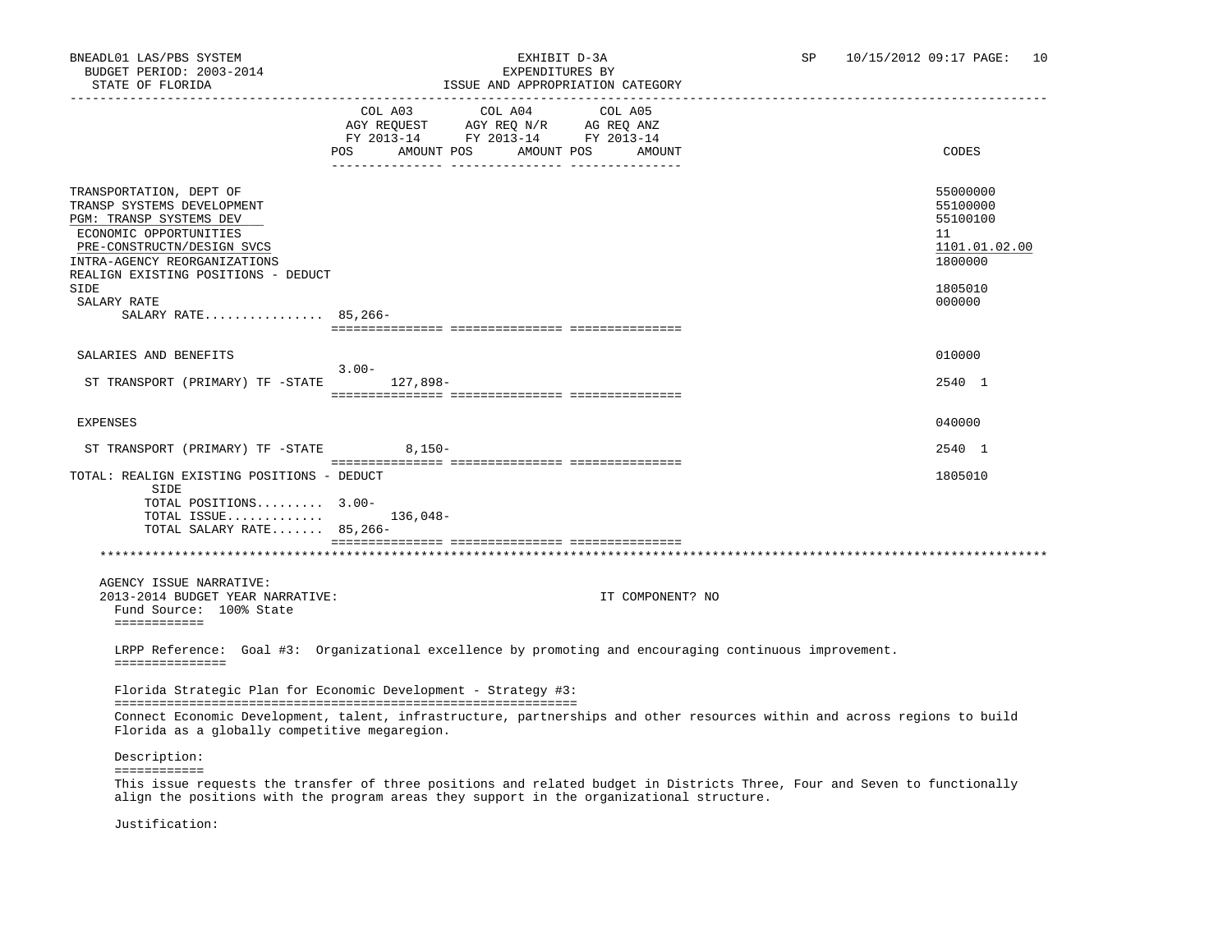# BNEADL01 LAS/PBS SYSTEM EXHIBIT D-3A SP 10/15/2012 09:17 PAGE: 10

| STATE OF FLORIDA                                                                                                                                                         | ISSUE AND APPROPRIATION CATEGORY                                                                                                                                          |                                                                    |
|--------------------------------------------------------------------------------------------------------------------------------------------------------------------------|---------------------------------------------------------------------------------------------------------------------------------------------------------------------------|--------------------------------------------------------------------|
|                                                                                                                                                                          | COL A03 COL A04<br>COL A05<br>AGY REQUEST AGY REQ N/R AG REQ ANZ<br>FY 2013-14 FY 2013-14 FY 2013-14<br>POS AMOUNT POS AMOUNT POS AMOUNT                                  | CODES                                                              |
| TRANSPORTATION, DEPT OF<br>TRANSP SYSTEMS DEVELOPMENT<br>PGM: TRANSP SYSTEMS DEV<br>ECONOMIC OPPORTUNITIES<br>PRE-CONSTRUCTN/DESIGN SVCS<br>INTRA-AGENCY REORGANIZATIONS |                                                                                                                                                                           | 55000000<br>55100000<br>55100100<br>11<br>1101.01.02.00<br>1800000 |
| REALIGN EXISTING POSITIONS - DEDUCT<br>SIDE<br>SALARY RATE<br>SALARY RATE 85,266-                                                                                        |                                                                                                                                                                           | 1805010<br>000000                                                  |
|                                                                                                                                                                          |                                                                                                                                                                           |                                                                    |
| SALARIES AND BENEFITS                                                                                                                                                    | $3.00 -$                                                                                                                                                                  | 010000                                                             |
| ST TRANSPORT (PRIMARY) TF -STATE                                                                                                                                         | 127,898-                                                                                                                                                                  | 2540 1                                                             |
| EXPENSES                                                                                                                                                                 |                                                                                                                                                                           | 040000                                                             |
| ST TRANSPORT (PRIMARY) TF -STATE 8,150-                                                                                                                                  |                                                                                                                                                                           | 2540 1                                                             |
| TOTAL: REALIGN EXISTING POSITIONS - DEDUCT<br>SIDE<br>TOTAL POSITIONS 3.00-<br>TOTAL ISSUE<br>TOTAL SALARY RATE 85,266-                                                  | 136,048-                                                                                                                                                                  | 1805010                                                            |
|                                                                                                                                                                          |                                                                                                                                                                           |                                                                    |
| AGENCY ISSUE NARRATIVE:<br>2013-2014 BUDGET YEAR NARRATIVE:<br>Fund Source: 100% State<br>============                                                                   | IT COMPONENT? NO                                                                                                                                                          |                                                                    |
| ===============                                                                                                                                                          | LRPP Reference: Goal #3: Organizational excellence by promoting and encouraging continuous improvement.<br>Florida Strategic Plan for Economic Development - Strategy #3: |                                                                    |
|                                                                                                                                                                          |                                                                                                                                                                           |                                                                    |
| Florida as a globally competitive megaregion.                                                                                                                            | Connect Economic Development, talent, infrastructure, partnerships and other resources within and across regions to build                                                 |                                                                    |
| Description:<br>============                                                                                                                                             |                                                                                                                                                                           |                                                                    |

 This issue requests the transfer of three positions and related budget in Districts Three, Four and Seven to functionally align the positions with the program areas they support in the organizational structure.

Justification: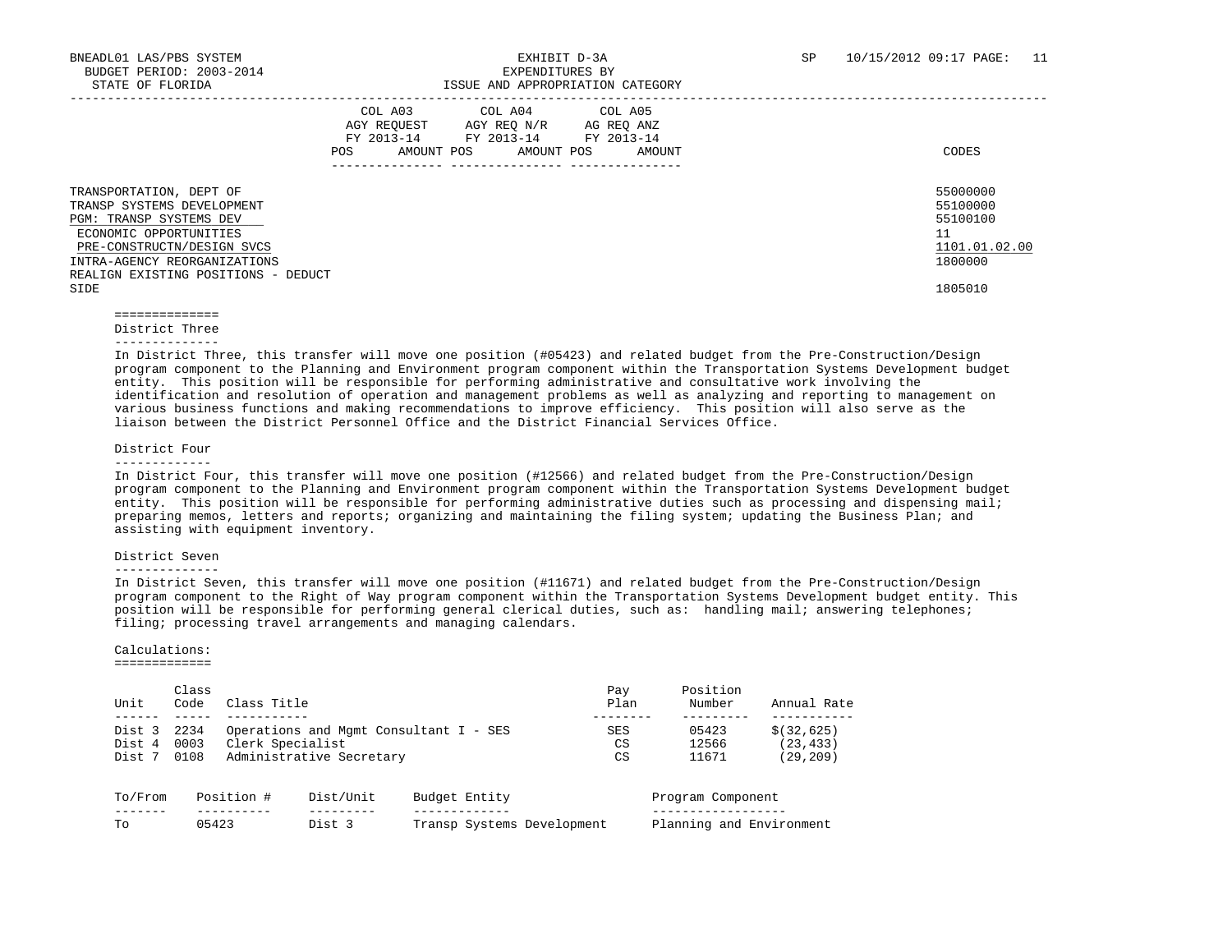|                                                                                                                                                                                                                         | COL A03<br>AGY REOUEST<br>FY 2013-14<br>AMOUNT POS<br><b>POS</b> | COL A04<br>AGY REO N/R<br>FY 2013-14 FY 2013-14<br>AMOUNT POS | COL A05<br>AG REO ANZ<br>AMOUNT | CODES                                                                         |
|-------------------------------------------------------------------------------------------------------------------------------------------------------------------------------------------------------------------------|------------------------------------------------------------------|---------------------------------------------------------------|---------------------------------|-------------------------------------------------------------------------------|
| TRANSPORTATION, DEPT OF<br>TRANSP SYSTEMS DEVELOPMENT<br>PGM: TRANSP SYSTEMS DEV<br>ECONOMIC OPPORTUNITIES<br>PRE-CONSTRUCTN/DESIGN SVCS<br>INTRA-AGENCY REORGANIZATIONS<br>REALIGN EXISTING POSITIONS - DEDUCT<br>SIDE |                                                                  |                                                               |                                 | 55000000<br>55100000<br>55100100<br>11<br>1101.01.02.00<br>1800000<br>1805010 |

 ============== District Three

--------------

 In District Three, this transfer will move one position (#05423) and related budget from the Pre-Construction/Design program component to the Planning and Environment program component within the Transportation Systems Development budget entity. This position will be responsible for performing administrative and consultative work involving the identification and resolution of operation and management problems as well as analyzing and reporting to management on various business functions and making recommendations to improve efficiency. This position will also serve as the liaison between the District Personnel Office and the District Financial Services Office.

#### District Four

 In District Four, this transfer will move one position (#12566) and related budget from the Pre-Construction/Design program component to the Planning and Environment program component within the Transportation Systems Development budget entity. This position will be responsible for performing administrative duties such as processing and dispensing mail; preparing memos, letters and reports; organizing and maintaining the filing system; updating the Business Plan; and assisting with equipment inventory.

#### District Seven

#### --------------

 In District Seven, this transfer will move one position (#11671) and related budget from the Pre-Construction/Design program component to the Right of Way program component within the Transportation Systems Development budget entity. This position will be responsible for performing general clerical duties, such as: handling mail; answering telephones; filing; processing travel arrangements and managing calendars.

#### Calculations:

#### =============

| Unit    | Class<br>Code | Class Title      |                                        |               |                            | Pay<br>Plan | Position<br>Number       | Annual Rate  |
|---------|---------------|------------------|----------------------------------------|---------------|----------------------------|-------------|--------------------------|--------------|
| Dist 3  | 2234          |                  | Operations and Mgmt Consultant I - SES |               |                            | SES         | 05423                    | \$ (32, 625) |
| Dist 4  | 0003          | Clerk Specialist |                                        |               |                            | CS          | 12566                    | (23, 433)    |
| Dist 7  | 0108          |                  | Administrative Secretary               |               |                            | CS          | 11671                    | (29, 209)    |
| To/From |               | Position #       | Dist/Unit                              | Budget Entity |                            |             | Program Component        |              |
| To      | 05423         |                  | Dist 3                                 |               | Transp Systems Development |             | Planning and Environment |              |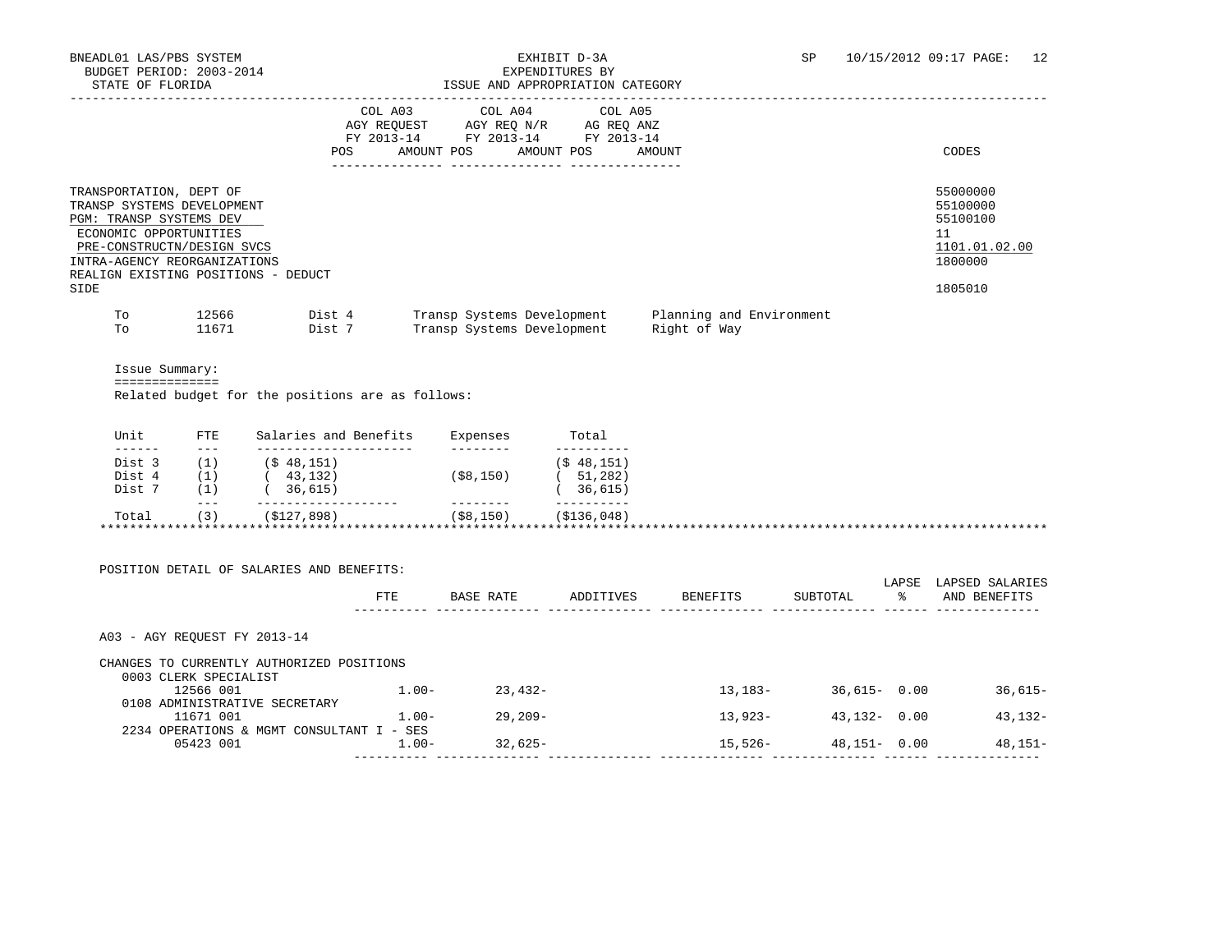### BNEADL01 LAS/PBS SYSTEM EXHIBIT D-3A SP 10/15/2012 09:17 PAGE: 12 ISSUE AND APPROPRIATION CATEGORY

| UIAIU VI IUVAI <i>U</i> A                                                            |                                                                                                                                 |                  |            | TOOOD AND ALLIOLIGIALION CAIBOONI                                                                               |                                          |                                                                               |
|--------------------------------------------------------------------------------------|---------------------------------------------------------------------------------------------------------------------------------|------------------|------------|-----------------------------------------------------------------------------------------------------------------|------------------------------------------|-------------------------------------------------------------------------------|
|                                                                                      |                                                                                                                                 | POS              | AMOUNT POS | COL A03 COL A04 COL A05<br>AGY REQUEST AGY REQ N/R AG REQ ANZ<br>FY 2013-14 FY 2013-14 FY 2013-14<br>AMOUNT POS | AMOUNT                                   | CODES                                                                         |
| TRANSPORTATION, DEPT OF<br>PGM: TRANSP SYSTEMS DEV<br>ECONOMIC OPPORTUNITIES<br>SIDE | TRANSP SYSTEMS DEVELOPMENT<br>PRE-CONSTRUCTN/DESIGN SVCS<br>INTRA-AGENCY REORGANIZATIONS<br>REALIGN EXISTING POSITIONS - DEDUCT |                  |            |                                                                                                                 |                                          | 55000000<br>55100000<br>55100100<br>11<br>1101.01.02.00<br>1800000<br>1805010 |
| To<br>To                                                                             | 12566<br>11671                                                                                                                  | Dist 4<br>Dist 7 |            | Transp Systems Development<br>Transp Systems Development                                                        | Planning and Environment<br>Right of Way |                                                                               |
|                                                                                      | Issue Summary:<br>==============<br>Related budget for the positions are as follows:                                            |                  |            |                                                                                                                 |                                          |                                                                               |

| Unit   | <b>FTE</b> | Salaries and Benefits | Expenses     | Total         |  |
|--------|------------|-----------------------|--------------|---------------|--|
| ------ | $- - -$    |                       |              |               |  |
| Dist 3 |            | (S 48, 151)           |              | (S 48, 151)   |  |
| Dist 4 | 1          | 43,132)               | $($ \$8,150) | 51,282)       |  |
| Dist 7 |            | 36,615)               |              | 36,615)       |  |
|        | $---$      |                       |              |               |  |
| Total  | (3)        | (\$127,898)           | (S8, 150)    | ( \$136, 048) |  |

| POSITION DETAIL OF SALARIES AND BENEFITS:                          |          |            |           |            |                 | LAPSE | LAPSED SALARIES |
|--------------------------------------------------------------------|----------|------------|-----------|------------|-----------------|-------|-----------------|
|                                                                    | FTE      | BASE RATE  | ADDITIVES | BENEFITS   | SUBTOTAL        | ?ะ    | AND BENEFITS    |
| A03 - AGY REOUEST FY 2013-14                                       |          |            |           |            |                 |       |                 |
| CHANGES TO CURRENTLY AUTHORIZED POSITIONS<br>0003 CLERK SPECIALIST |          |            |           |            |                 |       |                 |
| 12566 001                                                          | $1.00 -$ | $23.432-$  |           | $13,183-$  | $36,615 - 0.00$ |       | $36.615-$       |
| 0108 ADMINISTRATIVE SECRETARY                                      |          |            |           |            |                 |       |                 |
| 11671 001                                                          | $1.00 -$ | $29.209 -$ |           | $13,923-$  | $43,132 - 0.00$ |       | $43,132-$       |
| 2234 OPERATIONS & MGMT CONSULTANT I                                | $-$ SES  |            |           |            |                 |       |                 |
| 05423 001                                                          | $1.00 -$ | $32.625 -$ |           | $15.526 -$ | $48,151 - 0.00$ |       | $48,151-$       |
|                                                                    |          |            |           |            |                 |       |                 |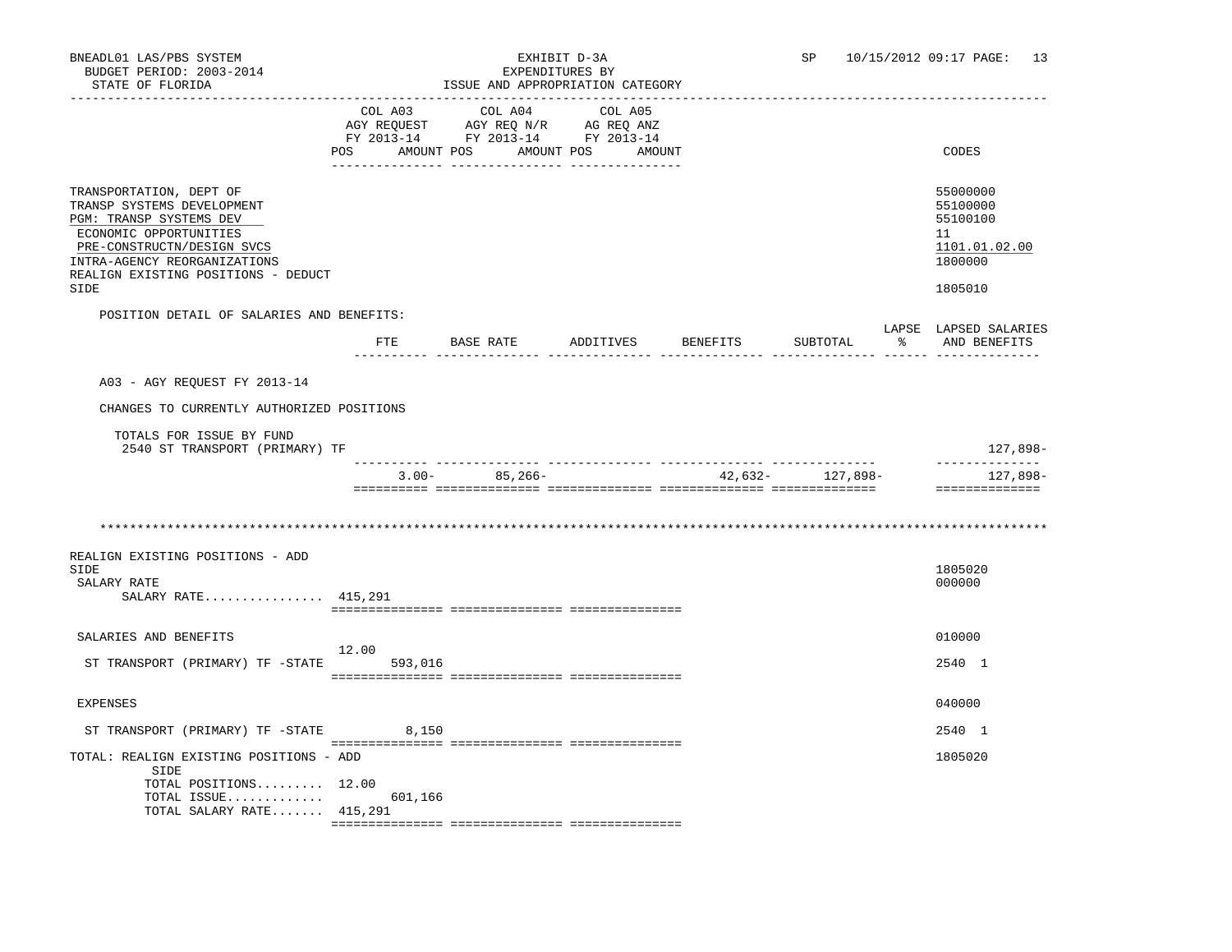| BNEADL01 LAS/PBS SYSTEM<br>BUDGET PERIOD: 2003-2014<br>STATE OF FLORIDA<br>----------------                                                                                                                             |                | ISSUE AND APPROPRIATION CATEGORY                                                                                  | EXHIBIT D-3A<br>EXPENDITURES BY |          | SP                   | 10/15/2012 09:17 PAGE: 13                                                     |
|-------------------------------------------------------------------------------------------------------------------------------------------------------------------------------------------------------------------------|----------------|-------------------------------------------------------------------------------------------------------------------|---------------------------------|----------|----------------------|-------------------------------------------------------------------------------|
|                                                                                                                                                                                                                         | COL A03<br>POS | COL A04<br>AGY REQUEST AGY REQ N/R AG REQ ANZ<br>FY 2013-14 FY 2013-14 FY 2013-14<br>AMOUNT POS AMOUNT POS AMOUNT | COL A05                         |          |                      | CODES                                                                         |
| TRANSPORTATION, DEPT OF<br>TRANSP SYSTEMS DEVELOPMENT<br>PGM: TRANSP SYSTEMS DEV<br>ECONOMIC OPPORTUNITIES<br>PRE-CONSTRUCTN/DESIGN SVCS<br>INTRA-AGENCY REORGANIZATIONS<br>REALIGN EXISTING POSITIONS - DEDUCT<br>SIDE |                |                                                                                                                   |                                 |          |                      | 55000000<br>55100000<br>55100100<br>11<br>1101.01.02.00<br>1800000<br>1805010 |
| POSITION DETAIL OF SALARIES AND BENEFITS:                                                                                                                                                                               |                |                                                                                                                   |                                 |          |                      | LAPSE LAPSED SALARIES                                                         |
|                                                                                                                                                                                                                         |                | FTE BASE RATE ADDITIVES                                                                                           |                                 | BENEFITS | SUBTOTAL             | % AND BENEFITS                                                                |
| A03 - AGY REOUEST FY 2013-14                                                                                                                                                                                            |                |                                                                                                                   |                                 |          |                      |                                                                               |
| CHANGES TO CURRENTLY AUTHORIZED POSITIONS                                                                                                                                                                               |                |                                                                                                                   |                                 |          |                      |                                                                               |
| TOTALS FOR ISSUE BY FUND<br>2540 ST TRANSPORT (PRIMARY) TF                                                                                                                                                              |                |                                                                                                                   |                                 |          |                      | 127,898-                                                                      |
|                                                                                                                                                                                                                         | $3.00 -$       | 85,266-                                                                                                           |                                 |          | $42,632 - 127,898 -$ | ______________<br>127,898-<br>==============                                  |
|                                                                                                                                                                                                                         |                |                                                                                                                   |                                 |          |                      |                                                                               |
| REALIGN EXISTING POSITIONS - ADD                                                                                                                                                                                        |                |                                                                                                                   |                                 |          |                      |                                                                               |
| SIDE<br>SALARY RATE<br>SALARY RATE 415,291                                                                                                                                                                              |                |                                                                                                                   |                                 |          |                      | 1805020<br>000000                                                             |
|                                                                                                                                                                                                                         |                |                                                                                                                   |                                 |          |                      |                                                                               |
| SALARIES AND BENEFITS                                                                                                                                                                                                   | 12.00          |                                                                                                                   |                                 |          |                      | 010000                                                                        |
| ST TRANSPORT (PRIMARY) TF -STATE                                                                                                                                                                                        | 593,016        |                                                                                                                   |                                 |          |                      | 2540 1                                                                        |
| <b>EXPENSES</b>                                                                                                                                                                                                         |                |                                                                                                                   |                                 |          |                      | 040000                                                                        |
| ST TRANSPORT (PRIMARY) TF -STATE 8,150                                                                                                                                                                                  |                |                                                                                                                   |                                 |          |                      | 2540 1                                                                        |
| TOTAL: REALIGN EXISTING POSITIONS - ADD<br>SIDE                                                                                                                                                                         |                |                                                                                                                   |                                 |          |                      | 1805020                                                                       |
| TOTAL POSITIONS 12.00<br>TOTAL ISSUE<br>TOTAL SALARY RATE 415,291                                                                                                                                                       | 601,166        |                                                                                                                   |                                 |          |                      |                                                                               |

=============== =============== ===============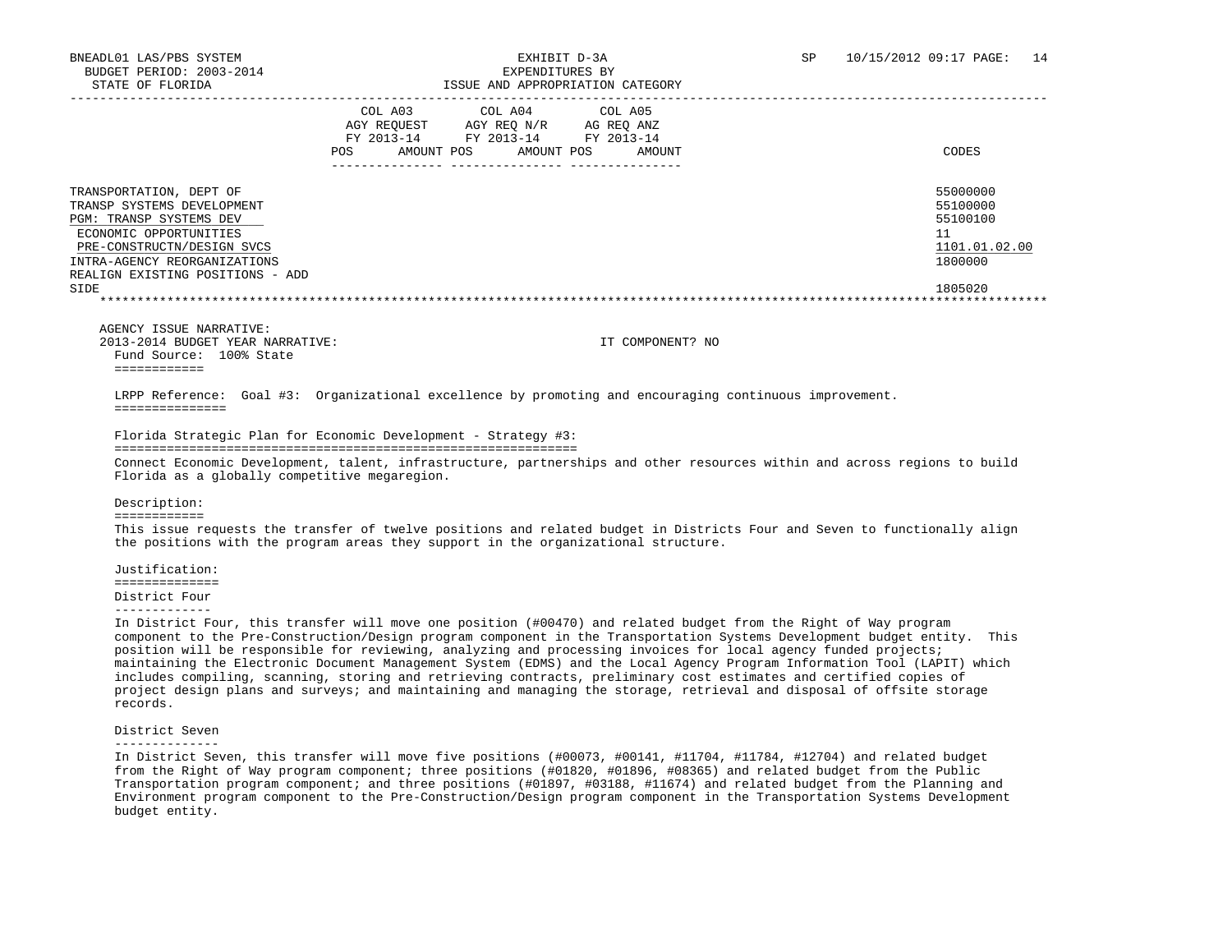### ISSUE AND APPROPRIATION CATEGORY

|                                                                                                                                                                                                                      | COL A03<br>AGY REOUEST<br>FY 2013-14<br>AMOUNT POS<br><b>POS</b> | COL A04<br>AGY REO N/R<br>FY 2013-14<br>AMOUNT POS | COL A05<br>AG REO ANZ<br>FY 2013-14<br>AMOUNT | CODES                                                                         |
|----------------------------------------------------------------------------------------------------------------------------------------------------------------------------------------------------------------------|------------------------------------------------------------------|----------------------------------------------------|-----------------------------------------------|-------------------------------------------------------------------------------|
| TRANSPORTATION, DEPT OF<br>TRANSP SYSTEMS DEVELOPMENT<br>PGM: TRANSP SYSTEMS DEV<br>ECONOMIC OPPORTUNITIES<br>PRE-CONSTRUCTN/DESIGN SVCS<br>INTRA-AGENCY REORGANIZATIONS<br>REALIGN EXISTING POSITIONS - ADD<br>SIDE |                                                                  |                                                    |                                               | 55000000<br>55100000<br>55100100<br>11<br>1101.01.02.00<br>1800000<br>1805020 |
|                                                                                                                                                                                                                      |                                                                  |                                                    |                                               |                                                                               |

 AGENCY ISSUE NARRATIVE: 2013-2014 BUDGET YEAR NARRATIVE: IT COMPONENT? NO Fund Source: 100% State ============

 LRPP Reference: Goal #3: Organizational excellence by promoting and encouraging continuous improvement. ===============

Florida Strategic Plan for Economic Development - Strategy #3:

 ============================================================== Connect Economic Development, talent, infrastructure, partnerships and other resources within and across regions to build Florida as a globally competitive megaregion.

Description:

============

 This issue requests the transfer of twelve positions and related budget in Districts Four and Seven to functionally align the positions with the program areas they support in the organizational structure.

 Justification: ============== District Four

-------------

 In District Four, this transfer will move one position (#00470) and related budget from the Right of Way program component to the Pre-Construction/Design program component in the Transportation Systems Development budget entity. This position will be responsible for reviewing, analyzing and processing invoices for local agency funded projects; maintaining the Electronic Document Management System (EDMS) and the Local Agency Program Information Tool (LAPIT) which includes compiling, scanning, storing and retrieving contracts, preliminary cost estimates and certified copies of project design plans and surveys; and maintaining and managing the storage, retrieval and disposal of offsite storage records.

District Seven

--------------

 In District Seven, this transfer will move five positions (#00073, #00141, #11704, #11784, #12704) and related budget from the Right of Way program component; three positions (#01820, #01896, #08365) and related budget from the Public Transportation program component; and three positions (#01897, #03188, #11674) and related budget from the Planning and Environment program component to the Pre-Construction/Design program component in the Transportation Systems Development budget entity.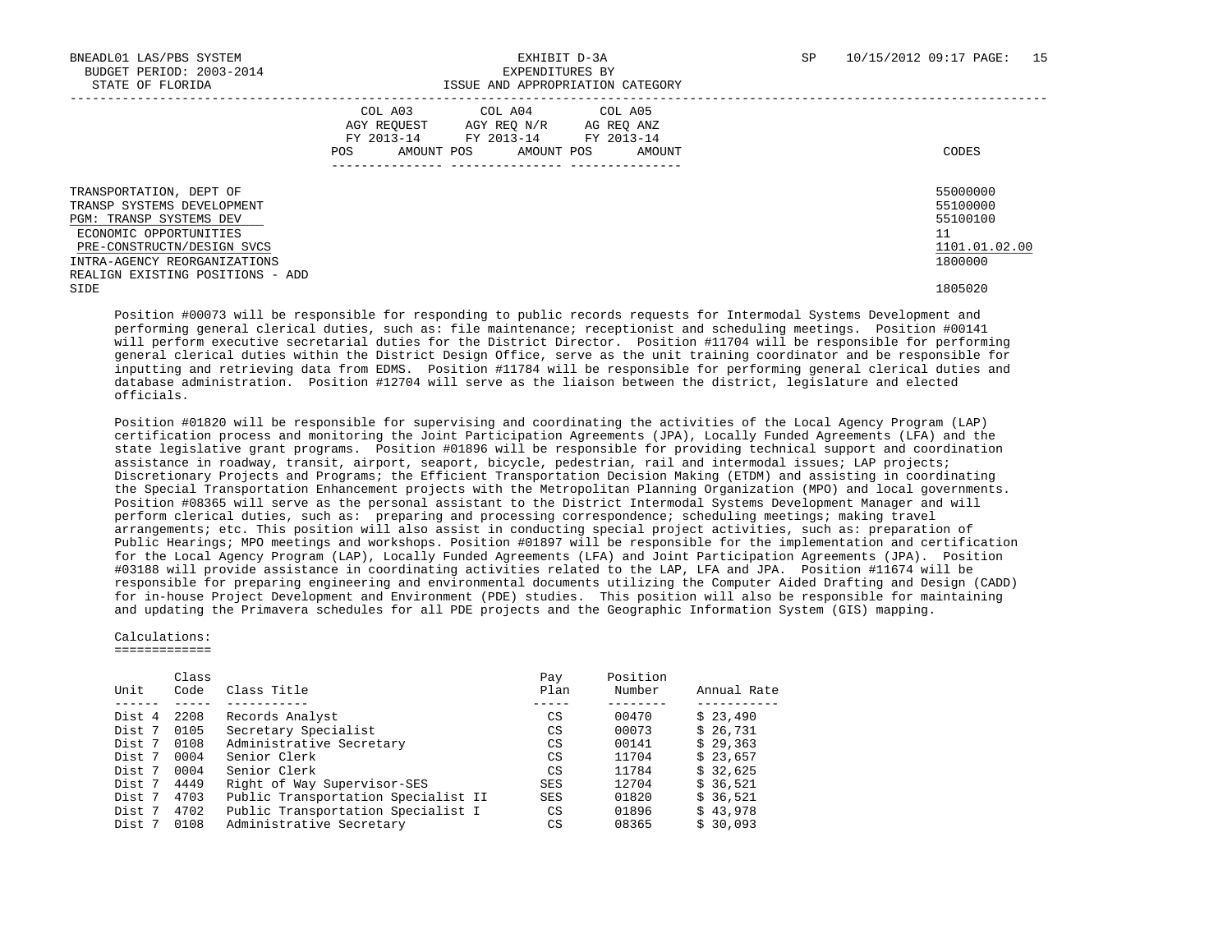| STATE OF FLORIDA                                                                                                                                                         | ISSUE AND APPROPRIATION CATEGORY                                                                                                                        |                                                                    |
|--------------------------------------------------------------------------------------------------------------------------------------------------------------------------|---------------------------------------------------------------------------------------------------------------------------------------------------------|--------------------------------------------------------------------|
|                                                                                                                                                                          | COL A03 COL A04 COL A05<br>AGY REOUEST<br>AGY REO N/R<br>AG REO ANZ<br>FY 2013-14<br>FY 2013-14 FY 2013-14<br>AMOUNT POS<br>AMOUNT POS<br>POS<br>AMOUNT | CODES                                                              |
| TRANSPORTATION, DEPT OF<br>TRANSP SYSTEMS DEVELOPMENT<br>PGM: TRANSP SYSTEMS DEV<br>ECONOMIC OPPORTUNITIES<br>PRE-CONSTRUCTN/DESIGN SVCS<br>INTRA-AGENCY REORGANIZATIONS |                                                                                                                                                         | 55000000<br>55100000<br>55100100<br>11<br>1101.01.02.00<br>1800000 |
| REALIGN EXISTING POSITIONS - ADD<br>SIDE                                                                                                                                 |                                                                                                                                                         | 1805020                                                            |

 Position #00073 will be responsible for responding to public records requests for Intermodal Systems Development and performing general clerical duties, such as: file maintenance; receptionist and scheduling meetings. Position #00141 will perform executive secretarial duties for the District Director. Position #11704 will be responsible for performing general clerical duties within the District Design Office, serve as the unit training coordinator and be responsible for inputting and retrieving data from EDMS. Position #11784 will be responsible for performing general clerical duties and database administration. Position #12704 will serve as the liaison between the district, legislature and elected officials.

 Position #01820 will be responsible for supervising and coordinating the activities of the Local Agency Program (LAP) certification process and monitoring the Joint Participation Agreements (JPA), Locally Funded Agreements (LFA) and the state legislative grant programs. Position #01896 will be responsible for providing technical support and coordination assistance in roadway, transit, airport, seaport, bicycle, pedestrian, rail and intermodal issues; LAP projects; Discretionary Projects and Programs; the Efficient Transportation Decision Making (ETDM) and assisting in coordinating the Special Transportation Enhancement projects with the Metropolitan Planning Organization (MPO) and local governments. Position #08365 will serve as the personal assistant to the District Intermodal Systems Development Manager and will perform clerical duties, such as: preparing and processing correspondence; scheduling meetings; making travel arrangements; etc. This position will also assist in conducting special project activities, such as: preparation of Public Hearings; MPO meetings and workshops. Position #01897 will be responsible for the implementation and certification for the Local Agency Program (LAP), Locally Funded Agreements (LFA) and Joint Participation Agreements (JPA). Position #03188 will provide assistance in coordinating activities related to the LAP, LFA and JPA. Position #11674 will be responsible for preparing engineering and environmental documents utilizing the Computer Aided Drafting and Design (CADD) for in-house Project Development and Environment (PDE) studies. This position will also be responsible for maintaining and updating the Primavera schedules for all PDE projects and the Geographic Information System (GIS) mapping.

#### Calculations:

=============

|        | Class |                                     | Pay  | Position |             |
|--------|-------|-------------------------------------|------|----------|-------------|
| Unit   | Code  | Class Title                         | Plan | Number   | Annual Rate |
|        |       |                                     |      |          |             |
| Dist 4 | 2208  | Records Analyst                     | CS   | 00470    | \$23,490    |
| Dist 7 | 0105  | Secretary Specialist                | CS   | 00073    | \$26,731    |
| Dist 7 | 0108  | Administrative Secretary            | CS   | 00141    | \$29,363    |
| Dist 7 | 0004  | Senior Clerk                        | CS   | 11704    | \$23.657    |
| Dist 7 | 0004  | Senior Clerk                        | CS   | 11784    | \$32.625    |
| Dist 7 | 4449  | Right of Way Supervisor-SES         | SES  | 12704    | \$36.521    |
| Dist 7 | 4703  | Public Transportation Specialist II | SES  | 01820    | \$36,521    |
| Dist 7 | 4702  | Public Transportation Specialist I  | CS   | 01896    | \$43,978    |
| Dist 7 | 0108  | Administrative Secretary            | CS   | 08365    | \$30.093    |
|        |       |                                     |      |          |             |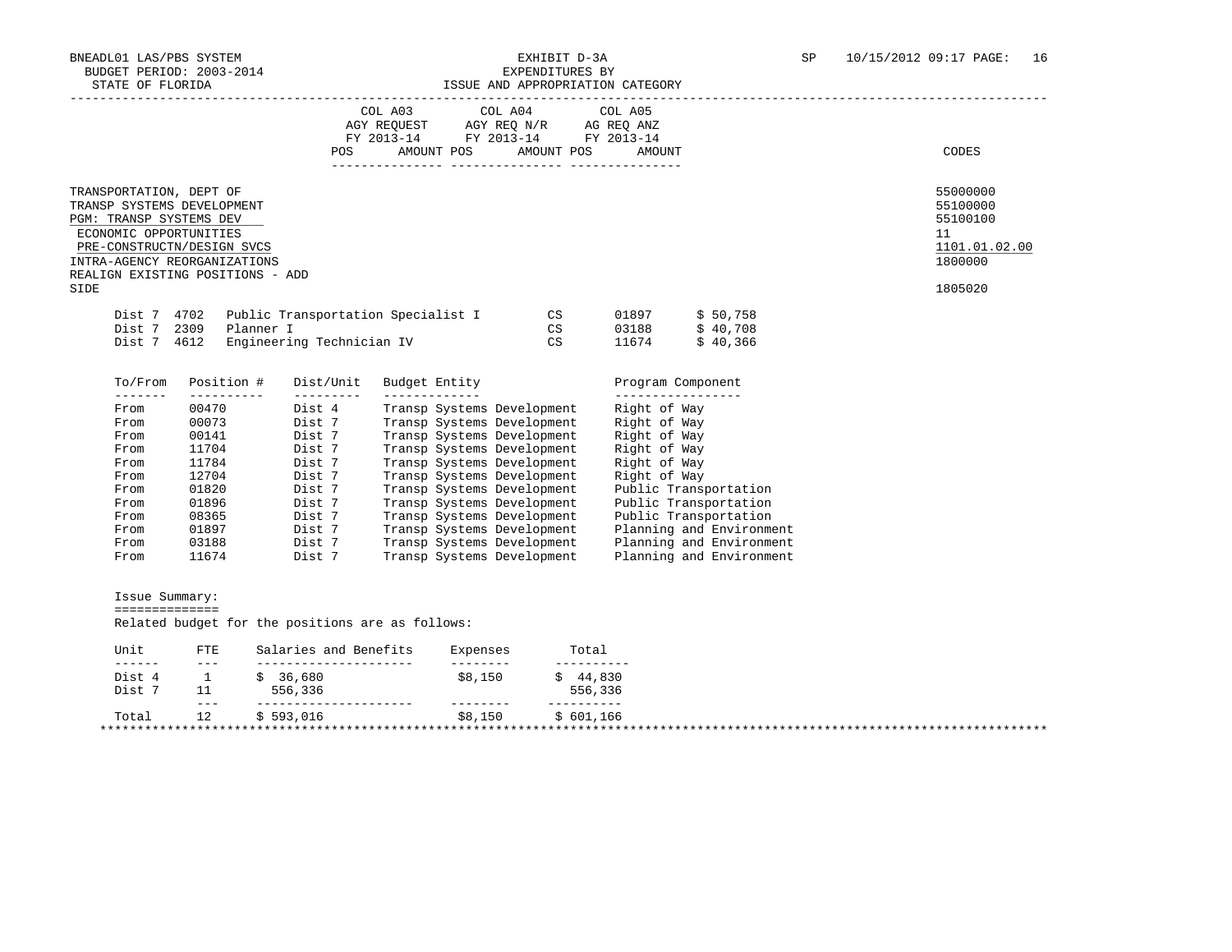|                                                                              |                                                                                                                              | POS                           | COL A03<br>AMOUNT POS | COL A04 COL A05<br>AMOUNT POS                            | AMOUNT                            |                                                      | CODES                                                                         |
|------------------------------------------------------------------------------|------------------------------------------------------------------------------------------------------------------------------|-------------------------------|-----------------------|----------------------------------------------------------|-----------------------------------|------------------------------------------------------|-------------------------------------------------------------------------------|
| TRANSPORTATION, DEPT OF<br>PGM: TRANSP SYSTEMS DEV<br>ECONOMIC OPPORTUNITIES | TRANSP SYSTEMS DEVELOPMENT<br>PRE-CONSTRUCTN/DESIGN SVCS<br>INTRA-AGENCY REORGANIZATIONS<br>REALIGN EXISTING POSITIONS - ADD |                               |                       |                                                          |                                   |                                                      | 55000000<br>55100000<br>55100100<br>11<br>1101.01.02.00<br>1800000<br>1805020 |
|                                                                              |                                                                                                                              |                               |                       |                                                          |                                   |                                                      |                                                                               |
| Dist 7<br>Dist 7 4612                                                        | Dist 7 4702 Public Transportation Specialist I<br>2309<br>Planner I                                                          | Engineering Technician IV     |                       | CS<br>CS<br>CS                                           | 01897<br>03188<br>11674           | \$50,758<br>\$40,708<br>\$40,366                     |                                                                               |
| To/From                                                                      | Position #                                                                                                                   | Dist/Unit                     | Budget Entity         |                                                          | Program Component                 |                                                      |                                                                               |
| --------<br>From                                                             | $- - - - - - - - - -$<br>00470                                                                                               | $- - - - - - - - -$<br>Dist 4 | ______________        | Transp Systems Development                               | _________________<br>Right of Way |                                                      |                                                                               |
| From                                                                         | 00073                                                                                                                        | Dist 7                        |                       | Transp Systems Development                               | Right of Way                      |                                                      |                                                                               |
| From                                                                         | 00141                                                                                                                        | Dist 7                        |                       | Transp Systems Development                               | Right of Way                      |                                                      |                                                                               |
| From                                                                         | 11704                                                                                                                        | Dist 7                        |                       | Transp Systems Development                               | Right of Way                      |                                                      |                                                                               |
| From                                                                         | 11784                                                                                                                        | Dist 7                        |                       | Transp Systems Development                               | Right of Way                      |                                                      |                                                                               |
| From                                                                         | 12704                                                                                                                        | Dist 7                        |                       | Transp Systems Development                               | Right of Way                      |                                                      |                                                                               |
| From                                                                         | 01820                                                                                                                        | Dist 7                        |                       | Transp Systems Development                               |                                   | Public Transportation                                |                                                                               |
| From                                                                         | 01896                                                                                                                        | Dist 7                        |                       | Transp Systems Development                               |                                   | Public Transportation                                |                                                                               |
| From                                                                         | 08365                                                                                                                        | Dist 7                        |                       | Transp Systems Development                               |                                   | Public Transportation                                |                                                                               |
| From                                                                         | 01897                                                                                                                        | Dist 7                        |                       | Transp Systems Development                               |                                   | Planning and Environment                             |                                                                               |
| From                                                                         | 03188<br>11674                                                                                                               | Dist 7                        |                       | Transp Systems Development<br>Transp Systems Development |                                   | Planning and Environment<br>Planning and Environment |                                                                               |

| Unit             | <b>FTE</b> | Salaries and Benefits | Expenses | Total     |  |  |  |
|------------------|------------|-----------------------|----------|-----------|--|--|--|
| ------<br>Dist 4 | ___        | 36,680                | \$8,150  | 44,830    |  |  |  |
| Dist 7           |            | 556,336               |          | 556,336   |  |  |  |
|                  | $- - -$    |                       |          |           |  |  |  |
| Total            | 12         | \$593.016             | \$8,150  | \$601.166 |  |  |  |
|                  |            |                       |          |           |  |  |  |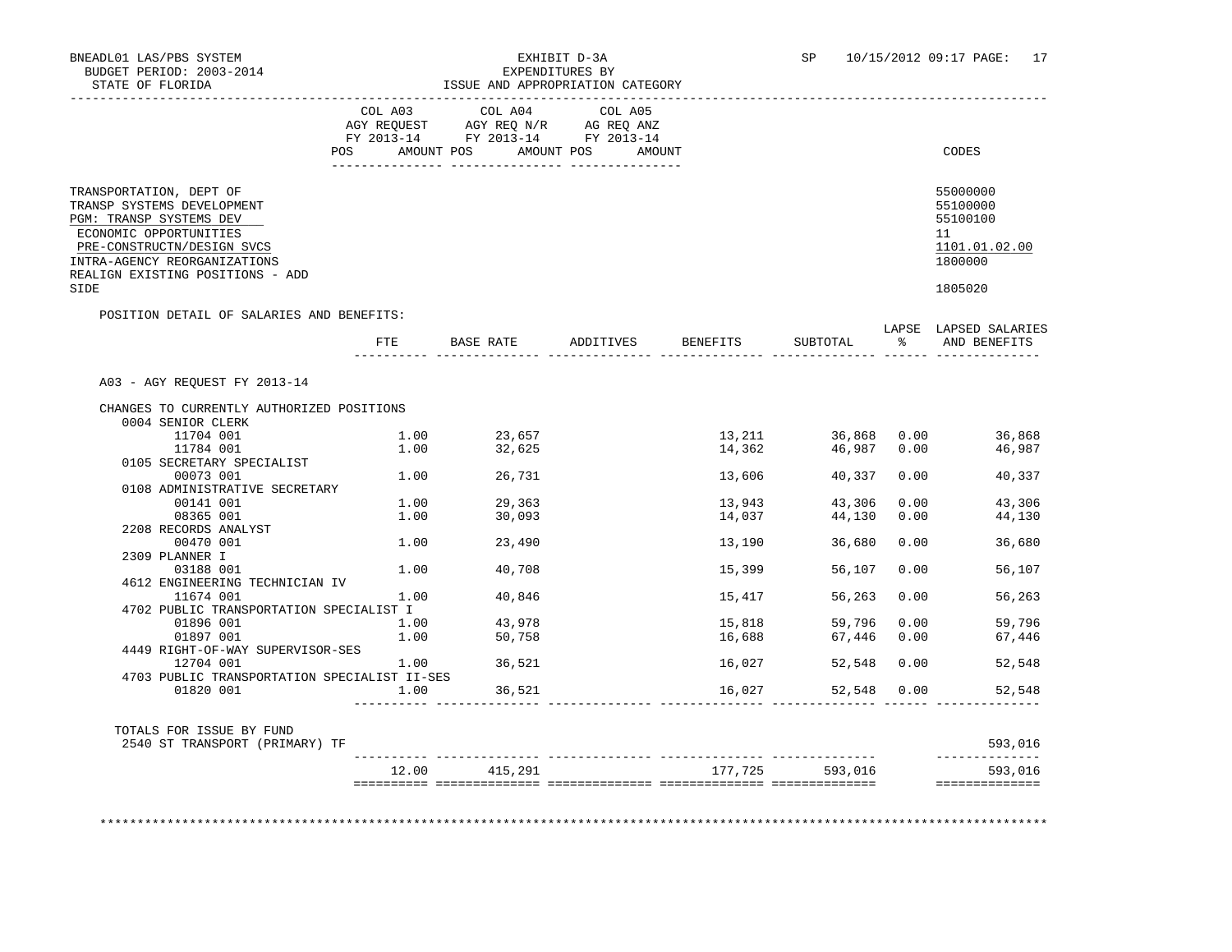|                                                                                                                                                                                                                      | COL A03<br>AGY REQUEST AGY REQ N/R AG REQ ANZ<br>FY 2013-14 FY 2013-14 FY 2013-14 | COL A04     | COL A05                          |        |                      |               |                                                                               |
|----------------------------------------------------------------------------------------------------------------------------------------------------------------------------------------------------------------------|-----------------------------------------------------------------------------------|-------------|----------------------------------|--------|----------------------|---------------|-------------------------------------------------------------------------------|
|                                                                                                                                                                                                                      | POS AMOUNT POS                                                                    |             | AMOUNT POS<br>AMOUNT             |        |                      |               | CODES                                                                         |
| TRANSPORTATION, DEPT OF<br>TRANSP SYSTEMS DEVELOPMENT<br>PGM: TRANSP SYSTEMS DEV<br>ECONOMIC OPPORTUNITIES<br>PRE-CONSTRUCTN/DESIGN SVCS<br>INTRA-AGENCY REORGANIZATIONS<br>REALIGN EXISTING POSITIONS - ADD<br>SIDE |                                                                                   |             |                                  |        |                      |               | 55000000<br>55100000<br>55100100<br>11<br>1101.01.02.00<br>1800000<br>1805020 |
| POSITION DETAIL OF SALARIES AND BENEFITS:                                                                                                                                                                            |                                                                                   |             |                                  |        |                      |               | LAPSE LAPSED SALARIES                                                         |
|                                                                                                                                                                                                                      |                                                                                   |             | FTE BASE RATE ADDITIVES BENEFITS |        | SUBTOTAL             | $\frac{1}{6}$ | AND BENEFITS                                                                  |
| A03 - AGY REQUEST FY 2013-14                                                                                                                                                                                         |                                                                                   |             |                                  |        |                      |               |                                                                               |
| CHANGES TO CURRENTLY AUTHORIZED POSITIONS                                                                                                                                                                            |                                                                                   |             |                                  |        |                      |               |                                                                               |
| 0004 SENIOR CLERK                                                                                                                                                                                                    |                                                                                   |             |                                  |        |                      |               |                                                                               |
| 11704 001                                                                                                                                                                                                            | 1.00                                                                              | 23,657      |                                  |        | 13, 211 36, 868 0.00 |               | 36,868                                                                        |
| 11784 001                                                                                                                                                                                                            | 1.00                                                                              | 32,625      |                                  | 14,362 |                      | 46,987 0.00   | 46,987                                                                        |
| 0105 SECRETARY SPECIALIST                                                                                                                                                                                            |                                                                                   |             |                                  |        |                      |               |                                                                               |
| 00073 001                                                                                                                                                                                                            |                                                                                   | 1.00 26,731 |                                  | 13,606 | 40,337               | 0.00          | 40,337                                                                        |
| 0108 ADMINISTRATIVE SECRETARY                                                                                                                                                                                        |                                                                                   |             |                                  |        |                      |               |                                                                               |
| 00141 001                                                                                                                                                                                                            | 1.00                                                                              | 29,363      |                                  | 13,943 | 43,306               | 0.00          | 43,306                                                                        |
| 08365 001                                                                                                                                                                                                            | 1.00                                                                              | 30,093      |                                  | 14,037 | 44,130               | 0.00          | 44,130                                                                        |
| 2208 RECORDS ANALYST                                                                                                                                                                                                 |                                                                                   |             |                                  |        |                      |               |                                                                               |
| 00470 001<br>2309 PLANNER I                                                                                                                                                                                          | 1.00                                                                              | 23,490      |                                  | 13,190 | 36,680               | 0.00          | 36,680                                                                        |
| 03188 001                                                                                                                                                                                                            | 1.00                                                                              | 40,708      |                                  | 15,399 | 56,107               | 0.00          | 56,107                                                                        |
| 4612 ENGINEERING TECHNICIAN IV                                                                                                                                                                                       |                                                                                   |             |                                  |        |                      |               |                                                                               |
| 11674 001                                                                                                                                                                                                            | 1.00                                                                              | 40,846      |                                  | 15,417 | 56,263               | 0.00          | 56,263                                                                        |
| 4702 PUBLIC TRANSPORTATION SPECIALIST I                                                                                                                                                                              |                                                                                   |             |                                  |        |                      |               |                                                                               |
| 01896 001                                                                                                                                                                                                            | 1.00                                                                              | 43,978      |                                  | 15,818 | 59,796               | 0.00          | 59,796                                                                        |
| 01897 001                                                                                                                                                                                                            | 1.00                                                                              | 50,758      |                                  | 16,688 | 67,446               | 0.00          | 67,446                                                                        |
| 4449 RIGHT-OF-WAY SUPERVISOR-SES                                                                                                                                                                                     |                                                                                   |             |                                  |        |                      |               |                                                                               |
| 12704 001                                                                                                                                                                                                            |                                                                                   | 1.00 36,521 |                                  | 16,027 | 52,548               | 0.00          | 52,548                                                                        |
| 4703 PUBLIC TRANSPORTATION SPECIALIST II-SES                                                                                                                                                                         |                                                                                   |             |                                  |        |                      |               |                                                                               |
| 01820 001                                                                                                                                                                                                            | 1.00                                                                              | 36,521      |                                  | 16,027 |                      | 52,548 0.00   | 52,548                                                                        |
| TOTALS FOR ISSUE BY FUND<br>2540 ST TRANSPORT (PRIMARY) TF                                                                                                                                                           |                                                                                   |             |                                  |        |                      |               | 593,016                                                                       |
|                                                                                                                                                                                                                      |                                                                                   |             |                                  |        |                      |               | ______________                                                                |
|                                                                                                                                                                                                                      |                                                                                   |             |                                  |        |                      |               |                                                                               |

\*\*\*\*\*\*\*\*\*\*\*\*\*\*\*\*\*\*\*\*\*\*\*\*\*\*\*\*\*\*\*\*\*\*\*\*\*\*\*\*\*\*\*\*\*\*\*\*\*\*\*\*\*\*\*\*\*\*\*\*\*\*\*\*\*\*\*\*\*\*\*\*\*\*\*\*\*\*\*\*\*\*\*\*\*\*\*\*\*\*\*\*\*\*\*\*\*\*\*\*\*\*\*\*\*\*\*\*\*\*\*\*\*\*\*\*\*\*\*\*\*\*\*\*\*\*\*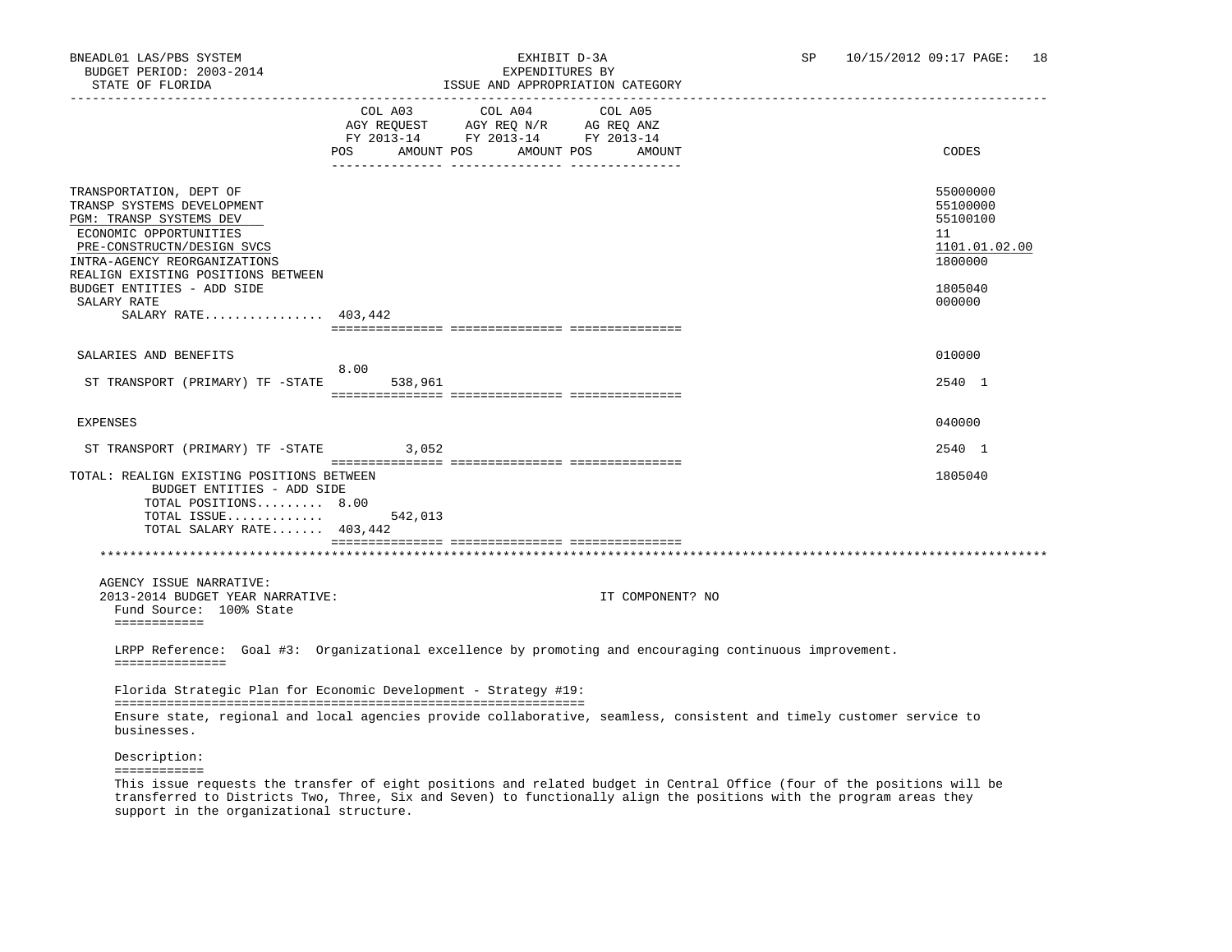## STATE OF FLORIDA ISSUE OF FLORIDA ISSUE AND APPROPRIATION CATEGORY

| PIAIR OR FLOKIDA                                                                                                                                                                                               |                                                                                                                                  | ISSUE AND APPROPRIAIION CAIEGORY |                                                                                                                      |                                                                    |
|----------------------------------------------------------------------------------------------------------------------------------------------------------------------------------------------------------------|----------------------------------------------------------------------------------------------------------------------------------|----------------------------------|----------------------------------------------------------------------------------------------------------------------|--------------------------------------------------------------------|
|                                                                                                                                                                                                                | COL A03 COL A04<br>AGY REQUEST AGY REQ N/R AG REQ ANZ<br>FY 2013-14 FY 2013-14 FY 2013-14<br>AMOUNT POS AMOUNT POS AMOUNT<br>POS | COL A05                          |                                                                                                                      | CODES                                                              |
| TRANSPORTATION, DEPT OF<br>TRANSP SYSTEMS DEVELOPMENT<br>PGM: TRANSP SYSTEMS DEV<br>ECONOMIC OPPORTUNITIES<br>PRE-CONSTRUCTN/DESIGN SVCS<br>INTRA-AGENCY REORGANIZATIONS<br>REALIGN EXISTING POSITIONS BETWEEN |                                                                                                                                  |                                  |                                                                                                                      | 55000000<br>55100000<br>55100100<br>11<br>1101.01.02.00<br>1800000 |
| BUDGET ENTITIES - ADD SIDE<br>SALARY RATE<br>SALARY RATE 403,442                                                                                                                                               |                                                                                                                                  |                                  |                                                                                                                      | 1805040<br>000000                                                  |
|                                                                                                                                                                                                                |                                                                                                                                  |                                  |                                                                                                                      |                                                                    |
| SALARIES AND BENEFITS                                                                                                                                                                                          | 8.00                                                                                                                             |                                  |                                                                                                                      | 010000                                                             |
| ST TRANSPORT (PRIMARY) TF -STATE                                                                                                                                                                               | 538,961                                                                                                                          |                                  |                                                                                                                      | 2540 1                                                             |
| EXPENSES                                                                                                                                                                                                       |                                                                                                                                  |                                  |                                                                                                                      | 040000                                                             |
| ST TRANSPORT (PRIMARY) TF -STATE                                                                                                                                                                               | 3,052                                                                                                                            |                                  |                                                                                                                      | 2540 1                                                             |
| TOTAL: REALIGN EXISTING POSITIONS BETWEEN<br>BUDGET ENTITIES - ADD SIDE<br>TOTAL POSITIONS 8.00<br>TOTAL ISSUE<br>TOTAL SALARY RATE $403,442$                                                                  | 542,013                                                                                                                          |                                  |                                                                                                                      | 1805040                                                            |
|                                                                                                                                                                                                                |                                                                                                                                  |                                  |                                                                                                                      |                                                                    |
| AGENCY ISSUE NARRATIVE:<br>2013-2014 BUDGET YEAR NARRATIVE:<br>Fund Source: 100% State<br>============                                                                                                         |                                                                                                                                  |                                  | IT COMPONENT? NO                                                                                                     |                                                                    |
| ===============                                                                                                                                                                                                |                                                                                                                                  |                                  | LRPP Reference: Goal #3: Organizational excellence by promoting and encouraging continuous improvement.              |                                                                    |
| Florida Strategic Plan for Economic Development - Strategy #19:                                                                                                                                                |                                                                                                                                  |                                  |                                                                                                                      |                                                                    |
| businesses.                                                                                                                                                                                                    |                                                                                                                                  |                                  | Ensure state, regional and local agencies provide collaborative, seamless, consistent and timely customer service to |                                                                    |
| Description:<br>============                                                                                                                                                                                   |                                                                                                                                  |                                  |                                                                                                                      |                                                                    |

 This issue requests the transfer of eight positions and related budget in Central Office (four of the positions will be transferred to Districts Two, Three, Six and Seven) to functionally align the positions with the program areas they support in the organizational structure.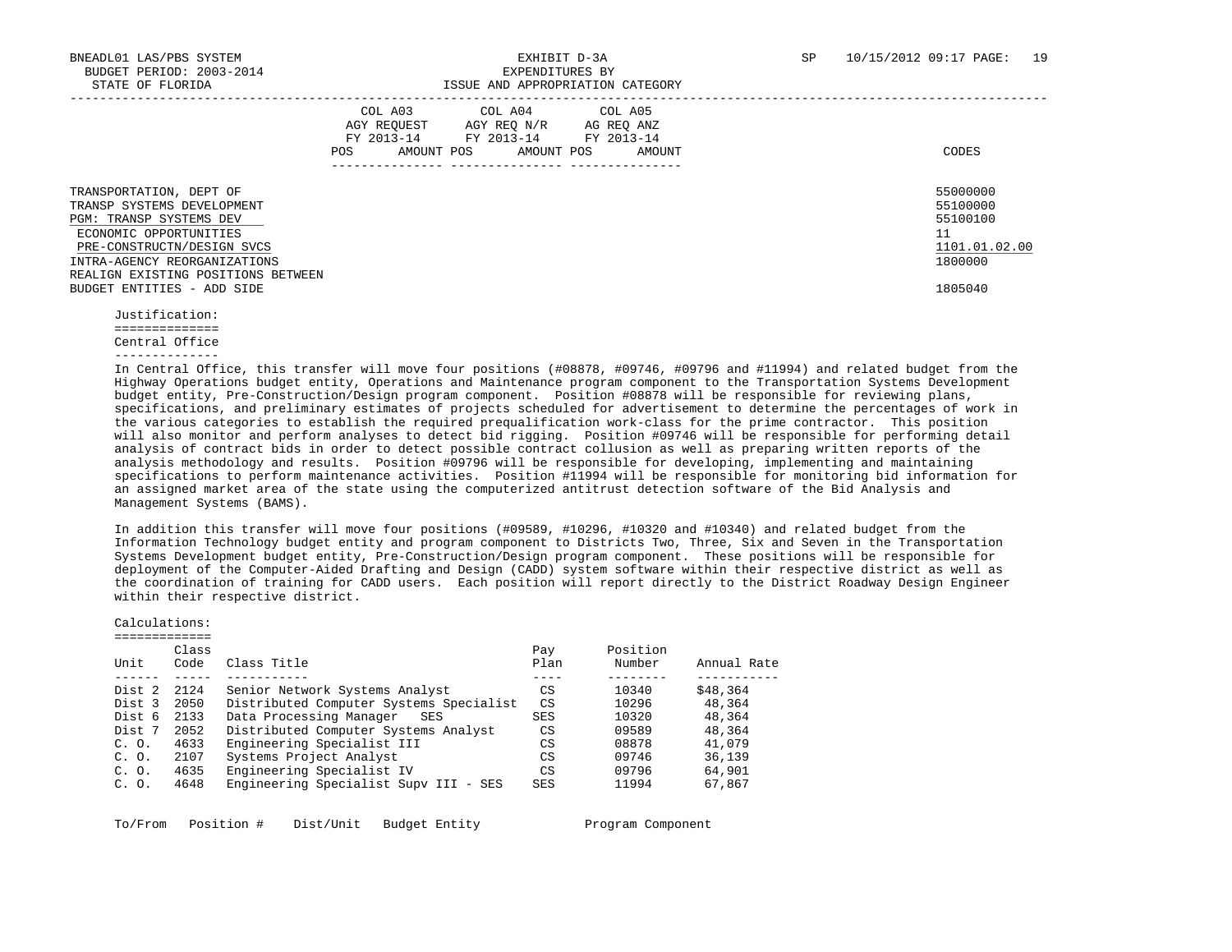|                                                                                                                                                                                                                                              | COL A03<br>AGY REOUEST<br>AMOUNT POS<br>POS | COL A04 COL A05<br>AGY REO N/R<br>FY 2013-14 FY 2013-14 FY 2013-14<br>AMOUNT POS | AG REO ANZ<br>AMOUNT | CODES                                                                         |
|----------------------------------------------------------------------------------------------------------------------------------------------------------------------------------------------------------------------------------------------|---------------------------------------------|----------------------------------------------------------------------------------|----------------------|-------------------------------------------------------------------------------|
| TRANSPORTATION, DEPT OF<br>TRANSP SYSTEMS DEVELOPMENT<br>PGM: TRANSP SYSTEMS DEV<br>ECONOMIC OPPORTUNITIES<br>PRE-CONSTRUCTN/DESIGN SVCS<br>INTRA-AGENCY REORGANIZATIONS<br>REALIGN EXISTING POSITIONS BETWEEN<br>BUDGET ENTITIES - ADD SIDE |                                             |                                                                                  |                      | 55000000<br>55100000<br>55100100<br>11<br>1101.01.02.00<br>1800000<br>1805040 |
| $T_{11}a + \frac{1}{2}f + \frac{1}{2}a + \frac{1}{2}a + \frac{1}{2}a$                                                                                                                                                                        |                                             |                                                                                  |                      |                                                                               |

 Justification: ============== Central Office --------------

 In Central Office, this transfer will move four positions (#08878, #09746, #09796 and #11994) and related budget from the Highway Operations budget entity, Operations and Maintenance program component to the Transportation Systems Development budget entity, Pre-Construction/Design program component. Position #08878 will be responsible for reviewing plans, specifications, and preliminary estimates of projects scheduled for advertisement to determine the percentages of work in the various categories to establish the required prequalification work-class for the prime contractor. This position will also monitor and perform analyses to detect bid rigging. Position #09746 will be responsible for performing detail analysis of contract bids in order to detect possible contract collusion as well as preparing written reports of the analysis methodology and results. Position #09796 will be responsible for developing, implementing and maintaining specifications to perform maintenance activities. Position #11994 will be responsible for monitoring bid information for an assigned market area of the state using the computerized antitrust detection software of the Bid Analysis and Management Systems (BAMS).

 In addition this transfer will move four positions (#09589, #10296, #10320 and #10340) and related budget from the Information Technology budget entity and program component to Districts Two, Three, Six and Seven in the Transportation Systems Development budget entity, Pre-Construction/Design program component. These positions will be responsible for deployment of the Computer-Aided Drafting and Design (CADD) system software within their respective district as well as the coordination of training for CADD users. Each position will report directly to the District Roadway Design Engineer within their respective district.

 Calculations: =============

| Unit   | Class<br>Code | Class Title                             | Pay<br>Plan | Position<br>Number | Annual Rate |
|--------|---------------|-----------------------------------------|-------------|--------------------|-------------|
| Dist 2 | 2124          | Senior Network Systems Analyst          | CS          | 10340              | \$48,364    |
| Dist 3 | 2050          | Distributed Computer Systems Specialist | CS          | 10296              | 48,364      |
| Dist 6 | 2133          | Data Processing Manager<br>SES          | <b>SES</b>  | 10320              | 48,364      |
| Dist 7 | 2052          | Distributed Computer Systems Analyst    | CS          | 09589              | 48,364      |
| C. O.  | 4633          | Engineering Specialist III              | CS          | 08878              | 41,079      |
| C. O.  | 2107          | Systems Project Analyst                 | CS          | 09746              | 36,139      |
| C. O.  | 4635          | Engineering Specialist IV               | CS          | 09796              | 64,901      |
| C. O.  | 4648          | Engineering Specialist Supy III - SES   | <b>SES</b>  | 11994              | 67,867      |

To/From Position # Dist/Unit Budget Entity Program Component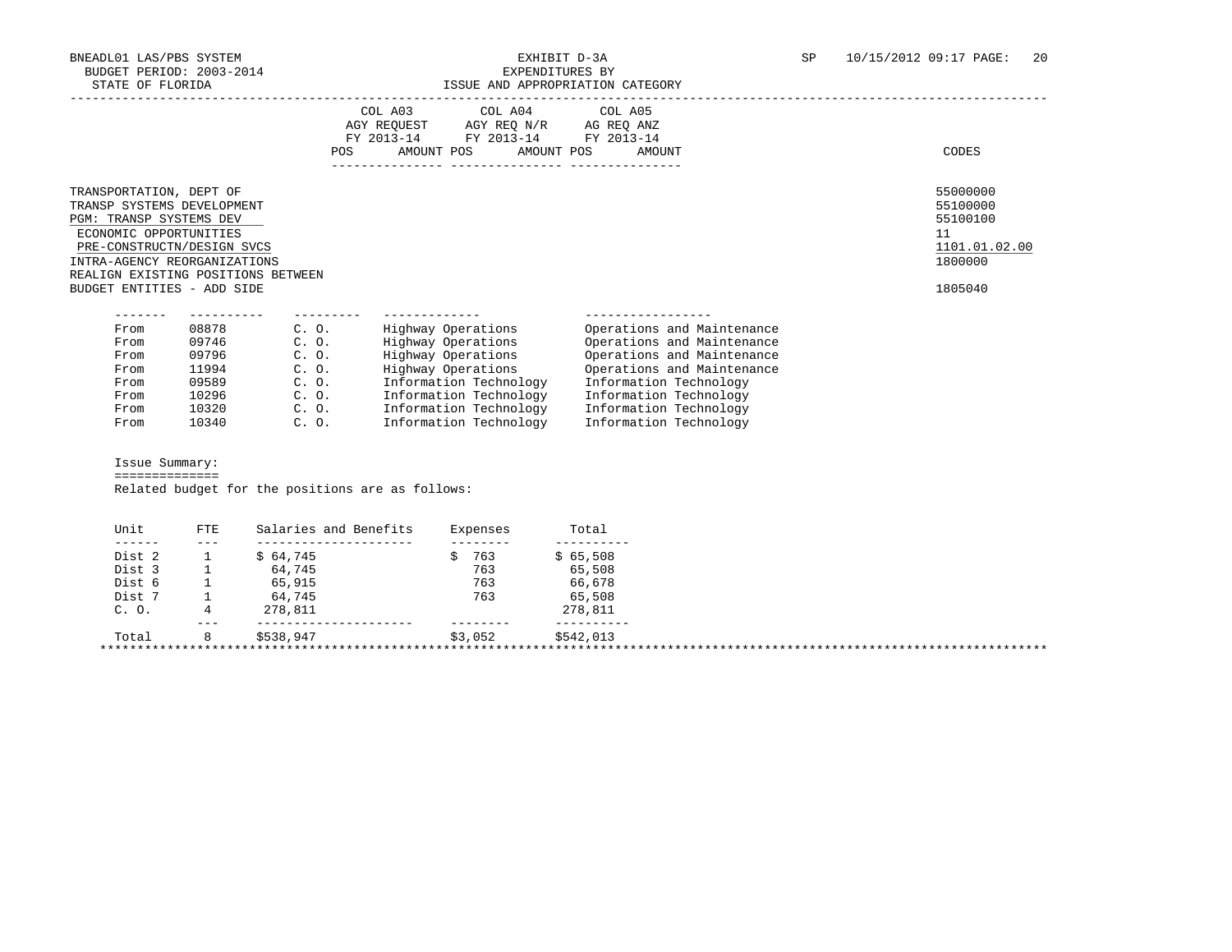# ISSUE AND APPROPRIATION CATEGORY

|                                                                                                                                                                                                                                              |                               | POS                               | COL A03 COL A04 COL A05<br>AGY REQUEST AGY REQ N/R AG REQ ANZ<br>FY 2013-14 FY 2013-14 FY 2013-14<br>AMOUNT POS |                    | AMOUNT POS | AMOUNT                     | CODES                                                                         |
|----------------------------------------------------------------------------------------------------------------------------------------------------------------------------------------------------------------------------------------------|-------------------------------|-----------------------------------|-----------------------------------------------------------------------------------------------------------------|--------------------|------------|----------------------------|-------------------------------------------------------------------------------|
| TRANSPORTATION, DEPT OF<br>TRANSP SYSTEMS DEVELOPMENT<br>PGM: TRANSP SYSTEMS DEV<br>ECONOMIC OPPORTUNITIES<br>PRE-CONSTRUCTN/DESIGN SVCS<br>INTRA-AGENCY REORGANIZATIONS<br>REALIGN EXISTING POSITIONS BETWEEN<br>BUDGET ENTITIES - ADD SIDE |                               |                                   |                                                                                                                 |                    |            |                            | 55000000<br>55100000<br>55100100<br>11<br>1101.01.02.00<br>1800000<br>1805040 |
|                                                                                                                                                                                                                                              |                               |                                   |                                                                                                                 |                    |            |                            |                                                                               |
| From                                                                                                                                                                                                                                         | -----------<br>08878          | ---------<br>C. O.                | Highway Operations                                                                                              |                    |            | Operations and Maintenance |                                                                               |
| From                                                                                                                                                                                                                                         | 09746                         | C. O.                             | Highway Operations                                                                                              |                    |            | Operations and Maintenance |                                                                               |
| From                                                                                                                                                                                                                                         | 09796                         | C. O.                             | Highway Operations                                                                                              |                    |            | Operations and Maintenance |                                                                               |
| From                                                                                                                                                                                                                                         | 11994                         | C. O.                             | Highway Operations                                                                                              |                    |            | Operations and Maintenance |                                                                               |
| From                                                                                                                                                                                                                                         | 09589                         | C. O.                             | Information Technology                                                                                          |                    |            | Information Technology     |                                                                               |
| From                                                                                                                                                                                                                                         | 10296                         | C. O.                             | Information Technology                                                                                          |                    |            | Information Technology     |                                                                               |
| From                                                                                                                                                                                                                                         | 10320                         | C. O.                             | Information Technology                                                                                          |                    |            | Information Technology     |                                                                               |
| From                                                                                                                                                                                                                                         | 10340                         | C. O.                             | Information Technology                                                                                          |                    |            | Information Technology     |                                                                               |
| Issue Summary:<br>==============                                                                                                                                                                                                             |                               |                                   |                                                                                                                 |                    |            |                            |                                                                               |
|                                                                                                                                                                                                                                              |                               |                                   | Related budget for the positions are as follows:                                                                |                    |            |                            |                                                                               |
| Unit                                                                                                                                                                                                                                         | <b>FTE</b>                    | Salaries and Benefits             |                                                                                                                 | Expenses           | Total      |                            |                                                                               |
| -------<br>Dist 2                                                                                                                                                                                                                            | $\frac{1}{2}$<br>$\mathbf{1}$ | ---------------------<br>\$64,745 |                                                                                                                 | ---------<br>\$763 | \$65,508   |                            |                                                                               |

| Dist 3 |         | 64,745    | 763     | 65,508    |  |  |
|--------|---------|-----------|---------|-----------|--|--|
| Dist 6 |         | 65,915    | 763     | 66,678    |  |  |
| Dist 7 |         | 64,745    | 763     | 65,508    |  |  |
| C. O.  |         | 278,811   |         | 278,811   |  |  |
|        | $- - -$ |           |         |           |  |  |
| Total  |         | \$538,947 | \$3,052 | \$542,013 |  |  |
|        |         |           |         |           |  |  |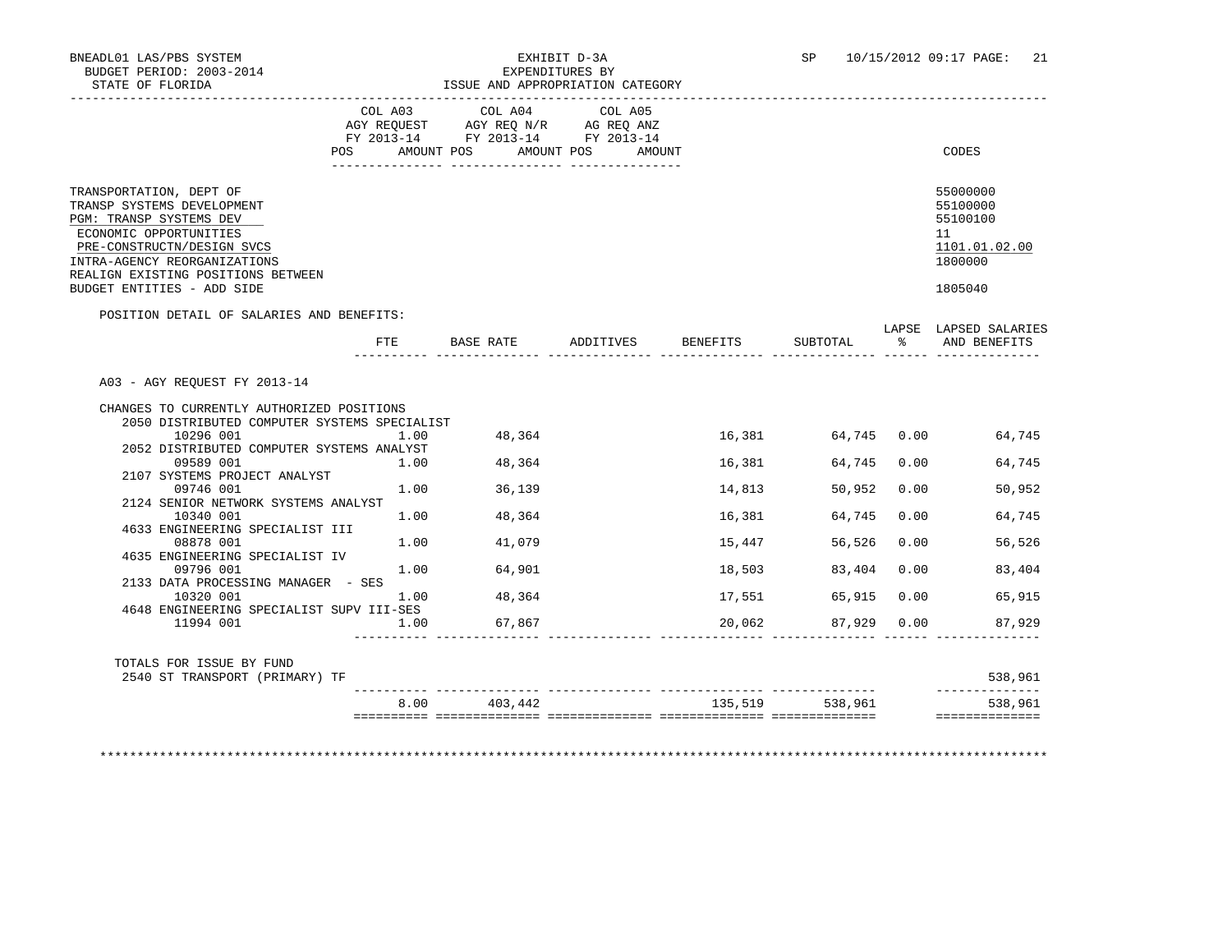|                                                                                                                                                                                                                                              | COL A03<br>POS AMOUNT POS | COL A04<br>AGY REQUEST AGY REQ N/R AG REQ ANZ<br>FY 2013-14 FY 2013-14 FY 2013-14 | COL A05<br>AMOUNT POS AMOUNT |                 |                    |               | CODES                                                                         |
|----------------------------------------------------------------------------------------------------------------------------------------------------------------------------------------------------------------------------------------------|---------------------------|-----------------------------------------------------------------------------------|------------------------------|-----------------|--------------------|---------------|-------------------------------------------------------------------------------|
| TRANSPORTATION, DEPT OF<br>TRANSP SYSTEMS DEVELOPMENT<br>PGM: TRANSP SYSTEMS DEV<br>ECONOMIC OPPORTUNITIES<br>PRE-CONSTRUCTN/DESIGN SVCS<br>INTRA-AGENCY REORGANIZATIONS<br>REALIGN EXISTING POSITIONS BETWEEN<br>BUDGET ENTITIES - ADD SIDE |                           |                                                                                   |                              |                 |                    |               | 55000000<br>55100000<br>55100100<br>11<br>1101.01.02.00<br>1800000<br>1805040 |
| POSITION DETAIL OF SALARIES AND BENEFITS:                                                                                                                                                                                                    |                           |                                                                                   |                              |                 |                    |               |                                                                               |
|                                                                                                                                                                                                                                              | FTE                       |                                                                                   | BASE RATE ADDITIVES          | <b>BENEFITS</b> | SUBTOTAL           | $\frac{1}{2}$ | LAPSE LAPSED SALARIES<br>AND BENEFITS                                         |
| A03 - AGY REOUEST FY 2013-14<br>CHANGES TO CURRENTLY AUTHORIZED POSITIONS                                                                                                                                                                    |                           |                                                                                   |                              |                 |                    |               |                                                                               |
| 2050 DISTRIBUTED COMPUTER SYSTEMS SPECIALIST<br>10296 001                                                                                                                                                                                    | 1.00                      | 48,364                                                                            |                              |                 | 16,381 64,745 0.00 |               | 64,745                                                                        |
| 2052 DISTRIBUTED COMPUTER SYSTEMS ANALYST                                                                                                                                                                                                    |                           |                                                                                   |                              |                 |                    |               |                                                                               |
| 09589 001                                                                                                                                                                                                                                    | 1.00                      | 48,364                                                                            |                              | 16,381          | 64,745 0.00        |               | 64,745                                                                        |
| 2107 SYSTEMS PROJECT ANALYST                                                                                                                                                                                                                 |                           |                                                                                   |                              |                 |                    |               |                                                                               |
| 09746 001                                                                                                                                                                                                                                    | 1.00                      | 36,139                                                                            |                              | 14,813          | 50,952             | 0.00          | 50,952                                                                        |
| 2124 SENIOR NETWORK SYSTEMS ANALYST<br>10340 001                                                                                                                                                                                             | 1.00                      | 48,364                                                                            |                              | 16,381          | 64,745             | 0.00          | 64,745                                                                        |
| 4633 ENGINEERING SPECIALIST III                                                                                                                                                                                                              |                           |                                                                                   |                              |                 |                    |               |                                                                               |
| 08878 001                                                                                                                                                                                                                                    |                           | 1.00 41,079                                                                       |                              | 15,447          | 56,526             | 0.00          | 56,526                                                                        |
| 4635 ENGINEERING SPECIALIST IV                                                                                                                                                                                                               |                           |                                                                                   |                              |                 |                    |               |                                                                               |
| 09796 001                                                                                                                                                                                                                                    | 1.00                      | 64,901                                                                            |                              | 18,503          | 83,404             | 0.00          | 83,404                                                                        |
| 2133 DATA PROCESSING MANAGER - SES                                                                                                                                                                                                           |                           |                                                                                   |                              |                 |                    |               |                                                                               |
| 10320 001                                                                                                                                                                                                                                    | 1.00                      | 48,364                                                                            |                              | 17,551          | 65,915 0.00        |               | 65,915                                                                        |
| 4648 ENGINEERING SPECIALIST SUPV III-SES<br>11994 001                                                                                                                                                                                        | 1.00                      | 67,867                                                                            |                              | 20,062          | 87,929 0.00        |               | 87,929                                                                        |
|                                                                                                                                                                                                                                              |                           |                                                                                   |                              |                 |                    |               |                                                                               |
| TOTALS FOR ISSUE BY FUND<br>2540 ST TRANSPORT (PRIMARY) TF                                                                                                                                                                                   |                           |                                                                                   |                              |                 |                    |               | 538,961                                                                       |
|                                                                                                                                                                                                                                              |                           |                                                                                   |                              |                 |                    |               |                                                                               |

\*\*\*\*\*\*\*\*\*\*\*\*\*\*\*\*\*\*\*\*\*\*\*\*\*\*\*\*\*\*\*\*\*\*\*\*\*\*\*\*\*\*\*\*\*\*\*\*\*\*\*\*\*\*\*\*\*\*\*\*\*\*\*\*\*\*\*\*\*\*\*\*\*\*\*\*\*\*\*\*\*\*\*\*\*\*\*\*\*\*\*\*\*\*\*\*\*\*\*\*\*\*\*\*\*\*\*\*\*\*\*\*\*\*\*\*\*\*\*\*\*\*\*\*\*\*\*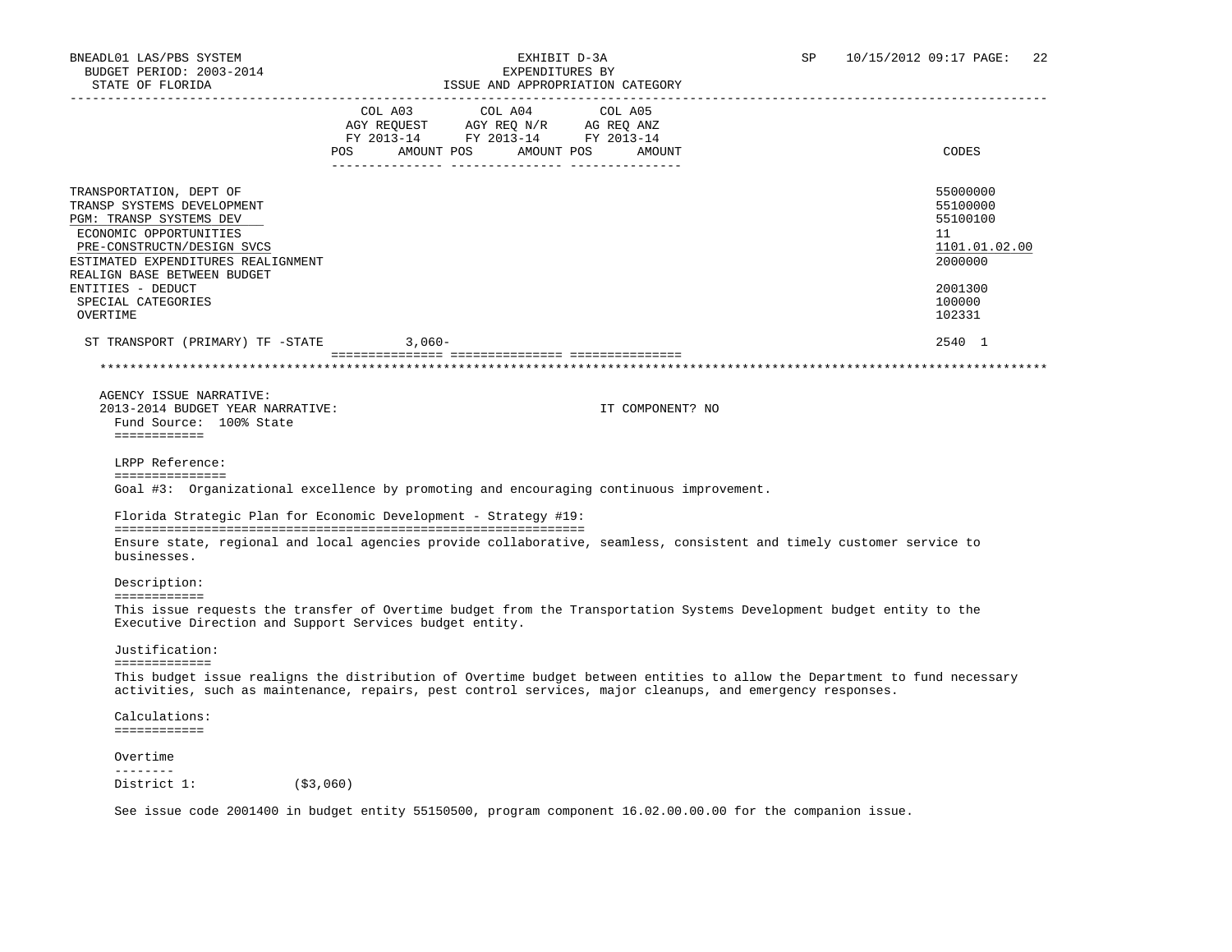| STATE OF FLORIDA                                                                                                                                                                                                                        |                                      |                                                                                   | ISSUE AND APPROPRIATION CATEGORY |                                                                                                                           |
|-----------------------------------------------------------------------------------------------------------------------------------------------------------------------------------------------------------------------------------------|--------------------------------------|-----------------------------------------------------------------------------------|----------------------------------|---------------------------------------------------------------------------------------------------------------------------|
|                                                                                                                                                                                                                                         | COL A03<br>POS AMOUNT POS AMOUNT POS | COL A04<br>AGY REQUEST AGY REQ N/R AG REQ ANZ<br>FY 2013-14 FY 2013-14 FY 2013-14 | COL A05<br>AMOUNT                | CODES                                                                                                                     |
| TRANSPORTATION, DEPT OF<br>TRANSP SYSTEMS DEVELOPMENT<br>PGM: TRANSP SYSTEMS DEV<br>ECONOMIC OPPORTUNITIES<br>PRE-CONSTRUCTN/DESIGN SVCS<br>ESTIMATED EXPENDITURES REALIGNMENT                                                          |                                      |                                                                                   |                                  | 55000000<br>55100000<br>55100100<br>11<br>1101.01.02.00<br>2000000                                                        |
| REALIGN BASE BETWEEN BUDGET<br>ENTITIES - DEDUCT<br>SPECIAL CATEGORIES<br>OVERTIME                                                                                                                                                      |                                      |                                                                                   |                                  | 2001300<br>100000<br>102331                                                                                               |
| ST TRANSPORT (PRIMARY) TF -STATE                                                                                                                                                                                                        | $3.060 -$                            |                                                                                   |                                  | 2540 1                                                                                                                    |
|                                                                                                                                                                                                                                         |                                      |                                                                                   |                                  |                                                                                                                           |
| AGENCY ISSUE NARRATIVE:<br>2013-2014 BUDGET YEAR NARRATIVE:<br>Fund Source: 100% State<br>============<br>LRPP Reference:<br>===============<br>Goal #3: Organizational excellence by promoting and encouraging continuous improvement. |                                      |                                                                                   | IT COMPONENT? NO                 |                                                                                                                           |
| Florida Strategic Plan for Economic Development - Strategy #19:                                                                                                                                                                         |                                      |                                                                                   |                                  |                                                                                                                           |
| businesses.                                                                                                                                                                                                                             |                                      |                                                                                   |                                  | Ensure state, regional and local agencies provide collaborative, seamless, consistent and timely customer service to      |
| Description:<br>============                                                                                                                                                                                                            |                                      |                                                                                   |                                  |                                                                                                                           |
| Executive Direction and Support Services budget entity.                                                                                                                                                                                 |                                      |                                                                                   |                                  | This issue requests the transfer of Overtime budget from the Transportation Systems Development budget entity to the      |
| Justification:                                                                                                                                                                                                                          |                                      |                                                                                   |                                  |                                                                                                                           |
| =============<br>activities, such as maintenance, repairs, pest control services, major cleanups, and emergency responses.                                                                                                              |                                      |                                                                                   |                                  | This budget issue realigns the distribution of Overtime budget between entities to allow the Department to fund necessary |
| Calculations:<br>============                                                                                                                                                                                                           |                                      |                                                                                   |                                  |                                                                                                                           |
| Overtime                                                                                                                                                                                                                                |                                      |                                                                                   |                                  |                                                                                                                           |
| <u>________</u><br>District 1: (\$3,060)                                                                                                                                                                                                |                                      |                                                                                   |                                  |                                                                                                                           |

See issue code 2001400 in budget entity 55150500, program component 16.02.00.00.00 for the companion issue.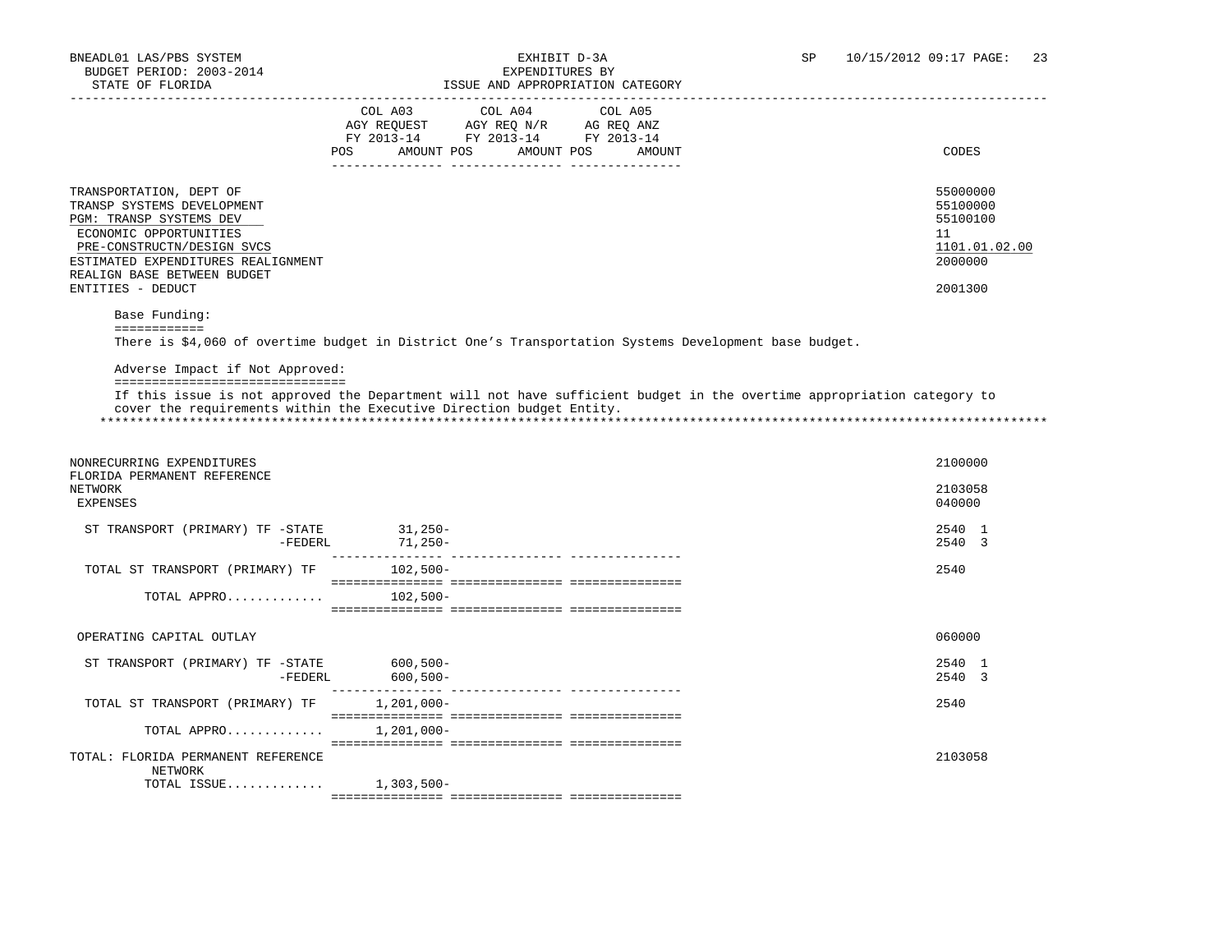|                                                                                                                                                                                                                                    | COL A03 COL A04<br>AMOUNT POS<br>POS | COL A05<br>$\begin{tabular}{lllllll} AGY & \texttt{REQUEST} & \texttt{AGY REQ} & \texttt{N/R} & \texttt{AG REQ} & \texttt{ANZ} \end{tabular}$<br>FY 2013-14 FY 2013-14 FY 2013-14<br>AMOUNT POS<br>AMOUNT | CODES                                                                         |
|------------------------------------------------------------------------------------------------------------------------------------------------------------------------------------------------------------------------------------|--------------------------------------|-----------------------------------------------------------------------------------------------------------------------------------------------------------------------------------------------------------|-------------------------------------------------------------------------------|
| TRANSPORTATION, DEPT OF<br>TRANSP SYSTEMS DEVELOPMENT<br>PGM: TRANSP SYSTEMS DEV<br>ECONOMIC OPPORTUNITIES<br>PRE-CONSTRUCTN/DESIGN SVCS<br>ESTIMATED EXPENDITURES REALIGNMENT<br>REALIGN BASE BETWEEN BUDGET<br>ENTITIES - DEDUCT |                                      |                                                                                                                                                                                                           | 55000000<br>55100000<br>55100100<br>11<br>1101.01.02.00<br>2000000<br>2001300 |
| Base Funding:                                                                                                                                                                                                                      |                                      |                                                                                                                                                                                                           |                                                                               |
| ============                                                                                                                                                                                                                       |                                      | There is \$4,060 of overtime budget in District One's Transportation Systems Development base budget.                                                                                                     |                                                                               |
| Adverse Impact if Not Approved:<br>=================================                                                                                                                                                               |                                      |                                                                                                                                                                                                           |                                                                               |
| cover the requirements within the Executive Direction budget Entity.                                                                                                                                                               |                                      | If this issue is not approved the Department will not have sufficient budget in the overtime appropriation category to                                                                                    |                                                                               |
| NONRECURRING EXPENDITURES<br>FLORIDA PERMANENT REFERENCE<br>NETWORK<br><b>EXPENSES</b>                                                                                                                                             |                                      |                                                                                                                                                                                                           | 2100000<br>2103058<br>040000                                                  |
| ST TRANSPORT (PRIMARY) TF -STATE $-$ 31,250-<br>-FEDERL 71,250-                                                                                                                                                                    |                                      |                                                                                                                                                                                                           | 2540 1<br>2540 3                                                              |
| TOTAL ST TRANSPORT (PRIMARY) TF                                                                                                                                                                                                    | 102,500-                             |                                                                                                                                                                                                           | 2540                                                                          |
| TOTAL APPRO $102,500-$                                                                                                                                                                                                             |                                      |                                                                                                                                                                                                           |                                                                               |
| OPERATING CAPITAL OUTLAY                                                                                                                                                                                                           |                                      |                                                                                                                                                                                                           | 060000                                                                        |
| ST TRANSPORT (PRIMARY) TF -STATE $600,500-$<br>-FEDERL $600,500-$                                                                                                                                                                  |                                      |                                                                                                                                                                                                           | 2540 1<br>2540 3                                                              |
| TOTAL ST TRANSPORT (PRIMARY) TF                                                                                                                                                                                                    | 1,201,000-                           |                                                                                                                                                                                                           | 2540                                                                          |
| TOTAL APPRO                                                                                                                                                                                                                        | 1,201,000-                           |                                                                                                                                                                                                           |                                                                               |
| TOTAL: FLORIDA PERMANENT REFERENCE<br>NETWORK                                                                                                                                                                                      |                                      |                                                                                                                                                                                                           | 2103058                                                                       |
| TOTAL ISSUE $1,303,500-$                                                                                                                                                                                                           |                                      |                                                                                                                                                                                                           |                                                                               |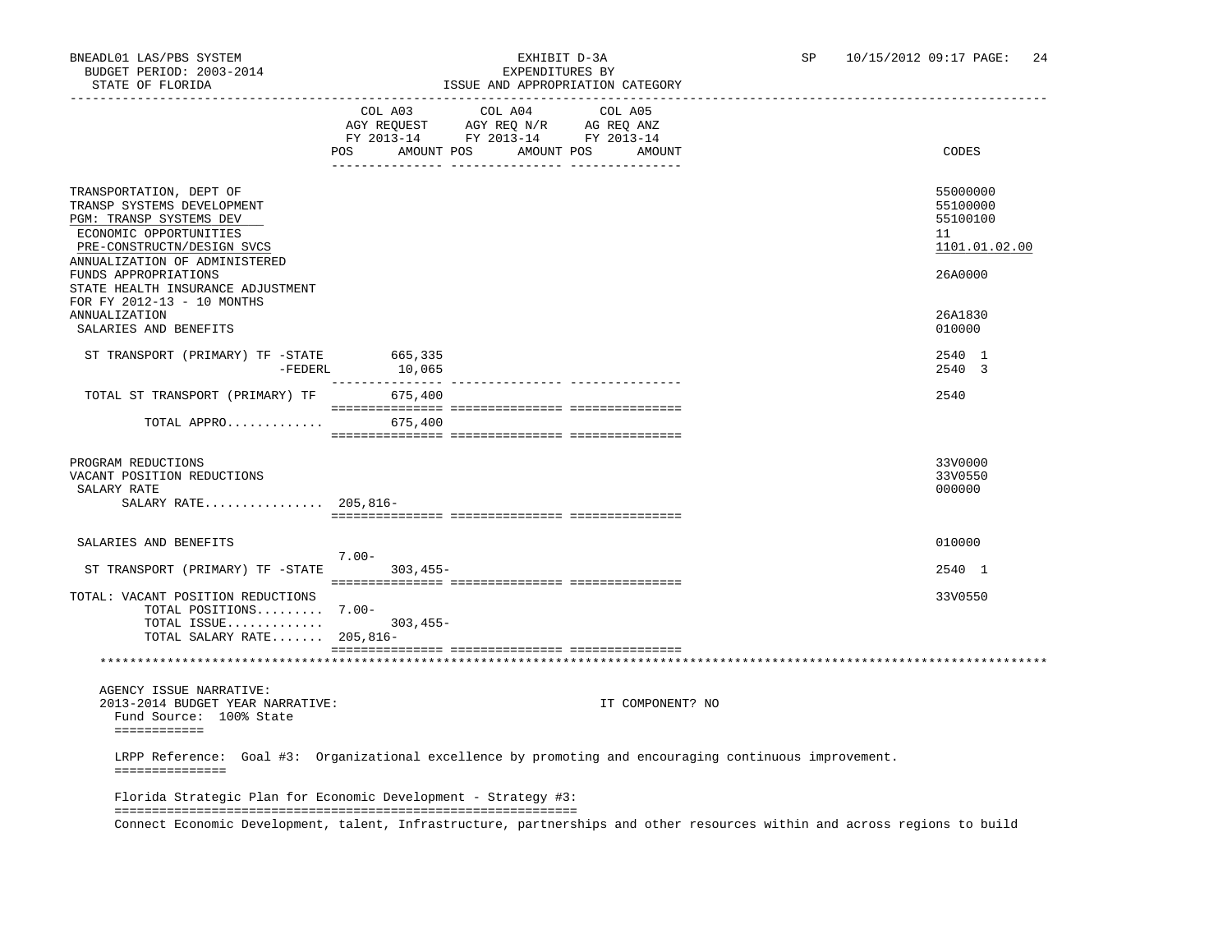### BNEADL01 LAS/PBS SYSTEM EXHIBIT D-3A SP 10/15/2012 09:17 PAGE: 24 ISSUE AND APPROPRIATION CATEGORY

|                                                                                                                                                                                                                                        |                                                                                                                                                                                                                        |                 | TOOG UND UITIKOIKINITOIN CUIDOOKI |                                                                    |
|----------------------------------------------------------------------------------------------------------------------------------------------------------------------------------------------------------------------------------------|------------------------------------------------------------------------------------------------------------------------------------------------------------------------------------------------------------------------|-----------------|-----------------------------------|--------------------------------------------------------------------|
|                                                                                                                                                                                                                                        | $\begin{tabular}{lllllll} \bf AGY \;\; RegUEST & \tt AGY \;\; REG \;\; N/R & \tt AG \;\; REG \;\; ANZ \\ \hline \tt FY \;\; 2013-14 & \tt FY \;\; 2013-14 & \tt FY \;\; 2013-14 \\ \end{tabular}$<br>POS<br>AMOUNT POS | COL A03 COL A04 | COL A05<br>AMOUNT POS<br>AMOUNT   | CODES                                                              |
| TRANSPORTATION, DEPT OF<br>TRANSP SYSTEMS DEVELOPMENT<br>PGM: TRANSP SYSTEMS DEV<br>ECONOMIC OPPORTUNITIES<br>PRE-CONSTRUCTN/DESIGN SVCS<br>ANNUALIZATION OF ADMINISTERED<br>FUNDS APPROPRIATIONS<br>STATE HEALTH INSURANCE ADJUSTMENT |                                                                                                                                                                                                                        |                 |                                   | 55000000<br>55100000<br>55100100<br>11<br>1101.01.02.00<br>26A0000 |
| FOR FY 2012-13 - 10 MONTHS<br><b>ANNUALIZATION</b><br>SALARIES AND BENEFITS                                                                                                                                                            |                                                                                                                                                                                                                        |                 |                                   | 26A1830<br>010000                                                  |
| ST TRANSPORT (PRIMARY) TF -STATE 665,335                                                                                                                                                                                               | $-FEDERL$ 10,065                                                                                                                                                                                                       |                 |                                   | 2540 1<br>2540 3                                                   |
| TOTAL ST TRANSPORT (PRIMARY) TF                                                                                                                                                                                                        | 675,400                                                                                                                                                                                                                |                 |                                   | 2540                                                               |
| TOTAL APPRO                                                                                                                                                                                                                            | 675,400                                                                                                                                                                                                                |                 |                                   |                                                                    |
| PROGRAM REDUCTIONS<br>VACANT POSITION REDUCTIONS<br>SALARY RATE<br>SALARY RATE 205,816-                                                                                                                                                |                                                                                                                                                                                                                        |                 |                                   | 33V0000<br>33V0550<br>000000                                       |
| SALARIES AND BENEFITS                                                                                                                                                                                                                  | $7.00 -$                                                                                                                                                                                                               |                 |                                   | 010000                                                             |
| ST TRANSPORT (PRIMARY) TF -STATE 303,455-                                                                                                                                                                                              |                                                                                                                                                                                                                        |                 |                                   | 2540 1                                                             |
| TOTAL: VACANT POSITION REDUCTIONS<br>TOTAL POSITIONS 7.00-<br>TOTAL ISSUE 303,455-<br>TOTAL SALARY RATE 205,816-                                                                                                                       |                                                                                                                                                                                                                        |                 |                                   | 33V0550                                                            |
|                                                                                                                                                                                                                                        |                                                                                                                                                                                                                        |                 |                                   |                                                                    |
| AGENCY ISSUE NARRATIVE:<br>2013-2014 BUDGET YEAR NARRATIVE:<br>Fund Source: 100% State<br>============                                                                                                                                 |                                                                                                                                                                                                                        |                 | IT COMPONENT? NO                  |                                                                    |
| LRPP Reference: Goal #3: Organizational excellence by promoting and encouraging continuous improvement.<br>===============                                                                                                             |                                                                                                                                                                                                                        |                 |                                   |                                                                    |
| Florida Strategic Plan for Economic Development - Strategy #3:                                                                                                                                                                         |                                                                                                                                                                                                                        |                 |                                   |                                                                    |
| Connect Economic Development, talent, Infrastructure, partnerships and other resources within and across regions to build                                                                                                              |                                                                                                                                                                                                                        |                 |                                   |                                                                    |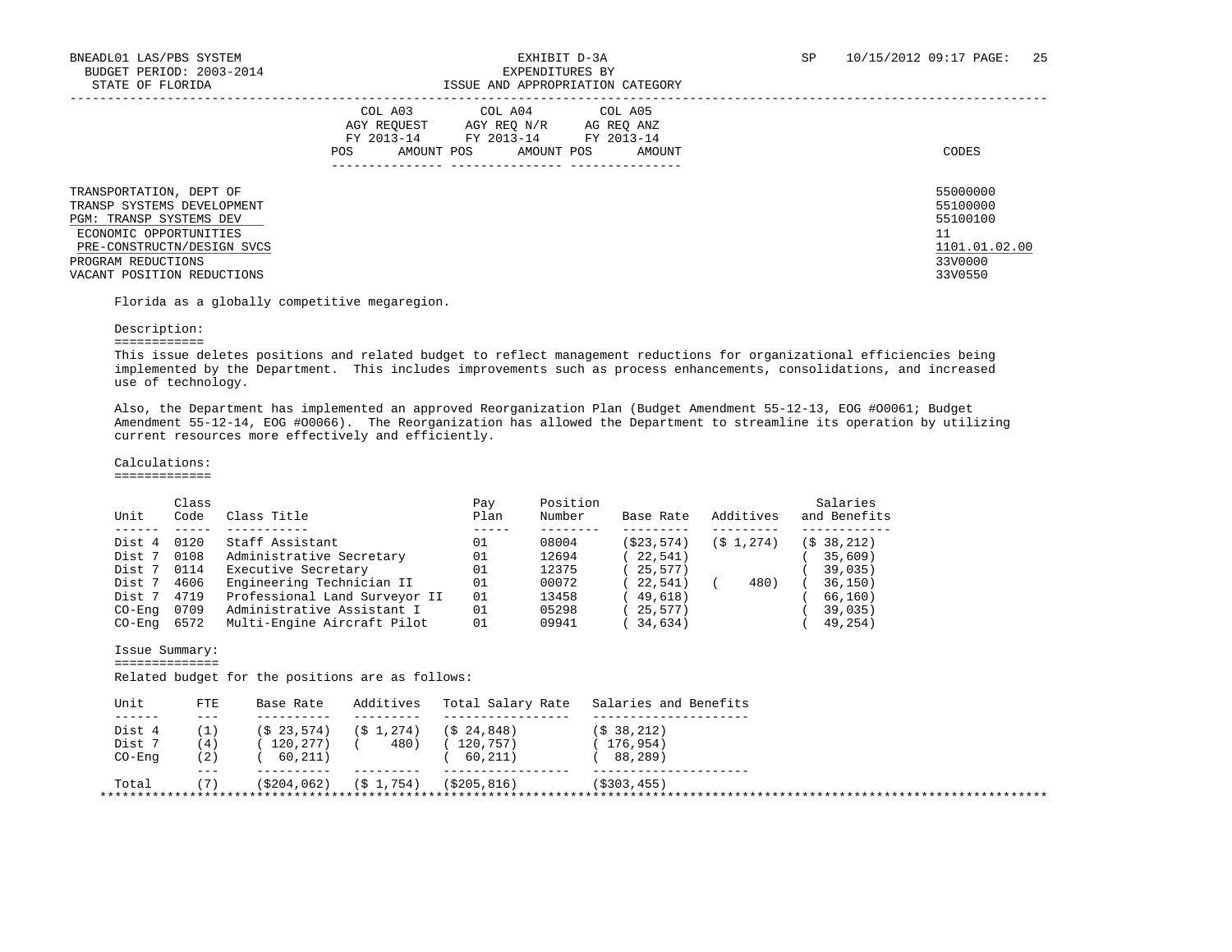|                                                                                                                                                                                              | COL A03<br>COL A04 COL A05<br>AGY REOUEST<br>AGY REO N/R<br>AG REO ANZ<br>FY 2013-14<br>FY 2013-14<br>FY 2013-14<br>AMOUNT POS<br>AMOUNT POS<br>AMOUNT<br><b>POS</b> | CODES                                                                         |
|----------------------------------------------------------------------------------------------------------------------------------------------------------------------------------------------|----------------------------------------------------------------------------------------------------------------------------------------------------------------------|-------------------------------------------------------------------------------|
| TRANSPORTATION, DEPT OF<br>TRANSP SYSTEMS DEVELOPMENT<br>PGM: TRANSP SYSTEMS DEV<br>ECONOMIC OPPORTUNITIES<br>PRE-CONSTRUCTN/DESIGN SVCS<br>PROGRAM REDUCTIONS<br>VACANT POSITION REDUCTIONS |                                                                                                                                                                      | 55000000<br>55100000<br>55100100<br>11<br>1101.01.02.00<br>33V0000<br>33V0550 |

Florida as a globally competitive megaregion.

#### Description:

============

 This issue deletes positions and related budget to reflect management reductions for organizational efficiencies being implemented by the Department. This includes improvements such as process enhancements, consolidations, and increased use of technology.

 Also, the Department has implemented an approved Reorganization Plan (Budget Amendment 55-12-13, EOG #O0061; Budget Amendment 55-12-14, EOG #O0066). The Reorganization has allowed the Department to streamline its operation by utilizing current resources more effectively and efficiently.

#### Calculations:

=============

|          | Class |                               | Pay  | Position |            |              | Salaries               |
|----------|-------|-------------------------------|------|----------|------------|--------------|------------------------|
| Unit     | Code  | Class Title                   | Plan | Number   | Base Rate  | Additives    | and Benefits           |
|          |       |                               |      |          |            |              |                        |
| Dist 4   | 0120  | Staff Assistant               | 01   | 08004    | (\$23,574) | $(S_1, 274)$ | (S <sub>38,212</sub> ) |
| Dist 7   | 0108  | Administrative Secretary      | 01   | 12694    | 22,541)    |              | 35,609                 |
| Dist 7   | 0114  | Executive Secretary           | 01   | 12375    | 25,577)    |              | 39,035)                |
| Dist 7   | 4606  | Engineering Technician II     | 01   | 00072    | 22,541)    | 480)         | 36, 150)               |
| Dist 7   | 4719  | Professional Land Surveyor II | 01   | 13458    | 49,618)    |              | 66,160)                |
| $CO-Enq$ | 0709  | Administrative Assistant I    | 01   | 05298    | 25,577)    |              | 39,035)                |
| CO-Eng   | 6572  | Multi-Engine Aircraft Pilot   | 01   | 09941    | 34,634)    |              | 49,254)                |

#### Issue Summary:

==============

Related budget for the positions are as follows:

| Unit   | <b>FTE</b> | Base Rate              | Additives    | Total Salary Rate | Salaries and Benefits  |
|--------|------------|------------------------|--------------|-------------------|------------------------|
| ------ | $- - -$    |                        |              |                   |                        |
| Dist 4 |            | (S <sub>23.574</sub> ) | $(S_1, 274)$ | $(5\ 24.848)$     | (S <sub>38.212</sub> ) |
| Dist 7 | (4)        | 120,277)               | 480)         | 120.757           | (176, 954)             |
| CO-Enq | (2)        | 60,211)                |              | 60,211)           | 88,289)                |
|        | $- - -$    |                        |              |                   |                        |
| Total  | (7)        | (5204, 062)            | (\$1,754)    | (\$205,816)       | (S303, 455)            |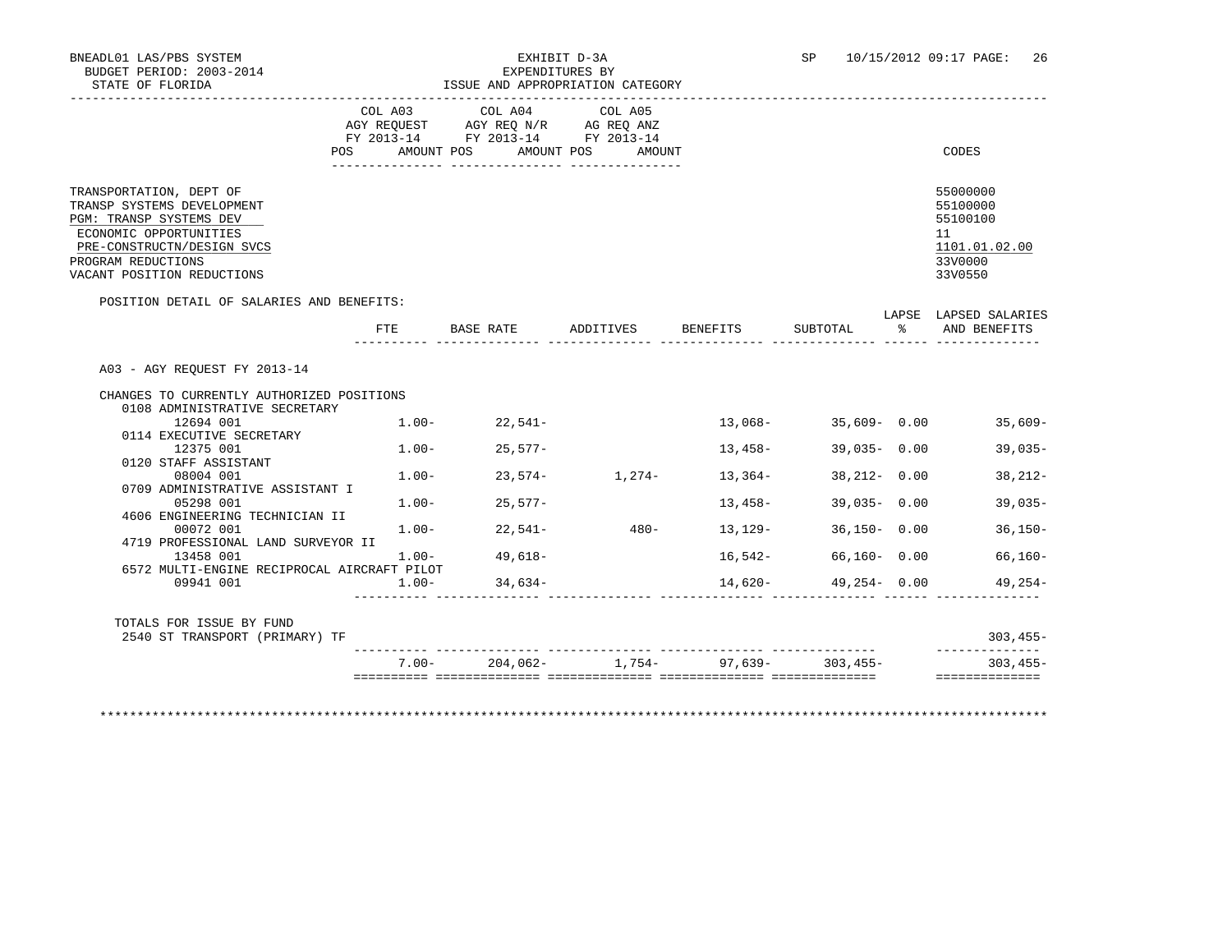# BNEADL01 LAS/PBS SYSTEM EXHIBIT D-3A SP 10/15/2012 09:17 PAGE: 26

|                                                                                                                                                                                              |                |                                                                                                 | ISSUE AND APPROPRIATION CATEGORY |                 |                 |              |                                                                                                         |
|----------------------------------------------------------------------------------------------------------------------------------------------------------------------------------------------|----------------|-------------------------------------------------------------------------------------------------|----------------------------------|-----------------|-----------------|--------------|---------------------------------------------------------------------------------------------------------|
|                                                                                                                                                                                              | COL A03<br>POS | COL A04<br>AGY REQUEST AGY REQ N/R AG REQ ANZ<br>FY 2013-14 FY 2013-14 FY 2013-14<br>AMOUNT POS | COL A05<br>AMOUNT POS<br>AMOUNT  |                 |                 |              | CODES                                                                                                   |
|                                                                                                                                                                                              |                |                                                                                                 |                                  |                 |                 |              |                                                                                                         |
| TRANSPORTATION, DEPT OF<br>TRANSP SYSTEMS DEVELOPMENT<br>PGM: TRANSP SYSTEMS DEV<br>ECONOMIC OPPORTUNITIES<br>PRE-CONSTRUCTN/DESIGN SVCS<br>PROGRAM REDUCTIONS<br>VACANT POSITION REDUCTIONS |                |                                                                                                 |                                  |                 |                 |              | 55000000<br>55100000<br>55100100<br>11<br>1101.01.02.00<br>33V0000<br>33V0550                           |
| POSITION DETAIL OF SALARIES AND BENEFITS:                                                                                                                                                    | FTE            | BASE RATE                                                                                       | ADDITIVES                        | <b>BENEFITS</b> | SUBTOTAL        | $\mathbb{R}$ | LAPSE LAPSED SALARIES<br>AND BENEFITS                                                                   |
| A03 - AGY REOUEST FY 2013-14                                                                                                                                                                 |                |                                                                                                 |                                  |                 |                 |              |                                                                                                         |
|                                                                                                                                                                                              |                |                                                                                                 |                                  |                 |                 |              |                                                                                                         |
|                                                                                                                                                                                              |                |                                                                                                 |                                  |                 |                 |              |                                                                                                         |
| CHANGES TO CURRENTLY AUTHORIZED POSITIONS<br>0108 ADMINISTRATIVE SECRETARY                                                                                                                   |                |                                                                                                 |                                  |                 |                 |              |                                                                                                         |
| 12694 001                                                                                                                                                                                    |                | $1.00 - 22,541 -$                                                                               |                                  | 13,068-         | $35,609 - 0.00$ |              |                                                                                                         |
| 0114 EXECUTIVE SECRETARY                                                                                                                                                                     |                |                                                                                                 |                                  |                 |                 |              |                                                                                                         |
| 12375 001                                                                                                                                                                                    |                | $1.00 - 25.577 -$                                                                               |                                  | 13,458-         | $39,035 - 0.00$ |              |                                                                                                         |
| 0120 STAFF ASSISTANT                                                                                                                                                                         |                |                                                                                                 |                                  |                 |                 |              |                                                                                                         |
| 08004 001                                                                                                                                                                                    | $1.00-$        | 23,574-                                                                                         | $1,274-$                         | 13,364-         | $38,212 - 0.00$ |              |                                                                                                         |
| 0709 ADMINISTRATIVE ASSISTANT I<br>05298 001                                                                                                                                                 | $1.00-$        | $25,577-$                                                                                       |                                  | 13,458-         | $39,035 - 0.00$ |              |                                                                                                         |
| 4606 ENGINEERING TECHNICIAN II                                                                                                                                                               |                |                                                                                                 |                                  |                 |                 |              |                                                                                                         |
| 00072 001                                                                                                                                                                                    |                | $1.00 - 22.541 -$                                                                               | $480-$                           | 13,129-         | $36,150 - 0.00$ |              |                                                                                                         |
| 4719 PROFESSIONAL LAND SURVEYOR II                                                                                                                                                           |                |                                                                                                 |                                  |                 |                 |              |                                                                                                         |
| 13458 001                                                                                                                                                                                    | $1.00 -$       | 49,618-                                                                                         |                                  | 16,542-         | $66,160 - 0.00$ |              |                                                                                                         |
| 6572 MULTI-ENGINE RECIPROCAL AIRCRAFT PILOT<br>09941 001                                                                                                                                     | $1.00 -$       | 34,634-                                                                                         |                                  | $14,620-$       | 49,254-0.00     |              |                                                                                                         |
|                                                                                                                                                                                              |                |                                                                                                 |                                  |                 |                 |              |                                                                                                         |
| TOTALS FOR ISSUE BY FUND<br>2540 ST TRANSPORT (PRIMARY) TF                                                                                                                                   |                |                                                                                                 |                                  |                 |                 |              | $35,609-$<br>$39,035-$<br>$38,212-$<br>$39,035-$<br>$36,150-$<br>$66,160-$<br>$49.254-$<br>$303, 455 -$ |

\*\*\*\*\*\*\*\*\*\*\*\*\*\*\*\*\*\*\*\*\*\*\*\*\*\*\*\*\*\*\*\*\*\*\*\*\*\*\*\*\*\*\*\*\*\*\*\*\*\*\*\*\*\*\*\*\*\*\*\*\*\*\*\*\*\*\*\*\*\*\*\*\*\*\*\*\*\*\*\*\*\*\*\*\*\*\*\*\*\*\*\*\*\*\*\*\*\*\*\*\*\*\*\*\*\*\*\*\*\*\*\*\*\*\*\*\*\*\*\*\*\*\*\*\*\*\*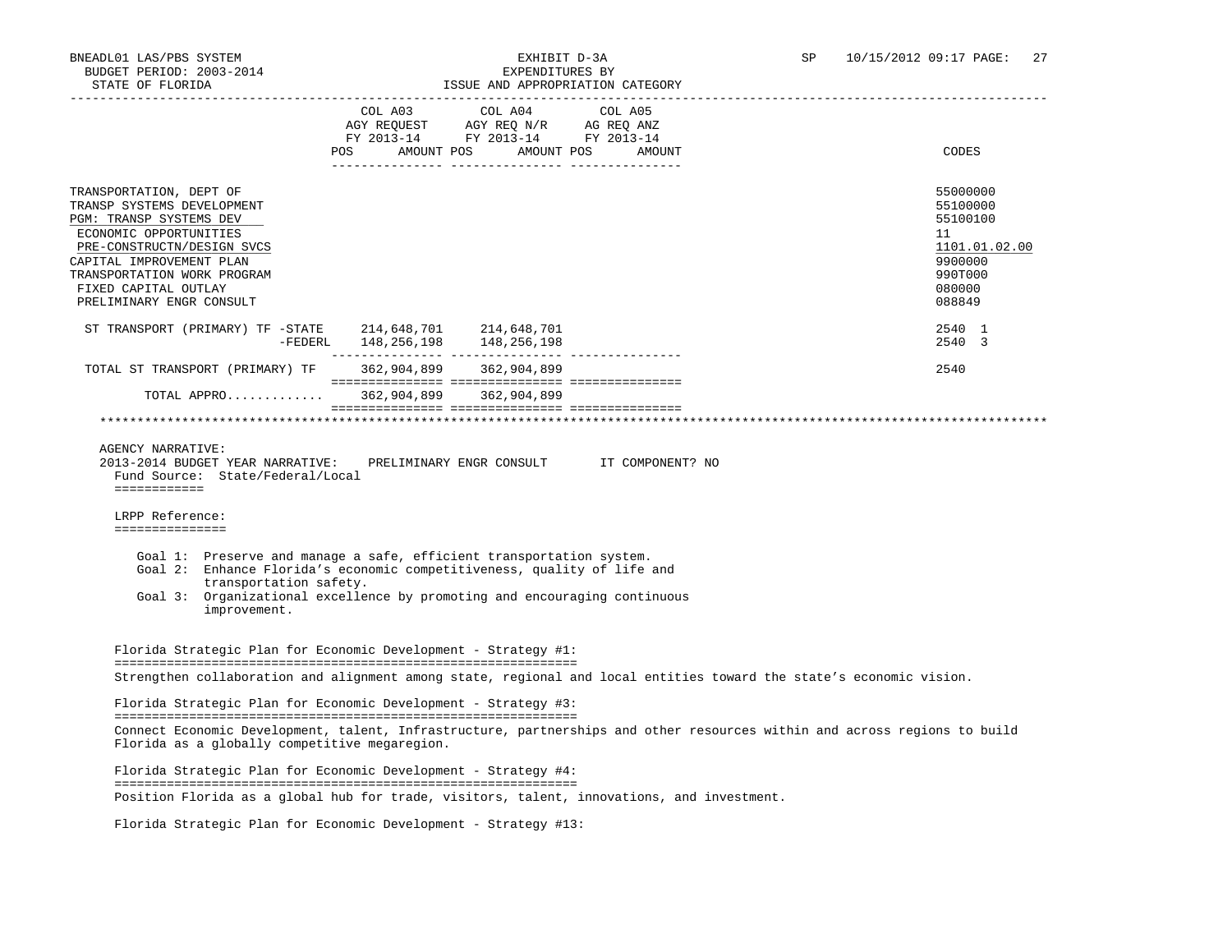| $\begin{tabular}{lcccc} COL A03 & COL A04 & COL A05 \\ AGY REQUEST & AGY REQ N/R & AG REQ ANZ \\ FY & 2013-14 & FY & 2013-14 & FY & 2013-14 \end{tabular}$<br>POS AMOUNT POS AMOUNT POS AMOUNT<br>TRANSPORTATION, DEPT OF<br>TRANSP SYSTEMS DEVELOPMENT<br>PGM: TRANSP SYSTEMS DEV<br>ECONOMIC OPPORTUNITIES<br>PRE-CONSTRUCTN/DESIGN SVCS<br>CAPITAL IMPROVEMENT PLAN<br>TRANSPORTATION WORK PROGRAM<br>FIXED CAPITAL OUTLAY<br>PRELIMINARY ENGR CONSULT<br>ST TRANSPORT (PRIMARY) TF -STATE 214,648,701 214,648,701<br>-FEDERL 148, 256, 198 148, 256, 198<br>362,904,899 362,904,899<br>TOTAL ST TRANSPORT (PRIMARY) TF<br>TOTAL APPRO 362,904,899 362,904,899<br><b>AGENCY NARRATIVE:</b><br>2013-2014 BUDGET YEAR NARRATIVE:<br>PRELIMINARY ENGR CONSULT TT COMPONENT? NO<br>Fund Source: State/Federal/Local<br>============<br>LRPP Reference:<br>===============<br>Goal 1: Preserve and manage a safe, efficient transportation system.<br>Goal 2: Enhance Florida's economic competitiveness, quality of life and<br>transportation safety.<br>Goal 3: Organizational excellence by promoting and encouraging continuous<br>improvement.<br>Florida Strategic Plan for Economic Development - Strategy #1:<br>Strengthen collaboration and alignment among state, regional and local entities toward the state's economic vision.<br>Florida Strategic Plan for Economic Development - Strategy #3:<br>Connect Economic Development, talent, Infrastructure, partnerships and other resources within and across regions to build<br>Florida as a globally competitive megaregion.<br>Florida Strategic Plan for Economic Development - Strategy #4: | STATE OF FLORIDA |  | ISSUE AND APPROPRIATION CATEGORY |                                                                                                   |
|---------------------------------------------------------------------------------------------------------------------------------------------------------------------------------------------------------------------------------------------------------------------------------------------------------------------------------------------------------------------------------------------------------------------------------------------------------------------------------------------------------------------------------------------------------------------------------------------------------------------------------------------------------------------------------------------------------------------------------------------------------------------------------------------------------------------------------------------------------------------------------------------------------------------------------------------------------------------------------------------------------------------------------------------------------------------------------------------------------------------------------------------------------------------------------------------------------------------------------------------------------------------------------------------------------------------------------------------------------------------------------------------------------------------------------------------------------------------------------------------------------------------------------------------------------------------------------------------------------------------------------------------------------------|------------------|--|----------------------------------|---------------------------------------------------------------------------------------------------|
|                                                                                                                                                                                                                                                                                                                                                                                                                                                                                                                                                                                                                                                                                                                                                                                                                                                                                                                                                                                                                                                                                                                                                                                                                                                                                                                                                                                                                                                                                                                                                                                                                                                               |                  |  |                                  | CODES                                                                                             |
|                                                                                                                                                                                                                                                                                                                                                                                                                                                                                                                                                                                                                                                                                                                                                                                                                                                                                                                                                                                                                                                                                                                                                                                                                                                                                                                                                                                                                                                                                                                                                                                                                                                               |                  |  |                                  | 55000000<br>55100000<br>55100100<br>11<br>1101.01.02.00<br>9900000<br>990T000<br>080000<br>088849 |
|                                                                                                                                                                                                                                                                                                                                                                                                                                                                                                                                                                                                                                                                                                                                                                                                                                                                                                                                                                                                                                                                                                                                                                                                                                                                                                                                                                                                                                                                                                                                                                                                                                                               |                  |  |                                  | 2540 1<br>2540 3                                                                                  |
|                                                                                                                                                                                                                                                                                                                                                                                                                                                                                                                                                                                                                                                                                                                                                                                                                                                                                                                                                                                                                                                                                                                                                                                                                                                                                                                                                                                                                                                                                                                                                                                                                                                               |                  |  |                                  | 2540                                                                                              |
|                                                                                                                                                                                                                                                                                                                                                                                                                                                                                                                                                                                                                                                                                                                                                                                                                                                                                                                                                                                                                                                                                                                                                                                                                                                                                                                                                                                                                                                                                                                                                                                                                                                               |                  |  |                                  |                                                                                                   |
|                                                                                                                                                                                                                                                                                                                                                                                                                                                                                                                                                                                                                                                                                                                                                                                                                                                                                                                                                                                                                                                                                                                                                                                                                                                                                                                                                                                                                                                                                                                                                                                                                                                               |                  |  |                                  |                                                                                                   |
|                                                                                                                                                                                                                                                                                                                                                                                                                                                                                                                                                                                                                                                                                                                                                                                                                                                                                                                                                                                                                                                                                                                                                                                                                                                                                                                                                                                                                                                                                                                                                                                                                                                               |                  |  |                                  |                                                                                                   |
|                                                                                                                                                                                                                                                                                                                                                                                                                                                                                                                                                                                                                                                                                                                                                                                                                                                                                                                                                                                                                                                                                                                                                                                                                                                                                                                                                                                                                                                                                                                                                                                                                                                               |                  |  |                                  |                                                                                                   |
|                                                                                                                                                                                                                                                                                                                                                                                                                                                                                                                                                                                                                                                                                                                                                                                                                                                                                                                                                                                                                                                                                                                                                                                                                                                                                                                                                                                                                                                                                                                                                                                                                                                               |                  |  |                                  |                                                                                                   |
|                                                                                                                                                                                                                                                                                                                                                                                                                                                                                                                                                                                                                                                                                                                                                                                                                                                                                                                                                                                                                                                                                                                                                                                                                                                                                                                                                                                                                                                                                                                                                                                                                                                               |                  |  |                                  |                                                                                                   |
|                                                                                                                                                                                                                                                                                                                                                                                                                                                                                                                                                                                                                                                                                                                                                                                                                                                                                                                                                                                                                                                                                                                                                                                                                                                                                                                                                                                                                                                                                                                                                                                                                                                               |                  |  |                                  |                                                                                                   |
| Position Florida as a global hub for trade, visitors, talent, innovations, and investment.                                                                                                                                                                                                                                                                                                                                                                                                                                                                                                                                                                                                                                                                                                                                                                                                                                                                                                                                                                                                                                                                                                                                                                                                                                                                                                                                                                                                                                                                                                                                                                    |                  |  |                                  |                                                                                                   |

Florida Strategic Plan for Economic Development - Strategy #13: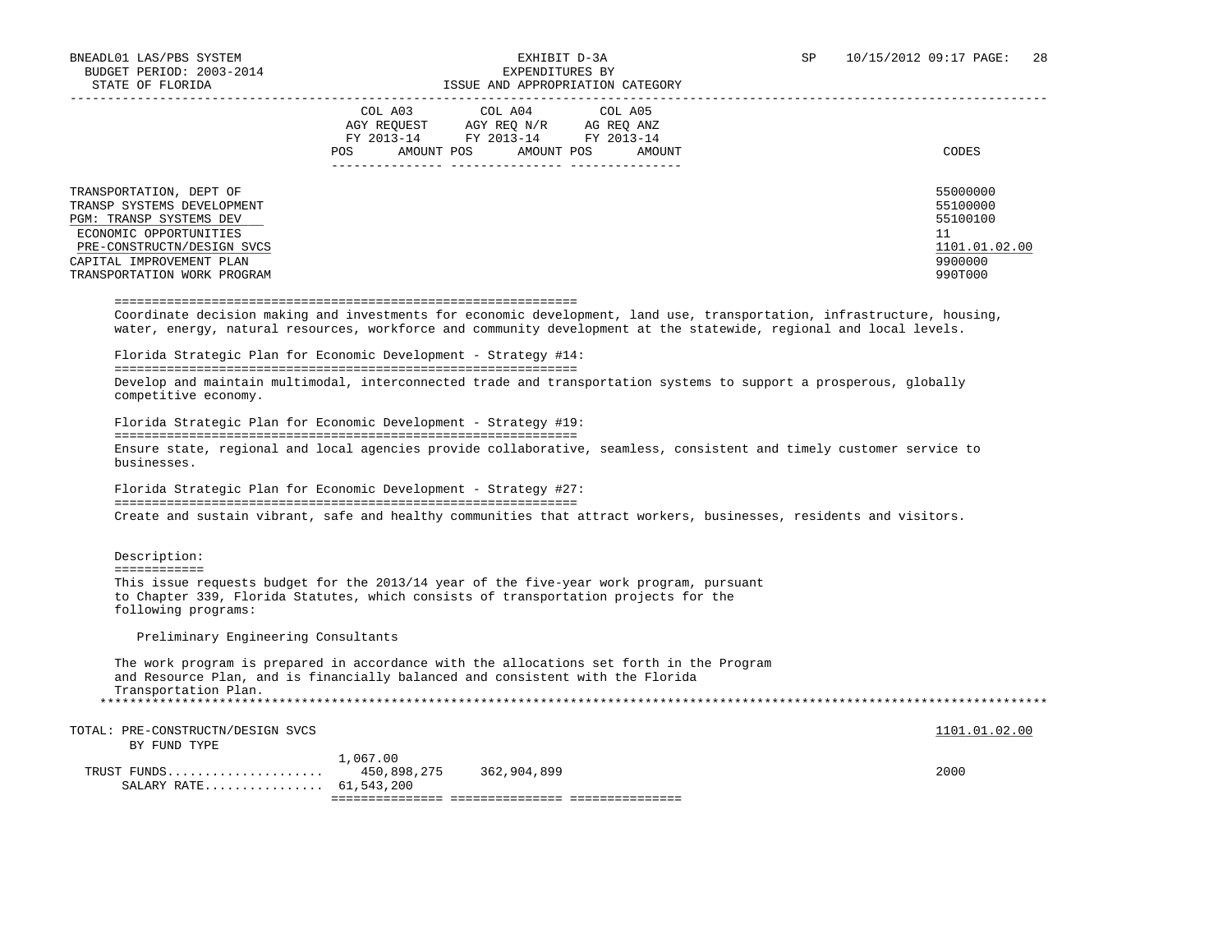BY FUND TYPE

| BUDGET PERIOD: 2003-2014<br>STATE OF FLORIDA            | EXPENDITURES BY<br>ISSUE AND APPROPRIATION CATEGORY                                                                                                                                                                                           |                      |
|---------------------------------------------------------|-----------------------------------------------------------------------------------------------------------------------------------------------------------------------------------------------------------------------------------------------|----------------------|
|                                                         | COL A04<br>COL A03<br>COL A05                                                                                                                                                                                                                 |                      |
|                                                         | AGY REQUEST AGY REQ N/R AG REQ ANZ                                                                                                                                                                                                            |                      |
|                                                         | FY 2013-14 FY 2013-14 FY 2013-14                                                                                                                                                                                                              |                      |
|                                                         | POS<br>AMOUNT POS<br>AMOUNT POS<br>AMOUNT                                                                                                                                                                                                     | CODES                |
|                                                         |                                                                                                                                                                                                                                               |                      |
| TRANSPORTATION, DEPT OF<br>TRANSP SYSTEMS DEVELOPMENT   |                                                                                                                                                                                                                                               | 55000000<br>55100000 |
| PGM: TRANSP SYSTEMS DEV                                 |                                                                                                                                                                                                                                               | 55100100             |
| ECONOMIC OPPORTUNITIES                                  |                                                                                                                                                                                                                                               | 11                   |
| PRE-CONSTRUCTN/DESIGN SVCS                              |                                                                                                                                                                                                                                               | 1101.01.02.00        |
| CAPITAL IMPROVEMENT PLAN<br>TRANSPORTATION WORK PROGRAM |                                                                                                                                                                                                                                               | 9900000<br>990T000   |
|                                                         |                                                                                                                                                                                                                                               |                      |
|                                                         | Coordinate decision making and investments for economic development, land use, transportation, infrastructure, housing,<br>water, energy, natural resources, workforce and community development at the statewide, regional and local levels. |                      |
|                                                         | Florida Strategic Plan for Economic Development - Strategy #14:                                                                                                                                                                               |                      |
| competitive economy.                                    | Develop and maintain multimodal, interconnected trade and transportation systems to support a prosperous, globally<br>Florida Strategic Plan for Economic Development - Strategy #19:                                                         |                      |
| businesses.                                             | Ensure state, regional and local agencies provide collaborative, seamless, consistent and timely customer service to                                                                                                                          |                      |
|                                                         | Florida Strategic Plan for Economic Development - Strategy #27:                                                                                                                                                                               |                      |
|                                                         | Create and sustain vibrant, safe and healthy communities that attract workers, businesses, residents and visitors.                                                                                                                            |                      |
| Description:<br><b>EEEEEEEEEEE</b>                      |                                                                                                                                                                                                                                               |                      |
| following programs:                                     | This issue requests budget for the 2013/14 year of the five-year work program, pursuant<br>to Chapter 339, Florida Statutes, which consists of transportation projects for the                                                                |                      |
| Preliminary Engineering Consultants                     |                                                                                                                                                                                                                                               |                      |
| Transportation Plan.                                    | The work program is prepared in accordance with the allocations set forth in the Program<br>and Resource Plan, and is financially balanced and consistent with the Florida                                                                    |                      |
|                                                         |                                                                                                                                                                                                                                               |                      |
| TOTAL: PRE-CONSTRUCTN/DESIGN SVCS                       |                                                                                                                                                                                                                                               | 1101.01.02.00        |

 1,067.00 TRUST FUNDS..................... 450,898,275 362,904,899 2000 SALARY RATE................ 61,543,200 =============== =============== ===============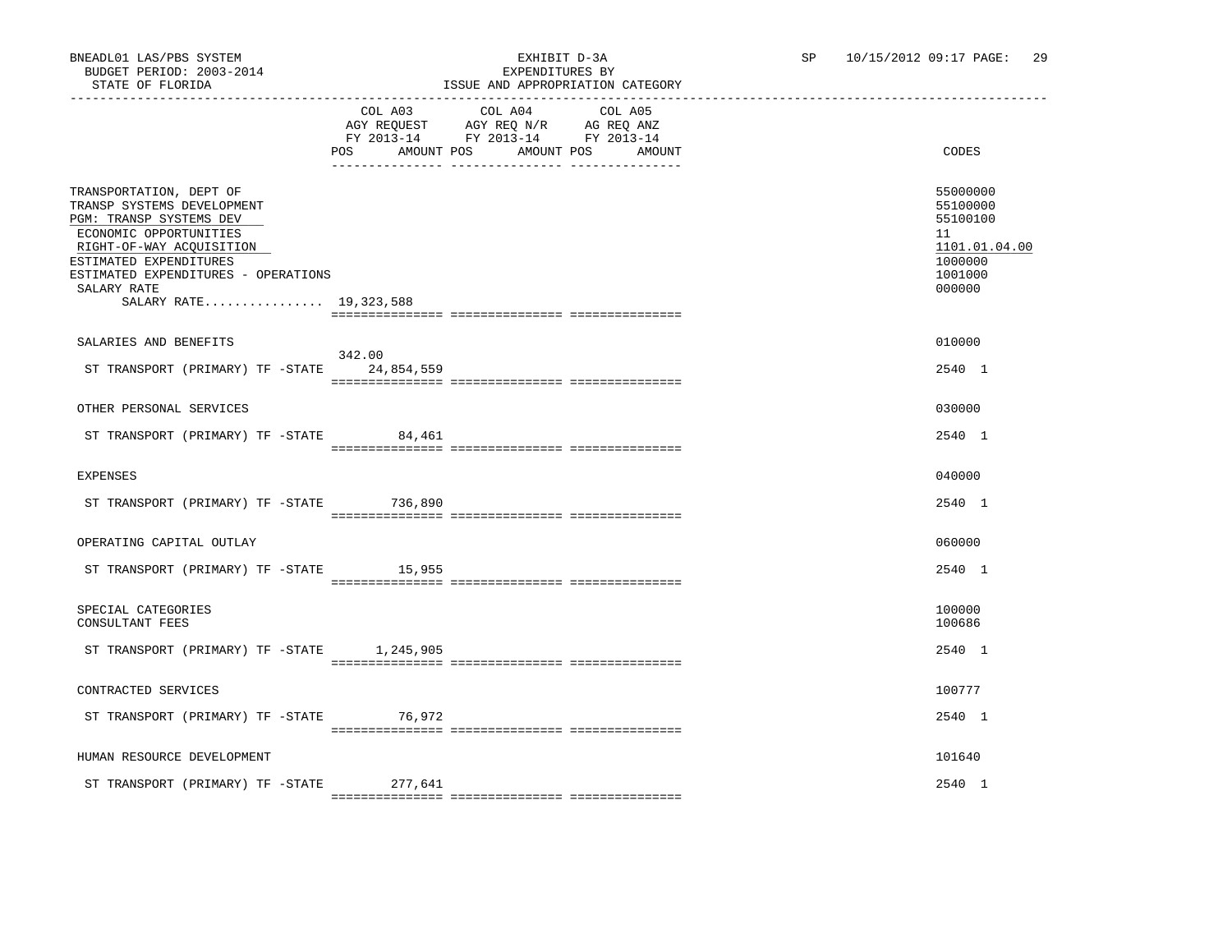### BNEADL01 LAS/PBS SYSTEM EXHIBIT D-3A SP 10/15/2012 09:17 PAGE: 29 ISSUE AND APPROPRIATION CATEGORY

|                                                                                                                                                                                                                                                  | COL A03<br>AMOUNT POS<br>POS | COL A04<br>AGY REQUEST AGY REQ N/R AG REQ ANZ<br>FY 2013-14 FY 2013-14 FY 2013-14<br>AMOUNT POS | COL A05<br>AMOUNT | CODES                                                                                   |
|--------------------------------------------------------------------------------------------------------------------------------------------------------------------------------------------------------------------------------------------------|------------------------------|-------------------------------------------------------------------------------------------------|-------------------|-----------------------------------------------------------------------------------------|
| TRANSPORTATION, DEPT OF<br>TRANSP SYSTEMS DEVELOPMENT<br>PGM: TRANSP SYSTEMS DEV<br>ECONOMIC OPPORTUNITIES<br>RIGHT-OF-WAY ACQUISITION<br>ESTIMATED EXPENDITURES<br>ESTIMATED EXPENDITURES - OPERATIONS<br>SALARY RATE<br>SALARY RATE 19,323,588 |                              |                                                                                                 |                   | 55000000<br>55100000<br>55100100<br>11<br>1101.01.04.00<br>1000000<br>1001000<br>000000 |
|                                                                                                                                                                                                                                                  |                              |                                                                                                 |                   |                                                                                         |
| SALARIES AND BENEFITS                                                                                                                                                                                                                            |                              |                                                                                                 |                   | 010000                                                                                  |
| ST TRANSPORT (PRIMARY) TF -STATE                                                                                                                                                                                                                 | 342.00<br>24,854,559         |                                                                                                 |                   | 2540 1                                                                                  |
| OTHER PERSONAL SERVICES                                                                                                                                                                                                                          |                              |                                                                                                 |                   | 030000                                                                                  |
| ST TRANSPORT (PRIMARY) TF -STATE 84,461                                                                                                                                                                                                          |                              |                                                                                                 |                   | 2540 1                                                                                  |
| <b>EXPENSES</b>                                                                                                                                                                                                                                  |                              |                                                                                                 |                   | 040000                                                                                  |
| ST TRANSPORT (PRIMARY) TF -STATE 736,890                                                                                                                                                                                                         |                              |                                                                                                 |                   | 2540 1                                                                                  |
| OPERATING CAPITAL OUTLAY                                                                                                                                                                                                                         |                              |                                                                                                 |                   | 060000                                                                                  |
| ST TRANSPORT (PRIMARY) TF -STATE 15,955                                                                                                                                                                                                          |                              |                                                                                                 |                   | 2540 1                                                                                  |
| SPECIAL CATEGORIES<br>CONSULTANT FEES                                                                                                                                                                                                            |                              |                                                                                                 |                   | 100000<br>100686                                                                        |
| ST TRANSPORT (PRIMARY) TF -STATE 1,245,905                                                                                                                                                                                                       |                              |                                                                                                 |                   | 2540 1                                                                                  |
| CONTRACTED SERVICES                                                                                                                                                                                                                              |                              |                                                                                                 |                   | 100777                                                                                  |
| ST TRANSPORT (PRIMARY) TF -STATE 76,972                                                                                                                                                                                                          |                              |                                                                                                 |                   | 2540 1                                                                                  |
| HUMAN RESOURCE DEVELOPMENT                                                                                                                                                                                                                       |                              |                                                                                                 |                   | 101640                                                                                  |
| ST TRANSPORT (PRIMARY) TF -STATE                                                                                                                                                                                                                 | 277,641                      |                                                                                                 |                   | 2540 1                                                                                  |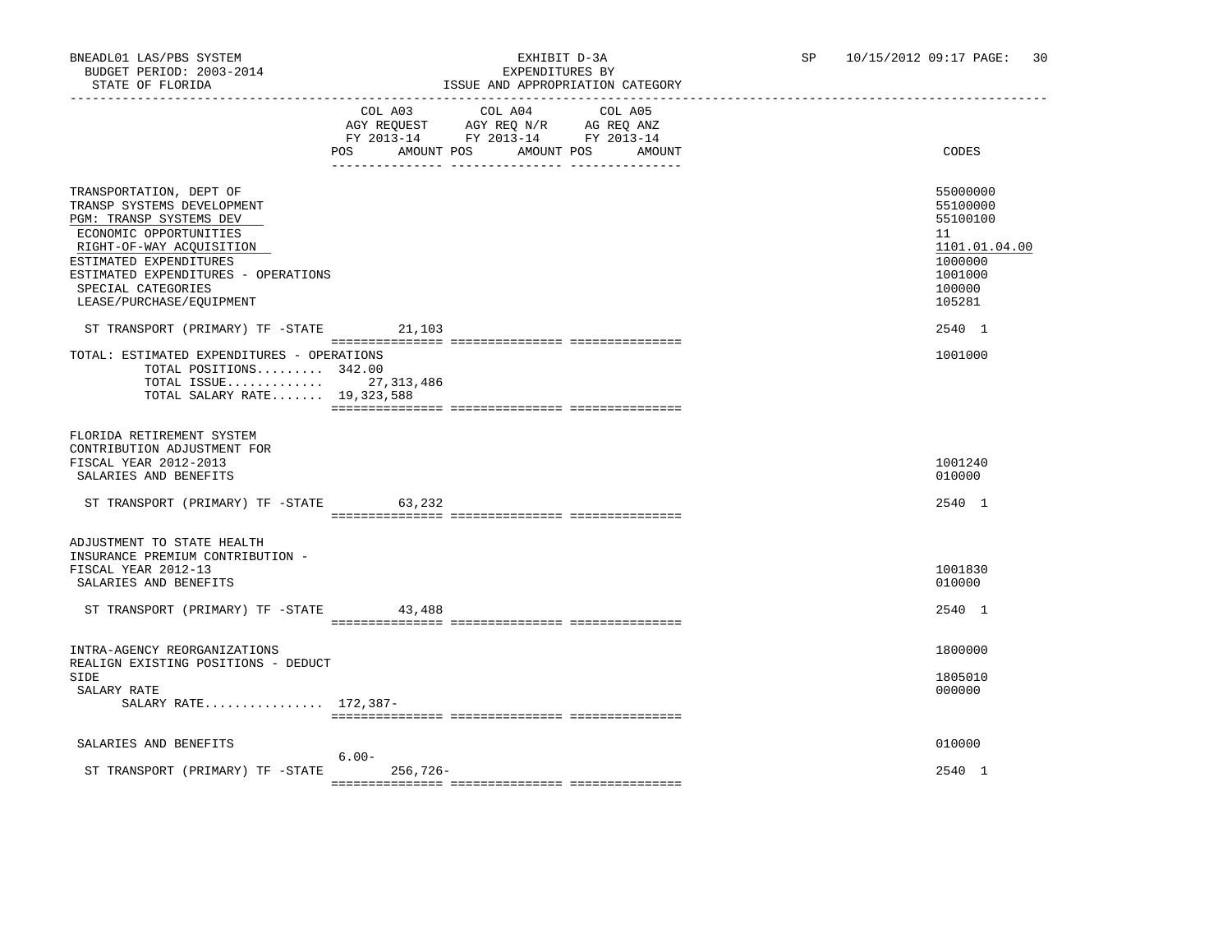### BNEADL01 LAS/PBS SYSTEM EXHIBIT D-3A SP 10/15/2012 09:17 PAGE: 30 ISSUE AND APPROPRIATION CATEGORY

|                                                                                                                                                                                                                                                           | AGY REQUEST AGY REQ N/R AG REQ ANZ<br>FY 2013-14 FY 2013-14 FY 2013-14<br><b>POS</b><br>AMOUNT POS | COL A03 COL A04<br>AMOUNT POS | COL A05 | AMOUNT | CODES                                                                                             |
|-----------------------------------------------------------------------------------------------------------------------------------------------------------------------------------------------------------------------------------------------------------|----------------------------------------------------------------------------------------------------|-------------------------------|---------|--------|---------------------------------------------------------------------------------------------------|
| TRANSPORTATION, DEPT OF<br>TRANSP SYSTEMS DEVELOPMENT<br>PGM: TRANSP SYSTEMS DEV<br>ECONOMIC OPPORTUNITIES<br>RIGHT-OF-WAY ACQUISITION<br>ESTIMATED EXPENDITURES<br>ESTIMATED EXPENDITURES - OPERATIONS<br>SPECIAL CATEGORIES<br>LEASE/PURCHASE/EQUIPMENT |                                                                                                    |                               |         |        | 55000000<br>55100000<br>55100100<br>11<br>1101.01.04.00<br>1000000<br>1001000<br>100000<br>105281 |
| ST TRANSPORT (PRIMARY) TF -STATE                                                                                                                                                                                                                          | 21,103                                                                                             |                               |         |        | 2540 1                                                                                            |
| TOTAL: ESTIMATED EXPENDITURES - OPERATIONS<br>TOTAL POSITIONS 342.00<br>TOTAL ISSUE 27,313,486<br>TOTAL SALARY RATE 19,323,588                                                                                                                            |                                                                                                    |                               |         |        | 1001000                                                                                           |
| FLORIDA RETIREMENT SYSTEM<br>CONTRIBUTION ADJUSTMENT FOR<br>FISCAL YEAR 2012-2013<br>SALARIES AND BENEFITS                                                                                                                                                |                                                                                                    |                               |         |        | 1001240<br>010000                                                                                 |
| ST TRANSPORT (PRIMARY) TF -STATE 63,232                                                                                                                                                                                                                   |                                                                                                    |                               |         |        | 2540 1                                                                                            |
| ADJUSTMENT TO STATE HEALTH<br>INSURANCE PREMIUM CONTRIBUTION -<br>FISCAL YEAR 2012-13<br>SALARIES AND BENEFITS                                                                                                                                            |                                                                                                    |                               |         |        | 1001830<br>010000                                                                                 |
| ST TRANSPORT (PRIMARY) TF -STATE                                                                                                                                                                                                                          | 43,488                                                                                             |                               |         |        | 2540 1                                                                                            |
|                                                                                                                                                                                                                                                           |                                                                                                    |                               |         |        |                                                                                                   |
| INTRA-AGENCY REORGANIZATIONS<br>REALIGN EXISTING POSITIONS - DEDUCT<br><b>SIDE</b><br>SALARY RATE<br>SALARY RATE 172,387-                                                                                                                                 |                                                                                                    |                               |         |        | 1800000<br>1805010<br>000000                                                                      |
|                                                                                                                                                                                                                                                           |                                                                                                    |                               |         |        |                                                                                                   |
| SALARIES AND BENEFITS                                                                                                                                                                                                                                     | $6.00 -$                                                                                           |                               |         |        | 010000                                                                                            |
| ST TRANSPORT (PRIMARY) TF -STATE                                                                                                                                                                                                                          | $256,726-$                                                                                         |                               |         |        | 2540 1                                                                                            |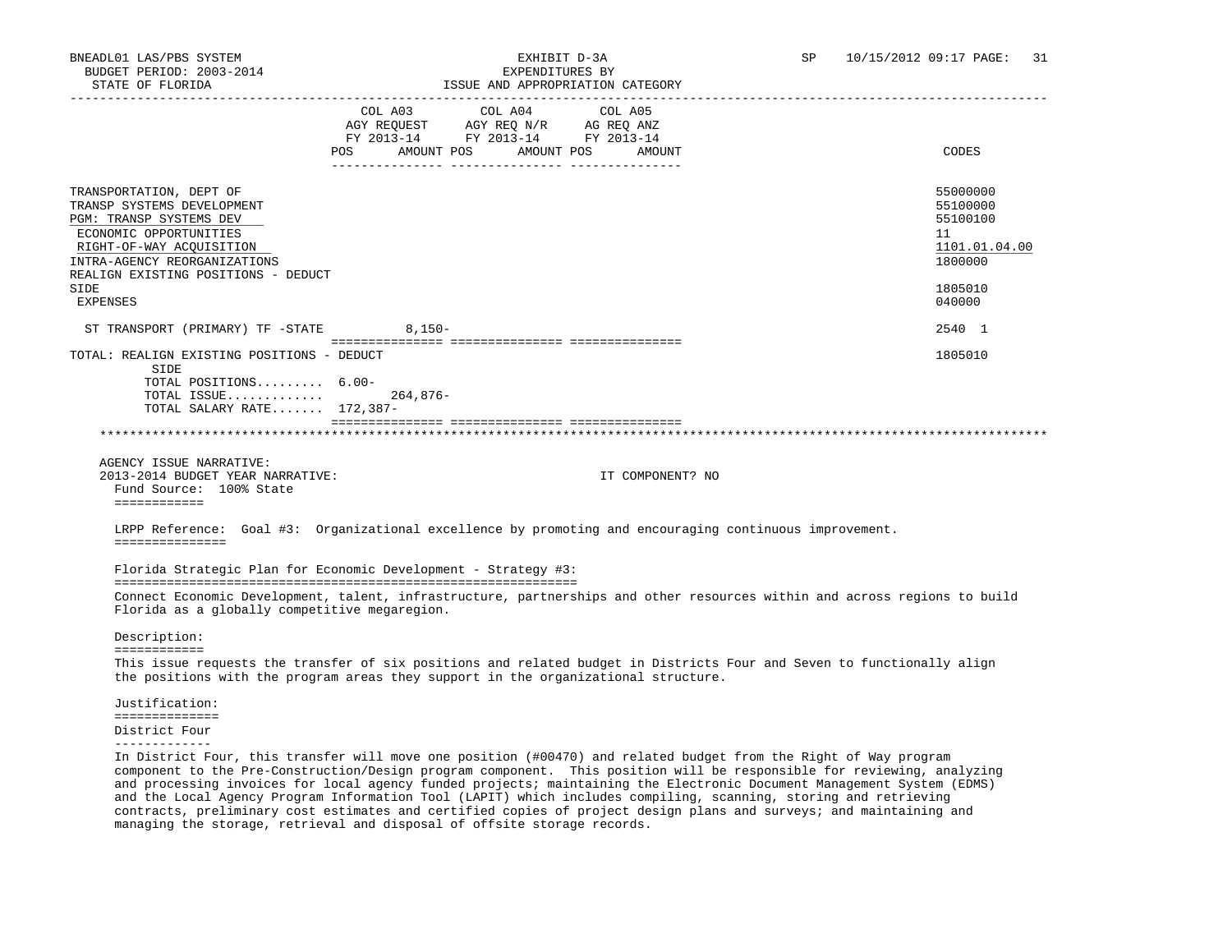| STATE OF FLORIDA                                                                                                                                                                                                                  |                                                    | ISSUE AND APPROPRIATION CATEGORY |                   |                                                                                                                           |
|-----------------------------------------------------------------------------------------------------------------------------------------------------------------------------------------------------------------------------------|----------------------------------------------------|----------------------------------|-------------------|---------------------------------------------------------------------------------------------------------------------------|
|                                                                                                                                                                                                                                   | COL A03<br>FY 2013-14 FY 2013-14 FY 2013-14<br>POS | COL A04<br>AMOUNT POS AMOUNT POS | COL A05<br>AMOUNT | CODES                                                                                                                     |
| TRANSPORTATION, DEPT OF<br>TRANSP SYSTEMS DEVELOPMENT<br>PGM: TRANSP SYSTEMS DEV<br>ECONOMIC OPPORTUNITIES<br>RIGHT-OF-WAY ACQUISITION<br>INTRA-AGENCY REORGANIZATIONS<br>REALIGN EXISTING POSITIONS - DEDUCT<br>SIDE<br>EXPENSES |                                                    |                                  |                   | 55000000<br>55100000<br>55100100<br>11<br>1101.01.04.00<br>1800000<br>1805010<br>040000                                   |
| ST TRANSPORT (PRIMARY) TF -STATE                                                                                                                                                                                                  | $8,150-$                                           |                                  |                   | 2540 1                                                                                                                    |
| TOTAL: REALIGN EXISTING POSITIONS - DEDUCT<br>SIDE<br>TOTAL POSITIONS 6.00-<br>TOTAL ISSUE<br>TOTAL SALARY RATE 172,387-<br>AGENCY ISSUE NARRATIVE:<br>2013-2014 BUDGET YEAR NARRATIVE:<br>Fund Source: 100% State                | $264.876-$                                         |                                  | IT COMPONENT? NO  | 1805010                                                                                                                   |
| ============<br>LRPP Reference: Goal #3: Organizational excellence by promoting and encouraging continuous improvement.<br>===============<br>Florida Strategic Plan for Economic Development - Strategy #3:                      |                                                    |                                  |                   |                                                                                                                           |
| Florida as a globally competitive megaregion.                                                                                                                                                                                     |                                                    |                                  |                   | Connect Economic Development, talent, infrastructure, partnerships and other resources within and across regions to build |
| Description:<br>============                                                                                                                                                                                                      |                                                    |                                  |                   |                                                                                                                           |
| the positions with the program areas they support in the organizational structure.                                                                                                                                                |                                                    |                                  |                   | This issue requests the transfer of six positions and related budget in Districts Four and Seven to functionally align    |
| Justification:                                                                                                                                                                                                                    |                                                    |                                  |                   |                                                                                                                           |
| ==============<br>District Four                                                                                                                                                                                                   |                                                    |                                  |                   |                                                                                                                           |

-------------

 In District Four, this transfer will move one position (#00470) and related budget from the Right of Way program component to the Pre-Construction/Design program component. This position will be responsible for reviewing, analyzing and processing invoices for local agency funded projects; maintaining the Electronic Document Management System (EDMS) and the Local Agency Program Information Tool (LAPIT) which includes compiling, scanning, storing and retrieving contracts, preliminary cost estimates and certified copies of project design plans and surveys; and maintaining and managing the storage, retrieval and disposal of offsite storage records.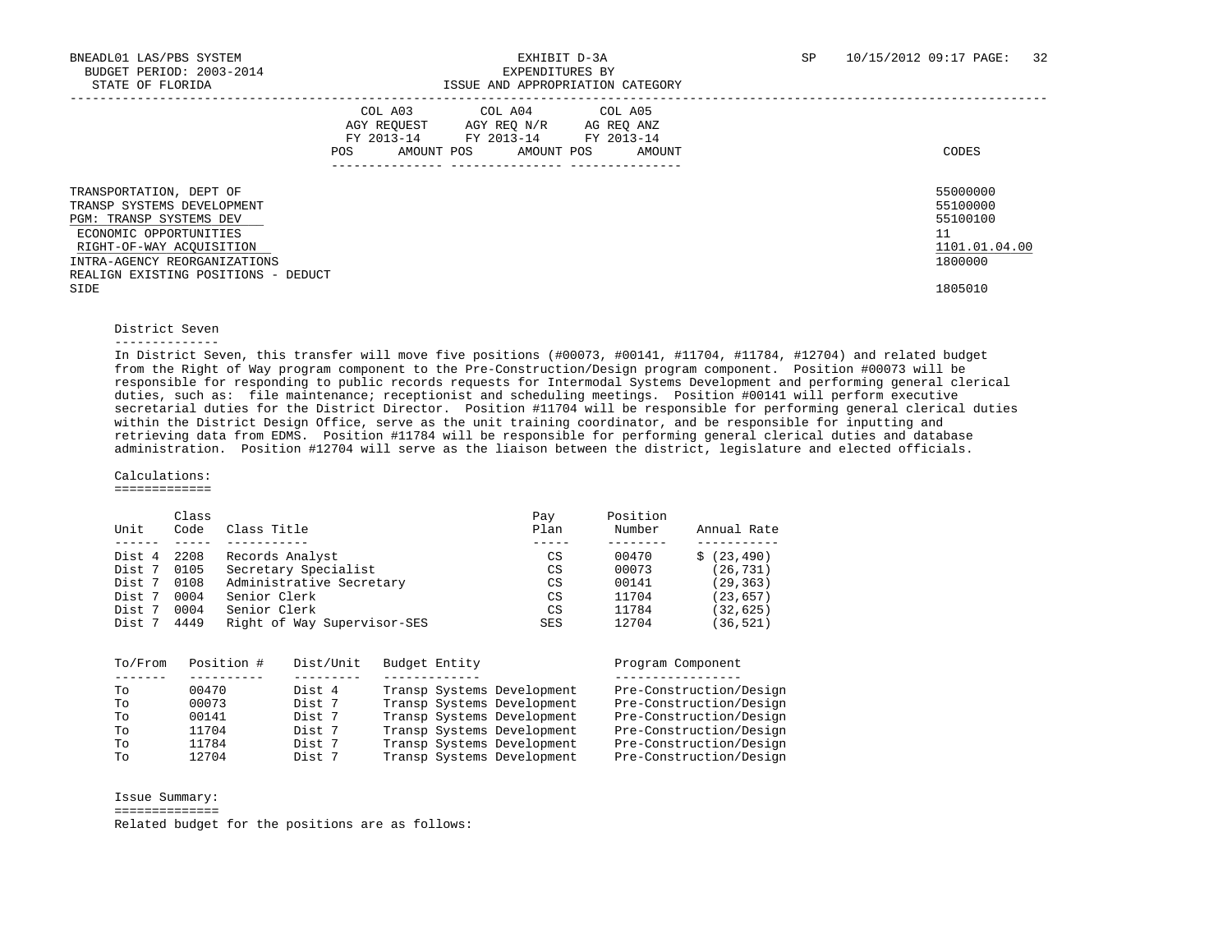|                                                                                                                                                                                                                      | COL A03<br>AGY REOUEST<br>FY 2013-14<br>AMOUNT POS<br>POS | COL A04 COL A05<br>AGY REO N/R<br>FY 2013-14 FY 2013-14<br>AMOUNT POS | AG REO ANZ<br>AMOUNT | CODES                                                              |
|----------------------------------------------------------------------------------------------------------------------------------------------------------------------------------------------------------------------|-----------------------------------------------------------|-----------------------------------------------------------------------|----------------------|--------------------------------------------------------------------|
| TRANSPORTATION, DEPT OF<br>TRANSP SYSTEMS DEVELOPMENT<br><b>PGM: TRANSP SYSTEMS DEV</b><br>ECONOMIC OPPORTUNITIES<br>RIGHT-OF-WAY ACOUISITION<br>INTRA-AGENCY REORGANIZATIONS<br>REALIGN EXISTING POSITIONS - DEDUCT |                                                           |                                                                       |                      | 55000000<br>55100000<br>55100100<br>11<br>1101.01.04.00<br>1800000 |
| SIDE                                                                                                                                                                                                                 |                                                           |                                                                       |                      | 1805010                                                            |

#### District Seven

#### --------------

 In District Seven, this transfer will move five positions (#00073, #00141, #11704, #11784, #12704) and related budget from the Right of Way program component to the Pre-Construction/Design program component. Position #00073 will be responsible for responding to public records requests for Intermodal Systems Development and performing general clerical duties, such as: file maintenance; receptionist and scheduling meetings. Position #00141 will perform executive secretarial duties for the District Director. Position #11704 will be responsible for performing general clerical duties within the District Design Office, serve as the unit training coordinator, and be responsible for inputting and retrieving data from EDMS. Position #11784 will be responsible for performing general clerical duties and database administration. Position #12704 will serve as the liaison between the district, legislature and elected officials.

#### Calculations:

=============

|        | Class |                             | Pay        | Position |             |
|--------|-------|-----------------------------|------------|----------|-------------|
| Unit   | Code  | Class Title                 | Plan       | Number   | Annual Rate |
|        |       |                             |            |          |             |
| Dist 4 | 2208  | Records Analyst             | CS         | 00470    | \$(23, 490) |
| Dist 7 | 0105  | Secretary Specialist        | CS         | 00073    | (26, 731)   |
| Dist 7 | 0108  | Administrative Secretary    | CS         | 00141    | (29, 363)   |
| Dist 7 | 0004  | Senior Clerk                | CS         | 11704    | (23, 657)   |
| Dist 7 | 0004  | Senior Clerk                | CS         | 11784    | (32, 625)   |
| Dist 7 | 4449  | Right of Way Supervisor-SES | <b>SES</b> | 12704    | (36,521)    |
|        |       |                             |            |          |             |

| To/From | Position # | Dist/Unit | Budget Entity              | Program Component       |
|---------|------------|-----------|----------------------------|-------------------------|
|         |            |           |                            |                         |
| TΟ      | 00470      | Dist 4    | Transp Systems Development | Pre-Construction/Design |
| TΟ      | 00073      | Dist 7    | Transp Systems Development | Pre-Construction/Design |
| Tο      | 00141      | Dist 7    | Transp Systems Development | Pre-Construction/Design |
| To      | 11704      | Dist 7    | Transp Systems Development | Pre-Construction/Design |
| TΟ      | 11784      | Dist 7    | Transp Systems Development | Pre-Construction/Design |
| Tο      | 12704      | Dist 7    | Transp Systems Development | Pre-Construction/Design |

Issue Summary:

==============

Related budget for the positions are as follows: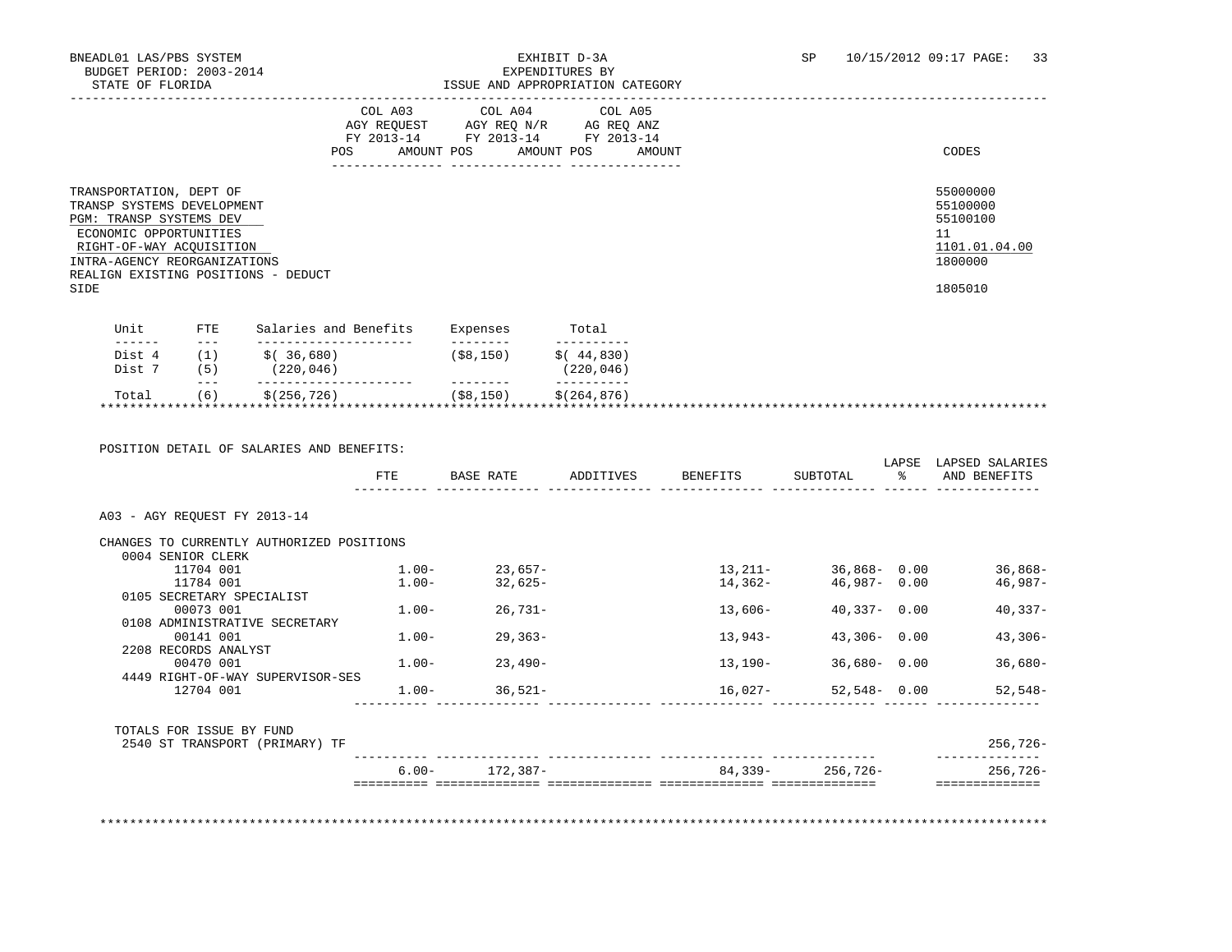### ISSUE AND APPROPRIATION CATEGORY

|                                                                                                                                                                                                                       | COL A03<br>AGY REOUEST<br>FY 2013-14<br>AMOUNT POS<br><b>POS</b> | COL A04<br>AGY REO N/R<br>FY 2013-14<br>AMOUNT POS | COL A05<br>AG REQ ANZ<br>FY 2013-14<br>AMOUNT | CODES                                                                         |
|-----------------------------------------------------------------------------------------------------------------------------------------------------------------------------------------------------------------------|------------------------------------------------------------------|----------------------------------------------------|-----------------------------------------------|-------------------------------------------------------------------------------|
| TRANSPORTATION, DEPT OF<br>TRANSP SYSTEMS DEVELOPMENT<br>PGM: TRANSP SYSTEMS DEV<br>ECONOMIC OPPORTUNITIES<br>RIGHT-OF-WAY ACQUISITION<br>INTRA-AGENCY REORGANIZATIONS<br>REALIGN EXISTING POSITIONS - DEDUCT<br>SIDE |                                                                  |                                                    |                                               | 55000000<br>55100000<br>55100100<br>11<br>1101.01.04.00<br>1800000<br>1805010 |
| TIni<br>FTE.                                                                                                                                                                                                          | Salaries and Benefits                                            | Expenses                                           | $T$ otal                                      |                                                                               |

| ىن بى   | Dalatics and Denerics | <b>EVALCITO CO</b>         | 10ta1        |                           |
|---------|-----------------------|----------------------------|--------------|---------------------------|
| $- - -$ |                       | --------                   | __________   |                           |
|         | 36,680)               | ( \$8,150)                 | \$(.44, 830) |                           |
|         |                       |                            |              |                           |
| $- - -$ |                       |                            |              |                           |
|         |                       |                            |              |                           |
|         |                       |                            |              |                           |
|         | 5)<br>. 6 '           | (220, 046)<br>\$(256, 726) | ( \$8,150)   | (220, 046)<br>\$(264,876) |

 POSITION DETAIL OF SALARIES AND BENEFITS: LAPSE LAPSED SALARIES FTE BASE RATE ADDITIVES BENEFITS SUBTOTAL % AND BENEFITS ---------- -------------- -------------- -------------- -------------- ------ -------------- A03 - AGY REQUEST FY 2013-14 CHANGES TO CURRENTLY AUTHORIZED POSITIONS 0004 SENIOR CLERK 11704 001 1.00- 23,657- 13,211- 36,868- 0.00 36,868- 11784 001 1.00- 32,625- 14,362- 46,987- 0.00 46,987- 0105 SECRETARY SPECIALIST<br>00073 001  $1.00 - 26,731 - 13,606 - 40,337 - 0.00$  40,337- 0108 ADMINISTRATIVE SECRETARY  $1.00 - 29.363 - 13.943 - 43.306 - 0.00$  43,306-2208 RECORDS ANALYST<br>00470 001  $1.00 - 23.490 -$  4449 RIGHT-OF-WAY SUPERVISOR-SES  $1.00 - 36,521 - 16,027 - 52,548 - 0.00$  52,548- ---------- -------------- -------------- -------------- -------------- ------ -------------- TOTALS FOR ISSUE BY FUND 2540 ST TRANSPORT (PRIMARY) TF 256,726- ---------- -------------- -------------- -------------- -------------- -------------- 6.00- 172,387- 84,339- 256,726- 256,726- ========== ============== ============== ============== ============== ==============

\*\*\*\*\*\*\*\*\*\*\*\*\*\*\*\*\*\*\*\*\*\*\*\*\*\*\*\*\*\*\*\*\*\*\*\*\*\*\*\*\*\*\*\*\*\*\*\*\*\*\*\*\*\*\*\*\*\*\*\*\*\*\*\*\*\*\*\*\*\*\*\*\*\*\*\*\*\*\*\*\*\*\*\*\*\*\*\*\*\*\*\*\*\*\*\*\*\*\*\*\*\*\*\*\*\*\*\*\*\*\*\*\*\*\*\*\*\*\*\*\*\*\*\*\*\*\*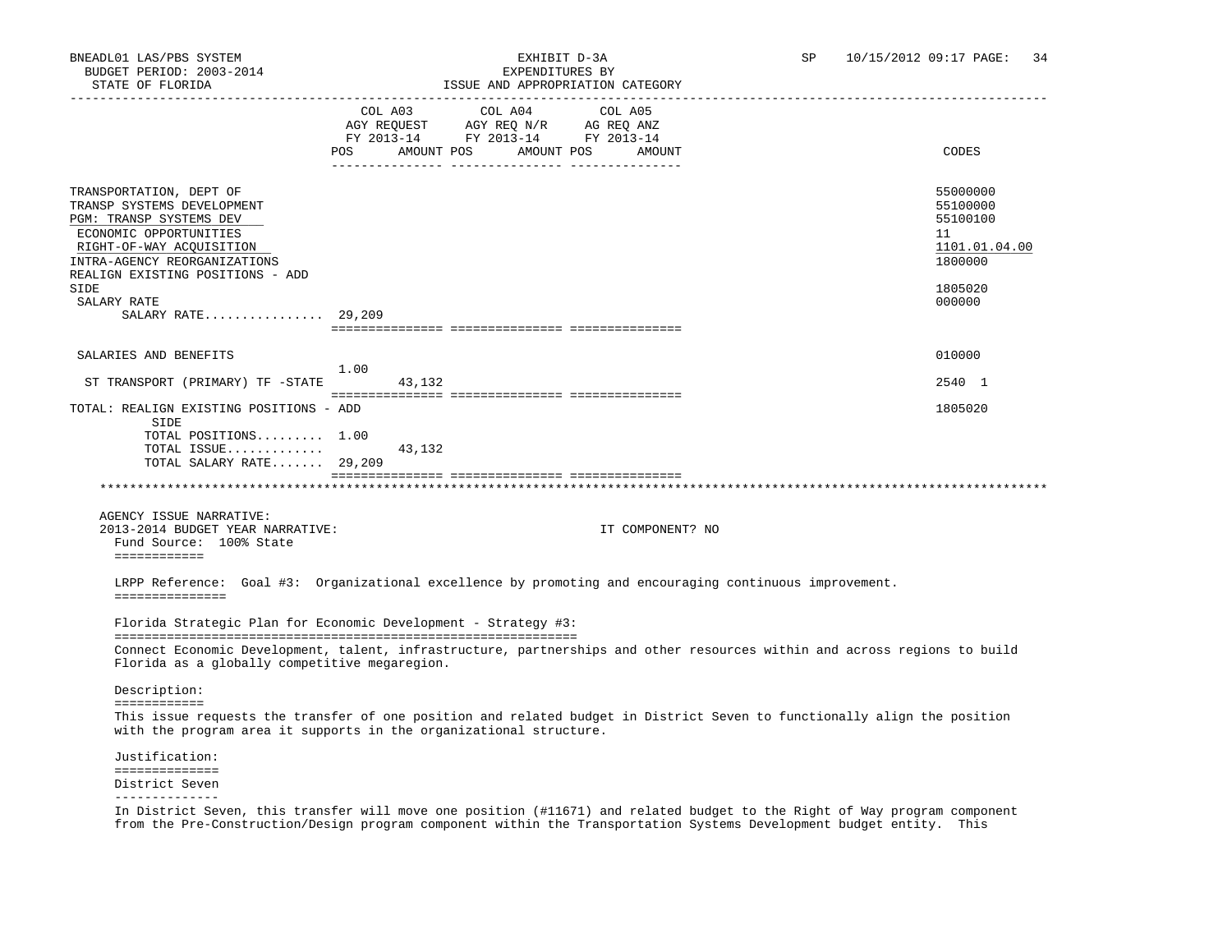| STATE OF FLORIDA                                                                                                                                                                                           |                           |                                                                                           | ISSUE AND APPROPRIATION CATEGORY |                                                                                                                           |
|------------------------------------------------------------------------------------------------------------------------------------------------------------------------------------------------------------|---------------------------|-------------------------------------------------------------------------------------------|----------------------------------|---------------------------------------------------------------------------------------------------------------------------|
|                                                                                                                                                                                                            | POS AMOUNT POS AMOUNT POS | COL A03 COL A04<br>AGY REQUEST AGY REQ N/R AG REQ ANZ<br>FY 2013-14 FY 2013-14 FY 2013-14 | COL A05<br>AMOUNT                | CODES                                                                                                                     |
| TRANSPORTATION, DEPT OF<br>TRANSP SYSTEMS DEVELOPMENT<br>PGM: TRANSP SYSTEMS DEV<br>ECONOMIC OPPORTUNITIES<br>RIGHT-OF-WAY ACQUISITION<br>INTRA-AGENCY REORGANIZATIONS<br>REALIGN EXISTING POSITIONS - ADD |                           |                                                                                           |                                  | 55000000<br>55100000<br>55100100<br>11<br>1101.01.04.00<br>1800000                                                        |
| SIDE<br>SALARY RATE<br>SALARY RATE 29,209                                                                                                                                                                  |                           |                                                                                           |                                  | 1805020<br>000000                                                                                                         |
|                                                                                                                                                                                                            |                           |                                                                                           |                                  |                                                                                                                           |
| SALARIES AND BENEFITS                                                                                                                                                                                      | 1.00                      |                                                                                           |                                  | 010000                                                                                                                    |
| ST TRANSPORT (PRIMARY) TF -STATE                                                                                                                                                                           | 43,132                    |                                                                                           |                                  | 2540 1                                                                                                                    |
| TOTAL: REALIGN EXISTING POSITIONS - ADD<br>SIDE                                                                                                                                                            |                           |                                                                                           |                                  | 1805020                                                                                                                   |
| TOTAL POSITIONS 1.00<br>TOTAL ISSUE<br>TOTAL SALARY RATE 29,209                                                                                                                                            | 43,132                    |                                                                                           |                                  |                                                                                                                           |
|                                                                                                                                                                                                            |                           |                                                                                           |                                  |                                                                                                                           |
| AGENCY ISSUE NARRATIVE:<br>2013-2014 BUDGET YEAR NARRATIVE:<br>Fund Source: 100% State<br>============                                                                                                     |                           |                                                                                           | IT COMPONENT? NO                 |                                                                                                                           |
| LRPP Reference: Goal #3: Organizational excellence by promoting and encouraging continuous improvement.<br>===============                                                                                 |                           |                                                                                           |                                  |                                                                                                                           |
| Florida Strategic Plan for Economic Development - Strategy #3:                                                                                                                                             |                           |                                                                                           |                                  |                                                                                                                           |
| Florida as a globally competitive megaregion.                                                                                                                                                              |                           |                                                                                           |                                  | Connect Economic Development, talent, infrastructure, partnerships and other resources within and across regions to build |
| Description:                                                                                                                                                                                               |                           |                                                                                           |                                  |                                                                                                                           |
| ============<br>with the program area it supports in the organizational structure.                                                                                                                         |                           |                                                                                           |                                  | This issue requests the transfer of one position and related budget in District Seven to functionally align the position  |
| Justification:                                                                                                                                                                                             |                           |                                                                                           |                                  |                                                                                                                           |
| ==============<br>District Seven<br>--------------                                                                                                                                                         |                           |                                                                                           |                                  |                                                                                                                           |
|                                                                                                                                                                                                            |                           |                                                                                           |                                  |                                                                                                                           |

 In District Seven, this transfer will move one position (#11671) and related budget to the Right of Way program component from the Pre-Construction/Design program component within the Transportation Systems Development budget entity. This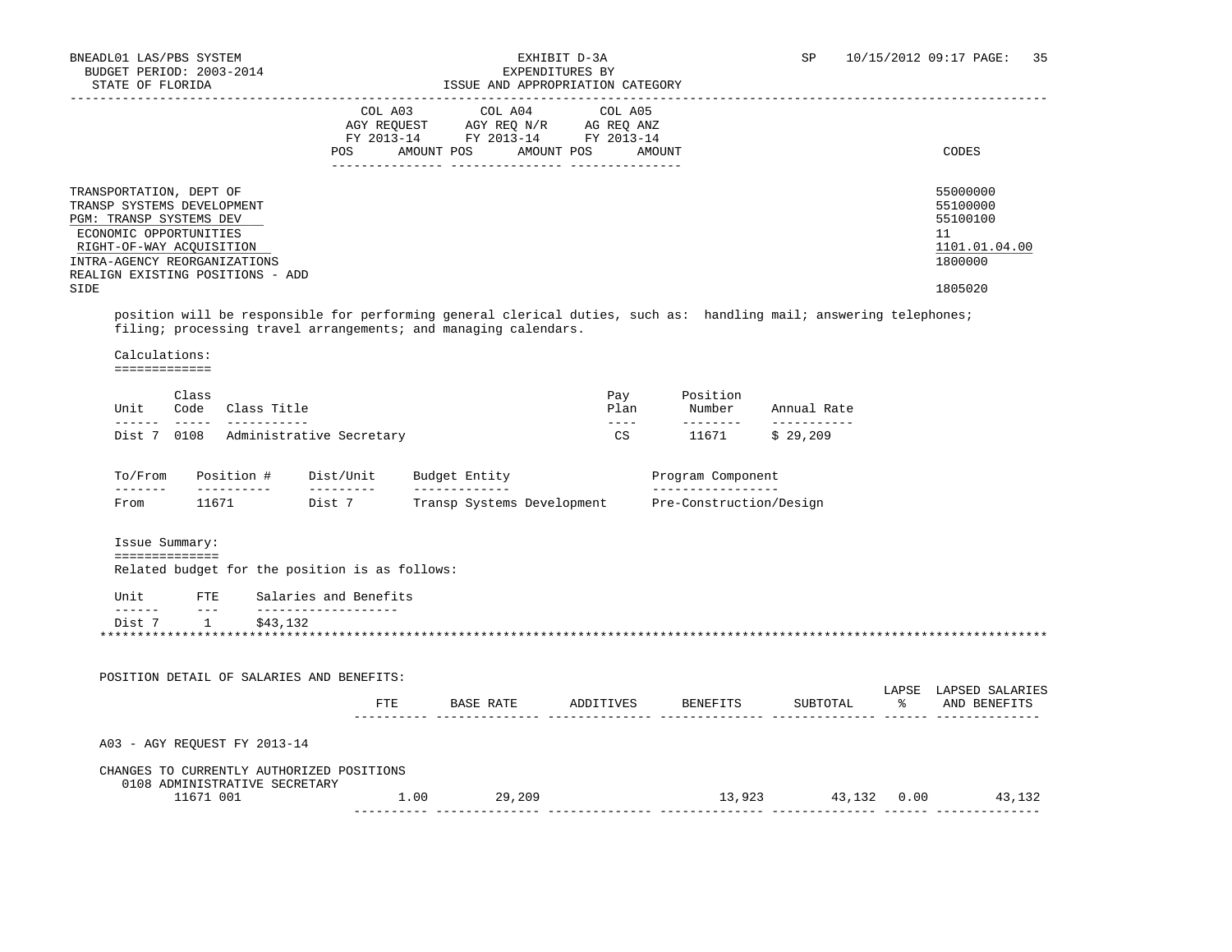## BNEADL01 LAS/PBS SYSTEM<br>BNEADL01 LAS/PBS SYSTEM **EXHIBIT D-3A** SP 10/15/2012 09:17 PAGE: 35

|                                                                                                                                                                                                                    |                                                                                                                                                                                                                                |                                                                                                        | PYLPMDIIOKP9 DI<br>ISSUE AND APPROPRIATION CATEGORY |                                                                 |                    |  |                                                                               |
|--------------------------------------------------------------------------------------------------------------------------------------------------------------------------------------------------------------------|--------------------------------------------------------------------------------------------------------------------------------------------------------------------------------------------------------------------------------|--------------------------------------------------------------------------------------------------------|-----------------------------------------------------|-----------------------------------------------------------------|--------------------|--|-------------------------------------------------------------------------------|
|                                                                                                                                                                                                                    | COL A03<br>POS                                                                                                                                                                                                                 | AGY REQUEST AGY REQ N/R AG REQ ANZ<br>FY 2013-14 FY 2013-14 FY 2013-14<br>AMOUNT POS AMOUNT POS AMOUNT | COL A04 COL A05                                     |                                                                 |                    |  | CODES                                                                         |
| TRANSPORTATION, DEPT OF<br>TRANSP SYSTEMS DEVELOPMENT<br>PGM: TRANSP SYSTEMS DEV<br>ECONOMIC OPPORTUNITIES<br>RIGHT-OF-WAY ACQUISITION<br>INTRA-AGENCY REORGANIZATIONS<br>REALIGN EXISTING POSITIONS - ADD<br>SIDE |                                                                                                                                                                                                                                |                                                                                                        |                                                     |                                                                 |                    |  | 55000000<br>55100000<br>55100100<br>11<br>1101.01.04.00<br>1800000<br>1805020 |
| position will be responsible for performing general clerical duties, such as: handling mail; answering telephones;<br>filing; processing travel arrangements; and managing calendars.                              |                                                                                                                                                                                                                                |                                                                                                        |                                                     |                                                                 |                    |  |                                                                               |
| Calculations:<br>=============                                                                                                                                                                                     |                                                                                                                                                                                                                                |                                                                                                        |                                                     |                                                                 |                    |  |                                                                               |
| Class<br>Unit<br>Code Class Title                                                                                                                                                                                  |                                                                                                                                                                                                                                |                                                                                                        | Pay<br>Plan                                         | Position                                                        | Number Annual Rate |  |                                                                               |
| Dist 7 0108 Administrative Secretary                                                                                                                                                                               |                                                                                                                                                                                                                                |                                                                                                        | $\frac{1}{2}$<br>CS                                 | 11671                                                           | \$29,209           |  |                                                                               |
| To/From<br>Position # Dist/Unit<br><u>_______</u><br>__________                                                                                                                                                    | and the contract of the contract of the contract of the contract of the contract of the contract of the contract of the contract of the contract of the contract of the contract of the contract of the contract of the contra | Budget Entity<br>_____________                                                                         |                                                     | Program Component<br>__________________                         |                    |  |                                                                               |
| From                                                                                                                                                                                                               |                                                                                                                                                                                                                                |                                                                                                        |                                                     | 11671 Dist 7 Transp Systems Development Pre-Construction/Design |                    |  |                                                                               |
| Issue Summary:<br>==============                                                                                                                                                                                   |                                                                                                                                                                                                                                |                                                                                                        |                                                     |                                                                 |                    |  |                                                                               |
| Related budget for the position is as follows:                                                                                                                                                                     |                                                                                                                                                                                                                                |                                                                                                        |                                                     |                                                                 |                    |  |                                                                               |
|                                                                                                                                                                                                                    | Salaries and Benefits                                                                                                                                                                                                          |                                                                                                        |                                                     |                                                                 |                    |  |                                                                               |
| Unit<br>FTE<br>$- - -$                                                                                                                                                                                             | _____________________                                                                                                                                                                                                          |                                                                                                        |                                                     |                                                                 |                    |  |                                                                               |

 11671 001 1.00 29,209 13,923 43,132 0.00 43,132 ---------- -------------- -------------- -------------- -------------- ------ --------------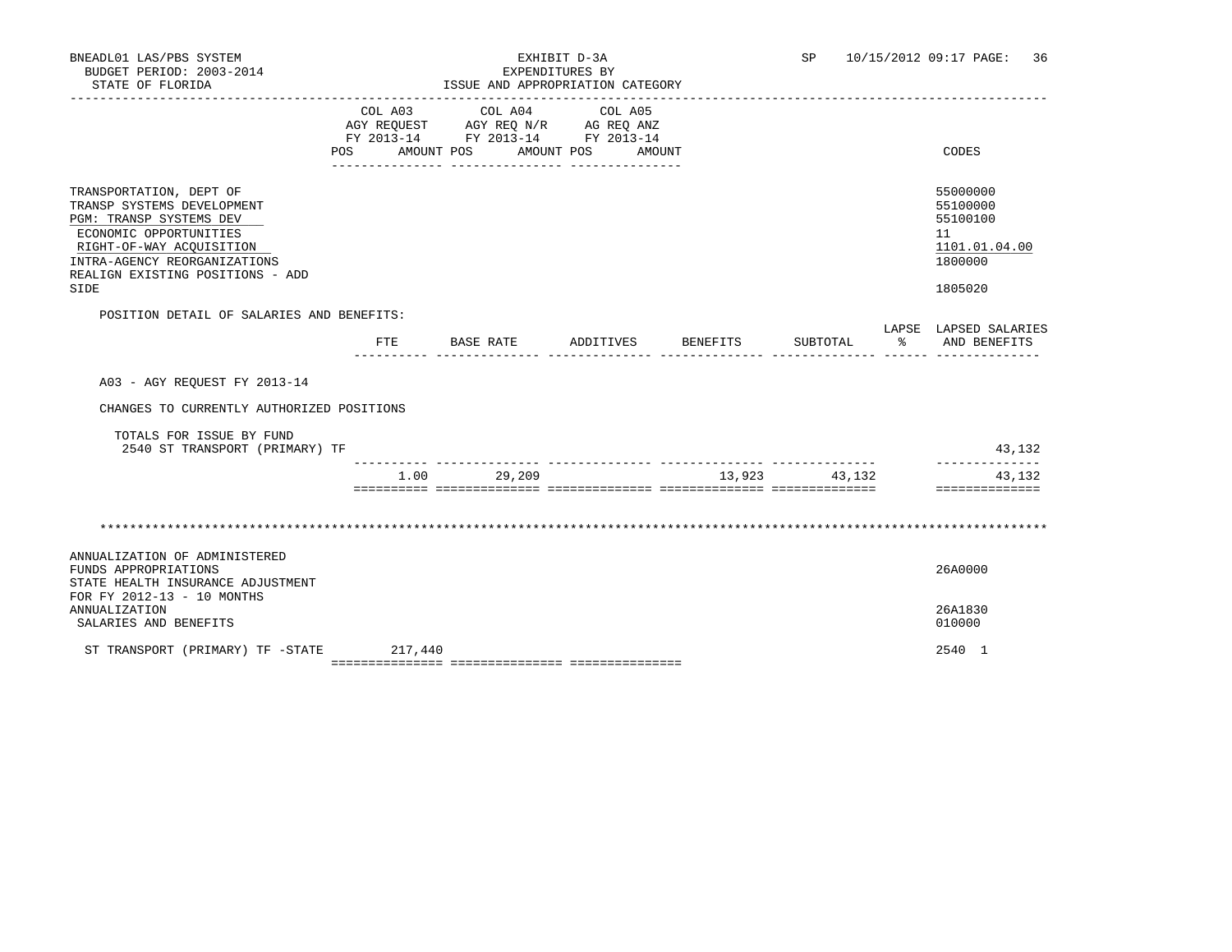| BNEADL01 LAS/PBS SYSTEM<br>BUDGET PERIOD: 2003-2014<br>STATE OF FLORIDA                                                                                                                                            | ISSUE AND APPROPRIATION CATEGORY | SP                                                                                                                                                                                                                                                                                                                                      |                                      | 10/15/2012 09:17 PAGE:<br>36 |          |               |                                                                               |
|--------------------------------------------------------------------------------------------------------------------------------------------------------------------------------------------------------------------|----------------------------------|-----------------------------------------------------------------------------------------------------------------------------------------------------------------------------------------------------------------------------------------------------------------------------------------------------------------------------------------|--------------------------------------|------------------------------|----------|---------------|-------------------------------------------------------------------------------|
|                                                                                                                                                                                                                    | AMOUNT POS<br>POS                | $\begin{tabular}{lllllllllllll} &\multicolumn{4}{c}{\text{COL A03}} &\multicolumn{4}{c}{\text{COL A04}} &\multicolumn{4}{c}{\text{COL A05}} \\ \multicolumn{4}{c}{\text{AGY REQUEST}} &\multicolumn{4}{c}{\text{AGY REQ N/R}} &\multicolumn{4}{c}{\text{AG REQ ANZ}} \end{tabular}$<br>FY 2013-14 FY 2013-14 FY 2013-14<br>------------ | AMOUNT POS AMOUNT<br>--------------- |                              |          |               | CODES                                                                         |
| TRANSPORTATION, DEPT OF<br>TRANSP SYSTEMS DEVELOPMENT<br>PGM: TRANSP SYSTEMS DEV<br>ECONOMIC OPPORTUNITIES<br>RIGHT-OF-WAY ACQUISITION<br>INTRA-AGENCY REORGANIZATIONS<br>REALIGN EXISTING POSITIONS - ADD<br>SIDE |                                  |                                                                                                                                                                                                                                                                                                                                         |                                      |                              |          |               | 55000000<br>55100000<br>55100100<br>11<br>1101.01.04.00<br>1800000<br>1805020 |
| POSITION DETAIL OF SALARIES AND BENEFITS:                                                                                                                                                                          | FTE                              | BASE RATE                                                                                                                                                                                                                                                                                                                               | ADDITIVES                            | BENEFITS                     | SUBTOTAL | $\sim$ $\sim$ | LAPSE LAPSED SALARIES<br>AND BENEFITS                                         |
| A03 - AGY REOUEST FY 2013-14                                                                                                                                                                                       |                                  |                                                                                                                                                                                                                                                                                                                                         |                                      |                              |          |               |                                                                               |
| CHANGES TO CURRENTLY AUTHORIZED POSITIONS<br>TOTALS FOR ISSUE BY FUND<br>2540 ST TRANSPORT (PRIMARY) TF                                                                                                            |                                  |                                                                                                                                                                                                                                                                                                                                         |                                      |                              |          |               | 43,132                                                                        |
|                                                                                                                                                                                                                    | $1.00 -$                         | 29,209                                                                                                                                                                                                                                                                                                                                  |                                      | 13,923                       | 43,132   |               | -------------<br>43,132<br>==============                                     |
|                                                                                                                                                                                                                    |                                  |                                                                                                                                                                                                                                                                                                                                         |                                      |                              |          |               |                                                                               |
| ANNUALIZATION OF ADMINISTERED<br>FUNDS APPROPRIATIONS<br>STATE HEALTH INSURANCE ADJUSTMENT                                                                                                                         |                                  |                                                                                                                                                                                                                                                                                                                                         |                                      |                              |          |               | 26A0000                                                                       |
| FOR FY 2012-13 - 10 MONTHS<br>ANNUALIZATION<br>SALARIES AND BENEFITS                                                                                                                                               |                                  |                                                                                                                                                                                                                                                                                                                                         |                                      |                              |          |               | 26A1830<br>010000                                                             |
| ST TRANSPORT (PRIMARY) TF -STATE                                                                                                                                                                                   | 217,440                          |                                                                                                                                                                                                                                                                                                                                         |                                      |                              |          |               | 2540 1                                                                        |

=============== =============== ===============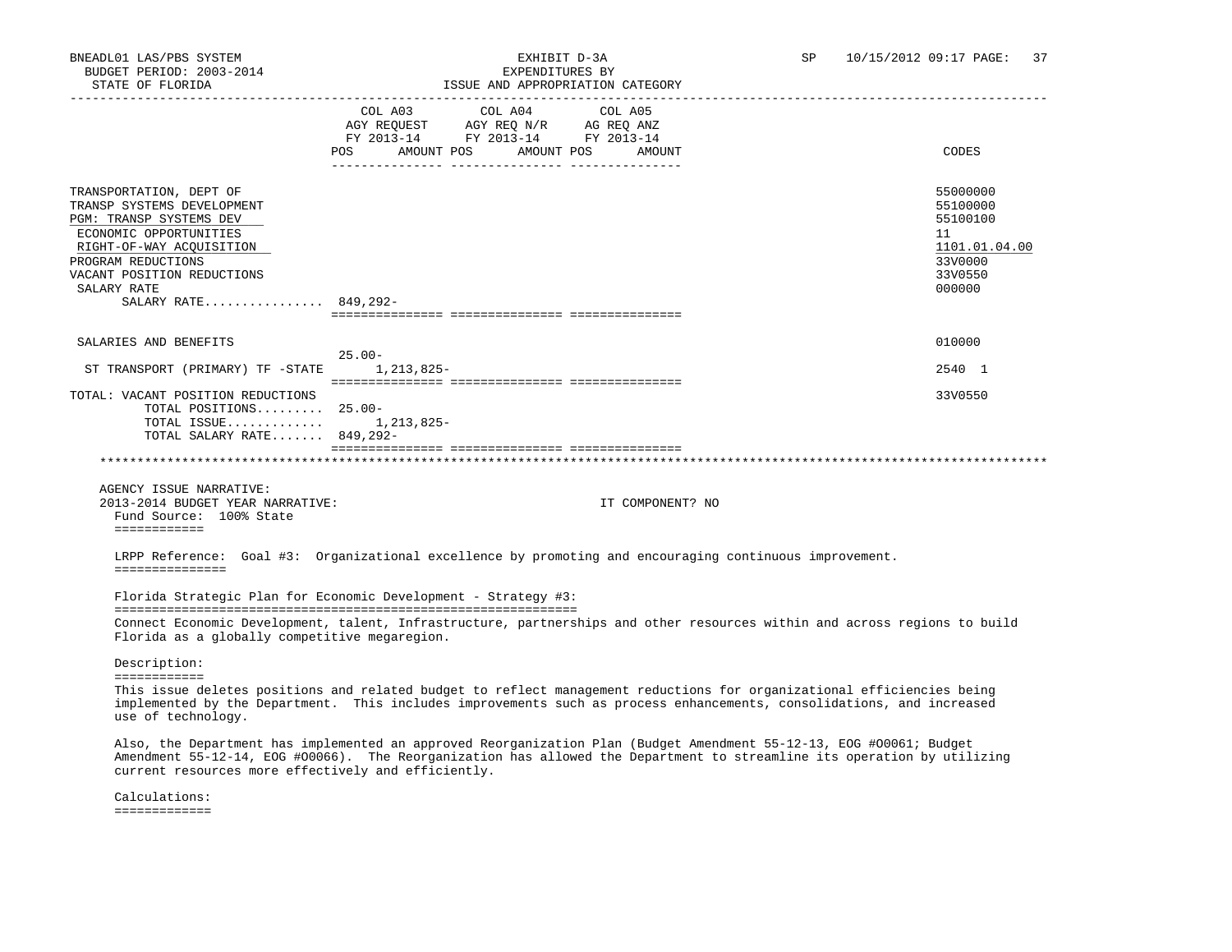| STATE OF FLORIDA                                                                                                                                                                                                                  | ISSUE AND APPROPRIATION CATEGORY                                                                                                                                                                                                                                                                       |                                                                                         |
|-----------------------------------------------------------------------------------------------------------------------------------------------------------------------------------------------------------------------------------|--------------------------------------------------------------------------------------------------------------------------------------------------------------------------------------------------------------------------------------------------------------------------------------------------------|-----------------------------------------------------------------------------------------|
|                                                                                                                                                                                                                                   | COL A03 COL A04<br>COL A05<br>AGY REQUEST AGY REQ N/R AG REQ ANZ<br>FY 2013-14 FY 2013-14 FY 2013-14<br>POS AMOUNT POS AMOUNT POS AMOUNT                                                                                                                                                               | CODES                                                                                   |
| TRANSPORTATION, DEPT OF<br>TRANSP SYSTEMS DEVELOPMENT<br>PGM: TRANSP SYSTEMS DEV<br>ECONOMIC OPPORTUNITIES<br>RIGHT-OF-WAY ACQUISITION<br>PROGRAM REDUCTIONS<br>VACANT POSITION REDUCTIONS<br>SALARY RATE<br>SALARY RATE 849,292- |                                                                                                                                                                                                                                                                                                        | 55000000<br>55100000<br>55100100<br>11<br>1101.01.04.00<br>33V0000<br>33V0550<br>000000 |
| SALARIES AND BENEFITS                                                                                                                                                                                                             |                                                                                                                                                                                                                                                                                                        | 010000                                                                                  |
| ST TRANSPORT (PRIMARY) TF -STATE 1,213,825-                                                                                                                                                                                       | $25.00 -$                                                                                                                                                                                                                                                                                              | 2540 1                                                                                  |
| TOTAL: VACANT POSITION REDUCTIONS<br>TOTAL POSITIONS 25.00-<br>TOTAL ISSUE $1,213,825-$<br>TOTAL SALARY RATE 849,292-                                                                                                             |                                                                                                                                                                                                                                                                                                        | 33V0550                                                                                 |
| AGENCY ISSUE NARRATIVE:<br>2013-2014 BUDGET YEAR NARRATIVE:<br>Fund Source: 100% State                                                                                                                                            | IT COMPONENT? NO                                                                                                                                                                                                                                                                                       |                                                                                         |
| ============<br>===============                                                                                                                                                                                                   | LRPP Reference: Goal #3: Organizational excellence by promoting and encouraging continuous improvement.<br>Florida Strategic Plan for Economic Development - Strategy #3:<br>Connect Economic Development, talent, Infrastructure, partnerships and other resources within and across regions to build |                                                                                         |
| Florida as a globally competitive megaregion.<br>Description:<br>============                                                                                                                                                     | This issue deletes positions and related budget to reflect management reductions for organizational efficiencies being<br>implemented by the Department. This includes improvements such as process enhancements, consolidations, and increased                                                        |                                                                                         |
| use of technology.<br>current resources more effectively and efficiently.<br>Calculations:                                                                                                                                        | Also, the Department has implemented an approved Reorganization Plan (Budget Amendment 55-12-13, EOG #00061; Budget<br>Amendment 55-12-14, EOG #00066). The Reorganization has allowed the Department to streamline its operation by utilizing                                                         |                                                                                         |
| =============                                                                                                                                                                                                                     |                                                                                                                                                                                                                                                                                                        |                                                                                         |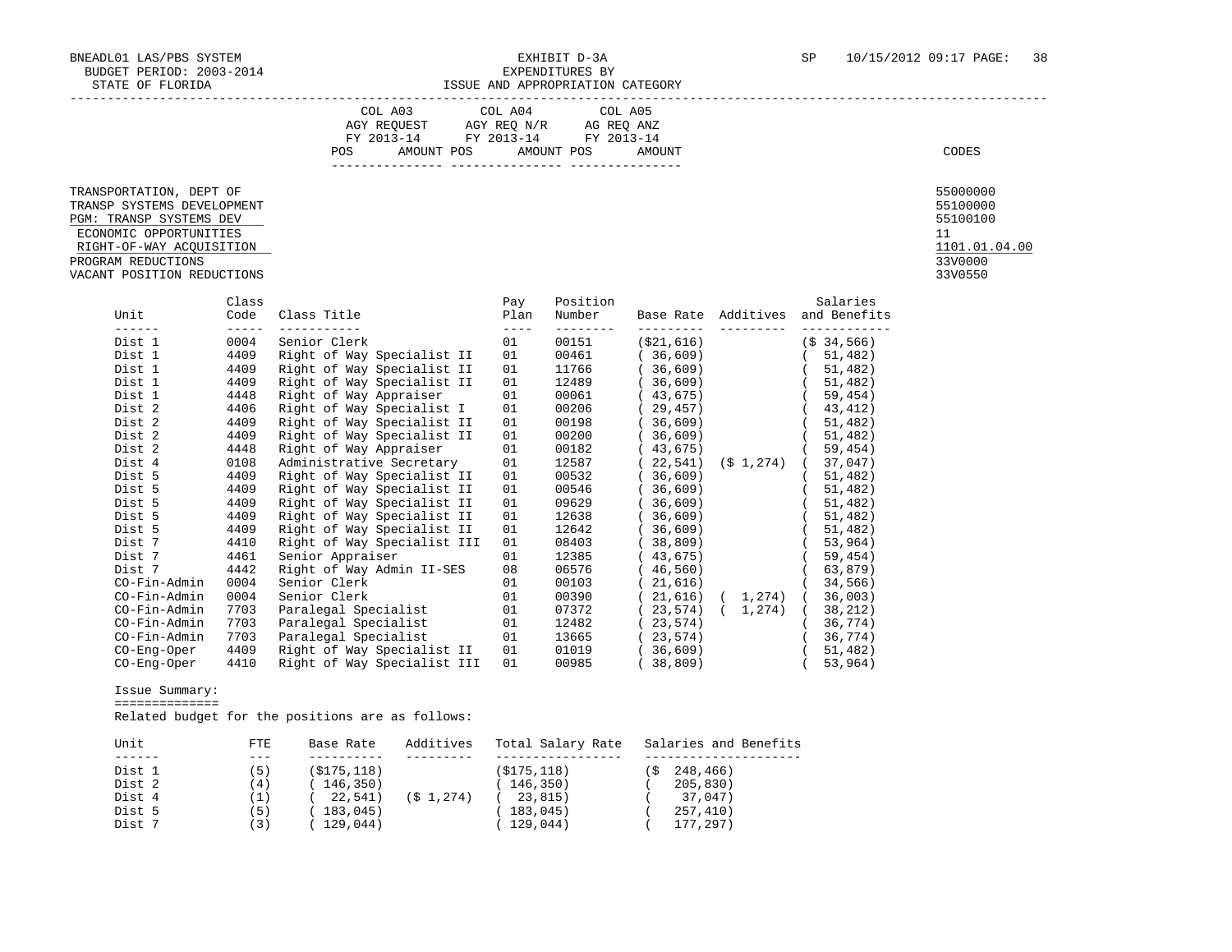|                                                  |       | COL A03 COL A04 COL A05<br>$\begin{tabular}{lllllll} \bf AGY \,\, REQUEST \,\, &\bf AGY \,\, REQ \,\, N/R &\bf AG \,\, REQ \,\, ANZ \\ \bf FY \,\, 2013-14 &\bf FY \,\, 2013-14 &\bf FY \,\, 2013-14 \\ \end{tabular}$<br><b>POS</b><br>AMOUNT POS AMOUNT POS |                   |                    | AMOUNT                |               |                                  | CODES               |
|--------------------------------------------------|-------|---------------------------------------------------------------------------------------------------------------------------------------------------------------------------------------------------------------------------------------------------------------|-------------------|--------------------|-----------------------|---------------|----------------------------------|---------------------|
|                                                  |       |                                                                                                                                                                                                                                                               |                   |                    |                       |               |                                  |                     |
| TRANSPORTATION, DEPT OF                          |       |                                                                                                                                                                                                                                                               |                   |                    |                       |               |                                  | 55000000            |
| TRANSP SYSTEMS DEVELOPMENT                       |       |                                                                                                                                                                                                                                                               |                   |                    |                       |               |                                  | 55100000            |
| PGM: TRANSP SYSTEMS DEV                          |       |                                                                                                                                                                                                                                                               |                   |                    |                       |               |                                  | 55100100            |
| ECONOMIC OPPORTUNITIES                           |       |                                                                                                                                                                                                                                                               |                   |                    |                       |               |                                  | 11<br>1101.01.04.00 |
| RIGHT-OF-WAY ACQUISITION                         |       |                                                                                                                                                                                                                                                               |                   |                    |                       |               |                                  | 33V0000             |
| PROGRAM REDUCTIONS<br>VACANT POSITION REDUCTIONS |       |                                                                                                                                                                                                                                                               |                   |                    |                       |               |                                  | 33V0550             |
|                                                  |       |                                                                                                                                                                                                                                                               |                   |                    |                       |               |                                  |                     |
|                                                  | Class |                                                                                                                                                                                                                                                               | Pay               | Position           |                       |               | Salaries                         |                     |
| Unit                                             |       | Code Class Title                                                                                                                                                                                                                                              | Plan              | Number             |                       |               | Base Rate Additives and Benefits |                     |
| Dist 1                                           |       | ___________________<br>0004 Senior Clerk                                                                                                                                                                                                                      | $- - - - -$<br>01 | ---------<br>00151 | ( \$21,616)           |               | (S <sub>34,566)</sub>            |                     |
| Dist 1                                           |       | 4409 Right of Way Specialist II                                                                                                                                                                                                                               | 01                | 00461              | (36, 609)             |               | (51, 482)                        |                     |
| Dist 1                                           | 4409  | Right of Way Specialist II                                                                                                                                                                                                                                    | 01                | 11766              | (36, 609)             |               | (51, 482)                        |                     |
| Dist 1                                           | 4409  | Right of Way Specialist II                                                                                                                                                                                                                                    | 01                | 12489              | (36, 609)             |               | (51, 482)                        |                     |
| Dist 1                                           | 4448  | Right of Way Appraiser                                                                                                                                                                                                                                        | 01                | 00061              | (43, 675)             |               | (59, 454)                        |                     |
| Dist 2                                           | 4406  | Right of Way Specialist I                                                                                                                                                                                                                                     | 01                | 00206              | (29, 457)             |               | (43, 412)                        |                     |
| Dist 2                                           | 4409  | Right of Way Specialist II                                                                                                                                                                                                                                    | 01                | 00198              | (36, 609)             |               | (51, 482)                        |                     |
| Dist 2                                           | 4409  | Right of Way Specialist II                                                                                                                                                                                                                                    | 01                | 00200              | (36, 609)             |               | (51, 482)                        |                     |
| Dist 2                                           | 4448  | Right of Way Appraiser                                                                                                                                                                                                                                        | 01                | 00182              | (43, 675)             |               | (59, 454)                        |                     |
| Dist 4                                           | 0108  | Administrative Secretary                                                                                                                                                                                                                                      | 01                | 12587              |                       |               | $(22,541)$ $(51,274)$ $(37,047)$ |                     |
| Dist 5                                           | 4409  | Right of Way Specialist II                                                                                                                                                                                                                                    | 01                | 00532              | (36, 609)             |               | 51,482)                          |                     |
| Dist 5                                           | 4409  | Right of Way Specialist II                                                                                                                                                                                                                                    | 01                | 00546              | (36, 609)             |               | 51,482)                          |                     |
| Dist 5                                           | 4409  | Right of Way Specialist II                                                                                                                                                                                                                                    | 01                | 09629              |                       | $(36, 609)$ ( | 51,482)                          |                     |
| Dist 5                                           | 4409  | Right of Way Specialist II                                                                                                                                                                                                                                    | 01                | 12638              | $(36,609)$ (          |               | 51,482)                          |                     |
| Dist 5                                           | 4409  | Right of Way Specialist II                                                                                                                                                                                                                                    | 01                | 12642              | $(36,609)$ $(51,482)$ |               |                                  |                     |
| Dist 7                                           | 4410  | Right of Way Specialist III                                                                                                                                                                                                                                   | 01                | 08403              | (38, 809)             |               | (53, 964)                        |                     |
| Dist 7                                           | 4461  | Senior Appraiser                                                                                                                                                                                                                                              | 01                | 12385              | (43, 675)             |               | 59,454)                          |                     |

 CO-Fin-Admin 0004 Senior Clerk 01 00103 ( 21,616) ( 34,566) CO-Fin-Admin 0004 Senior Clerk 01 00390 ( 21,616) ( 1,274) ( 36,003) CO-Fin-Admin 7703 Paralegal Specialist 01 07372 ( 23,574) ( 1,274) ( 38,212) CO-Fin-Admin 7703 Paralegal Specialist 01 12482 ( 23,574) ( 36,774) CO-Fin-Admin 7703 Paralegal Specialist 01 13665 ( 23,574) ( 36,774) CO-Eng-Oper 4409 Right of Way Specialist II 01 01019 ( 36,609) ( 51,482)  $CO-Eng-Oper$  4410 Right of Way Specialist III 01 00985 (38,809)

### Issue Summary:

==============

Related budget for the positions are as follows:

| Unit   | FTE. | Base Rate   | Additives    | Total Salary Rate Salaries and Benefits |           |
|--------|------|-------------|--------------|-----------------------------------------|-----------|
|        |      |             |              |                                         |           |
| Dist 1 | (5)  | (S175, 118) |              | (S175, 118)                             | 248,466)  |
| Dist 2 | (4)  | 146,350)    |              | 146,350)                                | 205, 830) |
| Dist 4 | (1)  | 22,541)     | $(S_1, 274)$ | 23,815)                                 | 37,047)   |
| Dist 5 | (5)  | 183,045)    |              | 183,045)                                | 257,410)  |
| Dist 7 | (3)  | 129,044)    |              | 129,044)                                | 177,297)  |

Dist 7 4442 Right of Way Admin II-SES 08 06576 ( 46,560) ( 63,879)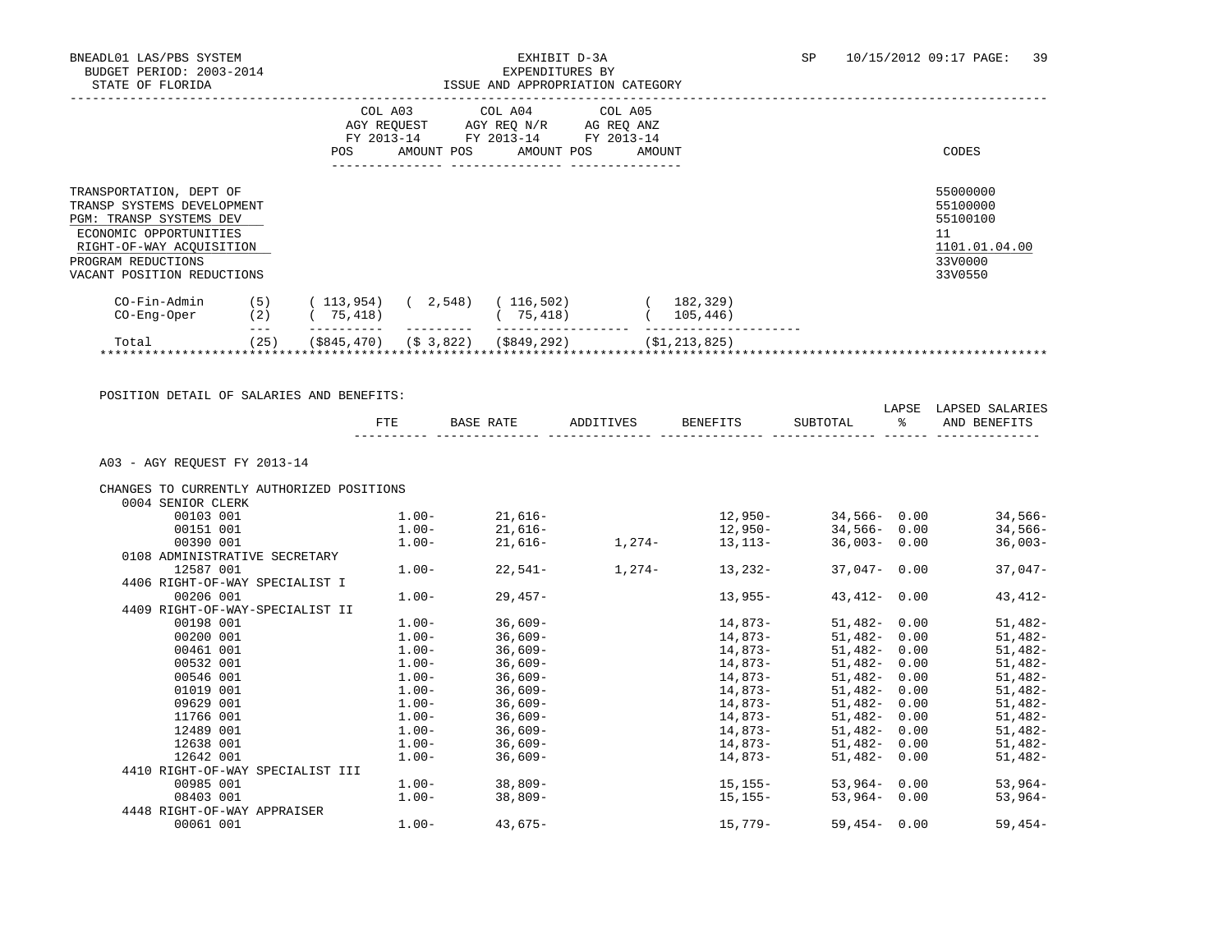|                                                                                                                                                                                                   |            | COL A03<br>AGY REQUEST<br>FY 2013-14<br><b>POS</b> | AMOUNT POS             | COL A04<br>AGY REQ N/R<br>FY 2013-14<br>AMOUNT POS | COL A05<br>AG REQ ANZ<br>FY 2013-14<br>AMOUNT | CODES                                                                         |
|---------------------------------------------------------------------------------------------------------------------------------------------------------------------------------------------------|------------|----------------------------------------------------|------------------------|----------------------------------------------------|-----------------------------------------------|-------------------------------------------------------------------------------|
| TRANSPORTATION, DEPT OF<br>TRANSP SYSTEMS DEVELOPMENT<br><b>PGM: TRANSP SYSTEMS DEV</b><br>ECONOMIC OPPORTUNITIES<br>RIGHT-OF-WAY ACOUISITION<br>PROGRAM REDUCTIONS<br>VACANT POSITION REDUCTIONS |            |                                                    |                        |                                                    |                                               | 55000000<br>55100000<br>55100100<br>11<br>1101.01.04.00<br>33V0000<br>33V0550 |
| CO-Fin-Admin<br>CO-Eng-Oper                                                                                                                                                                       | (5)<br>(2) | (113, 954)<br>75,418)                              | (2, 548)               | (116, 502)<br>75,418)                              | 182,329)<br>105,446)                          |                                                                               |
| Total<br>**********************************                                                                                                                                                       | (25)       | (S845, 470)                                        | (S <sub>3</sub> , 822) | $($ \$849,292)                                     | ( \$1, 213, 825)                              |                                                                               |

 POSITION DETAIL OF SALARIES AND BENEFITS: LAPSE LAPSED SALARIES FTE BASE RATE ADDITIVES BENEFITS SUBTOTAL % AND BENEFITS ---------- -------------- -------------- -------------- -------------- ------ -------------- A03 - AGY REQUEST FY 2013-14 CHANGES TO CURRENTLY AUTHORIZED POSITIONS 0004 SENIOR CLERK<br>00103 001 1.00- 21,616- 12,950- 34,566- 0.00 34,566-<br>1.00- 21.616- 12.950- 34.566- 0.00 34.566- 00151 001 1.00- 21,616- 12,950- 34,566- 0.00 34,566- 00390 001 1.00- 21,616- 1,274- 13,113- 36,003- 0.00 36,003- 0108 ADMINISTRATIVE SECRETARY 12587 001 1.00- 22,541- 1,274- 13,232- 37,047- 0.00 37,047- 4406 RIGHT-OF-WAY SPECIALIST I 00206 001 1.00- 29,457- 13,955- 43,412- 0.00 43,412- 4409 RIGHT-OF-WAY-SPECIALIST II 00198 001 1.00- 36,609- 14,873- 51,482- 0.00 51,482- 00200 001 1.00- 36,609- 14,873- 51,482- 0.00 51,482- 00461 001 1.00- 36,609- 14,873- 51,482- 0.00 51,482- 00532 001 1.00- 36,609- 14,873- 51,482- 0.00 51,482- 00546 001 1.00- 36,609- 14,873- 51,482- 0.00 51,482- 51,482- 0.00  $\begin{array}{cccccccc} 09629 & 001 & & & & 1.00- & & 36\,6\,09- & & & & 1.00- & & 36\,6\,09- & & & & 1.00- & & 36\,6\,09- & & & & 1.00- & & 36\,6\,09- & & & & & 1.00- & & 36\,6\,09- & & & & & 1.00- & & 36\,6\,09- & & & & & 1.00+ & & 36\,6\,09- & & & & & 1.00+ & & 36\,6\,09- & & & & & & 1.00+ &$  11766 001 1.00- 36,609- 14,873- 51,482- 0.00 51,482- 12489 001 1.00- 36,609- 14,873- 51,482- 0.00 51,482- 12638 001 1.00- 36,609- 14,873- 51,482- 0.00 51,482- 12642 001 1.00- 36,609- 14,873- 51,482- 0.00 51,482- 4410 RIGHT-OF-WAY SPECIALIST III 00985 001 1.00- 38,809- 15,155- 53,964- 0.00 53,964-  $38,809 15,155 53,964 0.00$  4448 RIGHT-OF-WAY APPRAISER 00061 001 1.00- 43,675- 15,779- 59,454- 0.00 59,454-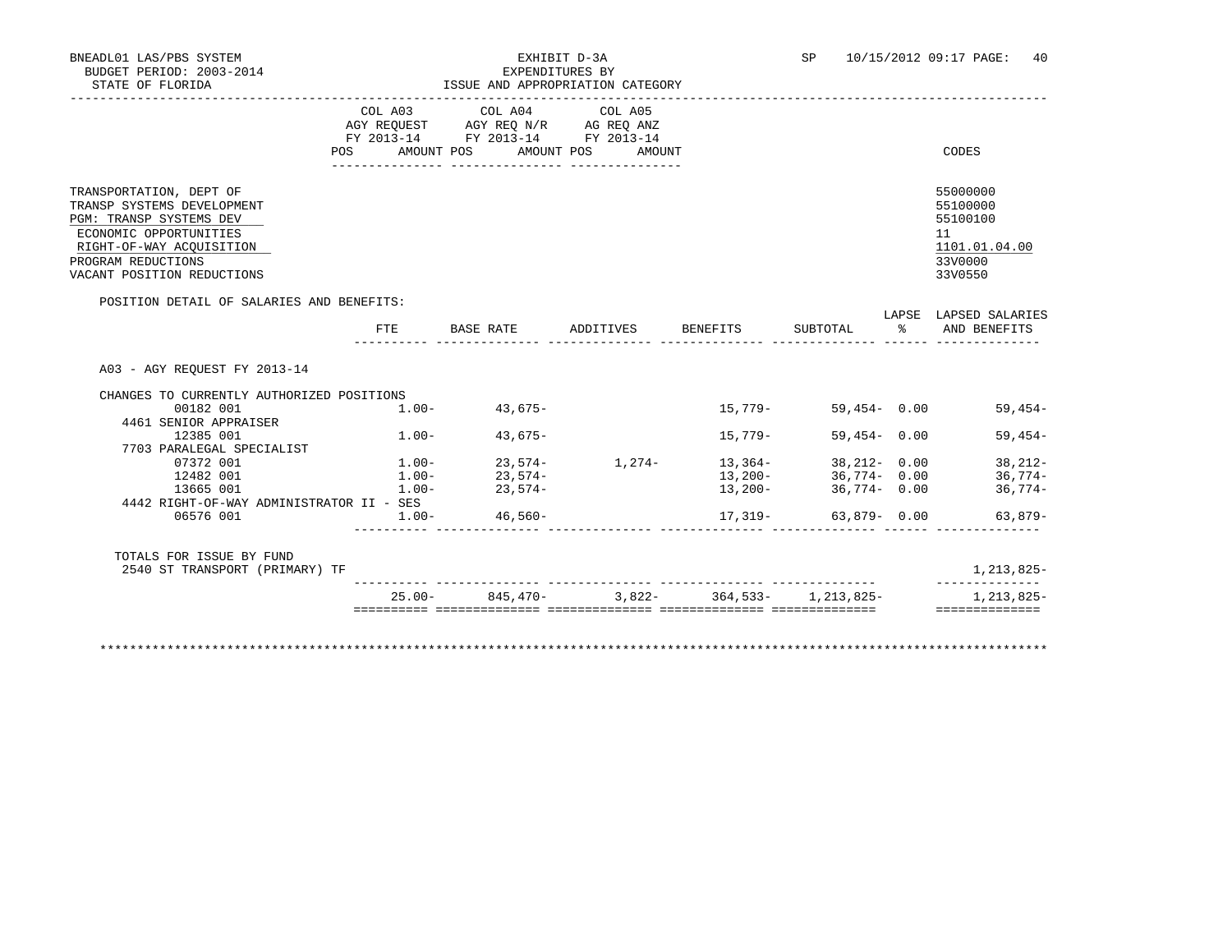# BNEADL01 LAS/PBS SYSTEM EXHIBIT D-3A SP 10/15/2012 09:17 PAGE: 40

| STATE OF FLORIDA                                                                                                                                                                           |           |                                                                                                                                | ISSUE AND APPROPRIATION CATEGORY |                                 |                 |                                                                               |
|--------------------------------------------------------------------------------------------------------------------------------------------------------------------------------------------|-----------|--------------------------------------------------------------------------------------------------------------------------------|----------------------------------|---------------------------------|-----------------|-------------------------------------------------------------------------------|
|                                                                                                                                                                                            |           | COL A03 COL A04 COL A05<br>AGY REQUEST AGY REQ N/R AG REQ ANZ<br>FY 2013-14 FY 2013-14 FY 2013-14<br>POS AMOUNT POS AMOUNT POS | AMOUNT                           |                                 |                 | CODES                                                                         |
| TRANSPORTATION, DEPT OF<br>TRANSP SYSTEMS DEVELOPMENT<br>PGM: TRANSP SYSTEMS DEV<br>ECONOMIC OPPORTUNITIES<br>RIGHT-OF-WAY ACQUISITION<br>PROGRAM REDUCTIONS<br>VACANT POSITION REDUCTIONS |           |                                                                                                                                |                                  |                                 |                 | 55000000<br>55100000<br>55100100<br>11<br>1101.01.04.00<br>33V0000<br>33V0550 |
| POSITION DETAIL OF SALARIES AND BENEFITS:                                                                                                                                                  |           |                                                                                                                                |                                  |                                 |                 | LAPSE LAPSED SALARIES                                                         |
|                                                                                                                                                                                            |           | FTE BASE RATE ADDITIVES BENEFITS                                                                                               |                                  |                                 | SUBTOTAL %      | AND BENEFITS                                                                  |
| A03 - AGY REOUEST FY 2013-14<br>CHANGES TO CURRENTLY AUTHORIZED POSITIONS<br>00182 001                                                                                                     |           | $1.00 - 43,675 -$                                                                                                              |                                  | 15,779-                         | 59,454 - 0.00   | $59,454-$                                                                     |
| 4461 SENIOR APPRAISER<br>12385 001                                                                                                                                                         |           | $1.00 - 43.675 -$                                                                                                              |                                  | 15,779-                         | $59.454 - 0.00$ | $59.454-$                                                                     |
| 7703 PARALEGAL SPECIALIST                                                                                                                                                                  |           |                                                                                                                                |                                  |                                 |                 |                                                                               |
| 07372 001                                                                                                                                                                                  |           | $1.00 23,574-$<br>$1.00 23,574-$                                                                                               | $1,274 13,364-$<br>$13,200-$     |                                 | 38,212- 0.00    | 38,212-                                                                       |
| 12482 001                                                                                                                                                                                  |           |                                                                                                                                |                                  |                                 | 36,774- 0.00    | 36,774-                                                                       |
| 13665 001<br>4442 RIGHT-OF-WAY ADMINISTRATOR II - SES                                                                                                                                      | $1.00 -$  | $23.574-$                                                                                                                      |                                  | 13,200-                         | $36.774 - 0.00$ | $36,774-$                                                                     |
| 06576 001                                                                                                                                                                                  |           | $1.00 - 46,560 -$                                                                                                              |                                  | 17,319-                         | 63,879- 0.00    | $63,879-$                                                                     |
| TOTALS FOR ISSUE BY FUND                                                                                                                                                                   |           |                                                                                                                                |                                  |                                 |                 |                                                                               |
| 2540 ST TRANSPORT (PRIMARY) TF                                                                                                                                                             |           |                                                                                                                                |                                  |                                 |                 | 1,213,825-                                                                    |
|                                                                                                                                                                                            | $25.00 -$ | 845,470-                                                                                                                       |                                  | $3.822 - 364.533 - 1.213.825 -$ |                 | 1,213,825-                                                                    |

\*\*\*\*\*\*\*\*\*\*\*\*\*\*\*\*\*\*\*\*\*\*\*\*\*\*\*\*\*\*\*\*\*\*\*\*\*\*\*\*\*\*\*\*\*\*\*\*\*\*\*\*\*\*\*\*\*\*\*\*\*\*\*\*\*\*\*\*\*\*\*\*\*\*\*\*\*\*\*\*\*\*\*\*\*\*\*\*\*\*\*\*\*\*\*\*\*\*\*\*\*\*\*\*\*\*\*\*\*\*\*\*\*\*\*\*\*\*\*\*\*\*\*\*\*\*\*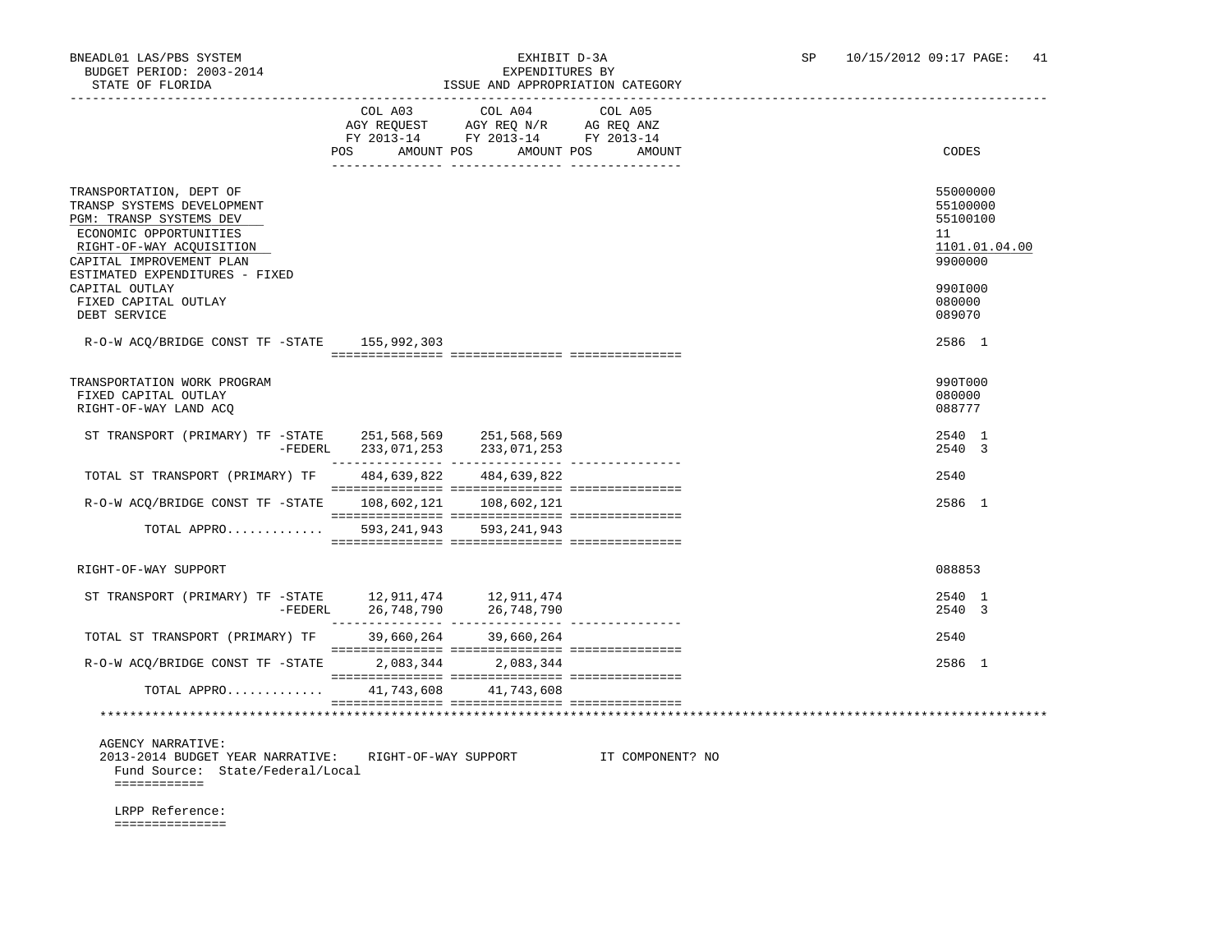### BNEADL01 LAS/PBS SYSTEM<br>BUDGET PERIOD: 2003-2014<br>CHERLOPS STRIPS 2003-2014 ISSUE AND APPROPRIATION CATEGORY

|                                                                                                                                                                                                      | COL A03<br>AMOUNT POS<br>POS | COL A04<br>AGY REQUEST AGY REQ N/R AG REQ ANZ<br>FY 2013-14 FY 2013-14 FY 2013-14 | COL A05<br>AMOUNT POS<br>AMOUNT | CODES                                                              |
|------------------------------------------------------------------------------------------------------------------------------------------------------------------------------------------------------|------------------------------|-----------------------------------------------------------------------------------|---------------------------------|--------------------------------------------------------------------|
|                                                                                                                                                                                                      |                              |                                                                                   |                                 |                                                                    |
| TRANSPORTATION, DEPT OF<br>TRANSP SYSTEMS DEVELOPMENT<br>PGM: TRANSP SYSTEMS DEV<br>ECONOMIC OPPORTUNITIES<br>RIGHT-OF-WAY ACQUISITION<br>CAPITAL IMPROVEMENT PLAN<br>ESTIMATED EXPENDITURES - FIXED |                              |                                                                                   |                                 | 55000000<br>55100000<br>55100100<br>11<br>1101.01.04.00<br>9900000 |
| CAPITAL OUTLAY<br>FIXED CAPITAL OUTLAY<br>DEBT SERVICE                                                                                                                                               |                              |                                                                                   |                                 | 990I000<br>080000<br>089070                                        |
| $R-O-W ACO/BRIDGE CONST TF - STATE 155,992,303$                                                                                                                                                      |                              |                                                                                   |                                 | 2586 1                                                             |
| TRANSPORTATION WORK PROGRAM<br>FIXED CAPITAL OUTLAY<br>RIGHT-OF-WAY LAND ACO                                                                                                                         |                              |                                                                                   |                                 | 990T000<br>080000<br>088777                                        |
| ST TRANSPORT (PRIMARY) TF -STATE 251,568,569 251,568,569                                                                                                                                             | -FEDERL 233,071,253          | 233,071,253                                                                       |                                 | 2540 1<br>2540 3                                                   |
| TOTAL ST TRANSPORT (PRIMARY) TF 484,639,822 484,639,822                                                                                                                                              |                              |                                                                                   |                                 | 2540                                                               |
| R-O-W ACO/BRIDGE CONST TF -STATE 108,602,121 108,602,121                                                                                                                                             |                              |                                                                                   |                                 | 2586 1                                                             |
| TOTAL APPRO                                                                                                                                                                                          | 593,241,943                  | 593,241,943                                                                       |                                 |                                                                    |
| RIGHT-OF-WAY SUPPORT                                                                                                                                                                                 |                              |                                                                                   |                                 | 088853                                                             |
| ST TRANSPORT (PRIMARY) TF -STATE 12,911,474 12,911,474<br>-FEDERL 26,748,790 26,748,790                                                                                                              |                              |                                                                                   |                                 | 2540 1<br>2540 3                                                   |
| TOTAL ST TRANSPORT (PRIMARY) TF 39,660,264 39,660,264                                                                                                                                                |                              |                                                                                   |                                 | 2540                                                               |
| R-O-W ACQ/BRIDGE CONST TF -STATE                                                                                                                                                                     |                              | 2,083,344 2,083,344                                                               |                                 | 2586 1                                                             |
| TOTAL APPRO                                                                                                                                                                                          |                              | 41,743,608 41,743,608                                                             |                                 |                                                                    |
|                                                                                                                                                                                                      |                              |                                                                                   |                                 |                                                                    |
| <b>AGENCY NARRATIVE:</b><br>2013-2014 BUDGET YEAR NARRATIVE:<br>Fund Source: State/Federal/Local<br>============                                                                                     | RIGHT-OF-WAY SUPPORT         |                                                                                   | IT COMPONENT? NO                |                                                                    |
| LRPP Reference:                                                                                                                                                                                      |                              |                                                                                   |                                 |                                                                    |

===============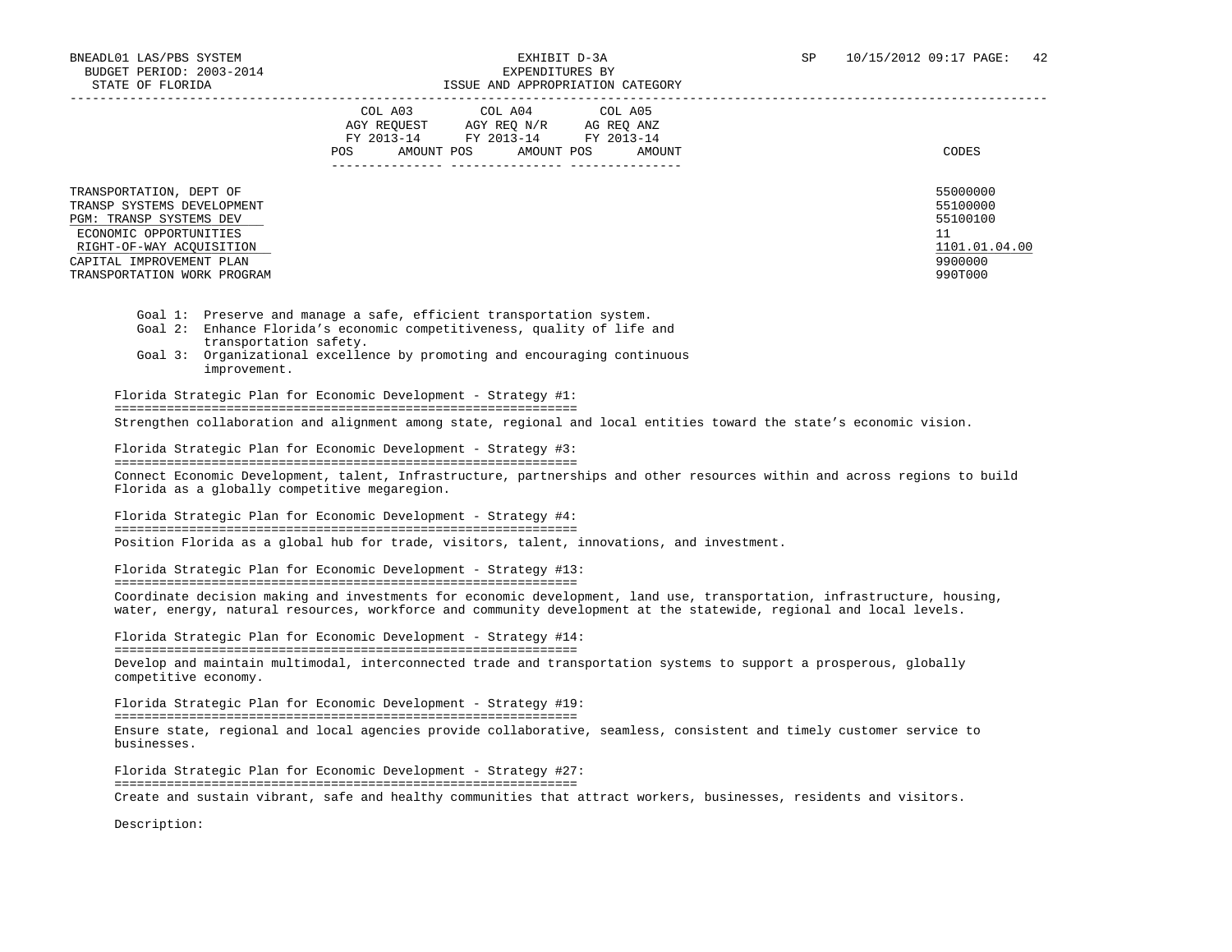|                                                                                                                                                                                                   | COL A03<br>COL A04 COL A05<br>AGY REOUEST<br>AGY REO N/R<br>AG REO ANZ<br>FY 2013-14<br>FY 2013-14 FY 2013-14<br>AMOUNT POS<br>POS.<br>AMOUNT POS<br>AMOUNT | CODES                                                                         |
|---------------------------------------------------------------------------------------------------------------------------------------------------------------------------------------------------|-------------------------------------------------------------------------------------------------------------------------------------------------------------|-------------------------------------------------------------------------------|
| TRANSPORTATION, DEPT OF<br>TRANSP SYSTEMS DEVELOPMENT<br>PGM: TRANSP SYSTEMS DEV<br>ECONOMIC OPPORTUNITIES<br>RIGHT-OF-WAY ACQUISITION<br>CAPITAL IMPROVEMENT PLAN<br>TRANSPORTATION WORK PROGRAM |                                                                                                                                                             | 55000000<br>55100000<br>55100100<br>11<br>1101.01.04.00<br>9900000<br>990T000 |

- Goal 1: Preserve and manage a safe, efficient transportation system.
- Goal 2: Enhance Florida's economic competitiveness, quality of life and transportation safety.
- Goal 3: Organizational excellence by promoting and encouraging continuous improvement.

 Florida Strategic Plan for Economic Development - Strategy #1: ============================================================== Strengthen collaboration and alignment among state, regional and local entities toward the state's economic vision.

 Florida Strategic Plan for Economic Development - Strategy #3: ============================================================== Connect Economic Development, talent, Infrastructure, partnerships and other resources within and across regions to build Florida as a globally competitive megaregion.

 Florida Strategic Plan for Economic Development - Strategy #4: ============================================================== Position Florida as a global hub for trade, visitors, talent, innovations, and investment.

 Florida Strategic Plan for Economic Development - Strategy #13: ============================================================== Coordinate decision making and investments for economic development, land use, transportation, infrastructure, housing, water, energy, natural resources, workforce and community development at the statewide, regional and local levels.

 Florida Strategic Plan for Economic Development - Strategy #14: ============================================================== Develop and maintain multimodal, interconnected trade and transportation systems to support a prosperous, globally competitive economy.

 Florida Strategic Plan for Economic Development - Strategy #19: ============================================================== Ensure state, regional and local agencies provide collaborative, seamless, consistent and timely customer service to businesses.

 Florida Strategic Plan for Economic Development - Strategy #27: ============================================================== Create and sustain vibrant, safe and healthy communities that attract workers, businesses, residents and visitors.

Description: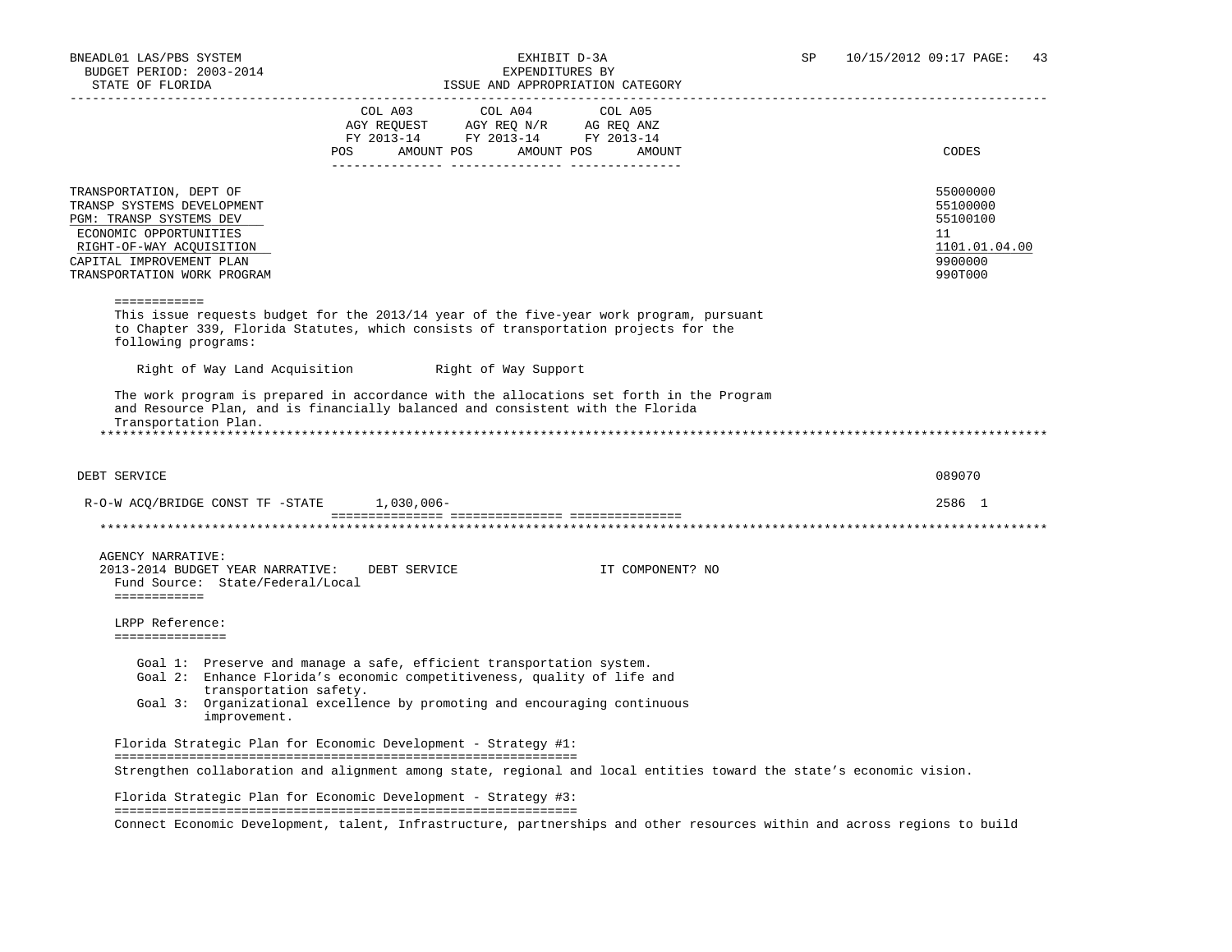| $\begin{tabular}{lllllllllllll} &\multicolumn{4}{c}{\text{COL A03}} &\multicolumn{4}{c}{\text{COL A04}} &\multicolumn{4}{c}{\text{COL A05}}\\ &\multicolumn{4}{c}{\text{AGY REQUEST}} &\multicolumn{4}{c}{\text{AGY REQ}} &\multicolumn{4}{c}{\text{N/R}} &\multicolumn{4}{c}{\text{GOL A05}}\\ \multicolumn{4}{c}{\text{AGY REQUEST}} &\multicolumn{4}{c}{\text{AGY REQ}} &\multicolumn{4}{c}{\text{N/R}} &\multicolumn{4}{c}{\text{AG REQ}} &\multicolumn{4}{c$<br>FY 2013-14 FY 2013-14 FY 2013-14<br>AMOUNT POS<br>Right of Way Support<br>R-O-W ACQ/BRIDGE CONST TF -STATE 1,030,006- | AMOUNT POS<br>AMOUNT<br>This issue requests budget for the 2013/14 year of the five-year work program, pursuant<br>to Chapter 339, Florida Statutes, which consists of transportation projects for the<br>The work program is prepared in accordance with the allocations set forth in the Program<br>and Resource Plan, and is financially balanced and consistent with the Florida |                                                                                                                                                                                                                                                                                                | CODES<br>55000000<br>55100000<br>55100100<br>11<br>1101.01.04.00<br>9900000<br>990T000<br>089070<br>2586 1          |
|--------------------------------------------------------------------------------------------------------------------------------------------------------------------------------------------------------------------------------------------------------------------------------------------------------------------------------------------------------------------------------------------------------------------------------------------------------------------------------------------------------------------------------------------------------------------------------------------|--------------------------------------------------------------------------------------------------------------------------------------------------------------------------------------------------------------------------------------------------------------------------------------------------------------------------------------------------------------------------------------|------------------------------------------------------------------------------------------------------------------------------------------------------------------------------------------------------------------------------------------------------------------------------------------------|---------------------------------------------------------------------------------------------------------------------|
|                                                                                                                                                                                                                                                                                                                                                                                                                                                                                                                                                                                            |                                                                                                                                                                                                                                                                                                                                                                                      |                                                                                                                                                                                                                                                                                                |                                                                                                                     |
|                                                                                                                                                                                                                                                                                                                                                                                                                                                                                                                                                                                            |                                                                                                                                                                                                                                                                                                                                                                                      |                                                                                                                                                                                                                                                                                                |                                                                                                                     |
|                                                                                                                                                                                                                                                                                                                                                                                                                                                                                                                                                                                            |                                                                                                                                                                                                                                                                                                                                                                                      |                                                                                                                                                                                                                                                                                                |                                                                                                                     |
|                                                                                                                                                                                                                                                                                                                                                                                                                                                                                                                                                                                            |                                                                                                                                                                                                                                                                                                                                                                                      |                                                                                                                                                                                                                                                                                                |                                                                                                                     |
|                                                                                                                                                                                                                                                                                                                                                                                                                                                                                                                                                                                            |                                                                                                                                                                                                                                                                                                                                                                                      |                                                                                                                                                                                                                                                                                                |                                                                                                                     |
|                                                                                                                                                                                                                                                                                                                                                                                                                                                                                                                                                                                            |                                                                                                                                                                                                                                                                                                                                                                                      |                                                                                                                                                                                                                                                                                                |                                                                                                                     |
|                                                                                                                                                                                                                                                                                                                                                                                                                                                                                                                                                                                            |                                                                                                                                                                                                                                                                                                                                                                                      |                                                                                                                                                                                                                                                                                                |                                                                                                                     |
|                                                                                                                                                                                                                                                                                                                                                                                                                                                                                                                                                                                            |                                                                                                                                                                                                                                                                                                                                                                                      |                                                                                                                                                                                                                                                                                                |                                                                                                                     |
| DEBT SERVICE                                                                                                                                                                                                                                                                                                                                                                                                                                                                                                                                                                               | IT COMPONENT? NO                                                                                                                                                                                                                                                                                                                                                                     |                                                                                                                                                                                                                                                                                                |                                                                                                                     |
|                                                                                                                                                                                                                                                                                                                                                                                                                                                                                                                                                                                            |                                                                                                                                                                                                                                                                                                                                                                                      |                                                                                                                                                                                                                                                                                                |                                                                                                                     |
|                                                                                                                                                                                                                                                                                                                                                                                                                                                                                                                                                                                            |                                                                                                                                                                                                                                                                                                                                                                                      |                                                                                                                                                                                                                                                                                                |                                                                                                                     |
|                                                                                                                                                                                                                                                                                                                                                                                                                                                                                                                                                                                            |                                                                                                                                                                                                                                                                                                                                                                                      | Goal 1: Preserve and manage a safe, efficient transportation system.<br>Goal 2: Enhance Florida's economic competitiveness, quality of life and<br>Goal 3: Organizational excellence by promoting and encouraging continuous<br>Florida Strategic Plan for Economic Development - Strategy #1: | Strengthen collaboration and alignment among state, regional and local entities toward the state's economic vision. |

 ============================================================== Connect Economic Development, talent, Infrastructure, partnerships and other resources within and across regions to build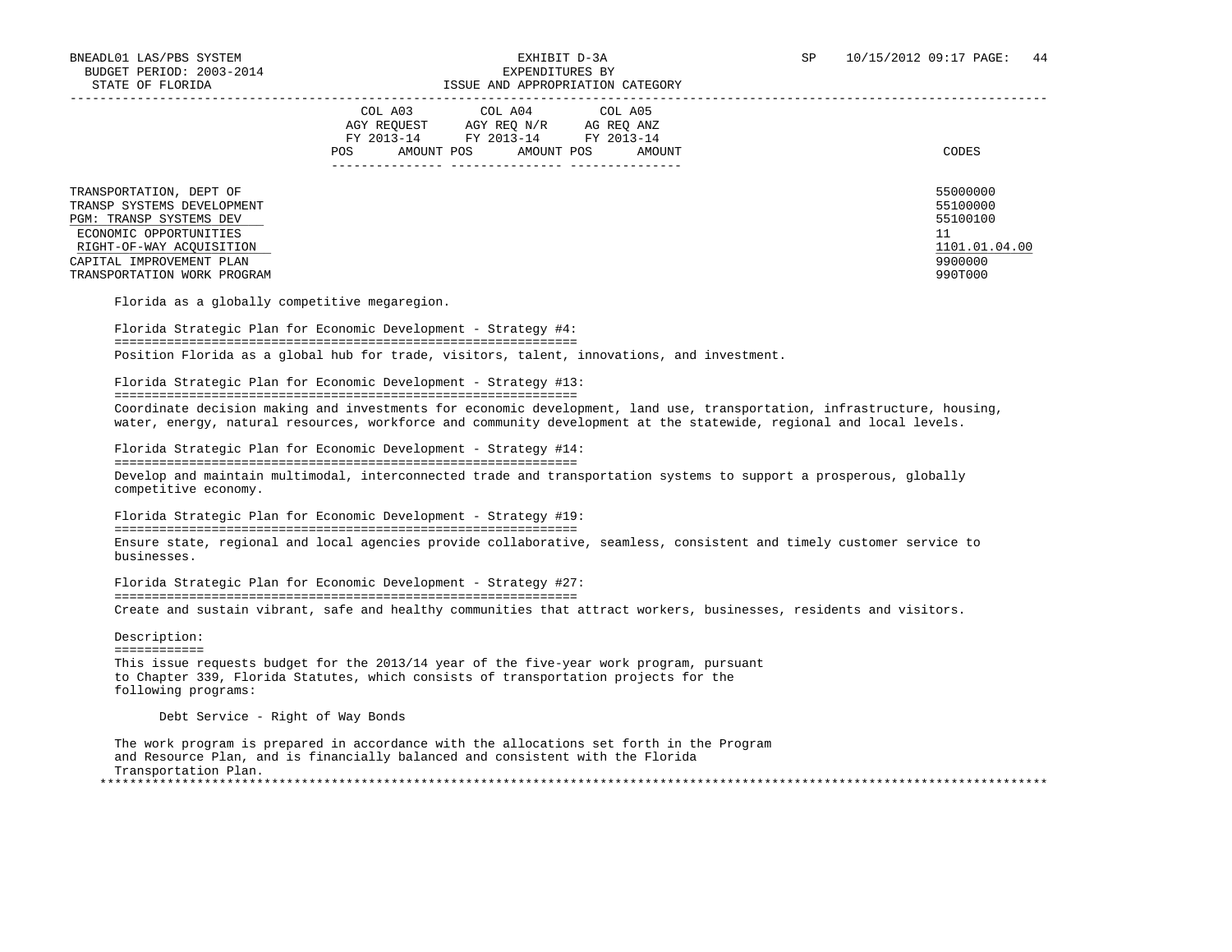|                                                                                                                                                                                                   | COL A03<br>COL A04 COL A05<br>AGY REOUEST<br>AGY REO N/R<br>AG REO ANZ<br>FY 2013-14<br>FY 2013-14<br>FY 2013-14<br>AMOUNT POS<br>AMOUNT POS<br>AMOUNT<br>POS. | CODES                                                                         |
|---------------------------------------------------------------------------------------------------------------------------------------------------------------------------------------------------|----------------------------------------------------------------------------------------------------------------------------------------------------------------|-------------------------------------------------------------------------------|
| TRANSPORTATION, DEPT OF<br>TRANSP SYSTEMS DEVELOPMENT<br>PGM: TRANSP SYSTEMS DEV<br>ECONOMIC OPPORTUNITIES<br>RIGHT-OF-WAY ACOUISITION<br>CAPITAL IMPROVEMENT PLAN<br>TRANSPORTATION WORK PROGRAM |                                                                                                                                                                | 55000000<br>55100000<br>55100100<br>11<br>1101.01.04.00<br>9900000<br>990T000 |

Florida as a globally competitive megaregion.

 Florida Strategic Plan for Economic Development - Strategy #4: ============================================================== Position Florida as a global hub for trade, visitors, talent, innovations, and investment.

Florida Strategic Plan for Economic Development - Strategy #13:

==============================================================

 Coordinate decision making and investments for economic development, land use, transportation, infrastructure, housing, water, energy, natural resources, workforce and community development at the statewide, regional and local levels.

 Florida Strategic Plan for Economic Development - Strategy #14: ============================================================== Develop and maintain multimodal, interconnected trade and transportation systems to support a prosperous, globally competitive economy.

 Florida Strategic Plan for Economic Development - Strategy #19: ============================================================== Ensure state, regional and local agencies provide collaborative, seamless, consistent and timely customer service to businesses.

 Florida Strategic Plan for Economic Development - Strategy #27: ============================================================== Create and sustain vibrant, safe and healthy communities that attract workers, businesses, residents and visitors.

 Description: ============ This issue requests budget for the 2013/14 year of the five-year work program, pursuant to Chapter 339, Florida Statutes, which consists of transportation projects for the following programs:

Debt Service - Right of Way Bonds

 The work program is prepared in accordance with the allocations set forth in the Program and Resource Plan, and is financially balanced and consistent with the Florida Transportation Plan. \*\*\*\*\*\*\*\*\*\*\*\*\*\*\*\*\*\*\*\*\*\*\*\*\*\*\*\*\*\*\*\*\*\*\*\*\*\*\*\*\*\*\*\*\*\*\*\*\*\*\*\*\*\*\*\*\*\*\*\*\*\*\*\*\*\*\*\*\*\*\*\*\*\*\*\*\*\*\*\*\*\*\*\*\*\*\*\*\*\*\*\*\*\*\*\*\*\*\*\*\*\*\*\*\*\*\*\*\*\*\*\*\*\*\*\*\*\*\*\*\*\*\*\*\*\*\*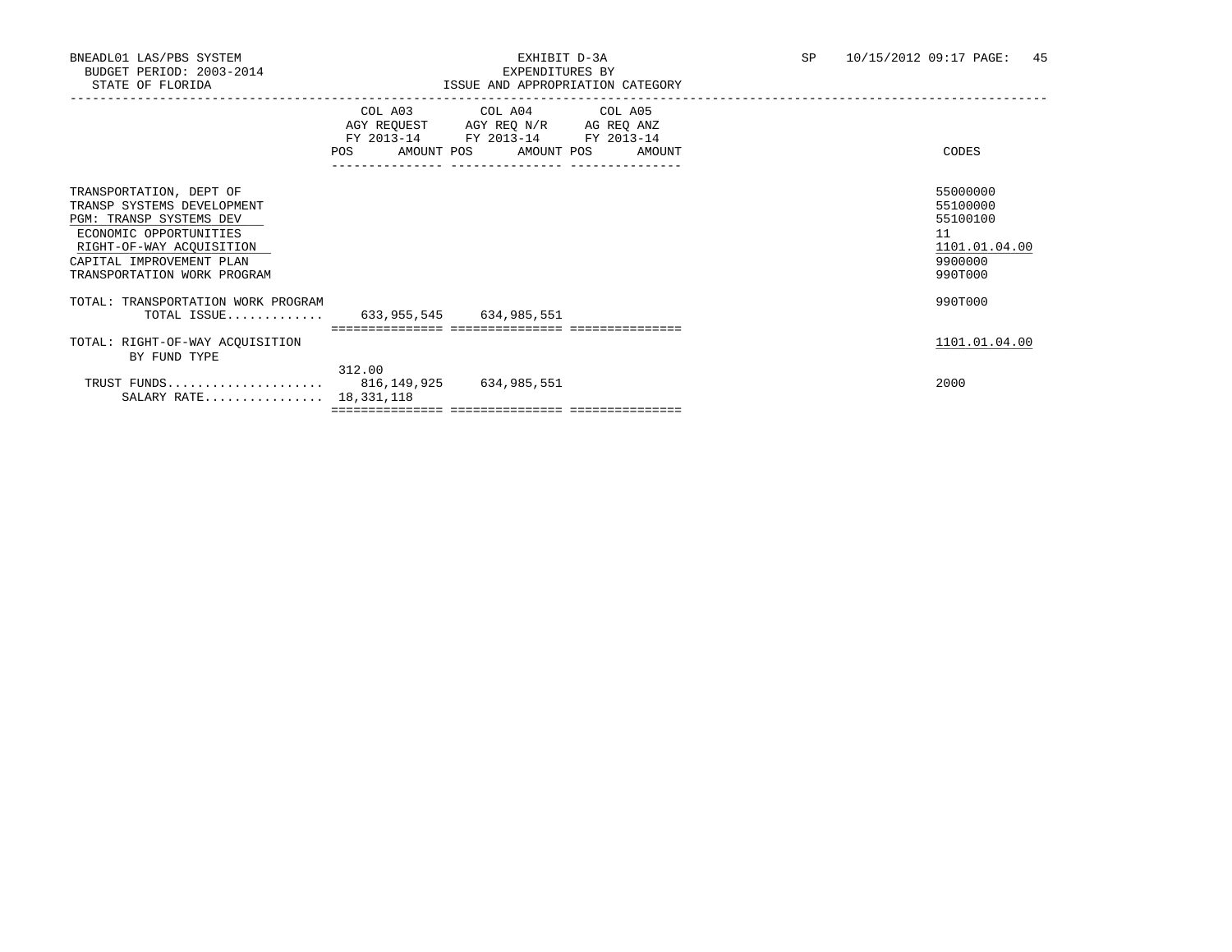|                                                                                                                                                                                                   | <b>POS</b> | COL A03 COL A04 COL A05<br>AGY REQUEST AGY REQ N/R AG REQ ANZ<br>FY 2013-14 FY 2013-14 FY 2013-14<br>AMOUNT POS AMOUNT POS<br>--------------- | AMOUNT | CODES                                                                         |
|---------------------------------------------------------------------------------------------------------------------------------------------------------------------------------------------------|------------|-----------------------------------------------------------------------------------------------------------------------------------------------|--------|-------------------------------------------------------------------------------|
| TRANSPORTATION, DEPT OF<br>TRANSP SYSTEMS DEVELOPMENT<br>PGM: TRANSP SYSTEMS DEV<br>ECONOMIC OPPORTUNITIES<br>RIGHT-OF-WAY ACQUISITION<br>CAPITAL IMPROVEMENT PLAN<br>TRANSPORTATION WORK PROGRAM |            |                                                                                                                                               |        | 55000000<br>55100000<br>55100100<br>11<br>1101.01.04.00<br>9900000<br>990T000 |
| TOTAL: TRANSPORTATION WORK PROGRAM<br>TOTAL ISSUE 633,955,545 634,985,551                                                                                                                         |            |                                                                                                                                               |        | 990T000                                                                       |
|                                                                                                                                                                                                   |            |                                                                                                                                               |        |                                                                               |
| TOTAL: RIGHT-OF-WAY ACQUISITION<br>BY FUND TYPE                                                                                                                                                   |            |                                                                                                                                               |        | 1101.01.04.00                                                                 |
| TRUST FUNDS 816, 149, 925 634, 985, 551<br>SALARY RATE 18, 331, 118                                                                                                                               | 312.00     |                                                                                                                                               |        | 2000                                                                          |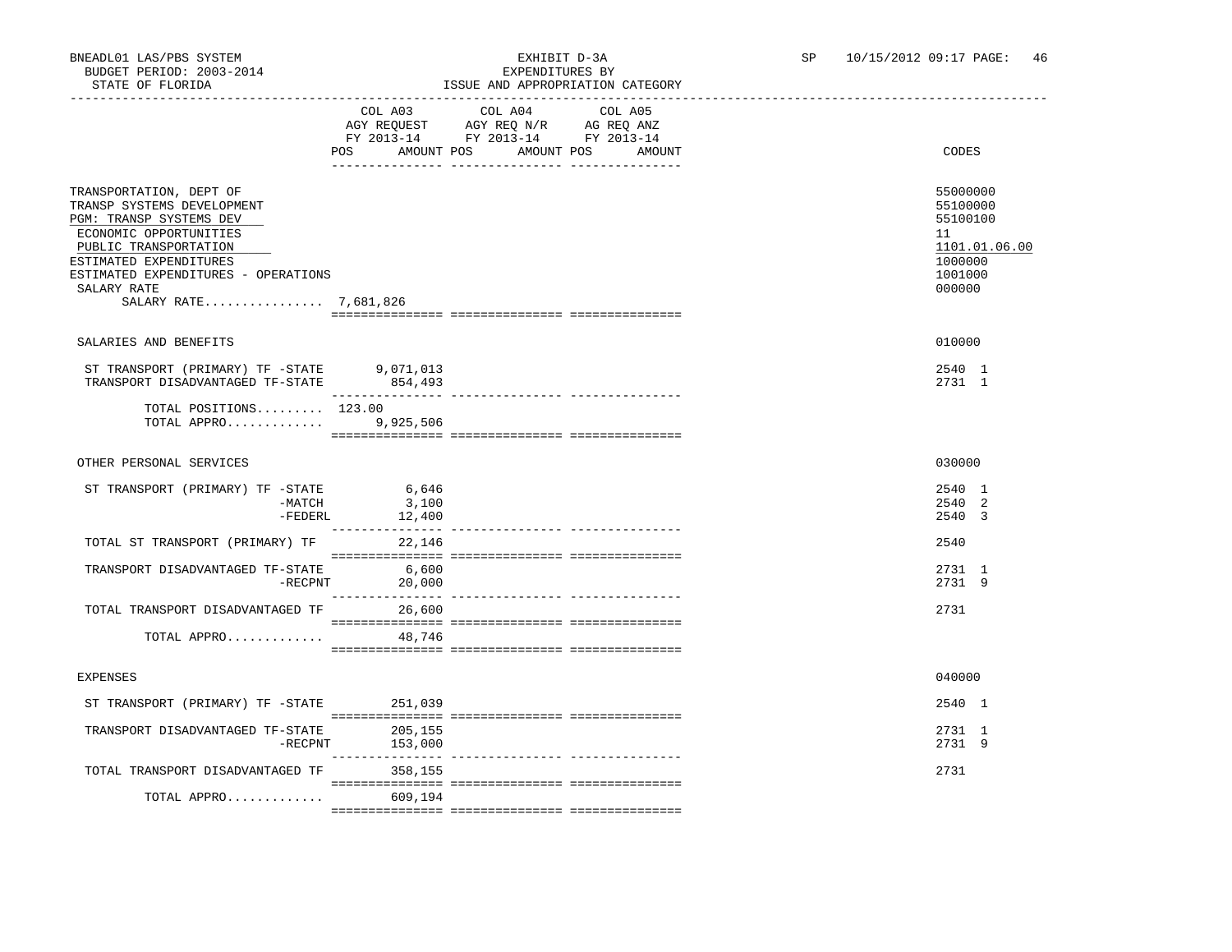### BNEADL01 LAS/PBS SYSTEM EXHIBIT D-3A SP 10/15/2012 09:17 PAGE: 46 ISSUE AND APPROPRIATION CATEGORY

|                                                                                                                                                                                                                                              |                                             | LSSUE AND APPROPRIATION                                                           |                                         |                                                                                         |
|----------------------------------------------------------------------------------------------------------------------------------------------------------------------------------------------------------------------------------------------|---------------------------------------------|-----------------------------------------------------------------------------------|-----------------------------------------|-----------------------------------------------------------------------------------------|
|                                                                                                                                                                                                                                              | COL A03<br>POS                              | COL A04<br>AGY REQUEST AGY REQ N/R AG REQ ANZ<br>FY 2013-14 FY 2013-14 FY 2013-14 | COL A05<br>AMOUNT POS AMOUNT POS AMOUNT | CODES                                                                                   |
| TRANSPORTATION, DEPT OF<br>TRANSP SYSTEMS DEVELOPMENT<br>PGM: TRANSP SYSTEMS DEV<br>ECONOMIC OPPORTUNITIES<br>PUBLIC TRANSPORTATION<br>ESTIMATED EXPENDITURES<br>ESTIMATED EXPENDITURES - OPERATIONS<br>SALARY RATE<br>SALARY RATE 7,681,826 |                                             |                                                                                   |                                         | 55000000<br>55100000<br>55100100<br>11<br>1101.01.06.00<br>1000000<br>1001000<br>000000 |
|                                                                                                                                                                                                                                              |                                             |                                                                                   |                                         |                                                                                         |
| SALARIES AND BENEFITS                                                                                                                                                                                                                        |                                             |                                                                                   |                                         | 010000                                                                                  |
| ST TRANSPORT (PRIMARY) TF -STATE 9,071,013<br>TRANSPORT DISADVANTAGED TF-STATE 854,493                                                                                                                                                       |                                             |                                                                                   |                                         | 2540 1<br>2731 1                                                                        |
| TOTAL POSITIONS $123.00$<br>TOTAL APPRO 9,925,506                                                                                                                                                                                            |                                             |                                                                                   |                                         |                                                                                         |
| OTHER PERSONAL SERVICES                                                                                                                                                                                                                      |                                             |                                                                                   |                                         | 030000                                                                                  |
| ST TRANSPORT (PRIMARY) TF -STATE<br>-MATCH<br>-FEDERL                                                                                                                                                                                        | 6,646<br>3,100<br>12,400<br>_______________ |                                                                                   |                                         | 2540 1<br>2540 2<br>2540 3                                                              |
| TOTAL ST TRANSPORT (PRIMARY) TF                                                                                                                                                                                                              | 22,146                                      |                                                                                   |                                         | 2540                                                                                    |
| TRANSPORT DISADVANTAGED TF-STATE<br>$-$ RECPNT                                                                                                                                                                                               | 6,600<br>20,000                             |                                                                                   |                                         | 2731 1<br>2731 9                                                                        |
| TOTAL TRANSPORT DISADVANTAGED TF                                                                                                                                                                                                             | 26,600                                      |                                                                                   |                                         | 2731                                                                                    |
| TOTAL APPRO                                                                                                                                                                                                                                  | 48,746                                      |                                                                                   |                                         |                                                                                         |
| <b>EXPENSES</b>                                                                                                                                                                                                                              |                                             |                                                                                   |                                         | 040000                                                                                  |
| ST TRANSPORT (PRIMARY) TF -STATE                                                                                                                                                                                                             | 251,039                                     |                                                                                   |                                         | 2540 1                                                                                  |
| TRANSPORT DISADVANTAGED TF-STATE<br>$-$ RECPNT                                                                                                                                                                                               | 205,155<br>153,000                          |                                                                                   |                                         | 2731 1<br>2731 9                                                                        |
| TOTAL TRANSPORT DISADVANTAGED TF                                                                                                                                                                                                             | 358,155                                     |                                                                                   |                                         | 2731                                                                                    |
| TOTAL APPRO                                                                                                                                                                                                                                  | 609,194                                     |                                                                                   |                                         |                                                                                         |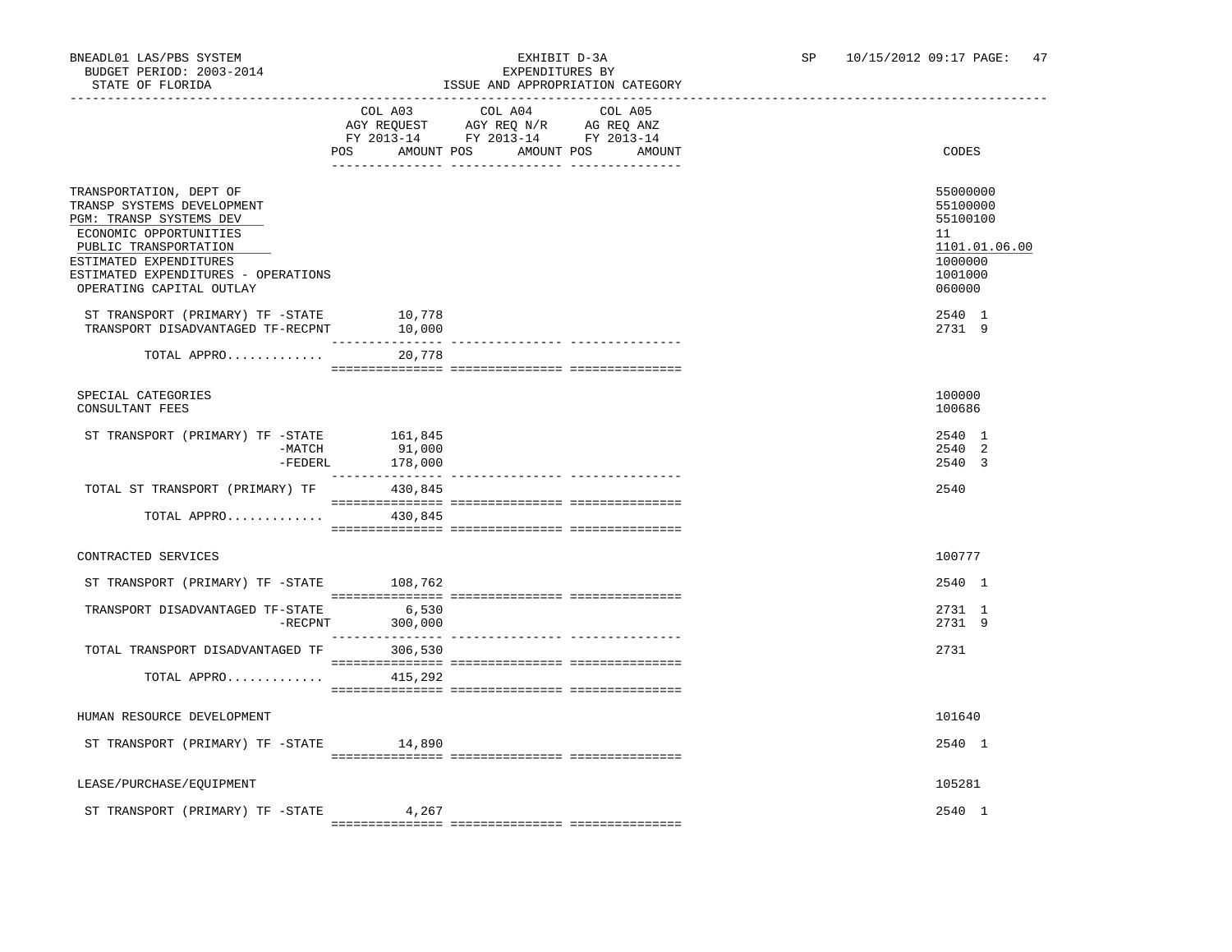### BNEADL01 LAS/PBS SYSTEM EXHIBIT D-3A SP 10/15/2012 09:17 PAGE: 47 ISSUE AND APPROPRIATION CATEGORY

|                                                                                                                                                                                                                                  | COL A03<br>FY 2013-14 FY 2013-14 FY 2013-14<br>AMOUNT POS<br>POS                                                                                                                                                                                                                                                                                                                                                                        | COL A04<br>AGY REQUEST AGY REQ N/R AG REQ ANZ | COL A05<br>AMOUNT POS AMOUNT | CODES                                                                                   |
|----------------------------------------------------------------------------------------------------------------------------------------------------------------------------------------------------------------------------------|-----------------------------------------------------------------------------------------------------------------------------------------------------------------------------------------------------------------------------------------------------------------------------------------------------------------------------------------------------------------------------------------------------------------------------------------|-----------------------------------------------|------------------------------|-----------------------------------------------------------------------------------------|
| TRANSPORTATION, DEPT OF<br>TRANSP SYSTEMS DEVELOPMENT<br>PGM: TRANSP SYSTEMS DEV<br>ECONOMIC OPPORTUNITIES<br>PUBLIC TRANSPORTATION<br>ESTIMATED EXPENDITURES<br>ESTIMATED EXPENDITURES - OPERATIONS<br>OPERATING CAPITAL OUTLAY |                                                                                                                                                                                                                                                                                                                                                                                                                                         |                                               |                              | 55000000<br>55100000<br>55100100<br>11<br>1101.01.06.00<br>1000000<br>1001000<br>060000 |
| ST TRANSPORT (PRIMARY) TF -STATE<br>TRANSPORT DISADVANTAGED TF-RECPNT                                                                                                                                                            | 10,778<br>10,000<br>------------                                                                                                                                                                                                                                                                                                                                                                                                        |                                               |                              | 2540 1<br>2731 9                                                                        |
| TOTAL APPRO                                                                                                                                                                                                                      | 20,778                                                                                                                                                                                                                                                                                                                                                                                                                                  |                                               |                              |                                                                                         |
| SPECIAL CATEGORIES<br>CONSULTANT FEES                                                                                                                                                                                            |                                                                                                                                                                                                                                                                                                                                                                                                                                         |                                               |                              | 100000<br>100686                                                                        |
| ST TRANSPORT (PRIMARY) TF -STATE 161,845<br>-MATCH<br>-FEDERL                                                                                                                                                                    | 91,000<br>178,000                                                                                                                                                                                                                                                                                                                                                                                                                       |                                               |                              | 2540 1<br>2540 2<br>2540 3                                                              |
| TOTAL ST TRANSPORT (PRIMARY) TF 430,845                                                                                                                                                                                          | $\begin{minipage}{0.03\textwidth} \begin{tabular}{l} \textbf{1} & \textbf{2} & \textbf{3} & \textbf{5} & \textbf{5} & \textbf{6} & \textbf{6} & \textbf{7} & \textbf{8} & \textbf{8} & \textbf{9} & \textbf{9} & \textbf{9} & \textbf{9} & \textbf{9} & \textbf{9} & \textbf{9} & \textbf{9} & \textbf{9} & \textbf{9} & \textbf{9} & \textbf{9} & \textbf{9} & \textbf{9} & \textbf{9} & \textbf{9} & \textbf{9} & \textbf{9} & \text$ |                                               |                              | 2540                                                                                    |
| TOTAL APPRO                                                                                                                                                                                                                      | 430,845                                                                                                                                                                                                                                                                                                                                                                                                                                 |                                               |                              |                                                                                         |
| CONTRACTED SERVICES                                                                                                                                                                                                              |                                                                                                                                                                                                                                                                                                                                                                                                                                         |                                               |                              | 100777                                                                                  |
| ST TRANSPORT (PRIMARY) TF -STATE                                                                                                                                                                                                 | 108,762                                                                                                                                                                                                                                                                                                                                                                                                                                 |                                               |                              | 2540 1                                                                                  |
| TRANSPORT DISADVANTAGED TF-STATE<br>$-$ RECPNT                                                                                                                                                                                   | 6,530<br>300,000                                                                                                                                                                                                                                                                                                                                                                                                                        |                                               |                              | 2731 1<br>2731 9                                                                        |
| TOTAL TRANSPORT DISADVANTAGED TF 306,530                                                                                                                                                                                         |                                                                                                                                                                                                                                                                                                                                                                                                                                         |                                               |                              | 2731                                                                                    |
| TOTAL APPRO                                                                                                                                                                                                                      | 415,292                                                                                                                                                                                                                                                                                                                                                                                                                                 |                                               |                              |                                                                                         |
| HUMAN RESOURCE DEVELOPMENT                                                                                                                                                                                                       |                                                                                                                                                                                                                                                                                                                                                                                                                                         |                                               |                              | 101640                                                                                  |
| ST TRANSPORT (PRIMARY) TF -STATE 14,890                                                                                                                                                                                          |                                                                                                                                                                                                                                                                                                                                                                                                                                         |                                               |                              | 2540 1                                                                                  |
| LEASE/PURCHASE/EQUIPMENT                                                                                                                                                                                                         |                                                                                                                                                                                                                                                                                                                                                                                                                                         |                                               |                              | 105281                                                                                  |
| ST TRANSPORT (PRIMARY) TF -STATE                                                                                                                                                                                                 | 4,267                                                                                                                                                                                                                                                                                                                                                                                                                                   |                                               |                              | 2540 1                                                                                  |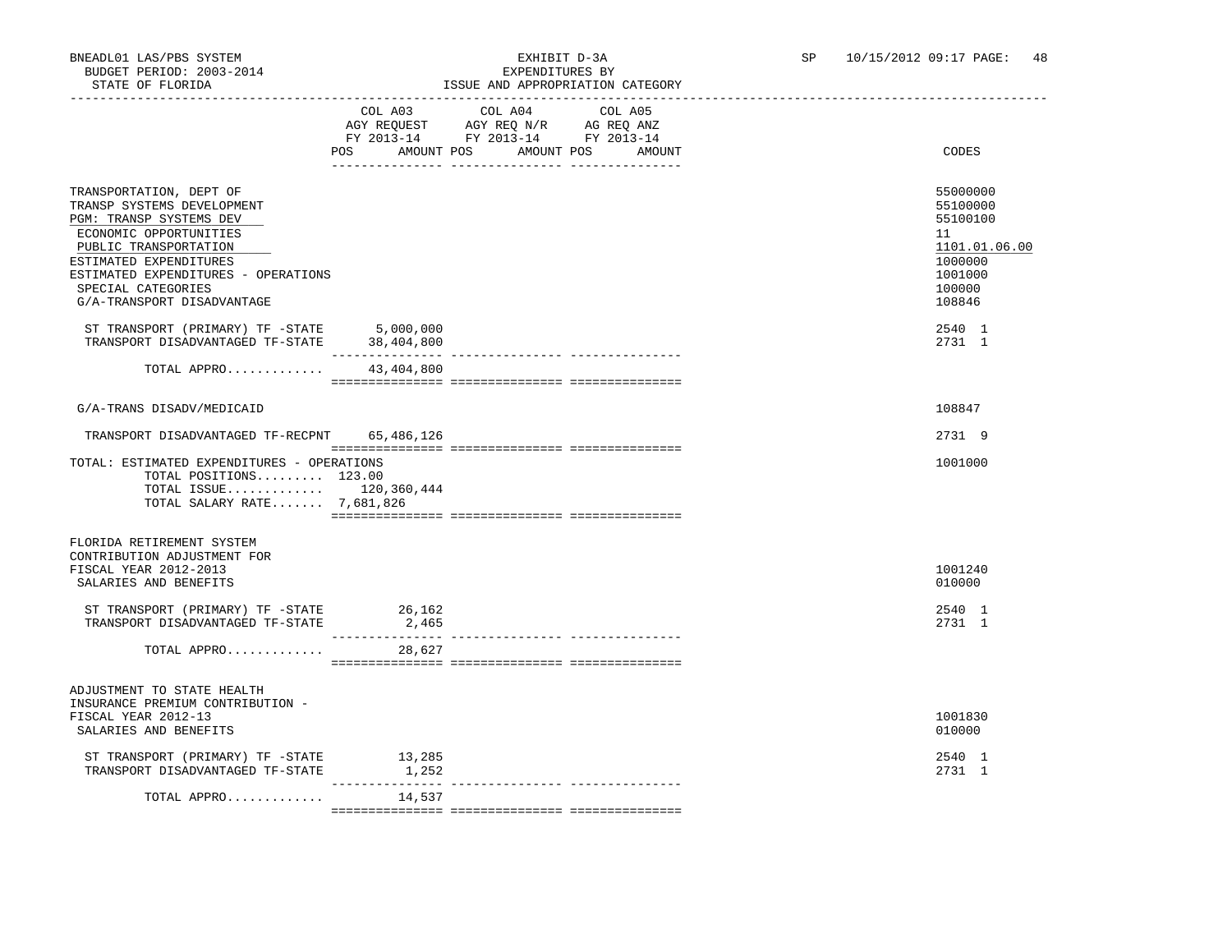### BNEADL01 LAS/PBS SYSTEM EXHIBIT D-3A SP 10/15/2012 09:17 PAGE: 48<br>BUDGET PERIOD: 2003-2014 EXPENDITIERS BY ISSUE AND APPROPRIATION CATEGORY

|                                                                                                                                                                                                                                                          | COL A03<br>AMOUNT POS<br>POS    | COL A04<br>AGY REQUEST AGY REQ N/R AG REQ ANZ<br>FY 2013-14 FY 2013-14 FY 2013-14<br>AMOUNT POS<br>_____ ________________ __________ | COL A05<br>AMOUNT | CODES                                                                                             |
|----------------------------------------------------------------------------------------------------------------------------------------------------------------------------------------------------------------------------------------------------------|---------------------------------|--------------------------------------------------------------------------------------------------------------------------------------|-------------------|---------------------------------------------------------------------------------------------------|
| TRANSPORTATION, DEPT OF<br>TRANSP SYSTEMS DEVELOPMENT<br>PGM: TRANSP SYSTEMS DEV<br>ECONOMIC OPPORTUNITIES<br>PUBLIC TRANSPORTATION<br>ESTIMATED EXPENDITURES<br>ESTIMATED EXPENDITURES - OPERATIONS<br>SPECIAL CATEGORIES<br>G/A-TRANSPORT DISADVANTAGE |                                 |                                                                                                                                      |                   | 55000000<br>55100000<br>55100100<br>11<br>1101.01.06.00<br>1000000<br>1001000<br>100000<br>108846 |
| ST TRANSPORT (PRIMARY) TF -STATE 5,000,000<br>TRANSPORT DISADVANTAGED TF-STATE                                                                                                                                                                           | 38,404,800<br>-----------       |                                                                                                                                      |                   | 2540 1<br>2731 1                                                                                  |
| TOTAL APPRO                                                                                                                                                                                                                                              | 43,404,800                      |                                                                                                                                      |                   |                                                                                                   |
| G/A-TRANS DISADV/MEDICAID                                                                                                                                                                                                                                |                                 |                                                                                                                                      |                   | 108847                                                                                            |
| TRANSPORT DISADVANTAGED TF-RECPNT                                                                                                                                                                                                                        | 65,486,126                      |                                                                                                                                      |                   | 2731 9                                                                                            |
| TOTAL: ESTIMATED EXPENDITURES - OPERATIONS<br>TOTAL POSITIONS 123.00<br>TOTAL ISSUE 120,360,444<br>TOTAL SALARY RATE 7,681,826                                                                                                                           |                                 |                                                                                                                                      |                   | 1001000                                                                                           |
|                                                                                                                                                                                                                                                          |                                 |                                                                                                                                      |                   |                                                                                                   |
| FLORIDA RETIREMENT SYSTEM<br>CONTRIBUTION ADJUSTMENT FOR<br>FISCAL YEAR 2012-2013<br>SALARIES AND BENEFITS                                                                                                                                               |                                 |                                                                                                                                      |                   | 1001240<br>010000                                                                                 |
| ST TRANSPORT (PRIMARY) TF -STATE<br>TRANSPORT DISADVANTAGED TF-STATE                                                                                                                                                                                     | 26,162<br>2,465                 |                                                                                                                                      |                   | 2540 1<br>2731 1                                                                                  |
| TOTAL APPRO                                                                                                                                                                                                                                              | 28,627                          |                                                                                                                                      |                   |                                                                                                   |
| ADJUSTMENT TO STATE HEALTH<br>INSURANCE PREMIUM CONTRIBUTION -<br>FISCAL YEAR 2012-13<br>SALARIES AND BENEFITS                                                                                                                                           |                                 |                                                                                                                                      |                   | 1001830<br>010000                                                                                 |
| ST TRANSPORT (PRIMARY) TF -STATE<br>TRANSPORT DISADVANTAGED TF-STATE                                                                                                                                                                                     | 13,285<br>1,252<br>------------ |                                                                                                                                      |                   | 2540 1<br>2731 1                                                                                  |
| TOTAL APPRO                                                                                                                                                                                                                                              | 14,537                          |                                                                                                                                      |                   |                                                                                                   |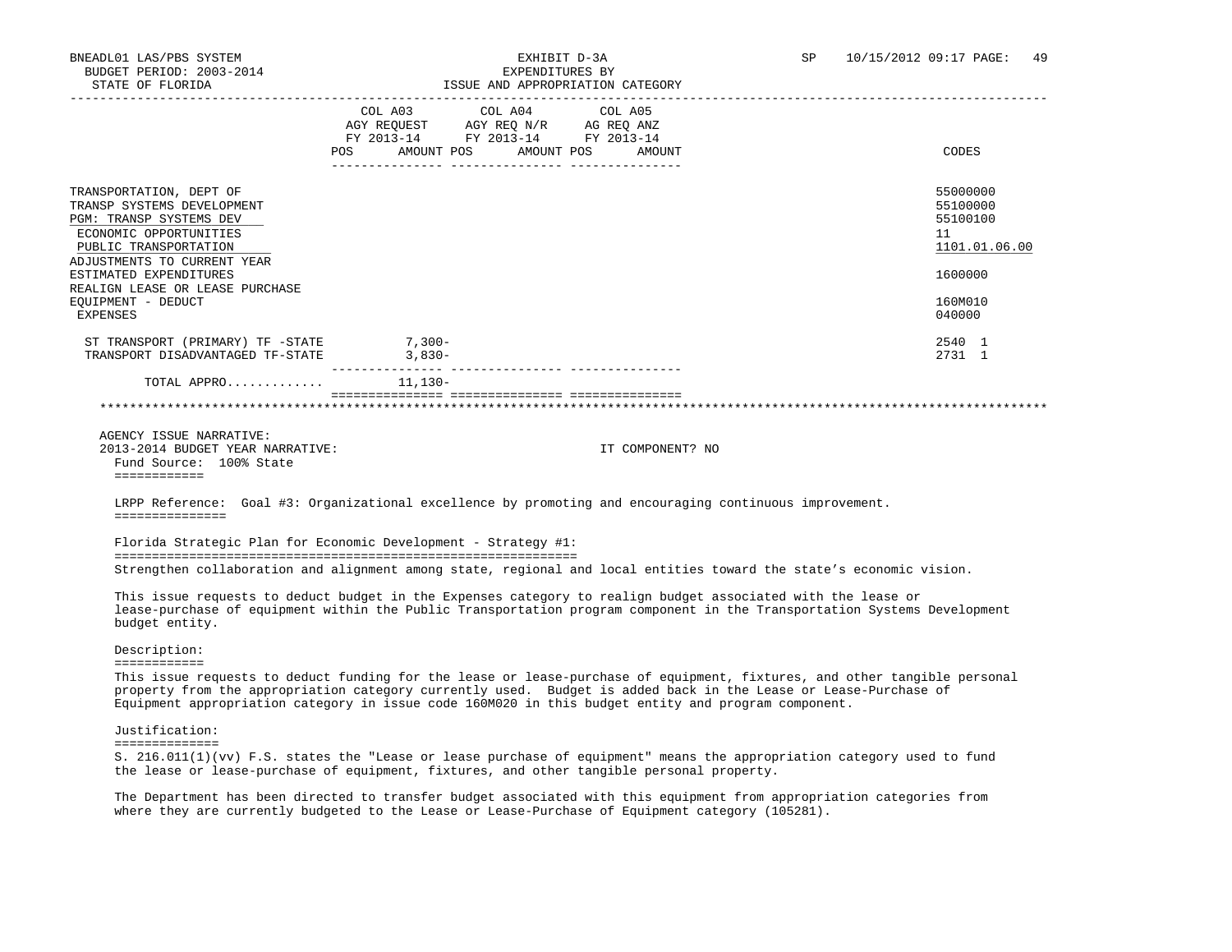# BNEADL01 LAS/PBS SYSTEM EXHIBIT D-3A SP 10/15/2012 09:17 PAGE: 49

| STATE OF FLORIDA                                                                                                                    |          |                                                                                                     | ISSUE AND APPROPRIATION CATEGORY |                                                                                                                                                                                                                                              |
|-------------------------------------------------------------------------------------------------------------------------------------|----------|-----------------------------------------------------------------------------------------------------|----------------------------------|----------------------------------------------------------------------------------------------------------------------------------------------------------------------------------------------------------------------------------------------|
|                                                                                                                                     |          | COL A03 COL A04 COL A05<br>AGY REQUEST AGY REQ $N/R$ AG REQ ANZ<br>FY 2013-14 FY 2013-14 FY 2013-14 | POS AMOUNT POS AMOUNT POS AMOUNT | CODES                                                                                                                                                                                                                                        |
| TRANSPORTATION, DEPT OF<br>TRANSP SYSTEMS DEVELOPMENT<br>PGM: TRANSP SYSTEMS DEV<br>ECONOMIC OPPORTUNITIES<br>PUBLIC TRANSPORTATION |          |                                                                                                     |                                  | 55000000<br>55100000<br>55100100<br>11<br>1101.01.06.00                                                                                                                                                                                      |
| ADJUSTMENTS TO CURRENT YEAR<br>ESTIMATED EXPENDITURES                                                                               |          |                                                                                                     |                                  | 1600000                                                                                                                                                                                                                                      |
| REALIGN LEASE OR LEASE PURCHASE<br>EQUIPMENT - DEDUCT<br>EXPENSES                                                                   |          |                                                                                                     |                                  | 160M010<br>040000                                                                                                                                                                                                                            |
| ST TRANSPORT (PRIMARY) TF -STATE<br>TRANSPORT DISADVANTAGED TF-STATE 3,830-                                                         | $7,300-$ |                                                                                                     |                                  | 2540 1<br>2731 1                                                                                                                                                                                                                             |
| TOTAL APPRO $11,130-$                                                                                                               |          |                                                                                                     |                                  |                                                                                                                                                                                                                                              |
| Fund Source: 100% State<br>============                                                                                             |          |                                                                                                     |                                  |                                                                                                                                                                                                                                              |
| LRPP Reference: Goal #3: Organizational excellence by promoting and encouraging continuous improvement.<br>===============          |          |                                                                                                     |                                  |                                                                                                                                                                                                                                              |
| Florida Strategic Plan for Economic Development - Strategy #1:                                                                      |          |                                                                                                     |                                  |                                                                                                                                                                                                                                              |
|                                                                                                                                     |          |                                                                                                     |                                  | Strengthen collaboration and alignment among state, regional and local entities toward the state's economic vision.                                                                                                                          |
| This issue requests to deduct budget in the Expenses category to realign budget associated with the lease or<br>budget entity.      |          |                                                                                                     |                                  | lease-purchase of equipment within the Public Transportation program component in the Transportation Systems Development                                                                                                                     |
| Description:<br>============                                                                                                        |          |                                                                                                     |                                  |                                                                                                                                                                                                                                              |
| Equipment appropriation category in issue code 160M020 in this budget entity and program component.                                 |          |                                                                                                     |                                  | This issue requests to deduct funding for the lease or lease-purchase of equipment, fixtures, and other tangible personal<br>property from the appropriation category currently used. Budget is added back in the Lease or Lease-Purchase of |
|                                                                                                                                     |          |                                                                                                     |                                  |                                                                                                                                                                                                                                              |
| Justification:<br>==============                                                                                                    |          |                                                                                                     |                                  |                                                                                                                                                                                                                                              |

 The Department has been directed to transfer budget associated with this equipment from appropriation categories from where they are currently budgeted to the Lease or Lease-Purchase of Equipment category (105281).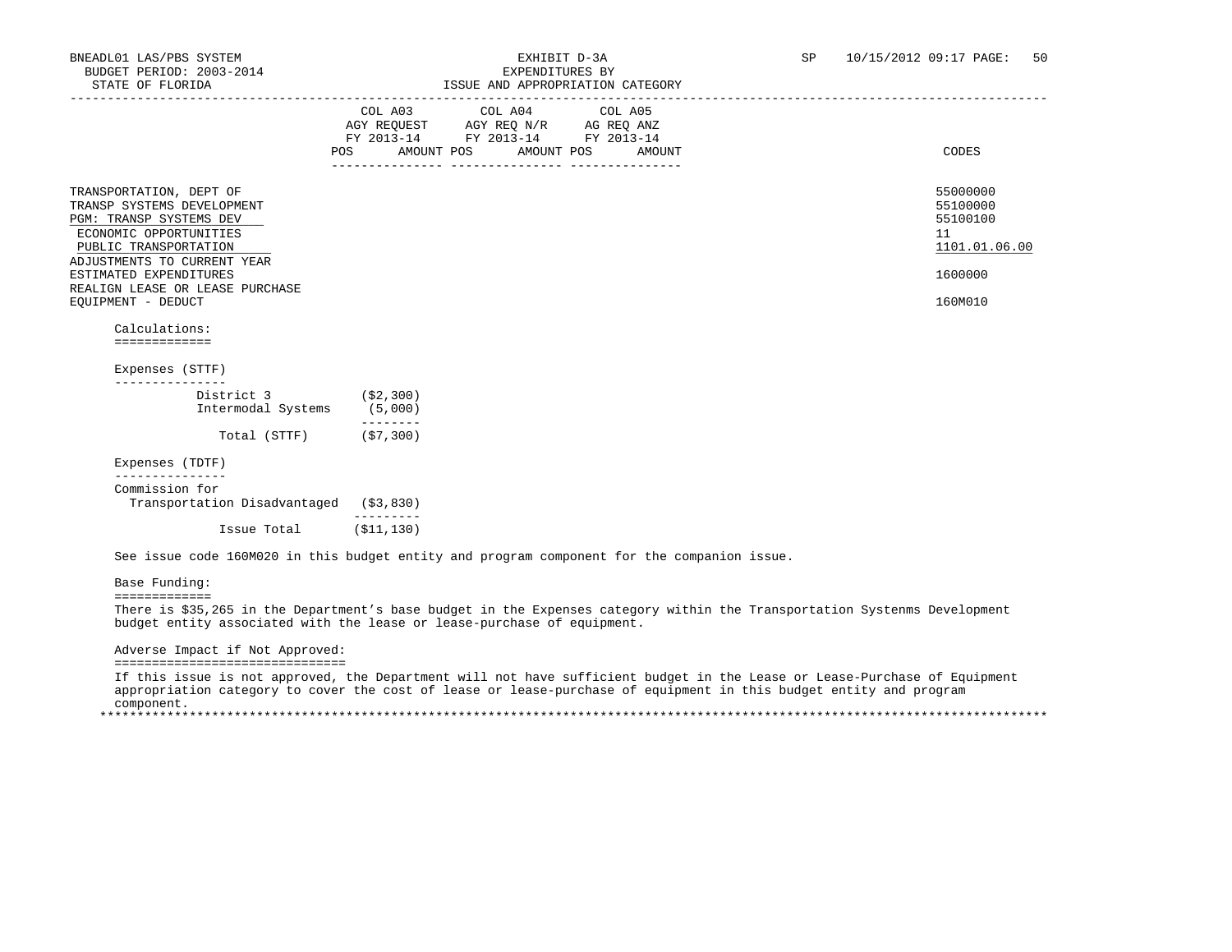|                                                                                                                                                                                              |           | LOOUL AND APPROPRIATION CAILGORI                                                                                                                                                    |        |                                                                    |
|----------------------------------------------------------------------------------------------------------------------------------------------------------------------------------------------|-----------|-------------------------------------------------------------------------------------------------------------------------------------------------------------------------------------|--------|--------------------------------------------------------------------|
|                                                                                                                                                                                              | POS       | $\begin{tabular}{lcccc} COL A03 & COL A04 & COL A05 \\ AGY REQUEST & AGY REQ N/R & AG REQ ANZ \\ FY & 2013-14 & FY & 2013-14 & FY & 2013-14 \end{tabular}$<br>AMOUNT POS AMOUNT POS | AMOUNT | CODES                                                              |
| TRANSPORTATION, DEPT OF<br>TRANSP SYSTEMS DEVELOPMENT<br>PGM: TRANSP SYSTEMS DEV<br>ECONOMIC OPPORTUNITIES<br>PUBLIC TRANSPORTATION<br>ADJUSTMENTS TO CURRENT YEAR<br>ESTIMATED EXPENDITURES |           |                                                                                                                                                                                     |        | 55000000<br>55100000<br>55100100<br>11<br>1101.01.06.00<br>1600000 |
| REALIGN LEASE OR LEASE PURCHASE<br>EQUIPMENT - DEDUCT                                                                                                                                        |           |                                                                                                                                                                                     |        | 160M010                                                            |
| Calculations:<br>=============                                                                                                                                                               |           |                                                                                                                                                                                     |        |                                                                    |
| Expenses (STTF)                                                                                                                                                                              |           |                                                                                                                                                                                     |        |                                                                    |
| ---------------<br>District 3 (\$2,300)                                                                                                                                                      |           |                                                                                                                                                                                     |        |                                                                    |
| Intermodal Systems (5,000)                                                                                                                                                                   |           |                                                                                                                                                                                     |        |                                                                    |
| Total (STTF) (\$7,300)                                                                                                                                                                       | --------- |                                                                                                                                                                                     |        |                                                                    |
| Expenses (TDTF)                                                                                                                                                                              |           |                                                                                                                                                                                     |        |                                                                    |
| --------------<br>Commission for<br>Transportation Disadvantaged (\$3,830)                                                                                                                   |           |                                                                                                                                                                                     |        |                                                                    |

=============

 There is \$35,265 in the Department's base budget in the Expenses category within the Transportation Systenms Development budget entity associated with the lease or lease-purchase of equipment.

Adverse Impact if Not Approved:

===============================

 If this issue is not approved, the Department will not have sufficient budget in the Lease or Lease-Purchase of Equipment appropriation category to cover the cost of lease or lease-purchase of equipment in this budget entity and program component. \*\*\*\*\*\*\*\*\*\*\*\*\*\*\*\*\*\*\*\*\*\*\*\*\*\*\*\*\*\*\*\*\*\*\*\*\*\*\*\*\*\*\*\*\*\*\*\*\*\*\*\*\*\*\*\*\*\*\*\*\*\*\*\*\*\*\*\*\*\*\*\*\*\*\*\*\*\*\*\*\*\*\*\*\*\*\*\*\*\*\*\*\*\*\*\*\*\*\*\*\*\*\*\*\*\*\*\*\*\*\*\*\*\*\*\*\*\*\*\*\*\*\*\*\*\*\*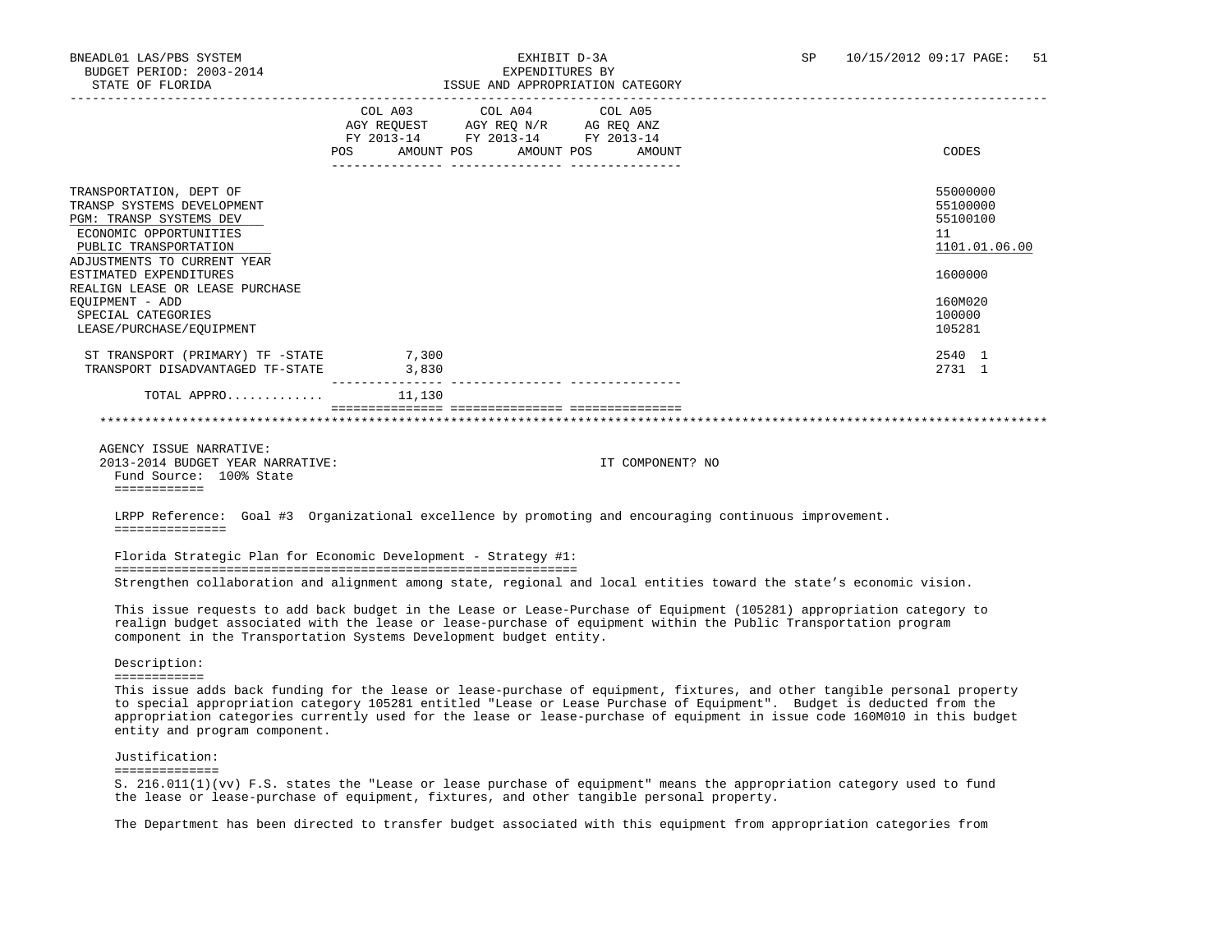|                                                                                                            | POS   | COL A03 COL A04 COL A05<br>AGY REQUEST AGY REQ N/R AG REQ ANZ<br>FY 2013-14 FY 2013-14 FY 2013-14<br>AMOUNT POS AMOUNT POS | AMOUNT | CODES                                  |
|------------------------------------------------------------------------------------------------------------|-------|----------------------------------------------------------------------------------------------------------------------------|--------|----------------------------------------|
|                                                                                                            |       |                                                                                                                            |        |                                        |
| TRANSPORTATION, DEPT OF<br>TRANSP SYSTEMS DEVELOPMENT<br>PGM: TRANSP SYSTEMS DEV<br>ECONOMIC OPPORTUNITIES |       |                                                                                                                            |        | 55000000<br>55100000<br>55100100<br>11 |
| PUBLIC TRANSPORTATION<br>ADJUSTMENTS TO CURRENT YEAR                                                       |       |                                                                                                                            |        | 1101.01.06.00                          |
| ESTIMATED EXPENDITURES                                                                                     |       |                                                                                                                            |        | 1600000                                |
| REALIGN LEASE OR LEASE PURCHASE<br>EQUIPMENT - ADD<br>SPECIAL CATEGORIES<br>LEASE/PURCHASE/EQUIPMENT       |       |                                                                                                                            |        | 160M020<br>100000<br>105281            |
| ST TRANSPORT (PRIMARY) TF -STATE 7,300<br>TRANSPORT DISADVANTAGED TF-STATE                                 | 3,830 |                                                                                                                            |        | 2540 1<br>2731 1                       |
| TOTAL APPRO $11,130$                                                                                       |       |                                                                                                                            |        |                                        |

 AGENCY ISSUE NARRATIVE: 2013-2014 BUDGET YEAR NARRATIVE: IT COMPONENT? NO Fund Source: 100% State ============

 LRPP Reference: Goal #3 Organizational excellence by promoting and encouraging continuous improvement. ===============

 Florida Strategic Plan for Economic Development - Strategy #1: ============================================================== Strengthen collaboration and alignment among state, regional and local entities toward the state's economic vision.

 This issue requests to add back budget in the Lease or Lease-Purchase of Equipment (105281) appropriation category to realign budget associated with the lease or lease-purchase of equipment within the Public Transportation program component in the Transportation Systems Development budget entity.

Description:

============

 This issue adds back funding for the lease or lease-purchase of equipment, fixtures, and other tangible personal property to special appropriation category 105281 entitled "Lease or Lease Purchase of Equipment". Budget is deducted from the appropriation categories currently used for the lease or lease-purchase of equipment in issue code 160M010 in this budget entity and program component.

 Justification: ==============

 S. 216.011(1)(vv) F.S. states the "Lease or lease purchase of equipment" means the appropriation category used to fund the lease or lease-purchase of equipment, fixtures, and other tangible personal property.

The Department has been directed to transfer budget associated with this equipment from appropriation categories from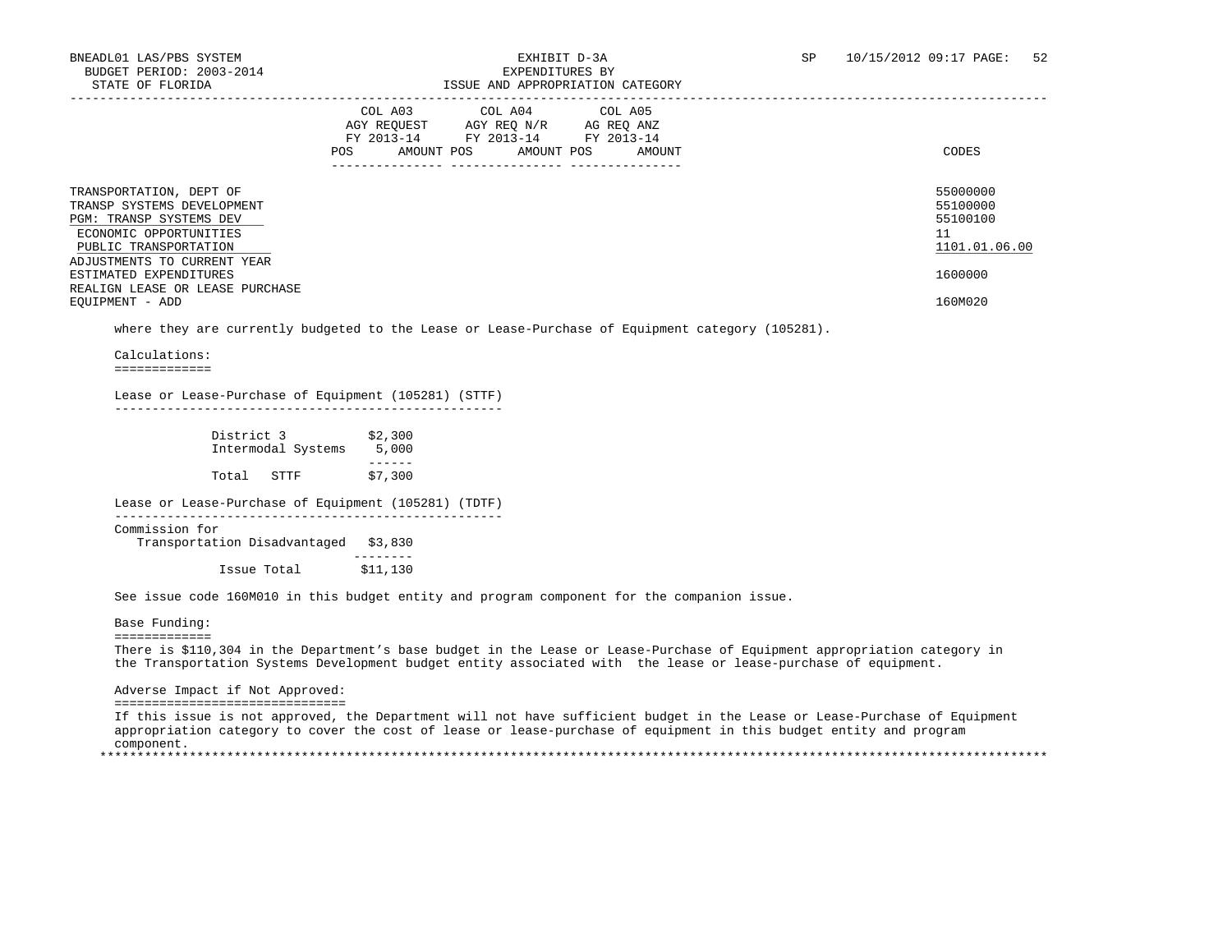|                                                                                                                                     | COL A04<br>COL A05<br>COL A03<br>AGY REOUEST<br>AGY REQ N/R<br>AG REQ ANZ<br>FY 2013-14<br>FY 2013-14<br>FY 2013-14<br>POS<br>AMOUNT POS<br>AMOUNT POS<br>AMOUNT | CODES                                             |
|-------------------------------------------------------------------------------------------------------------------------------------|------------------------------------------------------------------------------------------------------------------------------------------------------------------|---------------------------------------------------|
| TRANSPORTATION, DEPT OF<br>TRANSP SYSTEMS DEVELOPMENT<br>PGM: TRANSP SYSTEMS DEV<br>ECONOMIC OPPORTUNITIES<br>PUBLIC TRANSPORTATION |                                                                                                                                                                  | 55000000<br>55100000<br>55100100<br>1101.01.06.00 |
| ADJUSTMENTS TO CURRENT YEAR<br>ESTIMATED EXPENDITURES<br>REALIGN LEASE OR LEASE PURCHASE                                            |                                                                                                                                                                  | 1600000                                           |
| EOUIPMENT - ADD                                                                                                                     |                                                                                                                                                                  | 160M020                                           |

where they are currently budgeted to the Lease or Lease-Purchase of Equipment category (105281).

Calculations:

=============

 Lease or Lease-Purchase of Equipment (105281) (STTF) ----------------------------------------------------

| District 3 | Intermodal Systems | \$2,300<br>5,000 |
|------------|--------------------|------------------|
|            |                    |                  |
| Total      | STTF               | \$7,300          |

Lease or Lease-Purchase of Equipment (105281) (TDTF)

----------------------------------------------------

Commission for

 Transportation Disadvantaged \$3,830 -------- Issue Total \$11,130

See issue code 160M010 in this budget entity and program component for the companion issue.

Base Funding:

=============

 There is \$110,304 in the Department's base budget in the Lease or Lease-Purchase of Equipment appropriation category in the Transportation Systems Development budget entity associated with the lease or lease-purchase of equipment.

### Adverse Impact if Not Approved:

===============================

 If this issue is not approved, the Department will not have sufficient budget in the Lease or Lease-Purchase of Equipment appropriation category to cover the cost of lease or lease-purchase of equipment in this budget entity and program component. \*\*\*\*\*\*\*\*\*\*\*\*\*\*\*\*\*\*\*\*\*\*\*\*\*\*\*\*\*\*\*\*\*\*\*\*\*\*\*\*\*\*\*\*\*\*\*\*\*\*\*\*\*\*\*\*\*\*\*\*\*\*\*\*\*\*\*\*\*\*\*\*\*\*\*\*\*\*\*\*\*\*\*\*\*\*\*\*\*\*\*\*\*\*\*\*\*\*\*\*\*\*\*\*\*\*\*\*\*\*\*\*\*\*\*\*\*\*\*\*\*\*\*\*\*\*\*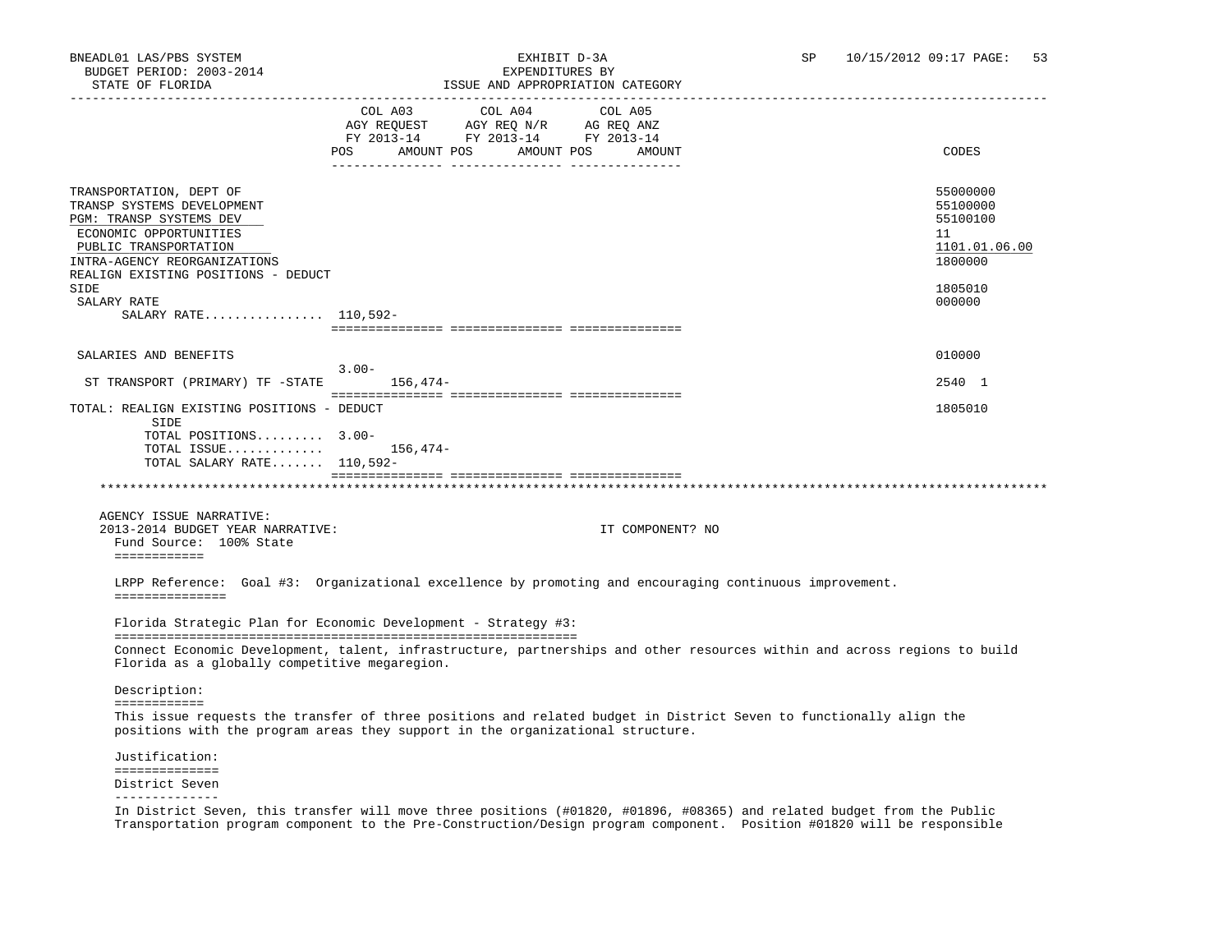## STATE OF FLORIDA ISSUE AND APPROPRIATION CATEGORY

| SIAIB UP PUURIDA                                                                                                                                                                                                                  | LOOUL AND APPROPRIATION CAILGORI                                                                                                                                                                                                                                                                                                                                                                     |                                                                                         |
|-----------------------------------------------------------------------------------------------------------------------------------------------------------------------------------------------------------------------------------|------------------------------------------------------------------------------------------------------------------------------------------------------------------------------------------------------------------------------------------------------------------------------------------------------------------------------------------------------------------------------------------------------|-----------------------------------------------------------------------------------------|
|                                                                                                                                                                                                                                   | COL A03 COL A04<br>COL A05<br>AGY REQUEST AGY REQ N/R AG REQ ANZ<br>FY 2013-14 FY 2013-14 FY 2013-14<br>POS AMOUNT POS AMOUNT POS<br>AMOUNT                                                                                                                                                                                                                                                          | CODES                                                                                   |
| TRANSPORTATION, DEPT OF<br>TRANSP SYSTEMS DEVELOPMENT<br>PGM: TRANSP SYSTEMS DEV<br>ECONOMIC OPPORTUNITIES<br>PUBLIC TRANSPORTATION<br>INTRA-AGENCY REORGANIZATIONS<br>REALIGN EXISTING POSITIONS - DEDUCT<br>SIDE<br>SALARY RATE |                                                                                                                                                                                                                                                                                                                                                                                                      | 55000000<br>55100000<br>55100100<br>11<br>1101.01.06.00<br>1800000<br>1805010<br>000000 |
| SALARY RATE 110,592-                                                                                                                                                                                                              |                                                                                                                                                                                                                                                                                                                                                                                                      |                                                                                         |
|                                                                                                                                                                                                                                   |                                                                                                                                                                                                                                                                                                                                                                                                      |                                                                                         |
| SALARIES AND BENEFITS                                                                                                                                                                                                             |                                                                                                                                                                                                                                                                                                                                                                                                      | 010000                                                                                  |
| ST TRANSPORT (PRIMARY) TF -STATE 156,474-                                                                                                                                                                                         | $3.00 -$                                                                                                                                                                                                                                                                                                                                                                                             | 2540 1                                                                                  |
| TOTAL: REALIGN EXISTING POSITIONS - DEDUCT<br>SIDE                                                                                                                                                                                |                                                                                                                                                                                                                                                                                                                                                                                                      | 1805010                                                                                 |
| TOTAL POSITIONS 3.00-<br>TOTAL ISSUE<br>TOTAL SALARY RATE $110,592-$                                                                                                                                                              | 156,474–                                                                                                                                                                                                                                                                                                                                                                                             |                                                                                         |
|                                                                                                                                                                                                                                   |                                                                                                                                                                                                                                                                                                                                                                                                      |                                                                                         |
| AGENCY ISSUE NARRATIVE:<br>2013-2014 BUDGET YEAR NARRATIVE:<br>Fund Source: 100% State<br>============                                                                                                                            | IT COMPONENT? NO                                                                                                                                                                                                                                                                                                                                                                                     |                                                                                         |
| ===============                                                                                                                                                                                                                   | LRPP Reference: Goal #3: Organizational excellence by promoting and encouraging continuous improvement.                                                                                                                                                                                                                                                                                              |                                                                                         |
|                                                                                                                                                                                                                                   | Florida Strategic Plan for Economic Development - Strategy #3:                                                                                                                                                                                                                                                                                                                                       |                                                                                         |
| Florida as a globally competitive megaregion.                                                                                                                                                                                     | Connect Economic Development, talent, infrastructure, partnerships and other resources within and across regions to build                                                                                                                                                                                                                                                                            |                                                                                         |
| Description:<br>============                                                                                                                                                                                                      |                                                                                                                                                                                                                                                                                                                                                                                                      |                                                                                         |
|                                                                                                                                                                                                                                   | This issue requests the transfer of three positions and related budget in District Seven to functionally align the<br>positions with the program areas they support in the organizational structure.                                                                                                                                                                                                 |                                                                                         |
| Justification:<br>==============                                                                                                                                                                                                  |                                                                                                                                                                                                                                                                                                                                                                                                      |                                                                                         |
| District Seven<br>--------------                                                                                                                                                                                                  |                                                                                                                                                                                                                                                                                                                                                                                                      |                                                                                         |
| the contract of the contract of the                                                                                                                                                                                               | and the second contract of the second second and the second second second the second second second second second second second second second second second second second second second second second second second second seco<br><b>Contract Contract Contract Contract</b><br>.<br>in a complete communication of the communication of the communication of the communication of the communication |                                                                                         |

 In District Seven, this transfer will move three positions (#01820, #01896, #08365) and related budget from the Public Transportation program component to the Pre-Construction/Design program component. Position #01820 will be responsible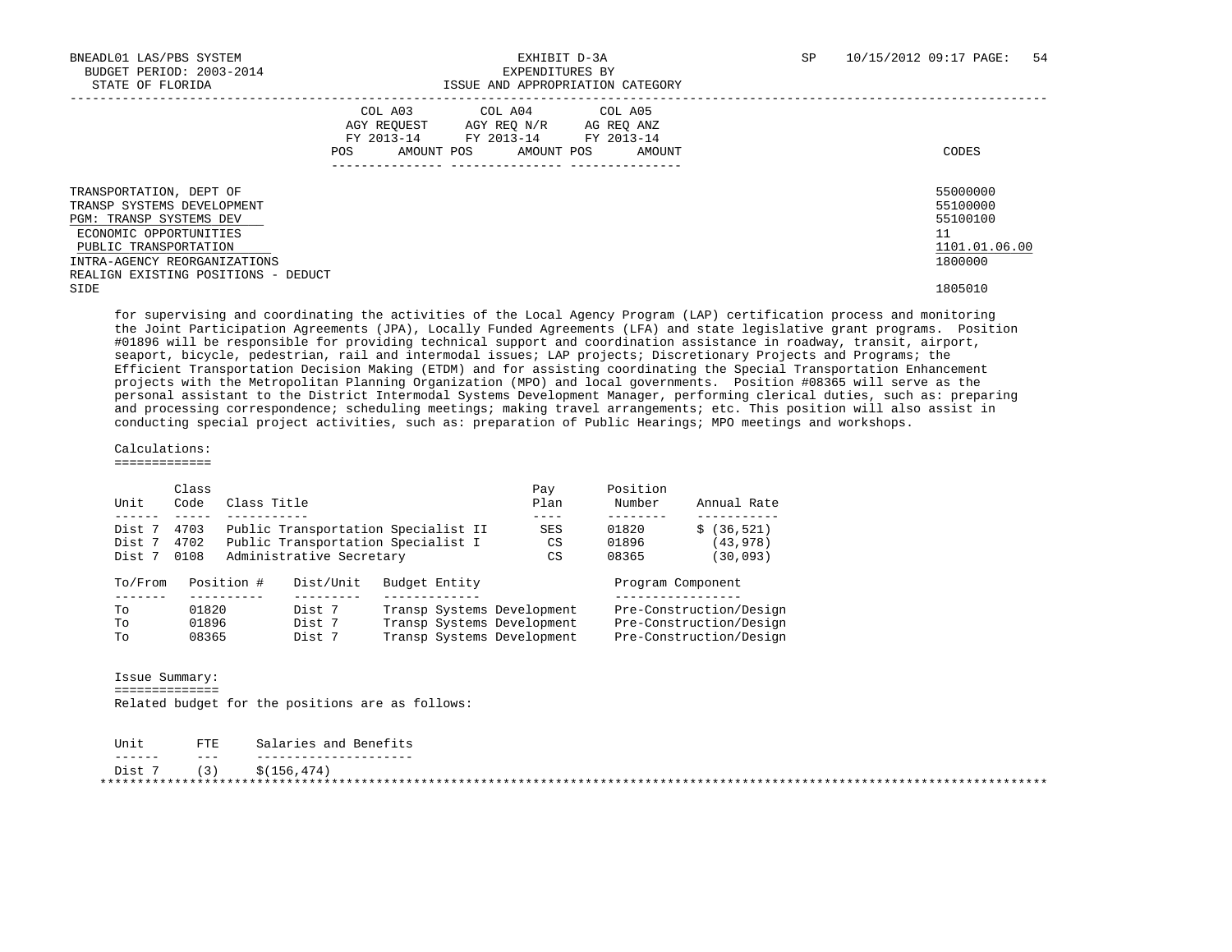|                                                                                                                                                                                                                   | COL A03<br>AGY REOUEST<br>AGY REO N/R<br>FY 2013-14 FY 2013-14<br>AMOUNT POS<br>POS | COL A04 COL A05<br>AG REO ANZ<br>FY 2013-14<br>AMOUNT POS<br>AMOUNT | CODES                                                              |
|-------------------------------------------------------------------------------------------------------------------------------------------------------------------------------------------------------------------|-------------------------------------------------------------------------------------|---------------------------------------------------------------------|--------------------------------------------------------------------|
| TRANSPORTATION, DEPT OF<br>TRANSP SYSTEMS DEVELOPMENT<br><b>PGM: TRANSP SYSTEMS DEV</b><br>ECONOMIC OPPORTUNITIES<br>PUBLIC TRANSPORTATION<br>INTRA-AGENCY REORGANIZATIONS<br>REALIGN EXISTING POSITIONS - DEDUCT |                                                                                     |                                                                     | 55000000<br>55100000<br>55100100<br>11<br>1101.01.06.00<br>1800000 |
| SIDE                                                                                                                                                                                                              |                                                                                     |                                                                     | 1805010                                                            |

 for supervising and coordinating the activities of the Local Agency Program (LAP) certification process and monitoring the Joint Participation Agreements (JPA), Locally Funded Agreements (LFA) and state legislative grant programs. Position #01896 will be responsible for providing technical support and coordination assistance in roadway, transit, airport, seaport, bicycle, pedestrian, rail and intermodal issues; LAP projects; Discretionary Projects and Programs; the Efficient Transportation Decision Making (ETDM) and for assisting coordinating the Special Transportation Enhancement projects with the Metropolitan Planning Organization (MPO) and local governments. Position #08365 will serve as the personal assistant to the District Intermodal Systems Development Manager, performing clerical duties, such as: preparing and processing correspondence; scheduling meetings; making travel arrangements; etc. This position will also assist in conducting special project activities, such as: preparation of Public Hearings; MPO meetings and workshops.

 Calculations: =============

| Unit    | Class<br>Code | Class Title |                          |                                     | Pay<br>Plan | Position<br>Number | Annual Rate             |
|---------|---------------|-------------|--------------------------|-------------------------------------|-------------|--------------------|-------------------------|
| Dist 7  | 4703          |             |                          | Public Transportation Specialist II | SES         | 01820              | (36, 521)               |
| Dist 7  | 4702          |             |                          | Public Transportation Specialist I  | CS          | 01896              | (43,978)                |
| Dist 7  | 0108          |             | Administrative Secretary |                                     | CS          | 08365              | (30,093)                |
| To/From |               | Position #  | Dist/Unit                | Budget Entity                       |             | Program Component  |                         |
| Tо      | 01820         |             | Dist 7                   | Transp Systems Development          |             |                    | Pre-Construction/Design |
| Tо      | 01896         |             | Dist 7                   | Transp Systems Development          |             |                    | Pre-Construction/Design |
| Tо      | 08365         |             | Dist 7                   | Transp Systems Development          |             |                    | Pre-Construction/Design |

 Issue Summary: ==============

Related budget for the positions are as follows:

| Unit   | FTE | Salaries and Benefits |
|--------|-----|-----------------------|
| ------ | ___ |                       |
| Dist 7 | (3) | \$(156, 474)          |
|        |     |                       |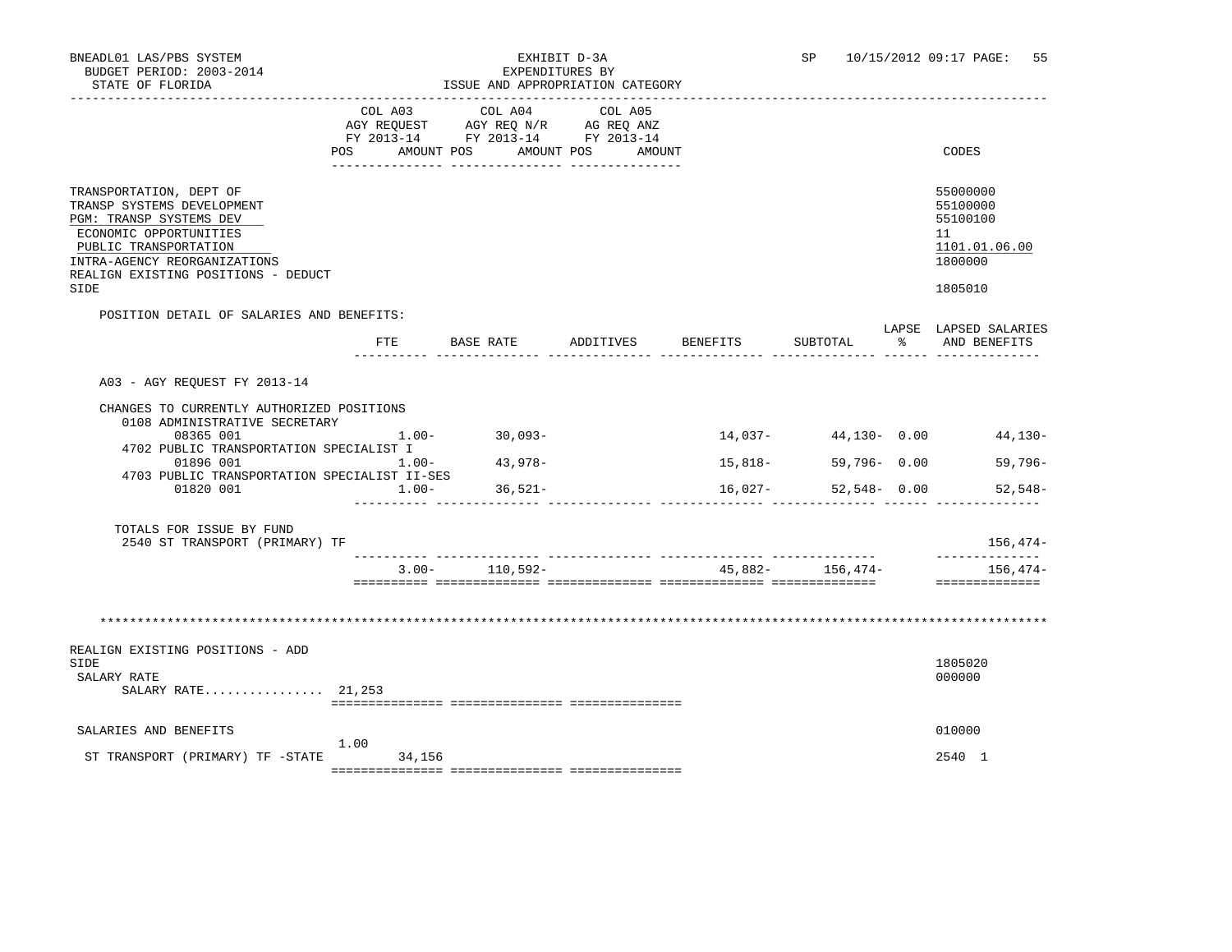| BNEADL01 LAS/PBS SYSTEM<br>BUDGET PERIOD: 2003-2014<br>STATE OF FLORIDA                                                                                                                                                                      |                   | ISSUE AND APPROPRIATION CATEGORY<br>___________________________________                                                       | EXHIBIT D-3A<br>EXPENDITURES BY |                    | SP                              |                  | 10/15/2012 09:17 PAGE: 55                                                     |
|----------------------------------------------------------------------------------------------------------------------------------------------------------------------------------------------------------------------------------------------|-------------------|-------------------------------------------------------------------------------------------------------------------------------|---------------------------------|--------------------|---------------------------------|------------------|-------------------------------------------------------------------------------|
|                                                                                                                                                                                                                                              |                   | COL A03 COL A04<br>AGY REQUEST AGY REQ N/R AG REQ ANZ<br>FY 2013-14 FY 2013-14 FY 2013-14<br>POS AMOUNT POS AMOUNT POS AMOUNT | COL A05                         |                    |                                 |                  | CODES                                                                         |
| TRANSPORTATION, DEPT OF<br>TRANSP SYSTEMS DEVELOPMENT<br>PGM: TRANSP SYSTEMS DEV<br>ECONOMIC OPPORTUNITIES<br>PUBLIC TRANSPORTATION<br>INTRA-AGENCY REORGANIZATIONS<br>REALIGN EXISTING POSITIONS - DEDUCT<br>SIDE                           |                   |                                                                                                                               |                                 |                    |                                 |                  | 55000000<br>55100000<br>55100100<br>11<br>1101.01.06.00<br>1800000<br>1805010 |
| POSITION DETAIL OF SALARIES AND BENEFITS:                                                                                                                                                                                                    |                   |                                                                                                                               |                                 |                    |                                 |                  |                                                                               |
|                                                                                                                                                                                                                                              | FTE               | BASE RATE                                                                                                                     | ADDITIVES                       | BENEFITS           | SUBTOTAL                        | $\sim$ $\approx$ | LAPSE LAPSED SALARIES<br>AND BENEFITS                                         |
| A03 - AGY REQUEST FY 2013-14<br>CHANGES TO CURRENTLY AUTHORIZED POSITIONS<br>0108 ADMINISTRATIVE SECRETARY<br>08365 001<br>4702 PUBLIC TRANSPORTATION SPECIALIST I<br>01896 001<br>4703 PUBLIC TRANSPORTATION SPECIALIST II-SES<br>01820 001 | 1.00-<br>$1.00 -$ | $1.00 - 30.093 -$<br>43,978-<br>$36,521-$                                                                                     |                                 | 15,818-<br>16,027- | 59,796- 0.00<br>$52,548 - 0.00$ |                  | $14,037 - 44,130 - 0.00$ 44,130-<br>$59,796-$<br>$52,548-$                    |
| TOTALS FOR ISSUE BY FUND<br>2540 ST TRANSPORT (PRIMARY) TF                                                                                                                                                                                   |                   |                                                                                                                               |                                 |                    |                                 |                  | 156,474-<br>______________                                                    |
|                                                                                                                                                                                                                                              | $3.00 -$          | 110,592-                                                                                                                      |                                 |                    | $45.882 - 156.474 -$            |                  | $156.474-$                                                                    |
| REALIGN EXISTING POSITIONS - ADD<br>SIDE<br>SALARY RATE<br>SALARY RATE 21,253                                                                                                                                                                |                   |                                                                                                                               |                                 |                    |                                 |                  | 1805020<br>000000                                                             |
| SALARIES AND BENEFITS                                                                                                                                                                                                                        |                   |                                                                                                                               |                                 |                    |                                 |                  | 010000                                                                        |

 1.00 ST TRANSPORT (PRIMARY) TF -STATE 34,156 2540 1 =============== =============== ===============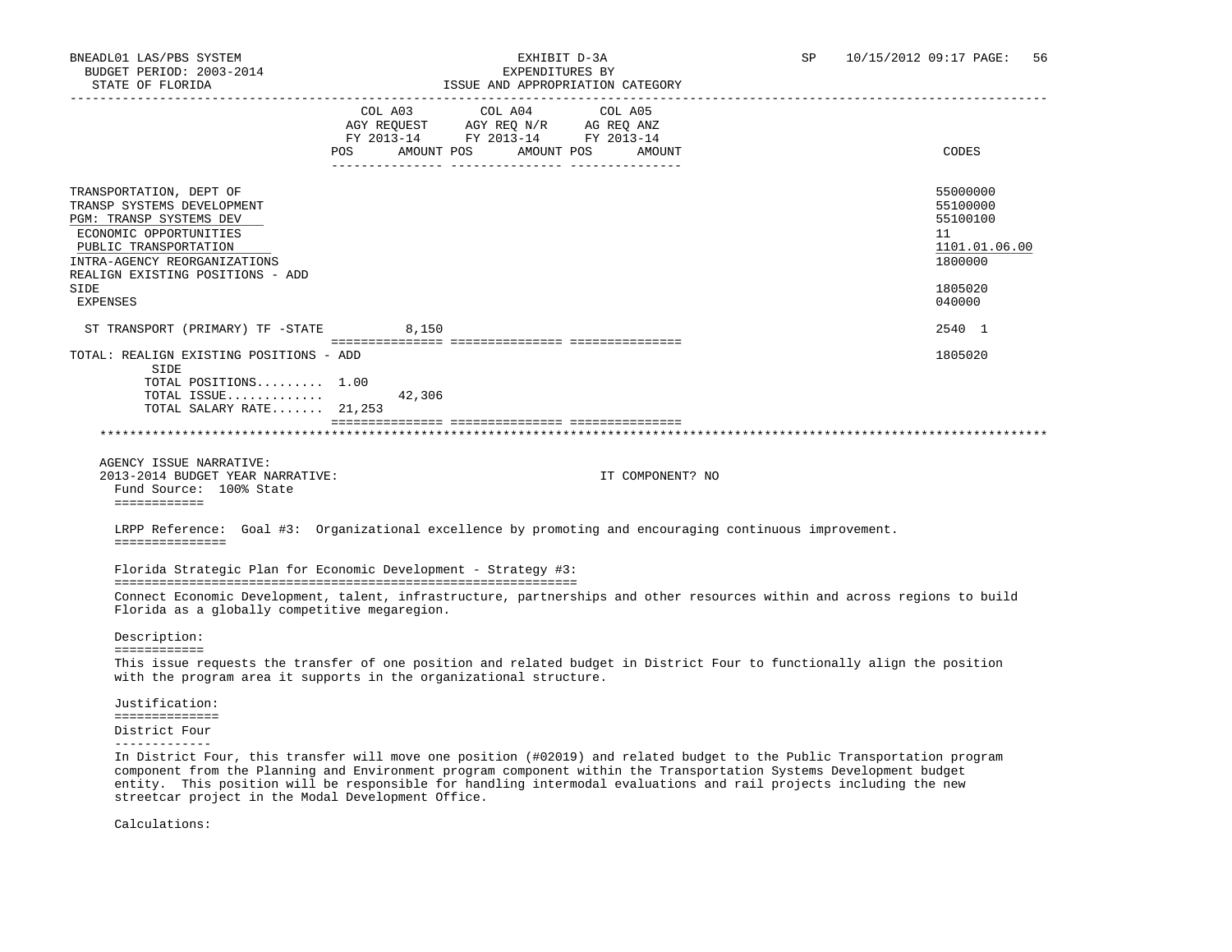| STATE OF FLORIDA                                                                                                                                                                                                |                | ISSUE AND APPROPRIATION CATEGORY                                                                              |                   |                                                                                                                           |
|-----------------------------------------------------------------------------------------------------------------------------------------------------------------------------------------------------------------|----------------|---------------------------------------------------------------------------------------------------------------|-------------------|---------------------------------------------------------------------------------------------------------------------------|
|                                                                                                                                                                                                                 | COL A03<br>POS | COL A04<br>AGY REQUEST AGY REQ N/R AG REQ ANZ<br>FY 2013-14 FY 2013-14 FY 2013-14<br>AMOUNT POS<br>AMOUNT POS | COL A05<br>AMOUNT | CODES                                                                                                                     |
| TRANSPORTATION, DEPT OF<br>TRANSP SYSTEMS DEVELOPMENT<br>PGM: TRANSP SYSTEMS DEV<br>ECONOMIC OPPORTUNITIES<br>PUBLIC TRANSPORTATION<br>INTRA-AGENCY REORGANIZATIONS<br>REALIGN EXISTING POSITIONS - ADD<br>SIDE |                |                                                                                                               |                   | 55000000<br>55100000<br>55100100<br>11<br>1101.01.06.00<br>1800000<br>1805020                                             |
| <b>EXPENSES</b>                                                                                                                                                                                                 |                |                                                                                                               |                   | 040000                                                                                                                    |
| ST TRANSPORT (PRIMARY) TF -STATE<br>TOTAL: REALIGN EXISTING POSITIONS - ADD                                                                                                                                     | 8,150          |                                                                                                               |                   | 2540 1<br>1805020                                                                                                         |
| SIDE<br>TOTAL POSITIONS 1.00<br>TOTAL ISSUE                                                                                                                                                                     | 42,306         |                                                                                                               |                   |                                                                                                                           |
| TOTAL SALARY RATE 21,253                                                                                                                                                                                        |                |                                                                                                               |                   |                                                                                                                           |
|                                                                                                                                                                                                                 |                |                                                                                                               |                   |                                                                                                                           |
| AGENCY ISSUE NARRATIVE:<br>2013-2014 BUDGET YEAR NARRATIVE:<br>Fund Source: 100% State<br>============                                                                                                          |                |                                                                                                               | IT COMPONENT? NO  |                                                                                                                           |
| LRPP Reference: Goal #3: Organizational excellence by promoting and encouraging continuous improvement.                                                                                                         |                |                                                                                                               |                   |                                                                                                                           |
| ===============                                                                                                                                                                                                 |                |                                                                                                               |                   |                                                                                                                           |
| Florida Strategic Plan for Economic Development - Strategy #3:<br>Florida as a globally competitive megaregion.                                                                                                 |                |                                                                                                               |                   | Connect Economic Development, talent, infrastructure, partnerships and other resources within and across regions to build |
| Description:<br>============                                                                                                                                                                                    |                |                                                                                                               |                   |                                                                                                                           |
| with the program area it supports in the organizational structure.                                                                                                                                              |                |                                                                                                               |                   | This issue requests the transfer of one position and related budget in District Four to functionally align the position   |
| Justification:<br>==============                                                                                                                                                                                |                |                                                                                                               |                   |                                                                                                                           |

 component from the Planning and Environment program component within the Transportation Systems Development budget entity. This position will be responsible for handling intermodal evaluations and rail projects including the new streetcar project in the Modal Development Office.

Calculations: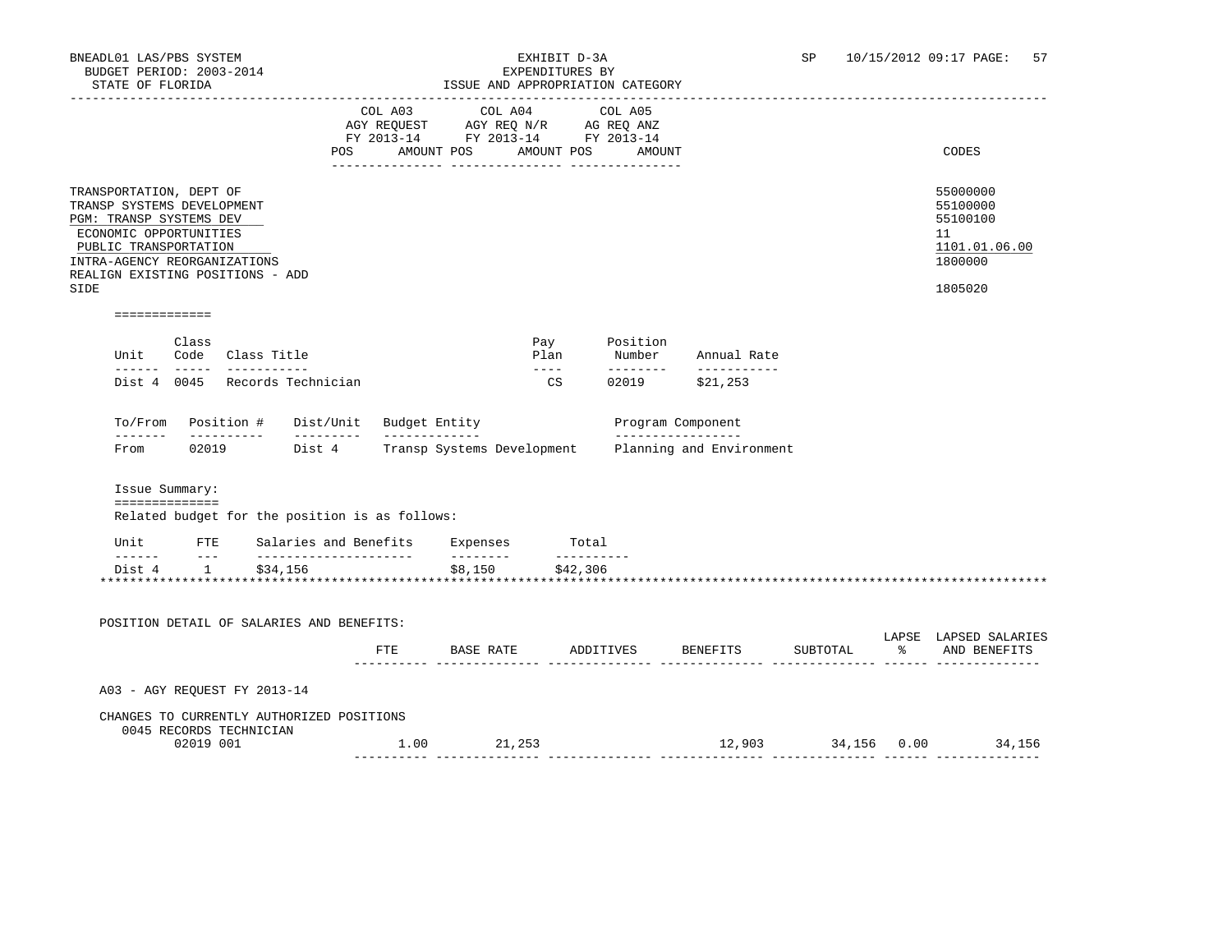### BNEADL01 LAS/PBS SYSTEM EXHIBIT D-3A SP 10/15/2012 09:17 PAGE: 57 ISSUE AND APPROPRIATION CATEGORY

|                                                                                                                                                                                                                                                                                                                                                                                              |                |                              |                                                |                                                                                   | TOOOT AND ALINOINIAITON |                            |            |                                             |                          |          |                                                                               |
|----------------------------------------------------------------------------------------------------------------------------------------------------------------------------------------------------------------------------------------------------------------------------------------------------------------------------------------------------------------------------------------------|----------------|------------------------------|------------------------------------------------|-----------------------------------------------------------------------------------|-------------------------|----------------------------|------------|---------------------------------------------|--------------------------|----------|-------------------------------------------------------------------------------|
|                                                                                                                                                                                                                                                                                                                                                                                              |                |                              |                                                | COL A03<br>AGY REQUEST AGY REQ N/R AG REQ ANZ<br>FY 2013-14 FY 2013-14 FY 2013-14 | COL A04                 |                            |            | COL A05<br>POS AMOUNT POS AMOUNT POS AMOUNT |                          |          | CODES                                                                         |
| TRANSPORTATION, DEPT OF<br>TRANSP SYSTEMS DEVELOPMENT<br>PGM: TRANSP SYSTEMS DEV<br>ECONOMIC OPPORTUNITIES<br>PUBLIC TRANSPORTATION<br>INTRA-AGENCY REORGANIZATIONS<br>REALIGN EXISTING POSITIONS - ADD<br>SIDE                                                                                                                                                                              |                |                              |                                                |                                                                                   |                         |                            |            |                                             |                          |          | 55000000<br>55100000<br>55100100<br>11<br>1101.01.06.00<br>1800000<br>1805020 |
| =============                                                                                                                                                                                                                                                                                                                                                                                |                |                              |                                                |                                                                                   |                         |                            |            |                                             |                          |          |                                                                               |
| Unit                                                                                                                                                                                                                                                                                                                                                                                         | Class          | Code Class Title             |                                                |                                                                                   |                         | Pay<br>Plan                |            | Position<br>Number                          | Annual Rate              |          |                                                                               |
|                                                                                                                                                                                                                                                                                                                                                                                              |                |                              | Dist 4 0045 Records Technician                 |                                                                                   |                         | $\frac{1}{2}$<br><b>CS</b> |            | ---------<br>02019                          | ___________<br>\$21,253  |          |                                                                               |
|                                                                                                                                                                                                                                                                                                                                                                                              |                |                              | To/From Position # Dist/Unit Budget Entity     |                                                                                   |                         |                            |            | Program Component                           |                          |          |                                                                               |
| From                                                                                                                                                                                                                                                                                                                                                                                         |                | __________                   | 02019 Dist 4                                   | ______________<br>Transp Systems Development                                      |                         |                            |            | _________________                           | Planning and Environment |          |                                                                               |
|                                                                                                                                                                                                                                                                                                                                                                                              | Issue Summary: |                              |                                                |                                                                                   |                         |                            |            |                                             |                          |          |                                                                               |
|                                                                                                                                                                                                                                                                                                                                                                                              | ============== |                              | Related budget for the position is as follows: |                                                                                   |                         |                            |            |                                             |                          |          |                                                                               |
|                                                                                                                                                                                                                                                                                                                                                                                              |                |                              | Unit FTE Salaries and Benefits Expenses Total  |                                                                                   |                         |                            |            |                                             |                          |          |                                                                               |
| $\frac{1}{2} \frac{1}{2} \frac{1}{2} \frac{1}{2} \frac{1}{2} \frac{1}{2} \frac{1}{2} \frac{1}{2} \frac{1}{2} \frac{1}{2} \frac{1}{2} \frac{1}{2} \frac{1}{2} \frac{1}{2} \frac{1}{2} \frac{1}{2} \frac{1}{2} \frac{1}{2} \frac{1}{2} \frac{1}{2} \frac{1}{2} \frac{1}{2} \frac{1}{2} \frac{1}{2} \frac{1}{2} \frac{1}{2} \frac{1}{2} \frac{1}{2} \frac{1}{2} \frac{1}{2} \frac{1}{2} \frac{$ | Dist 4 1       | \$34,156                     |                                                |                                                                                   | _________               | \$8,150 \$42,306           | __________ |                                             |                          |          |                                                                               |
|                                                                                                                                                                                                                                                                                                                                                                                              |                |                              |                                                |                                                                                   |                         |                            |            |                                             |                          |          |                                                                               |
|                                                                                                                                                                                                                                                                                                                                                                                              |                |                              | POSITION DETAIL OF SALARIES AND BENEFITS:      |                                                                                   |                         |                            |            |                                             |                          |          | LAPSE LAPSED SALARIES                                                         |
|                                                                                                                                                                                                                                                                                                                                                                                              |                |                              |                                                | <b>FTE</b>                                                                        |                         |                            |            | BASE RATE ADDITIVES                         | BENEFITS                 | SUBTOTAL | % AND BENEFITS                                                                |
|                                                                                                                                                                                                                                                                                                                                                                                              |                | A03 - AGY REQUEST FY 2013-14 |                                                |                                                                                   |                         |                            |            |                                             |                          |          |                                                                               |
|                                                                                                                                                                                                                                                                                                                                                                                              |                |                              | CHANGES TO CURRENTLY AUTHORIZED POSITIONS      |                                                                                   |                         |                            |            |                                             |                          |          |                                                                               |
|                                                                                                                                                                                                                                                                                                                                                                                              | 02019 001      | 0045 RECORDS TECHNICIAN      |                                                | 1.00 21,253                                                                       |                         |                            |            |                                             |                          |          | 12,903 34,156 0.00 34,156                                                     |
|                                                                                                                                                                                                                                                                                                                                                                                              |                |                              |                                                |                                                                                   |                         |                            |            |                                             |                          |          |                                                                               |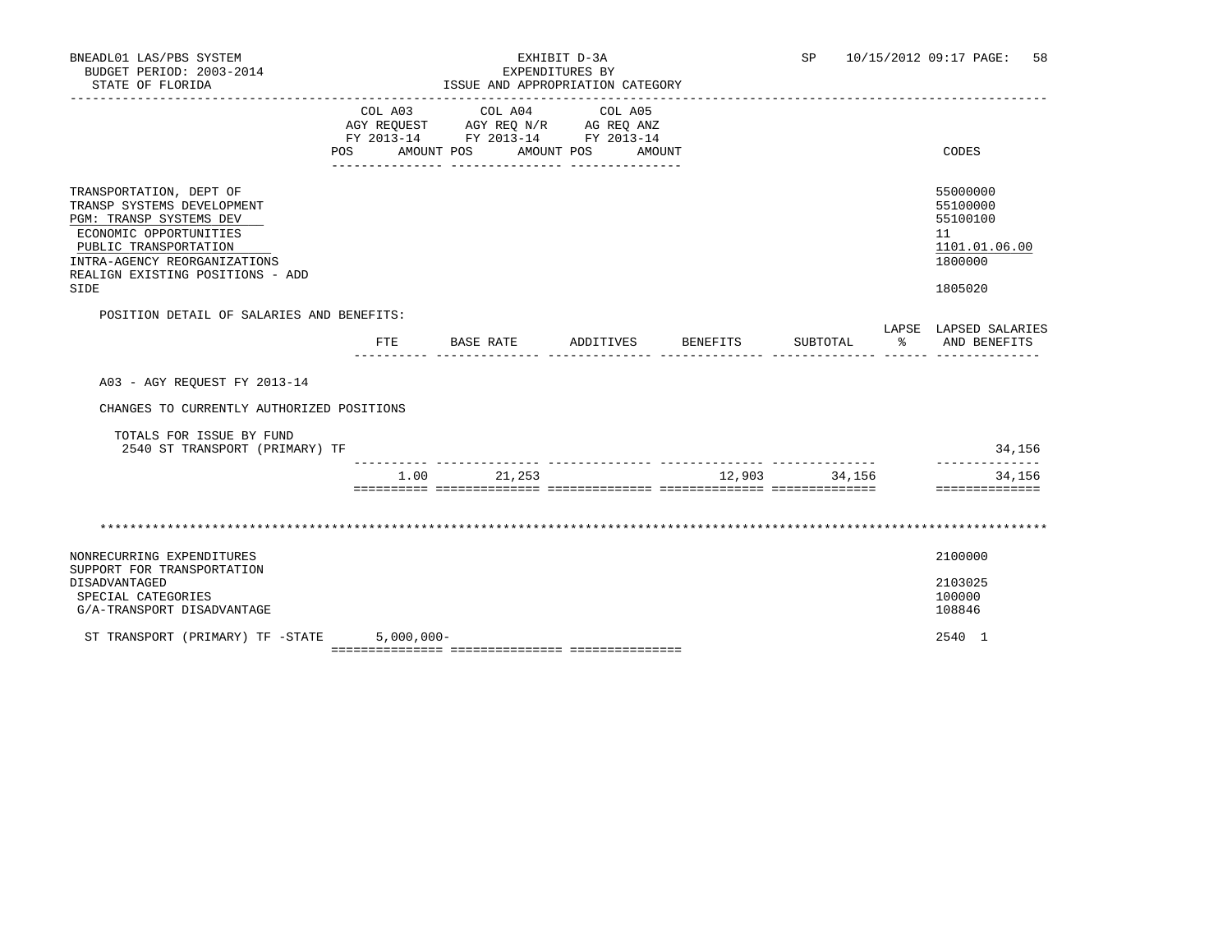| BNEADL01 LAS/PBS SYSTEM<br>BUDGET PERIOD: 2003-2014<br>STATE OF FLORIDA                                                                                                                                         |                   | EXPENDITURES BY<br>ISSUE AND APPROPRIATION CATEGORY<br>____________________________________       | EXHIBIT D-3A         |               | SP 10/15/2012 09:17 PAGE:<br>58                                               |
|-----------------------------------------------------------------------------------------------------------------------------------------------------------------------------------------------------------------|-------------------|---------------------------------------------------------------------------------------------------|----------------------|---------------|-------------------------------------------------------------------------------|
|                                                                                                                                                                                                                 | POS<br>AMOUNT POS | COL A03 COL A04 COL A05<br>AGY REQUEST AGY REQ N/R AG REQ ANZ<br>FY 2013-14 FY 2013-14 FY 2013-14 | AMOUNT POS<br>AMOUNT |               | CODES                                                                         |
| TRANSPORTATION, DEPT OF<br>TRANSP SYSTEMS DEVELOPMENT<br>PGM: TRANSP SYSTEMS DEV<br>ECONOMIC OPPORTUNITIES<br>PUBLIC TRANSPORTATION<br>INTRA-AGENCY REORGANIZATIONS<br>REALIGN EXISTING POSITIONS - ADD<br>SIDE |                   |                                                                                                   |                      |               | 55000000<br>55100000<br>55100100<br>11<br>1101.01.06.00<br>1800000<br>1805020 |
| POSITION DETAIL OF SALARIES AND BENEFITS:                                                                                                                                                                       |                   |                                                                                                   |                      |               | LAPSE LAPSED SALARIES                                                         |
|                                                                                                                                                                                                                 | FTE               | BASE RATE                                                                                         | ADDITIVES BENEFITS   | SUBTOTAL      | % AND BENEFITS                                                                |
| A03 - AGY REOUEST FY 2013-14                                                                                                                                                                                    |                   |                                                                                                   |                      |               |                                                                               |
| CHANGES TO CURRENTLY AUTHORIZED POSITIONS                                                                                                                                                                       |                   |                                                                                                   |                      |               |                                                                               |
| TOTALS FOR ISSUE BY FUND<br>2540 ST TRANSPORT (PRIMARY) TF                                                                                                                                                      |                   |                                                                                                   |                      |               | 34,156                                                                        |
|                                                                                                                                                                                                                 | 1.00              | 21,253                                                                                            |                      | 12,903 34,156 | -------------<br>34,156<br>==============                                     |
|                                                                                                                                                                                                                 |                   |                                                                                                   |                      |               |                                                                               |
| NONRECURRING EXPENDITURES<br>SUPPORT FOR TRANSPORTATION                                                                                                                                                         |                   |                                                                                                   |                      |               | 2100000                                                                       |
| DISADVANTAGED                                                                                                                                                                                                   |                   |                                                                                                   |                      |               | 2103025                                                                       |
| SPECIAL CATEGORIES<br>G/A-TRANSPORT DISADVANTAGE                                                                                                                                                                |                   |                                                                                                   |                      |               | 100000<br>108846                                                              |

 ST TRANSPORT (PRIMARY) TF -STATE 5,000,000- 2540 1 =============== =============== ===============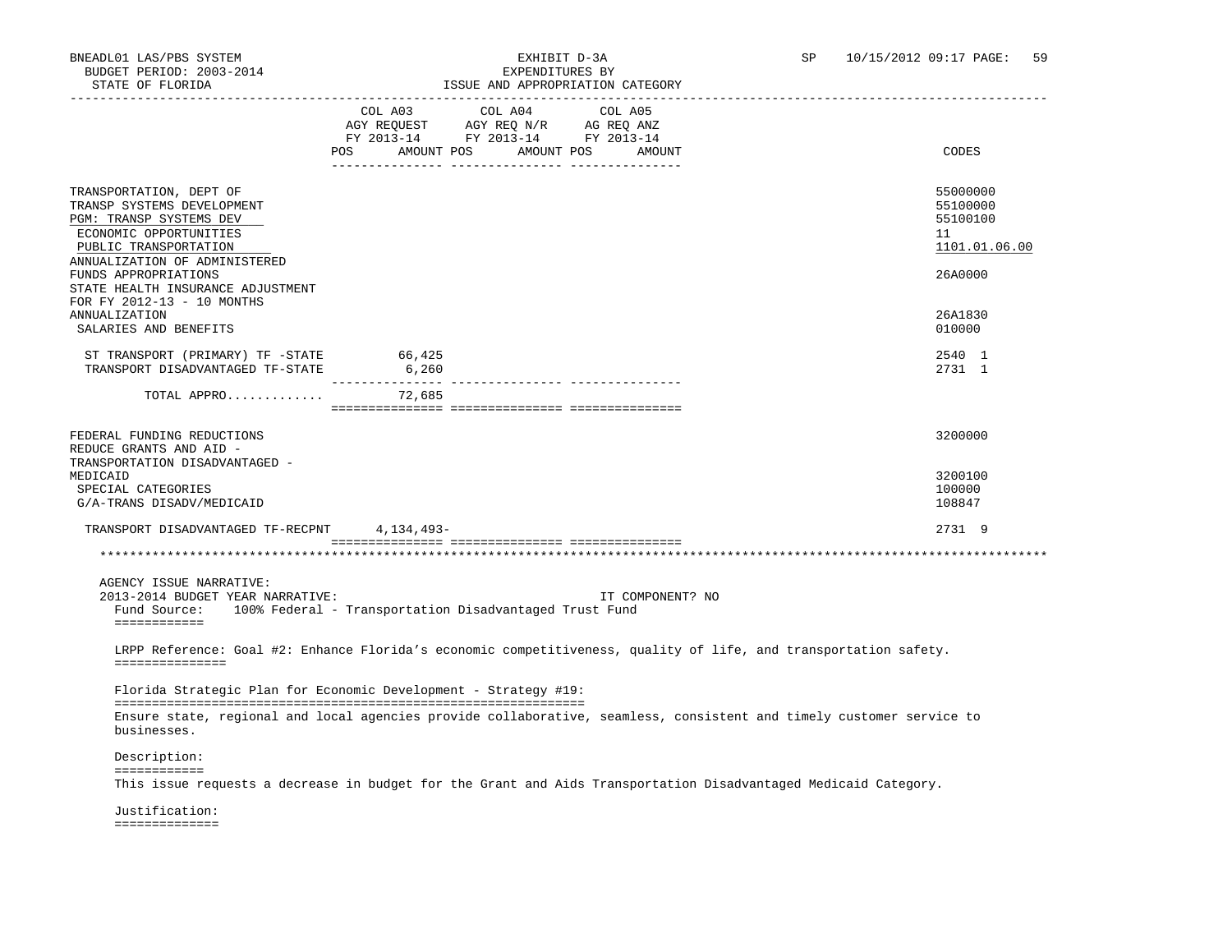### BNEADL01 LAS/PBS SYSTEM EXHIBIT D-3A SP 10/15/2012 09:17 PAGE: 59 ISSUE AND APPROPRIATION CATEGORY

| SIAIB UP PUURIDA                                                                                                                                                     |                                             |                                                                                                                                                                                                        | LOOUL AND APPROPRIATION CAILGORI |                                                                                                                      |                                                         |
|----------------------------------------------------------------------------------------------------------------------------------------------------------------------|---------------------------------------------|--------------------------------------------------------------------------------------------------------------------------------------------------------------------------------------------------------|----------------------------------|----------------------------------------------------------------------------------------------------------------------|---------------------------------------------------------|
|                                                                                                                                                                      | COL A03<br>POS AMOUNT POS AMOUNT POS AMOUNT | COL A04<br>$\begin{tabular}{lllllll} \bf AGY \,\, REQUEST \,\, &\bf AGY \,\, REQ \,\, N/R &\bf AG \,\, REQ \,\, ANZ \\ \bf FY \,\, 2013-14 &\bf FY \,\, 2013-14 &\bf FY \,\, 2013-14 \\ \end{tabular}$ | COL A05                          |                                                                                                                      | CODES                                                   |
| TRANSPORTATION, DEPT OF<br>TRANSP SYSTEMS DEVELOPMENT<br>PGM: TRANSP SYSTEMS DEV<br>ECONOMIC OPPORTUNITIES<br>PUBLIC TRANSPORTATION<br>ANNUALIZATION OF ADMINISTERED |                                             |                                                                                                                                                                                                        |                                  |                                                                                                                      | 55000000<br>55100000<br>55100100<br>11<br>1101.01.06.00 |
| FUNDS APPROPRIATIONS<br>STATE HEALTH INSURANCE ADJUSTMENT<br>FOR FY 2012-13 - 10 MONTHS<br>ANNUALIZATION<br>SALARIES AND BENEFITS                                    |                                             |                                                                                                                                                                                                        |                                  |                                                                                                                      | 26A0000<br>26A1830<br>010000                            |
| ST TRANSPORT (PRIMARY) TF -STATE<br>TRANSPORT DISADVANTAGED TF-STATE                                                                                                 | 66,425<br>6,260                             |                                                                                                                                                                                                        |                                  |                                                                                                                      | 2540 1<br>2731 1                                        |
| TOTAL APPRO 72,685                                                                                                                                                   |                                             |                                                                                                                                                                                                        |                                  |                                                                                                                      |                                                         |
| FEDERAL FUNDING REDUCTIONS<br>REDUCE GRANTS AND AID -                                                                                                                |                                             |                                                                                                                                                                                                        |                                  |                                                                                                                      | 3200000                                                 |
| TRANSPORTATION DISADVANTAGED -<br>MEDICAID<br>SPECIAL CATEGORIES<br>G/A-TRANS DISADV/MEDICAID                                                                        |                                             |                                                                                                                                                                                                        |                                  |                                                                                                                      | 3200100<br>100000<br>108847                             |
| TRANSPORT DISADVANTAGED TF-RECPNT 4,134,493-                                                                                                                         |                                             |                                                                                                                                                                                                        |                                  |                                                                                                                      | 2731 9                                                  |
|                                                                                                                                                                      |                                             |                                                                                                                                                                                                        |                                  |                                                                                                                      |                                                         |
| AGENCY ISSUE NARRATIVE:<br>2013-2014 BUDGET YEAR NARRATIVE:<br>Fund Source: 100% Federal - Transportation Disadvantaged Trust Fund<br>============                   |                                             |                                                                                                                                                                                                        | IT COMPONENT? NO                 |                                                                                                                      |                                                         |
| ===============                                                                                                                                                      |                                             |                                                                                                                                                                                                        |                                  | LRPP Reference: Goal #2: Enhance Florida's economic competitiveness, quality of life, and transportation safety.     |                                                         |
| Florida Strategic Plan for Economic Development - Strategy #19:                                                                                                      |                                             |                                                                                                                                                                                                        |                                  |                                                                                                                      |                                                         |
| businesses.                                                                                                                                                          |                                             |                                                                                                                                                                                                        |                                  | Ensure state, regional and local agencies provide collaborative, seamless, consistent and timely customer service to |                                                         |
| Description:                                                                                                                                                         |                                             |                                                                                                                                                                                                        |                                  |                                                                                                                      |                                                         |
| ============                                                                                                                                                         |                                             |                                                                                                                                                                                                        |                                  | This issue requests a decrease in budget for the Grant and Aids Transportation Disadvantaged Medicaid Category.      |                                                         |
| Justification:                                                                                                                                                       |                                             |                                                                                                                                                                                                        |                                  |                                                                                                                      |                                                         |
| ==============                                                                                                                                                       |                                             |                                                                                                                                                                                                        |                                  |                                                                                                                      |                                                         |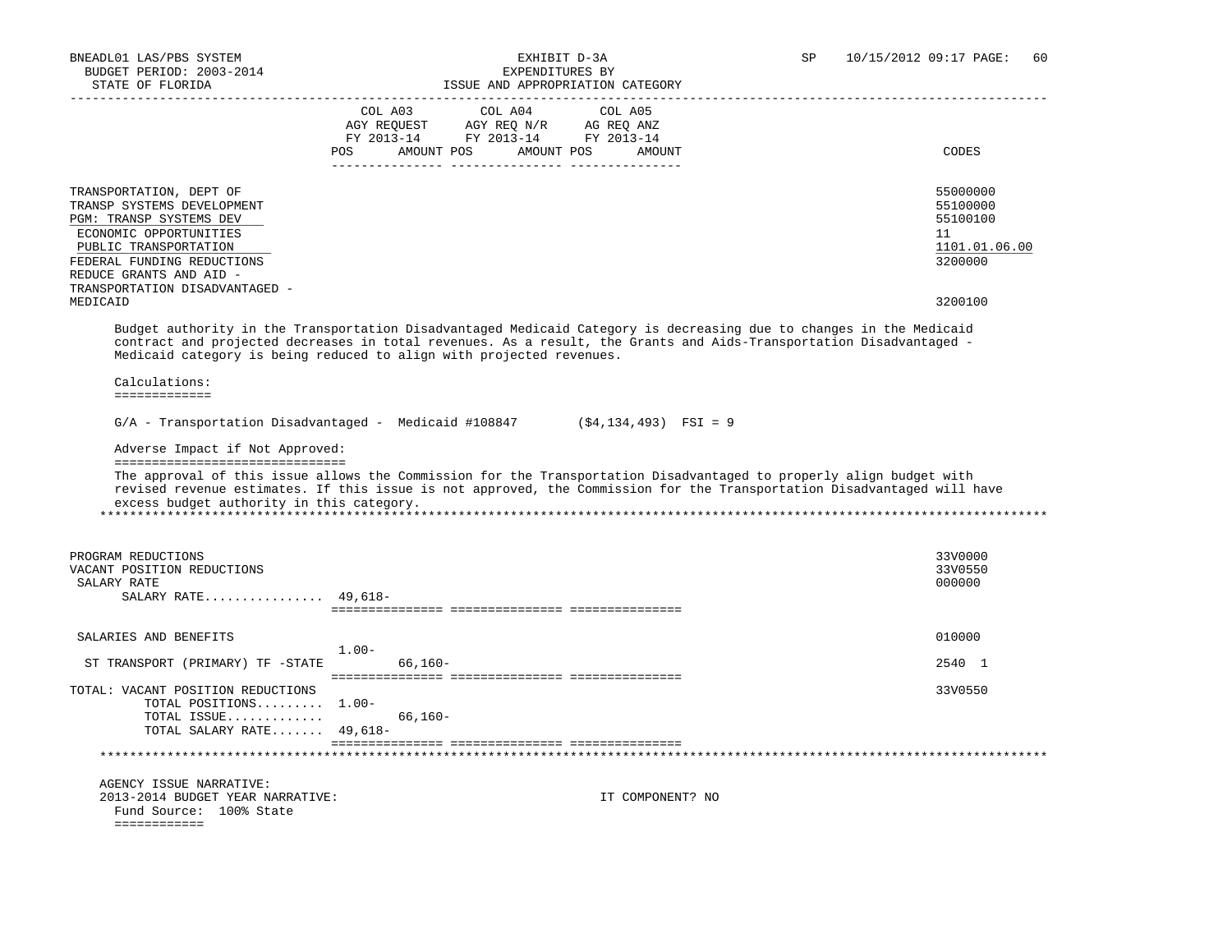| BNEADL01 LAS/PBS SYSTEM<br>BUDGET PERIOD: 2003-2014<br>STATE OF FLORIDA                                                                                                                                                                    | EXHIBIT D-3A<br>EXPENDITURES BY<br>ISSUE AND APPROPRIATION CATEGORY                                                                                                                                                                                                                                                             | SP | 10/15/2012 09:17 PAGE:<br>60                                                  |
|--------------------------------------------------------------------------------------------------------------------------------------------------------------------------------------------------------------------------------------------|---------------------------------------------------------------------------------------------------------------------------------------------------------------------------------------------------------------------------------------------------------------------------------------------------------------------------------|----|-------------------------------------------------------------------------------|
|                                                                                                                                                                                                                                            | COL A03<br>COL A04<br>COL A05<br>AGY REQUEST AGY REQ N/R AG REQ ANZ<br>FY 2013-14 FY 2013-14 FY 2013-14<br>POS AMOUNT POS AMOUNT POS<br>AMOUNT                                                                                                                                                                                  |    | CODES                                                                         |
| TRANSPORTATION, DEPT OF<br>TRANSP SYSTEMS DEVELOPMENT<br>PGM: TRANSP SYSTEMS DEV<br>ECONOMIC OPPORTUNITIES<br>PUBLIC TRANSPORTATION<br>FEDERAL FUNDING REDUCTIONS<br>REDUCE GRANTS AND AID -<br>TRANSPORTATION DISADVANTAGED -<br>MEDICAID |                                                                                                                                                                                                                                                                                                                                 |    | 55000000<br>55100000<br>55100100<br>11<br>1101.01.06.00<br>3200000<br>3200100 |
|                                                                                                                                                                                                                                            | Budget authority in the Transportation Disadvantaged Medicaid Category is decreasing due to changes in the Medicaid<br>contract and projected decreases in total revenues. As a result, the Grants and Aids-Transportation Disadvantaged -<br>Medicaid category is being reduced to align with projected revenues.              |    |                                                                               |
| Calculations:<br>=============                                                                                                                                                                                                             |                                                                                                                                                                                                                                                                                                                                 |    |                                                                               |
| Adverse Impact if Not Approved:<br>================================<br>excess budget authority in this category.                                                                                                                           | $G/A$ - Transportation Disadvantaged - Medicaid #108847 (\$4,134,493) FSI = 9<br>The approval of this issue allows the Commission for the Transportation Disadvantaged to properly align budget with<br>revised revenue estimates. If this issue is not approved, the Commission for the Transportation Disadvantaged will have |    |                                                                               |
| PROGRAM REDUCTIONS<br>VACANT POSITION REDUCTIONS<br>SALARY RATE<br>SALARY RATE $49,618-$                                                                                                                                                   |                                                                                                                                                                                                                                                                                                                                 |    | 33V0000<br>33V0550<br>000000                                                  |
| SALARIES AND BENEFITS                                                                                                                                                                                                                      | $1.00-$                                                                                                                                                                                                                                                                                                                         |    | 010000                                                                        |
| ST TRANSPORT (PRIMARY) TF -STATE                                                                                                                                                                                                           | 66,160-                                                                                                                                                                                                                                                                                                                         |    | 2540 1                                                                        |
| TOTAL: VACANT POSITION REDUCTIONS<br>TOTAL POSITIONS 1.00-<br>TOTAL ISSUE<br>TOTAL SALARY RATE 49,618-                                                                                                                                     | $66,160-$                                                                                                                                                                                                                                                                                                                       |    | 33V0550                                                                       |
|                                                                                                                                                                                                                                            |                                                                                                                                                                                                                                                                                                                                 |    |                                                                               |
| AGENCY ISSUE NARRATIVE:<br>2013-2014 BUDGET YEAR NARRATIVE:<br>Fund Source: 100% State<br>============                                                                                                                                     | IT COMPONENT? NO                                                                                                                                                                                                                                                                                                                |    |                                                                               |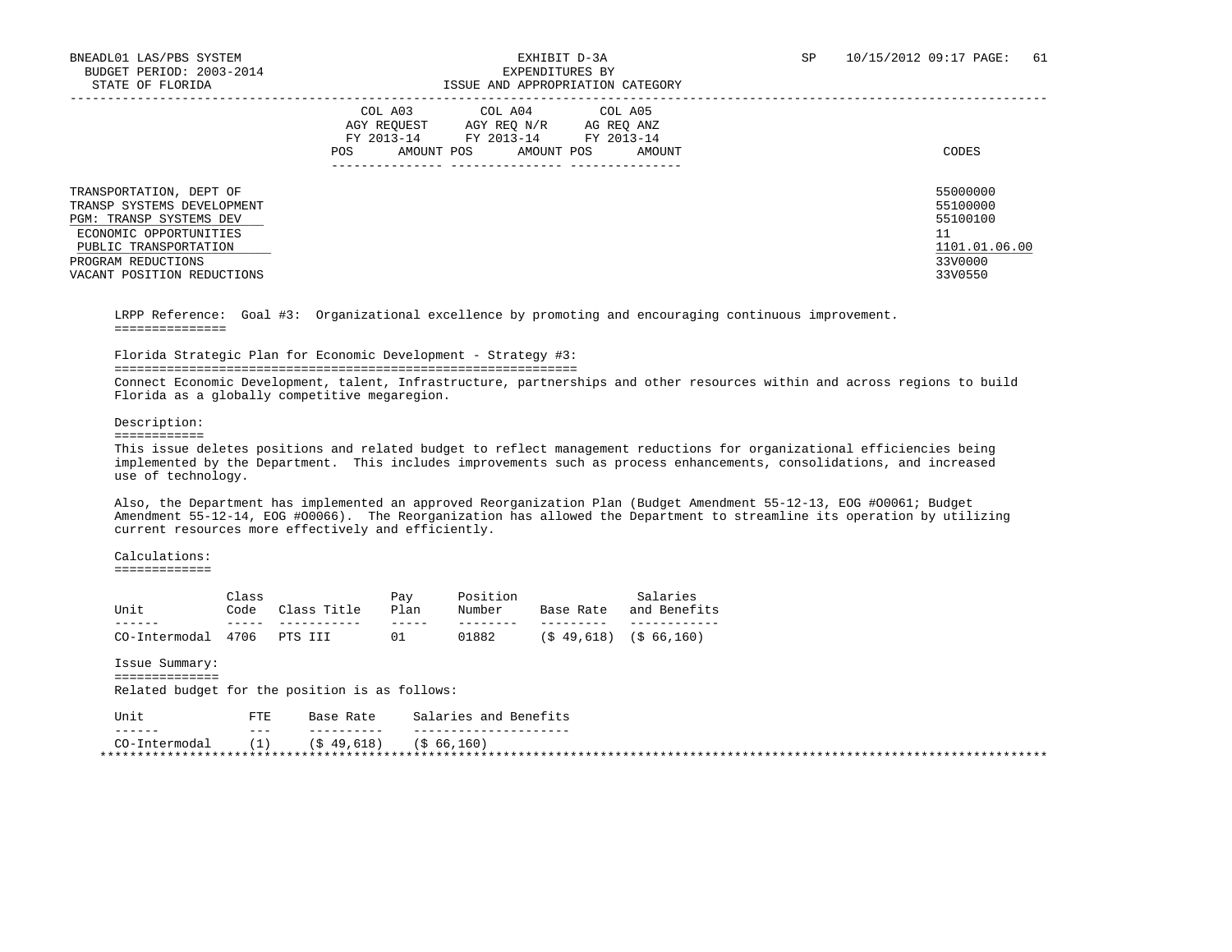|                                                                                                                                     | COL A03<br>COL A04<br>COL A05<br>AGY REOUEST<br>AGY REO N/R<br>AG REO ANZ<br>FY 2013-14<br>FY 2013-14<br>FY 2013-14<br>AMOUNT POS<br>AMOUNT POS<br>POS.<br>AMOUNT | CODES                                             |
|-------------------------------------------------------------------------------------------------------------------------------------|-------------------------------------------------------------------------------------------------------------------------------------------------------------------|---------------------------------------------------|
| TRANSPORTATION, DEPT OF<br>TRANSP SYSTEMS DEVELOPMENT<br>PGM: TRANSP SYSTEMS DEV<br>ECONOMIC OPPORTUNITIES<br>PUBLIC TRANSPORTATION |                                                                                                                                                                   | 55000000<br>55100000<br>55100100<br>1101.01.06.00 |
| PROGRAM REDUCTIONS<br>VACANT POSITION REDUCTIONS                                                                                    |                                                                                                                                                                   | 33V0000<br>33V0550                                |

 LRPP Reference: Goal #3: Organizational excellence by promoting and encouraging continuous improvement. ===============

### Florida Strategic Plan for Economic Development - Strategy #3:

==============================================================

 Connect Economic Development, talent, Infrastructure, partnerships and other resources within and across regions to build Florida as a globally competitive megaregion.

#### Description:

============

 This issue deletes positions and related budget to reflect management reductions for organizational efficiencies being implemented by the Department. This includes improvements such as process enhancements, consolidations, and increased use of technology.

 Also, the Department has implemented an approved Reorganization Plan (Budget Amendment 55-12-13, EOG #O0061; Budget Amendment 55-12-14, EOG #O0066). The Reorganization has allowed the Department to streamline its operation by utilizing current resources more effectively and efficiently.

### Calculations:

=============

| Unit                      | Class<br>Code | Class Title | Pay<br>Plan | Position<br>Number | Base Rate | Salaries<br>and Benefits |
|---------------------------|---------------|-------------|-------------|--------------------|-----------|--------------------------|
|                           |               |             |             |                    |           |                          |
| CO-Intermodal 4706 PTSIII |               |             |             | 01882              |           | $(S49,618)$ $(S6,160)$   |

Issue Summary:

 ============== Related budget for the position is as follows:

| Unit          | 모모모<br>ىر م | Base Rate   | Salaries and Benefits |
|---------------|-------------|-------------|-----------------------|
| ______        | $- - -$     | ----------  | ------                |
| CO-Intermodal | . 1         | (S 49, 618) | (\$ 66,160)           |
|               |             |             |                       |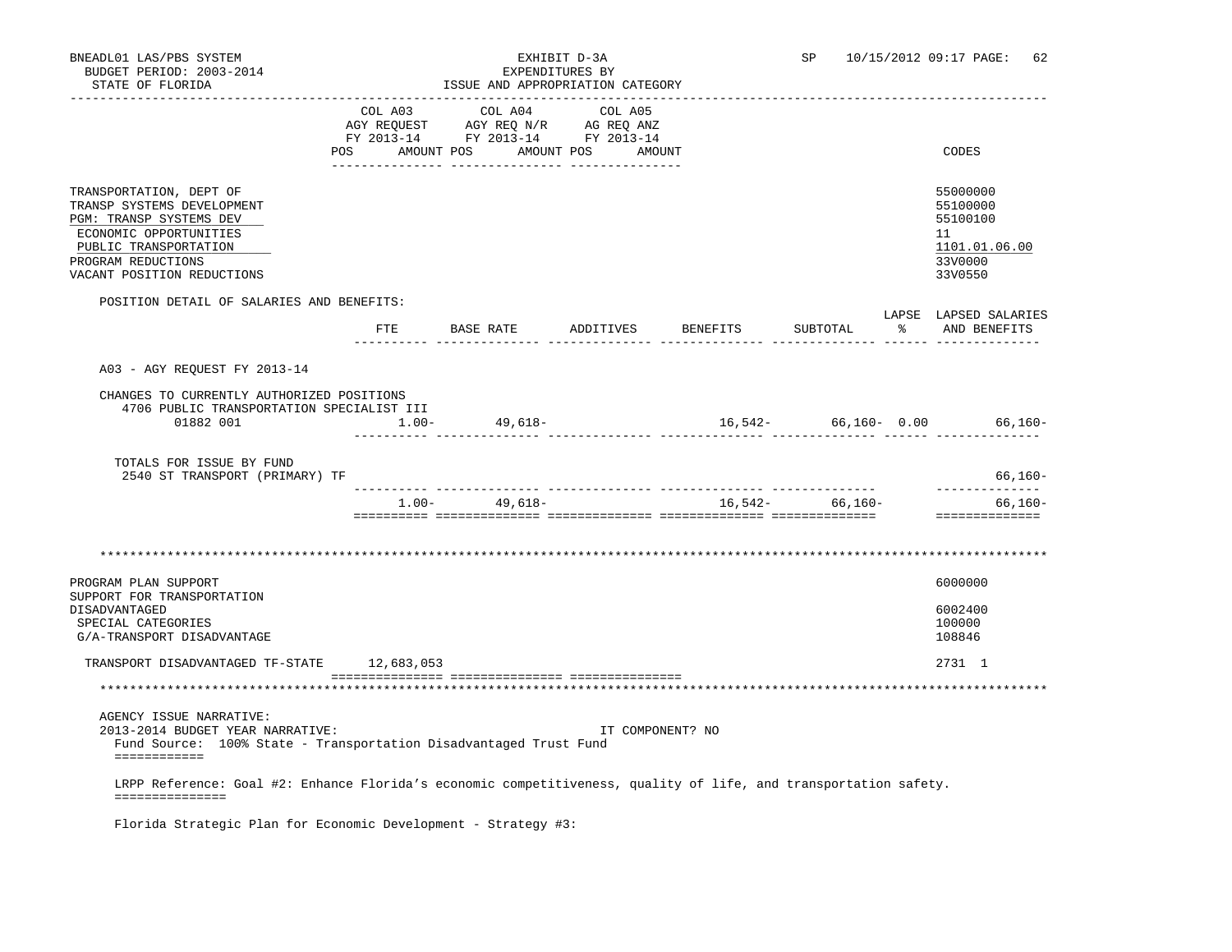| BNEADL01 LAS/PBS SYSTEM<br>BUDGET PERIOD: 2003-2014<br>STATE OF FLORIDA                                                                                                                 |          |                   | EXHIBIT D-3A<br>EXPENDITURES BY<br>ISSUE AND APPROPRIATION CATEGORY                                                   |                    | SP                | 10/15/2012 09:17 PAGE:                                                        | 62        |
|-----------------------------------------------------------------------------------------------------------------------------------------------------------------------------------------|----------|-------------------|-----------------------------------------------------------------------------------------------------------------------|--------------------|-------------------|-------------------------------------------------------------------------------|-----------|
|                                                                                                                                                                                         |          | COL A03 COL A04   | COL A05<br>AGY REQUEST AGY REQ N/R AG REQ ANZ<br>FY 2013-14 FY 2013-14 FY 2013-14<br>POS AMOUNT POS AMOUNT POS AMOUNT |                    |                   | CODES                                                                         |           |
| TRANSPORTATION, DEPT OF<br>TRANSP SYSTEMS DEVELOPMENT<br>PGM: TRANSP SYSTEMS DEV<br>ECONOMIC OPPORTUNITIES<br>PUBLIC TRANSPORTATION<br>PROGRAM REDUCTIONS<br>VACANT POSITION REDUCTIONS |          |                   |                                                                                                                       |                    |                   | 55000000<br>55100000<br>55100100<br>11<br>1101.01.06.00<br>33V0000<br>33V0550 |           |
| POSITION DETAIL OF SALARIES AND BENEFITS:                                                                                                                                               | FTE      | BASE RATE         |                                                                                                                       | ADDITIVES BENEFITS | SUBTOTAL          | LAPSE LAPSED SALARIES<br>% AND BENEFITS                                       |           |
| A03 - AGY REOUEST FY 2013-14<br>CHANGES TO CURRENTLY AUTHORIZED POSITIONS<br>4706 PUBLIC TRANSPORTATION SPECIALIST III<br>01882 001                                                     | $1.00 -$ | 49,618-           |                                                                                                                       |                    |                   | $16,542-$ 66,160- 0.00 66,160-                                                |           |
| TOTALS FOR ISSUE BY FUND<br>2540 ST TRANSPORT (PRIMARY) TF                                                                                                                              |          |                   |                                                                                                                       |                    |                   |                                                                               | 66,160-   |
|                                                                                                                                                                                         |          | $1.00 - 49.618 -$ |                                                                                                                       |                    | $16,542-$ 66,160- | --------------                                                                | $66,160-$ |
|                                                                                                                                                                                         |          |                   |                                                                                                                       |                    |                   |                                                                               |           |
| PROGRAM PLAN SUPPORT<br>SUPPORT FOR TRANSPORTATION<br>DISADVANTAGED<br>SPECIAL CATEGORIES<br>G/A-TRANSPORT DISADVANTAGE                                                                 |          |                   |                                                                                                                       |                    |                   | 6000000<br>6002400<br>100000<br>108846                                        |           |
| TRANSPORT DISADVANTAGED TF-STATE 12,683,053                                                                                                                                             |          |                   |                                                                                                                       |                    |                   | 2731 1                                                                        |           |
|                                                                                                                                                                                         |          |                   |                                                                                                                       |                    |                   |                                                                               |           |

AGENCY ISSUE NARRATIVE:

 2013-2014 BUDGET YEAR NARRATIVE: IT COMPONENT? NO Fund Source: 100% State - Transportation Disadvantaged Trust Fund ============

 LRPP Reference: Goal #2: Enhance Florida's economic competitiveness, quality of life, and transportation safety. ===============

Florida Strategic Plan for Economic Development - Strategy #3: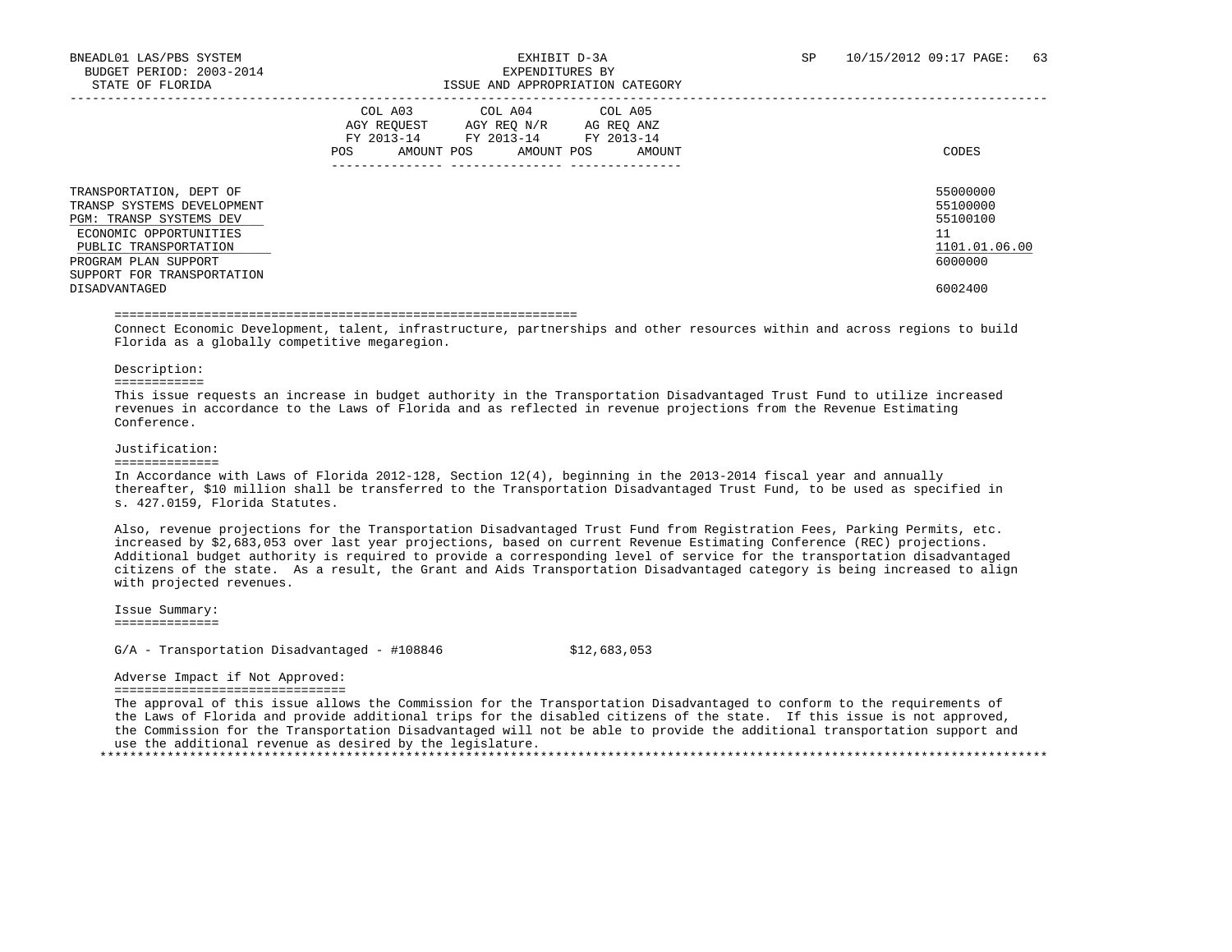|                                                                                                                                                                                                            | COL A03<br>COL A04<br>COL A05<br>AGY REOUEST<br>AGY REO N/R<br>AG REO ANZ<br>FY 2013-14<br>FY 2013-14<br>FY 2013-14<br>AMOUNT POS<br>AMOUNT POS<br>AMOUNT<br>POS.<br>---------------<br>--------------- | CODES                                                                         |
|------------------------------------------------------------------------------------------------------------------------------------------------------------------------------------------------------------|---------------------------------------------------------------------------------------------------------------------------------------------------------------------------------------------------------|-------------------------------------------------------------------------------|
| TRANSPORTATION, DEPT OF<br>TRANSP SYSTEMS DEVELOPMENT<br>PGM: TRANSP SYSTEMS DEV<br>ECONOMIC OPPORTUNITIES<br>PUBLIC TRANSPORTATION<br>PROGRAM PLAN SUPPORT<br>SUPPORT FOR TRANSPORTATION<br>DISADVANTAGED |                                                                                                                                                                                                         | 55000000<br>55100000<br>55100100<br>11<br>1101.01.06.00<br>6000000<br>6002400 |

#### ==============================================================

 Connect Economic Development, talent, infrastructure, partnerships and other resources within and across regions to build Florida as a globally competitive megaregion.

#### Description:

============

 This issue requests an increase in budget authority in the Transportation Disadvantaged Trust Fund to utilize increased revenues in accordance to the Laws of Florida and as reflected in revenue projections from the Revenue Estimating Conference.

#### Justification:

#### ==============

 In Accordance with Laws of Florida 2012-128, Section 12(4), beginning in the 2013-2014 fiscal year and annually thereafter, \$10 million shall be transferred to the Transportation Disadvantaged Trust Fund, to be used as specified in s. 427.0159, Florida Statutes.

 Also, revenue projections for the Transportation Disadvantaged Trust Fund from Registration Fees, Parking Permits, etc. increased by \$2,683,053 over last year projections, based on current Revenue Estimating Conference (REC) projections. Additional budget authority is required to provide a corresponding level of service for the transportation disadvantaged citizens of the state. As a result, the Grant and Aids Transportation Disadvantaged category is being increased to align with projected revenues.

 Issue Summary: ==============

 $G/A$  - Transportation Disadvantaged - #108846  $$12,683,053$ 

### Adverse Impact if Not Approved:

===============================

 The approval of this issue allows the Commission for the Transportation Disadvantaged to conform to the requirements of the Laws of Florida and provide additional trips for the disabled citizens of the state. If this issue is not approved, the Commission for the Transportation Disadvantaged will not be able to provide the additional transportation support and use the additional revenue as desired by the legislature. \*\*\*\*\*\*\*\*\*\*\*\*\*\*\*\*\*\*\*\*\*\*\*\*\*\*\*\*\*\*\*\*\*\*\*\*\*\*\*\*\*\*\*\*\*\*\*\*\*\*\*\*\*\*\*\*\*\*\*\*\*\*\*\*\*\*\*\*\*\*\*\*\*\*\*\*\*\*\*\*\*\*\*\*\*\*\*\*\*\*\*\*\*\*\*\*\*\*\*\*\*\*\*\*\*\*\*\*\*\*\*\*\*\*\*\*\*\*\*\*\*\*\*\*\*\*\*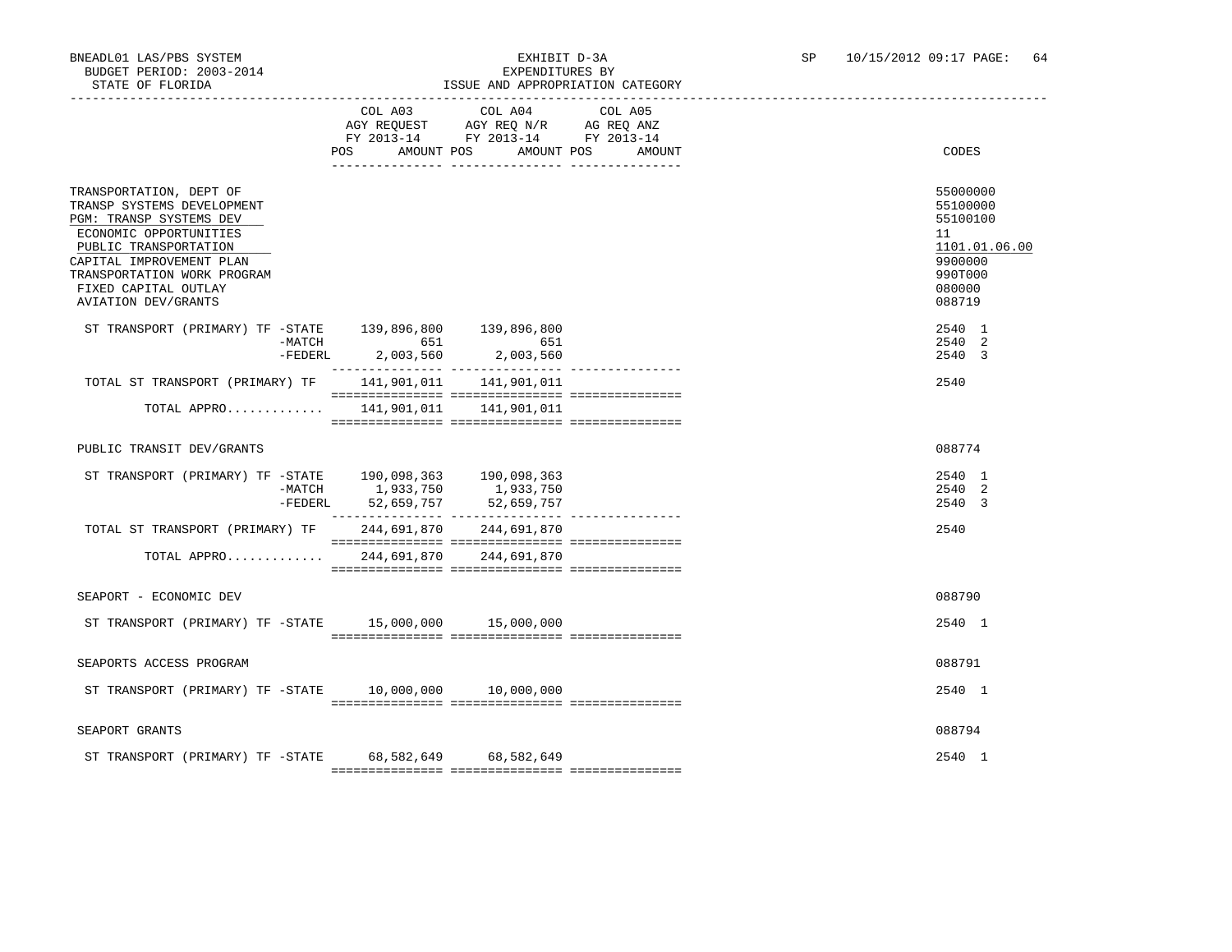### BNEADL01 LAS/PBS SYSTEM EXHIBIT D-3A SP 10/15/2012 09:17 PAGE: 64<br>BUDGET PERIOD: 2003-2014 SEXPENDITIERS BY ISSUE AND APPROPRIATION CATEGORY

|                                                                                                                                                                                                                                                      | COL A03<br>AMOUNT POS<br><b>POS</b>          | COL A04 COL A05<br>AGY REQUEST AGY REQ N/R AG REQ ANZ<br>FY 2013-14 FY 2013-14 FY 2013-14 | AMOUNT POS<br>AMOUNT | CODES                                                                                             |
|------------------------------------------------------------------------------------------------------------------------------------------------------------------------------------------------------------------------------------------------------|----------------------------------------------|-------------------------------------------------------------------------------------------|----------------------|---------------------------------------------------------------------------------------------------|
| TRANSPORTATION, DEPT OF<br>TRANSP SYSTEMS DEVELOPMENT<br>PGM: TRANSP SYSTEMS DEV<br>ECONOMIC OPPORTUNITIES<br>PUBLIC TRANSPORTATION<br>CAPITAL IMPROVEMENT PLAN<br>TRANSPORTATION WORK PROGRAM<br>FIXED CAPITAL OUTLAY<br><b>AVIATION DEV/GRANTS</b> |                                              |                                                                                           |                      | 55000000<br>55100000<br>55100100<br>11<br>1101.01.06.00<br>9900000<br>990T000<br>080000<br>088719 |
| ST TRANSPORT (PRIMARY) TF -STATE 139,896,800 139,896,800                                                                                                                                                                                             | -MATCH 651<br>$-$ FEDERL 2,003,560 2,003,560 | 651                                                                                       |                      | 2540 1<br>2540 2<br>2540 3                                                                        |
| TOTAL ST TRANSPORT (PRIMARY) TF 141,901,011 141,901,011                                                                                                                                                                                              |                                              |                                                                                           |                      | 2540                                                                                              |
| TOTAL APPRO 141,901,011 141,901,011                                                                                                                                                                                                                  |                                              |                                                                                           |                      |                                                                                                   |
| PUBLIC TRANSIT DEV/GRANTS                                                                                                                                                                                                                            |                                              |                                                                                           |                      | 088774                                                                                            |
| ST TRANSPORT (PRIMARY) TF -STATE 190,098,363 190,098,363<br>-MATCH 1,933,750 1,933,750                                                                                                                                                               | -FEDERL 52,659,757                           | 52,659,757                                                                                |                      | 2540 1<br>2540 2<br>2540 3                                                                        |
| TOTAL ST TRANSPORT (PRIMARY) TF 244,691,870 244,691,870                                                                                                                                                                                              |                                              |                                                                                           |                      | 2540                                                                                              |
| TOTAL APPRO                                                                                                                                                                                                                                          |                                              | 244,691,870 244,691,870                                                                   |                      |                                                                                                   |
| SEAPORT - ECONOMIC DEV                                                                                                                                                                                                                               |                                              |                                                                                           |                      | 088790                                                                                            |
| ST TRANSPORT (PRIMARY) TF -STATE 15,000,000 15,000,000                                                                                                                                                                                               |                                              |                                                                                           |                      | 2540 1                                                                                            |
| SEAPORTS ACCESS PROGRAM                                                                                                                                                                                                                              |                                              |                                                                                           |                      | 088791                                                                                            |
| ST TRANSPORT (PRIMARY) TF -STATE 10,000,000 10,000,000                                                                                                                                                                                               |                                              |                                                                                           |                      | 2540 1                                                                                            |
| SEAPORT GRANTS                                                                                                                                                                                                                                       |                                              |                                                                                           |                      | 088794                                                                                            |
| ST TRANSPORT (PRIMARY) TF -STATE 68,582,649 68,582,649                                                                                                                                                                                               |                                              |                                                                                           |                      | 2540 1                                                                                            |
|                                                                                                                                                                                                                                                      |                                              |                                                                                           |                      |                                                                                                   |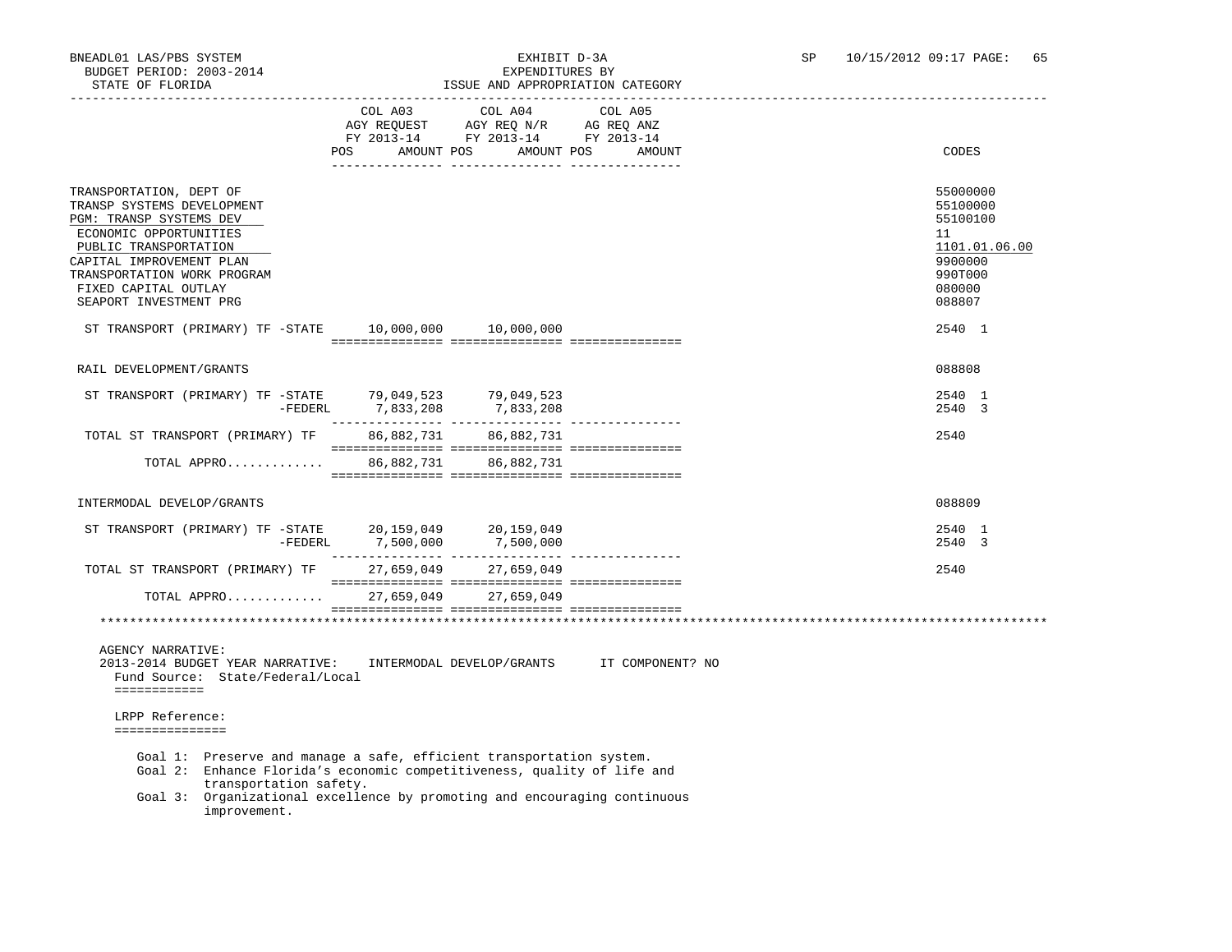## STATE OF FLORIDA ISSUE AND APPROPRIATION CATEGORY

|                                                                                                                                                                                                                                                                        |                             | ISSUE AND APPROPRIATION CAIEGORY                                                                                   |                                            |                                                                                                   |
|------------------------------------------------------------------------------------------------------------------------------------------------------------------------------------------------------------------------------------------------------------------------|-----------------------------|--------------------------------------------------------------------------------------------------------------------|--------------------------------------------|---------------------------------------------------------------------------------------------------|
|                                                                                                                                                                                                                                                                        | POS                         | COL A03 COL A04<br>AGY REQUEST AGY REQ N/R AG REQ ANZ<br>FY 2013-14 FY 2013-14 FY 2013-14<br>AMOUNT POS AMOUNT POS | COL A05<br>AMOUNT                          | CODES                                                                                             |
| TRANSPORTATION, DEPT OF<br>TRANSP SYSTEMS DEVELOPMENT<br>PGM: TRANSP SYSTEMS DEV<br>ECONOMIC OPPORTUNITIES<br>PUBLIC TRANSPORTATION<br>CAPITAL IMPROVEMENT PLAN<br>TRANSPORTATION WORK PROGRAM<br>FIXED CAPITAL OUTLAY<br>SEAPORT INVESTMENT PRG                       |                             |                                                                                                                    |                                            | 55000000<br>55100000<br>55100100<br>11<br>1101.01.06.00<br>9900000<br>990T000<br>080000<br>088807 |
| ST TRANSPORT (PRIMARY) TF -STATE 10,000,000 10,000,000                                                                                                                                                                                                                 |                             |                                                                                                                    |                                            | 2540 1                                                                                            |
| RAIL DEVELOPMENT/GRANTS                                                                                                                                                                                                                                                |                             |                                                                                                                    |                                            | 088808                                                                                            |
| ST TRANSPORT (PRIMARY) TF -STATE 79,049,523 79,049,523                                                                                                                                                                                                                 | -FEDERL 7,833,208 7,833,208 |                                                                                                                    |                                            | 2540 1<br>2540 3                                                                                  |
| TOTAL ST TRANSPORT (PRIMARY) TF 86,882,731 86,882,731                                                                                                                                                                                                                  |                             |                                                                                                                    |                                            | 2540                                                                                              |
| TOTAL APPRO 86,882,731 86,882,731                                                                                                                                                                                                                                      |                             |                                                                                                                    |                                            |                                                                                                   |
| INTERMODAL DEVELOP/GRANTS                                                                                                                                                                                                                                              |                             |                                                                                                                    |                                            | 088809                                                                                            |
| ST TRANSPORT (PRIMARY) TF -STATE $20,159,049$ $20,159,049$                                                                                                                                                                                                             | -FEDERL 7,500,000           | 7,500,000                                                                                                          |                                            | 2540 1<br>2540 3                                                                                  |
| TOTAL ST TRANSPORT (PRIMARY) TF                                                                                                                                                                                                                                        |                             | 27,659,049 27,659,049                                                                                              |                                            | 2540                                                                                              |
| TOTAL APPRO 27,659,049 27,659,049                                                                                                                                                                                                                                      |                             |                                                                                                                    |                                            |                                                                                                   |
|                                                                                                                                                                                                                                                                        |                             |                                                                                                                    |                                            |                                                                                                   |
| <b>AGENCY NARRATIVE:</b><br>2013-2014 BUDGET YEAR NARRATIVE:<br>Fund Source: State/Federal/Local<br>============                                                                                                                                                       |                             |                                                                                                                    | INTERMODAL DEVELOP/GRANTS IT COMPONENT? NO |                                                                                                   |
| LRPP Reference:<br>===============                                                                                                                                                                                                                                     |                             |                                                                                                                    |                                            |                                                                                                   |
| Goal 1: Preserve and manage a safe, efficient transportation system.<br>Goal 2: Enhance Florida's economic competitiveness, quality of life and<br>transportation safety.<br>Goal 3: Organizational excellence by promoting and encouraging continuous<br>improvement. |                             |                                                                                                                    |                                            |                                                                                                   |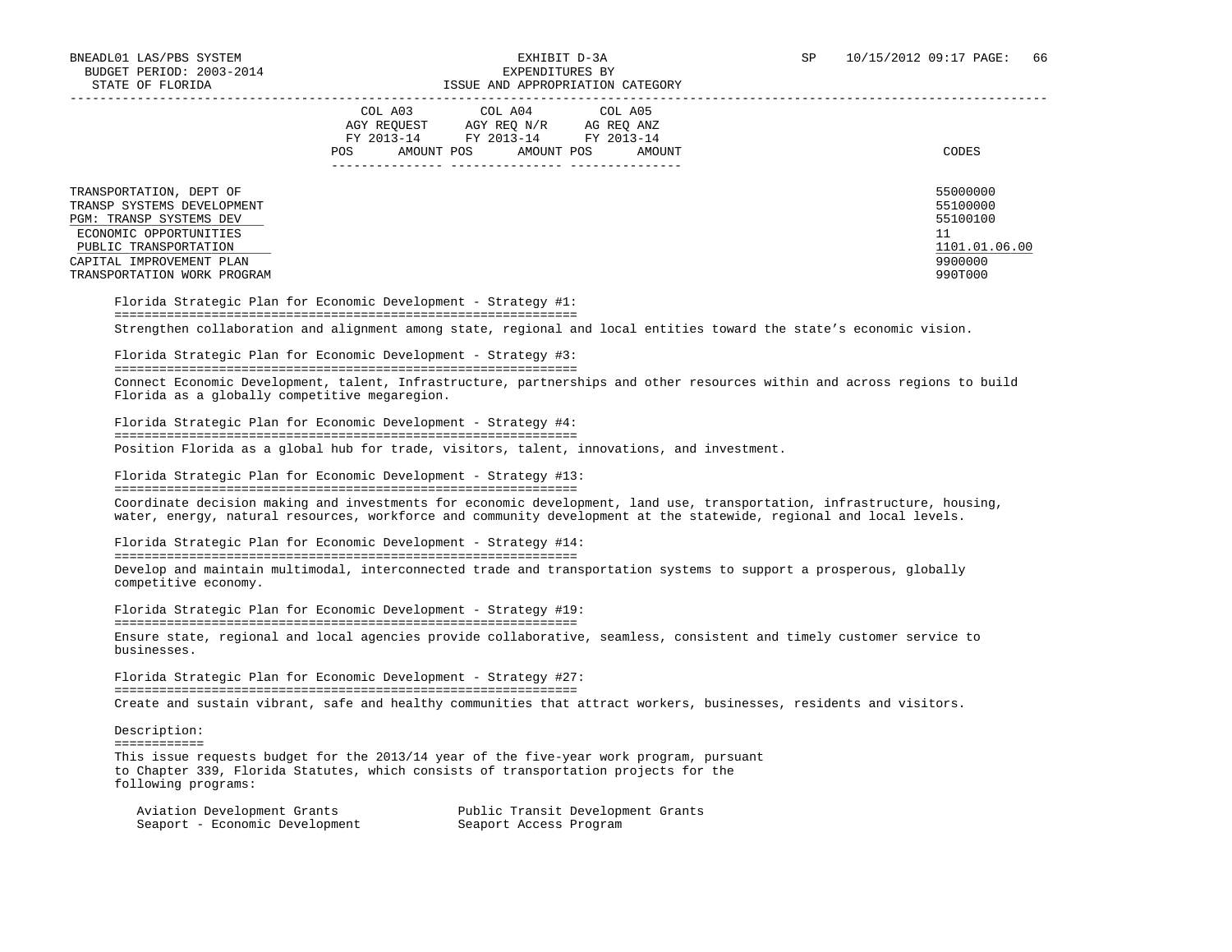|                                                                                                            | COL A04<br>COL A05<br>COL A03<br>AGY REQ N/R<br>AGY REOUEST<br>AG REO ANZ<br>FY 2013-14<br>FY 2013-14 FY 2013-14<br>POS.<br>AMOUNT POS<br>AMOUNT POS<br>AMOUNT | CODES                                  |
|------------------------------------------------------------------------------------------------------------|----------------------------------------------------------------------------------------------------------------------------------------------------------------|----------------------------------------|
| TRANSPORTATION, DEPT OF<br>TRANSP SYSTEMS DEVELOPMENT<br>PGM: TRANSP SYSTEMS DEV<br>ECONOMIC OPPORTUNITIES |                                                                                                                                                                | 55000000<br>55100000<br>55100100<br>11 |
| PUBLIC TRANSPORTATION<br>CAPITAL IMPROVEMENT PLAN<br>TRANSPORTATION WORK PROGRAM                           |                                                                                                                                                                | 1101.01.06.00<br>9900000<br>990T000    |

 Florida Strategic Plan for Economic Development - Strategy #1: ============================================================== Strengthen collaboration and alignment among state, regional and local entities toward the state's economic vision.

 Florida Strategic Plan for Economic Development - Strategy #3: ============================================================== Connect Economic Development, talent, Infrastructure, partnerships and other resources within and across regions to build Florida as a globally competitive megaregion.

 Florida Strategic Plan for Economic Development - Strategy #4: ============================================================== Position Florida as a global hub for trade, visitors, talent, innovations, and investment.

 Florida Strategic Plan for Economic Development - Strategy #13: ============================================================== Coordinate decision making and investments for economic development, land use, transportation, infrastructure, housing, water, energy, natural resources, workforce and community development at the statewide, regional and local levels.

 Florida Strategic Plan for Economic Development - Strategy #14: ============================================================== Develop and maintain multimodal, interconnected trade and transportation systems to support a prosperous, globally competitive economy.

 Florida Strategic Plan for Economic Development - Strategy #19: ============================================================== Ensure state, regional and local agencies provide collaborative, seamless, consistent and timely customer service to businesses.

 Florida Strategic Plan for Economic Development - Strategy #27: ============================================================== Create and sustain vibrant, safe and healthy communities that attract workers, businesses, residents and visitors.

 Description: ============

 This issue requests budget for the 2013/14 year of the five-year work program, pursuant to Chapter 339, Florida Statutes, which consists of transportation projects for the following programs:

| Aviation Development Grants    | Public Transit Development Grants |
|--------------------------------|-----------------------------------|
| Seaport - Economic Development | Seaport Access Program            |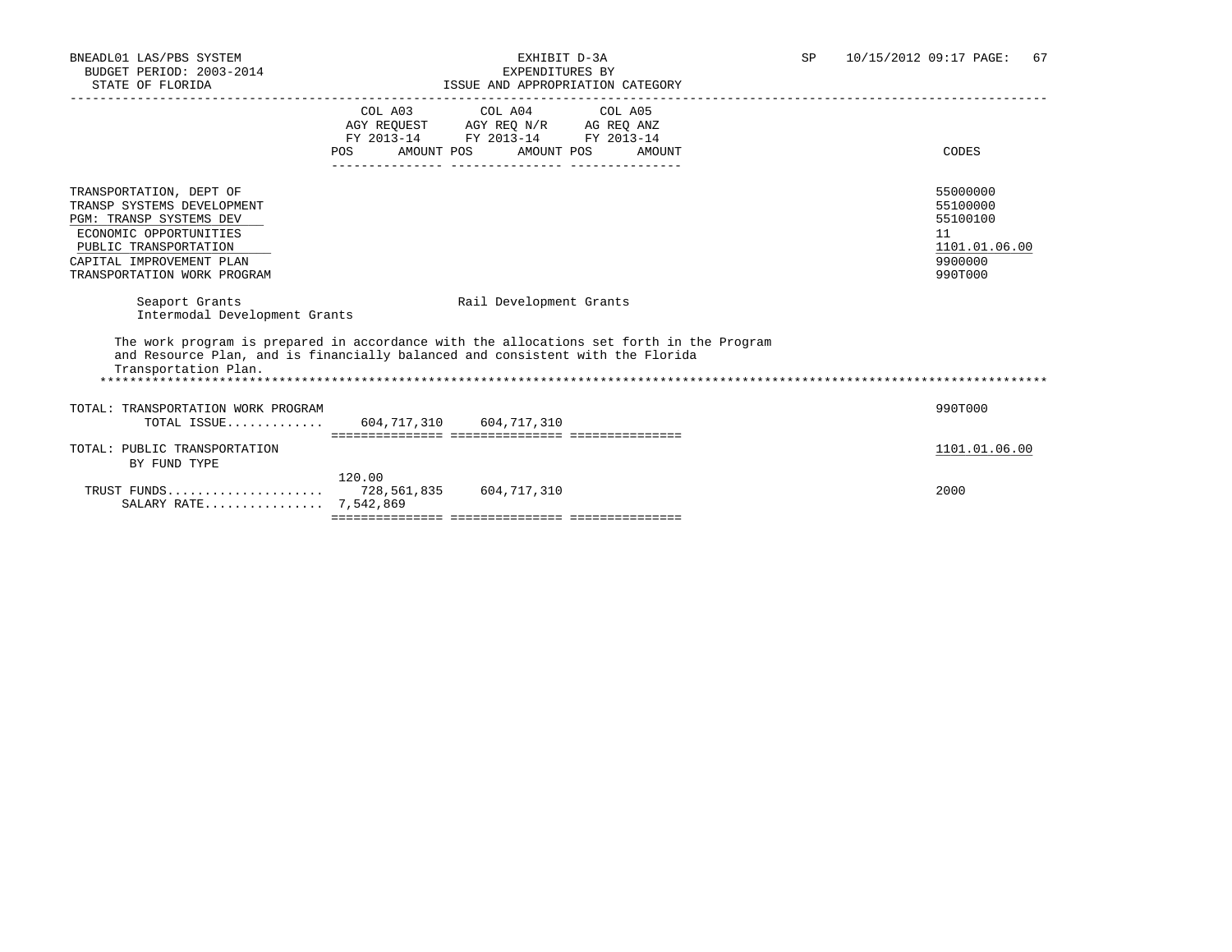| DIAID OF FUORIDA                                                                                                                                                                                      |                                                     | LOOUS AND AFFROFRIATION CAISGORI                                                                                                                                           |                                                                               |
|-------------------------------------------------------------------------------------------------------------------------------------------------------------------------------------------------------|-----------------------------------------------------|----------------------------------------------------------------------------------------------------------------------------------------------------------------------------|-------------------------------------------------------------------------------|
|                                                                                                                                                                                                       | <b>POS</b><br>_____________________________________ | COL A03 COL A04 COL A05<br>AGY REQUEST AGY REQ N/R AG REQ ANZ<br>FY 2013-14 FY 2013-14 FY 2013-14<br>AMOUNT POS AMOUNT POS AMOUNT                                          | CODES                                                                         |
| TRANSPORTATION, DEPT OF<br>TRANSP SYSTEMS DEVELOPMENT<br><b>PGM: TRANSP SYSTEMS DEV</b><br>ECONOMIC OPPORTUNITIES<br>PUBLIC TRANSPORTATION<br>CAPITAL IMPROVEMENT PLAN<br>TRANSPORTATION WORK PROGRAM |                                                     |                                                                                                                                                                            | 55000000<br>55100000<br>55100100<br>11<br>1101.01.06.00<br>9900000<br>990T000 |
| Seaport Grants<br>Intermodal Development Grants                                                                                                                                                       |                                                     | Rail Development Grants                                                                                                                                                    |                                                                               |
| Transportation Plan.                                                                                                                                                                                  |                                                     | The work program is prepared in accordance with the allocations set forth in the Program<br>and Resource Plan, and is financially balanced and consistent with the Florida |                                                                               |
| TOTAL: TRANSPORTATION WORK PROGRAM<br>TOTAL ISSUE $604.717.310$ $604.717.310$                                                                                                                         |                                                     |                                                                                                                                                                            | 990T000                                                                       |
| TOTAL: PUBLIC TRANSPORTATION<br>BY FUND TYPE                                                                                                                                                          |                                                     |                                                                                                                                                                            | 1101.01.06.00                                                                 |
| SALARY RATE 7,542,869                                                                                                                                                                                 | 120.00                                              |                                                                                                                                                                            | 2000                                                                          |
|                                                                                                                                                                                                       |                                                     |                                                                                                                                                                            |                                                                               |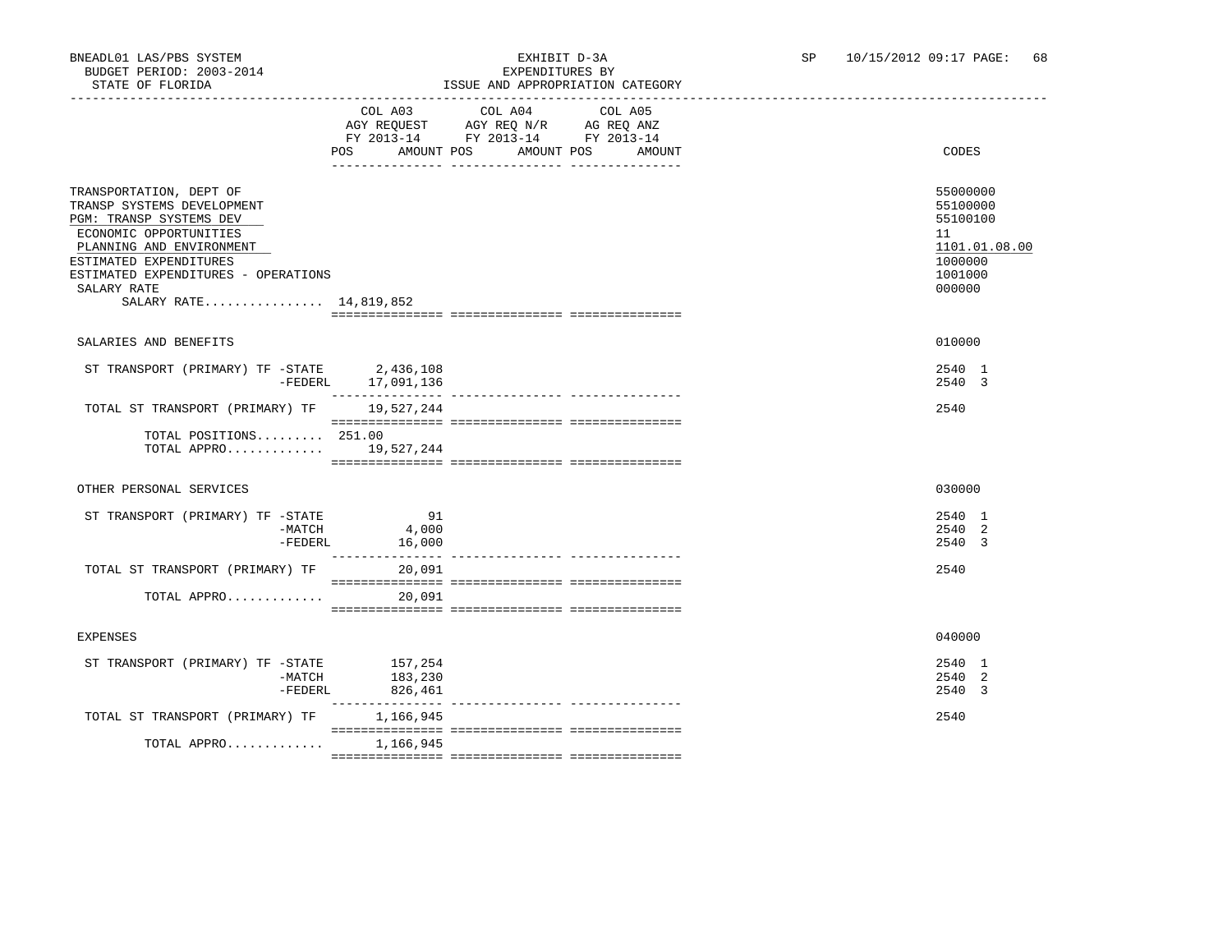### BNEADL01 LAS/PBS SYSTEM EXHIBIT D-3A SP 10/15/2012 09:17 PAGE: 68 ISSUE AND APPROPRIATION CATEGORY

|                                                                                                                                                                                                                                                  | COL A03<br>POS        | COL A04<br>AGY REQUEST AGY REQ N/R AG REQ ANZ<br>FY 2013-14 FY 2013-14 FY 2013-14<br>AMOUNT POS AMOUNT POS | COL A05<br>AMOUNT | CODES                                                                                   |
|--------------------------------------------------------------------------------------------------------------------------------------------------------------------------------------------------------------------------------------------------|-----------------------|------------------------------------------------------------------------------------------------------------|-------------------|-----------------------------------------------------------------------------------------|
| TRANSPORTATION, DEPT OF<br>TRANSP SYSTEMS DEVELOPMENT<br>PGM: TRANSP SYSTEMS DEV<br>ECONOMIC OPPORTUNITIES<br>PLANNING AND ENVIRONMENT<br>ESTIMATED EXPENDITURES<br>ESTIMATED EXPENDITURES - OPERATIONS<br>SALARY RATE<br>SALARY RATE 14,819,852 |                       |                                                                                                            |                   | 55000000<br>55100000<br>55100100<br>11<br>1101.01.08.00<br>1000000<br>1001000<br>000000 |
| SALARIES AND BENEFITS                                                                                                                                                                                                                            |                       |                                                                                                            |                   | 010000                                                                                  |
| $\begin{tabular}{lllll} \it ST\_TRANSPORT & (PRIMARY) & TF & -STATE & & 2,436,108 \\ & -FEDERL & & 17,091,136 \end{tabular}$                                                                                                                     |                       |                                                                                                            |                   | 2540 1<br>2540 3                                                                        |
| TOTAL ST TRANSPORT (PRIMARY) TF                                                                                                                                                                                                                  | 19,527,244            |                                                                                                            |                   | 2540                                                                                    |
| TOTAL POSITIONS 251.00<br>TOTAL APPRO 19,527,244                                                                                                                                                                                                 |                       |                                                                                                            |                   |                                                                                         |
| OTHER PERSONAL SERVICES                                                                                                                                                                                                                          |                       |                                                                                                            |                   | 030000                                                                                  |
| ST TRANSPORT (PRIMARY) TF -STATE<br>$-MATCH$<br>-FEDERL                                                                                                                                                                                          | 91<br>4,000<br>16,000 |                                                                                                            |                   | 2540 1<br>2540 2<br>2540 3                                                              |
| TOTAL ST TRANSPORT (PRIMARY) TF                                                                                                                                                                                                                  | 20,091                |                                                                                                            |                   | 2540                                                                                    |
| TOTAL APPRO                                                                                                                                                                                                                                      | 20,091                |                                                                                                            |                   |                                                                                         |
| <b>EXPENSES</b>                                                                                                                                                                                                                                  |                       |                                                                                                            |                   | 040000                                                                                  |
| ST TRANSPORT (PRIMARY) TF -STATE 157,254<br>-MATCH<br>-FEDERL                                                                                                                                                                                    | 183,230<br>826,461    |                                                                                                            |                   | 2540 1<br>2540 2<br>2540 3                                                              |
| TOTAL ST TRANSPORT (PRIMARY) TF                                                                                                                                                                                                                  | 1,166,945             |                                                                                                            |                   | 2540                                                                                    |
| TOTAL APPRO 1,166,945                                                                                                                                                                                                                            |                       |                                                                                                            |                   |                                                                                         |
|                                                                                                                                                                                                                                                  |                       |                                                                                                            |                   |                                                                                         |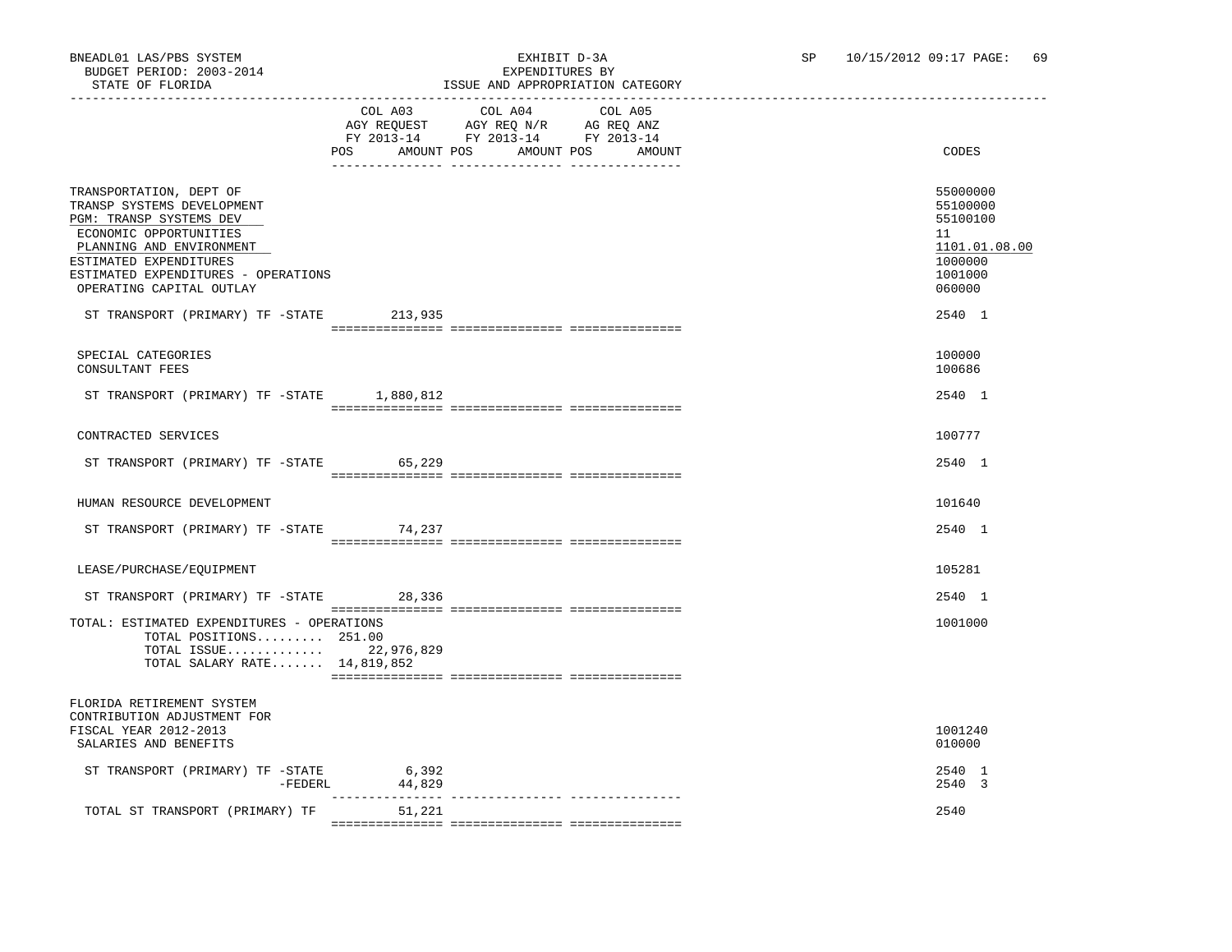### BNEADL01 LAS/PBS SYSTEM EXHIBIT D-3A SP 10/15/2012 09:17 PAGE: 69 ISSUE AND APPROPRIATION CATEGORY

|                                                                                                                                                                                                                                     | COL A03<br>AGY REQUEST AGY REQ N/R AG REQ ANZ<br>FY 2013-14 FY 2013-14 FY 2013-14<br>POS<br>AMOUNT POS | COL A04 | COL A05<br>AMOUNT POS<br>AMOUNT | CODES                                                                                   |
|-------------------------------------------------------------------------------------------------------------------------------------------------------------------------------------------------------------------------------------|--------------------------------------------------------------------------------------------------------|---------|---------------------------------|-----------------------------------------------------------------------------------------|
| TRANSPORTATION, DEPT OF<br>TRANSP SYSTEMS DEVELOPMENT<br>PGM: TRANSP SYSTEMS DEV<br>ECONOMIC OPPORTUNITIES<br>PLANNING AND ENVIRONMENT<br>ESTIMATED EXPENDITURES<br>ESTIMATED EXPENDITURES - OPERATIONS<br>OPERATING CAPITAL OUTLAY |                                                                                                        |         |                                 | 55000000<br>55100000<br>55100100<br>11<br>1101.01.08.00<br>1000000<br>1001000<br>060000 |
| ST TRANSPORT (PRIMARY) TF -STATE 213,935                                                                                                                                                                                            |                                                                                                        |         |                                 | 2540 1                                                                                  |
| SPECIAL CATEGORIES<br>CONSULTANT FEES                                                                                                                                                                                               |                                                                                                        |         |                                 | 100000<br>100686                                                                        |
| ST TRANSPORT (PRIMARY) TF -STATE 1,880,812                                                                                                                                                                                          |                                                                                                        |         |                                 | 2540 1                                                                                  |
| CONTRACTED SERVICES                                                                                                                                                                                                                 |                                                                                                        |         |                                 | 100777                                                                                  |
| ST TRANSPORT (PRIMARY) TF -STATE 65,229                                                                                                                                                                                             |                                                                                                        |         |                                 | 2540 1                                                                                  |
| HUMAN RESOURCE DEVELOPMENT                                                                                                                                                                                                          |                                                                                                        |         |                                 | 101640                                                                                  |
| ST TRANSPORT (PRIMARY) TF -STATE 74,237                                                                                                                                                                                             |                                                                                                        |         |                                 | 2540 1                                                                                  |
| LEASE/PURCHASE/EOUIPMENT                                                                                                                                                                                                            |                                                                                                        |         |                                 | 105281                                                                                  |
| ST TRANSPORT (PRIMARY) TF -STATE 28,336                                                                                                                                                                                             |                                                                                                        |         |                                 | 2540 1                                                                                  |
| TOTAL: ESTIMATED EXPENDITURES - OPERATIONS<br>TOTAL POSITIONS 251.00<br>TOTAL ISSUE 22,976,829<br>TOTAL SALARY RATE $14,819,852$                                                                                                    |                                                                                                        |         |                                 | 1001000                                                                                 |
| FLORIDA RETIREMENT SYSTEM<br>CONTRIBUTION ADJUSTMENT FOR<br>FISCAL YEAR 2012-2013<br>SALARIES AND BENEFITS                                                                                                                          |                                                                                                        |         |                                 | 1001240<br>010000                                                                       |
| ST TRANSPORT (PRIMARY) TF -STATE<br>-FEDERL                                                                                                                                                                                         | 6,392<br>44,829                                                                                        |         |                                 | 2540 1<br>2540 3                                                                        |
| TOTAL ST TRANSPORT (PRIMARY) TF                                                                                                                                                                                                     | 51,221                                                                                                 |         |                                 | 2540                                                                                    |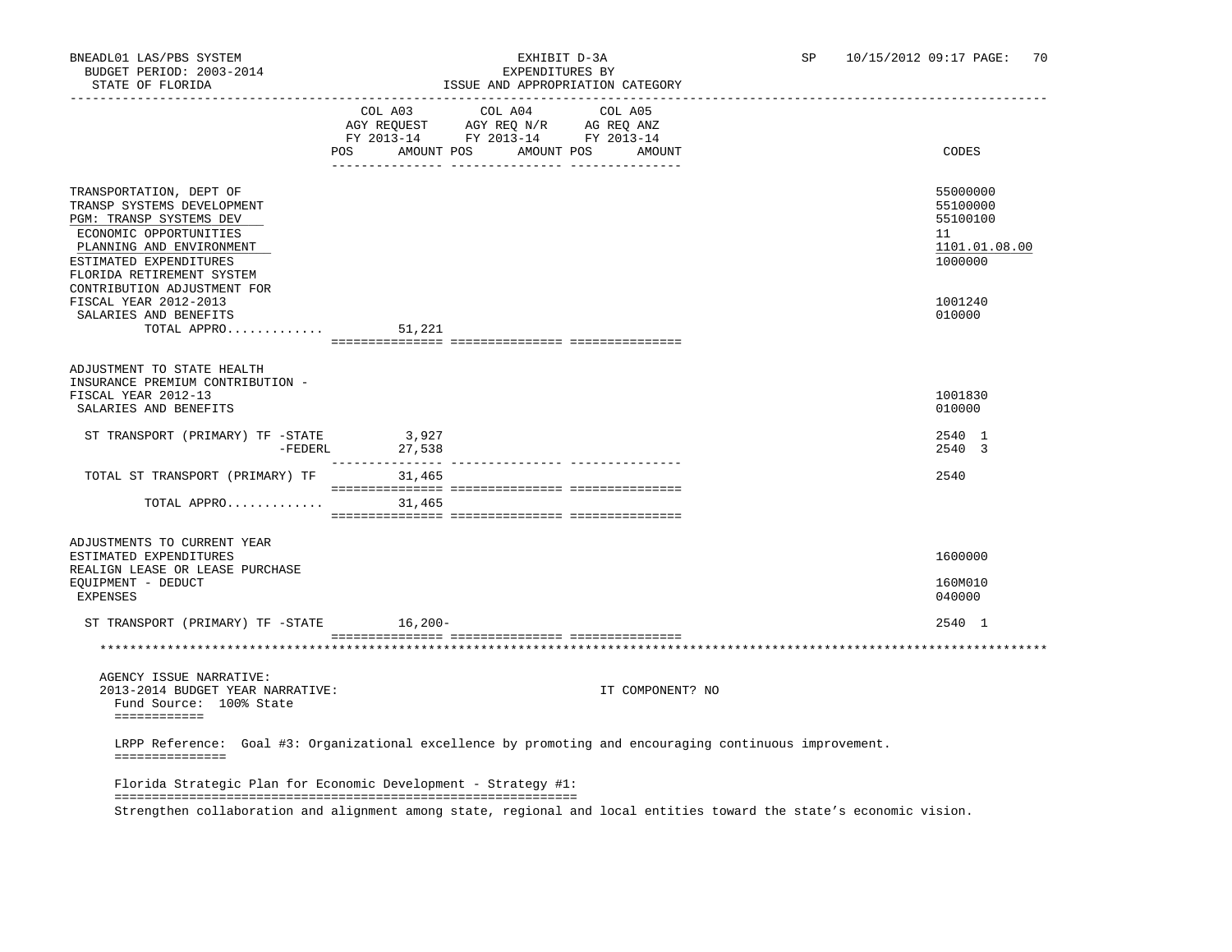|                                                                                                                                                                                               |                                                                                          | LSSUE AND APPROPRIAIION |                       |                  |                                                                    |
|-----------------------------------------------------------------------------------------------------------------------------------------------------------------------------------------------|------------------------------------------------------------------------------------------|-------------------------|-----------------------|------------------|--------------------------------------------------------------------|
|                                                                                                                                                                                               | AGY REQUEST AGY REQ N/R AG REQ ANZ<br>FY 2013-14 FY 2013-14 FY 2013-14<br>POS AMOUNT POS | COL A03 COL A04         | COL A05<br>AMOUNT POS | AMOUNT           | CODES                                                              |
| TRANSPORTATION, DEPT OF<br>TRANSP SYSTEMS DEVELOPMENT<br>PGM: TRANSP SYSTEMS DEV<br>ECONOMIC OPPORTUNITIES<br>PLANNING AND ENVIRONMENT<br>ESTIMATED EXPENDITURES<br>FLORIDA RETIREMENT SYSTEM |                                                                                          |                         |                       |                  | 55000000<br>55100000<br>55100100<br>11<br>1101.01.08.00<br>1000000 |
| CONTRIBUTION ADJUSTMENT FOR<br>FISCAL YEAR 2012-2013<br>SALARIES AND BENEFITS<br>TOTAL APPRO                                                                                                  | 51,221                                                                                   |                         |                       |                  | 1001240<br>010000                                                  |
| ADJUSTMENT TO STATE HEALTH                                                                                                                                                                    |                                                                                          |                         |                       |                  |                                                                    |
| INSURANCE PREMIUM CONTRIBUTION -<br>FISCAL YEAR 2012-13<br>SALARIES AND BENEFITS                                                                                                              |                                                                                          |                         |                       |                  | 1001830<br>010000                                                  |
| ST TRANSPORT (PRIMARY) TF -STATE                                                                                                                                                              | 3,927<br>-FEDERL 27,538                                                                  |                         |                       |                  | 2540 1<br>2540 3                                                   |
| TOTAL ST TRANSPORT (PRIMARY) TF                                                                                                                                                               | 31,465                                                                                   |                         |                       |                  | 2540                                                               |
| TOTAL APPRO                                                                                                                                                                                   | 31,465                                                                                   |                         |                       |                  |                                                                    |
| ADJUSTMENTS TO CURRENT YEAR                                                                                                                                                                   |                                                                                          |                         |                       |                  |                                                                    |
| ESTIMATED EXPENDITURES<br>REALIGN LEASE OR LEASE PURCHASE                                                                                                                                     |                                                                                          |                         |                       |                  | 1600000                                                            |
| EQUIPMENT - DEDUCT<br>EXPENSES                                                                                                                                                                |                                                                                          |                         |                       |                  | 160M010<br>040000                                                  |
| ST TRANSPORT (PRIMARY) TF -STATE 16,200-                                                                                                                                                      |                                                                                          |                         |                       |                  | 2540 1                                                             |
|                                                                                                                                                                                               |                                                                                          |                         |                       |                  |                                                                    |
| AGENCY ISSUE NARRATIVE:                                                                                                                                                                       |                                                                                          |                         |                       |                  |                                                                    |
| 2013-2014 BUDGET YEAR NARRATIVE:<br>Fund Source: 100% State<br>============                                                                                                                   |                                                                                          |                         |                       | IT COMPONENT? NO |                                                                    |
| LRPP Reference: Goal #3: Organizational excellence by promoting and encouraging continuous improvement.<br>===============                                                                    |                                                                                          |                         |                       |                  |                                                                    |
| Florida Strategic Plan for Economic Development - Strategy #1:                                                                                                                                |                                                                                          |                         |                       |                  |                                                                    |
| Strengthen collaboration and alignment among state, regional and local entities toward the state's economic vision.                                                                           |                                                                                          |                         |                       |                  |                                                                    |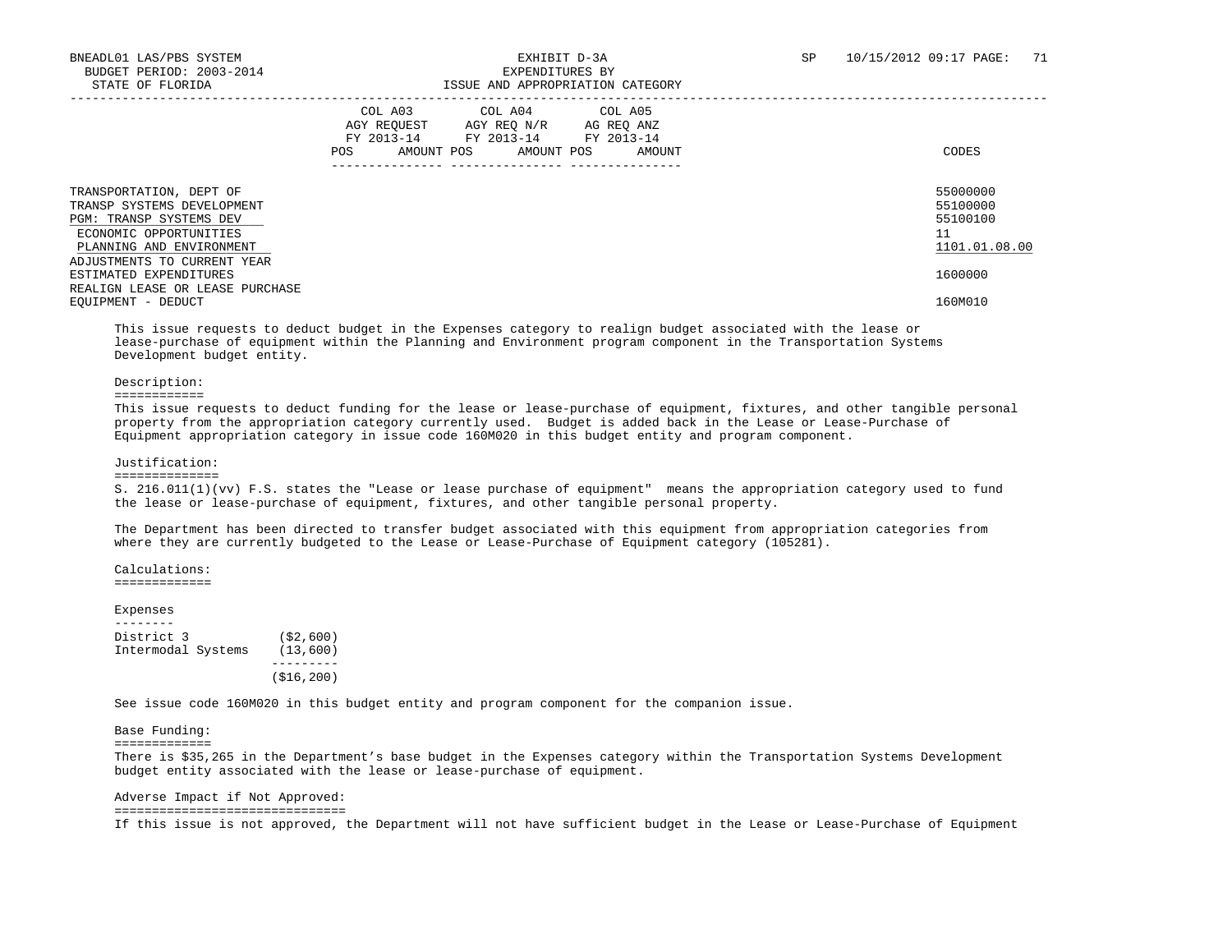|                                                                                                                                        | COL A03<br>COL A04<br>COL A05<br>AGY REOUEST<br>AGY REO N/R<br>AG REQ ANZ<br>FY 2013-14<br>FY 2013-14<br>FY 2013-14<br>POS.<br>AMOUNT POS<br>AMOUNT POS<br>AMOUNT | CODES                                                   |
|----------------------------------------------------------------------------------------------------------------------------------------|-------------------------------------------------------------------------------------------------------------------------------------------------------------------|---------------------------------------------------------|
| TRANSPORTATION, DEPT OF<br>TRANSP SYSTEMS DEVELOPMENT<br>PGM: TRANSP SYSTEMS DEV<br>ECONOMIC OPPORTUNITIES<br>PLANNING AND ENVIRONMENT |                                                                                                                                                                   | 55000000<br>55100000<br>55100100<br>11<br>1101.01.08.00 |
| ADJUSTMENTS TO CURRENT YEAR<br>ESTIMATED EXPENDITURES<br>REALIGN LEASE OR LEASE PURCHASE                                               |                                                                                                                                                                   | 1600000                                                 |
| EQUIPMENT - DEDUCT                                                                                                                     |                                                                                                                                                                   | 160M010                                                 |

 This issue requests to deduct budget in the Expenses category to realign budget associated with the lease or lease-purchase of equipment within the Planning and Environment program component in the Transportation Systems Development budget entity.

#### Description:

#### ============

 This issue requests to deduct funding for the lease or lease-purchase of equipment, fixtures, and other tangible personal property from the appropriation category currently used. Budget is added back in the Lease or Lease-Purchase of Equipment appropriation category in issue code 160M020 in this budget entity and program component.

#### Justification:

#### ==============

 S. 216.011(1)(vv) F.S. states the "Lease or lease purchase of equipment" means the appropriation category used to fund the lease or lease-purchase of equipment, fixtures, and other tangible personal property.

 The Department has been directed to transfer budget associated with this equipment from appropriation categories from where they are currently budgeted to the Lease or Lease-Purchase of Equipment category (105281).

 Calculations: =============

#### Expenses

 -------- District 3 (\$2,600) Intermodal Systems (13,600) --------- (\$16,200)

See issue code 160M020 in this budget entity and program component for the companion issue.

Base Funding:

=============

 There is \$35,265 in the Department's base budget in the Expenses category within the Transportation Systems Development budget entity associated with the lease or lease-purchase of equipment.

Adverse Impact if Not Approved:

===============================

If this issue is not approved, the Department will not have sufficient budget in the Lease or Lease-Purchase of Equipment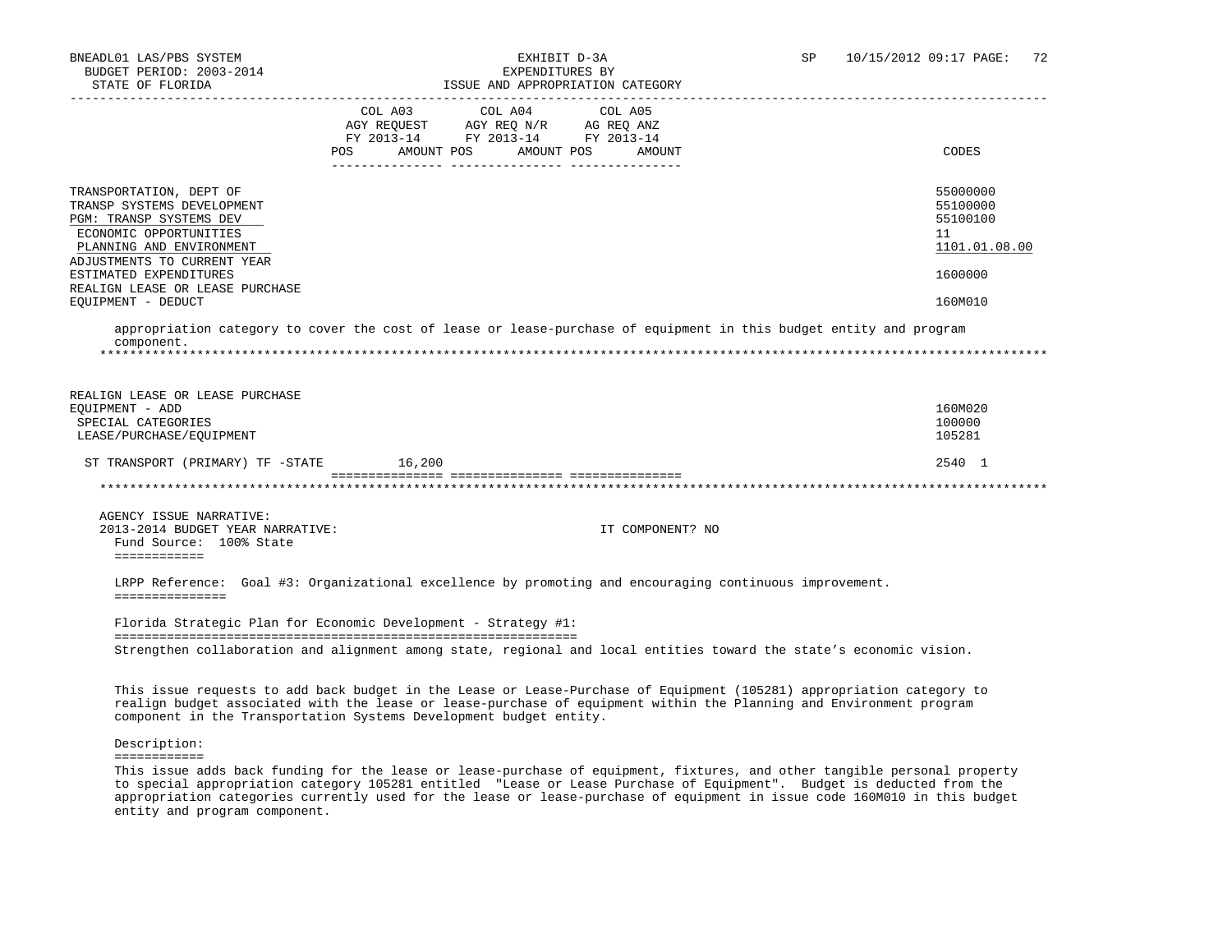| STATE OF FLORIDA                                                                                                                                                      | ISSUE AND APPROPRIATION CATEGORY                                                                                                                                                                                                                                                                                   |                                                         |
|-----------------------------------------------------------------------------------------------------------------------------------------------------------------------|--------------------------------------------------------------------------------------------------------------------------------------------------------------------------------------------------------------------------------------------------------------------------------------------------------------------|---------------------------------------------------------|
|                                                                                                                                                                       | COL A03<br>COL A04<br>COL A05<br>AGY REQUEST AGY REQ N/R AG REQ ANZ<br>FY 2013-14 FY 2013-14 FY 2013-14<br>AMOUNT POS<br>AMOUNT POS<br>POS<br>AMOUNT<br><u> 1989 - Andrea Santana, amerikana amerikana amerikana amerikana amerikana amerikana amerikana amerikana amerika</u>                                     | CODES                                                   |
| TRANSPORTATION, DEPT OF<br>TRANSP SYSTEMS DEVELOPMENT<br>PGM: TRANSP SYSTEMS DEV<br>ECONOMIC OPPORTUNITIES<br>PLANNING AND ENVIRONMENT<br>ADJUSTMENTS TO CURRENT YEAR |                                                                                                                                                                                                                                                                                                                    | 55000000<br>55100000<br>55100100<br>11<br>1101.01.08.00 |
| ESTIMATED EXPENDITURES                                                                                                                                                |                                                                                                                                                                                                                                                                                                                    | 1600000                                                 |
| REALIGN LEASE OR LEASE PURCHASE<br>EQUIPMENT - DEDUCT                                                                                                                 |                                                                                                                                                                                                                                                                                                                    | 160M010                                                 |
|                                                                                                                                                                       | appropriation category to cover the cost of lease or lease-purchase of equipment in this budget entity and program                                                                                                                                                                                                 |                                                         |
| component.                                                                                                                                                            |                                                                                                                                                                                                                                                                                                                    |                                                         |
|                                                                                                                                                                       |                                                                                                                                                                                                                                                                                                                    |                                                         |
| REALIGN LEASE OR LEASE PURCHASE<br>EOUIPMENT - ADD<br>SPECIAL CATEGORIES<br>LEASE/PURCHASE/EQUIPMENT                                                                  |                                                                                                                                                                                                                                                                                                                    | 160M020<br>100000<br>105281                             |
| ST TRANSPORT (PRIMARY) TF -STATE                                                                                                                                      | 16,200                                                                                                                                                                                                                                                                                                             | 2540 1                                                  |
|                                                                                                                                                                       |                                                                                                                                                                                                                                                                                                                    |                                                         |
| AGENCY ISSUE NARRATIVE:<br>2013-2014 BUDGET YEAR NARRATIVE:<br>Fund Source: 100% State<br>============                                                                | IT COMPONENT? NO                                                                                                                                                                                                                                                                                                   |                                                         |
| ===============                                                                                                                                                       | LRPP Reference: Goal #3: Organizational excellence by promoting and encouraging continuous improvement.                                                                                                                                                                                                            |                                                         |
|                                                                                                                                                                       | Florida Strategic Plan for Economic Development - Strategy #1:                                                                                                                                                                                                                                                     |                                                         |
|                                                                                                                                                                       | Strengthen collaboration and alignment among state, regional and local entities toward the state's economic vision.                                                                                                                                                                                                |                                                         |
|                                                                                                                                                                       | This issue requests to add back budget in the Lease or Lease-Purchase of Equipment (105281) appropriation category to<br>realign budget associated with the lease or lease-purchase of equipment within the Planning and Environment program<br>component in the Transportation Systems Development budget entity. |                                                         |
| Description:                                                                                                                                                          |                                                                                                                                                                                                                                                                                                                    |                                                         |
| ============                                                                                                                                                          |                                                                                                                                                                                                                                                                                                                    |                                                         |

 to special appropriation category 105281 entitled "Lease or Lease Purchase of Equipment". Budget is deducted from the appropriation categories currently used for the lease or lease-purchase of equipment in issue code 160M010 in this budget entity and program component.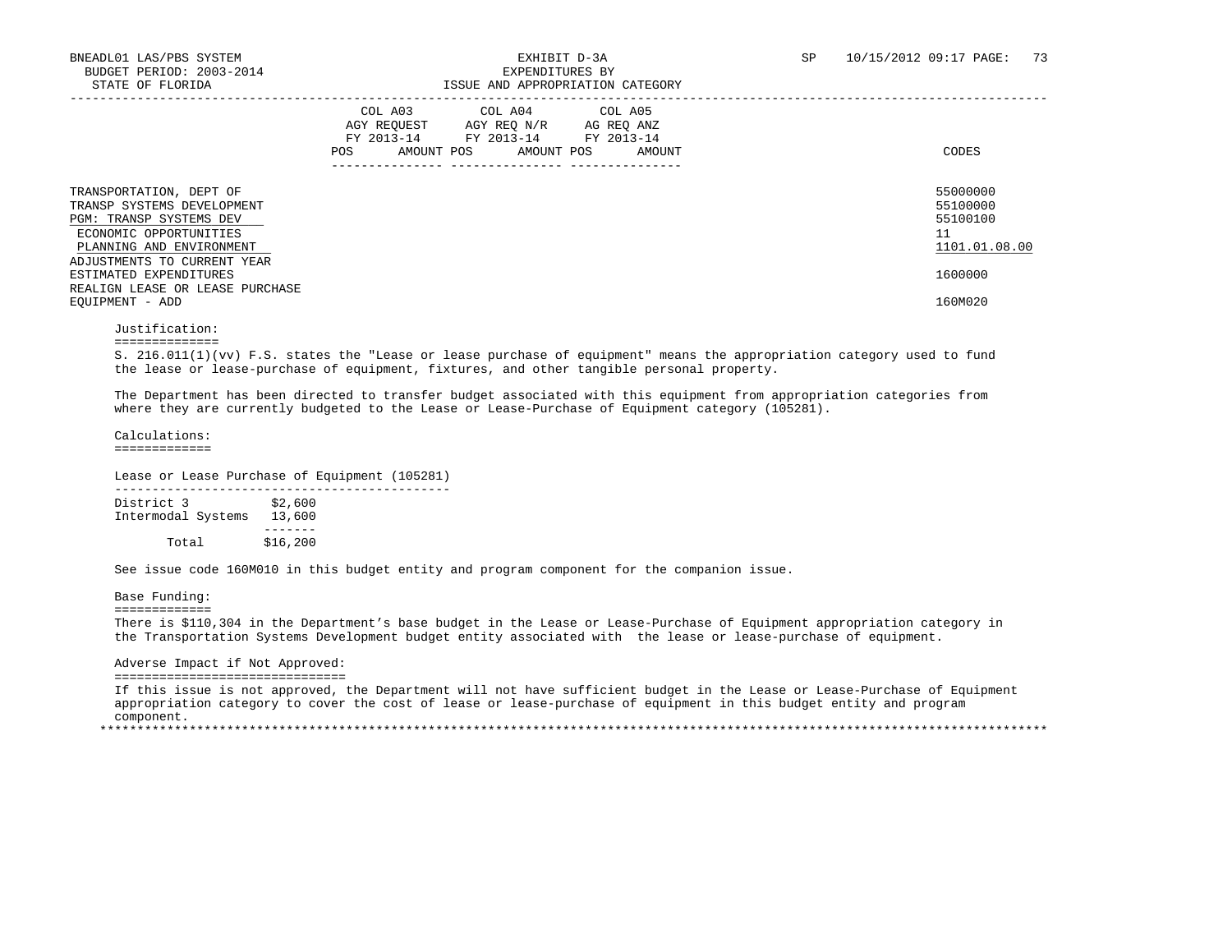|                                                                                                                                                                       | AGY REQUEST<br>FY 2013-14<br>AMOUNT POS<br>POS | COL A03 COL A04 COL A05<br>AGY REQ N/R<br>FY 2013-14 FY 2013-14<br>AMOUNT POS | AG REQ ANZ<br>AMOUNT | CODES                                                   |
|-----------------------------------------------------------------------------------------------------------------------------------------------------------------------|------------------------------------------------|-------------------------------------------------------------------------------|----------------------|---------------------------------------------------------|
| TRANSPORTATION, DEPT OF<br>TRANSP SYSTEMS DEVELOPMENT<br>PGM: TRANSP SYSTEMS DEV<br>ECONOMIC OPPORTUNITIES<br>PLANNING AND ENVIRONMENT<br>ADJUSTMENTS TO CURRENT YEAR |                                                |                                                                               |                      | 55000000<br>55100000<br>55100100<br>11<br>1101.01.08.00 |
| ESTIMATED EXPENDITURES<br>REALIGN LEASE OR LEASE PURCHASE<br>EOUIPMENT - ADD                                                                                          |                                                |                                                                               |                      | 1600000<br>160M020                                      |

### Justification:

==============

 S. 216.011(1)(vv) F.S. states the "Lease or lease purchase of equipment" means the appropriation category used to fund the lease or lease-purchase of equipment, fixtures, and other tangible personal property.

 The Department has been directed to transfer budget associated with this equipment from appropriation categories from where they are currently budgeted to the Lease or Lease-Purchase of Equipment category (105281).

 Calculations: =============

Lease or Lease Purchase of Equipment (105281)

| District 3         | \$2,600  |  |
|--------------------|----------|--|
| Intermodal Systems | 13,600   |  |
|                    |          |  |
| Total              | \$16,200 |  |

See issue code 160M010 in this budget entity and program component for the companion issue.

Base Funding:

=============

 There is \$110,304 in the Department's base budget in the Lease or Lease-Purchase of Equipment appropriation category in the Transportation Systems Development budget entity associated with the lease or lease-purchase of equipment.

Adverse Impact if Not Approved:

===============================

 If this issue is not approved, the Department will not have sufficient budget in the Lease or Lease-Purchase of Equipment appropriation category to cover the cost of lease or lease-purchase of equipment in this budget entity and program component. \*\*\*\*\*\*\*\*\*\*\*\*\*\*\*\*\*\*\*\*\*\*\*\*\*\*\*\*\*\*\*\*\*\*\*\*\*\*\*\*\*\*\*\*\*\*\*\*\*\*\*\*\*\*\*\*\*\*\*\*\*\*\*\*\*\*\*\*\*\*\*\*\*\*\*\*\*\*\*\*\*\*\*\*\*\*\*\*\*\*\*\*\*\*\*\*\*\*\*\*\*\*\*\*\*\*\*\*\*\*\*\*\*\*\*\*\*\*\*\*\*\*\*\*\*\*\*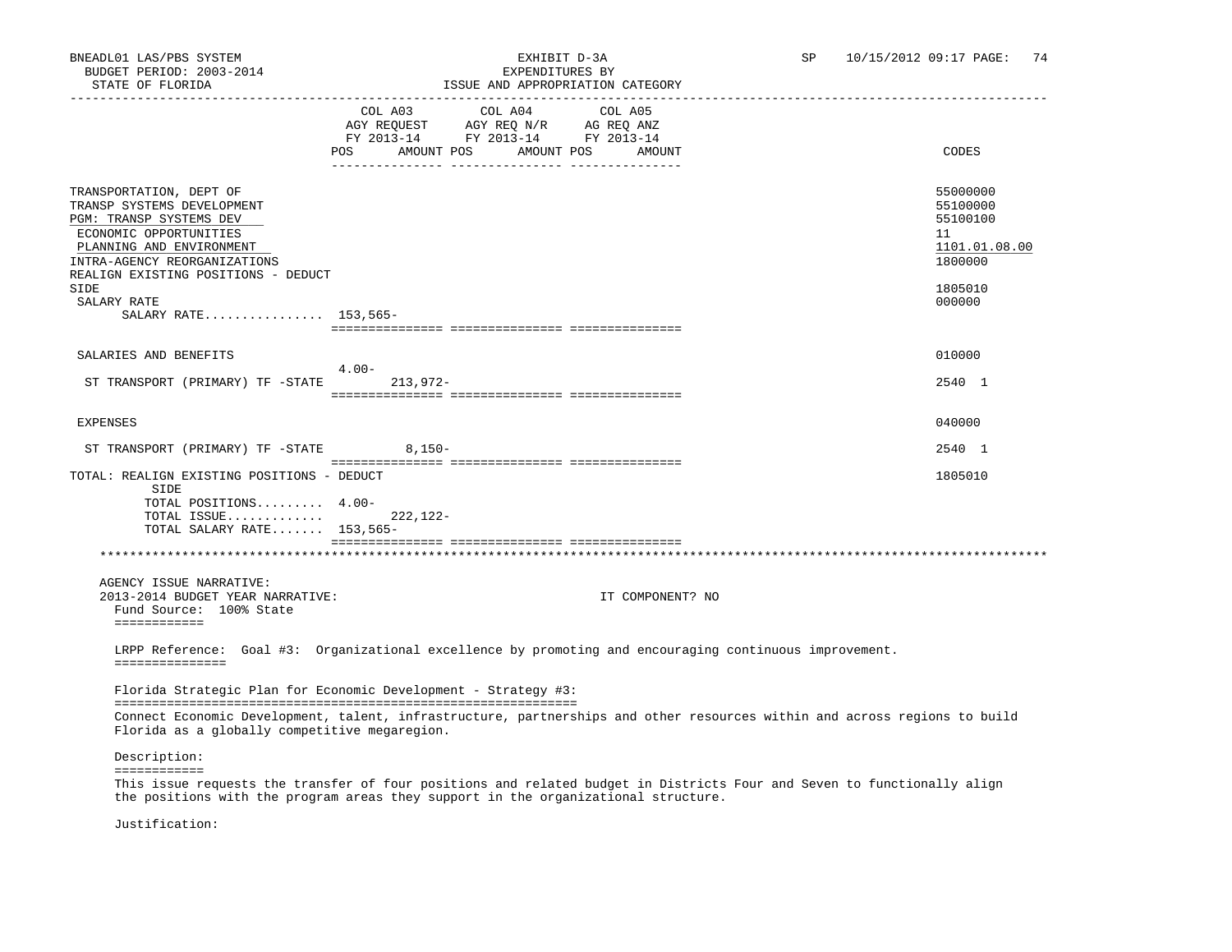| STATE OF FLORIDA                                                                                                                                                                                              | ISSUE AND APPROPRIATION CATEGORY                                                                                                               |                                                                    |
|---------------------------------------------------------------------------------------------------------------------------------------------------------------------------------------------------------------|------------------------------------------------------------------------------------------------------------------------------------------------|--------------------------------------------------------------------|
|                                                                                                                                                                                                               | COL A03 COL A04<br>COL A05<br>AGY REQUEST AGY REQ N/R AG REQ ANZ<br>FY 2013-14 FY 2013-14 FY 2013-14<br>POS AMOUNT POS<br>AMOUNT POS<br>AMOUNT | CODES                                                              |
| TRANSPORTATION, DEPT OF<br>TRANSP SYSTEMS DEVELOPMENT<br>PGM: TRANSP SYSTEMS DEV<br>ECONOMIC OPPORTUNITIES<br>PLANNING AND ENVIRONMENT<br>INTRA-AGENCY REORGANIZATIONS<br>REALIGN EXISTING POSITIONS - DEDUCT |                                                                                                                                                | 55000000<br>55100000<br>55100100<br>11<br>1101.01.08.00<br>1800000 |
| SIDE<br>SALARY RATE<br>SALARY RATE 153,565-                                                                                                                                                                   |                                                                                                                                                | 1805010<br>000000                                                  |
|                                                                                                                                                                                                               |                                                                                                                                                |                                                                    |
| SALARIES AND BENEFITS                                                                                                                                                                                         | $4.00-$                                                                                                                                        | 010000                                                             |
| ST TRANSPORT (PRIMARY) TF -STATE                                                                                                                                                                              | $213,972-$                                                                                                                                     | 2540 1                                                             |
| EXPENSES                                                                                                                                                                                                      |                                                                                                                                                | 040000                                                             |
| ST TRANSPORT (PRIMARY) TF -STATE                                                                                                                                                                              | $8,150-$                                                                                                                                       | 2540 1                                                             |
| TOTAL: REALIGN EXISTING POSITIONS - DEDUCT<br>SIDE<br>TOTAL POSITIONS 4.00-<br>TOTAL ISSUE<br>TOTAL SALARY RATE 153,565-                                                                                      | $222.122 -$                                                                                                                                    | 1805010                                                            |
|                                                                                                                                                                                                               |                                                                                                                                                |                                                                    |
| AGENCY ISSUE NARRATIVE:<br>2013-2014 BUDGET YEAR NARRATIVE:<br>Fund Source: 100% State<br>============                                                                                                        | IT COMPONENT? NO                                                                                                                               |                                                                    |
| ===============                                                                                                                                                                                               | LRPP Reference: Goal #3: Organizational excellence by promoting and encouraging continuous improvement.                                        |                                                                    |
|                                                                                                                                                                                                               | Florida Strategic Plan for Economic Development - Strategy #3:                                                                                 |                                                                    |
| Florida as a globally competitive megaregion.                                                                                                                                                                 | Connect Economic Development, talent, infrastructure, partnerships and other resources within and across regions to build                      |                                                                    |
| Description:<br>============                                                                                                                                                                                  |                                                                                                                                                |                                                                    |

 This issue requests the transfer of four positions and related budget in Districts Four and Seven to functionally align the positions with the program areas they support in the organizational structure.

Justification: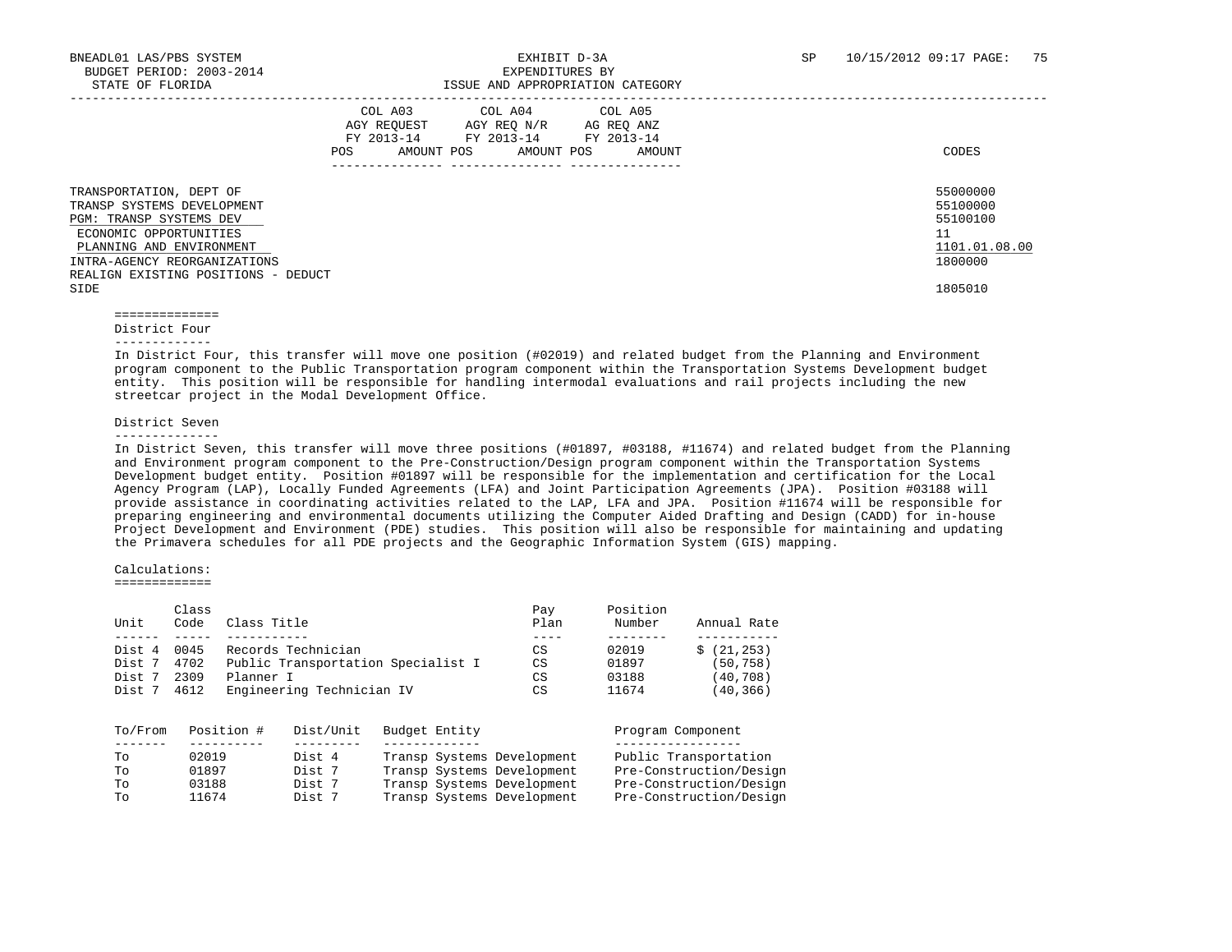|                                                                                                                                                                                                                       | COL A03<br>AGY REOUEST<br>FY 2013-14<br>AMOUNT POS<br>POS | COL A04<br>AGY REQ N/R<br>FY 2013-14<br>AMOUNT POS | COL A05<br>AG REQ ANZ<br>FY 2013-14<br>AMOUNT<br>--------------- | CODES                                                                         |
|-----------------------------------------------------------------------------------------------------------------------------------------------------------------------------------------------------------------------|-----------------------------------------------------------|----------------------------------------------------|------------------------------------------------------------------|-------------------------------------------------------------------------------|
| TRANSPORTATION, DEPT OF<br>TRANSP SYSTEMS DEVELOPMENT<br>PGM: TRANSP SYSTEMS DEV<br>ECONOMIC OPPORTUNITIES<br>PLANNING AND ENVIRONMENT<br>INTRA-AGENCY REORGANIZATIONS<br>REALIGN EXISTING POSITIONS - DEDUCT<br>SIDE |                                                           |                                                    |                                                                  | 55000000<br>55100000<br>55100100<br>11<br>1101.01.08.00<br>1800000<br>1805010 |

 ============== District Four

-------------

 In District Four, this transfer will move one position (#02019) and related budget from the Planning and Environment program component to the Public Transportation program component within the Transportation Systems Development budget entity. This position will be responsible for handling intermodal evaluations and rail projects including the new streetcar project in the Modal Development Office.

District Seven

--------------

 In District Seven, this transfer will move three positions (#01897, #03188, #11674) and related budget from the Planning and Environment program component to the Pre-Construction/Design program component within the Transportation Systems Development budget entity. Position #01897 will be responsible for the implementation and certification for the Local Agency Program (LAP), Locally Funded Agreements (LFA) and Joint Participation Agreements (JPA). Position #03188 will provide assistance in coordinating activities related to the LAP, LFA and JPA. Position #11674 will be responsible for preparing engineering and environmental documents utilizing the Computer Aided Drafting and Design (CADD) for in-house Project Development and Environment (PDE) studies. This position will also be responsible for maintaining and updating the Primavera schedules for all PDE projects and the Geographic Information System (GIS) mapping.

### Calculations:

=============

|        | Class |                                    | Pav  | Position |             |
|--------|-------|------------------------------------|------|----------|-------------|
| Unit   | Code  | Class Title                        | Plan | Number   | Annual Rate |
|        |       |                                    |      |          |             |
| Dist 4 | 0045  | Records Technician                 | CS   | 02019    | \$(21, 253) |
| Dist 7 | 4702  | Public Transportation Specialist I | CS   | 01897    | (50,758)    |
| Dist 7 | 2309  | Planner I                          | CS   | 03188    | (40,708)    |
| Dist 7 | 4612  | Engineering Technician IV          | CS   | 11674    | (40,366)    |

| To/From | Position # | Dist/Unit | Budget Entity              | Program Component       |
|---------|------------|-----------|----------------------------|-------------------------|
| Tо      | 02019      | Dist 4    | Transp Systems Development | Public Transportation   |
| To      | 01897      | Dist 7    | Transp Systems Development | Pre-Construction/Design |
| To      | 03188      | Dist 7    | Transp Systems Development | Pre-Construction/Design |
| To      | 11674      | Dist 7    | Transp Systems Development | Pre-Construction/Design |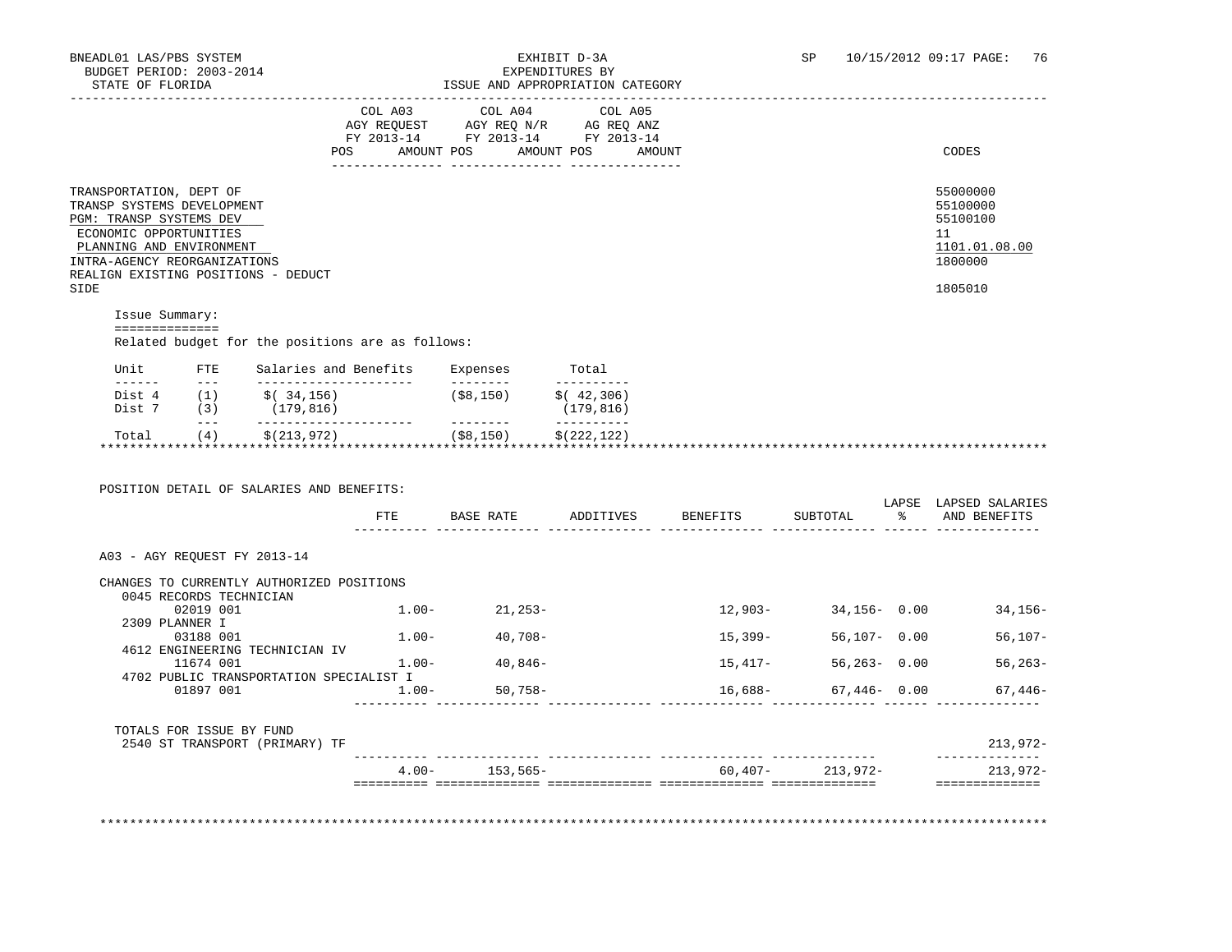## BNEADL01 LAS/PBS SYSTEM EXHIBIT D-3A SP 10/15/2012 09:17 PAGE: 76

| STATE OF FLORIDA                                                                                                                                                                                                      |                                    |                                                                              |              | ISSUE AND APPROPRIATION CATEGORY                                                                  |                              |        |           |                                                                               |                                         |
|-----------------------------------------------------------------------------------------------------------------------------------------------------------------------------------------------------------------------|------------------------------------|------------------------------------------------------------------------------|--------------|---------------------------------------------------------------------------------------------------|------------------------------|--------|-----------|-------------------------------------------------------------------------------|-----------------------------------------|
|                                                                                                                                                                                                                       |                                    |                                                                              |              | COL A03 COL A04 COL A05<br>AGY REQUEST AGY REQ N/R AG REQ ANZ<br>FY 2013-14 FY 2013-14 FY 2013-14 |                              |        |           |                                                                               |                                         |
|                                                                                                                                                                                                                       |                                    |                                                                              | POS          | AMOUNT POS                                                                                        | AMOUNT POS                   | AMOUNT |           |                                                                               | CODES                                   |
| TRANSPORTATION, DEPT OF<br>TRANSP SYSTEMS DEVELOPMENT<br>PGM: TRANSP SYSTEMS DEV<br>ECONOMIC OPPORTUNITIES<br>PLANNING AND ENVIRONMENT<br>INTRA-AGENCY REORGANIZATIONS<br>REALIGN EXISTING POSITIONS - DEDUCT<br>SIDE |                                    |                                                                              |              |                                                                                                   |                              |        |           | 55000000<br>55100000<br>55100100<br>11<br>1101.01.08.00<br>1800000<br>1805010 |                                         |
| Issue Summary:                                                                                                                                                                                                        |                                    |                                                                              |              |                                                                                                   |                              |        |           |                                                                               |                                         |
| ==============                                                                                                                                                                                                        |                                    | Related budget for the positions are as follows:                             |              |                                                                                                   |                              |        |           |                                                                               |                                         |
| Unit                                                                                                                                                                                                                  | <b>FTE</b><br>and the state of the | _______________________                                                      |              | Salaries and Benefits Expenses Total<br>---------                                                 | -----------                  |        |           |                                                                               |                                         |
|                                                                                                                                                                                                                       | $\sim$ $\sim$ $\sim$ $\sim$        | Dist 4 (1) $\zeta(34,156)$ (\$8,150) $\zeta(42,306)$<br>Dist 7 (3) (179,816) |              |                                                                                                   | (179, 816)<br>______________ |        |           |                                                                               |                                         |
| Total (4)                                                                                                                                                                                                             |                                    | \$(213,972)                                                                  | $($ \$8,150) |                                                                                                   | \$(222, 122)                 |        |           |                                                                               |                                         |
|                                                                                                                                                                                                                       |                                    | POSITION DETAIL OF SALARIES AND BENEFITS:                                    | FTE          | BASE RATE ADDITIVES BENEFITS                                                                      |                              |        |           | SUBTOTAL                                                                      | LAPSE LAPSED SALARIES<br>% AND BENEFITS |
| A03 - AGY REOUEST FY 2013-14                                                                                                                                                                                          |                                    |                                                                              |              |                                                                                                   |                              |        |           |                                                                               |                                         |
|                                                                                                                                                                                                                       | 0045 RECORDS TECHNICIAN            | CHANGES TO CURRENTLY AUTHORIZED POSITIONS                                    |              |                                                                                                   |                              |        |           |                                                                               |                                         |
|                                                                                                                                                                                                                       | 02019 001                          |                                                                              |              | $1.00 - 21,253 -$                                                                                 |                              |        | $12,903-$ |                                                                               | $34,156 - 0.00$<br>$34,156-$            |
|                                                                                                                                                                                                                       | 2309 PLANNER I<br>03188 001        |                                                                              |              | $1.00 - 40.708 -$                                                                                 |                              |        | 15,399-   | $56,107 - 0.00$                                                               | $56,107-$                               |
|                                                                                                                                                                                                                       | 11674 001                          | 4612 ENGINEERING TECHNICIAN IV                                               |              | $1.00 - 40,846 -$                                                                                 |                              |        | $15,417-$ | $56,263 - 0.00$                                                               | $56, 263 -$                             |
|                                                                                                                                                                                                                       | 01897 001                          | 4702 PUBLIC TRANSPORTATION SPECIALIST I                                      | $1.00 -$     | $50,758-$                                                                                         |                              |        | $16,688-$ |                                                                               | $67,446 - 0.00$<br>$67,446-$            |
|                                                                                                                                                                                                                       |                                    |                                                                              |              |                                                                                                   |                              |        |           |                                                                               |                                         |

TOTALS FOR ISSUE BY FUND<br>2540 ST TRANSPORT (PRIMARY) TF 2540 ST TRANSPORT (PRIMARY) TF 213,972- ---------- -------------- -------------- -------------- -------------- -------------- 4.00- 153,565- 60,407- 213,972- 213,972- ========== ============== ============== ============== ============== ==============

\*\*\*\*\*\*\*\*\*\*\*\*\*\*\*\*\*\*\*\*\*\*\*\*\*\*\*\*\*\*\*\*\*\*\*\*\*\*\*\*\*\*\*\*\*\*\*\*\*\*\*\*\*\*\*\*\*\*\*\*\*\*\*\*\*\*\*\*\*\*\*\*\*\*\*\*\*\*\*\*\*\*\*\*\*\*\*\*\*\*\*\*\*\*\*\*\*\*\*\*\*\*\*\*\*\*\*\*\*\*\*\*\*\*\*\*\*\*\*\*\*\*\*\*\*\*\*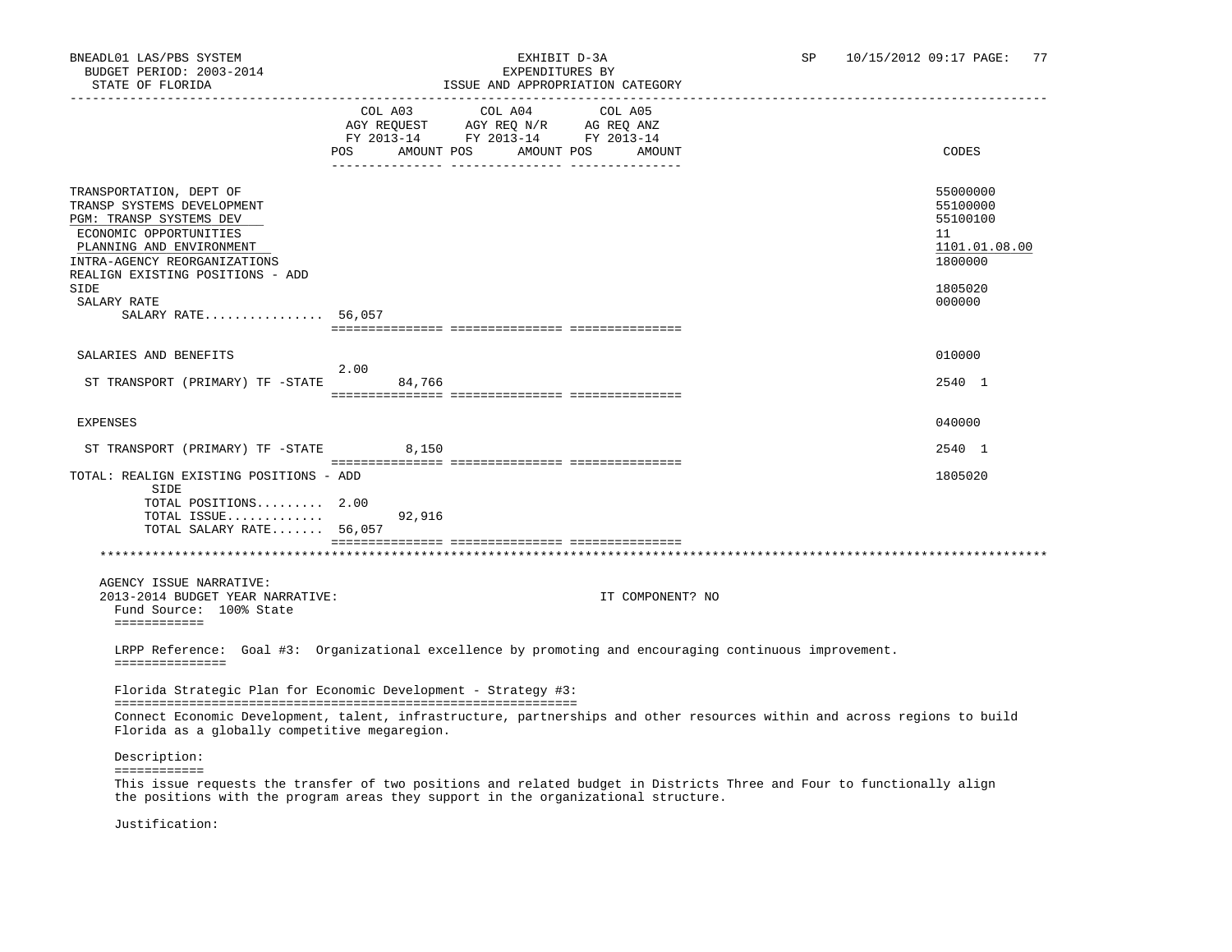# BNEADL01 LAS/PBS SYSTEM EXHIBIT D-3A SP 10/15/2012 09:17 PAGE: 77

| STATE OF FLORIDA                                                                                                                                                                                           | ISSUE AND APPROPRIATION CATEGORY                                                                                                            |                                                                    |
|------------------------------------------------------------------------------------------------------------------------------------------------------------------------------------------------------------|---------------------------------------------------------------------------------------------------------------------------------------------|--------------------------------------------------------------------|
|                                                                                                                                                                                                            | COL A03 COL A04<br>COL A05<br>AGY REQUEST AGY REQ N/R AG REQ ANZ<br>FY 2013-14 FY 2013-14 FY 2013-14<br>POS AMOUNT POS AMOUNT POS<br>AMOUNT | CODES                                                              |
| TRANSPORTATION, DEPT OF<br>TRANSP SYSTEMS DEVELOPMENT<br>PGM: TRANSP SYSTEMS DEV<br>ECONOMIC OPPORTUNITIES<br>PLANNING AND ENVIRONMENT<br>INTRA-AGENCY REORGANIZATIONS<br>REALIGN EXISTING POSITIONS - ADD |                                                                                                                                             | 55000000<br>55100000<br>55100100<br>11<br>1101.01.08.00<br>1800000 |
| SIDE<br>SALARY RATE<br>SALARY RATE 56,057                                                                                                                                                                  |                                                                                                                                             | 1805020<br>000000                                                  |
|                                                                                                                                                                                                            |                                                                                                                                             |                                                                    |
| SALARIES AND BENEFITS                                                                                                                                                                                      | 2.00                                                                                                                                        | 010000                                                             |
| ST TRANSPORT (PRIMARY) TF -STATE                                                                                                                                                                           | 84,766                                                                                                                                      | 2540 1                                                             |
| <b>EXPENSES</b>                                                                                                                                                                                            |                                                                                                                                             | 040000                                                             |
| ST TRANSPORT (PRIMARY) TF -STATE                                                                                                                                                                           | 8,150                                                                                                                                       | 2540 1                                                             |
| TOTAL: REALIGN EXISTING POSITIONS - ADD<br>SIDE<br>TOTAL POSITIONS 2.00<br>TOTAL ISSUE<br>TOTAL SALARY RATE 56,057                                                                                         | 92,916                                                                                                                                      | 1805020                                                            |
|                                                                                                                                                                                                            |                                                                                                                                             |                                                                    |
| AGENCY ISSUE NARRATIVE:<br>2013-2014 BUDGET YEAR NARRATIVE:<br>Fund Source: 100% State<br>============                                                                                                     | IT COMPONENT? NO                                                                                                                            |                                                                    |
| ===============                                                                                                                                                                                            | LRPP Reference: Goal #3: Organizational excellence by promoting and encouraging continuous improvement.                                     |                                                                    |
|                                                                                                                                                                                                            | Florida Strategic Plan for Economic Development - Strategy #3:                                                                              |                                                                    |
| Florida as a globally competitive megaregion.                                                                                                                                                              | Connect Economic Development, talent, infrastructure, partnerships and other resources within and across regions to build                   |                                                                    |
| Description:                                                                                                                                                                                               |                                                                                                                                             |                                                                    |
| ============                                                                                                                                                                                               | <b>Sales Advised Service</b>                                                                                                                |                                                                    |

 This issue requests the transfer of two positions and related budget in Districts Three and Four to functionally align the positions with the program areas they support in the organizational structure.

Justification: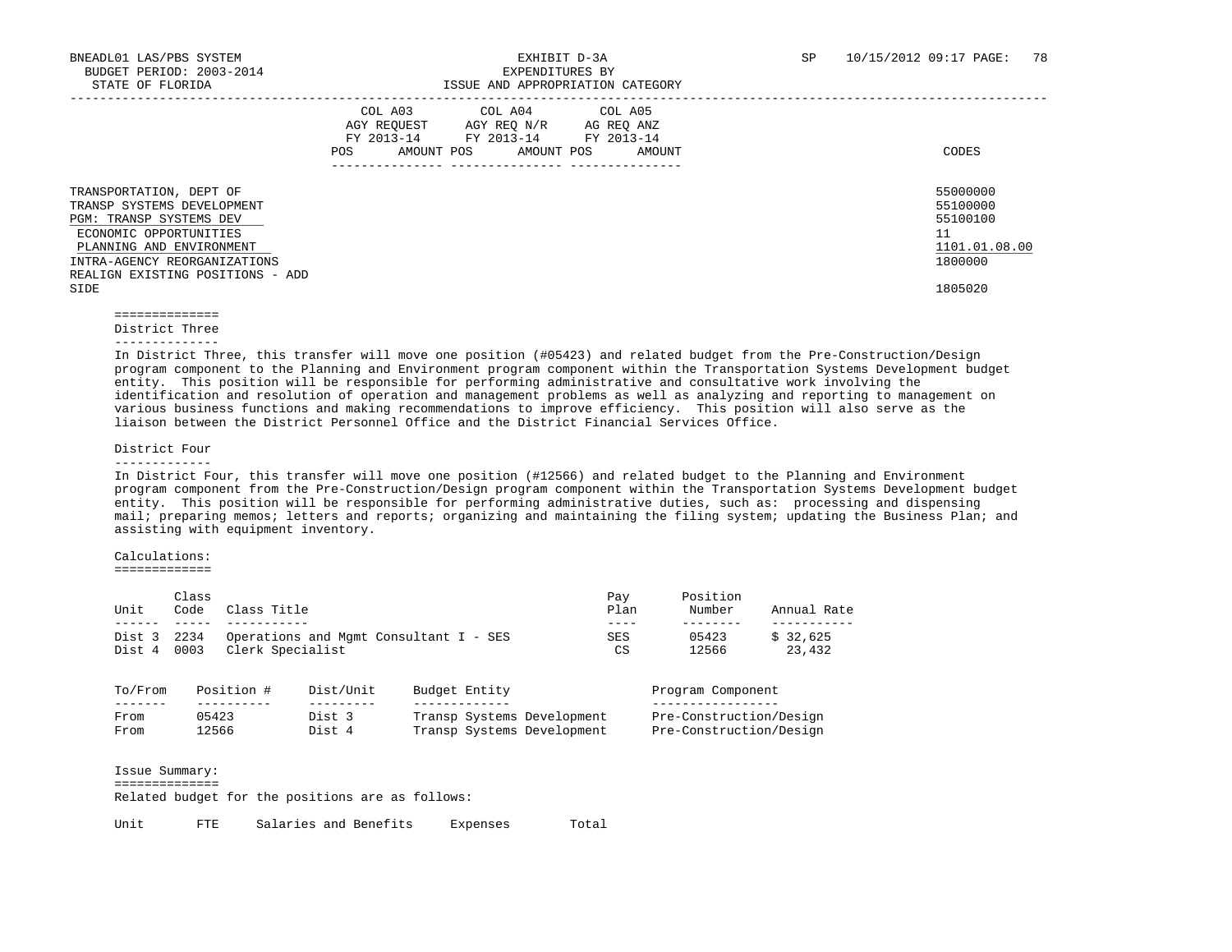|                                                                                                                                                                                                            | COL A03<br>AGY REOUEST<br>FY 2013-14<br>AMOUNT POS<br>POS | COL A04 COL A05<br>AGY REO N/R<br>FY 2013-14 FY 2013-14<br>AMOUNT POS | AG REO ANZ<br>AMOUNT<br>--------------- | CODES                                                              |
|------------------------------------------------------------------------------------------------------------------------------------------------------------------------------------------------------------|-----------------------------------------------------------|-----------------------------------------------------------------------|-----------------------------------------|--------------------------------------------------------------------|
| TRANSPORTATION, DEPT OF<br>TRANSP SYSTEMS DEVELOPMENT<br>PGM: TRANSP SYSTEMS DEV<br>ECONOMIC OPPORTUNITIES<br>PLANNING AND ENVIRONMENT<br>INTRA-AGENCY REORGANIZATIONS<br>REALIGN EXISTING POSITIONS - ADD |                                                           |                                                                       |                                         | 55000000<br>55100000<br>55100100<br>11<br>1101.01.08.00<br>1800000 |
| SIDE                                                                                                                                                                                                       |                                                           |                                                                       |                                         | 1805020                                                            |

 ============== District Three

--------------

 In District Three, this transfer will move one position (#05423) and related budget from the Pre-Construction/Design program component to the Planning and Environment program component within the Transportation Systems Development budget entity. This position will be responsible for performing administrative and consultative work involving the identification and resolution of operation and management problems as well as analyzing and reporting to management on various business functions and making recommendations to improve efficiency. This position will also serve as the liaison between the District Personnel Office and the District Financial Services Office.

#### District Four

-------------

 In District Four, this transfer will move one position (#12566) and related budget to the Planning and Environment program component from the Pre-Construction/Design program component within the Transportation Systems Development budget entity. This position will be responsible for performing administrative duties, such as: processing and dispensing mail; preparing memos; letters and reports; organizing and maintaining the filing system; updating the Business Plan; and assisting with equipment inventory.

#### Calculations:

=============

| Unit             | Class<br>Code                                                              | Class Title |           |  |               |                            | Pay<br>Plan      | Position<br>Number      | Annual Rate        |  |
|------------------|----------------------------------------------------------------------------|-------------|-----------|--|---------------|----------------------------|------------------|-------------------------|--------------------|--|
| Dist 3<br>Dist 4 | 2234<br>Operations and Mgmt Consultant I - SES<br>Clerk Specialist<br>0003 |             |           |  |               |                            | <b>SES</b><br>CS | 05423<br>12566          | \$32,625<br>23,432 |  |
| To/From          |                                                                            | Position #  | Dist/Unit |  | Budget Entity |                            |                  | Program Component       |                    |  |
| From             | 05423                                                                      |             | Dist 3    |  |               | Transp Systems Development |                  | Pre-Construction/Design |                    |  |
|                  |                                                                            | 12566       | Dist 4    |  |               | Transp Systems Development |                  | Pre-Construction/Design |                    |  |

Related budget for the positions are as follows:

Unit FTE Salaries and Benefits Expenses Total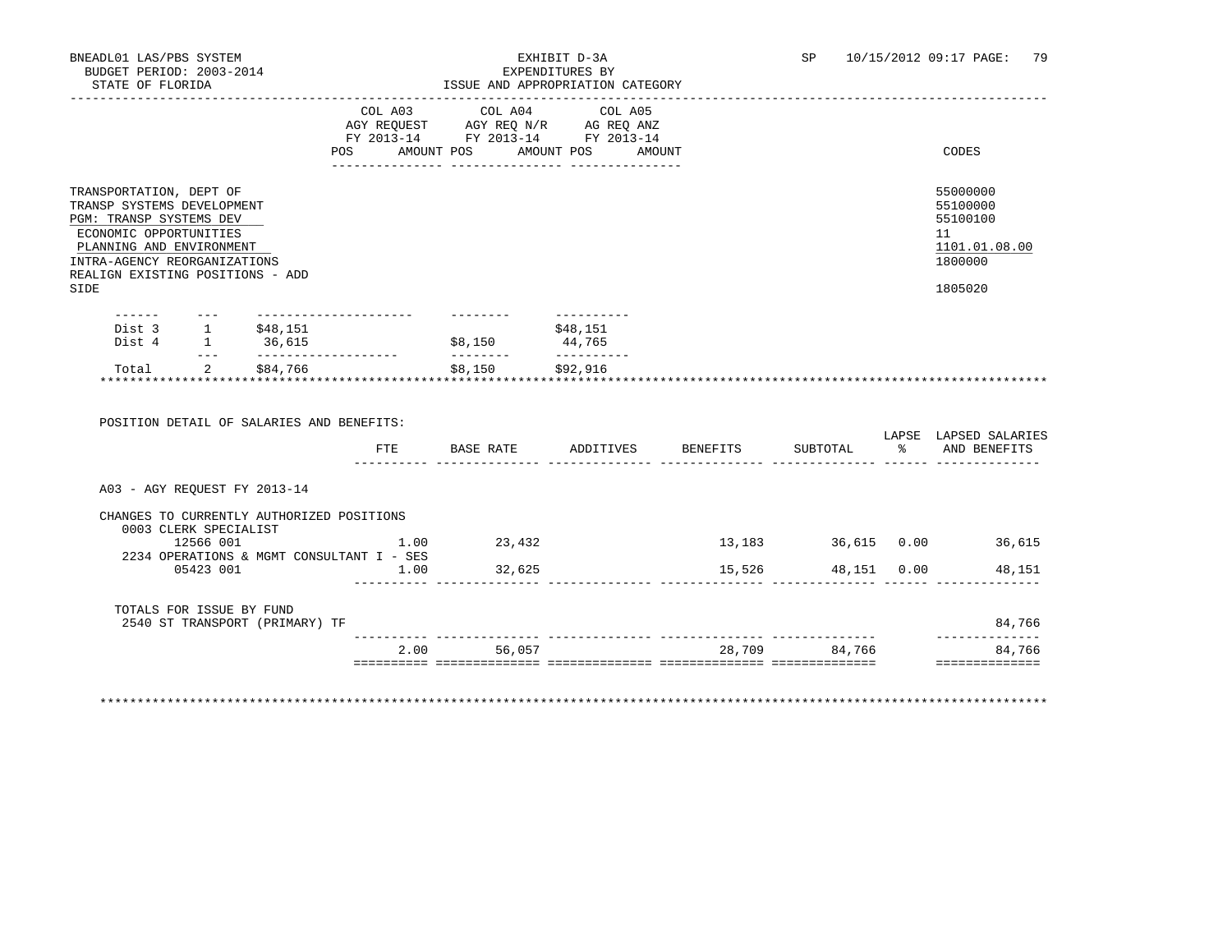|                                                                                                                                                                                                                    |                                                                                                                                                                                                                                                                                                                                                                                              |                                                  |                                                   | COL A03 COL A04 COL A05                | AGY REQUEST AGY REQ N/R AG REQ ANZ<br>FY 2013-14 FY 2013-14 FY 2013-14 |                              |  |                                                                               |
|--------------------------------------------------------------------------------------------------------------------------------------------------------------------------------------------------------------------|----------------------------------------------------------------------------------------------------------------------------------------------------------------------------------------------------------------------------------------------------------------------------------------------------------------------------------------------------------------------------------------------|--------------------------------------------------|---------------------------------------------------|----------------------------------------|------------------------------------------------------------------------|------------------------------|--|-------------------------------------------------------------------------------|
|                                                                                                                                                                                                                    |                                                                                                                                                                                                                                                                                                                                                                                              |                                                  |                                                   |                                        | POS AMOUNT POS AMOUNT POS AMOUNT                                       |                              |  | CODES                                                                         |
| TRANSPORTATION, DEPT OF<br>TRANSP SYSTEMS DEVELOPMENT<br>PGM: TRANSP SYSTEMS DEV<br>ECONOMIC OPPORTUNITIES<br>PLANNING AND ENVIRONMENT<br>INTRA-AGENCY REORGANIZATIONS<br>REALIGN EXISTING POSITIONS - ADD<br>SIDE |                                                                                                                                                                                                                                                                                                                                                                                              |                                                  |                                                   |                                        |                                                                        |                              |  | 55000000<br>55100000<br>55100100<br>11<br>1101.01.08.00<br>1800000<br>1805020 |
|                                                                                                                                                                                                                    |                                                                                                                                                                                                                                                                                                                                                                                              | Dist 3 1 \$48,151                                | ---------------------                             | $$8,150$ 44,765                        | ----------<br>\$48,151                                                 |                              |  |                                                                               |
| Dist 4 1 36,615                                                                                                                                                                                                    |                                                                                                                                                                                                                                                                                                                                                                                              |                                                  |                                                   |                                        |                                                                        |                              |  |                                                                               |
| Total                                                                                                                                                                                                              | $\frac{1}{2} \frac{1}{2} \frac{1}{2} \frac{1}{2} \frac{1}{2} \frac{1}{2} \frac{1}{2} \frac{1}{2} \frac{1}{2} \frac{1}{2} \frac{1}{2} \frac{1}{2} \frac{1}{2} \frac{1}{2} \frac{1}{2} \frac{1}{2} \frac{1}{2} \frac{1}{2} \frac{1}{2} \frac{1}{2} \frac{1}{2} \frac{1}{2} \frac{1}{2} \frac{1}{2} \frac{1}{2} \frac{1}{2} \frac{1}{2} \frac{1}{2} \frac{1}{2} \frac{1}{2} \frac{1}{2} \frac{$ | 2 \$84,766<br>********************************** | ____________________                              | ---------<br>\$8,150<br>************** | __________<br>\$92,916                                                 |                              |  |                                                                               |
|                                                                                                                                                                                                                    |                                                                                                                                                                                                                                                                                                                                                                                              |                                                  | POSITION DETAIL OF SALARIES AND BENEFITS:<br>ETE  |                                        |                                                                        | BASE RATE ADDITIVES BENEFITS |  | SUBTOTAL % AND BENEFITS                                                       |
| A03 - AGY REOUEST FY 2013-14                                                                                                                                                                                       |                                                                                                                                                                                                                                                                                                                                                                                              |                                                  |                                                   |                                        |                                                                        |                              |  | LAPSE LAPSED SALARIES                                                         |
|                                                                                                                                                                                                                    | 0003 CLERK SPECIALIST                                                                                                                                                                                                                                                                                                                                                                        |                                                  | CHANGES TO CURRENTLY AUTHORIZED POSITIONS         |                                        |                                                                        |                              |  |                                                                               |
|                                                                                                                                                                                                                    | 12566 001                                                                                                                                                                                                                                                                                                                                                                                    |                                                  |                                                   | 1.00 23,432                            |                                                                        |                              |  | 13,183 36,615 0.00 36,615                                                     |
|                                                                                                                                                                                                                    | 05423 001                                                                                                                                                                                                                                                                                                                                                                                    |                                                  | 2234 OPERATIONS & MGMT CONSULTANT I - SES<br>1.00 | 32,625                                 |                                                                        | 15,526                       |  | 48,151 0.00<br>48,151                                                         |
| TOTALS FOR ISSUE BY FUND                                                                                                                                                                                           |                                                                                                                                                                                                                                                                                                                                                                                              | 2540 ST TRANSPORT (PRIMARY) TF                   |                                                   |                                        |                                                                        |                              |  | 84,766                                                                        |

\*\*\*\*\*\*\*\*\*\*\*\*\*\*\*\*\*\*\*\*\*\*\*\*\*\*\*\*\*\*\*\*\*\*\*\*\*\*\*\*\*\*\*\*\*\*\*\*\*\*\*\*\*\*\*\*\*\*\*\*\*\*\*\*\*\*\*\*\*\*\*\*\*\*\*\*\*\*\*\*\*\*\*\*\*\*\*\*\*\*\*\*\*\*\*\*\*\*\*\*\*\*\*\*\*\*\*\*\*\*\*\*\*\*\*\*\*\*\*\*\*\*\*\*\*\*\*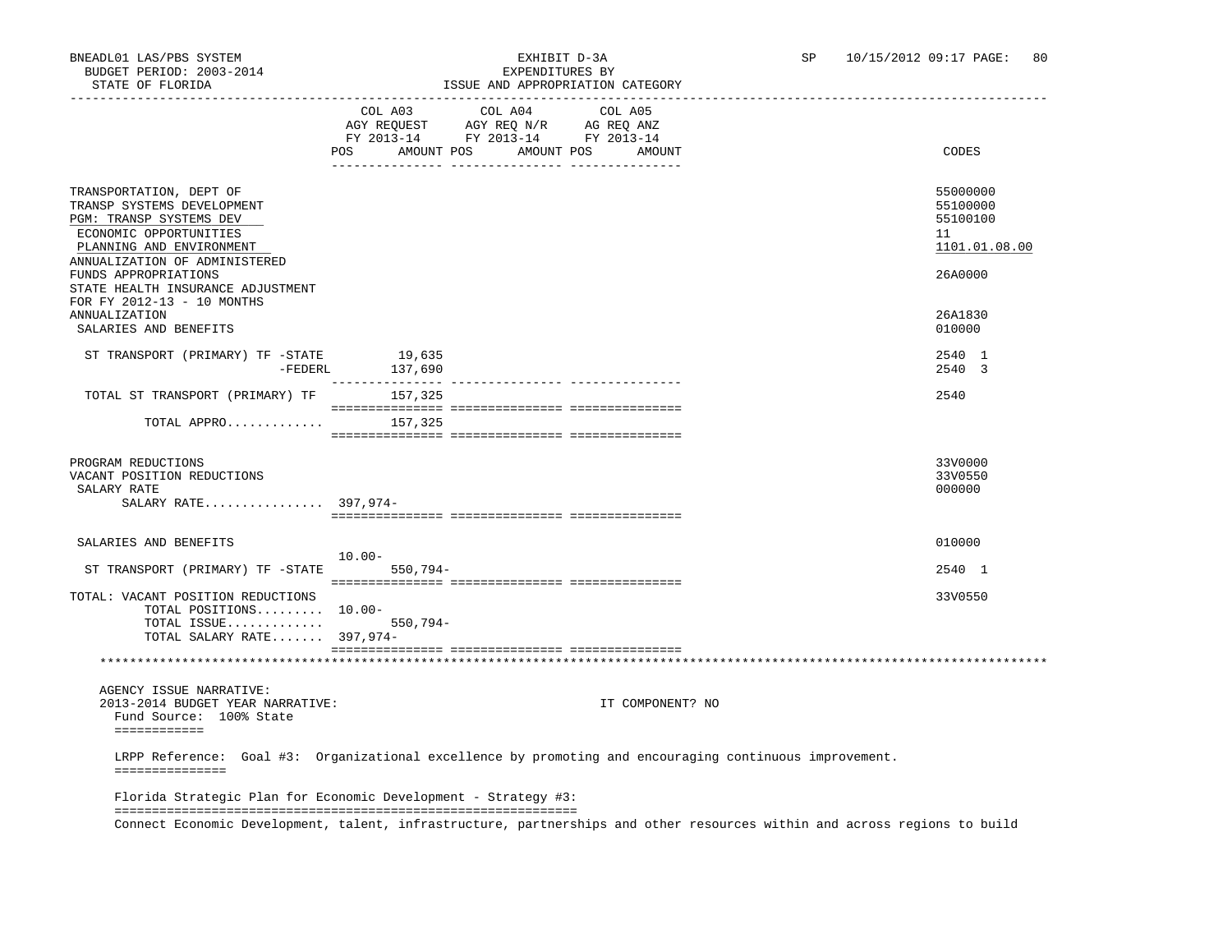### BNEADL01 LAS/PBS SYSTEM EXHIBIT D-3A SP 10/15/2012 09:17 PAGE: 80 ISSUE AND APPROPRIATION CATEGORY

|                                                                                                                                                                                                 |                                                                                                                                                                                                                        | LOOUE AND AFFROFRIAIION CAIEGORI |                                 |                                                                                                                           |                                                                    |
|-------------------------------------------------------------------------------------------------------------------------------------------------------------------------------------------------|------------------------------------------------------------------------------------------------------------------------------------------------------------------------------------------------------------------------|----------------------------------|---------------------------------|---------------------------------------------------------------------------------------------------------------------------|--------------------------------------------------------------------|
|                                                                                                                                                                                                 | $\begin{tabular}{lllllll} \bf AGY \;\; RegUEST & \tt AGY \;\; REG \;\; N/R & \tt AG \;\; REG \;\; ANZ \\ \hline \tt FY \;\; 2013-14 & \tt FY \;\; 2013-14 & \tt FY \;\; 2013-14 \\ \end{tabular}$<br>POS<br>AMOUNT POS | COL A03 COL A04                  | COL A05<br>AMOUNT POS<br>AMOUNT |                                                                                                                           | CODES                                                              |
| TRANSPORTATION, DEPT OF<br>TRANSP SYSTEMS DEVELOPMENT<br>PGM: TRANSP SYSTEMS DEV<br>ECONOMIC OPPORTUNITIES<br>PLANNING AND ENVIRONMENT<br>ANNUALIZATION OF ADMINISTERED<br>FUNDS APPROPRIATIONS |                                                                                                                                                                                                                        |                                  |                                 |                                                                                                                           | 55000000<br>55100000<br>55100100<br>11<br>1101.01.08.00<br>26A0000 |
| STATE HEALTH INSURANCE ADJUSTMENT<br>FOR FY 2012-13 - 10 MONTHS<br><b>ANNUALIZATION</b><br>SALARIES AND BENEFITS                                                                                |                                                                                                                                                                                                                        |                                  |                                 |                                                                                                                           | 26A1830<br>010000                                                  |
| ST TRANSPORT (PRIMARY) TF -STATE<br>-FEDERL                                                                                                                                                     | 19,635<br>137,690                                                                                                                                                                                                      |                                  |                                 |                                                                                                                           | 2540 1<br>2540 3                                                   |
| TOTAL ST TRANSPORT (PRIMARY) TF 157,325                                                                                                                                                         |                                                                                                                                                                                                                        |                                  |                                 |                                                                                                                           | 2540                                                               |
| TOTAL APPRO                                                                                                                                                                                     | 157,325                                                                                                                                                                                                                |                                  |                                 |                                                                                                                           |                                                                    |
| PROGRAM REDUCTIONS<br>VACANT POSITION REDUCTIONS<br>SALARY RATE<br>SALARY RATE 397,974-                                                                                                         |                                                                                                                                                                                                                        |                                  |                                 |                                                                                                                           | 33V0000<br>33V0550<br>000000                                       |
| SALARIES AND BENEFITS                                                                                                                                                                           |                                                                                                                                                                                                                        |                                  |                                 |                                                                                                                           | 010000                                                             |
| ST TRANSPORT (PRIMARY) TF -STATE                                                                                                                                                                | $10.00 -$<br>550,794-                                                                                                                                                                                                  |                                  |                                 |                                                                                                                           | 2540 1                                                             |
| TOTAL: VACANT POSITION REDUCTIONS<br>TOTAL POSITIONS 10.00-<br>TOTAL ISSUE $550,794-$<br>TOTAL SALARY RATE 397,974-                                                                             |                                                                                                                                                                                                                        |                                  |                                 |                                                                                                                           | 33V0550                                                            |
|                                                                                                                                                                                                 |                                                                                                                                                                                                                        |                                  |                                 |                                                                                                                           |                                                                    |
| AGENCY ISSUE NARRATIVE:<br>2013-2014 BUDGET YEAR NARRATIVE:<br>Fund Source: 100% State<br>============                                                                                          |                                                                                                                                                                                                                        |                                  | IT COMPONENT? NO                |                                                                                                                           |                                                                    |
| LRPP Reference: Goal #3: Organizational excellence by promoting and encouraging continuous improvement.<br>===============                                                                      |                                                                                                                                                                                                                        |                                  |                                 |                                                                                                                           |                                                                    |
| Florida Strategic Plan for Economic Development - Strategy #3:                                                                                                                                  |                                                                                                                                                                                                                        |                                  |                                 |                                                                                                                           |                                                                    |
|                                                                                                                                                                                                 |                                                                                                                                                                                                                        |                                  |                                 | Connect Economic Development, talent, infrastructure, partnerships and other resources within and across regions to build |                                                                    |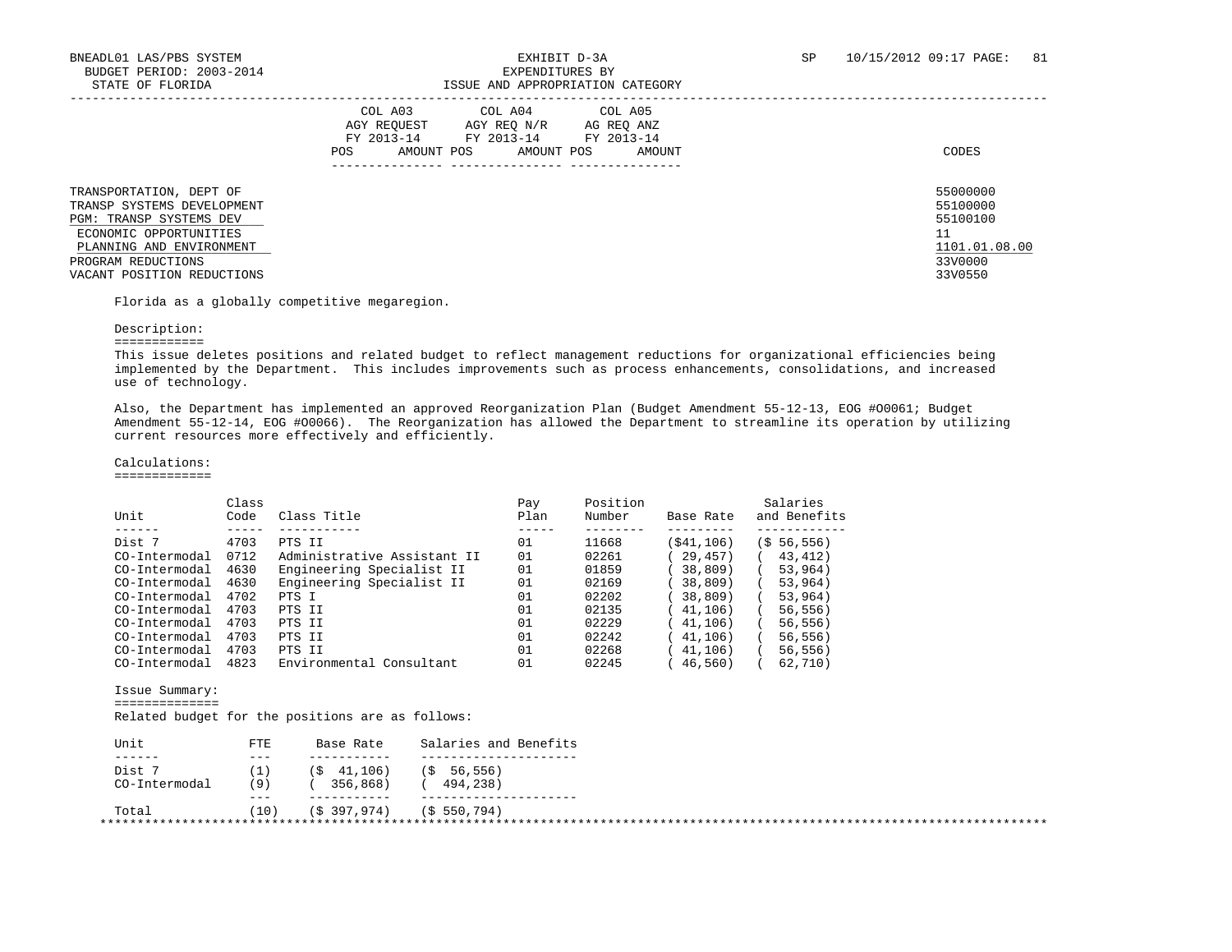| STATE OF FLORIDA                                                                                                                                                                           |                                                                                                                                                                  |                                                                               |
|--------------------------------------------------------------------------------------------------------------------------------------------------------------------------------------------|------------------------------------------------------------------------------------------------------------------------------------------------------------------|-------------------------------------------------------------------------------|
|                                                                                                                                                                                            | COL A03<br>COL A04<br>COL A05<br>AGY REO N/R<br>AGY REOUEST<br>AG REO ANZ<br>FY 2013-14<br>FY 2013-14<br>FY 2013-14<br>AMOUNT POS<br>AMOUNT POS<br>AMOUNT<br>POS | CODES                                                                         |
| TRANSPORTATION, DEPT OF<br>TRANSP SYSTEMS DEVELOPMENT<br>PGM: TRANSP SYSTEMS DEV<br>ECONOMIC OPPORTUNITIES<br>PLANNING AND ENVIRONMENT<br>PROGRAM REDUCTIONS<br>VACANT POSITION REDUCTIONS |                                                                                                                                                                  | 55000000<br>55100000<br>55100100<br>11<br>1101.01.08.00<br>33V0000<br>33V0550 |

Florida as a globally competitive megaregion.

### Description:

============

 This issue deletes positions and related budget to reflect management reductions for organizational efficiencies being implemented by the Department. This includes improvements such as process enhancements, consolidations, and increased use of technology.

 Also, the Department has implemented an approved Reorganization Plan (Budget Amendment 55-12-13, EOG #O0061; Budget Amendment 55-12-14, EOG #O0066). The Reorganization has allowed the Department to streamline its operation by utilizing current resources more effectively and efficiently.

### Calculations:

=============

|               | Class |                             | Pay  | Position |            | Salaries       |
|---------------|-------|-----------------------------|------|----------|------------|----------------|
| Unit          | Code  | Class Title                 | Plan | Number   | Base Rate  | and Benefits   |
|               |       |                             |      |          |            |                |
| Dist 7        | 4703  | PTS II                      | 01   | 11668    | (\$41,106) | $(5\ 56, 556)$ |
| CO-Intermodal | 0712  | Administrative Assistant II | 01   | 02261    | 29,457)    | 43,412)        |
| CO-Intermodal | 4630  | Engineering Specialist II   | 01   | 01859    | 38,809     | 53,964)        |
| CO-Intermodal | 4630  | Engineering Specialist II   | 01   | 02169    | 38,809)    | 53,964)        |
| CO-Intermodal | 4702  | PTS I                       | 01   | 02202    | 38,809)    | 53,964)        |
| CO-Intermodal | 4703  | PTS II                      | 01   | 02135    | 41, 106)   | 56, 556)       |
| CO-Intermodal | 4703  | PTS II                      | 01   | 02229    | 41,106)    | 56, 556)       |
| CO-Intermodal | 4703  | PTS II                      | 01   | 02242    | 41,106)    | 56, 556)       |
| CO-Intermodal | 4703  | PTS II                      | 01   | 02268    | 41,106)    | 56, 556)       |
| CO-Intermodal | 4823  | Environmental Consultant    | 01   | 02245    | 46,560)    | 62,710)        |
|               |       |                             |      |          |            |                |

Issue Summary:

==============

Related budget for the positions are as follows:

| FTE     | Base Rate    | Salaries and Benefits |
|---------|--------------|-----------------------|
| $- - -$ |              |                       |
|         | (5, 41, 106) | (S 56, 556)           |
| (9)     | 356,868)     | 494,238)              |
| $- - -$ |              |                       |
| (10)    | (\$397,974)  | (\$550,794)           |
|         |              |                       |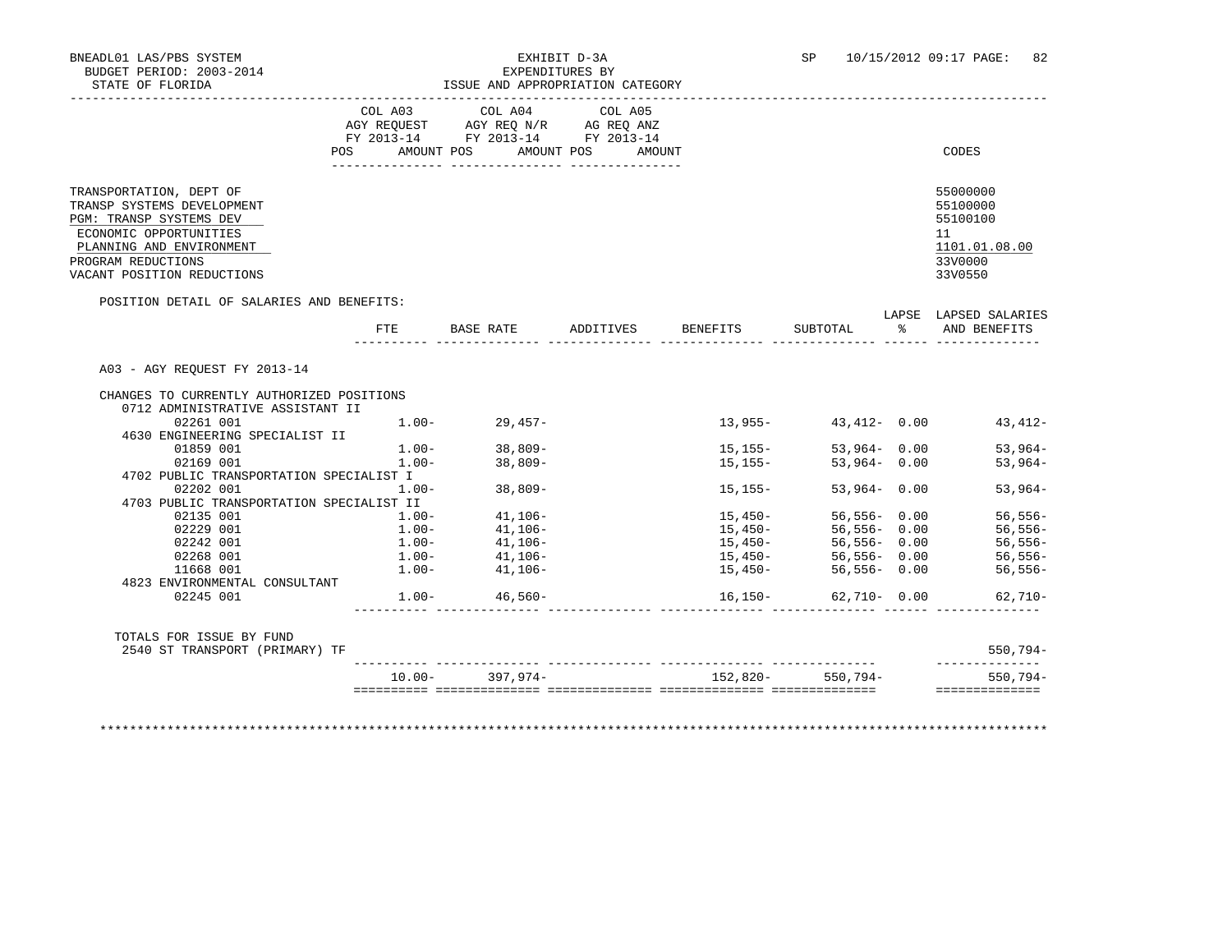|                                                                                                                                                                                            | COL A03  | COL A04<br>AGY REQUEST AGY REQ N/R AG REQ ANZ<br>FY 2013-14 FY 2013-14 FY 2013-14 | COL A05              |             |                                                                                                          |                                                                                   |
|--------------------------------------------------------------------------------------------------------------------------------------------------------------------------------------------|----------|-----------------------------------------------------------------------------------|----------------------|-------------|----------------------------------------------------------------------------------------------------------|-----------------------------------------------------------------------------------|
|                                                                                                                                                                                            | POS      | AMOUNT POS                                                                        | AMOUNT POS<br>AMOUNT |             |                                                                                                          | CODES                                                                             |
| TRANSPORTATION, DEPT OF<br>TRANSP SYSTEMS DEVELOPMENT<br>PGM: TRANSP SYSTEMS DEV<br>ECONOMIC OPPORTUNITIES<br>PLANNING AND ENVIRONMENT<br>PROGRAM REDUCTIONS<br>VACANT POSITION REDUCTIONS |          |                                                                                   |                      |             |                                                                                                          | 55000000<br>55100000<br>55100100<br>11<br>1101.01.08.00<br>33V0000<br>33V0550     |
| POSITION DETAIL OF SALARIES AND BENEFITS:                                                                                                                                                  | FTE      | BASE RATE ADDITIVES BENEFITS                                                      |                      |             |                                                                                                          | LAPSE LAPSED SALARIES<br>SUBTOTAL % AND BENEFITS                                  |
|                                                                                                                                                                                            |          |                                                                                   |                      |             |                                                                                                          |                                                                                   |
|                                                                                                                                                                                            |          |                                                                                   |                      |             |                                                                                                          |                                                                                   |
| A03 - AGY REOUEST FY 2013-14                                                                                                                                                               |          |                                                                                   |                      |             |                                                                                                          |                                                                                   |
| CHANGES TO CURRENTLY AUTHORIZED POSITIONS                                                                                                                                                  |          |                                                                                   |                      |             |                                                                                                          |                                                                                   |
| 0712 ADMINISTRATIVE ASSISTANT II                                                                                                                                                           |          |                                                                                   |                      |             |                                                                                                          |                                                                                   |
| 02261 001                                                                                                                                                                                  |          | $1.00 - 29,457 -$                                                                 |                      |             |                                                                                                          |                                                                                   |
| 4630 ENGINEERING SPECIALIST II                                                                                                                                                             |          |                                                                                   |                      |             |                                                                                                          |                                                                                   |
| 01859 001                                                                                                                                                                                  |          | $1.00 - 38,809 -$                                                                 |                      | 15,155-     | $53,964 - 0.00$                                                                                          |                                                                                   |
| 02169 001                                                                                                                                                                                  | $1.00 -$ | $38,809-$                                                                         |                      | $15, 155 -$ | $53,964 - 0.00$                                                                                          |                                                                                   |
| 4702 PUBLIC TRANSPORTATION SPECIALIST I                                                                                                                                                    |          |                                                                                   |                      |             |                                                                                                          |                                                                                   |
| 02202 001                                                                                                                                                                                  | $1.00 -$ | $38,809-$                                                                         |                      | 15,155-     | $53,964 - 0.00$                                                                                          |                                                                                   |
| 4703 PUBLIC TRANSPORTATION SPECIALIST II                                                                                                                                                   |          |                                                                                   |                      |             |                                                                                                          |                                                                                   |
| 02135 001                                                                                                                                                                                  | $1.00 -$ | $41,106-$                                                                         |                      | 15,450-     | 56,556- 0.00                                                                                             | $13,955 43,412-$ 0.00 $43,412-$<br>53,964-<br>$53,964-$<br>$53,964-$<br>$56,556-$ |
| 02229 001                                                                                                                                                                                  |          | $1.00 - 41,106 -$                                                                 |                      |             | $15,450-56,556-0.00$                                                                                     | 56,556-                                                                           |
| 02242 001                                                                                                                                                                                  |          |                                                                                   |                      |             |                                                                                                          |                                                                                   |
| 02268 001<br>11668 001                                                                                                                                                                     |          | $1.00-$<br>$1.00-$<br>$41,106-$<br>$41,106-$                                      |                      |             | 15,450-                  56,556-     0.00<br>15,450-                  56,556-    0.00<br>$56.556 - 0.00$ |                                                                                   |
| 4823 ENVIRONMENTAL CONSULTANT                                                                                                                                                              |          | $1.00 - 41,106 -$                                                                 |                      | $15,450-$   |                                                                                                          | $56,556-$<br>56,556-<br>$56,556-$                                                 |
| 02245 001                                                                                                                                                                                  |          | $1.00 - 46,560 -$                                                                 |                      | $16, 150 -$ | $62,710 - 0.00$                                                                                          |                                                                                   |
| TOTALS FOR ISSUE BY FUND<br>2540 ST TRANSPORT (PRIMARY) TF                                                                                                                                 |          |                                                                                   |                      |             |                                                                                                          | $62,710-$<br>$550,794-$<br>--------------                                         |

\*\*\*\*\*\*\*\*\*\*\*\*\*\*\*\*\*\*\*\*\*\*\*\*\*\*\*\*\*\*\*\*\*\*\*\*\*\*\*\*\*\*\*\*\*\*\*\*\*\*\*\*\*\*\*\*\*\*\*\*\*\*\*\*\*\*\*\*\*\*\*\*\*\*\*\*\*\*\*\*\*\*\*\*\*\*\*\*\*\*\*\*\*\*\*\*\*\*\*\*\*\*\*\*\*\*\*\*\*\*\*\*\*\*\*\*\*\*\*\*\*\*\*\*\*\*\*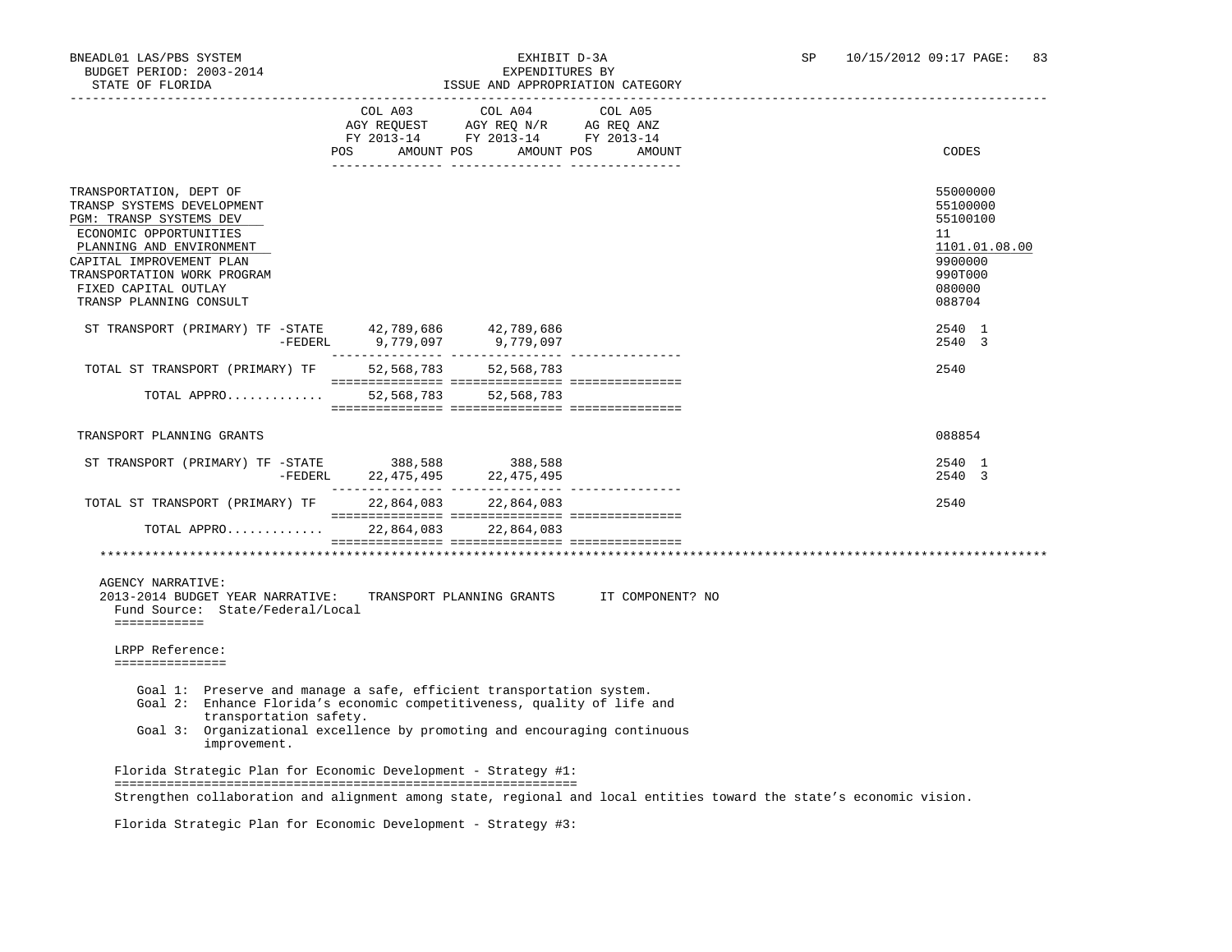| STATE OF FLORIDA                                                                                                                                                                                                                                                       |                                                                                                     | ISSUE AND APPROPRIATION CATEGORY |                                                                                                                     |                                                                                                   |
|------------------------------------------------------------------------------------------------------------------------------------------------------------------------------------------------------------------------------------------------------------------------|-----------------------------------------------------------------------------------------------------|----------------------------------|---------------------------------------------------------------------------------------------------------------------|---------------------------------------------------------------------------------------------------|
|                                                                                                                                                                                                                                                                        | AGY REQUEST AGY REQ N/R AG REQ ANZ<br>FY 2013-14 FY 2013-14 FY 2013-14<br>POS AMOUNT POS AMOUNT POS | COL A03 COL A04                  | COL A05<br>AMOUNT                                                                                                   | CODES                                                                                             |
| TRANSPORTATION, DEPT OF<br>TRANSP SYSTEMS DEVELOPMENT<br>PGM: TRANSP SYSTEMS DEV<br>ECONOMIC OPPORTUNITIES<br>PLANNING AND ENVIRONMENT<br>CAPITAL IMPROVEMENT PLAN<br>TRANSPORTATION WORK PROGRAM<br>FIXED CAPITAL OUTLAY<br>TRANSP PLANNING CONSULT                   |                                                                                                     |                                  |                                                                                                                     | 55000000<br>55100000<br>55100100<br>11<br>1101.01.08.00<br>9900000<br>990T000<br>080000<br>088704 |
| ST TRANSPORT (PRIMARY) TF -STATE 42,789,686 42,789,686                                                                                                                                                                                                                 |                                                                                                     |                                  |                                                                                                                     | 2540 1<br>2540 3                                                                                  |
| TOTAL ST TRANSPORT (PRIMARY) TF 52,568,783 52,568,783                                                                                                                                                                                                                  |                                                                                                     |                                  |                                                                                                                     | 2540                                                                                              |
| TOTAL APPRO 52,568,783 52,568,783                                                                                                                                                                                                                                      |                                                                                                     |                                  |                                                                                                                     |                                                                                                   |
| TRANSPORT PLANNING GRANTS                                                                                                                                                                                                                                              |                                                                                                     |                                  |                                                                                                                     | 088854                                                                                            |
| ST TRANSPORT (PRIMARY) TF $-$ STATE 388,588 388,588                                                                                                                                                                                                                    |                                                                                                     |                                  |                                                                                                                     | 2540 1<br>2540 3                                                                                  |
| TOTAL ST TRANSPORT (PRIMARY) TF 22,864,083 22,864,083                                                                                                                                                                                                                  |                                                                                                     |                                  |                                                                                                                     | 2540                                                                                              |
| TOTAL APPRO 22,864,083 22,864,083                                                                                                                                                                                                                                      |                                                                                                     |                                  |                                                                                                                     |                                                                                                   |
| AGENCY NARRATIVE:<br>2013-2014 BUDGET YEAR NARRATIVE:<br>Fund Source: State/Federal/Local<br><b>EEEEEEEEEEE</b>                                                                                                                                                        |                                                                                                     |                                  | TRANSPORT PLANNING GRANTS IT COMPONENT? NO                                                                          |                                                                                                   |
| LRPP Reference:<br>===============                                                                                                                                                                                                                                     |                                                                                                     |                                  |                                                                                                                     |                                                                                                   |
| Goal 1: Preserve and manage a safe, efficient transportation system.<br>Goal 2: Enhance Florida's economic competitiveness, quality of life and<br>transportation safety.<br>Goal 3: Organizational excellence by promoting and encouraging continuous<br>improvement. |                                                                                                     |                                  |                                                                                                                     |                                                                                                   |
| Florida Strategic Plan for Economic Development - Strategy #1:                                                                                                                                                                                                         |                                                                                                     |                                  |                                                                                                                     |                                                                                                   |
|                                                                                                                                                                                                                                                                        |                                                                                                     |                                  | Strengthen collaboration and alignment among state, regional and local entities toward the state's economic vision. |                                                                                                   |

Florida Strategic Plan for Economic Development - Strategy #3: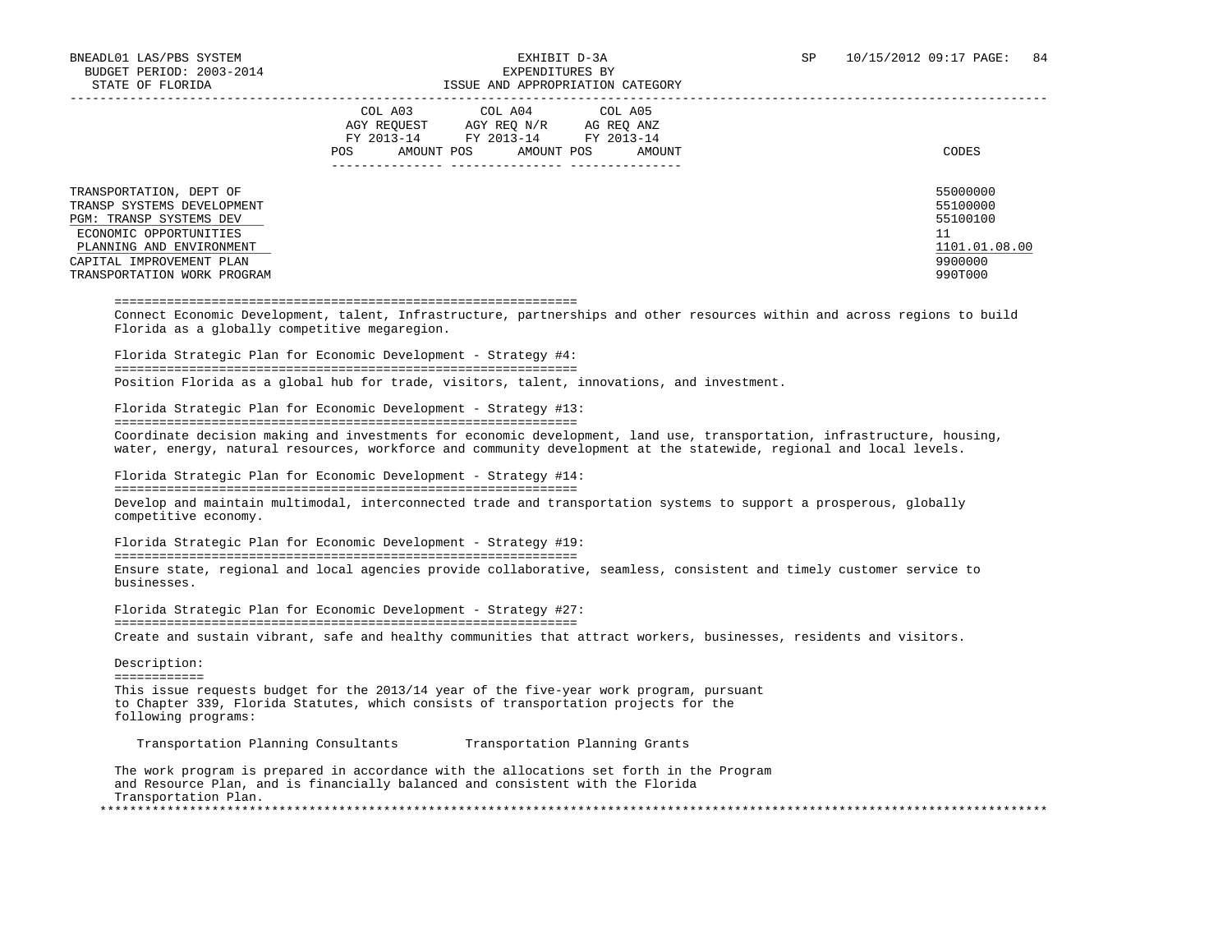|                                                                                                                                                                                                   | COL A03<br>COL A04<br>COL A05<br>AGY REOUEST<br>AGY REO N/R<br>AG REO ANZ<br>FY 2013-14<br>FY 2013-14<br>FY 2013-14<br>AMOUNT POS<br><b>POS</b><br>AMOUNT POS<br>AMOUNT | CODES                                                                         |
|---------------------------------------------------------------------------------------------------------------------------------------------------------------------------------------------------|-------------------------------------------------------------------------------------------------------------------------------------------------------------------------|-------------------------------------------------------------------------------|
| TRANSPORTATION, DEPT OF<br>TRANSP SYSTEMS DEVELOPMENT<br>PGM: TRANSP SYSTEMS DEV<br>ECONOMIC OPPORTUNITIES<br>PLANNING AND ENVIRONMENT<br>CAPITAL IMPROVEMENT PLAN<br>TRANSPORTATION WORK PROGRAM |                                                                                                                                                                         | 55000000<br>55100000<br>55100100<br>11<br>1101.01.08.00<br>9900000<br>990T000 |

#### ==============================================================

 Connect Economic Development, talent, Infrastructure, partnerships and other resources within and across regions to build Florida as a globally competitive megaregion.

 Florida Strategic Plan for Economic Development - Strategy #4: ============================================================== Position Florida as a global hub for trade, visitors, talent, innovations, and investment.

Florida Strategic Plan for Economic Development - Strategy #13:

==============================================================

 Coordinate decision making and investments for economic development, land use, transportation, infrastructure, housing, water, energy, natural resources, workforce and community development at the statewide, regional and local levels.

 Florida Strategic Plan for Economic Development - Strategy #14: ============================================================== Develop and maintain multimodal, interconnected trade and transportation systems to support a prosperous, globally competitive economy.

 Florida Strategic Plan for Economic Development - Strategy #19: ============================================================== Ensure state, regional and local agencies provide collaborative, seamless, consistent and timely customer service to businesses.

 Florida Strategic Plan for Economic Development - Strategy #27: ============================================================== Create and sustain vibrant, safe and healthy communities that attract workers, businesses, residents and visitors.

 Description: ============ This issue requests budget for the 2013/14 year of the five-year work program, pursuant to Chapter 339, Florida Statutes, which consists of transportation projects for the following programs:

Transportation Planning Consultants Transportation Planning Grants

 The work program is prepared in accordance with the allocations set forth in the Program and Resource Plan, and is financially balanced and consistent with the Florida Transportation Plan. \*\*\*\*\*\*\*\*\*\*\*\*\*\*\*\*\*\*\*\*\*\*\*\*\*\*\*\*\*\*\*\*\*\*\*\*\*\*\*\*\*\*\*\*\*\*\*\*\*\*\*\*\*\*\*\*\*\*\*\*\*\*\*\*\*\*\*\*\*\*\*\*\*\*\*\*\*\*\*\*\*\*\*\*\*\*\*\*\*\*\*\*\*\*\*\*\*\*\*\*\*\*\*\*\*\*\*\*\*\*\*\*\*\*\*\*\*\*\*\*\*\*\*\*\*\*\*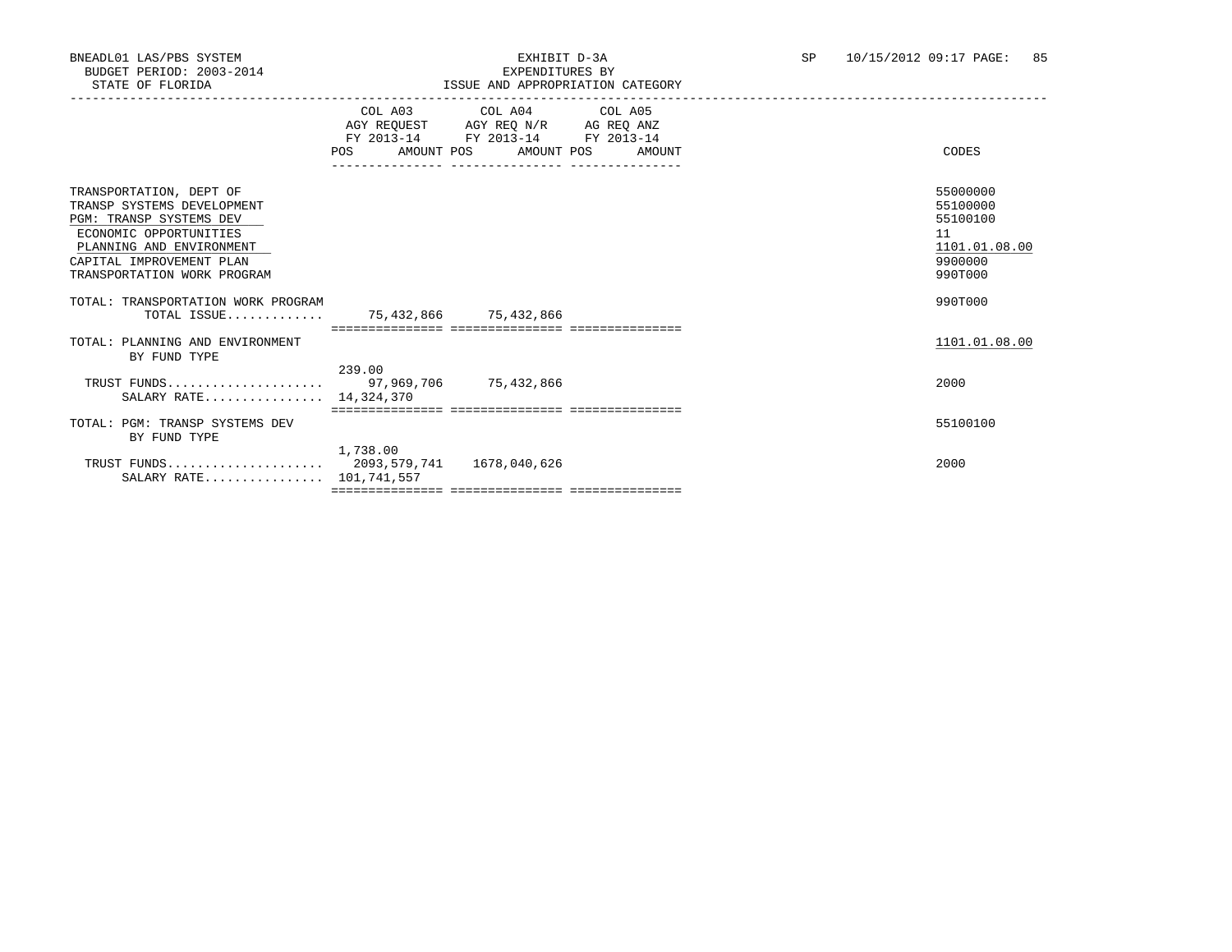|                                                                                                                                                                                                   | POS                                                      | COL A03 COL A04 COL A05<br>AGY REQUEST AGY REQ N/R AG REQ ANZ<br>FY 2013-14 FY 2013-14 FY 2013-14<br>AMOUNT POS AMOUNT POS AMOUNT<br>------------- | CODES                                                                         |
|---------------------------------------------------------------------------------------------------------------------------------------------------------------------------------------------------|----------------------------------------------------------|----------------------------------------------------------------------------------------------------------------------------------------------------|-------------------------------------------------------------------------------|
| TRANSPORTATION, DEPT OF<br>TRANSP SYSTEMS DEVELOPMENT<br>PGM: TRANSP SYSTEMS DEV<br>ECONOMIC OPPORTUNITIES<br>PLANNING AND ENVIRONMENT<br>CAPITAL IMPROVEMENT PLAN<br>TRANSPORTATION WORK PROGRAM |                                                          |                                                                                                                                                    | 55000000<br>55100000<br>55100100<br>11<br>1101.01.08.00<br>9900000<br>990T000 |
| TOTAL: TRANSPORTATION WORK PROGRAM<br>TOTAL ISSUE                                                                                                                                                 | 75,432,866 75,432,866<br>=============================== |                                                                                                                                                    | 990T000                                                                       |
| TOTAL: PLANNING AND ENVIRONMENT<br>BY FUND TYPE                                                                                                                                                   |                                                          |                                                                                                                                                    | 1101.01.08.00                                                                 |
| SALARY RATE 14,324,370                                                                                                                                                                            | 239.00                                                   |                                                                                                                                                    | 2000                                                                          |
| TOTAL: PGM: TRANSP SYSTEMS DEV<br>BY FUND TYPE                                                                                                                                                    |                                                          |                                                                                                                                                    | 55100100                                                                      |
| SALARY RATE 101,741,557                                                                                                                                                                           | 1,738.00                                                 |                                                                                                                                                    | 2000                                                                          |
|                                                                                                                                                                                                   |                                                          |                                                                                                                                                    |                                                                               |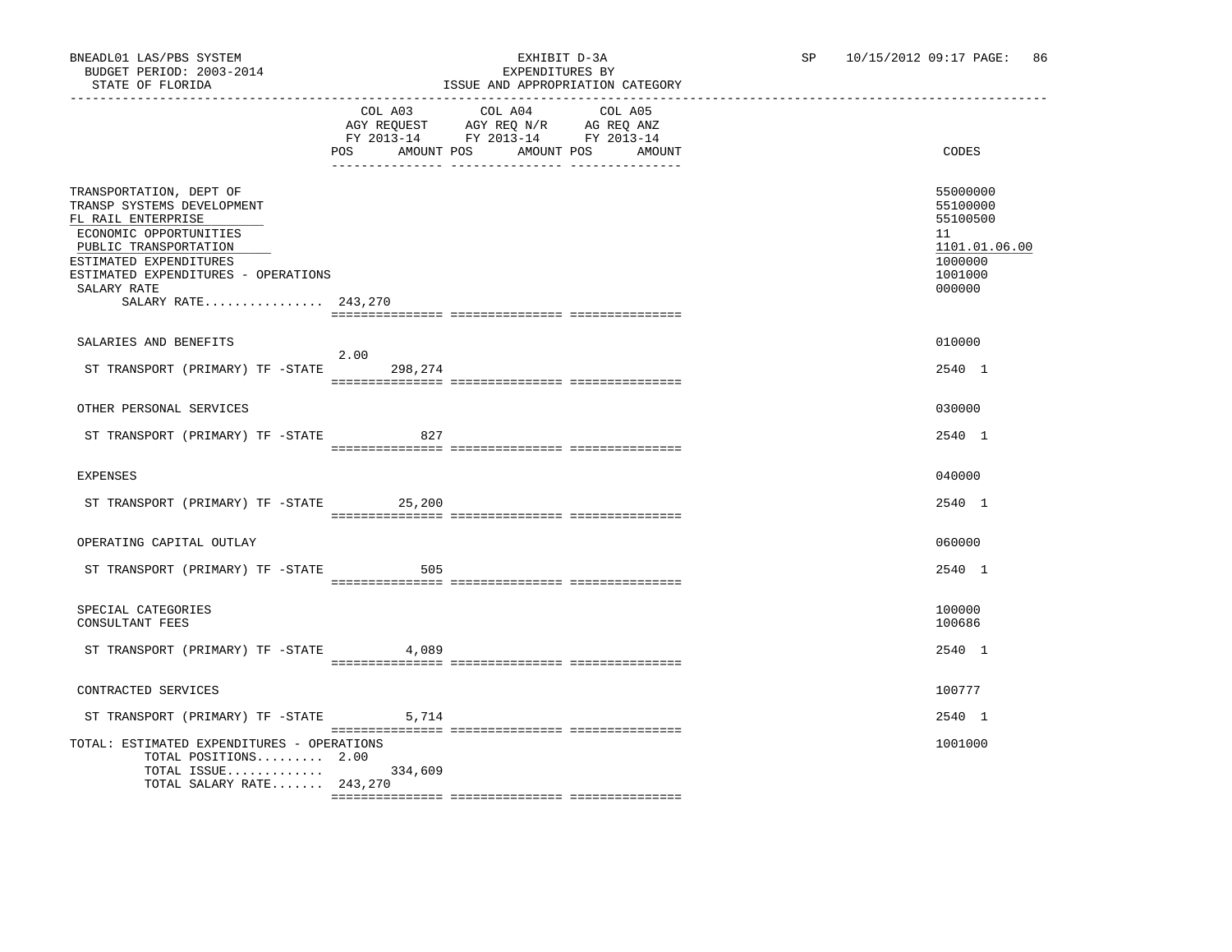|                                                                                                                                                                                                                                       | POS AMOUNT POS AMOUNT POS | COL A03 COL A04 COL A05<br>AGY REQUEST AGY REQ N/R AG REQ ANZ<br>FY 2013-14 FY 2013-14 FY 2013-14 | AMOUNT | CODES                                                                                   |
|---------------------------------------------------------------------------------------------------------------------------------------------------------------------------------------------------------------------------------------|---------------------------|---------------------------------------------------------------------------------------------------|--------|-----------------------------------------------------------------------------------------|
| TRANSPORTATION, DEPT OF<br>TRANSP SYSTEMS DEVELOPMENT<br>FL RAIL ENTERPRISE<br>ECONOMIC OPPORTUNITIES<br>PUBLIC TRANSPORTATION<br>ESTIMATED EXPENDITURES<br>ESTIMATED EXPENDITURES - OPERATIONS<br>SALARY RATE<br>SALARY RATE 243,270 |                           |                                                                                                   |        | 55000000<br>55100000<br>55100500<br>11<br>1101.01.06.00<br>1000000<br>1001000<br>000000 |
| SALARIES AND BENEFITS                                                                                                                                                                                                                 |                           |                                                                                                   |        | 010000                                                                                  |
| ST TRANSPORT (PRIMARY) TF -STATE                                                                                                                                                                                                      | 2.00<br>298,274           |                                                                                                   |        | 2540 1                                                                                  |
| OTHER PERSONAL SERVICES                                                                                                                                                                                                               |                           |                                                                                                   |        | 030000                                                                                  |
| ST TRANSPORT (PRIMARY) TF -STATE                                                                                                                                                                                                      | 827                       |                                                                                                   |        | 2540 1                                                                                  |
| <b>EXPENSES</b>                                                                                                                                                                                                                       |                           |                                                                                                   |        | 040000                                                                                  |
| ST TRANSPORT (PRIMARY) TF -STATE 25,200                                                                                                                                                                                               |                           |                                                                                                   |        | 2540 1                                                                                  |
| OPERATING CAPITAL OUTLAY                                                                                                                                                                                                              |                           |                                                                                                   |        | 060000                                                                                  |
| ST TRANSPORT (PRIMARY) TF -STATE                                                                                                                                                                                                      | 505                       |                                                                                                   |        | 2540 1                                                                                  |
| SPECIAL CATEGORIES<br>CONSULTANT FEES                                                                                                                                                                                                 |                           |                                                                                                   |        | 100000<br>100686                                                                        |
| ST TRANSPORT (PRIMARY) TF -STATE                                                                                                                                                                                                      | 4,089                     |                                                                                                   |        | 2540 1                                                                                  |
| CONTRACTED SERVICES                                                                                                                                                                                                                   |                           |                                                                                                   |        | 100777                                                                                  |
| ST TRANSPORT (PRIMARY) TF -STATE                                                                                                                                                                                                      | 5,714                     |                                                                                                   |        | 2540 1                                                                                  |
| TOTAL: ESTIMATED EXPENDITURES - OPERATIONS<br>TOTAL POSITIONS 2.00<br>TOTAL ISSUE 334,609<br>TOTAL SALARY RATE $243,270$                                                                                                              |                           |                                                                                                   |        | 1001000                                                                                 |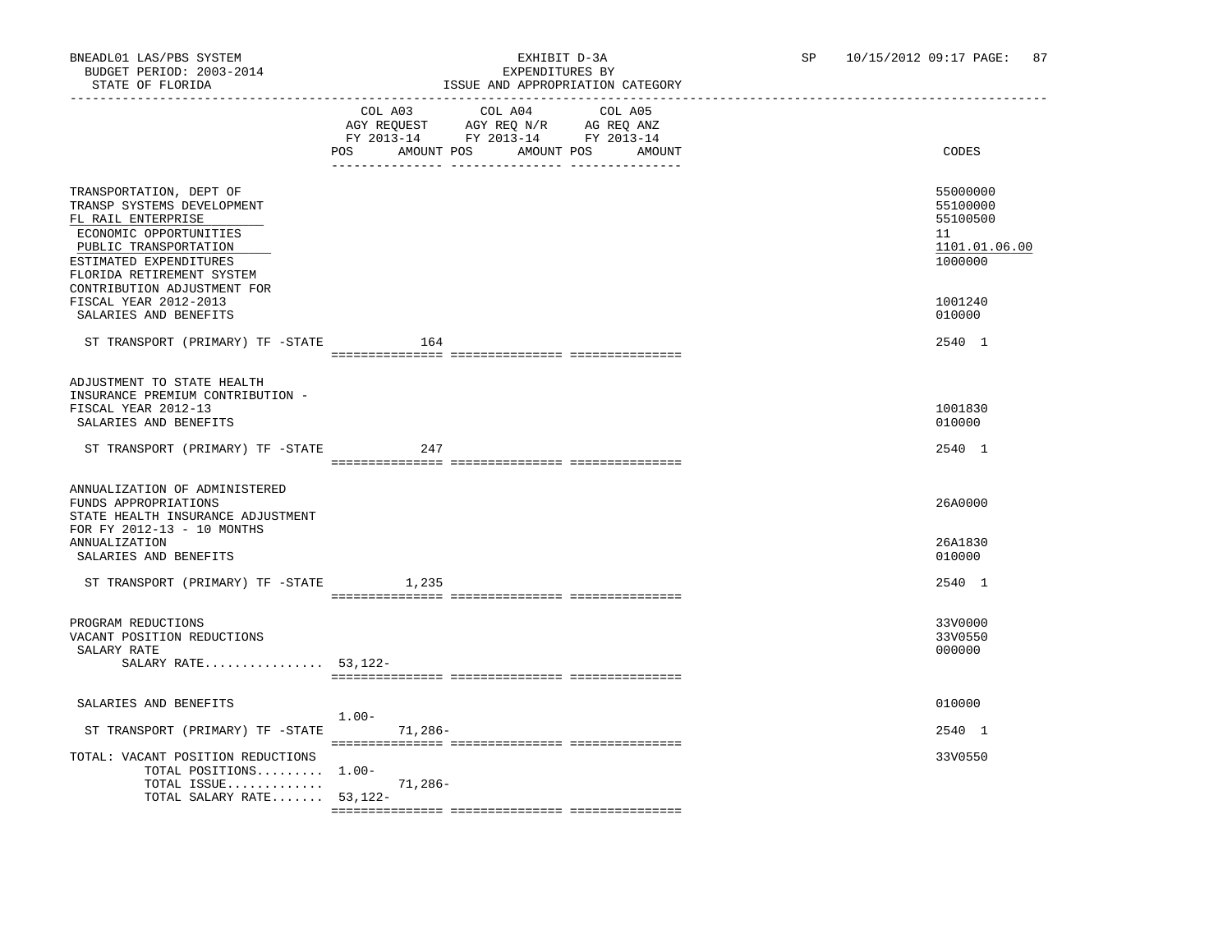|                                                                                                                                                                                       | LOOUE AND AFFROFRIAIION CAIEGORI                                                                                                         |                                                                    |
|---------------------------------------------------------------------------------------------------------------------------------------------------------------------------------------|------------------------------------------------------------------------------------------------------------------------------------------|--------------------------------------------------------------------|
|                                                                                                                                                                                       | COL A03 COL A04<br>COL A05<br>AGY REQUEST AGY REQ N/R AG REQ ANZ<br>FY 2013-14 FY 2013-14 FY 2013-14<br>POS AMOUNT POS AMOUNT POS AMOUNT | CODES                                                              |
| TRANSPORTATION, DEPT OF<br>TRANSP SYSTEMS DEVELOPMENT<br>FL RAIL ENTERPRISE<br>ECONOMIC OPPORTUNITIES<br>PUBLIC TRANSPORTATION<br>ESTIMATED EXPENDITURES<br>FLORIDA RETIREMENT SYSTEM |                                                                                                                                          | 55000000<br>55100000<br>55100500<br>11<br>1101.01.06.00<br>1000000 |
| CONTRIBUTION ADJUSTMENT FOR<br>FISCAL YEAR 2012-2013<br>SALARIES AND BENEFITS                                                                                                         |                                                                                                                                          | 1001240<br>010000                                                  |
| ST TRANSPORT (PRIMARY) TF -STATE                                                                                                                                                      | 164                                                                                                                                      | 2540 1                                                             |
| ADJUSTMENT TO STATE HEALTH<br>INSURANCE PREMIUM CONTRIBUTION -<br>FISCAL YEAR 2012-13<br>SALARIES AND BENEFITS                                                                        |                                                                                                                                          | 1001830<br>010000                                                  |
| ST TRANSPORT (PRIMARY) TF -STATE                                                                                                                                                      | 247                                                                                                                                      | 2540 1                                                             |
| ANNUALIZATION OF ADMINISTERED<br>FUNDS APPROPRIATIONS<br>STATE HEALTH INSURANCE ADJUSTMENT<br>FOR FY 2012-13 - 10 MONTHS<br>ANNUALIZATION<br>SALARIES AND BENEFITS                    |                                                                                                                                          | 26A0000<br>26A1830<br>010000                                       |
| ST TRANSPORT (PRIMARY) TF -STATE                                                                                                                                                      | 1,235                                                                                                                                    | 2540 1                                                             |
| PROGRAM REDUCTIONS<br>VACANT POSITION REDUCTIONS<br>SALARY RATE<br>SALARY RATE 53, 122-                                                                                               |                                                                                                                                          | 33V0000<br>33V0550<br>000000                                       |
| SALARIES AND BENEFITS                                                                                                                                                                 | $1.00 -$                                                                                                                                 | 010000                                                             |
| ST TRANSPORT (PRIMARY) TF -STATE                                                                                                                                                      | $71,286-$                                                                                                                                | 2540 1                                                             |
| TOTAL: VACANT POSITION REDUCTIONS<br>TOTAL POSITIONS 1.00-<br>TOTAL ISSUE<br>TOTAL SALARY RATE $53,122-$                                                                              | 71,286-                                                                                                                                  | 33V0550                                                            |
|                                                                                                                                                                                       |                                                                                                                                          |                                                                    |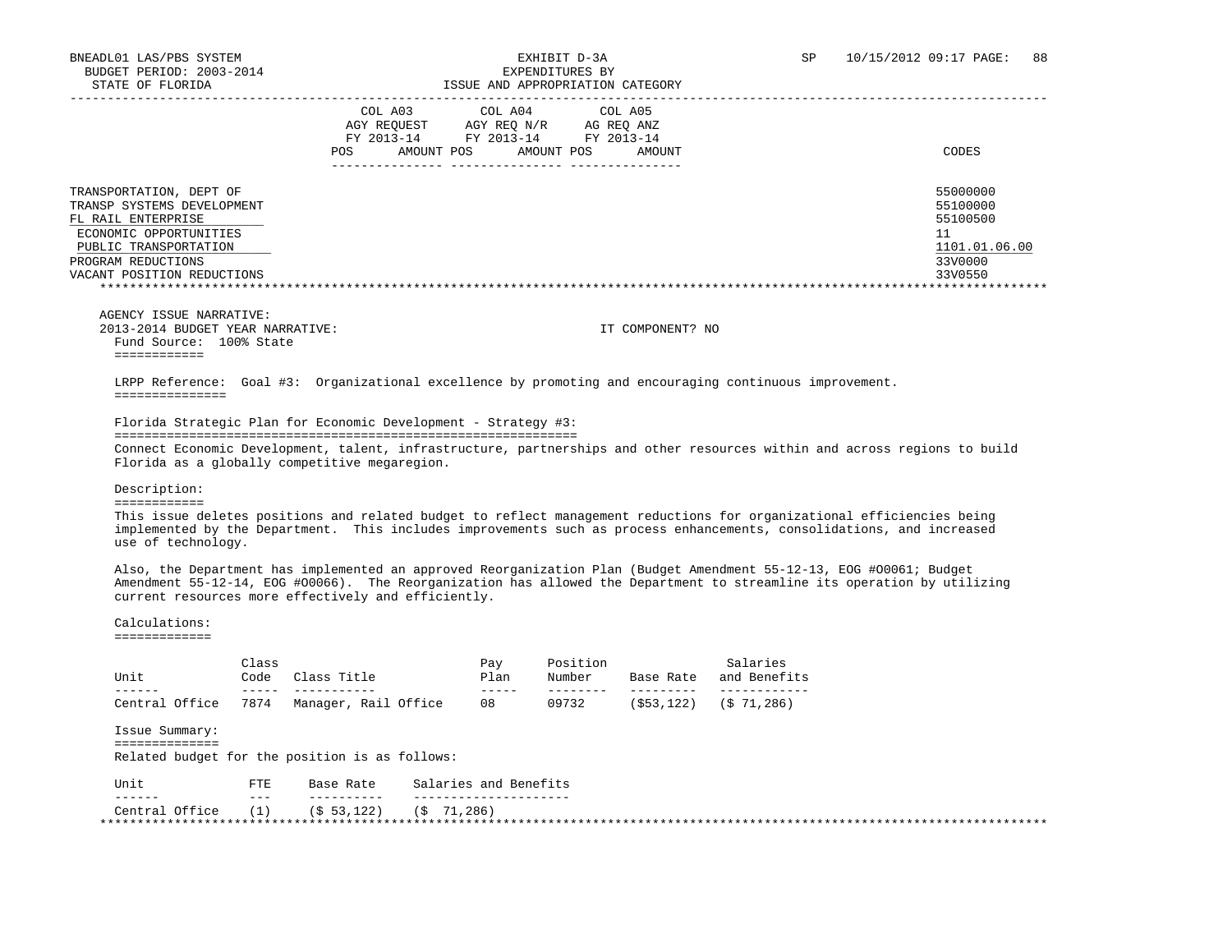|                                  | COL A03     |                                  | COL A04     | COL A05 |                  |               |
|----------------------------------|-------------|----------------------------------|-------------|---------|------------------|---------------|
|                                  | AGY REOUEST |                                  | AGY REO N/R |         | AG REO ANZ       |               |
|                                  |             | FY 2013-14 FY 2013-14 FY 2013-14 |             |         |                  |               |
|                                  | <b>POS</b>  | AMOUNT POS                       | AMOUNT POS  |         | AMOUNT           | CODES         |
|                                  |             |                                  |             |         |                  |               |
| TRANSPORTATION, DEPT OF          |             |                                  |             |         |                  | 55000000      |
| TRANSP SYSTEMS DEVELOPMENT       |             |                                  |             |         |                  | 55100000      |
| FL RAIL ENTERPRISE               |             |                                  |             |         |                  | 55100500      |
| ECONOMIC OPPORTUNITIES           |             |                                  |             |         |                  | 11            |
| PUBLIC TRANSPORTATION            |             |                                  |             |         |                  | 1101.01.06.00 |
| PROGRAM REDUCTIONS               |             |                                  |             |         |                  | 33V0000       |
| VACANT POSITION REDUCTIONS       |             |                                  |             |         |                  | 33V0550       |
|                                  |             |                                  |             |         |                  |               |
|                                  |             |                                  |             |         |                  |               |
| AGENCY ISSUE NARRATIVE:          |             |                                  |             |         |                  |               |
| 2013-2014 BUDGET YEAR NARRATIVE: |             |                                  |             |         | IT COMPONENT? NO |               |

 Fund Source: 100% State ============

 LRPP Reference: Goal #3: Organizational excellence by promoting and encouraging continuous improvement. ===============

Florida Strategic Plan for Economic Development - Strategy #3:

Florida as a globally competitive megaregion.

 ============================================================== Connect Economic Development, talent, infrastructure, partnerships and other resources within and across regions to build

Description:

============

 This issue deletes positions and related budget to reflect management reductions for organizational efficiencies being implemented by the Department. This includes improvements such as process enhancements, consolidations, and increased use of technology.

 Also, the Department has implemented an approved Reorganization Plan (Budget Amendment 55-12-13, EOG #O0061; Budget Amendment 55-12-14, EOG #O0066). The Reorganization has allowed the Department to streamline its operation by utilizing current resources more effectively and efficiently.

 Calculations: =============

| Unit                                           | Class<br>Code   | Class Title          | Pay<br>Plan           | Position<br>Number | Base Rate    | Salaries<br>and Benefits |  |
|------------------------------------------------|-----------------|----------------------|-----------------------|--------------------|--------------|--------------------------|--|
| Central Office                                 | 7874            | Manager, Rail Office | -----<br>08           | 09732              | ( \$53, 122) | (S 71, 286)              |  |
|                                                |                 |                      |                       |                    |              |                          |  |
| Issue Summary:                                 |                 |                      |                       |                    |              |                          |  |
| ===========                                    |                 |                      |                       |                    |              |                          |  |
| Related budget for the position is as follows: |                 |                      |                       |                    |              |                          |  |
| Unit                                           | FTE.<br>$- - -$ | Base Rate            | Salaries and Benefits |                    |              |                          |  |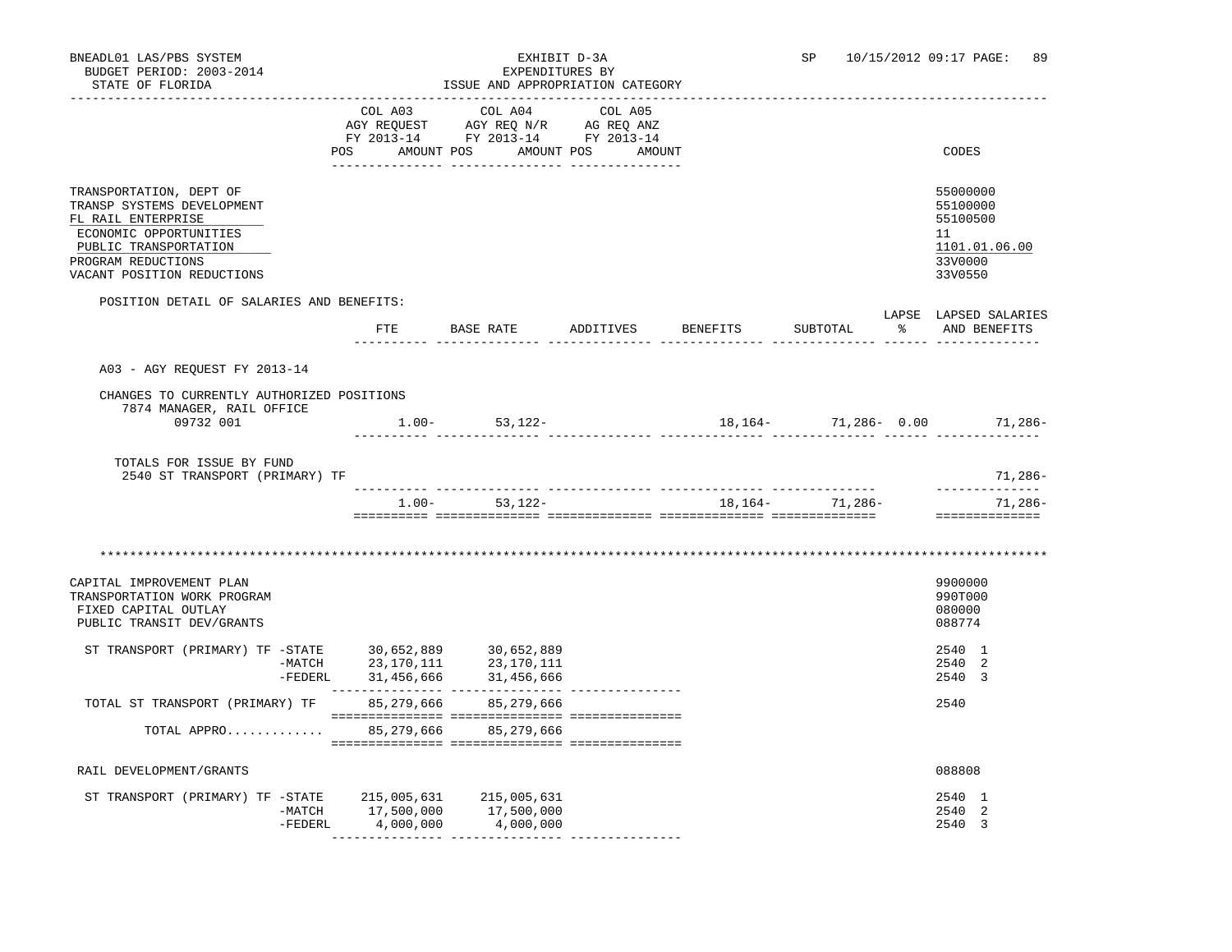| BNEADL01 LAS/PBS SYSTEM<br>BUDGET PERIOD: 2003-2014<br>STATE OF FLORIDA                                                                                                                             |            | EXHIBIT D-3A<br>EXPENDITURES BY<br>ISSUE AND APPROPRIATION CATEGORY                                                                                                                                                                                                                                                                                                                                |  | SP                  |             | 10/15/2012 09:17 PAGE:<br>89                                                  |
|-----------------------------------------------------------------------------------------------------------------------------------------------------------------------------------------------------|------------|----------------------------------------------------------------------------------------------------------------------------------------------------------------------------------------------------------------------------------------------------------------------------------------------------------------------------------------------------------------------------------------------------|--|---------------------|-------------|-------------------------------------------------------------------------------|
|                                                                                                                                                                                                     |            | COL A03 COL A04 COL A05<br>$\begin{array}{ccccccccc} \text{COL} & \text{AUI} & \text{CUL} & \text{AUI} & \text{CUL} & \text{AUI} \\ \text{AGY} & \text{REQUEST} & \text{AGY} & \text{REQ} & \text{N}/\text{R} & \text{AG} & \text{EEQ} & \text{ANZ} \\ \text{FY} & 2013\text{--}14 & \text{FY} & 2013\text{--}14 & \text{FY} & 2013\text{--}14 \\ \end{array}$<br>POS AMOUNT POS AMOUNT POS AMOUNT |  |                     |             | CODES                                                                         |
| TRANSPORTATION, DEPT OF<br>TRANSP SYSTEMS DEVELOPMENT<br>FL RAIL ENTERPRISE<br>ECONOMIC OPPORTUNITIES<br>PUBLIC TRANSPORTATION<br>PROGRAM REDUCTIONS<br>VACANT POSITION REDUCTIONS                  |            |                                                                                                                                                                                                                                                                                                                                                                                                    |  |                     |             | 55000000<br>55100000<br>55100500<br>11<br>1101.01.06.00<br>33V0000<br>33V0550 |
| POSITION DETAIL OF SALARIES AND BENEFITS:                                                                                                                                                           |            | FTE BASE RATE ADDITIVES BENEFITS                                                                                                                                                                                                                                                                                                                                                                   |  | SUBTOTAL            | <u> 양 대</u> | LAPSE LAPSED SALARIES<br>AND BENEFITS                                         |
| A03 - AGY REQUEST FY 2013-14<br>CHANGES TO CURRENTLY AUTHORIZED POSITIONS                                                                                                                           |            |                                                                                                                                                                                                                                                                                                                                                                                                    |  |                     |             |                                                                               |
| 7874 MANAGER, RAIL OFFICE<br>09732 001                                                                                                                                                              |            | $1.00 - 53,122 -$                                                                                                                                                                                                                                                                                                                                                                                  |  |                     |             | $18, 164 - 71, 286 - 0.00$ 71, 286-                                           |
| TOTALS FOR ISSUE BY FUND<br>2540 ST TRANSPORT (PRIMARY) TF                                                                                                                                          |            |                                                                                                                                                                                                                                                                                                                                                                                                    |  |                     |             | 71,286-                                                                       |
|                                                                                                                                                                                                     |            | $1.00 - 53,122 -$                                                                                                                                                                                                                                                                                                                                                                                  |  | 18, 164 - 71, 286 - |             | --------------<br>71,286-<br>==============                                   |
|                                                                                                                                                                                                     |            |                                                                                                                                                                                                                                                                                                                                                                                                    |  |                     |             |                                                                               |
| CAPITAL IMPROVEMENT PLAN<br>TRANSPORTATION WORK PROGRAM<br>FIXED CAPITAL OUTLAY<br>PUBLIC TRANSIT DEV/GRANTS                                                                                        |            |                                                                                                                                                                                                                                                                                                                                                                                                    |  |                     |             | 9900000<br>990T000<br>080000<br>088774                                        |
| $\begin{tabular}{lllllllllll} \texttt{ST TRANSPORT} & (PRIMARY) & TF & -STATE & 30,652,889 & 30,652,889 \\ & -MATCH & 23,170,111 & 23,170,111 \\ & -FEDERL & 31,456,666 & 31,456,666 \end{tabular}$ |            |                                                                                                                                                                                                                                                                                                                                                                                                    |  |                     |             | 2540 1<br>2540 2<br>2540 3                                                    |
| TOTAL ST TRANSPORT (PRIMARY) TF                                                                                                                                                                     | 85,279,666 | 85,279,666                                                                                                                                                                                                                                                                                                                                                                                         |  |                     |             | 2540                                                                          |
| TOTAL APPRO                                                                                                                                                                                         |            | 85,279,666 85,279,666                                                                                                                                                                                                                                                                                                                                                                              |  |                     |             |                                                                               |
| RAIL DEVELOPMENT/GRANTS                                                                                                                                                                             |            |                                                                                                                                                                                                                                                                                                                                                                                                    |  |                     |             | 088808                                                                        |
| ST TRANSPORT (PRIMARY) TF -STATE 215,005,631 215,005,631<br>-MATCH 17,500,000 17,500,000<br>-FEDERL 4,000,000 4,000,000                                                                             |            |                                                                                                                                                                                                                                                                                                                                                                                                    |  |                     |             | 2540 1<br>2540<br>-2<br>2540 3                                                |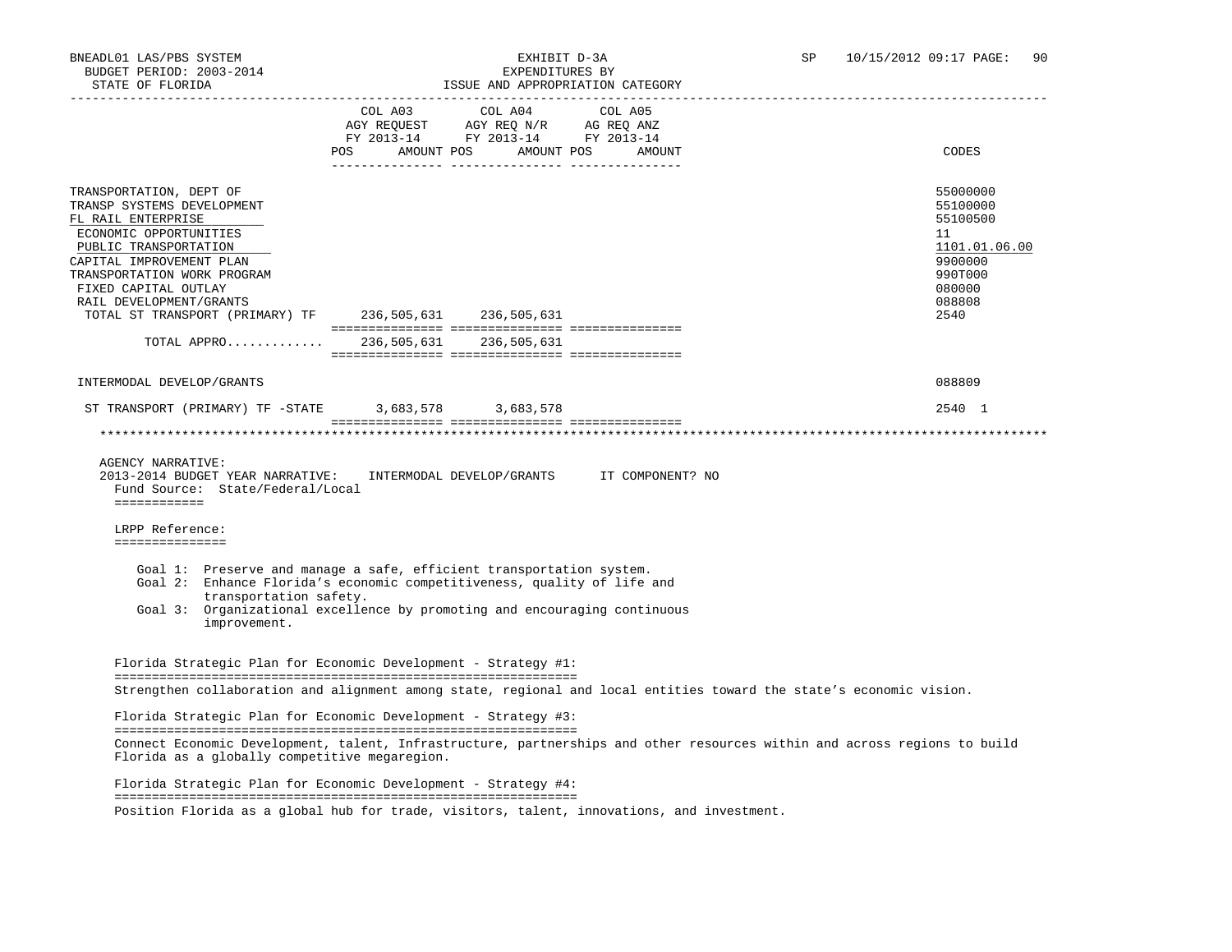BNEADL01 LAS/PBS SYSTEM EXHIBIT D-3A SP 10/15/2012 09:17 PAGE: 90 BUDGET PERIOD: 2003-2014 EXPENDITURES BY STATE OF FLORIDA **ISSUE AND APPROPRIATION CATEGORY**  -----------------------------------------------------------------------------------------------------------------------------------  $COL$   $A04$ AGY REQUEST AGY REQ N/R AG REQ ANZ FY 2013-14 FY 2013-14 FY 2013-14 POS AMOUNT POS AMOUNT POS AMOUNT CODES --------------- --------------- --------------- TRANSPORTATION, DEPT OF 55000000 TRANSP SYSTEMS DEVELOPMENT 55100000 PHOTOS SERVER AND THE SERVER OF THE SERVER OF THE SERVER OF THE SERVER OF THE SERVER OF THE SERVER OF THE SERVER OF THE SERVER OF THE SERVER OF THE SERVER OF THE SERVER OF THE SERVER OF FL RAIL ENTERPRISE ECONOMIC OPPORTUNITIES 11<br>PUBLIC TRANSPORTATION 1101.01.06.00 PUBLIC TRANSPORTATION 1101.01.<br>PAPITAL IMPROVEMENT PLAN CAPITAL IMPROVEMENT PLAN 9900000 TRANSPORTATION WORK PROGRAM FIXED CAPITAL OUTLAY 080000 PHOTOS CONTROLLER IN A SERVICE OF THE SERVICE OF THE SERVICE OF THE SERVICE OF THE<br>RAIL DEVELOPMENT/GRANTS RAIL DEVELOPMENT/GRANTS 088808 TOTAL ST TRANSPORT (PRIMARY) TF 236,505,631 236,505,631 2540 =============== =============== =============== TOTAL APPRO............. 236,505,631 236,505,631 =============== =============== =============== INTERMODAL DEVELOP/GRANTS 088809 ST TRANSPORT (PRIMARY) TF -STATE 3,683,578 3,683,578 2540 1 =============== =============== =============== \*\*\*\*\*\*\*\*\*\*\*\*\*\*\*\*\*\*\*\*\*\*\*\*\*\*\*\*\*\*\*\*\*\*\*\*\*\*\*\*\*\*\*\*\*\*\*\*\*\*\*\*\*\*\*\*\*\*\*\*\*\*\*\*\*\*\*\*\*\*\*\*\*\*\*\*\*\*\*\*\*\*\*\*\*\*\*\*\*\*\*\*\*\*\*\*\*\*\*\*\*\*\*\*\*\*\*\*\*\*\*\*\*\*\*\*\*\*\*\*\*\*\*\*\*\*\* AGENCY NARRATIVE: 2013-2014 BUDGET YEAR NARRATIVE: INTERMODAL DEVELOP/GRANTS IT COMPONENT? NO Fund Source: State/Federal/Local ============ LRPP Reference: =============== Goal 1: Preserve and manage a safe, efficient transportation system. Goal 2: Enhance Florida's economic competitiveness, quality of life and transportation safety. Goal 3: Organizational excellence by promoting and encouraging continuous improvement. Florida Strategic Plan for Economic Development - Strategy #1: ============================================================== Strengthen collaboration and alignment among state, regional and local entities toward the state's economic vision. Florida Strategic Plan for Economic Development - Strategy #3: ============================================================== Connect Economic Development, talent, Infrastructure, partnerships and other resources within and across regions to build Florida as a globally competitive megaregion. Florida Strategic Plan for Economic Development - Strategy #4:

 ============================================================== Position Florida as a global hub for trade, visitors, talent, innovations, and investment.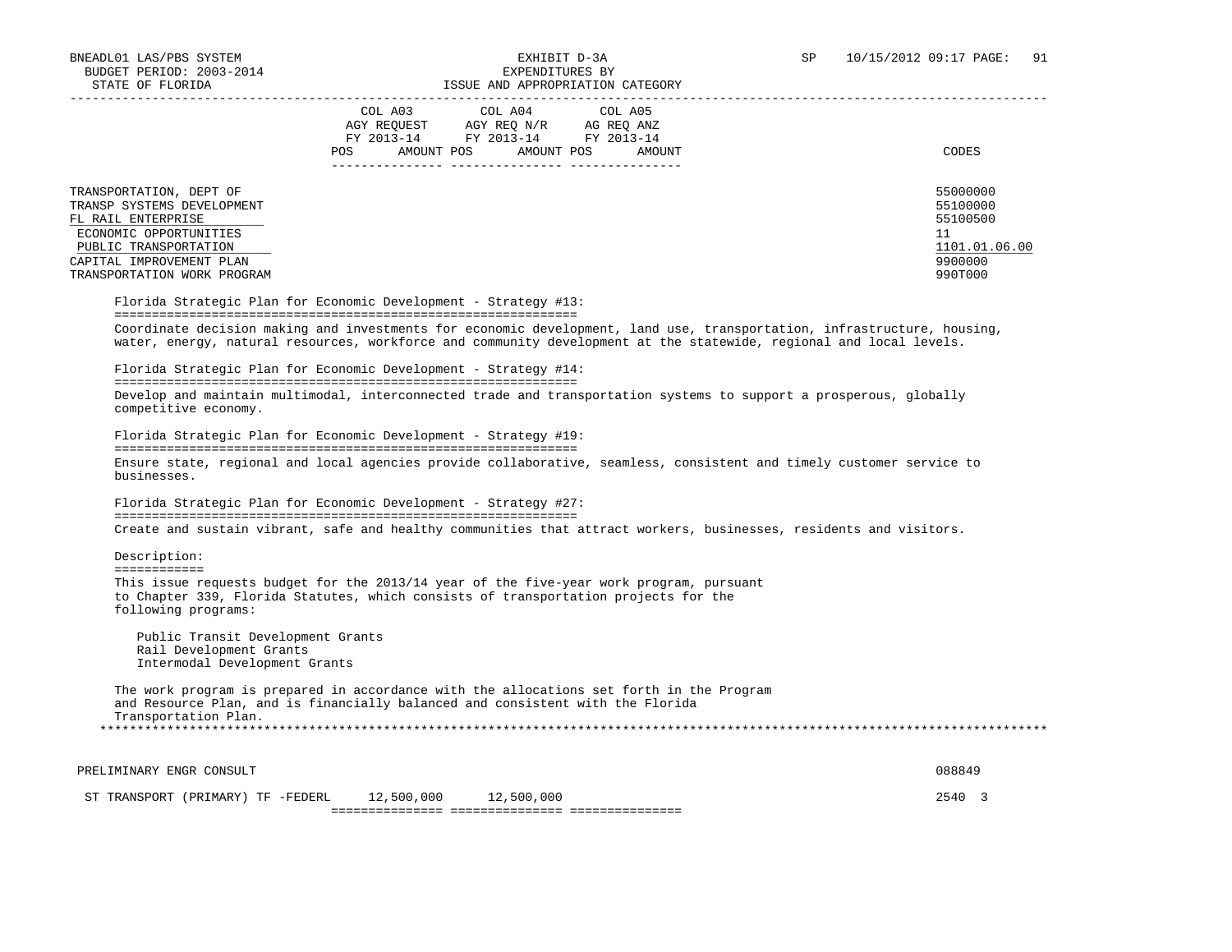| STATE OF FLORIDA                                                                                                                                                                                                                                                                                                                                                                    |                          | ISSUE AND APPROPRIATION CATEGORY                                                                                |        |                                                                               |
|-------------------------------------------------------------------------------------------------------------------------------------------------------------------------------------------------------------------------------------------------------------------------------------------------------------------------------------------------------------------------------------|--------------------------|-----------------------------------------------------------------------------------------------------------------|--------|-------------------------------------------------------------------------------|
|                                                                                                                                                                                                                                                                                                                                                                                     | AMOUNT POS<br><b>POS</b> | COL A03 COL A04 COL A05<br>AGY REQUEST AGY REQ N/R AG REQ ANZ<br>FY 2013-14 FY 2013-14 FY 2013-14<br>AMOUNT POS | AMOUNT | CODES                                                                         |
| TRANSPORTATION, DEPT OF<br>TRANSP SYSTEMS DEVELOPMENT<br>FL RAIL ENTERPRISE<br>ECONOMIC OPPORTUNITIES<br>PUBLIC TRANSPORTATION<br>CAPITAL IMPROVEMENT PLAN<br>TRANSPORTATION WORK PROGRAM                                                                                                                                                                                           |                          |                                                                                                                 |        | 55000000<br>55100000<br>55100500<br>11<br>1101.01.06.00<br>9900000<br>990T000 |
| Florida Strategic Plan for Economic Development - Strategy #13:<br>Coordinate decision making and investments for economic development, land use, transportation, infrastructure, housing,<br>water, energy, natural resources, workforce and community development at the statewide, regional and local levels.<br>Florida Strategic Plan for Economic Development - Strategy #14: |                          |                                                                                                                 |        |                                                                               |
| Develop and maintain multimodal, interconnected trade and transportation systems to support a prosperous, globally<br>competitive economy.                                                                                                                                                                                                                                          |                          |                                                                                                                 |        |                                                                               |
| Florida Strategic Plan for Economic Development - Strategy #19:                                                                                                                                                                                                                                                                                                                     |                          |                                                                                                                 |        |                                                                               |
| Ensure state, regional and local agencies provide collaborative, seamless, consistent and timely customer service to<br>businesses.                                                                                                                                                                                                                                                 |                          |                                                                                                                 |        |                                                                               |
| Florida Strategic Plan for Economic Development - Strategy #27:                                                                                                                                                                                                                                                                                                                     |                          |                                                                                                                 |        |                                                                               |

Create and sustain vibrant, safe and healthy communities that attract workers, businesses, residents and visitors.

 Description: ============

 This issue requests budget for the 2013/14 year of the five-year work program, pursuant to Chapter 339, Florida Statutes, which consists of transportation projects for the following programs:

 Public Transit Development Grants Rail Development Grants Intermodal Development Grants

 The work program is prepared in accordance with the allocations set forth in the Program and Resource Plan, and is financially balanced and consistent with the Florida Transportation Plan. \*\*\*\*\*\*\*\*\*\*\*\*\*\*\*\*\*\*\*\*\*\*\*\*\*\*\*\*\*\*\*\*\*\*\*\*\*\*\*\*\*\*\*\*\*\*\*\*\*\*\*\*\*\*\*\*\*\*\*\*\*\*\*\*\*\*\*\*\*\*\*\*\*\*\*\*\*\*\*\*\*\*\*\*\*\*\*\*\*\*\*\*\*\*\*\*\*\*\*\*\*\*\*\*\*\*\*\*\*\*\*\*\*\*\*\*\*\*\*\*\*\*\*\*\*\*\*

PRELIMINARY ENGR CONSULT 88849 ST TRANSPORT (PRIMARY) TF -FEDERL 12,500,000 12,500,000 2540 3 =============== =============== ===============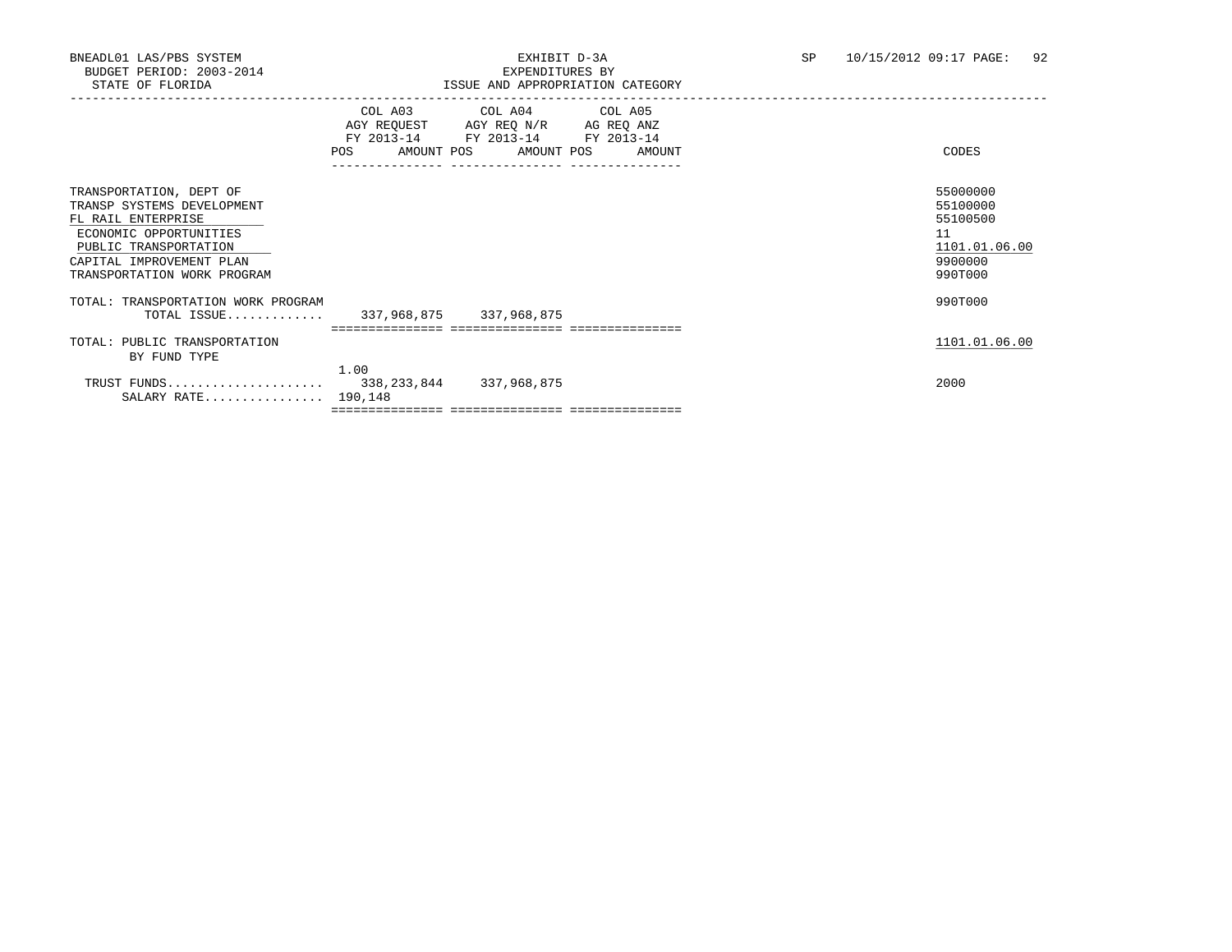|                                                                                                                                                                                           | COL A03<br>AGY REOUEST<br>FY 2013-14<br>AMOUNT POS<br>POS | COL A04 COL A05<br>AGY REQ N/R AG REQ ANZ<br>FY 2013-14<br>AMOUNT POS | FY 2013-14<br>AMOUNT | CODES                                                                         |  |
|-------------------------------------------------------------------------------------------------------------------------------------------------------------------------------------------|-----------------------------------------------------------|-----------------------------------------------------------------------|----------------------|-------------------------------------------------------------------------------|--|
| TRANSPORTATION, DEPT OF<br>TRANSP SYSTEMS DEVELOPMENT<br>FL RAIL ENTERPRISE<br>ECONOMIC OPPORTUNITIES<br>PUBLIC TRANSPORTATION<br>CAPITAL IMPROVEMENT PLAN<br>TRANSPORTATION WORK PROGRAM |                                                           |                                                                       |                      | 55000000<br>55100000<br>55100500<br>11<br>1101.01.06.00<br>9900000<br>990T000 |  |
| TOTAL: TRANSPORTATION WORK PROGRAM<br>TOTAL ISSUE                                                                                                                                         |                                                           | 337,968,875 337,968,875                                               |                      | 990T000                                                                       |  |
| TOTAL: PUBLIC TRANSPORTATION<br>BY FUND TYPE                                                                                                                                              |                                                           |                                                                       |                      | 1101.01.06.00                                                                 |  |
| TRUST FUNDS<br>SALARY RATE                                                                                                                                                                | 190,148                                                   | 338,233,844 337,968,875                                               |                      | 2000                                                                          |  |
|                                                                                                                                                                                           | 1.00                                                      |                                                                       |                      |                                                                               |  |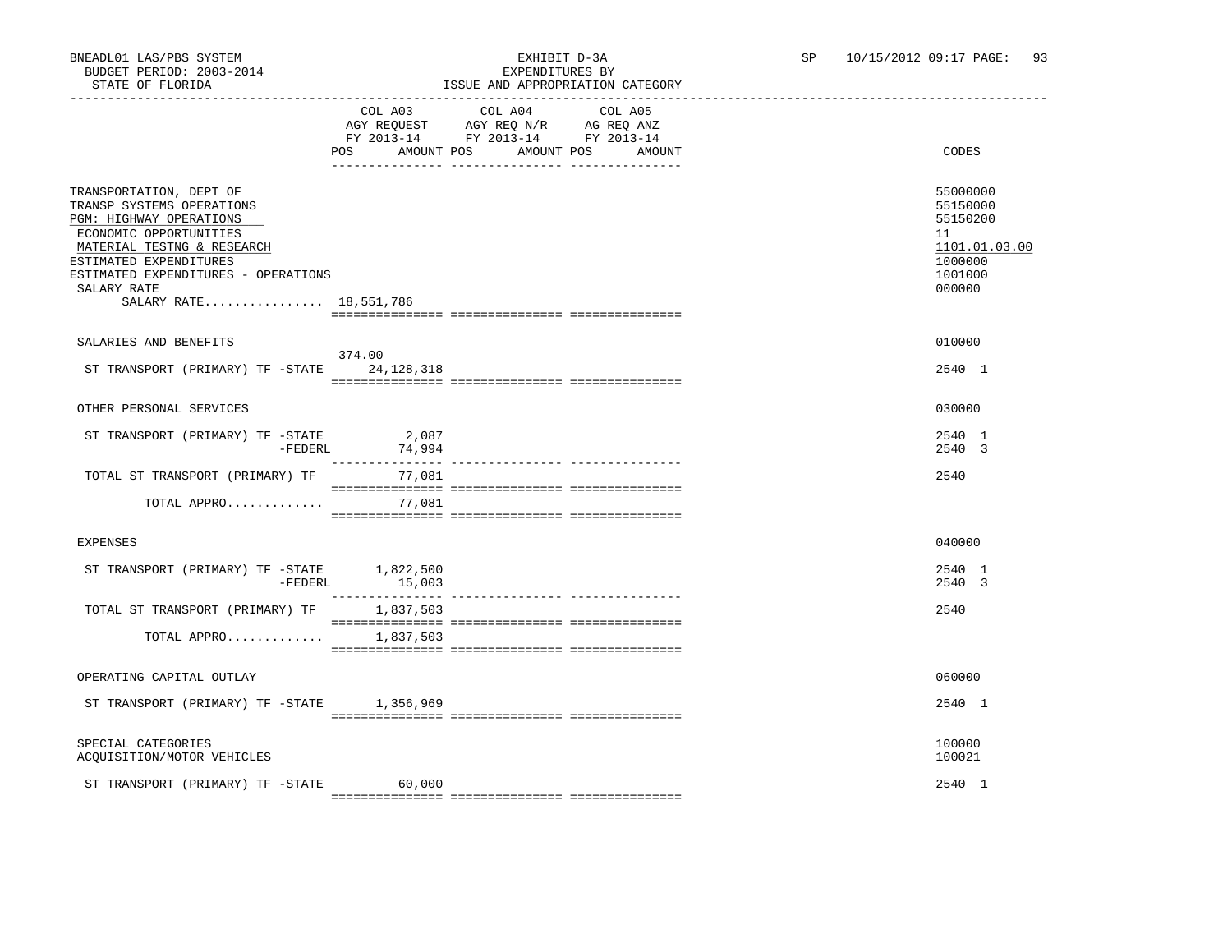### BNEADL01 LAS/PBS SYSTEM EXHIBIT D-3A SP 10/15/2012 09:17 PAGE: 93 ISSUE AND APPROPRIATION CATEGORY

|                                                                                                                                                                                                                                                   | POS AMOUNT POS AMOUNT POS AMOUNT | COL A03 COL A04 COL A05<br>AGY REQUEST AGY REQ N/R AG REQ ANZ<br>FY 2013-14 FY 2013-14 FY 2013-14 |  | CODES                                                                                   |
|---------------------------------------------------------------------------------------------------------------------------------------------------------------------------------------------------------------------------------------------------|----------------------------------|---------------------------------------------------------------------------------------------------|--|-----------------------------------------------------------------------------------------|
| TRANSPORTATION, DEPT OF<br>TRANSP SYSTEMS OPERATIONS<br>PGM: HIGHWAY OPERATIONS<br>ECONOMIC OPPORTUNITIES<br>MATERIAL TESTNG & RESEARCH<br>ESTIMATED EXPENDITURES<br>ESTIMATED EXPENDITURES - OPERATIONS<br>SALARY RATE<br>SALARY RATE 18,551,786 |                                  |                                                                                                   |  | 55000000<br>55150000<br>55150200<br>11<br>1101.01.03.00<br>1000000<br>1001000<br>000000 |
| SALARIES AND BENEFITS                                                                                                                                                                                                                             |                                  |                                                                                                   |  | 010000                                                                                  |
| ST TRANSPORT (PRIMARY) TF -STATE 24, 128, 318                                                                                                                                                                                                     | 374.00                           |                                                                                                   |  | 2540 1                                                                                  |
| OTHER PERSONAL SERVICES                                                                                                                                                                                                                           |                                  |                                                                                                   |  | 030000                                                                                  |
| ST TRANSPORT (PRIMARY) TF -STATE 2,087<br>$-$ FEDERL                                                                                                                                                                                              | 74,994                           |                                                                                                   |  | 2540 1<br>2540 3                                                                        |
| TOTAL ST TRANSPORT (PRIMARY) TF 77,081                                                                                                                                                                                                            |                                  |                                                                                                   |  | 2540                                                                                    |
| TOTAL APPRO 77,081                                                                                                                                                                                                                                |                                  |                                                                                                   |  |                                                                                         |
| <b>EXPENSES</b>                                                                                                                                                                                                                                   |                                  |                                                                                                   |  | 040000                                                                                  |
| ST TRANSPORT (PRIMARY) TF $-$ STATE 1,822,500<br>$-$ FEDERL                                                                                                                                                                                       | 15,003                           |                                                                                                   |  | 2540 1<br>2540 3                                                                        |
| TOTAL ST TRANSPORT (PRIMARY) TF                                                                                                                                                                                                                   | 1,837,503                        |                                                                                                   |  | 2540                                                                                    |
| TOTAL APPRO 1,837,503                                                                                                                                                                                                                             |                                  |                                                                                                   |  |                                                                                         |
| OPERATING CAPITAL OUTLAY                                                                                                                                                                                                                          |                                  |                                                                                                   |  | 060000                                                                                  |
| ST TRANSPORT (PRIMARY) TF -STATE 1,356,969                                                                                                                                                                                                        |                                  |                                                                                                   |  | 2540 1                                                                                  |
| SPECIAL CATEGORIES<br>ACQUISITION/MOTOR VEHICLES                                                                                                                                                                                                  |                                  |                                                                                                   |  | 100000<br>100021                                                                        |
| ST TRANSPORT (PRIMARY) TF -STATE                                                                                                                                                                                                                  | 60,000                           |                                                                                                   |  | 2540 1                                                                                  |

=============== =============== ===============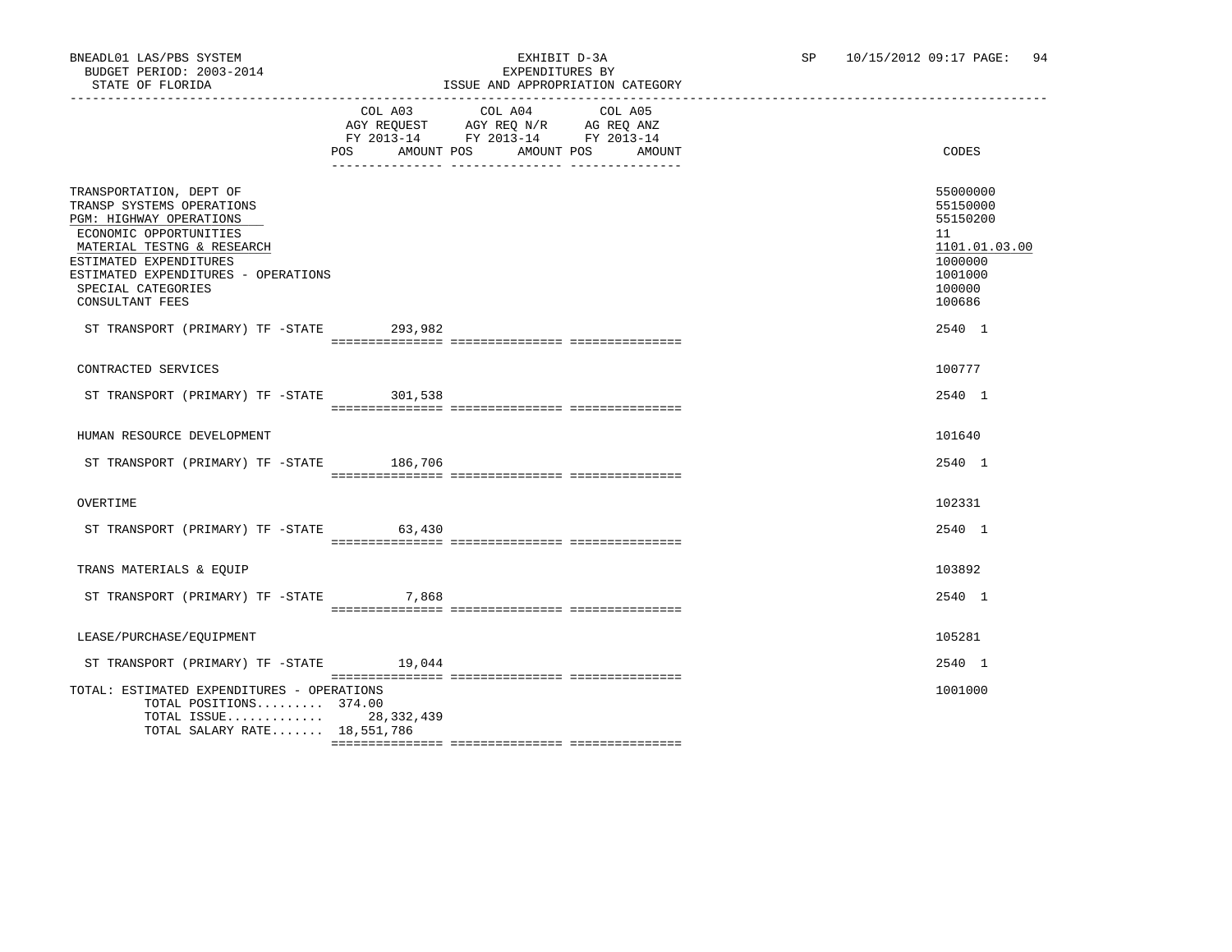|                                                                                                                                                                                                                                                   | POS   | COL A03 COL A04 COL A05<br>AGY REQUEST AGY REQ N/R AG REQ ANZ<br>FY 2013-14 FY 2013-14 FY 2013-14<br>AMOUNT POS AMOUNT POS | AMOUNT | CODES                                                                                             |
|---------------------------------------------------------------------------------------------------------------------------------------------------------------------------------------------------------------------------------------------------|-------|----------------------------------------------------------------------------------------------------------------------------|--------|---------------------------------------------------------------------------------------------------|
| TRANSPORTATION, DEPT OF<br>TRANSP SYSTEMS OPERATIONS<br>PGM: HIGHWAY OPERATIONS<br>ECONOMIC OPPORTUNITIES<br>MATERIAL TESTNG & RESEARCH<br>ESTIMATED EXPENDITURES<br>ESTIMATED EXPENDITURES - OPERATIONS<br>SPECIAL CATEGORIES<br>CONSULTANT FEES |       |                                                                                                                            |        | 55000000<br>55150000<br>55150200<br>11<br>1101.01.03.00<br>1000000<br>1001000<br>100000<br>100686 |
| ST TRANSPORT (PRIMARY) TF -STATE 293,982                                                                                                                                                                                                          |       |                                                                                                                            |        | 2540 1                                                                                            |
| CONTRACTED SERVICES<br>ST TRANSPORT (PRIMARY) TF -STATE 301,538                                                                                                                                                                                   |       |                                                                                                                            |        | 100777<br>2540 1                                                                                  |
| HUMAN RESOURCE DEVELOPMENT<br>ST TRANSPORT (PRIMARY) TF -STATE 186,706                                                                                                                                                                            |       |                                                                                                                            |        | 101640<br>2540 1                                                                                  |
|                                                                                                                                                                                                                                                   |       |                                                                                                                            |        |                                                                                                   |
| OVERTIME                                                                                                                                                                                                                                          |       |                                                                                                                            |        | 102331                                                                                            |
| ST TRANSPORT (PRIMARY) TF -STATE 63,430                                                                                                                                                                                                           |       |                                                                                                                            |        | 2540 1                                                                                            |
| TRANS MATERIALS & EQUIP                                                                                                                                                                                                                           |       |                                                                                                                            |        | 103892                                                                                            |
| ST TRANSPORT (PRIMARY) TF -STATE                                                                                                                                                                                                                  | 7,868 |                                                                                                                            |        | 2540 1                                                                                            |
| LEASE/PURCHASE/EQUIPMENT<br>ST TRANSPORT (PRIMARY) TF -STATE 19,044                                                                                                                                                                               |       |                                                                                                                            |        | 105281<br>2540 1                                                                                  |
|                                                                                                                                                                                                                                                   |       |                                                                                                                            |        |                                                                                                   |
| TOTAL: ESTIMATED EXPENDITURES - OPERATIONS<br>TOTAL POSITIONS 374.00<br>TOTAL ISSUE 28,332,439<br>TOTAL SALARY RATE 18,551,786                                                                                                                    |       |                                                                                                                            |        | 1001000                                                                                           |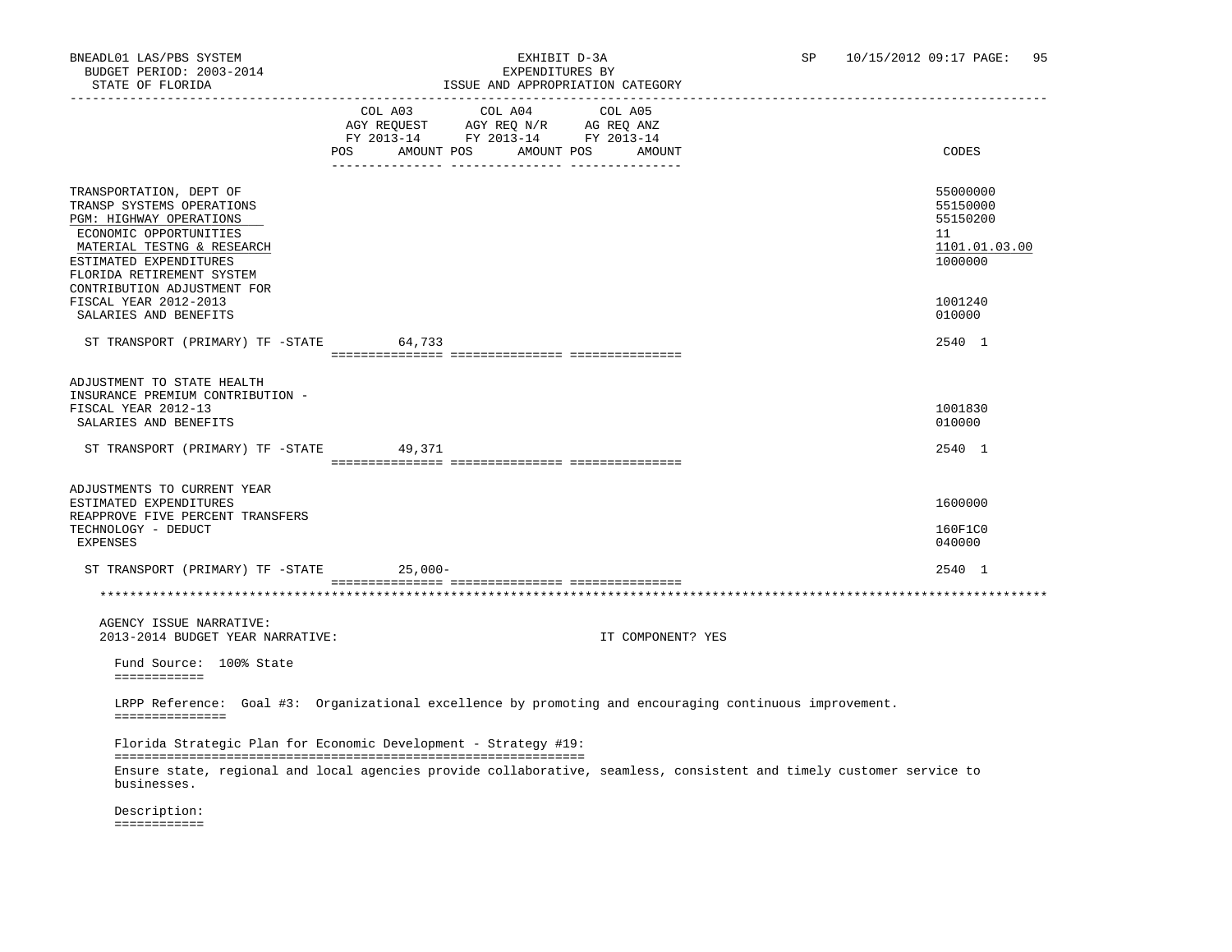## BNEADL01 LAS/PBS SYSTEM EXHIBIT D-3A SP 10/15/2012 09:17 PAGE: 95

| STATE OF FLORIDA                                                                                                                                                                               |                                  |                                                                                           | ISSUE AND APPROPRIATION CATEGORY |                                                                                                                      |                                                                    |
|------------------------------------------------------------------------------------------------------------------------------------------------------------------------------------------------|----------------------------------|-------------------------------------------------------------------------------------------|----------------------------------|----------------------------------------------------------------------------------------------------------------------|--------------------------------------------------------------------|
|                                                                                                                                                                                                | POS AMOUNT POS AMOUNT POS AMOUNT | COL A03 COL A04<br>AGY REQUEST AGY REQ N/R AG REQ ANZ<br>FY 2013-14 FY 2013-14 FY 2013-14 | COL A05                          |                                                                                                                      | CODES                                                              |
| TRANSPORTATION, DEPT OF<br>TRANSP SYSTEMS OPERATIONS<br>PGM: HIGHWAY OPERATIONS<br>ECONOMIC OPPORTUNITIES<br>MATERIAL TESTNG & RESEARCH<br>ESTIMATED EXPENDITURES<br>FLORIDA RETIREMENT SYSTEM |                                  |                                                                                           |                                  |                                                                                                                      | 55000000<br>55150000<br>55150200<br>11<br>1101.01.03.00<br>1000000 |
| CONTRIBUTION ADJUSTMENT FOR<br>FISCAL YEAR 2012-2013<br>SALARIES AND BENEFITS                                                                                                                  |                                  |                                                                                           |                                  |                                                                                                                      | 1001240<br>010000                                                  |
| ST TRANSPORT (PRIMARY) TF -STATE 64,733                                                                                                                                                        |                                  |                                                                                           |                                  |                                                                                                                      | 2540 1                                                             |
| ADJUSTMENT TO STATE HEALTH<br>INSURANCE PREMIUM CONTRIBUTION -<br>FISCAL YEAR 2012-13<br>SALARIES AND BENEFITS                                                                                 |                                  |                                                                                           |                                  |                                                                                                                      | 1001830<br>010000                                                  |
| ST TRANSPORT (PRIMARY) TF -STATE 49,371                                                                                                                                                        |                                  |                                                                                           |                                  |                                                                                                                      | 2540 1                                                             |
| ADJUSTMENTS TO CURRENT YEAR<br>ESTIMATED EXPENDITURES<br>REAPPROVE FIVE PERCENT TRANSFERS<br>TECHNOLOGY - DEDUCT<br><b>EXPENSES</b>                                                            |                                  |                                                                                           |                                  |                                                                                                                      | 1600000<br>160F1C0<br>040000                                       |
| ST TRANSPORT (PRIMARY) TF -STATE                                                                                                                                                               | $25,000-$                        |                                                                                           |                                  |                                                                                                                      | 2540 1                                                             |
|                                                                                                                                                                                                |                                  |                                                                                           |                                  |                                                                                                                      |                                                                    |
| AGENCY ISSUE NARRATIVE:<br>2013-2014 BUDGET YEAR NARRATIVE:                                                                                                                                    |                                  |                                                                                           | IT COMPONENT? YES                |                                                                                                                      |                                                                    |
| Fund Source: 100% State<br>============                                                                                                                                                        |                                  |                                                                                           |                                  |                                                                                                                      |                                                                    |
| LRPP Reference: Goal #3: Organizational excellence by promoting and encouraging continuous improvement.<br>===============                                                                     |                                  |                                                                                           |                                  |                                                                                                                      |                                                                    |
| Florida Strategic Plan for Economic Development - Strategy #19:                                                                                                                                |                                  |                                                                                           |                                  |                                                                                                                      |                                                                    |
| businesses.                                                                                                                                                                                    |                                  |                                                                                           |                                  | Ensure state, regional and local agencies provide collaborative, seamless, consistent and timely customer service to |                                                                    |
| Description:<br>============                                                                                                                                                                   |                                  |                                                                                           |                                  |                                                                                                                      |                                                                    |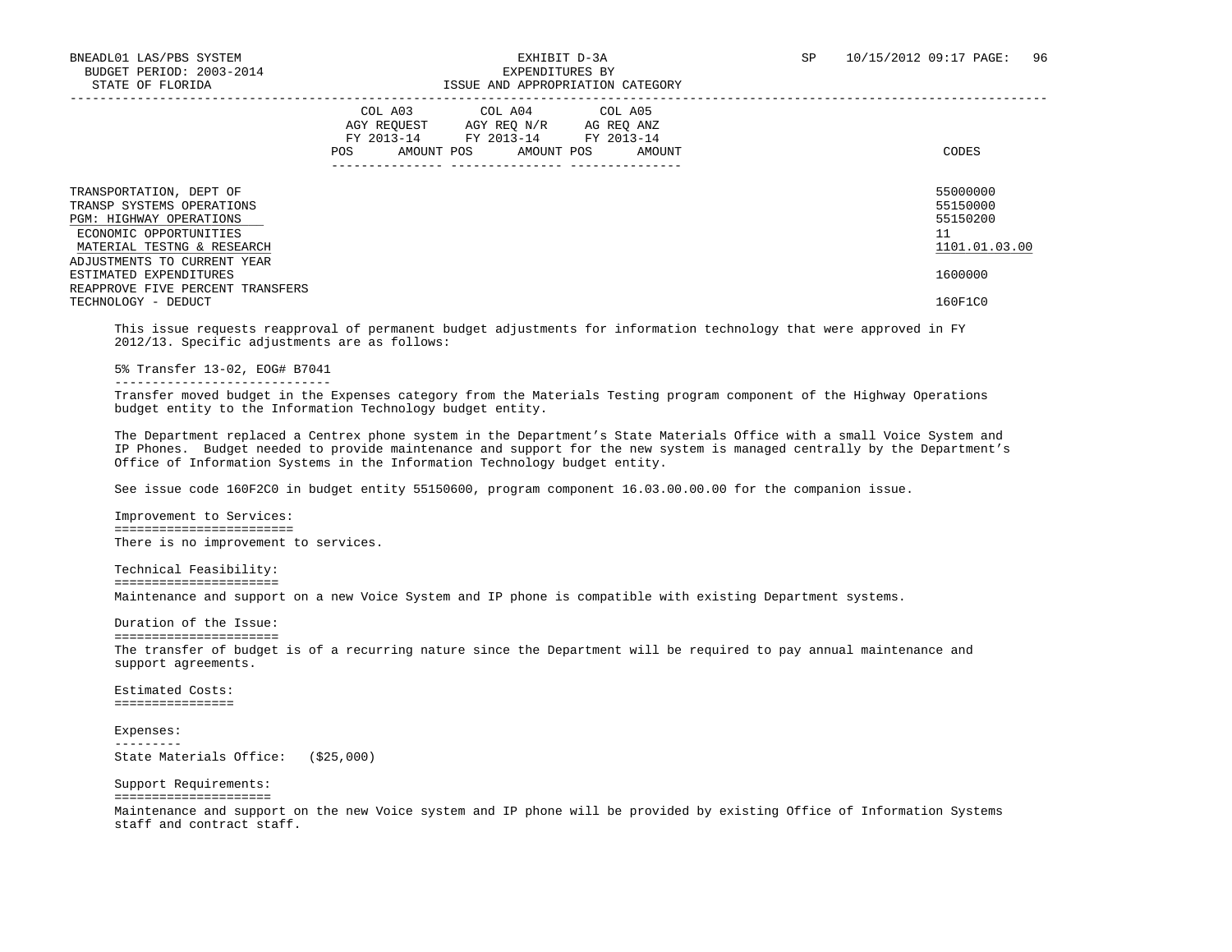|                                                                                                                                                | COL A03<br>AGY REOUEST<br>FY 2013-14<br>AMOUNT POS<br><b>POS</b> | COL A04<br>AGY REQ N/R<br>FY 2013-14<br>AMOUNT POS | COL A05<br>AG REQ ANZ<br>FY 2013-14<br>AMOUNT | CODES                                                   |
|------------------------------------------------------------------------------------------------------------------------------------------------|------------------------------------------------------------------|----------------------------------------------------|-----------------------------------------------|---------------------------------------------------------|
| TRANSPORTATION, DEPT OF<br>TRANSP SYSTEMS OPERATIONS<br><b>PGM: HIGHWAY OPERATIONS</b><br>ECONOMIC OPPORTUNITIES<br>MATERIAL TESTNG & RESEARCH |                                                                  |                                                    |                                               | 55000000<br>55150000<br>55150200<br>11<br>1101.01.03.00 |
| ADJUSTMENTS TO CURRENT YEAR<br>ESTIMATED EXPENDITURES                                                                                          |                                                                  |                                                    |                                               | 1600000                                                 |
| REAPPROVE FIVE PERCENT TRANSFERS<br>TECHNOLOGY - DEDUCT                                                                                        |                                                                  |                                                    |                                               | 160F1C0                                                 |

 This issue requests reapproval of permanent budget adjustments for information technology that were approved in FY 2012/13. Specific adjustments are as follows:

5% Transfer 13-02, EOG# B7041

-----------------------------

 Transfer moved budget in the Expenses category from the Materials Testing program component of the Highway Operations budget entity to the Information Technology budget entity.

 The Department replaced a Centrex phone system in the Department's State Materials Office with a small Voice System and IP Phones. Budget needed to provide maintenance and support for the new system is managed centrally by the Department's Office of Information Systems in the Information Technology budget entity.

See issue code 160F2C0 in budget entity 55150600, program component 16.03.00.00.00 for the companion issue.

 Improvement to Services: ======================== There is no improvement to services.

 Technical Feasibility: ====================== Maintenance and support on a new Voice System and IP phone is compatible with existing Department systems.

 Duration of the Issue: ====================== The transfer of budget is of a recurring nature since the Department will be required to pay annual maintenance and support agreements.

 Estimated Costs: ================

 Expenses: --------- State Materials Office: (\$25,000)

 Support Requirements: ===================== Maintenance and support on the new Voice system and IP phone will be provided by existing Office of Information Systems staff and contract staff.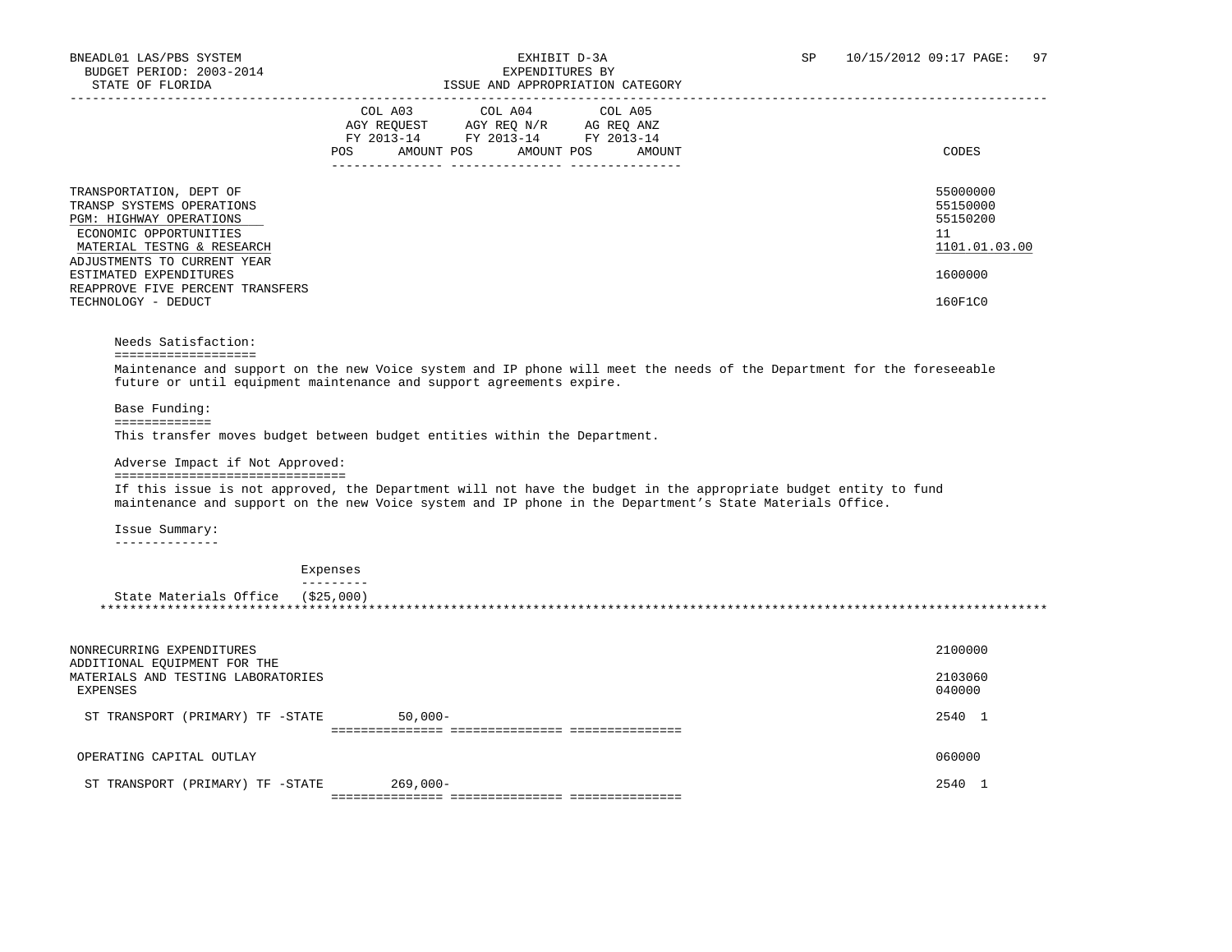|                                                                                                                                                                        | COL A03<br>AGY REOUEST<br>FY 2013-14<br>AMOUNT POS<br>POS | COL A04 COL A05<br>AGY REO N/R<br>FY 2013-14 FY 2013-14<br>AMOUNT POS | AG REO ANZ<br>AMOUNT | CODES                                                   |
|------------------------------------------------------------------------------------------------------------------------------------------------------------------------|-----------------------------------------------------------|-----------------------------------------------------------------------|----------------------|---------------------------------------------------------|
| TRANSPORTATION, DEPT OF<br>TRANSP SYSTEMS OPERATIONS<br>PGM: HIGHWAY OPERATIONS<br>ECONOMIC OPPORTUNITIES<br>MATERIAL TESTNG & RESEARCH<br>ADJUSTMENTS TO CURRENT YEAR |                                                           |                                                                       |                      | 55000000<br>55150000<br>55150200<br>11<br>1101.01.03.00 |
| ESTIMATED EXPENDITURES<br>REAPPROVE FIVE PERCENT TRANSFERS<br>TECHNOLOGY - DEDUCT                                                                                      |                                                           |                                                                       |                      | 1600000<br>160F1C0                                      |

### Needs Satisfaction:

### ===================

 Maintenance and support on the new Voice system and IP phone will meet the needs of the Department for the foreseeable future or until equipment maintenance and support agreements expire.

Base Funding:

### =============

This transfer moves budget between budget entities within the Department.

### Adverse Impact if Not Approved:

===============================

 If this issue is not approved, the Department will not have the budget in the appropriate budget entity to fund maintenance and support on the new Voice system and IP phone in the Department's State Materials Office.

Issue Summary:

--------------

### Expenses

---------

#### State Materials Office (\$25,000) \*\*\*\*\*\*\*\*\*\*\*\*\*\*\*\*\*\*\*\*\*\*\*\*\*\*\*\*\*\*\*\*\*\*\*\*\*\*\*\*\*\*\*\*\*\*\*\*\*\*\*\*\*\*\*\*\*\*\*\*\*\*\*\*\*\*\*\*\*\*\*\*\*\*\*\*\*\*\*\*\*\*\*\*\*\*\*\*\*\*\*\*\*\*\*\*\*\*\*\*\*\*\*\*\*\*\*\*\*\*\*\*\*\*\*\*\*\*\*\*\*\*\*\*\*\*\*

| NONRECURRING EXPENDITURES<br>ADDITIONAL EQUIPMENT FOR THE<br>MATERIALS AND TESTING LABORATORIES<br>EXPENSES |            | 2100000<br>2103060<br>040000 |
|-------------------------------------------------------------------------------------------------------------|------------|------------------------------|
| ST TRANSPORT (PRIMARY) TF -STATE                                                                            | $50,000-$  | 2540                         |
| OPERATING CAPITAL OUTLAY                                                                                    |            | 060000                       |
| ST TRANSPORT (PRIMARY) TF -STATE                                                                            | $269,000-$ | 2540                         |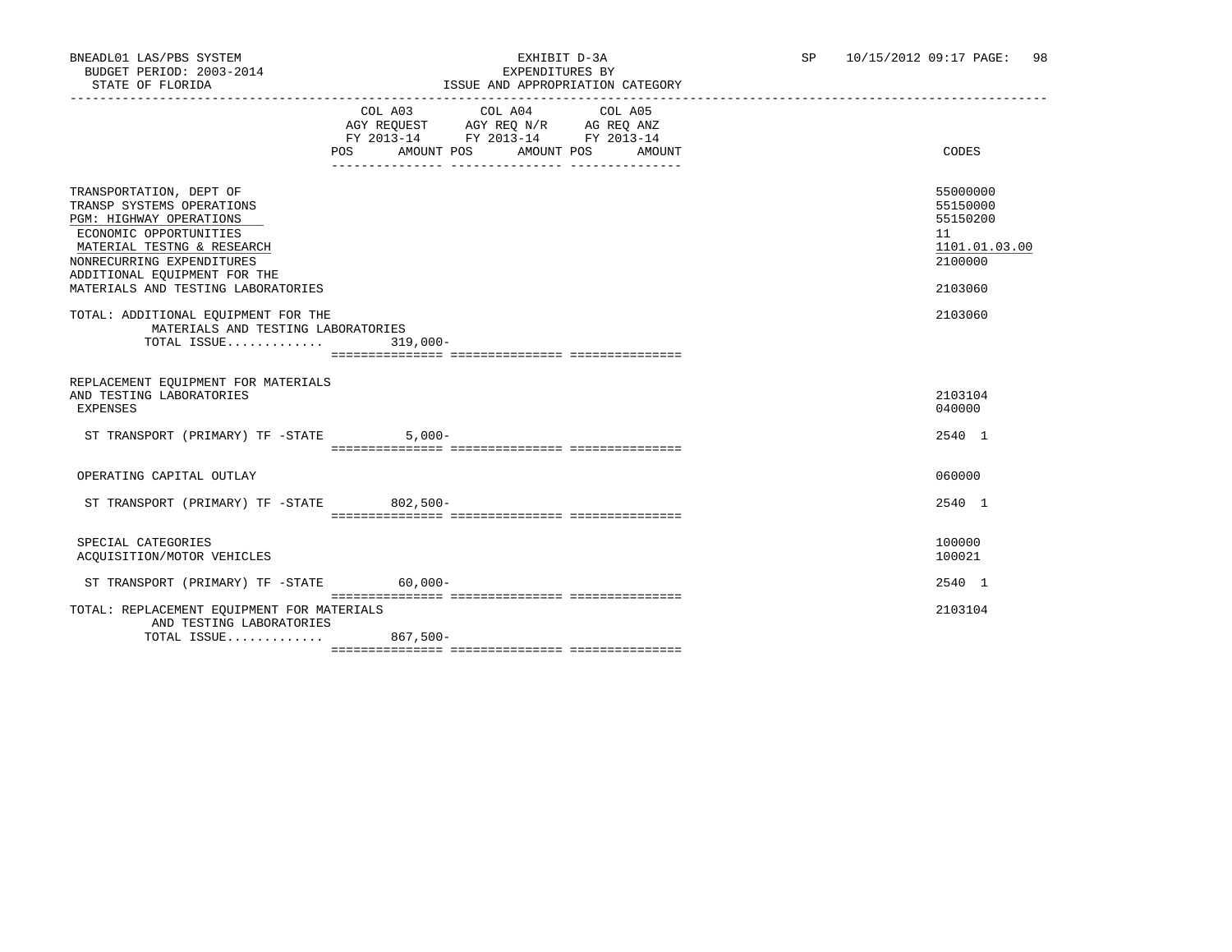### BNEADL01 LAS/PBS SYSTEM EXHIBIT D-3A SP 10/15/2012 09:17 PAGE: 98 ISSUE AND APPROPRIATION CATEGORY

|                                                                                                                                                                                                                                                   | POS AMOUNT POS AMOUNT POS | COL A03 COL A04 COL A05<br>AGY REQUEST AGY REQ N/R AG REQ ANZ<br>FY 2013-14 FY 2013-14 FY 2013-14 | AMOUNT | CODES                                                                         |
|---------------------------------------------------------------------------------------------------------------------------------------------------------------------------------------------------------------------------------------------------|---------------------------|---------------------------------------------------------------------------------------------------|--------|-------------------------------------------------------------------------------|
| TRANSPORTATION, DEPT OF<br>TRANSP SYSTEMS OPERATIONS<br><b>PGM: HIGHWAY OPERATIONS</b><br>ECONOMIC OPPORTUNITIES<br>MATERIAL TESTNG & RESEARCH<br>NONRECURRING EXPENDITURES<br>ADDITIONAL EQUIPMENT FOR THE<br>MATERIALS AND TESTING LABORATORIES |                           |                                                                                                   |        | 55000000<br>55150000<br>55150200<br>11<br>1101.01.03.00<br>2100000<br>2103060 |
| TOTAL: ADDITIONAL EQUIPMENT FOR THE<br>MATERIALS AND TESTING LABORATORIES<br>TOTAL ISSUE                                                                                                                                                          | $319,000 -$               |                                                                                                   |        | 2103060                                                                       |
| REPLACEMENT EOUIPMENT FOR MATERIALS<br>AND TESTING LABORATORIES<br><b>EXPENSES</b>                                                                                                                                                                |                           |                                                                                                   |        | 2103104<br>040000                                                             |
| ST TRANSPORT (PRIMARY) TF -STATE                                                                                                                                                                                                                  | $5,000-$                  |                                                                                                   |        | 2540 1                                                                        |
| OPERATING CAPITAL OUTLAY                                                                                                                                                                                                                          |                           |                                                                                                   |        | 060000                                                                        |
| ST TRANSPORT (PRIMARY) TF -STATE 802,500-                                                                                                                                                                                                         |                           |                                                                                                   |        | 2540 1                                                                        |
| SPECIAL CATEGORIES<br>ACQUISITION/MOTOR VEHICLES                                                                                                                                                                                                  |                           |                                                                                                   |        | 100000<br>100021                                                              |
| ST TRANSPORT (PRIMARY) TF -STATE 60,000-                                                                                                                                                                                                          |                           |                                                                                                   |        | 2540 1                                                                        |
| TOTAL: REPLACEMENT EQUIPMENT FOR MATERIALS<br>AND TESTING LABORATORIES<br>TOTAL ISSUE 867,500-                                                                                                                                                    |                           |                                                                                                   |        | 2103104                                                                       |
|                                                                                                                                                                                                                                                   |                           |                                                                                                   |        |                                                                               |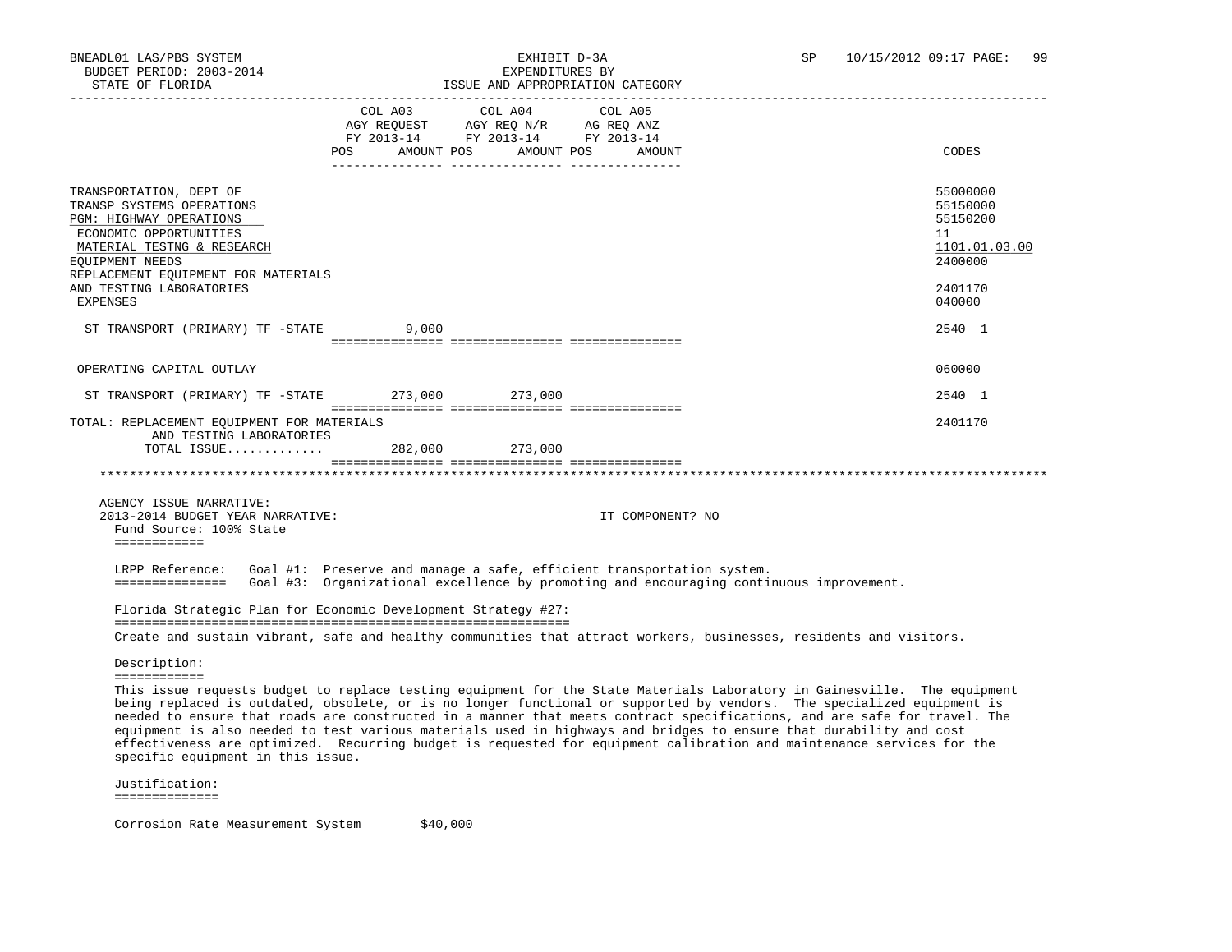|                                                                                                                                                                                                                                                  |                                                                                                            | LOOCH AND ALLIOIRIILON CAIHOORI |                  |                                                                                                                                                                                                                                                                                                                                                                                |
|--------------------------------------------------------------------------------------------------------------------------------------------------------------------------------------------------------------------------------------------------|------------------------------------------------------------------------------------------------------------|---------------------------------|------------------|--------------------------------------------------------------------------------------------------------------------------------------------------------------------------------------------------------------------------------------------------------------------------------------------------------------------------------------------------------------------------------|
|                                                                                                                                                                                                                                                  | AGY REQUEST AGY REQ N/R AG REQ ANZ<br>FY 2013-14 FY 2013-14 FY 2013-14<br>POS AMOUNT POS AMOUNT POS AMOUNT | COL A03 COL A04                 | COL A05          | CODES                                                                                                                                                                                                                                                                                                                                                                          |
| TRANSPORTATION, DEPT OF<br>TRANSP SYSTEMS OPERATIONS<br>PGM: HIGHWAY OPERATIONS<br>ECONOMIC OPPORTUNITIES<br>MATERIAL TESTNG & RESEARCH<br>EQUIPMENT NEEDS<br>REPLACEMENT EQUIPMENT FOR MATERIALS<br>AND TESTING LABORATORIES<br><b>EXPENSES</b> |                                                                                                            |                                 |                  | 55000000<br>55150000<br>55150200<br>11<br>1101.01.03.00<br>2400000<br>2401170<br>040000                                                                                                                                                                                                                                                                                        |
| ST TRANSPORT (PRIMARY) TF -STATE 9,000                                                                                                                                                                                                           |                                                                                                            |                                 |                  | 2540 1                                                                                                                                                                                                                                                                                                                                                                         |
| OPERATING CAPITAL OUTLAY<br>ST TRANSPORT (PRIMARY) TF -STATE 273,000 273,000                                                                                                                                                                     |                                                                                                            |                                 |                  | 060000<br>2540 1                                                                                                                                                                                                                                                                                                                                                               |
| TOTAL: REPLACEMENT EQUIPMENT FOR MATERIALS<br>AND TESTING LABORATORIES                                                                                                                                                                           |                                                                                                            |                                 |                  | 2401170                                                                                                                                                                                                                                                                                                                                                                        |
|                                                                                                                                                                                                                                                  |                                                                                                            |                                 |                  |                                                                                                                                                                                                                                                                                                                                                                                |
| AGENCY ISSUE NARRATIVE:<br>2013-2014 BUDGET YEAR NARRATIVE:<br>Fund Source: 100% State<br>============                                                                                                                                           |                                                                                                            |                                 | IT COMPONENT? NO |                                                                                                                                                                                                                                                                                                                                                                                |
| LRPP Reference: Goal #1: Preserve and manage a safe, efficient transportation system.<br>============== Goal #3: Organizational excellence by promoting and encouraging continuous improvement.                                                  |                                                                                                            |                                 |                  |                                                                                                                                                                                                                                                                                                                                                                                |
| Florida Strategic Plan for Economic Development Strategy #27:                                                                                                                                                                                    |                                                                                                            |                                 |                  |                                                                                                                                                                                                                                                                                                                                                                                |
| Create and sustain vibrant, safe and healthy communities that attract workers, businesses, residents and visitors.                                                                                                                               |                                                                                                            |                                 |                  |                                                                                                                                                                                                                                                                                                                                                                                |
| Description:<br>============                                                                                                                                                                                                                     |                                                                                                            |                                 |                  | This issue requests budget to replace testing equipment for the State Materials Laboratory in Gainesville. The equipment<br>being replaced is outdated, obsolete, or is no longer functional or supported by vendors. The specialized equipment is<br>needed to ensure that roads are constructed in a manner that meets contract specifications, and are safe for travel. The |
| equipment is also needed to test various materials used in highways and bridges to ensure that durability and cost<br>specific equipment in this issue.                                                                                          |                                                                                                            |                                 |                  | effectiveness are optimized. Recurring budget is requested for equipment calibration and maintenance services for the                                                                                                                                                                                                                                                          |
| Justification:<br>==============                                                                                                                                                                                                                 |                                                                                                            |                                 |                  |                                                                                                                                                                                                                                                                                                                                                                                |

Corrosion Rate Measurement System \$40,000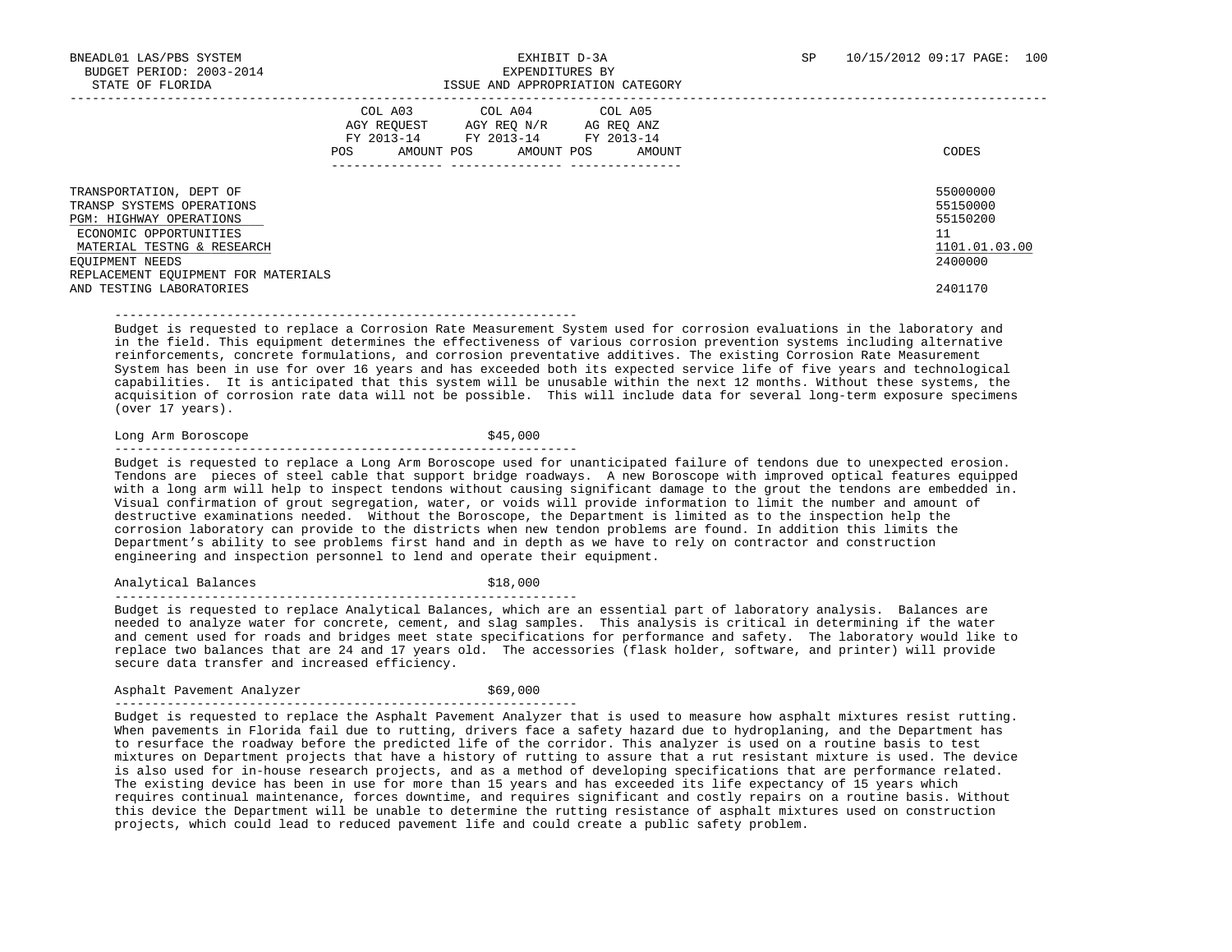|                                                                                                                                                                                                                               | COL A03<br>AGY REOUEST<br>FY 2013-14<br>AMOUNT POS<br>POS | COL A04<br>AGY REQ N/R<br>FY 2013-14<br>AMOUNT POS | COL A05<br>AG REQ ANZ<br>FY 2013-14<br>AMOUNT | CODES                                                                         |
|-------------------------------------------------------------------------------------------------------------------------------------------------------------------------------------------------------------------------------|-----------------------------------------------------------|----------------------------------------------------|-----------------------------------------------|-------------------------------------------------------------------------------|
| TRANSPORTATION, DEPT OF<br>TRANSP SYSTEMS OPERATIONS<br>PGM: HIGHWAY OPERATIONS<br>ECONOMIC OPPORTUNITIES<br>MATERIAL TESTNG & RESEARCH<br>EQUIPMENT NEEDS<br>REPLACEMENT EQUIPMENT FOR MATERIALS<br>AND TESTING LABORATORIES |                                                           |                                                    |                                               | 55000000<br>55150000<br>55150200<br>11<br>1101.01.03.00<br>2400000<br>2401170 |

 Budget is requested to replace a Corrosion Rate Measurement System used for corrosion evaluations in the laboratory and in the field. This equipment determines the effectiveness of various corrosion prevention systems including alternative reinforcements, concrete formulations, and corrosion preventative additives. The existing Corrosion Rate Measurement System has been in use for over 16 years and has exceeded both its expected service life of five years and technological capabilities. It is anticipated that this system will be unusable within the next 12 months. Without these systems, the acquisition of corrosion rate data will not be possible. This will include data for several long-term exposure specimens (over 17 years).

Long Arm Boroscope  $$45,000$ --------------------------------------------------------------

--------------------------------------------------------------

 Budget is requested to replace a Long Arm Boroscope used for unanticipated failure of tendons due to unexpected erosion. Tendons are pieces of steel cable that support bridge roadways. A new Boroscope with improved optical features equipped with a long arm will help to inspect tendons without causing significant damage to the grout the tendons are embedded in. Visual confirmation of grout segregation, water, or voids will provide information to limit the number and amount of destructive examinations needed. Without the Boroscope, the Department is limited as to the inspection help the corrosion laboratory can provide to the districts when new tendon problems are found. In addition this limits the Department's ability to see problems first hand and in depth as we have to rely on contractor and construction engineering and inspection personnel to lend and operate their equipment.

Analytical Balances  $\qquad \qquad$  \$18,000

--------------------------------------------------------------

 Budget is requested to replace Analytical Balances, which are an essential part of laboratory analysis. Balances are needed to analyze water for concrete, cement, and slag samples. This analysis is critical in determining if the water and cement used for roads and bridges meet state specifications for performance and safety. The laboratory would like to replace two balances that are 24 and 17 years old. The accessories (flask holder, software, and printer) will provide secure data transfer and increased efficiency.

Asphalt Pavement Analyzer \$69,000

--------------------------------------------------------------

 Budget is requested to replace the Asphalt Pavement Analyzer that is used to measure how asphalt mixtures resist rutting. When pavements in Florida fail due to rutting, drivers face a safety hazard due to hydroplaning, and the Department has to resurface the roadway before the predicted life of the corridor. This analyzer is used on a routine basis to test mixtures on Department projects that have a history of rutting to assure that a rut resistant mixture is used. The device is also used for in-house research projects, and as a method of developing specifications that are performance related. The existing device has been in use for more than 15 years and has exceeded its life expectancy of 15 years which requires continual maintenance, forces downtime, and requires significant and costly repairs on a routine basis. Without this device the Department will be unable to determine the rutting resistance of asphalt mixtures used on construction projects, which could lead to reduced pavement life and could create a public safety problem.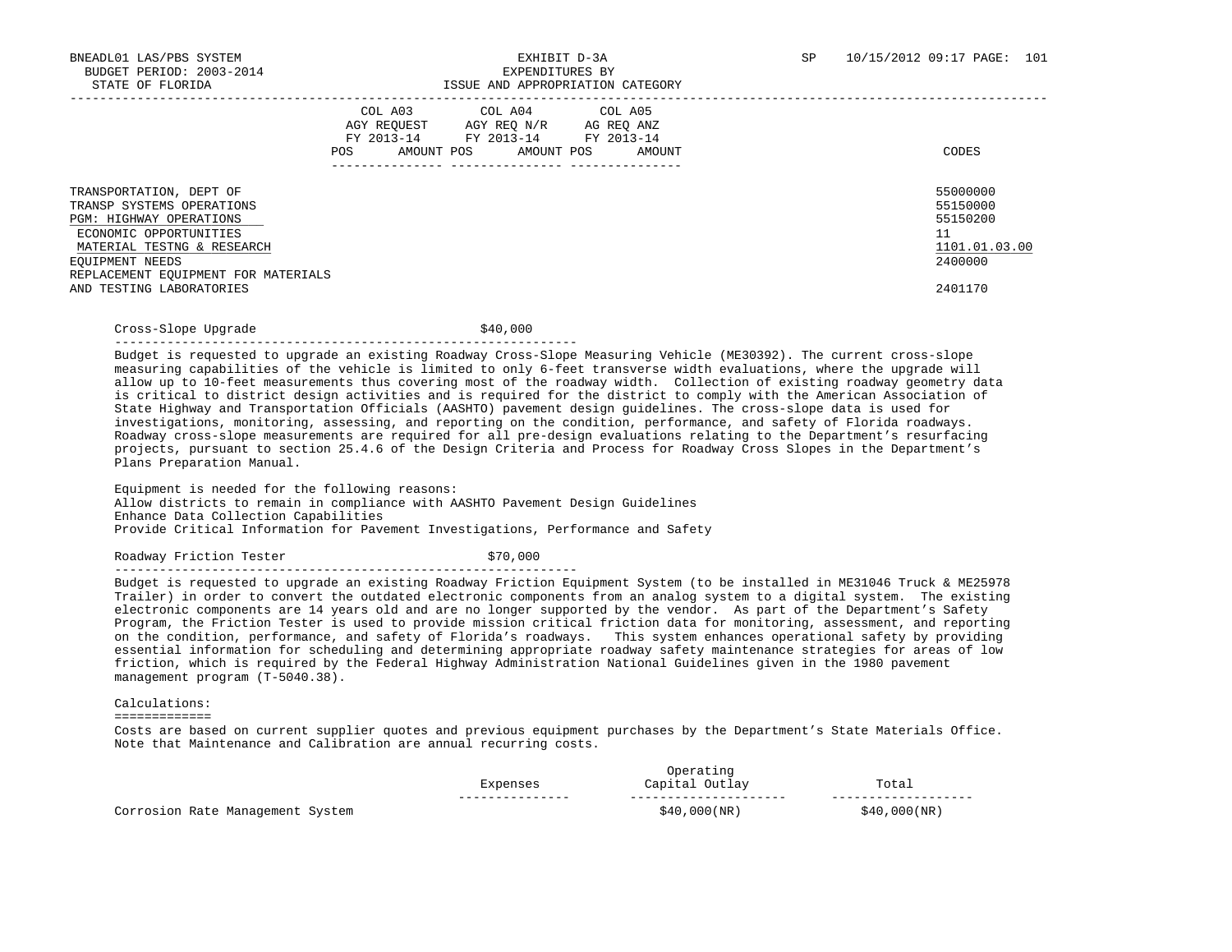|                                                                                                                                                                                                                               | COL A03<br>AGY REOUEST<br>FY 2013-14<br>AMOUNT POS<br>POS | COL A04 COL A05<br>AGY REO N/R<br>FY 2013-14 FY 2013-14<br>AMOUNT POS | AG REO ANZ<br>AMOUNT | CODES                                                                         |
|-------------------------------------------------------------------------------------------------------------------------------------------------------------------------------------------------------------------------------|-----------------------------------------------------------|-----------------------------------------------------------------------|----------------------|-------------------------------------------------------------------------------|
| TRANSPORTATION, DEPT OF<br>TRANSP SYSTEMS OPERATIONS<br>PGM: HIGHWAY OPERATIONS<br>ECONOMIC OPPORTUNITIES<br>MATERIAL TESTNG & RESEARCH<br>EOUIPMENT NEEDS<br>REPLACEMENT EQUIPMENT FOR MATERIALS<br>AND TESTING LABORATORIES |                                                           |                                                                       |                      | 55000000<br>55150000<br>55150200<br>11<br>1101.01.03.00<br>2400000<br>2401170 |

Cross-Slope Upgrade  $\frac{1}{2}$  \$40,000

--------------------------------------------------------------

 Budget is requested to upgrade an existing Roadway Cross-Slope Measuring Vehicle (ME30392). The current cross-slope measuring capabilities of the vehicle is limited to only 6-feet transverse width evaluations, where the upgrade will allow up to 10-feet measurements thus covering most of the roadway width. Collection of existing roadway geometry data is critical to district design activities and is required for the district to comply with the American Association of State Highway and Transportation Officials (AASHTO) pavement design guidelines. The cross-slope data is used for investigations, monitoring, assessing, and reporting on the condition, performance, and safety of Florida roadways. Roadway cross-slope measurements are required for all pre-design evaluations relating to the Department's resurfacing projects, pursuant to section 25.4.6 of the Design Criteria and Process for Roadway Cross Slopes in the Department's Plans Preparation Manual.

 Equipment is needed for the following reasons: Allow districts to remain in compliance with AASHTO Pavement Design Guidelines Enhance Data Collection Capabilities Provide Critical Information for Pavement Investigations, Performance and Safety

Roadway Friction Tester  $$70,000$ 

--------------------------------------------------------------

 Budget is requested to upgrade an existing Roadway Friction Equipment System (to be installed in ME31046 Truck & ME25978 Trailer) in order to convert the outdated electronic components from an analog system to a digital system. The existing electronic components are 14 years old and are no longer supported by the vendor. As part of the Department's Safety Program, the Friction Tester is used to provide mission critical friction data for monitoring, assessment, and reporting on the condition, performance, and safety of Florida's roadways. This system enhances operational safety by providing essential information for scheduling and determining appropriate roadway safety maintenance strategies for areas of low friction, which is required by the Federal Highway Administration National Guidelines given in the 1980 pavement management program (T-5040.38).

Calculations:

=============

 Costs are based on current supplier quotes and previous equipment purchases by the Department's State Materials Office. Note that Maintenance and Calibration are annual recurring costs.

|                                                           | Operating<br>Latiik |                   |                       |
|-----------------------------------------------------------|---------------------|-------------------|-----------------------|
|                                                           |                     | Outlay<br>Capital | Total<br>.            |
|                                                           | -----------         | ----------------- |                       |
| Manaqement<br>System<br>Corrosion<br>$D \cap + \triangle$ |                     | \$40,000(NR)      | , 000 ( NR )<br>3 A N |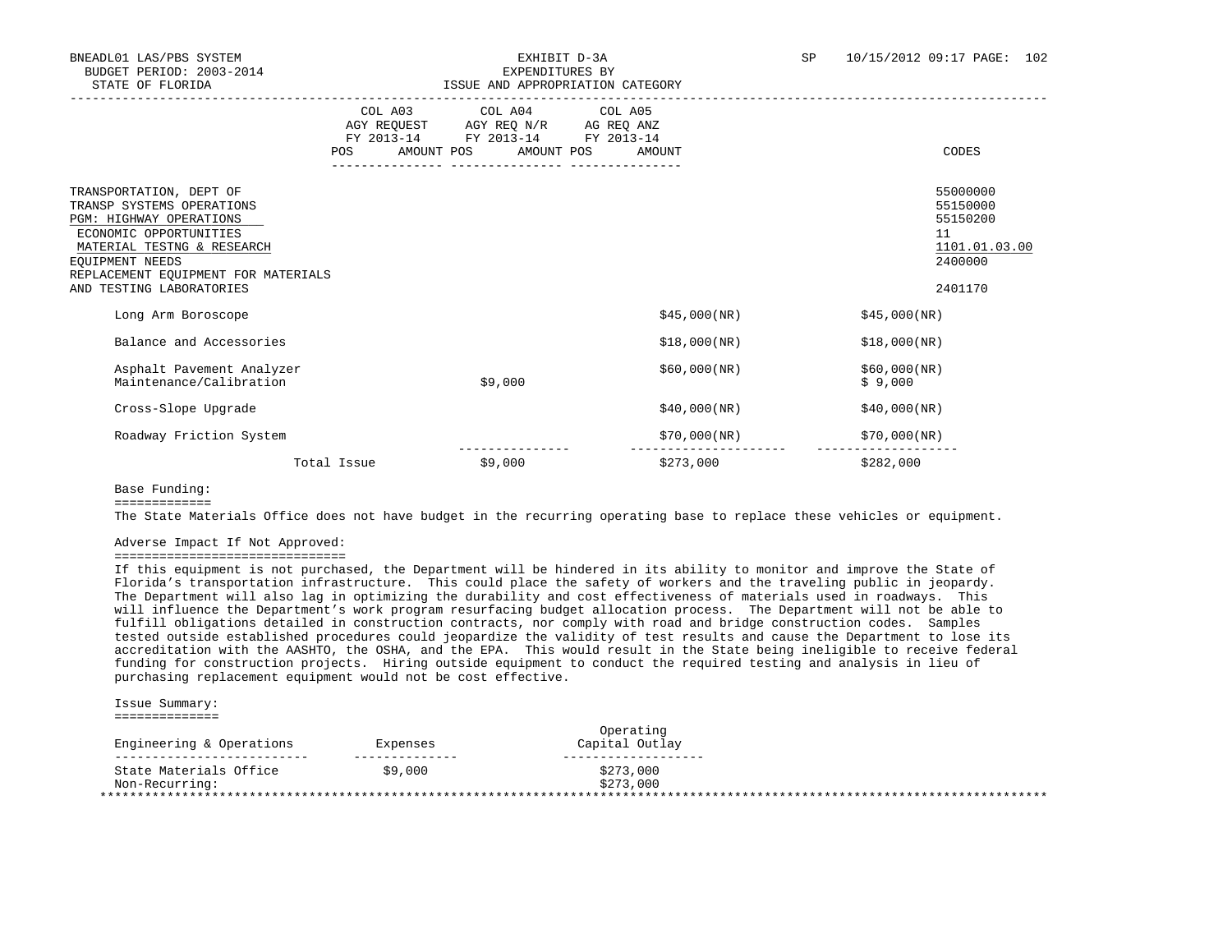|                                                                                                                                                                                                                                      |             | COL A03 COL A04 COL A05<br>AGY REQUEST AGY REQ N/R AG REQ ANZ<br>FY 2013-14 FY 2013-14 FY 2013-14 |              |                                                                               |
|--------------------------------------------------------------------------------------------------------------------------------------------------------------------------------------------------------------------------------------|-------------|---------------------------------------------------------------------------------------------------|--------------|-------------------------------------------------------------------------------|
|                                                                                                                                                                                                                                      | POS         | AMOUNT POS AMOUNT POS                                                                             | AMOUNT       | CODES                                                                         |
| TRANSPORTATION, DEPT OF<br>TRANSP SYSTEMS OPERATIONS<br><b>PGM: HIGHWAY OPERATIONS</b><br>ECONOMIC OPPORTUNITIES<br>MATERIAL TESTNG & RESEARCH<br>EOUIPMENT NEEDS<br>REPLACEMENT EQUIPMENT FOR MATERIALS<br>AND TESTING LABORATORIES |             |                                                                                                   |              | 55000000<br>55150000<br>55150200<br>11<br>1101.01.03.00<br>2400000<br>2401170 |
| Long Arm Boroscope                                                                                                                                                                                                                   |             |                                                                                                   | \$45,000(NR) | \$45,000(NR)                                                                  |
| Balance and Accessories                                                                                                                                                                                                              |             |                                                                                                   | \$18,000(NR) | \$18,000(NR)                                                                  |
| Asphalt Pavement Analyzer<br>Maintenance/Calibration                                                                                                                                                                                 |             | \$9,000                                                                                           | \$60,000(NR) | \$60,000(NR)<br>\$9,000                                                       |
| Cross-Slope Upgrade                                                                                                                                                                                                                  |             |                                                                                                   | \$40,000(NR) | \$40,000(NR)                                                                  |
| Roadway Friction System                                                                                                                                                                                                              |             |                                                                                                   | \$70,000(NR) | \$70,000(NR)                                                                  |
|                                                                                                                                                                                                                                      | Total Issue | \$9,000                                                                                           | \$273,000    | \$282,000                                                                     |

Base Funding:

=============

The State Materials Office does not have budget in the recurring operating base to replace these vehicles or equipment.

### Adverse Impact If Not Approved:

===============================

 If this equipment is not purchased, the Department will be hindered in its ability to monitor and improve the State of Florida's transportation infrastructure. This could place the safety of workers and the traveling public in jeopardy. The Department will also lag in optimizing the durability and cost effectiveness of materials used in roadways. This will influence the Department's work program resurfacing budget allocation process. The Department will not be able to fulfill obligations detailed in construction contracts, nor comply with road and bridge construction codes. Samples tested outside established procedures could jeopardize the validity of test results and cause the Department to lose its accreditation with the AASHTO, the OSHA, and the EPA. This would result in the State being ineligible to receive federal funding for construction projects. Hiring outside equipment to conduct the required testing and analysis in lieu of purchasing replacement equipment would not be cost effective.

 Issue Summary: ==============

| Engineering & Operations | Expenses | Operating<br>Capital Outlay |  |
|--------------------------|----------|-----------------------------|--|
| ------------------       |          |                             |  |
| State Materials Office   | \$9,000  | \$273,000                   |  |
| Non-Recurring:           |          | \$273,000                   |  |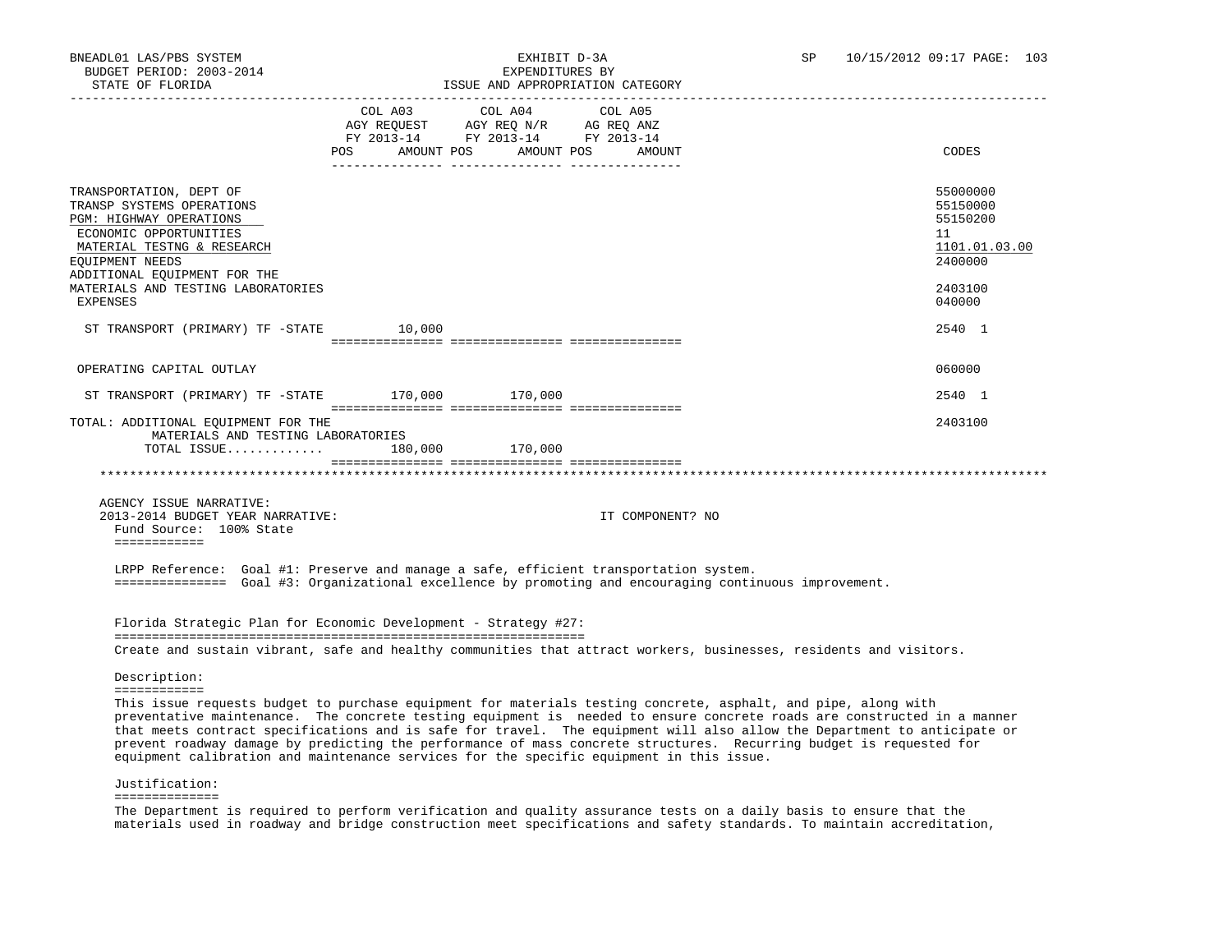| SIAIN UP PINNIDA                                                                                                                                                                                                           |                                                                                                     | LOOUS AND APPROPRIATION CAISGORI |                   |                                                                                                                                                                                                                                                                                                                                                                            |
|----------------------------------------------------------------------------------------------------------------------------------------------------------------------------------------------------------------------------|-----------------------------------------------------------------------------------------------------|----------------------------------|-------------------|----------------------------------------------------------------------------------------------------------------------------------------------------------------------------------------------------------------------------------------------------------------------------------------------------------------------------------------------------------------------------|
|                                                                                                                                                                                                                            | AGY REQUEST AGY REQ N/R AG REQ ANZ<br>FY 2013-14 FY 2013-14 FY 2013-14<br>POS AMOUNT POS AMOUNT POS | COL A03 COL A04                  | COL A05<br>AMOUNT | CODES                                                                                                                                                                                                                                                                                                                                                                      |
| TRANSPORTATION, DEPT OF<br>TRANSP SYSTEMS OPERATIONS<br>PGM: HIGHWAY OPERATIONS<br>ECONOMIC OPPORTUNITIES<br>MATERIAL TESTNG & RESEARCH<br>EQUIPMENT NEEDS<br>ADDITIONAL EQUIPMENT FOR THE                                 |                                                                                                     |                                  |                   | 55000000<br>55150000<br>55150200<br>11<br>1101.01.03.00<br>2400000                                                                                                                                                                                                                                                                                                         |
| MATERIALS AND TESTING LABORATORIES<br>EXPENSES                                                                                                                                                                             |                                                                                                     |                                  |                   | 2403100<br>040000                                                                                                                                                                                                                                                                                                                                                          |
| ST TRANSPORT (PRIMARY) TF -STATE 10,000                                                                                                                                                                                    |                                                                                                     |                                  |                   | 2540 1                                                                                                                                                                                                                                                                                                                                                                     |
| OPERATING CAPITAL OUTLAY                                                                                                                                                                                                   |                                                                                                     |                                  |                   | 060000                                                                                                                                                                                                                                                                                                                                                                     |
| ST TRANSPORT (PRIMARY) TF -STATE 170,000 170,000                                                                                                                                                                           |                                                                                                     |                                  |                   | 2540 1                                                                                                                                                                                                                                                                                                                                                                     |
| TOTAL: ADDITIONAL EQUIPMENT FOR THE<br>MATERIALS AND TESTING LABORATORIES                                                                                                                                                  |                                                                                                     |                                  |                   | 2403100                                                                                                                                                                                                                                                                                                                                                                    |
| TOTAL ISSUE 180,000 170,000                                                                                                                                                                                                |                                                                                                     |                                  |                   |                                                                                                                                                                                                                                                                                                                                                                            |
| AGENCY ISSUE NARRATIVE:<br>2013-2014 BUDGET YEAR NARRATIVE:<br>Fund Source: 100% State<br>============                                                                                                                     |                                                                                                     |                                  | IT COMPONENT? NO  |                                                                                                                                                                                                                                                                                                                                                                            |
| LRPP Reference: Goal #1: Preserve and manage a safe, efficient transportation system.<br>=============== Goal #3: Organizational excellence by promoting and encouraging continuous improvement.                           |                                                                                                     |                                  |                   |                                                                                                                                                                                                                                                                                                                                                                            |
| Florida Strategic Plan for Economic Development - Strategy #27:                                                                                                                                                            |                                                                                                     |                                  |                   |                                                                                                                                                                                                                                                                                                                                                                            |
| Create and sustain vibrant, safe and healthy communities that attract workers, businesses, residents and visitors.                                                                                                         |                                                                                                     |                                  |                   |                                                                                                                                                                                                                                                                                                                                                                            |
| Description:                                                                                                                                                                                                               |                                                                                                     |                                  |                   |                                                                                                                                                                                                                                                                                                                                                                            |
| ============<br>This issue requests budget to purchase equipment for materials testing concrete, asphalt, and pipe, along with<br>equipment calibration and maintenance services for the specific equipment in this issue. |                                                                                                     |                                  |                   | preventative maintenance. The concrete testing equipment is needed to ensure concrete roads are constructed in a manner<br>that meets contract specifications and is safe for travel. The equipment will also allow the Department to anticipate or<br>prevent roadway damage by predicting the performance of mass concrete structures. Recurring budget is requested for |
| Justification:                                                                                                                                                                                                             |                                                                                                     |                                  |                   |                                                                                                                                                                                                                                                                                                                                                                            |
| ==============<br>The Department is required to perform verification and quality assurance tests on a daily basis to ensure that the                                                                                       |                                                                                                     |                                  |                   | materials used in roadway and bridge construction meet specifications and safety standards. To maintain accreditation,                                                                                                                                                                                                                                                     |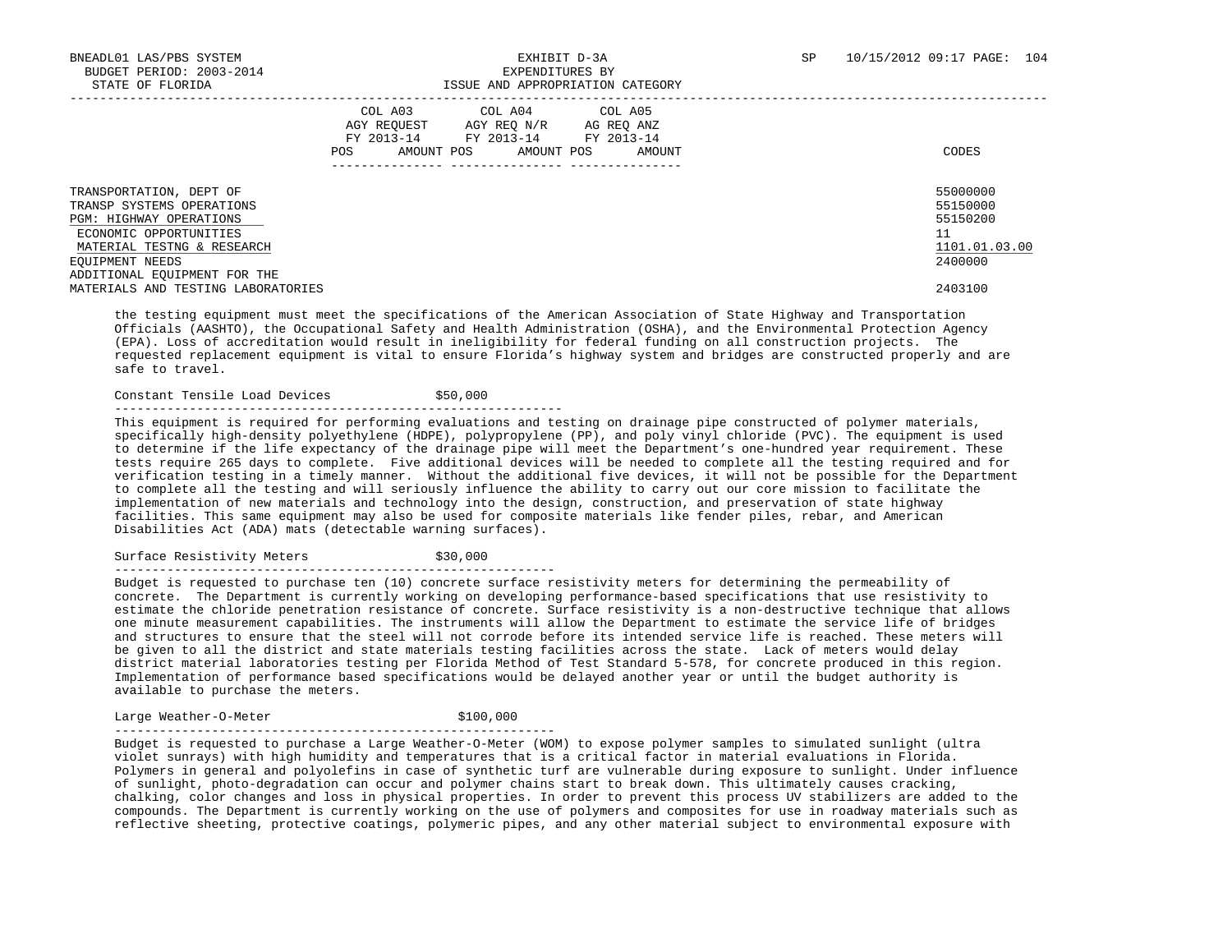|                                                                                                                                                                                                   | COL A03<br>AGY REQUEST<br>FY 2013-14<br>AMOUNT POS<br><b>POS</b> | COL A04 COL A05<br>AGY REQ N/R<br>FY 2013-14<br>AMOUNT POS | AG REQ ANZ<br>FY 2013-14<br>AMOUNT | CODES                                                              |
|---------------------------------------------------------------------------------------------------------------------------------------------------------------------------------------------------|------------------------------------------------------------------|------------------------------------------------------------|------------------------------------|--------------------------------------------------------------------|
| TRANSPORTATION, DEPT OF<br>TRANSP SYSTEMS OPERATIONS<br><b>PGM: HIGHWAY OPERATIONS</b><br>ECONOMIC OPPORTUNITIES<br>MATERIAL TESTNG & RESEARCH<br>EQUIPMENT NEEDS<br>ADDITIONAL EQUIPMENT FOR THE |                                                                  |                                                            |                                    | 55000000<br>55150000<br>55150200<br>11<br>1101.01.03.00<br>2400000 |
| MATERIALS AND TESTING LABORATORIES                                                                                                                                                                |                                                                  |                                                            |                                    | 2403100                                                            |

 the testing equipment must meet the specifications of the American Association of State Highway and Transportation Officials (AASHTO), the Occupational Safety and Health Administration (OSHA), and the Environmental Protection Agency (EPA). Loss of accreditation would result in ineligibility for federal funding on all construction projects. The requested replacement equipment is vital to ensure Florida's highway system and bridges are constructed properly and are safe to travel.

### Constant Tensile Load Devices  $$50,000$

------------------------------------------------------------

 This equipment is required for performing evaluations and testing on drainage pipe constructed of polymer materials, specifically high-density polyethylene (HDPE), polypropylene (PP), and poly vinyl chloride (PVC). The equipment is used to determine if the life expectancy of the drainage pipe will meet the Department's one-hundred year requirement. These tests require 265 days to complete. Five additional devices will be needed to complete all the testing required and for verification testing in a timely manner. Without the additional five devices, it will not be possible for the Department to complete all the testing and will seriously influence the ability to carry out our core mission to facilitate the implementation of new materials and technology into the design, construction, and preservation of state highway facilities. This same equipment may also be used for composite materials like fender piles, rebar, and American Disabilities Act (ADA) mats (detectable warning surfaces).

Surface Resistivity Meters  $$30,000$ 

-----------------------------------------------------------

 Budget is requested to purchase ten (10) concrete surface resistivity meters for determining the permeability of concrete. The Department is currently working on developing performance-based specifications that use resistivity to estimate the chloride penetration resistance of concrete. Surface resistivity is a non-destructive technique that allows one minute measurement capabilities. The instruments will allow the Department to estimate the service life of bridges and structures to ensure that the steel will not corrode before its intended service life is reached. These meters will be given to all the district and state materials testing facilities across the state. Lack of meters would delay district material laboratories testing per Florida Method of Test Standard 5-578, for concrete produced in this region. Implementation of performance based specifications would be delayed another year or until the budget authority is available to purchase the meters.

Large Weather-O-Meter  $$100,000$ 

-----------------------------------------------------------

 Budget is requested to purchase a Large Weather-O-Meter (WOM) to expose polymer samples to simulated sunlight (ultra violet sunrays) with high humidity and temperatures that is a critical factor in material evaluations in Florida. Polymers in general and polyolefins in case of synthetic turf are vulnerable during exposure to sunlight. Under influence of sunlight, photo-degradation can occur and polymer chains start to break down. This ultimately causes cracking, chalking, color changes and loss in physical properties. In order to prevent this process UV stabilizers are added to the compounds. The Department is currently working on the use of polymers and composites for use in roadway materials such as reflective sheeting, protective coatings, polymeric pipes, and any other material subject to environmental exposure with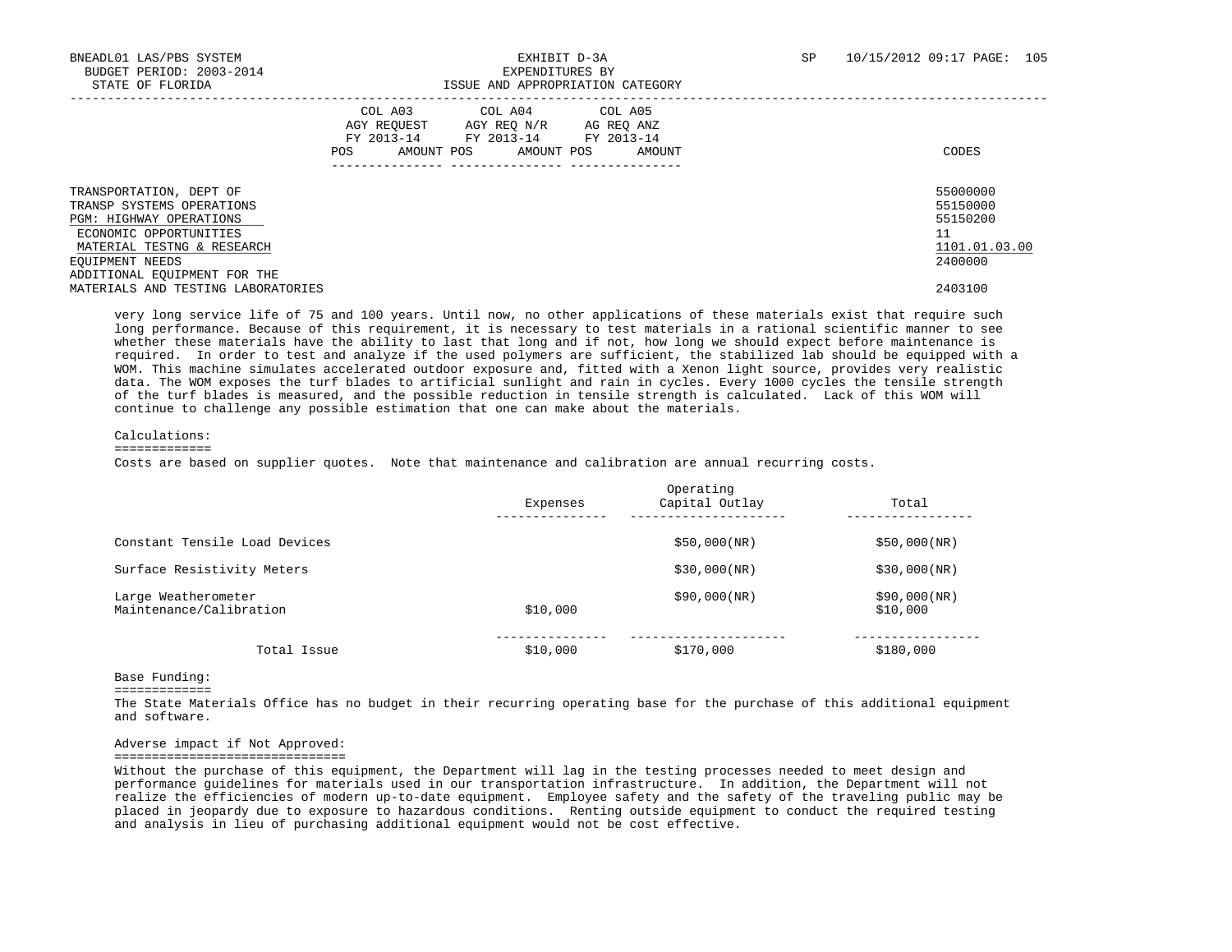|                                                                                                                                                                                                                                         | COL A03<br>AMOUNT POS<br>POS | COL A04 COL A05<br>AGY REOUEST AGY REO N/R AG REO ANZ<br>FY 2013-14 FY 2013-14 FY 2013-14<br>AMOUNT POS | AMOUNT | CODES                                                                         |
|-----------------------------------------------------------------------------------------------------------------------------------------------------------------------------------------------------------------------------------------|------------------------------|---------------------------------------------------------------------------------------------------------|--------|-------------------------------------------------------------------------------|
| TRANSPORTATION, DEPT OF<br>TRANSP SYSTEMS OPERATIONS<br><b>PGM: HIGHWAY OPERATIONS</b><br>ECONOMIC OPPORTUNITIES<br>MATERIAL TESTNG & RESEARCH<br>EQUIPMENT NEEDS<br>ADDITIONAL EQUIPMENT FOR THE<br>MATERIALS AND TESTING LABORATORIES |                              |                                                                                                         |        | 55000000<br>55150000<br>55150200<br>11<br>1101.01.03.00<br>2400000<br>2403100 |

 very long service life of 75 and 100 years. Until now, no other applications of these materials exist that require such long performance. Because of this requirement, it is necessary to test materials in a rational scientific manner to see whether these materials have the ability to last that long and if not, how long we should expect before maintenance is required. In order to test and analyze if the used polymers are sufficient, the stabilized lab should be equipped with a WOM. This machine simulates accelerated outdoor exposure and, fitted with a Xenon light source, provides very realistic data. The WOM exposes the turf blades to artificial sunlight and rain in cycles. Every 1000 cycles the tensile strength of the turf blades is measured, and the possible reduction in tensile strength is calculated. Lack of this WOM will continue to challenge any possible estimation that one can make about the materials.

#### Calculations:

#### =============

Costs are based on supplier quotes. Note that maintenance and calibration are annual recurring costs.

|                                                | Expenses | Operating<br>Capital Outlay | Total                    |
|------------------------------------------------|----------|-----------------------------|--------------------------|
| Constant Tensile Load Devices                  |          | \$50,000(NR)                | \$50,000(NR)             |
| Surface Resistivity Meters                     |          | \$30,000(NR)                | \$30,000(NR)             |
| Large Weatherometer<br>Maintenance/Calibration | \$10,000 | \$90,000(NR)                | \$90,000(NR)<br>\$10,000 |
| Total Issue                                    | \$10,000 | \$170,000                   | \$180,000                |

### Base Funding:

=============

 The State Materials Office has no budget in their recurring operating base for the purchase of this additional equipment and software.

### Adverse impact if Not Approved:

#### =====================================

 Without the purchase of this equipment, the Department will lag in the testing processes needed to meet design and performance guidelines for materials used in our transportation infrastructure. In addition, the Department will not realize the efficiencies of modern up-to-date equipment. Employee safety and the safety of the traveling public may be placed in jeopardy due to exposure to hazardous conditions. Renting outside equipment to conduct the required testing and analysis in lieu of purchasing additional equipment would not be cost effective.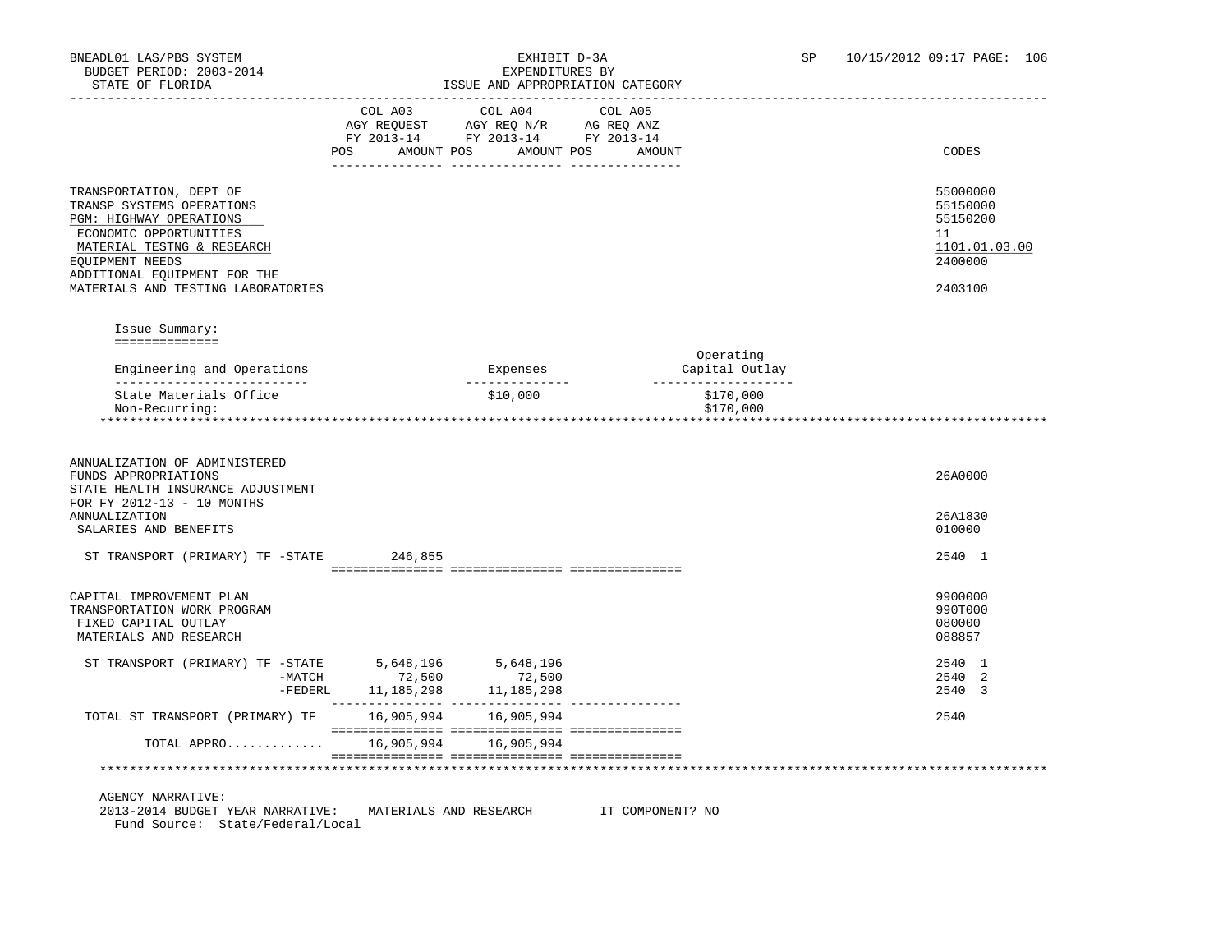|                                                                                                                                                                                                                                  | COL A03<br>POS | COL A04<br>AGY REQUEST AGY REQ N/R AG REQ ANZ<br>FY 2013-14 FY 2013-14 FY 2013-14<br>AMOUNT POS AMOUNT POS | COL A05<br>AMOUNT           | CODES                                                                         |
|----------------------------------------------------------------------------------------------------------------------------------------------------------------------------------------------------------------------------------|----------------|------------------------------------------------------------------------------------------------------------|-----------------------------|-------------------------------------------------------------------------------|
| TRANSPORTATION, DEPT OF<br>TRANSP SYSTEMS OPERATIONS<br>PGM: HIGHWAY OPERATIONS<br>ECONOMIC OPPORTUNITIES<br>MATERIAL TESTNG & RESEARCH<br>EQUIPMENT NEEDS<br>ADDITIONAL EQUIPMENT FOR THE<br>MATERIALS AND TESTING LABORATORIES |                |                                                                                                            |                             | 55000000<br>55150000<br>55150200<br>11<br>1101.01.03.00<br>2400000<br>2403100 |
| Issue Summary:<br>==============                                                                                                                                                                                                 |                |                                                                                                            |                             |                                                                               |
| Engineering and Operations<br>_____________________________                                                                                                                                                                      |                | Expenses                                                                                                   | Operating<br>Capital Outlay |                                                                               |
|                                                                                                                                                                                                                                  |                |                                                                                                            |                             |                                                                               |
| State Materials Office<br>Non-Recurring:                                                                                                                                                                                         |                | \$10,000                                                                                                   | \$170,000<br>\$170,000      |                                                                               |
| ANNUALIZATION OF ADMINISTERED<br>FUNDS APPROPRIATIONS<br>STATE HEALTH INSURANCE ADJUSTMENT<br>FOR FY 2012-13 - 10 MONTHS<br><b>ANNUALIZATION</b><br>SALARIES AND BENEFITS                                                        |                |                                                                                                            |                             | 26A0000<br>26A1830<br>010000                                                  |
| ST TRANSPORT (PRIMARY) TF -STATE 246,855                                                                                                                                                                                         |                |                                                                                                            |                             | 2540 1                                                                        |
| CAPITAL IMPROVEMENT PLAN<br>TRANSPORTATION WORK PROGRAM<br>FIXED CAPITAL OUTLAY<br>MATERIALS AND RESEARCH                                                                                                                        |                |                                                                                                            |                             | 9900000<br>990T000<br>080000<br>088857                                        |
|                                                                                                                                                                                                                                  |                |                                                                                                            |                             | 2540 1<br>2540 2<br>2540 3                                                    |
| TOTAL ST TRANSPORT (PRIMARY) TF 16,905,994 16,905,994                                                                                                                                                                            |                |                                                                                                            |                             | 2540                                                                          |

AGENCY NARRATIVE:

 2013-2014 BUDGET YEAR NARRATIVE: MATERIALS AND RESEARCH IT COMPONENT? NO Fund Source: State/Federal/Local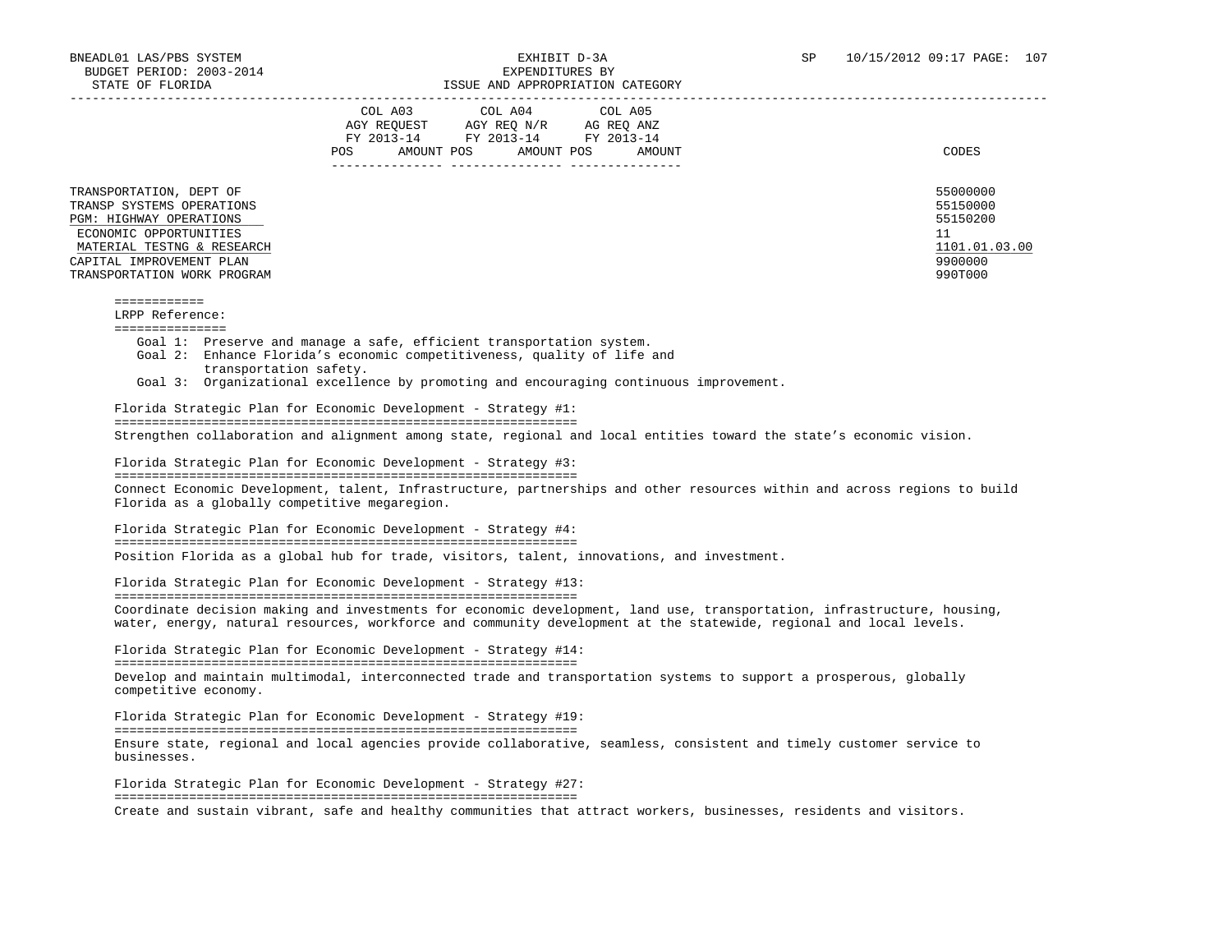| STATE OF FLORIDA                                                                                                                                                                                   | ISSUE AND APPROPRIATION CATEGORY                                                                                                                                                                                                                                                                            |                                                                               |
|----------------------------------------------------------------------------------------------------------------------------------------------------------------------------------------------------|-------------------------------------------------------------------------------------------------------------------------------------------------------------------------------------------------------------------------------------------------------------------------------------------------------------|-------------------------------------------------------------------------------|
|                                                                                                                                                                                                    | COL A04<br>COL A03<br>COL A05<br>AGY REQUEST AGY REQ N/R AG REQ ANZ<br>FY 2013-14 FY 2013-14 FY 2013-14<br>AMOUNT POS AMOUNT POS<br>POS FOR<br>AMOUNT                                                                                                                                                       | CODES                                                                         |
| TRANSPORTATION, DEPT OF<br>TRANSP SYSTEMS OPERATIONS<br>PGM: HIGHWAY OPERATIONS<br>ECONOMIC OPPORTUNITIES<br>MATERIAL TESTNG & RESEARCH<br>CAPITAL IMPROVEMENT PLAN<br>TRANSPORTATION WORK PROGRAM |                                                                                                                                                                                                                                                                                                             | 55000000<br>55150000<br>55150200<br>11<br>1101.01.03.00<br>9900000<br>990T000 |
| $- - - - - - - - - - - -$<br>LRPP Reference:<br>===============                                                                                                                                    |                                                                                                                                                                                                                                                                                                             |                                                                               |
| transportation safety.                                                                                                                                                                             | Goal 1: Preserve and manage a safe, efficient transportation system.<br>Goal 2: Enhance Florida's economic competitiveness, quality of life and<br>Goal 3: Organizational excellence by promoting and encouraging continuous improvement.<br>Florida Strategic Plan for Economic Development - Strategy #1: |                                                                               |
|                                                                                                                                                                                                    |                                                                                                                                                                                                                                                                                                             |                                                                               |
|                                                                                                                                                                                                    |                                                                                                                                                                                                                                                                                                             |                                                                               |
|                                                                                                                                                                                                    | Strengthen collaboration and alignment among state, regional and local entities toward the state's economic vision.                                                                                                                                                                                         |                                                                               |
|                                                                                                                                                                                                    | Florida Strategic Plan for Economic Development - Strategy #3:                                                                                                                                                                                                                                              |                                                                               |
| Florida as a globally competitive megaregion.                                                                                                                                                      | Connect Economic Development, talent, Infrastructure, partnerships and other resources within and across regions to build                                                                                                                                                                                   |                                                                               |
|                                                                                                                                                                                                    | Florida Strategic Plan for Economic Development - Strategy #4:                                                                                                                                                                                                                                              |                                                                               |
|                                                                                                                                                                                                    | Position Florida as a global hub for trade, visitors, talent, innovations, and investment.                                                                                                                                                                                                                  |                                                                               |
|                                                                                                                                                                                                    | Florida Strategic Plan for Economic Development - Strategy #13:                                                                                                                                                                                                                                             |                                                                               |
|                                                                                                                                                                                                    | Coordinate decision making and investments for economic development, land use, transportation, infrastructure, housing,<br>water, energy, natural resources, workforce and community development at the statewide, regional and local levels.                                                               |                                                                               |
|                                                                                                                                                                                                    | Florida Strategic Plan for Economic Development - Strategy #14:                                                                                                                                                                                                                                             |                                                                               |
| competitive economy.                                                                                                                                                                               | Develop and maintain multimodal, interconnected trade and transportation systems to support a prosperous, globally                                                                                                                                                                                          |                                                                               |
|                                                                                                                                                                                                    | Florida Strategic Plan for Economic Development - Strategy #19:                                                                                                                                                                                                                                             |                                                                               |
| businesses.                                                                                                                                                                                        | Ensure state, regional and local agencies provide collaborative, seamless, consistent and timely customer service to                                                                                                                                                                                        |                                                                               |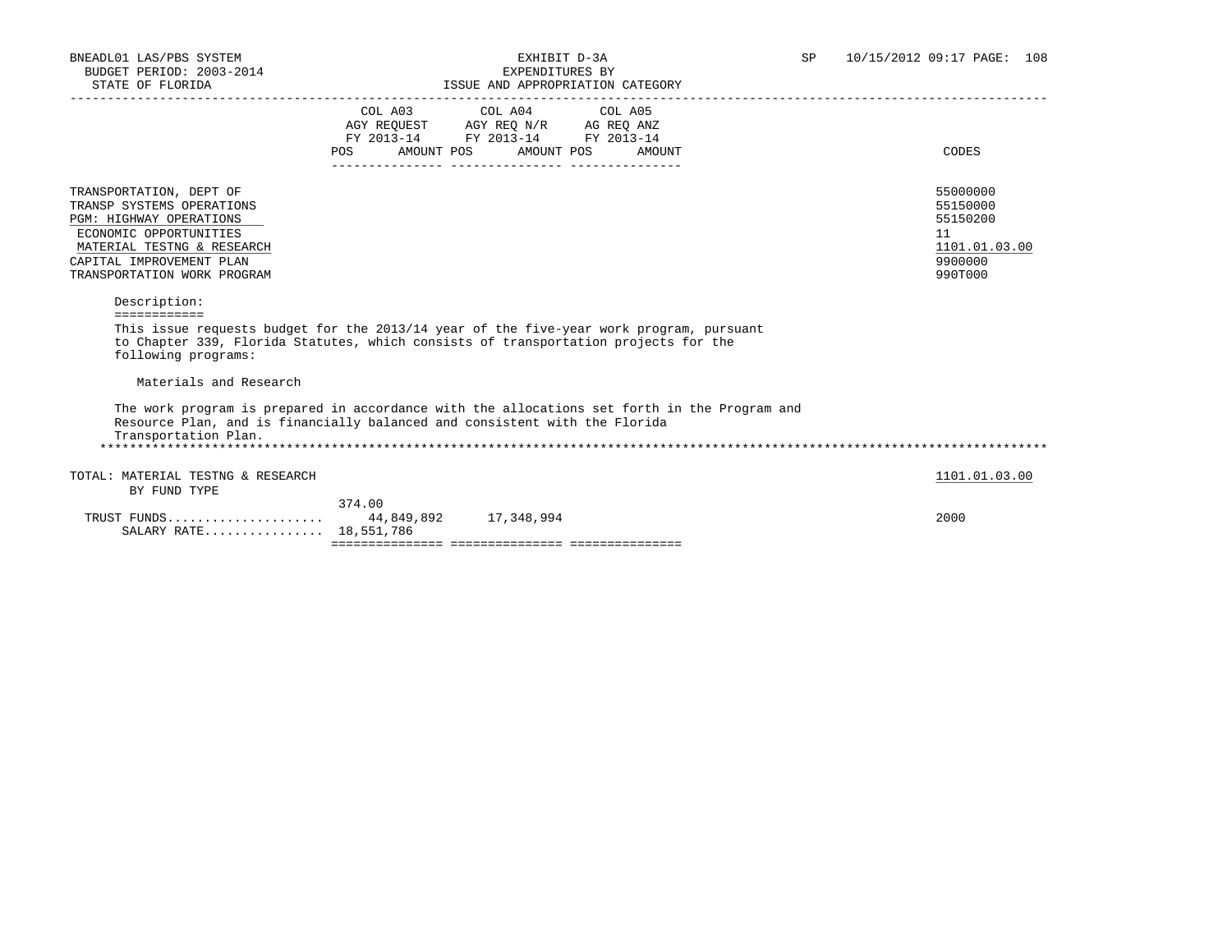| DIAIE OF FEORIPA                                                                                                                                                                                                                      |                                                                                                                                                                                                                                              | LOOUL AND AFFROFRIAITON CAILBOORI |                                                                               |
|---------------------------------------------------------------------------------------------------------------------------------------------------------------------------------------------------------------------------------------|----------------------------------------------------------------------------------------------------------------------------------------------------------------------------------------------------------------------------------------------|-----------------------------------|-------------------------------------------------------------------------------|
|                                                                                                                                                                                                                                       | COL A03 COL A04 COL A05<br>$\begin{tabular}{lllllll} AGY & \texttt{REQUEST} & \texttt{AGY} & \texttt{REG} & \texttt{N/R} & \texttt{AG} & \texttt{REQ} & \texttt{ANZ} \end{tabular}$<br>FY 2013-14 FY 2013-14 FY 2013-14<br>AMOUNT POS<br>POS | AMOUNT POS<br>AMOUNT              | CODES                                                                         |
| TRANSPORTATION, DEPT OF<br>TRANSP SYSTEMS OPERATIONS<br><b>PGM: HIGHWAY OPERATIONS</b><br>ECONOMIC OPPORTUNITIES<br>MATERIAL TESTNG & RESEARCH<br>CAPITAL IMPROVEMENT PLAN<br>TRANSPORTATION WORK PROGRAM                             |                                                                                                                                                                                                                                              |                                   | 55000000<br>55150000<br>55150200<br>11<br>1101.01.03.00<br>9900000<br>990T000 |
| Description:<br>------------<br>This issue requests budget for the 2013/14 year of the five-year work program, pursuant<br>to Chapter 339, Florida Statutes, which consists of transportation projects for the<br>following programs: |                                                                                                                                                                                                                                              |                                   |                                                                               |
| Materials and Research                                                                                                                                                                                                                |                                                                                                                                                                                                                                              |                                   |                                                                               |
| The work program is prepared in accordance with the allocations set forth in the Program and<br>Resource Plan, and is financially balanced and consistent with the Florida<br>Transportation Plan.                                    |                                                                                                                                                                                                                                              |                                   |                                                                               |
| TOTAL: MATERIAL TESTNG & RESEARCH<br>BY FUND TYPE                                                                                                                                                                                     |                                                                                                                                                                                                                                              |                                   | 1101.01.03.00                                                                 |
| TRUST FUNDS 44,849,892 17,348,994<br>SALARY RATE 18,551,786                                                                                                                                                                           | 374.00                                                                                                                                                                                                                                       |                                   | 2000                                                                          |
|                                                                                                                                                                                                                                       |                                                                                                                                                                                                                                              |                                   |                                                                               |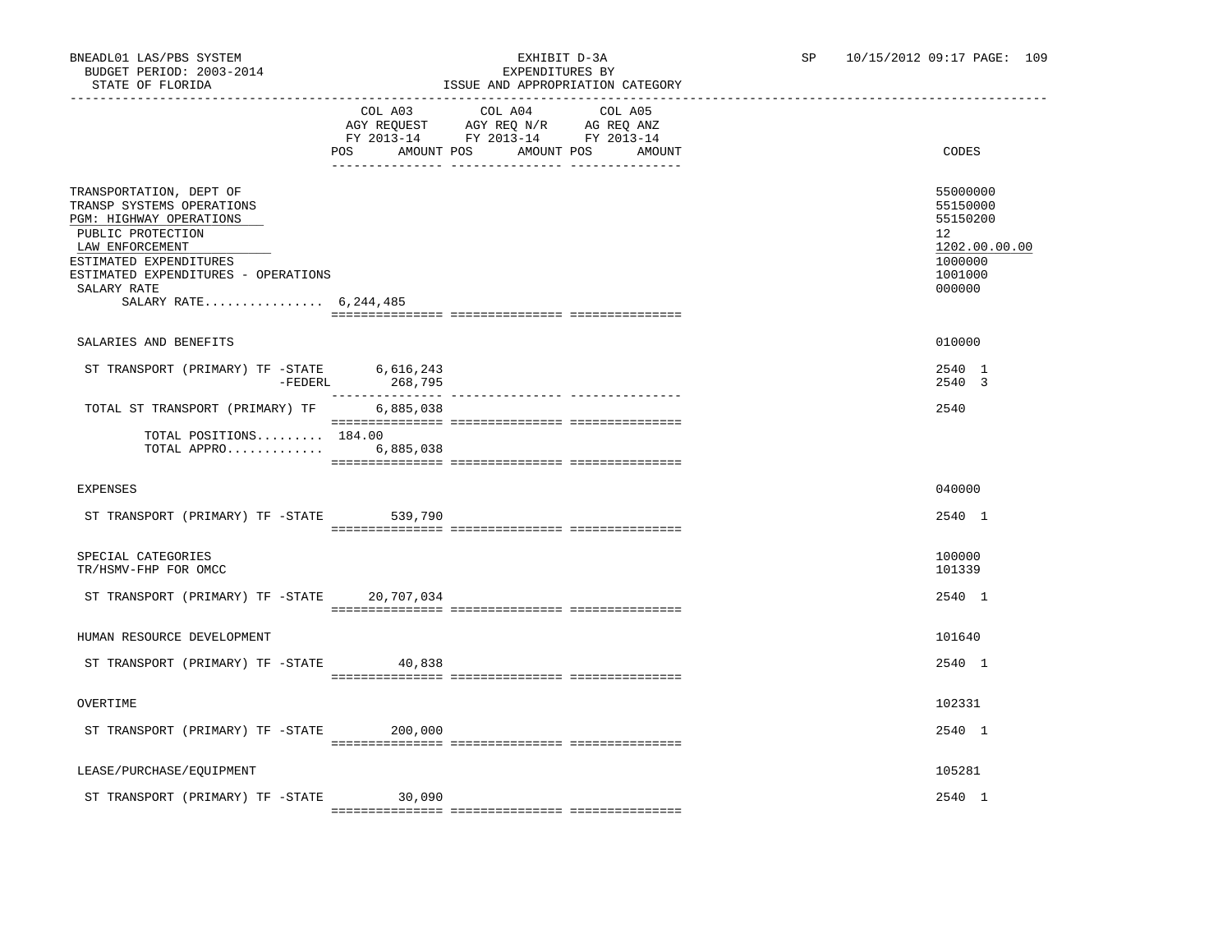# ISSUE AND APPROPRIATION CATEGORY

|                                                                                                                                                                                                                                  | POS AMOUNT POS | COL A03 COL A04 COL A05<br>AGY REQUEST AGY REQ N/R AG REQ ANZ<br>FY 2013-14 FY 2013-14 FY 2013-14<br>AMOUNT POS | AMOUNT | CODES                                                                                   |
|----------------------------------------------------------------------------------------------------------------------------------------------------------------------------------------------------------------------------------|----------------|-----------------------------------------------------------------------------------------------------------------|--------|-----------------------------------------------------------------------------------------|
| TRANSPORTATION, DEPT OF<br>TRANSP SYSTEMS OPERATIONS<br>PGM: HIGHWAY OPERATIONS<br>PUBLIC PROTECTION<br>LAW ENFORCEMENT<br>ESTIMATED EXPENDITURES<br>ESTIMATED EXPENDITURES - OPERATIONS<br>SALARY RATE<br>SALARY RATE 6,244,485 |                |                                                                                                                 |        | 55000000<br>55150000<br>55150200<br>12<br>1202.00.00.00<br>1000000<br>1001000<br>000000 |
|                                                                                                                                                                                                                                  |                |                                                                                                                 |        |                                                                                         |
| SALARIES AND BENEFITS                                                                                                                                                                                                            |                |                                                                                                                 |        | 010000                                                                                  |
| ST TRANSPORT (PRIMARY) TF -STATE 6,616,243<br>FEDERL 268,795                                                                                                                                                                     | 268,795        |                                                                                                                 |        | 2540 1<br>2540 3                                                                        |
| TOTAL ST TRANSPORT (PRIMARY) TF                                                                                                                                                                                                  | 6,885,038      |                                                                                                                 |        | 2540                                                                                    |
| TOTAL POSITIONS 184.00<br>TOTAL APPRO 6,885,038                                                                                                                                                                                  |                |                                                                                                                 |        |                                                                                         |
| <b>EXPENSES</b>                                                                                                                                                                                                                  |                |                                                                                                                 |        | 040000                                                                                  |
| ST TRANSPORT (PRIMARY) TF -STATE 539,790                                                                                                                                                                                         |                |                                                                                                                 |        | 2540 1                                                                                  |
| SPECIAL CATEGORIES<br>TR/HSMV-FHP FOR OMCC                                                                                                                                                                                       |                |                                                                                                                 |        | 100000<br>101339                                                                        |
| ST TRANSPORT (PRIMARY) TF -STATE 20,707,034                                                                                                                                                                                      |                |                                                                                                                 |        | 2540 1                                                                                  |
|                                                                                                                                                                                                                                  |                |                                                                                                                 |        |                                                                                         |
| HUMAN RESOURCE DEVELOPMENT                                                                                                                                                                                                       |                |                                                                                                                 |        | 101640                                                                                  |
| ST TRANSPORT (PRIMARY) TF -STATE 40,838                                                                                                                                                                                          |                |                                                                                                                 |        | 2540 1                                                                                  |
| OVERTIME                                                                                                                                                                                                                         |                |                                                                                                                 |        | 102331                                                                                  |
| ST TRANSPORT (PRIMARY) TF -STATE                                                                                                                                                                                                 | 200,000        |                                                                                                                 |        | 2540 1                                                                                  |
| LEASE/PURCHASE/EQUIPMENT                                                                                                                                                                                                         |                |                                                                                                                 |        | 105281                                                                                  |
| ST TRANSPORT (PRIMARY) TF -STATE 30,090                                                                                                                                                                                          |                |                                                                                                                 |        | 2540 1                                                                                  |

=============== =============== ===============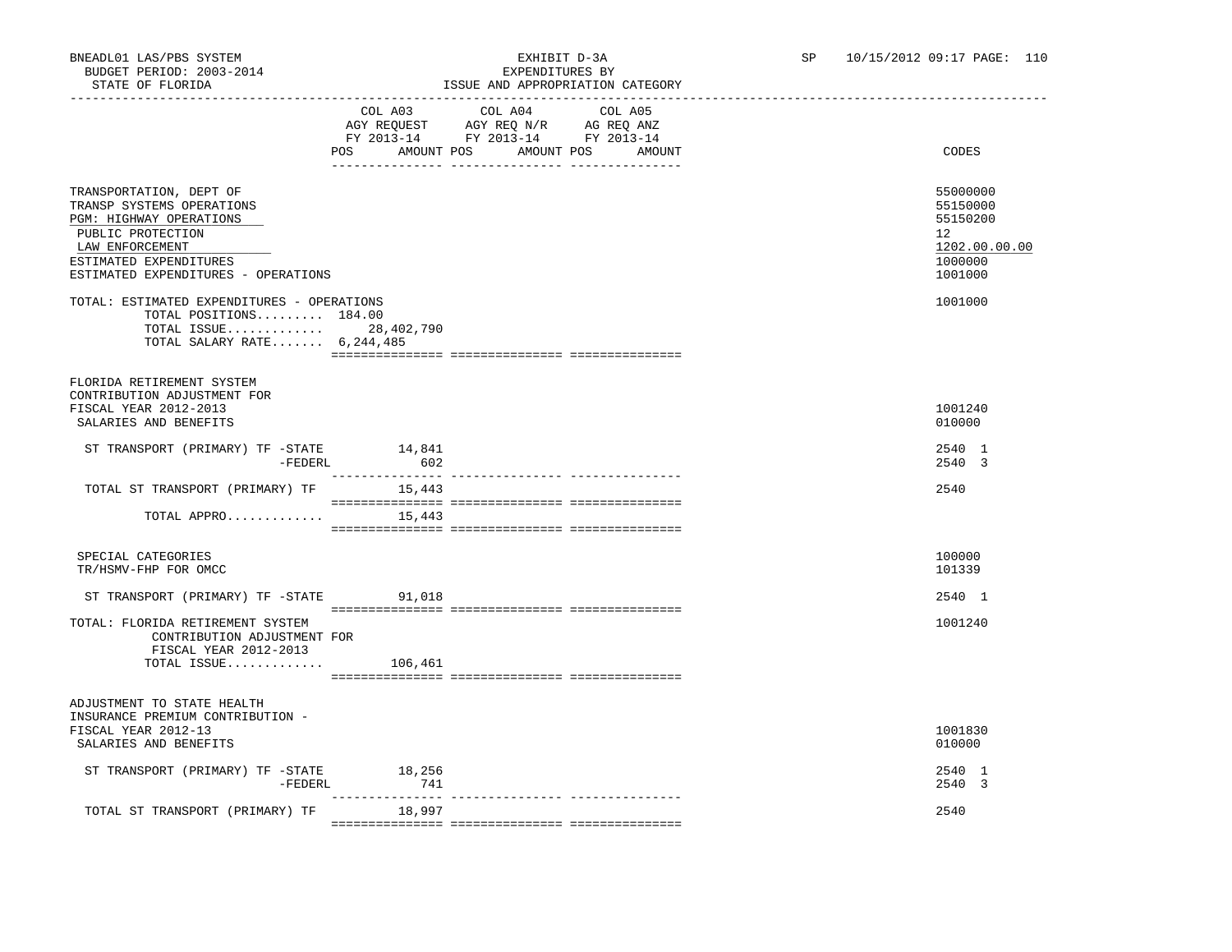## BNEADL01 LAS/PBS SYSTEM EXHIBIT D-3A SP 10/15/2012 09:17 PAGE: 110 ISSUE AND APPROPRIATION CATEGORY

|                                                                                                                                                                                          | POS<br>AMOUNT POS | COL A03 COL A04<br>AGY REQUEST AGY REQ N/R AG REQ ANZ<br>FY 2013-14 FY 2013-14 FY 2013-14<br>AMOUNT POS | COL A05<br>AMOUNT | CODES                                                                         |
|------------------------------------------------------------------------------------------------------------------------------------------------------------------------------------------|-------------------|---------------------------------------------------------------------------------------------------------|-------------------|-------------------------------------------------------------------------------|
| TRANSPORTATION, DEPT OF<br>TRANSP SYSTEMS OPERATIONS<br>PGM: HIGHWAY OPERATIONS<br>PUBLIC PROTECTION<br>LAW ENFORCEMENT<br>ESTIMATED EXPENDITURES<br>ESTIMATED EXPENDITURES - OPERATIONS |                   |                                                                                                         |                   | 55000000<br>55150000<br>55150200<br>12<br>1202.00.00.00<br>1000000<br>1001000 |
| TOTAL: ESTIMATED EXPENDITURES - OPERATIONS<br>TOTAL POSITIONS 184.00<br>TOTAL ISSUE 28,402,790<br>TOTAL SALARY RATE $6,244,485$                                                          |                   |                                                                                                         |                   | 1001000                                                                       |
| FLORIDA RETIREMENT SYSTEM<br>CONTRIBUTION ADJUSTMENT FOR<br>FISCAL YEAR 2012-2013<br>SALARIES AND BENEFITS                                                                               |                   |                                                                                                         |                   | 1001240<br>010000                                                             |
| ST TRANSPORT (PRIMARY) TF -STATE 14,841<br>-FEDERL                                                                                                                                       | 602               |                                                                                                         |                   | 2540 1<br>2540 3                                                              |
| TOTAL ST TRANSPORT (PRIMARY) TF 15,443                                                                                                                                                   | _______________   |                                                                                                         |                   | 2540                                                                          |
| TOTAL APPRO $15,443$                                                                                                                                                                     |                   |                                                                                                         |                   |                                                                               |
| SPECIAL CATEGORIES<br>TR/HSMV-FHP FOR OMCC                                                                                                                                               |                   |                                                                                                         |                   | 100000<br>101339                                                              |
| ST TRANSPORT (PRIMARY) TF -STATE 91,018                                                                                                                                                  |                   |                                                                                                         |                   | 2540 1                                                                        |
| TOTAL: FLORIDA RETIREMENT SYSTEM<br>CONTRIBUTION ADJUSTMENT FOR<br>FISCAL YEAR 2012-2013<br>TOTAL ISSUE $106,461$                                                                        |                   |                                                                                                         |                   | 1001240                                                                       |
|                                                                                                                                                                                          |                   |                                                                                                         |                   |                                                                               |
| ADJUSTMENT TO STATE HEALTH<br>INSURANCE PREMIUM CONTRIBUTION -<br>FISCAL YEAR 2012-13<br>SALARIES AND BENEFITS                                                                           |                   |                                                                                                         |                   | 1001830<br>010000                                                             |
| ST TRANSPORT (PRIMARY) TF -STATE<br>-FEDERL                                                                                                                                              | 18,256<br>741     |                                                                                                         |                   | 2540 1<br>2540 3                                                              |
| TOTAL ST TRANSPORT (PRIMARY) TF                                                                                                                                                          | 18,997            |                                                                                                         |                   | 2540                                                                          |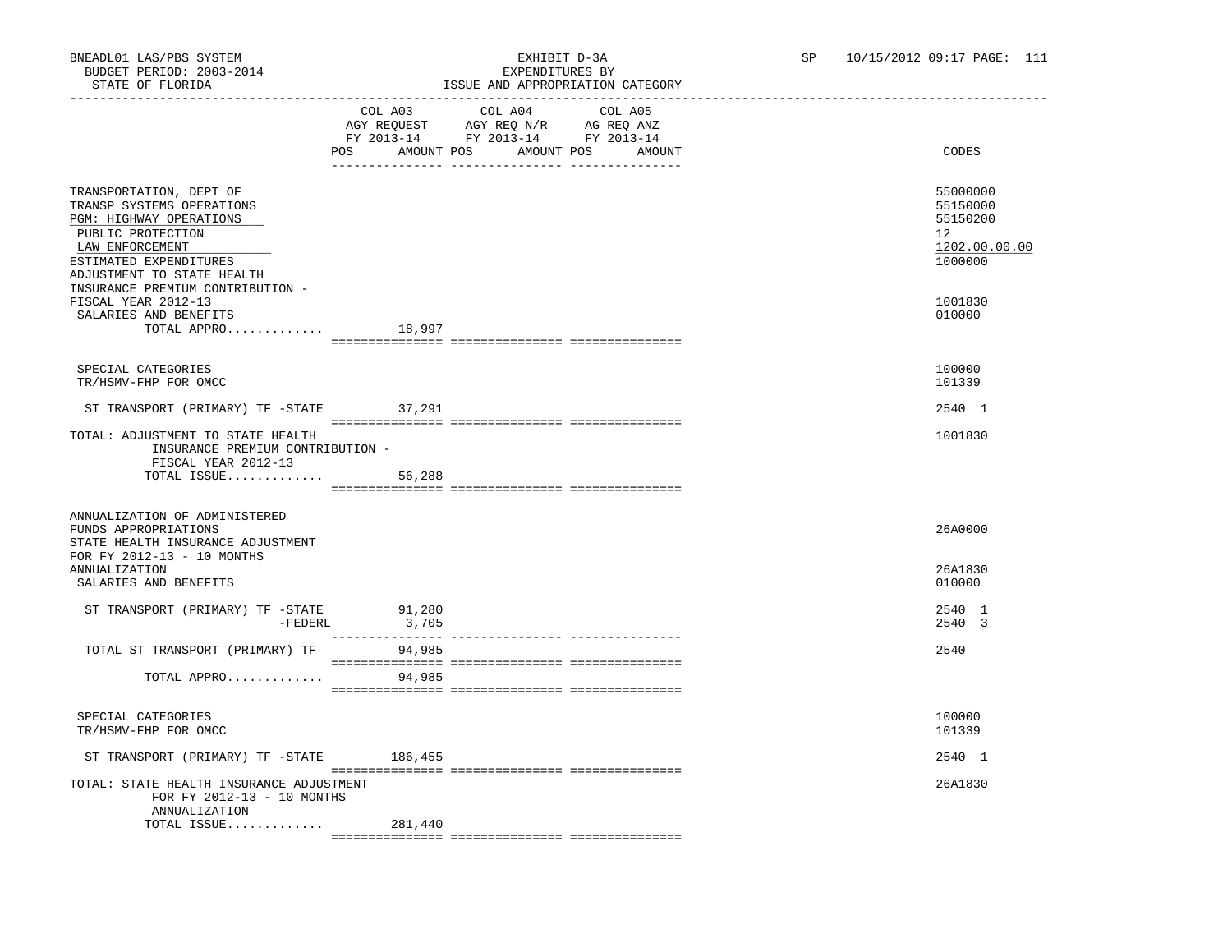## BNEADL01 LAS/PBS SYSTEM EXHIBIT D-3A SP 10/15/2012 09:17 PAGE: 111 ISSUE AND APPROPRIATION CATEGORY

|                                                                                                                                                                                 |         | TOOG UND UITIKOIKINITOIN CUIDOOKI                                                                                                                                                                                                         |                   | _______________________________                                                 |
|---------------------------------------------------------------------------------------------------------------------------------------------------------------------------------|---------|-------------------------------------------------------------------------------------------------------------------------------------------------------------------------------------------------------------------------------------------|-------------------|---------------------------------------------------------------------------------|
|                                                                                                                                                                                 | COL A03 | COL A04<br>$\begin{tabular}{lllllll} \bf AGY \;\; RegUEST & \tt AGY \;\; REG \;\; N/R & \tt AG \;\; REG \;\; ANZ \\ \hline \tt FY \;\; 2013-14 & \tt FY \;\; 2013-14 & \tt FY \;\; 2013-14 \\ \end{tabular}$<br>POS AMOUNT POS AMOUNT POS | COL A05<br>AMOUNT | CODES                                                                           |
|                                                                                                                                                                                 |         |                                                                                                                                                                                                                                           |                   |                                                                                 |
| TRANSPORTATION, DEPT OF<br>TRANSP SYSTEMS OPERATIONS<br>PGM: HIGHWAY OPERATIONS<br>PUBLIC PROTECTION<br>LAW ENFORCEMENT<br>ESTIMATED EXPENDITURES<br>ADJUSTMENT TO STATE HEALTH |         |                                                                                                                                                                                                                                           |                   | 55000000<br>55150000<br>55150200<br>12 <sup>°</sup><br>1202.00.00.00<br>1000000 |
| INSURANCE PREMIUM CONTRIBUTION -<br>FISCAL YEAR 2012-13<br>SALARIES AND BENEFITS<br>TOTAL APPRO $18,997$                                                                        |         |                                                                                                                                                                                                                                           |                   | 1001830<br>010000                                                               |
|                                                                                                                                                                                 |         |                                                                                                                                                                                                                                           |                   |                                                                                 |
| SPECIAL CATEGORIES<br>TR/HSMV-FHP FOR OMCC                                                                                                                                      |         |                                                                                                                                                                                                                                           |                   | 100000<br>101339                                                                |
| ST TRANSPORT (PRIMARY) TF -STATE 37,291                                                                                                                                         |         |                                                                                                                                                                                                                                           |                   | 2540 1                                                                          |
| TOTAL: ADJUSTMENT TO STATE HEALTH<br>INSURANCE PREMIUM CONTRIBUTION -<br>FISCAL YEAR 2012-13                                                                                    |         |                                                                                                                                                                                                                                           |                   | 1001830                                                                         |
|                                                                                                                                                                                 |         |                                                                                                                                                                                                                                           |                   |                                                                                 |
| ANNUALIZATION OF ADMINISTERED<br>FUNDS APPROPRIATIONS<br>STATE HEALTH INSURANCE ADJUSTMENT<br>FOR FY 2012-13 - 10 MONTHS                                                        |         |                                                                                                                                                                                                                                           |                   | 26A0000                                                                         |
| <b>ANNUALIZATION</b><br>SALARIES AND BENEFITS                                                                                                                                   |         |                                                                                                                                                                                                                                           |                   | 26A1830<br>010000                                                               |
| ST TRANSPORT (PRIMARY) TF -STATE 91,280<br>-FEDERL                                                                                                                              | 3,705   |                                                                                                                                                                                                                                           |                   | 2540 1<br>2540 3                                                                |
| TOTAL ST TRANSPORT (PRIMARY) TF                                                                                                                                                 | 94,985  |                                                                                                                                                                                                                                           |                   | 2540                                                                            |
| TOTAL APPRO                                                                                                                                                                     | 94,985  |                                                                                                                                                                                                                                           |                   |                                                                                 |
| SPECIAL CATEGORIES<br>TR/HSMV-FHP FOR OMCC                                                                                                                                      |         |                                                                                                                                                                                                                                           |                   | 100000<br>101339                                                                |
| ST TRANSPORT (PRIMARY) TF -STATE 186,455                                                                                                                                        |         |                                                                                                                                                                                                                                           |                   | 2540 1                                                                          |
| TOTAL: STATE HEALTH INSURANCE ADJUSTMENT<br>FOR FY 2012-13 - 10 MONTHS<br>ANNUALIZATION                                                                                         |         |                                                                                                                                                                                                                                           |                   | 26A1830                                                                         |
| TOTAL ISSUE                                                                                                                                                                     | 281,440 |                                                                                                                                                                                                                                           |                   |                                                                                 |
|                                                                                                                                                                                 |         |                                                                                                                                                                                                                                           |                   |                                                                                 |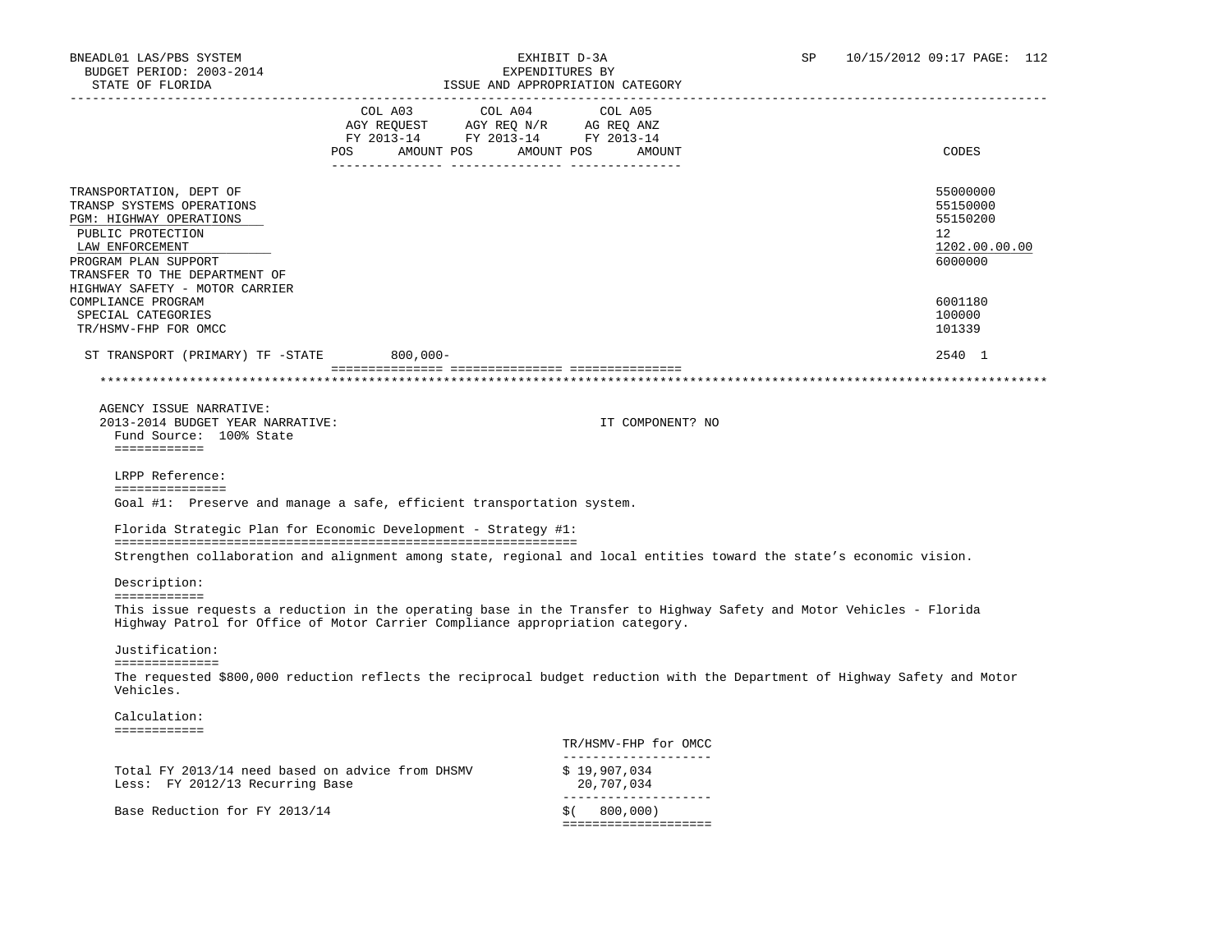| STATE OF FLORIDA                                                                                                                                                                 |                                                                                                                               | ISSUE AND APPROPRIATION CATEGORY                                                                                           |                                                                                 |
|----------------------------------------------------------------------------------------------------------------------------------------------------------------------------------|-------------------------------------------------------------------------------------------------------------------------------|----------------------------------------------------------------------------------------------------------------------------|---------------------------------------------------------------------------------|
|                                                                                                                                                                                  | COL A03 COL A04<br>AGY REQUEST AGY REQ N/R AG REQ ANZ<br>FY 2013-14 FY 2013-14 FY 2013-14<br>POS AMOUNT POS AMOUNT POS AMOUNT | COL A05                                                                                                                    | CODES                                                                           |
| TRANSPORTATION, DEPT OF<br>TRANSP SYSTEMS OPERATIONS<br>PGM: HIGHWAY OPERATIONS<br>PUBLIC PROTECTION<br>LAW ENFORCEMENT<br>PROGRAM PLAN SUPPORT<br>TRANSFER TO THE DEPARTMENT OF |                                                                                                                               |                                                                                                                            | 55000000<br>55150000<br>55150200<br>12 <sup>°</sup><br>1202.00.00.00<br>6000000 |
| HIGHWAY SAFETY - MOTOR CARRIER<br>COMPLIANCE PROGRAM<br>SPECIAL CATEGORIES<br>TR/HSMV-FHP FOR OMCC                                                                               |                                                                                                                               |                                                                                                                            | 6001180<br>100000<br>101339                                                     |
| ST TRANSPORT (PRIMARY) TF -STATE 800,000-                                                                                                                                        |                                                                                                                               |                                                                                                                            | 2540 1                                                                          |
|                                                                                                                                                                                  |                                                                                                                               |                                                                                                                            |                                                                                 |
| AGENCY ISSUE NARRATIVE:<br>2013-2014 BUDGET YEAR NARRATIVE:<br>Fund Source: 100% State<br>============                                                                           |                                                                                                                               | IT COMPONENT? NO                                                                                                           |                                                                                 |
| LRPP Reference:<br>===============<br>Goal #1: Preserve and manage a safe, efficient transportation system.                                                                      |                                                                                                                               |                                                                                                                            |                                                                                 |
| Florida Strategic Plan for Economic Development - Strategy #1:                                                                                                                   |                                                                                                                               | Strengthen collaboration and alignment among state, regional and local entities toward the state's economic vision.        |                                                                                 |
| Description:                                                                                                                                                                     |                                                                                                                               |                                                                                                                            |                                                                                 |
| ============<br>Highway Patrol for Office of Motor Carrier Compliance appropriation category.                                                                                    |                                                                                                                               | This issue requests a reduction in the operating base in the Transfer to Highway Safety and Motor Vehicles - Florida       |                                                                                 |
| Justification:                                                                                                                                                                   |                                                                                                                               |                                                                                                                            |                                                                                 |
| ==============<br>Vehicles.                                                                                                                                                      |                                                                                                                               | The requested \$800,000 reduction reflects the reciprocal budget reduction with the Department of Highway Safety and Motor |                                                                                 |
| Calculation:                                                                                                                                                                     |                                                                                                                               |                                                                                                                            |                                                                                 |
| ============                                                                                                                                                                     |                                                                                                                               | TR/HSMV-FHP for OMCC                                                                                                       |                                                                                 |
| Total FY 2013/14 need based on advice from DHSMV<br>Less: FY 2012/13 Recurring Base                                                                                              |                                                                                                                               | _____________________<br>\$19,907,034<br>20,707,034                                                                        |                                                                                 |
| Base Reduction for FY 2013/14                                                                                                                                                    |                                                                                                                               | ____________________<br>$$$ ( $800,000)$<br>====================                                                           |                                                                                 |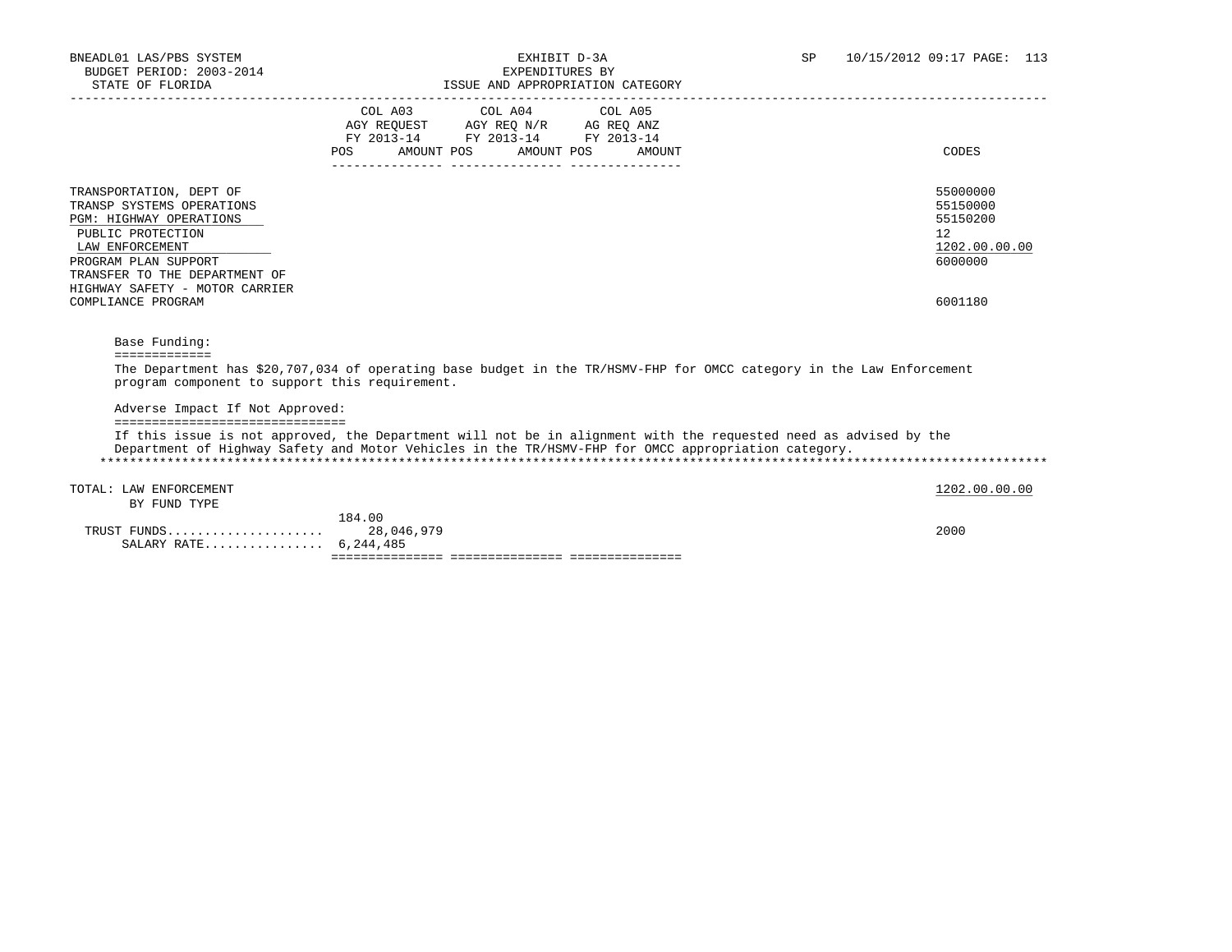| BNEADL01 LAS/PBS SYSTEM<br>BUDGET PERIOD: 2003-2014<br>STATE OF FLORIDA                                     | EXHIBIT D-3A<br>EXPENDITURES BY<br>ISSUE AND APPROPRIATION CATEGORY                                                                                   | 10/15/2012 09:17 PAGE: 113<br><b>SP</b> |
|-------------------------------------------------------------------------------------------------------------|-------------------------------------------------------------------------------------------------------------------------------------------------------|-----------------------------------------|
|                                                                                                             | COL A03<br>COL A04 COL A05<br>AGY REOUEST<br>AGY REO N/R AG REO ANZ<br>FY 2013-14 FY 2013-14 FY 2013-14<br>AMOUNT POS AMOUNT POS<br>POS FOR<br>AMOUNT | CODES                                   |
| TRANSPORTATION, DEPT OF<br>TRANSP SYSTEMS OPERATIONS<br><b>PGM: HIGHWAY OPERATIONS</b><br>PUBLIC PROTECTION |                                                                                                                                                       | 55000000<br>55150000<br>55150200<br>12  |

 $\texttt{LAN ENFORCEMENT} \color{black} 1202.00.00.00$ PROGRAM PLAN SUPPORT 6000000 TRANSFER TO THE DEPARTMENT OF HIGHWAY SAFETY - MOTOR CARRIER COMPLIANCE PROGRAM 6001180

 Base Funding: =============

 The Department has \$20,707,034 of operating base budget in the TR/HSMV-FHP for OMCC category in the Law Enforcement program component to support this requirement.

Adverse Impact If Not Approved:

===============================

 If this issue is not approved, the Department will not be in alignment with the requested need as advised by the Department of Highway Safety and Motor Vehicles in the TR/HSMV-FHP for OMCC appropriation category. \*\*\*\*\*\*\*\*\*\*\*\*\*\*\*\*\*\*\*\*\*\*\*\*\*\*\*\*\*\*\*\*\*\*\*\*\*\*\*\*\*\*\*\*\*\*\*\*\*\*\*\*\*\*\*\*\*\*\*\*\*\*\*\*\*\*\*\*\*\*\*\*\*\*\*\*\*\*\*\*\*\*\*\*\*\*\*\*\*\*\*\*\*\*\*\*\*\*\*\*\*\*\*\*\*\*\*\*\*\*\*\*\*\*\*\*\*\*\*\*\*\*\*\*\*\*\*

TOTAL: LAW ENFORCEMENT 1202.00.00 COLORED 1202.00.00 COLORED 1202.00.00 COLORED 1202.00.00 COLORED 1202.00 COLOR

BY FUND TYPE

| SALARY RATE 6,244,485 |            |      |
|-----------------------|------------|------|
| TRUST FUNDS           | 28,046,979 | 2000 |
|                       | 184.00     |      |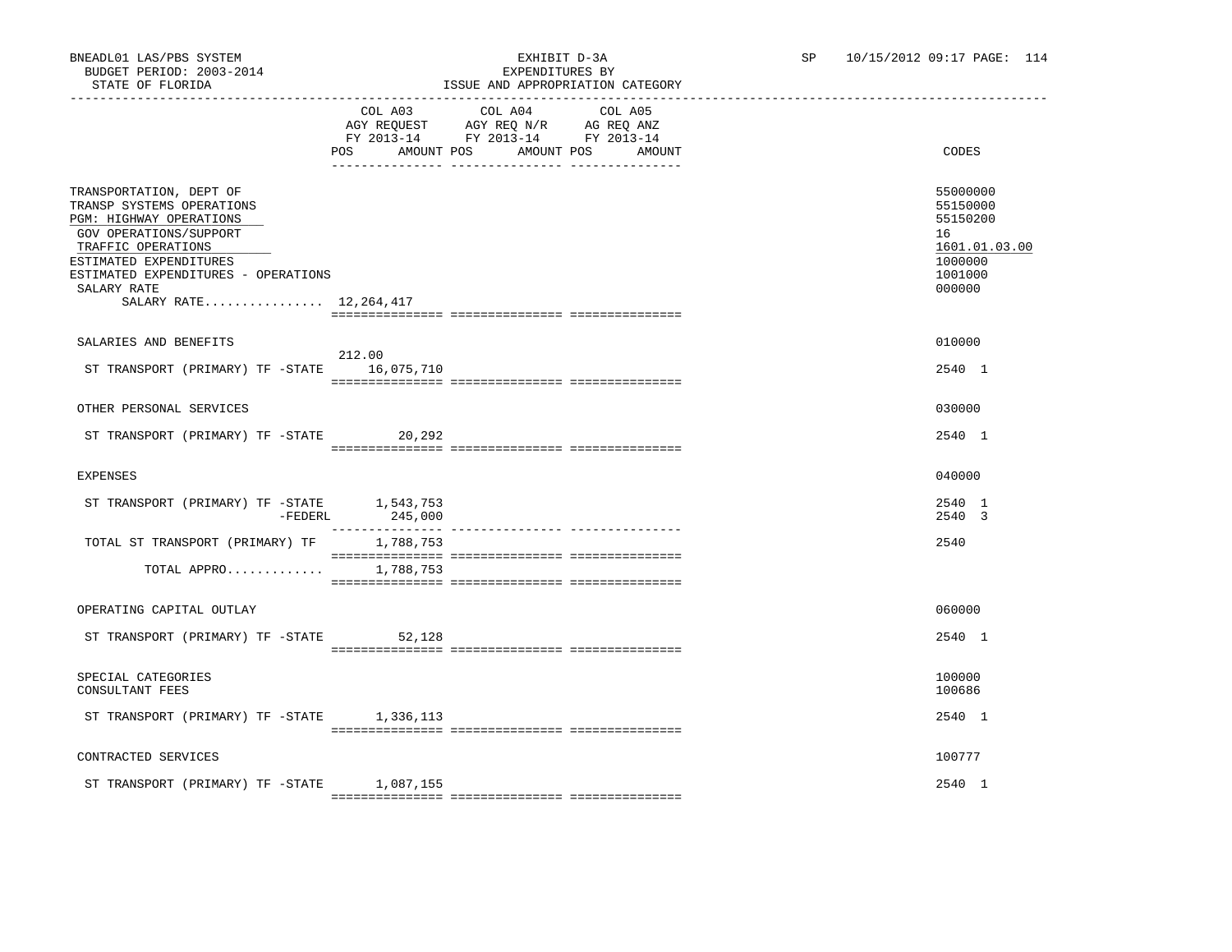# ISSUE AND APPROPRIATION CATEGORY

|                                                                                                                                                                                                                                             | POS AMOUNT POS       | COL A03 COL A04<br>AGY REQUEST AGY REQ N/R AG REQ ANZ<br>FY 2013-14 FY 2013-14 FY 2013-14 | COL A05<br>AMOUNT POS<br>AMOUNT | CODES                                                                                   |
|---------------------------------------------------------------------------------------------------------------------------------------------------------------------------------------------------------------------------------------------|----------------------|-------------------------------------------------------------------------------------------|---------------------------------|-----------------------------------------------------------------------------------------|
| TRANSPORTATION, DEPT OF<br>TRANSP SYSTEMS OPERATIONS<br>PGM: HIGHWAY OPERATIONS<br>GOV OPERATIONS/SUPPORT<br>TRAFFIC OPERATIONS<br>ESTIMATED EXPENDITURES<br>ESTIMATED EXPENDITURES - OPERATIONS<br>SALARY RATE<br>SALARY RATE 12, 264, 417 |                      |                                                                                           |                                 | 55000000<br>55150000<br>55150200<br>16<br>1601.01.03.00<br>1000000<br>1001000<br>000000 |
| SALARIES AND BENEFITS<br>ST TRANSPORT (PRIMARY) TF -STATE                                                                                                                                                                                   | 212.00<br>16,075,710 |                                                                                           |                                 | 010000<br>2540 1                                                                        |
| OTHER PERSONAL SERVICES<br>ST TRANSPORT (PRIMARY) TF -STATE 20,292                                                                                                                                                                          |                      |                                                                                           |                                 | 030000<br>2540 1                                                                        |
| <b>EXPENSES</b>                                                                                                                                                                                                                             |                      |                                                                                           |                                 | 040000                                                                                  |
| ST TRANSPORT (PRIMARY) TF -STATE 1,543,753<br>-FEDERL                                                                                                                                                                                       | 245,000              |                                                                                           |                                 | 2540 1<br>2540 3                                                                        |
| TOTAL ST TRANSPORT (PRIMARY) TF<br>TOTAL APPRO 1,788,753                                                                                                                                                                                    | 1,788,753            |                                                                                           |                                 | 2540                                                                                    |
| OPERATING CAPITAL OUTLAY                                                                                                                                                                                                                    |                      |                                                                                           |                                 | 060000                                                                                  |
| ST TRANSPORT (PRIMARY) TF -STATE                                                                                                                                                                                                            | 52,128               |                                                                                           |                                 | 2540 1                                                                                  |
| SPECIAL CATEGORIES<br>CONSULTANT FEES                                                                                                                                                                                                       |                      |                                                                                           |                                 | 100000<br>100686                                                                        |
| ST TRANSPORT (PRIMARY) TF -STATE 1,336,113                                                                                                                                                                                                  |                      |                                                                                           |                                 | 2540 1                                                                                  |
| CONTRACTED SERVICES                                                                                                                                                                                                                         |                      |                                                                                           |                                 | 100777                                                                                  |
| ST TRANSPORT (PRIMARY) TF -STATE                                                                                                                                                                                                            | 1,087,155            |                                                                                           |                                 | 2540 1                                                                                  |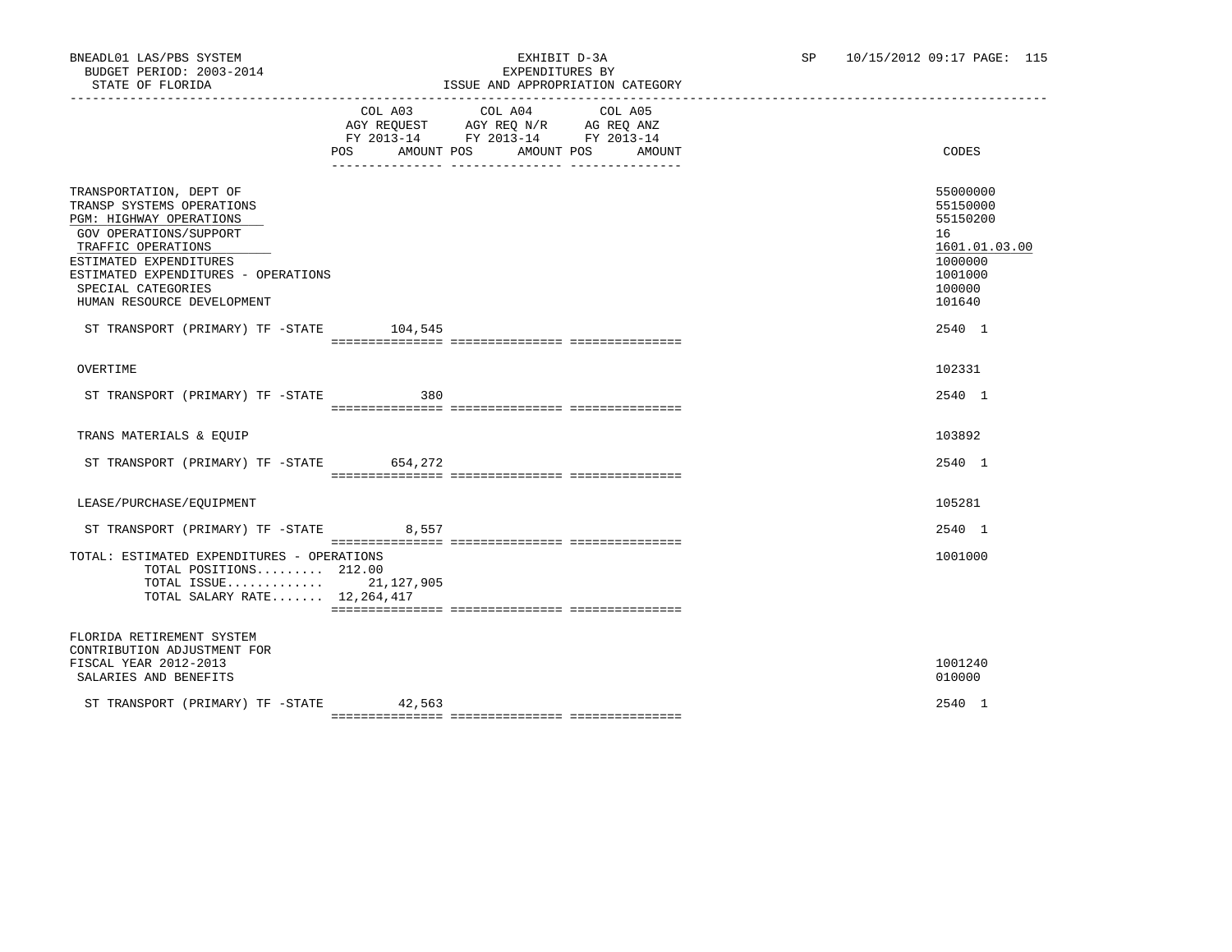## BNEADL01 LAS/PBS SYSTEM EXHIBIT D-3A SP 10/15/2012 09:17 PAGE: 115 ISSUE AND APPROPRIATION CATEGORY

|                                                                                                                                                                                                                                                      | COL A03 COL A04 COL A05<br>AGY REQUEST AGY REQ N/R AG REQ ANZ<br>FY 2013-14 FY 2013-14 FY 2013-14<br>POS AMOUNT POS AMOUNT POS AMOUNT | CODES                                                                                             |
|------------------------------------------------------------------------------------------------------------------------------------------------------------------------------------------------------------------------------------------------------|---------------------------------------------------------------------------------------------------------------------------------------|---------------------------------------------------------------------------------------------------|
| TRANSPORTATION, DEPT OF<br>TRANSP SYSTEMS OPERATIONS<br>PGM: HIGHWAY OPERATIONS<br>GOV OPERATIONS/SUPPORT<br>TRAFFIC OPERATIONS<br>ESTIMATED EXPENDITURES<br>ESTIMATED EXPENDITURES - OPERATIONS<br>SPECIAL CATEGORIES<br>HUMAN RESOURCE DEVELOPMENT |                                                                                                                                       | 55000000<br>55150000<br>55150200<br>16<br>1601.01.03.00<br>1000000<br>1001000<br>100000<br>101640 |
| ST TRANSPORT (PRIMARY) TF -STATE 104,545                                                                                                                                                                                                             |                                                                                                                                       | 2540 1                                                                                            |
| OVERTIME                                                                                                                                                                                                                                             |                                                                                                                                       | 102331                                                                                            |
| ST TRANSPORT (PRIMARY) TF -STATE 380                                                                                                                                                                                                                 |                                                                                                                                       | 2540 1                                                                                            |
| TRANS MATERIALS & EQUIP                                                                                                                                                                                                                              |                                                                                                                                       | 103892                                                                                            |
| ST TRANSPORT (PRIMARY) TF -STATE 654,272                                                                                                                                                                                                             |                                                                                                                                       | 2540 1                                                                                            |
| LEASE/PURCHASE/EOUIPMENT                                                                                                                                                                                                                             |                                                                                                                                       | 105281                                                                                            |
| ST TRANSPORT (PRIMARY) TF -STATE 8,557                                                                                                                                                                                                               |                                                                                                                                       | 2540 1                                                                                            |
| TOTAL: ESTIMATED EXPENDITURES - OPERATIONS<br>TOTAL POSITIONS 212.00<br>TOTAL ISSUE 21,127,905<br>TOTAL SALARY RATE 12, 264, 417                                                                                                                     |                                                                                                                                       | 1001000                                                                                           |
| FLORIDA RETIREMENT SYSTEM<br>CONTRIBUTION ADJUSTMENT FOR<br>FISCAL YEAR 2012-2013<br>SALARIES AND BENEFITS                                                                                                                                           |                                                                                                                                       | 1001240<br>010000                                                                                 |
| ST TRANSPORT (PRIMARY) TF -STATE 42,563                                                                                                                                                                                                              |                                                                                                                                       | 2540 1                                                                                            |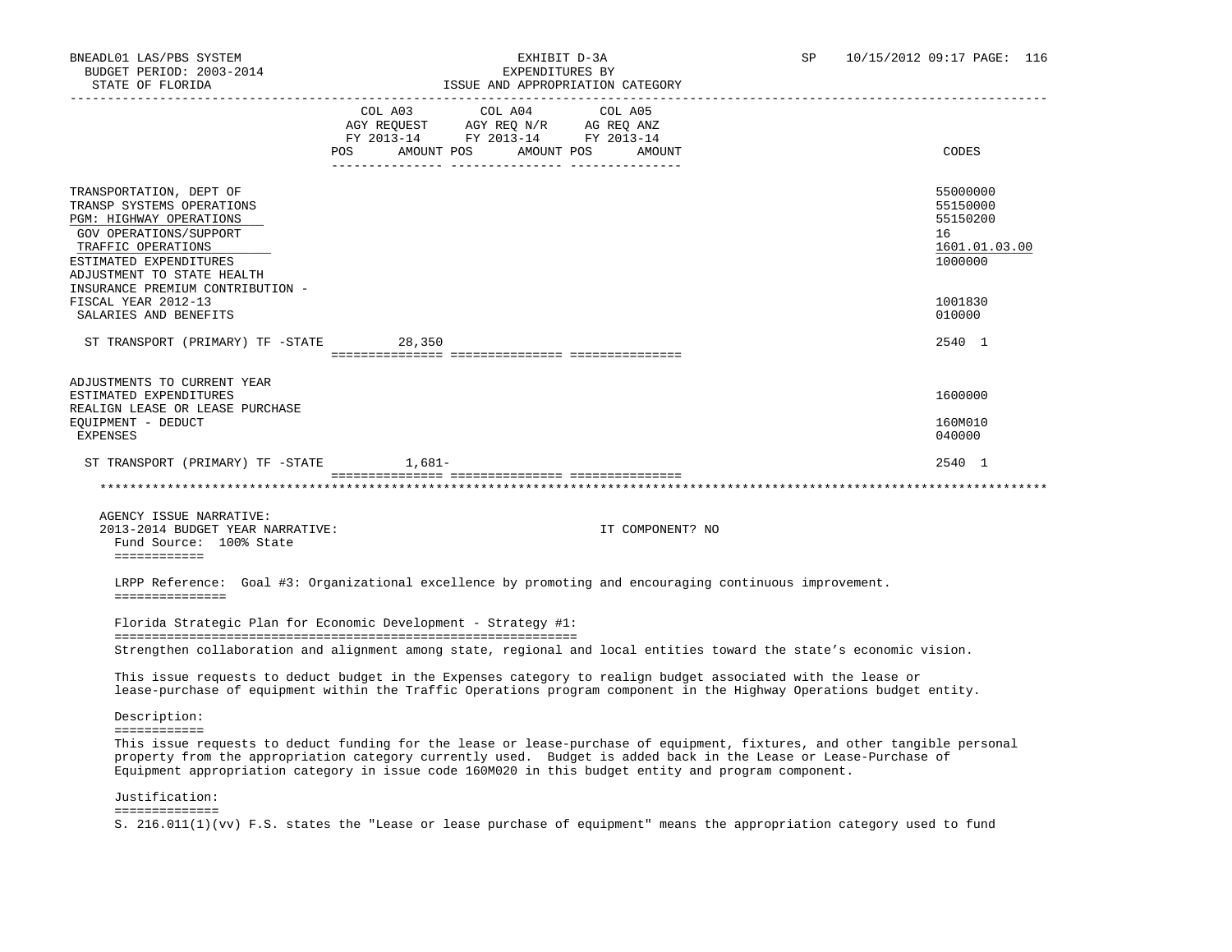| STATE OF FLORIDA                                                                                                                                                                               |                                                                                                                                                                                                                                                         | ISSUE AND APPROPRIATION CATEGORY                                                                                                                                                                                                     |                                                                    |
|------------------------------------------------------------------------------------------------------------------------------------------------------------------------------------------------|---------------------------------------------------------------------------------------------------------------------------------------------------------------------------------------------------------------------------------------------------------|--------------------------------------------------------------------------------------------------------------------------------------------------------------------------------------------------------------------------------------|--------------------------------------------------------------------|
|                                                                                                                                                                                                | COL A04<br>COL A03<br>$\begin{tabular}{lllllll} \bf AGY \;\; RegUEST & \tt AGY \;\; REG \;\; N/R & \tt AG \;\; REG \;\; ANZ \\ \hline \tt FY \;\; 2013-14 & \tt FY \;\; 2013-14 & \tt FY \;\; 2013-14 \\ \end{tabular}$<br>AMOUNT POS AMOUNT POS<br>POS | COL A05<br>AMOUNT                                                                                                                                                                                                                    | CODES                                                              |
| TRANSPORTATION, DEPT OF<br>TRANSP SYSTEMS OPERATIONS<br><b>PGM: HIGHWAY OPERATIONS</b><br>GOV OPERATIONS/SUPPORT<br>TRAFFIC OPERATIONS<br>ESTIMATED EXPENDITURES<br>ADJUSTMENT TO STATE HEALTH |                                                                                                                                                                                                                                                         |                                                                                                                                                                                                                                      | 55000000<br>55150000<br>55150200<br>16<br>1601.01.03.00<br>1000000 |
| INSURANCE PREMIUM CONTRIBUTION -<br>FISCAL YEAR 2012-13<br>SALARIES AND BENEFITS                                                                                                               |                                                                                                                                                                                                                                                         |                                                                                                                                                                                                                                      | 1001830<br>010000                                                  |
| ST TRANSPORT (PRIMARY) TF -STATE                                                                                                                                                               | 28,350                                                                                                                                                                                                                                                  |                                                                                                                                                                                                                                      | 2540 1                                                             |
| ADJUSTMENTS TO CURRENT YEAR<br>ESTIMATED EXPENDITURES<br>REALIGN LEASE OR LEASE PURCHASE<br>EQUIPMENT - DEDUCT<br>EXPENSES                                                                     |                                                                                                                                                                                                                                                         |                                                                                                                                                                                                                                      | 1600000<br>160M010<br>040000                                       |
| ST TRANSPORT (PRIMARY) TF -STATE 1,681-                                                                                                                                                        |                                                                                                                                                                                                                                                         |                                                                                                                                                                                                                                      | 2540 1                                                             |
|                                                                                                                                                                                                |                                                                                                                                                                                                                                                         |                                                                                                                                                                                                                                      |                                                                    |
| AGENCY ISSUE NARRATIVE:<br>2013-2014 BUDGET YEAR NARRATIVE:<br>Fund Source: 100% State<br>============                                                                                         |                                                                                                                                                                                                                                                         | IT COMPONENT? NO                                                                                                                                                                                                                     |                                                                    |
| ===============                                                                                                                                                                                |                                                                                                                                                                                                                                                         | LRPP Reference: Goal #3: Organizational excellence by promoting and encouraging continuous improvement.                                                                                                                              |                                                                    |
|                                                                                                                                                                                                | Florida Strategic Plan for Economic Development - Strategy #1:                                                                                                                                                                                          |                                                                                                                                                                                                                                      |                                                                    |
|                                                                                                                                                                                                |                                                                                                                                                                                                                                                         | Strengthen collaboration and alignment among state, regional and local entities toward the state's economic vision.                                                                                                                  |                                                                    |
|                                                                                                                                                                                                |                                                                                                                                                                                                                                                         | This issue requests to deduct budget in the Expenses category to realign budget associated with the lease or<br>lease-purchase of equipment within the Traffic Operations program component in the Highway Operations budget entity. |                                                                    |
| Description:                                                                                                                                                                                   |                                                                                                                                                                                                                                                         |                                                                                                                                                                                                                                      |                                                                    |
| ============                                                                                                                                                                                   |                                                                                                                                                                                                                                                         | This issue requests to deduct funding for the lease or lease-purchase of equipment, fixtures, and other tangible personal                                                                                                            |                                                                    |

 property from the appropriation category currently used. Budget is added back in the Lease or Lease-Purchase of Equipment appropriation category in issue code 160M020 in this budget entity and program component.

Justification:

==============

S. 216.011(1)(vv) F.S. states the "Lease or lease purchase of equipment" means the appropriation category used to fund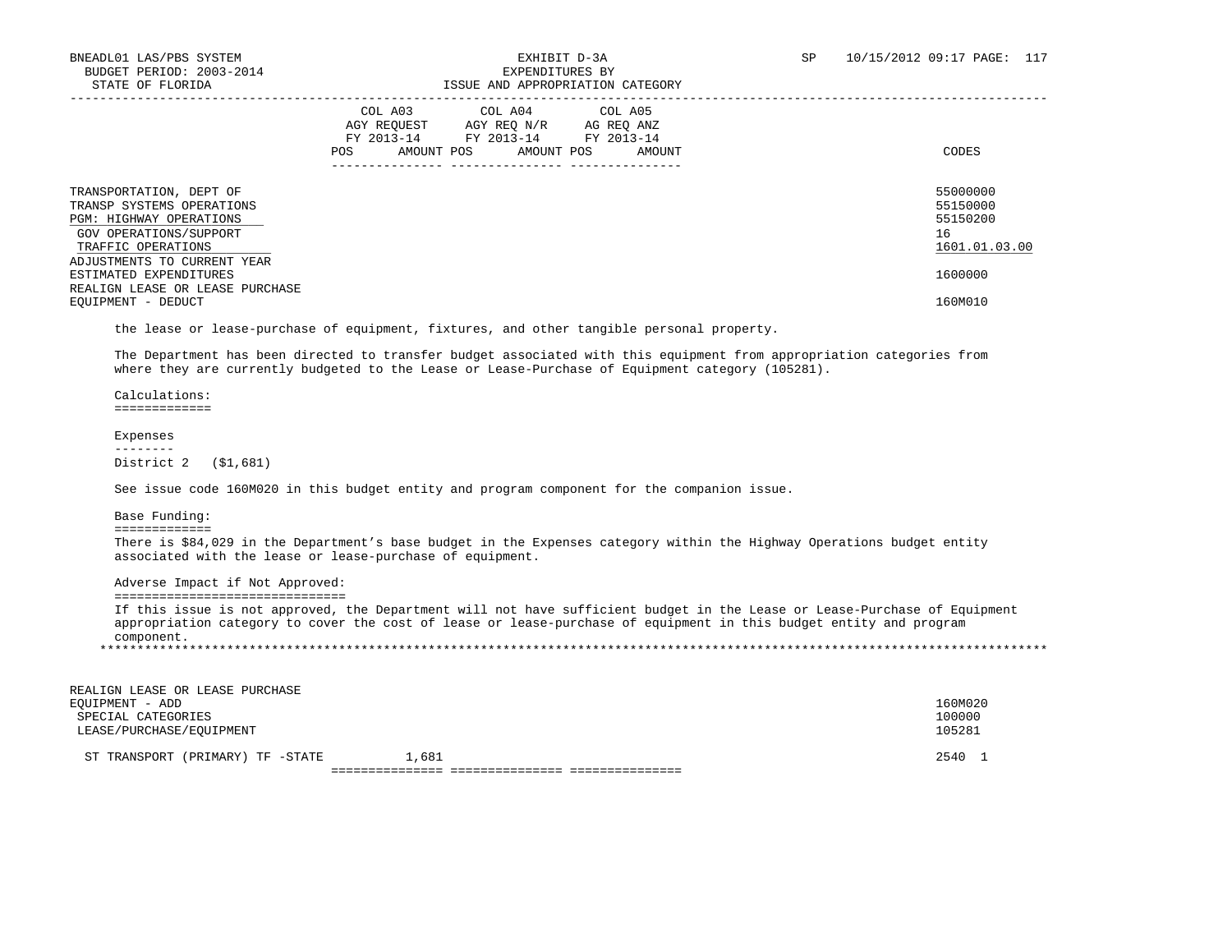|                                                                                                                                                                | COL A03<br>COL A04<br>COL A05<br>AGY REQ N/R<br>AGY REQUEST<br>AG REQ ANZ<br>FY 2013-14<br>FY 2013-14<br>FY 2013-14<br>POS<br>AMOUNT POS<br>AMOUNT POS<br>AMOUNT | CODES                                                   |
|----------------------------------------------------------------------------------------------------------------------------------------------------------------|------------------------------------------------------------------------------------------------------------------------------------------------------------------|---------------------------------------------------------|
| TRANSPORTATION, DEPT OF<br>TRANSP SYSTEMS OPERATIONS<br>PGM: HIGHWAY OPERATIONS<br>GOV OPERATIONS/SUPPORT<br>TRAFFIC OPERATIONS<br>ADJUSTMENTS TO CURRENT YEAR |                                                                                                                                                                  | 55000000<br>55150000<br>55150200<br>16<br>1601.01.03.00 |
| ESTIMATED EXPENDITURES<br>REALIGN LEASE OR LEASE PURCHASE                                                                                                      |                                                                                                                                                                  | 1600000                                                 |
| EQUIPMENT - DEDUCT                                                                                                                                             |                                                                                                                                                                  | 160M010                                                 |

the lease or lease-purchase of equipment, fixtures, and other tangible personal property.

 The Department has been directed to transfer budget associated with this equipment from appropriation categories from where they are currently budgeted to the Lease or Lease-Purchase of Equipment category (105281).

 Calculations: =============

### Expenses

 -------- District 2 (\$1,681)

See issue code 160M020 in this budget entity and program component for the companion issue.

Base Funding:

=============

 There is \$84,029 in the Department's base budget in the Expenses category within the Highway Operations budget entity associated with the lease or lease-purchase of equipment.

Adverse Impact if Not Approved:

===============================

 If this issue is not approved, the Department will not have sufficient budget in the Lease or Lease-Purchase of Equipment appropriation category to cover the cost of lease or lease-purchase of equipment in this budget entity and program component. \*\*\*\*\*\*\*\*\*\*\*\*\*\*\*\*\*\*\*\*\*\*\*\*\*\*\*\*\*\*\*\*\*\*\*\*\*\*\*\*\*\*\*\*\*\*\*\*\*\*\*\*\*\*\*\*\*\*\*\*\*\*\*\*\*\*\*\*\*\*\*\*\*\*\*\*\*\*\*\*\*\*\*\*\*\*\*\*\*\*\*\*\*\*\*\*\*\*\*\*\*\*\*\*\*\*\*\*\*\*\*\*\*\*\*\*\*\*\*\*\*\*\*\*\*\*\*

| REALIGN LEASE OR LEASE PURCHASE  |       |         |  |
|----------------------------------|-------|---------|--|
| EOUIPMENT - ADD                  |       | 160M020 |  |
| SPECIAL CATEGORIES               |       | 100000  |  |
| LEASE/PURCHASE/EOUIPMENT         |       | 105281  |  |
|                                  |       |         |  |
| ST TRANSPORT (PRIMARY) TF -STATE | 1,681 | 2540 1  |  |
|                                  |       |         |  |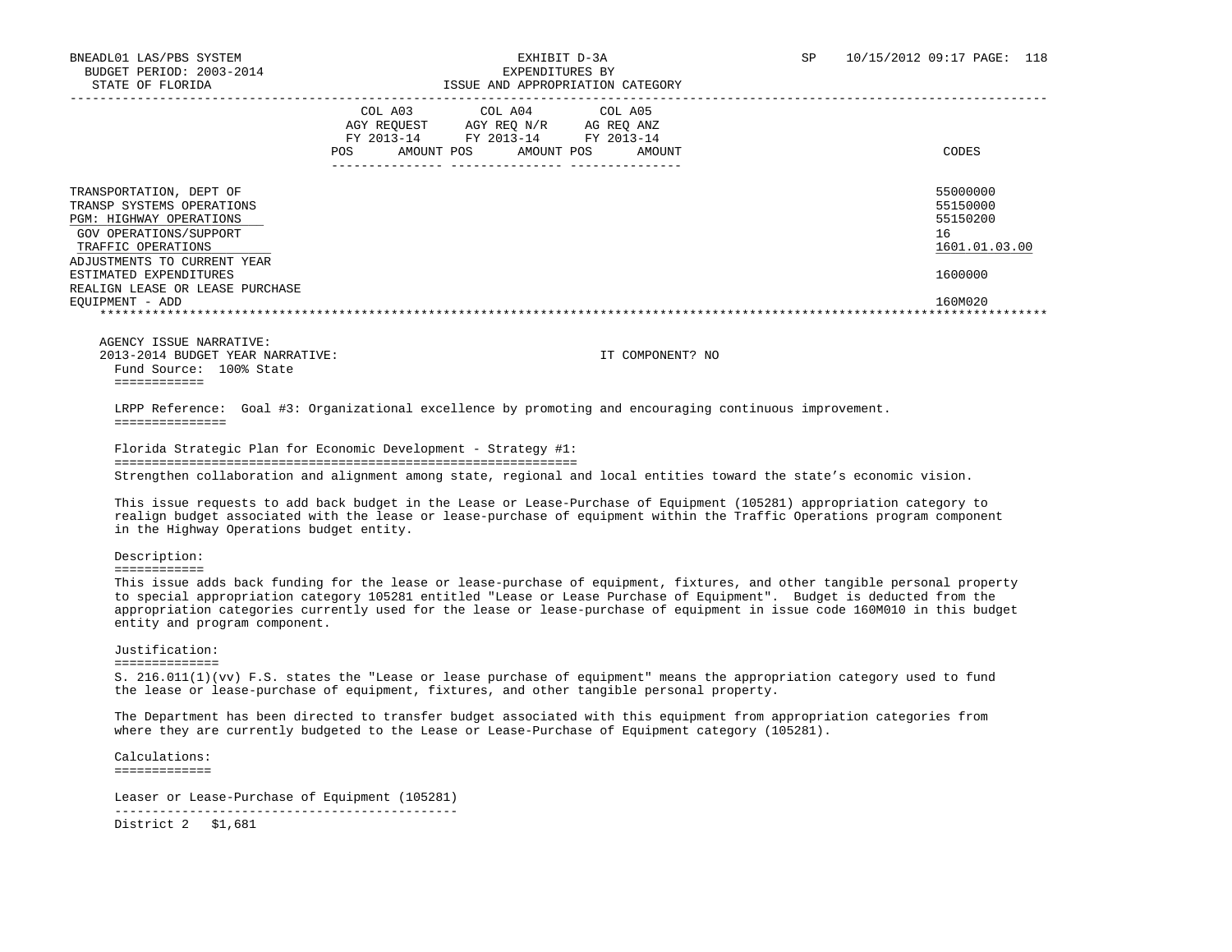|                                                                                                                                        | COL A03<br>AGY REOUEST<br>FY 2013-14<br>POS | AMOUNT POS | COL A04 COL A05<br>AGY REO N/R<br>FY 2013-14<br>------------ | AMOUNT POS | FY 2013-14 | AG REQ ANZ<br>AMOUNT | CODES                                                   |
|----------------------------------------------------------------------------------------------------------------------------------------|---------------------------------------------|------------|--------------------------------------------------------------|------------|------------|----------------------|---------------------------------------------------------|
| TRANSPORTATION, DEPT OF<br>TRANSP SYSTEMS OPERATIONS<br><b>PGM: HIGHWAY OPERATIONS</b><br>GOV OPERATIONS/SUPPORT<br>TRAFFIC OPERATIONS |                                             |            |                                                              |            |            |                      | 55000000<br>55150000<br>55150200<br>16<br>1601.01.03.00 |
| ADJUSTMENTS TO CURRENT YEAR<br>ESTIMATED EXPENDITURES<br>REALIGN LEASE OR LEASE PURCHASE<br>EOUIPMENT - ADD                            |                                             |            |                                                              |            |            |                      | 1600000<br>160M020                                      |
|                                                                                                                                        |                                             |            |                                                              |            |            |                      |                                                         |

 AGENCY ISSUE NARRATIVE: 2013-2014 BUDGET YEAR NARRATIVE: IT COMPONENT? NO Fund Source: 100% State ============

 LRPP Reference: Goal #3: Organizational excellence by promoting and encouraging continuous improvement. ===============

 Florida Strategic Plan for Economic Development - Strategy #1: ============================================================== Strengthen collaboration and alignment among state, regional and local entities toward the state's economic vision.

 This issue requests to add back budget in the Lease or Lease-Purchase of Equipment (105281) appropriation category to realign budget associated with the lease or lease-purchase of equipment within the Traffic Operations program component in the Highway Operations budget entity.

Description:

============

 This issue adds back funding for the lease or lease-purchase of equipment, fixtures, and other tangible personal property to special appropriation category 105281 entitled "Lease or Lease Purchase of Equipment". Budget is deducted from the appropriation categories currently used for the lease or lease-purchase of equipment in issue code 160M010 in this budget entity and program component.

Justification:

==============

 S. 216.011(1)(vv) F.S. states the "Lease or lease purchase of equipment" means the appropriation category used to fund the lease or lease-purchase of equipment, fixtures, and other tangible personal property.

 The Department has been directed to transfer budget associated with this equipment from appropriation categories from where they are currently budgeted to the Lease or Lease-Purchase of Equipment category (105281).

 Calculations: =============

 Leaser or Lease-Purchase of Equipment (105281) ----------------------------------------------

District 2 \$1,681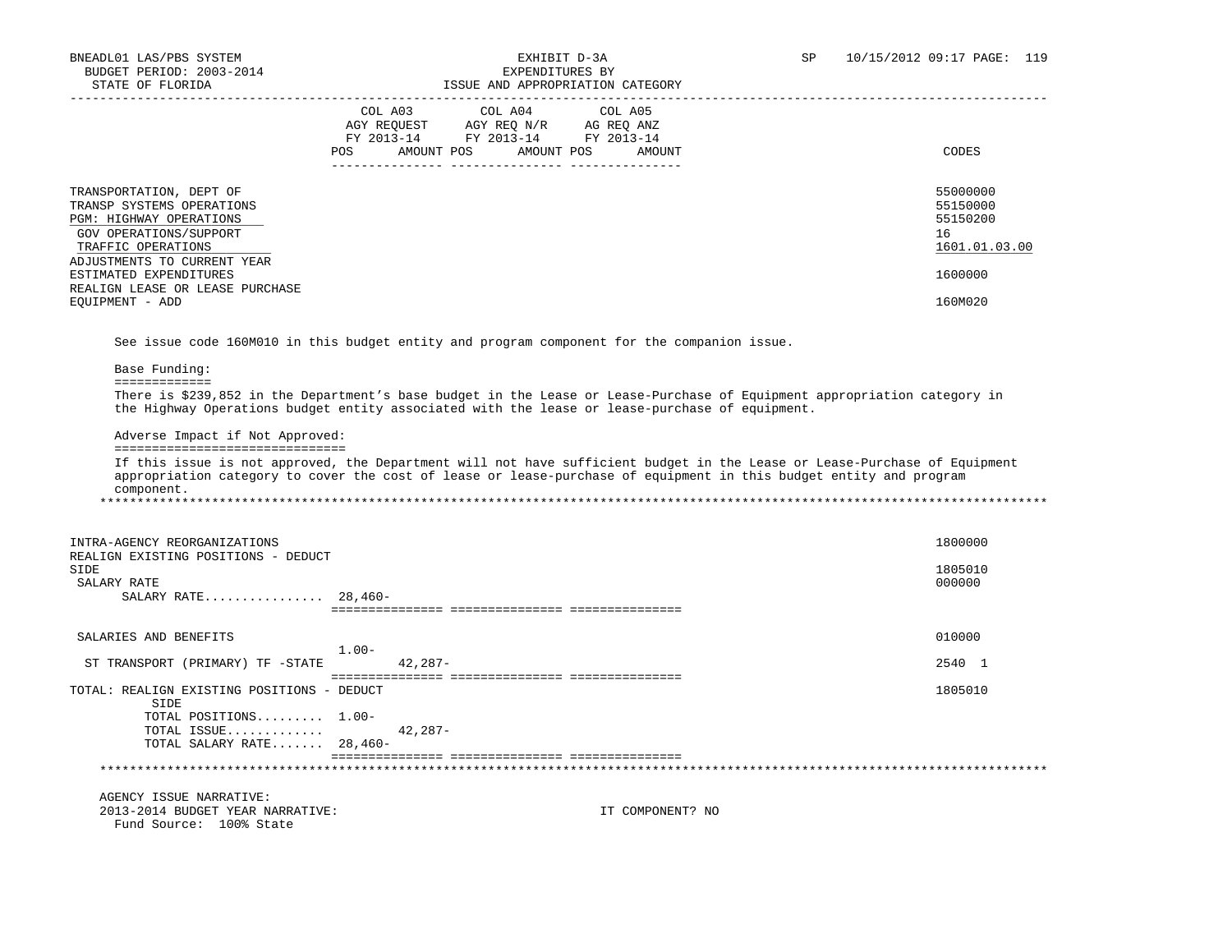|                                                                                                                                                                | COL A03<br>AGY REQUEST<br>FY 2013-14<br>AMOUNT POS<br>POS | COL A04 COL A05<br>AGY REQ N/R<br>AG REQ ANZ<br>FY 2013-14 FY 2013-14<br>AMOUNT POS<br>AMOUNT |    | CODES                                             |
|----------------------------------------------------------------------------------------------------------------------------------------------------------------|-----------------------------------------------------------|-----------------------------------------------------------------------------------------------|----|---------------------------------------------------|
| TRANSPORTATION, DEPT OF<br>TRANSP SYSTEMS OPERATIONS<br>PGM: HIGHWAY OPERATIONS<br>GOV OPERATIONS/SUPPORT<br>TRAFFIC OPERATIONS<br>ADJUSTMENTS TO CURRENT YEAR |                                                           |                                                                                               | 16 | 55000000<br>55150000<br>55150200<br>1601.01.03.00 |
| ESTIMATED EXPENDITURES<br>REALIGN LEASE OR LEASE PURCHASE<br>EOUIPMENT - ADD                                                                                   |                                                           |                                                                                               |    | 1600000<br>160M020                                |

See issue code 160M010 in this budget entity and program component for the companion issue.

Base Funding:

=============

 There is \$239,852 in the Department's base budget in the Lease or Lease-Purchase of Equipment appropriation category in the Highway Operations budget entity associated with the lease or lease-purchase of equipment.

Adverse Impact if Not Approved:

===============================

 If this issue is not approved, the Department will not have sufficient budget in the Lease or Lease-Purchase of Equipment appropriation category to cover the cost of lease or lease-purchase of equipment in this budget entity and program component. \*\*\*\*\*\*\*\*\*\*\*\*\*\*\*\*\*\*\*\*\*\*\*\*\*\*\*\*\*\*\*\*\*\*\*\*\*\*\*\*\*\*\*\*\*\*\*\*\*\*\*\*\*\*\*\*\*\*\*\*\*\*\*\*\*\*\*\*\*\*\*\*\*\*\*\*\*\*\*\*\*\*\*\*\*\*\*\*\*\*\*\*\*\*\*\*\*\*\*\*\*\*\*\*\*\*\*\*\*\*\*\*\*\*\*\*\*\*\*\*\*\*\*\*\*\*\*

 INTRA-AGENCY REORGANIZATIONS 1800000 REALIGN EXISTING POSITIONS - DEDUCT SIDE 1805010  $\,$ SALARY RATE  $\,$  000000  $\,$  SALARY RATE................ 28,460- =============== =============== =============== SALARIES AND BENEFITS 010000 1.00- ST TRANSPORT (PRIMARY) TF -STATE 42,287- 2540 1 =============== =============== =============== TOTAL: REALIGN EXISTING POSITIONS - DEDUCT 1805010 SIDE TOTAL POSITIONS......... 1.00- TOTAL ISSUE............. 42,287- TOTAL SALARY RATE....... 28,460- =============== =============== =============== \*\*\*\*\*\*\*\*\*\*\*\*\*\*\*\*\*\*\*\*\*\*\*\*\*\*\*\*\*\*\*\*\*\*\*\*\*\*\*\*\*\*\*\*\*\*\*\*\*\*\*\*\*\*\*\*\*\*\*\*\*\*\*\*\*\*\*\*\*\*\*\*\*\*\*\*\*\*\*\*\*\*\*\*\*\*\*\*\*\*\*\*\*\*\*\*\*\*\*\*\*\*\*\*\*\*\*\*\*\*\*\*\*\*\*\*\*\*\*\*\*\*\*\*\*\*\* AGENCY ISSUE NARRATIVE: 2013-2014 BUDGET YEAR NARRATIVE: IT COMPONENT? NO Fund Source: 100% State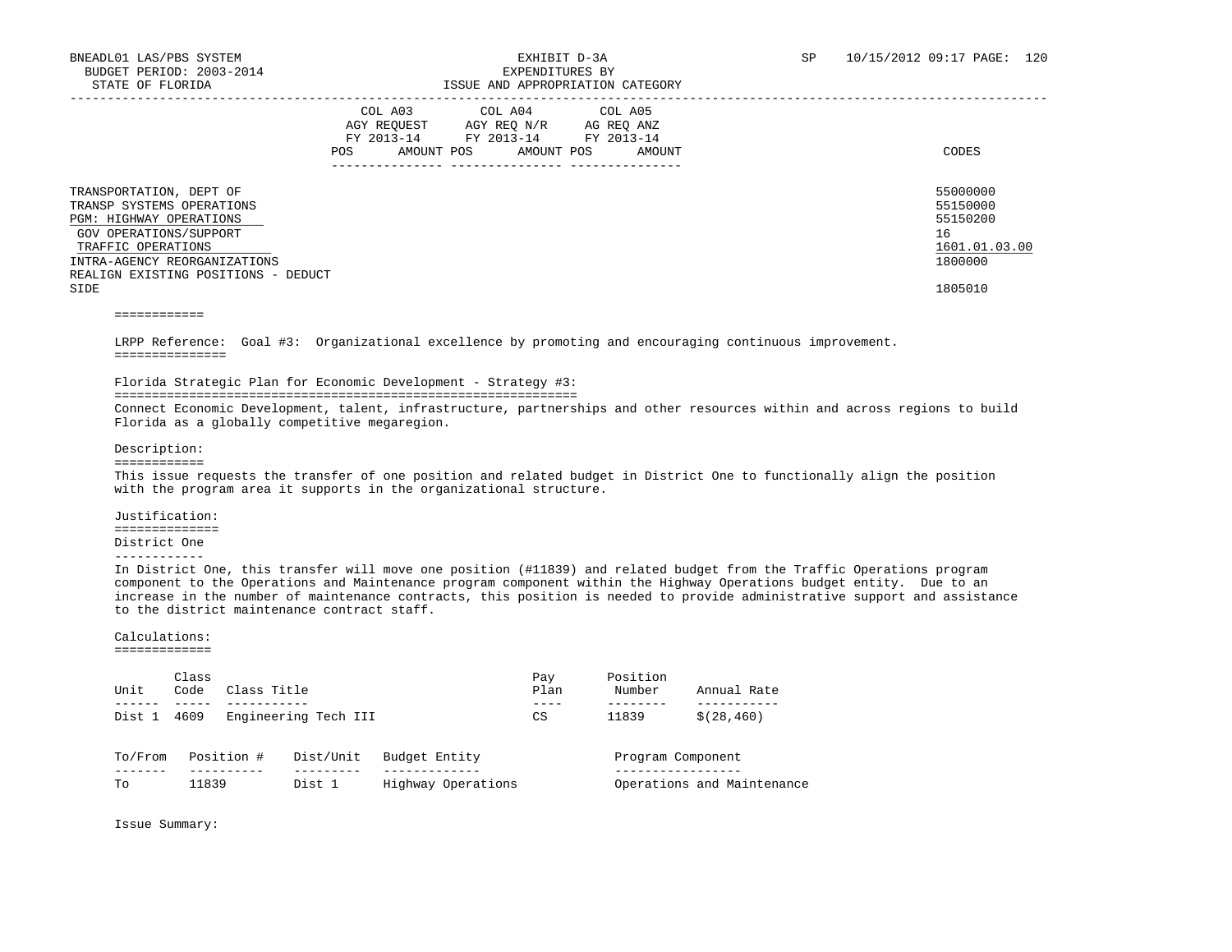|                                                                                                                                                                                                                | COL A03<br>AGY REOUEST<br>FY 2013-14<br>AMOUNT POS<br><b>POS</b> | COL A04<br>AGY REO N/R<br>FY 2013-14<br>AMOUNT POS | COL A05<br>AG REO ANZ<br>FY 2013-14<br>AMOUNT | CODES                                                                         |
|----------------------------------------------------------------------------------------------------------------------------------------------------------------------------------------------------------------|------------------------------------------------------------------|----------------------------------------------------|-----------------------------------------------|-------------------------------------------------------------------------------|
| TRANSPORTATION, DEPT OF<br>TRANSP SYSTEMS OPERATIONS<br>PGM: HIGHWAY OPERATIONS<br>GOV OPERATIONS/SUPPORT<br>TRAFFIC OPERATIONS<br>INTRA-AGENCY REORGANIZATIONS<br>REALIGN EXISTING POSITIONS - DEDUCT<br>SIDE |                                                                  |                                                    |                                               | 55000000<br>55150000<br>55150200<br>16<br>1601.01.03.00<br>1800000<br>1805010 |

============

 LRPP Reference: Goal #3: Organizational excellence by promoting and encouraging continuous improvement. ===============

Florida Strategic Plan for Economic Development - Strategy #3:

==============================================================

 Connect Economic Development, talent, infrastructure, partnerships and other resources within and across regions to build Florida as a globally competitive megaregion.

Description:

============

 This issue requests the transfer of one position and related budget in District One to functionally align the position with the program area it supports in the organizational structure.

 Justification: ============== District One

------------

 In District One, this transfer will move one position (#11839) and related budget from the Traffic Operations program component to the Operations and Maintenance program component within the Highway Operations budget entity. Due to an increase in the number of maintenance contracts, this position is needed to provide administrative support and assistance to the district maintenance contract staff.

### Calculations:

=============

| Unit    | Class<br>Code | Class Title |                      |                    | Pay<br>Plan | Position<br>Number | Annual Rate                |
|---------|---------------|-------------|----------------------|--------------------|-------------|--------------------|----------------------------|
| Dist 1  | 4609          |             | Engineering Tech III |                    | CS          | 11839              | \$(28, 460)                |
| To/From |               | Position #  | Dist/Unit            | Budget Entity      |             | Program Component  |                            |
| Tо      | 11839         |             | Dist 1               | Highway Operations |             |                    | Operations and Maintenance |

Issue Summary: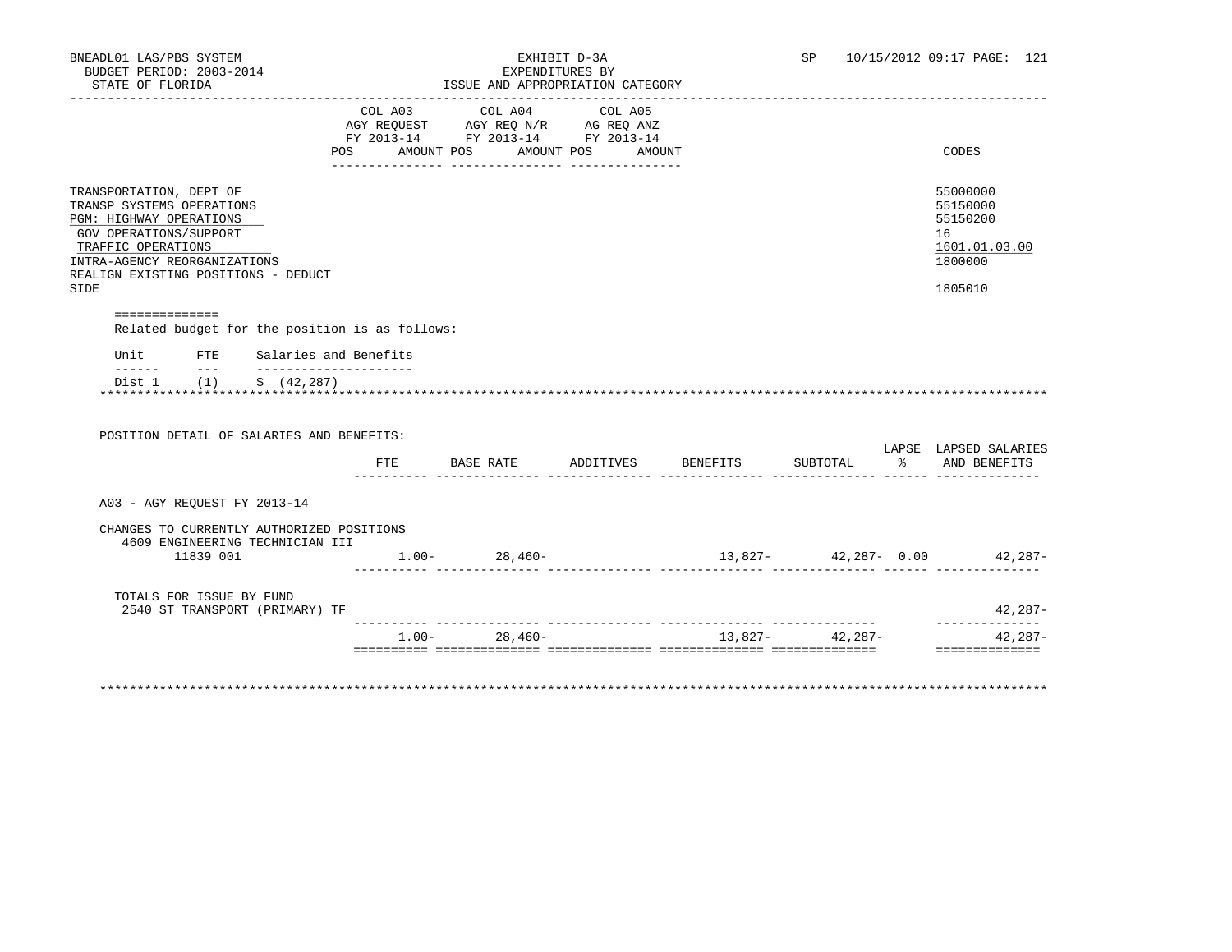| COL A03 COL A04<br>COL A05<br>AGY REQUEST AGY REQ N/R AG REQ ANZ<br>FY 2013-14 FY 2013-14 FY 2013-14<br>AMOUNT POS AMOUNT |                                 |          | CODES                                   |
|---------------------------------------------------------------------------------------------------------------------------|---------------------------------|----------|-----------------------------------------|
|                                                                                                                           |                                 |          |                                         |
|                                                                                                                           |                                 |          |                                         |
|                                                                                                                           |                                 |          |                                         |
|                                                                                                                           |                                 |          | 55000000<br>55150000<br>55150200        |
|                                                                                                                           |                                 |          | 16<br>1601.01.03.00                     |
|                                                                                                                           |                                 |          | 1800000                                 |
|                                                                                                                           |                                 |          | 1805010                                 |
|                                                                                                                           |                                 |          |                                         |
|                                                                                                                           |                                 |          |                                         |
|                                                                                                                           |                                 |          |                                         |
|                                                                                                                           |                                 |          |                                         |
|                                                                                                                           |                                 |          |                                         |
|                                                                                                                           |                                 |          |                                         |
| BASE RATE<br>ADDITIVES                                                                                                    | BENEFITS                        | SUBTOTAL | LAPSE LAPSED SALARIES<br>% AND BENEFITS |
|                                                                                                                           |                                 |          |                                         |
|                                                                                                                           |                                 |          |                                         |
| $1.00 - 28,460 -$                                                                                                         | $13,827 42,287-$ 0.00 $42,287-$ |          |                                         |
|                                                                                                                           |                                 |          | 42,287-<br>--------------               |
|                                                                                                                           |                                 |          |                                         |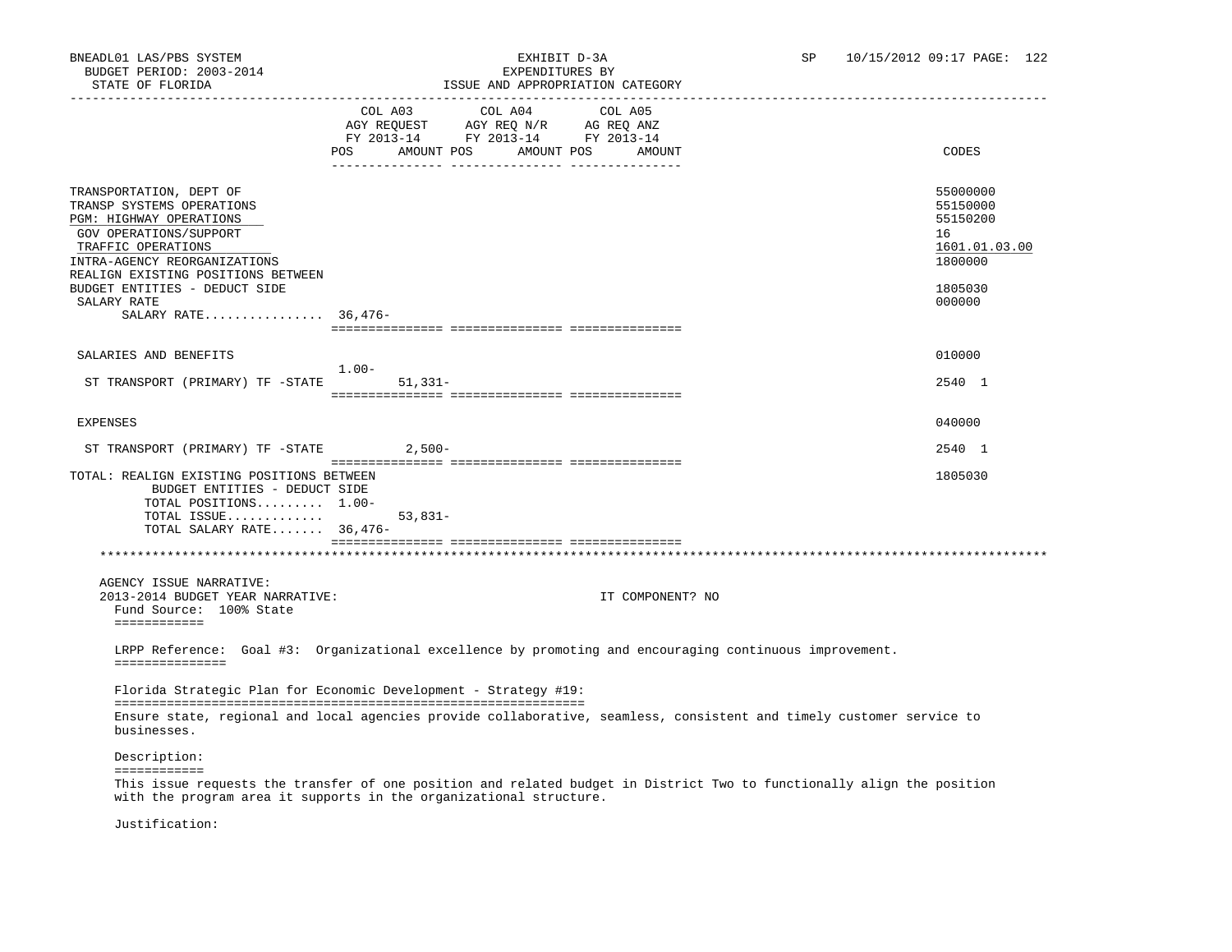## BNEADL01 LAS/PBS SYSTEM EXHIBIT D-3A SP 10/15/2012 09:17 PAGE: 122 ISSUE AND APPROPRIATION CATEGORY

|                                                                                                                                                                                                                                                                              |           |                                                                                                                    | LOOUL AND AFFROFRIATION CAILGORI |                                                                                                                        |               |
|------------------------------------------------------------------------------------------------------------------------------------------------------------------------------------------------------------------------------------------------------------------------------|-----------|--------------------------------------------------------------------------------------------------------------------|----------------------------------|------------------------------------------------------------------------------------------------------------------------|---------------|
|                                                                                                                                                                                                                                                                              | POS       | COL A03 COL A04<br>AGY REQUEST AGY REQ N/R AG REQ ANZ<br>FY 2013-14 FY 2013-14 FY 2013-14<br>AMOUNT POS AMOUNT POS | COL A05<br>AMOUNT                | CODES                                                                                                                  |               |
| TRANSPORTATION, DEPT OF<br>TRANSP SYSTEMS OPERATIONS<br>PGM: HIGHWAY OPERATIONS<br>GOV OPERATIONS/SUPPORT<br>TRAFFIC OPERATIONS<br>INTRA-AGENCY REORGANIZATIONS<br>REALIGN EXISTING POSITIONS BETWEEN<br>BUDGET ENTITIES - DEDUCT SIDE<br>SALARY RATE<br>SALARY RATE 36,476- |           |                                                                                                                    |                                  | 55000000<br>55150000<br>55150200<br>16<br>1800000<br>1805030<br>000000                                                 | 1601.01.03.00 |
|                                                                                                                                                                                                                                                                              |           |                                                                                                                    |                                  |                                                                                                                        |               |
| SALARIES AND BENEFITS                                                                                                                                                                                                                                                        | $1.00-$   |                                                                                                                    |                                  | 010000                                                                                                                 |               |
| ST TRANSPORT (PRIMARY) TF -STATE                                                                                                                                                                                                                                             | $51,331-$ |                                                                                                                    |                                  | 2540 1                                                                                                                 |               |
| <b>EXPENSES</b>                                                                                                                                                                                                                                                              |           |                                                                                                                    |                                  | 040000                                                                                                                 |               |
| ST TRANSPORT (PRIMARY) TF -STATE                                                                                                                                                                                                                                             | $2,500-$  |                                                                                                                    |                                  | 2540 1                                                                                                                 |               |
| TOTAL: REALIGN EXISTING POSITIONS BETWEEN<br>BUDGET ENTITIES - DEDUCT SIDE<br>TOTAL POSITIONS 1.00-<br>TOTAL ISSUE<br>TOTAL SALARY RATE 36,476-                                                                                                                              | $53,831-$ |                                                                                                                    |                                  | 1805030                                                                                                                |               |
|                                                                                                                                                                                                                                                                              |           |                                                                                                                    |                                  |                                                                                                                        |               |
| AGENCY ISSUE NARRATIVE:<br>2013-2014 BUDGET YEAR NARRATIVE:<br>Fund Source: 100% State<br>============                                                                                                                                                                       |           |                                                                                                                    | IT COMPONENT? NO                 |                                                                                                                        |               |
| LRPP Reference: Goal #3: Organizational excellence by promoting and encouraging continuous improvement.<br>===============                                                                                                                                                   |           |                                                                                                                    |                                  |                                                                                                                        |               |
| Florida Strategic Plan for Economic Development - Strategy #19:                                                                                                                                                                                                              |           |                                                                                                                    |                                  |                                                                                                                        |               |
| businesses.                                                                                                                                                                                                                                                                  |           |                                                                                                                    |                                  | Ensure state, regional and local agencies provide collaborative, seamless, consistent and timely customer service to   |               |
| Description:                                                                                                                                                                                                                                                                 |           |                                                                                                                    |                                  |                                                                                                                        |               |
| ============<br>with the program area it supports in the organizational structure.                                                                                                                                                                                           |           |                                                                                                                    |                                  | This issue requests the transfer of one position and related budget in District Two to functionally align the position |               |

Justification: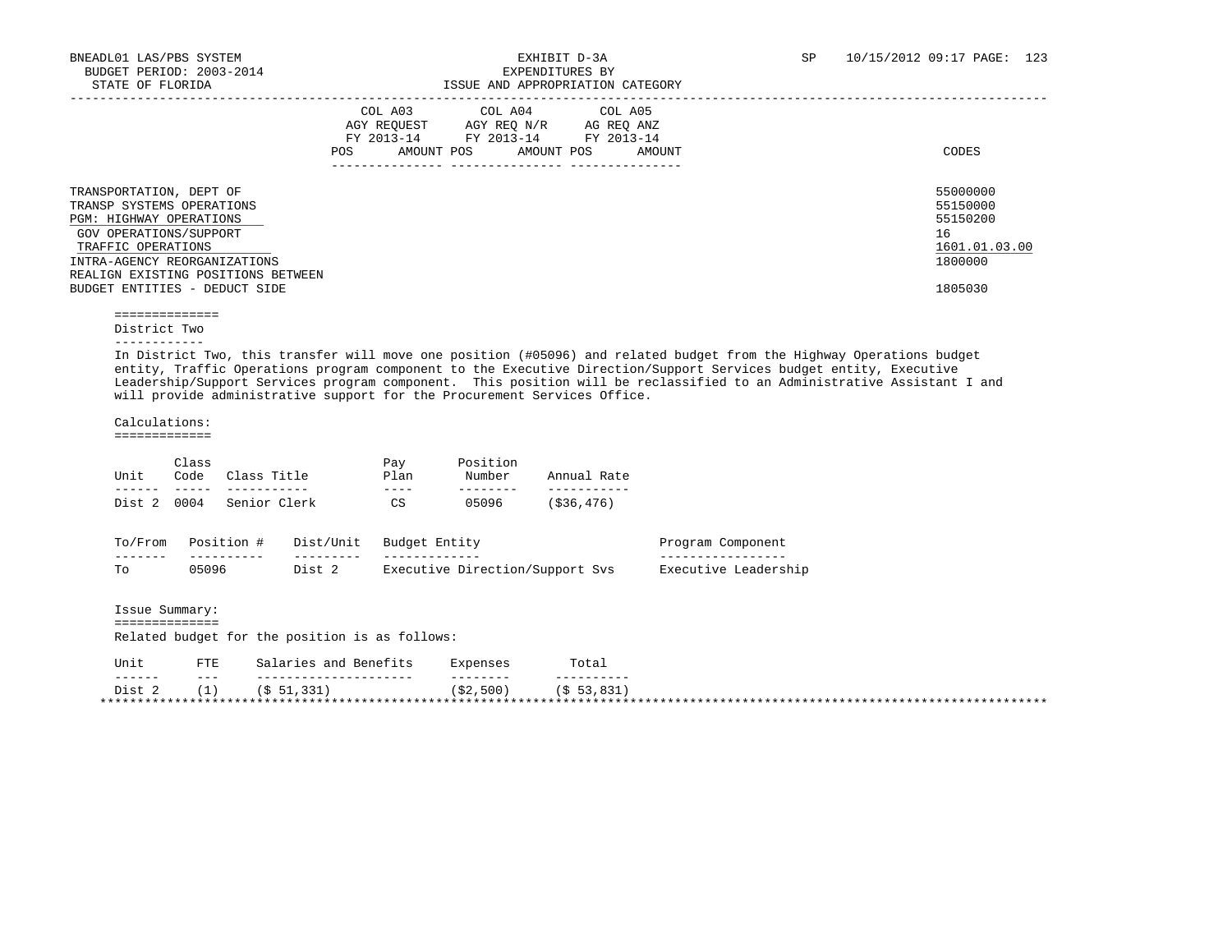|                                                                                                                                                                                                                                               | COL A03<br>AGY REOUEST<br>FY 2013-14<br>AMOUNT POS<br><b>POS</b> | COL A04<br>AGY REO N/R<br>FY 2013-14<br>AMOUNT POS | COL A05<br>AG REQ ANZ<br>FY 2013-14<br>AMOUNT | CODES                                                                         |
|-----------------------------------------------------------------------------------------------------------------------------------------------------------------------------------------------------------------------------------------------|------------------------------------------------------------------|----------------------------------------------------|-----------------------------------------------|-------------------------------------------------------------------------------|
| TRANSPORTATION, DEPT OF<br>TRANSP SYSTEMS OPERATIONS<br><b>PGM: HIGHWAY OPERATIONS</b><br>GOV OPERATIONS/SUPPORT<br>TRAFFIC OPERATIONS<br>INTRA-AGENCY REORGANIZATIONS<br>REALIGN EXISTING POSITIONS BETWEEN<br>BUDGET ENTITIES - DEDUCT SIDE |                                                                  |                                                    |                                               | 55000000<br>55150000<br>55150200<br>16<br>1601.01.03.00<br>1800000<br>1805030 |

==============

District Two

------------

 In District Two, this transfer will move one position (#05096) and related budget from the Highway Operations budget entity, Traffic Operations program component to the Executive Direction/Support Services budget entity, Executive Leadership/Support Services program component. This position will be reclassified to an Administrative Assistant I and will provide administrative support for the Procurement Services Office.

Calculations:

=============

| Unit | Class | Code Class Title         | Pay<br>Plan | Position<br>Number | Annual Rate   |
|------|-------|--------------------------|-------------|--------------------|---------------|
|      |       |                          |             |                    |               |
|      |       | Dist 2 0004 Senior Clerk | CS          | 05096              | $($ \$36,476) |

| $T_{\text{c}}$<br>From | Docit<br>nn | Dist/Unit | Budget<br>Entity<br>______                                | 'omponent<br>πram     |
|------------------------|-------------|-----------|-----------------------------------------------------------|-----------------------|
| - - - - -<br>--        | -----       | ------    | - - - - - - - - - - -                                     |                       |
| m.                     |             | ∸ה רׄר    | Direction/Support 3.<br>Svs<br>ドマムペロキ<br>1 T <sup>2</sup> | ۵۵ صدھ<br>$\tau \sim$ |

 Issue Summary: ============== Related budget for the position is as follows:

| Unit   | <b>FTE</b> | Salaries and Benefits | Expenses  | Total          |  |
|--------|------------|-----------------------|-----------|----------------|--|
| ------ | $- - -$    |                       | --------  | --------       |  |
| Dist   |            | 331<br>$\sqrt{5}$ 51  | (\$2,500) | $'$ \$ 53,831, |  |
|        |            |                       |           |                |  |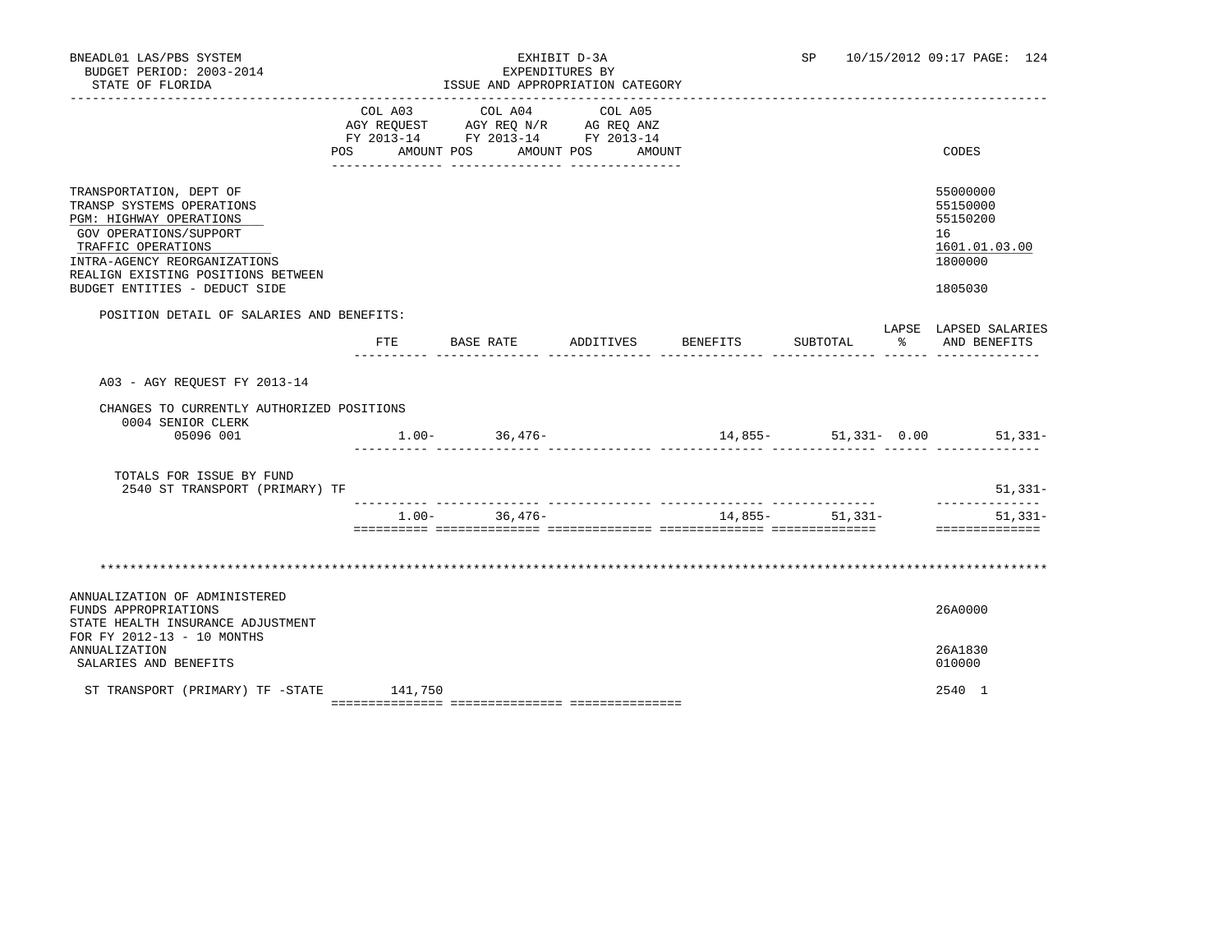| BNEADL01 LAS/PBS SYSTEM<br>BUDGET PERIOD: 2003-2014<br>STATE OF FLORIDA                                                                                                                                                                |          | ISSUE AND APPROPRIATION CATEGORY<br>______________________________________                                            | EXHIBIT D-3A<br>EXPENDITURES BY | SP               |                      | 10/15/2012 09:17 PAGE: 124                                                    |
|----------------------------------------------------------------------------------------------------------------------------------------------------------------------------------------------------------------------------------------|----------|-----------------------------------------------------------------------------------------------------------------------|---------------------------------|------------------|----------------------|-------------------------------------------------------------------------------|
|                                                                                                                                                                                                                                        | COL A03  | COL A04<br>AGY REQUEST AGY REQ N/R AG REQ ANZ<br>FY 2013-14 FY 2013-14 FY 2013-14<br>POS AMOUNT POS AMOUNT POS AMOUNT | COL A05                         |                  |                      | CODES                                                                         |
| TRANSPORTATION, DEPT OF<br>TRANSP SYSTEMS OPERATIONS<br>PGM: HIGHWAY OPERATIONS<br>GOV OPERATIONS/SUPPORT<br>TRAFFIC OPERATIONS<br>INTRA-AGENCY REORGANIZATIONS<br>REALIGN EXISTING POSITIONS BETWEEN<br>BUDGET ENTITIES - DEDUCT SIDE |          |                                                                                                                       |                                 |                  |                      | 55000000<br>55150000<br>55150200<br>16<br>1601.01.03.00<br>1800000<br>1805030 |
| POSITION DETAIL OF SALARIES AND BENEFITS:                                                                                                                                                                                              | FTE      | BASE RATE ADDITIVES BENEFITS                                                                                          |                                 | SUBTOTAL         | $\sim$ $\sim$ $\sim$ | LAPSE LAPSED SALARIES<br>AND BENEFITS                                         |
| A03 - AGY REQUEST FY 2013-14                                                                                                                                                                                                           |          |                                                                                                                       |                                 |                  |                      |                                                                               |
| CHANGES TO CURRENTLY AUTHORIZED POSITIONS<br>0004 SENIOR CLERK<br>05096 001                                                                                                                                                            |          | $1.00 - 36,476 -$                                                                                                     |                                 |                  |                      | $14,855-51,331-0.00$ 51,331-                                                  |
| TOTALS FOR ISSUE BY FUND<br>2540 ST TRANSPORT (PRIMARY) TF                                                                                                                                                                             |          |                                                                                                                       |                                 |                  |                      | 51,331-<br>--------------                                                     |
|                                                                                                                                                                                                                                        | $1.00 -$ | 36,476-                                                                                                               |                                 | $14,855-51,331-$ |                      | $51,331-$<br>==============                                                   |
|                                                                                                                                                                                                                                        |          |                                                                                                                       |                                 |                  |                      |                                                                               |
| ANNUALIZATION OF ADMINISTERED<br>FUNDS APPROPRIATIONS<br>STATE HEALTH INSURANCE ADJUSTMENT<br>FOR FY 2012-13 - 10 MONTHS                                                                                                               |          |                                                                                                                       |                                 |                  |                      | 26A0000                                                                       |
| ANNUALIZATION<br>SALARIES AND BENEFITS                                                                                                                                                                                                 |          |                                                                                                                       |                                 |                  |                      | 26A1830<br>010000                                                             |
| ST TRANSPORT (PRIMARY) TF -STATE                                                                                                                                                                                                       | 141,750  |                                                                                                                       |                                 |                  |                      | 2540 1                                                                        |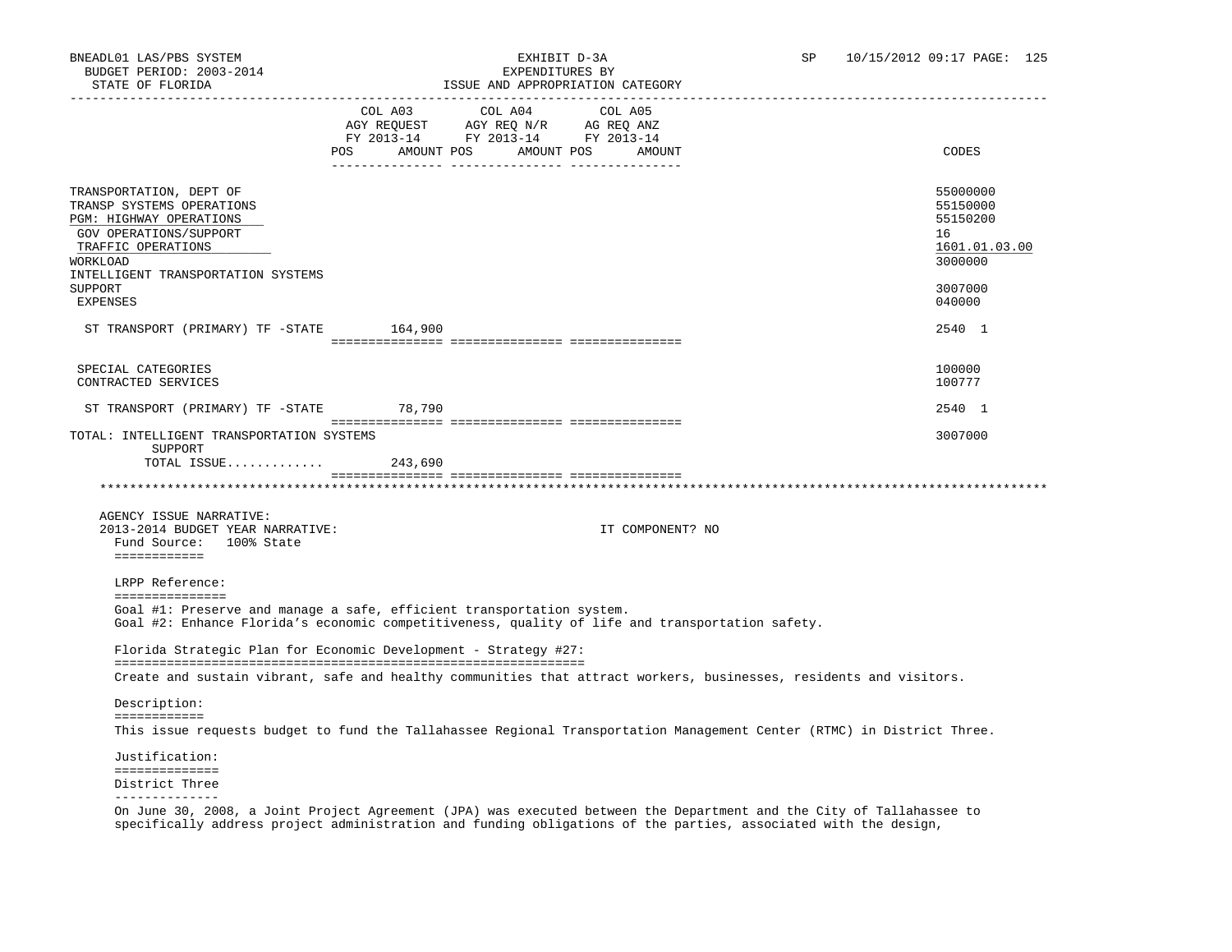|                                                                                                                                                                                                                        |                   | COL A03 COL A04 COL A05 |                                                                                                                                                                                                                                |                                                                                                                        |
|------------------------------------------------------------------------------------------------------------------------------------------------------------------------------------------------------------------------|-------------------|-------------------------|--------------------------------------------------------------------------------------------------------------------------------------------------------------------------------------------------------------------------------|------------------------------------------------------------------------------------------------------------------------|
|                                                                                                                                                                                                                        |                   |                         |                                                                                                                                                                                                                                |                                                                                                                        |
|                                                                                                                                                                                                                        | AMOUNT POS<br>POS | AMOUNT POS              | AMOUNT                                                                                                                                                                                                                         | CODES                                                                                                                  |
|                                                                                                                                                                                                                        |                   |                         |                                                                                                                                                                                                                                |                                                                                                                        |
| TRANSPORTATION, DEPT OF<br>TRANSP SYSTEMS OPERATIONS<br>PGM: HIGHWAY OPERATIONS<br>GOV OPERATIONS/SUPPORT<br>TRAFFIC OPERATIONS<br>WORKLOAD<br>INTELLIGENT TRANSPORTATION SYSTEMS<br><b>SUPPORT</b><br><b>EXPENSES</b> |                   |                         |                                                                                                                                                                                                                                | 55000000<br>55150000<br>55150200<br>16<br>1601.01.03.00<br>3000000<br>3007000<br>040000                                |
|                                                                                                                                                                                                                        |                   |                         |                                                                                                                                                                                                                                |                                                                                                                        |
| ST TRANSPORT (PRIMARY) TF -STATE 164,900                                                                                                                                                                               |                   |                         |                                                                                                                                                                                                                                | 2540 1                                                                                                                 |
| SPECIAL CATEGORIES<br>CONTRACTED SERVICES                                                                                                                                                                              |                   |                         |                                                                                                                                                                                                                                | 100000<br>100777                                                                                                       |
| ST TRANSPORT (PRIMARY) TF -STATE 78,790                                                                                                                                                                                |                   |                         |                                                                                                                                                                                                                                | 2540 1                                                                                                                 |
| TOTAL: INTELLIGENT TRANSPORTATION SYSTEMS<br>SUPPORT                                                                                                                                                                   |                   |                         |                                                                                                                                                                                                                                | 3007000                                                                                                                |
| TOTAL ISSUE $243,690$                                                                                                                                                                                                  |                   |                         |                                                                                                                                                                                                                                |                                                                                                                        |
|                                                                                                                                                                                                                        |                   |                         |                                                                                                                                                                                                                                |                                                                                                                        |
| AGENCY ISSUE NARRATIVE:<br>2013-2014 BUDGET YEAR NARRATIVE:<br>Fund Source: 100% State<br>============                                                                                                                 |                   |                         | IT COMPONENT? NO                                                                                                                                                                                                               |                                                                                                                        |
| LRPP Reference:                                                                                                                                                                                                        |                   |                         |                                                                                                                                                                                                                                |                                                                                                                        |
| ===============<br>Goal #1: Preserve and manage a safe, efficient transportation system.<br>Goal #2: Enhance Florida's economic competitiveness, quality of life and transportation safety.                            |                   |                         |                                                                                                                                                                                                                                |                                                                                                                        |
| Florida Strategic Plan for Economic Development - Strategy #27:                                                                                                                                                        |                   |                         |                                                                                                                                                                                                                                |                                                                                                                        |
| Create and sustain vibrant, safe and healthy communities that attract workers, businesses, residents and visitors.                                                                                                     |                   |                         |                                                                                                                                                                                                                                |                                                                                                                        |
| Description:                                                                                                                                                                                                           |                   |                         |                                                                                                                                                                                                                                |                                                                                                                        |
| ============                                                                                                                                                                                                           |                   |                         |                                                                                                                                                                                                                                | This issue requests budget to fund the Tallahassee Regional Transportation Management Center (RTMC) in District Three. |
|                                                                                                                                                                                                                        |                   |                         |                                                                                                                                                                                                                                |                                                                                                                        |
| Justification:<br>==============                                                                                                                                                                                       |                   |                         |                                                                                                                                                                                                                                |                                                                                                                        |
| District Three<br>---------------                                                                                                                                                                                      |                   |                         |                                                                                                                                                                                                                                |                                                                                                                        |
|                                                                                                                                                                                                                        |                   |                         | no oggo estimativa (trendition) in the contract of the community of the contract of the contract of the contract of the contract of the contract of the contract of the contract of the contract of the contract of the contra |                                                                                                                        |

 On June 30, 2008, a Joint Project Agreement (JPA) was executed between the Department and the City of Tallahassee to specifically address project administration and funding obligations of the parties, associated with the design,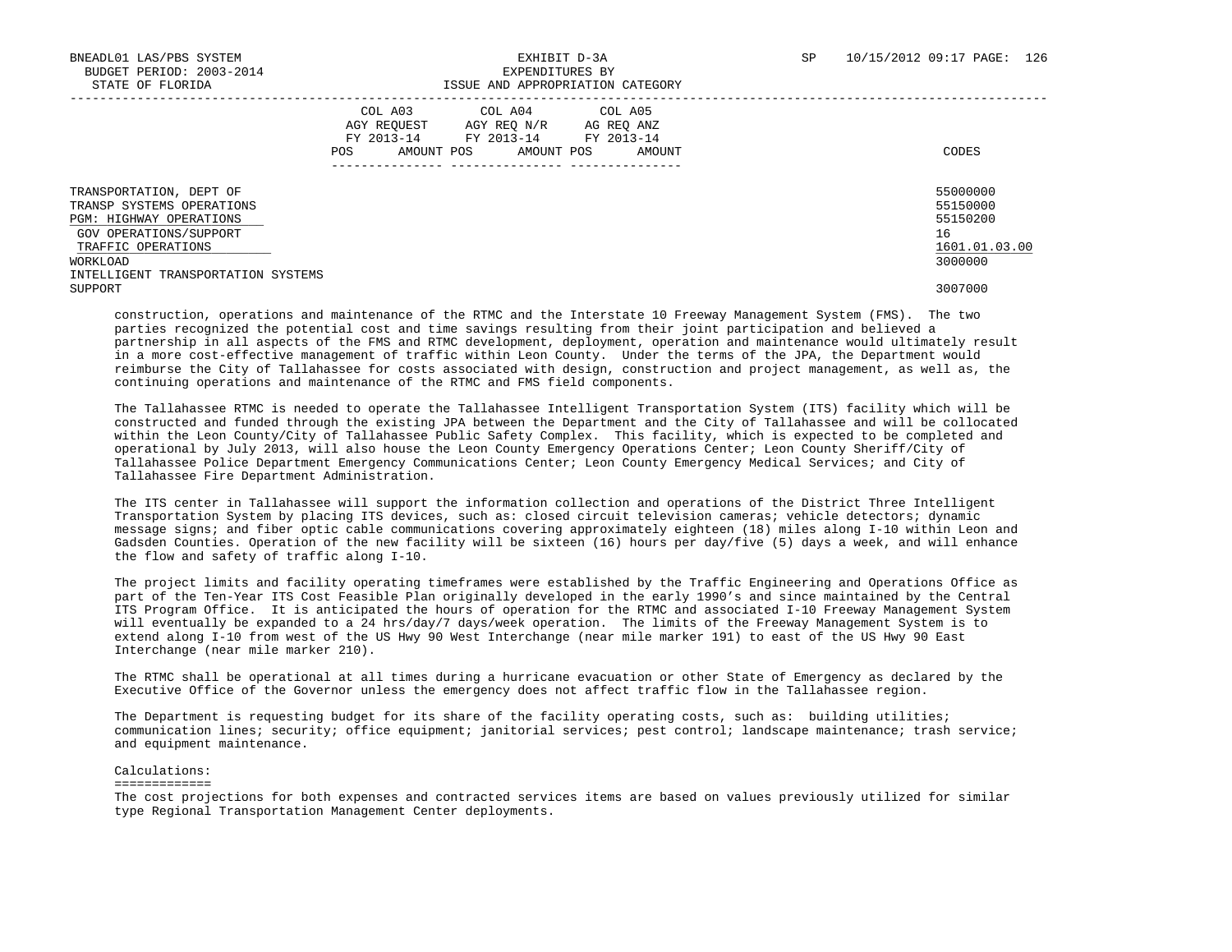|                                                                                                                                                                                              | COL A03<br>COL A04<br>COL A05<br>AGY REQUEST<br>AG REQ ANZ<br>AGY REO N/R<br>FY 2013-14<br>FY 2013-14<br>FY 2013-14<br>AMOUNT POS<br>AMOUNT POS<br>AMOUNT<br><b>POS</b><br>---------------<br>------------- ---------------- | CODES                                                                         |
|----------------------------------------------------------------------------------------------------------------------------------------------------------------------------------------------|------------------------------------------------------------------------------------------------------------------------------------------------------------------------------------------------------------------------------|-------------------------------------------------------------------------------|
| TRANSPORTATION, DEPT OF<br>TRANSP SYSTEMS OPERATIONS<br>PGM: HIGHWAY OPERATIONS<br>GOV OPERATIONS/SUPPORT<br>TRAFFIC OPERATIONS<br>WORKLOAD<br>INTELLIGENT TRANSPORTATION SYSTEMS<br>SUPPORT |                                                                                                                                                                                                                              | 55000000<br>55150000<br>55150200<br>16<br>1601.01.03.00<br>3000000<br>3007000 |

 construction, operations and maintenance of the RTMC and the Interstate 10 Freeway Management System (FMS). The two parties recognized the potential cost and time savings resulting from their joint participation and believed a partnership in all aspects of the FMS and RTMC development, deployment, operation and maintenance would ultimately result in a more cost-effective management of traffic within Leon County. Under the terms of the JPA, the Department would reimburse the City of Tallahassee for costs associated with design, construction and project management, as well as, the continuing operations and maintenance of the RTMC and FMS field components.

 The Tallahassee RTMC is needed to operate the Tallahassee Intelligent Transportation System (ITS) facility which will be constructed and funded through the existing JPA between the Department and the City of Tallahassee and will be collocated within the Leon County/City of Tallahassee Public Safety Complex. This facility, which is expected to be completed and operational by July 2013, will also house the Leon County Emergency Operations Center; Leon County Sheriff/City of Tallahassee Police Department Emergency Communications Center; Leon County Emergency Medical Services; and City of Tallahassee Fire Department Administration.

 The ITS center in Tallahassee will support the information collection and operations of the District Three Intelligent Transportation System by placing ITS devices, such as: closed circuit television cameras; vehicle detectors; dynamic message signs; and fiber optic cable communications covering approximately eighteen (18) miles along I-10 within Leon and Gadsden Counties. Operation of the new facility will be sixteen (16) hours per day/five (5) days a week, and will enhance the flow and safety of traffic along I-10.

 The project limits and facility operating timeframes were established by the Traffic Engineering and Operations Office as part of the Ten-Year ITS Cost Feasible Plan originally developed in the early 1990's and since maintained by the Central ITS Program Office. It is anticipated the hours of operation for the RTMC and associated I-10 Freeway Management System will eventually be expanded to a 24 hrs/day/7 days/week operation. The limits of the Freeway Management System is to extend along I-10 from west of the US Hwy 90 West Interchange (near mile marker 191) to east of the US Hwy 90 East Interchange (near mile marker 210).

 The RTMC shall be operational at all times during a hurricane evacuation or other State of Emergency as declared by the Executive Office of the Governor unless the emergency does not affect traffic flow in the Tallahassee region.

 The Department is requesting budget for its share of the facility operating costs, such as: building utilities; communication lines; security; office equipment; janitorial services; pest control; landscape maintenance; trash service; and equipment maintenance.

#### Calculations:

#### =============

 The cost projections for both expenses and contracted services items are based on values previously utilized for similar type Regional Transportation Management Center deployments.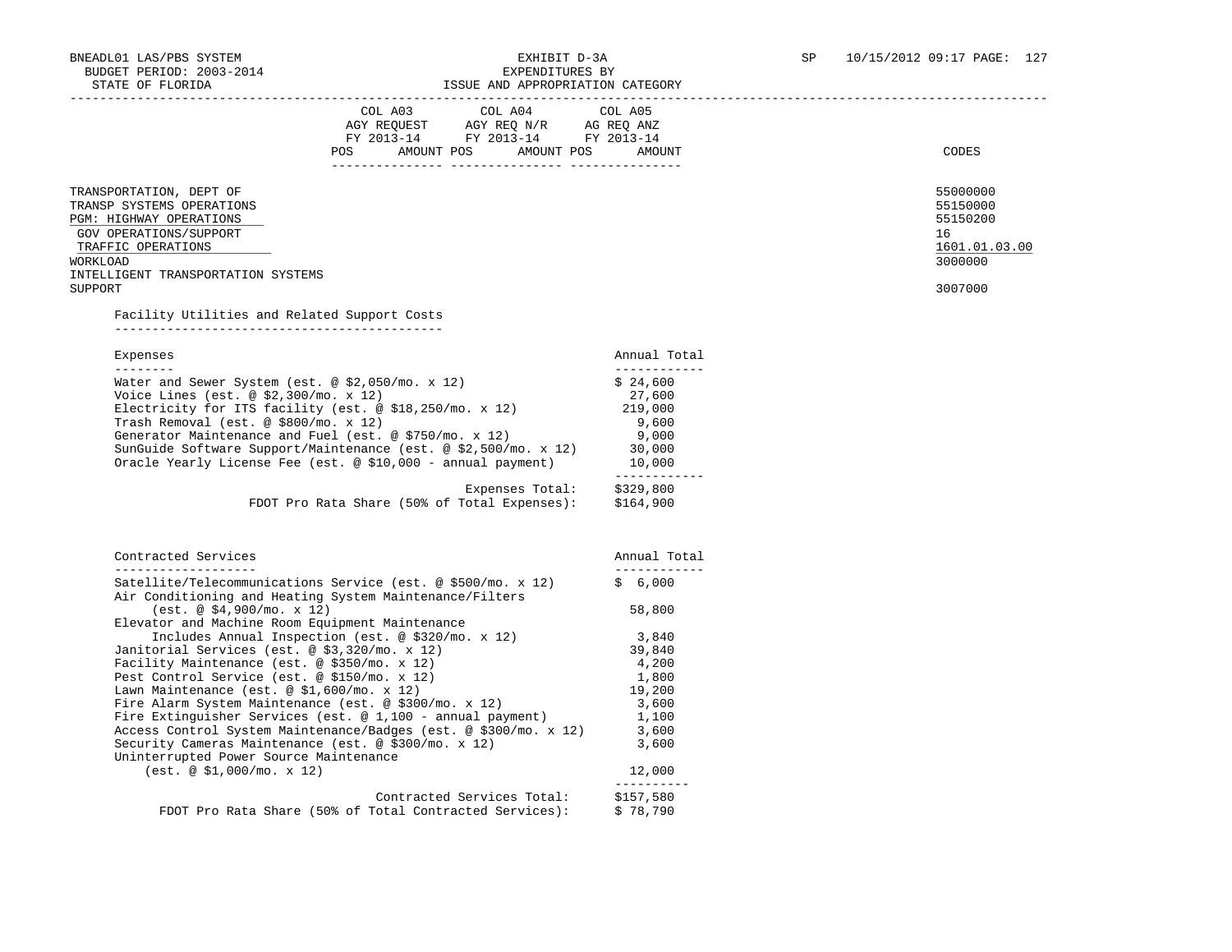| OIAIL UP PIURIDA<br>LOOUL AND APPROPRIATION                                                                             |                         |                          |
|-------------------------------------------------------------------------------------------------------------------------|-------------------------|--------------------------|
| COL A04<br>COL A03                                                                                                      | COL A05                 |                          |
| AGY REQUEST AGY REQ N/R AG REQ ANZ                                                                                      |                         |                          |
| FY 2013-14 FY 2013-14 FY 2013-14                                                                                        |                         |                          |
| POS<br>AMOUNT POS AMOUNT POS                                                                                            | AMOUNT                  | CODES                    |
|                                                                                                                         |                         |                          |
| TRANSPORTATION, DEPT OF                                                                                                 |                         | 55000000                 |
| TRANSP SYSTEMS OPERATIONS                                                                                               |                         | 55150000                 |
| PGM: HIGHWAY OPERATIONS                                                                                                 |                         | 55150200                 |
| GOV OPERATIONS/SUPPORT                                                                                                  |                         | 16                       |
| TRAFFIC OPERATIONS<br>WORKLOAD                                                                                          |                         | 1601.01.03.00<br>3000000 |
| INTELLIGENT TRANSPORTATION SYSTEMS                                                                                      |                         |                          |
| SUPPORT                                                                                                                 |                         | 3007000                  |
|                                                                                                                         |                         |                          |
| Facility Utilities and Related Support Costs                                                                            |                         |                          |
|                                                                                                                         |                         |                          |
| Expenses                                                                                                                | Annual Total            |                          |
| ---------                                                                                                               | ____________            |                          |
| Water and Sewer System (est. @ \$2,050/mo. x 12)                                                                        | \$24,600                |                          |
| Voice Lines (est. $@$ \$2,300/mo. x 12)                                                                                 | 27,600                  |                          |
| Electricity for ITS facility (est. $@ $18,250/mo. x 12)$<br>Trash Removal (est. @ \$800/mo. x 12)                       | 219,000<br>9,600        |                          |
| Generator Maintenance and Fuel (est. @ $$750/m$ . x 12)                                                                 | 9,000                   |                          |
| SunGuide Software Support/Maintenance (est. $@ $2,500/mo. x 12)$                                                        | 30,000                  |                          |
| Oracle Yearly License Fee (est. @ \$10,000 - annual payment)                                                            | 10,000                  |                          |
|                                                                                                                         | ------------            |                          |
| Expenses Total:                                                                                                         | \$329,800               |                          |
| FDOT Pro Rata Share (50% of Total Expenses):                                                                            | \$164,900               |                          |
| Contracted Services                                                                                                     | Annual Total            |                          |
| ____________________                                                                                                    | ------------            |                          |
| Satellite/Telecommunications Service (est. @ \$500/mo. x 12)<br>Air Conditioning and Heating System Maintenance/Filters | \$6,000                 |                          |
| (est. @ \$4,900/mo. x 12)                                                                                               | 58,800                  |                          |
| Elevator and Machine Room Equipment Maintenance                                                                         |                         |                          |
| Includes Annual Inspection (est. @ \$320/mo. x 12)                                                                      | 3,840                   |                          |
| Janitorial Services (est. @ \$3,320/mo. x 12)                                                                           | 39,840                  |                          |
| Facility Maintenance (est. @ \$350/mo. x 12)                                                                            | 4,200                   |                          |
| Pest Control Service (est. @ \$150/mo. x 12)                                                                            | 1,800<br>19,200         |                          |
| Lawn Maintenance (est. @ $$1,600/m$ o. x 12)<br>Fire Alarm System Maintenance (est. @ $$300/m$ o. x 12)                 | 3,600                   |                          |
| Fire Extinguisher Services (est. $@ 1,100 -$ annual payment)                                                            | 1,100                   |                          |
| Access Control System Maintenance/Badges (est. @ \$300/mo. x 12)                                                        | 3,600                   |                          |
| Security Cameras Maintenance (est. @ \$300/mo. x 12)                                                                    | 3,600                   |                          |
| Uninterrupted Power Source Maintenance                                                                                  |                         |                          |
| (est. @ \$1,000/mo. x 12)                                                                                               | 12,000                  |                          |
| Contracted Services Total:                                                                                              | ----------<br>\$157,580 |                          |
| FDOT Pro Rata Share (50% of Total Contracted Services):                                                                 | \$78,790                |                          |
|                                                                                                                         |                         |                          |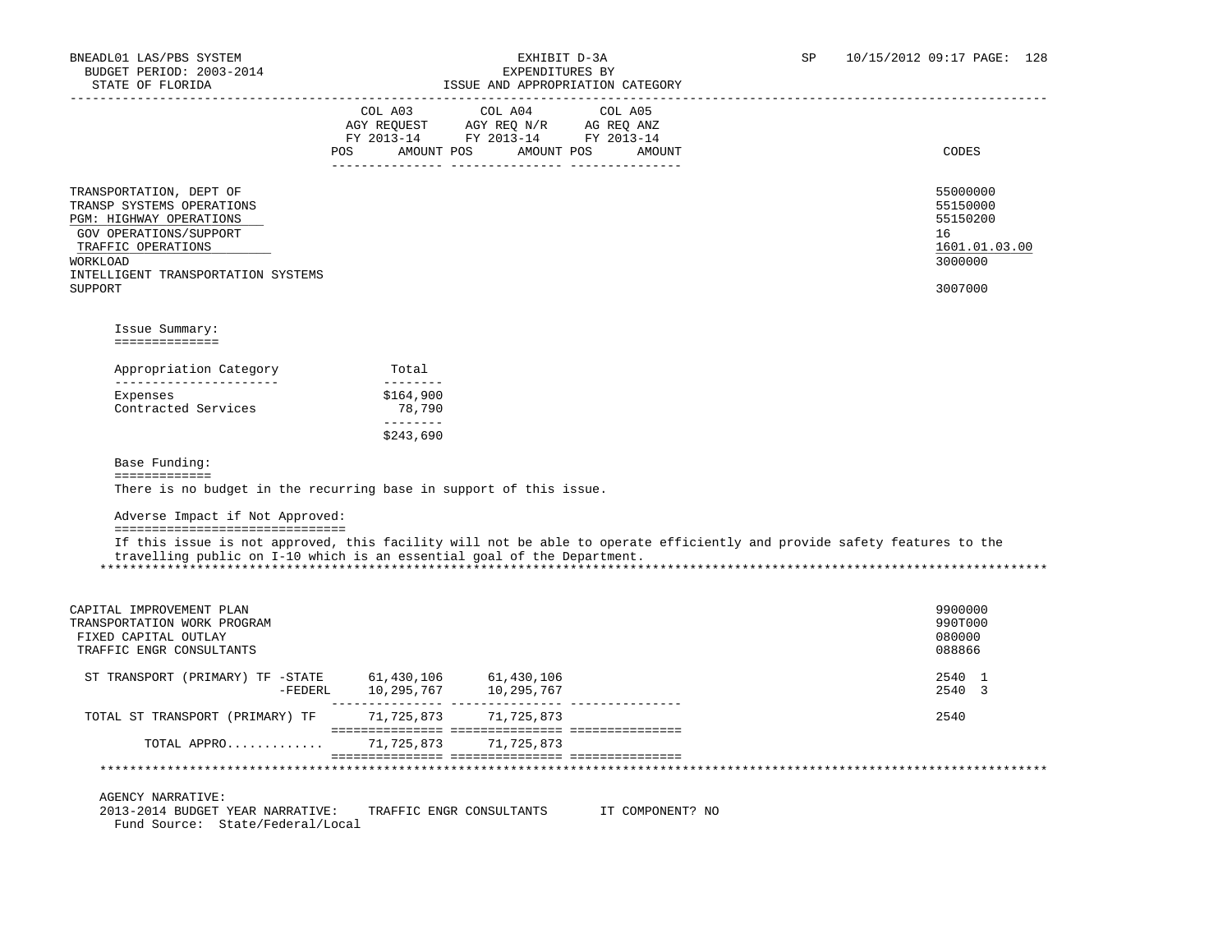| POS                                                                                                                                                                                                                                     | COL A03<br>AGY REQUEST AGY REQ N/R AG REQ ANZ<br>FY 2013-14 FY 2013-14 FY 2013-14 | COL A04<br>AMOUNT POS AMOUNT POS AMOUNT | COL A05 |  | CODES                                                                         |
|-----------------------------------------------------------------------------------------------------------------------------------------------------------------------------------------------------------------------------------------|-----------------------------------------------------------------------------------|-----------------------------------------|---------|--|-------------------------------------------------------------------------------|
| TRANSPORTATION, DEPT OF<br>TRANSP SYSTEMS OPERATIONS<br>PGM: HIGHWAY OPERATIONS<br>GOV OPERATIONS/SUPPORT<br>TRAFFIC OPERATIONS<br>WORKLOAD<br>INTELLIGENT TRANSPORTATION SYSTEMS<br>SUPPORT                                            |                                                                                   |                                         |         |  | 55000000<br>55150000<br>55150200<br>16<br>1601.01.03.00<br>3000000<br>3007000 |
| Issue Summary:<br>==============                                                                                                                                                                                                        |                                                                                   |                                         |         |  |                                                                               |
| Appropriation Category                                                                                                                                                                                                                  | Total                                                                             |                                         |         |  |                                                                               |
| _______________________<br>Expenses                                                                                                                                                                                                     | --------<br>\$164,900                                                             |                                         |         |  |                                                                               |
| Contracted Services                                                                                                                                                                                                                     | 78,790                                                                            |                                         |         |  |                                                                               |
|                                                                                                                                                                                                                                         | $- - - - - - - -$<br>\$243,690                                                    |                                         |         |  |                                                                               |
| Base Funding:                                                                                                                                                                                                                           |                                                                                   |                                         |         |  |                                                                               |
| =============<br>There is no budget in the recurring base in support of this issue.                                                                                                                                                     |                                                                                   |                                         |         |  |                                                                               |
| Adverse Impact if Not Approved:                                                                                                                                                                                                         |                                                                                   |                                         |         |  |                                                                               |
| =================================<br>If this issue is not approved, this facility will not be able to operate efficiently and provide safety features to the<br>travelling public on I-10 which is an essential goal of the Department. |                                                                                   |                                         |         |  |                                                                               |
| CAPITAL IMPROVEMENT PLAN<br>TRANSPORTATION WORK PROGRAM<br>FIXED CAPITAL OUTLAY<br>TRAFFIC ENGR CONSULTANTS                                                                                                                             |                                                                                   |                                         |         |  | 9900000<br>990T000<br>080000<br>088866                                        |
| ST TRANSPORT (PRIMARY) TF -STATE 61,430,106 61,430,106                                                                                                                                                                                  |                                                                                   |                                         |         |  | 2540 1<br>2540 3                                                              |
| TOTAL ST TRANSPORT (PRIMARY) TF                                                                                                                                                                                                         | 71,725,873 71,725,873                                                             |                                         |         |  | 2540                                                                          |

 2013-2014 BUDGET YEAR NARRATIVE: TRAFFIC ENGR CONSULTANTS IT COMPONENT? NO Fund Source: State/Federal/Local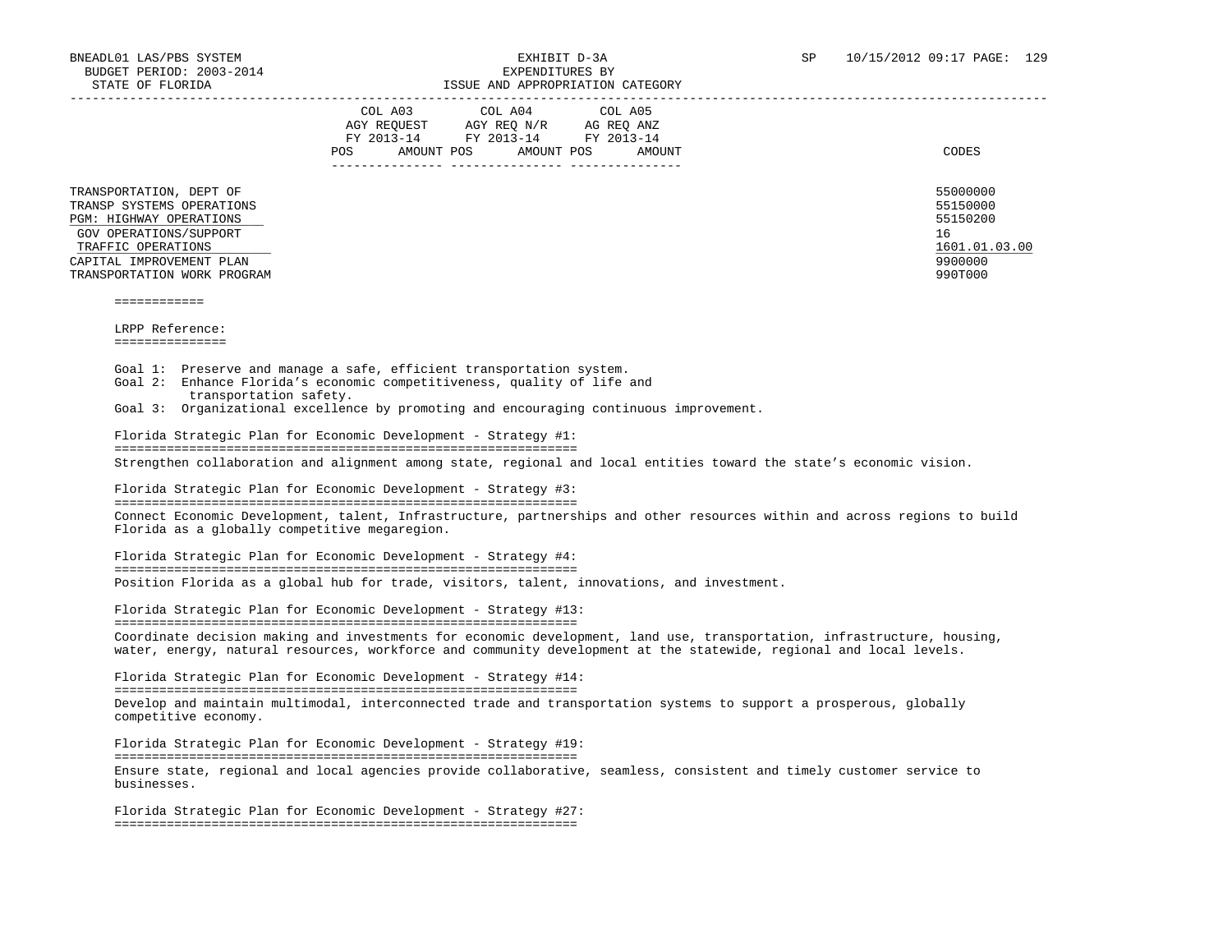| STATE OF FLORIDA                                                                                                                                                                           |                                                                                                                                                                                                                                                      | ISSUE AND APPROPRIATION CATEGORY |                                                                                                                                                                                                                                               |
|--------------------------------------------------------------------------------------------------------------------------------------------------------------------------------------------|------------------------------------------------------------------------------------------------------------------------------------------------------------------------------------------------------------------------------------------------------|----------------------------------|-----------------------------------------------------------------------------------------------------------------------------------------------------------------------------------------------------------------------------------------------|
|                                                                                                                                                                                            | COL A03 COL A04 COL A05<br>$\begin{tabular}{lllllll} AGY & \texttt{REQUEST} & \texttt{AGY} & \texttt{REG} & \texttt{N/R} & \texttt{AG} & \texttt{REQ} & \texttt{ANZ} \end{tabular}$<br>FY 2013-14 FY 2013-14 FY 2013-14<br>POS AMOUNT POS AMOUNT POS | AMOUNT                           | CODES                                                                                                                                                                                                                                         |
| TRANSPORTATION, DEPT OF<br>TRANSP SYSTEMS OPERATIONS<br>PGM: HIGHWAY OPERATIONS<br>GOV OPERATIONS/SUPPORT<br>TRAFFIC OPERATIONS<br>CAPITAL IMPROVEMENT PLAN<br>TRANSPORTATION WORK PROGRAM |                                                                                                                                                                                                                                                      |                                  | 55000000<br>55150000<br>55150200<br>16<br>1601.01.03.00<br>9900000<br>990T000                                                                                                                                                                 |
| ============                                                                                                                                                                               |                                                                                                                                                                                                                                                      |                                  |                                                                                                                                                                                                                                               |
| LRPP Reference:                                                                                                                                                                            |                                                                                                                                                                                                                                                      |                                  |                                                                                                                                                                                                                                               |
| ===============                                                                                                                                                                            |                                                                                                                                                                                                                                                      |                                  |                                                                                                                                                                                                                                               |
| Goal 1: Preserve and manage a safe, efficient transportation system.<br>Goal 2: Enhance Florida's economic competitiveness, quality of life and<br>transportation safety.                  |                                                                                                                                                                                                                                                      |                                  |                                                                                                                                                                                                                                               |
| Goal 3: Organizational excellence by promoting and encouraging continuous improvement.                                                                                                     |                                                                                                                                                                                                                                                      |                                  |                                                                                                                                                                                                                                               |
| Florida Strategic Plan for Economic Development - Strategy #1:                                                                                                                             |                                                                                                                                                                                                                                                      |                                  |                                                                                                                                                                                                                                               |
|                                                                                                                                                                                            |                                                                                                                                                                                                                                                      |                                  | Strengthen collaboration and alignment among state, regional and local entities toward the state's economic vision.                                                                                                                           |
| Florida Strategic Plan for Economic Development - Strategy #3:                                                                                                                             |                                                                                                                                                                                                                                                      |                                  |                                                                                                                                                                                                                                               |
| Florida as a globally competitive megaregion.                                                                                                                                              |                                                                                                                                                                                                                                                      |                                  | Connect Economic Development, talent, Infrastructure, partnerships and other resources within and across regions to build                                                                                                                     |
| Florida Strategic Plan for Economic Development - Strategy #4:                                                                                                                             |                                                                                                                                                                                                                                                      |                                  |                                                                                                                                                                                                                                               |
| Position Florida as a global hub for trade, visitors, talent, innovations, and investment.                                                                                                 |                                                                                                                                                                                                                                                      |                                  |                                                                                                                                                                                                                                               |
| Florida Strategic Plan for Economic Development - Strategy #13:                                                                                                                            |                                                                                                                                                                                                                                                      |                                  |                                                                                                                                                                                                                                               |
|                                                                                                                                                                                            |                                                                                                                                                                                                                                                      |                                  | Coordinate decision making and investments for economic development, land use, transportation, infrastructure, housing,<br>water, energy, natural resources, workforce and community development at the statewide, regional and local levels. |
| Florida Strategic Plan for Economic Development - Strategy #14:                                                                                                                            |                                                                                                                                                                                                                                                      |                                  |                                                                                                                                                                                                                                               |
| competitive economy.                                                                                                                                                                       |                                                                                                                                                                                                                                                      |                                  | Develop and maintain multimodal, interconnected trade and transportation systems to support a prosperous, globally                                                                                                                            |
| Florida Strategic Plan for Economic Development - Strategy #19:                                                                                                                            |                                                                                                                                                                                                                                                      |                                  |                                                                                                                                                                                                                                               |
| businesses.                                                                                                                                                                                |                                                                                                                                                                                                                                                      |                                  | Ensure state, regional and local agencies provide collaborative, seamless, consistent and timely customer service to                                                                                                                          |
| Florida Strategic Plan for Economic Development - Strategy #27:                                                                                                                            |                                                                                                                                                                                                                                                      |                                  |                                                                                                                                                                                                                                               |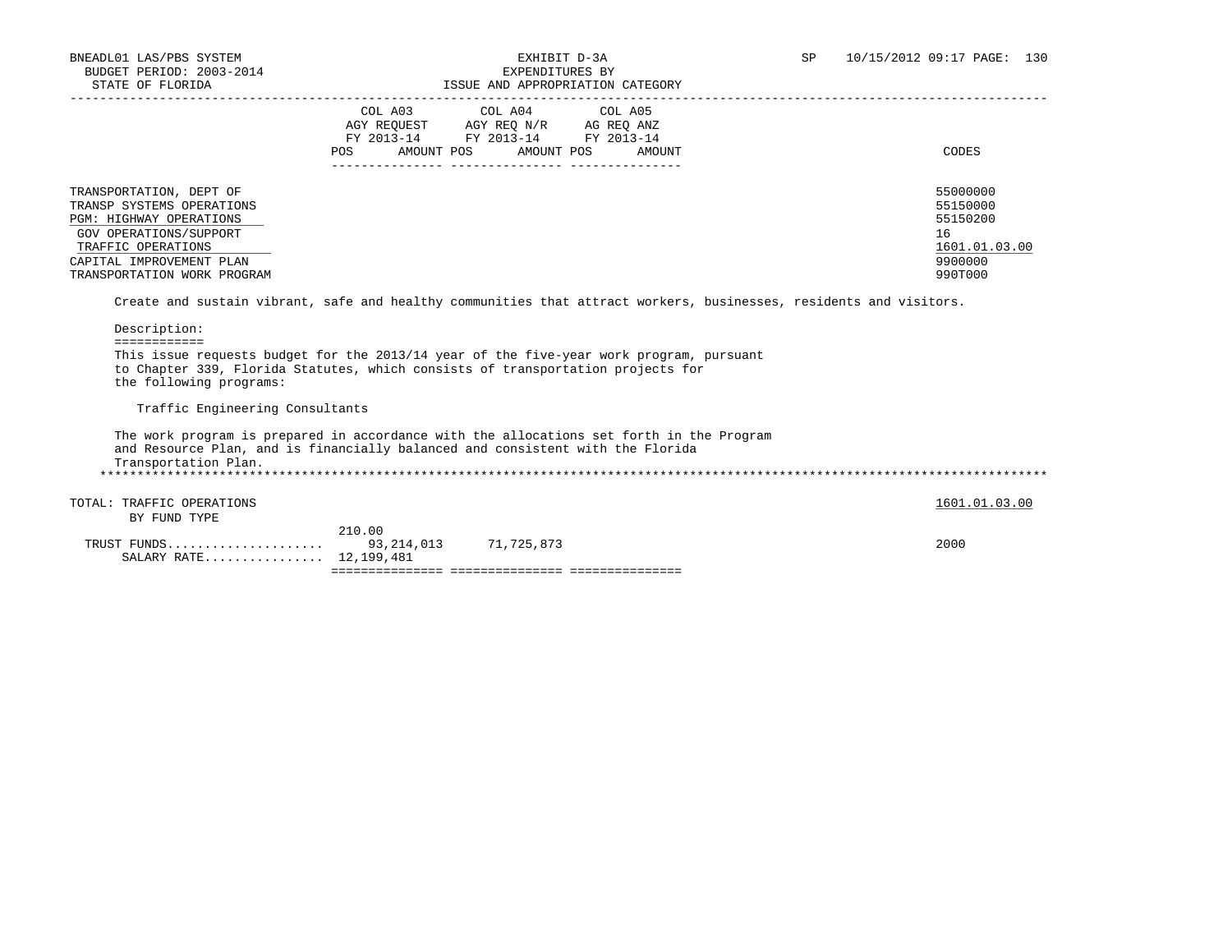| STATE OF FLORIDA                                                                                                                                                                                      |     |                                                                                                                            | ISSUE AND APPROPRIATION CATEGORY |                                                                                                                    |
|-------------------------------------------------------------------------------------------------------------------------------------------------------------------------------------------------------|-----|----------------------------------------------------------------------------------------------------------------------------|----------------------------------|--------------------------------------------------------------------------------------------------------------------|
|                                                                                                                                                                                                       | POS | COL A03 COL A04 COL A05<br>AGY REQUEST AGY REQ N/R AG REQ ANZ<br>FY 2013-14 FY 2013-14 FY 2013-14<br>AMOUNT POS AMOUNT POS | AMOUNT                           | CODES                                                                                                              |
| TRANSPORTATION, DEPT OF<br>TRANSP SYSTEMS OPERATIONS<br><b>PGM: HIGHWAY OPERATIONS</b><br>GOV OPERATIONS/SUPPORT<br>TRAFFIC OPERATIONS<br>CAPITAL IMPROVEMENT PLAN<br>TRANSPORTATION WORK PROGRAM     |     |                                                                                                                            |                                  | 55000000<br>55150000<br>55150200<br>16<br>1601.01.03.00<br>9900000<br>990T000                                      |
| Description:<br>============                                                                                                                                                                          |     |                                                                                                                            |                                  | Create and sustain vibrant, safe and healthy communities that attract workers, businesses, residents and visitors. |
| This issue requests budget for the 2013/14 year of the five-year work program, pursuant<br>to Chapter 339, Florida Statutes, which consists of transportation projects for<br>the following programs: |     |                                                                                                                            |                                  |                                                                                                                    |
| Traffic Engineering Consultants                                                                                                                                                                       |     |                                                                                                                            |                                  |                                                                                                                    |
| The work program is prepared in accordance with the allocations set forth in the Program<br>and Resource Plan, and is financially balanced and consistent with the Florida<br>Transportation Plan.    |     |                                                                                                                            |                                  |                                                                                                                    |
| TRAFFIC OPERATIONS<br>TOTAL:<br>BY FUND TYPE                                                                                                                                                          |     |                                                                                                                            |                                  | 1601.01.03.00                                                                                                      |

| TRUST | . FUNDS<br>$\ldots \ldots \ldots \ldots 12, 199, 481$<br>SALARY RATE | 93, 214, 013 | 71,725,873 |  | 2000 |
|-------|----------------------------------------------------------------------|--------------|------------|--|------|
|       |                                                                      | 210.00       |            |  |      |
|       | -----------                                                          |              |            |  |      |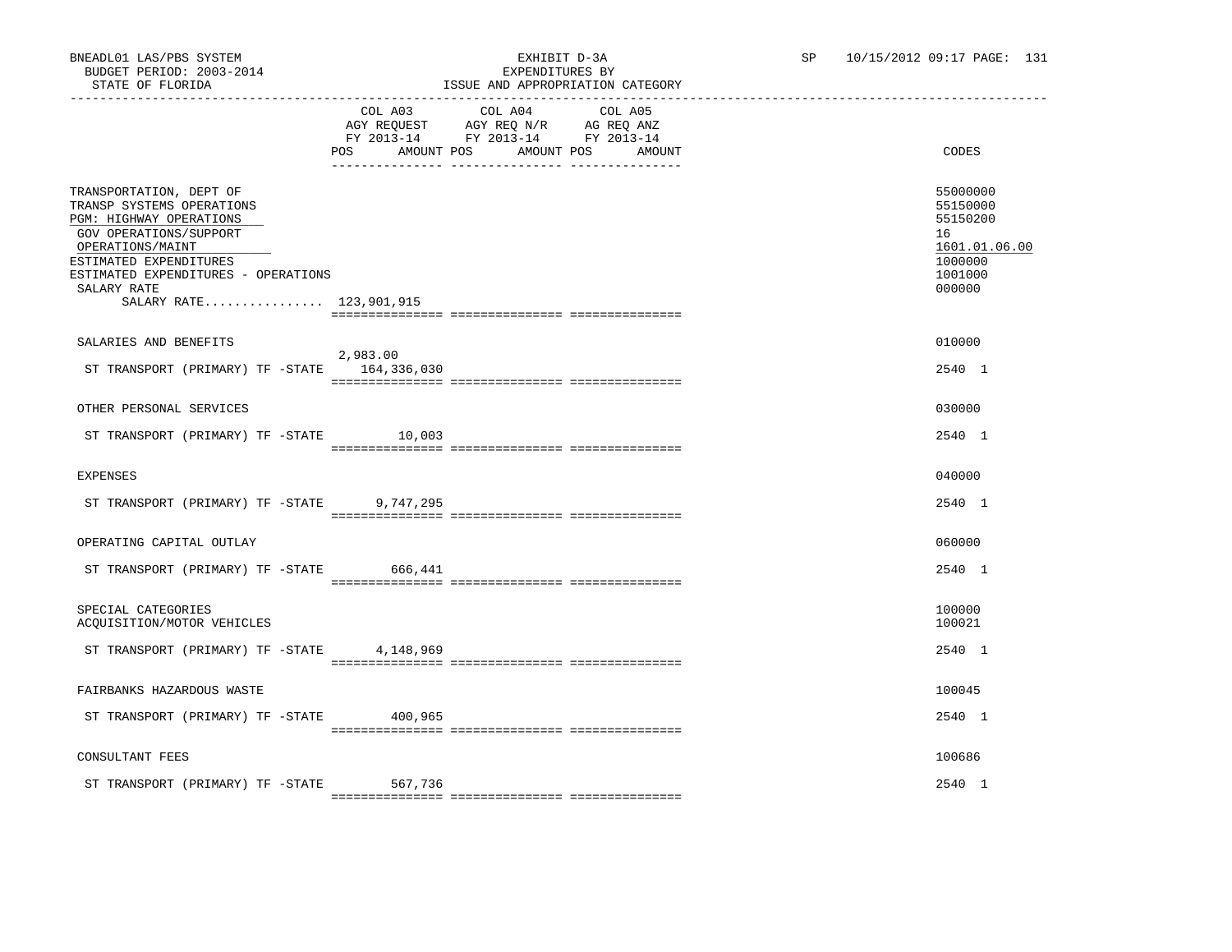# ISSUE AND APPROPRIATION CATEGORY

|                                                                                                                                                                                                                                          | COL A03           | COL A04<br>AGY REQUEST AGY REQ N/R AG REQ ANZ<br>FY 2013-14 FY 2013-14 FY 2013-14 | COL A05 |                                                                                         |
|------------------------------------------------------------------------------------------------------------------------------------------------------------------------------------------------------------------------------------------|-------------------|-----------------------------------------------------------------------------------|---------|-----------------------------------------------------------------------------------------|
|                                                                                                                                                                                                                                          | AMOUNT POS<br>POS | AMOUNT POS                                                                        | AMOUNT  | CODES                                                                                   |
| TRANSPORTATION, DEPT OF<br>TRANSP SYSTEMS OPERATIONS<br>PGM: HIGHWAY OPERATIONS<br>GOV OPERATIONS/SUPPORT<br>OPERATIONS/MAINT<br>ESTIMATED EXPENDITURES<br>ESTIMATED EXPENDITURES - OPERATIONS<br>SALARY RATE<br>SALARY RATE 123,901,915 |                   |                                                                                   |         | 55000000<br>55150000<br>55150200<br>16<br>1601.01.06.00<br>1000000<br>1001000<br>000000 |
|                                                                                                                                                                                                                                          |                   |                                                                                   |         |                                                                                         |
| SALARIES AND BENEFITS<br>ST TRANSPORT (PRIMARY) TF -STATE 164,336,030                                                                                                                                                                    | 2,983.00          |                                                                                   |         | 010000<br>2540 1                                                                        |
|                                                                                                                                                                                                                                          |                   |                                                                                   |         |                                                                                         |
| OTHER PERSONAL SERVICES                                                                                                                                                                                                                  |                   |                                                                                   |         | 030000                                                                                  |
| ST TRANSPORT (PRIMARY) TF -STATE 10,003                                                                                                                                                                                                  |                   |                                                                                   |         | 2540 1                                                                                  |
| <b>EXPENSES</b>                                                                                                                                                                                                                          |                   |                                                                                   |         | 040000                                                                                  |
| ST TRANSPORT (PRIMARY) TF -STATE                                                                                                                                                                                                         | 9,747,295         |                                                                                   |         | 2540 1                                                                                  |
| OPERATING CAPITAL OUTLAY                                                                                                                                                                                                                 |                   |                                                                                   |         | 060000                                                                                  |
| ST TRANSPORT (PRIMARY) TF -STATE 666,441                                                                                                                                                                                                 |                   |                                                                                   |         | 2540 1                                                                                  |
| SPECIAL CATEGORIES<br>ACQUISITION/MOTOR VEHICLES                                                                                                                                                                                         |                   |                                                                                   |         | 100000<br>100021                                                                        |
| ST TRANSPORT (PRIMARY) TF -STATE                                                                                                                                                                                                         | 4,148,969         |                                                                                   |         | 2540 1                                                                                  |
| FAIRBANKS HAZARDOUS WASTE                                                                                                                                                                                                                |                   |                                                                                   |         | 100045                                                                                  |
| ST TRANSPORT (PRIMARY) TF -STATE 400,965                                                                                                                                                                                                 |                   |                                                                                   |         | 2540 1                                                                                  |
| CONSULTANT FEES                                                                                                                                                                                                                          |                   |                                                                                   |         | 100686                                                                                  |
| ST TRANSPORT (PRIMARY) TF -STATE                                                                                                                                                                                                         | 567,736           |                                                                                   |         | 2540 1                                                                                  |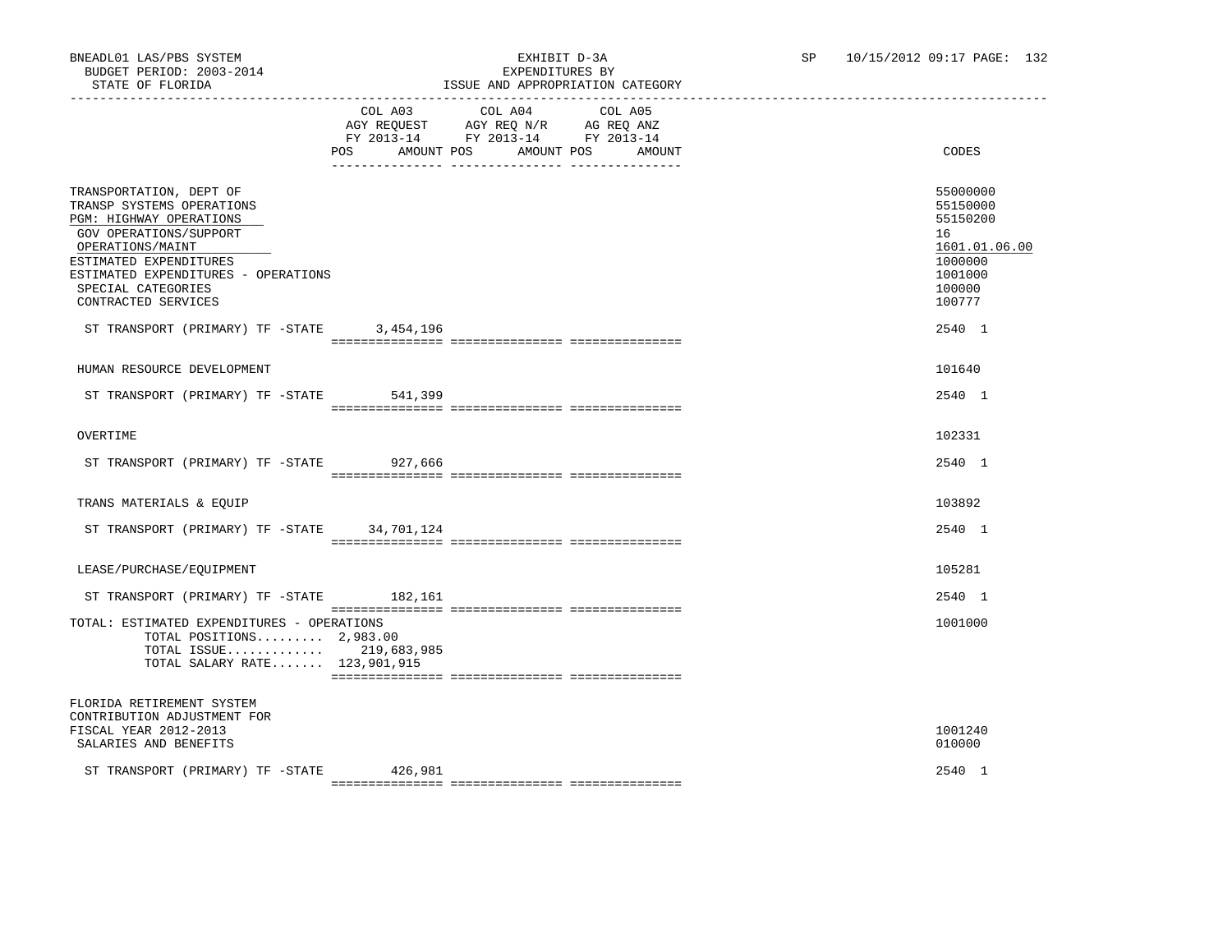## BNEADL01 LAS/PBS SYSTEM<br>BUDGET PERIOD: 2003-2014<br>CHIRIST DELLEY PERIOD: 2003-2014 ISSUE AND APPROPRIATION CATEGORY

|                                                                                                                                                                                                                                             |                   | COL A03 COL A04 COL A05<br>AGY REQUEST AGY REQ N/R AG REQ ANZ<br>FY 2013-14 FY 2013-14 FY 2013-14 |                      |                                                                                                   |
|---------------------------------------------------------------------------------------------------------------------------------------------------------------------------------------------------------------------------------------------|-------------------|---------------------------------------------------------------------------------------------------|----------------------|---------------------------------------------------------------------------------------------------|
|                                                                                                                                                                                                                                             | POS<br>AMOUNT POS |                                                                                                   | AMOUNT POS<br>AMOUNT | CODES                                                                                             |
| TRANSPORTATION, DEPT OF<br>TRANSP SYSTEMS OPERATIONS<br>PGM: HIGHWAY OPERATIONS<br>GOV OPERATIONS/SUPPORT<br>OPERATIONS/MAINT<br>ESTIMATED EXPENDITURES<br>ESTIMATED EXPENDITURES - OPERATIONS<br>SPECIAL CATEGORIES<br>CONTRACTED SERVICES |                   |                                                                                                   |                      | 55000000<br>55150000<br>55150200<br>16<br>1601.01.06.00<br>1000000<br>1001000<br>100000<br>100777 |
| ST TRANSPORT (PRIMARY) TF -STATE                                                                                                                                                                                                            | 3,454,196         |                                                                                                   |                      | 2540 1                                                                                            |
| HUMAN RESOURCE DEVELOPMENT                                                                                                                                                                                                                  |                   |                                                                                                   |                      | 101640                                                                                            |
| ST TRANSPORT (PRIMARY) TF -STATE 541,399                                                                                                                                                                                                    |                   |                                                                                                   |                      | 2540 1                                                                                            |
| OVERTIME                                                                                                                                                                                                                                    |                   |                                                                                                   |                      | 102331                                                                                            |
| ST TRANSPORT (PRIMARY) TF -STATE 927,666                                                                                                                                                                                                    |                   |                                                                                                   |                      | 2540 1                                                                                            |
| TRANS MATERIALS & EOUIP                                                                                                                                                                                                                     |                   |                                                                                                   |                      | 103892                                                                                            |
| ST TRANSPORT (PRIMARY) TF -STATE 34,701,124                                                                                                                                                                                                 |                   |                                                                                                   |                      | 2540 1                                                                                            |
| LEASE/PURCHASE/EQUIPMENT                                                                                                                                                                                                                    |                   |                                                                                                   |                      | 105281                                                                                            |
| ST TRANSPORT (PRIMARY) TF -STATE 182,161                                                                                                                                                                                                    |                   |                                                                                                   |                      | 2540 1                                                                                            |
| TOTAL: ESTIMATED EXPENDITURES - OPERATIONS<br>TOTAL POSITIONS $2,983.00$<br>TOTAL ISSUE 219,683,985<br>TOTAL SALARY RATE 123,901,915                                                                                                        |                   |                                                                                                   |                      | 1001000                                                                                           |
| FLORIDA RETIREMENT SYSTEM<br>CONTRIBUTION ADJUSTMENT FOR<br>FISCAL YEAR 2012-2013<br>SALARIES AND BENEFITS                                                                                                                                  |                   |                                                                                                   |                      | 1001240<br>010000                                                                                 |
| ST TRANSPORT (PRIMARY) TF -STATE 426,981                                                                                                                                                                                                    |                   |                                                                                                   |                      | 2540 1                                                                                            |

=============== =============== ===============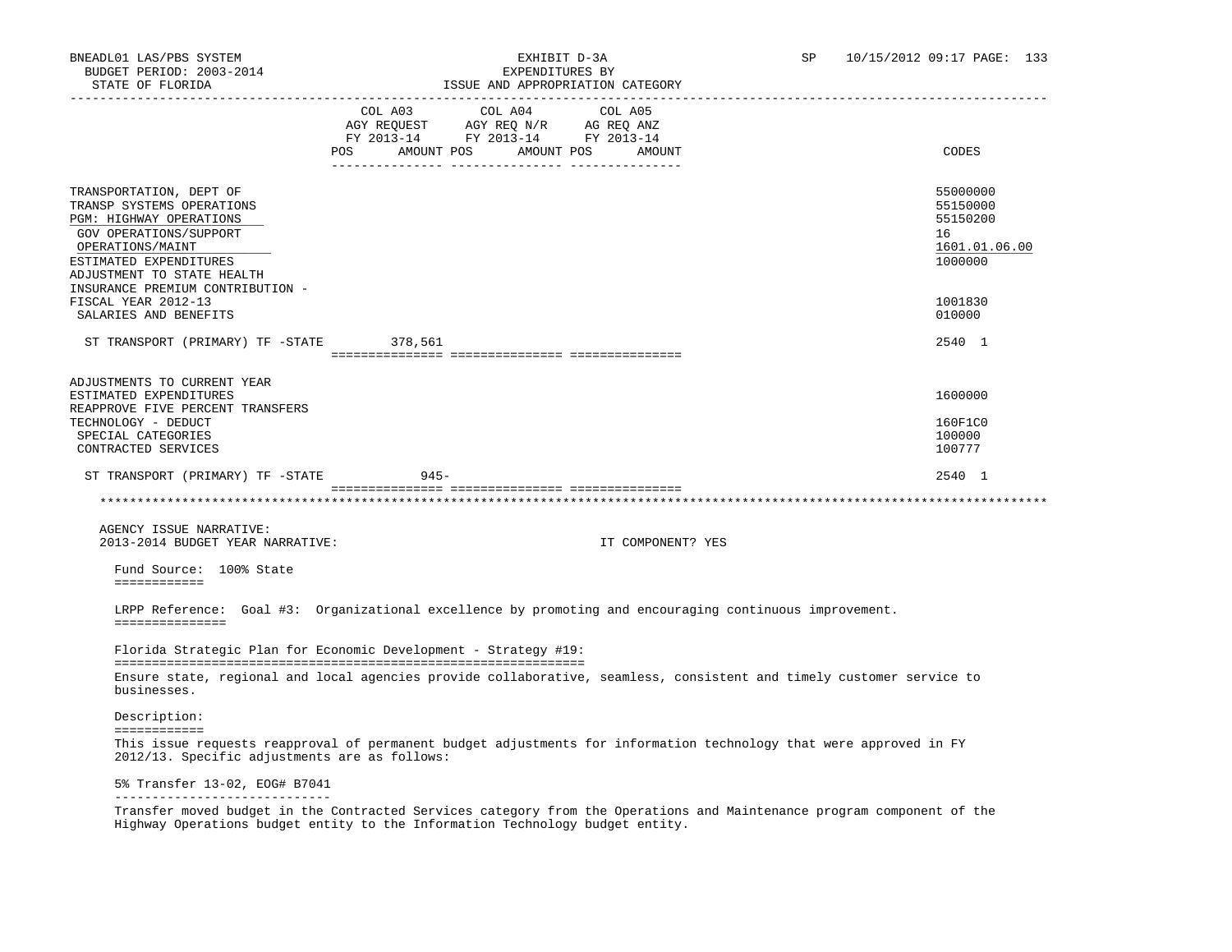| STATE OF FLORIDA                                                                                                                                                                                                          |                                                                                                             | ISSUE AND APPROPRIATION CATEGORY                                                                                     |                                                                    |
|---------------------------------------------------------------------------------------------------------------------------------------------------------------------------------------------------------------------------|-------------------------------------------------------------------------------------------------------------|----------------------------------------------------------------------------------------------------------------------|--------------------------------------------------------------------|
|                                                                                                                                                                                                                           | COL A03 COL A04<br>AGY REQUEST AGY REQ N/R AG REQ ANZ<br>FY 2013-14 FY 2013-14 FY 2013-14<br>POS AMOUNT POS | COL A05<br>AMOUNT POS AMOUNT                                                                                         | CODES                                                              |
| TRANSPORTATION, DEPT OF<br>TRANSP SYSTEMS OPERATIONS<br>PGM: HIGHWAY OPERATIONS<br>GOV OPERATIONS/SUPPORT<br>OPERATIONS/MAINT<br>ESTIMATED EXPENDITURES<br>ADJUSTMENT TO STATE HEALTH<br>INSURANCE PREMIUM CONTRIBUTION - |                                                                                                             |                                                                                                                      | 55000000<br>55150000<br>55150200<br>16<br>1601.01.06.00<br>1000000 |
| FISCAL YEAR 2012-13<br>SALARIES AND BENEFITS                                                                                                                                                                              |                                                                                                             |                                                                                                                      | 1001830<br>010000                                                  |
| ST TRANSPORT (PRIMARY) TF -STATE 378,561                                                                                                                                                                                  |                                                                                                             |                                                                                                                      | 2540 1                                                             |
| ADJUSTMENTS TO CURRENT YEAR<br>ESTIMATED EXPENDITURES                                                                                                                                                                     |                                                                                                             |                                                                                                                      | 1600000                                                            |
| REAPPROVE FIVE PERCENT TRANSFERS<br>TECHNOLOGY - DEDUCT<br>SPECIAL CATEGORIES<br>CONTRACTED SERVICES                                                                                                                      |                                                                                                             |                                                                                                                      | 160F1C0<br>100000<br>100777                                        |
| ST TRANSPORT (PRIMARY) TF -STATE                                                                                                                                                                                          | $945 -$                                                                                                     |                                                                                                                      | 2540 1                                                             |
|                                                                                                                                                                                                                           |                                                                                                             |                                                                                                                      |                                                                    |
| AGENCY ISSUE NARRATIVE:<br>2013-2014 BUDGET YEAR NARRATIVE:                                                                                                                                                               |                                                                                                             | IT COMPONENT? YES                                                                                                    |                                                                    |
| Fund Source: 100% State<br>============                                                                                                                                                                                   |                                                                                                             |                                                                                                                      |                                                                    |
| ===============                                                                                                                                                                                                           |                                                                                                             | LRPP Reference: Goal #3: Organizational excellence by promoting and encouraging continuous improvement.              |                                                                    |
| Florida Strategic Plan for Economic Development - Strategy #19:                                                                                                                                                           |                                                                                                             |                                                                                                                      |                                                                    |
| businesses.                                                                                                                                                                                                               |                                                                                                             | Ensure state, regional and local agencies provide collaborative, seamless, consistent and timely customer service to |                                                                    |
| Description:<br>============                                                                                                                                                                                              |                                                                                                             |                                                                                                                      |                                                                    |
| 2012/13. Specific adjustments are as follows:                                                                                                                                                                             |                                                                                                             | This issue requests reapproval of permanent budget adjustments for information technology that were approved in FY   |                                                                    |
| 5% Transfer 13-02, EOG# B7041                                                                                                                                                                                             |                                                                                                             |                                                                                                                      |                                                                    |
| _____________________________                                                                                                                                                                                             |                                                                                                             |                                                                                                                      |                                                                    |

 Transfer moved budget in the Contracted Services category from the Operations and Maintenance program component of the Highway Operations budget entity to the Information Technology budget entity.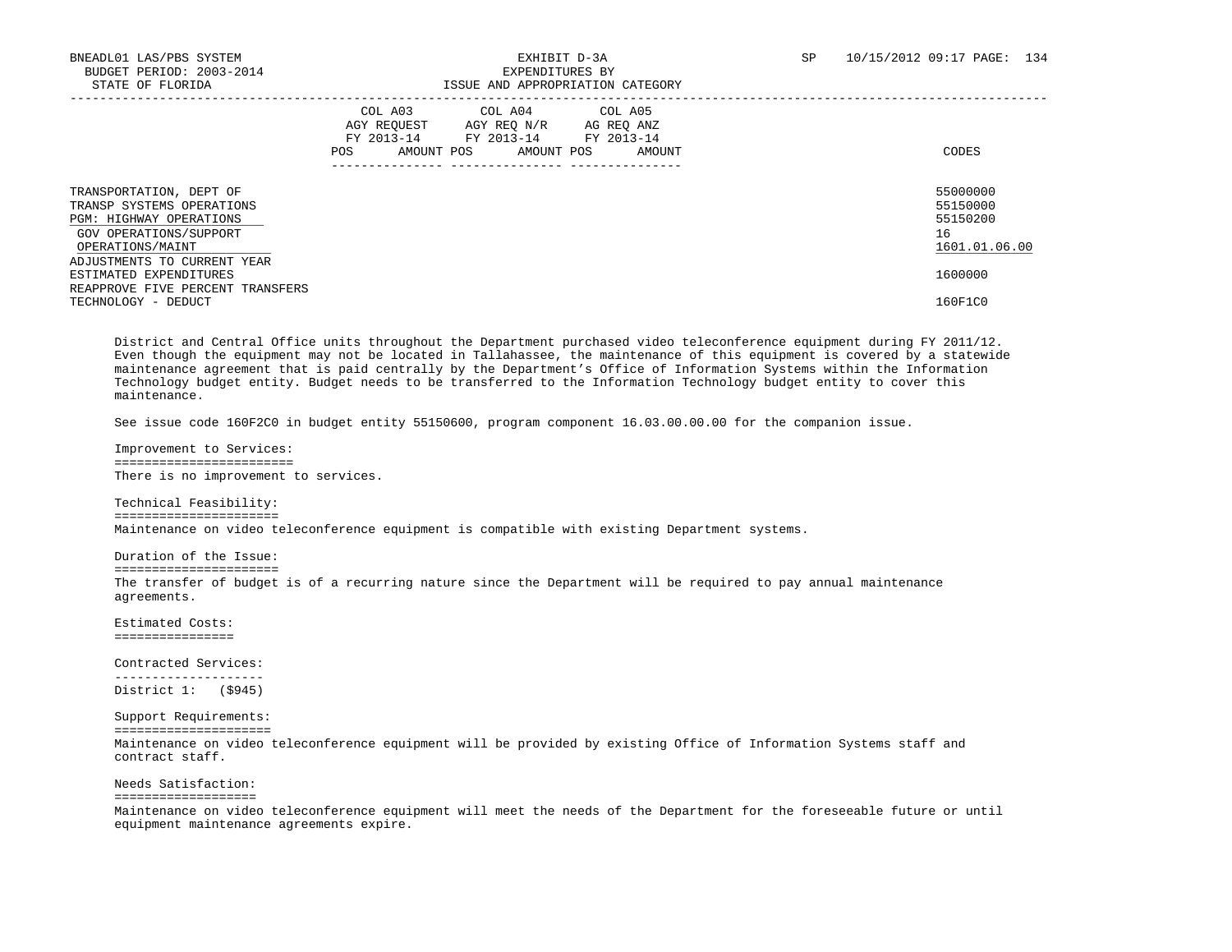| DIAID OF FOORIDA                                                                                                                                                    | TOOG UND UITIKOIKINITOIN CUIDOOKI                                                                                                                                 |                                                         |
|---------------------------------------------------------------------------------------------------------------------------------------------------------------------|-------------------------------------------------------------------------------------------------------------------------------------------------------------------|---------------------------------------------------------|
|                                                                                                                                                                     | COL A03<br>COL A04<br>COL A05<br>AGY REOUEST<br>AGY REO N/R<br>AG REO ANZ<br>FY 2013-14<br>FY 2013-14<br>FY 2013-14<br>AMOUNT POS<br>AMOUNT POS<br>AMOUNT<br>POS. | CODES                                                   |
| TRANSPORTATION, DEPT OF<br>TRANSP SYSTEMS OPERATIONS<br><b>PGM: HIGHWAY OPERATIONS</b><br>GOV OPERATIONS/SUPPORT<br>OPERATIONS/MAINT<br>ADJUSTMENTS TO CURRENT YEAR |                                                                                                                                                                   | 55000000<br>55150000<br>55150200<br>16<br>1601.01.06.00 |
| ESTIMATED EXPENDITURES<br>REAPPROVE FIVE PERCENT TRANSFERS<br>TECHNOLOGY - DEDUCT                                                                                   |                                                                                                                                                                   | 1600000<br>160F1C0                                      |

 District and Central Office units throughout the Department purchased video teleconference equipment during FY 2011/12. Even though the equipment may not be located in Tallahassee, the maintenance of this equipment is covered by a statewide maintenance agreement that is paid centrally by the Department's Office of Information Systems within the Information Technology budget entity. Budget needs to be transferred to the Information Technology budget entity to cover this maintenance.

See issue code 160F2C0 in budget entity 55150600, program component 16.03.00.00.00 for the companion issue.

 Improvement to Services: ======================== There is no improvement to services.

 Technical Feasibility: ====================== Maintenance on video teleconference equipment is compatible with existing Department systems.

 Duration of the Issue: ====================== The transfer of budget is of a recurring nature since the Department will be required to pay annual maintenance agreements.

 Estimated Costs: ================

 Contracted Services: --------------------

District 1: (\$945)

 Support Requirements: ===================== Maintenance on video teleconference equipment will be provided by existing Office of Information Systems staff and contract staff.

 Needs Satisfaction: =================== Maintenance on video teleconference equipment will meet the needs of the Department for the foreseeable future or until equipment maintenance agreements expire.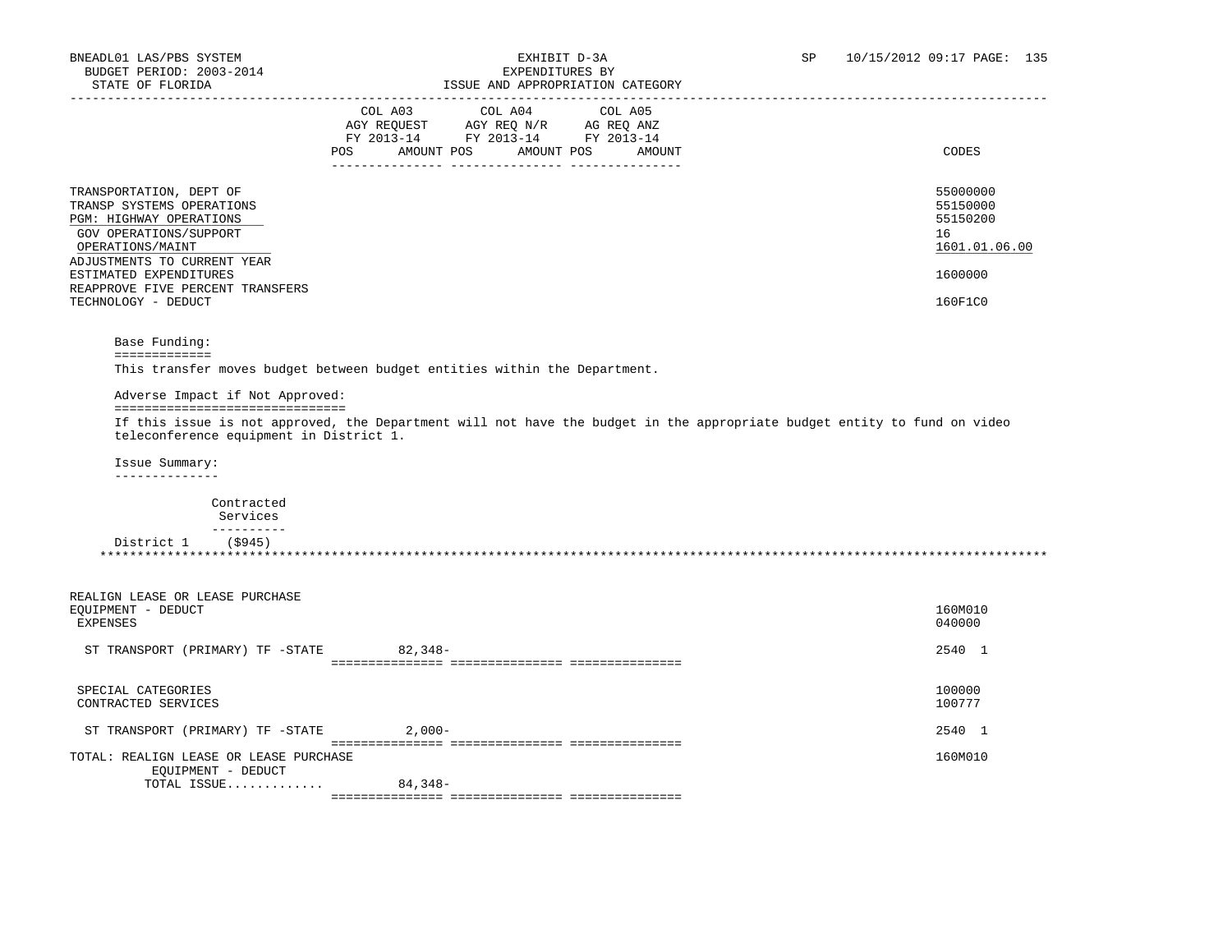| SIAIL UP PIURIDA                                                                                                                                             |                                                                                                                                                                                                    |                 | LOOUL AND APPROPRIATION CAILGORI        |                                                                                                                          |
|--------------------------------------------------------------------------------------------------------------------------------------------------------------|----------------------------------------------------------------------------------------------------------------------------------------------------------------------------------------------------|-----------------|-----------------------------------------|--------------------------------------------------------------------------------------------------------------------------|
|                                                                                                                                                              | $\begin{tabular}{lllllll} \bf AGY \,\, REQUEST \,\, &\bf AGY \,\, REQ \,\, N/R &\bf AG \,\, REQ \,\, ANZ \\ \bf FY \,\, 2013-14 &\bf FY \,\, 2013-14 &\bf FY \,\, 2013-14 \\ \end{tabular}$<br>POS | COL A03 COL A04 | COL A05<br>AMOUNT POS AMOUNT POS AMOUNT | CODES                                                                                                                    |
| TRANSPORTATION, DEPT OF<br>TRANSP SYSTEMS OPERATIONS<br>PGM: HIGHWAY OPERATIONS<br>GOV OPERATIONS/SUPPORT<br>OPERATIONS/MAINT<br>ADJUSTMENTS TO CURRENT YEAR |                                                                                                                                                                                                    |                 |                                         | 55000000<br>55150000<br>55150200<br>16<br>1601.01.06.00                                                                  |
| ESTIMATED EXPENDITURES<br>REAPPROVE FIVE PERCENT TRANSFERS                                                                                                   |                                                                                                                                                                                                    |                 |                                         | 1600000                                                                                                                  |
| TECHNOLOGY - DEDUCT                                                                                                                                          |                                                                                                                                                                                                    |                 |                                         | 160F1C0                                                                                                                  |
| Base Funding:<br>=============                                                                                                                               |                                                                                                                                                                                                    |                 |                                         |                                                                                                                          |
| This transfer moves budget between budget entities within the Department.                                                                                    |                                                                                                                                                                                                    |                 |                                         |                                                                                                                          |
| Adverse Impact if Not Approved:                                                                                                                              |                                                                                                                                                                                                    |                 |                                         |                                                                                                                          |
| --------------------------------<br>teleconference equipment in District 1.                                                                                  |                                                                                                                                                                                                    |                 |                                         | If this issue is not approved, the Department will not have the budget in the appropriate budget entity to fund on video |
| Issue Summary:<br>______________                                                                                                                             |                                                                                                                                                                                                    |                 |                                         |                                                                                                                          |
| Contracted<br>Services                                                                                                                                       |                                                                                                                                                                                                    |                 |                                         |                                                                                                                          |
| -----------<br>District $1$ (\$945)                                                                                                                          |                                                                                                                                                                                                    |                 |                                         |                                                                                                                          |
|                                                                                                                                                              |                                                                                                                                                                                                    |                 |                                         |                                                                                                                          |
| REALIGN LEASE OR LEASE PURCHASE<br>EQUIPMENT - DEDUCT<br>EXPENSES                                                                                            |                                                                                                                                                                                                    |                 |                                         | 160M010<br>040000                                                                                                        |
| ST TRANSPORT (PRIMARY) TF -STATE 82,348-                                                                                                                     |                                                                                                                                                                                                    |                 |                                         | 2540 1                                                                                                                   |
| SPECIAL CATEGORIES<br>CONTRACTED SERVICES                                                                                                                    |                                                                                                                                                                                                    |                 |                                         | 100000<br>100777                                                                                                         |
| ST TRANSPORT (PRIMARY) TF -STATE 2,000-                                                                                                                      |                                                                                                                                                                                                    |                 |                                         | 2540 1                                                                                                                   |
| TOTAL: REALIGN LEASE OR LEASE PURCHASE                                                                                                                       |                                                                                                                                                                                                    |                 |                                         | 160M010                                                                                                                  |
| EQUIPMENT - DEDUCT<br>TOTAL ISSUE 84,348-                                                                                                                    |                                                                                                                                                                                                    |                 |                                         |                                                                                                                          |
|                                                                                                                                                              |                                                                                                                                                                                                    |                 |                                         |                                                                                                                          |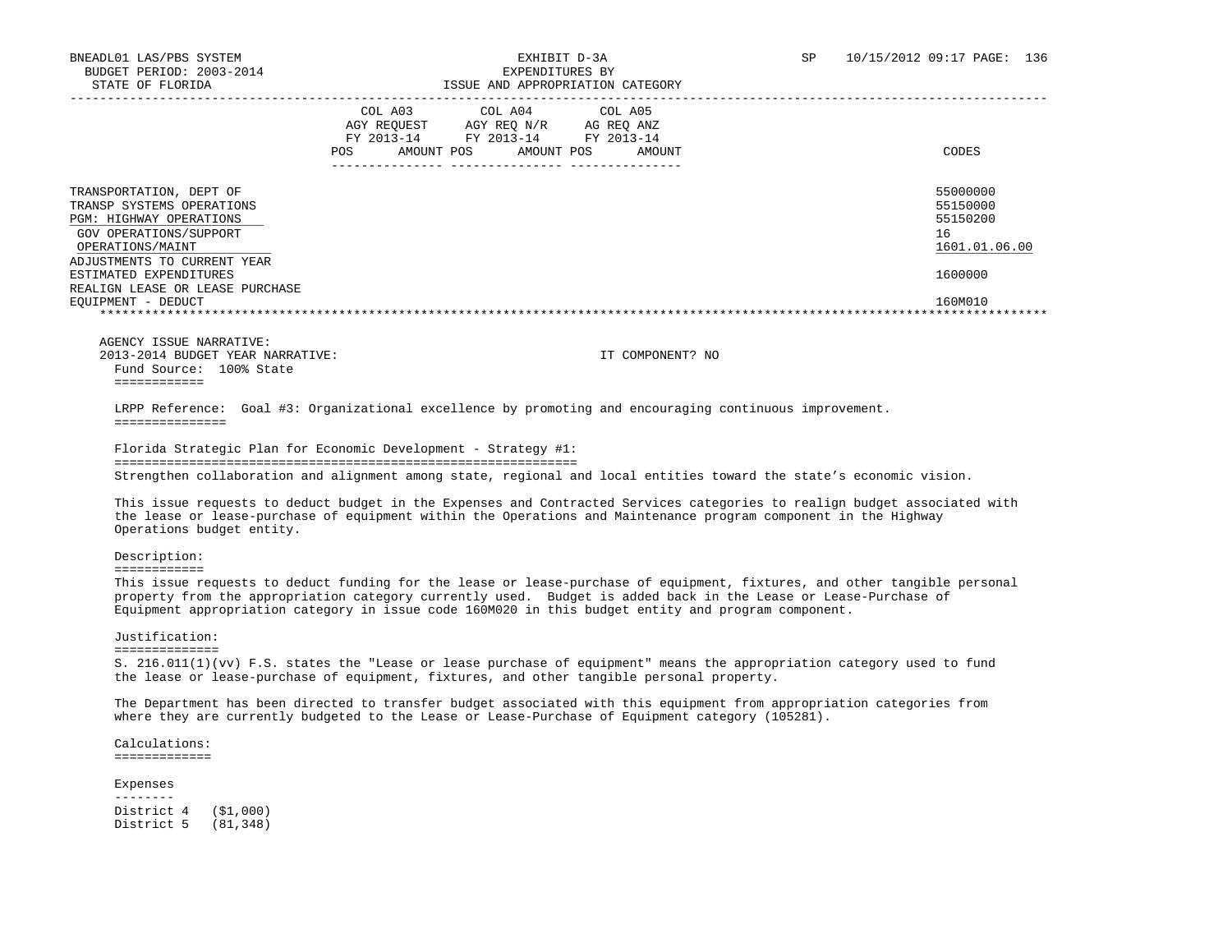|                                                                                                                                                                                                                                                        |            | COL A03<br>AGY REOUEST<br>FY 2013-14 | COL A04<br>AGY REO N/R<br>FY 2013-14 | COL A05<br>AG REQ ANZ<br>FY 2013-14 |        |                                                                               |
|--------------------------------------------------------------------------------------------------------------------------------------------------------------------------------------------------------------------------------------------------------|------------|--------------------------------------|--------------------------------------|-------------------------------------|--------|-------------------------------------------------------------------------------|
|                                                                                                                                                                                                                                                        | <b>POS</b> | AMOUNT POS                           | AMOUNT POS                           |                                     | AMOUNT | CODES                                                                         |
| TRANSPORTATION, DEPT OF<br>TRANSP SYSTEMS OPERATIONS<br><b>PGM: HIGHWAY OPERATIONS</b><br>GOV OPERATIONS/SUPPORT<br>OPERATIONS/MAINT<br>ADJUSTMENTS TO CURRENT YEAR<br>ESTIMATED EXPENDITURES<br>REALIGN LEASE OR LEASE PURCHASE<br>EOUIPMENT - DEDUCT |            |                                      |                                      |                                     |        | 55000000<br>55150000<br>55150200<br>16<br>1601.01.06.00<br>1600000<br>160M010 |
|                                                                                                                                                                                                                                                        |            |                                      |                                      |                                     |        |                                                                               |

 AGENCY ISSUE NARRATIVE: 2013-2014 BUDGET YEAR NARRATIVE: IT COMPONENT? NO Fund Source: 100% State ============

 LRPP Reference: Goal #3: Organizational excellence by promoting and encouraging continuous improvement. ===============

 Florida Strategic Plan for Economic Development - Strategy #1: ============================================================== Strengthen collaboration and alignment among state, regional and local entities toward the state's economic vision.

 This issue requests to deduct budget in the Expenses and Contracted Services categories to realign budget associated with the lease or lease-purchase of equipment within the Operations and Maintenance program component in the Highway Operations budget entity.

Description:

============

This issue requests to deduct funding for the lease or lease-purchase of equipment, fixtures, and other tangible personal property from the appropriation category currently used. Budget is added back in the Lease or Lease-Purchase of Equipment appropriation category in issue code 160M020 in this budget entity and program component.

#### Justification:

==============

 S. 216.011(1)(vv) F.S. states the "Lease or lease purchase of equipment" means the appropriation category used to fund the lease or lease-purchase of equipment, fixtures, and other tangible personal property.

 The Department has been directed to transfer budget associated with this equipment from appropriation categories from where they are currently budgeted to the Lease or Lease-Purchase of Equipment category (105281).

 Calculations: =============

#### Expenses

 -------- District 4 (\$1,000) District 5 (81,348)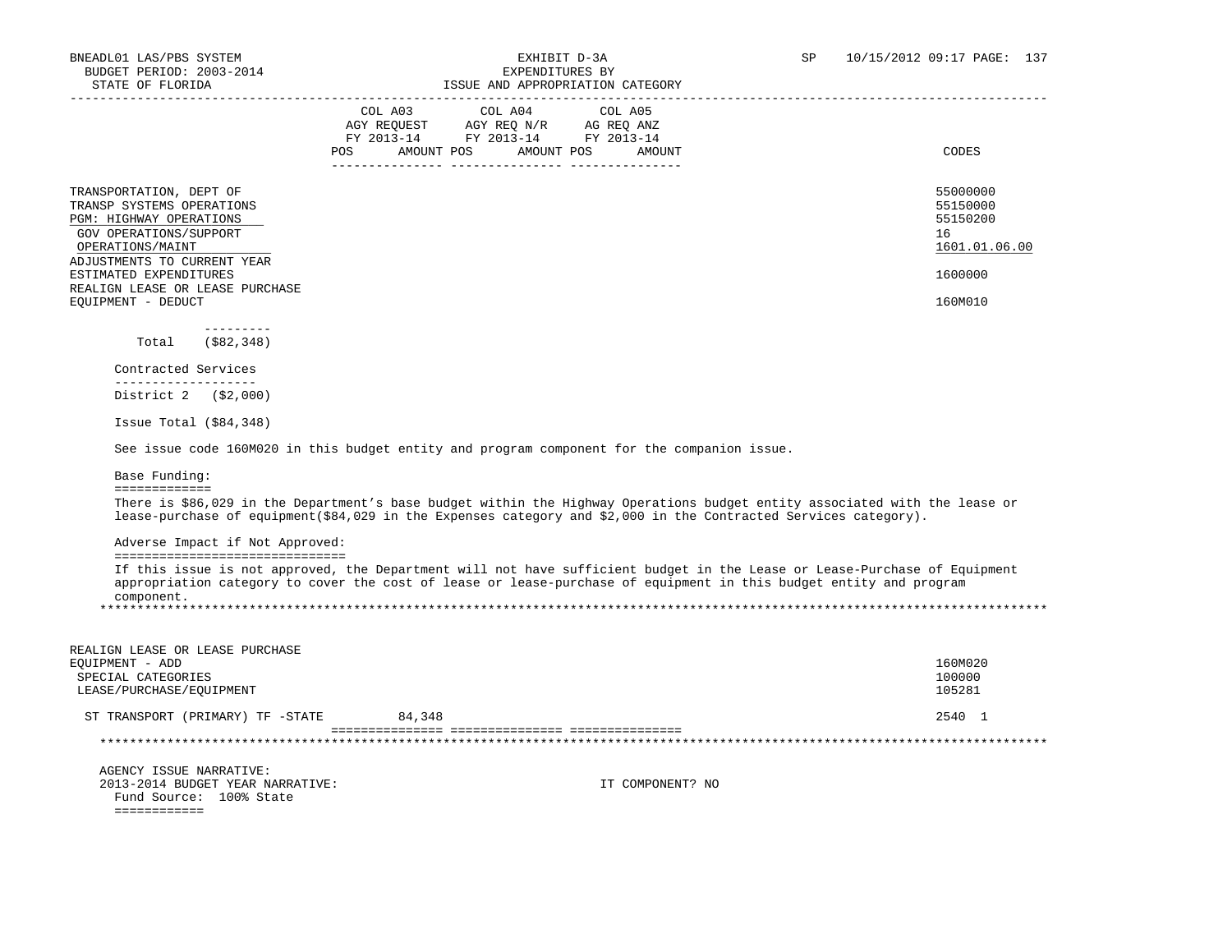| STATE OF FLORIDA                                                                                                                                             | ISSUE AND APPROPRIATION CATEGORY                                                                                                                                                                                                                |                                                         |
|--------------------------------------------------------------------------------------------------------------------------------------------------------------|-------------------------------------------------------------------------------------------------------------------------------------------------------------------------------------------------------------------------------------------------|---------------------------------------------------------|
|                                                                                                                                                              | COL A04<br>COL A03<br>COL A05<br>AGY REQUEST AGY REQ N/R AG REQ ANZ<br>FY 2013-14 FY 2013-14 FY 2013-14<br>POS AMOUNT POS AMOUNT POS AMOUNT                                                                                                     | CODES                                                   |
| TRANSPORTATION, DEPT OF<br>TRANSP SYSTEMS OPERATIONS<br>PGM: HIGHWAY OPERATIONS<br>GOV OPERATIONS/SUPPORT<br>OPERATIONS/MAINT<br>ADJUSTMENTS TO CURRENT YEAR |                                                                                                                                                                                                                                                 | 55000000<br>55150000<br>55150200<br>16<br>1601.01.06.00 |
| ESTIMATED EXPENDITURES                                                                                                                                       |                                                                                                                                                                                                                                                 | 1600000                                                 |
| REALIGN LEASE OR LEASE PURCHASE<br>EQUIPMENT - DEDUCT                                                                                                        |                                                                                                                                                                                                                                                 | 160M010                                                 |
| $- - - - - - - - -$<br>(\$82,348)<br>Total                                                                                                                   |                                                                                                                                                                                                                                                 |                                                         |
| Contracted Services<br>___________________                                                                                                                   |                                                                                                                                                                                                                                                 |                                                         |
| District 2 (\$2,000)                                                                                                                                         |                                                                                                                                                                                                                                                 |                                                         |
| Issue Total $( $84, 348)$                                                                                                                                    |                                                                                                                                                                                                                                                 |                                                         |
|                                                                                                                                                              | See issue code 160M020 in this budget entity and program component for the companion issue.                                                                                                                                                     |                                                         |
| Base Funding:                                                                                                                                                |                                                                                                                                                                                                                                                 |                                                         |
| =============                                                                                                                                                | There is \$86,029 in the Department's base budget within the Highway Operations budget entity associated with the lease or<br>lease-purchase of equipment(\$84,029 in the Expenses category and \$2,000 in the Contracted Services category).   |                                                         |
| Adverse Impact if Not Approved:                                                                                                                              |                                                                                                                                                                                                                                                 |                                                         |
| =================================<br>component.                                                                                                              | If this issue is not approved, the Department will not have sufficient budget in the Lease or Lease-Purchase of Equipment<br>appropriation category to cover the cost of lease or lease-purchase of equipment in this budget entity and program |                                                         |
| REALIGN LEASE OR LEASE PURCHASE<br>EQUIPMENT - ADD<br>SPECIAL CATEGORIES<br>LEASE/PURCHASE/EQUIPMENT                                                         |                                                                                                                                                                                                                                                 | 160M020<br>100000<br>105281                             |
| ST TRANSPORT (PRIMARY) TF -STATE                                                                                                                             | 84,348                                                                                                                                                                                                                                          | 2540 1                                                  |
|                                                                                                                                                              |                                                                                                                                                                                                                                                 |                                                         |
| AGENCY ISSUE NARRATIVE:<br>2013-2014 BUDGET YEAR NARRATIVE:<br>Fund Source: 100% State<br>============                                                       | IT COMPONENT? NO                                                                                                                                                                                                                                |                                                         |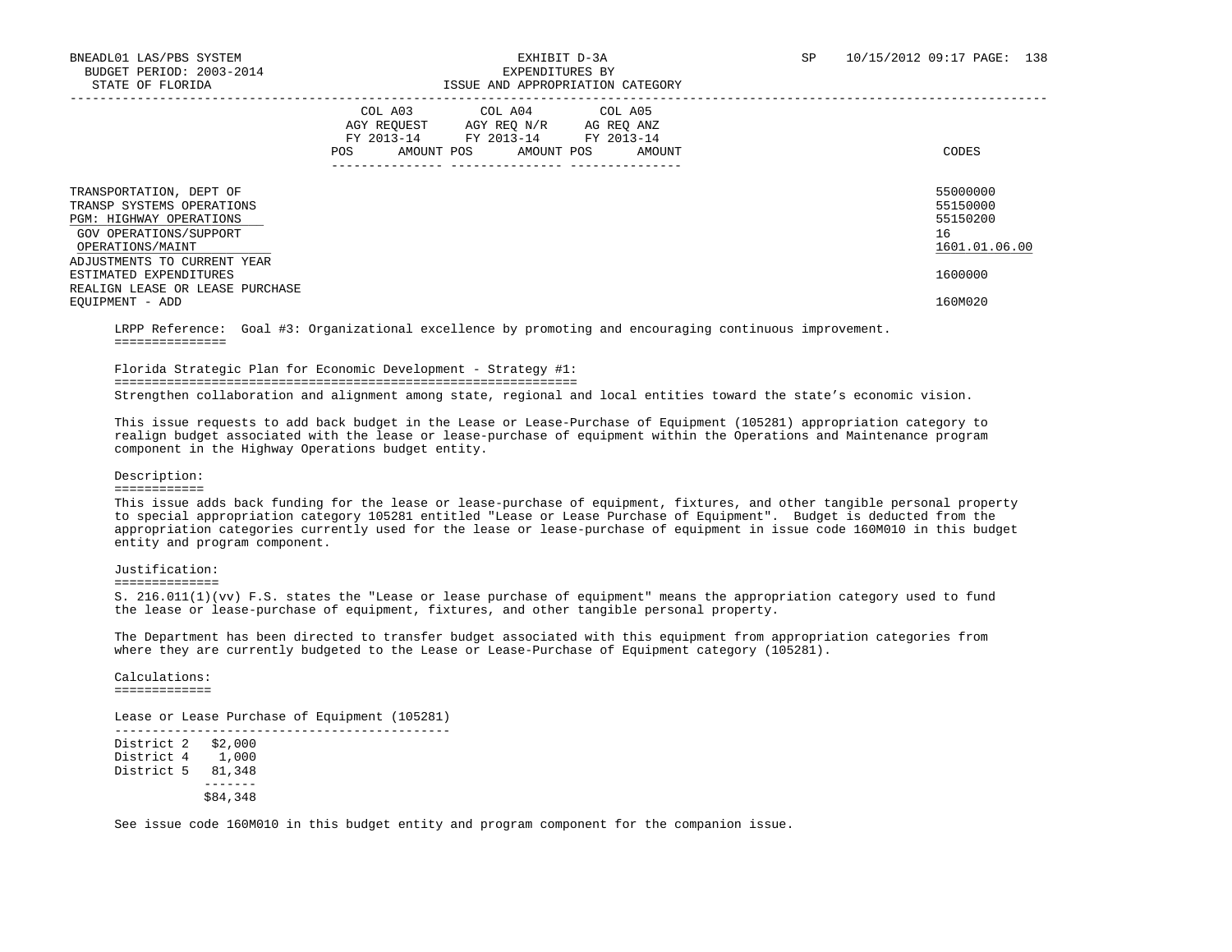|                                                                                                                               | COL A04<br>COL A05<br>COL A03<br>AGY REOUEST<br>AGY REO N/R<br>AG REQ ANZ<br>FY 2013-14<br>FY 2013-14<br>FY 2013-14<br><b>POS</b><br>AMOUNT POS<br>AMOUNT POS<br>AMOUNT | CODES                                                   |
|-------------------------------------------------------------------------------------------------------------------------------|-------------------------------------------------------------------------------------------------------------------------------------------------------------------------|---------------------------------------------------------|
| TRANSPORTATION, DEPT OF<br>TRANSP SYSTEMS OPERATIONS<br>PGM: HIGHWAY OPERATIONS<br>GOV OPERATIONS/SUPPORT<br>OPERATIONS/MAINT |                                                                                                                                                                         | 55000000<br>55150000<br>55150200<br>16<br>1601.01.06.00 |
| ADJUSTMENTS TO CURRENT YEAR<br>ESTIMATED EXPENDITURES<br>REALIGN LEASE OR LEASE PURCHASE                                      |                                                                                                                                                                         | 1600000                                                 |
| EOUIPMENT - ADD                                                                                                               |                                                                                                                                                                         | 160M020                                                 |

 LRPP Reference: Goal #3: Organizational excellence by promoting and encouraging continuous improvement. ===============

 Florida Strategic Plan for Economic Development - Strategy #1: ============================================================== Strengthen collaboration and alignment among state, regional and local entities toward the state's economic vision.

 This issue requests to add back budget in the Lease or Lease-Purchase of Equipment (105281) appropriation category to realign budget associated with the lease or lease-purchase of equipment within the Operations and Maintenance program component in the Highway Operations budget entity.

#### Description:

#### ============

 This issue adds back funding for the lease or lease-purchase of equipment, fixtures, and other tangible personal property to special appropriation category 105281 entitled "Lease or Lease Purchase of Equipment". Budget is deducted from the appropriation categories currently used for the lease or lease-purchase of equipment in issue code 160M010 in this budget entity and program component.

#### Justification:

==============

 Calculations: =============

 S. 216.011(1)(vv) F.S. states the "Lease or lease purchase of equipment" means the appropriation category used to fund the lease or lease-purchase of equipment, fixtures, and other tangible personal property.

 The Department has been directed to transfer budget associated with this equipment from appropriation categories from where they are currently budgeted to the Lease or Lease-Purchase of Equipment category (105281).

 Lease or Lease Purchase of Equipment (105281) --------------------------------------------- District 2 \$2,000 District 4 1,000 District 5 81,348 ------- \$84,348

See issue code 160M010 in this budget entity and program component for the companion issue.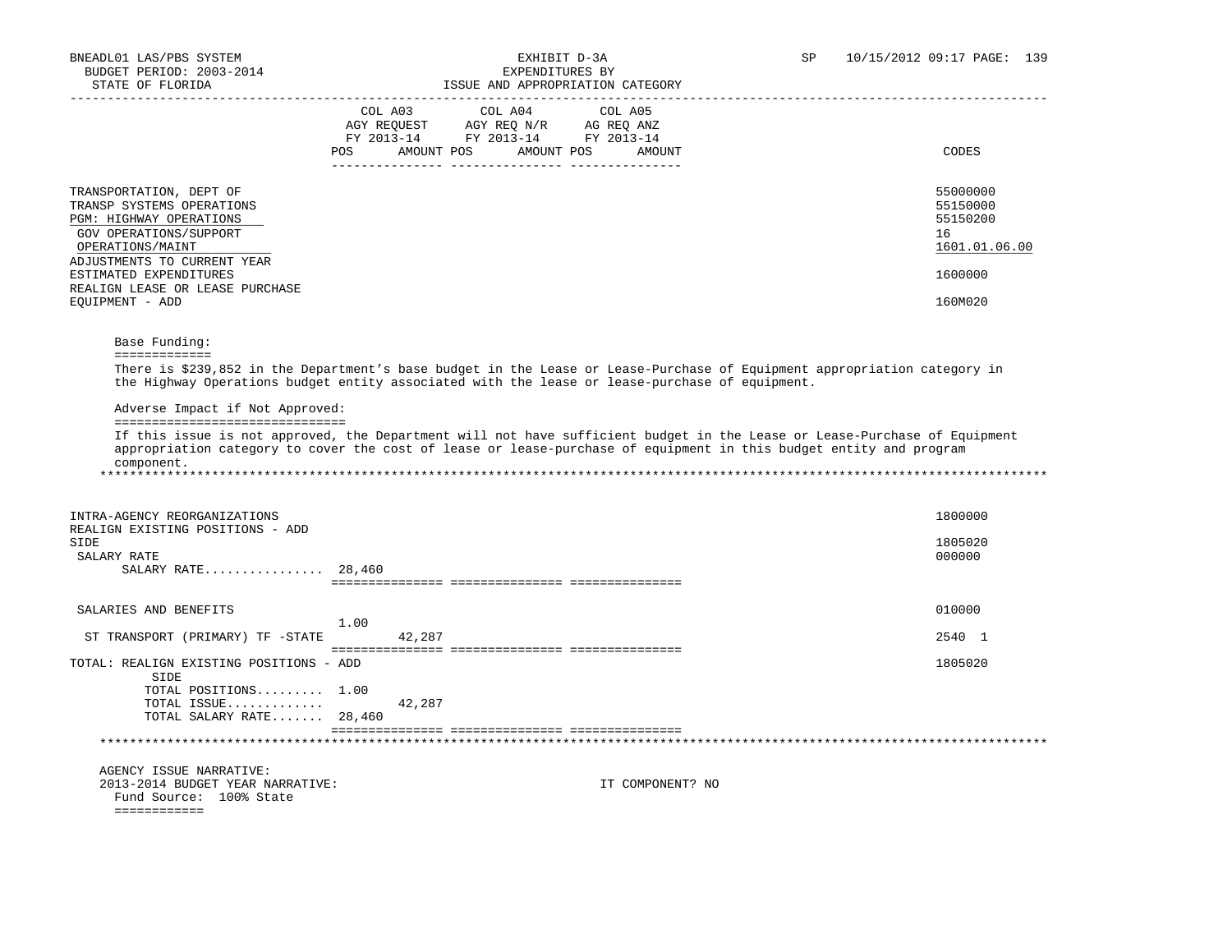|                                                                                                                               | COL A03<br>COL A04<br>COL A05                                                                                                                                                                                              |                                                         |
|-------------------------------------------------------------------------------------------------------------------------------|----------------------------------------------------------------------------------------------------------------------------------------------------------------------------------------------------------------------------|---------------------------------------------------------|
|                                                                                                                               | COLADS COLOR COLOR AGRICATE AND COLOR AGRICATE AND AGRICATE AND AGRICATE AND AND AND AND AND AGRICATE AND AND A<br>FY 2013–14 FY 2013–14 FY 2013–14                                                                        |                                                         |
|                                                                                                                               | POS AMOUNT POS AMOUNT POS AMOUNT                                                                                                                                                                                           | CODES                                                   |
|                                                                                                                               |                                                                                                                                                                                                                            |                                                         |
| TRANSPORTATION, DEPT OF<br>TRANSP SYSTEMS OPERATIONS<br>PGM: HIGHWAY OPERATIONS<br>GOV OPERATIONS/SUPPORT<br>OPERATIONS/MAINT |                                                                                                                                                                                                                            | 55000000<br>55150000<br>55150200<br>16<br>1601.01.06.00 |
| ADJUSTMENTS TO CURRENT YEAR                                                                                                   |                                                                                                                                                                                                                            |                                                         |
| ESTIMATED EXPENDITURES                                                                                                        |                                                                                                                                                                                                                            | 1600000                                                 |
| REALIGN LEASE OR LEASE PURCHASE                                                                                               |                                                                                                                                                                                                                            |                                                         |
| EOUIPMENT - ADD                                                                                                               |                                                                                                                                                                                                                            | 160M020                                                 |
|                                                                                                                               |                                                                                                                                                                                                                            |                                                         |
| Base Funding:<br>=============                                                                                                |                                                                                                                                                                                                                            |                                                         |
|                                                                                                                               | There is \$239,852 in the Department's base budget in the Lease or Lease-Purchase of Equipment appropriation category in<br>the Highway Operations budget entity associated with the lease or lease-purchase of equipment. |                                                         |
| Adverse Impact if Not Approved:<br>==================================                                                         |                                                                                                                                                                                                                            |                                                         |
| component.                                                                                                                    | appropriation category to cover the cost of lease or lease-purchase of equipment in this budget entity and program                                                                                                         |                                                         |
| INTRA-AGENCY REORGANIZATIONS                                                                                                  |                                                                                                                                                                                                                            | 1800000                                                 |
| REALIGN EXISTING POSITIONS - ADD<br>SIDE                                                                                      |                                                                                                                                                                                                                            | 1805020                                                 |
| SALARY RATE                                                                                                                   |                                                                                                                                                                                                                            | 000000                                                  |
| SALARY RATE $28,460$                                                                                                          |                                                                                                                                                                                                                            |                                                         |
|                                                                                                                               |                                                                                                                                                                                                                            |                                                         |
| SALARIES AND BENEFITS                                                                                                         |                                                                                                                                                                                                                            | 010000                                                  |
| ST TRANSPORT (PRIMARY) TF -STATE                                                                                              | 1.00<br>42,287                                                                                                                                                                                                             | 2540 1                                                  |
|                                                                                                                               |                                                                                                                                                                                                                            |                                                         |
| TOTAL: REALIGN EXISTING POSITIONS - ADD<br>SIDE                                                                               |                                                                                                                                                                                                                            | 1805020                                                 |
| TOTAL POSITIONS 1.00                                                                                                          |                                                                                                                                                                                                                            |                                                         |
| TOTAL ISSUE<br>TOTAL SALARY RATE 28,460                                                                                       | 42,287                                                                                                                                                                                                                     |                                                         |
|                                                                                                                               |                                                                                                                                                                                                                            |                                                         |
|                                                                                                                               |                                                                                                                                                                                                                            |                                                         |
| AGENCY ISSUE NARRATIVE:<br>2013-2014 BUDGET YEAR NARRATIVE:                                                                   | IT COMPONENT? NO                                                                                                                                                                                                           |                                                         |
| Fund Source: 100% State<br>=============                                                                                      |                                                                                                                                                                                                                            |                                                         |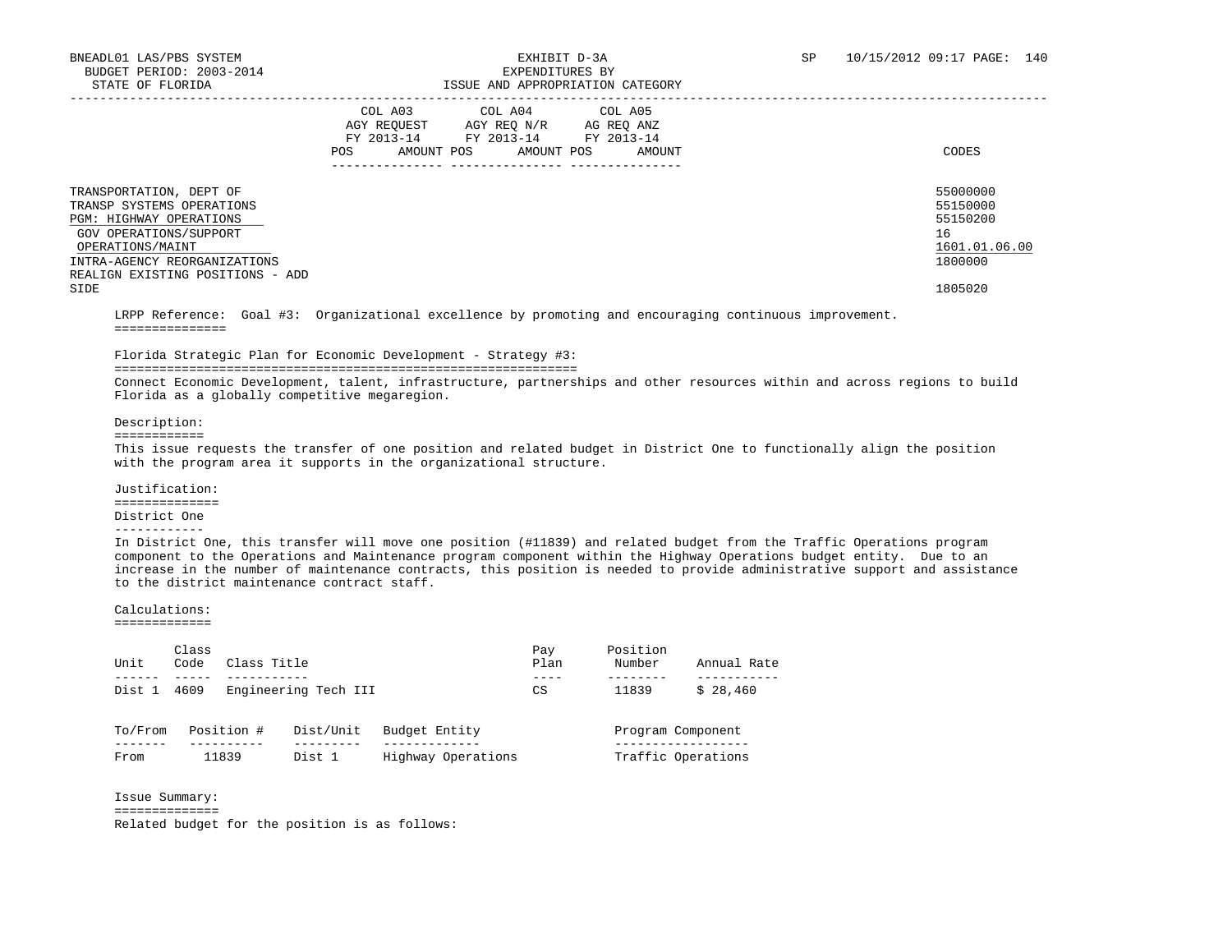# ISSUE AND APPROPRIATION CATEGORY

|                                                                                                                                                                                                   | COL A03<br>COL A04<br>COL A05<br>AGY REO N/R<br>AGY REOUEST<br>AG REO ANZ<br>FY 2013-14<br>FY 2013-14<br>FY 2013-14<br>POS<br>AMOUNT POS<br>AMOUNT POS<br>AMOUNT | CODES                                                              |
|---------------------------------------------------------------------------------------------------------------------------------------------------------------------------------------------------|------------------------------------------------------------------------------------------------------------------------------------------------------------------|--------------------------------------------------------------------|
| TRANSPORTATION, DEPT OF<br>TRANSP SYSTEMS OPERATIONS<br>PGM: HIGHWAY OPERATIONS<br>GOV OPERATIONS/SUPPORT<br>OPERATIONS/MAINT<br>INTRA-AGENCY REORGANIZATIONS<br>REALIGN EXISTING POSITIONS - ADD |                                                                                                                                                                  | 55000000<br>55150000<br>55150200<br>16<br>1601.01.06.00<br>1800000 |
| SIDE                                                                                                                                                                                              |                                                                                                                                                                  | 1805020                                                            |

 LRPP Reference: Goal #3: Organizational excellence by promoting and encouraging continuous improvement. ===============

### Florida Strategic Plan for Economic Development - Strategy #3:

==============================================================

 Connect Economic Development, talent, infrastructure, partnerships and other resources within and across regions to build Florida as a globally competitive megaregion.

Description:

============

 This issue requests the transfer of one position and related budget in District One to functionally align the position with the program area it supports in the organizational structure.

 Justification: ==============

District One

#### ------------

 In District One, this transfer will move one position (#11839) and related budget from the Traffic Operations program component to the Operations and Maintenance program component within the Highway Operations budget entity. Due to an increase in the number of maintenance contracts, this position is needed to provide administrative support and assistance to the district maintenance contract staff.

### Calculations:

=============

| Unit    | Class<br>Code                | Class Title |                   |                    | Pay<br>Plan | Position<br>Number | Annual Rate |
|---------|------------------------------|-------------|-------------------|--------------------|-------------|--------------------|-------------|
| Dist 1  | Engineering Tech III<br>4609 | CS          | 11839<br>\$28,460 |                    |             |                    |             |
| To/From |                              | Position #  | Dist/Unit         | Budget Entity      |             | Program Component  |             |
| From    |                              | 11839       | Dist 1            | Highway Operations |             | Traffic Operations |             |

Issue Summary:

#### ==============

Related budget for the position is as follows: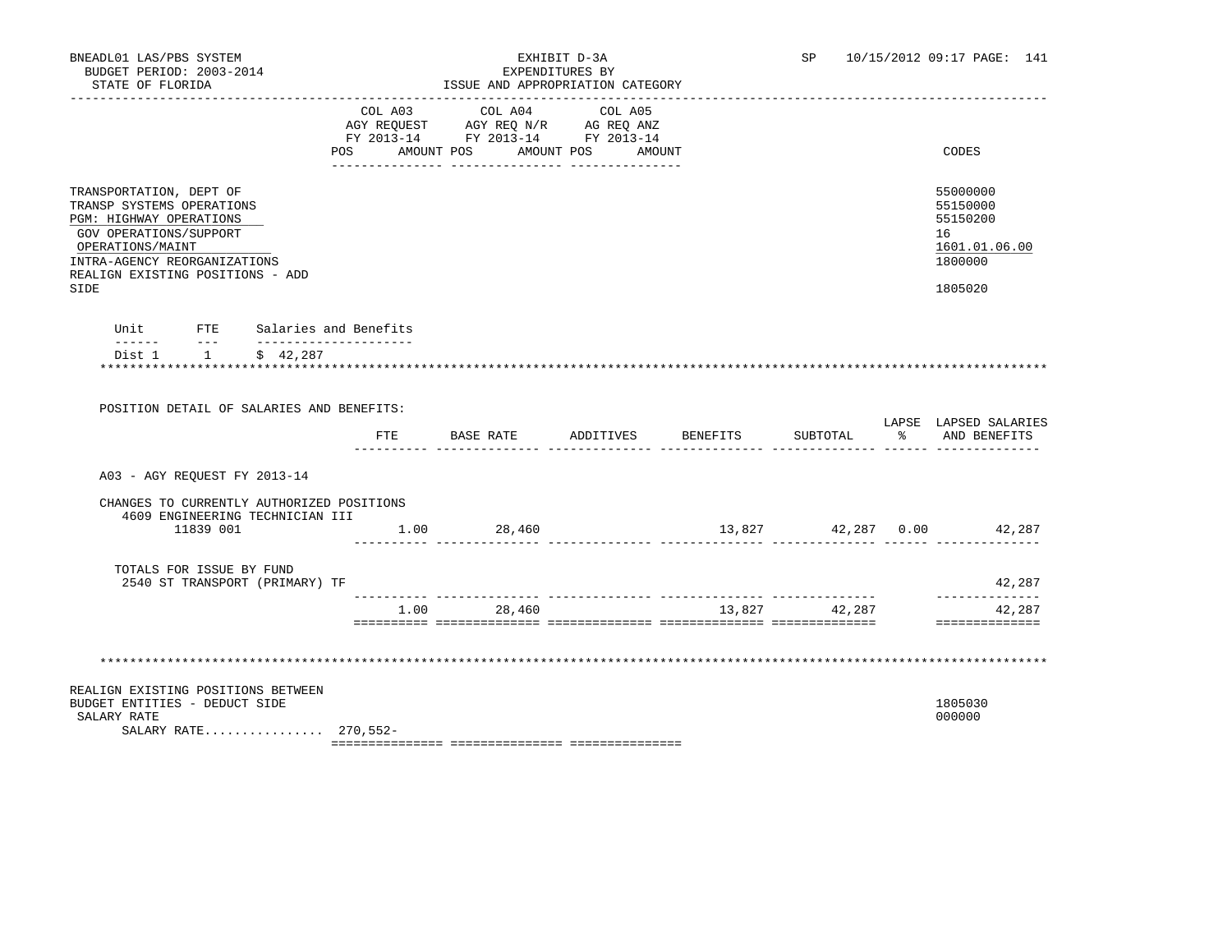|                                                                                                                                                                                                                  |     | COL A03 COL A04 COL A05<br>AGY REQUEST AGY REQ N/R AG REQ ANZ<br>FY 2013-14 FY 2013-14 FY 2013-14<br>POS AMOUNT POS AMOUNT POS AMOUNT |  |               | CODES                                                                         |
|------------------------------------------------------------------------------------------------------------------------------------------------------------------------------------------------------------------|-----|---------------------------------------------------------------------------------------------------------------------------------------|--|---------------|-------------------------------------------------------------------------------|
| TRANSPORTATION, DEPT OF<br>TRANSP SYSTEMS OPERATIONS<br>PGM: HIGHWAY OPERATIONS<br>GOV OPERATIONS/SUPPORT<br>OPERATIONS/MAINT<br>INTRA-AGENCY REORGANIZATIONS<br>REALIGN EXISTING POSITIONS - ADD<br><b>SIDE</b> |     |                                                                                                                                       |  |               | 55000000<br>55150000<br>55150200<br>16<br>1601.01.06.00<br>1800000<br>1805020 |
| Unit FTE Salaries and Benefits                                                                                                                                                                                   |     |                                                                                                                                       |  |               |                                                                               |
| <u> Liberal Maria (m. 19</u><br>_____________________<br>Dist 1 1<br>\$42,287                                                                                                                                    |     |                                                                                                                                       |  |               |                                                                               |
| POSITION DETAIL OF SALARIES AND BENEFITS:                                                                                                                                                                        | FTE | BASE RATE ADDITIVES BENEFITS                                                                                                          |  | SUBTOTAL      | LAPSE LAPSED SALARIES<br>% AND BENEFITS                                       |
| A03 - AGY REOUEST FY 2013-14                                                                                                                                                                                     |     |                                                                                                                                       |  |               |                                                                               |
| CHANGES TO CURRENTLY AUTHORIZED POSITIONS<br>4609 ENGINEERING TECHNICIAN III<br>11839 001                                                                                                                        |     | 1.00 28,460                                                                                                                           |  |               | 13,827 42,287 0.00 42,287                                                     |
| TOTALS FOR ISSUE BY FUND<br>2540 ST TRANSPORT (PRIMARY) TF                                                                                                                                                       |     |                                                                                                                                       |  |               | 42,287<br>-------------                                                       |
|                                                                                                                                                                                                                  |     | 1.00 28,460                                                                                                                           |  | 13,827 42,287 | 42,287<br>_______________                                                     |
|                                                                                                                                                                                                                  |     |                                                                                                                                       |  |               |                                                                               |
|                                                                                                                                                                                                                  |     |                                                                                                                                       |  |               |                                                                               |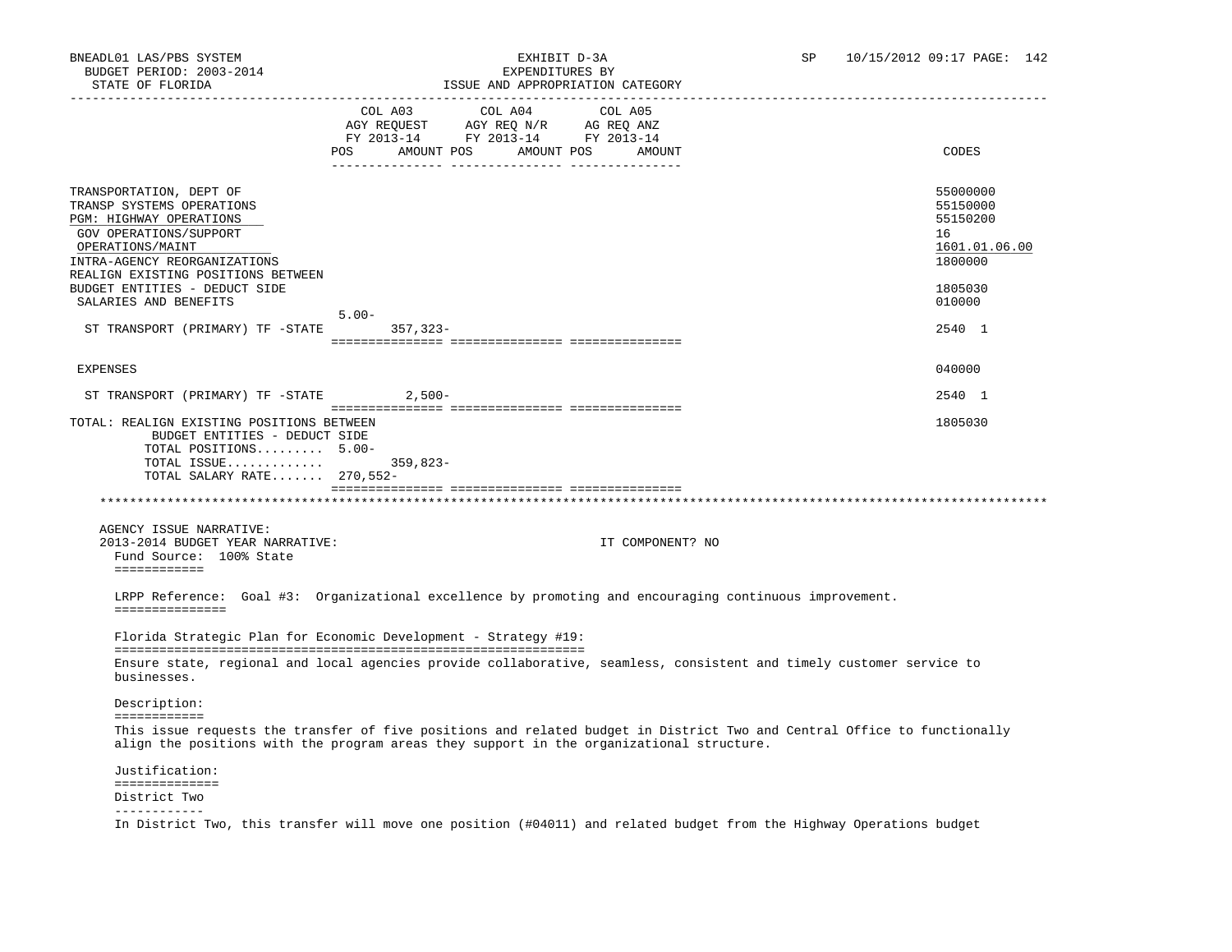# STATE OF FLORIDA ISSUE AND APPROPRIATION CATEGORY

| SIAIL UP PIURIDA                                                                                                                                                                                                                     |                                                                                                             | LOOUL AND APPROPRIATION |                   |                                                                    |
|--------------------------------------------------------------------------------------------------------------------------------------------------------------------------------------------------------------------------------------|-------------------------------------------------------------------------------------------------------------|-------------------------|-------------------|--------------------------------------------------------------------|
|                                                                                                                                                                                                                                      | COL A03 COL A04<br>AGY REQUEST AGY REQ N/R AG REQ ANZ<br>FY 2013-14 FY 2013-14 FY 2013-14<br>POS AMOUNT POS | AMOUNT POS              | COL A05<br>AMOUNT | CODES                                                              |
| TRANSPORTATION, DEPT OF<br>TRANSP SYSTEMS OPERATIONS<br>PGM: HIGHWAY OPERATIONS<br>GOV OPERATIONS/SUPPORT<br>OPERATIONS/MAINT<br>INTRA-AGENCY REORGANIZATIONS<br>REALIGN EXISTING POSITIONS BETWEEN                                  |                                                                                                             |                         |                   | 55000000<br>55150000<br>55150200<br>16<br>1601.01.06.00<br>1800000 |
| BUDGET ENTITIES - DEDUCT SIDE<br>SALARIES AND BENEFITS                                                                                                                                                                               |                                                                                                             |                         |                   | 1805030<br>010000                                                  |
| ST TRANSPORT (PRIMARY) TF -STATE 357,323-                                                                                                                                                                                            | $5.00 -$                                                                                                    |                         |                   | 2540 1                                                             |
| EXPENSES                                                                                                                                                                                                                             |                                                                                                             |                         |                   | 040000                                                             |
| ST TRANSPORT (PRIMARY) TF -STATE 2,500-                                                                                                                                                                                              |                                                                                                             |                         |                   | 2540 1                                                             |
| TOTAL: REALIGN EXISTING POSITIONS BETWEEN<br>BUDGET ENTITIES - DEDUCT SIDE<br>TOTAL POSITIONS 5.00-<br>TOTAL ISSUE 359,823-<br>TOTAL SALARY RATE 270,552-                                                                            |                                                                                                             |                         |                   | 1805030                                                            |
|                                                                                                                                                                                                                                      |                                                                                                             |                         |                   |                                                                    |
| AGENCY ISSUE NARRATIVE:<br>2013-2014 BUDGET YEAR NARRATIVE:<br>Fund Source: 100% State<br>============                                                                                                                               |                                                                                                             |                         | IT COMPONENT? NO  |                                                                    |
| LRPP Reference: Goal #3: Organizational excellence by promoting and encouraging continuous improvement.<br>===============                                                                                                           |                                                                                                             |                         |                   |                                                                    |
| Florida Strategic Plan for Economic Development - Strategy #19:                                                                                                                                                                      |                                                                                                             |                         |                   |                                                                    |
| Ensure state, regional and local agencies provide collaborative, seamless, consistent and timely customer service to<br>businesses.                                                                                                  |                                                                                                             |                         |                   |                                                                    |
| Description:                                                                                                                                                                                                                         |                                                                                                             |                         |                   |                                                                    |
| ============<br>This issue requests the transfer of five positions and related budget in District Two and Central Office to functionally<br>align the positions with the program areas they support in the organizational structure. |                                                                                                             |                         |                   |                                                                    |
| Justification:                                                                                                                                                                                                                       |                                                                                                             |                         |                   |                                                                    |
| ==============<br>District Two<br>-------------                                                                                                                                                                                      |                                                                                                             |                         |                   |                                                                    |

In District Two, this transfer will move one position (#04011) and related budget from the Highway Operations budget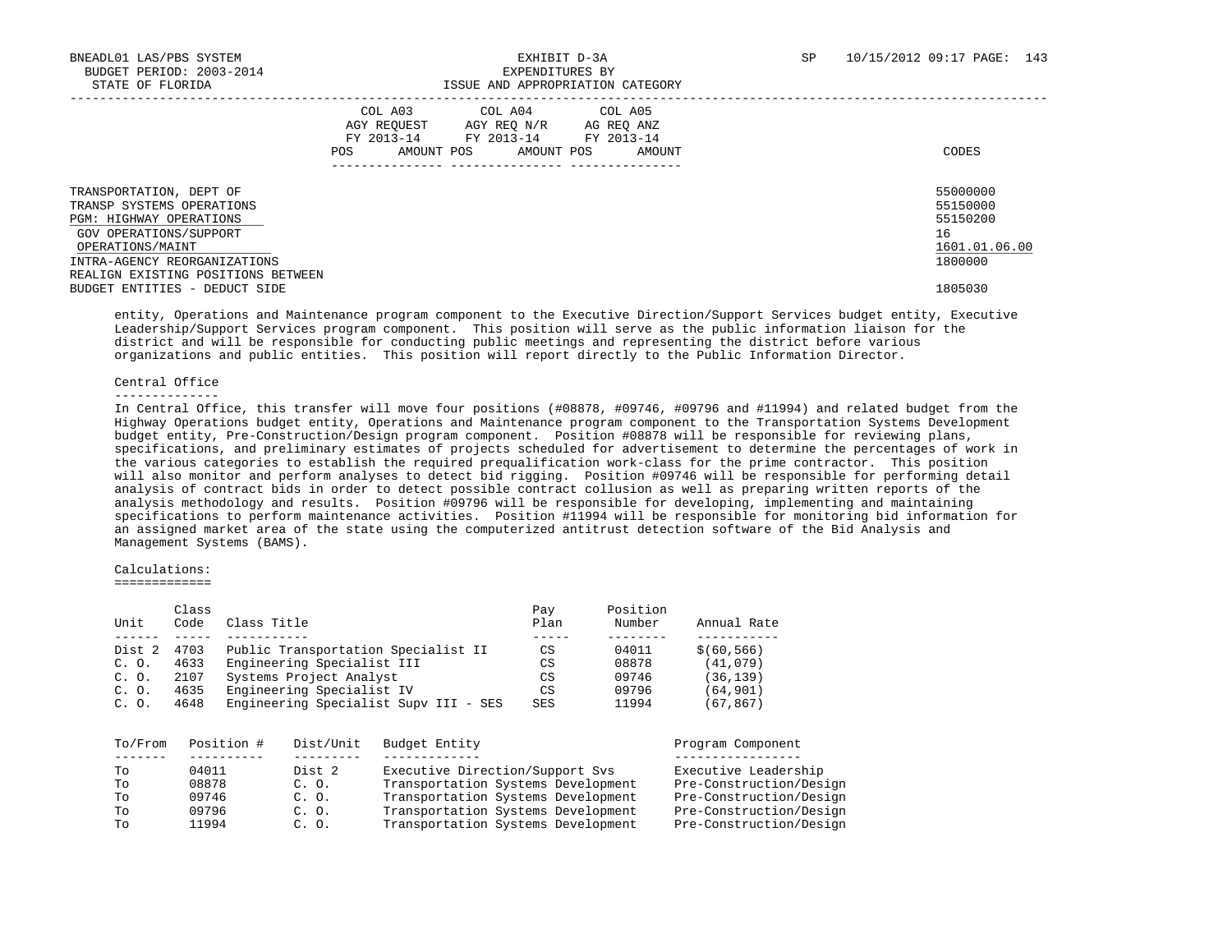|                                                                                                                                                                                                     | COL A03<br>AGY REOUEST<br>FY 2013-14<br>POS.<br>AMOUNT POS | COL A04<br>AGY REO N/R<br>FY 2013-14<br>AMOUNT POS | COL A05<br>AG REQ ANZ<br>FY 2013-14<br>AMOUNT | CODES                                                              |
|-----------------------------------------------------------------------------------------------------------------------------------------------------------------------------------------------------|------------------------------------------------------------|----------------------------------------------------|-----------------------------------------------|--------------------------------------------------------------------|
| TRANSPORTATION, DEPT OF<br>TRANSP SYSTEMS OPERATIONS<br>PGM: HIGHWAY OPERATIONS<br>GOV OPERATIONS/SUPPORT<br>OPERATIONS/MAINT<br>INTRA-AGENCY REORGANIZATIONS<br>REALIGN EXISTING POSITIONS BETWEEN |                                                            |                                                    |                                               | 55000000<br>55150000<br>55150200<br>16<br>1601.01.06.00<br>1800000 |
| BUDGET ENTITIES - DEDUCT SIDE                                                                                                                                                                       |                                                            |                                                    |                                               | 1805030                                                            |

 entity, Operations and Maintenance program component to the Executive Direction/Support Services budget entity, Executive Leadership/Support Services program component. This position will serve as the public information liaison for the district and will be responsible for conducting public meetings and representing the district before various organizations and public entities. This position will report directly to the Public Information Director.

#### Central Office

#### --------------

 In Central Office, this transfer will move four positions (#08878, #09746, #09796 and #11994) and related budget from the Highway Operations budget entity, Operations and Maintenance program component to the Transportation Systems Development budget entity, Pre-Construction/Design program component. Position #08878 will be responsible for reviewing plans, specifications, and preliminary estimates of projects scheduled for advertisement to determine the percentages of work in the various categories to establish the required prequalification work-class for the prime contractor. This position will also monitor and perform analyses to detect bid rigging. Position #09746 will be responsible for performing detail analysis of contract bids in order to detect possible contract collusion as well as preparing written reports of the analysis methodology and results. Position #09796 will be responsible for developing, implementing and maintaining specifications to perform maintenance activities. Position #11994 will be responsible for monitoring bid information for an assigned market area of the state using the computerized antitrust detection software of the Bid Analysis and Management Systems (BAMS).

### Calculations:

=============

|        | Class |                                       | Pay        | Position |              |
|--------|-------|---------------------------------------|------------|----------|--------------|
| Unit   | Code  | Class Title                           | Plan       | Number   | Annual Rate  |
|        |       |                                       |            |          |              |
| Dist 2 | 4703  | Public Transportation Specialist II   | CS         | 04011    | \$ (60, 566) |
| C. O.  | 4633  | Engineering Specialist III            | CS         | 08878    | (41,079)     |
| C. O.  | 2107  | Systems Project Analyst               | CS         | 09746    | (36, 139)    |
| C. O.  | 4635  | Engineering Specialist IV             | CS         | 09796    | (64, 901)    |
| C. O.  | 4648  | Engineering Specialist Supv III - SES | <b>SES</b> | 11994    | (67,867)     |

| Executive Direction/Support Svs<br>Dist 2<br>04011<br>Tо<br>Transportation Systems Development<br>08878<br>Tο<br>C. O.<br>Transportation Systems Development<br>09746<br>C. O.<br>Tо<br>Transportation Systems Development<br>09796<br>TΟ<br>C. O.<br>Transportation Systems Development<br>11994<br>Tо<br>C. O. | Position #<br>To/From |  | Dist/Unit | Budget Entity | Program Component       |
|------------------------------------------------------------------------------------------------------------------------------------------------------------------------------------------------------------------------------------------------------------------------------------------------------------------|-----------------------|--|-----------|---------------|-------------------------|
|                                                                                                                                                                                                                                                                                                                  |                       |  |           |               |                         |
|                                                                                                                                                                                                                                                                                                                  |                       |  |           |               | Executive Leadership    |
|                                                                                                                                                                                                                                                                                                                  |                       |  |           |               | Pre-Construction/Design |
|                                                                                                                                                                                                                                                                                                                  |                       |  |           |               | Pre-Construction/Design |
|                                                                                                                                                                                                                                                                                                                  |                       |  |           |               | Pre-Construction/Design |
|                                                                                                                                                                                                                                                                                                                  |                       |  |           |               | Pre-Construction/Design |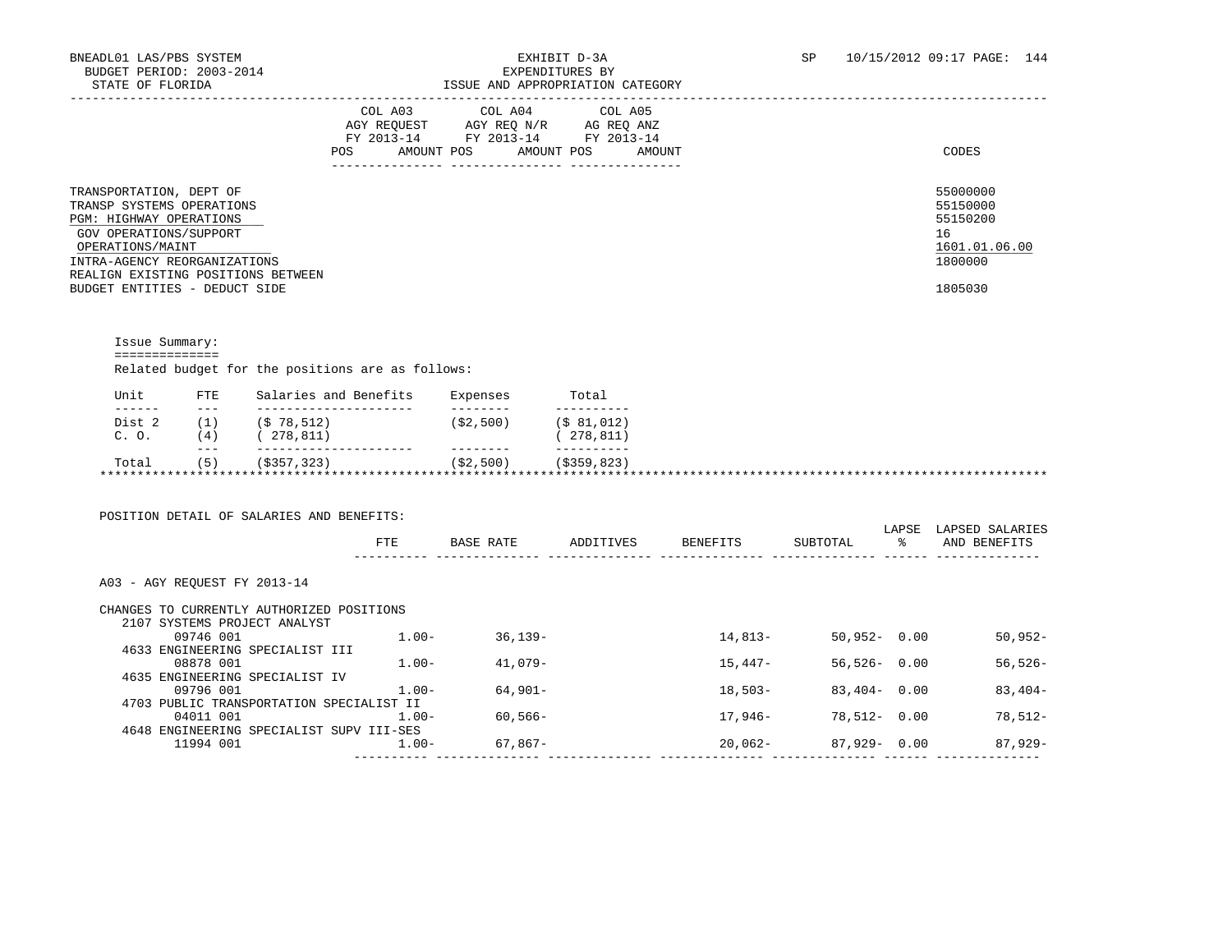## BNEADL01 LAS/PBS SYSTEM EXHIBIT D-3A SP 10/15/2012 09:17 PAGE: 144 ISSUE AND APPROPRIATION CATEGORY

|                                                                                                                                                                                                                                             | COL A03<br>AGY REOUEST<br>FY 2013-14<br>POS<br>AMOUNT POS | COL A04<br>AGY REO N/R<br>FY 2013-14<br>AMOUNT POS<br>-------- ---------------- | COL A05<br>AG REO ANZ<br>FY 2013-14<br>AMOUNT<br>________________ | CODES                                                                         |
|---------------------------------------------------------------------------------------------------------------------------------------------------------------------------------------------------------------------------------------------|-----------------------------------------------------------|---------------------------------------------------------------------------------|-------------------------------------------------------------------|-------------------------------------------------------------------------------|
| TRANSPORTATION, DEPT OF<br>TRANSP SYSTEMS OPERATIONS<br><b>PGM: HIGHWAY OPERATIONS</b><br>GOV OPERATIONS/SUPPORT<br>OPERATIONS/MAINT<br>INTRA-AGENCY REORGANIZATIONS<br>REALIGN EXISTING POSITIONS BETWEEN<br>BUDGET ENTITIES - DEDUCT SIDE |                                                           |                                                                                 |                                                                   | 55000000<br>55150000<br>55150200<br>16<br>1601.01.06.00<br>1800000<br>1805030 |

 Issue Summary: ============== Related budget for the positions are as follows:

| Unit             | <b>FTE</b>   | Salaries and Benefits | Expenses  | Total         |  |
|------------------|--------------|-----------------------|-----------|---------------|--|
| ------<br>Dist 2 | $- - -$      | (S 78.512)            | (S2, 500) | (S 81.012)    |  |
|                  |              |                       |           |               |  |
| C. O.            | $.4^{\circ}$ | 278,811)              |           | 278,811)      |  |
|                  | $- - -$      |                       |           |               |  |
| Total            | 5)           | (S357, 323)           | (S2,500)  | ( \$359, 823) |  |

|                                           | FTE.     | BASE RATE  | ADDITIVES | <b>BENEFITS</b> | SUBTOTAL        | LAPSE<br>ႜ | LAPSED SALARIES<br>AND BENEFITS |
|-------------------------------------------|----------|------------|-----------|-----------------|-----------------|------------|---------------------------------|
|                                           |          |            |           |                 |                 |            |                                 |
| A03 - AGY REOUEST FY 2013-14              |          |            |           |                 |                 |            |                                 |
| CHANGES TO CURRENTLY AUTHORIZED POSITIONS |          |            |           |                 |                 |            |                                 |
| 2107 SYSTEMS PROJECT ANALYST              |          |            |           |                 |                 |            |                                 |
| 09746 001                                 | $1.00 -$ | $36,139-$  |           | 14,813-         | $50,952 - 0.00$ |            | $50,952-$                       |
| 4633 ENGINEERING SPECIALIST III           |          |            |           |                 |                 |            |                                 |
| 08878 001                                 | $1.00 -$ | $41,079-$  |           | $15.447-$       | $56.526 - 0.00$ |            | $56, 526 -$                     |
| 4635 ENGINEERING SPECIALIST IV            |          |            |           |                 |                 |            |                                 |
| 09796 001                                 | $1.00 -$ | $64,901-$  |           | $18,503-$       | $83,404 - 0.00$ |            | $83,404-$                       |
| 4703 PUBLIC TRANSPORTATION SPECIALIST II  |          |            |           |                 |                 |            |                                 |
| 04011 001                                 | $1.00 -$ | $60.566 -$ |           | 17,946–         | $78.512 - 0.00$ |            | 78,512-                         |
| 4648 ENGINEERING SPECIALIST SUPV III-SES  |          |            |           |                 |                 |            |                                 |
|                                           |          | 67,867-    |           | $20,062-$       | $87,929 - 0.00$ |            | 87,929-                         |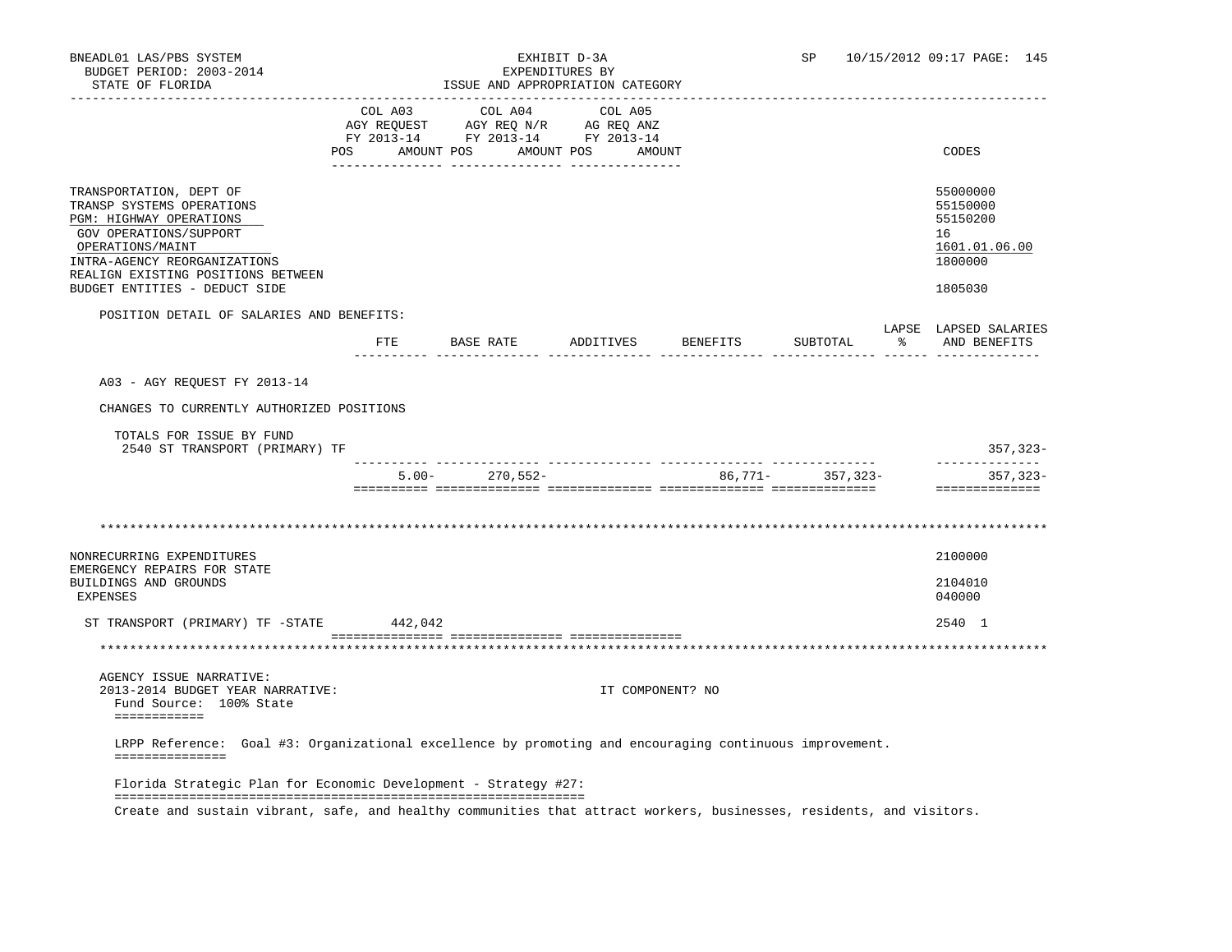| BNEADL01 LAS/PBS SYSTEM<br>BUDGET PERIOD: 2003-2014<br>STATE OF FLORIDA                                                                                                                                                              |                | ISSUE AND APPROPRIATION CATEGORY                                                                                                                                                                                             | EXHIBIT D-3A<br>EXPENDITURES BY | SP               | 10/15/2012 09:17 PAGE: 145                                                    |
|--------------------------------------------------------------------------------------------------------------------------------------------------------------------------------------------------------------------------------------|----------------|------------------------------------------------------------------------------------------------------------------------------------------------------------------------------------------------------------------------------|---------------------------------|------------------|-------------------------------------------------------------------------------|
|                                                                                                                                                                                                                                      | POS AMOUNT POS | COL A03 COL A04 COL A05<br>$\begin{tabular}{lllllll} \bf AGY \;\; RegUEST & \tt AGY \;\; REG \;\; N/R & \tt AG \;\; REG \;\; ANZ \\ \hline \tt FY \;\; 2013-14 & \tt FY \;\; 2013-14 & \tt FY \;\; 2013-14 \\ \end{tabular}$ | AMOUNT POS AMOUNT               |                  | CODES                                                                         |
| TRANSPORTATION, DEPT OF<br>TRANSP SYSTEMS OPERATIONS<br>PGM: HIGHWAY OPERATIONS<br>GOV OPERATIONS/SUPPORT<br>OPERATIONS/MAINT<br>INTRA-AGENCY REORGANIZATIONS<br>REALIGN EXISTING POSITIONS BETWEEN<br>BUDGET ENTITIES - DEDUCT SIDE |                |                                                                                                                                                                                                                              |                                 |                  | 55000000<br>55150000<br>55150200<br>16<br>1601.01.06.00<br>1800000<br>1805030 |
| POSITION DETAIL OF SALARIES AND BENEFITS:                                                                                                                                                                                            |                |                                                                                                                                                                                                                              |                                 |                  | LAPSE LAPSED SALARIES                                                         |
|                                                                                                                                                                                                                                      |                | FTE BASE RATE                                                                                                                                                                                                                | ADDITIVES BENEFITS              | SUBTOTAL         | % AND BENEFITS                                                                |
| A03 - AGY REOUEST FY 2013-14<br>CHANGES TO CURRENTLY AUTHORIZED POSITIONS                                                                                                                                                            |                |                                                                                                                                                                                                                              |                                 |                  |                                                                               |
| TOTALS FOR ISSUE BY FUND<br>2540 ST TRANSPORT (PRIMARY) TF                                                                                                                                                                           |                |                                                                                                                                                                                                                              |                                 |                  | 357,323-                                                                      |
|                                                                                                                                                                                                                                      |                | $5.00 - 270,552 -$                                                                                                                                                                                                           |                                 | 86,771- 357,323- | --------------<br>357,323-<br>==============                                  |
|                                                                                                                                                                                                                                      |                |                                                                                                                                                                                                                              |                                 |                  |                                                                               |
| NONRECURRING EXPENDITURES                                                                                                                                                                                                            |                |                                                                                                                                                                                                                              |                                 |                  | 2100000                                                                       |
| EMERGENCY REPAIRS FOR STATE<br>BUILDINGS AND GROUNDS<br>EXPENSES                                                                                                                                                                     |                |                                                                                                                                                                                                                              |                                 |                  | 2104010<br>040000                                                             |
| ST TRANSPORT (PRIMARY) TF -STATE                                                                                                                                                                                                     | 442,042        |                                                                                                                                                                                                                              |                                 |                  | 2540 1                                                                        |
|                                                                                                                                                                                                                                      |                |                                                                                                                                                                                                                              |                                 |                  |                                                                               |
| AGENCY ISSUE NARRATIVE:<br>2013-2014 BUDGET YEAR NARRATIVE:<br>Fund Source: 100% State<br>============                                                                                                                               |                |                                                                                                                                                                                                                              | IT COMPONENT? NO                |                  |                                                                               |
| LRPP Reference: Goal #3: Organizational excellence by promoting and encouraging continuous improvement.<br>===============                                                                                                           |                |                                                                                                                                                                                                                              |                                 |                  |                                                                               |
| Florida Strategic Plan for Economic Development - Strategy #27:                                                                                                                                                                      |                |                                                                                                                                                                                                                              |                                 |                  |                                                                               |
| Create and sustain vibrant, safe, and healthy communities that attract workers, businesses, residents, and visitors.                                                                                                                 |                |                                                                                                                                                                                                                              |                                 |                  |                                                                               |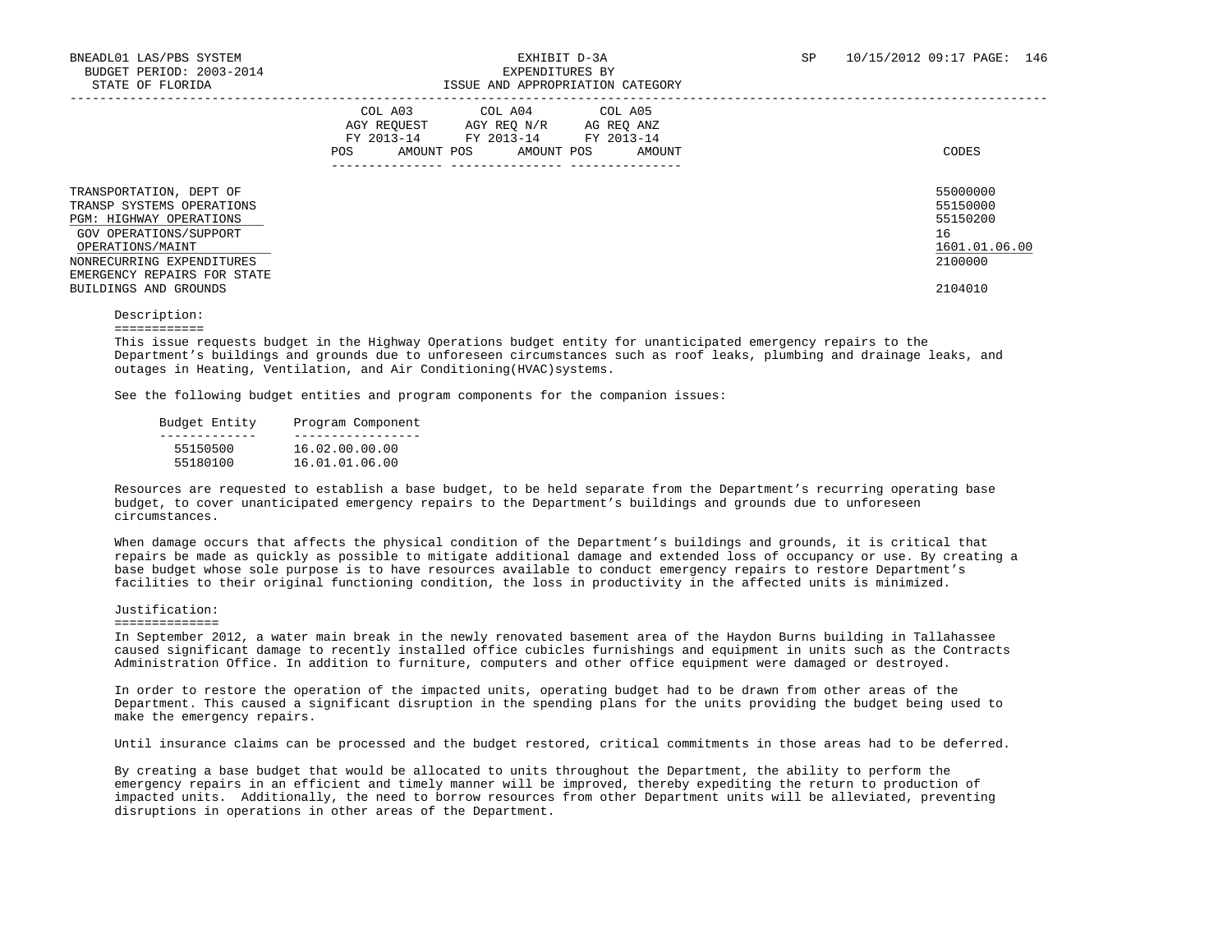|                                                                                                                                                                                                                    | COL A04<br>COL A03<br>COL A05<br>AGY REO N/R<br>AGY REOUEST<br>AG REQ ANZ<br>FY 2013-14<br>FY 2013-14<br>FY 2013-14<br>AMOUNT POS<br>AMOUNT POS<br>POS<br>AMOUNT<br>------------- ---------------- | CODES                                                                         |
|--------------------------------------------------------------------------------------------------------------------------------------------------------------------------------------------------------------------|----------------------------------------------------------------------------------------------------------------------------------------------------------------------------------------------------|-------------------------------------------------------------------------------|
| TRANSPORTATION, DEPT OF<br>TRANSP SYSTEMS OPERATIONS<br>PGM: HIGHWAY OPERATIONS<br>GOV OPERATIONS/SUPPORT<br>OPERATIONS/MAINT<br>NONRECURRING EXPENDITURES<br>EMERGENCY REPAIRS FOR STATE<br>BUILDINGS AND GROUNDS |                                                                                                                                                                                                    | 55000000<br>55150000<br>55150200<br>16<br>1601.01.06.00<br>2100000<br>2104010 |

 Description: ============

 This issue requests budget in the Highway Operations budget entity for unanticipated emergency repairs to the Department's buildings and grounds due to unforeseen circumstances such as roof leaks, plumbing and drainage leaks, and outages in Heating, Ventilation, and Air Conditioning(HVAC)systems.

See the following budget entities and program components for the companion issues:

| Budget Entity | Program Component |
|---------------|-------------------|
|               |                   |
| 55150500      | 16.02.00.00.00    |
| 55180100      | 16.01.01.06.00    |

 Resources are requested to establish a base budget, to be held separate from the Department's recurring operating base budget, to cover unanticipated emergency repairs to the Department's buildings and grounds due to unforeseen circumstances.

 When damage occurs that affects the physical condition of the Department's buildings and grounds, it is critical that repairs be made as quickly as possible to mitigate additional damage and extended loss of occupancy or use. By creating a base budget whose sole purpose is to have resources available to conduct emergency repairs to restore Department's facilities to their original functioning condition, the loss in productivity in the affected units is minimized.

### Justification:

### ==============

 In September 2012, a water main break in the newly renovated basement area of the Haydon Burns building in Tallahassee caused significant damage to recently installed office cubicles furnishings and equipment in units such as the Contracts Administration Office. In addition to furniture, computers and other office equipment were damaged or destroyed.

 In order to restore the operation of the impacted units, operating budget had to be drawn from other areas of the Department. This caused a significant disruption in the spending plans for the units providing the budget being used to make the emergency repairs.

Until insurance claims can be processed and the budget restored, critical commitments in those areas had to be deferred.

 By creating a base budget that would be allocated to units throughout the Department, the ability to perform the emergency repairs in an efficient and timely manner will be improved, thereby expediting the return to production of impacted units. Additionally, the need to borrow resources from other Department units will be alleviated, preventing disruptions in operations in other areas of the Department.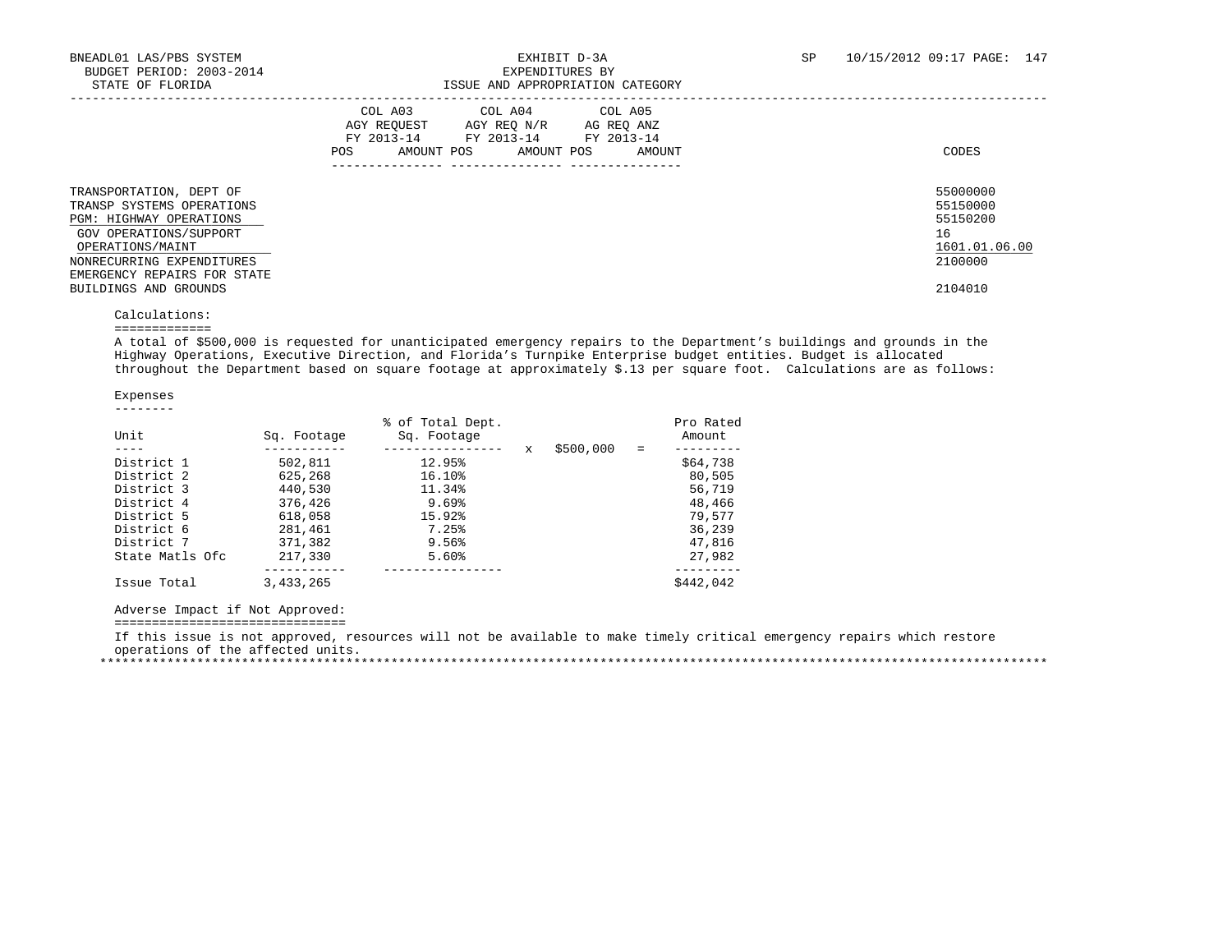| $0.11111$ $0.1$ $1.001$                                                                                                                                                                                            | tuudi muu mittuutiintiva amituuti                                                                                                                                |                                                                               |
|--------------------------------------------------------------------------------------------------------------------------------------------------------------------------------------------------------------------|------------------------------------------------------------------------------------------------------------------------------------------------------------------|-------------------------------------------------------------------------------|
|                                                                                                                                                                                                                    | COL A03<br>COL A04<br>COL A05<br>AGY REOUEST<br>AGY REO N/R<br>AG REO ANZ<br>FY 2013-14<br>FY 2013-14<br>FY 2013-14<br>AMOUNT POS<br>AMOUNT POS<br>POS<br>AMOUNT | CODES                                                                         |
| TRANSPORTATION, DEPT OF<br>TRANSP SYSTEMS OPERATIONS<br>PGM: HIGHWAY OPERATIONS<br>GOV OPERATIONS/SUPPORT<br>OPERATIONS/MAINT<br>NONRECURRING EXPENDITURES<br>EMERGENCY REPAIRS FOR STATE<br>BUILDINGS AND GROUNDS |                                                                                                                                                                  | 55000000<br>55150000<br>55150200<br>16<br>1601.01.06.00<br>2100000<br>2104010 |
| Calculations:                                                                                                                                                                                                      |                                                                                                                                                                  |                                                                               |

=============

 A total of \$500,000 is requested for unanticipated emergency repairs to the Department's buildings and grounds in the Highway Operations, Executive Direction, and Florida's Turnpike Enterprise budget entities. Budget is allocated throughout the Department based on square footage at approximately \$.13 per square foot. Calculations are as follows:

 Expenses --------

| Unit            | Sq. Footage | % of Total Dept.<br>Sq. Footage |   |           | $=$ | Pro Rated<br>Amount |
|-----------------|-------------|---------------------------------|---|-----------|-----|---------------------|
| District 1      | 502,811     | 12.95%                          | X | \$500,000 |     | \$64,738            |
| District 2      | 625,268     | 16.10%                          |   |           |     | 80,505              |
| District 3      | 440,530     | 11.34%                          |   |           |     | 56,719              |
| District 4      | 376,426     | 9.69%                           |   |           |     | 48,466              |
| District 5      | 618,058     | 15.92%                          |   |           |     | 79,577              |
| District 6      | 281,461     | 7.25%                           |   |           |     | 36,239              |
| District 7      | 371,382     | 9.56%                           |   |           |     | 47,816              |
| State Matls Ofc | 217,330     | 5.60%                           |   |           |     | 27,982              |
| Issue Total     | 3,433,265   |                                 |   |           |     | \$442,042           |

Adverse Impact if Not Approved:

===============================

 If this issue is not approved, resources will not be available to make timely critical emergency repairs which restore operations of the affected units. \*\*\*\*\*\*\*\*\*\*\*\*\*\*\*\*\*\*\*\*\*\*\*\*\*\*\*\*\*\*\*\*\*\*\*\*\*\*\*\*\*\*\*\*\*\*\*\*\*\*\*\*\*\*\*\*\*\*\*\*\*\*\*\*\*\*\*\*\*\*\*\*\*\*\*\*\*\*\*\*\*\*\*\*\*\*\*\*\*\*\*\*\*\*\*\*\*\*\*\*\*\*\*\*\*\*\*\*\*\*\*\*\*\*\*\*\*\*\*\*\*\*\*\*\*\*\*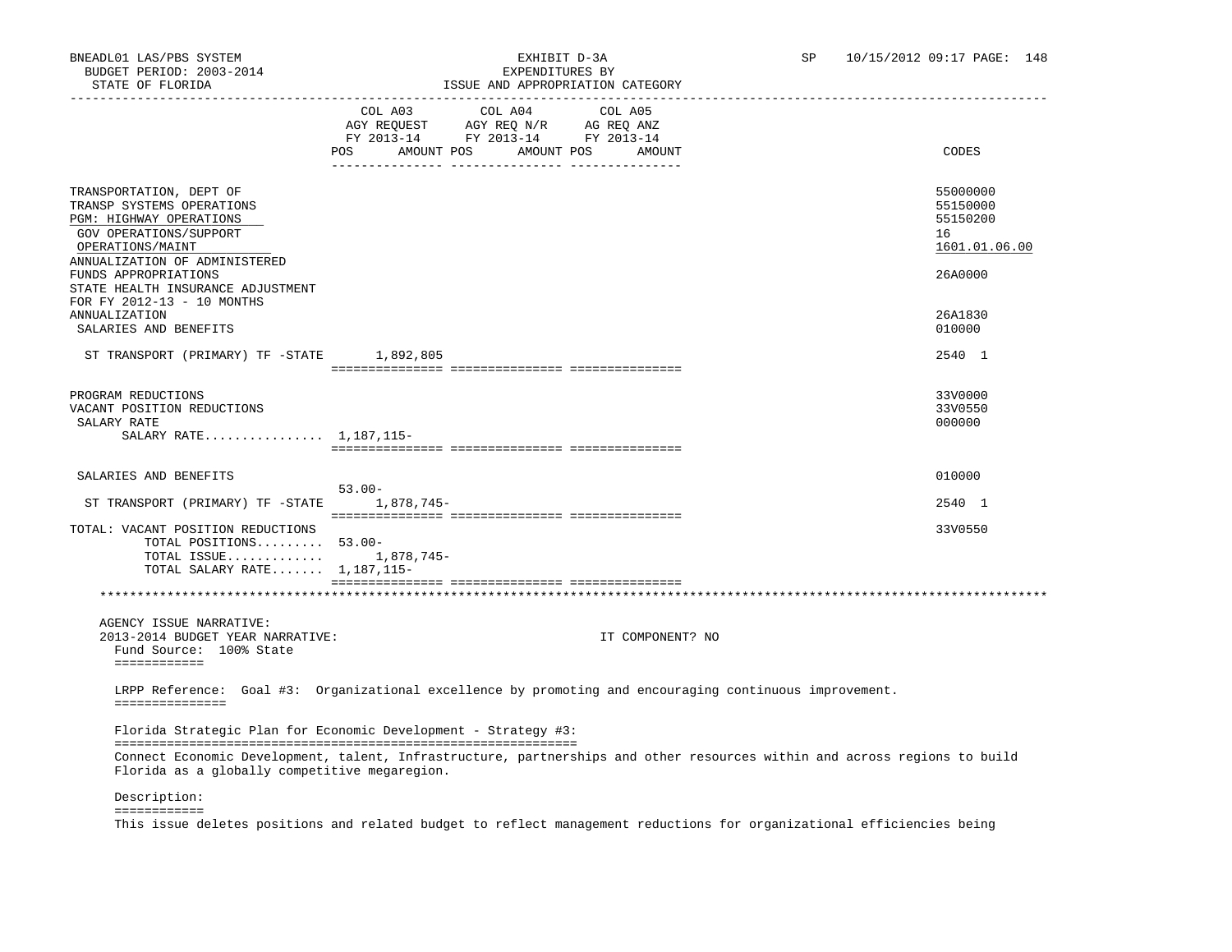|                                                                                                                                                                           | TODOD AND ALLIOLICIALION                                                                                                                                                                                                                                            |                                                         |
|---------------------------------------------------------------------------------------------------------------------------------------------------------------------------|---------------------------------------------------------------------------------------------------------------------------------------------------------------------------------------------------------------------------------------------------------------------|---------------------------------------------------------|
|                                                                                                                                                                           | COL A03 COL A04<br>COL A05<br>$\begin{tabular}{lllllll} \bf AGY \,\, REQUEST \,\, &\bf AGY \,\, REQ \,\, N/R &\bf AG \,\, REQ \,\, ANZ \\ \bf FY \,\, 2013-14 &\bf FY \,\, 2013-14 &\bf FY \,\, 2013-14 \\ \end{tabular}$<br>POS<br>AMOUNT POS AMOUNT POS<br>AMOUNT | CODES                                                   |
| TRANSPORTATION, DEPT OF<br>TRANSP SYSTEMS OPERATIONS<br>PGM: HIGHWAY OPERATIONS<br>GOV OPERATIONS/SUPPORT<br>OPERATIONS/MAINT                                             |                                                                                                                                                                                                                                                                     | 55000000<br>55150000<br>55150200<br>16<br>1601.01.06.00 |
| ANNUALIZATION OF ADMINISTERED<br>FUNDS APPROPRIATIONS<br>STATE HEALTH INSURANCE ADJUSTMENT<br>FOR FY 2012-13 - 10 MONTHS<br><b>ANNUALIZATION</b><br>SALARIES AND BENEFITS |                                                                                                                                                                                                                                                                     | 26A0000<br>26A1830<br>010000                            |
| ST TRANSPORT (PRIMARY) TF -STATE 1,892,805                                                                                                                                |                                                                                                                                                                                                                                                                     | 2540 1                                                  |
| PROGRAM REDUCTIONS<br>VACANT POSITION REDUCTIONS<br>SALARY RATE<br>SALARY RATE 1,187,115-                                                                                 |                                                                                                                                                                                                                                                                     | 33V0000<br>33V0550<br>000000                            |
|                                                                                                                                                                           |                                                                                                                                                                                                                                                                     |                                                         |
| SALARIES AND BENEFITS                                                                                                                                                     | $53.00 -$                                                                                                                                                                                                                                                           | 010000                                                  |
| ST TRANSPORT (PRIMARY) TF -STATE 1,878,745-                                                                                                                               |                                                                                                                                                                                                                                                                     | 2540 1                                                  |
| TOTAL: VACANT POSITION REDUCTIONS<br>TOTAL POSITIONS 53.00-<br>TOTAL ISSUE 1,878,745-<br>TOTAL SALARY RATE $1,187,115-$                                                   |                                                                                                                                                                                                                                                                     | 33V0550                                                 |
|                                                                                                                                                                           |                                                                                                                                                                                                                                                                     |                                                         |
| AGENCY ISSUE NARRATIVE:<br>2013-2014 BUDGET YEAR NARRATIVE:<br>Fund Source: 100% State<br>============                                                                    | IT COMPONENT? NO                                                                                                                                                                                                                                                    |                                                         |
| ===============                                                                                                                                                           | LRPP Reference: Goal #3: Organizational excellence by promoting and encouraging continuous improvement.                                                                                                                                                             |                                                         |
| Florida as a globally competitive megaregion.                                                                                                                             | Florida Strategic Plan for Economic Development - Strategy #3:<br>Connect Economic Development, talent, Infrastructure, partnerships and other resources within and across regions to build                                                                         |                                                         |

Description:

============

This issue deletes positions and related budget to reflect management reductions for organizational efficiencies being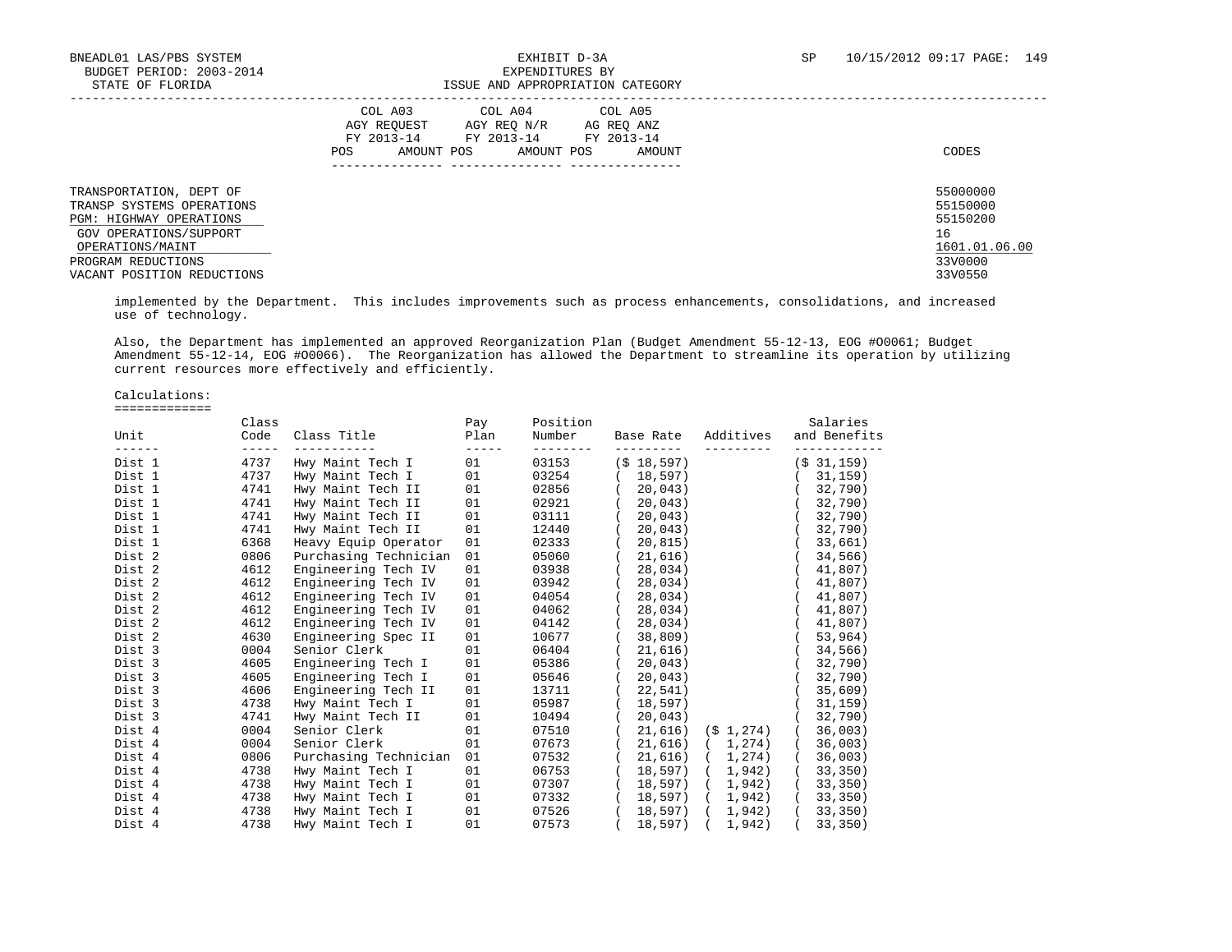### BNEADL01 LAS/PBS SYSTEM  $\,$  EXHIBIT D-3A SP 10/15/2012 09:17 PAGE: 149 ISSUE AND APPROPRIATION CATEGORY

|                                                                                                                                      | COL A03<br>COL A04<br>COL A05<br>AGY REOUEST<br>AGY REO N/R<br>AG REO ANZ<br>FY 2013-14<br>FY 2013-14<br>FY 2013-14<br>POS<br>AMOUNT POS<br>AMOUNT POS<br>AMOUNT | CODES                                                   |
|--------------------------------------------------------------------------------------------------------------------------------------|------------------------------------------------------------------------------------------------------------------------------------------------------------------|---------------------------------------------------------|
| TRANSPORTATION, DEPT OF<br>TRANSP SYSTEMS OPERATIONS<br><b>PGM: HIGHWAY OPERATIONS</b><br>GOV OPERATIONS/SUPPORT<br>OPERATIONS/MAINT |                                                                                                                                                                  | 55000000<br>55150000<br>55150200<br>16<br>1601.01.06.00 |
| PROGRAM REDUCTIONS<br>VACANT POSITION REDUCTIONS                                                                                     |                                                                                                                                                                  | 33V0000<br>33V0550                                      |

 implemented by the Department. This includes improvements such as process enhancements, consolidations, and increased use of technology.

 Also, the Department has implemented an approved Reorganization Plan (Budget Amendment 55-12-13, EOG #O0061; Budget Amendment 55-12-14, EOG #O0066). The Reorganization has allowed the Department to streamline its operation by utilizing current resources more effectively and efficiently.

Calculations:

=============

| Unit<br>$\frac{1}{2} \left( \frac{1}{2} \right) \left( \frac{1}{2} \right) \left( \frac{1}{2} \right) \left( \frac{1}{2} \right) \left( \frac{1}{2} \right) \left( \frac{1}{2} \right) \left( \frac{1}{2} \right) \left( \frac{1}{2} \right) \left( \frac{1}{2} \right) \left( \frac{1}{2} \right) \left( \frac{1}{2} \right) \left( \frac{1}{2} \right) \left( \frac{1}{2} \right) \left( \frac{1}{2} \right) \left( \frac{1}{2} \right) \left( \frac{1}{2} \right) \left( \frac$ | Class<br>Code<br>$\frac{1}{2}$ | Class Title           | Pay<br>Plan<br>$- - - - - -$ | Position<br>Number | Base Rate<br>---------- | Additives<br>---------- | Salaries<br>and Benefits        |
|------------------------------------------------------------------------------------------------------------------------------------------------------------------------------------------------------------------------------------------------------------------------------------------------------------------------------------------------------------------------------------------------------------------------------------------------------------------------------------|--------------------------------|-----------------------|------------------------------|--------------------|-------------------------|-------------------------|---------------------------------|
| Dist 1                                                                                                                                                                                                                                                                                                                                                                                                                                                                             | 4737                           | Hwy Maint Tech I      | 01                           | 03153              | $(S$ 18,597)            |                         | (S <sub>31,159</sub> )          |
| Dist 1                                                                                                                                                                                                                                                                                                                                                                                                                                                                             | 4737                           | Hwy Maint Tech I      | 01                           | 03254              | 18,597)<br>$\left($     |                         | (31, 159)                       |
| Dist 1                                                                                                                                                                                                                                                                                                                                                                                                                                                                             | 4741                           | Hwy Maint Tech II     | 01                           | 02856              | 20,043)                 |                         | (32, 790)                       |
| Dist 1                                                                                                                                                                                                                                                                                                                                                                                                                                                                             | 4741                           | Hwy Maint Tech II     | 01                           | 02921              | (20, 043)               |                         | (32, 790)                       |
| Dist 1                                                                                                                                                                                                                                                                                                                                                                                                                                                                             | 4741                           | Hwy Maint Tech II     | 01                           | 03111              | (20, 043)               |                         | (32, 790)                       |
| Dist 1                                                                                                                                                                                                                                                                                                                                                                                                                                                                             | 4741                           | Hwy Maint Tech II     | 01                           | 12440              | 20,043)                 |                         | (32, 790)                       |
| Dist 1                                                                                                                                                                                                                                                                                                                                                                                                                                                                             | 6368                           | Heavy Equip Operator  | 01                           | 02333              | 20,815)                 |                         | (33,661)                        |
| Dist 2                                                                                                                                                                                                                                                                                                                                                                                                                                                                             | 0806                           | Purchasing Technician | 01 01                        | 05060              | 21,616)                 |                         | (34, 566)                       |
| Dist 2                                                                                                                                                                                                                                                                                                                                                                                                                                                                             | 4612                           | Engineering Tech IV   | 01                           | 03938              | 28,034)                 |                         | (41,807)                        |
| Dist 2                                                                                                                                                                                                                                                                                                                                                                                                                                                                             | 4612                           | Engineering Tech IV   | 01                           | 03942              | 28,034)                 |                         | (41,807)                        |
| Dist 2                                                                                                                                                                                                                                                                                                                                                                                                                                                                             | 4612                           | Engineering Tech IV   | 01                           | 04054              | 28,034)                 |                         | (41,807)                        |
| Dist 2                                                                                                                                                                                                                                                                                                                                                                                                                                                                             | 4612                           | Engineering Tech IV   | 01                           | 04062              | 28,034)                 |                         | (41,807)                        |
| Dist 2                                                                                                                                                                                                                                                                                                                                                                                                                                                                             | 4612                           | Engineering Tech IV   | 01                           | 04142              | 28,034)<br>$\sqrt{2}$   |                         | (41,807)                        |
| Dist 2                                                                                                                                                                                                                                                                                                                                                                                                                                                                             | 4630                           | Engineering Spec II   | 01                           | 10677              | 38,809)                 |                         | (53, 964)                       |
| Dist 3                                                                                                                                                                                                                                                                                                                                                                                                                                                                             | 0004                           | Senior Clerk          | 01                           | 06404              | 21,616)                 |                         | (34, 566)                       |
| Dist 3                                                                                                                                                                                                                                                                                                                                                                                                                                                                             | 4605                           | Engineering Tech I    | 01                           | 05386              | 20,043)                 |                         | 32,790)                         |
| Dist 3                                                                                                                                                                                                                                                                                                                                                                                                                                                                             | 4605                           | Engineering Tech I    | 01                           | 05646              | 20,043)                 |                         | (32, 790)                       |
| Dist 3                                                                                                                                                                                                                                                                                                                                                                                                                                                                             | 4606                           | Engineering Tech II   | 01                           | 13711              | 22,541)                 |                         | (35,609)                        |
| Dist 3                                                                                                                                                                                                                                                                                                                                                                                                                                                                             | 4738                           | Hwy Maint Tech I      | 01                           | 05987              | 18,597)                 |                         | (31, 159)                       |
| Dist 3                                                                                                                                                                                                                                                                                                                                                                                                                                                                             | 4741                           | Hwy Maint Tech II     | 01                           | 10494              | 20.043)                 |                         | (32, 790)                       |
| Dist 4                                                                                                                                                                                                                                                                                                                                                                                                                                                                             | 0004                           | Senior Clerk          | 01                           | 07510              | 21,616)                 | $(S_1, 274)$            | (36,003)                        |
| Dist 4                                                                                                                                                                                                                                                                                                                                                                                                                                                                             | 0004                           | Senior Clerk          | 01                           | 07673              |                         | 21,616) ( 1,274)        | (36,003)                        |
| Dist 4                                                                                                                                                                                                                                                                                                                                                                                                                                                                             | 0806                           | Purchasing Technician | 01                           | 07532              |                         |                         | 21,616) ( 1,274) ( 36,003)      |
| Dist 4                                                                                                                                                                                                                                                                                                                                                                                                                                                                             | 4738                           | Hwy Maint Tech I      | 01                           | 06753              |                         |                         | 18,597) ( 1,942) ( 33,350)      |
| Dist 4                                                                                                                                                                                                                                                                                                                                                                                                                                                                             | 4738                           | Hwy Maint Tech I      | 01                           | 07307              | 18,597) (               | 1,942)                  | (33, 350)                       |
| Dist 4                                                                                                                                                                                                                                                                                                                                                                                                                                                                             | 4738                           | Hwy Maint Tech I      | 01                           | 07332              | 18,597) (               | 1,942)                  | (33, 350)                       |
| Dist 4                                                                                                                                                                                                                                                                                                                                                                                                                                                                             | 4738                           | Hwy Maint Tech I      | 01                           | 07526              |                         | 18,597) ( 1,942)        | (33, 350)                       |
| Dist 4                                                                                                                                                                                                                                                                                                                                                                                                                                                                             | 4738                           | Hwy Maint Tech I      | 01                           | 07573              |                         |                         | $(18,597)$ $(1,942)$ $(33,350)$ |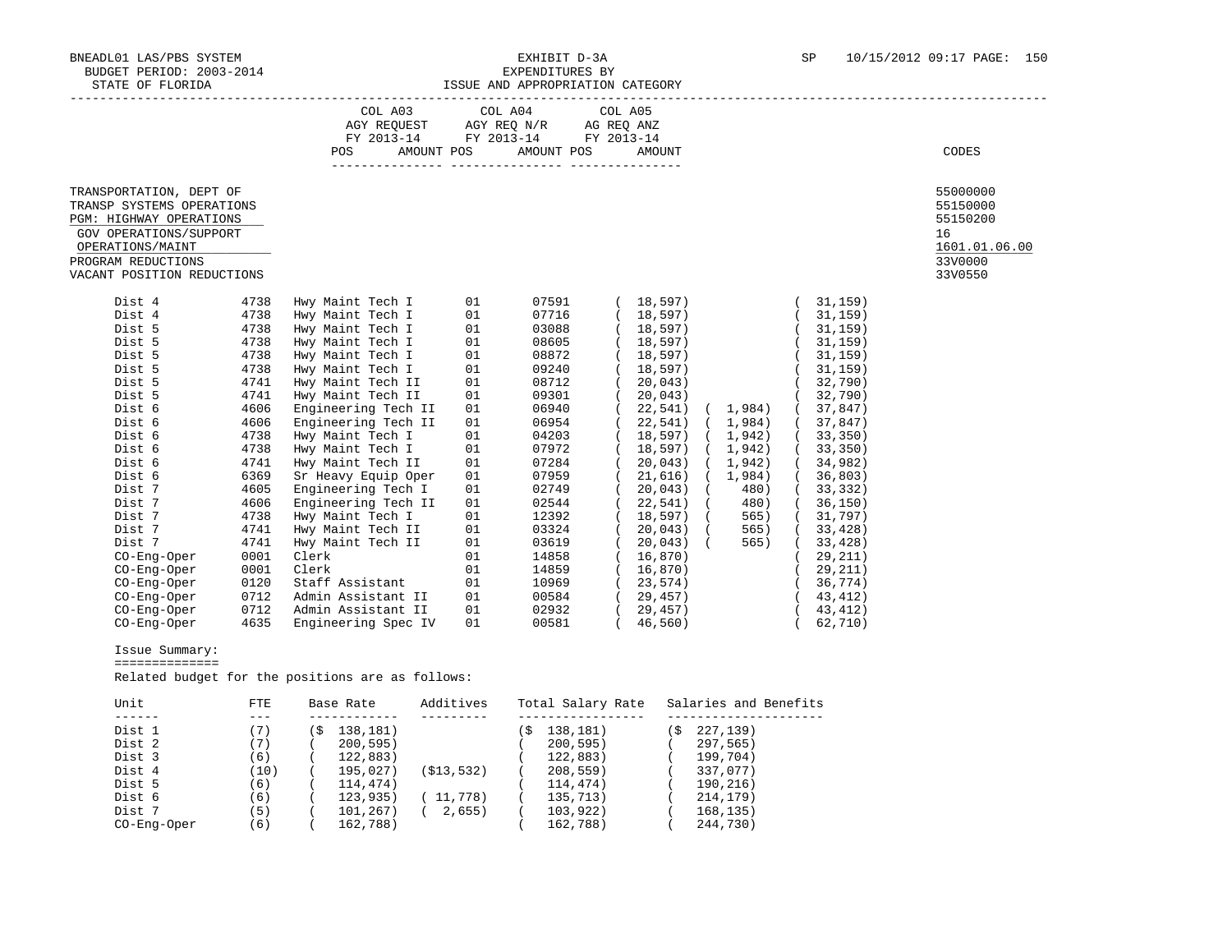### BNEADL01 LAS/PBS SYSTEM EXHIBIT D-3A SP 10/15/2012 09:17 PAGE: 150 ISSUE AND APPROPRIATION CATEGORY

|                                                      |      | COL A03                            |    | COL A04    | COL A05    |                  |          |           |                      |
|------------------------------------------------------|------|------------------------------------|----|------------|------------|------------------|----------|-----------|----------------------|
|                                                      |      | AGY REQUEST AGY REQ N/R AG REQ ANZ |    |            |            |                  |          |           |                      |
|                                                      |      | FY 2013-14 FY 2013-14              |    |            | FY 2013-14 |                  |          |           |                      |
|                                                      |      | AMOUNT POS<br>POS                  |    | AMOUNT POS |            | AMOUNT           |          |           | CODES                |
|                                                      |      |                                    |    |            |            |                  |          |           |                      |
| TRANSPORTATION, DEPT OF                              |      |                                    |    |            |            |                  |          |           | 55000000             |
| TRANSP SYSTEMS OPERATIONS<br>PGM: HIGHWAY OPERATIONS |      |                                    |    |            |            |                  |          |           | 55150000<br>55150200 |
| GOV OPERATIONS/SUPPORT                               |      |                                    |    |            |            |                  |          |           | 16                   |
| OPERATIONS/MAINT                                     |      |                                    |    |            |            |                  |          |           | 1601.01.06.00        |
| PROGRAM REDUCTIONS                                   |      |                                    |    |            |            |                  |          |           | 33V0000              |
| VACANT POSITION REDUCTIONS                           |      |                                    |    |            |            |                  |          |           | 33V0550              |
|                                                      |      |                                    |    |            |            |                  |          |           |                      |
| Dist 4                                               | 4738 | Hwy Maint Tech I                   | 01 | 07591      |            | 18,597)          |          | 31,159)   |                      |
| Dist 4                                               | 4738 | Hwy Maint Tech I                   | 01 | 07716      |            | 18,597)          |          | (31, 159) |                      |
| Dist 5                                               | 4738 | Hwy Maint Tech I                   | 01 | 03088      |            | (18, 597)        |          | (31, 159) |                      |
| Dist 5                                               | 4738 | Hwy Maint Tech I                   | 01 | 08605      |            | (18, 597)        |          | (31, 159) |                      |
| Dist 5                                               | 4738 | Hwy Maint Tech I                   | 01 | 08872      |            | 18,597)          |          | (31, 159) |                      |
| Dist 5                                               | 4738 | Hwy Maint Tech I                   | 01 | 09240      |            | 18,597)          |          | 31,159)   |                      |
| Dist 5                                               | 4741 | Hwy Maint Tech II                  | 01 | 08712      |            | 20,043)          |          | (32, 790) |                      |
| Dist 5                                               | 4741 | Hwy Maint Tech II                  | 01 | 09301      |            | 20,043)          |          | (32, 790) |                      |
| Dist 6                                               | 4606 | Engineering Tech II                | 01 | 06940      |            | 22,541) ( 1,984) |          | (37,847)  |                      |
| Dist 6                                               | 4606 | Engineering Tech II                | 01 | 06954      |            | 22,541) ( 1,984) |          | (37, 847) |                      |
| Dist 6                                               | 4738 | Hwy Maint Tech I                   | 01 | 04203      |            | 18,597) ( 1,942) |          | (33, 350) |                      |
| Dist 6                                               | 4738 | Hwy Maint Tech I                   | 01 | 07972      |            | 18,597) ( 1,942) |          | (33, 350) |                      |
| Dist 6                                               | 4741 | Hwy Maint Tech II                  | 01 | 07284      |            | 20,043) ( 1,942) |          | (34,982)  |                      |
| Dist 6                                               | 6369 | Sr Heavy Equip Oper                | 01 | 07959      |            | 21,616)          | (1, 984) | 36,803)   |                      |
| Dist 7                                               | 4605 | Engineering Tech I                 | 01 | 02749      |            | $20,043$ ) (     | 480)     | (33, 332) |                      |
| Dist 7                                               | 4606 | Engineering Tech II                | 01 | 02544      |            | 22,541) (        | 480)     | (36, 150) |                      |
| Dist 7                                               | 4738 | Hwy Maint Tech I                   | 01 | 12392      |            | 18,597) (        | 565)     | (31, 797) |                      |
| Dist 7                                               | 4741 | Hwy Maint Tech II                  | 01 | 03324      |            | 20,043) (        | 565)     | (33, 428) |                      |
| Dist 7                                               | 4741 | Hwy Maint Tech II                  | 01 | 03619      |            | 20,043) (        | 565)     | (33, 428) |                      |
| CO-Eng-Oper                                          | 0001 | Clerk                              | 01 | 14858      |            | 16,870)          |          | 29,211)   |                      |
| CO-Eng-Oper                                          | 0001 | Clerk                              | 01 | 14859      |            | 16,870)          |          | (29, 211) |                      |
| CO-Eng-Oper                                          | 0120 | Staff Assistant                    | 01 | 10969      |            | 23,574)          |          | (36, 774) |                      |
| CO-Eng-Oper                                          | 0712 | Admin Assistant II                 | 01 | 00584      |            | 29,457)          |          | (43, 412) |                      |
| CO-Eng-Oper                                          | 0712 | Admin Assistant II                 | 01 | 02932      |            | 29,457)          |          | (43, 412) |                      |
| CO-Eng-Oper                                          | 4635 | Engineering Spec IV                | 01 | 00581      |            | (46, 560)        |          | 62,710)   |                      |

Issue Summary:

==============

Related budget for the positions are as follows:

| Unit        | FTE   |    | Base Rate | Additives  |    | Total Salary Rate | Salaries and Benefits |
|-------------|-------|----|-----------|------------|----|-------------------|-----------------------|
|             |       |    |           |            |    |                   |                       |
| Dist 1      |       | `S | 138,181)  |            | S. | 138,181)          | 227,139)              |
| Dist 2      | (7)   |    | 200, 595) |            |    | 200, 595)         | 297,565)              |
| Dist 3      | (6)   |    | 122,883)  |            |    | 122,883)          | 199,704)              |
| Dist 4      | (10)  |    | 195.027   | (S13, 532) |    | 208, 559)         | 337,077)              |
| Dist 5      | (6)   |    | 114,474)  |            |    | 114,474)          | 190,216)              |
| Dist 6      | (6)   |    | 123,935)  | 11,778)    |    | 135,713)          | 214,179)              |
| Dist 7      | ' 5 ) |    | 101,267)  | 2,655)     |    | 103,922)          | 168, 135)             |
| CO-Eng-Oper | (6)   |    | 162,788)  |            |    | 162,788)          | 244,730)              |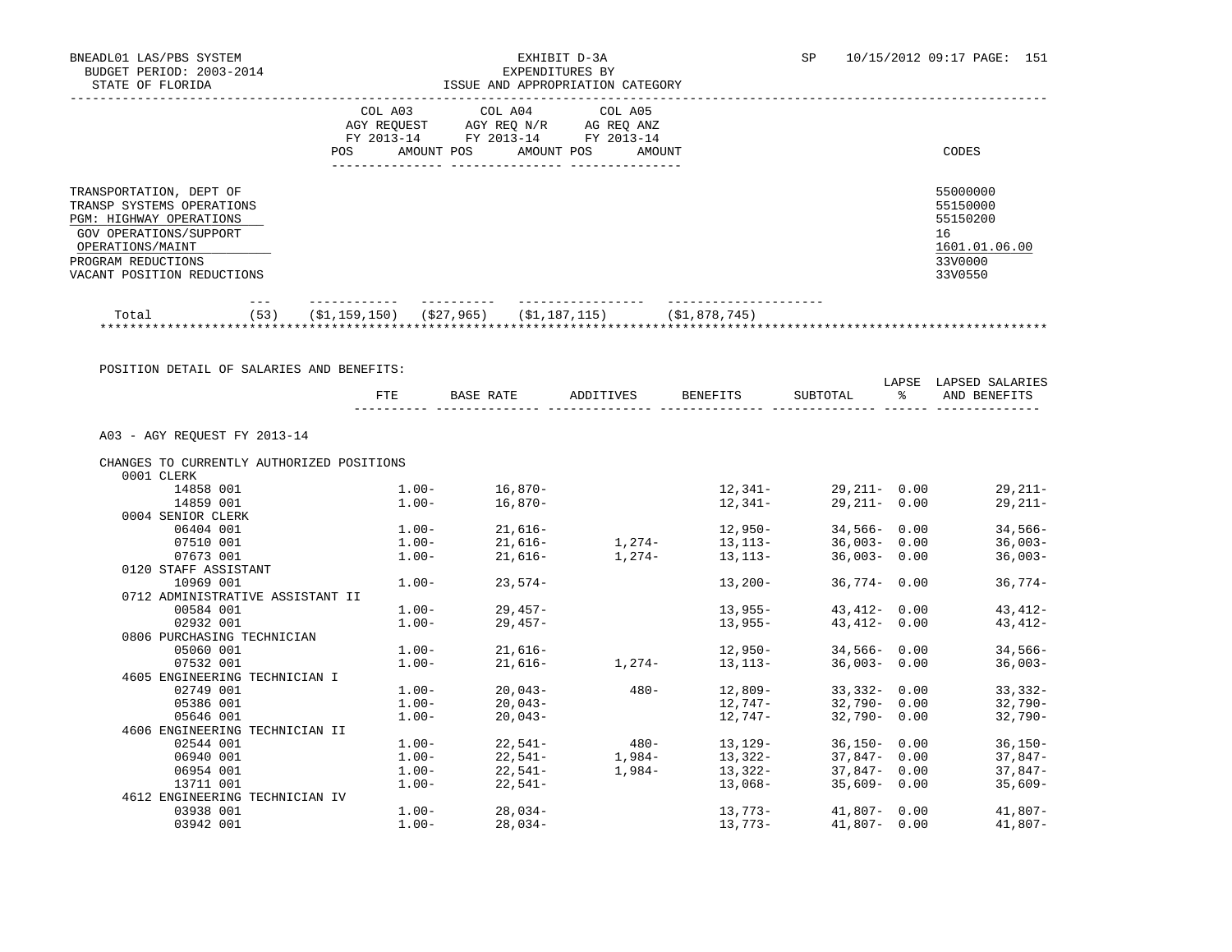|                                                                                                                                                                                          | COL A03<br>AGY REOUEST<br>FY 2013-14<br>POS.<br>AMOUNT POS | COL A04<br>AGY REO N/R<br>FY 2013-14<br>AMOUNT POS | COL A05<br>AG REO ANZ<br>FY 2013-14<br>AMOUNT |               | CODES                                                                         |
|------------------------------------------------------------------------------------------------------------------------------------------------------------------------------------------|------------------------------------------------------------|----------------------------------------------------|-----------------------------------------------|---------------|-------------------------------------------------------------------------------|
| TRANSPORTATION, DEPT OF<br>TRANSP SYSTEMS OPERATIONS<br><b>PGM: HIGHWAY OPERATIONS</b><br>GOV OPERATIONS/SUPPORT<br>OPERATIONS/MAINT<br>PROGRAM REDUCTIONS<br>VACANT POSITION REDUCTIONS |                                                            |                                                    |                                               |               | 55000000<br>55150000<br>55150200<br>16<br>1601.01.06.00<br>33V0000<br>33V0550 |
| (53)<br>Total<br>***********************************                                                                                                                                     | (S1, 159, 150)                                             | (\$27,965)<br>(\$1,187,115)                        |                                               | (\$1,878,745) |                                                                               |

|                                           | FTE      | BASE RATE                                        | ADDITIVES BENEFITS             | SUBTOTAL        | $\frac{1}{2}$ | LAPSE LAPSED SALARIES<br>AND BENEFITS |
|-------------------------------------------|----------|--------------------------------------------------|--------------------------------|-----------------|---------------|---------------------------------------|
|                                           |          |                                                  |                                |                 |               |                                       |
| A03 - AGY REOUEST FY 2013-14              |          |                                                  |                                |                 |               |                                       |
| CHANGES TO CURRENTLY AUTHORIZED POSITIONS |          |                                                  |                                |                 |               |                                       |
| 0001 CLERK                                |          |                                                  |                                |                 |               |                                       |
| 14858 001                                 |          | $1.00 - 16,870 -$                                |                                |                 |               | $12,341-29,211-0.00$ 29,211-          |
| 14859 001                                 |          | $1.00 - 16.870 -$                                | 12,341-                        | $29,211 - 0.00$ |               | $29,211-$                             |
| 0004 SENIOR CLERK                         |          |                                                  |                                |                 |               |                                       |
| 06404 001                                 |          | $1.00 - 21,616 -$                                | $12,950-$                      | $34,566 - 0.00$ |               | $34,566-$                             |
| 07510 001                                 |          | $1.00 - 21,616 - 1,274 - 13,113 -$               |                                | $36,003 - 0.00$ |               | $36,003-$                             |
| 07673 001                                 |          | $1.00 - 21,616 - 1,274 - 13,113 -$               |                                | $36,003 - 0.00$ |               | $36,003-$                             |
| 0120 STAFF ASSISTANT                      |          |                                                  |                                |                 |               |                                       |
| 10969 001                                 |          | $1.00 - 23.574 -$                                | $13,200-$                      | 36,774 - 0.00   |               | $36,774-$                             |
| 0712 ADMINISTRATIVE ASSISTANT II          |          |                                                  |                                |                 |               |                                       |
| 00584 001                                 |          | $1.00 - 29.457 -$                                | $13,955-$                      | 43,412- 0.00    |               | $43,412-$                             |
| 02932 001                                 |          | $1.00 - 29,457 -$                                | $13,955-$                      | $43,412 - 0.00$ |               | 43,412-                               |
| 0806 PURCHASING TECHNICIAN                |          |                                                  |                                |                 |               |                                       |
| 05060 001                                 |          | $1.00 - 21,616 -$                                | $12,950-$                      | $34,566 - 0.00$ |               | $34,566-$                             |
| 07532 001                                 |          | $1.00 - 21,616 -$                                | $1,274-13,113-$                | $36,003 - 0.00$ |               | $36,003-$                             |
| 4605 ENGINEERING TECHNICIAN I             |          |                                                  |                                |                 |               |                                       |
| 02749 001                                 |          |                                                  | $480 - 12,809 - 33,332 - 0.00$ |                 |               | $33,332-$                             |
| 05386 001                                 |          | $1.00 - 20,043 - 1.00 - 20,043 -$                |                                |                 |               | $12,747 32,790-$ 0.00 $32,790-$       |
| 05646 001                                 |          | $1.00 - 20,043 -$                                | 12,747-                        | 32,790- 0.00    |               | 32,790-                               |
| 4606 ENGINEERING TECHNICIAN II            |          |                                                  |                                |                 |               |                                       |
| 02544 001                                 |          | $1.00 - 22.541 - 480 - 13.129 - 36.150 - 0.00$   |                                |                 |               | $36,150-$                             |
| 06940 001                                 |          | $1.00 - 22.541 - 1.984 - 13.322 - 37.847 - 0.00$ |                                |                 |               | $37,847-$                             |
| 06954 001                                 | $1.00 -$ | $22,541-$                                        | $1,984 - 13,322 -$             | $37,847 - 0.00$ |               | $37,847-$                             |
| 13711 001                                 |          | $1.00 - 22,541 -$                                | 13,068-                        | $35,609 - 0.00$ |               | $35,609-$                             |
| 4612 ENGINEERING TECHNICIAN IV            |          |                                                  |                                |                 |               |                                       |
| 03938 001                                 |          | $1.00 - 28,034 -$                                |                                |                 |               | $13,773-41,807-0.00$ 41,807-          |
| 03942 001                                 |          | $1.00 - 28,034 -$                                |                                |                 |               | $13,773-41,807-0.00$ 41,807-          |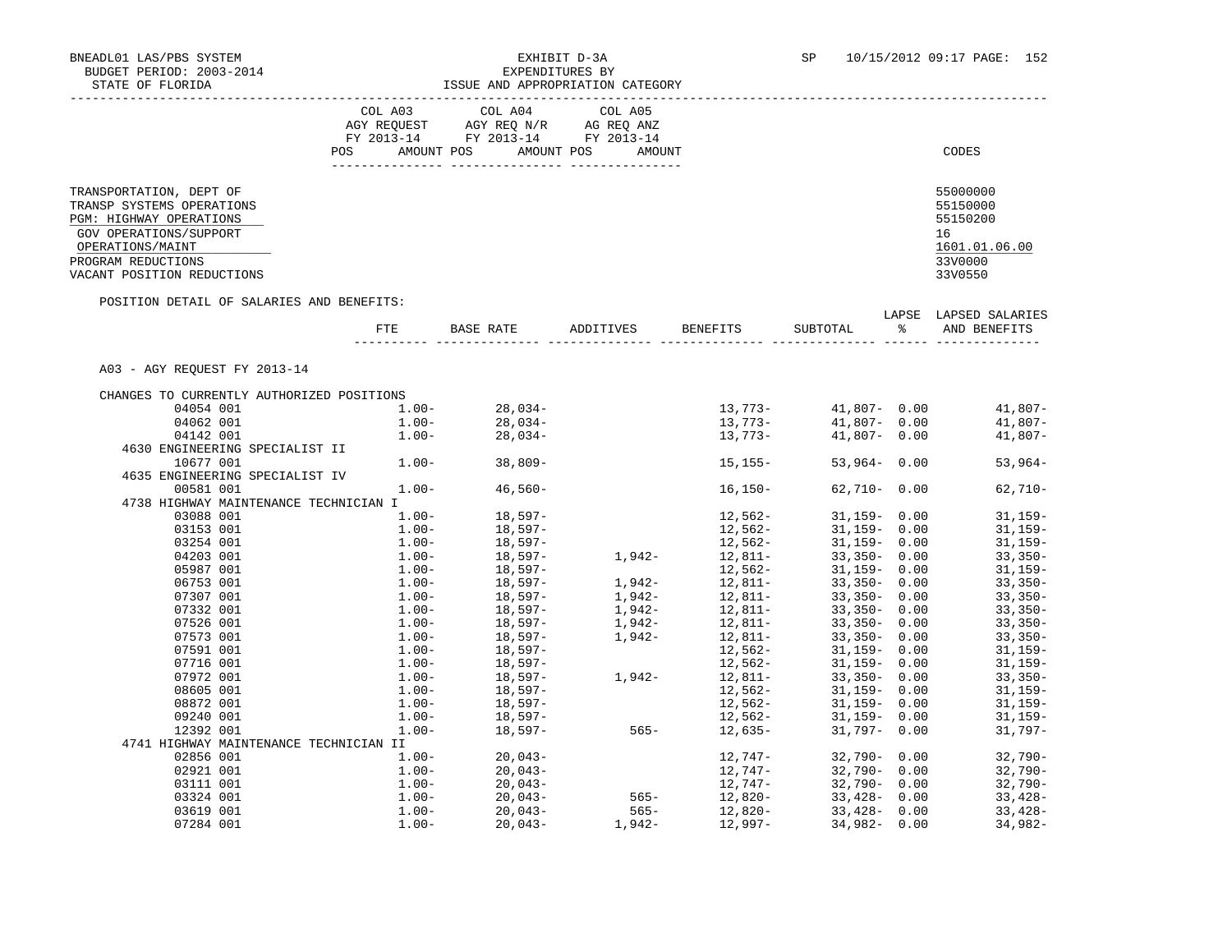|                                                                                                                                      | COL A03<br>COL A04<br>COL A05<br>AGY REOUEST<br>AGY REO N/R<br>AG REO ANZ<br>FY 2013-14<br>FY 2013-14<br>FY 2013-14<br>AMOUNT POS<br>AMOUNT POS<br>AMOUNT<br><b>POS</b> | CODES                                                   |
|--------------------------------------------------------------------------------------------------------------------------------------|-------------------------------------------------------------------------------------------------------------------------------------------------------------------------|---------------------------------------------------------|
| TRANSPORTATION, DEPT OF<br>TRANSP SYSTEMS OPERATIONS<br><b>PGM: HIGHWAY OPERATIONS</b><br>GOV OPERATIONS/SUPPORT<br>OPERATIONS/MAINT |                                                                                                                                                                         | 55000000<br>55150000<br>55150200<br>16<br>1601.01.06.00 |
| PROGRAM REDUCTIONS<br>VACANT POSITION REDUCTIONS                                                                                     |                                                                                                                                                                         | 33V0000<br>33V0550                                      |

POSITION DETAIL OF SALARIES AND BENEFITS:

|                                           | FTE      | <b>BASE RATE</b> | ADDITIVES | <b>BENEFITS</b> | SUBTOTAL        | LAPSE<br>န္ | LAPSED SALARIES<br>AND BENEFITS |
|-------------------------------------------|----------|------------------|-----------|-----------------|-----------------|-------------|---------------------------------|
| A03 - AGY REOUEST FY 2013-14              |          |                  |           |                 |                 |             |                                 |
| CHANGES TO CURRENTLY AUTHORIZED POSITIONS |          |                  |           |                 |                 |             |                                 |
| 04054 001                                 | $1.00 -$ | $28,034-$        |           | 13,773-         | $41,807 - 0.00$ |             | $41,807-$                       |
| 04062 001                                 | $1.00 -$ | $28,034-$        |           | 13,773-         | $41.807 - 0.00$ |             | $41,807-$                       |
| 04142 001                                 | $1.00 -$ | $28,034-$        |           | 13,773-         | $41,807 - 0.00$ |             | $41,807-$                       |
| 4630 ENGINEERING SPECIALIST II            |          |                  |           |                 |                 |             |                                 |
| 10677 001                                 | $1.00 -$ | $38,809-$        |           | $15, 155 -$     | $53,964 - 0.00$ |             | $53,964-$                       |
| 4635 ENGINEERING SPECIALIST IV            |          |                  |           |                 |                 |             |                                 |
| 00581 001                                 | $1.00 -$ | $46,560-$        |           | $16, 150 -$     | $62,710 - 0.00$ |             | $62,710-$                       |
| 4738 HIGHWAY MAINTENANCE TECHNICIAN I     |          |                  |           |                 |                 |             |                                 |
| 03088 001                                 | $1.00 -$ | $18,597-$        |           | 12,562-         | $31,159 - 0.00$ |             | $31,159-$                       |
| 03153 001                                 | $1.00 -$ | 18,597-          |           | 12,562-         | $31,159 - 0.00$ |             | $31,159-$                       |
| 03254 001                                 | $1.00 -$ | 18,597-          |           | 12,562-         | $31,159 - 0.00$ |             | $31, 159 -$                     |
| 04203 001                                 | $1.00-$  | 18,597-          | 1,942-    | 12,811-         | $33,350 - 0.00$ |             | $33,350-$                       |
| 05987 001                                 | $1.00 -$ | 18,597-          |           | 12,562-         | $31,159 - 0.00$ |             | $31,159-$                       |
| 06753 001                                 | $1.00 -$ | 18,597-          | 1,942-    | 12,811-         | $33,350 - 0.00$ |             | $33,350-$                       |
| 07307 001                                 | $1.00 -$ | 18,597-          | 1,942-    | 12,811-         | $33,350 - 0.00$ |             | $33,350-$                       |
| 07332 001                                 | $1.00 -$ | 18,597-          | $1,942-$  | 12,811-         | $33,350 - 0.00$ |             | $33,350-$                       |
| 07526 001                                 | $1.00 -$ | 18,597-          | 1,942-    | 12,811-         | $33,350 - 0.00$ |             | $33,350-$                       |
| 07573 001                                 | $1.00 -$ | 18,597-          | 1,942-    | 12,811-         | $33,350 - 0.00$ |             | $33,350-$                       |
| 07591 001                                 | $1.00 -$ | 18,597-          |           | 12,562-         | $31,159 - 0.00$ |             | $31,159-$                       |
| 07716 001                                 | $1.00 -$ | 18,597-          |           | 12,562-         | $31,159 - 0.00$ |             | $31,159-$                       |
| 07972 001                                 | $1.00-$  | 18,597-          | 1,942-    | 12,811-         | $33,350 - 0.00$ |             | $33,350-$                       |
| 08605 001                                 | $1.00 -$ | 18,597-          |           | $12,562-$       | $31,159 - 0.00$ |             | $31,159-$                       |
| 08872 001                                 | $1.00 -$ | 18,597-          |           | 12,562-         | $31,159 - 0.00$ |             | $31,159-$                       |
| 09240 001                                 | $1.00 -$ | 18,597-          |           | 12,562-         | $31,159 - 0.00$ |             | $31,159-$                       |
| 12392 001                                 | $1.00 -$ | $18.597-$        | $565 -$   | 12,635-         | $31.797 - 0.00$ |             | $31.797-$                       |
| 4741 HIGHWAY MAINTENANCE TECHNICIAN II    |          |                  |           |                 |                 |             |                                 |
| 02856 001                                 | $1.00 -$ | $20,043-$        |           | 12,747–         | $32,790 - 0.00$ |             | $32,790-$                       |
| 02921 001                                 | $1.00-$  | $20,043-$        |           | 12,747-         | $32,790 - 0.00$ |             | $32,790-$                       |
| 03111 001                                 | $1.00 -$ | $20,043-$        |           | 12,747-         | $32,790 - 0.00$ |             | $32,790-$                       |
| 03324 001                                 | $1.00 -$ | $20,043-$        | $565 -$   | 12,820-         | $33,428 - 0.00$ |             | $33,428-$                       |
| 03619 001                                 | $1.00 -$ | $20.043-$        | $565 -$   | $12,820-$       | $33.428 - 0.00$ |             | $33.428 -$                      |

07284 001 1.00- 20,043- 1,942- 12,997- 34,982- 0.00 34,982-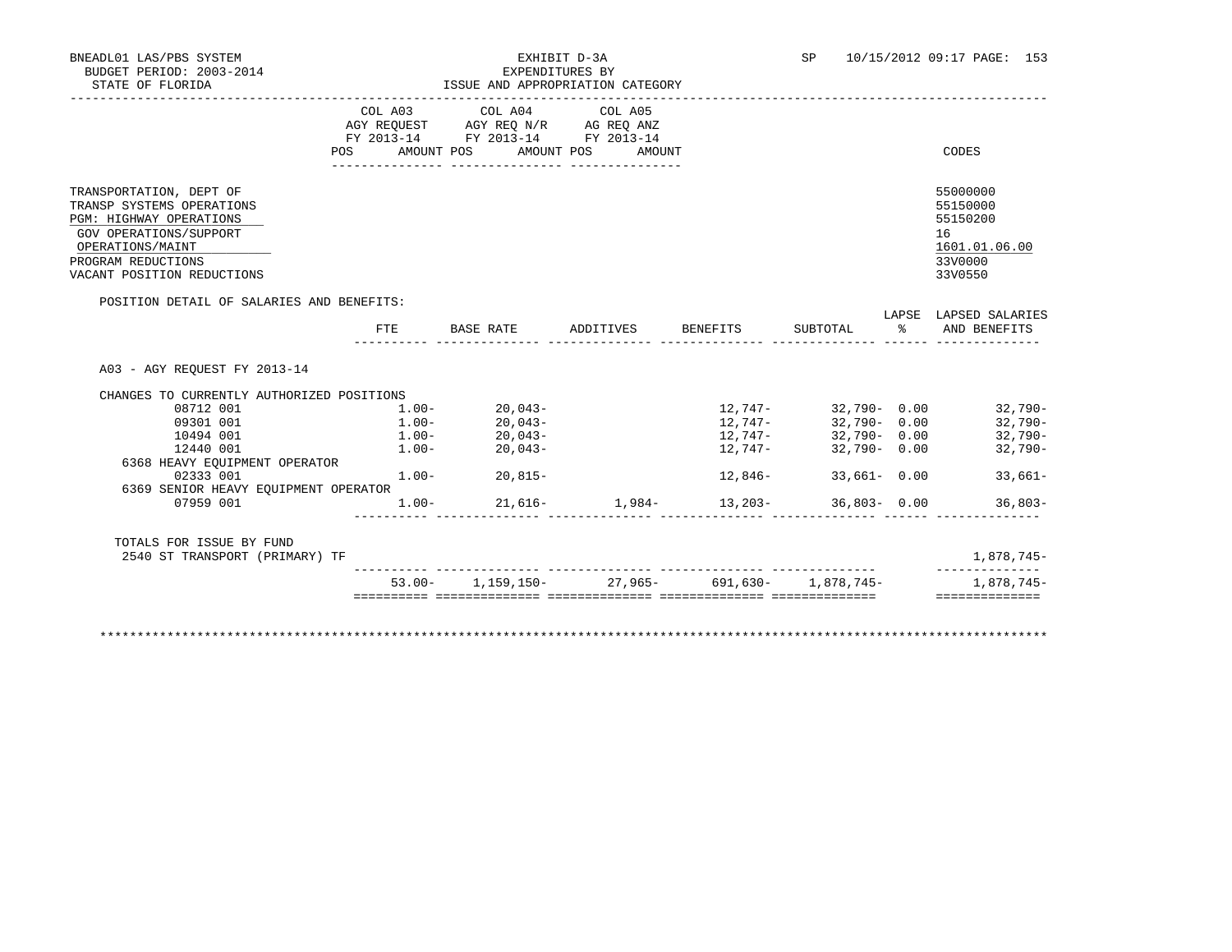## BNEADL01 LAS/PBS SYSTEM EXHIBIT D-3A SP 10/15/2012 09:17 PAGE: 153 ISSUE AND APPROPRIATION CATEGORY

|                                                                                                                                                                                   | POS | COL A03<br>AGY REOUEST<br>FY 2013-14<br>AMOUNT POS | COL A04<br>AGY REQ N/R<br>FY 2013-14<br>AMOUNT POS | COL A05<br>AG REQ ANZ<br>FY 2013-14<br>AMOUNT |       | CODES                                                                         |
|-----------------------------------------------------------------------------------------------------------------------------------------------------------------------------------|-----|----------------------------------------------------|----------------------------------------------------|-----------------------------------------------|-------|-------------------------------------------------------------------------------|
| TRANSPORTATION, DEPT OF<br>TRANSP SYSTEMS OPERATIONS<br>PGM: HIGHWAY OPERATIONS<br>GOV OPERATIONS/SUPPORT<br>OPERATIONS/MAINT<br>PROGRAM REDUCTIONS<br>VACANT POSITION REDUCTIONS |     |                                                    |                                                    |                                               |       | 55000000<br>55150000<br>55150200<br>16<br>1601.01.06.00<br>33V0000<br>33V0550 |
| POSITION DETAIL OF SALARIES AND BENEFITS:                                                                                                                                         |     |                                                    |                                                    |                                               | LAPSE | LAPSED SALARIES                                                               |

| CHANGES TO CURRENTLY AUTHORIZED POSITIONS                  |          |           |                        |                                                      |                 |            |
|------------------------------------------------------------|----------|-----------|------------------------|------------------------------------------------------|-----------------|------------|
| 08712 001                                                  | $1.00 -$ | 20,043-   |                        | 12,747-                                              | 32,790-0.00     | $32,790-$  |
| 09301 001                                                  | $1.00 -$ | 20,043-   |                        | 12,747-                                              | 32,790-0.00     | $32,790-$  |
| 10494 001                                                  | $1.00 -$ | $20,043-$ |                        | 12,747-                                              | 32,790- 0.00    | $32,790-$  |
| 12440 001                                                  | $1.00-$  | 20,043-   |                        | 12,747-                                              | $32,790 - 0.00$ | $32,790-$  |
| 6368 HEAVY EOUIPMENT OPERATOR                              |          |           |                        |                                                      |                 |            |
| 02333 001                                                  | $1.00 -$ | 20,815-   |                        | 12,846-                                              | $33,661 - 0.00$ | $33,661-$  |
| 6369 SENIOR HEAVY EQUIPMENT OPERATOR                       |          |           |                        |                                                      |                 |            |
| 07959 001                                                  | $1.00-$  |           | $21,616-1,984-13,203-$ |                                                      | 36,803-0.00     | 36,803-    |
| TOTALS FOR ISSUE BY FUND<br>2540 ST TRANSPORT (PRIMARY) TF |          |           |                        |                                                      |                 | 1,878,745- |
|                                                            |          |           |                        | $53.00 - 1.159.150 - 27.965 - 691.630 - 1.878.745 -$ |                 | 1,878,745- |

\*\*\*\*\*\*\*\*\*\*\*\*\*\*\*\*\*\*\*\*\*\*\*\*\*\*\*\*\*\*\*\*\*\*\*\*\*\*\*\*\*\*\*\*\*\*\*\*\*\*\*\*\*\*\*\*\*\*\*\*\*\*\*\*\*\*\*\*\*\*\*\*\*\*\*\*\*\*\*\*\*\*\*\*\*\*\*\*\*\*\*\*\*\*\*\*\*\*\*\*\*\*\*\*\*\*\*\*\*\*\*\*\*\*\*\*\*\*\*\*\*\*\*\*\*\*\*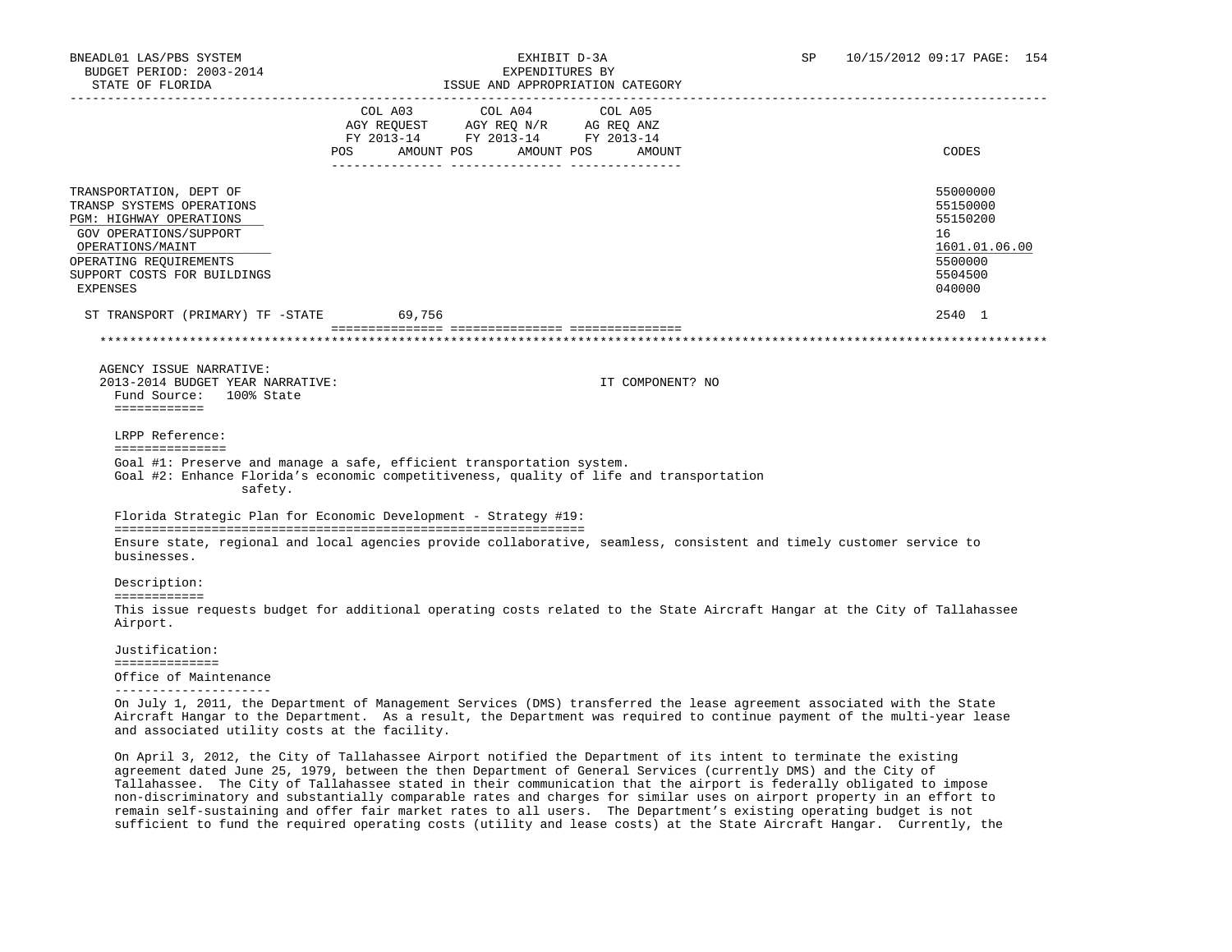| STATE OF FLORIDA                                                                                                                                                            |                                                                                                                                                                                                                   | ISSUE AND APPROPRIATION CATEGORY |                       |                  |                                                                                                                                                                                                                                                   |
|-----------------------------------------------------------------------------------------------------------------------------------------------------------------------------|-------------------------------------------------------------------------------------------------------------------------------------------------------------------------------------------------------------------|----------------------------------|-----------------------|------------------|---------------------------------------------------------------------------------------------------------------------------------------------------------------------------------------------------------------------------------------------------|
|                                                                                                                                                                             | $\begin{tabular}{lllllll} \bf AGY \,\, REQUEST \,\, &\bf AGY \,\, REQ \,\, N/R &\bf AG \,\, REQ \,\, ANZ \\ \bf FY \,\, 2013-14 &\bf FY \,\, 2013-14 &\bf FY \,\, 2013-14 \\ \end{tabular}$<br>AMOUNT POS<br>POS. | COL A03 COL A04                  | COL A05<br>AMOUNT POS | AMOUNT           | CODES                                                                                                                                                                                                                                             |
|                                                                                                                                                                             |                                                                                                                                                                                                                   |                                  |                       |                  |                                                                                                                                                                                                                                                   |
| TRANSPORTATION, DEPT OF<br>TRANSP SYSTEMS OPERATIONS<br>PGM: HIGHWAY OPERATIONS<br>GOV OPERATIONS/SUPPORT<br>OPERATIONS/MAINT<br>OPERATING REOUIREMENTS                     |                                                                                                                                                                                                                   |                                  |                       |                  | 55000000<br>55150000<br>55150200<br>16<br>1601.01.06.00<br>5500000                                                                                                                                                                                |
| SUPPORT COSTS FOR BUILDINGS<br>EXPENSES                                                                                                                                     |                                                                                                                                                                                                                   |                                  |                       |                  | 5504500<br>040000                                                                                                                                                                                                                                 |
| ST TRANSPORT (PRIMARY) TF -STATE                                                                                                                                            | 69,756                                                                                                                                                                                                            |                                  |                       |                  | 2540 1                                                                                                                                                                                                                                            |
|                                                                                                                                                                             |                                                                                                                                                                                                                   |                                  |                       |                  |                                                                                                                                                                                                                                                   |
| AGENCY ISSUE NARRATIVE:                                                                                                                                                     |                                                                                                                                                                                                                   |                                  |                       |                  |                                                                                                                                                                                                                                                   |
| 2013-2014 BUDGET YEAR NARRATIVE:<br>Fund Source: 100% State<br>============                                                                                                 |                                                                                                                                                                                                                   |                                  |                       | IT COMPONENT? NO |                                                                                                                                                                                                                                                   |
|                                                                                                                                                                             |                                                                                                                                                                                                                   |                                  |                       |                  |                                                                                                                                                                                                                                                   |
| LRPP Reference:<br>===============                                                                                                                                          |                                                                                                                                                                                                                   |                                  |                       |                  |                                                                                                                                                                                                                                                   |
| Goal #1: Preserve and manage a safe, efficient transportation system.<br>Goal #2: Enhance Florida's economic competitiveness, quality of life and transportation<br>safety. |                                                                                                                                                                                                                   |                                  |                       |                  |                                                                                                                                                                                                                                                   |
| Florida Strategic Plan for Economic Development - Strategy #19:                                                                                                             |                                                                                                                                                                                                                   |                                  |                       |                  |                                                                                                                                                                                                                                                   |
| Ensure state, regional and local agencies provide collaborative, seamless, consistent and timely customer service to<br>businesses.                                         |                                                                                                                                                                                                                   |                                  |                       |                  |                                                                                                                                                                                                                                                   |
| Description:<br>============                                                                                                                                                |                                                                                                                                                                                                                   |                                  |                       |                  |                                                                                                                                                                                                                                                   |
| Airport.                                                                                                                                                                    |                                                                                                                                                                                                                   |                                  |                       |                  | This issue requests budget for additional operating costs related to the State Aircraft Hangar at the City of Tallahassee                                                                                                                         |
| Justification:                                                                                                                                                              |                                                                                                                                                                                                                   |                                  |                       |                  |                                                                                                                                                                                                                                                   |
| ==============<br>Office of Maintenance                                                                                                                                     |                                                                                                                                                                                                                   |                                  |                       |                  |                                                                                                                                                                                                                                                   |
|                                                                                                                                                                             |                                                                                                                                                                                                                   |                                  |                       |                  |                                                                                                                                                                                                                                                   |
|                                                                                                                                                                             |                                                                                                                                                                                                                   |                                  |                       |                  | On July 1, 2011, the Department of Management Services (DMS) transferred the lease agreement associated with the State<br>Aircraft Hangar to the Department. As a result, the Department was required to continue payment of the multi-year lease |

and associated utility costs at the facility.

 On April 3, 2012, the City of Tallahassee Airport notified the Department of its intent to terminate the existing agreement dated June 25, 1979, between the then Department of General Services (currently DMS) and the City of Tallahassee. The City of Tallahassee stated in their communication that the airport is federally obligated to impose non-discriminatory and substantially comparable rates and charges for similar uses on airport property in an effort to remain self-sustaining and offer fair market rates to all users. The Department's existing operating budget is not sufficient to fund the required operating costs (utility and lease costs) at the State Aircraft Hangar. Currently, the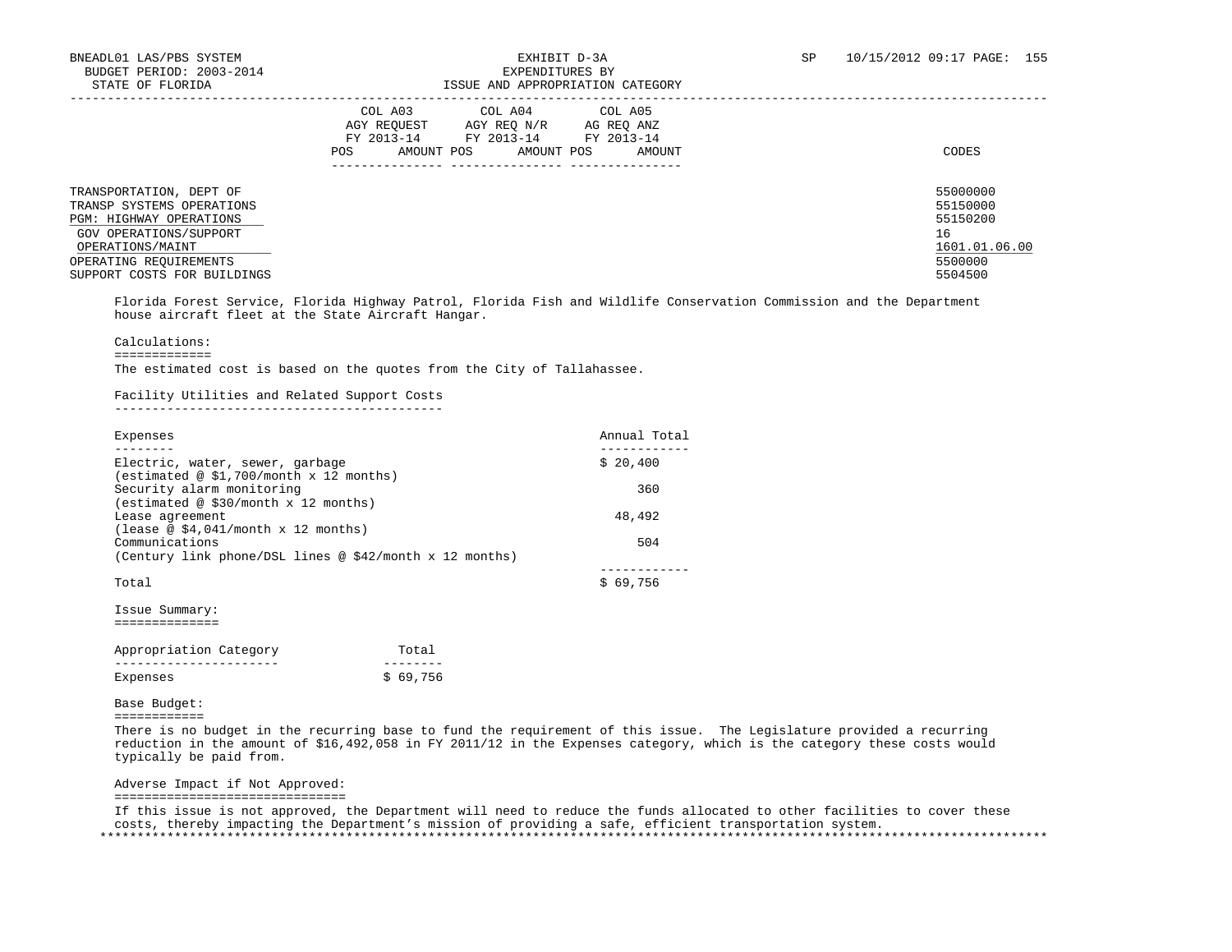# ISSUE AND APPROPRIATION CATEGORY

|                                                                                                                                      | COL A03<br>COL A05<br>COL A04<br>AGY REOUEST<br>AGY REO N/R<br>AG REO ANZ<br>FY 2013-14<br>FY 2013-14<br>FY 2013-14<br>AMOUNT POS<br>AMOUNT POS<br><b>POS</b><br>AMOUNT | CODES                                                   |
|--------------------------------------------------------------------------------------------------------------------------------------|-------------------------------------------------------------------------------------------------------------------------------------------------------------------------|---------------------------------------------------------|
| TRANSPORTATION, DEPT OF<br>TRANSP SYSTEMS OPERATIONS<br><b>PGM: HIGHWAY OPERATIONS</b><br>GOV OPERATIONS/SUPPORT<br>OPERATIONS/MAINT |                                                                                                                                                                         | 55000000<br>55150000<br>55150200<br>16<br>1601.01.06.00 |
| OPERATING REQUIREMENTS<br>SUPPORT COSTS FOR BUILDINGS                                                                                |                                                                                                                                                                         | 5500000<br>5504500                                      |

 Florida Forest Service, Florida Highway Patrol, Florida Fish and Wildlife Conservation Commission and the Department house aircraft fleet at the State Aircraft Hangar.

### Calculations:

=============

The estimated cost is based on the quotes from the City of Tallahassee.

### Facility Utilities and Related Support Costs

--------------------------------------------

| Expenses                                                  | Annual Total |
|-----------------------------------------------------------|--------------|
| Electric, water, sewer, garbage                           | \$20.400     |
| (estimated @ \$1,700/month x 12 months)                   |              |
| Security alarm monitoring                                 | 360          |
| (estimated @ \$30/month x 12 months)<br>Lease agreement   | 48,492       |
| (lease @ \$4,041/month $x$ 12 months)<br>Communications   | 504          |
| (Century link phone/DSL lines @ $$42/m$ onth x 12 months) |              |
| Total                                                     | \$69.756     |
| Issue Summary:                                            |              |
|                                                           |              |

| Appropriation Category | Total    |
|------------------------|----------|
|                        |          |
| Expenses               | \$69.756 |

### Base Budget:

============

 There is no budget in the recurring base to fund the requirement of this issue. The Legislature provided a recurring reduction in the amount of \$16,492,058 in FY 2011/12 in the Expenses category, which is the category these costs would typically be paid from.

Adverse Impact if Not Approved:

===============================

 If this issue is not approved, the Department will need to reduce the funds allocated to other facilities to cover these costs, thereby impacting the Department's mission of providing a safe, efficient transportation system. \*\*\*\*\*\*\*\*\*\*\*\*\*\*\*\*\*\*\*\*\*\*\*\*\*\*\*\*\*\*\*\*\*\*\*\*\*\*\*\*\*\*\*\*\*\*\*\*\*\*\*\*\*\*\*\*\*\*\*\*\*\*\*\*\*\*\*\*\*\*\*\*\*\*\*\*\*\*\*\*\*\*\*\*\*\*\*\*\*\*\*\*\*\*\*\*\*\*\*\*\*\*\*\*\*\*\*\*\*\*\*\*\*\*\*\*\*\*\*\*\*\*\*\*\*\*\*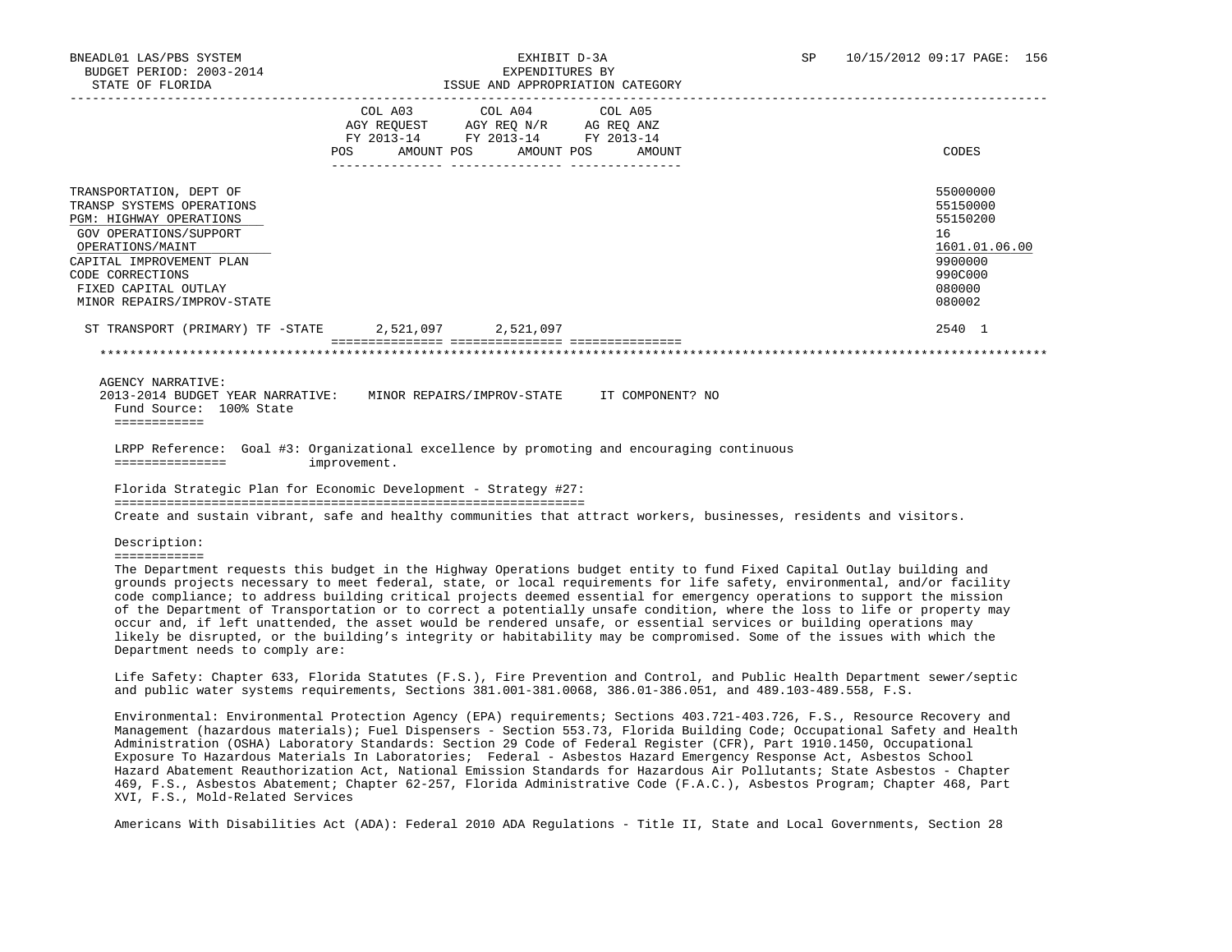|                                                                                                                                                                                                                                                                                                                                                                              | AGY REQUEST AGY REQ N/R AG REQ ANZ<br>FY 2013-14 FY 2013-14 FY 2013-14<br>POS AMOUNT POS AMOUNT POS | COL A03 COL A04 COL A05 | AMOUNT | CODES                                                                                             |
|------------------------------------------------------------------------------------------------------------------------------------------------------------------------------------------------------------------------------------------------------------------------------------------------------------------------------------------------------------------------------|-----------------------------------------------------------------------------------------------------|-------------------------|--------|---------------------------------------------------------------------------------------------------|
| TRANSPORTATION, DEPT OF<br>TRANSP SYSTEMS OPERATIONS<br><b>PGM: HIGHWAY OPERATIONS</b><br>GOV OPERATIONS/SUPPORT<br>OPERATIONS/MAINT<br>CAPITAL IMPROVEMENT PLAN<br>CODE CORRECTIONS<br>FIXED CAPITAL OUTLAY<br>MINOR REPAIRS/IMPROV-STATE                                                                                                                                   |                                                                                                     |                         |        | 55000000<br>55150000<br>55150200<br>16<br>1601.01.06.00<br>9900000<br>990C000<br>080000<br>080002 |
| ST TRANSPORT (PRIMARY) TF -STATE 2,521,097 2,521,097                                                                                                                                                                                                                                                                                                                         |                                                                                                     |                         |        | 2540 1                                                                                            |
| <b>AGENCY NARRATIVE:</b><br>2013-2014 BUDGET YEAR NARRATIVE: MINOR REPAIRS/IMPROV-STATE IT COMPONENT? NO<br>Fund Source: 100% State<br>============                                                                                                                                                                                                                          |                                                                                                     |                         |        |                                                                                                   |
| LRPP Reference: Goal #3: Organizational excellence by promoting and encouraging continuous<br>===============                                                                                                                                                                                                                                                                | improvement.                                                                                        |                         |        |                                                                                                   |
| Florida Strategic Plan for Economic Development - Strategy #27:                                                                                                                                                                                                                                                                                                              |                                                                                                     |                         |        |                                                                                                   |
| Create and sustain vibrant, safe and healthy communities that attract workers, businesses, residents and visitors.                                                                                                                                                                                                                                                           |                                                                                                     |                         |        |                                                                                                   |
| Description:<br><b>BEBBBBBBBBBB</b>                                                                                                                                                                                                                                                                                                                                          |                                                                                                     |                         |        |                                                                                                   |
| The Department requests this budget in the Highway Operations budget entity to fund Fixed Capital Outlay building and<br>grounds projects necessary to meet federal, state, or local requirements for life safety, environmental, and/or facility<br>code compliance; to address building critical projects deemed essential for emergency operations to support the mission |                                                                                                     |                         |        |                                                                                                   |

 of the Department of Transportation or to correct a potentially unsafe condition, where the loss to life or property may occur and, if left unattended, the asset would be rendered unsafe, or essential services or building operations may likely be disrupted, or the building's integrity or habitability may be compromised. Some of the issues with which the Department needs to comply are:

 Life Safety: Chapter 633, Florida Statutes (F.S.), Fire Prevention and Control, and Public Health Department sewer/septic and public water systems requirements, Sections 381.001-381.0068, 386.01-386.051, and 489.103-489.558, F.S.

 Environmental: Environmental Protection Agency (EPA) requirements; Sections 403.721-403.726, F.S., Resource Recovery and Management (hazardous materials); Fuel Dispensers - Section 553.73, Florida Building Code; Occupational Safety and Health Administration (OSHA) Laboratory Standards: Section 29 Code of Federal Register (CFR), Part 1910.1450, Occupational Exposure To Hazardous Materials In Laboratories; Federal - Asbestos Hazard Emergency Response Act, Asbestos School Hazard Abatement Reauthorization Act, National Emission Standards for Hazardous Air Pollutants; State Asbestos - Chapter 469, F.S., Asbestos Abatement; Chapter 62-257, Florida Administrative Code (F.A.C.), Asbestos Program; Chapter 468, Part XVI, F.S., Mold-Related Services

Americans With Disabilities Act (ADA): Federal 2010 ADA Regulations - Title II, State and Local Governments, Section 28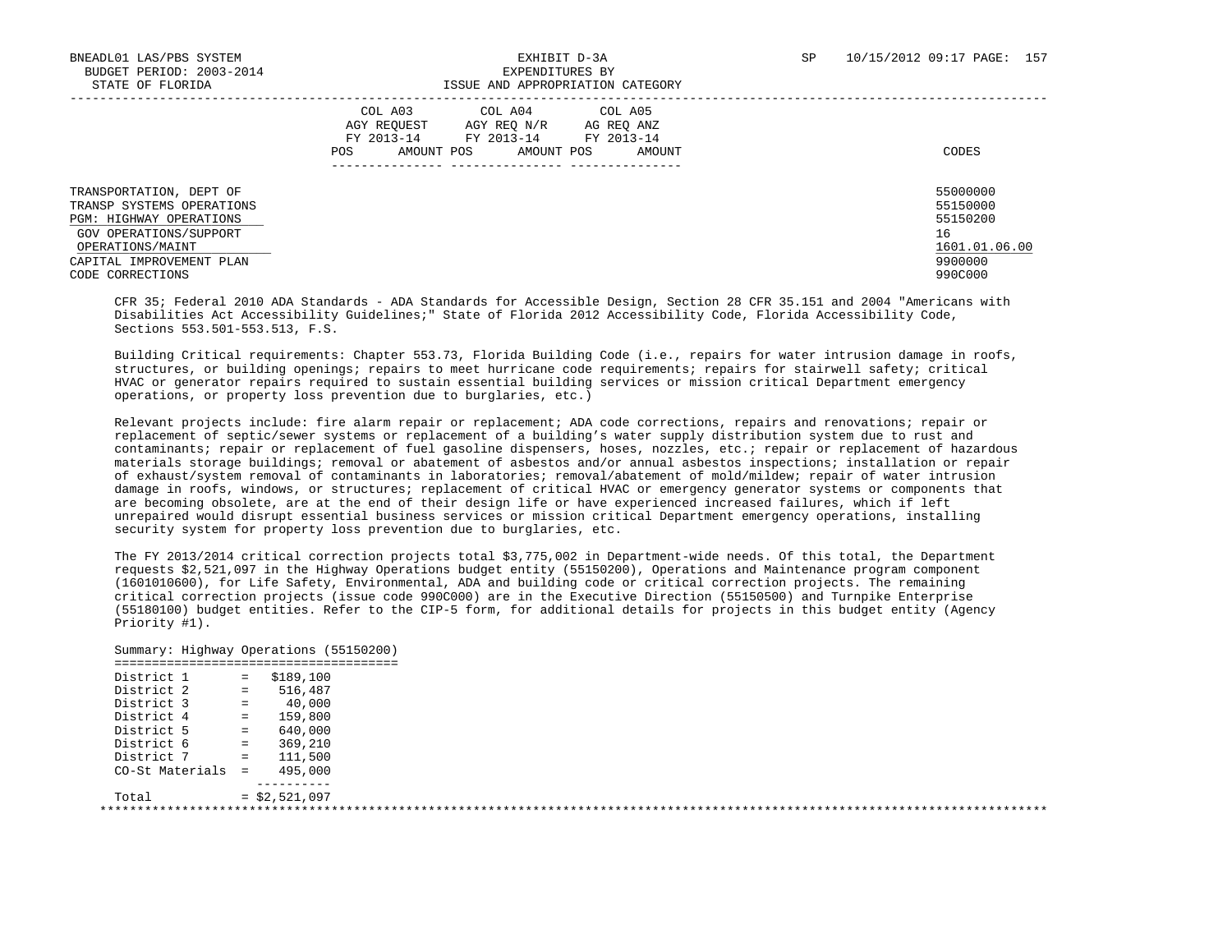| DIAIE OF FEORIPA                                                                                                                                                              | TOOD AND AFFROFRIATION CAIBGORI                                                                                                                               |                                                                               |
|-------------------------------------------------------------------------------------------------------------------------------------------------------------------------------|---------------------------------------------------------------------------------------------------------------------------------------------------------------|-------------------------------------------------------------------------------|
|                                                                                                                                                                               | COL A03<br>COL A04<br>COL A05<br>AGY REOUEST<br>AGY REO N/R<br>AG REO ANZ<br>FY 2013-14<br>FY 2013-14 FY 2013-14<br>AMOUNT POS<br>AMOUNT POS<br>AMOUNT<br>POS | CODES                                                                         |
| TRANSPORTATION, DEPT OF<br>TRANSP SYSTEMS OPERATIONS<br>PGM: HIGHWAY OPERATIONS<br>GOV OPERATIONS/SUPPORT<br>OPERATIONS/MAINT<br>CAPITAL IMPROVEMENT PLAN<br>CODE CORRECTIONS |                                                                                                                                                               | 55000000<br>55150000<br>55150200<br>16<br>1601.01.06.00<br>9900000<br>990C000 |

STATE OF FLORIDA ISSUE AND APPROPRIATION CATEGORY

 CFR 35; Federal 2010 ADA Standards - ADA Standards for Accessible Design, Section 28 CFR 35.151 and 2004 "Americans with Disabilities Act Accessibility Guidelines;" State of Florida 2012 Accessibility Code, Florida Accessibility Code, Sections 553.501-553.513, F.S.

 Building Critical requirements: Chapter 553.73, Florida Building Code (i.e., repairs for water intrusion damage in roofs, structures, or building openings; repairs to meet hurricane code requirements; repairs for stairwell safety; critical HVAC or generator repairs required to sustain essential building services or mission critical Department emergency operations, or property loss prevention due to burglaries, etc.)

 Relevant projects include: fire alarm repair or replacement; ADA code corrections, repairs and renovations; repair or replacement of septic/sewer systems or replacement of a building's water supply distribution system due to rust and contaminants; repair or replacement of fuel gasoline dispensers, hoses, nozzles, etc.; repair or replacement of hazardous materials storage buildings; removal or abatement of asbestos and/or annual asbestos inspections; installation or repair of exhaust/system removal of contaminants in laboratories; removal/abatement of mold/mildew; repair of water intrusion damage in roofs, windows, or structures; replacement of critical HVAC or emergency generator systems or components that are becoming obsolete, are at the end of their design life or have experienced increased failures, which if left unrepaired would disrupt essential business services or mission critical Department emergency operations, installing security system for property loss prevention due to burglaries, etc.

 The FY 2013/2014 critical correction projects total \$3,775,002 in Department-wide needs. Of this total, the Department requests \$2,521,097 in the Highway Operations budget entity (55150200), Operations and Maintenance program component (1601010600), for Life Safety, Environmental, ADA and building code or critical correction projects. The remaining critical correction projects (issue code 990C000) are in the Executive Direction (55150500) and Turnpike Enterprise (55180100) budget entities. Refer to the CIP-5 form, for additional details for projects in this budget entity (Agency Priority #1).

 Summary: Highway Operations (55150200) ====================================== District 1 = \$189,100 District 2 = 516,487 District 3 = 40,000 District 4 = 159,800 District 5 = 640,000 District 6 = 369,210 District 7 = 111,500  $CO-St$  Materials =  $495,000$  ----------  $Total = $2.521.097$ \*\*\*\*\*\*\*\*\*\*\*\*\*\*\*\*\*\*\*\*\*\*\*\*\*\*\*\*\*\*\*\*\*\*\*\*\*\*\*\*\*\*\*\*\*\*\*\*\*\*\*\*\*\*\*\*\*\*\*\*\*\*\*\*\*\*\*\*\*\*\*\*\*\*\*\*\*\*\*\*\*\*\*\*\*\*\*\*\*\*\*\*\*\*\*\*\*\*\*\*\*\*\*\*\*\*\*\*\*\*\*\*\*\*\*\*\*\*\*\*\*\*\*\*\*\*\*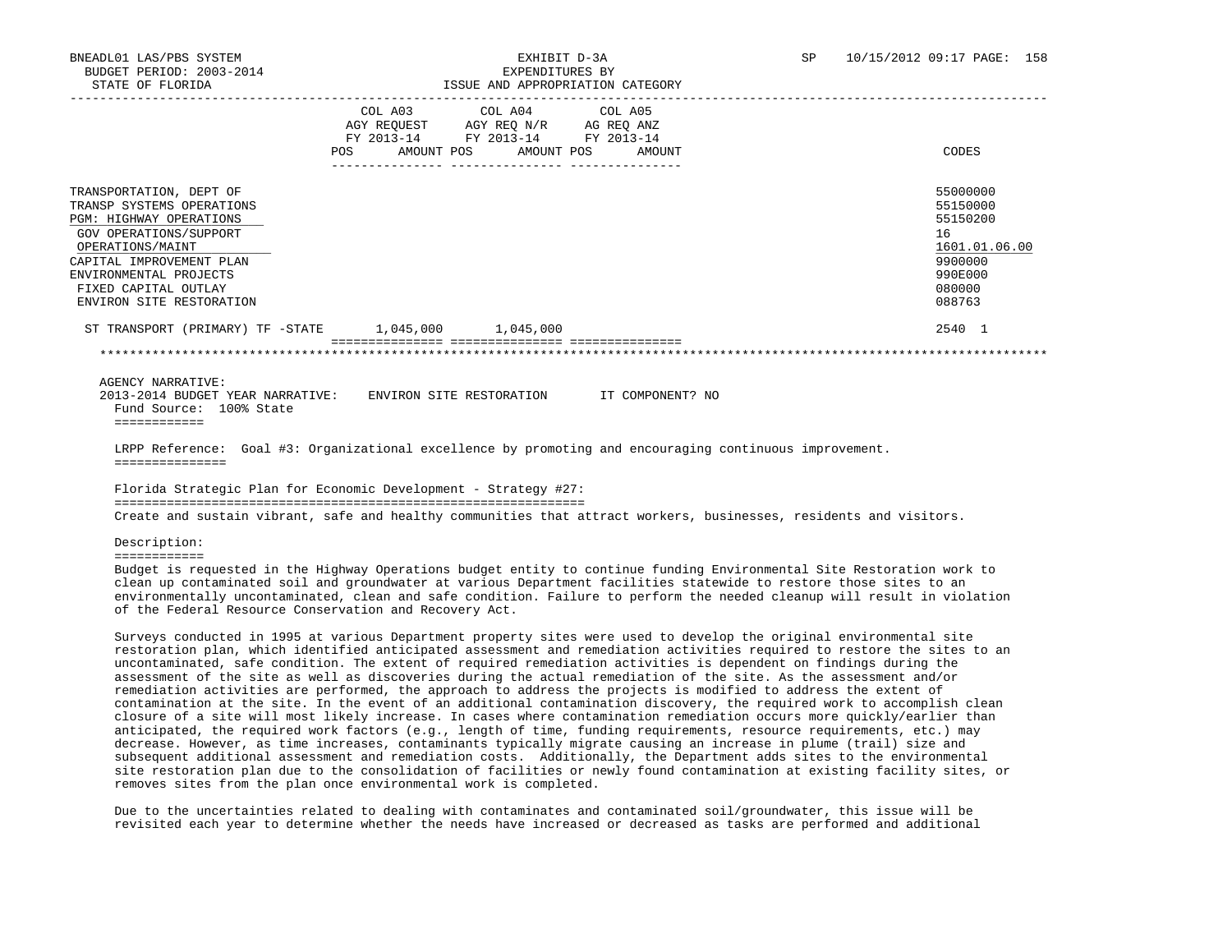|                                                                                                                                                                                                                                         | <b>POS</b> | FY 2013-14 | COL A03 COL A04 COL A05<br>AGY REQUEST AGY REQ N/R AG REQ ANZ<br>FY 2013-14 FY 2013-14<br>AMOUNT POS AMOUNT POS | AMOUNT | CODES                                                                                             |
|-----------------------------------------------------------------------------------------------------------------------------------------------------------------------------------------------------------------------------------------|------------|------------|-----------------------------------------------------------------------------------------------------------------|--------|---------------------------------------------------------------------------------------------------|
| TRANSPORTATION, DEPT OF<br>TRANSP SYSTEMS OPERATIONS<br>PGM: HIGHWAY OPERATIONS<br>GOV OPERATIONS/SUPPORT<br>OPERATIONS/MAINT<br>CAPITAL IMPROVEMENT PLAN<br>ENVIRONMENTAL PROJECTS<br>FIXED CAPITAL OUTLAY<br>ENVIRON SITE RESTORATION |            |            |                                                                                                                 |        | 55000000<br>55150000<br>55150200<br>16<br>1601.01.06.00<br>9900000<br>990E000<br>080000<br>088763 |
| ST TRANSPORT (PRIMARY) TF -STATE 1,045,000 1,045,000                                                                                                                                                                                    |            |            |                                                                                                                 |        | 2540 1                                                                                            |
|                                                                                                                                                                                                                                         |            |            |                                                                                                                 |        |                                                                                                   |
| AGENCY NARRATIVE:                                                                                                                                                                                                                       |            |            |                                                                                                                 |        |                                                                                                   |

 2013-2014 BUDGET YEAR NARRATIVE: ENVIRON SITE RESTORATION IT COMPONENT? NO Fund Source: 100% State ============

 LRPP Reference: Goal #3: Organizational excellence by promoting and encouraging continuous improvement. ===============

 Florida Strategic Plan for Economic Development - Strategy #27: =============================================================== Create and sustain vibrant, safe and healthy communities that attract workers, businesses, residents and visitors.

Description:

============

 Budget is requested in the Highway Operations budget entity to continue funding Environmental Site Restoration work to clean up contaminated soil and groundwater at various Department facilities statewide to restore those sites to an environmentally uncontaminated, clean and safe condition. Failure to perform the needed cleanup will result in violation of the Federal Resource Conservation and Recovery Act.

 Surveys conducted in 1995 at various Department property sites were used to develop the original environmental site restoration plan, which identified anticipated assessment and remediation activities required to restore the sites to an uncontaminated, safe condition. The extent of required remediation activities is dependent on findings during the assessment of the site as well as discoveries during the actual remediation of the site. As the assessment and/or remediation activities are performed, the approach to address the projects is modified to address the extent of contamination at the site. In the event of an additional contamination discovery, the required work to accomplish clean closure of a site will most likely increase. In cases where contamination remediation occurs more quickly/earlier than anticipated, the required work factors (e.g., length of time, funding requirements, resource requirements, etc.) may decrease. However, as time increases, contaminants typically migrate causing an increase in plume (trail) size and subsequent additional assessment and remediation costs. Additionally, the Department adds sites to the environmental site restoration plan due to the consolidation of facilities or newly found contamination at existing facility sites, or removes sites from the plan once environmental work is completed.

 Due to the uncertainties related to dealing with contaminates and contaminated soil/groundwater, this issue will be revisited each year to determine whether the needs have increased or decreased as tasks are performed and additional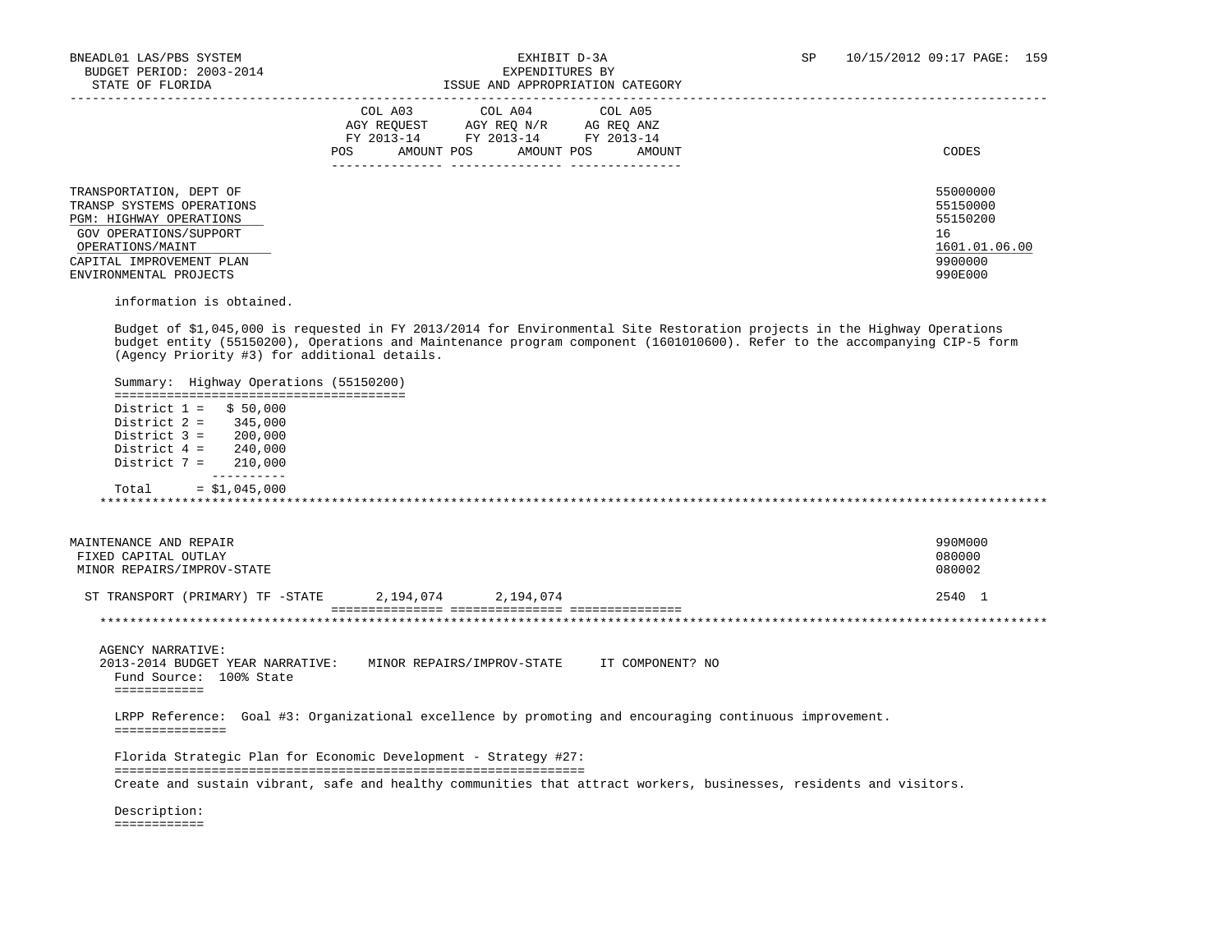# ISSUE AND APPROPRIATION CATEGORY

|                                                                                                                                      | COL A03<br>COL A04<br>COL A05<br>AGY REQUEST<br>AGY REO N/R<br>AG REO ANZ<br>FY 2013-14<br>FY 2013-14<br>FY 2013-14<br>AMOUNT POS<br>AMOUNT POS<br>AMOUNT<br><b>POS</b> | CODES                                                   |
|--------------------------------------------------------------------------------------------------------------------------------------|-------------------------------------------------------------------------------------------------------------------------------------------------------------------------|---------------------------------------------------------|
| TRANSPORTATION, DEPT OF<br>TRANSP SYSTEMS OPERATIONS<br><b>PGM: HIGHWAY OPERATIONS</b><br>GOV OPERATIONS/SUPPORT<br>OPERATIONS/MAINT |                                                                                                                                                                         | 55000000<br>55150000<br>55150200<br>16<br>1601.01.06.00 |
| CAPITAL IMPROVEMENT PLAN<br>ENVIRONMENTAL PROJECTS                                                                                   |                                                                                                                                                                         | 9900000<br>990E000                                      |

information is obtained.

 Budget of \$1,045,000 is requested in FY 2013/2014 for Environmental Site Restoration projects in the Highway Operations budget entity (55150200), Operations and Maintenance program component (1601010600). Refer to the accompanying CIP-5 form (Agency Priority #3) for additional details.

 Summary: Highway Operations (55150200) ======================================= District  $1 =$  \$ 50,000 District 2 = 345,000 District 3 = 200,000 District 4 = 240,000 District 7 = 210,000 ----------  $Total = $1,045,000$ \*\*\*\*\*\*\*\*\*\*\*\*\*\*\*\*\*\*\*\*\*\*\*\*\*\*\*\*\*\*\*\*\*\*\*\*\*\*\*\*\*\*\*\*\*\*\*\*\*\*\*\*\*\*\*\*\*\*\*\*\*\*\*\*\*\*\*\*\*\*\*\*\*\*\*\*\*\*\*\*\*\*\*\*\*\*\*\*\*\*\*\*\*\*\*\*\*\*\*\*\*\*\*\*\*\*\*\*\*\*\*\*\*\*\*\*\*\*\*\*\*\*\*\*\*\*\*

| MAINTENANCE AND REPAIR           |           |           | 990M000 |
|----------------------------------|-----------|-----------|---------|
| FIXED CAPITAL OUTLAY             |           |           | 080000  |
| MINOR REPAIRS/IMPROV-STATE       |           |           | 080002  |
|                                  |           |           |         |
| ST TRANSPORT (PRIMARY) TF -STATE | 2,194,074 | 2,194,074 | 2540    |

#### =============== =============== =============== \*\*\*\*\*\*\*\*\*\*\*\*\*\*\*\*\*\*\*\*\*\*\*\*\*\*\*\*\*\*\*\*\*\*\*\*\*\*\*\*\*\*\*\*\*\*\*\*\*\*\*\*\*\*\*\*\*\*\*\*\*\*\*\*\*\*\*\*\*\*\*\*\*\*\*\*\*\*\*\*\*\*\*\*\*\*\*\*\*\*\*\*\*\*\*\*\*\*\*\*\*\*\*\*\*\*\*\*\*\*\*\*\*\*\*\*\*\*\*\*\*\*\*\*\*\*\*

AGENCY NARRATIVE:

 2013-2014 BUDGET YEAR NARRATIVE: MINOR REPAIRS/IMPROV-STATE IT COMPONENT? NO Fund Source: 100% State ============

 LRPP Reference: Goal #3: Organizational excellence by promoting and encouraging continuous improvement. ===============

 Florida Strategic Plan for Economic Development - Strategy #27: =============================================================== Create and sustain vibrant, safe and healthy communities that attract workers, businesses, residents and visitors.

 Description: ============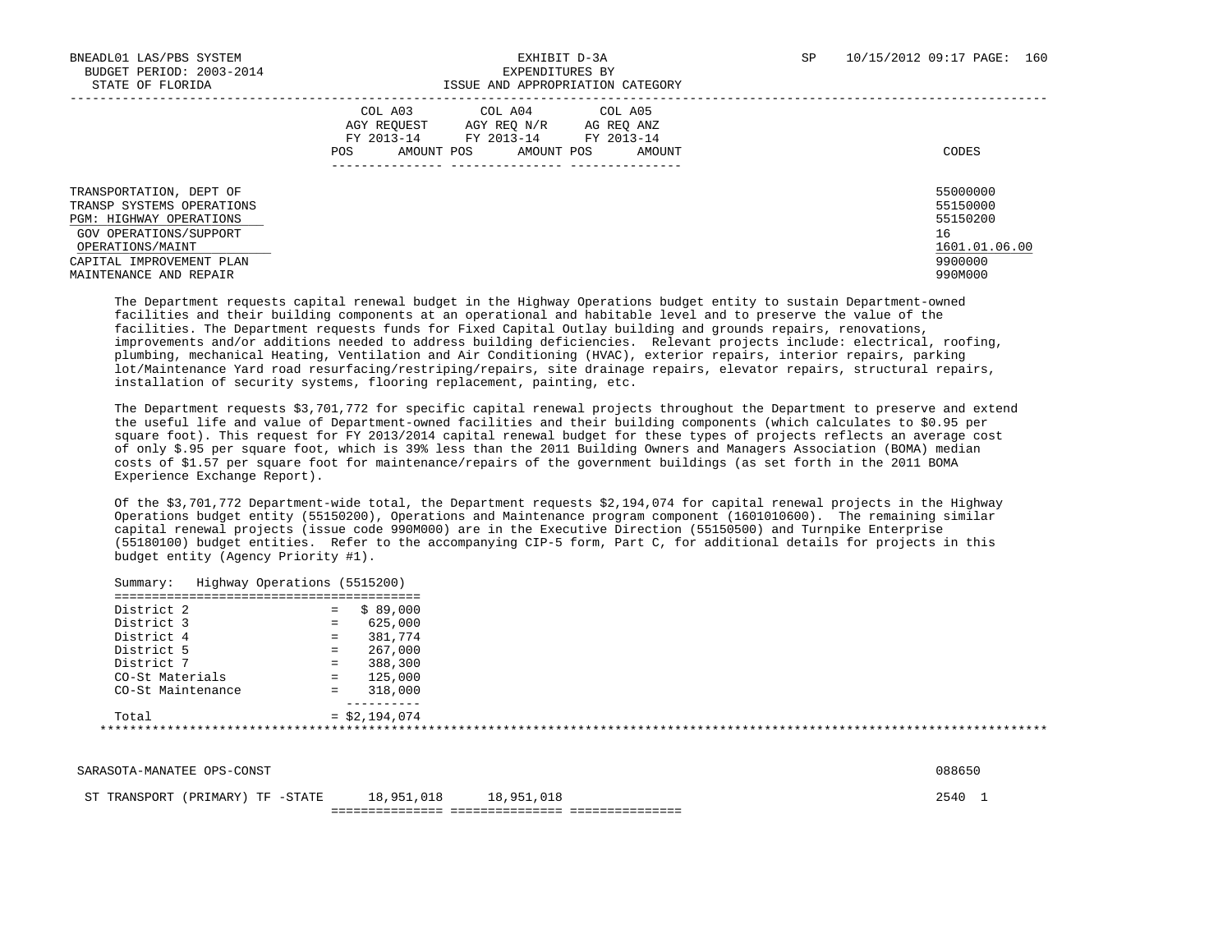|                                                                                                                                      | COL A04<br>COL A05<br>COL A03<br>AGY REO N/R<br>AGY REOUEST<br>AG REO ANZ<br>FY 2013-14<br>FY 2013-14<br>FY 2013-14<br>POS<br>AMOUNT POS<br>AMOUNT<br>AMOUNT POS | CODES                                                   |
|--------------------------------------------------------------------------------------------------------------------------------------|------------------------------------------------------------------------------------------------------------------------------------------------------------------|---------------------------------------------------------|
| TRANSPORTATION, DEPT OF<br>TRANSP SYSTEMS OPERATIONS<br><b>PGM: HIGHWAY OPERATIONS</b><br>GOV OPERATIONS/SUPPORT<br>OPERATIONS/MAINT |                                                                                                                                                                  | 55000000<br>55150000<br>55150200<br>16<br>1601.01.06.00 |
| CAPITAL IMPROVEMENT PLAN<br>MAINTENANCE AND REPAIR                                                                                   |                                                                                                                                                                  | 9900000<br>990M000                                      |

 The Department requests capital renewal budget in the Highway Operations budget entity to sustain Department-owned facilities and their building components at an operational and habitable level and to preserve the value of the facilities. The Department requests funds for Fixed Capital Outlay building and grounds repairs, renovations, improvements and/or additions needed to address building deficiencies. Relevant projects include: electrical, roofing, plumbing, mechanical Heating, Ventilation and Air Conditioning (HVAC), exterior repairs, interior repairs, parking lot/Maintenance Yard road resurfacing/restriping/repairs, site drainage repairs, elevator repairs, structural repairs, installation of security systems, flooring replacement, painting, etc.

 The Department requests \$3,701,772 for specific capital renewal projects throughout the Department to preserve and extend the useful life and value of Department-owned facilities and their building components (which calculates to \$0.95 per square foot). This request for FY 2013/2014 capital renewal budget for these types of projects reflects an average cost of only \$.95 per square foot, which is 39% less than the 2011 Building Owners and Managers Association (BOMA) median costs of \$1.57 per square foot for maintenance/repairs of the government buildings (as set forth in the 2011 BOMA Experience Exchange Report).

 Of the \$3,701,772 Department-wide total, the Department requests \$2,194,074 for capital renewal projects in the Highway Operations budget entity (55150200), Operations and Maintenance program component (1601010600). The remaining similar capital renewal projects (issue code 990M000) are in the Executive Direction (55150500) and Turnpike Enterprise (55180100) budget entities. Refer to the accompanying CIP-5 form, Part C, for additional details for projects in this budget entity (Agency Priority #1).

| District 2        | \$89.000<br>$=$ |
|-------------------|-----------------|
| District 3        | 625,000<br>$=$  |
| District 4        | 381,774<br>$=$  |
| District 5        | 267,000<br>$=$  |
| District 7        | 388,300<br>$=$  |
| CO-St Materials   | 125,000<br>$=$  |
| CO-St Maintenance | 318,000<br>$=$  |
|                   |                 |
| Total             | $=$ \$2,194,074 |

| SARASOTA-MANATEE OPS-CONST | 088650 |
|----------------------------|--------|
|----------------------------|--------|

ST TRANSPORT (PRIMARY) TF -STATE 18,951,018 18,951,018 2540 1

=============== =============== ===============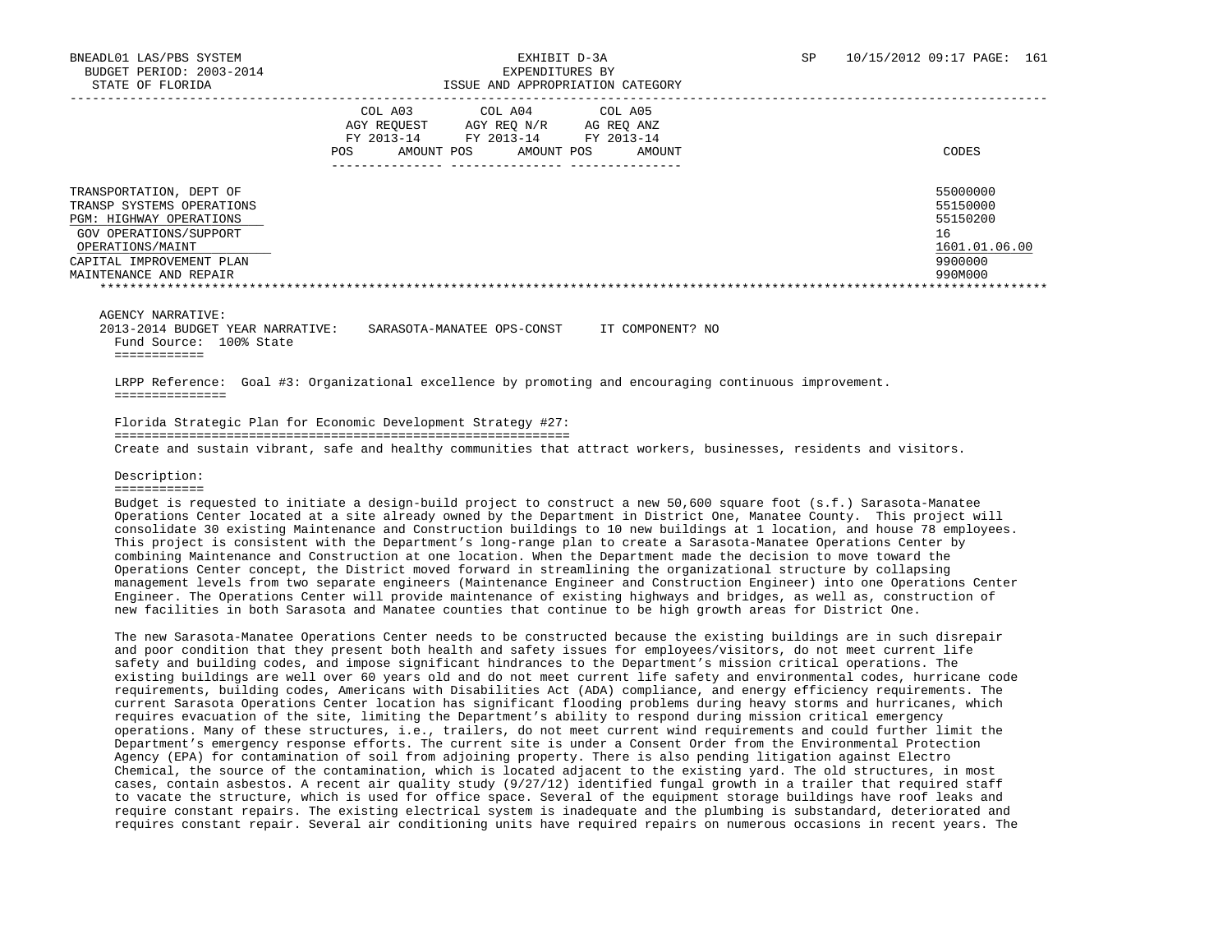|                                                                                                                                                                                     | COL A03<br>AGY REQUEST<br>FY 2013-14<br>AMOUNT POS<br>POS | COL A04<br>AGY REO N/R<br>FY 2013-14<br>AMOUNT POS | COL A05<br>AG REO ANZ<br>FY 2013-14<br>AMOUNT | CODES                                                                         |
|-------------------------------------------------------------------------------------------------------------------------------------------------------------------------------------|-----------------------------------------------------------|----------------------------------------------------|-----------------------------------------------|-------------------------------------------------------------------------------|
| TRANSPORTATION, DEPT OF<br>TRANSP SYSTEMS OPERATIONS<br>PGM: HIGHWAY OPERATIONS<br>GOV OPERATIONS/SUPPORT<br>OPERATIONS/MAINT<br>CAPITAL IMPROVEMENT PLAN<br>MAINTENANCE AND REPAIR |                                                           |                                                    |                                               | 55000000<br>55150000<br>55150200<br>16<br>1601.01.06.00<br>9900000<br>990M000 |

AGENCY NARRATIVE:

 2013-2014 BUDGET YEAR NARRATIVE: SARASOTA-MANATEE OPS-CONST IT COMPONENT? NO Fund Source: 100% State ============

 LRPP Reference: Goal #3: Organizational excellence by promoting and encouraging continuous improvement. ===============

 Florida Strategic Plan for Economic Development Strategy #27: =============================================================

Create and sustain vibrant, safe and healthy communities that attract workers, businesses, residents and visitors.

### Description:

============

 Budget is requested to initiate a design-build project to construct a new 50,600 square foot (s.f.) Sarasota-Manatee Operations Center located at a site already owned by the Department in District One, Manatee County. This project will consolidate 30 existing Maintenance and Construction buildings to 10 new buildings at 1 location, and house 78 employees. This project is consistent with the Department's long-range plan to create a Sarasota-Manatee Operations Center by combining Maintenance and Construction at one location. When the Department made the decision to move toward the Operations Center concept, the District moved forward in streamlining the organizational structure by collapsing management levels from two separate engineers (Maintenance Engineer and Construction Engineer) into one Operations Center Engineer. The Operations Center will provide maintenance of existing highways and bridges, as well as, construction of new facilities in both Sarasota and Manatee counties that continue to be high growth areas for District One.

 The new Sarasota-Manatee Operations Center needs to be constructed because the existing buildings are in such disrepair and poor condition that they present both health and safety issues for employees/visitors, do not meet current life safety and building codes, and impose significant hindrances to the Department's mission critical operations. The existing buildings are well over 60 years old and do not meet current life safety and environmental codes, hurricane code requirements, building codes, Americans with Disabilities Act (ADA) compliance, and energy efficiency requirements. The current Sarasota Operations Center location has significant flooding problems during heavy storms and hurricanes, which requires evacuation of the site, limiting the Department's ability to respond during mission critical emergency operations. Many of these structures, i.e., trailers, do not meet current wind requirements and could further limit the Department's emergency response efforts. The current site is under a Consent Order from the Environmental Protection Agency (EPA) for contamination of soil from adjoining property. There is also pending litigation against Electro Chemical, the source of the contamination, which is located adjacent to the existing yard. The old structures, in most cases, contain asbestos. A recent air quality study (9/27/12) identified fungal growth in a trailer that required staff to vacate the structure, which is used for office space. Several of the equipment storage buildings have roof leaks and require constant repairs. The existing electrical system is inadequate and the plumbing is substandard, deteriorated and requires constant repair. Several air conditioning units have required repairs on numerous occasions in recent years. The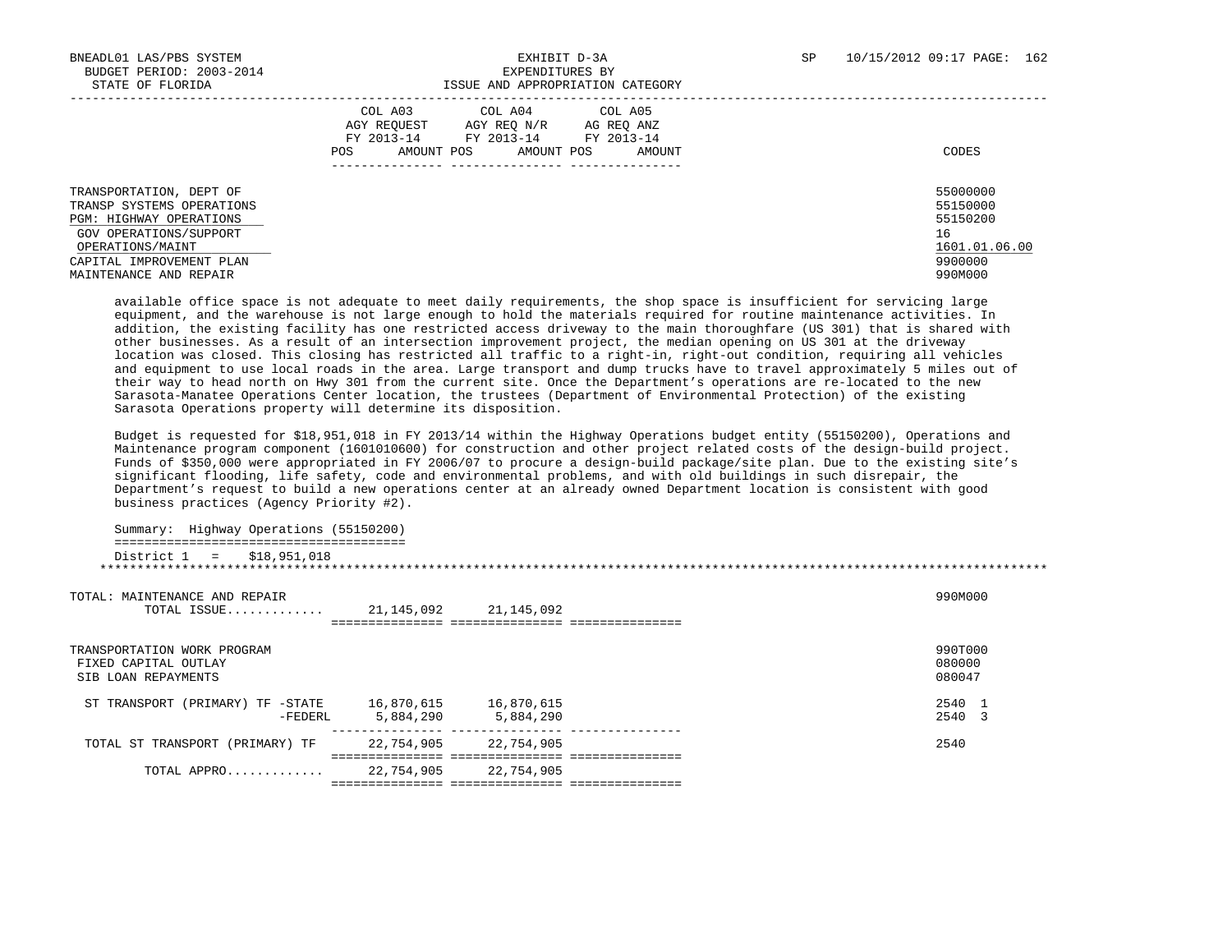| STATE OF FLORIDA                                                                                                                                                                    | ISSUE AND APPROPRIATION CATEGORY                                                                                                                  |                                                                               |
|-------------------------------------------------------------------------------------------------------------------------------------------------------------------------------------|---------------------------------------------------------------------------------------------------------------------------------------------------|-------------------------------------------------------------------------------|
|                                                                                                                                                                                     | COL A03 COL A04 COL A05<br>AGY REOUEST AGY REO N/R<br>AG REQ ANZ<br>FY 2013-14 FY 2013-14 FY 2013-14<br>AMOUNT POS<br>AMOUNT POS<br>POS<br>AMOUNT | CODES                                                                         |
| TRANSPORTATION, DEPT OF<br>TRANSP SYSTEMS OPERATIONS<br>PGM: HIGHWAY OPERATIONS<br>GOV OPERATIONS/SUPPORT<br>OPERATIONS/MAINT<br>CAPITAL IMPROVEMENT PLAN<br>MAINTENANCE AND REPAIR |                                                                                                                                                   | 55000000<br>55150000<br>55150200<br>16<br>1601.01.06.00<br>9900000<br>990M000 |

 available office space is not adequate to meet daily requirements, the shop space is insufficient for servicing large equipment, and the warehouse is not large enough to hold the materials required for routine maintenance activities. In addition, the existing facility has one restricted access driveway to the main thoroughfare (US 301) that is shared with other businesses. As a result of an intersection improvement project, the median opening on US 301 at the driveway location was closed. This closing has restricted all traffic to a right-in, right-out condition, requiring all vehicles and equipment to use local roads in the area. Large transport and dump trucks have to travel approximately 5 miles out of their way to head north on Hwy 301 from the current site. Once the Department's operations are re-located to the new Sarasota-Manatee Operations Center location, the trustees (Department of Environmental Protection) of the existing Sarasota Operations property will determine its disposition.

 Budget is requested for \$18,951,018 in FY 2013/14 within the Highway Operations budget entity (55150200), Operations and Maintenance program component (1601010600) for construction and other project related costs of the design-build project. Funds of \$350,000 were appropriated in FY 2006/07 to procure a design-build package/site plan. Due to the existing site's significant flooding, life safety, code and environmental problems, and with old buildings in such disrepair, the Department's request to build a new operations center at an already owned Department location is consistent with good business practices (Agency Priority #2).

\*\*\*\*\*\*\*\*\*\*\*\*\*\*\*\*\*\*\*\*\*\*\*\*\*\*\*\*\*\*\*\*\*\*\*\*\*\*\*\*\*\*\*\*\*\*\*\*\*\*\*\*\*\*\*\*\*\*\*\*\*\*\*\*\*\*\*\*\*\*\*\*\*\*\*\*\*\*\*\*\*\*\*\*\*\*\*\*\*\*\*\*\*\*\*\*\*\*\*\*\*\*\*\*\*\*\*\*\*\*\*\*\*\*\*\*\*\*\*\*\*\*\*\*\*\*\*

 Summary: Highway Operations (55150200) ======================================= District 1 = \$18,951,018

| TOTAL: MAINTENANCE AND REPAIR<br>TOTAL ISSUE                               | 21,145,092              | 21,145,092              |  | 990M000                     |
|----------------------------------------------------------------------------|-------------------------|-------------------------|--|-----------------------------|
| TRANSPORTATION WORK PROGRAM<br>FIXED CAPITAL OUTLAY<br>SIB LOAN REPAYMENTS |                         |                         |  | 990T000<br>080000<br>080047 |
| ST TRANSPORT (PRIMARY) TF -STATE<br>-FEDERL                                | 16,870,615<br>5,884,290 | 16,870,615<br>5,884,290 |  | 2540<br>2540 3              |
| TOTAL ST TRANSPORT (PRIMARY) TF                                            | 22,754,905              | 22,754,905              |  | 2540                        |
| TOTAL APPRO                                                                | 22,754,905              | 22,754,905              |  |                             |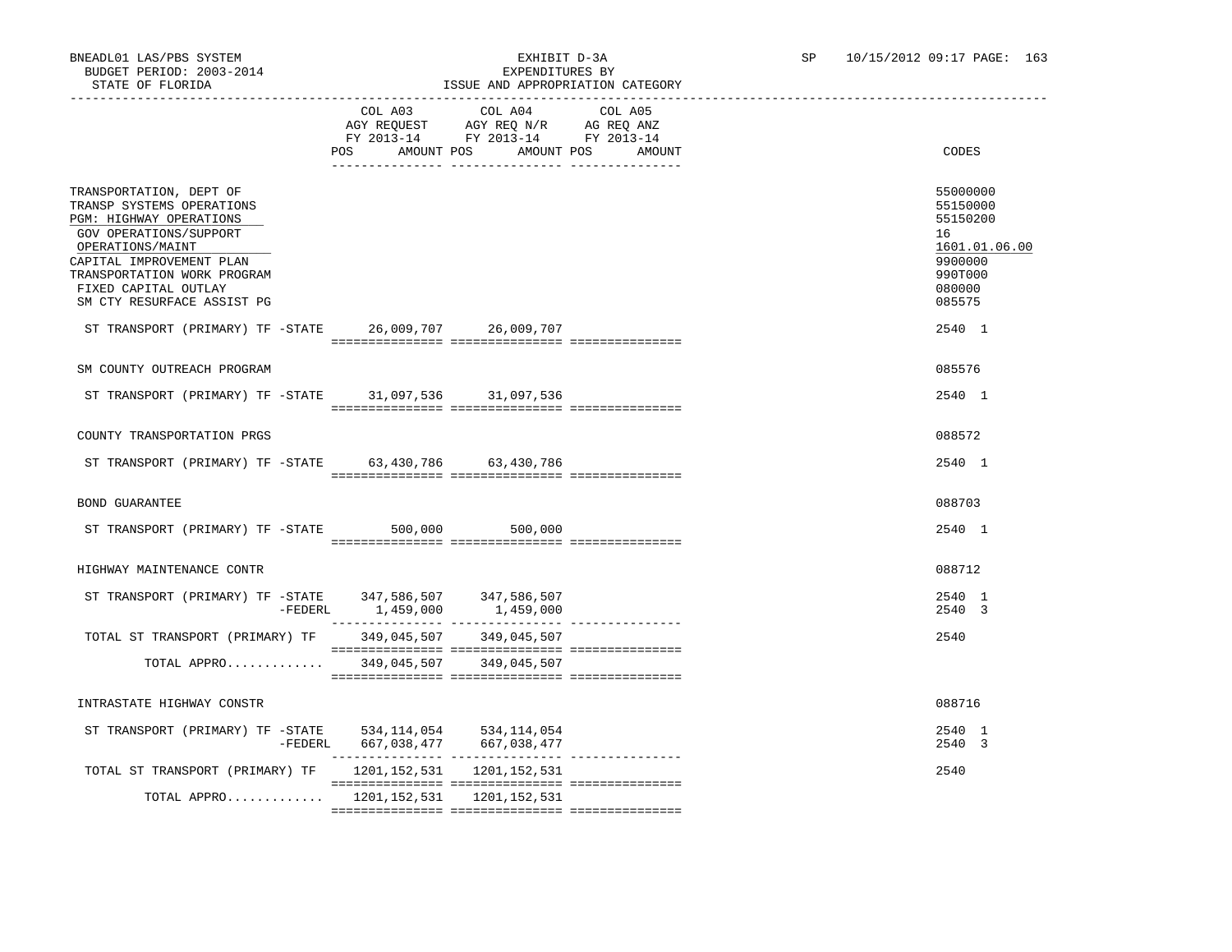# ISSUE AND APPROPRIATION CATEGORY

|                                                                                                                                                                                                                                                | POS AMOUNT POS AMOUNT POS       | COL A03 COL A04 COL A05<br>$\begin{tabular}{lllllllll} \bf AGY \,\, REQUEST \,\, & \bf AGY \,\, REQ \,\, N/R & \bf AG \,\, REQ \,\, ANZ \\ \bf FY \,\, 2013-14 & \bf FY \,\, 2013-14 & \bf FY \,\, 2013-14 \\ \end{tabular}$ | AMOUNT | CODES                                                                                             |  |
|------------------------------------------------------------------------------------------------------------------------------------------------------------------------------------------------------------------------------------------------|---------------------------------|------------------------------------------------------------------------------------------------------------------------------------------------------------------------------------------------------------------------------|--------|---------------------------------------------------------------------------------------------------|--|
|                                                                                                                                                                                                                                                |                                 |                                                                                                                                                                                                                              |        |                                                                                                   |  |
| TRANSPORTATION, DEPT OF<br>TRANSP SYSTEMS OPERATIONS<br>PGM: HIGHWAY OPERATIONS<br>GOV OPERATIONS/SUPPORT<br>OPERATIONS/MAINT<br>CAPITAL IMPROVEMENT PLAN<br>TRANSPORTATION WORK PROGRAM<br>FIXED CAPITAL OUTLAY<br>SM CTY RESURFACE ASSIST PG |                                 |                                                                                                                                                                                                                              |        | 55000000<br>55150000<br>55150200<br>16<br>1601.01.06.00<br>9900000<br>990T000<br>080000<br>085575 |  |
| ST TRANSPORT (PRIMARY) TF -STATE 26,009,707 26,009,707                                                                                                                                                                                         |                                 |                                                                                                                                                                                                                              |        | 2540 1                                                                                            |  |
|                                                                                                                                                                                                                                                |                                 |                                                                                                                                                                                                                              |        |                                                                                                   |  |
| SM COUNTY OUTREACH PROGRAM                                                                                                                                                                                                                     |                                 |                                                                                                                                                                                                                              |        | 085576                                                                                            |  |
| ST TRANSPORT (PRIMARY) TF -STATE 31,097,536 31,097,536                                                                                                                                                                                         |                                 |                                                                                                                                                                                                                              |        | 2540 1                                                                                            |  |
|                                                                                                                                                                                                                                                |                                 |                                                                                                                                                                                                                              |        |                                                                                                   |  |
| COUNTY TRANSPORTATION PRGS                                                                                                                                                                                                                     |                                 |                                                                                                                                                                                                                              |        | 088572                                                                                            |  |
| ST TRANSPORT (PRIMARY) TF -STATE 63,430,786 63,430,786                                                                                                                                                                                         |                                 |                                                                                                                                                                                                                              |        | 2540 1                                                                                            |  |
|                                                                                                                                                                                                                                                |                                 |                                                                                                                                                                                                                              |        |                                                                                                   |  |
| BOND GUARANTEE                                                                                                                                                                                                                                 |                                 |                                                                                                                                                                                                                              |        | 088703                                                                                            |  |
| ST TRANSPORT (PRIMARY) TF -STATE 500,000 500,000                                                                                                                                                                                               |                                 |                                                                                                                                                                                                                              |        | 2540 1                                                                                            |  |
|                                                                                                                                                                                                                                                |                                 |                                                                                                                                                                                                                              |        |                                                                                                   |  |
| HIGHWAY MAINTENANCE CONTR                                                                                                                                                                                                                      |                                 |                                                                                                                                                                                                                              |        | 088712                                                                                            |  |
| ST TRANSPORT (PRIMARY) TF -STATE 347,586,507 347,586,507                                                                                                                                                                                       |                                 |                                                                                                                                                                                                                              |        | 2540 1                                                                                            |  |
|                                                                                                                                                                                                                                                | -FEDERL 1,459,000 1,459,000     |                                                                                                                                                                                                                              |        | 2540 3                                                                                            |  |
| TOTAL ST TRANSPORT (PRIMARY) TF 349,045,507 349,045,507                                                                                                                                                                                        |                                 |                                                                                                                                                                                                                              |        | 2540                                                                                              |  |
| TOTAL APPRO 349,045,507 349,045,507                                                                                                                                                                                                            |                                 |                                                                                                                                                                                                                              |        |                                                                                                   |  |
|                                                                                                                                                                                                                                                |                                 |                                                                                                                                                                                                                              |        |                                                                                                   |  |
| INTRASTATE HIGHWAY CONSTR                                                                                                                                                                                                                      |                                 |                                                                                                                                                                                                                              |        | 088716                                                                                            |  |
| ST TRANSPORT (PRIMARY) TF - STATE 534, 114, 054 534, 114, 054                                                                                                                                                                                  |                                 |                                                                                                                                                                                                                              |        | 2540 1                                                                                            |  |
|                                                                                                                                                                                                                                                | -FEDERL 667,038,477 667,038,477 |                                                                                                                                                                                                                              |        | 2540 3                                                                                            |  |
| TOTAL ST TRANSPORT (PRIMARY) TF 1201, 152, 531 1201, 152, 531                                                                                                                                                                                  |                                 |                                                                                                                                                                                                                              |        | 2540                                                                                              |  |
| TOTAL APPRO 1201,152,531 1201,152,531                                                                                                                                                                                                          |                                 |                                                                                                                                                                                                                              |        |                                                                                                   |  |

=============== =============== ===============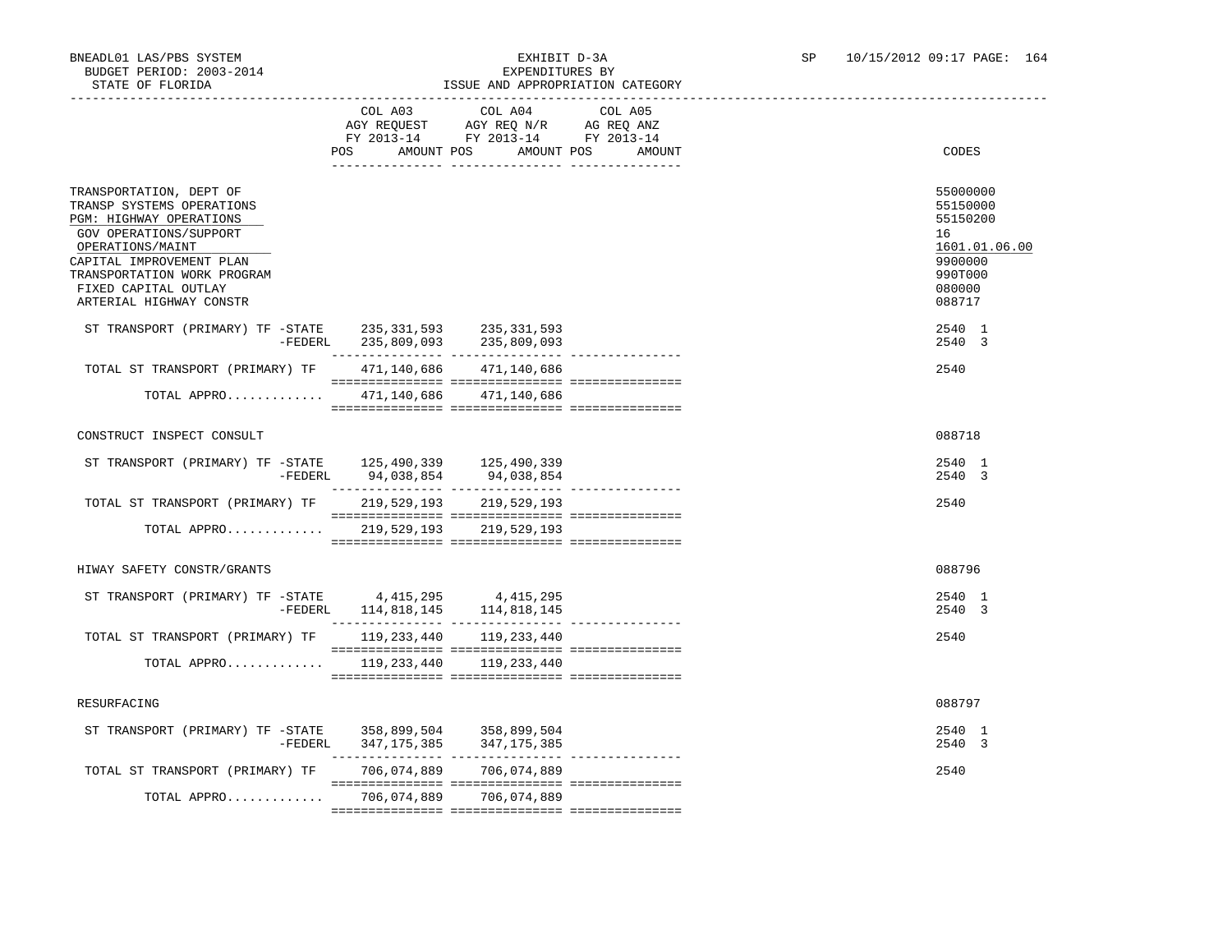## BNEADL01 LAS/PBS SYSTEM<br>BUDGET PERIOD: 2003-2014<br>CHIRIST DELLEY DESPROYMENT SURFAMPLE RY SP 10/15/2012 09:17 PAGE: 164 ISSUE AND APPROPRIATION CATEGORY

|                                                                                                                                                                                                                                                                                                                 | COL A03                  | COL A04<br>AGY REQUEST AGY REQ N/R AG REQ ANZ<br>FY 2013-14 FY 2013-14 FY 2013-14 | COL A05 |                                                                                                   |
|-----------------------------------------------------------------------------------------------------------------------------------------------------------------------------------------------------------------------------------------------------------------------------------------------------------------|--------------------------|-----------------------------------------------------------------------------------|---------|---------------------------------------------------------------------------------------------------|
|                                                                                                                                                                                                                                                                                                                 | AMOUNT POS<br>POS        | AMOUNT POS                                                                        | AMOUNT  | CODES                                                                                             |
| TRANSPORTATION, DEPT OF<br>TRANSP SYSTEMS OPERATIONS<br>PGM: HIGHWAY OPERATIONS<br>GOV OPERATIONS/SUPPORT<br>OPERATIONS/MAINT<br>CAPITAL IMPROVEMENT PLAN<br>TRANSPORTATION WORK PROGRAM<br>FIXED CAPITAL OUTLAY<br>ARTERIAL HIGHWAY CONSTR                                                                     |                          |                                                                                   |         | 55000000<br>55150000<br>55150200<br>16<br>1601.01.06.00<br>9900000<br>990T000<br>080000<br>088717 |
| ST TRANSPORT (PRIMARY) TF -STATE 235, 331, 593 235, 331, 593                                                                                                                                                                                                                                                    |                          |                                                                                   |         | 2540 1<br>2540 3                                                                                  |
| TOTAL ST TRANSPORT (PRIMARY) TF 471,140,686 471,140,686                                                                                                                                                                                                                                                         |                          |                                                                                   |         | 2540                                                                                              |
| TOTAL APPRO 471,140,686 471,140,686                                                                                                                                                                                                                                                                             |                          |                                                                                   |         |                                                                                                   |
| CONSTRUCT INSPECT CONSULT                                                                                                                                                                                                                                                                                       |                          |                                                                                   |         | 088718                                                                                            |
| ST TRANSPORT (PRIMARY) TF -STATE 125,490,339 125,490,339                                                                                                                                                                                                                                                        |                          |                                                                                   |         | 2540 1<br>2540 3                                                                                  |
| TOTAL ST TRANSPORT (PRIMARY) TF                                                                                                                                                                                                                                                                                 |                          | 219,529,193 219,529,193                                                           |         | 2540                                                                                              |
| TOTAL APPRO                                                                                                                                                                                                                                                                                                     |                          | 219,529,193 219,529,193                                                           |         |                                                                                                   |
| HIWAY SAFETY CONSTR/GRANTS                                                                                                                                                                                                                                                                                      |                          |                                                                                   |         | 088796                                                                                            |
| $\begin{tabular}{lllllll} \texttt{ST TRANSPORT} & (PRIMARY) & \texttt{TF} & -STATE & 4,415,295 & 4,415,295 \\ & & -\texttt{FEDERL} & 114,818,145 & 114,818,145 \\ & & & -\texttt{FEDERL} & 114,818,145 & 114,818,145 \\ & & & -\texttt{-----------} & -\texttt{-----------} & -\texttt{--------} \end{tabular}$ |                          |                                                                                   |         | 2540 1<br>2540 3                                                                                  |
| TOTAL ST TRANSPORT (PRIMARY) TF 119,233,440 119,233,440                                                                                                                                                                                                                                                         |                          |                                                                                   |         | 2540                                                                                              |
| TOTAL APPRO                                                                                                                                                                                                                                                                                                     |                          | 119, 233, 440 119, 233, 440                                                       |         |                                                                                                   |
| RESURFACING                                                                                                                                                                                                                                                                                                     |                          |                                                                                   |         | 088797                                                                                            |
| ST TRANSPORT (PRIMARY) TF -STATE 358,899,504 358,899,504                                                                                                                                                                                                                                                        | $-$ FEDERL 347, 175, 385 | 347,175,385                                                                       |         | 2540 1<br>2540 3                                                                                  |
| TOTAL ST TRANSPORT (PRIMARY) TF                                                                                                                                                                                                                                                                                 |                          | 706,074,889 706,074,889                                                           |         | 2540                                                                                              |
| TOTAL APPRO                                                                                                                                                                                                                                                                                                     |                          | 706,074,889 706,074,889                                                           |         |                                                                                                   |
|                                                                                                                                                                                                                                                                                                                 |                          |                                                                                   |         |                                                                                                   |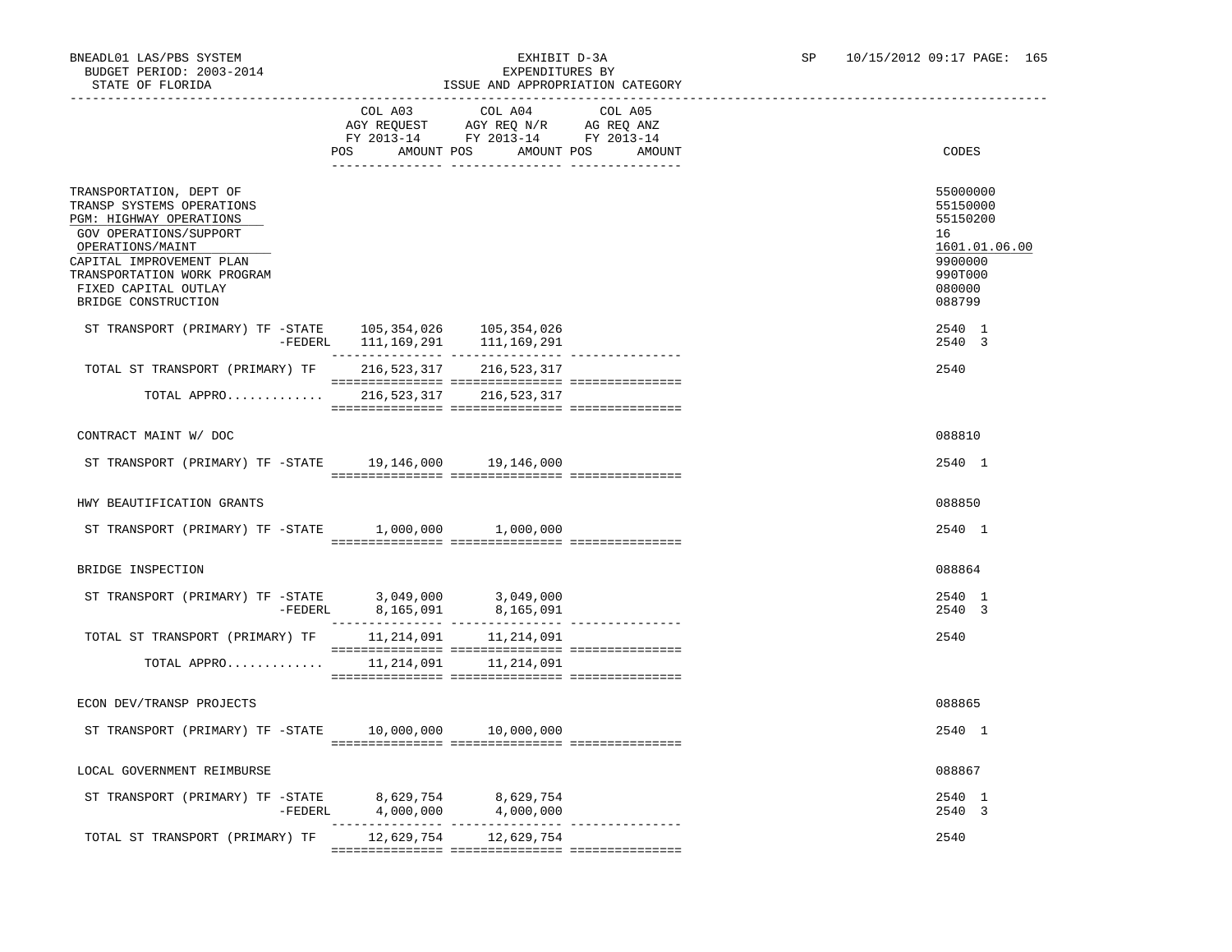# ISSUE AND APPROPRIATION CATEGORY

|                                                                                                                                                                                                                                         | COL A03<br>POS                      | COL A04<br>AGY REQUEST AGY REQ N/R AG REQ ANZ<br>FY 2013-14 FY 2013-14 FY 2013-14<br>AMOUNT POS AMOUNT POS | COL A05<br>AMOUNT | CODES                                                                                             |
|-----------------------------------------------------------------------------------------------------------------------------------------------------------------------------------------------------------------------------------------|-------------------------------------|------------------------------------------------------------------------------------------------------------|-------------------|---------------------------------------------------------------------------------------------------|
|                                                                                                                                                                                                                                         |                                     |                                                                                                            |                   |                                                                                                   |
| TRANSPORTATION, DEPT OF<br>TRANSP SYSTEMS OPERATIONS<br>PGM: HIGHWAY OPERATIONS<br>GOV OPERATIONS/SUPPORT<br>OPERATIONS/MAINT<br>CAPITAL IMPROVEMENT PLAN<br>TRANSPORTATION WORK PROGRAM<br>FIXED CAPITAL OUTLAY<br>BRIDGE CONSTRUCTION |                                     |                                                                                                            |                   | 55000000<br>55150000<br>55150200<br>16<br>1601.01.06.00<br>9900000<br>990T000<br>080000<br>088799 |
| ST TRANSPORT (PRIMARY) TF -STATE 105,354,026 105,354,026                                                                                                                                                                                | -FEDERL 111, 169, 291 111, 169, 291 |                                                                                                            |                   | 2540 1<br>2540 3                                                                                  |
| TOTAL ST TRANSPORT (PRIMARY) TF 216,523,317 216,523,317                                                                                                                                                                                 |                                     |                                                                                                            |                   | 2540                                                                                              |
| TOTAL APPRO 216,523,317 216,523,317                                                                                                                                                                                                     |                                     |                                                                                                            |                   |                                                                                                   |
| CONTRACT MAINT W/ DOC                                                                                                                                                                                                                   |                                     |                                                                                                            |                   | 088810                                                                                            |
| ST TRANSPORT (PRIMARY) TF -STATE 19,146,000 19,146,000                                                                                                                                                                                  |                                     |                                                                                                            |                   | 2540 1                                                                                            |
| HWY BEAUTIFICATION GRANTS                                                                                                                                                                                                               |                                     |                                                                                                            |                   | 088850                                                                                            |
| ST TRANSPORT (PRIMARY) TF -STATE 1,000,000 1,000,000                                                                                                                                                                                    |                                     |                                                                                                            |                   | 2540 1                                                                                            |
| BRIDGE INSPECTION                                                                                                                                                                                                                       |                                     |                                                                                                            |                   | 088864                                                                                            |
|                                                                                                                                                                                                                                         |                                     |                                                                                                            |                   | 2540 1<br>2540 3                                                                                  |
| TOTAL ST TRANSPORT (PRIMARY) TF 11, 214, 091 11, 214, 091                                                                                                                                                                               |                                     |                                                                                                            |                   | 2540                                                                                              |
| TOTAL APPRO                                                                                                                                                                                                                             |                                     | 11, 214, 091 11, 214, 091                                                                                  |                   |                                                                                                   |
| ECON DEV/TRANSP PROJECTS                                                                                                                                                                                                                |                                     |                                                                                                            |                   | 088865                                                                                            |
| ST TRANSPORT (PRIMARY) TF - STATE 10,000,000 10,000,000                                                                                                                                                                                 |                                     |                                                                                                            |                   | 2540 1                                                                                            |
| LOCAL GOVERNMENT REIMBURSE                                                                                                                                                                                                              |                                     |                                                                                                            |                   | 088867                                                                                            |
| $\begin{tabular}{lllllllll} \texttt{ST TRANSPORT} & (PRIMARY) & TF & -STATE & \texttt{8,629,754} & \texttt{8,629,754} \\ & & - \texttt{FEDERL} & \texttt{4,000,000} & \texttt{4,000,000} \end{tabular}$                                 |                                     |                                                                                                            |                   | 2540 1<br>2540 3                                                                                  |
| TOTAL ST TRANSPORT (PRIMARY) TF 12,629,754 12,629,754                                                                                                                                                                                   |                                     |                                                                                                            |                   | 2540                                                                                              |

=============== =============== ===============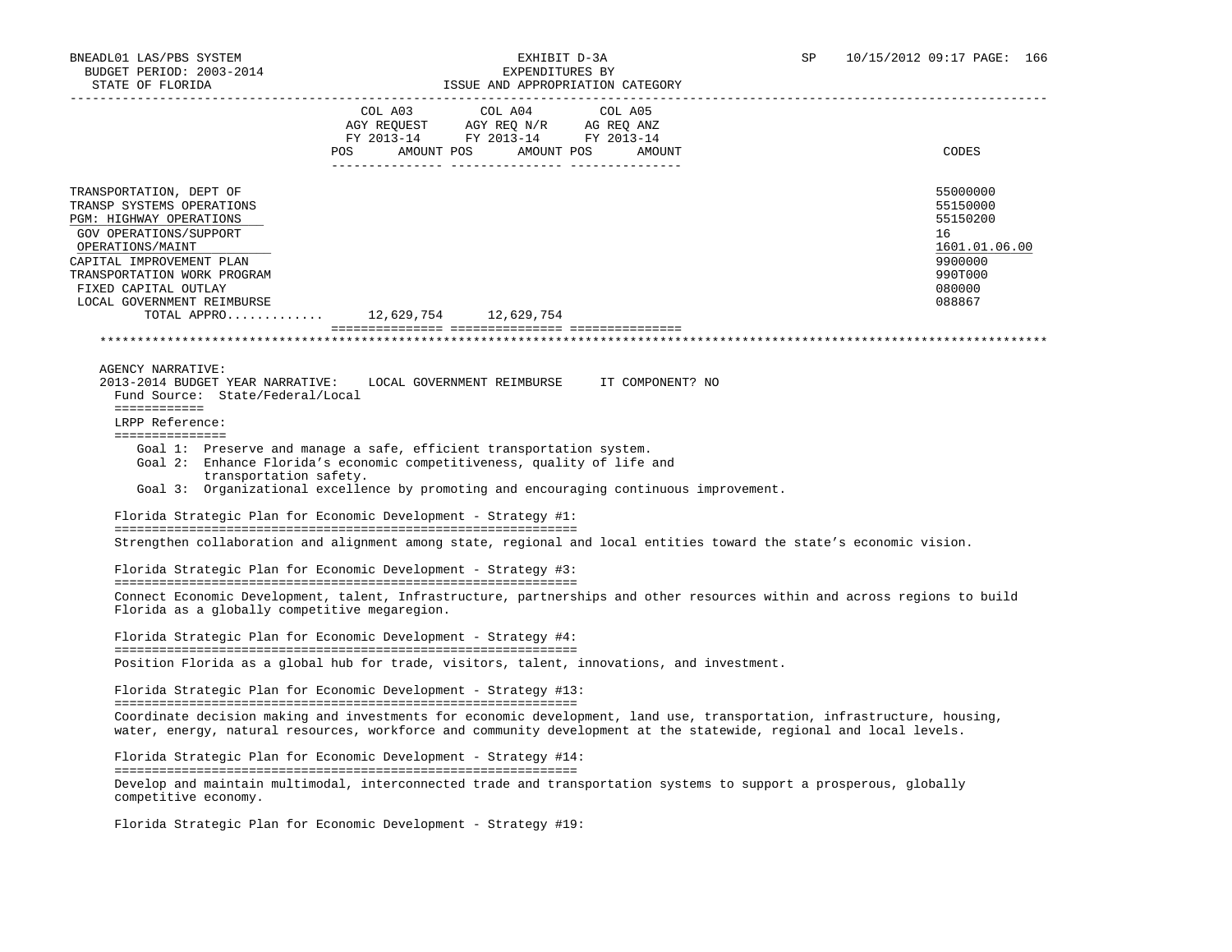| STATE OF FLORIDA                                                                                                                                                          |     |                                                                                                                    | ISSUE AND APPROPRIATION CAIEGORY                                                       |                                                                                                                                                                                                                                               |
|---------------------------------------------------------------------------------------------------------------------------------------------------------------------------|-----|--------------------------------------------------------------------------------------------------------------------|----------------------------------------------------------------------------------------|-----------------------------------------------------------------------------------------------------------------------------------------------------------------------------------------------------------------------------------------------|
|                                                                                                                                                                           | POS | COL A03 COL A04<br>AGY REQUEST AGY REQ N/R AG REQ ANZ<br>FY 2013-14 FY 2013-14 FY 2013-14<br>AMOUNT POS AMOUNT POS | COL A05<br>AMOUNT                                                                      | CODES                                                                                                                                                                                                                                         |
| TRANSPORTATION, DEPT OF                                                                                                                                                   |     |                                                                                                                    |                                                                                        | 55000000                                                                                                                                                                                                                                      |
| TRANSP SYSTEMS OPERATIONS<br>PGM: HIGHWAY OPERATIONS                                                                                                                      |     |                                                                                                                    |                                                                                        | 55150000<br>55150200                                                                                                                                                                                                                          |
| GOV OPERATIONS/SUPPORT                                                                                                                                                    |     |                                                                                                                    |                                                                                        | 16                                                                                                                                                                                                                                            |
| OPERATIONS/MAINT<br>CAPITAL IMPROVEMENT PLAN                                                                                                                              |     |                                                                                                                    |                                                                                        | 1601.01.06.00<br>9900000                                                                                                                                                                                                                      |
| TRANSPORTATION WORK PROGRAM                                                                                                                                               |     |                                                                                                                    |                                                                                        | 990T000                                                                                                                                                                                                                                       |
| FIXED CAPITAL OUTLAY<br>LOCAL GOVERNMENT REIMBURSE                                                                                                                        |     |                                                                                                                    |                                                                                        | 080000<br>088867                                                                                                                                                                                                                              |
| TOTAL APPRO 12,629,754 12,629,754                                                                                                                                         |     |                                                                                                                    |                                                                                        |                                                                                                                                                                                                                                               |
|                                                                                                                                                                           |     |                                                                                                                    |                                                                                        |                                                                                                                                                                                                                                               |
|                                                                                                                                                                           |     |                                                                                                                    |                                                                                        |                                                                                                                                                                                                                                               |
| AGENCY NARRATIVE:<br>2013-2014 BUDGET YEAR NARRATIVE:<br>Fund Source: State/Federal/Local                                                                                 |     |                                                                                                                    | LOCAL GOVERNMENT REIMBURSE IT COMPONENT? NO                                            |                                                                                                                                                                                                                                               |
| ============<br>LRPP Reference:                                                                                                                                           |     |                                                                                                                    |                                                                                        |                                                                                                                                                                                                                                               |
| ===============                                                                                                                                                           |     |                                                                                                                    |                                                                                        |                                                                                                                                                                                                                                               |
| Goal 1: Preserve and manage a safe, efficient transportation system.<br>Goal 2: Enhance Florida's economic competitiveness, quality of life and<br>transportation safety. |     |                                                                                                                    |                                                                                        |                                                                                                                                                                                                                                               |
|                                                                                                                                                                           |     |                                                                                                                    | Goal 3: Organizational excellence by promoting and encouraging continuous improvement. |                                                                                                                                                                                                                                               |
| Florida Strategic Plan for Economic Development - Strategy #1:                                                                                                            |     |                                                                                                                    |                                                                                        |                                                                                                                                                                                                                                               |
|                                                                                                                                                                           |     |                                                                                                                    |                                                                                        | Strengthen collaboration and alignment among state, regional and local entities toward the state's economic vision.                                                                                                                           |
|                                                                                                                                                                           |     |                                                                                                                    |                                                                                        |                                                                                                                                                                                                                                               |
| Florida Strategic Plan for Economic Development - Strategy #3:                                                                                                            |     |                                                                                                                    |                                                                                        |                                                                                                                                                                                                                                               |
|                                                                                                                                                                           |     |                                                                                                                    |                                                                                        | Connect Economic Development, talent, Infrastructure, partnerships and other resources within and across regions to build                                                                                                                     |
| Florida as a globally competitive megaregion.                                                                                                                             |     |                                                                                                                    |                                                                                        |                                                                                                                                                                                                                                               |
| Florida Strategic Plan for Economic Development - Strategy #4:                                                                                                            |     |                                                                                                                    |                                                                                        |                                                                                                                                                                                                                                               |
| Position Florida as a global hub for trade, visitors, talent, innovations, and investment.                                                                                |     |                                                                                                                    |                                                                                        |                                                                                                                                                                                                                                               |
| Florida Strategic Plan for Economic Development - Strategy #13:                                                                                                           |     |                                                                                                                    |                                                                                        |                                                                                                                                                                                                                                               |
|                                                                                                                                                                           |     |                                                                                                                    |                                                                                        |                                                                                                                                                                                                                                               |
|                                                                                                                                                                           |     |                                                                                                                    |                                                                                        | Coordinate decision making and investments for economic development, land use, transportation, infrastructure, housing,<br>water, energy, natural resources, workforce and community development at the statewide, regional and local levels. |
| Florida Strategic Plan for Economic Development - Strategy #14:                                                                                                           |     |                                                                                                                    |                                                                                        |                                                                                                                                                                                                                                               |
|                                                                                                                                                                           |     |                                                                                                                    |                                                                                        | Develop and maintain multimodal, interconnected trade and transportation systems to support a prosperous, globally                                                                                                                            |
| competitive economy.                                                                                                                                                      |     |                                                                                                                    |                                                                                        |                                                                                                                                                                                                                                               |
| Florida Strategic Plan for Economic Development - Strategy #19:                                                                                                           |     |                                                                                                                    |                                                                                        |                                                                                                                                                                                                                                               |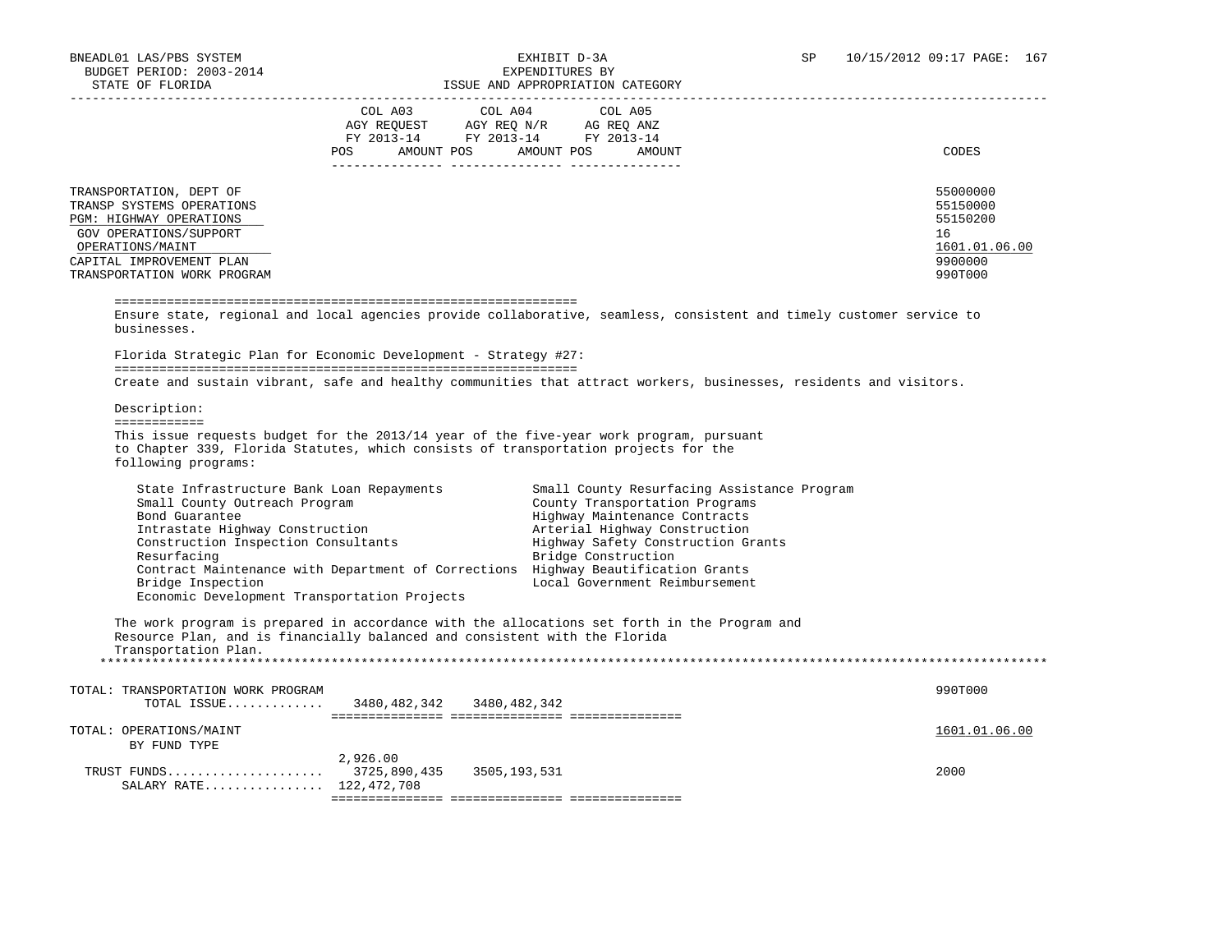### BNEADL01 LAS/PBS SYSTEM EXHIBIT D-3A SP 10/15/2012 09:17 PAGE: 167 ISSUE AND APPROPRIATION CATEGORY

|                                                                                                                                                           | COL A03 COL A04<br>AGY REQUEST AGY REQ N/R AG REQ ANZ<br>FY 2013-14 FY 2013-14 FY 2013-14<br>POS AMOUNT POS AMOUNT POS AMOUNT | COL A05                                                                                                                                                                                                      | CODES                                                              |
|-----------------------------------------------------------------------------------------------------------------------------------------------------------|-------------------------------------------------------------------------------------------------------------------------------|--------------------------------------------------------------------------------------------------------------------------------------------------------------------------------------------------------------|--------------------------------------------------------------------|
|                                                                                                                                                           |                                                                                                                               |                                                                                                                                                                                                              |                                                                    |
| TRANSPORTATION, DEPT OF<br>TRANSP SYSTEMS OPERATIONS<br>PGM: HIGHWAY OPERATIONS<br>GOV OPERATIONS/SUPPORT<br>OPERATIONS/MAINT<br>CAPITAL IMPROVEMENT PLAN |                                                                                                                               |                                                                                                                                                                                                              | 55000000<br>55150000<br>55150200<br>16<br>1601.01.06.00<br>9900000 |
| TRANSPORTATION WORK PROGRAM                                                                                                                               |                                                                                                                               |                                                                                                                                                                                                              | 990T000                                                            |
| businesses.                                                                                                                                               | Florida Strategic Plan for Economic Development - Strategy #27:                                                               | Create and sustain vibrant, safe and healthy communities that attract workers, businesses, residents and visitors.                                                                                           |                                                                    |
| Description:                                                                                                                                              |                                                                                                                               |                                                                                                                                                                                                              |                                                                    |
| ============                                                                                                                                              |                                                                                                                               |                                                                                                                                                                                                              |                                                                    |
| following programs:                                                                                                                                       | to Chapter 339, Florida Statutes, which consists of transportation projects for the                                           | This issue requests budget for the 2013/14 year of the five-year work program, pursuant                                                                                                                      |                                                                    |
| State Infrastructure Bank Loan Repayments<br>Small County Outreach Program<br>Bond Guarantee<br>Intrastate Highway Construction                           |                                                                                                                               | Small County Resurfacing Assistance Program<br>County Transportation Programs<br>Highway Maintenance Contracts<br>Arterial Highway Construction<br>Highway Safety Construction Grants<br>Bridge Construction |                                                                    |
| Construction Inspection Consultants<br>Resurfacing<br>Bridge Inspection                                                                                   |                                                                                                                               | Contract Maintenance with Department of Corrections Highway Beautification Grants<br>Local Government Reimbursement                                                                                          |                                                                    |
| Economic Development Transportation Projects                                                                                                              |                                                                                                                               |                                                                                                                                                                                                              |                                                                    |
| Transportation Plan.                                                                                                                                      | Resource Plan, and is financially balanced and consistent with the Florida                                                    | The work program is prepared in accordance with the allocations set forth in the Program and                                                                                                                 |                                                                    |
|                                                                                                                                                           |                                                                                                                               |                                                                                                                                                                                                              |                                                                    |
|                                                                                                                                                           | TOTAL ISSUE 3480, 482, 342 3480, 482, 342                                                                                     |                                                                                                                                                                                                              | 990T000                                                            |
| TOTAL: TRANSPORTATION WORK PROGRAM<br>TOTAL: OPERATIONS/MAINT<br>BY FUND TYPE                                                                             | 2,926.00                                                                                                                      |                                                                                                                                                                                                              | 1601.01.06.00                                                      |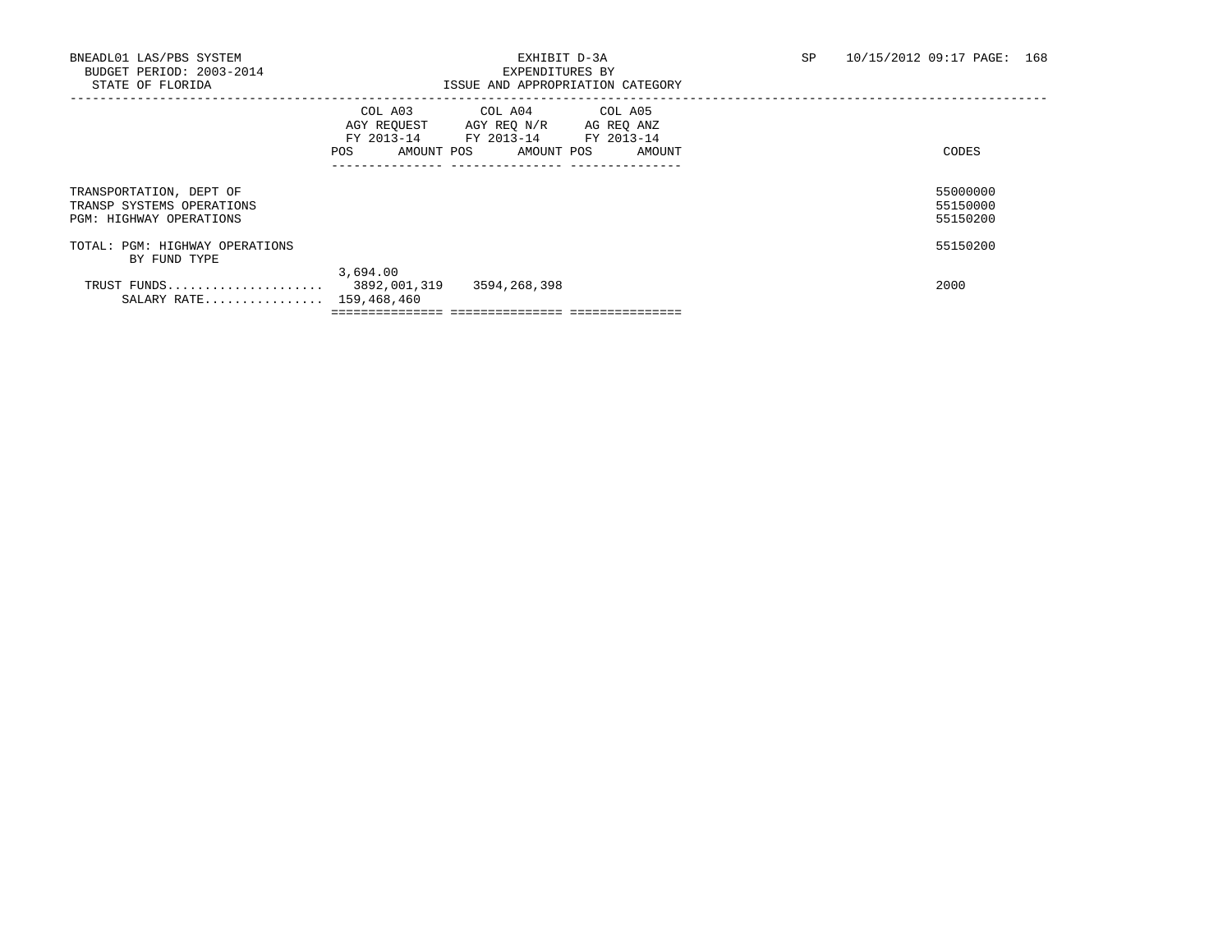## BNEADL01 LAS/PBS SYSTEM EXHIBIT D-3A SP 10/15/2012 09:17 PAGE: 168<br>BUDGET PERIOD: 2003-2014 SEXPENDITIERS BY ISSUE AND APPROPRIATION CATEGORY

|                                                                                        | COL A03<br>AGY REQUEST<br>FY 2013-14<br>POS<br>AMOUNT POS | COL A04 COL A05<br>AGY REQ N/R AG REQ ANZ<br>FY 2013-14 FY 2013-14<br>AMOUNT POS | AMOUNT | CODES |                                  |
|----------------------------------------------------------------------------------------|-----------------------------------------------------------|----------------------------------------------------------------------------------|--------|-------|----------------------------------|
| TRANSPORTATION, DEPT OF<br>TRANSP SYSTEMS OPERATIONS<br><b>PGM: HIGHWAY OPERATIONS</b> |                                                           |                                                                                  |        |       | 55000000<br>55150000<br>55150200 |
| TOTAL: PGM: HIGHWAY OPERATIONS<br>BY FUND TYPE                                         |                                                           |                                                                                  |        |       | 55150200                         |
| TRUST FUNDS<br>SALARY RATE 159,468,460                                                 | 3,694.00<br>3892,001,319                                  | 3594,268,398                                                                     |        | 2000  |                                  |
|                                                                                        |                                                           |                                                                                  |        |       |                                  |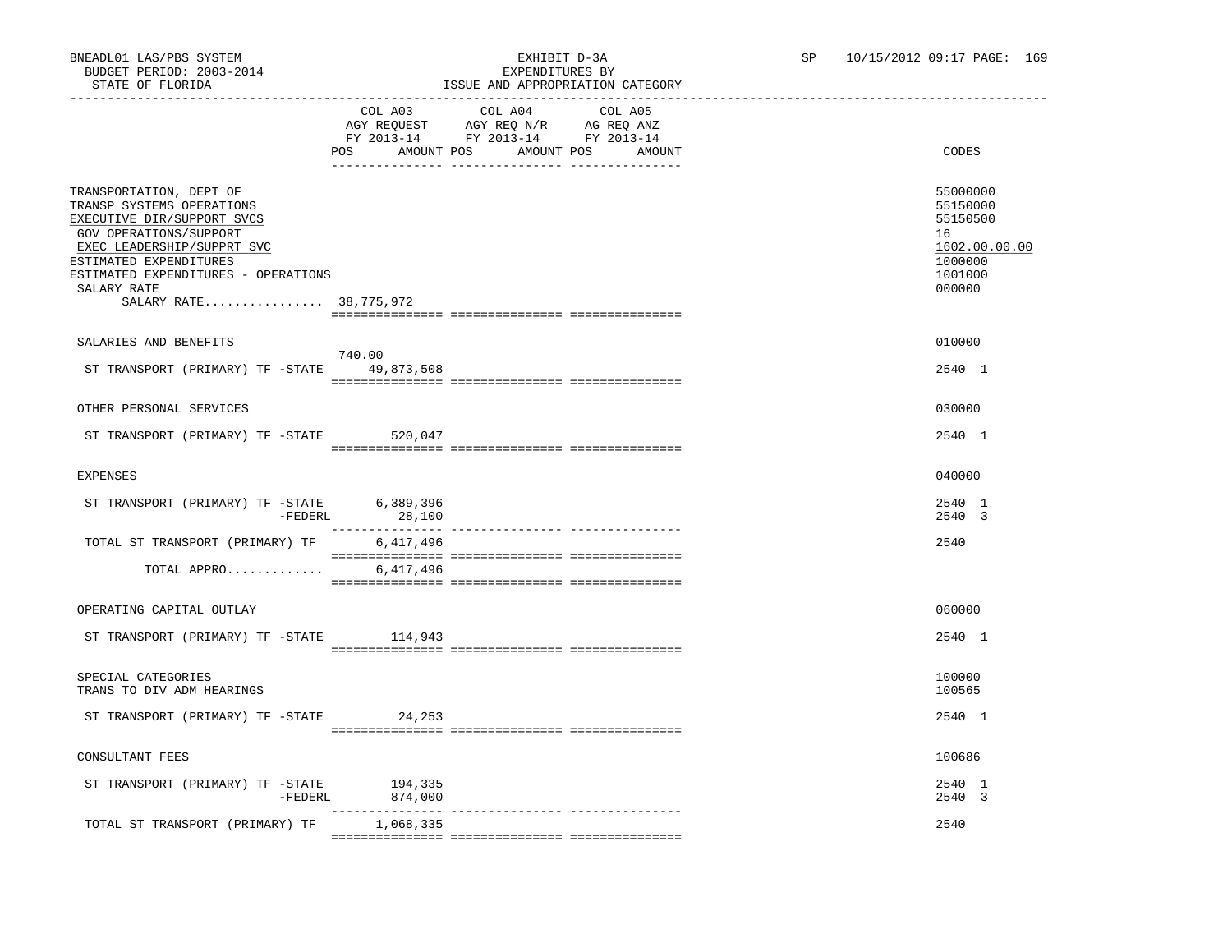|                                                                                                                                                                                                                                                      |                              | TOOOT TIME TI LIVERITI TOIM                                                       | - CLIPCO CLIP                   |                                                                                         |
|------------------------------------------------------------------------------------------------------------------------------------------------------------------------------------------------------------------------------------------------------|------------------------------|-----------------------------------------------------------------------------------|---------------------------------|-----------------------------------------------------------------------------------------|
|                                                                                                                                                                                                                                                      | COL A03<br>POS<br>AMOUNT POS | COL A04<br>AGY REQUEST AGY REQ N/R AG REQ ANZ<br>FY 2013-14 FY 2013-14 FY 2013-14 | COL A05<br>AMOUNT POS<br>AMOUNT | CODES                                                                                   |
| TRANSPORTATION, DEPT OF<br>TRANSP SYSTEMS OPERATIONS<br>EXECUTIVE DIR/SUPPORT SVCS<br>GOV OPERATIONS/SUPPORT<br>EXEC LEADERSHIP/SUPPRT SVC<br>ESTIMATED EXPENDITURES<br>ESTIMATED EXPENDITURES - OPERATIONS<br>SALARY RATE<br>SALARY RATE 38,775,972 |                              |                                                                                   |                                 | 55000000<br>55150000<br>55150500<br>16<br>1602.00.00.00<br>1000000<br>1001000<br>000000 |
| SALARIES AND BENEFITS                                                                                                                                                                                                                                |                              |                                                                                   |                                 | 010000                                                                                  |
|                                                                                                                                                                                                                                                      | 740.00                       |                                                                                   |                                 |                                                                                         |
| ST TRANSPORT (PRIMARY) TF -STATE 49,873,508                                                                                                                                                                                                          |                              |                                                                                   |                                 | 2540 1                                                                                  |
| OTHER PERSONAL SERVICES                                                                                                                                                                                                                              |                              |                                                                                   |                                 | 030000                                                                                  |
|                                                                                                                                                                                                                                                      |                              |                                                                                   |                                 |                                                                                         |
| ST TRANSPORT (PRIMARY) TF -STATE 520,047                                                                                                                                                                                                             |                              |                                                                                   |                                 | 2540 1                                                                                  |
| EXPENSES                                                                                                                                                                                                                                             |                              |                                                                                   |                                 | 040000                                                                                  |
|                                                                                                                                                                                                                                                      |                              |                                                                                   |                                 |                                                                                         |
| ST TRANSPORT (PRIMARY) TF -STATE 6,389,396<br>$-FEDERL$                                                                                                                                                                                              | 28,100                       |                                                                                   |                                 | 2540 1<br>2540 3                                                                        |
| TOTAL ST TRANSPORT (PRIMARY) TF                                                                                                                                                                                                                      | 6,417,496                    |                                                                                   |                                 | 2540                                                                                    |
| TOTAL APPRO                                                                                                                                                                                                                                          | 6,417,496                    |                                                                                   |                                 |                                                                                         |
|                                                                                                                                                                                                                                                      |                              |                                                                                   |                                 |                                                                                         |
| OPERATING CAPITAL OUTLAY                                                                                                                                                                                                                             |                              |                                                                                   |                                 | 060000                                                                                  |
| ST TRANSPORT (PRIMARY) TF -STATE 114,943                                                                                                                                                                                                             |                              |                                                                                   |                                 | 2540 1                                                                                  |
|                                                                                                                                                                                                                                                      |                              |                                                                                   |                                 |                                                                                         |
| SPECIAL CATEGORIES<br>TRANS TO DIV ADM HEARINGS                                                                                                                                                                                                      |                              |                                                                                   |                                 | 100000<br>100565                                                                        |
| ST TRANSPORT (PRIMARY) TF -STATE                                                                                                                                                                                                                     | 24,253                       |                                                                                   |                                 | 2540 1                                                                                  |
|                                                                                                                                                                                                                                                      |                              |                                                                                   |                                 |                                                                                         |
| CONSULTANT FEES                                                                                                                                                                                                                                      |                              |                                                                                   |                                 | 100686                                                                                  |
| ST TRANSPORT (PRIMARY) TF $-$ STATE 194,335                                                                                                                                                                                                          |                              |                                                                                   |                                 | 2540 1                                                                                  |
| -FEDERL                                                                                                                                                                                                                                              | 874,000                      |                                                                                   |                                 | 2540 3                                                                                  |
| TOTAL ST TRANSPORT (PRIMARY) TF                                                                                                                                                                                                                      | 1,068,335                    |                                                                                   |                                 | 2540                                                                                    |

=============== =============== ===============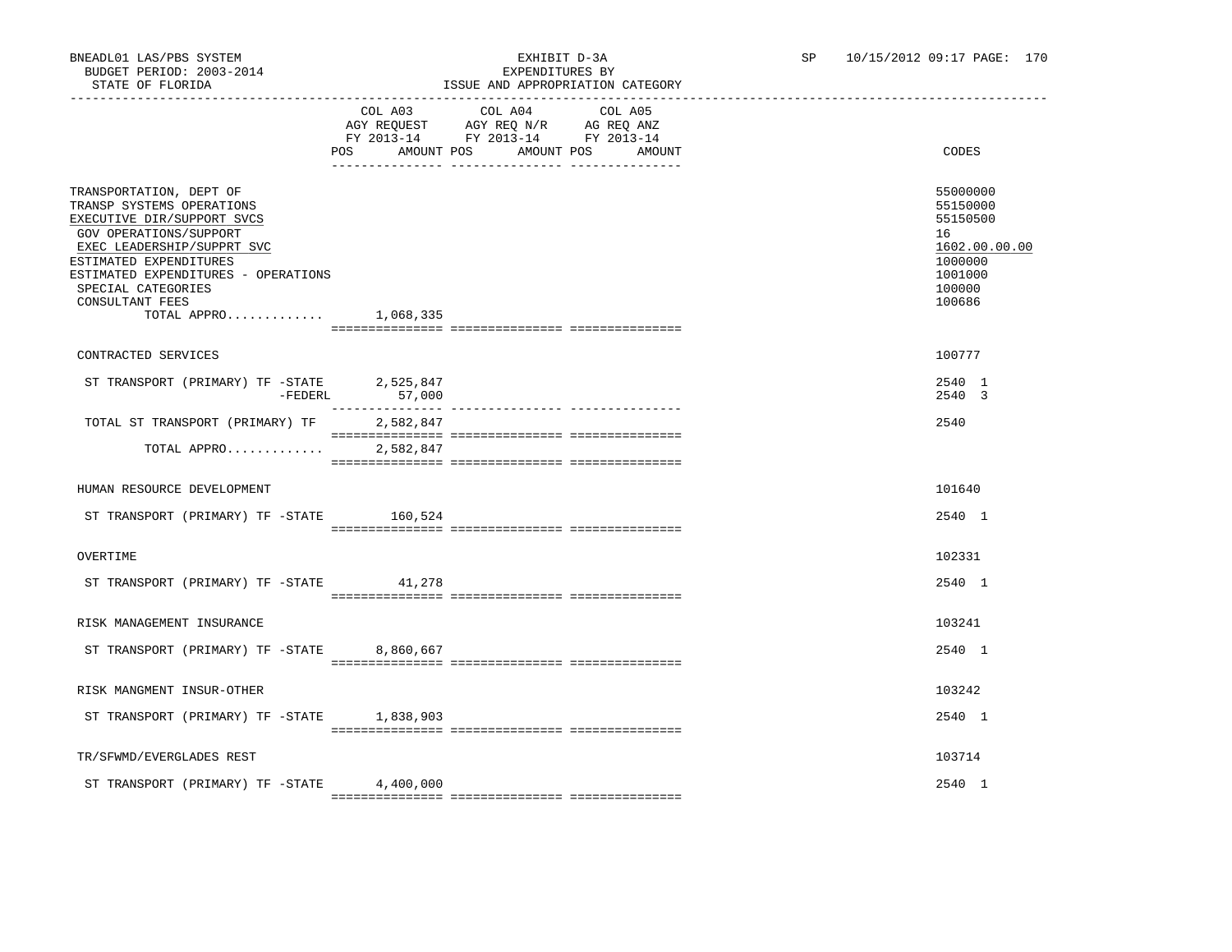## BNEADL01 LAS/PBS SYSTEM EXHIBIT D-3A SP 10/15/2012 09:17 PAGE: 170 ISSUE AND APPROPRIATION CATEGORY

|                                                                                                                                                                                                                                                                               | POS AMOUNT POS | COL A03 COL A04<br>$\begin{tabular}{lllllllll} \bf AGY & \bf REQUEST & \bf AGY & \bf REQ & \bf N/R & \bf AG & \bf REQ & \bf ANZ \\ \bf FY & \tt 2013-14 & \bf FY & \tt 2013-14 & \bf FY & \tt 2013-14 \\ \end{tabular}$ | COL A05<br>AMOUNT POS<br>AMOUNT | CODES                                                                                             |
|-------------------------------------------------------------------------------------------------------------------------------------------------------------------------------------------------------------------------------------------------------------------------------|----------------|-------------------------------------------------------------------------------------------------------------------------------------------------------------------------------------------------------------------------|---------------------------------|---------------------------------------------------------------------------------------------------|
| TRANSPORTATION, DEPT OF<br>TRANSP SYSTEMS OPERATIONS<br>EXECUTIVE DIR/SUPPORT SVCS<br>GOV OPERATIONS/SUPPORT<br>EXEC LEADERSHIP/SUPPRT SVC<br>ESTIMATED EXPENDITURES<br>ESTIMATED EXPENDITURES - OPERATIONS<br>SPECIAL CATEGORIES<br>CONSULTANT FEES<br>TOTAL APPRO 1,068,335 |                |                                                                                                                                                                                                                         |                                 | 55000000<br>55150000<br>55150500<br>16<br>1602.00.00.00<br>1000000<br>1001000<br>100000<br>100686 |
|                                                                                                                                                                                                                                                                               |                |                                                                                                                                                                                                                         |                                 |                                                                                                   |
| CONTRACTED SERVICES                                                                                                                                                                                                                                                           |                |                                                                                                                                                                                                                         |                                 | 100777                                                                                            |
| ST TRANSPORT (PRIMARY) TF -STATE 2,525,847<br>$-FEDERL$                                                                                                                                                                                                                       | 57,000         |                                                                                                                                                                                                                         |                                 | 2540 1<br>2540 3                                                                                  |
| TOTAL ST TRANSPORT (PRIMARY) TF                                                                                                                                                                                                                                               | 2,582,847      |                                                                                                                                                                                                                         |                                 | 2540                                                                                              |
| TOTAL APPRO                                                                                                                                                                                                                                                                   | 2,582,847      |                                                                                                                                                                                                                         |                                 |                                                                                                   |
| HUMAN RESOURCE DEVELOPMENT                                                                                                                                                                                                                                                    |                |                                                                                                                                                                                                                         |                                 | 101640                                                                                            |
| ST TRANSPORT (PRIMARY) TF -STATE 160,524                                                                                                                                                                                                                                      |                |                                                                                                                                                                                                                         |                                 | 2540 1                                                                                            |
| OVERTIME                                                                                                                                                                                                                                                                      |                |                                                                                                                                                                                                                         |                                 | 102331                                                                                            |
| ST TRANSPORT (PRIMARY) TF -STATE 41,278                                                                                                                                                                                                                                       |                |                                                                                                                                                                                                                         |                                 | 2540 1                                                                                            |
| RISK MANAGEMENT INSURANCE                                                                                                                                                                                                                                                     |                |                                                                                                                                                                                                                         |                                 | 103241                                                                                            |
| ST TRANSPORT (PRIMARY) TF -STATE                                                                                                                                                                                                                                              | 8,860,667      |                                                                                                                                                                                                                         |                                 | 2540 1                                                                                            |
| RISK MANGMENT INSUR-OTHER                                                                                                                                                                                                                                                     |                |                                                                                                                                                                                                                         |                                 | 103242                                                                                            |
| ST TRANSPORT (PRIMARY) TF -STATE 1,838,903                                                                                                                                                                                                                                    |                |                                                                                                                                                                                                                         |                                 | 2540 1                                                                                            |
| TR/SFWMD/EVERGLADES REST                                                                                                                                                                                                                                                      |                |                                                                                                                                                                                                                         |                                 | 103714                                                                                            |
| ST TRANSPORT (PRIMARY) TF -STATE                                                                                                                                                                                                                                              | 4,400,000      |                                                                                                                                                                                                                         |                                 | 2540 1                                                                                            |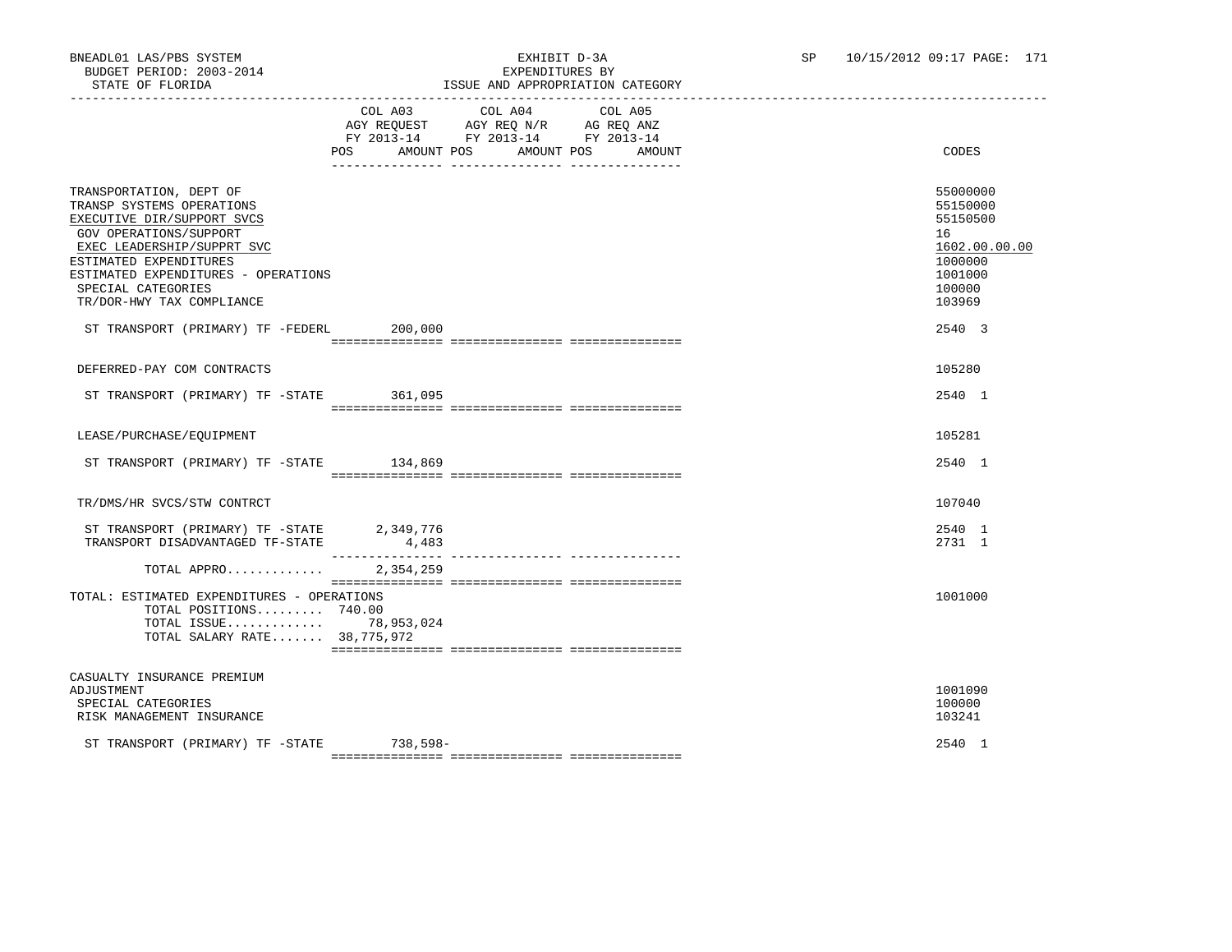## BNEADL01 LAS/PBS SYSTEM<br>BUDGET PERIOD: 2003-2014<br>CHIRIST DELLEY DESPRINSITIVES BY ISSUE AND APPROPRIATION CATEGORY

|                                                                                                                                                                                                                                                                | POS AMOUNT POS AMOUNT POS | COL A03 COL A04 COL A05<br>AGY REQUEST AGY REQ N/R AG REQ ANZ<br>FY 2013-14 FY 2013-14 FY 2013-14 | AMOUNT | CODES                                                                                             |
|----------------------------------------------------------------------------------------------------------------------------------------------------------------------------------------------------------------------------------------------------------------|---------------------------|---------------------------------------------------------------------------------------------------|--------|---------------------------------------------------------------------------------------------------|
| TRANSPORTATION, DEPT OF<br>TRANSP SYSTEMS OPERATIONS<br>EXECUTIVE DIR/SUPPORT SVCS<br>GOV OPERATIONS/SUPPORT<br>EXEC LEADERSHIP/SUPPRT SVC<br>ESTIMATED EXPENDITURES<br>ESTIMATED EXPENDITURES - OPERATIONS<br>SPECIAL CATEGORIES<br>TR/DOR-HWY TAX COMPLIANCE |                           |                                                                                                   |        | 55000000<br>55150000<br>55150500<br>16<br>1602.00.00.00<br>1000000<br>1001000<br>100000<br>103969 |
| ST TRANSPORT (PRIMARY) TF -FEDERL 200,000                                                                                                                                                                                                                      |                           |                                                                                                   |        | 2540 3                                                                                            |
| DEFERRED-PAY COM CONTRACTS                                                                                                                                                                                                                                     |                           |                                                                                                   |        | 105280                                                                                            |
|                                                                                                                                                                                                                                                                |                           |                                                                                                   |        |                                                                                                   |
| ST TRANSPORT (PRIMARY) TF -STATE 361,095                                                                                                                                                                                                                       |                           |                                                                                                   |        | 2540 1                                                                                            |
| LEASE/PURCHASE/EQUIPMENT                                                                                                                                                                                                                                       |                           |                                                                                                   |        | 105281                                                                                            |
| ST TRANSPORT (PRIMARY) TF -STATE 134,869                                                                                                                                                                                                                       |                           |                                                                                                   |        | 2540 1                                                                                            |
| TR/DMS/HR SVCS/STW CONTRCT                                                                                                                                                                                                                                     |                           |                                                                                                   |        | 107040                                                                                            |
| ST TRANSPORT (PRIMARY) TF -STATE                                                                                                                                                                                                                               | 2,349,776                 |                                                                                                   |        | 2540 1                                                                                            |
| TRANSPORT DISADVANTAGED TF-STATE                                                                                                                                                                                                                               | 4,483<br>________________ | --------------- ---------------                                                                   |        | 2731 1                                                                                            |
| TOTAL APPRO                                                                                                                                                                                                                                                    | 2,354,259                 |                                                                                                   |        |                                                                                                   |
| TOTAL: ESTIMATED EXPENDITURES - OPERATIONS<br>TOTAL POSITIONS 740.00<br>TOTAL ISSUE 78,953,024<br>TOTAL SALARY RATE 38,775,972                                                                                                                                 |                           |                                                                                                   |        | 1001000                                                                                           |
| CASUALTY INSURANCE PREMIUM<br>ADJUSTMENT<br>SPECIAL CATEGORIES<br>RISK MANAGEMENT INSURANCE                                                                                                                                                                    |                           |                                                                                                   |        | 1001090<br>100000<br>103241                                                                       |
| ST TRANSPORT (PRIMARY) TF -STATE 738,598-                                                                                                                                                                                                                      |                           |                                                                                                   |        | 2540 1                                                                                            |

=============== =============== ===============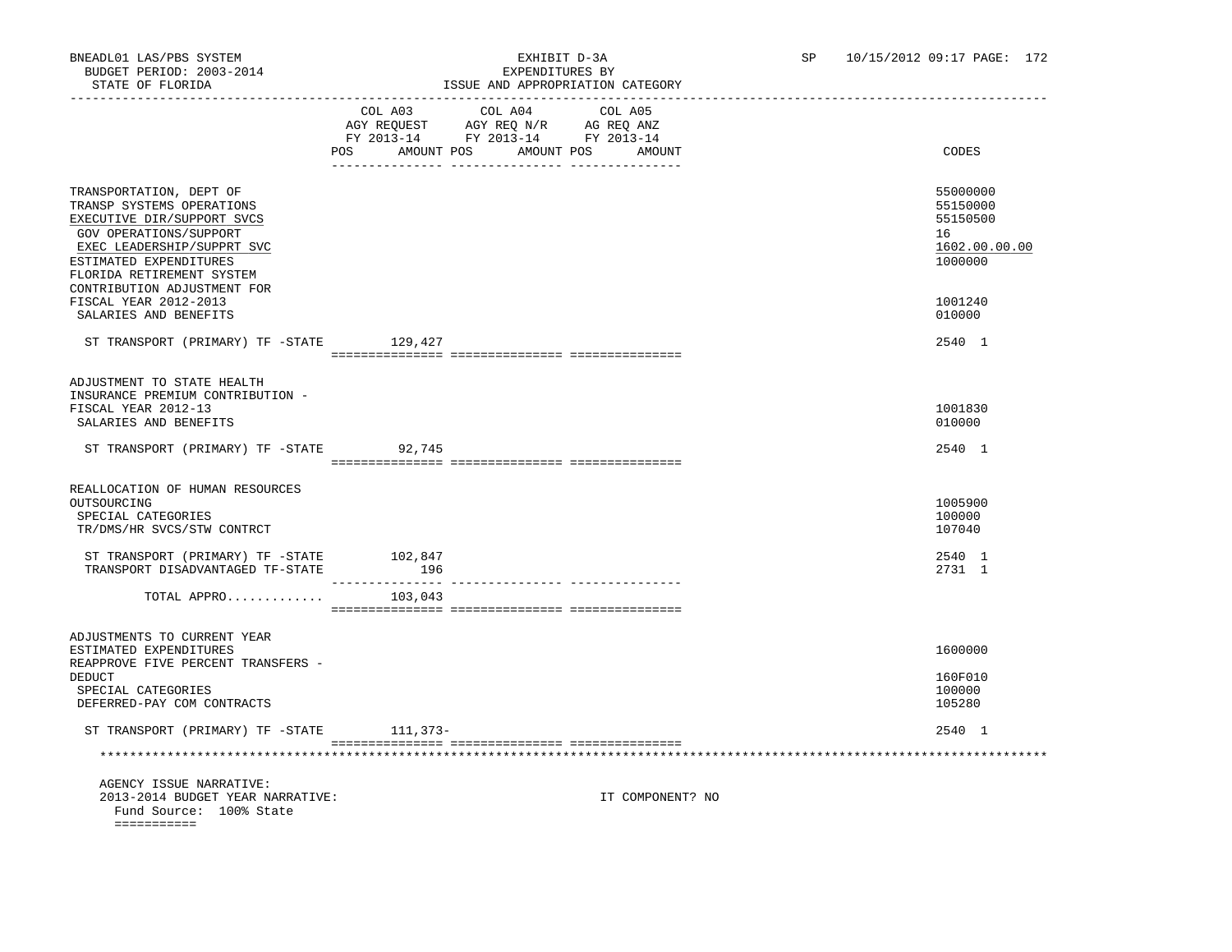# STATE OF FLORIDA ISSUE AND APPROPRIATION CATEGORY

| SIAIL UF FLUKIDA                                                                                                                                                                                                                 |                                                                                                                               | ISSUE AND APPROPRIATION CAIEGORY |         |                  |                                                                    |
|----------------------------------------------------------------------------------------------------------------------------------------------------------------------------------------------------------------------------------|-------------------------------------------------------------------------------------------------------------------------------|----------------------------------|---------|------------------|--------------------------------------------------------------------|
|                                                                                                                                                                                                                                  | COL A03 COL A04<br>AGY REQUEST AGY REQ N/R AG REQ ANZ<br>FY 2013-14 FY 2013-14 FY 2013-14<br>POS AMOUNT POS AMOUNT POS AMOUNT |                                  | COL A05 |                  | CODES                                                              |
| TRANSPORTATION, DEPT OF<br>TRANSP SYSTEMS OPERATIONS<br>EXECUTIVE DIR/SUPPORT SVCS<br>GOV OPERATIONS/SUPPORT<br>EXEC LEADERSHIP/SUPPRT SVC<br>ESTIMATED EXPENDITURES<br>FLORIDA RETIREMENT SYSTEM<br>CONTRIBUTION ADJUSTMENT FOR |                                                                                                                               |                                  |         |                  | 55000000<br>55150000<br>55150500<br>16<br>1602.00.00.00<br>1000000 |
| FISCAL YEAR 2012-2013<br>SALARIES AND BENEFITS                                                                                                                                                                                   |                                                                                                                               |                                  |         |                  | 1001240<br>010000                                                  |
| ST TRANSPORT (PRIMARY) TF -STATE 129,427                                                                                                                                                                                         |                                                                                                                               |                                  |         |                  | 2540 1                                                             |
| ADJUSTMENT TO STATE HEALTH<br>INSURANCE PREMIUM CONTRIBUTION -<br>FISCAL YEAR 2012-13<br>SALARIES AND BENEFITS                                                                                                                   |                                                                                                                               |                                  |         |                  | 1001830<br>010000                                                  |
| ST TRANSPORT (PRIMARY) TF -STATE 92,745                                                                                                                                                                                          |                                                                                                                               |                                  |         |                  | 2540 1                                                             |
| REALLOCATION OF HUMAN RESOURCES<br>OUTSOURCING<br>SPECIAL CATEGORIES<br>TR/DMS/HR SVCS/STW CONTRCT                                                                                                                               |                                                                                                                               |                                  |         |                  | 1005900<br>100000<br>107040                                        |
| ST TRANSPORT (PRIMARY) TF -STATE<br>TRANSPORT DISADVANTAGED TF-STATE                                                                                                                                                             | 102,847<br>196                                                                                                                |                                  |         |                  | 2540 1<br>2731 1                                                   |
| TOTAL APPRO                                                                                                                                                                                                                      | 103,043                                                                                                                       |                                  |         |                  |                                                                    |
| ADJUSTMENTS TO CURRENT YEAR<br>ESTIMATED EXPENDITURES<br>REAPPROVE FIVE PERCENT TRANSFERS -                                                                                                                                      |                                                                                                                               |                                  |         |                  | 1600000                                                            |
| DEDUCT<br>SPECIAL CATEGORIES<br>DEFERRED-PAY COM CONTRACTS                                                                                                                                                                       |                                                                                                                               |                                  |         |                  | 160F010<br>100000<br>105280                                        |
| ST TRANSPORT (PRIMARY) TF -STATE 111,373-                                                                                                                                                                                        |                                                                                                                               |                                  |         |                  | 2540 1                                                             |
|                                                                                                                                                                                                                                  |                                                                                                                               |                                  |         |                  |                                                                    |
| AGENCY ISSUE NARRATIVE:<br>2013-2014 BUDGET YEAR NARRATIVE:<br>Fund Source: 100% State<br>===========                                                                                                                            |                                                                                                                               |                                  |         | IT COMPONENT? NO |                                                                    |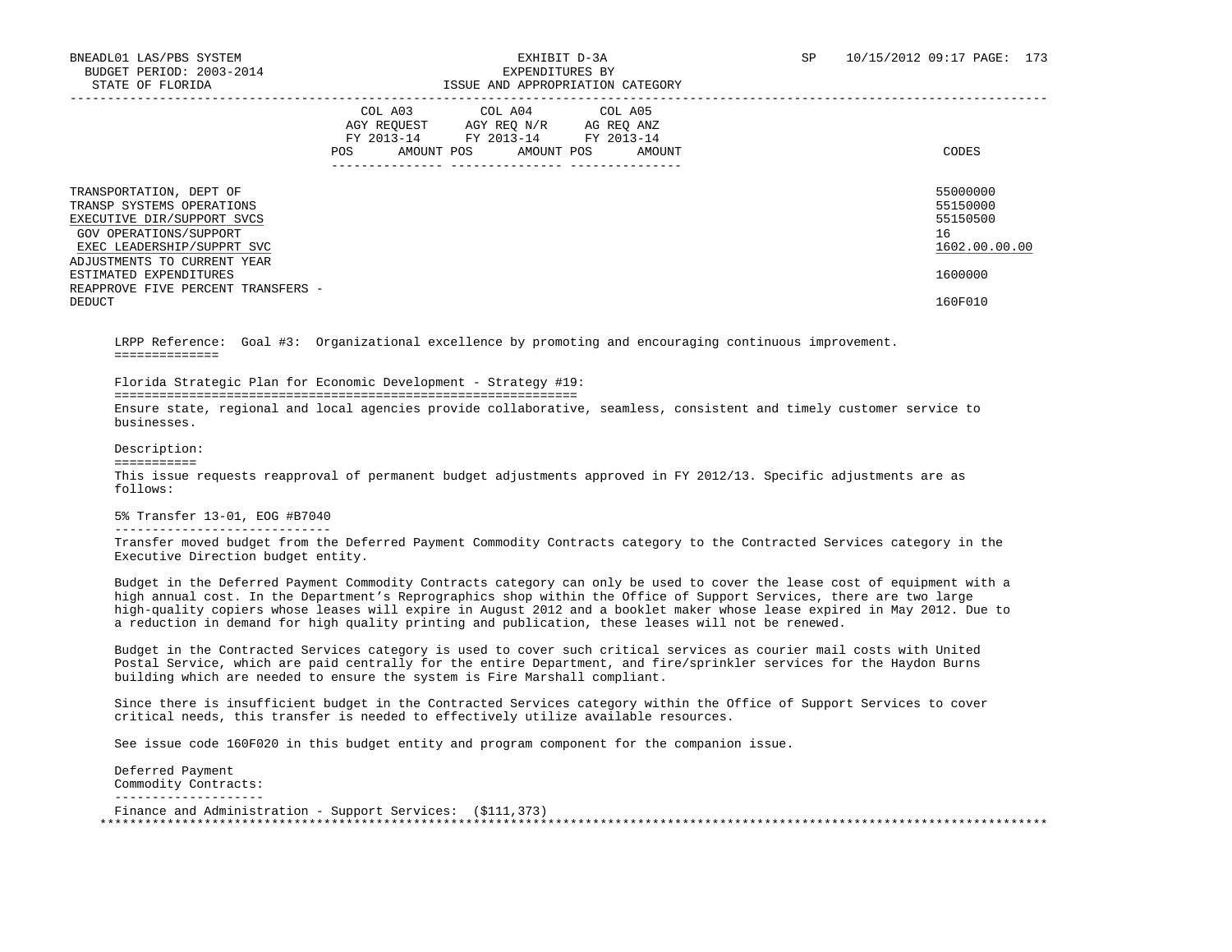| DINIB OI IBORIDII                                                                                                                          |                                                            | IDDOD IMD INITIOIRINIILON CHILDOORI                |                                               |                                                         |
|--------------------------------------------------------------------------------------------------------------------------------------------|------------------------------------------------------------|----------------------------------------------------|-----------------------------------------------|---------------------------------------------------------|
|                                                                                                                                            | COL A03<br>AGY REOUEST<br>FY 2013-14<br>AMOUNT POS<br>POS. | COL A04<br>AGY REO N/R<br>FY 2013-14<br>AMOUNT POS | COL A05<br>AG REQ ANZ<br>FY 2013-14<br>AMOUNT | CODES                                                   |
| TRANSPORTATION, DEPT OF<br>TRANSP SYSTEMS OPERATIONS<br>EXECUTIVE DIR/SUPPORT SVCS<br>GOV OPERATIONS/SUPPORT<br>EXEC LEADERSHIP/SUPPRT SVC |                                                            |                                                    |                                               | 55000000<br>55150000<br>55150500<br>16<br>1602.00.00.00 |
| ADJUSTMENTS TO CURRENT YEAR<br>ESTIMATED EXPENDITURES<br>REAPPROVE FIVE PERCENT TRANSFERS -<br>DEDUCT                                      |                                                            |                                                    |                                               | 1600000<br>160F010                                      |
|                                                                                                                                            |                                                            |                                                    |                                               |                                                         |

 LRPP Reference: Goal #3: Organizational excellence by promoting and encouraging continuous improvement. ==============

Florida Strategic Plan for Economic Development - Strategy #19:

==============================================================

 Ensure state, regional and local agencies provide collaborative, seamless, consistent and timely customer service to businesses.

Description:

===========

 This issue requests reapproval of permanent budget adjustments approved in FY 2012/13. Specific adjustments are as follows:

 5% Transfer 13-01, EOG #B7040 -----------------------------

 Transfer moved budget from the Deferred Payment Commodity Contracts category to the Contracted Services category in the Executive Direction budget entity.

 Budget in the Deferred Payment Commodity Contracts category can only be used to cover the lease cost of equipment with a high annual cost. In the Department's Reprographics shop within the Office of Support Services, there are two large high-quality copiers whose leases will expire in August 2012 and a booklet maker whose lease expired in May 2012. Due to a reduction in demand for high quality printing and publication, these leases will not be renewed.

 Budget in the Contracted Services category is used to cover such critical services as courier mail costs with United Postal Service, which are paid centrally for the entire Department, and fire/sprinkler services for the Haydon Burns building which are needed to ensure the system is Fire Marshall compliant.

 Since there is insufficient budget in the Contracted Services category within the Office of Support Services to cover critical needs, this transfer is needed to effectively utilize available resources.

See issue code 160F020 in this budget entity and program component for the companion issue.

 Deferred Payment Commodity Contracts: -------------------- Finance and Administration - Support Services: (\$111,373) \*\*\*\*\*\*\*\*\*\*\*\*\*\*\*\*\*\*\*\*\*\*\*\*\*\*\*\*\*\*\*\*\*\*\*\*\*\*\*\*\*\*\*\*\*\*\*\*\*\*\*\*\*\*\*\*\*\*\*\*\*\*\*\*\*\*\*\*\*\*\*\*\*\*\*\*\*\*\*\*\*\*\*\*\*\*\*\*\*\*\*\*\*\*\*\*\*\*\*\*\*\*\*\*\*\*\*\*\*\*\*\*\*\*\*\*\*\*\*\*\*\*\*\*\*\*\*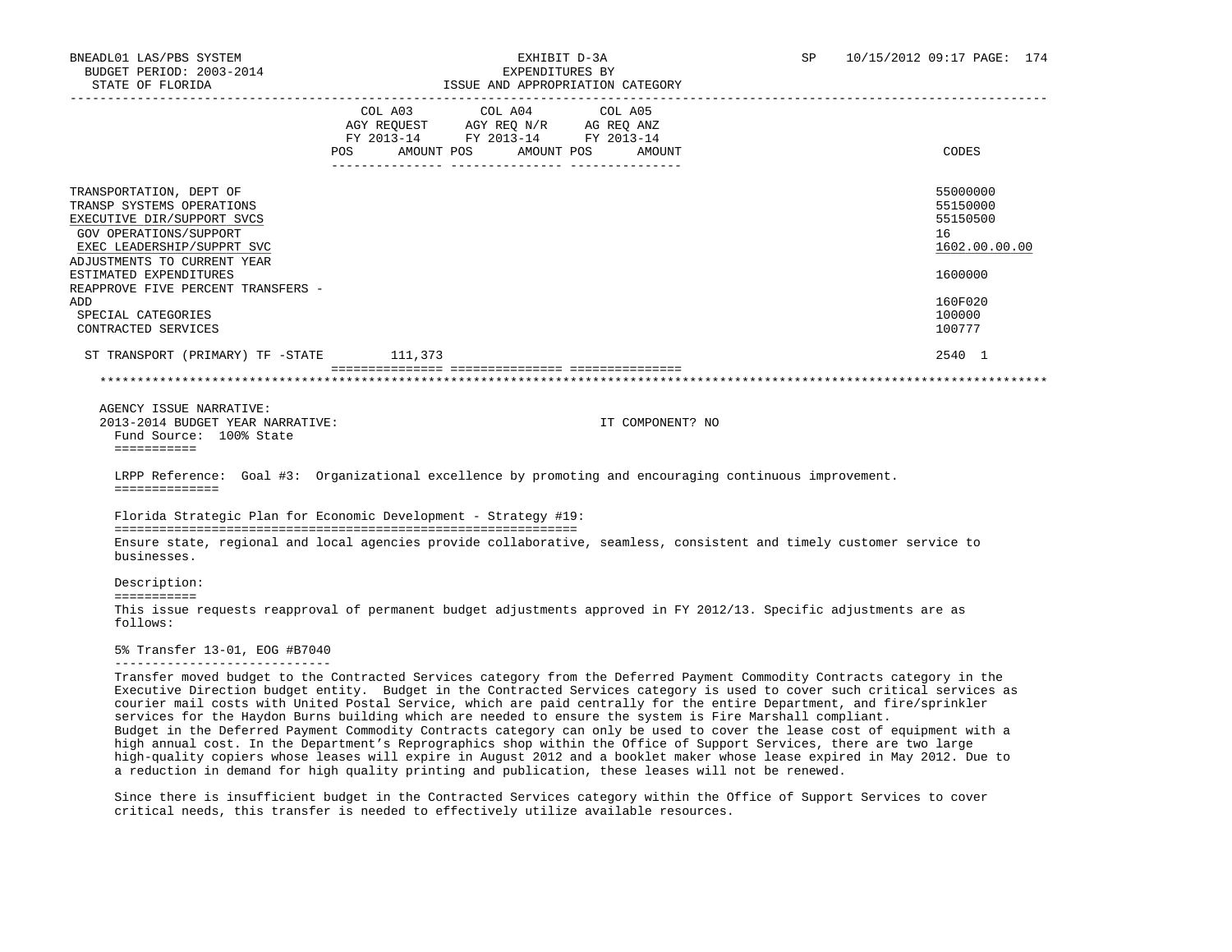| STATE OF FLORIDA                                                                                                                                                                                               |                           |                                                                        | ISSUE AND APPROPRIATION CATEGORY |                                                                                                                                                                                                                                                                                                                                                                                                                                                                                                                                                                                                                                                                                                                                                             |
|----------------------------------------------------------------------------------------------------------------------------------------------------------------------------------------------------------------|---------------------------|------------------------------------------------------------------------|----------------------------------|-------------------------------------------------------------------------------------------------------------------------------------------------------------------------------------------------------------------------------------------------------------------------------------------------------------------------------------------------------------------------------------------------------------------------------------------------------------------------------------------------------------------------------------------------------------------------------------------------------------------------------------------------------------------------------------------------------------------------------------------------------------|
|                                                                                                                                                                                                                |                           | COL A03 COL A04                                                        | COL A05                          |                                                                                                                                                                                                                                                                                                                                                                                                                                                                                                                                                                                                                                                                                                                                                             |
|                                                                                                                                                                                                                |                           | AGY REQUEST AGY REQ N/R AG REQ ANZ<br>FY 2013-14 FY 2013-14 FY 2013-14 |                                  |                                                                                                                                                                                                                                                                                                                                                                                                                                                                                                                                                                                                                                                                                                                                                             |
|                                                                                                                                                                                                                | POS AMOUNT POS AMOUNT POS |                                                                        | AMOUNT                           | CODES                                                                                                                                                                                                                                                                                                                                                                                                                                                                                                                                                                                                                                                                                                                                                       |
| TRANSPORTATION, DEPT OF                                                                                                                                                                                        |                           |                                                                        |                                  | 55000000                                                                                                                                                                                                                                                                                                                                                                                                                                                                                                                                                                                                                                                                                                                                                    |
| TRANSP SYSTEMS OPERATIONS                                                                                                                                                                                      |                           |                                                                        |                                  | 55150000                                                                                                                                                                                                                                                                                                                                                                                                                                                                                                                                                                                                                                                                                                                                                    |
| EXECUTIVE DIR/SUPPORT SVCS                                                                                                                                                                                     |                           |                                                                        |                                  | 55150500                                                                                                                                                                                                                                                                                                                                                                                                                                                                                                                                                                                                                                                                                                                                                    |
| GOV OPERATIONS/SUPPORT                                                                                                                                                                                         |                           |                                                                        |                                  | 16                                                                                                                                                                                                                                                                                                                                                                                                                                                                                                                                                                                                                                                                                                                                                          |
| EXEC LEADERSHIP/SUPPRT SVC                                                                                                                                                                                     |                           |                                                                        |                                  | 1602.00.00.00                                                                                                                                                                                                                                                                                                                                                                                                                                                                                                                                                                                                                                                                                                                                               |
| ADJUSTMENTS TO CURRENT YEAR                                                                                                                                                                                    |                           |                                                                        |                                  |                                                                                                                                                                                                                                                                                                                                                                                                                                                                                                                                                                                                                                                                                                                                                             |
| ESTIMATED EXPENDITURES<br>REAPPROVE FIVE PERCENT TRANSFERS -                                                                                                                                                   |                           |                                                                        |                                  | 1600000                                                                                                                                                                                                                                                                                                                                                                                                                                                                                                                                                                                                                                                                                                                                                     |
| ADD                                                                                                                                                                                                            |                           |                                                                        |                                  | 160F020                                                                                                                                                                                                                                                                                                                                                                                                                                                                                                                                                                                                                                                                                                                                                     |
| SPECIAL CATEGORIES                                                                                                                                                                                             |                           |                                                                        |                                  | 100000                                                                                                                                                                                                                                                                                                                                                                                                                                                                                                                                                                                                                                                                                                                                                      |
| CONTRACTED SERVICES                                                                                                                                                                                            |                           |                                                                        |                                  | 100777                                                                                                                                                                                                                                                                                                                                                                                                                                                                                                                                                                                                                                                                                                                                                      |
| ST TRANSPORT (PRIMARY) TF -STATE 111,373                                                                                                                                                                       |                           |                                                                        |                                  | 2540 1                                                                                                                                                                                                                                                                                                                                                                                                                                                                                                                                                                                                                                                                                                                                                      |
|                                                                                                                                                                                                                |                           |                                                                        |                                  |                                                                                                                                                                                                                                                                                                                                                                                                                                                                                                                                                                                                                                                                                                                                                             |
|                                                                                                                                                                                                                |                           |                                                                        |                                  |                                                                                                                                                                                                                                                                                                                                                                                                                                                                                                                                                                                                                                                                                                                                                             |
| AGENCY ISSUE NARRATIVE:                                                                                                                                                                                        |                           |                                                                        |                                  |                                                                                                                                                                                                                                                                                                                                                                                                                                                                                                                                                                                                                                                                                                                                                             |
| 2013-2014 BUDGET YEAR NARRATIVE:                                                                                                                                                                               |                           |                                                                        | IT COMPONENT? NO                 |                                                                                                                                                                                                                                                                                                                                                                                                                                                                                                                                                                                                                                                                                                                                                             |
| Fund Source: 100% State                                                                                                                                                                                        |                           |                                                                        |                                  |                                                                                                                                                                                                                                                                                                                                                                                                                                                                                                                                                                                                                                                                                                                                                             |
| ===========                                                                                                                                                                                                    |                           |                                                                        |                                  |                                                                                                                                                                                                                                                                                                                                                                                                                                                                                                                                                                                                                                                                                                                                                             |
| LRPP Reference: Goal #3: Organizational excellence by promoting and encouraging continuous improvement.                                                                                                        |                           |                                                                        |                                  |                                                                                                                                                                                                                                                                                                                                                                                                                                                                                                                                                                                                                                                                                                                                                             |
| ==============                                                                                                                                                                                                 |                           |                                                                        |                                  |                                                                                                                                                                                                                                                                                                                                                                                                                                                                                                                                                                                                                                                                                                                                                             |
|                                                                                                                                                                                                                |                           |                                                                        |                                  |                                                                                                                                                                                                                                                                                                                                                                                                                                                                                                                                                                                                                                                                                                                                                             |
| Florida Strategic Plan for Economic Development - Strategy #19:                                                                                                                                                |                           |                                                                        |                                  |                                                                                                                                                                                                                                                                                                                                                                                                                                                                                                                                                                                                                                                                                                                                                             |
|                                                                                                                                                                                                                |                           |                                                                        |                                  | Ensure state, regional and local agencies provide collaborative, seamless, consistent and timely customer service to                                                                                                                                                                                                                                                                                                                                                                                                                                                                                                                                                                                                                                        |
| businesses.                                                                                                                                                                                                    |                           |                                                                        |                                  |                                                                                                                                                                                                                                                                                                                                                                                                                                                                                                                                                                                                                                                                                                                                                             |
|                                                                                                                                                                                                                |                           |                                                                        |                                  |                                                                                                                                                                                                                                                                                                                                                                                                                                                                                                                                                                                                                                                                                                                                                             |
| Description:                                                                                                                                                                                                   |                           |                                                                        |                                  |                                                                                                                                                                                                                                                                                                                                                                                                                                                                                                                                                                                                                                                                                                                                                             |
| ===========                                                                                                                                                                                                    |                           |                                                                        |                                  | This issue requests reapproval of permanent budget adjustments approved in FY 2012/13. Specific adjustments are as                                                                                                                                                                                                                                                                                                                                                                                                                                                                                                                                                                                                                                          |
| follows:                                                                                                                                                                                                       |                           |                                                                        |                                  |                                                                                                                                                                                                                                                                                                                                                                                                                                                                                                                                                                                                                                                                                                                                                             |
|                                                                                                                                                                                                                |                           |                                                                        |                                  |                                                                                                                                                                                                                                                                                                                                                                                                                                                                                                                                                                                                                                                                                                                                                             |
| 5% Transfer 13-01, EOG #B7040<br>-------------------------------                                                                                                                                               |                           |                                                                        |                                  |                                                                                                                                                                                                                                                                                                                                                                                                                                                                                                                                                                                                                                                                                                                                                             |
| services for the Haydon Burns building which are needed to ensure the system is Fire Marshall compliant.<br>a reduction in demand for high quality printing and publication, these leases will not be renewed. |                           |                                                                        |                                  | Transfer moved budget to the Contracted Services category from the Deferred Payment Commodity Contracts category in the<br>Executive Direction budget entity. Budget in the Contracted Services category is used to cover such critical services as<br>courier mail costs with United Postal Service, which are paid centrally for the entire Department, and fire/sprinkler<br>Budget in the Deferred Payment Commodity Contracts category can only be used to cover the lease cost of equipment with a<br>high annual cost. In the Department's Reprographics shop within the Office of Support Services, there are two large<br>high-quality copiers whose leases will expire in August 2012 and a booklet maker whose lease expired in May 2012. Due to |
|                                                                                                                                                                                                                |                           |                                                                        |                                  |                                                                                                                                                                                                                                                                                                                                                                                                                                                                                                                                                                                                                                                                                                                                                             |

 Since there is insufficient budget in the Contracted Services category within the Office of Support Services to cover critical needs, this transfer is needed to effectively utilize available resources.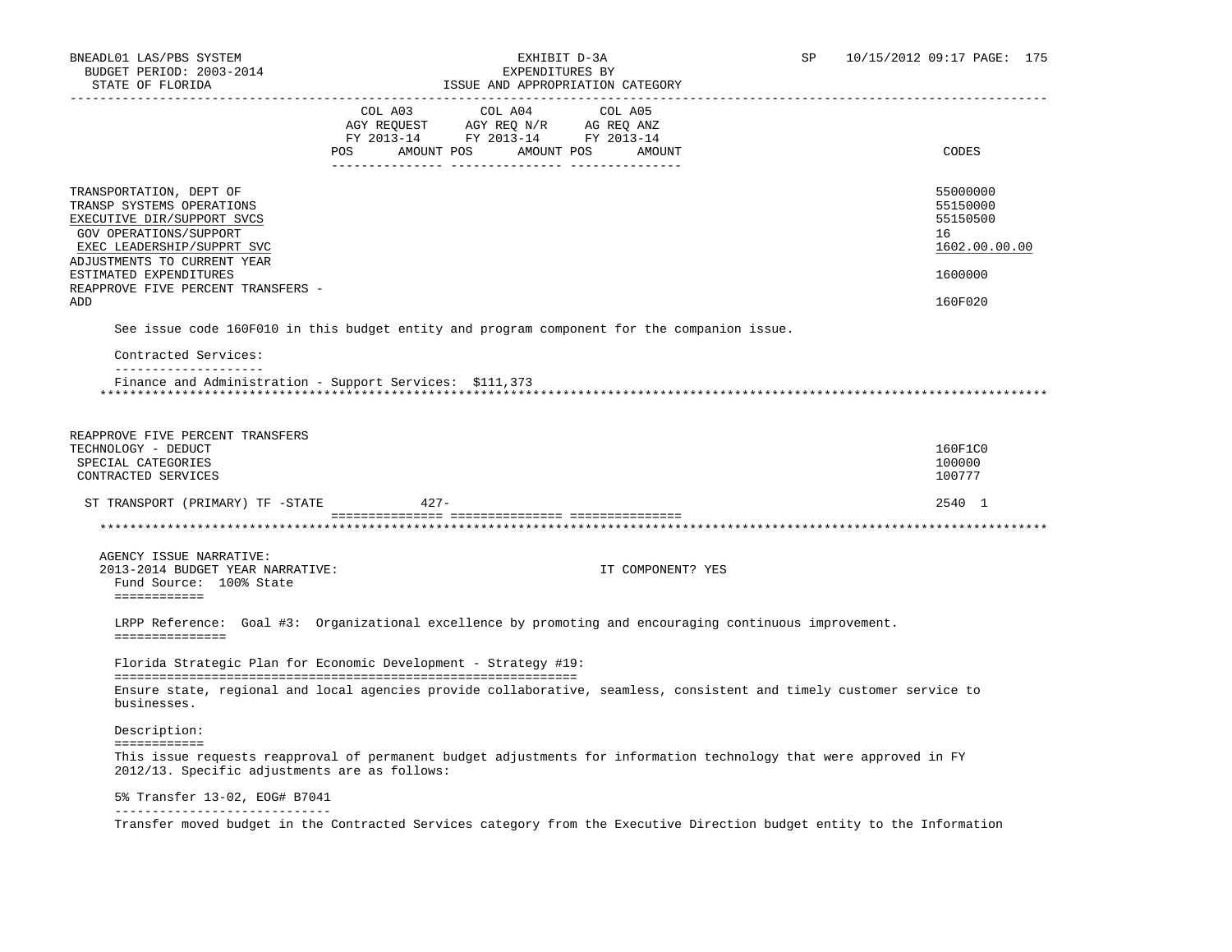# BNEADL01 LAS/PBS SYSTEM EXHIBIT D-3A SP 10/15/2012 09:17 PAGE: 175

| STATE OF FLORIDA                                                |                                  |                                    | ISSUE AND APPROPRIATION CATEGORY                                                                                   |                                                                                                                         |
|-----------------------------------------------------------------|----------------------------------|------------------------------------|--------------------------------------------------------------------------------------------------------------------|-------------------------------------------------------------------------------------------------------------------------|
|                                                                 |                                  | COL A03 COL A04                    | COL A05                                                                                                            |                                                                                                                         |
|                                                                 |                                  | AGY REQUEST AGY REQ N/R AG REQ ANZ |                                                                                                                    |                                                                                                                         |
|                                                                 | POS AMOUNT POS AMOUNT POS AMOUNT | FY 2013-14 FY 2013-14 FY 2013-14   |                                                                                                                    | CODES                                                                                                                   |
|                                                                 |                                  |                                    |                                                                                                                    |                                                                                                                         |
| TRANSPORTATION, DEPT OF                                         |                                  |                                    |                                                                                                                    | 55000000                                                                                                                |
| TRANSP SYSTEMS OPERATIONS                                       |                                  |                                    |                                                                                                                    | 55150000                                                                                                                |
| EXECUTIVE DIR/SUPPORT SVCS                                      |                                  |                                    |                                                                                                                    | 55150500                                                                                                                |
| GOV OPERATIONS/SUPPORT<br>EXEC LEADERSHIP/SUPPRT SVC            |                                  |                                    |                                                                                                                    | 16<br>1602.00.00.00                                                                                                     |
| ADJUSTMENTS TO CURRENT YEAR                                     |                                  |                                    |                                                                                                                    |                                                                                                                         |
| ESTIMATED EXPENDITURES                                          |                                  |                                    |                                                                                                                    | 1600000                                                                                                                 |
| REAPPROVE FIVE PERCENT TRANSFERS -                              |                                  |                                    |                                                                                                                    |                                                                                                                         |
| ADD                                                             |                                  |                                    |                                                                                                                    | 160F020                                                                                                                 |
|                                                                 |                                  |                                    | See issue code 160F010 in this budget entity and program component for the companion issue.                        |                                                                                                                         |
| Contracted Services:                                            |                                  |                                    |                                                                                                                    |                                                                                                                         |
| _____________________                                           |                                  |                                    |                                                                                                                    |                                                                                                                         |
| Finance and Administration - Support Services: \$111,373        |                                  |                                    |                                                                                                                    |                                                                                                                         |
|                                                                 |                                  |                                    |                                                                                                                    |                                                                                                                         |
|                                                                 |                                  |                                    |                                                                                                                    |                                                                                                                         |
| REAPPROVE FIVE PERCENT TRANSFERS<br>TECHNOLOGY - DEDUCT         |                                  |                                    |                                                                                                                    | 160F1C0                                                                                                                 |
| SPECIAL CATEGORIES                                              |                                  |                                    |                                                                                                                    | 100000                                                                                                                  |
| CONTRACTED SERVICES                                             |                                  |                                    |                                                                                                                    | 100777                                                                                                                  |
| ST TRANSPORT (PRIMARY) TF -STATE                                | $427-$                           |                                    |                                                                                                                    | 2540 1                                                                                                                  |
|                                                                 |                                  |                                    |                                                                                                                    |                                                                                                                         |
|                                                                 |                                  |                                    |                                                                                                                    |                                                                                                                         |
| AGENCY ISSUE NARRATIVE:                                         |                                  |                                    |                                                                                                                    |                                                                                                                         |
| 2013-2014 BUDGET YEAR NARRATIVE:                                |                                  |                                    | IT COMPONENT? YES                                                                                                  |                                                                                                                         |
| Fund Source: 100% State                                         |                                  |                                    |                                                                                                                    |                                                                                                                         |
| ============                                                    |                                  |                                    |                                                                                                                    |                                                                                                                         |
|                                                                 |                                  |                                    | LRPP Reference: Goal #3: Organizational excellence by promoting and encouraging continuous improvement.            |                                                                                                                         |
| ===============                                                 |                                  |                                    |                                                                                                                    |                                                                                                                         |
| Florida Strategic Plan for Economic Development - Strategy #19: |                                  |                                    |                                                                                                                    |                                                                                                                         |
|                                                                 |                                  |                                    |                                                                                                                    |                                                                                                                         |
| businesses.                                                     |                                  |                                    |                                                                                                                    | Ensure state, regional and local agencies provide collaborative, seamless, consistent and timely customer service to    |
| Description:                                                    |                                  |                                    |                                                                                                                    |                                                                                                                         |
| ============                                                    |                                  |                                    |                                                                                                                    |                                                                                                                         |
| 2012/13. Specific adjustments are as follows:                   |                                  |                                    | This issue requests reapproval of permanent budget adjustments for information technology that were approved in FY |                                                                                                                         |
| 5% Transfer 13-02, EOG# B7041                                   |                                  |                                    |                                                                                                                    |                                                                                                                         |
|                                                                 |                                  |                                    |                                                                                                                    | Transfer moved budget in the Contracted Services category from the Executive Direction budget entity to the Information |
|                                                                 |                                  |                                    |                                                                                                                    |                                                                                                                         |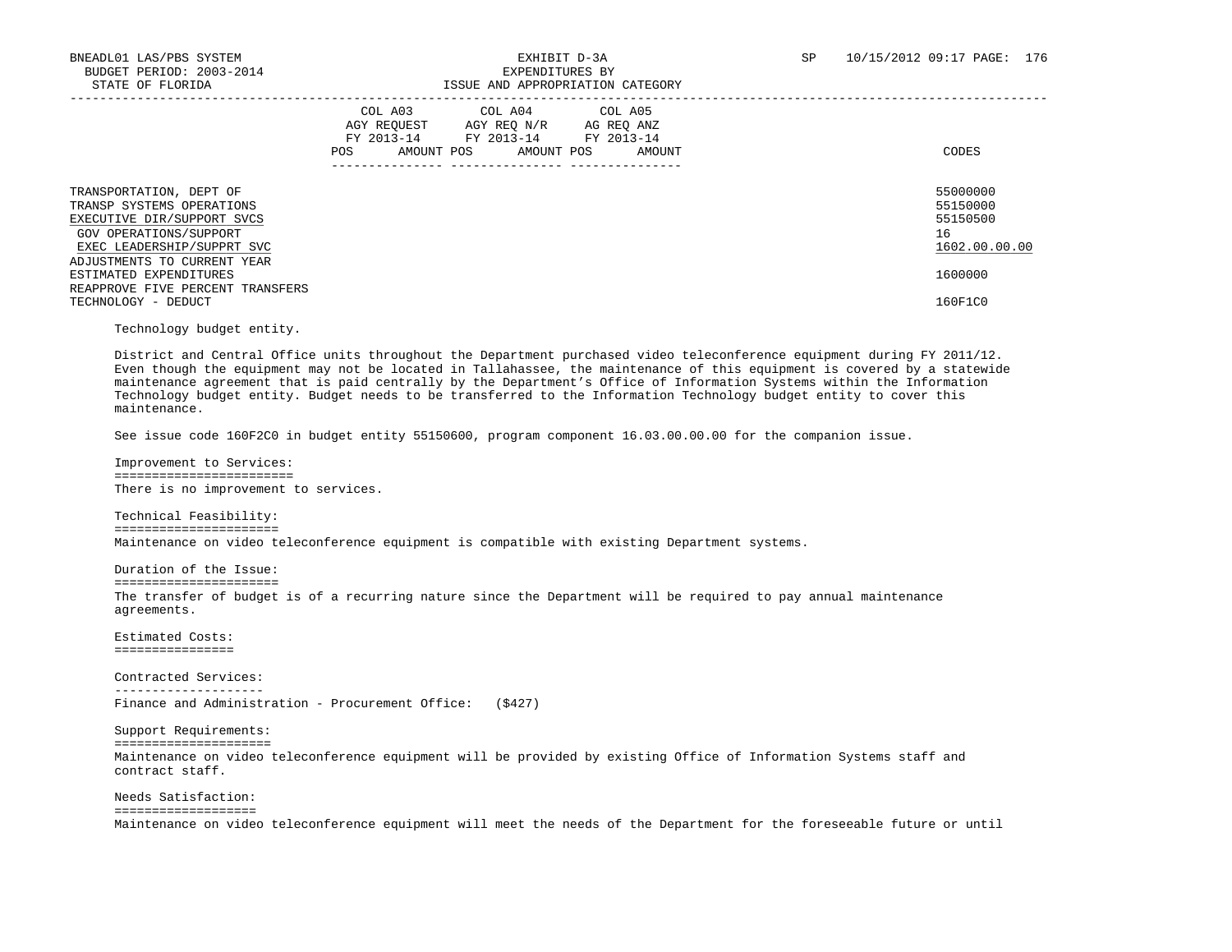| TRANSPORTATION, DEPT OF<br>TRANSP SYSTEMS OPERATIONS<br>EXECUTIVE DIR/SUPPORT SVCS<br>GOV OPERATIONS/SUPPORT<br>EXEC LEADERSHIP/SUPPRT SVC<br>ADJUSTMENTS TO CURRENT YEAR<br>ESTIMATED EXPENDITURES<br>REAPPROVE FIVE PERCENT TRANSFERS | COL A04 COL A05<br>COL A03<br>AGY REOUEST<br>AGY REO N/R<br>AG REQ ANZ<br>FY 2013-14<br>FY 2013-14 FY 2013-14<br>AMOUNT POS<br>AMOUNT POS<br>AMOUNT<br><b>POS</b> | CODES<br>55000000<br>55150000<br>55150500<br>16<br>1602.00.00.00<br>1600000 |
|-----------------------------------------------------------------------------------------------------------------------------------------------------------------------------------------------------------------------------------------|-------------------------------------------------------------------------------------------------------------------------------------------------------------------|-----------------------------------------------------------------------------|
| TECHNOLOGY - DEDUCT                                                                                                                                                                                                                     |                                                                                                                                                                   | 160F1C0                                                                     |

Technology budget entity.

 District and Central Office units throughout the Department purchased video teleconference equipment during FY 2011/12. Even though the equipment may not be located in Tallahassee, the maintenance of this equipment is covered by a statewide maintenance agreement that is paid centrally by the Department's Office of Information Systems within the Information Technology budget entity. Budget needs to be transferred to the Information Technology budget entity to cover this maintenance.

See issue code 160F2C0 in budget entity 55150600, program component 16.03.00.00.00 for the companion issue.

 Improvement to Services: ======================== There is no improvement to services.

 Technical Feasibility: ====================== Maintenance on video teleconference equipment is compatible with existing Department systems.

 Duration of the Issue: ====================== The transfer of budget is of a recurring nature since the Department will be required to pay annual maintenance agreements.

 Estimated Costs: ================

 Contracted Services: -------------------- Finance and Administration - Procurement Office: (\$427)

 Support Requirements: ===================== Maintenance on video teleconference equipment will be provided by existing Office of Information Systems staff and contract staff.

 Needs Satisfaction: =================== Maintenance on video teleconference equipment will meet the needs of the Department for the foreseeable future or until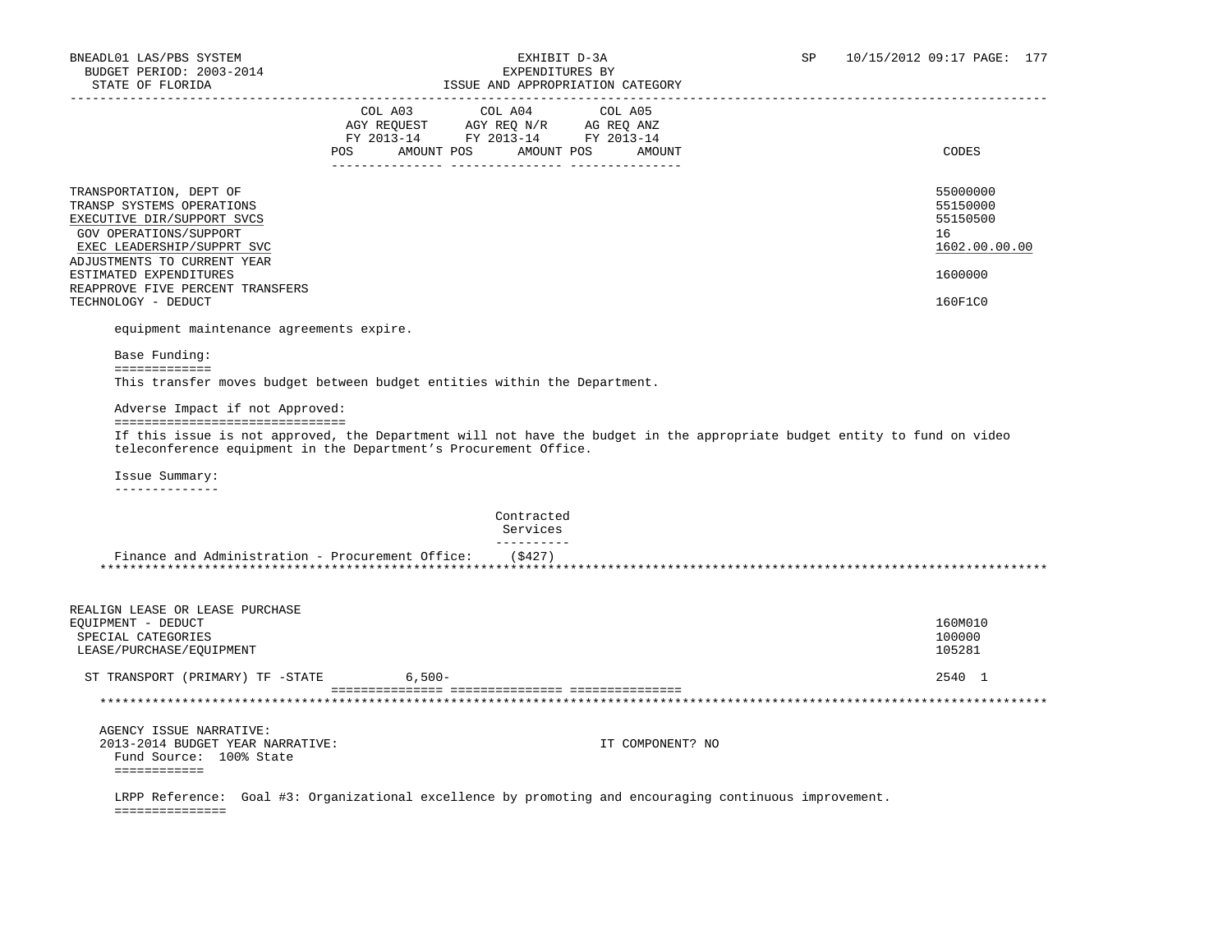===============

| BODGET PERIOD: 2003-2014<br>STATE OF FLORIDA<br>--------------------                                                                                                      | EXPENDITURES BY<br>ISSUE AND APPROPRIATION CATEGORY                                                                    |                                                                                                                          |                                                         |
|---------------------------------------------------------------------------------------------------------------------------------------------------------------------------|------------------------------------------------------------------------------------------------------------------------|--------------------------------------------------------------------------------------------------------------------------|---------------------------------------------------------|
|                                                                                                                                                                           | COL A03 COL A04 COL A05<br>AGY REQUEST AGY REQ N/R AG REQ ANZ<br>FY 2013-14 FY 2013-14 FY 2013-14<br>AMOUNT POS<br>POS | AMOUNT POS<br>AMOUNT                                                                                                     | CODES                                                   |
| TRANSPORTATION, DEPT OF<br>TRANSP SYSTEMS OPERATIONS<br>EXECUTIVE DIR/SUPPORT SVCS<br>GOV OPERATIONS/SUPPORT<br>EXEC LEADERSHIP/SUPPRT SVC<br>ADJUSTMENTS TO CURRENT YEAR |                                                                                                                        |                                                                                                                          | 55000000<br>55150000<br>55150500<br>16<br>1602.00.00.00 |
| ESTIMATED EXPENDITURES                                                                                                                                                    |                                                                                                                        |                                                                                                                          | 1600000                                                 |
| REAPPROVE FIVE PERCENT TRANSFERS<br>TECHNOLOGY - DEDUCT                                                                                                                   |                                                                                                                        |                                                                                                                          | 160F1C0                                                 |
| equipment maintenance agreements expire.                                                                                                                                  |                                                                                                                        |                                                                                                                          |                                                         |
| Base Funding:<br>=============                                                                                                                                            |                                                                                                                        |                                                                                                                          |                                                         |
|                                                                                                                                                                           | This transfer moves budget between budget entities within the Department.                                              |                                                                                                                          |                                                         |
| Adverse Impact if not Approved:                                                                                                                                           |                                                                                                                        |                                                                                                                          |                                                         |
| =================================                                                                                                                                         | teleconference equipment in the Department's Procurement Office.                                                       | If this issue is not approved, the Department will not have the budget in the appropriate budget entity to fund on video |                                                         |
| Issue Summary:<br>______________                                                                                                                                          |                                                                                                                        |                                                                                                                          |                                                         |
|                                                                                                                                                                           | Contracted<br>Services                                                                                                 |                                                                                                                          |                                                         |
|                                                                                                                                                                           | ----------<br>Finance and Administration - Procurement Office: $( $427)$                                               |                                                                                                                          |                                                         |
|                                                                                                                                                                           |                                                                                                                        |                                                                                                                          |                                                         |
| REALIGN LEASE OR LEASE PURCHASE<br>EQUIPMENT - DEDUCT                                                                                                                     |                                                                                                                        |                                                                                                                          | 160M010                                                 |
| SPECIAL CATEGORIES                                                                                                                                                        |                                                                                                                        |                                                                                                                          | 100000                                                  |
| LEASE/PURCHASE/EQUIPMENT                                                                                                                                                  |                                                                                                                        |                                                                                                                          | 105281                                                  |
| ST TRANSPORT (PRIMARY) TF -STATE                                                                                                                                          | $6,500-$                                                                                                               |                                                                                                                          | 2540 1                                                  |
|                                                                                                                                                                           |                                                                                                                        |                                                                                                                          |                                                         |
| AGENCY ISSUE NARRATIVE:<br>2013-2014 BUDGET YEAR NARRATIVE:<br>Fund Source: 100% State<br>============                                                                    |                                                                                                                        | IT COMPONENT? NO                                                                                                         |                                                         |
|                                                                                                                                                                           |                                                                                                                        | LRPP Reference: Goal #3: Organizational excellence by promoting and encouraging continuous improvement.                  |                                                         |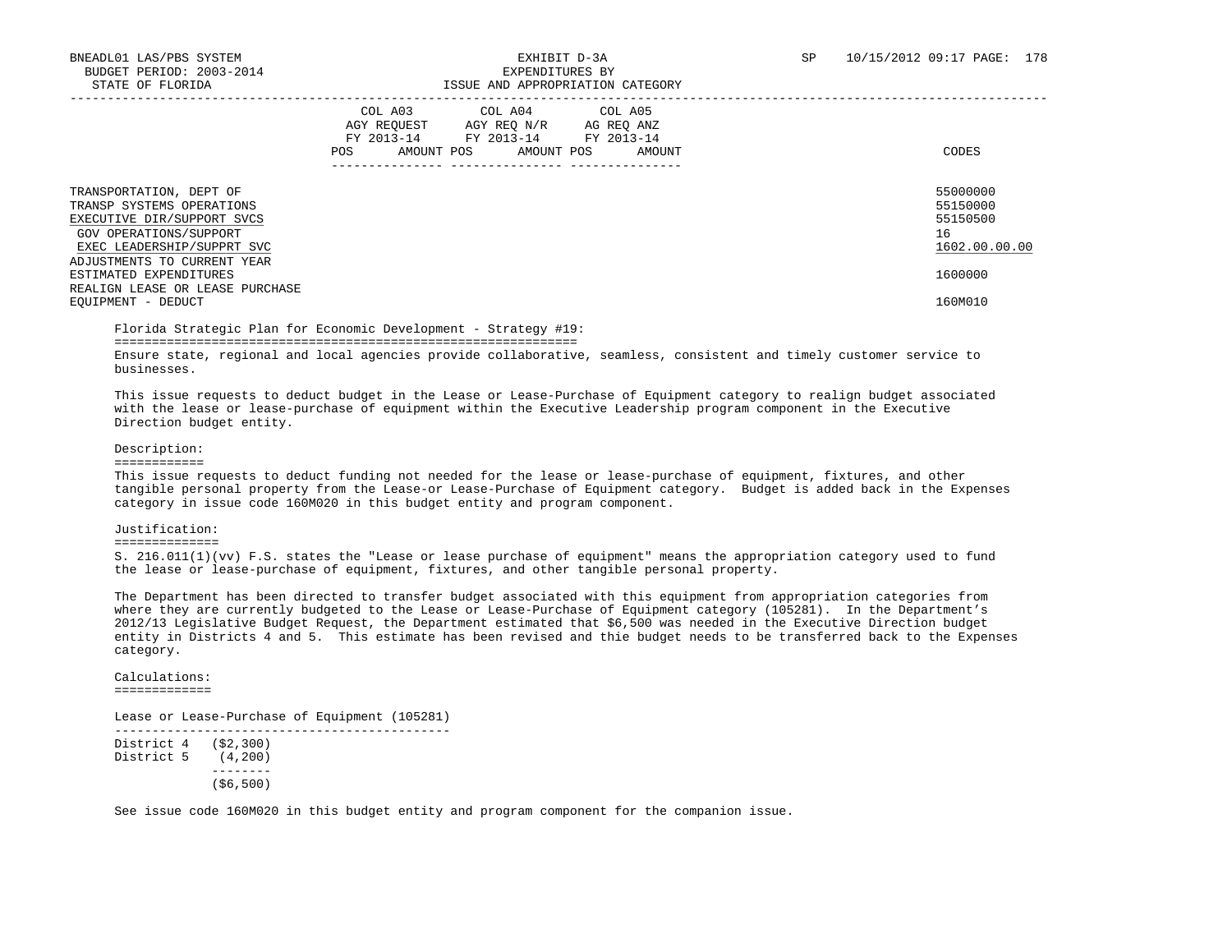|                                                                                                                                            | COL A03<br>COL A04 COL A05<br>AGY REOUEST<br>AGY REO N/R<br>AG REO ANZ<br>FY 2013-14<br>FY 2013-14<br>FY 2013-14<br>AMOUNT POS<br>AMOUNT POS<br>POS<br>AMOUNT | CODES                                                   |
|--------------------------------------------------------------------------------------------------------------------------------------------|---------------------------------------------------------------------------------------------------------------------------------------------------------------|---------------------------------------------------------|
| TRANSPORTATION, DEPT OF<br>TRANSP SYSTEMS OPERATIONS<br>EXECUTIVE DIR/SUPPORT SVCS<br>GOV OPERATIONS/SUPPORT<br>EXEC LEADERSHIP/SUPPRT SVC |                                                                                                                                                               | 55000000<br>55150000<br>55150500<br>16<br>1602.00.00.00 |
| ADJUSTMENTS TO CURRENT YEAR<br>ESTIMATED EXPENDITURES<br>REALIGN LEASE OR LEASE PURCHASE<br>EQUIPMENT - DEDUCT                             |                                                                                                                                                               | 1600000<br>160M010                                      |
|                                                                                                                                            |                                                                                                                                                               |                                                         |

Florida Strategic Plan for Economic Development - Strategy #19:

==============================================================

 Ensure state, regional and local agencies provide collaborative, seamless, consistent and timely customer service to businesses.

 This issue requests to deduct budget in the Lease or Lease-Purchase of Equipment category to realign budget associated with the lease or lease-purchase of equipment within the Executive Leadership program component in the Executive Direction budget entity.

### Description:

============

 This issue requests to deduct funding not needed for the lease or lease-purchase of equipment, fixtures, and other tangible personal property from the Lease-or Lease-Purchase of Equipment category. Budget is added back in the Expenses category in issue code 160M020 in this budget entity and program component.

#### Justification:

### ==============

 S. 216.011(1)(vv) F.S. states the "Lease or lease purchase of equipment" means the appropriation category used to fund the lease or lease-purchase of equipment, fixtures, and other tangible personal property.

 The Department has been directed to transfer budget associated with this equipment from appropriation categories from where they are currently budgeted to the Lease or Lease-Purchase of Equipment category (105281). In the Department's 2012/13 Legislative Budget Request, the Department estimated that \$6,500 was needed in the Executive Direction budget entity in Districts 4 and 5. This estimate has been revised and thie budget needs to be transferred back to the Expenses category.

 Calculations: =============

Lease or Lease-Purchase of Equipment (105281)

 --------------------------------------------- District 4 (\$2,300) District 5 (4,200) -------- (\$6,500)

See issue code 160M020 in this budget entity and program component for the companion issue.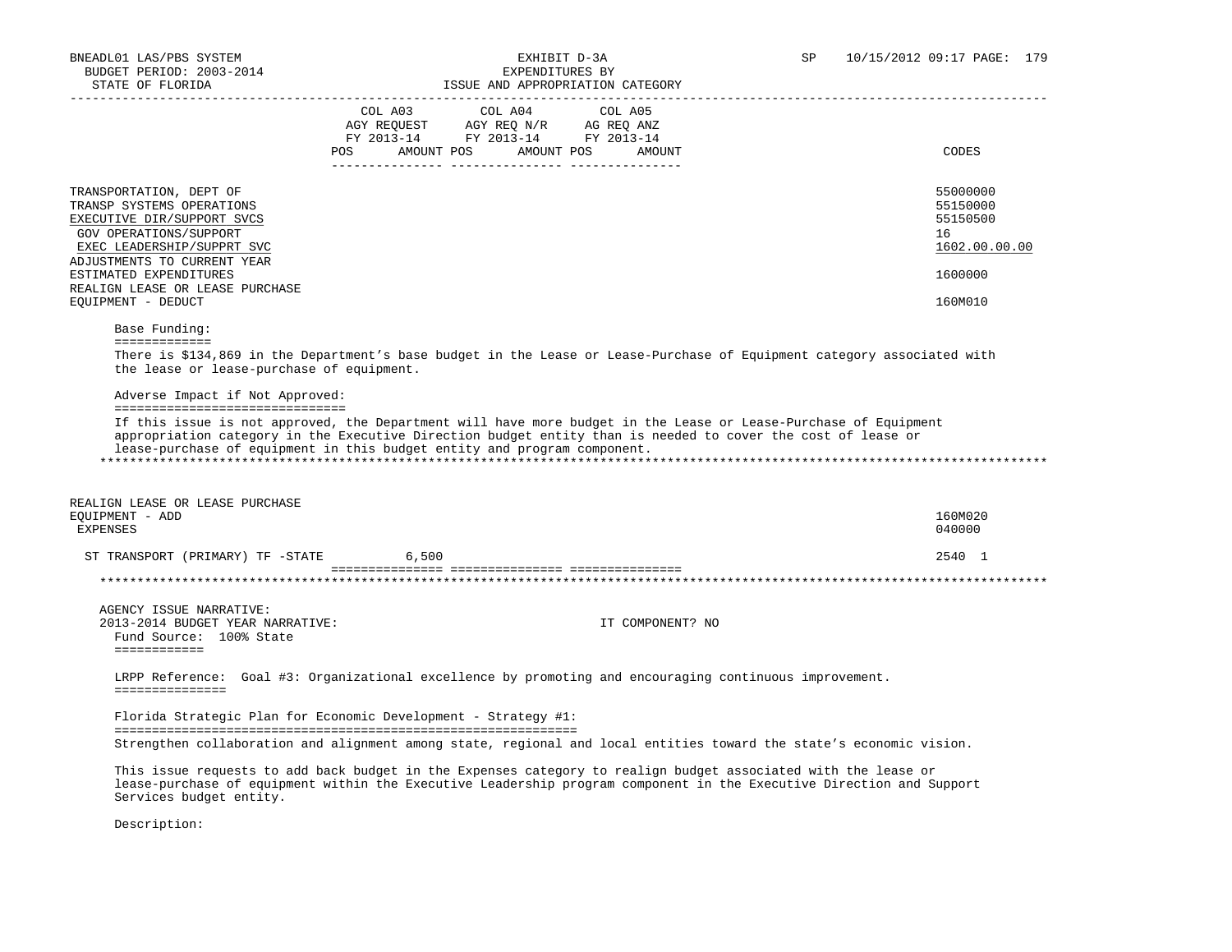| STATE OF FLORIDA                                                                                                                                                          | ISSUE AND APPROPRIATION CATEGORY                                                                                                                                                                                                                                                                                                                           |                                                         |
|---------------------------------------------------------------------------------------------------------------------------------------------------------------------------|------------------------------------------------------------------------------------------------------------------------------------------------------------------------------------------------------------------------------------------------------------------------------------------------------------------------------------------------------------|---------------------------------------------------------|
|                                                                                                                                                                           | COL A04<br>COL A03<br>COL A05<br>AGY REQUEST AGY REQ N/R AG REQ ANZ<br>FY 2013-14 FY 2013-14 FY 2013-14<br>POS AMOUNT POS AMOUNT POS AMOUNT                                                                                                                                                                                                                | CODES                                                   |
| TRANSPORTATION, DEPT OF<br>TRANSP SYSTEMS OPERATIONS<br>EXECUTIVE DIR/SUPPORT SVCS<br>GOV OPERATIONS/SUPPORT<br>EXEC LEADERSHIP/SUPPRT SVC<br>ADJUSTMENTS TO CURRENT YEAR |                                                                                                                                                                                                                                                                                                                                                            | 55000000<br>55150000<br>55150500<br>16<br>1602.00.00.00 |
| ESTIMATED EXPENDITURES                                                                                                                                                    |                                                                                                                                                                                                                                                                                                                                                            | 1600000                                                 |
| REALIGN LEASE OR LEASE PURCHASE<br>EOUIPMENT - DEDUCT                                                                                                                     |                                                                                                                                                                                                                                                                                                                                                            | 160M010                                                 |
| Base Funding:                                                                                                                                                             |                                                                                                                                                                                                                                                                                                                                                            |                                                         |
| the lease or lease-purchase of equipment.<br>Adverse Impact if Not Approved:<br>=================================                                                         | There is \$134,869 in the Department's base budget in the Lease or Lease-Purchase of Equipment category associated with<br>If this issue is not approved, the Department will have more budget in the Lease or Lease-Purchase of Equipment<br>appropriation category in the Executive Direction budget entity than is needed to cover the cost of lease or |                                                         |
|                                                                                                                                                                           | lease-purchase of equipment in this budget entity and program component.                                                                                                                                                                                                                                                                                   |                                                         |
| REALIGN LEASE OR LEASE PURCHASE<br>EOUIPMENT - ADD<br><b>EXPENSES</b>                                                                                                     |                                                                                                                                                                                                                                                                                                                                                            | 160M020<br>040000                                       |
| ST TRANSPORT (PRIMARY) TF -STATE                                                                                                                                          | 6,500                                                                                                                                                                                                                                                                                                                                                      | 2540 1                                                  |
|                                                                                                                                                                           |                                                                                                                                                                                                                                                                                                                                                            |                                                         |
| AGENCY ISSUE NARRATIVE:<br>2013-2014 BUDGET YEAR NARRATIVE:<br>Fund Source: 100% State<br>============                                                                    | IT COMPONENT? NO                                                                                                                                                                                                                                                                                                                                           |                                                         |
| ===============                                                                                                                                                           | LRPP Reference: Goal #3: Organizational excellence by promoting and encouraging continuous improvement.                                                                                                                                                                                                                                                    |                                                         |
|                                                                                                                                                                           | Florida Strategic Plan for Economic Development - Strategy #1:                                                                                                                                                                                                                                                                                             |                                                         |
|                                                                                                                                                                           | Strengthen collaboration and alignment among state, regional and local entities toward the state's economic vision.                                                                                                                                                                                                                                        |                                                         |
| Services budget entity.                                                                                                                                                   | This issue requests to add back budget in the Expenses category to realign budget associated with the lease or<br>lease-purchase of equipment within the Executive Leadership program component in the Executive Direction and Support                                                                                                                     |                                                         |

Description: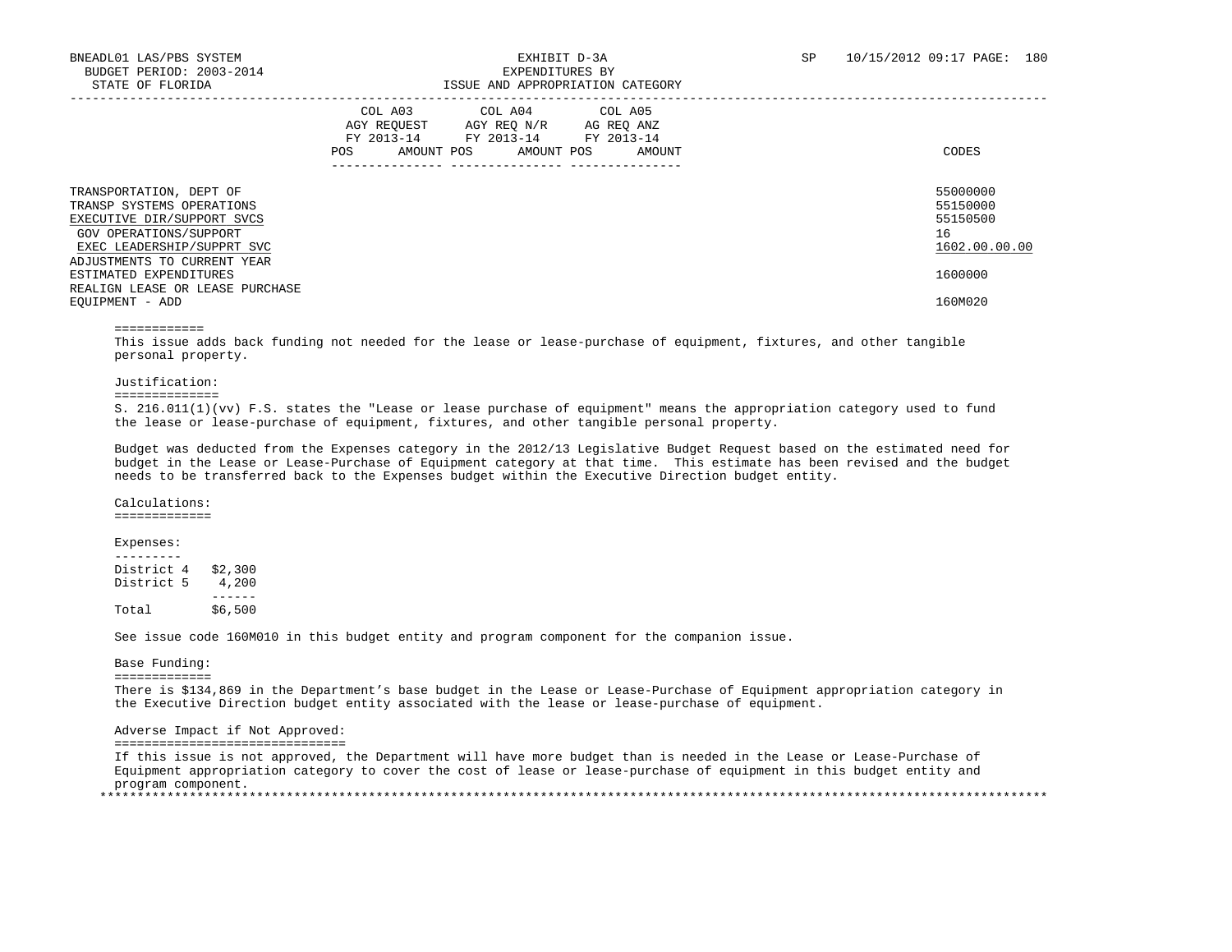|                                                                                                                                            | COL A03<br>COL A04<br>COL A05<br>AGY REOUEST<br>AGY REO N/R<br>AG REO ANZ<br>FY 2013-14<br>FY 2013-14<br>FY 2013-14<br>POS<br>AMOUNT POS<br>AMOUNT POS<br>AMOUNT | CODES                                                   |
|--------------------------------------------------------------------------------------------------------------------------------------------|------------------------------------------------------------------------------------------------------------------------------------------------------------------|---------------------------------------------------------|
| TRANSPORTATION, DEPT OF<br>TRANSP SYSTEMS OPERATIONS<br>EXECUTIVE DIR/SUPPORT SVCS<br>GOV OPERATIONS/SUPPORT<br>EXEC LEADERSHIP/SUPPRT SVC |                                                                                                                                                                  | 55000000<br>55150000<br>55150500<br>16<br>1602.00.00.00 |
| ADJUSTMENTS TO CURRENT YEAR<br>ESTIMATED EXPENDITURES<br>REALIGN LEASE OR LEASE PURCHASE<br>EOUIPMENT - ADD                                |                                                                                                                                                                  | 1600000<br>160M020                                      |

#### ============

 This issue adds back funding not needed for the lease or lease-purchase of equipment, fixtures, and other tangible personal property.

### Justification:

### ==============

 S. 216.011(1)(vv) F.S. states the "Lease or lease purchase of equipment" means the appropriation category used to fund the lease or lease-purchase of equipment, fixtures, and other tangible personal property.

 Budget was deducted from the Expenses category in the 2012/13 Legislative Budget Request based on the estimated need for budget in the Lease or Lease-Purchase of Equipment category at that time. This estimate has been revised and the budget needs to be transferred back to the Expenses budget within the Executive Direction budget entity.

Calculations:

=============

### Expenses:

 --------- District 4 \$2,300 District 5 4,200 ------<br>\$6.500 Total  $\overline{6}$ 

See issue code 160M010 in this budget entity and program component for the companion issue.

### Base Funding:

=============

 There is \$134,869 in the Department's base budget in the Lease or Lease-Purchase of Equipment appropriation category in the Executive Direction budget entity associated with the lease or lease-purchase of equipment.

### Adverse Impact if Not Approved:

===============================

 If this issue is not approved, the Department will have more budget than is needed in the Lease or Lease-Purchase of Equipment appropriation category to cover the cost of lease or lease-purchase of equipment in this budget entity and program component. \*\*\*\*\*\*\*\*\*\*\*\*\*\*\*\*\*\*\*\*\*\*\*\*\*\*\*\*\*\*\*\*\*\*\*\*\*\*\*\*\*\*\*\*\*\*\*\*\*\*\*\*\*\*\*\*\*\*\*\*\*\*\*\*\*\*\*\*\*\*\*\*\*\*\*\*\*\*\*\*\*\*\*\*\*\*\*\*\*\*\*\*\*\*\*\*\*\*\*\*\*\*\*\*\*\*\*\*\*\*\*\*\*\*\*\*\*\*\*\*\*\*\*\*\*\*\*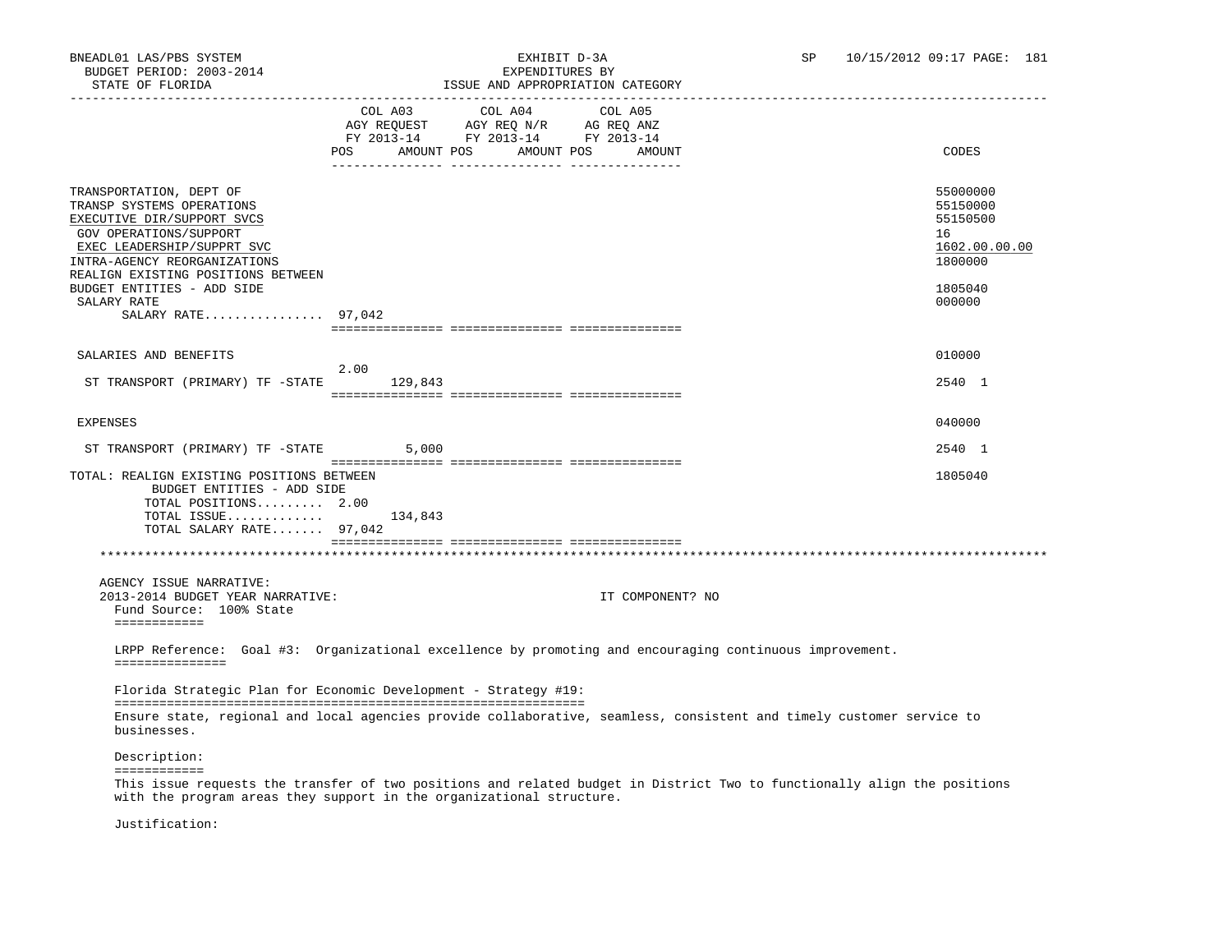# BNEADL01 LAS/PBS SYSTEM EXHIBIT D-3A SP 10/15/2012 09:17 PAGE: 181 TSSUE AND APPROPRIATION CATEGORY

|                                                                                                                                                                                                                                                |                                                                               | LOOUL AND APPROPRIATION CAILGORI         |         |                  |                                                                                                                          |
|------------------------------------------------------------------------------------------------------------------------------------------------------------------------------------------------------------------------------------------------|-------------------------------------------------------------------------------|------------------------------------------|---------|------------------|--------------------------------------------------------------------------------------------------------------------------|
|                                                                                                                                                                                                                                                | AGY REQUEST AGY REQ N/R AG REQ ANZ<br>FY 2013-14 FY 2013-14 FY 2013-14<br>POS | COL A03 COL A04<br>AMOUNT POS AMOUNT POS | COL A05 | AMOUNT           | CODES                                                                                                                    |
| TRANSPORTATION, DEPT OF<br>TRANSP SYSTEMS OPERATIONS<br>EXECUTIVE DIR/SUPPORT SVCS<br>GOV OPERATIONS/SUPPORT<br>EXEC LEADERSHIP/SUPPRT SVC<br>INTRA-AGENCY REORGANIZATIONS<br>REALIGN EXISTING POSITIONS BETWEEN<br>BUDGET ENTITIES - ADD SIDE |                                                                               |                                          |         |                  | 55000000<br>55150000<br>55150500<br>16<br>1602.00.00.00<br>1800000<br>1805040                                            |
| SALARY RATE<br>SALARY RATE $97,042$                                                                                                                                                                                                            |                                                                               |                                          |         |                  | 000000                                                                                                                   |
|                                                                                                                                                                                                                                                |                                                                               |                                          |         |                  |                                                                                                                          |
| SALARIES AND BENEFITS                                                                                                                                                                                                                          |                                                                               |                                          |         |                  | 010000                                                                                                                   |
| ST TRANSPORT (PRIMARY) TF -STATE                                                                                                                                                                                                               | 2.00<br>129,843                                                               |                                          |         |                  | 2540 1                                                                                                                   |
| EXPENSES                                                                                                                                                                                                                                       |                                                                               |                                          |         |                  | 040000                                                                                                                   |
| ST TRANSPORT (PRIMARY) TF -STATE                                                                                                                                                                                                               | 5,000                                                                         |                                          |         |                  | 2540 1                                                                                                                   |
| TOTAL: REALIGN EXISTING POSITIONS BETWEEN<br>BUDGET ENTITIES - ADD SIDE<br>TOTAL POSITIONS 2.00<br>TOTAL ISSUE 134,843<br>TOTAL SALARY RATE 97,042                                                                                             |                                                                               |                                          |         |                  | 1805040                                                                                                                  |
|                                                                                                                                                                                                                                                |                                                                               |                                          |         |                  |                                                                                                                          |
| AGENCY ISSUE NARRATIVE:<br>2013-2014 BUDGET YEAR NARRATIVE:<br>Fund Source: 100% State<br>============                                                                                                                                         |                                                                               |                                          |         | IT COMPONENT? NO |                                                                                                                          |
| LRPP Reference: Goal #3: Organizational excellence by promoting and encouraging continuous improvement.                                                                                                                                        |                                                                               |                                          |         |                  |                                                                                                                          |
| ===============                                                                                                                                                                                                                                |                                                                               |                                          |         |                  |                                                                                                                          |
| Florida Strategic Plan for Economic Development - Strategy #19:                                                                                                                                                                                |                                                                               |                                          |         |                  |                                                                                                                          |
| businesses.                                                                                                                                                                                                                                    |                                                                               |                                          |         |                  | Ensure state, regional and local agencies provide collaborative, seamless, consistent and timely customer service to     |
| Description:                                                                                                                                                                                                                                   |                                                                               |                                          |         |                  |                                                                                                                          |
| ============<br>with the program areas they support in the organizational structure.                                                                                                                                                           |                                                                               |                                          |         |                  | This issue requests the transfer of two positions and related budget in District Two to functionally align the positions |

Justification: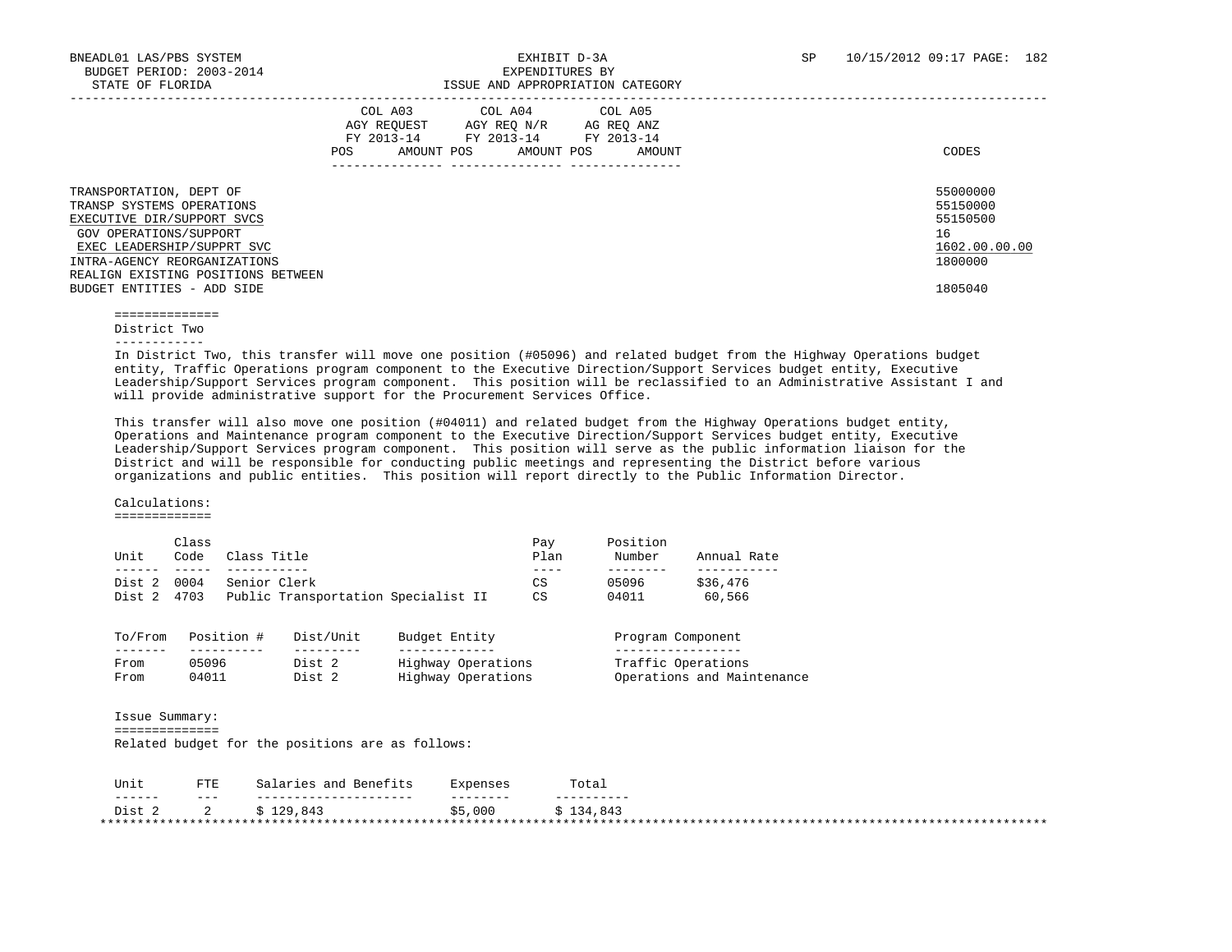|                                                                                                                                                                                                                                                | COL A03<br>AGY REOUEST<br>FY 2013-14<br>AMOUNT POS<br>POS | COL A04<br>AGY REQ N/R<br>FY 2013-14<br>AMOUNT POS | COL A05<br>AG REQ ANZ<br>FY 2013-14<br>AMOUNT | CODES                                                                         |
|------------------------------------------------------------------------------------------------------------------------------------------------------------------------------------------------------------------------------------------------|-----------------------------------------------------------|----------------------------------------------------|-----------------------------------------------|-------------------------------------------------------------------------------|
| TRANSPORTATION, DEPT OF<br>TRANSP SYSTEMS OPERATIONS<br>EXECUTIVE DIR/SUPPORT SVCS<br>GOV OPERATIONS/SUPPORT<br>EXEC LEADERSHIP/SUPPRT SVC<br>INTRA-AGENCY REORGANIZATIONS<br>REALIGN EXISTING POSITIONS BETWEEN<br>BUDGET ENTITIES - ADD SIDE |                                                           |                                                    |                                               | 55000000<br>55150000<br>55150500<br>16<br>1602.00.00.00<br>1800000<br>1805040 |

==============

District Two

------------

 In District Two, this transfer will move one position (#05096) and related budget from the Highway Operations budget entity, Traffic Operations program component to the Executive Direction/Support Services budget entity, Executive Leadership/Support Services program component. This position will be reclassified to an Administrative Assistant I and will provide administrative support for the Procurement Services Office.

 This transfer will also move one position (#04011) and related budget from the Highway Operations budget entity, Operations and Maintenance program component to the Executive Direction/Support Services budget entity, Executive Leadership/Support Services program component. This position will serve as the public information liaison for the District and will be responsible for conducting public meetings and representing the District before various organizations and public entities. This position will report directly to the Public Information Director.

Calculations:

=============

| Class |                                     | Pay  | Position |             |
|-------|-------------------------------------|------|----------|-------------|
| Code  | Class Title                         | Plan | Number   | Annual Rate |
|       |                                     |      |          |             |
| 0004  | Senior Clerk                        | CS   | 05096    | \$36,476    |
| 4703  | Public Transportation Specialist II | CS   | 04011    | 60,566      |
|       |                                     |      |          |             |

| 10/FL'0111 | POSILION # | DISL/UNIL | BUQGEL ENLILY      | Program component          |
|------------|------------|-----------|--------------------|----------------------------|
| -------    |            |           |                    |                            |
| From       | 05096      | Dist      | Highway Operations | Traffic Operations         |
| From       | 04011      | Dist      | Highway Operations | Operations and Maintenance |

 Issue Summary: ============== Related budget for the positions are as follows:

| Unit                         | FTE.    | Benefits<br>Salaries and | 'xpenses | Total       |
|------------------------------|---------|--------------------------|----------|-------------|
| -------                      | $- - -$ | ----------------         | -------- | ----------  |
| Dist                         |         | 129x<br>129,843          | ,000     | ,843<br>-34 |
| **************************** |         |                          |          | ********    |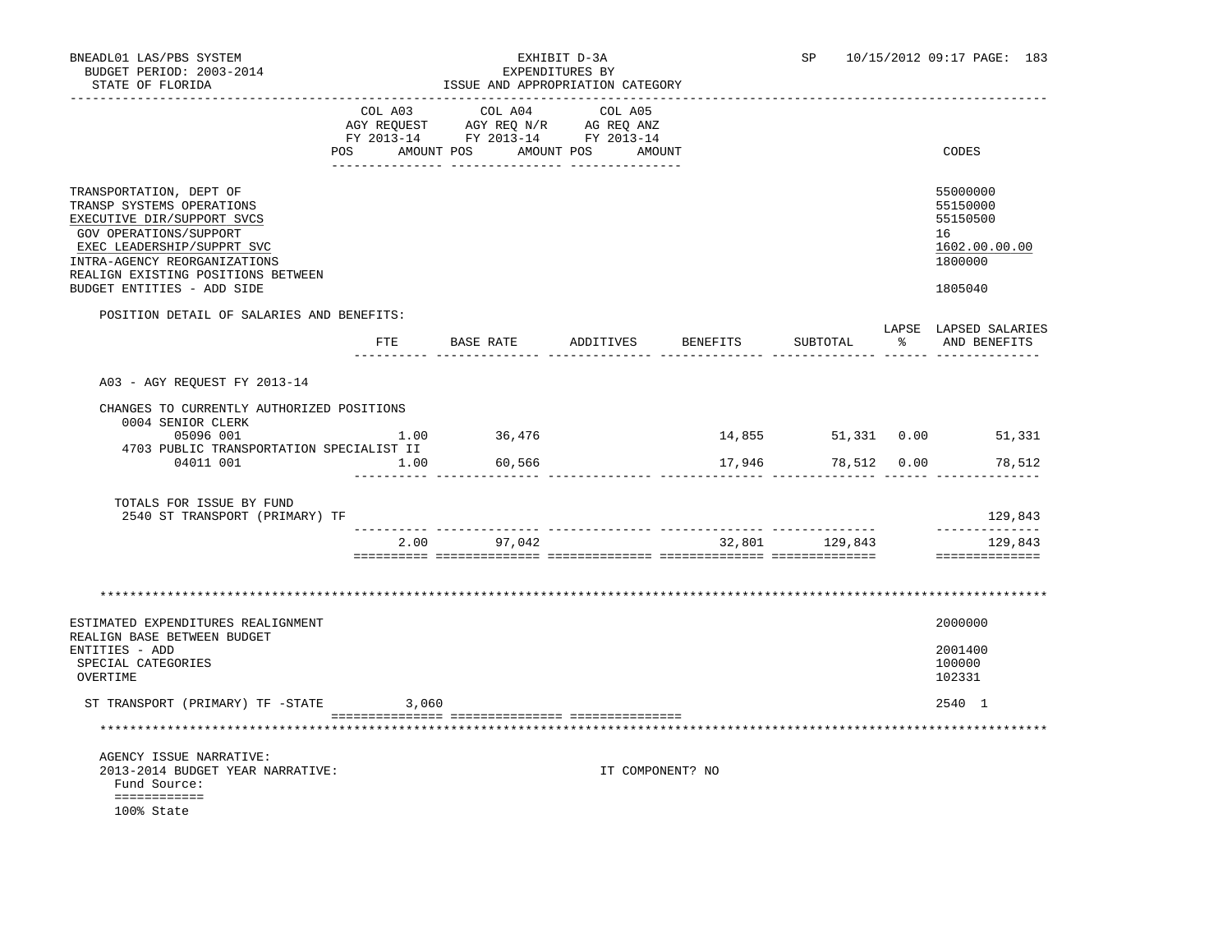| BNEADL01 LAS/PBS SYSTEM<br>BUDGET PERIOD: 2003-2014<br>STATE OF FLORIDA<br>-------------------                                                                                                                                                 |       | EXPENDITURES BY<br>ISSUE AND APPROPRIATION CATEGORY                                               | EXHIBIT D-3A     |                 | <b>SP</b>      |    | 10/15/2012 09:17 PAGE: 183                                                    |
|------------------------------------------------------------------------------------------------------------------------------------------------------------------------------------------------------------------------------------------------|-------|---------------------------------------------------------------------------------------------------|------------------|-----------------|----------------|----|-------------------------------------------------------------------------------|
|                                                                                                                                                                                                                                                |       | COL A03 COL A04 COL A05<br>AGY REQUEST AGY REQ N/R AG REQ ANZ<br>FY 2013-14 FY 2013-14 FY 2013-14 |                  |                 |                |    |                                                                               |
|                                                                                                                                                                                                                                                | POS   | AMOUNT POS AMOUNT POS AMOUNT                                                                      |                  |                 |                |    | CODES                                                                         |
| TRANSPORTATION, DEPT OF<br>TRANSP SYSTEMS OPERATIONS<br>EXECUTIVE DIR/SUPPORT SVCS<br>GOV OPERATIONS/SUPPORT<br>EXEC LEADERSHIP/SUPPRT SVC<br>INTRA-AGENCY REORGANIZATIONS<br>REALIGN EXISTING POSITIONS BETWEEN<br>BUDGET ENTITIES - ADD SIDE |       |                                                                                                   |                  |                 |                |    | 55000000<br>55150000<br>55150500<br>16<br>1602.00.00.00<br>1800000<br>1805040 |
| POSITION DETAIL OF SALARIES AND BENEFITS:                                                                                                                                                                                                      |       |                                                                                                   |                  |                 |                |    | LAPSE LAPSED SALARIES                                                         |
|                                                                                                                                                                                                                                                |       | FTE BASE RATE ADDITIVES                                                                           |                  | <b>BENEFITS</b> | SUBTOTAL       | ႜၟ | AND BENEFITS                                                                  |
| A03 - AGY REOUEST FY 2013-14                                                                                                                                                                                                                   |       |                                                                                                   |                  |                 |                |    |                                                                               |
| CHANGES TO CURRENTLY AUTHORIZED POSITIONS                                                                                                                                                                                                      |       |                                                                                                   |                  |                 |                |    |                                                                               |
| 0004 SENIOR CLERK<br>05096 001                                                                                                                                                                                                                 |       | 1.00 36,476                                                                                       |                  |                 |                |    | 14,855 51,331 0.00 51,331                                                     |
| 4703 PUBLIC TRANSPORTATION SPECIALIST II<br>04011 001                                                                                                                                                                                          | 1.00  | 60,566                                                                                            |                  |                 |                |    | 17,946 78,512 0.00 78,512                                                     |
| TOTALS FOR ISSUE BY FUND<br>2540 ST TRANSPORT (PRIMARY) TF                                                                                                                                                                                     |       |                                                                                                   |                  |                 |                |    | 129,843<br>______________                                                     |
|                                                                                                                                                                                                                                                |       | 2.00 97,042                                                                                       |                  |                 | 32,801 129,843 |    | 129,843<br>==============                                                     |
| ESTIMATED EXPENDITURES REALIGNMENT<br>REALIGN BASE BETWEEN BUDGET                                                                                                                                                                              |       |                                                                                                   |                  |                 |                |    | 2000000                                                                       |
| ENTITIES - ADD<br>SPECIAL CATEGORIES<br>OVERTIME                                                                                                                                                                                               |       |                                                                                                   |                  |                 |                |    | 2001400<br>100000<br>102331                                                   |
| ST TRANSPORT (PRIMARY) TF -STATE                                                                                                                                                                                                               | 3,060 |                                                                                                   |                  |                 |                |    | 2540 1                                                                        |
|                                                                                                                                                                                                                                                |       |                                                                                                   |                  |                 |                |    |                                                                               |
| AGENCY ISSUE NARRATIVE:<br>2013-2014 BUDGET YEAR NARRATIVE:<br>Fund Source:<br>============<br>100% State                                                                                                                                      |       |                                                                                                   | IT COMPONENT? NO |                 |                |    |                                                                               |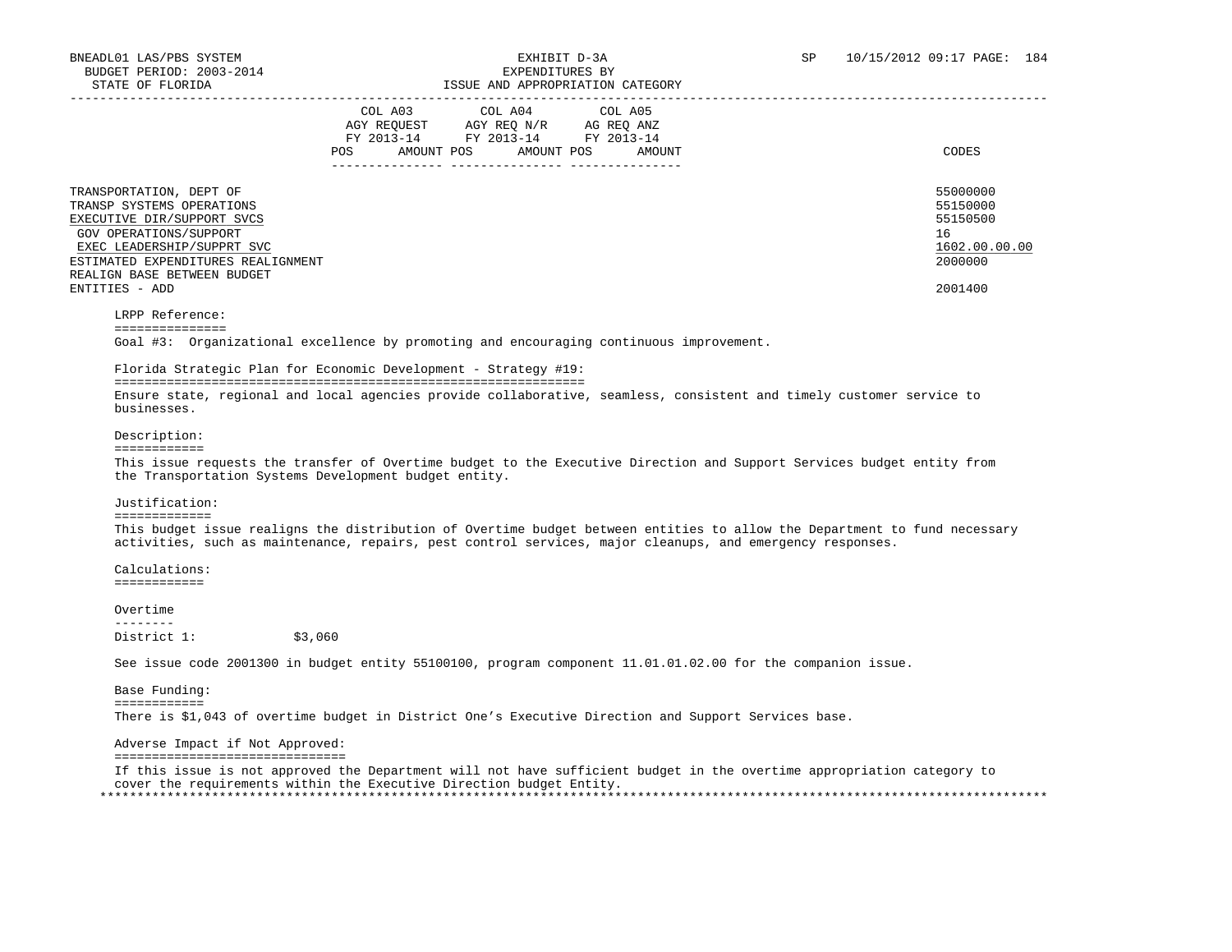|                                                                                                                                                                                                                                   | COL A03<br>AGY REOUEST<br>FY 2013-14<br>AMOUNT POS<br>POS | COL A04 COL A05<br>AGY REO N/R<br>FY 2013-14 FY 2013-14<br>AMOUNT POS | AG REO ANZ<br>AMOUNT | CODES                                                                         |
|-----------------------------------------------------------------------------------------------------------------------------------------------------------------------------------------------------------------------------------|-----------------------------------------------------------|-----------------------------------------------------------------------|----------------------|-------------------------------------------------------------------------------|
| TRANSPORTATION, DEPT OF<br>TRANSP SYSTEMS OPERATIONS<br>EXECUTIVE DIR/SUPPORT SVCS<br>GOV OPERATIONS/SUPPORT<br>EXEC LEADERSHIP/SUPPRT SVC<br>ESTIMATED EXPENDITURES REALIGNMENT<br>REALIGN BASE BETWEEN BUDGET<br>ENTITIES - ADD |                                                           |                                                                       |                      | 55000000<br>55150000<br>55150500<br>16<br>1602.00.00.00<br>2000000<br>2001400 |

LRPP Reference:

===============

Goal #3: Organizational excellence by promoting and encouraging continuous improvement.

# Florida Strategic Plan for Economic Development - Strategy #19:

 =============================================================== Ensure state, regional and local agencies provide collaborative, seamless, consistent and timely customer service to businesses.

### Description:

============

 This issue requests the transfer of Overtime budget to the Executive Direction and Support Services budget entity from the Transportation Systems Development budget entity.

### Justification:

=============

 This budget issue realigns the distribution of Overtime budget between entities to allow the Department to fund necessary activities, such as maintenance, repairs, pest control services, major cleanups, and emergency responses.

 Calculations: ============

 Overtime -------- District 1: \$3,060

See issue code 2001300 in budget entity 55100100, program component 11.01.01.02.00 for the companion issue.

 Base Funding: ============ There is \$1,043 of overtime budget in District One's Executive Direction and Support Services base.

# Adverse Impact if Not Approved:

===============================

 If this issue is not approved the Department will not have sufficient budget in the overtime appropriation category to cover the requirements within the Executive Direction budget Entity. \*\*\*\*\*\*\*\*\*\*\*\*\*\*\*\*\*\*\*\*\*\*\*\*\*\*\*\*\*\*\*\*\*\*\*\*\*\*\*\*\*\*\*\*\*\*\*\*\*\*\*\*\*\*\*\*\*\*\*\*\*\*\*\*\*\*\*\*\*\*\*\*\*\*\*\*\*\*\*\*\*\*\*\*\*\*\*\*\*\*\*\*\*\*\*\*\*\*\*\*\*\*\*\*\*\*\*\*\*\*\*\*\*\*\*\*\*\*\*\*\*\*\*\*\*\*\*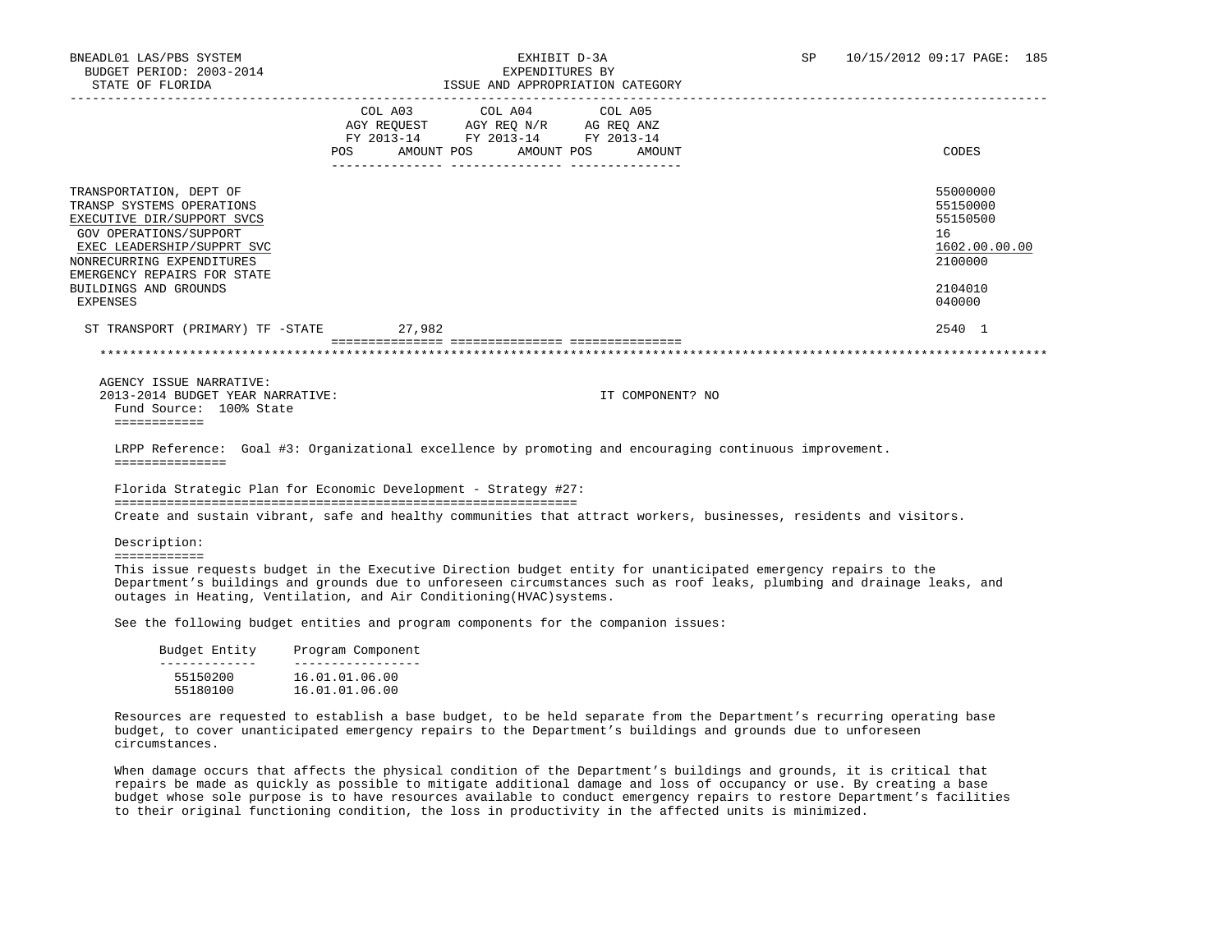|                                                                                                                                                                                                                                             | COL A03<br>AGY REOUEST<br>FY 2013-14<br>AMOUNT POS<br><b>POS</b> | COL A04 COL A05<br>AGY REQ N/R<br>FY 2013-14 FY 2013-14<br>AMOUNT POS | AG REO ANZ<br>AMOUNT | CODES                                                                                   |
|---------------------------------------------------------------------------------------------------------------------------------------------------------------------------------------------------------------------------------------------|------------------------------------------------------------------|-----------------------------------------------------------------------|----------------------|-----------------------------------------------------------------------------------------|
| TRANSPORTATION, DEPT OF<br>TRANSP SYSTEMS OPERATIONS<br>EXECUTIVE DIR/SUPPORT SVCS<br>GOV OPERATIONS/SUPPORT<br>EXEC LEADERSHIP/SUPPRT SVC<br>NONRECURRING EXPENDITURES<br>EMERGENCY REPAIRS FOR STATE<br>BUILDINGS AND GROUNDS<br>EXPENSES |                                                                  |                                                                       |                      | 55000000<br>55150000<br>55150500<br>16<br>1602.00.00.00<br>2100000<br>2104010<br>040000 |
| ST TRANSPORT (PRIMARY) TF -STATE                                                                                                                                                                                                            | 27,982                                                           |                                                                       |                      | 2540 1                                                                                  |
|                                                                                                                                                                                                                                             |                                                                  |                                                                       |                      |                                                                                         |

 AGENCY ISSUE NARRATIVE: 2013-2014 BUDGET YEAR NARRATIVE: IT COMPONENT? NO Fund Source: 100% State ============

 LRPP Reference: Goal #3: Organizational excellence by promoting and encouraging continuous improvement. ===============

 Florida Strategic Plan for Economic Development - Strategy #27: ============================================================== Create and sustain vibrant, safe and healthy communities that attract workers, businesses, residents and visitors.

Description:

============

 This issue requests budget in the Executive Direction budget entity for unanticipated emergency repairs to the Department's buildings and grounds due to unforeseen circumstances such as roof leaks, plumbing and drainage leaks, and outages in Heating, Ventilation, and Air Conditioning(HVAC)systems.

See the following budget entities and program components for the companion issues:

| Budget Entity | Program Component |
|---------------|-------------------|
| 55150200      | 16.01.01.06.00    |
| 55180100      | 16.01.01.06.00    |

 Resources are requested to establish a base budget, to be held separate from the Department's recurring operating base budget, to cover unanticipated emergency repairs to the Department's buildings and grounds due to unforeseen circumstances.

 When damage occurs that affects the physical condition of the Department's buildings and grounds, it is critical that repairs be made as quickly as possible to mitigate additional damage and loss of occupancy or use. By creating a base budget whose sole purpose is to have resources available to conduct emergency repairs to restore Department's facilities to their original functioning condition, the loss in productivity in the affected units is minimized.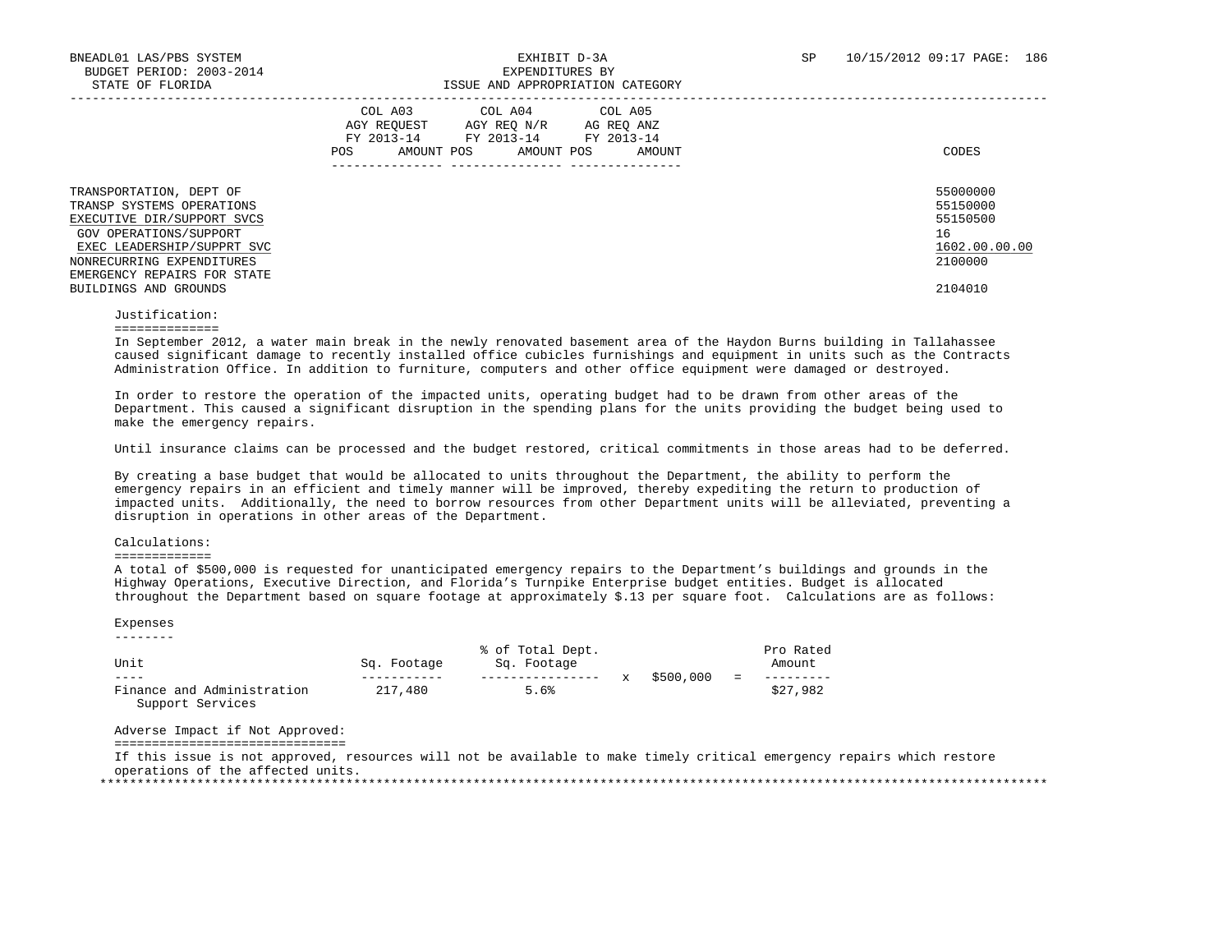| TRANSPORTATION, DEPT OF<br>TRANSP SYSTEMS OPERATIONS                                                                                           | COL A05<br>COL A03<br>COL A04<br>AGY REOUEST<br>AGY REO N/R<br>AG REO ANZ<br>FY 2013-14<br>FY 2013-14 FY 2013-14<br>AMOUNT POS<br>AMOUNT POS<br>POS.<br>AMOUNT<br>--------------- | CODES<br>55000000<br>55150000              |
|------------------------------------------------------------------------------------------------------------------------------------------------|-----------------------------------------------------------------------------------------------------------------------------------------------------------------------------------|--------------------------------------------|
| EXECUTIVE DIR/SUPPORT SVCS<br>GOV OPERATIONS/SUPPORT<br>EXEC LEADERSHIP/SUPPRT SVC<br>NONRECURRING EXPENDITURES<br>EMERGENCY REPAIRS FOR STATE |                                                                                                                                                                                   | 55150500<br>16<br>1602.00.00.00<br>2100000 |
| BUILDINGS AND GROUNDS                                                                                                                          |                                                                                                                                                                                   | 2104010                                    |

 Justification: ==============

 In September 2012, a water main break in the newly renovated basement area of the Haydon Burns building in Tallahassee caused significant damage to recently installed office cubicles furnishings and equipment in units such as the Contracts Administration Office. In addition to furniture, computers and other office equipment were damaged or destroyed.

 In order to restore the operation of the impacted units, operating budget had to be drawn from other areas of the Department. This caused a significant disruption in the spending plans for the units providing the budget being used to make the emergency repairs.

Until insurance claims can be processed and the budget restored, critical commitments in those areas had to be deferred.

 By creating a base budget that would be allocated to units throughout the Department, the ability to perform the emergency repairs in an efficient and timely manner will be improved, thereby expediting the return to production of impacted units. Additionally, the need to borrow resources from other Department units will be alleviated, preventing a disruption in operations in other areas of the Department.

## Calculations:

#### =============

 A total of \$500,000 is requested for unanticipated emergency repairs to the Department's buildings and grounds in the Highway Operations, Executive Direction, and Florida's Turnpike Enterprise budget entities. Budget is allocated throughout the Department based on square footage at approximately \$.13 per square foot. Calculations are as follows:

#### Expenses --------

| Unit                       | Sq. Footage | % of Total Dept.<br>Sq. Footage |           |     | Pro Rated<br>Amount |
|----------------------------|-------------|---------------------------------|-----------|-----|---------------------|
| $- - - -$                  |             |                                 | \$500,000 | $=$ |                     |
| Finance and Administration | 217,480     | 5.6%                            |           |     | \$27,982            |
| Support Services           |             |                                 |           |     |                     |

Adverse Impact if Not Approved:

===============================

 If this issue is not approved, resources will not be available to make timely critical emergency repairs which restore operations of the affected units.

\*\*\*\*\*\*\*\*\*\*\*\*\*\*\*\*\*\*\*\*\*\*\*\*\*\*\*\*\*\*\*\*\*\*\*\*\*\*\*\*\*\*\*\*\*\*\*\*\*\*\*\*\*\*\*\*\*\*\*\*\*\*\*\*\*\*\*\*\*\*\*\*\*\*\*\*\*\*\*\*\*\*\*\*\*\*\*\*\*\*\*\*\*\*\*\*\*\*\*\*\*\*\*\*\*\*\*\*\*\*\*\*\*\*\*\*\*\*\*\*\*\*\*\*\*\*\*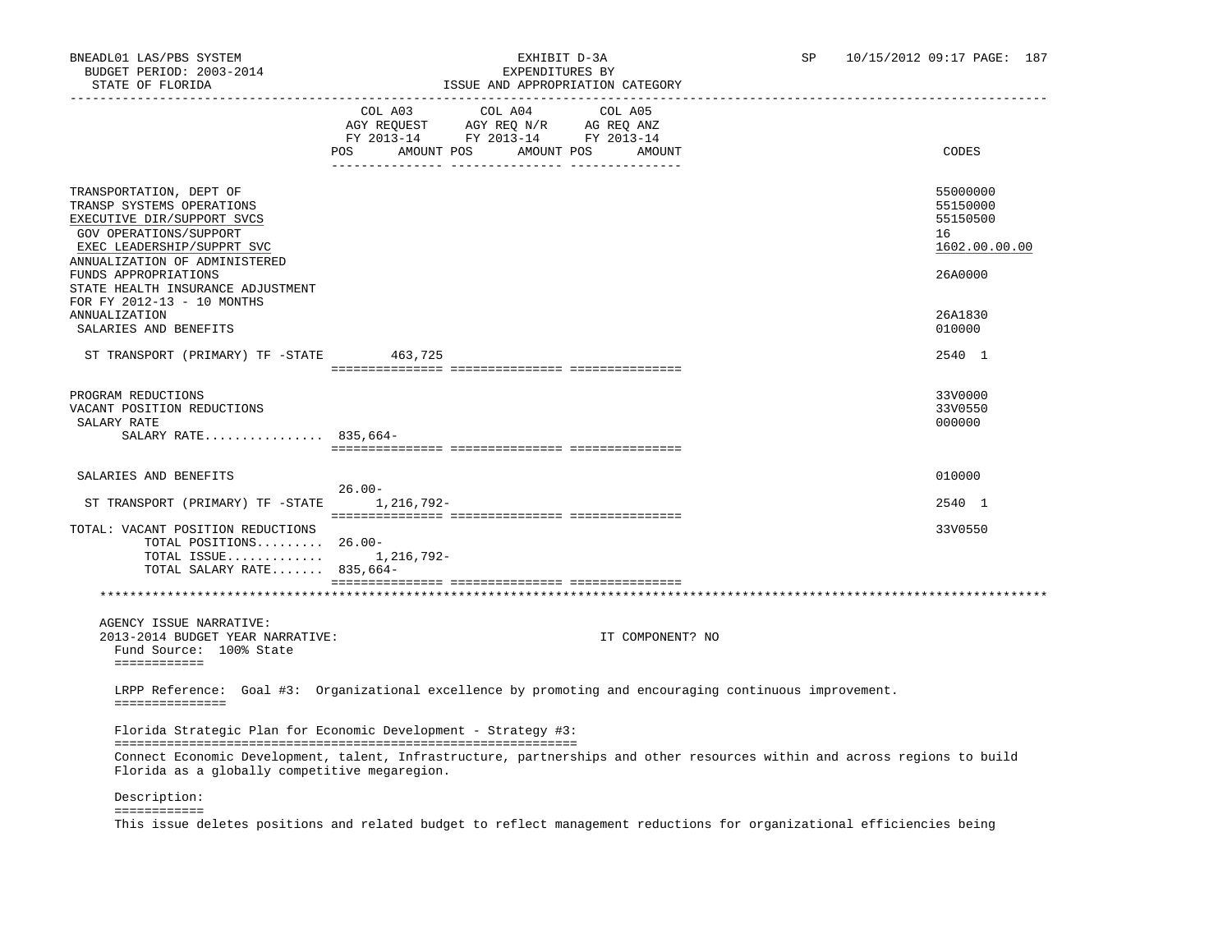| STATE OF FLORIDA                                                                                                                                                            | ISSUE AND APPROPRIATION CATEGORY                                                                                                                     |                                                         |
|-----------------------------------------------------------------------------------------------------------------------------------------------------------------------------|------------------------------------------------------------------------------------------------------------------------------------------------------|---------------------------------------------------------|
|                                                                                                                                                                             | COL A03<br>COL A04<br>COL A05<br>AGY REQUEST AGY REQ N/R AG REQ ANZ<br>FY 2013-14 FY 2013-14 FY 2013-14<br>AMOUNT POS<br>AMOUNT POS<br>POS<br>AMOUNT | CODES                                                   |
| TRANSPORTATION, DEPT OF<br>TRANSP SYSTEMS OPERATIONS<br>EXECUTIVE DIR/SUPPORT SVCS<br>GOV OPERATIONS/SUPPORT<br>EXEC LEADERSHIP/SUPPRT SVC<br>ANNUALIZATION OF ADMINISTERED |                                                                                                                                                      | 55000000<br>55150000<br>55150500<br>16<br>1602.00.00.00 |
| FUNDS APPROPRIATIONS<br>STATE HEALTH INSURANCE ADJUSTMENT<br>FOR FY 2012-13 - 10 MONTHS<br>ANNUALIZATION                                                                    |                                                                                                                                                      | 26A0000<br>26A1830                                      |
| SALARIES AND BENEFITS                                                                                                                                                       |                                                                                                                                                      | 010000                                                  |
| ST TRANSPORT (PRIMARY) TF -STATE 463,725                                                                                                                                    |                                                                                                                                                      | 2540 1                                                  |
| PROGRAM REDUCTIONS<br>VACANT POSITION REDUCTIONS<br>SALARY RATE<br>SALARY RATE 835,664-                                                                                     |                                                                                                                                                      | 33V0000<br>33V0550<br>000000                            |
|                                                                                                                                                                             |                                                                                                                                                      |                                                         |
| SALARIES AND BENEFITS                                                                                                                                                       | $26.00 -$                                                                                                                                            | 010000                                                  |
| ST TRANSPORT (PRIMARY) TF -STATE                                                                                                                                            | 1,216,792-                                                                                                                                           | 2540 1                                                  |
| TOTAL: VACANT POSITION REDUCTIONS<br>TOTAL POSITIONS 26.00-<br>TOTAL ISSUE $1, 216, 792 -$<br>TOTAL SALARY RATE 835,664-                                                    |                                                                                                                                                      | 33V0550                                                 |
|                                                                                                                                                                             |                                                                                                                                                      |                                                         |
| AGENCY ISSUE NARRATIVE:<br>2013-2014 BUDGET YEAR NARRATIVE:<br>Fund Source: 100% State<br>============                                                                      | IT COMPONENT? NO                                                                                                                                     |                                                         |
| ===============                                                                                                                                                             | LRPP Reference: Goal #3: Organizational excellence by promoting and encouraging continuous improvement.                                              |                                                         |
|                                                                                                                                                                             | Florida Strategic Plan for Economic Development - Strategy #3:                                                                                       |                                                         |
| Florida as a globally competitive megaregion.                                                                                                                               | Connect Economic Development, talent, Infrastructure, partnerships and other resources within and across regions to build                            |                                                         |
| Description:                                                                                                                                                                |                                                                                                                                                      |                                                         |

============

This issue deletes positions and related budget to reflect management reductions for organizational efficiencies being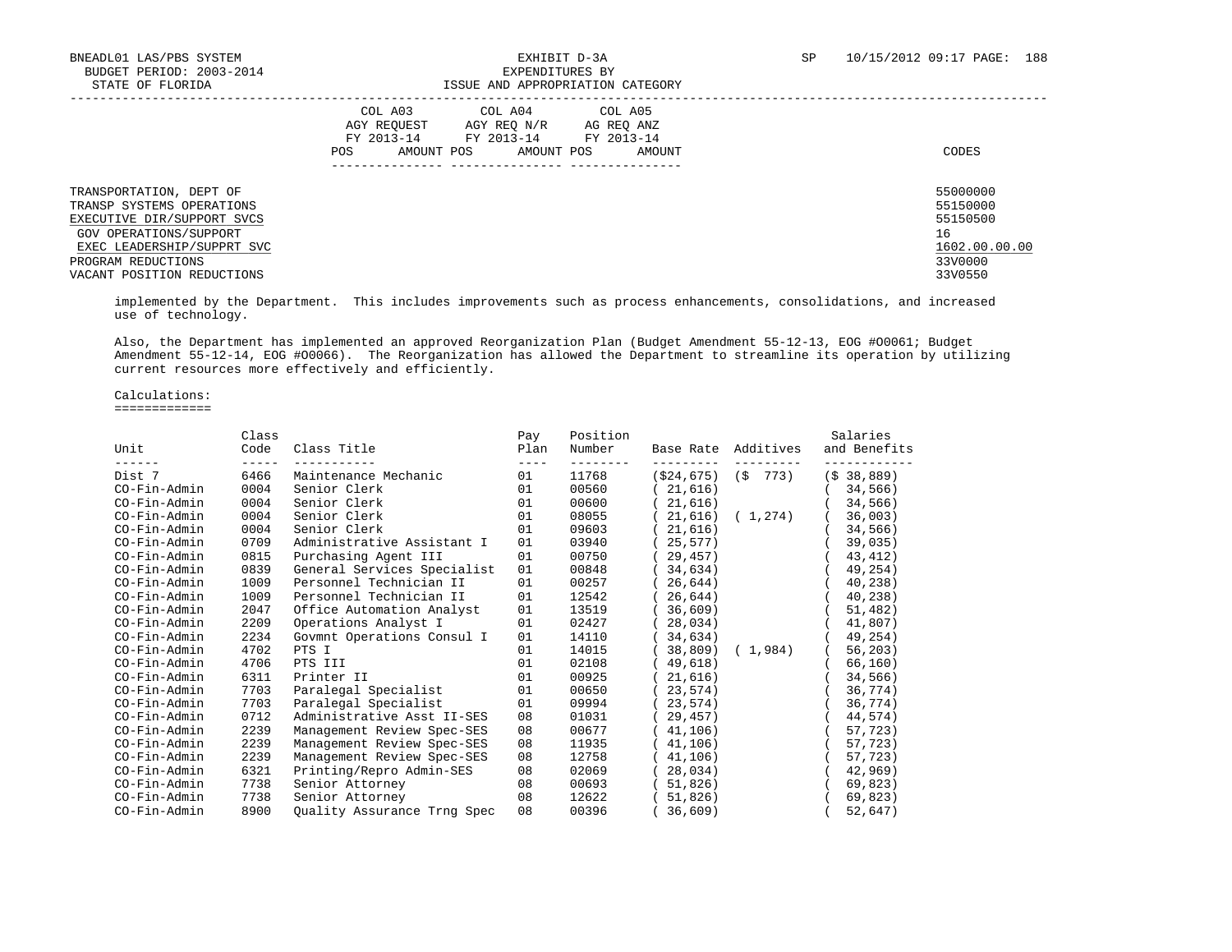# BNEADL01 LAS/PBS SYSTEM EXHIBIT D-3A SP 10/15/2012 09:17 PAGE: 188 ISSUE AND APPROPRIATION CATEGORY

|                                                                                                                                            | COL A03<br>COL A04<br>COL A05<br>AGY REOUEST<br>AGY REO N/R<br>AG REO ANZ<br>FY 2013-14<br>FY 2013-14<br>FY 2013-14<br>AMOUNT POS<br>AMOUNT POS<br>POS.<br>AMOUNT | CODES                                                   |
|--------------------------------------------------------------------------------------------------------------------------------------------|-------------------------------------------------------------------------------------------------------------------------------------------------------------------|---------------------------------------------------------|
| TRANSPORTATION, DEPT OF<br>TRANSP SYSTEMS OPERATIONS<br>EXECUTIVE DIR/SUPPORT SVCS<br>GOV OPERATIONS/SUPPORT<br>EXEC LEADERSHIP/SUPPRT SVC |                                                                                                                                                                   | 55000000<br>55150000<br>55150500<br>16<br>1602.00.00.00 |
| PROGRAM REDUCTIONS<br>VACANT POSITION REDUCTIONS                                                                                           |                                                                                                                                                                   | 33V0000<br>33V0550                                      |

 implemented by the Department. This includes improvements such as process enhancements, consolidations, and increased use of technology.

 Also, the Department has implemented an approved Reorganization Plan (Budget Amendment 55-12-13, EOG #O0061; Budget Amendment 55-12-14, EOG #O0066). The Reorganization has allowed the Department to streamline its operation by utilizing current resources more effectively and efficiently.

Calculations:

=============

|               | Class         |                             | Pay         | Position            |           |                         | Salaries      |
|---------------|---------------|-----------------------------|-------------|---------------------|-----------|-------------------------|---------------|
| Unit<br>----- | Code          | Class Title                 | Plan        | Number<br>--------- |           | Base Rate Additives     | and Benefits  |
| Dist 7        | -----<br>6466 | Maintenance Mechanic        | $---$<br>01 | 11768               |           | $(\$24,675)$ $(\$ 773)$ | $($ \$38,889) |
| CO-Fin-Admin  | 0004          | Senior Clerk                | 01          | 00560               | (21, 616) |                         | 34,566)       |
| CO-Fin-Admin  | 0004          | Senior Clerk                | 01          | 00600               | (21, 616) |                         | 34,566)       |
| CO-Fin-Admin  | 0004          | Senior Clerk                | 01          | 08055               |           | (21,616) (1,274)        | 36,003)       |
| CO-Fin-Admin  | 0004          | Senior Clerk                | 01          | 09603               | (21, 616) |                         | 34,566)       |
| CO-Fin-Admin  | 0709          | Administrative Assistant I  | 01          | 03940               | (25, 577) |                         | 39,035)       |
| CO-Fin-Admin  | 0815          | Purchasing Agent III        | 01          | 00750               | (29, 457) |                         | 43,412)       |
| CO-Fin-Admin  | 0839          | General Services Specialist | 01          | 00848               | (34, 634) |                         | 49,254)       |
| CO-Fin-Admin  | 1009          | Personnel Technician II     | 01          | 00257               | (26, 644) |                         | 40,238)       |
| CO-Fin-Admin  | 1009          | Personnel Technician II     | 01          | 12542               | (26, 644) |                         | 40,238)       |
| CO-Fin-Admin  | 2047          | Office Automation Analyst   | 01          | 13519               | (36, 609) |                         | 51,482)       |
| CO-Fin-Admin  | 2209          | Operations Analyst I        | 01          | 02427               | (28, 034) |                         | 41,807)       |
| CO-Fin-Admin  | 2234          | Govmnt Operations Consul I  | 01          | 14110               | (34, 634) |                         | (49, 254)     |
| CO-Fin-Admin  | 4702          | PTS I                       | 01          | 14015               |           | (38,809) (1,984)        | 56, 203)      |
| CO-Fin-Admin  | 4706          | PTS III                     | 01          | 02108               | (49,618)  |                         | 66,160)       |
| CO-Fin-Admin  | 6311          | Printer II                  | 01          | 00925               | (21,616)  |                         | 34,566)       |
| CO-Fin-Admin  | 7703          | Paralegal Specialist        | 01          | 00650               | (23, 574) |                         | 36,774)       |
| CO-Fin-Admin  | 7703          | Paralegal Specialist        | 01          | 09994               | (23, 574) |                         | 36,774)       |
| CO-Fin-Admin  | 0712          | Administrative Asst II-SES  | 08          | 01031               | (29, 457) |                         | 44,574)       |
| CO-Fin-Admin  | 2239          | Management Review Spec-SES  | 08          | 00677               | (41, 106) |                         | 57,723)       |
| CO-Fin-Admin  | 2239          | Management Review Spec-SES  | 08          | 11935               | (41, 106) |                         | 57,723)       |
| CO-Fin-Admin  | 2239          | Management Review Spec-SES  | 08          | 12758               | (41, 106) |                         | 57,723)       |
| CO-Fin-Admin  | 6321          | Printing/Repro Admin-SES    | 08          | 02069               | (28, 034) |                         | 42,969)       |
| CO-Fin-Admin  | 7738          | Senior Attorney             | 08          | 00693               | (51,826)  |                         | 69,823)       |
| CO-Fin-Admin  | 7738          | Senior Attorney             | 08          | 12622               | (51,826)  |                         | 69,823)       |
| CO-Fin-Admin  | 8900          | Ouality Assurance Trng Spec | 08          | 00396               | (36, 609) |                         | 52,647)       |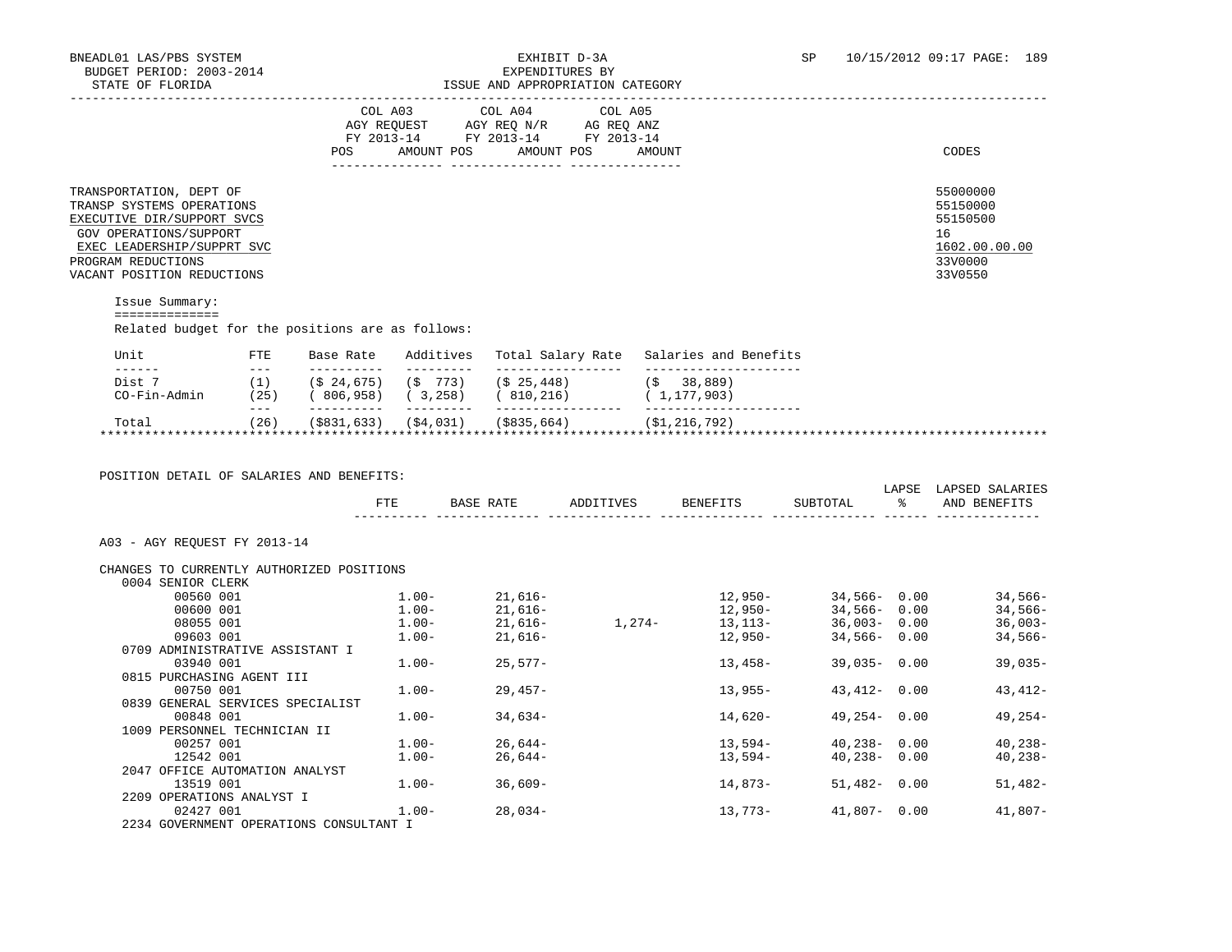# BNEADL01 LAS/PBS SYSTEM EXHIBIT D-3A SP 10/15/2012 09:17 PAGE: 189

| STATE OF FLORIDA                                                                                                                                                                                                                                                                                                                                                                                                                                                                   |                       |                         |                                                                                                                                                                                                                                                                                                                                                                                                                                                                                                     | ISSUE AND APPROPRIATION CATEGORY                                       |                     |                                                                                                                                                                                                                                                                               |                                                                                   |           |                                                                    |
|------------------------------------------------------------------------------------------------------------------------------------------------------------------------------------------------------------------------------------------------------------------------------------------------------------------------------------------------------------------------------------------------------------------------------------------------------------------------------------|-----------------------|-------------------------|-----------------------------------------------------------------------------------------------------------------------------------------------------------------------------------------------------------------------------------------------------------------------------------------------------------------------------------------------------------------------------------------------------------------------------------------------------------------------------------------------------|------------------------------------------------------------------------|---------------------|-------------------------------------------------------------------------------------------------------------------------------------------------------------------------------------------------------------------------------------------------------------------------------|-----------------------------------------------------------------------------------|-----------|--------------------------------------------------------------------|
|                                                                                                                                                                                                                                                                                                                                                                                                                                                                                    |                       |                         |                                                                                                                                                                                                                                                                                                                                                                                                                                                                                                     | COL A03 COL A04                                                        | COL A05             |                                                                                                                                                                                                                                                                               |                                                                                   |           |                                                                    |
|                                                                                                                                                                                                                                                                                                                                                                                                                                                                                    |                       |                         |                                                                                                                                                                                                                                                                                                                                                                                                                                                                                                     | AGY REQUEST AGY REQ N/R AG REQ ANZ<br>FY 2013-14 FY 2013-14 FY 2013-14 |                     |                                                                                                                                                                                                                                                                               |                                                                                   |           |                                                                    |
|                                                                                                                                                                                                                                                                                                                                                                                                                                                                                    |                       |                         |                                                                                                                                                                                                                                                                                                                                                                                                                                                                                                     |                                                                        |                     |                                                                                                                                                                                                                                                                               |                                                                                   |           |                                                                    |
|                                                                                                                                                                                                                                                                                                                                                                                                                                                                                    |                       |                         |                                                                                                                                                                                                                                                                                                                                                                                                                                                                                                     | POS AMOUNT POS AMOUNT POS AMOUNT                                       |                     |                                                                                                                                                                                                                                                                               |                                                                                   |           | CODES                                                              |
| TRANSPORTATION, DEPT OF<br>TRANSP SYSTEMS OPERATIONS<br>EXECUTIVE DIR/SUPPORT SVCS<br>GOV OPERATIONS/SUPPORT<br>EXEC LEADERSHIP/SUPPRT SVC<br>PROGRAM REDUCTIONS                                                                                                                                                                                                                                                                                                                   |                       |                         |                                                                                                                                                                                                                                                                                                                                                                                                                                                                                                     |                                                                        |                     |                                                                                                                                                                                                                                                                               |                                                                                   |           | 55000000<br>55150000<br>55150500<br>16<br>1602.00.00.00<br>33V0000 |
| VACANT POSITION REDUCTIONS                                                                                                                                                                                                                                                                                                                                                                                                                                                         |                       |                         |                                                                                                                                                                                                                                                                                                                                                                                                                                                                                                     |                                                                        |                     |                                                                                                                                                                                                                                                                               |                                                                                   |           | 33V0550                                                            |
| Issue Summary:<br>==============                                                                                                                                                                                                                                                                                                                                                                                                                                                   |                       |                         |                                                                                                                                                                                                                                                                                                                                                                                                                                                                                                     |                                                                        |                     |                                                                                                                                                                                                                                                                               |                                                                                   |           |                                                                    |
| Related budget for the positions are as follows:                                                                                                                                                                                                                                                                                                                                                                                                                                   |                       |                         |                                                                                                                                                                                                                                                                                                                                                                                                                                                                                                     |                                                                        |                     |                                                                                                                                                                                                                                                                               |                                                                                   |           |                                                                    |
| Unit<br>$\frac{1}{2} \left( \frac{1}{2} \right) \left( \frac{1}{2} \right) \left( \frac{1}{2} \right) \left( \frac{1}{2} \right) \left( \frac{1}{2} \right) \left( \frac{1}{2} \right) \left( \frac{1}{2} \right) \left( \frac{1}{2} \right) \left( \frac{1}{2} \right) \left( \frac{1}{2} \right) \left( \frac{1}{2} \right) \left( \frac{1}{2} \right) \left( \frac{1}{2} \right) \left( \frac{1}{2} \right) \left( \frac{1}{2} \right) \left( \frac{1}{2} \right) \left( \frac$ | $_{\rm FTE}$<br>$  -$ | Base Rate<br>__________ | Additives<br>$\begin{array}{cccccccccc} \multicolumn{2}{c}{} & \multicolumn{2}{c}{} & \multicolumn{2}{c}{} & \multicolumn{2}{c}{} & \multicolumn{2}{c}{} & \multicolumn{2}{c}{} & \multicolumn{2}{c}{} & \multicolumn{2}{c}{} & \multicolumn{2}{c}{} & \multicolumn{2}{c}{} & \multicolumn{2}{c}{} & \multicolumn{2}{c}{} & \multicolumn{2}{c}{} & \multicolumn{2}{c}{} & \multicolumn{2}{c}{} & \multicolumn{2}{c}{} & \multicolumn{2}{c}{} & \multicolumn{2}{c}{} & \multicolumn{2}{c}{} & \mult$ |                                                                        | ___________________ | Total Salary Rate Salaries and Benefits<br>______________________                                                                                                                                                                                                             |                                                                                   |           |                                                                    |
|                                                                                                                                                                                                                                                                                                                                                                                                                                                                                    |                       |                         |                                                                                                                                                                                                                                                                                                                                                                                                                                                                                                     |                                                                        |                     |                                                                                                                                                                                                                                                                               |                                                                                   |           |                                                                    |
|                                                                                                                                                                                                                                                                                                                                                                                                                                                                                    |                       |                         |                                                                                                                                                                                                                                                                                                                                                                                                                                                                                                     |                                                                        |                     |                                                                                                                                                                                                                                                                               |                                                                                   |           |                                                                    |
|                                                                                                                                                                                                                                                                                                                                                                                                                                                                                    |                       |                         |                                                                                                                                                                                                                                                                                                                                                                                                                                                                                                     | $( $831, 633)$ $( $4, 031)$ $( $835, 664)$ $( $1, 216, 792)$           |                     | _______________________                                                                                                                                                                                                                                                       |                                                                                   |           |                                                                    |
| Total                                                                                                                                                                                                                                                                                                                                                                                                                                                                              | (26)                  |                         |                                                                                                                                                                                                                                                                                                                                                                                                                                                                                                     |                                                                        |                     |                                                                                                                                                                                                                                                                               |                                                                                   |           |                                                                    |
| POSITION DETAIL OF SALARIES AND BENEFITS:                                                                                                                                                                                                                                                                                                                                                                                                                                          |                       | FTE                     |                                                                                                                                                                                                                                                                                                                                                                                                                                                                                                     |                                                                        |                     | BASE RATE ADDITIVES BENEFITS                                                                                                                                                                                                                                                  | SUBTOTAL                                                                          | $\approx$ | LAPSE LAPSED SALARIES<br>AND BENEFITS                              |
| A03 - AGY REQUEST FY 2013-14                                                                                                                                                                                                                                                                                                                                                                                                                                                       |                       |                         |                                                                                                                                                                                                                                                                                                                                                                                                                                                                                                     |                                                                        |                     |                                                                                                                                                                                                                                                                               |                                                                                   |           |                                                                    |
|                                                                                                                                                                                                                                                                                                                                                                                                                                                                                    |                       |                         |                                                                                                                                                                                                                                                                                                                                                                                                                                                                                                     |                                                                        |                     |                                                                                                                                                                                                                                                                               |                                                                                   |           |                                                                    |
| CHANGES TO CURRENTLY AUTHORIZED POSITIONS<br>0004 SENIOR CLERK                                                                                                                                                                                                                                                                                                                                                                                                                     |                       |                         |                                                                                                                                                                                                                                                                                                                                                                                                                                                                                                     |                                                                        |                     |                                                                                                                                                                                                                                                                               |                                                                                   |           |                                                                    |
| 00560 001                                                                                                                                                                                                                                                                                                                                                                                                                                                                          |                       |                         | $1.00 -$                                                                                                                                                                                                                                                                                                                                                                                                                                                                                            | $21,616-$                                                              |                     |                                                                                                                                                                                                                                                                               | $12,950-$ 34,566- 0.00                                                            |           | $34,566-$                                                          |
| 00600 001                                                                                                                                                                                                                                                                                                                                                                                                                                                                          |                       |                         | $1.00-$                                                                                                                                                                                                                                                                                                                                                                                                                                                                                             |                                                                        |                     | 21,616-<br>21,616-<br>21,616-<br>21,616-<br>21,616-<br>21,616-<br>21,816-<br>21,816-<br>21,816-<br>21,816-<br>21,816-<br>21,816-<br>21,816-<br>21,816-<br>21,816-<br>21,816-<br>21,816-<br>21,816-<br>21,816-<br>21,816-<br>21,816-<br>21,816-<br>21,816-<br>21,816-<br>21,81 |                                                                                   |           | 34,566-                                                            |
| 08055 001                                                                                                                                                                                                                                                                                                                                                                                                                                                                          |                       |                         | $1.00-$                                                                                                                                                                                                                                                                                                                                                                                                                                                                                             |                                                                        |                     |                                                                                                                                                                                                                                                                               |                                                                                   |           | $36,003-$                                                          |
| 09603 001                                                                                                                                                                                                                                                                                                                                                                                                                                                                          |                       |                         | $1.00 -$                                                                                                                                                                                                                                                                                                                                                                                                                                                                                            |                                                                        |                     |                                                                                                                                                                                                                                                                               |                                                                                   |           | 34,566-                                                            |
| 0709 ADMINISTRATIVE ASSISTANT I                                                                                                                                                                                                                                                                                                                                                                                                                                                    |                       |                         |                                                                                                                                                                                                                                                                                                                                                                                                                                                                                                     |                                                                        |                     |                                                                                                                                                                                                                                                                               |                                                                                   |           |                                                                    |
| 03940 001                                                                                                                                                                                                                                                                                                                                                                                                                                                                          |                       |                         |                                                                                                                                                                                                                                                                                                                                                                                                                                                                                                     | $1.00 - 25.577 -$                                                      |                     | 13,458-                                                                                                                                                                                                                                                                       | $39,035 - 0.00$                                                                   |           | $39,035-$                                                          |
| 0815 PURCHASING AGENT III                                                                                                                                                                                                                                                                                                                                                                                                                                                          |                       |                         |                                                                                                                                                                                                                                                                                                                                                                                                                                                                                                     |                                                                        |                     |                                                                                                                                                                                                                                                                               |                                                                                   |           |                                                                    |
| 00750 001                                                                                                                                                                                                                                                                                                                                                                                                                                                                          |                       |                         | $1.00 -$                                                                                                                                                                                                                                                                                                                                                                                                                                                                                            | 29,457-                                                                |                     | 13,955-                                                                                                                                                                                                                                                                       | $43,412 - 0.00$                                                                   |           | 43,412-                                                            |
| 0839 GENERAL SERVICES SPECIALIST                                                                                                                                                                                                                                                                                                                                                                                                                                                   |                       |                         |                                                                                                                                                                                                                                                                                                                                                                                                                                                                                                     |                                                                        |                     |                                                                                                                                                                                                                                                                               |                                                                                   |           |                                                                    |
| 00848 001                                                                                                                                                                                                                                                                                                                                                                                                                                                                          |                       |                         |                                                                                                                                                                                                                                                                                                                                                                                                                                                                                                     | $1.00 - 34.634 -$                                                      |                     | 14,620-                                                                                                                                                                                                                                                                       | $49,254 - 0.00$                                                                   |           | $49,254-$                                                          |
| 1009 PERSONNEL TECHNICIAN II                                                                                                                                                                                                                                                                                                                                                                                                                                                       |                       |                         |                                                                                                                                                                                                                                                                                                                                                                                                                                                                                                     |                                                                        |                     |                                                                                                                                                                                                                                                                               |                                                                                   |           |                                                                    |
| 00257 001                                                                                                                                                                                                                                                                                                                                                                                                                                                                          |                       |                         | $1.00 -$                                                                                                                                                                                                                                                                                                                                                                                                                                                                                            | $26,644-$                                                              |                     |                                                                                                                                                                                                                                                                               |                                                                                   |           | $40,238-$                                                          |
| 12542 001                                                                                                                                                                                                                                                                                                                                                                                                                                                                          |                       |                         | $1.00-$                                                                                                                                                                                                                                                                                                                                                                                                                                                                                             | 26,644-                                                                |                     |                                                                                                                                                                                                                                                                               | $13,594-$<br>$13,594-$<br>$40,238-$<br>$0.00$<br>$13,594-$<br>$40,238-$<br>$0.00$ |           | $40,238-$                                                          |
| 2047 OFFICE AUTOMATION ANALYST                                                                                                                                                                                                                                                                                                                                                                                                                                                     |                       |                         |                                                                                                                                                                                                                                                                                                                                                                                                                                                                                                     |                                                                        |                     |                                                                                                                                                                                                                                                                               |                                                                                   |           |                                                                    |
| 13519 001                                                                                                                                                                                                                                                                                                                                                                                                                                                                          |                       |                         |                                                                                                                                                                                                                                                                                                                                                                                                                                                                                                     | $1.00 - 36,609 -$                                                      |                     | 14,873-                                                                                                                                                                                                                                                                       | 51,482- 0.00                                                                      |           | $51,482-$                                                          |
| 2209 OPERATIONS ANALYST I                                                                                                                                                                                                                                                                                                                                                                                                                                                          |                       |                         |                                                                                                                                                                                                                                                                                                                                                                                                                                                                                                     |                                                                        |                     |                                                                                                                                                                                                                                                                               |                                                                                   |           |                                                                    |
| 02427 001                                                                                                                                                                                                                                                                                                                                                                                                                                                                          |                       |                         | $1.00 -$                                                                                                                                                                                                                                                                                                                                                                                                                                                                                            | $28,034-$                                                              |                     | 13,773-                                                                                                                                                                                                                                                                       | $41,807 - 0.00$                                                                   |           | $41,807-$                                                          |
| 2234 GOVERNMENT OPERATIONS CONSULTANT I                                                                                                                                                                                                                                                                                                                                                                                                                                            |                       |                         |                                                                                                                                                                                                                                                                                                                                                                                                                                                                                                     |                                                                        |                     |                                                                                                                                                                                                                                                                               |                                                                                   |           |                                                                    |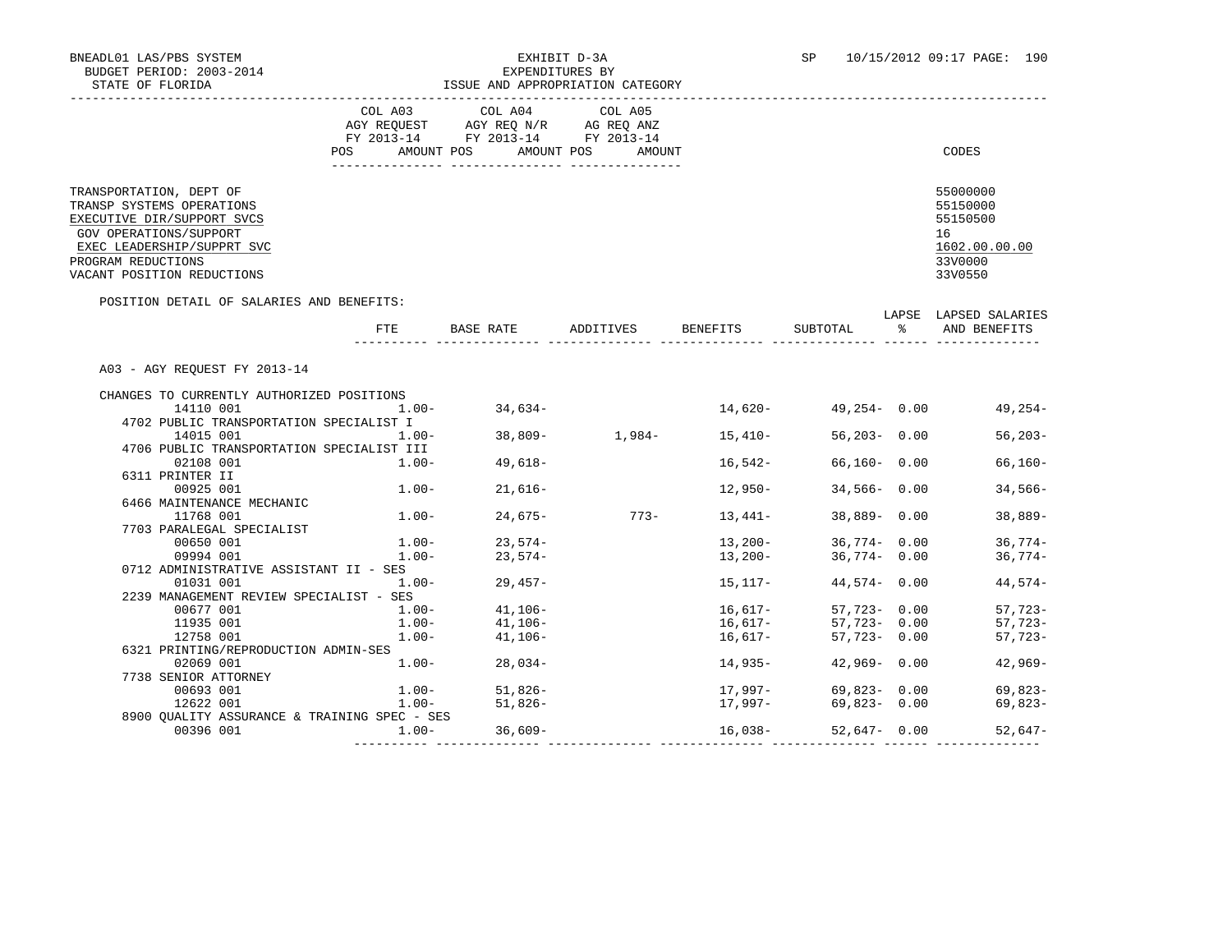# BNEADL01 LAS/PBS SYSTEM EXHIBIT D-3A SP 10/15/2012 09:17 PAGE: 190 ISSUE AND APPROPRIATION CATEGORY

|                                                                                                                                                                                                | COL A03<br>COL A04<br>COL A05<br>AGY REOUEST<br>AGY REO N/R<br>AG REO ANZ<br>FY 2013-14<br>FY 2013-14<br>FY 2013-14<br>POS<br>AMOUNT POS<br>AMOUNT POS<br>AMOUNT | CODES                                                                         |
|------------------------------------------------------------------------------------------------------------------------------------------------------------------------------------------------|------------------------------------------------------------------------------------------------------------------------------------------------------------------|-------------------------------------------------------------------------------|
| TRANSPORTATION, DEPT OF<br>TRANSP SYSTEMS OPERATIONS<br>EXECUTIVE DIR/SUPPORT SVCS<br>GOV OPERATIONS/SUPPORT<br>EXEC LEADERSHIP/SUPPRT SVC<br>PROGRAM REDUCTIONS<br>VACANT POSITION REDUCTIONS |                                                                                                                                                                  | 55000000<br>55150000<br>55150500<br>16<br>1602.00.00.00<br>33V0000<br>33V0550 |

#### POSITION DETAIL OF SALARIES AND BENEFITS:

|                                              | FTE      | BASE RATE         | ADDITIVES          | BENEFITS  | SUBTOTAL        | LAPSE<br>°≈ | LAPSED SALARIES<br>AND BENEFITS |
|----------------------------------------------|----------|-------------------|--------------------|-----------|-----------------|-------------|---------------------------------|
| A03 - AGY REOUEST FY 2013-14                 |          |                   |                    |           |                 |             |                                 |
| CHANGES TO CURRENTLY AUTHORIZED POSITIONS    |          |                   |                    |           |                 |             |                                 |
| 14110 001                                    | $1.00 -$ | 34,634-           |                    | 14,620-   | 49,254-0.00     |             | 49,254-                         |
| 4702 PUBLIC TRANSPORTATION SPECIALIST I      |          |                   |                    |           |                 |             |                                 |
| 14015 001                                    | $1.00 -$ |                   | $38,809 - 1,984 -$ | 15,410-   | $56,203 - 0.00$ |             | $56, 203 -$                     |
| 4706 PUBLIC TRANSPORTATION SPECIALIST III    |          |                   |                    |           |                 |             |                                 |
| 02108 001                                    | $1.00 -$ | 49,618–           |                    | 16,542-   | $66,160 - 0.00$ |             | $66,160-$                       |
| 6311 PRINTER II                              |          |                   |                    |           |                 |             |                                 |
| 00925 001                                    | $1.00 -$ | $21,616-$         |                    | 12,950-   | $34,566 - 0.00$ |             | $34,566-$                       |
| 6466 MAINTENANCE MECHANIC                    |          |                   |                    |           |                 |             |                                 |
| 11768 001                                    | $1.00 -$ | 24,675-           | $773-$             | 13,441–   | $38,889 - 0.00$ |             | $38,889-$                       |
| 7703 PARALEGAL SPECIALIST                    |          |                   |                    |           |                 |             |                                 |
| 00650 001                                    | $1.00 -$ | $23,574-$         |                    | 13,200-   | $36,774 - 0.00$ |             | $36,774-$                       |
| 09994 001                                    | $1.00 -$ | 23,574-           |                    | 13,200-   | 36,774- 0.00    |             | 36,774-                         |
| 0712 ADMINISTRATIVE ASSISTANT II - SES       |          |                   |                    |           |                 |             |                                 |
| 01031 001                                    | 1.00-    | $29,457-$         |                    | 15,117-   | $44,574 - 0.00$ |             | 44,574-                         |
| 2239 MANAGEMENT REVIEW SPECIALIST - SES      |          |                   |                    |           |                 |             |                                 |
| 00677 001                                    |          | $1.00 - 41.106 -$ |                    | 16,617-   | $57.723 - 0.00$ |             | $57,723-$                       |
| 11935 001                                    | $1.00-$  | $41,106-$         |                    | $16,617-$ | $57.723 - 0.00$ |             | $57,723-$                       |
| 12758 001                                    | $1.00-$  | 41,106-           |                    | 16,617-   | $57,723 - 0.00$ |             | 57,723-                         |
| 6321 PRINTING/REPRODUCTION ADMIN-SES         |          |                   |                    |           |                 |             |                                 |
| 02069 001                                    | $1.00 -$ | $28.034-$         |                    | 14,935-   | $42,969 - 0.00$ |             | $42,969-$                       |
| 7738 SENIOR ATTORNEY                         |          |                   |                    |           |                 |             |                                 |
| 00693 001                                    |          | $1.00 - 51,826 -$ |                    | 17,997-   | 69,823-0.00     |             | $69,823-$                       |
| 12622 001                                    | $1.00-$  | $51,826-$         |                    | 17,997-   | 69,823-0.00     |             | 69,823-                         |
| 8900 OUALITY ASSURANCE & TRAINING SPEC - SES |          |                   |                    |           |                 |             |                                 |
| 00396 001                                    | $1.00 -$ | $36,609-$         |                    | 16,038-   | $52.647 - 0.00$ |             | 52,647-                         |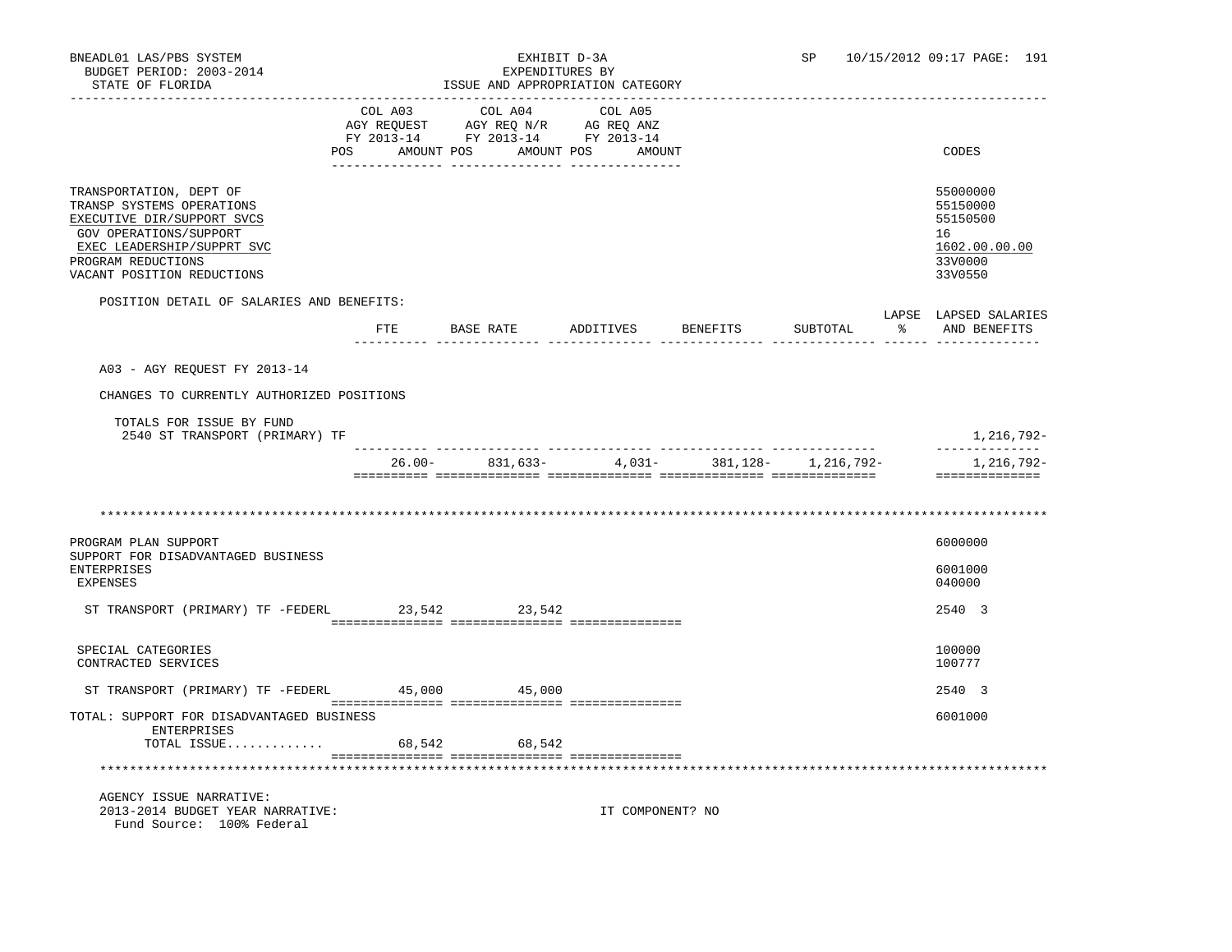| BNEADL01 LAS/PBS SYSTEM<br>BUDGET PERIOD: 2003-2014<br>STATE OF FLORIDA                                                                                                                        |         | EXHIBIT D-3A<br>EXPENDITURES BY<br>ISSUE AND APPROPRIATION CATEGORY                                                                                                                                                                        |                   | SP       | 10/15/2012 09:17 PAGE: 191 |  |                                                                               |
|------------------------------------------------------------------------------------------------------------------------------------------------------------------------------------------------|---------|--------------------------------------------------------------------------------------------------------------------------------------------------------------------------------------------------------------------------------------------|-------------------|----------|----------------------------|--|-------------------------------------------------------------------------------|
| POS                                                                                                                                                                                            | COL A03 | COL A04<br>$\begin{tabular}{lllllllll} \bf AGY \,\,\, REQUEST \,\,\, & \bf AG \,\,\, REQ \,\, N/R & \bf AG \,\, REQ \,\, ANZ \\ \bf FY \,\, 2013-14 & \bf FY \,\, 2013-14 & \bf FY \,\, 2013-14 \\ \end{tabular}$<br>AMOUNT POS AMOUNT POS | COL A05<br>AMOUNT |          |                            |  | CODES                                                                         |
| TRANSPORTATION, DEPT OF<br>TRANSP SYSTEMS OPERATIONS<br>EXECUTIVE DIR/SUPPORT SVCS<br>GOV OPERATIONS/SUPPORT<br>EXEC LEADERSHIP/SUPPRT SVC<br>PROGRAM REDUCTIONS<br>VACANT POSITION REDUCTIONS |         |                                                                                                                                                                                                                                            |                   |          |                            |  | 55000000<br>55150000<br>55150500<br>16<br>1602.00.00.00<br>33V0000<br>33V0550 |
| POSITION DETAIL OF SALARIES AND BENEFITS:                                                                                                                                                      |         | FTE BASE RATE ADDITIVES                                                                                                                                                                                                                    |                   | BENEFITS | SUBTOTAL                   |  | LAPSE LAPSED SALARIES<br>AND BENEFITS                                         |
| A03 - AGY REQUEST FY 2013-14                                                                                                                                                                   |         |                                                                                                                                                                                                                                            |                   |          |                            |  |                                                                               |
| CHANGES TO CURRENTLY AUTHORIZED POSITIONS                                                                                                                                                      |         |                                                                                                                                                                                                                                            |                   |          |                            |  |                                                                               |
| TOTALS FOR ISSUE BY FUND<br>2540 ST TRANSPORT (PRIMARY) TF                                                                                                                                     |         |                                                                                                                                                                                                                                            |                   |          |                            |  | 1,216,792-                                                                    |
|                                                                                                                                                                                                |         | $26.00 - 831,633 -$                                                                                                                                                                                                                        | $4,031-$          |          | 381, 128 - 1, 216, 792 -   |  | --------------<br>1,216,792-<br>==============                                |
|                                                                                                                                                                                                |         |                                                                                                                                                                                                                                            |                   |          |                            |  |                                                                               |
|                                                                                                                                                                                                |         |                                                                                                                                                                                                                                            |                   |          |                            |  |                                                                               |
| PROGRAM PLAN SUPPORT<br>SUPPORT FOR DISADVANTAGED BUSINESS                                                                                                                                     |         |                                                                                                                                                                                                                                            |                   |          |                            |  | 6000000                                                                       |
| <b>ENTERPRISES</b><br><b>EXPENSES</b>                                                                                                                                                          |         |                                                                                                                                                                                                                                            |                   |          |                            |  | 6001000<br>040000                                                             |
| ST TRANSPORT (PRIMARY) TF -FEDERL                                                                                                                                                              |         | 23,542<br>23,542                                                                                                                                                                                                                           |                   |          |                            |  | 2540 3                                                                        |
| SPECIAL CATEGORIES<br>CONTRACTED SERVICES                                                                                                                                                      |         |                                                                                                                                                                                                                                            |                   |          |                            |  | 100000<br>100777                                                              |
| ST TRANSPORT (PRIMARY) TF -FEDERL 45,000                                                                                                                                                       |         | 45,000                                                                                                                                                                                                                                     |                   |          |                            |  | 2540 3                                                                        |
| TOTAL: SUPPORT FOR DISADVANTAGED BUSINESS<br>ENTERPRISES                                                                                                                                       |         |                                                                                                                                                                                                                                            |                   |          |                            |  | 6001000                                                                       |
| TOTAL ISSUE                                                                                                                                                                                    | 68,542  | 68,542                                                                                                                                                                                                                                     |                   |          |                            |  |                                                                               |
|                                                                                                                                                                                                |         |                                                                                                                                                                                                                                            |                   |          |                            |  |                                                                               |
| AGENCY ISSUE NARRATIVE:<br>2013-2014 BUDGET YEAR NARRATIVE:<br>Fund Source: 100% Federal                                                                                                       |         |                                                                                                                                                                                                                                            | IT COMPONENT? NO  |          |                            |  |                                                                               |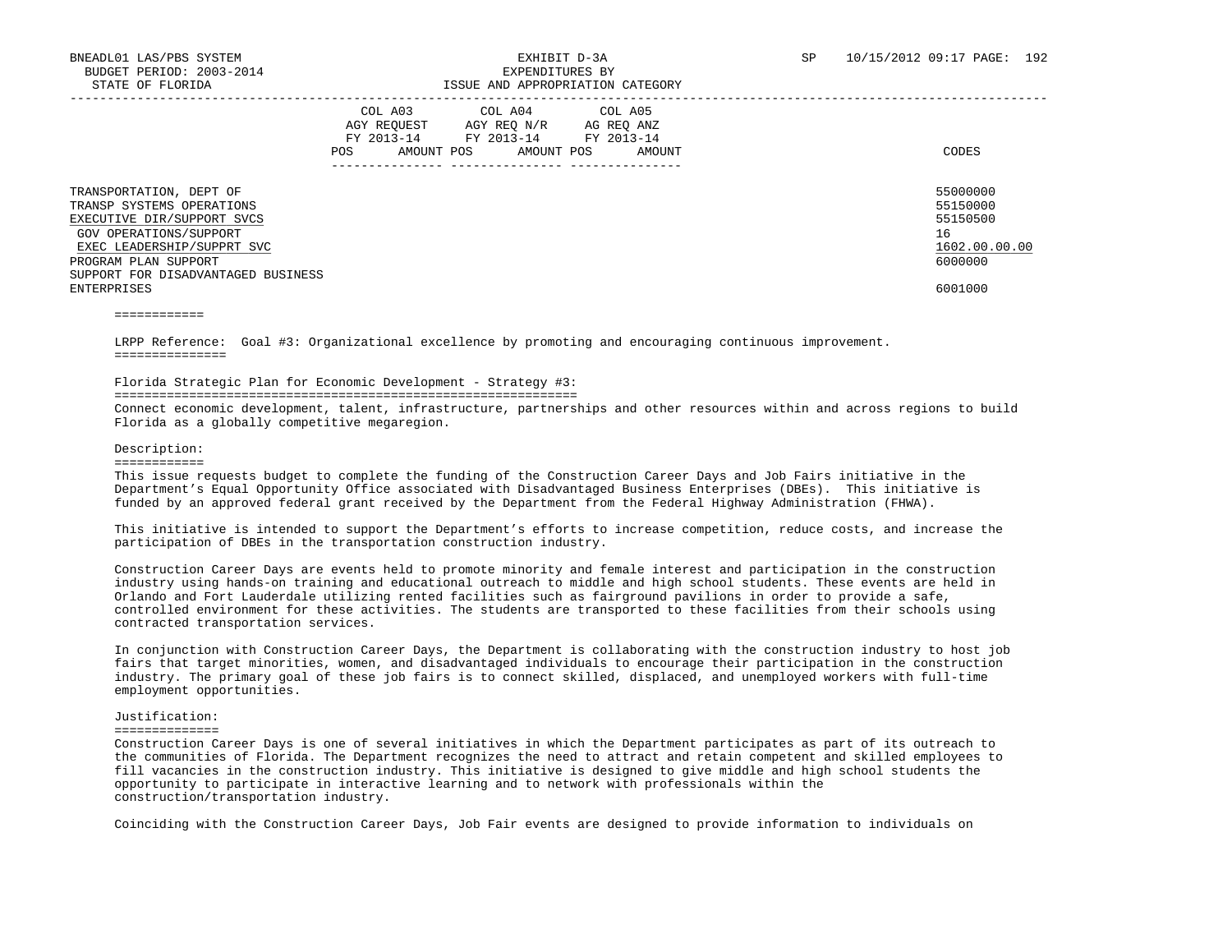|                                                                                                                                                                                                                         | COL A03<br>AGY REQUEST<br>FY 2013-14<br><b>POS</b><br>AMOUNT POS | COL A04<br>AGY REQ N/R<br>FY 2013-14<br>AMOUNT POS | COL A05<br>AG REQ ANZ<br>FY 2013-14<br>AMOUNT | CODES                                                                         |
|-------------------------------------------------------------------------------------------------------------------------------------------------------------------------------------------------------------------------|------------------------------------------------------------------|----------------------------------------------------|-----------------------------------------------|-------------------------------------------------------------------------------|
| TRANSPORTATION, DEPT OF<br>TRANSP SYSTEMS OPERATIONS<br>EXECUTIVE DIR/SUPPORT SVCS<br>GOV OPERATIONS/SUPPORT<br>EXEC LEADERSHIP/SUPPRT SVC<br>PROGRAM PLAN SUPPORT<br>SUPPORT FOR DISADVANTAGED BUSINESS<br>ENTERPRISES |                                                                  |                                                    |                                               | 55000000<br>55150000<br>55150500<br>16<br>1602.00.00.00<br>6000000<br>6001000 |

============

 LRPP Reference: Goal #3: Organizational excellence by promoting and encouraging continuous improvement. ===============

# Florida Strategic Plan for Economic Development - Strategy #3:

==============================================================

 Connect economic development, talent, infrastructure, partnerships and other resources within and across regions to build Florida as a globally competitive megaregion.

## Description:

============

 This issue requests budget to complete the funding of the Construction Career Days and Job Fairs initiative in the Department's Equal Opportunity Office associated with Disadvantaged Business Enterprises (DBEs). This initiative is funded by an approved federal grant received by the Department from the Federal Highway Administration (FHWA).

 This initiative is intended to support the Department's efforts to increase competition, reduce costs, and increase the participation of DBEs in the transportation construction industry.

 Construction Career Days are events held to promote minority and female interest and participation in the construction industry using hands-on training and educational outreach to middle and high school students. These events are held in Orlando and Fort Lauderdale utilizing rented facilities such as fairground pavilions in order to provide a safe, controlled environment for these activities. The students are transported to these facilities from their schools using contracted transportation services.

 In conjunction with Construction Career Days, the Department is collaborating with the construction industry to host job fairs that target minorities, women, and disadvantaged individuals to encourage their participation in the construction industry. The primary goal of these job fairs is to connect skilled, displaced, and unemployed workers with full-time employment opportunities.

## Justification:

==============

 Construction Career Days is one of several initiatives in which the Department participates as part of its outreach to the communities of Florida. The Department recognizes the need to attract and retain competent and skilled employees to fill vacancies in the construction industry. This initiative is designed to give middle and high school students the opportunity to participate in interactive learning and to network with professionals within the construction/transportation industry.

Coinciding with the Construction Career Days, Job Fair events are designed to provide information to individuals on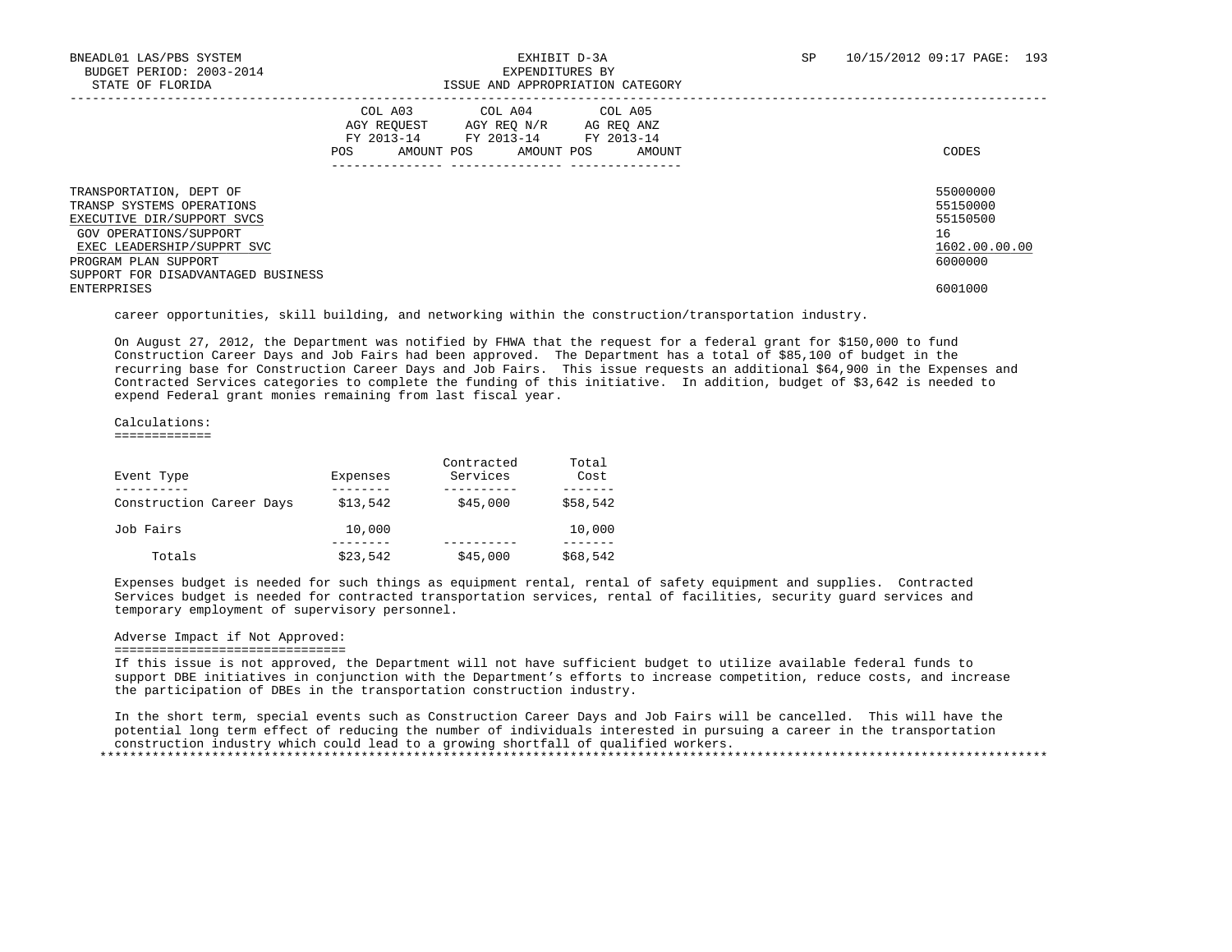|                                                                                                                                                                                                          | COL A03<br>AGY REOUEST<br>AMOUNT POS<br><b>POS</b> | COL A04<br>AGY REO N/R<br>FY 2013-14 FY 2013-14<br>AMOUNT POS | COL A05<br>AG REO ANZ<br>FY 2013-14<br>AMOUNT | CODES                                                              |
|----------------------------------------------------------------------------------------------------------------------------------------------------------------------------------------------------------|----------------------------------------------------|---------------------------------------------------------------|-----------------------------------------------|--------------------------------------------------------------------|
| TRANSPORTATION, DEPT OF<br>TRANSP SYSTEMS OPERATIONS<br>EXECUTIVE DIR/SUPPORT SVCS<br>GOV OPERATIONS/SUPPORT<br>EXEC LEADERSHIP/SUPPRT SVC<br>PROGRAM PLAN SUPPORT<br>SUPPORT FOR DISADVANTAGED BUSINESS |                                                    |                                                               |                                               | 55000000<br>55150000<br>55150500<br>16<br>1602.00.00.00<br>6000000 |
| ENTERPRISES                                                                                                                                                                                              |                                                    |                                                               |                                               | 6001000                                                            |

career opportunities, skill building, and networking within the construction/transportation industry.

 On August 27, 2012, the Department was notified by FHWA that the request for a federal grant for \$150,000 to fund Construction Career Days and Job Fairs had been approved. The Department has a total of \$85,100 of budget in the recurring base for Construction Career Days and Job Fairs. This issue requests an additional \$64,900 in the Expenses and Contracted Services categories to complete the funding of this initiative. In addition, budget of \$3,642 is needed to expend Federal grant monies remaining from last fiscal year.

Calculations:

=============

| Event Type               | Expenses | Contracted<br>Services | Total<br>Cost |
|--------------------------|----------|------------------------|---------------|
| Construction Career Days | \$13,542 | \$45,000               | \$58,542      |
| Job Fairs                | 10,000   |                        | 10,000        |
| Totals                   | \$23,542 | \$45,000               | \$68,542      |

 Expenses budget is needed for such things as equipment rental, rental of safety equipment and supplies. Contracted Services budget is needed for contracted transportation services, rental of facilities, security guard services and temporary employment of supervisory personnel.

# Adverse Impact if Not Approved:

#### ===============================

 If this issue is not approved, the Department will not have sufficient budget to utilize available federal funds to support DBE initiatives in conjunction with the Department's efforts to increase competition, reduce costs, and increase the participation of DBEs in the transportation construction industry.

 In the short term, special events such as Construction Career Days and Job Fairs will be cancelled. This will have the potential long term effect of reducing the number of individuals interested in pursuing a career in the transportation construction industry which could lead to a growing shortfall of qualified workers. \*\*\*\*\*\*\*\*\*\*\*\*\*\*\*\*\*\*\*\*\*\*\*\*\*\*\*\*\*\*\*\*\*\*\*\*\*\*\*\*\*\*\*\*\*\*\*\*\*\*\*\*\*\*\*\*\*\*\*\*\*\*\*\*\*\*\*\*\*\*\*\*\*\*\*\*\*\*\*\*\*\*\*\*\*\*\*\*\*\*\*\*\*\*\*\*\*\*\*\*\*\*\*\*\*\*\*\*\*\*\*\*\*\*\*\*\*\*\*\*\*\*\*\*\*\*\*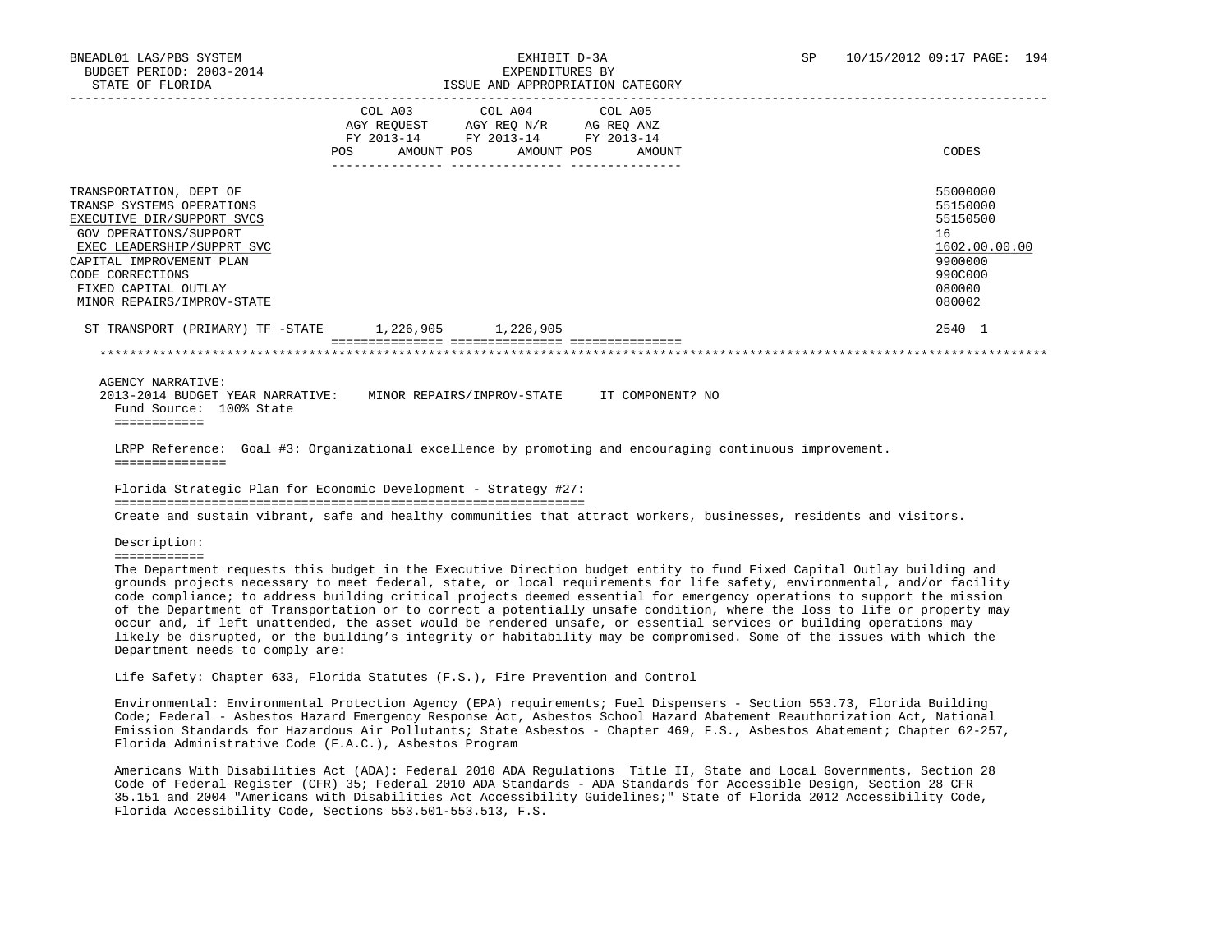|                                                                                                                                                                                                                                                  | <b>POS</b> | COL A03 COL A04 COL A05<br>AGY REQUEST AGY REQ N/R AG REQ ANZ<br>FY 2013-14 FY 2013-14 FY 2013-14<br>AMOUNT POS<br>AMOUNT POS | AMOUNT | CODES                                                                                             |
|--------------------------------------------------------------------------------------------------------------------------------------------------------------------------------------------------------------------------------------------------|------------|-------------------------------------------------------------------------------------------------------------------------------|--------|---------------------------------------------------------------------------------------------------|
| TRANSPORTATION, DEPT OF<br>TRANSP SYSTEMS OPERATIONS<br>EXECUTIVE DIR/SUPPORT SVCS<br>GOV OPERATIONS/SUPPORT<br>EXEC LEADERSHIP/SUPPRT SVC<br>CAPITAL IMPROVEMENT PLAN<br>CODE CORRECTIONS<br>FIXED CAPITAL OUTLAY<br>MINOR REPAIRS/IMPROV-STATE |            |                                                                                                                               |        | 55000000<br>55150000<br>55150500<br>16<br>1602.00.00.00<br>9900000<br>990C000<br>080000<br>080002 |
| ST TRANSPORT (PRIMARY) TF -STATE                                                                                                                                                                                                                 | 1,226,905  | 1,226,905                                                                                                                     |        | 2540 1                                                                                            |
|                                                                                                                                                                                                                                                  |            |                                                                                                                               |        |                                                                                                   |

AGENCY NARRATIVE:

 2013-2014 BUDGET YEAR NARRATIVE: MINOR REPAIRS/IMPROV-STATE IT COMPONENT? NO Fund Source: 100% State ============

 LRPP Reference: Goal #3: Organizational excellence by promoting and encouraging continuous improvement. ===============

 Florida Strategic Plan for Economic Development - Strategy #27: =============================================================== Create and sustain vibrant, safe and healthy communities that attract workers, businesses, residents and visitors.

Description:

============

 The Department requests this budget in the Executive Direction budget entity to fund Fixed Capital Outlay building and grounds projects necessary to meet federal, state, or local requirements for life safety, environmental, and/or facility code compliance; to address building critical projects deemed essential for emergency operations to support the mission of the Department of Transportation or to correct a potentially unsafe condition, where the loss to life or property may occur and, if left unattended, the asset would be rendered unsafe, or essential services or building operations may likely be disrupted, or the building's integrity or habitability may be compromised. Some of the issues with which the Department needs to comply are:

Life Safety: Chapter 633, Florida Statutes (F.S.), Fire Prevention and Control

 Environmental: Environmental Protection Agency (EPA) requirements; Fuel Dispensers - Section 553.73, Florida Building Code; Federal - Asbestos Hazard Emergency Response Act, Asbestos School Hazard Abatement Reauthorization Act, National Emission Standards for Hazardous Air Pollutants; State Asbestos - Chapter 469, F.S., Asbestos Abatement; Chapter 62-257, Florida Administrative Code (F.A.C.), Asbestos Program

 Americans With Disabilities Act (ADA): Federal 2010 ADA Regulations Title II, State and Local Governments, Section 28 Code of Federal Register (CFR) 35; Federal 2010 ADA Standards - ADA Standards for Accessible Design, Section 28 CFR 35.151 and 2004 "Americans with Disabilities Act Accessibility Guidelines;" State of Florida 2012 Accessibility Code, Florida Accessibility Code, Sections 553.501-553.513, F.S.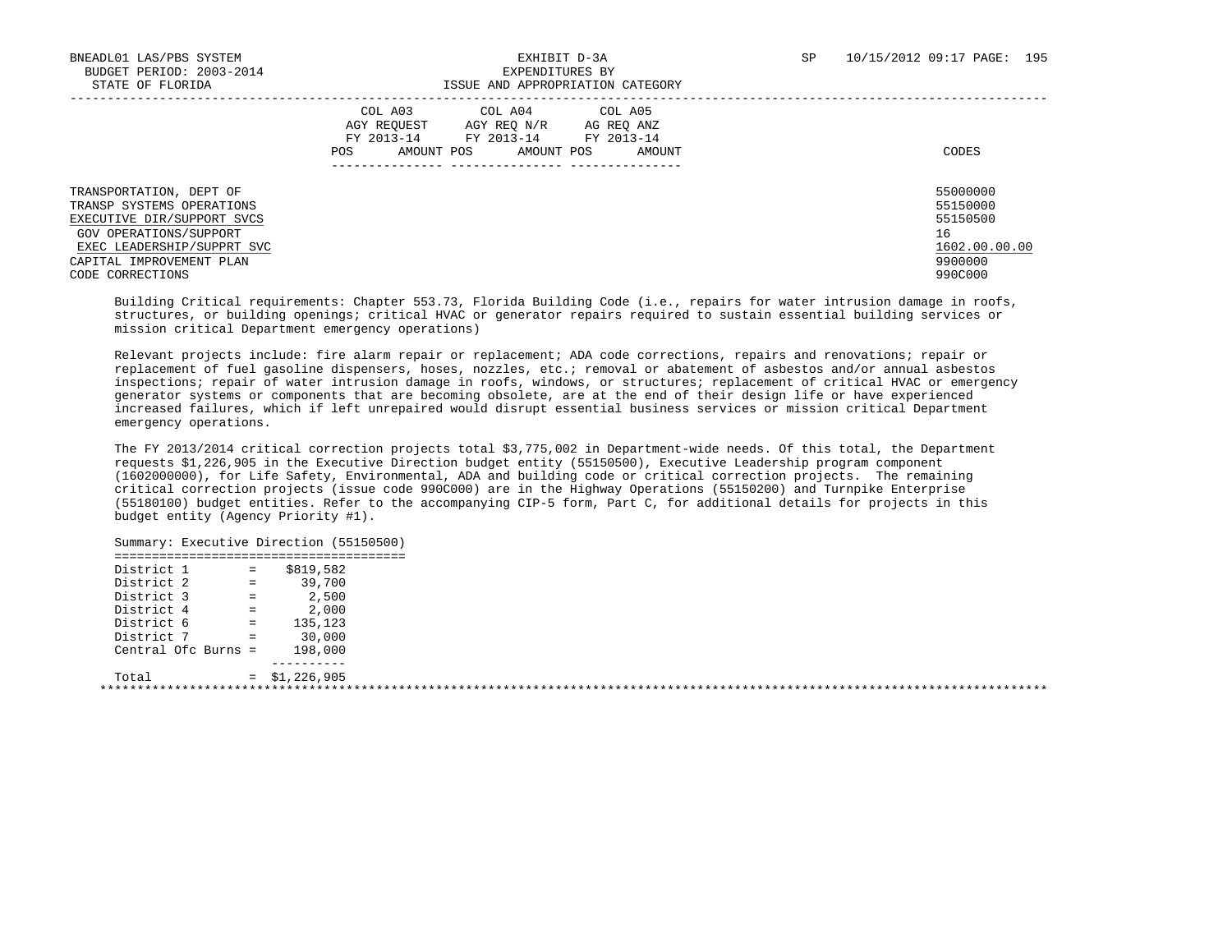|                                                                                                                                                                                            | COL A05<br>COL A03<br>COL A04<br>AGY REOUEST<br>AGY REO N/R<br>AG REO ANZ<br>FY 2013-14<br>FY 2013-14<br>FY 2013-14<br>AMOUNT POS<br>AMOUNT POS<br><b>POS</b><br>AMOUNT | CODES                                                                         |
|--------------------------------------------------------------------------------------------------------------------------------------------------------------------------------------------|-------------------------------------------------------------------------------------------------------------------------------------------------------------------------|-------------------------------------------------------------------------------|
| TRANSPORTATION, DEPT OF<br>TRANSP SYSTEMS OPERATIONS<br>EXECUTIVE DIR/SUPPORT SVCS<br>GOV OPERATIONS/SUPPORT<br>EXEC LEADERSHIP/SUPPRT SVC<br>CAPITAL IMPROVEMENT PLAN<br>CODE CORRECTIONS |                                                                                                                                                                         | 55000000<br>55150000<br>55150500<br>16<br>1602.00.00.00<br>9900000<br>990C000 |

 Building Critical requirements: Chapter 553.73, Florida Building Code (i.e., repairs for water intrusion damage in roofs, structures, or building openings; critical HVAC or generator repairs required to sustain essential building services or mission critical Department emergency operations)

 Relevant projects include: fire alarm repair or replacement; ADA code corrections, repairs and renovations; repair or replacement of fuel gasoline dispensers, hoses, nozzles, etc.; removal or abatement of asbestos and/or annual asbestos inspections; repair of water intrusion damage in roofs, windows, or structures; replacement of critical HVAC or emergency generator systems or components that are becoming obsolete, are at the end of their design life or have experienced increased failures, which if left unrepaired would disrupt essential business services or mission critical Department emergency operations.

 The FY 2013/2014 critical correction projects total \$3,775,002 in Department-wide needs. Of this total, the Department requests \$1,226,905 in the Executive Direction budget entity (55150500), Executive Leadership program component (1602000000), for Life Safety, Environmental, ADA and building code or critical correction projects. The remaining critical correction projects (issue code 990C000) are in the Highway Operations (55150200) and Turnpike Enterprise (55180100) budget entities. Refer to the accompanying CIP-5 form, Part C, for additional details for projects in this budget entity (Agency Priority #1).

 Summary: Executive Direction (55150500) ======================================= District 1 = \$819,582 District 2 = 39,700 District 3 = 2,500 District 4 = 2,000 District 6 = 135,123 District 7 = 30,000 Central Ofc Burns = 198,000 ----------  $Total = $1,226,905$ \*\*\*\*\*\*\*\*\*\*\*\*\*\*\*\*\*\*\*\*\*\*\*\*\*\*\*\*\*\*\*\*\*\*\*\*\*\*\*\*\*\*\*\*\*\*\*\*\*\*\*\*\*\*\*\*\*\*\*\*\*\*\*\*\*\*\*\*\*\*\*\*\*\*\*\*\*\*\*\*\*\*\*\*\*\*\*\*\*\*\*\*\*\*\*\*\*\*\*\*\*\*\*\*\*\*\*\*\*\*\*\*\*\*\*\*\*\*\*\*\*\*\*\*\*\*\*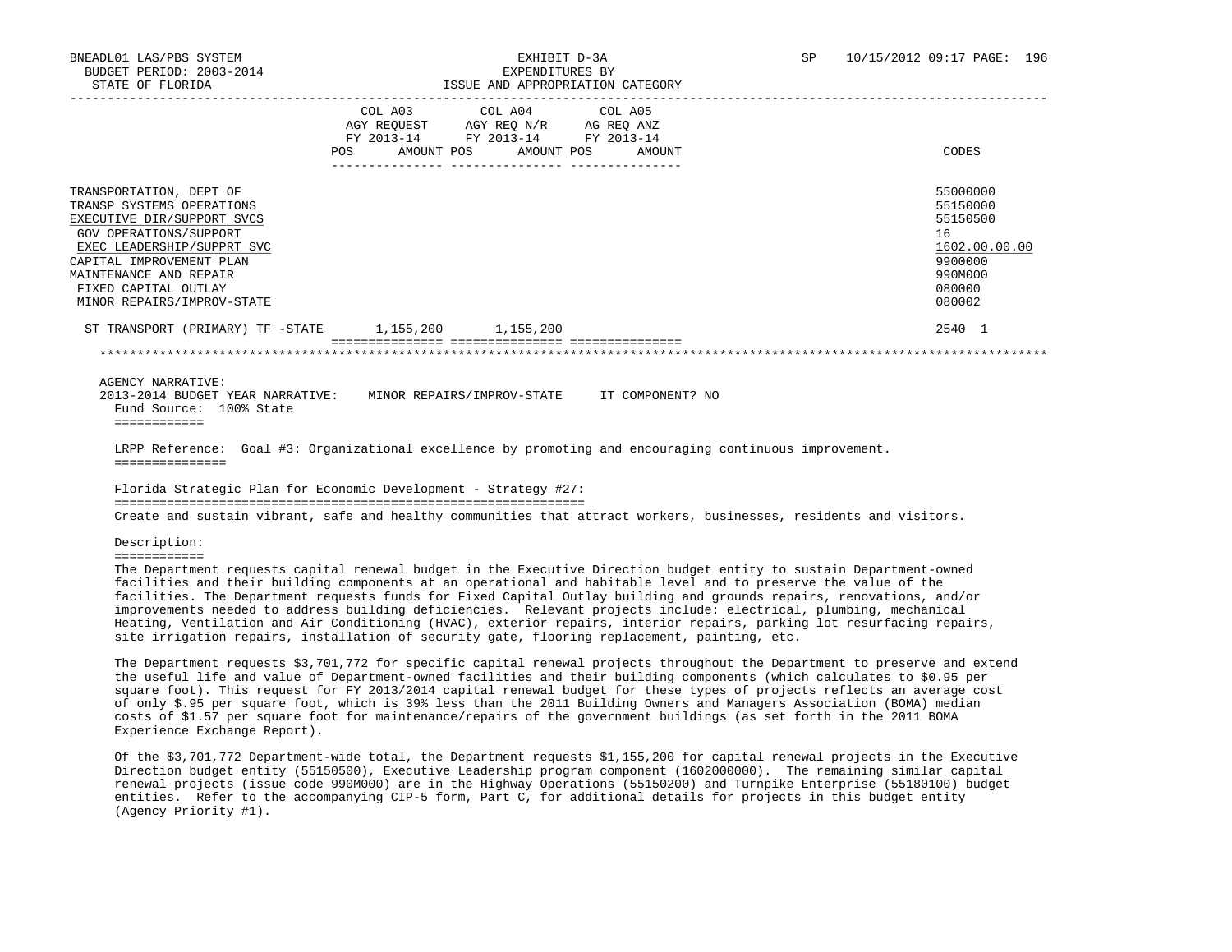|                                                                                                                                                                                                                                                        | <b>POS</b> | FY 2013-14<br>AMOUNT POS | COL A03 COL A04 COL A05<br>AGY REQUEST AGY REQ N/R AG REQ ANZ<br>FY 2013-14 FY 2013-14<br>AMOUNT POS | AMOUNT | CODES                                                                                             |
|--------------------------------------------------------------------------------------------------------------------------------------------------------------------------------------------------------------------------------------------------------|------------|--------------------------|------------------------------------------------------------------------------------------------------|--------|---------------------------------------------------------------------------------------------------|
| TRANSPORTATION, DEPT OF<br>TRANSP SYSTEMS OPERATIONS<br>EXECUTIVE DIR/SUPPORT SVCS<br>GOV OPERATIONS/SUPPORT<br>EXEC LEADERSHIP/SUPPRT SVC<br>CAPITAL IMPROVEMENT PLAN<br>MAINTENANCE AND REPAIR<br>FIXED CAPITAL OUTLAY<br>MINOR REPAIRS/IMPROV-STATE |            |                          |                                                                                                      |        | 55000000<br>55150000<br>55150500<br>16<br>1602.00.00.00<br>9900000<br>990M000<br>080000<br>080002 |
| ST TRANSPORT (PRIMARY) TF -STATE 1,155,200 1,155,200                                                                                                                                                                                                   |            |                          |                                                                                                      |        | 2540 1                                                                                            |
|                                                                                                                                                                                                                                                        |            |                          |                                                                                                      |        |                                                                                                   |

AGENCY NARRATIVE:

 2013-2014 BUDGET YEAR NARRATIVE: MINOR REPAIRS/IMPROV-STATE IT COMPONENT? NO Fund Source: 100% State ============

 LRPP Reference: Goal #3: Organizational excellence by promoting and encouraging continuous improvement. ===============

 Florida Strategic Plan for Economic Development - Strategy #27: =============================================================== Create and sustain vibrant, safe and healthy communities that attract workers, businesses, residents and visitors.

Description:

============

 The Department requests capital renewal budget in the Executive Direction budget entity to sustain Department-owned facilities and their building components at an operational and habitable level and to preserve the value of the facilities. The Department requests funds for Fixed Capital Outlay building and grounds repairs, renovations, and/or improvements needed to address building deficiencies. Relevant projects include: electrical, plumbing, mechanical Heating, Ventilation and Air Conditioning (HVAC), exterior repairs, interior repairs, parking lot resurfacing repairs, site irrigation repairs, installation of security gate, flooring replacement, painting, etc.

 The Department requests \$3,701,772 for specific capital renewal projects throughout the Department to preserve and extend the useful life and value of Department-owned facilities and their building components (which calculates to \$0.95 per square foot). This request for FY 2013/2014 capital renewal budget for these types of projects reflects an average cost of only \$.95 per square foot, which is 39% less than the 2011 Building Owners and Managers Association (BOMA) median costs of \$1.57 per square foot for maintenance/repairs of the government buildings (as set forth in the 2011 BOMA Experience Exchange Report).

 Of the \$3,701,772 Department-wide total, the Department requests \$1,155,200 for capital renewal projects in the Executive Direction budget entity (55150500), Executive Leadership program component (1602000000). The remaining similar capital renewal projects (issue code 990M000) are in the Highway Operations (55150200) and Turnpike Enterprise (55180100) budget entities. Refer to the accompanying CIP-5 form, Part C, for additional details for projects in this budget entity (Agency Priority #1).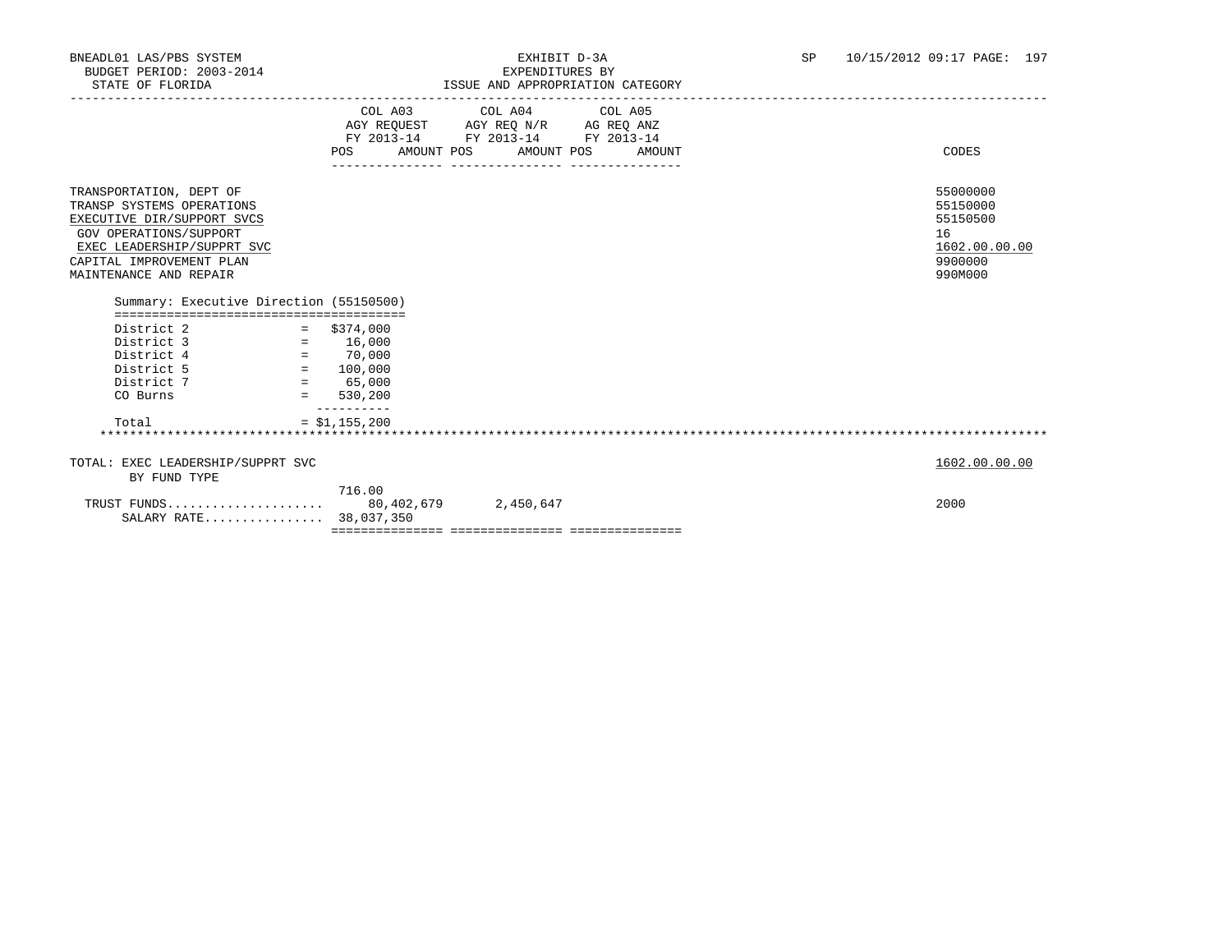|                                                                                                                                                                                                                                                    |                              | COL A03 COL A04 COL A05<br>AGY REQUEST AGY REQ N/R AG REQ ANZ<br>FY 2013-14 FY 2013-14 FY 2013-14 |                                                                               |
|----------------------------------------------------------------------------------------------------------------------------------------------------------------------------------------------------------------------------------------------------|------------------------------|---------------------------------------------------------------------------------------------------|-------------------------------------------------------------------------------|
|                                                                                                                                                                                                                                                    |                              | POS AMOUNT POS AMOUNT POS AMOUNT                                                                  | CODES                                                                         |
| TRANSPORTATION, DEPT OF<br>TRANSP SYSTEMS OPERATIONS<br>EXECUTIVE DIR/SUPPORT SVCS<br><b>GOV OPERATIONS/SUPPORT</b><br>EXEC LEADERSHIP/SUPPRT SVC<br>CAPITAL IMPROVEMENT PLAN<br>MAINTENANCE AND REPAIR<br>Summary: Executive Direction (55150500) |                              |                                                                                                   | 55000000<br>55150000<br>55150500<br>16<br>1602.00.00.00<br>9900000<br>990M000 |
| District 2<br>$Distance 3 = 16,000$<br>District 4 $= 70,000$<br>District 5 $= 100,000$<br>$Distance 7 = 65,000$                                                                                                                                    | $=$ \$374,000                |                                                                                                   |                                                                               |
| CO Burns                                                                                                                                                                                                                                           | $= 530,200$                  |                                                                                                   |                                                                               |
| Total                                                                                                                                                                                                                                              | __________<br>$= $1,155,200$ |                                                                                                   |                                                                               |
| TOTAL: EXEC LEADERSHIP/SUPPRT SVC<br>BY FUND TYPE                                                                                                                                                                                                  |                              |                                                                                                   | 1602.00.00.00                                                                 |
| SALARY RATE 38,037,350                                                                                                                                                                                                                             | 716.00                       |                                                                                                   | 2000                                                                          |
|                                                                                                                                                                                                                                                    |                              |                                                                                                   |                                                                               |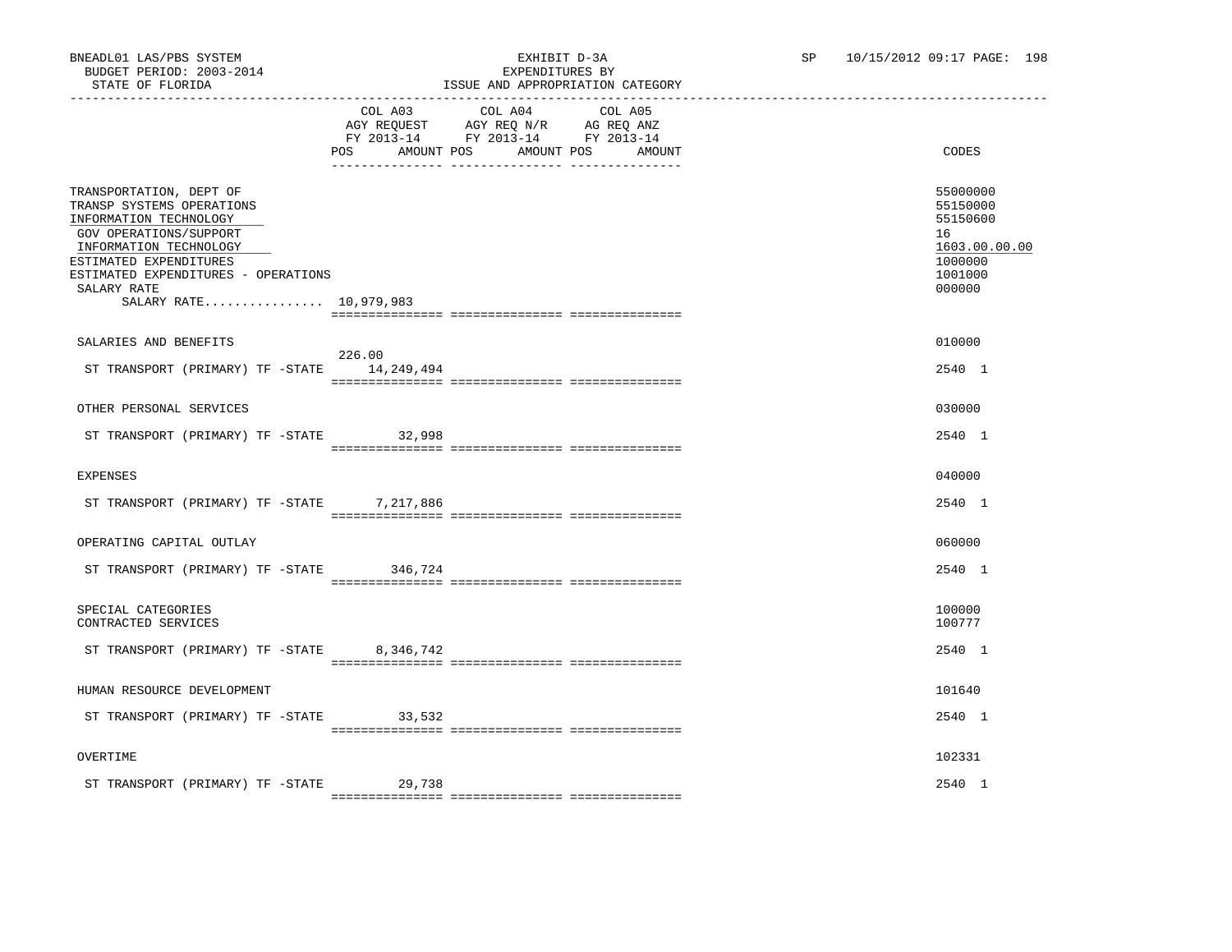|                                                                                                                                                                                                                                              | COL A03<br>AMOUNT POS<br>POS | COL A04<br>AGY REQUEST AGY REQ N/R AG REQ ANZ<br>FY 2013-14 FY 2013-14 FY 2013-14<br>AMOUNT POS | COL A05<br>AMOUNT | CODES                                                                                   |
|----------------------------------------------------------------------------------------------------------------------------------------------------------------------------------------------------------------------------------------------|------------------------------|-------------------------------------------------------------------------------------------------|-------------------|-----------------------------------------------------------------------------------------|
| TRANSPORTATION, DEPT OF<br>TRANSP SYSTEMS OPERATIONS<br>INFORMATION TECHNOLOGY<br>GOV OPERATIONS/SUPPORT<br>INFORMATION TECHNOLOGY<br>ESTIMATED EXPENDITURES<br>ESTIMATED EXPENDITURES - OPERATIONS<br>SALARY RATE<br>SALARY RATE 10,979,983 |                              |                                                                                                 |                   | 55000000<br>55150000<br>55150600<br>16<br>1603.00.00.00<br>1000000<br>1001000<br>000000 |
|                                                                                                                                                                                                                                              |                              |                                                                                                 |                   |                                                                                         |
| SALARIES AND BENEFITS                                                                                                                                                                                                                        |                              |                                                                                                 |                   | 010000                                                                                  |
|                                                                                                                                                                                                                                              | 226.00                       |                                                                                                 |                   |                                                                                         |
| ST TRANSPORT (PRIMARY) TF -STATE                                                                                                                                                                                                             | 14,249,494                   |                                                                                                 |                   | 2540 1                                                                                  |
|                                                                                                                                                                                                                                              |                              |                                                                                                 |                   |                                                                                         |
| OTHER PERSONAL SERVICES                                                                                                                                                                                                                      |                              |                                                                                                 |                   | 030000                                                                                  |
|                                                                                                                                                                                                                                              |                              |                                                                                                 |                   |                                                                                         |
| ST TRANSPORT (PRIMARY) TF -STATE 32,998                                                                                                                                                                                                      |                              |                                                                                                 |                   | 2540 1                                                                                  |
|                                                                                                                                                                                                                                              |                              |                                                                                                 |                   |                                                                                         |
| <b>EXPENSES</b>                                                                                                                                                                                                                              |                              |                                                                                                 |                   | 040000                                                                                  |
|                                                                                                                                                                                                                                              |                              |                                                                                                 |                   |                                                                                         |
| ST TRANSPORT (PRIMARY) TF -STATE                                                                                                                                                                                                             | 7,217,886                    |                                                                                                 |                   | 2540 1                                                                                  |
|                                                                                                                                                                                                                                              |                              |                                                                                                 |                   |                                                                                         |
| OPERATING CAPITAL OUTLAY                                                                                                                                                                                                                     |                              |                                                                                                 |                   | 060000                                                                                  |
|                                                                                                                                                                                                                                              |                              |                                                                                                 |                   |                                                                                         |
| ST TRANSPORT (PRIMARY) TF -STATE 346,724                                                                                                                                                                                                     |                              |                                                                                                 |                   | 2540 1                                                                                  |
|                                                                                                                                                                                                                                              |                              |                                                                                                 |                   |                                                                                         |
| SPECIAL CATEGORIES                                                                                                                                                                                                                           |                              |                                                                                                 |                   | 100000                                                                                  |
| CONTRACTED SERVICES                                                                                                                                                                                                                          |                              |                                                                                                 |                   | 100777                                                                                  |
|                                                                                                                                                                                                                                              |                              |                                                                                                 |                   |                                                                                         |
| ST TRANSPORT (PRIMARY) TF -STATE                                                                                                                                                                                                             | 8,346,742                    |                                                                                                 |                   | 2540 1                                                                                  |
|                                                                                                                                                                                                                                              |                              |                                                                                                 |                   |                                                                                         |
| HUMAN RESOURCE DEVELOPMENT                                                                                                                                                                                                                   |                              |                                                                                                 |                   | 101640                                                                                  |
|                                                                                                                                                                                                                                              |                              |                                                                                                 |                   |                                                                                         |
| ST TRANSPORT (PRIMARY) TF -STATE 33,532                                                                                                                                                                                                      |                              |                                                                                                 |                   | 2540 1                                                                                  |
|                                                                                                                                                                                                                                              |                              |                                                                                                 |                   |                                                                                         |
| OVERTIME                                                                                                                                                                                                                                     |                              |                                                                                                 |                   | 102331                                                                                  |
|                                                                                                                                                                                                                                              |                              |                                                                                                 |                   |                                                                                         |
| ST TRANSPORT (PRIMARY) TF -STATE                                                                                                                                                                                                             | 29,738                       |                                                                                                 |                   | 2540 1                                                                                  |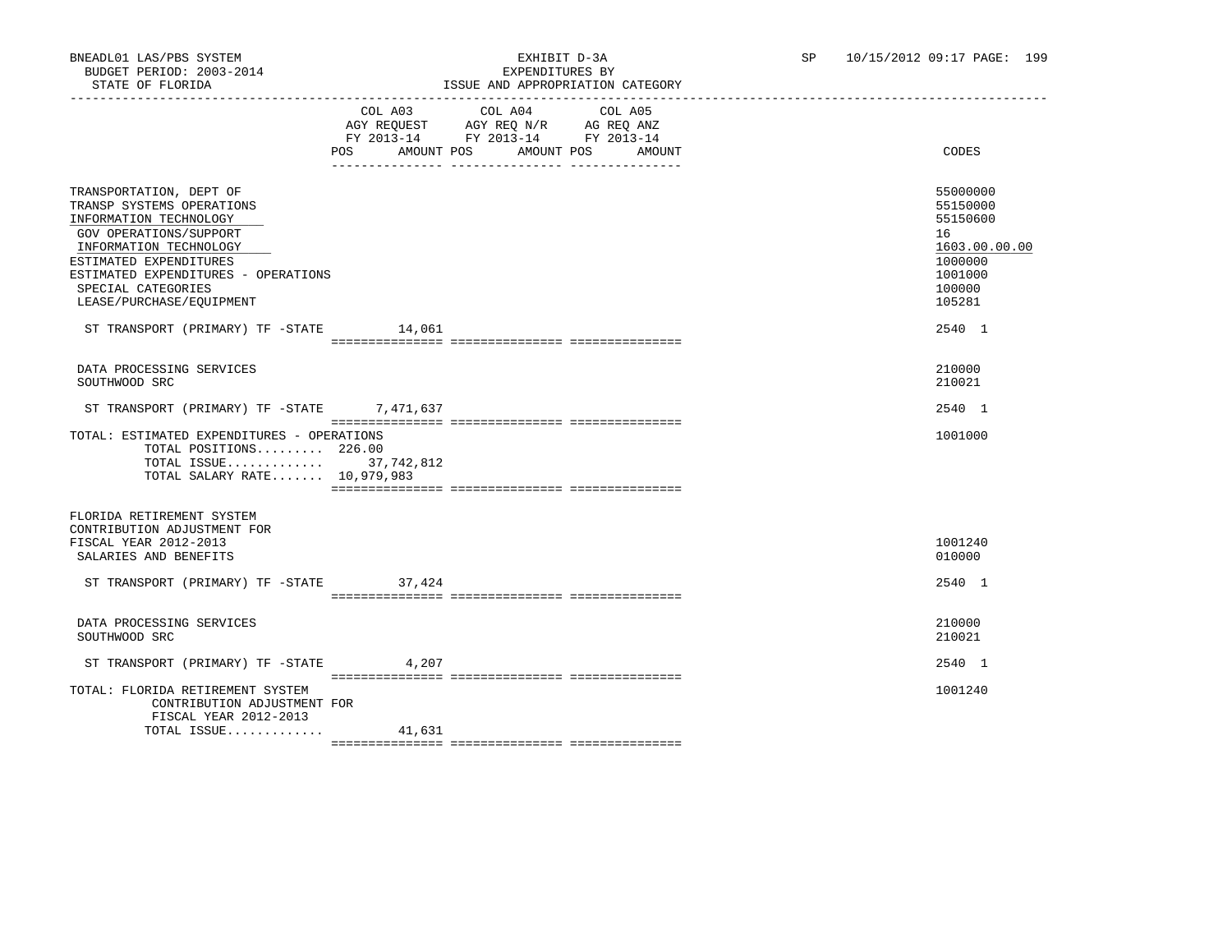# BNEADL01 LAS/PBS SYSTEM EXHIBIT D-3A SP 10/15/2012 09:17 PAGE: 199 ISSUE AND APPROPRIATION CATEGORY

|                                                                                                                                                                                                                                                       | POS<br>AMOUNT POS | COL A03 COL A04<br>AGY REQUEST AGY REQ N/R AG REQ ANZ<br>FY 2013-14 FY 2013-14 FY 2013-14 | COL A05<br>AMOUNT POS<br>AMOUNT | CODES                                                                                             |
|-------------------------------------------------------------------------------------------------------------------------------------------------------------------------------------------------------------------------------------------------------|-------------------|-------------------------------------------------------------------------------------------|---------------------------------|---------------------------------------------------------------------------------------------------|
| TRANSPORTATION, DEPT OF<br>TRANSP SYSTEMS OPERATIONS<br>INFORMATION TECHNOLOGY<br>GOV OPERATIONS/SUPPORT<br>INFORMATION TECHNOLOGY<br>ESTIMATED EXPENDITURES<br>ESTIMATED EXPENDITURES - OPERATIONS<br>SPECIAL CATEGORIES<br>LEASE/PURCHASE/EQUIPMENT |                   |                                                                                           |                                 | 55000000<br>55150000<br>55150600<br>16<br>1603.00.00.00<br>1000000<br>1001000<br>100000<br>105281 |
| ST TRANSPORT (PRIMARY) TF -STATE 14,061                                                                                                                                                                                                               |                   |                                                                                           |                                 | 2540 1                                                                                            |
|                                                                                                                                                                                                                                                       |                   |                                                                                           |                                 |                                                                                                   |
| DATA PROCESSING SERVICES<br>SOUTHWOOD SRC                                                                                                                                                                                                             |                   |                                                                                           |                                 | 210000<br>210021                                                                                  |
| ST TRANSPORT (PRIMARY) TF -STATE 7,471,637                                                                                                                                                                                                            |                   |                                                                                           |                                 | 2540 1                                                                                            |
| TOTAL: ESTIMATED EXPENDITURES - OPERATIONS<br>TOTAL POSITIONS 226.00<br>TOTAL ISSUE 37,742,812<br>TOTAL SALARY RATE 10,979,983                                                                                                                        |                   |                                                                                           |                                 | 1001000                                                                                           |
| FLORIDA RETIREMENT SYSTEM<br>CONTRIBUTION ADJUSTMENT FOR<br>FISCAL YEAR 2012-2013<br>SALARIES AND BENEFITS                                                                                                                                            |                   |                                                                                           |                                 | 1001240<br>010000                                                                                 |
| ST TRANSPORT (PRIMARY) TF -STATE                                                                                                                                                                                                                      | 37,424            |                                                                                           |                                 | 2540 1                                                                                            |
| DATA PROCESSING SERVICES<br>SOUTHWOOD SRC                                                                                                                                                                                                             |                   |                                                                                           |                                 | 210000<br>210021                                                                                  |
| ST TRANSPORT (PRIMARY) TF -STATE 4,207                                                                                                                                                                                                                |                   |                                                                                           |                                 | 2540 1                                                                                            |
| TOTAL: FLORIDA RETIREMENT SYSTEM<br>CONTRIBUTION ADJUSTMENT FOR<br>FISCAL YEAR 2012-2013                                                                                                                                                              |                   |                                                                                           |                                 | 1001240                                                                                           |
| TOTAL ISSUE                                                                                                                                                                                                                                           | 41,631            |                                                                                           |                                 |                                                                                                   |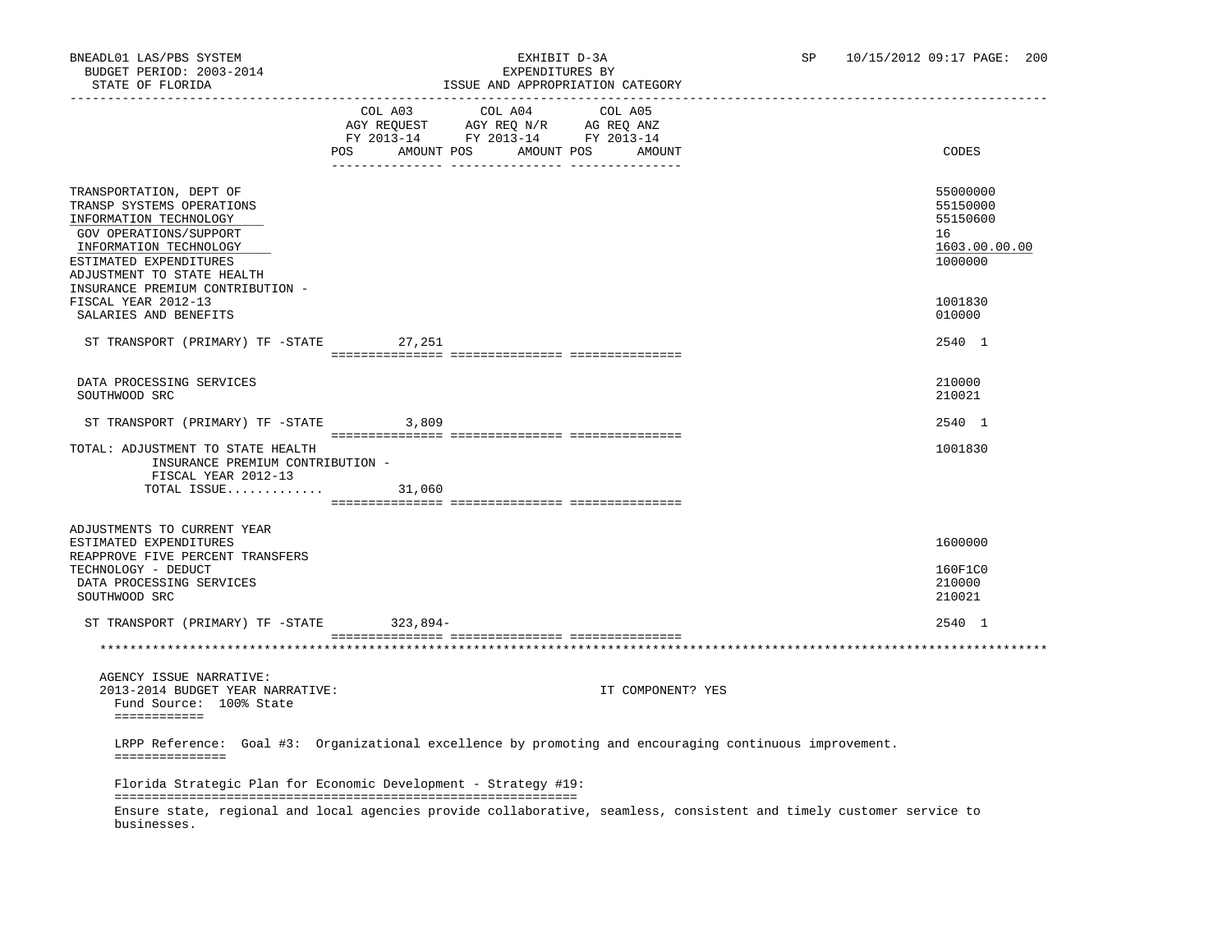| SIAIN UP PINNIDA                                                                                                                                                                                                               | LOOD AND APPROPRIATION                                                                                                                            |                                                                    |
|--------------------------------------------------------------------------------------------------------------------------------------------------------------------------------------------------------------------------------|---------------------------------------------------------------------------------------------------------------------------------------------------|--------------------------------------------------------------------|
|                                                                                                                                                                                                                                | COL A03<br>COL A04<br>COL A05<br>AGY REQUEST AGY REQ N/R AG REQ ANZ<br>FY 2013-14 FY 2013-14 FY 2013-14<br>POS AMOUNT POS<br>AMOUNT POS<br>AMOUNT | CODES                                                              |
| TRANSPORTATION, DEPT OF<br>TRANSP SYSTEMS OPERATIONS<br>INFORMATION TECHNOLOGY<br>GOV OPERATIONS/SUPPORT<br>INFORMATION TECHNOLOGY<br>ESTIMATED EXPENDITURES<br>ADJUSTMENT TO STATE HEALTH<br>INSURANCE PREMIUM CONTRIBUTION - |                                                                                                                                                   | 55000000<br>55150000<br>55150600<br>16<br>1603.00.00.00<br>1000000 |
| FISCAL YEAR 2012-13<br>SALARIES AND BENEFITS                                                                                                                                                                                   |                                                                                                                                                   | 1001830<br>010000                                                  |
| ST TRANSPORT (PRIMARY) TF -STATE 27,251                                                                                                                                                                                        |                                                                                                                                                   | 2540 1                                                             |
|                                                                                                                                                                                                                                |                                                                                                                                                   |                                                                    |
| DATA PROCESSING SERVICES<br>SOUTHWOOD SRC                                                                                                                                                                                      |                                                                                                                                                   | 210000<br>210021                                                   |
| ST TRANSPORT (PRIMARY) TF -STATE 3,809                                                                                                                                                                                         |                                                                                                                                                   | 2540 1                                                             |
| TOTAL: ADJUSTMENT TO STATE HEALTH<br>INSURANCE PREMIUM CONTRIBUTION -<br>FISCAL YEAR 2012-13<br>TOTAL ISSUE $31,060$                                                                                                           |                                                                                                                                                   | 1001830                                                            |
|                                                                                                                                                                                                                                |                                                                                                                                                   |                                                                    |
|                                                                                                                                                                                                                                |                                                                                                                                                   |                                                                    |
| ADJUSTMENTS TO CURRENT YEAR<br>ESTIMATED EXPENDITURES<br>REAPPROVE FIVE PERCENT TRANSFERS                                                                                                                                      |                                                                                                                                                   | 1600000                                                            |
| TECHNOLOGY - DEDUCT<br>DATA PROCESSING SERVICES<br>SOUTHWOOD SRC                                                                                                                                                               |                                                                                                                                                   | 160F1C0<br>210000<br>210021                                        |
| ST TRANSPORT (PRIMARY) TF -STATE 323,894-                                                                                                                                                                                      |                                                                                                                                                   | 2540 1                                                             |
|                                                                                                                                                                                                                                |                                                                                                                                                   |                                                                    |
|                                                                                                                                                                                                                                |                                                                                                                                                   |                                                                    |
| AGENCY ISSUE NARRATIVE:<br>2013-2014 BUDGET YEAR NARRATIVE:<br>Fund Source: 100% State<br>============                                                                                                                         | IT COMPONENT? YES                                                                                                                                 |                                                                    |
| ===============                                                                                                                                                                                                                | LRPP Reference: Goal #3: Organizational excellence by promoting and encouraging continuous improvement.                                           |                                                                    |
|                                                                                                                                                                                                                                | Florida Strategic Plan for Economic Development - Strategy #19:                                                                                   |                                                                    |
| businesses.                                                                                                                                                                                                                    | Ensure state, regional and local agencies provide collaborative, seamless, consistent and timely customer service to                              |                                                                    |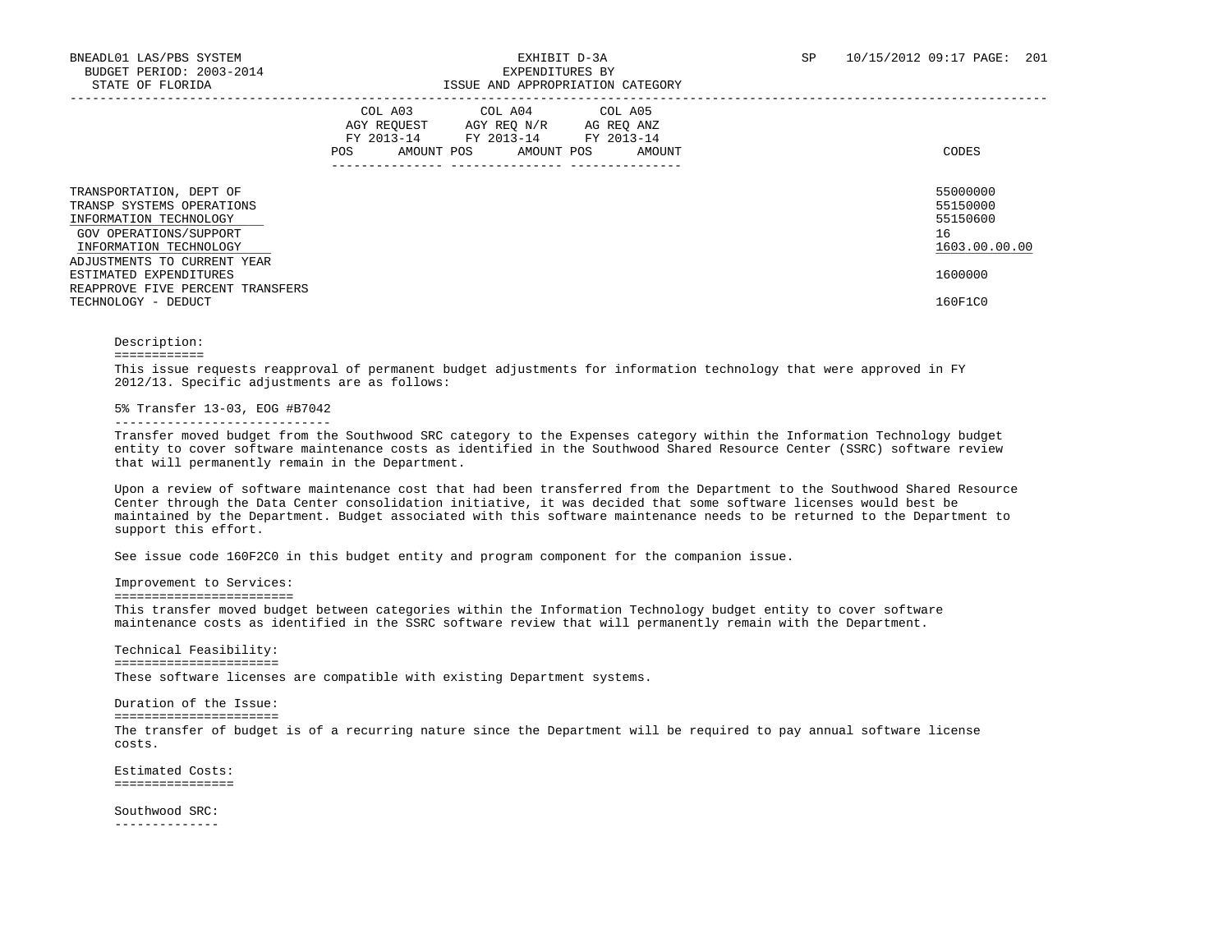|                                                                                                                                    | COL A03<br>COL A04 COL A05<br>AGY REOUEST<br>AGY REO N/R<br>AG REO ANZ<br>FY 2013-14<br>FY 2013-14 FY 2013-14<br>AMOUNT POS<br>AMOUNT POS<br>POS<br>AMOUNT | CODES                                                   |
|------------------------------------------------------------------------------------------------------------------------------------|------------------------------------------------------------------------------------------------------------------------------------------------------------|---------------------------------------------------------|
| TRANSPORTATION, DEPT OF<br>TRANSP SYSTEMS OPERATIONS<br>INFORMATION TECHNOLOGY<br>GOV OPERATIONS/SUPPORT<br>INFORMATION TECHNOLOGY |                                                                                                                                                            | 55000000<br>55150000<br>55150600<br>16<br>1603.00.00.00 |
| ADJUSTMENTS TO CURRENT YEAR<br>ESTIMATED EXPENDITURES<br>REAPPROVE FIVE PERCENT TRANSFERS<br>TECHNOLOGY - DEDUCT                   |                                                                                                                                                            | 1600000<br>160F1C0                                      |

# Description:

### ============

 This issue requests reapproval of permanent budget adjustments for information technology that were approved in FY 2012/13. Specific adjustments are as follows:

# 5% Transfer 13-03, EOG #B7042

#### -----------------------------

 Transfer moved budget from the Southwood SRC category to the Expenses category within the Information Technology budget entity to cover software maintenance costs as identified in the Southwood Shared Resource Center (SSRC) software review that will permanently remain in the Department.

 Upon a review of software maintenance cost that had been transferred from the Department to the Southwood Shared Resource Center through the Data Center consolidation initiative, it was decided that some software licenses would best be maintained by the Department. Budget associated with this software maintenance needs to be returned to the Department to support this effort.

See issue code 160F2C0 in this budget entity and program component for the companion issue.

Improvement to Services:

========================

 This transfer moved budget between categories within the Information Technology budget entity to cover software maintenance costs as identified in the SSRC software review that will permanently remain with the Department.

 Technical Feasibility: ====================== These software licenses are compatible with existing Department systems.

 Duration of the Issue: ====================== The transfer of budget is of a recurring nature since the Department will be required to pay annual software license costs.

 Estimated Costs: ================

 Southwood SRC: --------------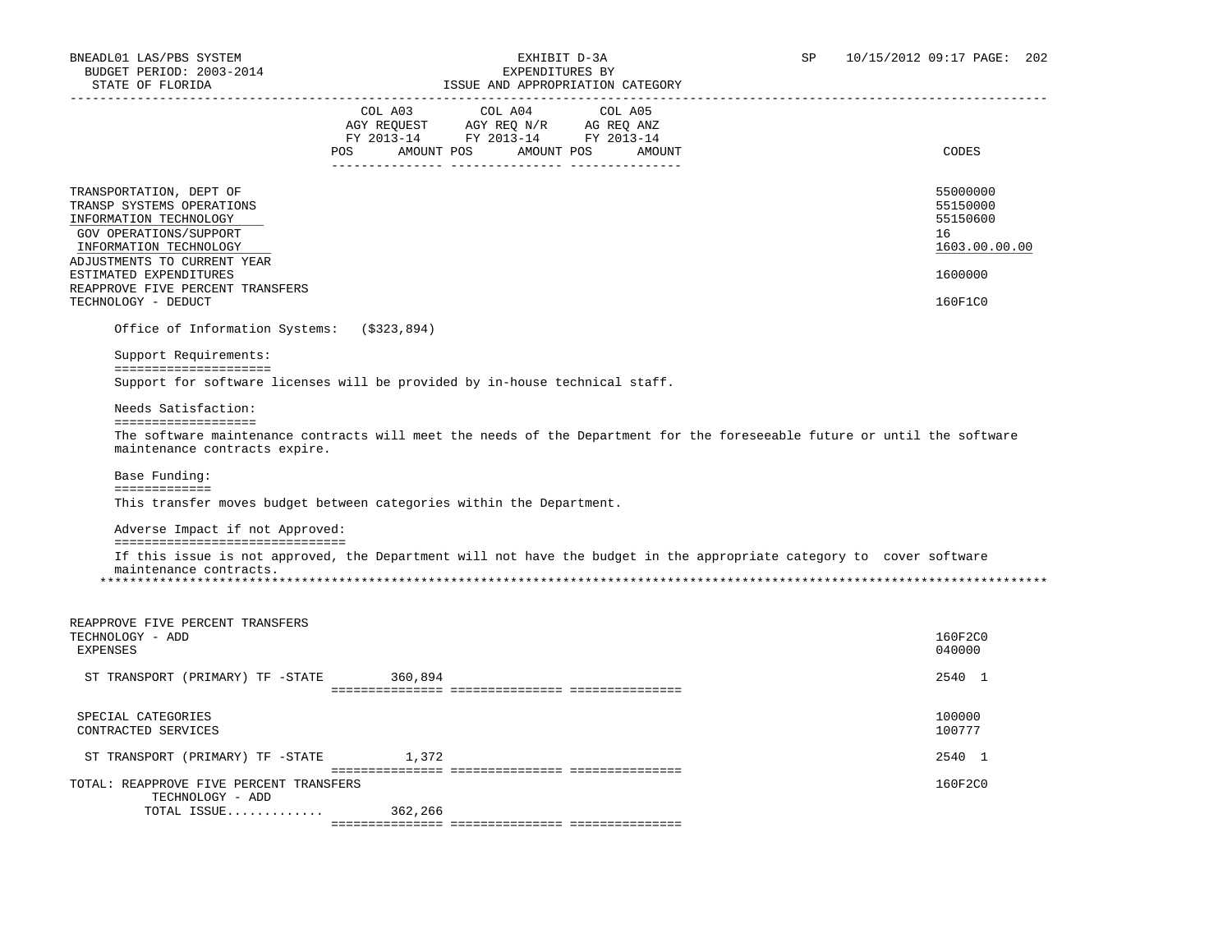| STATE OF FLORIDA                                                                                                                                                                            | ISSUE AND APPROPRIATION CATEGORY                                                                                                                                                                  |                                                                    |
|---------------------------------------------------------------------------------------------------------------------------------------------------------------------------------------------|---------------------------------------------------------------------------------------------------------------------------------------------------------------------------------------------------|--------------------------------------------------------------------|
|                                                                                                                                                                                             | COL A03<br>COL A04<br>COL A05<br>AGY REQUEST AGY REQ N/R AG REQ ANZ<br>FY 2013-14 FY 2013-14 FY 2013-14<br>POS AMOUNT POS AMOUNT POS<br>AMOUNT                                                    | CODES                                                              |
| TRANSPORTATION, DEPT OF<br>TRANSP SYSTEMS OPERATIONS<br>INFORMATION TECHNOLOGY<br>GOV OPERATIONS/SUPPORT<br>INFORMATION TECHNOLOGY<br>ADJUSTMENTS TO CURRENT YEAR<br>ESTIMATED EXPENDITURES |                                                                                                                                                                                                   | 55000000<br>55150000<br>55150600<br>16<br>1603.00.00.00<br>1600000 |
| REAPPROVE FIVE PERCENT TRANSFERS                                                                                                                                                            |                                                                                                                                                                                                   |                                                                    |
| TECHNOLOGY - DEDUCT                                                                                                                                                                         |                                                                                                                                                                                                   | 160F1C0                                                            |
| Office of Information Systems: (\$323,894)                                                                                                                                                  |                                                                                                                                                                                                   |                                                                    |
| Support Requirements:                                                                                                                                                                       |                                                                                                                                                                                                   |                                                                    |
| =====================                                                                                                                                                                       | Support for software licenses will be provided by in-house technical staff.                                                                                                                       |                                                                    |
| Needs Satisfaction:                                                                                                                                                                         |                                                                                                                                                                                                   |                                                                    |
| maintenance contracts expire.<br>Base Funding:<br>=============                                                                                                                             | The software maintenance contracts will meet the needs of the Department for the foreseeable future or until the software<br>This transfer moves budget between categories within the Department. |                                                                    |
| Adverse Impact if not Approved:<br>================================                                                                                                                         |                                                                                                                                                                                                   |                                                                    |
| maintenance contracts.                                                                                                                                                                      | If this issue is not approved, the Department will not have the budget in the appropriate category to cover software                                                                              |                                                                    |
| REAPPROVE FIVE PERCENT TRANSFERS<br>TECHNOLOGY - ADD<br><b>EXPENSES</b>                                                                                                                     |                                                                                                                                                                                                   | 160F2C0<br>040000                                                  |
| ST TRANSPORT (PRIMARY) TF -STATE 360,894                                                                                                                                                    |                                                                                                                                                                                                   | 2540 1                                                             |
| SPECIAL CATEGORIES<br>CONTRACTED SERVICES                                                                                                                                                   |                                                                                                                                                                                                   | 100000<br>100777                                                   |
| ST TRANSPORT (PRIMARY) TF -STATE                                                                                                                                                            | 1,372                                                                                                                                                                                             | 2540 1                                                             |
| TOTAL: REAPPROVE FIVE PERCENT TRANSFERS<br>TECHNOLOGY - ADD                                                                                                                                 |                                                                                                                                                                                                   | 160F2C0                                                            |
| TOTAL ISSUE                                                                                                                                                                                 | 362,266                                                                                                                                                                                           |                                                                    |

=============== =============== ===============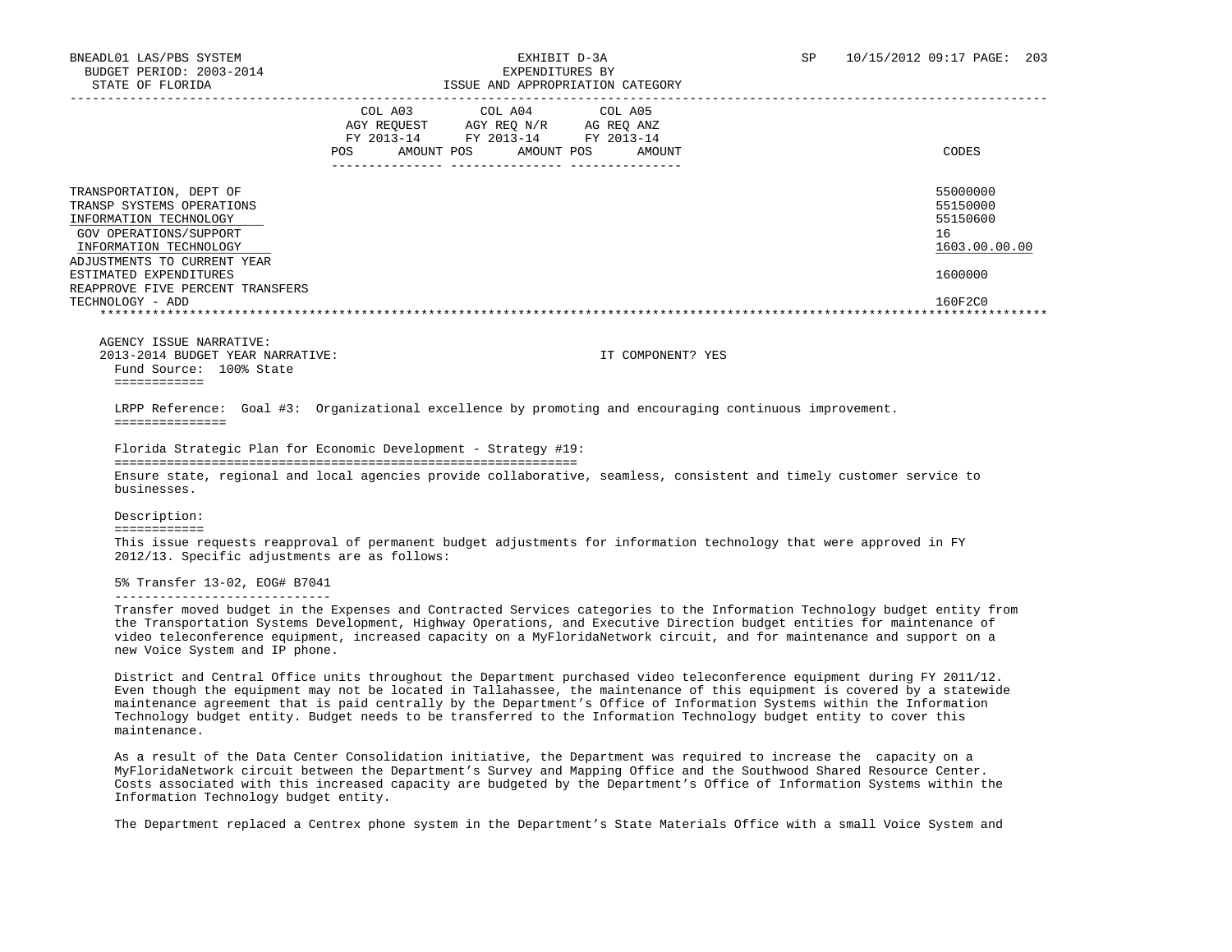|                                                                                                                                    | <b>POS</b> | COL A03<br>AGY REQUEST<br>FY 2013-14<br>AMOUNT POS | COL A04<br>AGY REO N/R<br>FY 2013-14<br>AMOUNT POS | COL A05<br>AG REO ANZ<br>FY 2013-14<br>AMOUNT | CODES                                                   |
|------------------------------------------------------------------------------------------------------------------------------------|------------|----------------------------------------------------|----------------------------------------------------|-----------------------------------------------|---------------------------------------------------------|
| TRANSPORTATION, DEPT OF<br>TRANSP SYSTEMS OPERATIONS<br>INFORMATION TECHNOLOGY<br>GOV OPERATIONS/SUPPORT<br>INFORMATION TECHNOLOGY |            |                                                    |                                                    |                                               | 55000000<br>55150000<br>55150600<br>16<br>1603.00.00.00 |
| ADJUSTMENTS TO CURRENT YEAR<br>ESTIMATED EXPENDITURES<br>REAPPROVE FIVE PERCENT TRANSFERS<br>TECHNOLOGY - ADD                      |            |                                                    |                                                    |                                               | 1600000<br>160F2C0                                      |
|                                                                                                                                    |            |                                                    |                                                    |                                               |                                                         |

 AGENCY ISSUE NARRATIVE: 2013-2014 BUDGET YEAR NARRATIVE: IT COMPONENT? YES Fund Source: 100% State ============

 LRPP Reference: Goal #3: Organizational excellence by promoting and encouraging continuous improvement. ===============

 Florida Strategic Plan for Economic Development - Strategy #19: ============================================================== Ensure state, regional and local agencies provide collaborative, seamless, consistent and timely customer service to businesses.

Description:

============

 This issue requests reapproval of permanent budget adjustments for information technology that were approved in FY 2012/13. Specific adjustments are as follows:

5% Transfer 13-02, EOG# B7041

-----------------------------

 Transfer moved budget in the Expenses and Contracted Services categories to the Information Technology budget entity from the Transportation Systems Development, Highway Operations, and Executive Direction budget entities for maintenance of video teleconference equipment, increased capacity on a MyFloridaNetwork circuit, and for maintenance and support on a new Voice System and IP phone.

 District and Central Office units throughout the Department purchased video teleconference equipment during FY 2011/12. Even though the equipment may not be located in Tallahassee, the maintenance of this equipment is covered by a statewide maintenance agreement that is paid centrally by the Department's Office of Information Systems within the Information Technology budget entity. Budget needs to be transferred to the Information Technology budget entity to cover this maintenance.

 As a result of the Data Center Consolidation initiative, the Department was required to increase the capacity on a MyFloridaNetwork circuit between the Department's Survey and Mapping Office and the Southwood Shared Resource Center. Costs associated with this increased capacity are budgeted by the Department's Office of Information Systems within the Information Technology budget entity.

The Department replaced a Centrex phone system in the Department's State Materials Office with a small Voice System and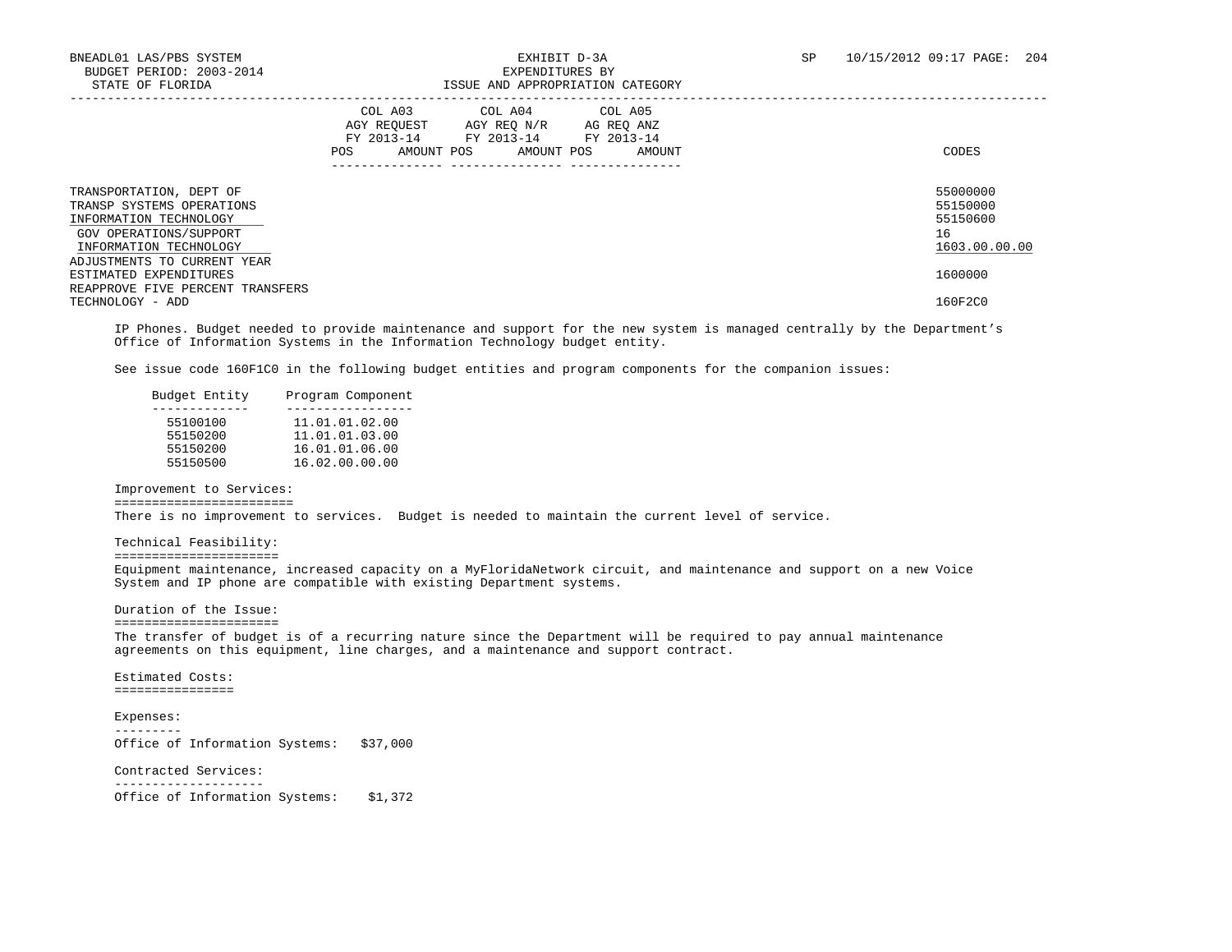|                                                                                                                                    | COL A03<br>COL A04 COL A05<br>AGY REQUEST<br>AGY REQ N/R<br>AG REQ ANZ<br>FY 2013-14<br>FY 2013-14<br>FY 2013-14<br>AMOUNT POS<br>POS<br>AMOUNT POS<br>AMOUNT | CODES                                                   |
|------------------------------------------------------------------------------------------------------------------------------------|---------------------------------------------------------------------------------------------------------------------------------------------------------------|---------------------------------------------------------|
| TRANSPORTATION, DEPT OF<br>TRANSP SYSTEMS OPERATIONS<br>INFORMATION TECHNOLOGY<br>GOV OPERATIONS/SUPPORT<br>INFORMATION TECHNOLOGY |                                                                                                                                                               | 55000000<br>55150000<br>55150600<br>16<br>1603.00.00.00 |
| ADJUSTMENTS TO CURRENT YEAR<br>ESTIMATED EXPENDITURES<br>REAPPROVE FIVE PERCENT TRANSFERS                                          |                                                                                                                                                               | 1600000                                                 |
| TECHNOLOGY - ADD                                                                                                                   |                                                                                                                                                               | 160F2C0                                                 |

 IP Phones. Budget needed to provide maintenance and support for the new system is managed centrally by the Department's Office of Information Systems in the Information Technology budget entity.

See issue code 160F1C0 in the following budget entities and program components for the companion issues:

| Budget Entity | Program Component |
|---------------|-------------------|
|               |                   |
| 55100100      | 11.01.01.02.00    |
| 55150200      | 11.01.01.03.00    |
| 55150200      | 16.01.01.06.00    |
| 55150500      | 16.02.00.00.00    |
|               |                   |

 Improvement to Services: ========================

There is no improvement to services. Budget is needed to maintain the current level of service.

## Technical Feasibility:

======================

 Equipment maintenance, increased capacity on a MyFloridaNetwork circuit, and maintenance and support on a new Voice System and IP phone are compatible with existing Department systems.

Duration of the Issue:

 ====================== The transfer of budget is of a recurring nature since the Department will be required to pay annual maintenance agreements on this equipment, line charges, and a maintenance and support contract.

 Estimated Costs: ================

 Expenses: --------- Office of Information Systems: \$37,000

Contracted Services:

 -------------------- Office of Information Systems: \$1,372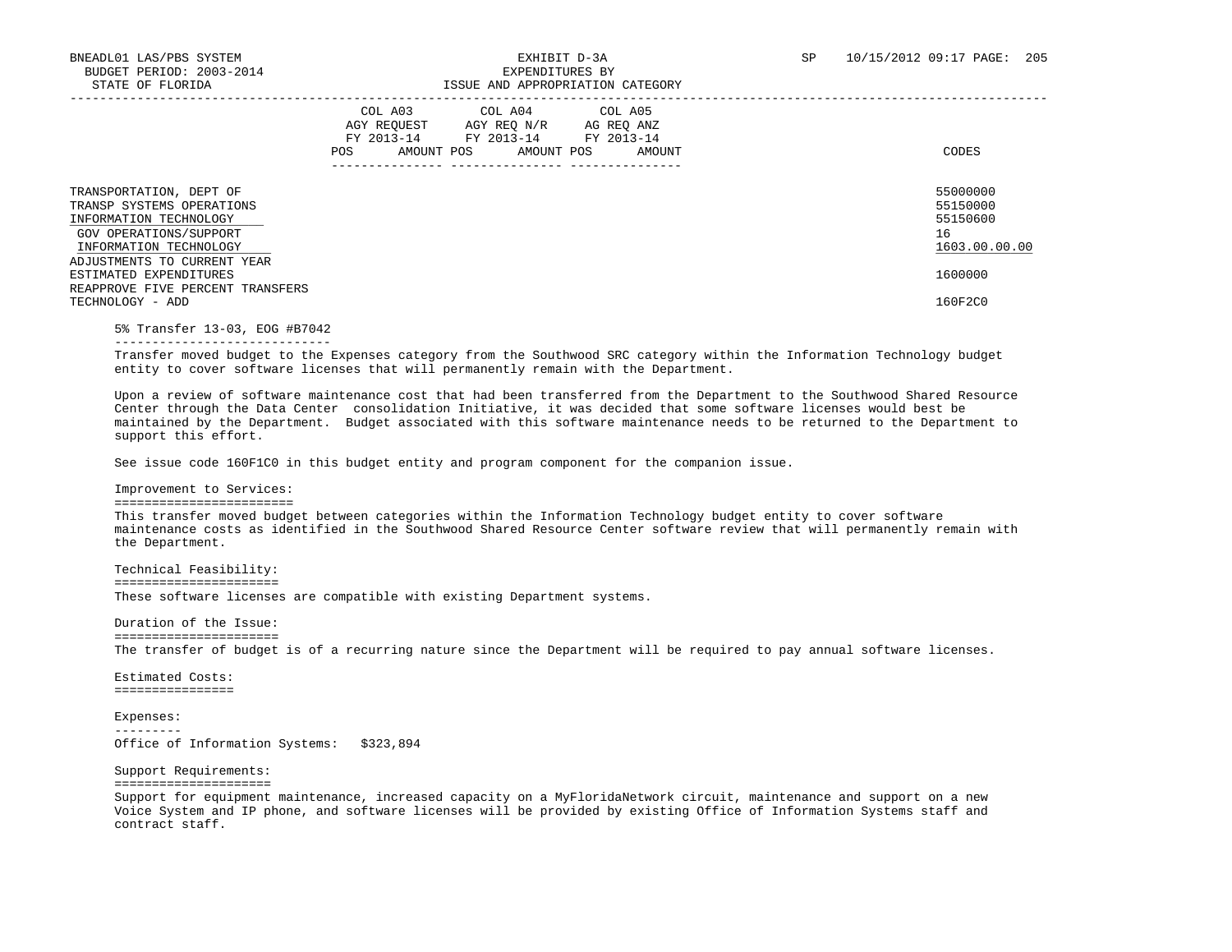|                                                                                                                                    | COL A03<br>AGY REOUEST<br>FY 2013-14<br><b>POS</b><br>AMOUNT POS | COL A04<br>AGY REO N/R<br>FY 2013-14<br>AMOUNT POS | COL A05<br>AG REO ANZ<br>FY 2013-14<br>AMOUNT | CODES                                                   |
|------------------------------------------------------------------------------------------------------------------------------------|------------------------------------------------------------------|----------------------------------------------------|-----------------------------------------------|---------------------------------------------------------|
| TRANSPORTATION, DEPT OF<br>TRANSP SYSTEMS OPERATIONS<br>INFORMATION TECHNOLOGY<br>GOV OPERATIONS/SUPPORT<br>INFORMATION TECHNOLOGY |                                                                  |                                                    |                                               | 55000000<br>55150000<br>55150600<br>16<br>1603.00.00.00 |
| ADJUSTMENTS TO CURRENT YEAR<br>ESTIMATED EXPENDITURES<br>REAPPROVE FIVE PERCENT TRANSFERS<br>TECHNOLOGY - ADD                      |                                                                  |                                                    |                                               | 1600000<br>160F2C0                                      |

## 5% Transfer 13-03, EOG #B7042

-----------------------------

 Transfer moved budget to the Expenses category from the Southwood SRC category within the Information Technology budget entity to cover software licenses that will permanently remain with the Department.

 Upon a review of software maintenance cost that had been transferred from the Department to the Southwood Shared Resource Center through the Data Center consolidation Initiative, it was decided that some software licenses would best be maintained by the Department. Budget associated with this software maintenance needs to be returned to the Department to support this effort.

See issue code 160F1C0 in this budget entity and program component for the companion issue.

# Improvement to Services:

========================

 This transfer moved budget between categories within the Information Technology budget entity to cover software maintenance costs as identified in the Southwood Shared Resource Center software review that will permanently remain with the Department.

 Technical Feasibility: ====================== These software licenses are compatible with existing Department systems.

 Duration of the Issue: ====================== The transfer of budget is of a recurring nature since the Department will be required to pay annual software licenses.

 Estimated Costs: ================

 Expenses: --------- Office of Information Systems: \$323,894

# Support Requirements:

=====================

 Support for equipment maintenance, increased capacity on a MyFloridaNetwork circuit, maintenance and support on a new Voice System and IP phone, and software licenses will be provided by existing Office of Information Systems staff and contract staff.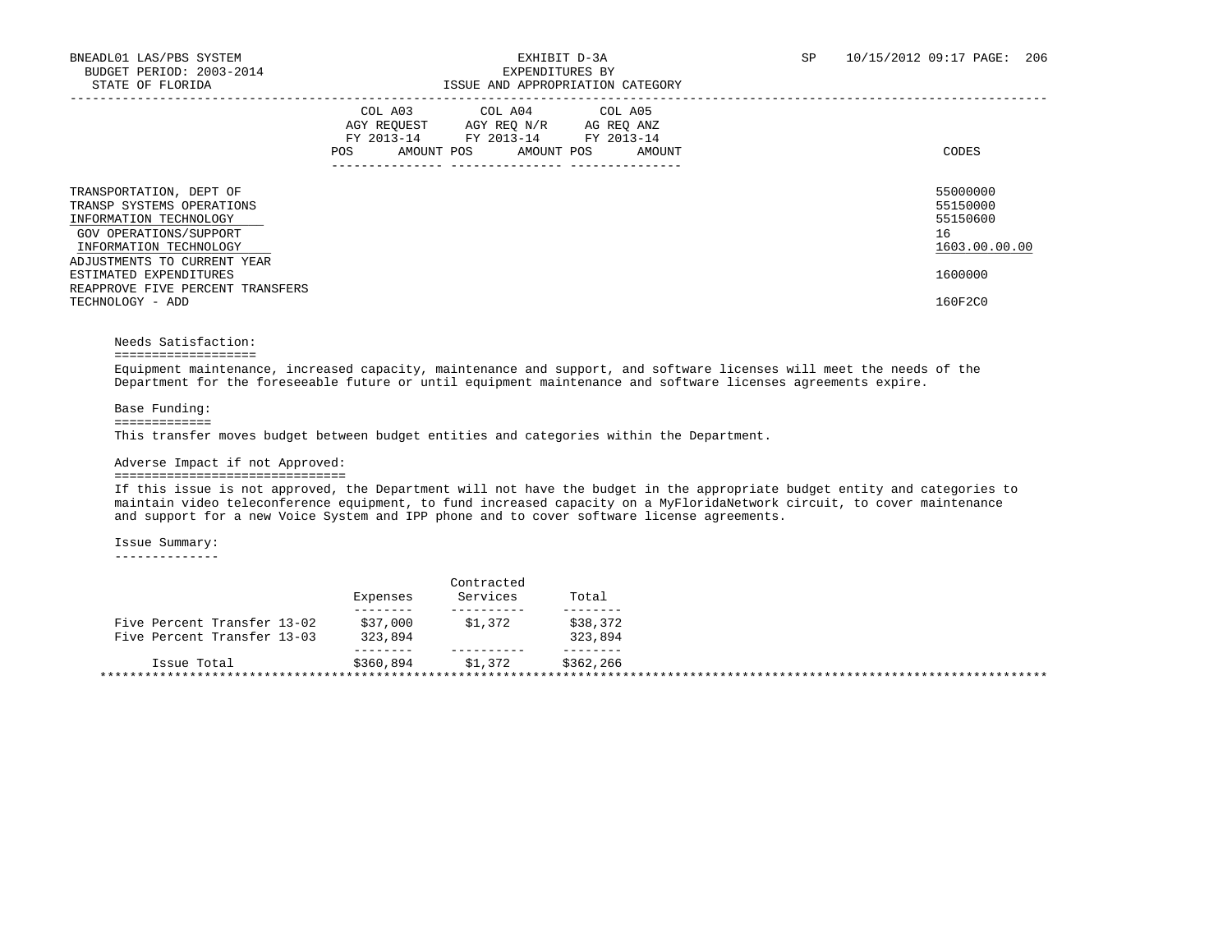|                                                                                                                                    | COL A03 COL A04 COL A05<br>AGY REOUEST<br>AGY REO N/R<br>AG REO ANZ<br>FY 2013-14<br>FY 2013-14 FY 2013-14<br>AMOUNT POS<br>AMOUNT POS<br>AMOUNT<br>POS | CODES                                                   |
|------------------------------------------------------------------------------------------------------------------------------------|---------------------------------------------------------------------------------------------------------------------------------------------------------|---------------------------------------------------------|
| TRANSPORTATION, DEPT OF<br>TRANSP SYSTEMS OPERATIONS<br>INFORMATION TECHNOLOGY<br>GOV OPERATIONS/SUPPORT<br>INFORMATION TECHNOLOGY |                                                                                                                                                         | 55000000<br>55150000<br>55150600<br>16<br>1603.00.00.00 |
| ADJUSTMENTS TO CURRENT YEAR<br>ESTIMATED EXPENDITURES<br>REAPPROVE FIVE PERCENT TRANSFERS<br>TECHNOLOGY - ADD                      |                                                                                                                                                         | 1600000<br>160F2C0                                      |

# Needs Satisfaction:

===================

 Equipment maintenance, increased capacity, maintenance and support, and software licenses will meet the needs of the Department for the foreseeable future or until equipment maintenance and software licenses agreements expire.

Base Funding:

## =============

This transfer moves budget between budget entities and categories within the Department.

### Adverse Impact if not Approved:

# ===============================

 If this issue is not approved, the Department will not have the budget in the appropriate budget entity and categories to maintain video teleconference equipment, to fund increased capacity on a MyFloridaNetwork circuit, to cover maintenance and support for a new Voice System and IPP phone and to cover software license agreements.

Issue Summary:

--------------

|                             | Expenses            | Services | Total     |  |
|-----------------------------|---------------------|----------|-----------|--|
| Five Percent Transfer 13-02 |                     | \$1,372  | \$38,372  |  |
| Five Percent Transfer 13-03 | \$37,000<br>323,894 |          | 323,894   |  |
| Issue Total                 | \$360,894           | \$1,372  | \$362,266 |  |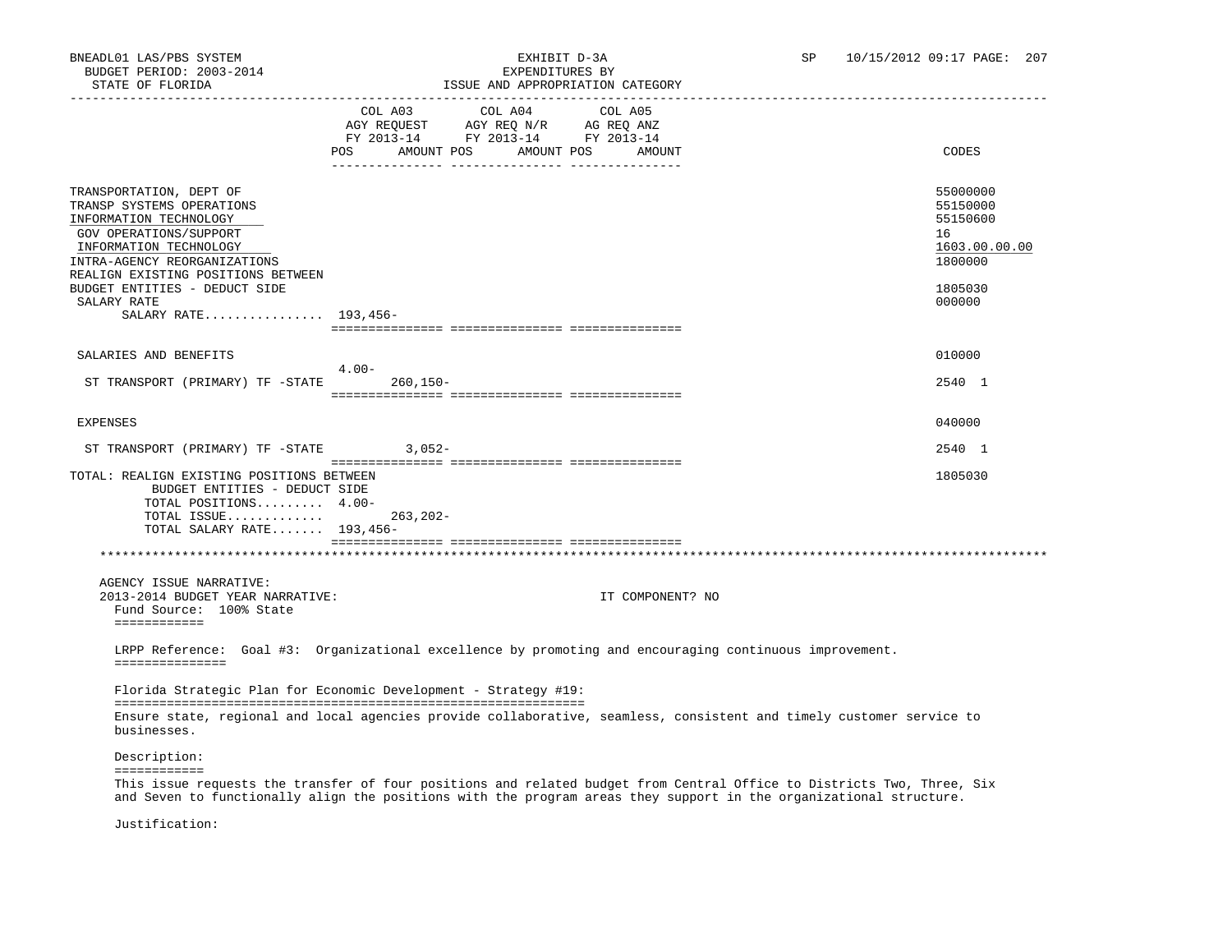# BNEADL01 LAS/PBS SYSTEM EXHIBIT D-3A SP 10/15/2012 09:17 PAGE: 207 ISSUE AND APPROPRIATION CATEGORY

|                                                                                                                                                                                                          |                                                                                                    | LOOUL AND AFFROFRIATION CAILGORI |                       |                  |                                                                    |
|----------------------------------------------------------------------------------------------------------------------------------------------------------------------------------------------------------|----------------------------------------------------------------------------------------------------|----------------------------------|-----------------------|------------------|--------------------------------------------------------------------|
|                                                                                                                                                                                                          | AGY REQUEST AGY REQ N/R AG REQ ANZ<br>FY 2013-14 FY 2013-14 FY 2013-14<br>AMOUNT POS<br><b>POS</b> | COL A03 COL A04                  | COL A05<br>AMOUNT POS | AMOUNT           | CODES                                                              |
| TRANSPORTATION, DEPT OF<br>TRANSP SYSTEMS OPERATIONS<br>INFORMATION TECHNOLOGY<br>GOV OPERATIONS/SUPPORT<br>INFORMATION TECHNOLOGY<br>INTRA-AGENCY REORGANIZATIONS<br>REALIGN EXISTING POSITIONS BETWEEN |                                                                                                    |                                  |                       |                  | 55000000<br>55150000<br>55150600<br>16<br>1603.00.00.00<br>1800000 |
| BUDGET ENTITIES - DEDUCT SIDE                                                                                                                                                                            |                                                                                                    |                                  |                       |                  | 1805030                                                            |
| SALARY RATE<br>SALARY RATE 193,456-                                                                                                                                                                      |                                                                                                    |                                  |                       |                  | 000000                                                             |
|                                                                                                                                                                                                          |                                                                                                    |                                  |                       |                  |                                                                    |
| SALARIES AND BENEFITS                                                                                                                                                                                    | $4.00-$                                                                                            |                                  |                       |                  | 010000                                                             |
| ST TRANSPORT (PRIMARY) TF -STATE                                                                                                                                                                         | 260,150-                                                                                           |                                  |                       |                  | 2540 1                                                             |
|                                                                                                                                                                                                          |                                                                                                    |                                  |                       |                  |                                                                    |
| <b>EXPENSES</b>                                                                                                                                                                                          |                                                                                                    |                                  |                       |                  | 040000                                                             |
| ST TRANSPORT (PRIMARY) TF -STATE 3,052-                                                                                                                                                                  |                                                                                                    |                                  |                       |                  | 2540 1                                                             |
| TOTAL: REALIGN EXISTING POSITIONS BETWEEN<br>BUDGET ENTITIES - DEDUCT SIDE<br>TOTAL POSITIONS 4.00-<br>TOTAL ISSUE<br>TOTAL SALARY RATE 193,456-                                                         | $263, 202 -$                                                                                       |                                  |                       |                  | 1805030                                                            |
|                                                                                                                                                                                                          |                                                                                                    |                                  |                       |                  |                                                                    |
|                                                                                                                                                                                                          |                                                                                                    |                                  |                       |                  |                                                                    |
| AGENCY ISSUE NARRATIVE:<br>2013-2014 BUDGET YEAR NARRATIVE:<br>Fund Source: 100% State<br>============                                                                                                   |                                                                                                    |                                  |                       | IT COMPONENT? NO |                                                                    |
| LRPP Reference: Goal #3: Organizational excellence by promoting and encouraging continuous improvement.<br>===============                                                                               |                                                                                                    |                                  |                       |                  |                                                                    |
| Florida Strategic Plan for Economic Development - Strategy #19:                                                                                                                                          |                                                                                                    |                                  |                       |                  |                                                                    |
| Ensure state, regional and local agencies provide collaborative, seamless, consistent and timely customer service to<br>businesses.                                                                      |                                                                                                    |                                  |                       |                  |                                                                    |
| Description:                                                                                                                                                                                             |                                                                                                    |                                  |                       |                  |                                                                    |
| ============<br>This issue requests the transfer of four positions and related budget from Central Office to Districts Two, Three, Six                                                                   |                                                                                                    |                                  |                       |                  |                                                                    |

and Seven to functionally align the positions with the program areas they support in the organizational structure.

Justification: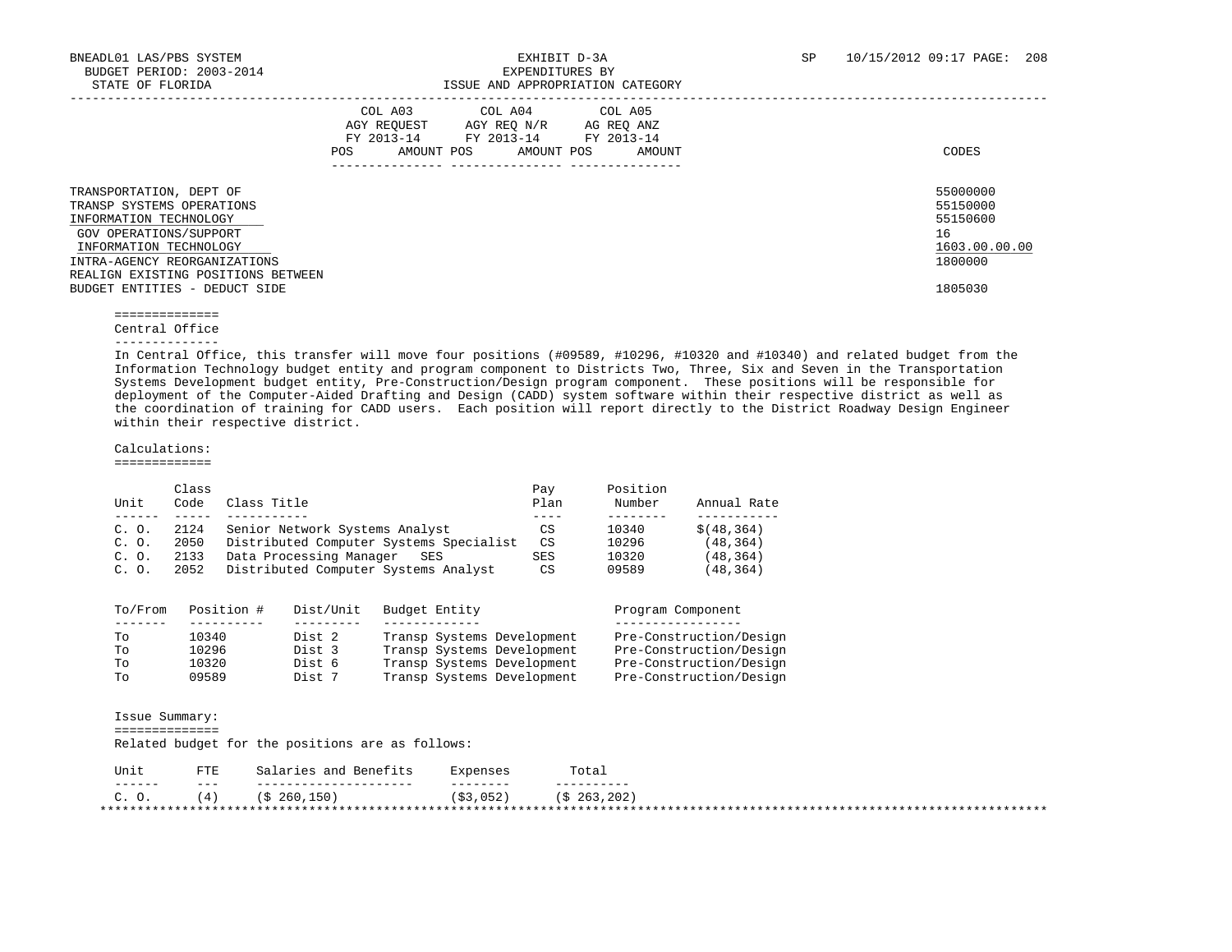|                                                                                                                                                                                                                                           | COL A03<br>AGY REOUEST<br>FY 2013-14<br>AMOUNT POS<br>POS. | COL A04<br>AGY REO N/R<br>FY 2013-14<br>FY 2013-14<br>AMOUNT POS | COL A05<br>AG REQ ANZ<br>AMOUNT | CODES                                                                         |
|-------------------------------------------------------------------------------------------------------------------------------------------------------------------------------------------------------------------------------------------|------------------------------------------------------------|------------------------------------------------------------------|---------------------------------|-------------------------------------------------------------------------------|
| TRANSPORTATION, DEPT OF<br>TRANSP SYSTEMS OPERATIONS<br>INFORMATION TECHNOLOGY<br>GOV OPERATIONS/SUPPORT<br>INFORMATION TECHNOLOGY<br>INTRA-AGENCY REORGANIZATIONS<br>REALIGN EXISTING POSITIONS BETWEEN<br>BUDGET ENTITIES - DEDUCT SIDE |                                                            |                                                                  |                                 | 55000000<br>55150000<br>55150600<br>16<br>1603.00.00.00<br>1800000<br>1805030 |

==============

Central Office

--------------

 In Central Office, this transfer will move four positions (#09589, #10296, #10320 and #10340) and related budget from the Information Technology budget entity and program component to Districts Two, Three, Six and Seven in the Transportation Systems Development budget entity, Pre-Construction/Design program component. These positions will be responsible for deployment of the Computer-Aided Drafting and Design (CADD) system software within their respective district as well as the coordination of training for CADD users. Each position will report directly to the District Roadway Design Engineer within their respective district.

 Calculations: =============

 Class Pay Position Unit Code Class Title Plan Number Annual Rate ------ ----- ----------- ---- -------- ----------- C. O. 2124 Senior Network Systems Analyst CS 10340 \$(48,364) C. O. 2050 Distributed Computer Systems Specialist CS 10296 (48,364) C. O. 2133 Data Processing Manager SES SES 10320 (48,364) C. O. 2052 Distributed Computer Systems Analyst CS 09589 (48,364)

| To/From | Position # | Dist/Unit | Budget Entity              | Program Component       |
|---------|------------|-----------|----------------------------|-------------------------|
|         |            |           |                            |                         |
| TΟ      | 10340      | Dist 2    | Transp Systems Development | Pre-Construction/Design |
| TΟ      | 10296      | Dist 3    | Transp Systems Development | Pre-Construction/Design |
| TΟ      | 10320      | Dist 6    | Transp Systems Development | Pre-Construction/Design |
| Tο      | 09589      | Dist 7    | Transp Systems Development | Pre-Construction/Design |

| Issue Summary:   |               |                                                  |           |                        |
|------------------|---------------|--------------------------------------------------|-----------|------------------------|
|                  |               | Related budget for the positions are as follows: |           |                        |
| Unit             | <b>FTE</b>    | Salaries and Benefits                            | Expenses  | Total                  |
| -------<br>C. O. | $- - -$<br>4) | (S 260.150)                                      | (S3, 052) | (S <sub>263,202)</sub> |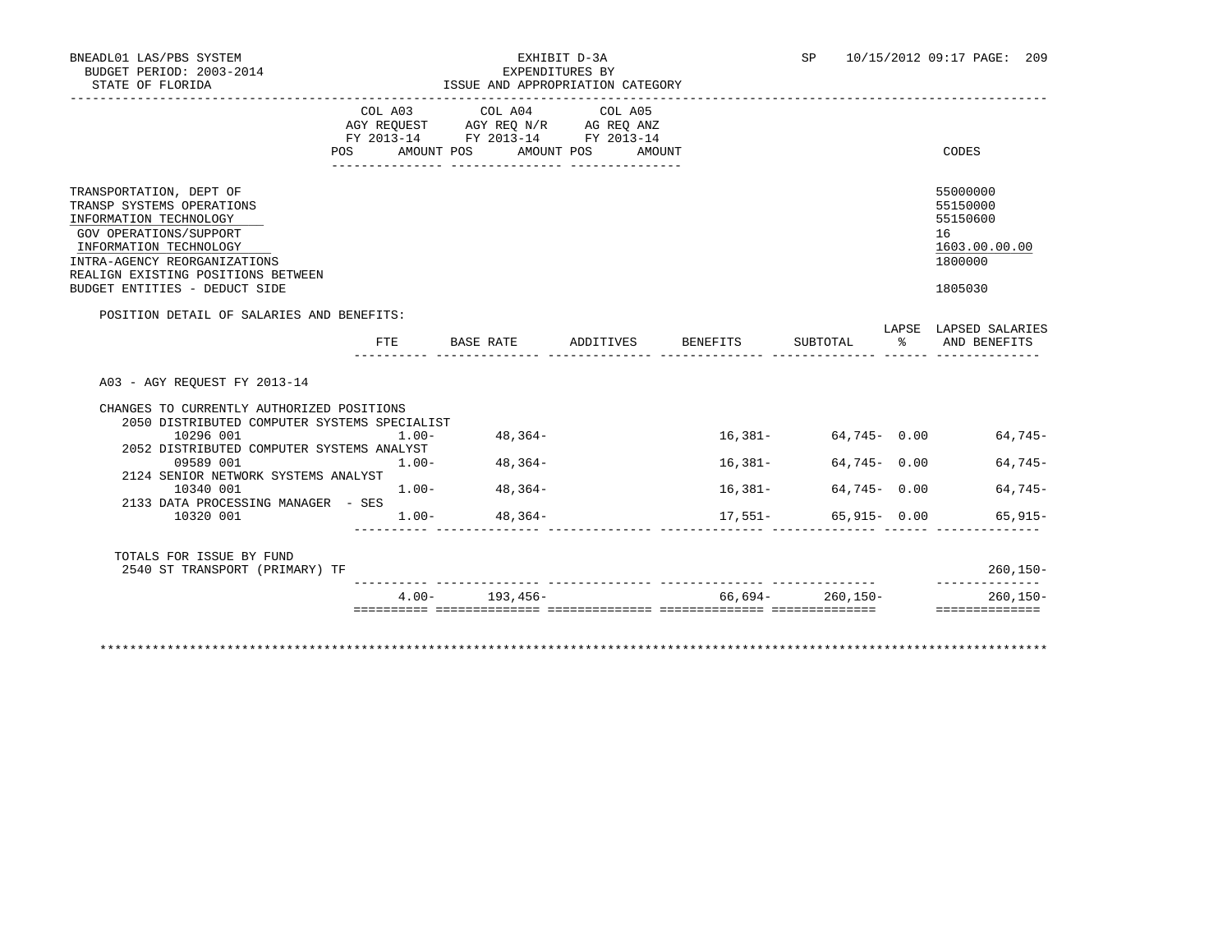|                                                                                                                                                                                                                                           | POS AMOUNT POS | COL A03 COL A04 COL A05<br>AGY REQUEST AGY REQ N/R AG REQ ANZ<br>FY 2013-14 FY 2013-14 FY 2013-14 | AMOUNT POS<br>AMOUNT |           |                 | CODES                                                                         |
|-------------------------------------------------------------------------------------------------------------------------------------------------------------------------------------------------------------------------------------------|----------------|---------------------------------------------------------------------------------------------------|----------------------|-----------|-----------------|-------------------------------------------------------------------------------|
|                                                                                                                                                                                                                                           |                |                                                                                                   |                      |           |                 |                                                                               |
| TRANSPORTATION, DEPT OF<br>TRANSP SYSTEMS OPERATIONS<br>INFORMATION TECHNOLOGY<br>GOV OPERATIONS/SUPPORT<br>INFORMATION TECHNOLOGY<br>INTRA-AGENCY REORGANIZATIONS<br>REALIGN EXISTING POSITIONS BETWEEN<br>BUDGET ENTITIES - DEDUCT SIDE |                |                                                                                                   |                      |           |                 | 55000000<br>55150000<br>55150600<br>16<br>1603.00.00.00<br>1800000<br>1805030 |
|                                                                                                                                                                                                                                           |                |                                                                                                   |                      |           |                 |                                                                               |
| POSITION DETAIL OF SALARIES AND BENEFITS:                                                                                                                                                                                                 |                |                                                                                                   |                      |           |                 | LAPSE LAPSED SALARIES                                                         |
|                                                                                                                                                                                                                                           |                | FTE BASE RATE ADDITIVES BENEFITS                                                                  |                      |           | SUBTOTAL %      | AND BENEFITS                                                                  |
| A03 - AGY REOUEST FY 2013-14<br>CHANGES TO CURRENTLY AUTHORIZED POSITIONS<br>2050 DISTRIBUTED COMPUTER SYSTEMS SPECIALIST                                                                                                                 |                |                                                                                                   |                      |           |                 |                                                                               |
| 10296 001<br>2052 DISTRIBUTED COMPUTER SYSTEMS ANALYST                                                                                                                                                                                    | $1.00 -$       | $48,364-$                                                                                         |                      |           |                 | $16,381-$ 64,745 - 0.00 64,745 -                                              |
|                                                                                                                                                                                                                                           |                |                                                                                                   |                      |           |                 |                                                                               |
| 09589 001<br>2124 SENIOR NETWORK SYSTEMS ANALYST                                                                                                                                                                                          | $1.00 -$       | 48,364-                                                                                           |                      | $16,381-$ | 64,745 - 0.00   |                                                                               |
| 10340 001                                                                                                                                                                                                                                 |                | $1.00 - 48,364 -$                                                                                 |                      | 16,381-   | $64,745 - 0.00$ | $64.745-$<br>$64,745-$                                                        |
| 2133 DATA PROCESSING MANAGER - SES<br>10320 001                                                                                                                                                                                           | $1.00 -$       | $48,364-$                                                                                         |                      | $17,551-$ | $65,915 - 0.00$ | $65.915-$                                                                     |
| TOTALS FOR ISSUE BY FUND<br>2540 ST TRANSPORT (PRIMARY) TF                                                                                                                                                                                |                |                                                                                                   |                      |           |                 | $260, 150 -$<br>--------------                                                |

\*\*\*\*\*\*\*\*\*\*\*\*\*\*\*\*\*\*\*\*\*\*\*\*\*\*\*\*\*\*\*\*\*\*\*\*\*\*\*\*\*\*\*\*\*\*\*\*\*\*\*\*\*\*\*\*\*\*\*\*\*\*\*\*\*\*\*\*\*\*\*\*\*\*\*\*\*\*\*\*\*\*\*\*\*\*\*\*\*\*\*\*\*\*\*\*\*\*\*\*\*\*\*\*\*\*\*\*\*\*\*\*\*\*\*\*\*\*\*\*\*\*\*\*\*\*\*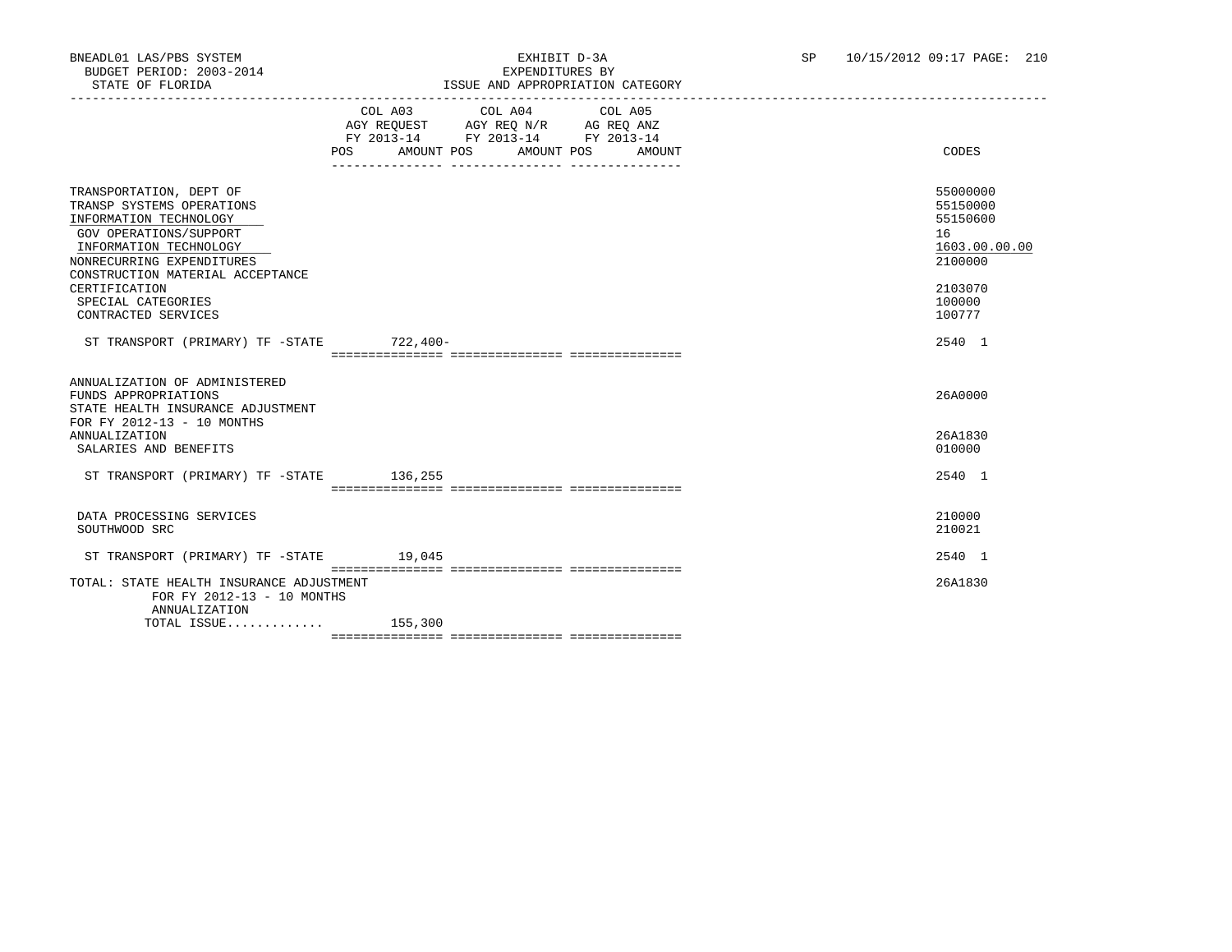|                                                                                                                                                                                                     | $\begin{tabular}{lllllllllll} &\multicolumn{4}{c}{\text{COL A03}} &\multicolumn{4}{c}{\text{COL A04}} &\multicolumn{4}{c}{\text{COL A05}} \\ \multicolumn{4}{c}{\text{AGY REQUEST}} &\multicolumn{4}{c}{\text{AGY REQ N/R}} &\multicolumn{4}{c}{\text{AG REQ ANZ}} \end{tabular}$<br>FY 2013-14 FY 2013-14 FY 2013-14<br>AMOUNT POS AMOUNT POS<br>POS FOR THE POST OF THE STATE STATE STATE STATE STATE STATE STATE STATE STATE STATE STATE STATE STATE STATE ST<br>AMOUNT | CODES                                                              |
|-----------------------------------------------------------------------------------------------------------------------------------------------------------------------------------------------------|----------------------------------------------------------------------------------------------------------------------------------------------------------------------------------------------------------------------------------------------------------------------------------------------------------------------------------------------------------------------------------------------------------------------------------------------------------------------------|--------------------------------------------------------------------|
|                                                                                                                                                                                                     |                                                                                                                                                                                                                                                                                                                                                                                                                                                                            |                                                                    |
| TRANSPORTATION, DEPT OF<br>TRANSP SYSTEMS OPERATIONS<br>INFORMATION TECHNOLOGY<br>GOV OPERATIONS/SUPPORT<br>INFORMATION TECHNOLOGY<br>NONRECURRING EXPENDITURES<br>CONSTRUCTION MATERIAL ACCEPTANCE |                                                                                                                                                                                                                                                                                                                                                                                                                                                                            | 55000000<br>55150000<br>55150600<br>16<br>1603.00.00.00<br>2100000 |
| CERTIFICATION<br>SPECIAL CATEGORIES<br>CONTRACTED SERVICES                                                                                                                                          |                                                                                                                                                                                                                                                                                                                                                                                                                                                                            | 2103070<br>100000<br>100777                                        |
| ST TRANSPORT (PRIMARY) TF -STATE 722,400-                                                                                                                                                           |                                                                                                                                                                                                                                                                                                                                                                                                                                                                            | 2540 1                                                             |
|                                                                                                                                                                                                     |                                                                                                                                                                                                                                                                                                                                                                                                                                                                            |                                                                    |
| ANNUALIZATION OF ADMINISTERED<br>FUNDS APPROPRIATIONS<br>STATE HEALTH INSURANCE ADJUSTMENT<br>FOR FY 2012-13 - 10 MONTHS                                                                            |                                                                                                                                                                                                                                                                                                                                                                                                                                                                            | 26A0000                                                            |
| <b>ANNUALIZATION</b><br>SALARIES AND BENEFITS                                                                                                                                                       |                                                                                                                                                                                                                                                                                                                                                                                                                                                                            | 26A1830<br>010000                                                  |
| ST TRANSPORT (PRIMARY) TF -STATE 136,255                                                                                                                                                            |                                                                                                                                                                                                                                                                                                                                                                                                                                                                            | 2540 1                                                             |
| DATA PROCESSING SERVICES<br>SOUTHWOOD SRC                                                                                                                                                           |                                                                                                                                                                                                                                                                                                                                                                                                                                                                            | 210000<br>210021                                                   |
| ST TRANSPORT (PRIMARY) TF -STATE 19,045                                                                                                                                                             |                                                                                                                                                                                                                                                                                                                                                                                                                                                                            | 2540 1                                                             |
| TOTAL: STATE HEALTH INSURANCE ADJUSTMENT<br>FOR FY 2012-13 - 10 MONTHS<br>ANNUALIZATION                                                                                                             |                                                                                                                                                                                                                                                                                                                                                                                                                                                                            | 26A1830                                                            |
| TOTAL ISSUE 155,300                                                                                                                                                                                 |                                                                                                                                                                                                                                                                                                                                                                                                                                                                            |                                                                    |
|                                                                                                                                                                                                     |                                                                                                                                                                                                                                                                                                                                                                                                                                                                            |                                                                    |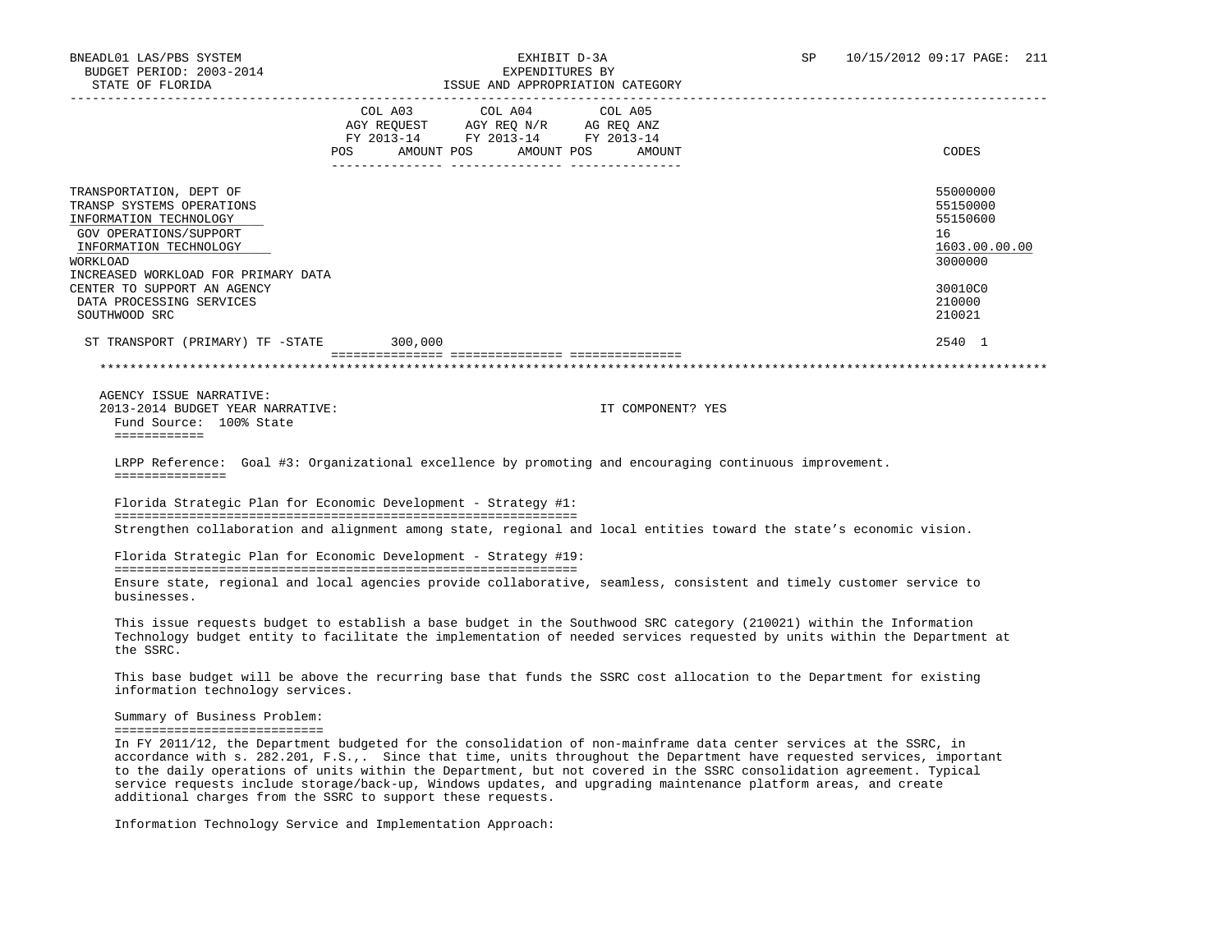| STATE OF FLORIDA                                                                                                                                                                                                                                                                                                                                                                                                                                                                                                                                              |                                                                          | ISSUE AND APPROPRIATION CATEGORY              |         |                   |                                                                                                                          |
|---------------------------------------------------------------------------------------------------------------------------------------------------------------------------------------------------------------------------------------------------------------------------------------------------------------------------------------------------------------------------------------------------------------------------------------------------------------------------------------------------------------------------------------------------------------|--------------------------------------------------------------------------|-----------------------------------------------|---------|-------------------|--------------------------------------------------------------------------------------------------------------------------|
|                                                                                                                                                                                                                                                                                                                                                                                                                                                                                                                                                               | COL A03<br>FY 2013-14 FY 2013-14 FY 2013-14<br>POS AMOUNT POS AMOUNT POS | COL A04<br>AGY REQUEST AGY REQ N/R AG REQ ANZ | COL A05 | AMOUNT            | CODES                                                                                                                    |
|                                                                                                                                                                                                                                                                                                                                                                                                                                                                                                                                                               |                                                                          |                                               |         |                   |                                                                                                                          |
| TRANSPORTATION, DEPT OF<br>TRANSP SYSTEMS OPERATIONS<br>INFORMATION TECHNOLOGY<br>GOV OPERATIONS/SUPPORT<br>INFORMATION TECHNOLOGY<br>WORKLOAD<br>INCREASED WORKLOAD FOR PRIMARY DATA                                                                                                                                                                                                                                                                                                                                                                         |                                                                          |                                               |         |                   | 55000000<br>55150000<br>55150600<br>16<br>1603.00.00.00<br>3000000                                                       |
| CENTER TO SUPPORT AN AGENCY                                                                                                                                                                                                                                                                                                                                                                                                                                                                                                                                   |                                                                          |                                               |         |                   | 30010C0                                                                                                                  |
| DATA PROCESSING SERVICES<br>SOUTHWOOD SRC                                                                                                                                                                                                                                                                                                                                                                                                                                                                                                                     |                                                                          |                                               |         |                   | 210000<br>210021                                                                                                         |
| ST TRANSPORT (PRIMARY) TF -STATE 300,000                                                                                                                                                                                                                                                                                                                                                                                                                                                                                                                      |                                                                          |                                               |         |                   | 2540 1                                                                                                                   |
|                                                                                                                                                                                                                                                                                                                                                                                                                                                                                                                                                               |                                                                          |                                               |         |                   |                                                                                                                          |
|                                                                                                                                                                                                                                                                                                                                                                                                                                                                                                                                                               |                                                                          |                                               |         |                   |                                                                                                                          |
| AGENCY ISSUE NARRATIVE:<br>2013-2014 BUDGET YEAR NARRATIVE:<br>Fund Source: 100% State<br>------------                                                                                                                                                                                                                                                                                                                                                                                                                                                        |                                                                          |                                               |         | IT COMPONENT? YES |                                                                                                                          |
| LRPP Reference: Goal #3: Organizational excellence by promoting and encouraging continuous improvement.<br>===============<br>Florida Strategic Plan for Economic Development - Strategy #1:                                                                                                                                                                                                                                                                                                                                                                  |                                                                          |                                               |         |                   |                                                                                                                          |
| Strengthen collaboration and alignment among state, regional and local entities toward the state's economic vision.                                                                                                                                                                                                                                                                                                                                                                                                                                           |                                                                          |                                               |         |                   |                                                                                                                          |
| Florida Strategic Plan for Economic Development - Strategy #19:                                                                                                                                                                                                                                                                                                                                                                                                                                                                                               |                                                                          |                                               |         |                   |                                                                                                                          |
| Ensure state, regional and local agencies provide collaborative, seamless, consistent and timely customer service to<br>businesses.                                                                                                                                                                                                                                                                                                                                                                                                                           |                                                                          |                                               |         |                   |                                                                                                                          |
| This issue requests budget to establish a base budget in the Southwood SRC category (210021) within the Information<br>the SSRC.                                                                                                                                                                                                                                                                                                                                                                                                                              |                                                                          |                                               |         |                   | Technology budget entity to facilitate the implementation of needed services requested by units within the Department at |
| This base budget will be above the recurring base that funds the SSRC cost allocation to the Department for existing<br>information technology services.                                                                                                                                                                                                                                                                                                                                                                                                      |                                                                          |                                               |         |                   |                                                                                                                          |
| Summary of Business Problem:<br>==============================<br>In FY 2011/12, the Department budgeted for the consolidation of non-mainframe data center services at the SSRC, in<br>to the daily operations of units within the Department, but not covered in the SSRC consolidation agreement. Typical<br>service requests include storage/back-up, Windows updates, and upgrading maintenance platform areas, and create<br>additional charges from the SSRC to support these requests.<br>Information Technology Service and Implementation Approach: |                                                                          |                                               |         |                   | accordance with s. 282.201, F.S.,. Since that time, units throughout the Department have requested services, important   |
|                                                                                                                                                                                                                                                                                                                                                                                                                                                                                                                                                               |                                                                          |                                               |         |                   |                                                                                                                          |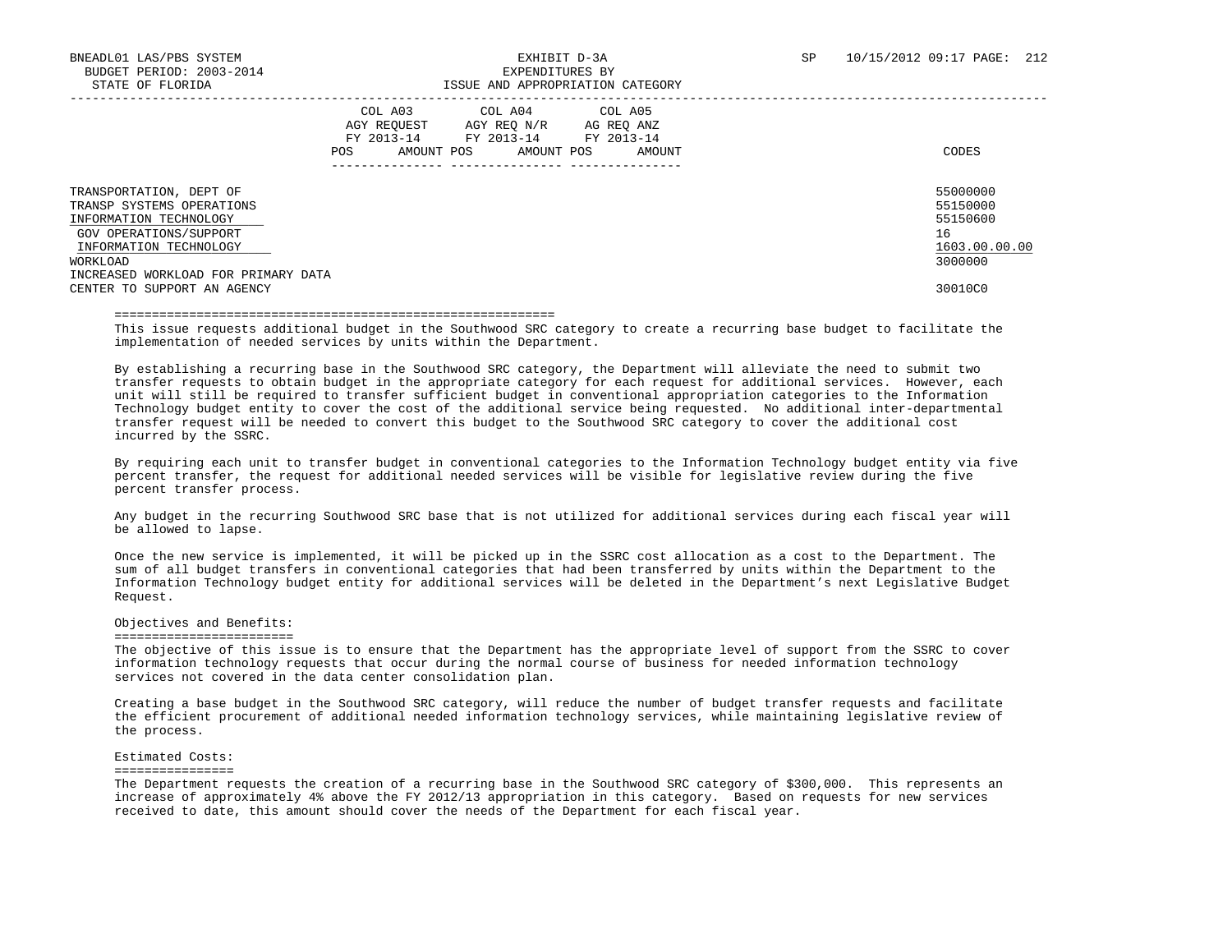|                                                                                                                                                                                                                      | COL A04<br>COL A05<br>COL A03<br>AGY REQUEST<br>AG REO ANZ<br>AGY REO N/R<br>FY 2013-14<br>FY 2013-14<br>FY 2013-14<br>AMOUNT POS<br>AMOUNT POS<br>POS.<br>AMOUNT | CODES                                                                         |
|----------------------------------------------------------------------------------------------------------------------------------------------------------------------------------------------------------------------|-------------------------------------------------------------------------------------------------------------------------------------------------------------------|-------------------------------------------------------------------------------|
| TRANSPORTATION, DEPT OF<br>TRANSP SYSTEMS OPERATIONS<br>INFORMATION TECHNOLOGY<br>GOV OPERATIONS/SUPPORT<br>INFORMATION TECHNOLOGY<br>WORKLOAD<br>INCREASED WORKLOAD FOR PRIMARY DATA<br>CENTER TO SUPPORT AN AGENCY |                                                                                                                                                                   | 55000000<br>55150000<br>55150600<br>16<br>1603.00.00.00<br>3000000<br>30010C0 |

#### ===========================================================

 This issue requests additional budget in the Southwood SRC category to create a recurring base budget to facilitate the implementation of needed services by units within the Department.

 By establishing a recurring base in the Southwood SRC category, the Department will alleviate the need to submit two transfer requests to obtain budget in the appropriate category for each request for additional services. However, each unit will still be required to transfer sufficient budget in conventional appropriation categories to the Information Technology budget entity to cover the cost of the additional service being requested. No additional inter-departmental transfer request will be needed to convert this budget to the Southwood SRC category to cover the additional cost incurred by the SSRC.

 By requiring each unit to transfer budget in conventional categories to the Information Technology budget entity via five percent transfer, the request for additional needed services will be visible for legislative review during the five percent transfer process.

 Any budget in the recurring Southwood SRC base that is not utilized for additional services during each fiscal year will be allowed to lapse.

 Once the new service is implemented, it will be picked up in the SSRC cost allocation as a cost to the Department. The sum of all budget transfers in conventional categories that had been transferred by units within the Department to the Information Technology budget entity for additional services will be deleted in the Department's next Legislative Budget Request.

### Objectives and Benefits:

#### =========================

 The objective of this issue is to ensure that the Department has the appropriate level of support from the SSRC to cover information technology requests that occur during the normal course of business for needed information technology services not covered in the data center consolidation plan.

 Creating a base budget in the Southwood SRC category, will reduce the number of budget transfer requests and facilitate the efficient procurement of additional needed information technology services, while maintaining legislative review of the process.

#### Estimated Costs:

#### ================

 The Department requests the creation of a recurring base in the Southwood SRC category of \$300,000. This represents an increase of approximately 4% above the FY 2012/13 appropriation in this category. Based on requests for new services received to date, this amount should cover the needs of the Department for each fiscal year.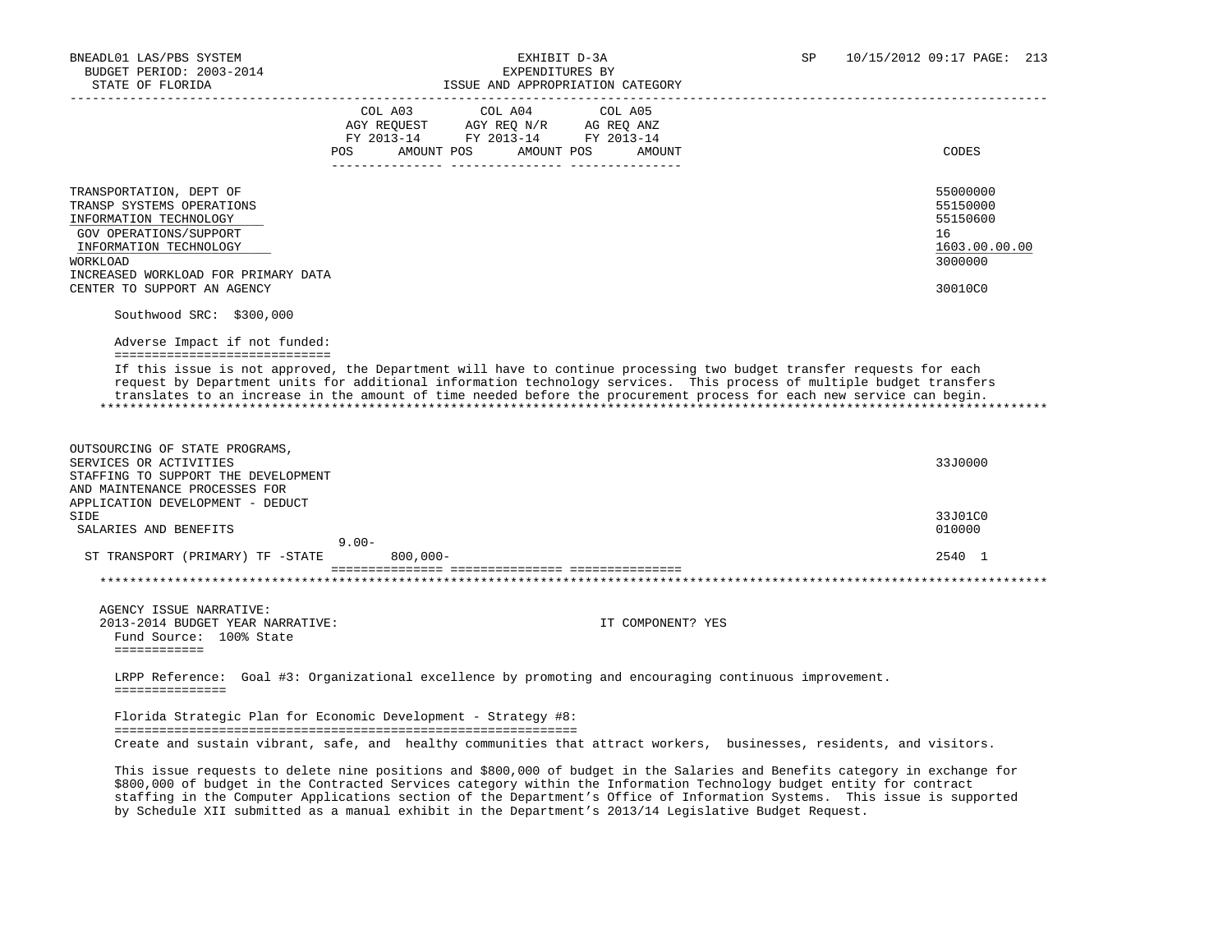|                                                                                                                                                                                                                      | COL A04<br>COL A05<br>COL A03<br>AGY REQUEST AGY REQ N/R AG REQ ANZ<br>FY 2013-14 FY 2013-14 FY 2013-14<br>AMOUNT POS<br>AMOUNT POS<br>POS.<br>AMOUNT                                                                                                                                                                                                                  | CODES                                                                         |
|----------------------------------------------------------------------------------------------------------------------------------------------------------------------------------------------------------------------|------------------------------------------------------------------------------------------------------------------------------------------------------------------------------------------------------------------------------------------------------------------------------------------------------------------------------------------------------------------------|-------------------------------------------------------------------------------|
|                                                                                                                                                                                                                      |                                                                                                                                                                                                                                                                                                                                                                        |                                                                               |
| TRANSPORTATION, DEPT OF<br>TRANSP SYSTEMS OPERATIONS<br>INFORMATION TECHNOLOGY<br>GOV OPERATIONS/SUPPORT<br>INFORMATION TECHNOLOGY<br>WORKLOAD<br>INCREASED WORKLOAD FOR PRIMARY DATA<br>CENTER TO SUPPORT AN AGENCY |                                                                                                                                                                                                                                                                                                                                                                        | 55000000<br>55150000<br>55150600<br>16<br>1603.00.00.00<br>3000000<br>30010C0 |
| Southwood SRC: \$300,000                                                                                                                                                                                             |                                                                                                                                                                                                                                                                                                                                                                        |                                                                               |
| Adverse Impact if not funded:<br>===============================                                                                                                                                                     |                                                                                                                                                                                                                                                                                                                                                                        |                                                                               |
|                                                                                                                                                                                                                      | If this issue is not approved, the Department will have to continue processing two budget transfer requests for each<br>request by Department units for additional information technology services. This process of multiple budget transfers<br>translates to an increase in the amount of time needed before the procurement process for each new service can begin. |                                                                               |
| OUTSOURCING OF STATE PROGRAMS,<br>SERVICES OR ACTIVITIES<br>STAFFING TO SUPPORT THE DEVELOPMENT<br>AND MAINTENANCE PROCESSES FOR                                                                                     |                                                                                                                                                                                                                                                                                                                                                                        | 33J0000                                                                       |
| APPLICATION DEVELOPMENT - DEDUCT                                                                                                                                                                                     |                                                                                                                                                                                                                                                                                                                                                                        |                                                                               |
| SIDE<br>SALARIES AND BENEFITS                                                                                                                                                                                        |                                                                                                                                                                                                                                                                                                                                                                        | 33J01C0<br>010000                                                             |
|                                                                                                                                                                                                                      | $9.00 -$                                                                                                                                                                                                                                                                                                                                                               |                                                                               |
| ST TRANSPORT (PRIMARY) TF -STATE                                                                                                                                                                                     | $800.000 -$                                                                                                                                                                                                                                                                                                                                                            | 2540 1                                                                        |
|                                                                                                                                                                                                                      |                                                                                                                                                                                                                                                                                                                                                                        |                                                                               |
| AGENCY ISSUE NARRATIVE:                                                                                                                                                                                              |                                                                                                                                                                                                                                                                                                                                                                        |                                                                               |

===============

 Florida Strategic Plan for Economic Development - Strategy #8: ============================================================== Create and sustain vibrant, safe, and healthy communities that attract workers, businesses, residents, and visitors.

 This issue requests to delete nine positions and \$800,000 of budget in the Salaries and Benefits category in exchange for \$800,000 of budget in the Contracted Services category within the Information Technology budget entity for contract staffing in the Computer Applications section of the Department's Office of Information Systems. This issue is supported by Schedule XII submitted as a manual exhibit in the Department's 2013/14 Legislative Budget Request.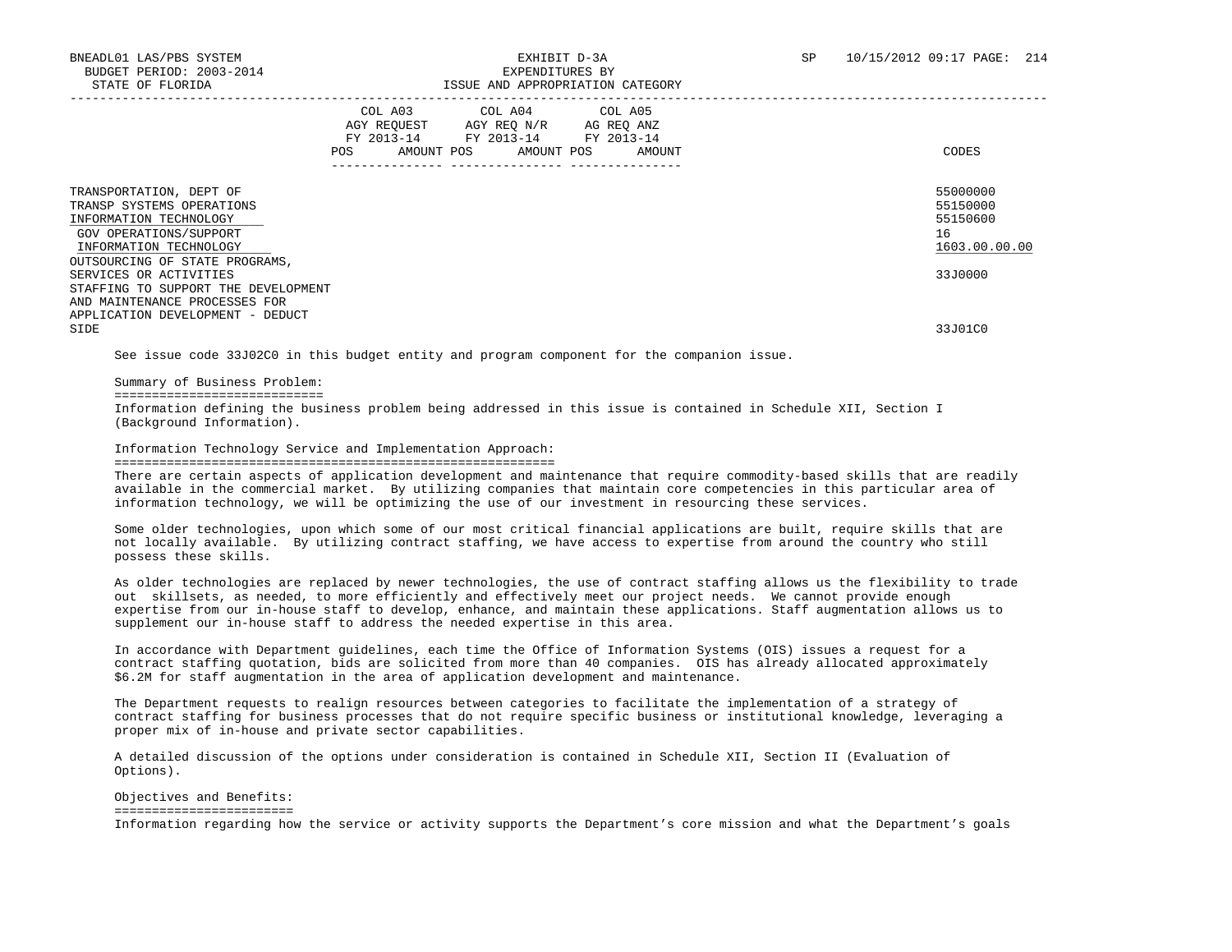|                                                                                                                                                                      | COL A03<br>AGY REQUEST<br>FY 2013-14<br>AMOUNT POS<br><b>POS</b> | COL A04<br>AGY REQ N/R AG REQ ANZ<br>FY 2013-14<br>AMOUNT POS | COL A05<br>FY 2013-14<br>AMOUNT | CODES                                                   |
|----------------------------------------------------------------------------------------------------------------------------------------------------------------------|------------------------------------------------------------------|---------------------------------------------------------------|---------------------------------|---------------------------------------------------------|
| TRANSPORTATION, DEPT OF<br>TRANSP SYSTEMS OPERATIONS<br>INFORMATION TECHNOLOGY<br>GOV OPERATIONS/SUPPORT<br>INFORMATION TECHNOLOGY                                   |                                                                  |                                                               |                                 | 55000000<br>55150000<br>55150600<br>16<br>1603.00.00.00 |
| OUTSOURCING OF STATE PROGRAMS,<br>SERVICES OR ACTIVITIES<br>STAFFING TO SUPPORT THE DEVELOPMENT<br>AND MAINTENANCE PROCESSES FOR<br>APPLICATION DEVELOPMENT - DEDUCT |                                                                  |                                                               |                                 | 33J0000                                                 |
| SIDE                                                                                                                                                                 |                                                                  |                                                               |                                 | 33J01C0                                                 |

See issue code 33J02C0 in this budget entity and program component for the companion issue.

Summary of Business Problem:

============================

 Information defining the business problem being addressed in this issue is contained in Schedule XII, Section I (Background Information).

Information Technology Service and Implementation Approach:

#### ===========================================================

 There are certain aspects of application development and maintenance that require commodity-based skills that are readily available in the commercial market. By utilizing companies that maintain core competencies in this particular area of information technology, we will be optimizing the use of our investment in resourcing these services.

 Some older technologies, upon which some of our most critical financial applications are built, require skills that are not locally available. By utilizing contract staffing, we have access to expertise from around the country who still possess these skills.

 As older technologies are replaced by newer technologies, the use of contract staffing allows us the flexibility to trade out skillsets, as needed, to more efficiently and effectively meet our project needs. We cannot provide enough expertise from our in-house staff to develop, enhance, and maintain these applications. Staff augmentation allows us to supplement our in-house staff to address the needed expertise in this area.

 In accordance with Department guidelines, each time the Office of Information Systems (OIS) issues a request for a contract staffing quotation, bids are solicited from more than 40 companies. OIS has already allocated approximately \$6.2M for staff augmentation in the area of application development and maintenance.

 The Department requests to realign resources between categories to facilitate the implementation of a strategy of contract staffing for business processes that do not require specific business or institutional knowledge, leveraging a proper mix of in-house and private sector capabilities.

 A detailed discussion of the options under consideration is contained in Schedule XII, Section II (Evaluation of Options).

 Objectives and Benefits: ========================= Information regarding how the service or activity supports the Department's core mission and what the Department's goals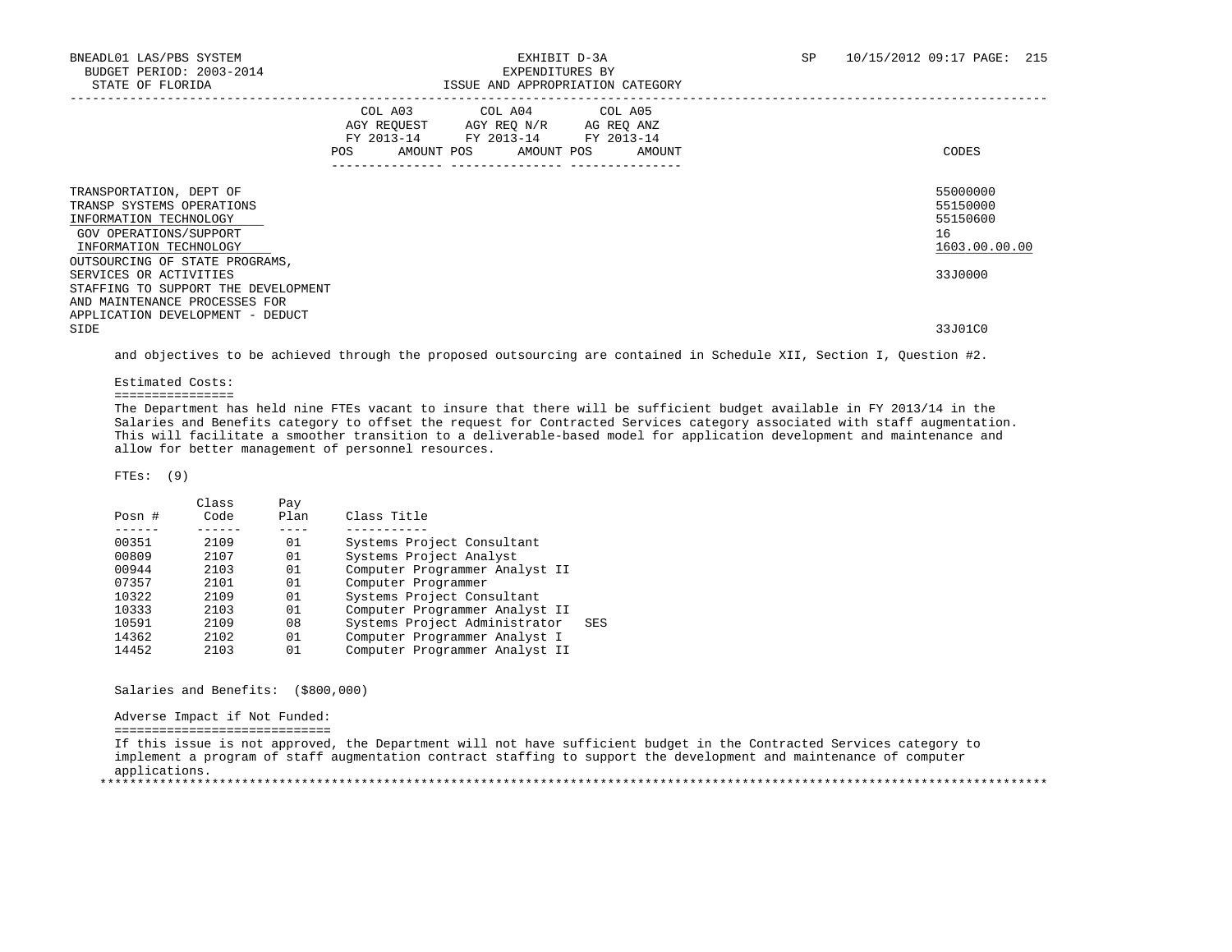|                                                                                                                                                                              | COL A03<br>FY 2013-14<br>POS<br>AMOUNT POS | COL A04 COL A05<br>AGY REOUEST AGY REO N/R<br>FY 2013-14<br>AMOUNT POS | AG REQ ANZ<br>FY 2013-14<br>AMOUNT | CODES                                                   |
|------------------------------------------------------------------------------------------------------------------------------------------------------------------------------|--------------------------------------------|------------------------------------------------------------------------|------------------------------------|---------------------------------------------------------|
| TRANSPORTATION, DEPT OF<br>TRANSP SYSTEMS OPERATIONS<br>INFORMATION TECHNOLOGY<br>GOV OPERATIONS/SUPPORT<br>INFORMATION TECHNOLOGY                                           |                                            |                                                                        |                                    | 55000000<br>55150000<br>55150600<br>16<br>1603.00.00.00 |
| OUTSOURCING OF STATE PROGRAMS,<br>SERVICES OR ACTIVITIES<br>STAFFING TO SUPPORT THE DEVELOPMENT<br>AND MAINTENANCE PROCESSES FOR<br>APPLICATION DEVELOPMENT - DEDUCT<br>SIDE |                                            |                                                                        |                                    | 33J0000<br>33J01C0                                      |
|                                                                                                                                                                              |                                            |                                                                        |                                    |                                                         |

and objectives to be achieved through the proposed outsourcing are contained in Schedule XII, Section I, Question #2.

Estimated Costs:

================

 The Department has held nine FTEs vacant to insure that there will be sufficient budget available in FY 2013/14 in the Salaries and Benefits category to offset the request for Contracted Services category associated with staff augmentation. This will facilitate a smoother transition to a deliverable-based model for application development and maintenance and allow for better management of personnel resources.

FTEs: (9)

|          |      | Pay   |                                      |
|----------|------|-------|--------------------------------------|
| Posn $#$ | Code | Plan  | Class Title                          |
|          |      |       |                                      |
| 00351    | 2109 | 01    | Systems Project Consultant           |
| 00809    | 2107 | 01    | Systems Project Analyst              |
| 00944    | 2103 | 01    | Computer Programmer Analyst II       |
| 07357    | 2101 | 01    | Computer Programmer                  |
| 10322    | 2109 | 01    | Systems Project Consultant           |
| 10333    | 2103 | 01    | Computer Programmer Analyst II       |
| 10591    | 2109 | 08    | Systems Project Administrator<br>SES |
| 14362    | 2102 | 01    | Computer Programmer Analyst I        |
| 14452    | 2103 | 01    | Computer Programmer Analyst II       |
|          |      | Class |                                      |

Salaries and Benefits: (\$800,000)

Adverse Impact if Not Funded:

=============================

 If this issue is not approved, the Department will not have sufficient budget in the Contracted Services category to implement a program of staff augmentation contract staffing to support the development and maintenance of computer applications. \*\*\*\*\*\*\*\*\*\*\*\*\*\*\*\*\*\*\*\*\*\*\*\*\*\*\*\*\*\*\*\*\*\*\*\*\*\*\*\*\*\*\*\*\*\*\*\*\*\*\*\*\*\*\*\*\*\*\*\*\*\*\*\*\*\*\*\*\*\*\*\*\*\*\*\*\*\*\*\*\*\*\*\*\*\*\*\*\*\*\*\*\*\*\*\*\*\*\*\*\*\*\*\*\*\*\*\*\*\*\*\*\*\*\*\*\*\*\*\*\*\*\*\*\*\*\*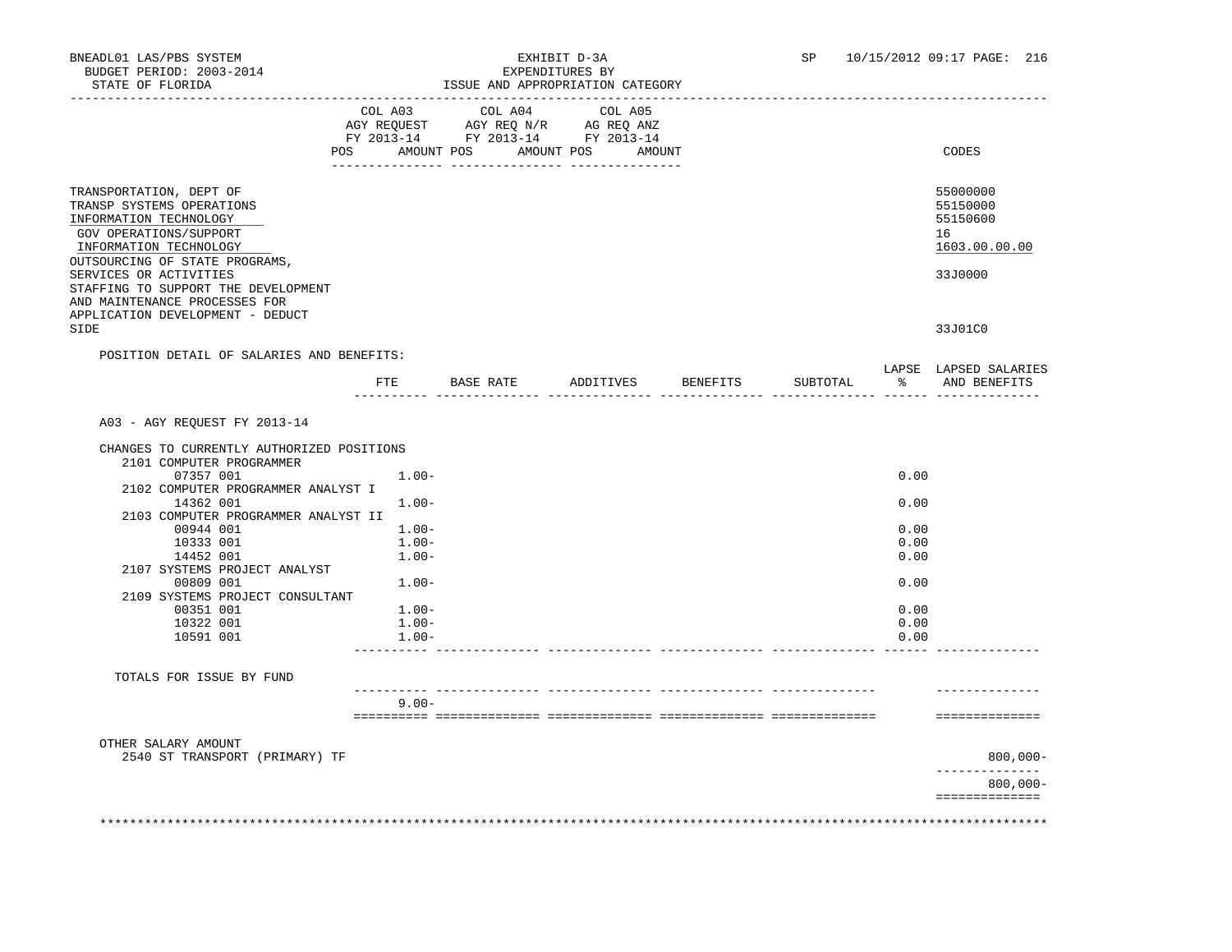|                                                                                                                                                                                                                                                                                                                    |                      | $\begin{tabular}{lcccc} COL A03 & COL A04 & COL A05 \\ AGY REQUEST & AGY REQ N/R & AG REQ ANZ \\ \end{tabular}$<br>FY 2013-14 FY 2013-14 FY 2013-14 |                    |          |               |                                                                               |
|--------------------------------------------------------------------------------------------------------------------------------------------------------------------------------------------------------------------------------------------------------------------------------------------------------------------|----------------------|-----------------------------------------------------------------------------------------------------------------------------------------------------|--------------------|----------|---------------|-------------------------------------------------------------------------------|
| POS                                                                                                                                                                                                                                                                                                                |                      | AMOUNT POS AMOUNT POS AMOUNT                                                                                                                        |                    |          |               | CODES                                                                         |
| TRANSPORTATION, DEPT OF<br>TRANSP SYSTEMS OPERATIONS<br>INFORMATION TECHNOLOGY<br>GOV OPERATIONS/SUPPORT<br>INFORMATION TECHNOLOGY<br>OUTSOURCING OF STATE PROGRAMS,<br>SERVICES OR ACTIVITIES<br>STAFFING TO SUPPORT THE DEVELOPMENT<br>AND MAINTENANCE PROCESSES FOR<br>APPLICATION DEVELOPMENT - DEDUCT<br>SIDE |                      |                                                                                                                                                     |                    |          |               | 55000000<br>55150000<br>55150600<br>16<br>1603.00.00.00<br>33J0000<br>33J01C0 |
| POSITION DETAIL OF SALARIES AND BENEFITS:                                                                                                                                                                                                                                                                          |                      |                                                                                                                                                     | ADDITIVES BENEFITS |          |               | LAPSE LAPSED SALARIES                                                         |
|                                                                                                                                                                                                                                                                                                                    | FTE                  | BASE RATE                                                                                                                                           |                    | SUBTOTAL | $\frac{1}{6}$ | AND BENEFITS                                                                  |
| A03 - AGY REOUEST FY 2013-14                                                                                                                                                                                                                                                                                       |                      |                                                                                                                                                     |                    |          |               |                                                                               |
| CHANGES TO CURRENTLY AUTHORIZED POSITIONS<br>2101 COMPUTER PROGRAMMER<br>07357 001                                                                                                                                                                                                                                 | $1.00 -$             |                                                                                                                                                     |                    |          | 0.00          |                                                                               |
| 2102 COMPUTER PROGRAMMER ANALYST I                                                                                                                                                                                                                                                                                 |                      |                                                                                                                                                     |                    |          |               |                                                                               |
| 14362 001<br>2103 COMPUTER PROGRAMMER ANALYST II                                                                                                                                                                                                                                                                   | $1.00 -$             |                                                                                                                                                     |                    |          | 0.00          |                                                                               |
| 00944 001                                                                                                                                                                                                                                                                                                          | $1.00 -$             |                                                                                                                                                     |                    |          | 0.00          |                                                                               |
| 10333 001<br>14452 001                                                                                                                                                                                                                                                                                             | $1.00 -$<br>$1.00 -$ |                                                                                                                                                     |                    |          | 0.00<br>0.00  |                                                                               |
| 2107 SYSTEMS PROJECT ANALYST<br>00809 001                                                                                                                                                                                                                                                                          | $1.00 -$             |                                                                                                                                                     |                    |          | 0.00          |                                                                               |
| 2109 SYSTEMS PROJECT CONSULTANT<br>00351 001                                                                                                                                                                                                                                                                       | $1.00-$              |                                                                                                                                                     |                    |          | 0.00          |                                                                               |
| 10322 001<br>10591 001                                                                                                                                                                                                                                                                                             | $1.00 -$<br>$1.00 -$ |                                                                                                                                                     |                    |          | 0.00<br>0.00  |                                                                               |
|                                                                                                                                                                                                                                                                                                                    |                      |                                                                                                                                                     |                    |          |               |                                                                               |
| TOTALS FOR ISSUE BY FUND                                                                                                                                                                                                                                                                                           |                      |                                                                                                                                                     |                    |          |               |                                                                               |
|                                                                                                                                                                                                                                                                                                                    | $9.00 -$             |                                                                                                                                                     |                    |          |               | ==============                                                                |
| OTHER SALARY AMOUNT                                                                                                                                                                                                                                                                                                |                      |                                                                                                                                                     |                    |          |               |                                                                               |
| 2540 ST TRANSPORT (PRIMARY) TF                                                                                                                                                                                                                                                                                     |                      |                                                                                                                                                     |                    |          |               | $800,000 -$<br>-------------                                                  |
|                                                                                                                                                                                                                                                                                                                    |                      |                                                                                                                                                     |                    |          |               | $800,000 -$<br>==============                                                 |
|                                                                                                                                                                                                                                                                                                                    |                      |                                                                                                                                                     |                    |          |               |                                                                               |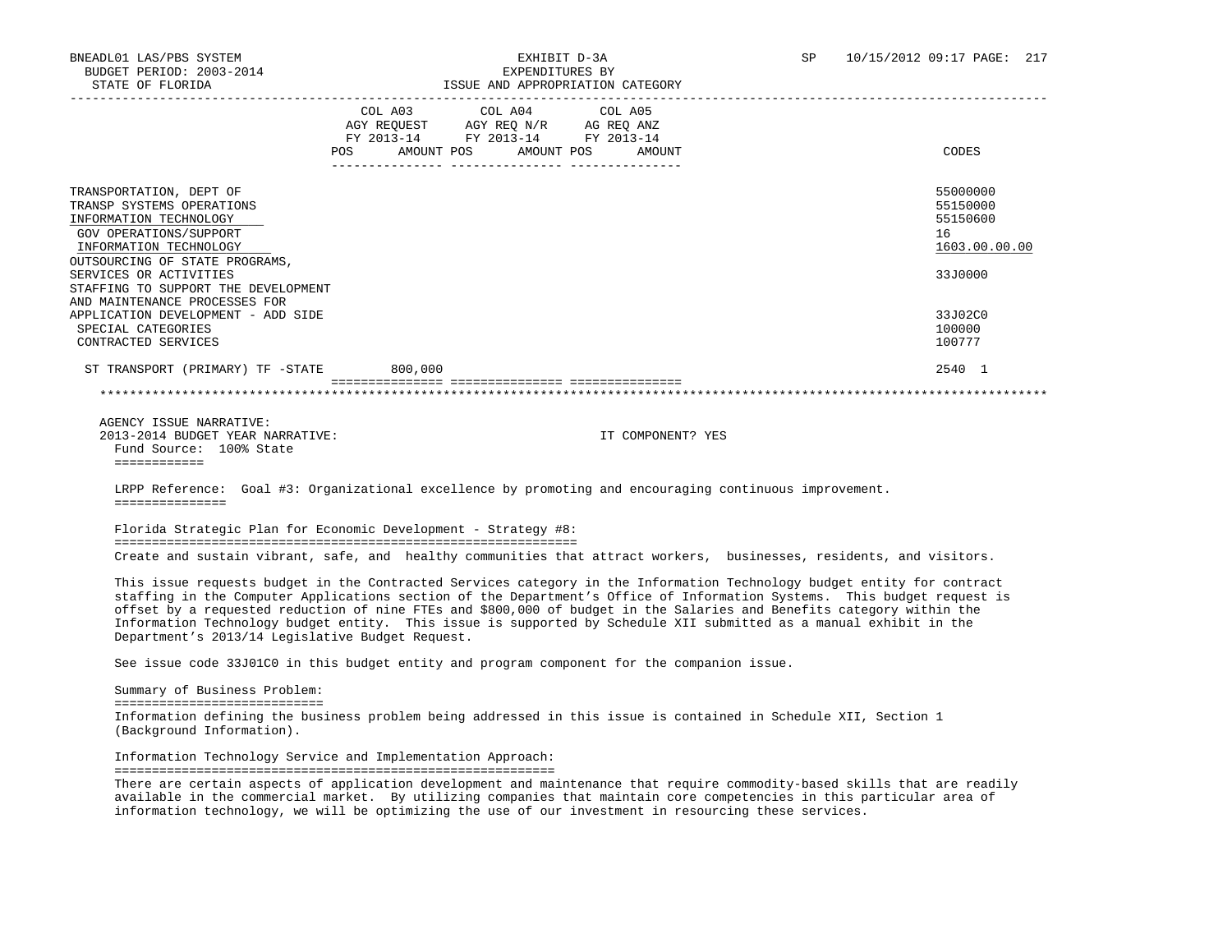| STATE OF FLORIDA                                                                                                                                                     |                                                                        | ISSUE AND APPROPRIATION CATEGORY |                                                                                                                                                                                                                                                                                                                                                                                                                                                                                                   |
|----------------------------------------------------------------------------------------------------------------------------------------------------------------------|------------------------------------------------------------------------|----------------------------------|---------------------------------------------------------------------------------------------------------------------------------------------------------------------------------------------------------------------------------------------------------------------------------------------------------------------------------------------------------------------------------------------------------------------------------------------------------------------------------------------------|
|                                                                                                                                                                      | COL A03 COL A04 COL A05                                                |                                  |                                                                                                                                                                                                                                                                                                                                                                                                                                                                                                   |
|                                                                                                                                                                      | AGY REQUEST AGY REQ N/R AG REQ ANZ<br>FY 2013-14 FY 2013-14 FY 2013-14 |                                  |                                                                                                                                                                                                                                                                                                                                                                                                                                                                                                   |
|                                                                                                                                                                      |                                                                        | POS AMOUNT POS AMOUNT POS AMOUNT | CODES                                                                                                                                                                                                                                                                                                                                                                                                                                                                                             |
| TRANSPORTATION, DEPT OF<br>TRANSP SYSTEMS OPERATIONS<br>INFORMATION TECHNOLOGY<br>GOV OPERATIONS/SUPPORT<br>INFORMATION TECHNOLOGY<br>OUTSOURCING OF STATE PROGRAMS, |                                                                        |                                  | 55000000<br>55150000<br>55150600<br>16<br>1603.00.00.00                                                                                                                                                                                                                                                                                                                                                                                                                                           |
| SERVICES OR ACTIVITIES<br>STAFFING TO SUPPORT THE DEVELOPMENT                                                                                                        |                                                                        |                                  | 33J0000                                                                                                                                                                                                                                                                                                                                                                                                                                                                                           |
| AND MAINTENANCE PROCESSES FOR<br>APPLICATION DEVELOPMENT - ADD SIDE<br>SPECIAL CATEGORIES<br>CONTRACTED SERVICES                                                     |                                                                        |                                  | 33J02C0<br>100000<br>100777                                                                                                                                                                                                                                                                                                                                                                                                                                                                       |
| ST TRANSPORT (PRIMARY) TF -STATE 800,000                                                                                                                             |                                                                        |                                  | 2540 1                                                                                                                                                                                                                                                                                                                                                                                                                                                                                            |
| AGENCY ISSUE NARRATIVE:<br>2013-2014 BUDGET YEAR NARRATIVE:<br>Fund Source: 100% State<br>============                                                               |                                                                        | IT COMPONENT? YES                |                                                                                                                                                                                                                                                                                                                                                                                                                                                                                                   |
| LRPP Reference: Goal #3: Organizational excellence by promoting and encouraging continuous improvement.<br>===============                                           |                                                                        |                                  |                                                                                                                                                                                                                                                                                                                                                                                                                                                                                                   |
| Florida Strategic Plan for Economic Development - Strategy #8:                                                                                                       |                                                                        |                                  |                                                                                                                                                                                                                                                                                                                                                                                                                                                                                                   |
|                                                                                                                                                                      |                                                                        |                                  | Create and sustain vibrant, safe, and healthy communities that attract workers, businesses, residents, and visitors.                                                                                                                                                                                                                                                                                                                                                                              |
| Department's 2013/14 Legislative Budget Request.                                                                                                                     |                                                                        |                                  | This issue requests budget in the Contracted Services category in the Information Technology budget entity for contract<br>staffing in the Computer Applications section of the Department's Office of Information Systems. This budget request is<br>offset by a requested reduction of nine FTEs and \$800,000 of budget in the Salaries and Benefits category within the<br>Information Technology budget entity. This issue is supported by Schedule XII submitted as a manual exhibit in the |
| See issue code 33J01C0 in this budget entity and program component for the companion issue.                                                                          |                                                                        |                                  |                                                                                                                                                                                                                                                                                                                                                                                                                                                                                                   |
| Summary of Business Problem:<br>==============================                                                                                                       |                                                                        |                                  |                                                                                                                                                                                                                                                                                                                                                                                                                                                                                                   |
| Information defining the business problem being addressed in this issue is contained in Schedule XII, Section 1<br>(Background Information).                         |                                                                        |                                  |                                                                                                                                                                                                                                                                                                                                                                                                                                                                                                   |
| Information Technology Service and Implementation Approach:                                                                                                          |                                                                        |                                  |                                                                                                                                                                                                                                                                                                                                                                                                                                                                                                   |

===========================================================

 There are certain aspects of application development and maintenance that require commodity-based skills that are readily available in the commercial market. By utilizing companies that maintain core competencies in this particular area of information technology, we will be optimizing the use of our investment in resourcing these services.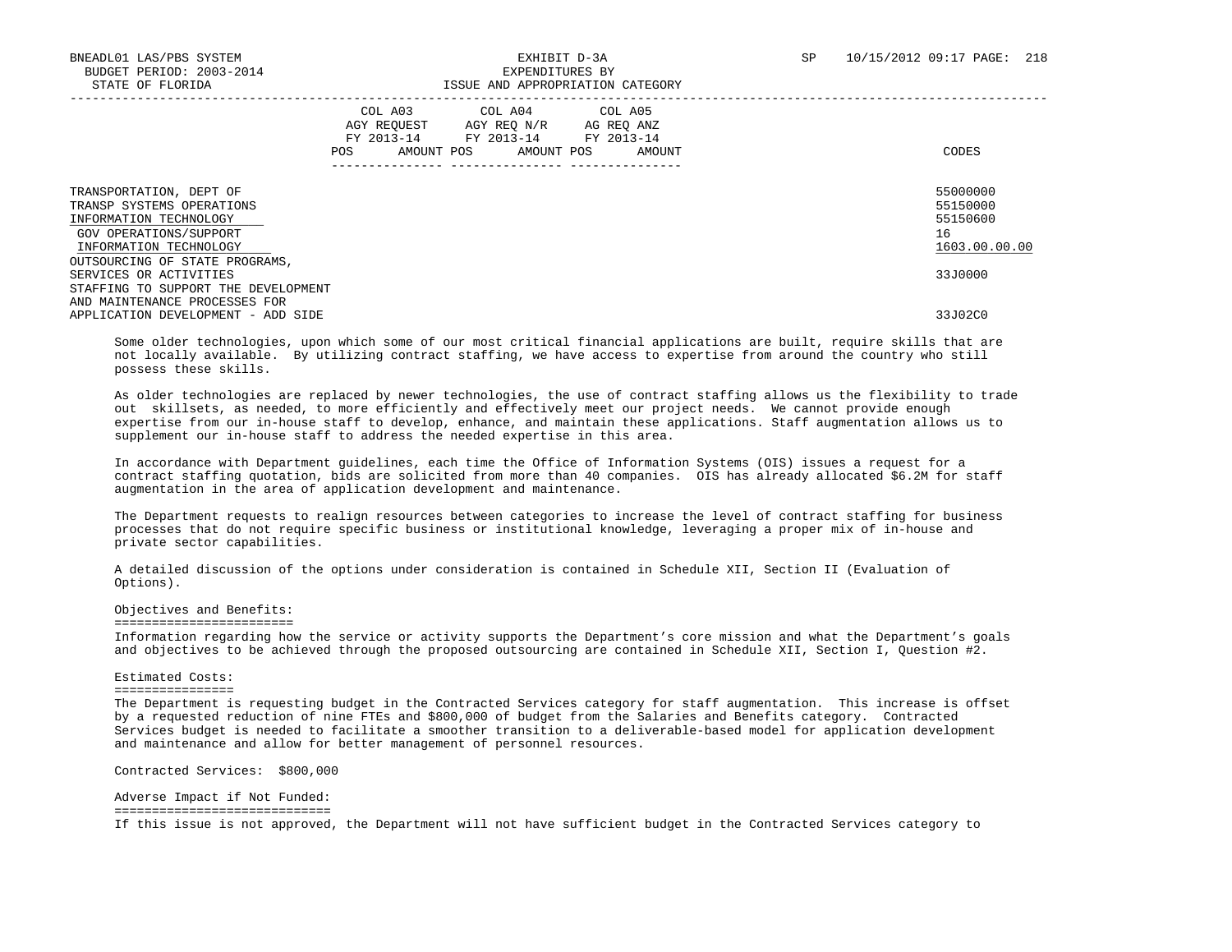|                                                                                                                                    | COL A03<br>AGY REOUEST<br>FY 2013-14<br>POS.<br>AMOUNT POS | COL A04 COL A05<br>AGY REO N/R<br>FY 2013-14<br>AMOUNT POS | AG REQ ANZ<br>FY 2013-14<br>AMOUNT | CODES                                                   |
|------------------------------------------------------------------------------------------------------------------------------------|------------------------------------------------------------|------------------------------------------------------------|------------------------------------|---------------------------------------------------------|
| TRANSPORTATION, DEPT OF<br>TRANSP SYSTEMS OPERATIONS<br>INFORMATION TECHNOLOGY<br>GOV OPERATIONS/SUPPORT<br>INFORMATION TECHNOLOGY |                                                            |                                                            |                                    | 55000000<br>55150000<br>55150600<br>16<br>1603.00.00.00 |
| OUTSOURCING OF STATE PROGRAMS,<br>SERVICES OR ACTIVITIES<br>STAFFING TO SUPPORT THE DEVELOPMENT                                    |                                                            |                                                            |                                    | 33J0000                                                 |
| AND MAINTENANCE PROCESSES FOR<br>APPLICATION DEVELOPMENT - ADD SIDE                                                                |                                                            |                                                            |                                    | 33J02C0                                                 |

 Some older technologies, upon which some of our most critical financial applications are built, require skills that are not locally available. By utilizing contract staffing, we have access to expertise from around the country who still possess these skills.

 As older technologies are replaced by newer technologies, the use of contract staffing allows us the flexibility to trade out skillsets, as needed, to more efficiently and effectively meet our project needs. We cannot provide enough expertise from our in-house staff to develop, enhance, and maintain these applications. Staff augmentation allows us to supplement our in-house staff to address the needed expertise in this area.

 In accordance with Department guidelines, each time the Office of Information Systems (OIS) issues a request for a contract staffing quotation, bids are solicited from more than 40 companies. OIS has already allocated \$6.2M for staff augmentation in the area of application development and maintenance.

 The Department requests to realign resources between categories to increase the level of contract staffing for business processes that do not require specific business or institutional knowledge, leveraging a proper mix of in-house and private sector capabilities.

 A detailed discussion of the options under consideration is contained in Schedule XII, Section II (Evaluation of Options).

### Objectives and Benefits:

========================

 Information regarding how the service or activity supports the Department's core mission and what the Department's goals and objectives to be achieved through the proposed outsourcing are contained in Schedule XII, Section I, Question #2.

### Estimated Costs:

#### ================

 The Department is requesting budget in the Contracted Services category for staff augmentation. This increase is offset by a requested reduction of nine FTEs and \$800,000 of budget from the Salaries and Benefits category. Contracted Services budget is needed to facilitate a smoother transition to a deliverable-based model for application development and maintenance and allow for better management of personnel resources.

Contracted Services: \$800,000

 Adverse Impact if Not Funded: ============================= If this issue is not approved, the Department will not have sufficient budget in the Contracted Services category to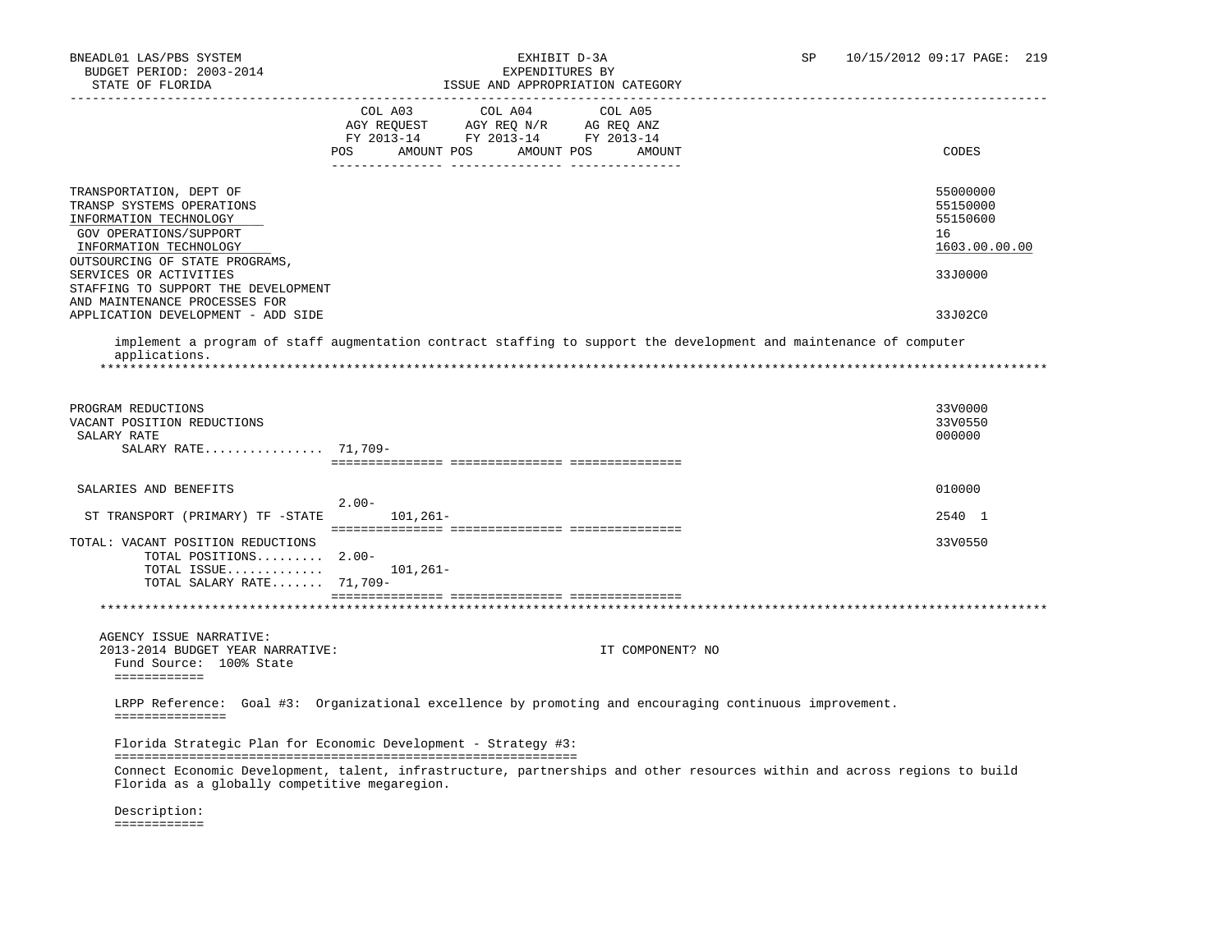| STATE OF FLORIDA                                                                                                                   | ISSUE AND APPROPRIATION CATEGORY                                                                                                                            |                                                         |
|------------------------------------------------------------------------------------------------------------------------------------|-------------------------------------------------------------------------------------------------------------------------------------------------------------|---------------------------------------------------------|
|                                                                                                                                    | COL A04<br>COL A03<br>COL A05<br>AGY REQUEST AGY REQ N/R AG REQ ANZ<br>FY 2013-14 FY 2013-14 FY 2013-14<br>AMOUNT POS<br><b>POS</b><br>AMOUNT POS<br>AMOUNT | CODES                                                   |
| TRANSPORTATION, DEPT OF<br>TRANSP SYSTEMS OPERATIONS<br>INFORMATION TECHNOLOGY<br>GOV OPERATIONS/SUPPORT<br>INFORMATION TECHNOLOGY |                                                                                                                                                             | 55000000<br>55150000<br>55150600<br>16<br>1603.00.00.00 |
| OUTSOURCING OF STATE PROGRAMS,<br>SERVICES OR ACTIVITIES<br>STAFFING TO SUPPORT THE DEVELOPMENT<br>AND MAINTENANCE PROCESSES FOR   |                                                                                                                                                             | 33J0000                                                 |
| APPLICATION DEVELOPMENT - ADD SIDE                                                                                                 |                                                                                                                                                             | 33J02C0                                                 |
| applications.                                                                                                                      | implement a program of staff augmentation contract staffing to support the development and maintenance of computer                                          |                                                         |
|                                                                                                                                    |                                                                                                                                                             |                                                         |
| PROGRAM REDUCTIONS<br>VACANT POSITION REDUCTIONS<br>SALARY RATE                                                                    |                                                                                                                                                             | 33V0000<br>33V0550<br>000000                            |
| SALARY RATE 71,709-                                                                                                                |                                                                                                                                                             |                                                         |
|                                                                                                                                    |                                                                                                                                                             | 010000                                                  |
| SALARIES AND BENEFITS                                                                                                              | $2.00-$                                                                                                                                                     |                                                         |
| ST TRANSPORT (PRIMARY) TF -STATE                                                                                                   | 101,261-                                                                                                                                                    | 2540 1                                                  |
| TOTAL: VACANT POSITION REDUCTIONS<br>TOTAL POSITIONS 2.00-                                                                         |                                                                                                                                                             | 33V0550                                                 |
| TOTAL ISSUE<br>TOTAL SALARY RATE 71,709-                                                                                           | 101,261-                                                                                                                                                    |                                                         |
|                                                                                                                                    |                                                                                                                                                             |                                                         |
| AGENCY ISSUE NARRATIVE:                                                                                                            |                                                                                                                                                             |                                                         |
| 2013-2014 BUDGET YEAR NARRATIVE:<br>Fund Source: 100% State<br>============                                                        | IT COMPONENT? NO                                                                                                                                            |                                                         |
| ===============                                                                                                                    | LRPP Reference: Goal #3: Organizational excellence by promoting and encouraging continuous improvement.                                                     |                                                         |
|                                                                                                                                    | Florida Strategic Plan for Economic Development - Strategy #3:                                                                                              |                                                         |
| Florida as a globally competitive megaregion.                                                                                      | Connect Economic Development, talent, infrastructure, partnerships and other resources within and across regions to build                                   |                                                         |

 Description: ============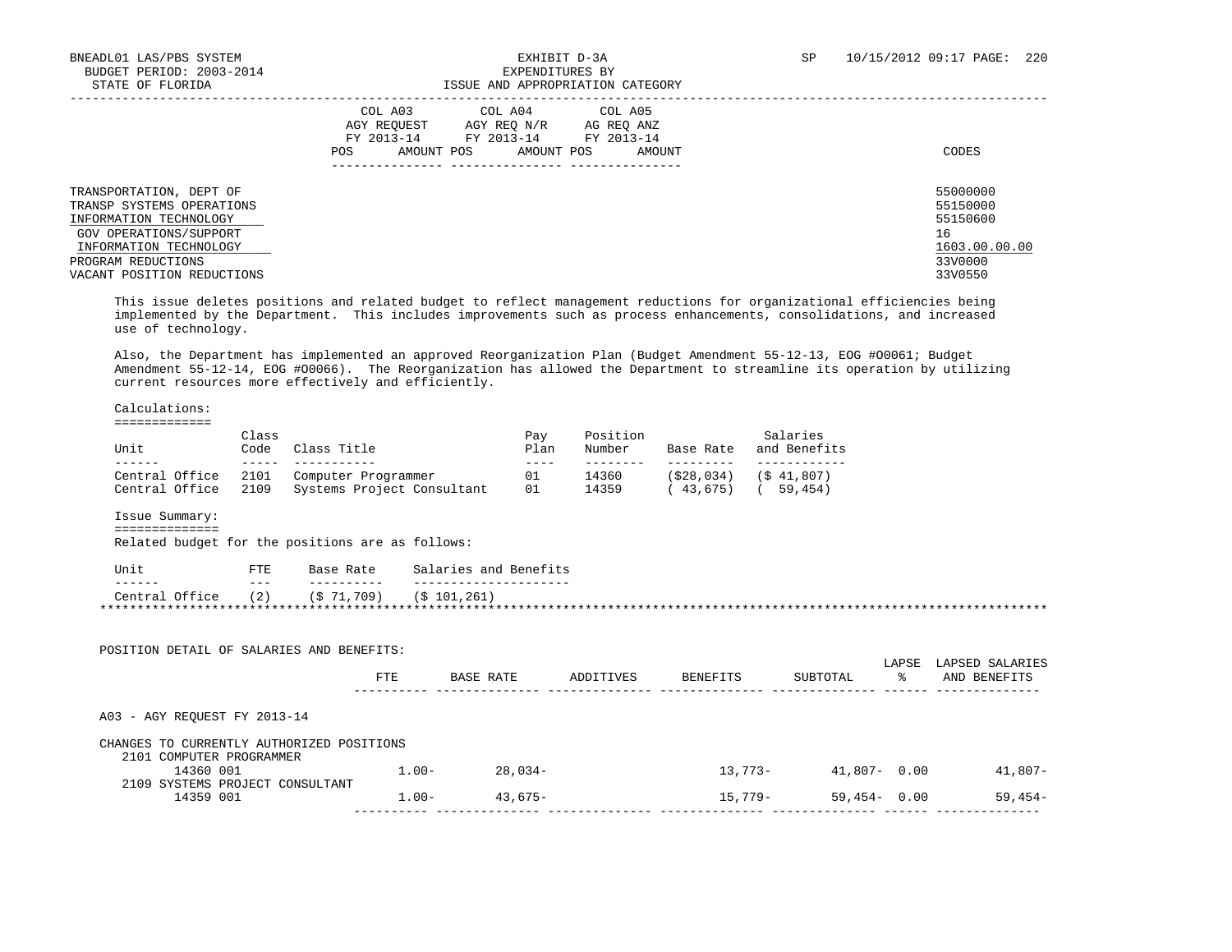| STATE OF FLORIDA                                                                                                                                                                       | ISSUE AND APPROPRIATION CATEGORY                                                                                                                        |                                                                               |
|----------------------------------------------------------------------------------------------------------------------------------------------------------------------------------------|---------------------------------------------------------------------------------------------------------------------------------------------------------|-------------------------------------------------------------------------------|
|                                                                                                                                                                                        | COL A03 COL A04 COL A05<br>AGY REOUEST<br>AGY REO N/R<br>AG REO ANZ<br>FY 2013-14<br>FY 2013-14 FY 2013-14<br>POS<br>AMOUNT POS<br>AMOUNT POS<br>AMOUNT | CODES                                                                         |
| TRANSPORTATION, DEPT OF<br>TRANSP SYSTEMS OPERATIONS<br>INFORMATION TECHNOLOGY<br>GOV OPERATIONS/SUPPORT<br>INFORMATION TECHNOLOGY<br>PROGRAM REDUCTIONS<br>VACANT POSITION REDUCTIONS |                                                                                                                                                         | 55000000<br>55150000<br>55150600<br>16<br>1603.00.00.00<br>33V0000<br>33V0550 |

 This issue deletes positions and related budget to reflect management reductions for organizational efficiencies being implemented by the Department. This includes improvements such as process enhancements, consolidations, and increased use of technology.

 Also, the Department has implemented an approved Reorganization Plan (Budget Amendment 55-12-13, EOG #O0061; Budget Amendment 55-12-14, EOG #O0066). The Reorganization has allowed the Department to streamline its operation by utilizing current resources more effectively and efficiently.

Calculations:

=============

| Class<br>Unit<br>Code |      | Class Title                | Pav<br>Plan | Position<br>Number | Base Rate  | Salaries<br>and Benefits |  |
|-----------------------|------|----------------------------|-------------|--------------------|------------|--------------------------|--|
|                       |      |                            |             |                    |            |                          |  |
| Central Office        | 2101 | Computer Programmer        | 01          | 14360              | (S28, 034) | (S 41, 807)              |  |
| Central Office        | 2109 | Systems Project Consultant | 01          | 14359              | 43,675     | 59.454)                  |  |

Issue Summary:

==============

Related budget for the positions are as follows:

| Unit           | 亚甲基<br><u>، ۳</u> | Base Rate    | Salaries and Benefits |
|----------------|-------------------|--------------|-----------------------|
| -------        | ---               | -------      |                       |
| Central Office | (2)               | $(S$ 71,709) | (S 101.261)           |
|                |                   |              |                       |

| POSITION DETAIL OF SALARIES AND BENEFITS: |            |           |           |                 |                 |             |                                 |
|-------------------------------------------|------------|-----------|-----------|-----------------|-----------------|-------------|---------------------------------|
|                                           | <b>FTE</b> | BASE RATE | ADDITIVES | <b>BENEFITS</b> | SUBTOTAL        | LAPSE<br>°≈ | LAPSED SALARIES<br>AND BENEFITS |
| A03 - AGY REOUEST FY 2013-14              |            |           |           |                 |                 |             |                                 |
| CHANGES TO CURRENTLY AUTHORIZED POSITIONS |            |           |           |                 |                 |             |                                 |
| 2101 COMPUTER PROGRAMMER                  |            |           |           |                 |                 |             |                                 |
| 14360 001                                 | $1.00 -$   | 28,034-   |           | 13,773-         | $41,807 - 0.00$ |             | 41,807-                         |
| 2109 SYSTEMS PROJECT CONSULTANT           |            |           |           |                 |                 |             |                                 |
| 14359 001                                 | $1.00 -$   | $43.675-$ |           | $15.779-$       | $59,454 - 0.00$ |             | 59,454-                         |
|                                           |            |           |           |                 |                 |             |                                 |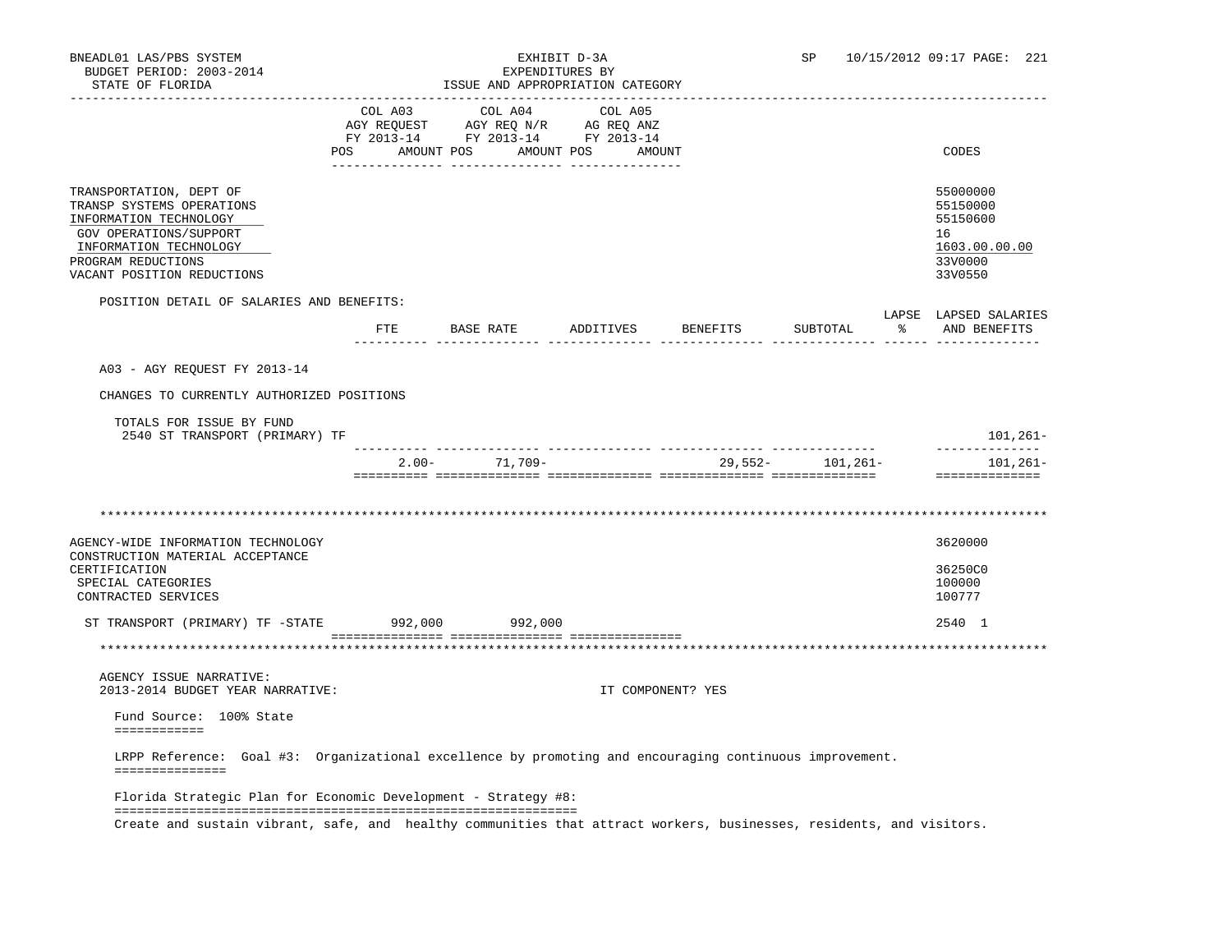# BNEADL01 LAS/PBS SYSTEM EXHIBIT D-3A SP 10/15/2012 09:17 PAGE: 221

| _______________________________<br>COL A03<br>COL A04<br>COL A05<br>AGY REQUEST AGY REQ N/R AG REQ ANZ<br>FY 2013-14 FY 2013-14 FY 2013-14<br>POS AMOUNT POS AMOUNT POS AMOUNT<br>CODES<br>55000000<br>55150000<br>55150600<br>GOV OPERATIONS/SUPPORT<br>16<br>INFORMATION TECHNOLOGY<br>33V0000<br>33V0550<br>POSITION DETAIL OF SALARIES AND BENEFITS:<br>LAPSE LAPSED SALARIES<br>FTE BASE RATE<br>ADDITIVES BENEFITS<br>SUBTOTAL<br>A03 - AGY REQUEST FY 2013-14<br>CHANGES TO CURRENTLY AUTHORIZED POSITIONS<br>TOTALS FOR ISSUE BY FUND<br>2540 ST TRANSPORT (PRIMARY) TF<br>--------------<br>$2.00 - 71,709 -$<br>29,552- 101,261-<br>==============<br>3620000<br>36250C0<br>100000<br>SPECIAL CATEGORIES<br>100777<br>CONTRACTED SERVICES<br>ST TRANSPORT (PRIMARY) TF -STATE 992,000 992,000<br>2540 1<br>AGENCY ISSUE NARRATIVE:<br>2013-2014 BUDGET YEAR NARRATIVE:<br>IT COMPONENT? YES<br>Fund Source: 100% State<br>============<br>LRPP Reference: Goal #3: Organizational excellence by promoting and encouraging continuous improvement.<br>===============<br>Florida Strategic Plan for Economic Development - Strategy #8: | STATE OF FLORIDA | ISSUE AND APPROPRIATION CATEGORY |  |               |
|--------------------------------------------------------------------------------------------------------------------------------------------------------------------------------------------------------------------------------------------------------------------------------------------------------------------------------------------------------------------------------------------------------------------------------------------------------------------------------------------------------------------------------------------------------------------------------------------------------------------------------------------------------------------------------------------------------------------------------------------------------------------------------------------------------------------------------------------------------------------------------------------------------------------------------------------------------------------------------------------------------------------------------------------------------------------------------------------------------------------------------------------------|------------------|----------------------------------|--|---------------|
| TRANSPORTATION, DEPT OF<br>TRANSP SYSTEMS OPERATIONS<br>INFORMATION TECHNOLOGY<br>PROGRAM REDUCTIONS<br>VACANT POSITION REDUCTIONS<br>AGENCY-WIDE INFORMATION TECHNOLOGY<br>CONSTRUCTION MATERIAL ACCEPTANCE<br>CERTIFICATION                                                                                                                                                                                                                                                                                                                                                                                                                                                                                                                                                                                                                                                                                                                                                                                                                                                                                                                    |                  |                                  |  |               |
|                                                                                                                                                                                                                                                                                                                                                                                                                                                                                                                                                                                                                                                                                                                                                                                                                                                                                                                                                                                                                                                                                                                                                  |                  |                                  |  |               |
|                                                                                                                                                                                                                                                                                                                                                                                                                                                                                                                                                                                                                                                                                                                                                                                                                                                                                                                                                                                                                                                                                                                                                  |                  |                                  |  | 1603.00.00.00 |
|                                                                                                                                                                                                                                                                                                                                                                                                                                                                                                                                                                                                                                                                                                                                                                                                                                                                                                                                                                                                                                                                                                                                                  |                  |                                  |  | AND BENEFITS  |
|                                                                                                                                                                                                                                                                                                                                                                                                                                                                                                                                                                                                                                                                                                                                                                                                                                                                                                                                                                                                                                                                                                                                                  |                  |                                  |  |               |
|                                                                                                                                                                                                                                                                                                                                                                                                                                                                                                                                                                                                                                                                                                                                                                                                                                                                                                                                                                                                                                                                                                                                                  |                  |                                  |  |               |
|                                                                                                                                                                                                                                                                                                                                                                                                                                                                                                                                                                                                                                                                                                                                                                                                                                                                                                                                                                                                                                                                                                                                                  |                  |                                  |  | $101, 261 -$  |
|                                                                                                                                                                                                                                                                                                                                                                                                                                                                                                                                                                                                                                                                                                                                                                                                                                                                                                                                                                                                                                                                                                                                                  |                  |                                  |  | 101,261–      |
|                                                                                                                                                                                                                                                                                                                                                                                                                                                                                                                                                                                                                                                                                                                                                                                                                                                                                                                                                                                                                                                                                                                                                  |                  |                                  |  |               |
|                                                                                                                                                                                                                                                                                                                                                                                                                                                                                                                                                                                                                                                                                                                                                                                                                                                                                                                                                                                                                                                                                                                                                  |                  |                                  |  |               |
|                                                                                                                                                                                                                                                                                                                                                                                                                                                                                                                                                                                                                                                                                                                                                                                                                                                                                                                                                                                                                                                                                                                                                  |                  |                                  |  |               |
|                                                                                                                                                                                                                                                                                                                                                                                                                                                                                                                                                                                                                                                                                                                                                                                                                                                                                                                                                                                                                                                                                                                                                  |                  |                                  |  |               |
|                                                                                                                                                                                                                                                                                                                                                                                                                                                                                                                                                                                                                                                                                                                                                                                                                                                                                                                                                                                                                                                                                                                                                  |                  |                                  |  |               |
|                                                                                                                                                                                                                                                                                                                                                                                                                                                                                                                                                                                                                                                                                                                                                                                                                                                                                                                                                                                                                                                                                                                                                  |                  |                                  |  |               |
|                                                                                                                                                                                                                                                                                                                                                                                                                                                                                                                                                                                                                                                                                                                                                                                                                                                                                                                                                                                                                                                                                                                                                  |                  |                                  |  |               |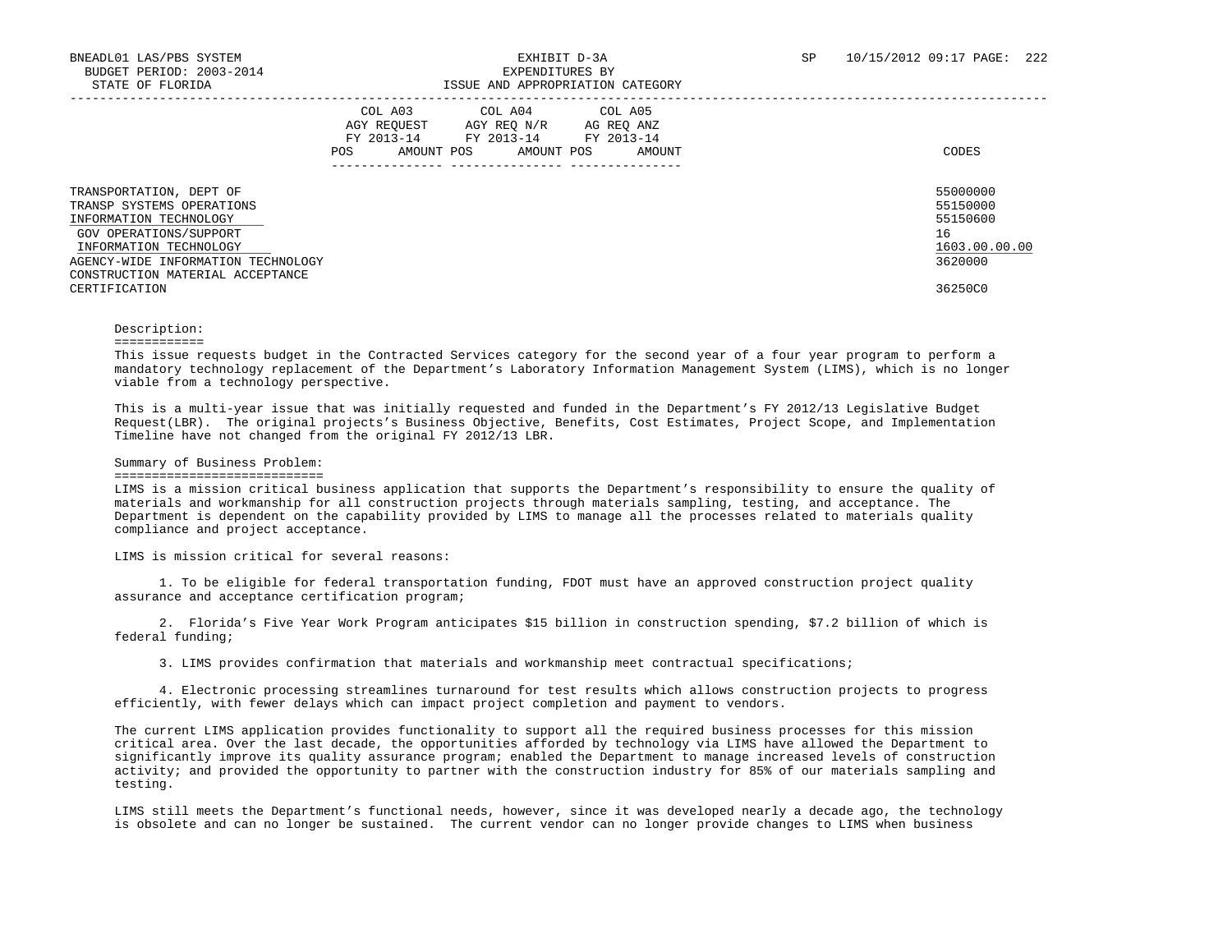| TRANSPORTATION, DEPT OF<br>TRANSP SYSTEMS OPERATIONS<br>INFORMATION TECHNOLOGY | COL A03<br>AGY REOUEST<br>FY 2013-14<br>AMOUNT POS<br>POS | COL A04<br>AGY REO N/R<br>FY 2013-14<br>AMOUNT POS | COL A05<br>AG REQ ANZ<br>FY 2013-14<br>AMOUNT | CODES<br>55000000<br>55150000<br>55150600 |
|--------------------------------------------------------------------------------|-----------------------------------------------------------|----------------------------------------------------|-----------------------------------------------|-------------------------------------------|
| GOV OPERATIONS/SUPPORT<br>INFORMATION TECHNOLOGY                               |                                                           |                                                    |                                               | 16<br>1603.00.00.00                       |
| AGENCY-WIDE INFORMATION TECHNOLOGY<br>CONSTRUCTION MATERIAL ACCEPTANCE         |                                                           |                                                    |                                               | 3620000                                   |
| CERTIFICATION                                                                  |                                                           |                                                    |                                               | 36250C0                                   |

#### Description:

#### ============

 This issue requests budget in the Contracted Services category for the second year of a four year program to perform a mandatory technology replacement of the Department's Laboratory Information Management System (LIMS), which is no longer viable from a technology perspective.

 This is a multi-year issue that was initially requested and funded in the Department's FY 2012/13 Legislative Budget Request(LBR). The original projects's Business Objective, Benefits, Cost Estimates, Project Scope, and Implementation Timeline have not changed from the original FY 2012/13 LBR.

#### Summary of Business Problem:

### ============================

 LIMS is a mission critical business application that supports the Department's responsibility to ensure the quality of materials and workmanship for all construction projects through materials sampling, testing, and acceptance. The Department is dependent on the capability provided by LIMS to manage all the processes related to materials quality compliance and project acceptance.

LIMS is mission critical for several reasons:

 1. To be eligible for federal transportation funding, FDOT must have an approved construction project quality assurance and acceptance certification program;

 2. Florida's Five Year Work Program anticipates \$15 billion in construction spending, \$7.2 billion of which is federal funding;

3. LIMS provides confirmation that materials and workmanship meet contractual specifications;

 4. Electronic processing streamlines turnaround for test results which allows construction projects to progress efficiently, with fewer delays which can impact project completion and payment to vendors.

 The current LIMS application provides functionality to support all the required business processes for this mission critical area. Over the last decade, the opportunities afforded by technology via LIMS have allowed the Department to significantly improve its quality assurance program; enabled the Department to manage increased levels of construction activity; and provided the opportunity to partner with the construction industry for 85% of our materials sampling and testing.

 LIMS still meets the Department's functional needs, however, since it was developed nearly a decade ago, the technology is obsolete and can no longer be sustained. The current vendor can no longer provide changes to LIMS when business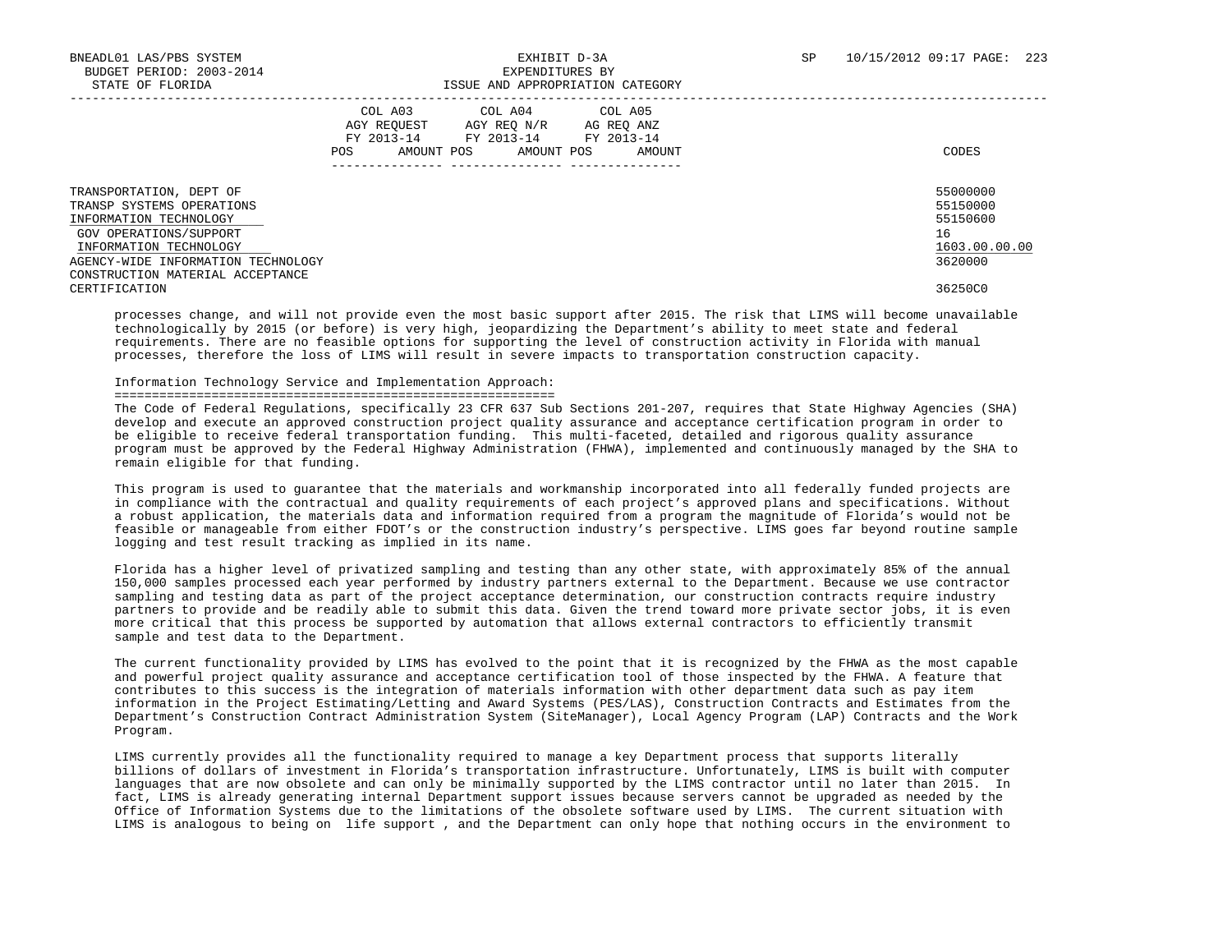|                                                                                                                                                                                                                               | COL A03<br>AGY REOUEST<br>FY 2013-14<br>POS.<br>AMOUNT POS | COL A04<br>AGY REO N/R<br>FY 2013-14<br>AMOUNT POS | COL A05<br>AG REO ANZ<br>FY 2013-14<br>AMOUNT<br>--------------- | CODES                                                                         |
|-------------------------------------------------------------------------------------------------------------------------------------------------------------------------------------------------------------------------------|------------------------------------------------------------|----------------------------------------------------|------------------------------------------------------------------|-------------------------------------------------------------------------------|
| TRANSPORTATION, DEPT OF<br>TRANSP SYSTEMS OPERATIONS<br>INFORMATION TECHNOLOGY<br>GOV OPERATIONS/SUPPORT<br>INFORMATION TECHNOLOGY<br>AGENCY-WIDE INFORMATION TECHNOLOGY<br>CONSTRUCTION MATERIAL ACCEPTANCE<br>CERTIFICATION |                                                            |                                                    |                                                                  | 55000000<br>55150000<br>55150600<br>16<br>1603.00.00.00<br>3620000<br>36250C0 |

 processes change, and will not provide even the most basic support after 2015. The risk that LIMS will become unavailable technologically by 2015 (or before) is very high, jeopardizing the Department's ability to meet state and federal requirements. There are no feasible options for supporting the level of construction activity in Florida with manual processes, therefore the loss of LIMS will result in severe impacts to transportation construction capacity.

### Information Technology Service and Implementation Approach:

### ===========================================================

 The Code of Federal Regulations, specifically 23 CFR 637 Sub Sections 201-207, requires that State Highway Agencies (SHA) develop and execute an approved construction project quality assurance and acceptance certification program in order to be eligible to receive federal transportation funding. This multi-faceted, detailed and rigorous quality assurance program must be approved by the Federal Highway Administration (FHWA), implemented and continuously managed by the SHA to remain eligible for that funding.

 This program is used to guarantee that the materials and workmanship incorporated into all federally funded projects are in compliance with the contractual and quality requirements of each project's approved plans and specifications. Without a robust application, the materials data and information required from a program the magnitude of Florida's would not be feasible or manageable from either FDOT's or the construction industry's perspective. LIMS goes far beyond routine sample logging and test result tracking as implied in its name.

 Florida has a higher level of privatized sampling and testing than any other state, with approximately 85% of the annual 150,000 samples processed each year performed by industry partners external to the Department. Because we use contractor sampling and testing data as part of the project acceptance determination, our construction contracts require industry partners to provide and be readily able to submit this data. Given the trend toward more private sector jobs, it is even more critical that this process be supported by automation that allows external contractors to efficiently transmit sample and test data to the Department.

 The current functionality provided by LIMS has evolved to the point that it is recognized by the FHWA as the most capable and powerful project quality assurance and acceptance certification tool of those inspected by the FHWA. A feature that contributes to this success is the integration of materials information with other department data such as pay item information in the Project Estimating/Letting and Award Systems (PES/LAS), Construction Contracts and Estimates from the Department's Construction Contract Administration System (SiteManager), Local Agency Program (LAP) Contracts and the Work Program.

 LIMS currently provides all the functionality required to manage a key Department process that supports literally billions of dollars of investment in Florida's transportation infrastructure. Unfortunately, LIMS is built with computer languages that are now obsolete and can only be minimally supported by the LIMS contractor until no later than 2015. In fact, LIMS is already generating internal Department support issues because servers cannot be upgraded as needed by the Office of Information Systems due to the limitations of the obsolete software used by LIMS. The current situation with LIMS is analogous to being on life support , and the Department can only hope that nothing occurs in the environment to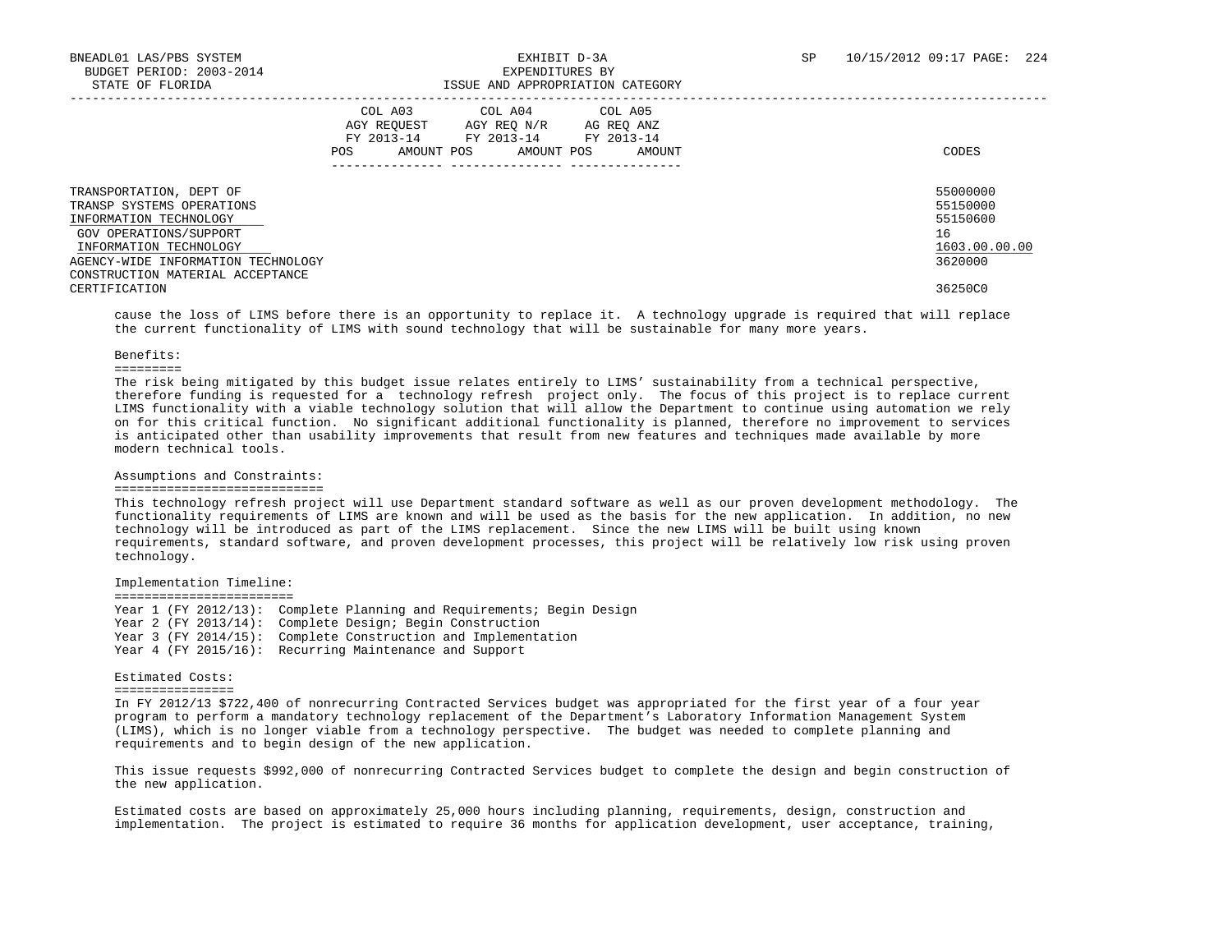|                                                                                                                                                                                                              | COL A03<br>AGY REOUEST<br>FY 2013-14<br>AMOUNT POS<br><b>POS</b> | COL A04<br>AGY REO N/R<br>FY 2013-14<br>AMOUNT POS | COL A05<br>AG REO ANZ<br>FY 2013-14<br>AMOUNT | CODES                                                              |
|--------------------------------------------------------------------------------------------------------------------------------------------------------------------------------------------------------------|------------------------------------------------------------------|----------------------------------------------------|-----------------------------------------------|--------------------------------------------------------------------|
| TRANSPORTATION, DEPT OF<br>TRANSP SYSTEMS OPERATIONS<br>INFORMATION TECHNOLOGY<br>GOV OPERATIONS/SUPPORT<br>INFORMATION TECHNOLOGY<br>AGENCY-WIDE INFORMATION TECHNOLOGY<br>CONSTRUCTION MATERIAL ACCEPTANCE |                                                                  |                                                    |                                               | 55000000<br>55150000<br>55150600<br>16<br>1603.00.00.00<br>3620000 |
| CERTIFICATION                                                                                                                                                                                                |                                                                  |                                                    |                                               | 36250C0                                                            |

 cause the loss of LIMS before there is an opportunity to replace it. A technology upgrade is required that will replace the current functionality of LIMS with sound technology that will be sustainable for many more years.

#### Benefits:

=========

 The risk being mitigated by this budget issue relates entirely to LIMS' sustainability from a technical perspective, therefore funding is requested for a technology refresh project only. The focus of this project is to replace current LIMS functionality with a viable technology solution that will allow the Department to continue using automation we rely on for this critical function. No significant additional functionality is planned, therefore no improvement to services is anticipated other than usability improvements that result from new features and techniques made available by more modern technical tools.

### Assumptions and Constraints:

### ============================

 This technology refresh project will use Department standard software as well as our proven development methodology. The functionality requirements of LIMS are known and will be used as the basis for the new application. In addition, no new technology will be introduced as part of the LIMS replacement. Since the new LIMS will be built using known requirements, standard software, and proven development processes, this project will be relatively low risk using proven technology.

Implementation Timeline:

 ======================== Year 1 (FY 2012/13): Complete Planning and Requirements; Begin Design Year 2 (FY 2013/14): Complete Design; Begin Construction Year 3 (FY 2014/15): Complete Construction and Implementation Year 4 (FY 2015/16): Recurring Maintenance and Support

## Estimated Costs:

================

 In FY 2012/13 \$722,400 of nonrecurring Contracted Services budget was appropriated for the first year of a four year program to perform a mandatory technology replacement of the Department's Laboratory Information Management System (LIMS), which is no longer viable from a technology perspective. The budget was needed to complete planning and requirements and to begin design of the new application.

 This issue requests \$992,000 of nonrecurring Contracted Services budget to complete the design and begin construction of the new application.

 Estimated costs are based on approximately 25,000 hours including planning, requirements, design, construction and implementation. The project is estimated to require 36 months for application development, user acceptance, training,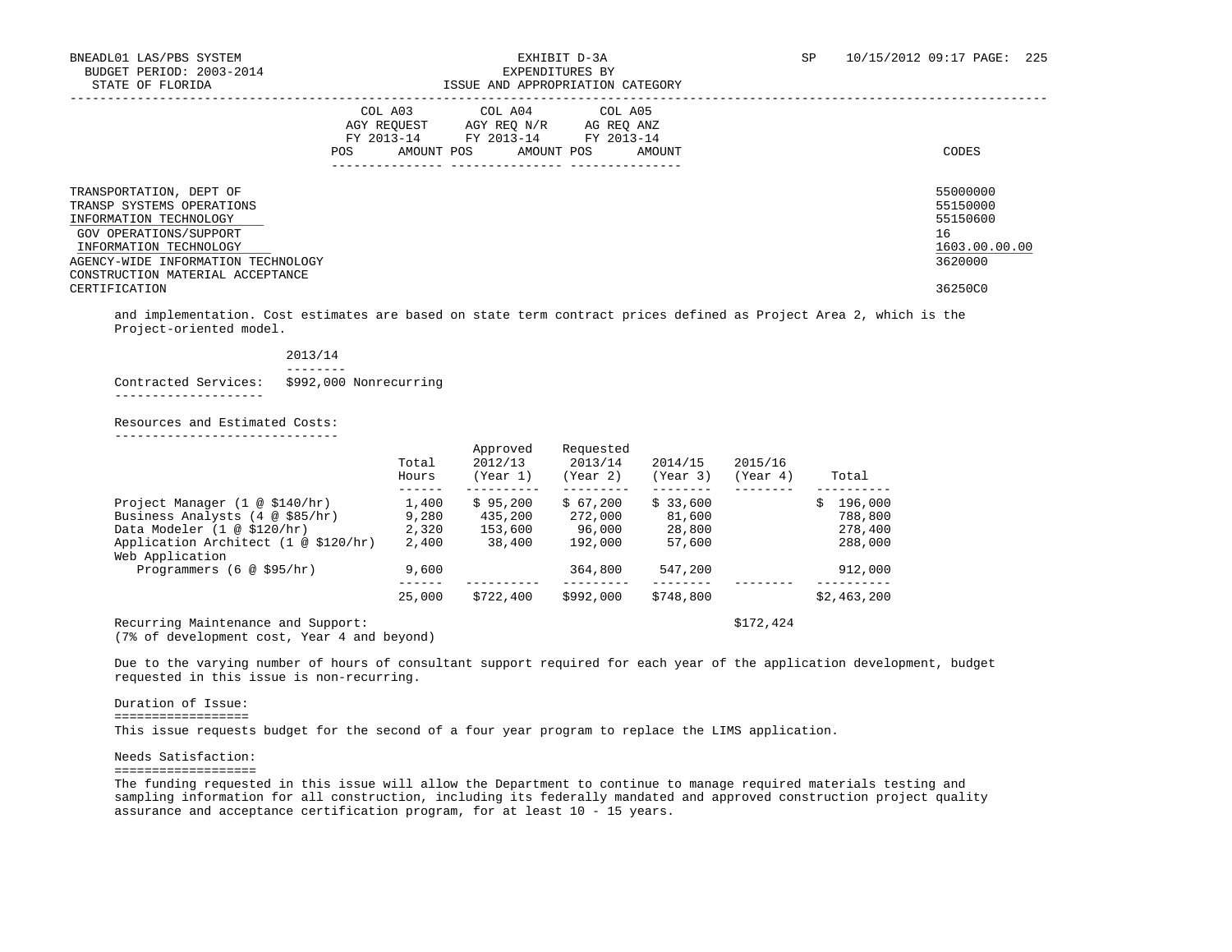| TRANSPORTATION, DEPT OF<br>TRANSP SYSTEMS OPERATIONS<br>INFORMATION TECHNOLOGY<br>GOV OPERATIONS/SUPPORT<br>INFORMATION TECHNOLOGY<br>AGENCY-WIDE INFORMATION TECHNOLOGY<br>CONSTRUCTION MATERIAL ACCEPTANCE<br>CERTIFICATION | COL A03<br>AGY REOUEST<br>FY 2013-14<br>AMOUNT POS<br>POS. | COL A04<br>AGY REO N/R<br>FY 2013-14<br>AMOUNT POS | COL A05<br>AG REO ANZ<br>FY 2013-14<br>AMOUNT | CODES<br>55000000<br>55150000<br>55150600<br>16<br>1603.00.00.00<br>3620000<br>36250C0 |
|-------------------------------------------------------------------------------------------------------------------------------------------------------------------------------------------------------------------------------|------------------------------------------------------------|----------------------------------------------------|-----------------------------------------------|----------------------------------------------------------------------------------------|
|                                                                                                                                                                                                                               |                                                            |                                                    |                                               |                                                                                        |

 and implementation. Cost estimates are based on state term contract prices defined as Project Area 2, which is the Project-oriented model.

| 2013/14 |  |  |  |  |
|---------|--|--|--|--|
|         |  |  |  |  |

Contracted Services: \$992,000 Nonrecurring

--------------------

 Resources and Estimated Costs: ------------------------------

|                                                         | Total<br>Hours | Approved<br>2012/13<br>(Year 1) | Requested<br>2013/14<br>(Year 2) | 2014/15<br>(Year 3) | 2015/16<br>(Year 4) | Total         |
|---------------------------------------------------------|----------------|---------------------------------|----------------------------------|---------------------|---------------------|---------------|
| Project Manager $(1 \otimes $140/hr)$                   | 1,400          | \$95.200                        | \$67.200                         | \$33,600            |                     | 196,000<br>Ŝ. |
| Business Analysts $(4 \otimes $85/hr)$                  | 9,280          | 435,200                         | 272,000                          | 81,600              |                     | 788,800       |
| Data Modeler (1 @ \$120/hr)                             | 2,320          | 153,600                         | 96,000                           | 28,800              |                     | 278,400       |
| Application Architect (1 @ \$120/hr)<br>Web Application | 2,400          | 38,400                          | 192,000                          | 57,600              |                     | 288,000       |
| Programmers $(6 \otimes $95/hr)$                        | 9,600          |                                 | 364,800                          | 547,200             |                     | 912,000       |
|                                                         | 25,000         | \$722,400                       | \$992,000                        | \$748,800           |                     | \$2,463,200   |
| Recurring Maintenance and Support:                      |                |                                 |                                  |                     | \$172,424           |               |

(7% of development cost, Year 4 and beyond)

 Due to the varying number of hours of consultant support required for each year of the application development, budget requested in this issue is non-recurring.

### Duration of Issue:

==================

This issue requests budget for the second of a four year program to replace the LIMS application.

Needs Satisfaction:

===================

 The funding requested in this issue will allow the Department to continue to manage required materials testing and sampling information for all construction, including its federally mandated and approved construction project quality assurance and acceptance certification program, for at least 10 - 15 years.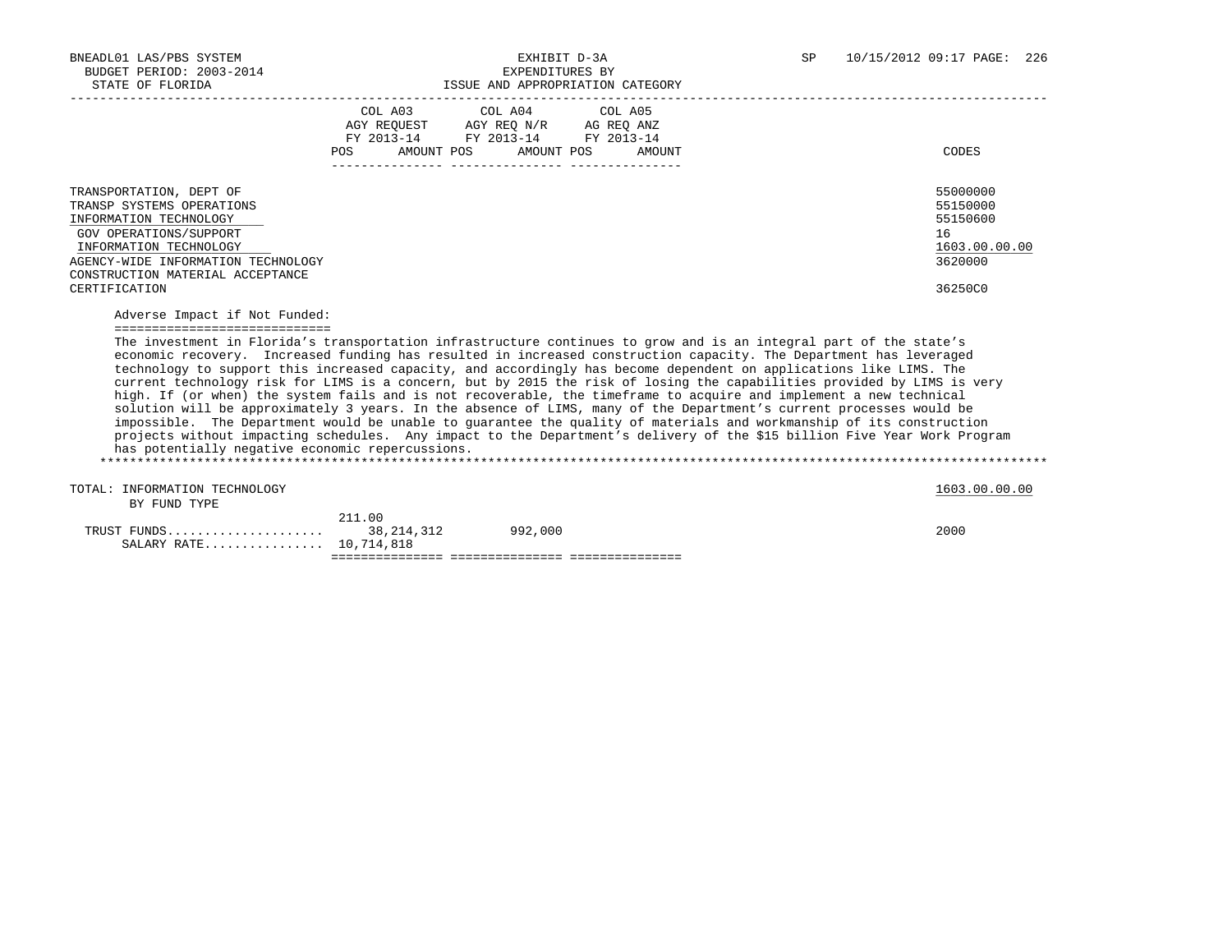SALARY RATE................. 10,714,818

|                                                                                                                                    | AGY REQUEST AGY REQ N/R AG REQ ANZ<br>FY 2013-14 FY 2013-14 FY 2013-14<br>AMOUNT POS<br>POS | COL A03 COL A04 COL A05<br>AMOUNT POS | AMOUNT | CODES                                                                                                                                                                                                                                                                                                                                                                                                                                                                                                                                                                                                                                                                                                                                                                                                                                                                                                                                                                                      |
|------------------------------------------------------------------------------------------------------------------------------------|---------------------------------------------------------------------------------------------|---------------------------------------|--------|--------------------------------------------------------------------------------------------------------------------------------------------------------------------------------------------------------------------------------------------------------------------------------------------------------------------------------------------------------------------------------------------------------------------------------------------------------------------------------------------------------------------------------------------------------------------------------------------------------------------------------------------------------------------------------------------------------------------------------------------------------------------------------------------------------------------------------------------------------------------------------------------------------------------------------------------------------------------------------------------|
|                                                                                                                                    |                                                                                             |                                       |        |                                                                                                                                                                                                                                                                                                                                                                                                                                                                                                                                                                                                                                                                                                                                                                                                                                                                                                                                                                                            |
| TRANSPORTATION, DEPT OF<br>TRANSP SYSTEMS OPERATIONS<br>INFORMATION TECHNOLOGY<br>GOV OPERATIONS/SUPPORT<br>INFORMATION TECHNOLOGY |                                                                                             |                                       |        | 55000000<br>55150000<br>55150600<br>16<br>1603.00.00.00                                                                                                                                                                                                                                                                                                                                                                                                                                                                                                                                                                                                                                                                                                                                                                                                                                                                                                                                    |
| AGENCY-WIDE INFORMATION TECHNOLOGY<br>CONSTRUCTION MATERIAL ACCEPTANCE<br>CERTIFICATION                                            |                                                                                             |                                       |        | 3620000<br>36250C0                                                                                                                                                                                                                                                                                                                                                                                                                                                                                                                                                                                                                                                                                                                                                                                                                                                                                                                                                                         |
| Adverse Impact if Not Funded:<br>==============================                                                                    |                                                                                             |                                       |        |                                                                                                                                                                                                                                                                                                                                                                                                                                                                                                                                                                                                                                                                                                                                                                                                                                                                                                                                                                                            |
| has potentially negative economic repercussions.                                                                                   |                                                                                             |                                       |        | The investment in Florida's transportation infrastructure continues to grow and is an integral part of the state's<br>economic recovery. Increased funding has resulted in increased construction capacity. The Department has leveraged<br>technology to support this increased capacity, and accordingly has become dependent on applications like LIMS. The<br>current technology risk for LIMS is a concern, but by 2015 the risk of losing the capabilities provided by LIMS is very<br>high. If (or when) the system fails and is not recoverable, the timeframe to acquire and implement a new technical<br>solution will be approximately 3 years. In the absence of LIMS, many of the Department's current processes would be<br>impossible. The Department would be unable to quarantee the quality of materials and workmanship of its construction<br>projects without impacting schedules. Any impact to the Department's delivery of the \$15 billion Five Year Work Program |
| TOTAL: INFORMATION TECHNOLOGY                                                                                                      |                                                                                             |                                       |        | 1603.00.00.00                                                                                                                                                                                                                                                                                                                                                                                                                                                                                                                                                                                                                                                                                                                                                                                                                                                                                                                                                                              |
| BY FUND TYPE                                                                                                                       | 211.00                                                                                      |                                       |        |                                                                                                                                                                                                                                                                                                                                                                                                                                                                                                                                                                                                                                                                                                                                                                                                                                                                                                                                                                                            |
| TRUST FUNDS                                                                                                                        | 38, 214, 312                                                                                | 992,000                               |        | 2000                                                                                                                                                                                                                                                                                                                                                                                                                                                                                                                                                                                                                                                                                                                                                                                                                                                                                                                                                                                       |

=============== =============== ===============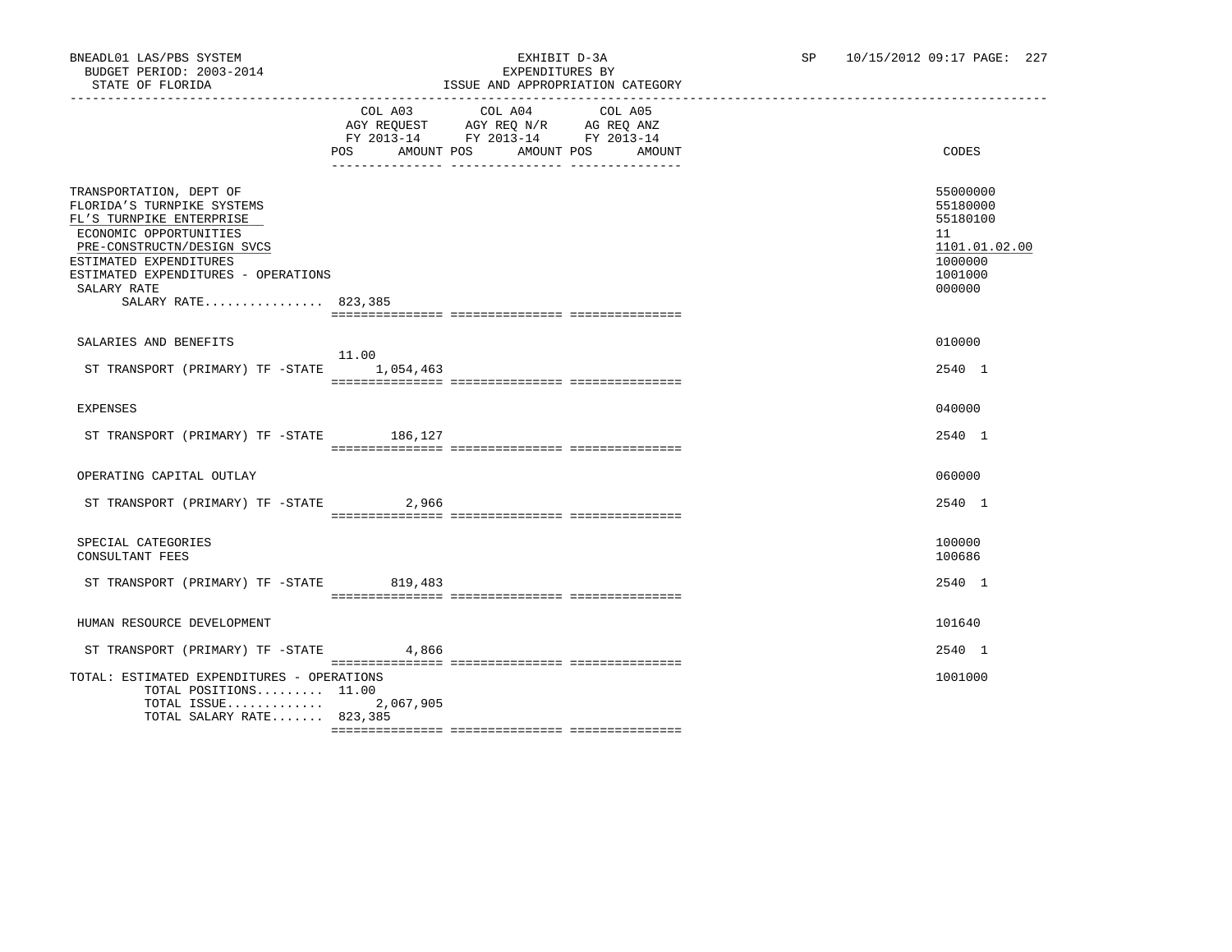|                                                                                                                                                                                                                                                  | POS AMOUNT POS AMOUNT POS | COL A03 COL A04 COL A05<br>AGY REQUEST AGY REQ N/R AG REQ ANZ<br>FY 2013-14 FY 2013-14 FY 2013-14 | AMOUNT | CODES                                                                                   |
|--------------------------------------------------------------------------------------------------------------------------------------------------------------------------------------------------------------------------------------------------|---------------------------|---------------------------------------------------------------------------------------------------|--------|-----------------------------------------------------------------------------------------|
| TRANSPORTATION, DEPT OF<br>FLORIDA'S TURNPIKE SYSTEMS<br>FL'S TURNPIKE ENTERPRISE<br>ECONOMIC OPPORTUNITIES<br>PRE-CONSTRUCTN/DESIGN SVCS<br>ESTIMATED EXPENDITURES<br>ESTIMATED EXPENDITURES - OPERATIONS<br>SALARY RATE<br>SALARY RATE 823,385 |                           |                                                                                                   |        | 55000000<br>55180000<br>55180100<br>11<br>1101.01.02.00<br>1000000<br>1001000<br>000000 |
| SALARIES AND BENEFITS                                                                                                                                                                                                                            |                           |                                                                                                   |        | 010000                                                                                  |
| ST TRANSPORT (PRIMARY) TF $-$ STATE 1,054,463                                                                                                                                                                                                    | 11.00                     |                                                                                                   |        | 2540 1                                                                                  |
| EXPENSES                                                                                                                                                                                                                                         |                           |                                                                                                   |        | 040000                                                                                  |
| ST TRANSPORT (PRIMARY) TF -STATE 186,127                                                                                                                                                                                                         |                           |                                                                                                   |        | 2540 1                                                                                  |
| OPERATING CAPITAL OUTLAY                                                                                                                                                                                                                         |                           |                                                                                                   |        | 060000                                                                                  |
| ST TRANSPORT (PRIMARY) TF -STATE 2,966                                                                                                                                                                                                           |                           |                                                                                                   |        | 2540 1                                                                                  |
| SPECIAL CATEGORIES<br>CONSULTANT FEES                                                                                                                                                                                                            |                           |                                                                                                   |        | 100000<br>100686                                                                        |
| ST TRANSPORT (PRIMARY) TF -STATE 819,483                                                                                                                                                                                                         |                           |                                                                                                   |        | 2540 1                                                                                  |
| HUMAN RESOURCE DEVELOPMENT                                                                                                                                                                                                                       |                           |                                                                                                   |        | 101640                                                                                  |
| ST TRANSPORT (PRIMARY) TF -STATE 4,866                                                                                                                                                                                                           |                           |                                                                                                   |        | 2540 1                                                                                  |
| TOTAL: ESTIMATED EXPENDITURES - OPERATIONS<br>TOTAL POSITIONS $11.00$<br>TOTAL ISSUE<br>TOTAL SALARY RATE 823,385                                                                                                                                | 2,067,905                 |                                                                                                   |        | 1001000                                                                                 |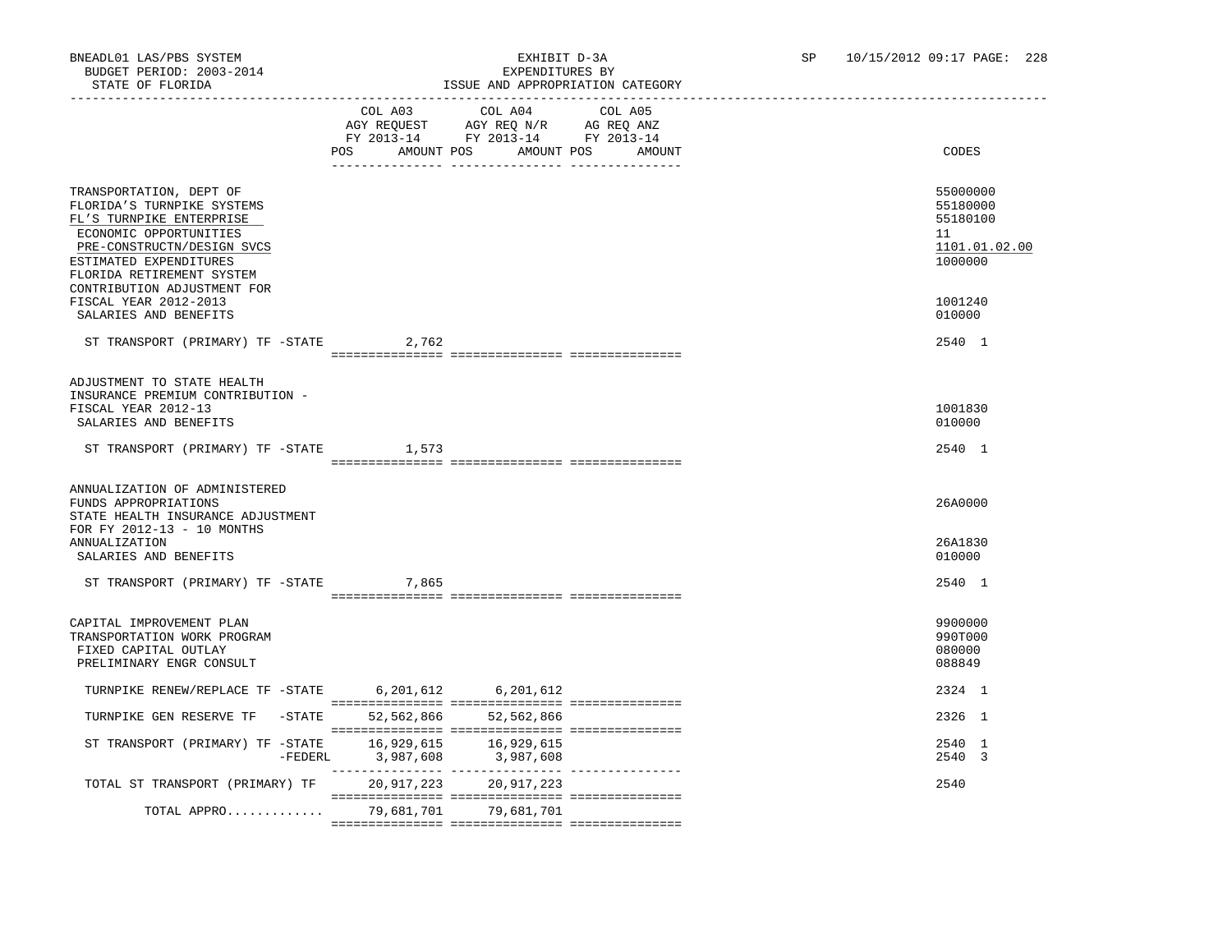|                                                                                                                                                                                                                                 |                      | TOOOT LIP ALINOINTALION                                                                                                                                                                                                                                         |                   |                                                                    |
|---------------------------------------------------------------------------------------------------------------------------------------------------------------------------------------------------------------------------------|----------------------|-----------------------------------------------------------------------------------------------------------------------------------------------------------------------------------------------------------------------------------------------------------------|-------------------|--------------------------------------------------------------------|
|                                                                                                                                                                                                                                 | POS DO<br>AMOUNT POS | COL A03 COL A04<br>$\begin{tabular}{lllllll} \bf AGY \;\; RegUEST \hspace{1cm} AGY \;\; REG \;\; N/R \hspace{1cm} \bf AG \;\; REG \;\; ANZ \\ \hline \tt FY \;\; 2013-14 \hspace{1cm} FY \;\; 2013-14 \hspace{1cm} FY \;\; 2013-14 \end{tabular}$<br>AMOUNT POS | COL A05<br>AMOUNT | CODES                                                              |
| TRANSPORTATION, DEPT OF<br>FLORIDA'S TURNPIKE SYSTEMS<br>FL'S TURNPIKE ENTERPRISE<br>ECONOMIC OPPORTUNITIES<br>PRE-CONSTRUCTN/DESIGN SVCS<br>ESTIMATED EXPENDITURES<br>FLORIDA RETIREMENT SYSTEM<br>CONTRIBUTION ADJUSTMENT FOR |                      |                                                                                                                                                                                                                                                                 |                   | 55000000<br>55180000<br>55180100<br>11<br>1101.01.02.00<br>1000000 |
| FISCAL YEAR 2012-2013<br>SALARIES AND BENEFITS                                                                                                                                                                                  |                      |                                                                                                                                                                                                                                                                 |                   | 1001240<br>010000                                                  |
| ST TRANSPORT (PRIMARY) TF -STATE                                                                                                                                                                                                | 2,762                |                                                                                                                                                                                                                                                                 |                   | 2540 1                                                             |
| ADJUSTMENT TO STATE HEALTH<br>INSURANCE PREMIUM CONTRIBUTION -<br>FISCAL YEAR 2012-13<br>SALARIES AND BENEFITS                                                                                                                  |                      |                                                                                                                                                                                                                                                                 |                   | 1001830<br>010000                                                  |
| ST TRANSPORT (PRIMARY) TF -STATE 1,573                                                                                                                                                                                          |                      |                                                                                                                                                                                                                                                                 |                   | 2540 1                                                             |
| ANNUALIZATION OF ADMINISTERED<br>FUNDS APPROPRIATIONS<br>STATE HEALTH INSURANCE ADJUSTMENT<br>FOR FY 2012-13 - 10 MONTHS                                                                                                        |                      |                                                                                                                                                                                                                                                                 |                   | 26A0000                                                            |
| ANNUALIZATION<br>SALARIES AND BENEFITS                                                                                                                                                                                          |                      |                                                                                                                                                                                                                                                                 |                   | 26A1830<br>010000                                                  |
| ST TRANSPORT (PRIMARY) TF -STATE                                                                                                                                                                                                | 7,865                |                                                                                                                                                                                                                                                                 |                   | 2540 1                                                             |
| CAPITAL IMPROVEMENT PLAN<br>TRANSPORTATION WORK PROGRAM<br>FIXED CAPITAL OUTLAY<br>PRELIMINARY ENGR CONSULT                                                                                                                     |                      |                                                                                                                                                                                                                                                                 |                   | 9900000<br>990T000<br>080000<br>088849                             |
| TURNPIKE RENEW/REPLACE TF -STATE 6,201,612 6,201,612                                                                                                                                                                            |                      |                                                                                                                                                                                                                                                                 |                   | 2324 1                                                             |
| TURNPIKE GEN RESERVE TF -STATE                                                                                                                                                                                                  |                      | 52,562,866 52,562,866                                                                                                                                                                                                                                           |                   | 2326 1                                                             |
|                                                                                                                                                                                                                                 |                      |                                                                                                                                                                                                                                                                 |                   | 2540 1<br>2540 3                                                   |
| TOTAL ST TRANSPORT (PRIMARY) TF                                                                                                                                                                                                 |                      | 20,917,223 20,917,223                                                                                                                                                                                                                                           |                   | 2540                                                               |
| TOTAL APPRO                                                                                                                                                                                                                     |                      | 79,681,701 79,681,701                                                                                                                                                                                                                                           |                   |                                                                    |
|                                                                                                                                                                                                                                 |                      |                                                                                                                                                                                                                                                                 |                   |                                                                    |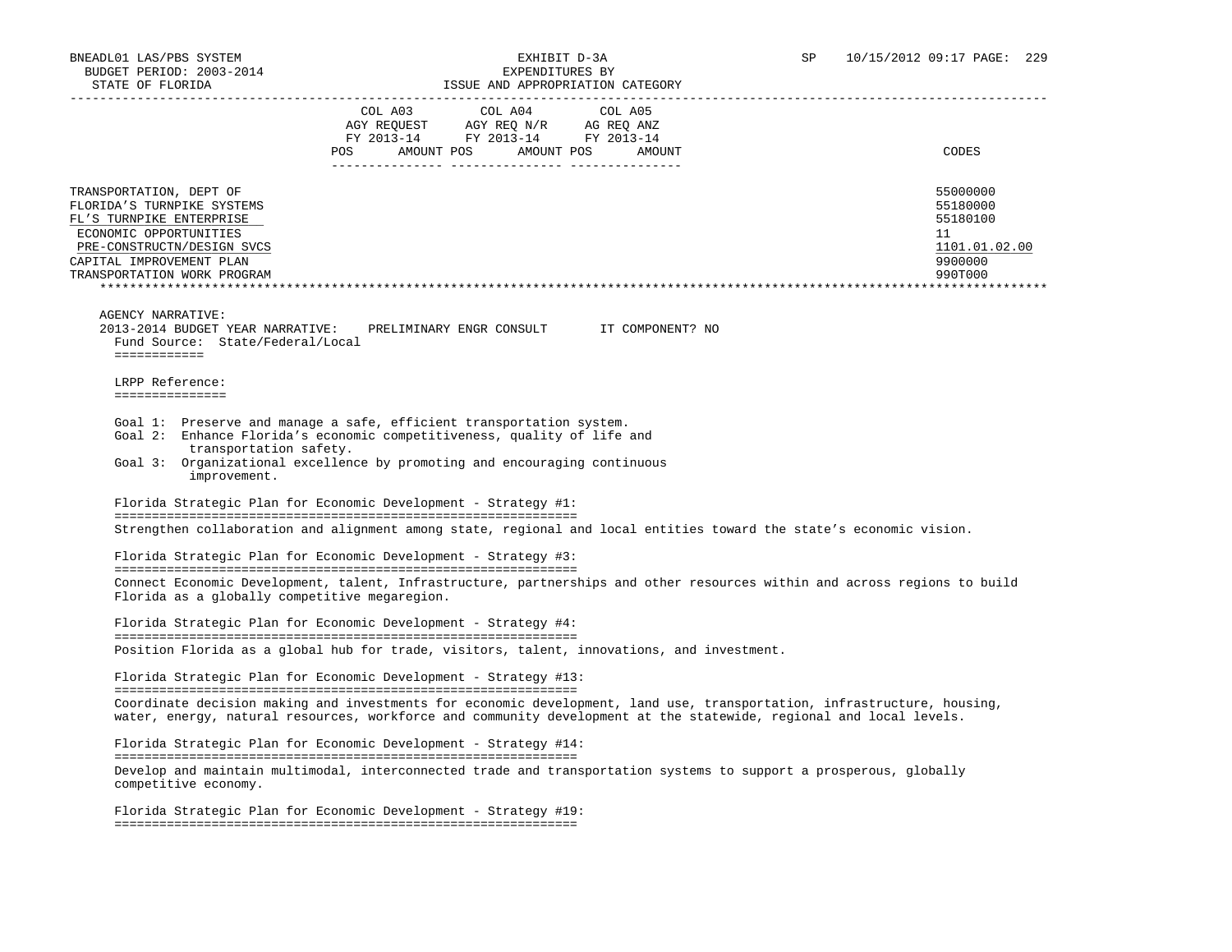| STATE OF FLORIDA                                                                                                                                                                                                                                                       |                                                                                   | ISSUE AND APPROPRIATION CATEGORY |         |                                                                                                                                                                                                                                               |
|------------------------------------------------------------------------------------------------------------------------------------------------------------------------------------------------------------------------------------------------------------------------|-----------------------------------------------------------------------------------|----------------------------------|---------|-----------------------------------------------------------------------------------------------------------------------------------------------------------------------------------------------------------------------------------------------|
|                                                                                                                                                                                                                                                                        | COL A03<br>AGY REQUEST AGY REQ N/R AG REQ ANZ<br>FY 2013-14 FY 2013-14 FY 2013-14 | COL A04                          | COL A05 |                                                                                                                                                                                                                                               |
|                                                                                                                                                                                                                                                                        | POS AMOUNT POS AMOUNT POS                                                         |                                  | AMOUNT  | CODES                                                                                                                                                                                                                                         |
| TRANSPORTATION, DEPT OF<br>FLORIDA'S TURNPIKE SYSTEMS<br>FL'S TURNPIKE ENTERPRISE<br>ECONOMIC OPPORTUNITIES<br>PRE-CONSTRUCTN/DESIGN SVCS<br>CAPITAL IMPROVEMENT PLAN<br>TRANSPORTATION WORK PROGRAM                                                                   |                                                                                   |                                  |         | 55000000<br>55180000<br>55180100<br>11<br>1101.01.02.00<br>9900000<br>990T000                                                                                                                                                                 |
|                                                                                                                                                                                                                                                                        |                                                                                   |                                  |         | ***********************************                                                                                                                                                                                                           |
| <b>AGENCY NARRATIVE:</b><br>2013-2014 BUDGET YEAR NARRATIVE:<br>Fund Source: State/Federal/Local<br>============                                                                                                                                                       | PRELIMINARY ENGR CONSULT IT COMPONENT? NO                                         |                                  |         |                                                                                                                                                                                                                                               |
| LRPP Reference:<br>===============                                                                                                                                                                                                                                     |                                                                                   |                                  |         |                                                                                                                                                                                                                                               |
| Goal 1: Preserve and manage a safe, efficient transportation system.<br>Goal 2: Enhance Florida's economic competitiveness, quality of life and<br>transportation safety.<br>Goal 3: Organizational excellence by promoting and encouraging continuous<br>improvement. |                                                                                   |                                  |         |                                                                                                                                                                                                                                               |
| Florida Strategic Plan for Economic Development - Strategy #1:                                                                                                                                                                                                         |                                                                                   |                                  |         |                                                                                                                                                                                                                                               |
|                                                                                                                                                                                                                                                                        |                                                                                   |                                  |         | Strengthen collaboration and alignment among state, regional and local entities toward the state's economic vision.                                                                                                                           |
| Florida Strategic Plan for Economic Development - Strategy #3:                                                                                                                                                                                                         |                                                                                   |                                  |         |                                                                                                                                                                                                                                               |
| Florida as a globally competitive megaregion.                                                                                                                                                                                                                          |                                                                                   |                                  |         | Connect Economic Development, talent, Infrastructure, partnerships and other resources within and across regions to build                                                                                                                     |
| Florida Strategic Plan for Economic Development - Strategy #4:                                                                                                                                                                                                         |                                                                                   |                                  |         |                                                                                                                                                                                                                                               |
| Position Florida as a global hub for trade, visitors, talent, innovations, and investment.                                                                                                                                                                             |                                                                                   |                                  |         |                                                                                                                                                                                                                                               |
| Florida Strategic Plan for Economic Development - Strategy #13:                                                                                                                                                                                                        |                                                                                   |                                  |         |                                                                                                                                                                                                                                               |
|                                                                                                                                                                                                                                                                        |                                                                                   |                                  |         | Coordinate decision making and investments for economic development, land use, transportation, infrastructure, housing,<br>water, energy, natural resources, workforce and community development at the statewide, regional and local levels. |
| Florida Strategic Plan for Economic Development - Strategy #14:                                                                                                                                                                                                        |                                                                                   |                                  |         |                                                                                                                                                                                                                                               |
| competitive economy.                                                                                                                                                                                                                                                   |                                                                                   |                                  |         | Develop and maintain multimodal, interconnected trade and transportation systems to support a prosperous, globally                                                                                                                            |
| Florida Strategic Plan for Economic Development - Strategy #19:                                                                                                                                                                                                        |                                                                                   |                                  |         |                                                                                                                                                                                                                                               |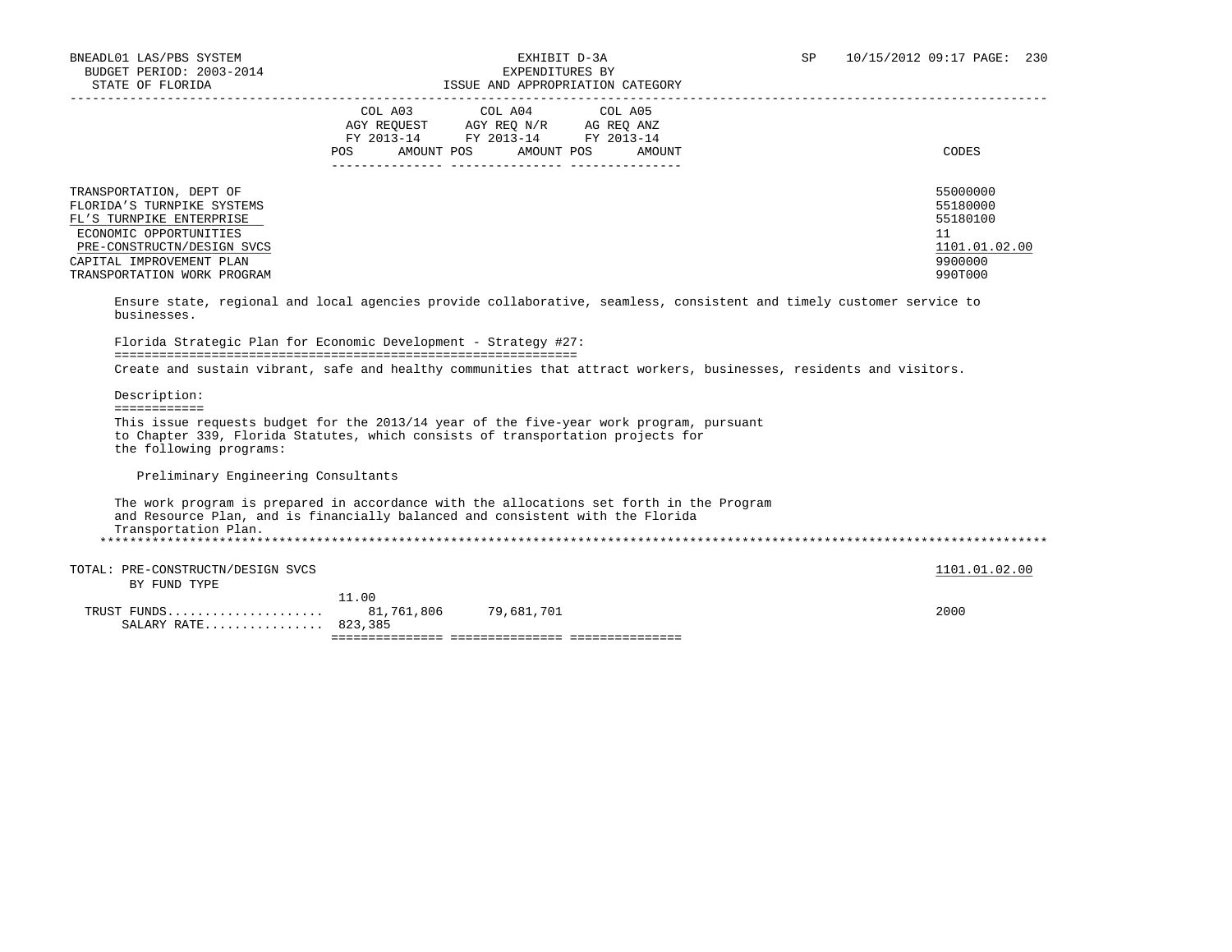# BNEADL01 LAS/PBS SYSTEM EXHIBIT D-3A SP 10/15/2012 09:17 PAGE: 230

| STATE OF FLORIDA                                                                                                                                                                                                      |                           |                                                                                                                                                                                                                                                           | ISSUE AND APPROPRIATION CATEGORY |                                                                                                                      |
|-----------------------------------------------------------------------------------------------------------------------------------------------------------------------------------------------------------------------|---------------------------|-----------------------------------------------------------------------------------------------------------------------------------------------------------------------------------------------------------------------------------------------------------|----------------------------------|----------------------------------------------------------------------------------------------------------------------|
|                                                                                                                                                                                                                       | POS AMOUNT POS AMOUNT POS | COL A03 COL A04 COL A05<br>$\begin{tabular}{lllllll} \bf AGY \;\; REQUEST \hspace{1cm} AGY \;\; REQ \;\; N/R \hspace{1cm} \bf AG \;\; REQ \;\; ANZ \\ \hline \tt FY \;\; 2013-14 \hspace{1cm} FY \;\; 2013-14 \hspace{1cm} FY \;\; 2013-14 \end{tabular}$ | AMOUNT                           | CODES                                                                                                                |
| TRANSPORTATION, DEPT OF<br>FLORIDA'S TURNPIKE SYSTEMS<br>FL'S TURNPIKE ENTERPRISE<br>ECONOMIC OPPORTUNITIES<br>PRE-CONSTRUCTN/DESIGN SVCS<br>CAPITAL IMPROVEMENT PLAN<br>TRANSPORTATION WORK PROGRAM                  |                           |                                                                                                                                                                                                                                                           |                                  | 55000000<br>55180000<br>55180100<br>11<br>1101.01.02.00<br>9900000<br>990T000                                        |
| businesses.                                                                                                                                                                                                           |                           |                                                                                                                                                                                                                                                           |                                  | Ensure state, regional and local agencies provide collaborative, seamless, consistent and timely customer service to |
| Florida Strategic Plan for Economic Development - Strategy #27:                                                                                                                                                       |                           |                                                                                                                                                                                                                                                           |                                  |                                                                                                                      |
|                                                                                                                                                                                                                       |                           |                                                                                                                                                                                                                                                           |                                  | Create and sustain vibrant, safe and healthy communities that attract workers, businesses, residents and visitors.   |
| Description:                                                                                                                                                                                                          |                           |                                                                                                                                                                                                                                                           |                                  |                                                                                                                      |
| ============<br>This issue requests budget for the 2013/14 year of the five-year work program, pursuant<br>to Chapter 339, Florida Statutes, which consists of transportation projects for<br>the following programs: |                           |                                                                                                                                                                                                                                                           |                                  |                                                                                                                      |
| Preliminary Engineering Consultants                                                                                                                                                                                   |                           |                                                                                                                                                                                                                                                           |                                  |                                                                                                                      |
| The work program is prepared in accordance with the allocations set forth in the Program<br>and Resource Plan, and is financially balanced and consistent with the Florida<br>Transportation Plan.                    |                           |                                                                                                                                                                                                                                                           |                                  |                                                                                                                      |
| TOTAL: PRE-CONSTRUCTN/DESIGN SVCS<br>BY FUND TYPE                                                                                                                                                                     |                           |                                                                                                                                                                                                                                                           |                                  | 1101.01.02.00                                                                                                        |
| SALARY RATE 823,385                                                                                                                                                                                                   | 11.00                     | 81,761,806 79,681,701                                                                                                                                                                                                                                     |                                  | 2000                                                                                                                 |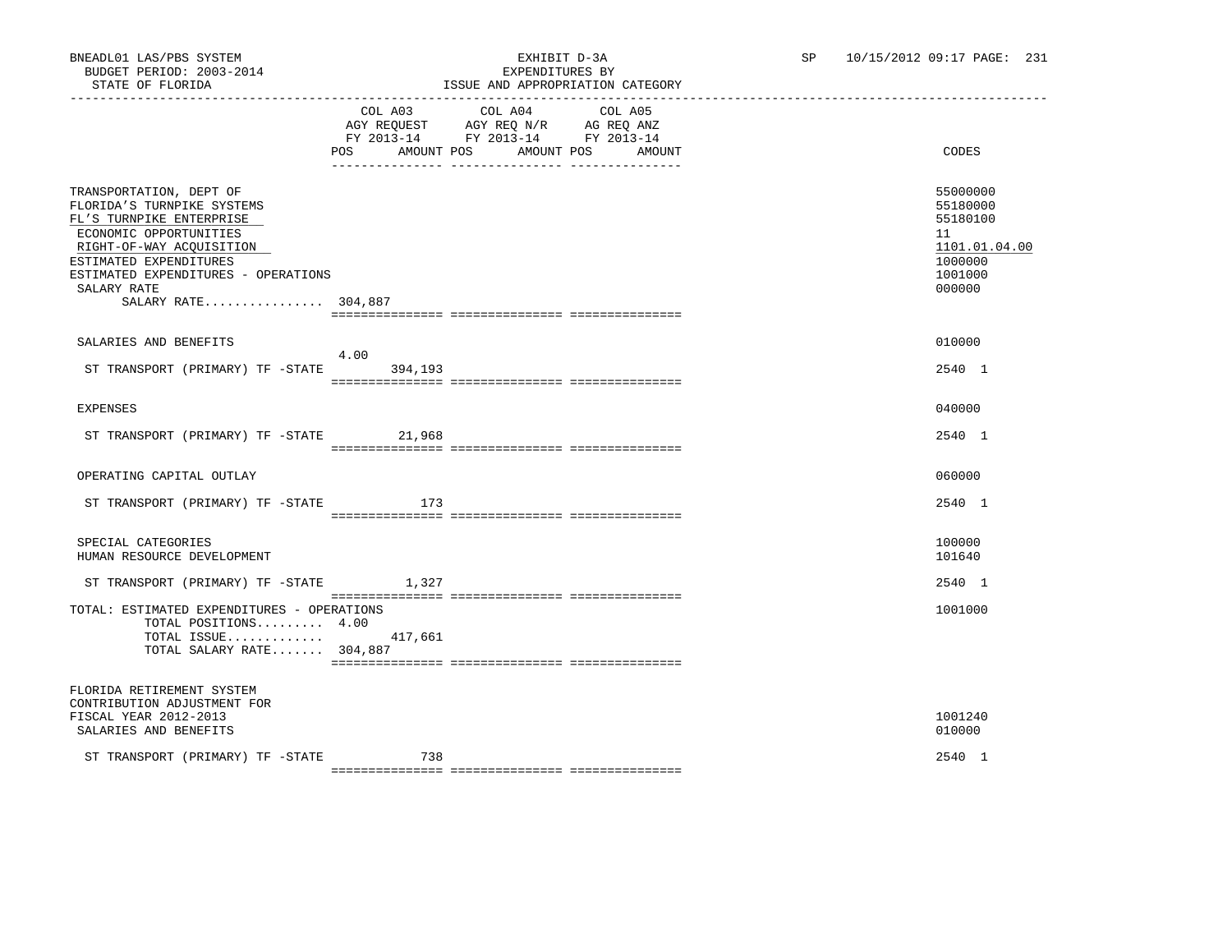|                                                                                                                                                                                                                                                | POS AMOUNT POS AMOUNT POS AMOUNT | COL A03 COL A04<br>AGY REQUEST AGY REQ N/R AG REQ ANZ<br>FY 2013-14 FY 2013-14 FY 2013-14<br><u>-- -------------</u> | COL A05 | CODES                                                                                   |
|------------------------------------------------------------------------------------------------------------------------------------------------------------------------------------------------------------------------------------------------|----------------------------------|----------------------------------------------------------------------------------------------------------------------|---------|-----------------------------------------------------------------------------------------|
| TRANSPORTATION, DEPT OF<br>FLORIDA'S TURNPIKE SYSTEMS<br>FL'S TURNPIKE ENTERPRISE<br>ECONOMIC OPPORTUNITIES<br>RIGHT-OF-WAY ACQUISITION<br>ESTIMATED EXPENDITURES<br>ESTIMATED EXPENDITURES - OPERATIONS<br>SALARY RATE<br>SALARY RATE 304,887 |                                  |                                                                                                                      |         | 55000000<br>55180000<br>55180100<br>11<br>1101.01.04.00<br>1000000<br>1001000<br>000000 |
| SALARIES AND BENEFITS<br>ST TRANSPORT (PRIMARY) TF -STATE 394,193                                                                                                                                                                              | 4.00                             |                                                                                                                      |         | 010000<br>2540 1                                                                        |
| <b>EXPENSES</b>                                                                                                                                                                                                                                |                                  |                                                                                                                      |         | 040000                                                                                  |
| ST TRANSPORT (PRIMARY) TF -STATE                                                                                                                                                                                                               | 21,968                           |                                                                                                                      |         | 2540 1                                                                                  |
| OPERATING CAPITAL OUTLAY                                                                                                                                                                                                                       |                                  |                                                                                                                      |         | 060000                                                                                  |
| ST TRANSPORT (PRIMARY) TF -STATE                                                                                                                                                                                                               | 173                              |                                                                                                                      |         | 2540 1                                                                                  |
| SPECIAL CATEGORIES<br>HUMAN RESOURCE DEVELOPMENT                                                                                                                                                                                               |                                  |                                                                                                                      |         | 100000<br>101640                                                                        |
| ST TRANSPORT (PRIMARY) TF -STATE                                                                                                                                                                                                               | 1,327                            |                                                                                                                      |         | 2540 1                                                                                  |
| TOTAL: ESTIMATED EXPENDITURES - OPERATIONS<br>TOTAL POSITIONS 4.00<br>TOTAL ISSUE<br>TOTAL SALARY RATE 304,887                                                                                                                                 | 417,661                          |                                                                                                                      |         | 1001000                                                                                 |
| FLORIDA RETIREMENT SYSTEM<br>CONTRIBUTION ADJUSTMENT FOR<br>FISCAL YEAR 2012-2013<br>SALARIES AND BENEFITS                                                                                                                                     |                                  |                                                                                                                      |         | 1001240<br>010000                                                                       |
| ST TRANSPORT (PRIMARY) TF -STATE                                                                                                                                                                                                               | 738                              |                                                                                                                      |         | 2540 1                                                                                  |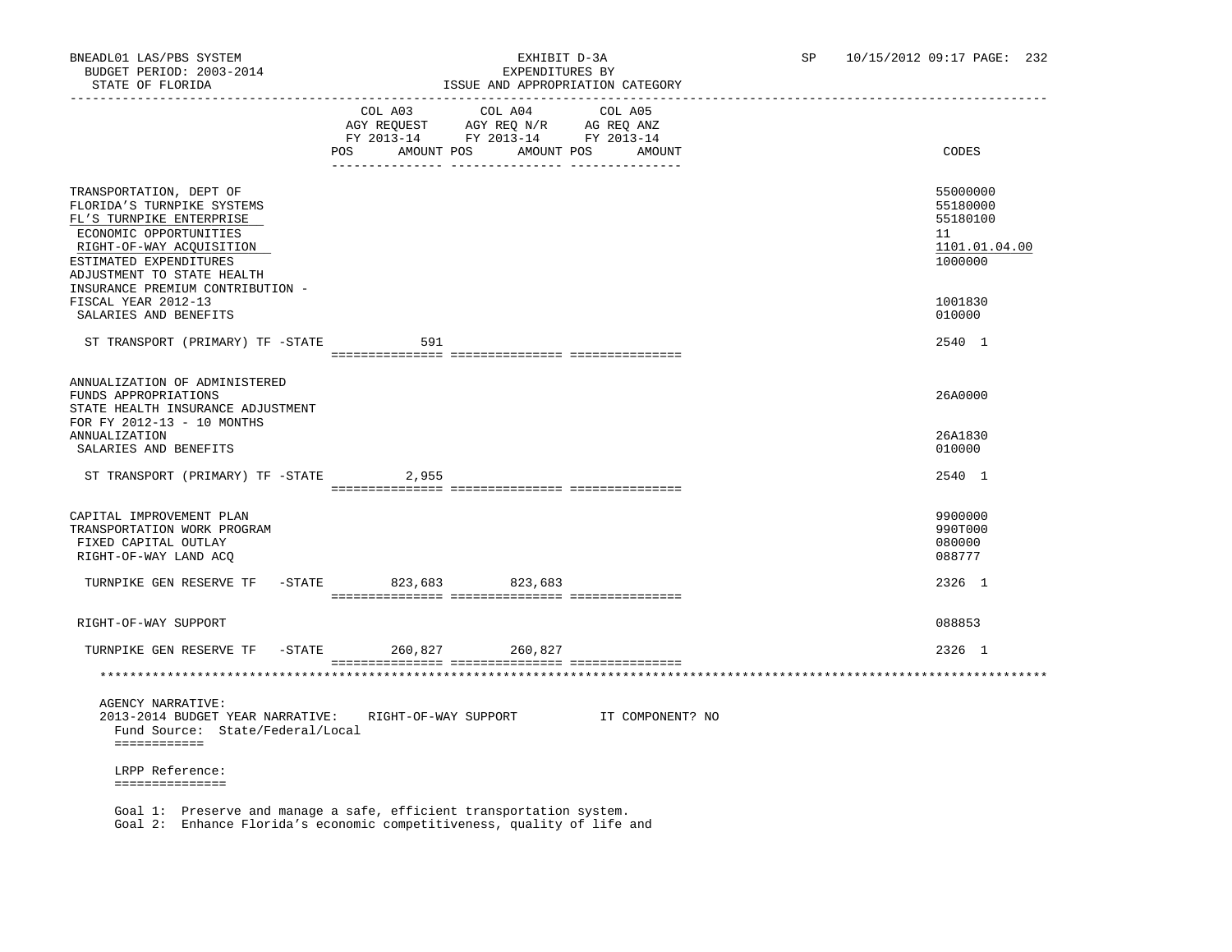| DIAIE OF FEORIDA                                                                                                                                                                                                                    |                          | LOOUE AND AFFROFRIAIION CAIEGORI                                                                                                                                                                                                           |                  |                                                                    |
|-------------------------------------------------------------------------------------------------------------------------------------------------------------------------------------------------------------------------------------|--------------------------|--------------------------------------------------------------------------------------------------------------------------------------------------------------------------------------------------------------------------------------------|------------------|--------------------------------------------------------------------|
|                                                                                                                                                                                                                                     | <b>POS</b><br>AMOUNT POS | COL A03 COL A04 COL A05<br>$\begin{tabular}{lllllll} \bf AGY \,\,\, REQUEST \,\,\, & \bf AGY \,\, REQ \,\, N/R & \,\, AC \,\, REQ \,\, ANZ \\ \bf FY \,\, 2013-14 & \bf FY \,\, 2013-14 & \bf FY \,\, 2013-14 \end{tabular}$<br>AMOUNT POS | AMOUNT           | CODES                                                              |
| TRANSPORTATION, DEPT OF<br>FLORIDA'S TURNPIKE SYSTEMS<br>FL'S TURNPIKE ENTERPRISE<br>ECONOMIC OPPORTUNITIES<br>RIGHT-OF-WAY ACQUISITION<br>ESTIMATED EXPENDITURES<br>ADJUSTMENT TO STATE HEALTH<br>INSURANCE PREMIUM CONTRIBUTION - |                          |                                                                                                                                                                                                                                            |                  | 55000000<br>55180000<br>55180100<br>11<br>1101.01.04.00<br>1000000 |
| FISCAL YEAR 2012-13<br>SALARIES AND BENEFITS                                                                                                                                                                                        |                          |                                                                                                                                                                                                                                            |                  | 1001830<br>010000                                                  |
| ST TRANSPORT (PRIMARY) TF -STATE                                                                                                                                                                                                    | 591                      |                                                                                                                                                                                                                                            |                  | 2540 1                                                             |
| ANNUALIZATION OF ADMINISTERED<br>FUNDS APPROPRIATIONS<br>STATE HEALTH INSURANCE ADJUSTMENT<br>FOR FY 2012-13 - 10 MONTHS                                                                                                            |                          |                                                                                                                                                                                                                                            |                  | 26A0000                                                            |
| ANNUALIZATION<br>SALARIES AND BENEFITS                                                                                                                                                                                              |                          |                                                                                                                                                                                                                                            |                  | 26A1830<br>010000                                                  |
| ST TRANSPORT (PRIMARY) TF -STATE 2,955                                                                                                                                                                                              |                          |                                                                                                                                                                                                                                            |                  | 2540 1                                                             |
| CAPITAL IMPROVEMENT PLAN<br>TRANSPORTATION WORK PROGRAM<br>FIXED CAPITAL OUTLAY<br>RIGHT-OF-WAY LAND ACQ                                                                                                                            |                          |                                                                                                                                                                                                                                            |                  | 9900000<br>990T000<br>080000<br>088777                             |
| TURNPIKE GEN RESERVE TF -STATE 823,683 823,683                                                                                                                                                                                      |                          |                                                                                                                                                                                                                                            |                  | 2326 1                                                             |
| RIGHT-OF-WAY SUPPORT                                                                                                                                                                                                                |                          |                                                                                                                                                                                                                                            |                  | 088853                                                             |
| TURNPIKE GEN RESERVE TF - STATE 260,827 260,827                                                                                                                                                                                     |                          |                                                                                                                                                                                                                                            |                  | 2326 1                                                             |
|                                                                                                                                                                                                                                     |                          |                                                                                                                                                                                                                                            |                  |                                                                    |
| <b>AGENCY NARRATIVE:</b><br>2013-2014 BUDGET YEAR NARRATIVE:<br>Fund Source: State/Federal/Local<br>============                                                                                                                    | RIGHT-OF-WAY SUPPORT     |                                                                                                                                                                                                                                            | IT COMPONENT? NO |                                                                    |
| LRPP Reference:                                                                                                                                                                                                                     |                          |                                                                                                                                                                                                                                            |                  |                                                                    |
| ===============<br>Goal 1: Preserve and manage a safe, efficient transportation system.                                                                                                                                             |                          |                                                                                                                                                                                                                                            |                  |                                                                    |
| Goal 2: Enhance Florida's economic competitiveness, quality of life and                                                                                                                                                             |                          |                                                                                                                                                                                                                                            |                  |                                                                    |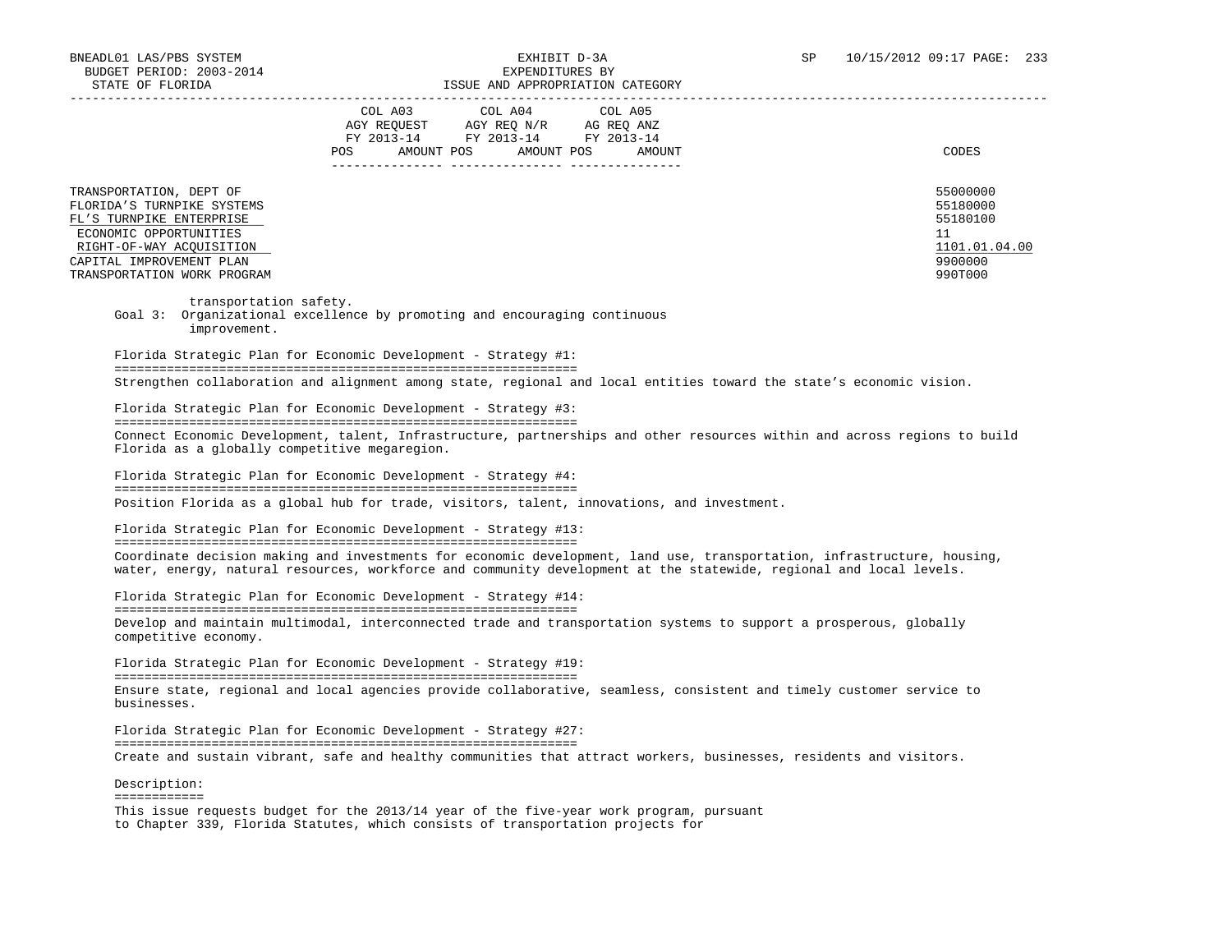|                                                                                                                                                                                                    | COL A03<br>COL A04<br>COL A05<br>AGY REOUEST<br>AGY REO N/R<br>AG REO ANZ<br>FY 2013-14<br>FY 2013-14<br>FY 2013-14<br><b>POS</b><br>AMOUNT POS<br>AMOUNT POS<br>AMOUNT | CODES                                                                         |
|----------------------------------------------------------------------------------------------------------------------------------------------------------------------------------------------------|-------------------------------------------------------------------------------------------------------------------------------------------------------------------------|-------------------------------------------------------------------------------|
| TRANSPORTATION, DEPT OF<br>FLORIDA'S TURNPIKE SYSTEMS<br>FL'S TURNPIKE ENTERPRISE<br>ECONOMIC OPPORTUNITIES<br>RIGHT-OF-WAY ACOUISITION<br>CAPITAL IMPROVEMENT PLAN<br>TRANSPORTATION WORK PROGRAM |                                                                                                                                                                         | 55000000<br>55180000<br>55180100<br>11<br>1101.01.04.00<br>9900000<br>990T000 |

transportation safety.

 Goal 3: Organizational excellence by promoting and encouraging continuous improvement.

 Florida Strategic Plan for Economic Development - Strategy #1: ============================================================== Strengthen collaboration and alignment among state, regional and local entities toward the state's economic vision.

Florida Strategic Plan for Economic Development - Strategy #3:

==============================================================

 Connect Economic Development, talent, Infrastructure, partnerships and other resources within and across regions to build Florida as a globally competitive megaregion.

 Florida Strategic Plan for Economic Development - Strategy #4: ============================================================== Position Florida as a global hub for trade, visitors, talent, innovations, and investment.

 Florida Strategic Plan for Economic Development - Strategy #13: ============================================================== Coordinate decision making and investments for economic development, land use, transportation, infrastructure, housing, water, energy, natural resources, workforce and community development at the statewide, regional and local levels.

 Florida Strategic Plan for Economic Development - Strategy #14: ============================================================== Develop and maintain multimodal, interconnected trade and transportation systems to support a prosperous, globally competitive economy.

 Florida Strategic Plan for Economic Development - Strategy #19: ============================================================== Ensure state, regional and local agencies provide collaborative, seamless, consistent and timely customer service to businesses.

 Florida Strategic Plan for Economic Development - Strategy #27: ============================================================== Create and sustain vibrant, safe and healthy communities that attract workers, businesses, residents and visitors.

 Description: ============ This issue requests budget for the 2013/14 year of the five-year work program, pursuant to Chapter 339, Florida Statutes, which consists of transportation projects for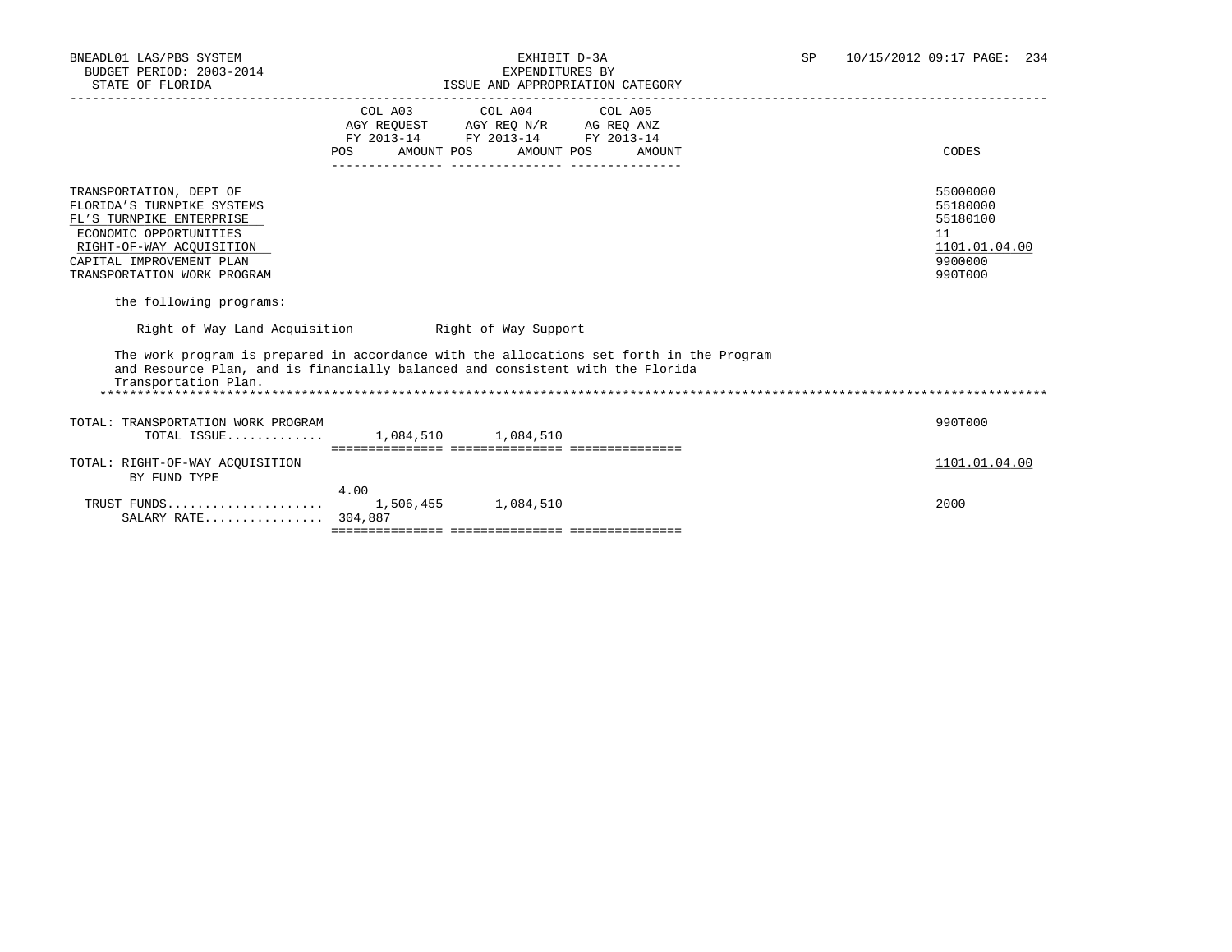| STATE OF FLORIDA                                                                                                                                                                                                              |      | ISSUE AND APPROPRIATION CATEGORY                                                                                           |        |                                                                               |
|-------------------------------------------------------------------------------------------------------------------------------------------------------------------------------------------------------------------------------|------|----------------------------------------------------------------------------------------------------------------------------|--------|-------------------------------------------------------------------------------|
|                                                                                                                                                                                                                               | POS  | COL A03 COL A04 COL A05<br>AGY REQUEST AGY REQ N/R AG REQ ANZ<br>FY 2013-14 FY 2013-14 FY 2013-14<br>AMOUNT POS AMOUNT POS | AMOUNT | CODES                                                                         |
| TRANSPORTATION, DEPT OF<br>FLORIDA'S TURNPIKE SYSTEMS<br>FL'S TURNPIKE ENTERPRISE<br>ECONOMIC OPPORTUNITIES<br>RIGHT-OF-WAY ACOUISITION<br>CAPITAL IMPROVEMENT PLAN<br>TRANSPORTATION WORK PROGRAM<br>the following programs: |      |                                                                                                                            |        | 55000000<br>55180000<br>55180100<br>11<br>1101.01.04.00<br>9900000<br>990T000 |
| Right of Way Land Acquisition building Right of Way Support                                                                                                                                                                   |      |                                                                                                                            |        |                                                                               |
| The work program is prepared in accordance with the allocations set forth in the Program<br>and Resource Plan, and is financially balanced and consistent with the Florida<br>Transportation Plan.                            |      |                                                                                                                            |        |                                                                               |
| TOTAL: TRANSPORTATION WORK PROGRAM<br>TOTAL ISSUE 1,084,510 1,084,510                                                                                                                                                         |      |                                                                                                                            |        | 990T000                                                                       |
| TOTAL: RIGHT-OF-WAY ACOUISITION<br>BY FUND TYPE                                                                                                                                                                               |      |                                                                                                                            |        | 1101.01.04.00                                                                 |
| TRUST FUNDS<br>SALARY RATE 304,887                                                                                                                                                                                            | 4.00 | 1,506,455 1,084,510                                                                                                        |        | 2000                                                                          |
|                                                                                                                                                                                                                               |      |                                                                                                                            |        |                                                                               |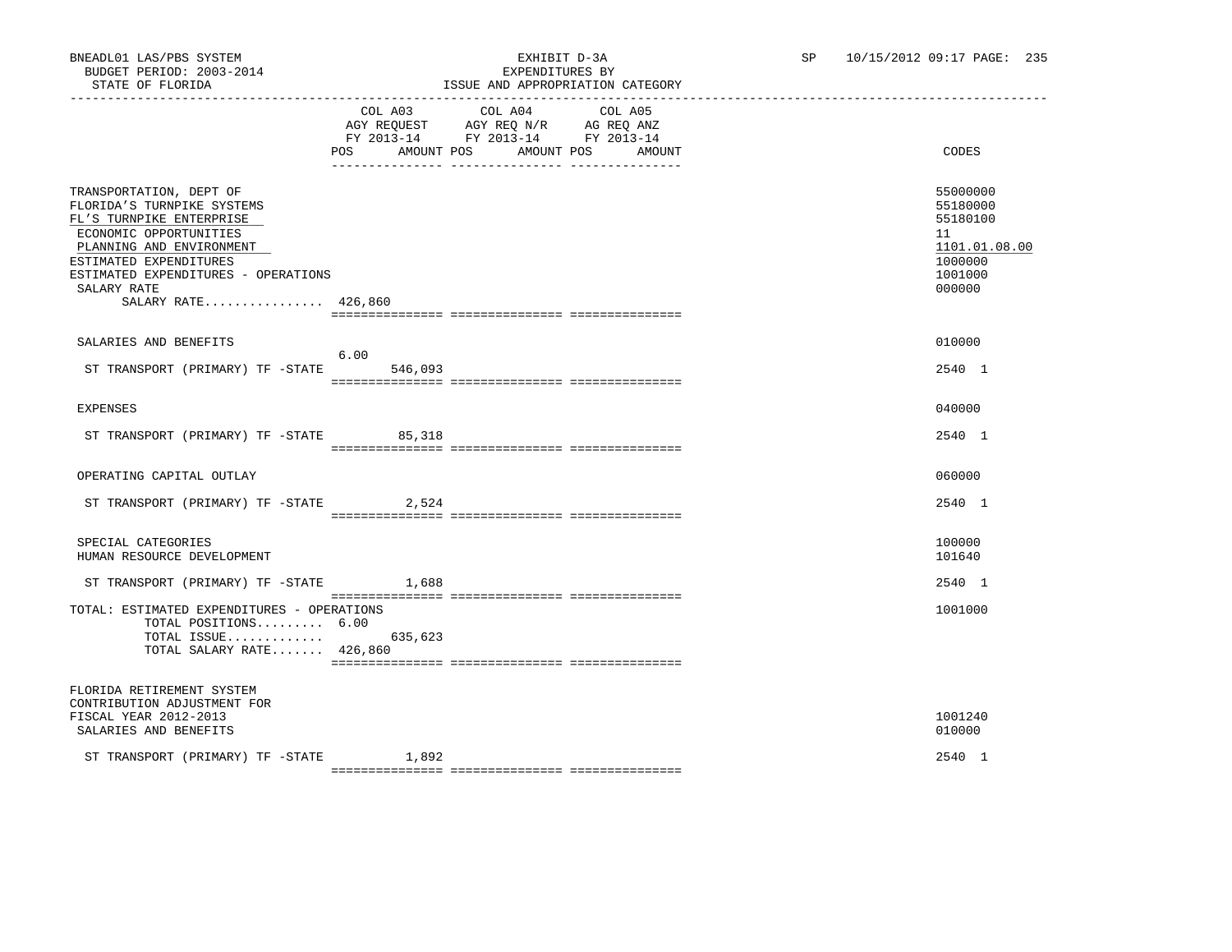|                                                                                                                                                                                                                                                | COL A03<br>AGY REQUEST AGY REQ N/R AG REQ ANZ<br>FY 2013-14 FY 2013-14 FY 2013-14<br><b>POS</b> | COL A04<br>AMOUNT POS AMOUNT POS | COL A05 | AMOUNT | CODES                                                                                   |
|------------------------------------------------------------------------------------------------------------------------------------------------------------------------------------------------------------------------------------------------|-------------------------------------------------------------------------------------------------|----------------------------------|---------|--------|-----------------------------------------------------------------------------------------|
| TRANSPORTATION, DEPT OF<br>FLORIDA'S TURNPIKE SYSTEMS<br>FL'S TURNPIKE ENTERPRISE<br>ECONOMIC OPPORTUNITIES<br>PLANNING AND ENVIRONMENT<br>ESTIMATED EXPENDITURES<br>ESTIMATED EXPENDITURES - OPERATIONS<br>SALARY RATE<br>SALARY RATE 426,860 |                                                                                                 |                                  |         |        | 55000000<br>55180000<br>55180100<br>11<br>1101.01.08.00<br>1000000<br>1001000<br>000000 |
|                                                                                                                                                                                                                                                |                                                                                                 |                                  |         |        |                                                                                         |
| SALARIES AND BENEFITS                                                                                                                                                                                                                          |                                                                                                 |                                  |         |        | 010000                                                                                  |
| ST TRANSPORT (PRIMARY) TF -STATE                                                                                                                                                                                                               | 6.00<br>546,093                                                                                 |                                  |         |        | 2540 1                                                                                  |
|                                                                                                                                                                                                                                                |                                                                                                 |                                  |         |        |                                                                                         |
| <b>EXPENSES</b>                                                                                                                                                                                                                                |                                                                                                 |                                  |         |        | 040000                                                                                  |
| ST TRANSPORT (PRIMARY) TF -STATE                                                                                                                                                                                                               | 85,318                                                                                          |                                  |         |        | 2540 1                                                                                  |
| OPERATING CAPITAL OUTLAY                                                                                                                                                                                                                       |                                                                                                 |                                  |         |        | 060000                                                                                  |
| ST TRANSPORT (PRIMARY) TF -STATE 2,524                                                                                                                                                                                                         |                                                                                                 |                                  |         |        | 2540 1                                                                                  |
| SPECIAL CATEGORIES<br>HUMAN RESOURCE DEVELOPMENT                                                                                                                                                                                               |                                                                                                 |                                  |         |        | 100000<br>101640                                                                        |
| ST TRANSPORT (PRIMARY) TF -STATE                                                                                                                                                                                                               | 1,688                                                                                           |                                  |         |        | 2540 1                                                                                  |
| TOTAL: ESTIMATED EXPENDITURES - OPERATIONS<br>TOTAL POSITIONS 6.00<br>TOTAL ISSUE $635,623$<br>TOTAL SALARY RATE 426,860                                                                                                                       |                                                                                                 |                                  |         |        | 1001000                                                                                 |
| FLORIDA RETIREMENT SYSTEM<br>CONTRIBUTION ADJUSTMENT FOR<br>FISCAL YEAR 2012-2013<br>SALARIES AND BENEFITS                                                                                                                                     |                                                                                                 |                                  |         |        | 1001240<br>010000                                                                       |
| ST TRANSPORT (PRIMARY) TF -STATE                                                                                                                                                                                                               | 1,892                                                                                           |                                  |         |        | 2540 1                                                                                  |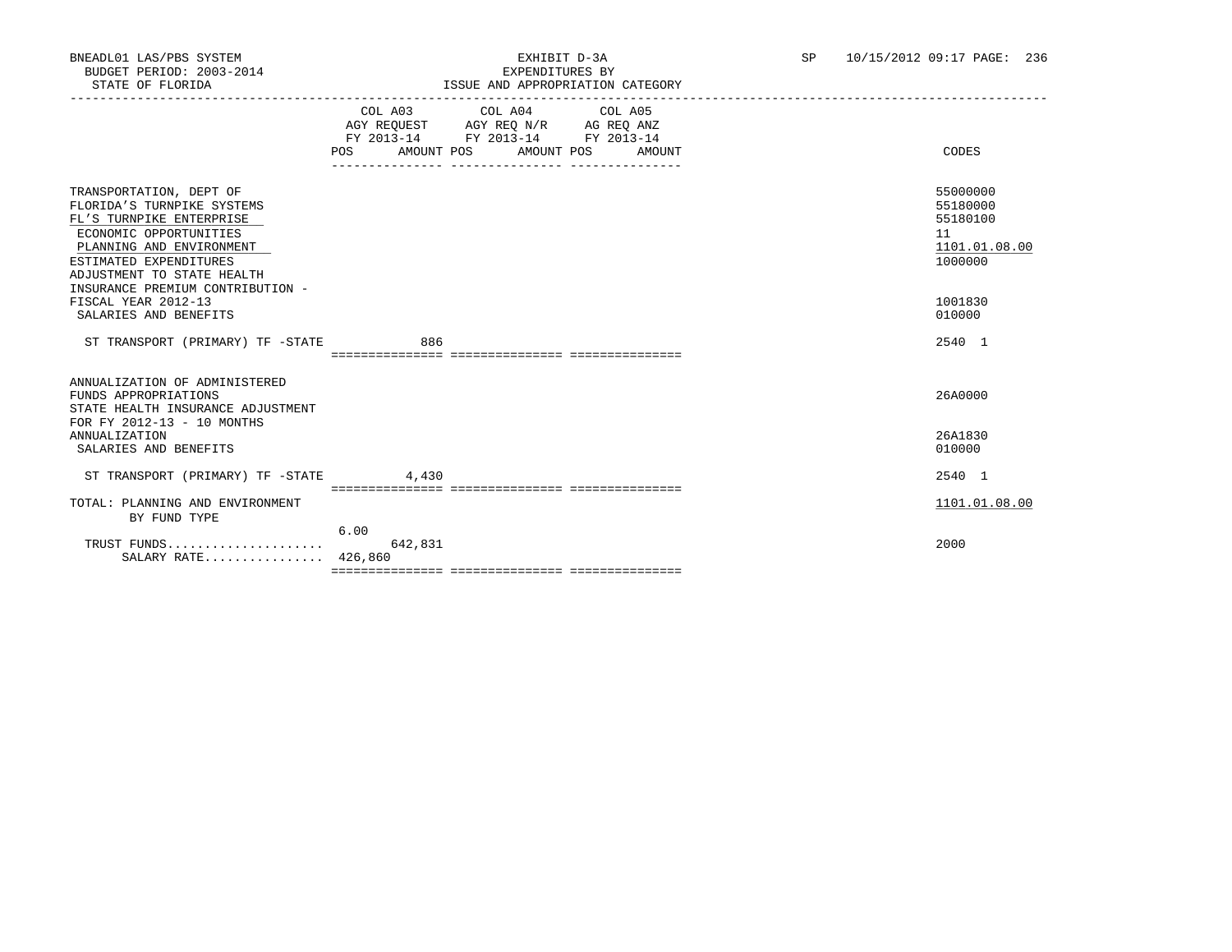|                                                                                                                                                                                                                                     | POS AMOUNT POS AMOUNT POS AMOUNT | COL A03 COL A04 COL A05<br>AGY REQUEST AGY REQ N/R AG REQ ANZ<br>FY 2013-14 FY 2013-14 FY 2013-14 |  | CODES                                                              |
|-------------------------------------------------------------------------------------------------------------------------------------------------------------------------------------------------------------------------------------|----------------------------------|---------------------------------------------------------------------------------------------------|--|--------------------------------------------------------------------|
| TRANSPORTATION, DEPT OF<br>FLORIDA'S TURNPIKE SYSTEMS<br>FL'S TURNPIKE ENTERPRISE<br>ECONOMIC OPPORTUNITIES<br>PLANNING AND ENVIRONMENT<br>ESTIMATED EXPENDITURES<br>ADJUSTMENT TO STATE HEALTH<br>INSURANCE PREMIUM CONTRIBUTION - |                                  |                                                                                                   |  | 55000000<br>55180000<br>55180100<br>11<br>1101.01.08.00<br>1000000 |
| FISCAL YEAR 2012-13<br>SALARIES AND BENEFITS                                                                                                                                                                                        |                                  |                                                                                                   |  | 1001830<br>010000                                                  |
| ST TRANSPORT (PRIMARY) TF -STATE                                                                                                                                                                                                    | 886                              |                                                                                                   |  | 2540 1                                                             |
| ANNUALIZATION OF ADMINISTERED<br>FUNDS APPROPRIATIONS<br>STATE HEALTH INSURANCE ADJUSTMENT<br>FOR FY 2012-13 - 10 MONTHS                                                                                                            |                                  |                                                                                                   |  | 26A0000                                                            |
| ANNUALIZATION<br>SALARIES AND BENEFITS                                                                                                                                                                                              |                                  |                                                                                                   |  | 26A1830<br>010000                                                  |
| ST TRANSPORT (PRIMARY) TF -STATE                                                                                                                                                                                                    | 4,430                            |                                                                                                   |  | 2540 1                                                             |
| TOTAL: PLANNING AND ENVIRONMENT<br>BY FUND TYPE                                                                                                                                                                                     |                                  |                                                                                                   |  | 1101.01.08.00                                                      |
| SALARY RATE 426,860                                                                                                                                                                                                                 | 6.00<br>642,831                  |                                                                                                   |  | 2000                                                               |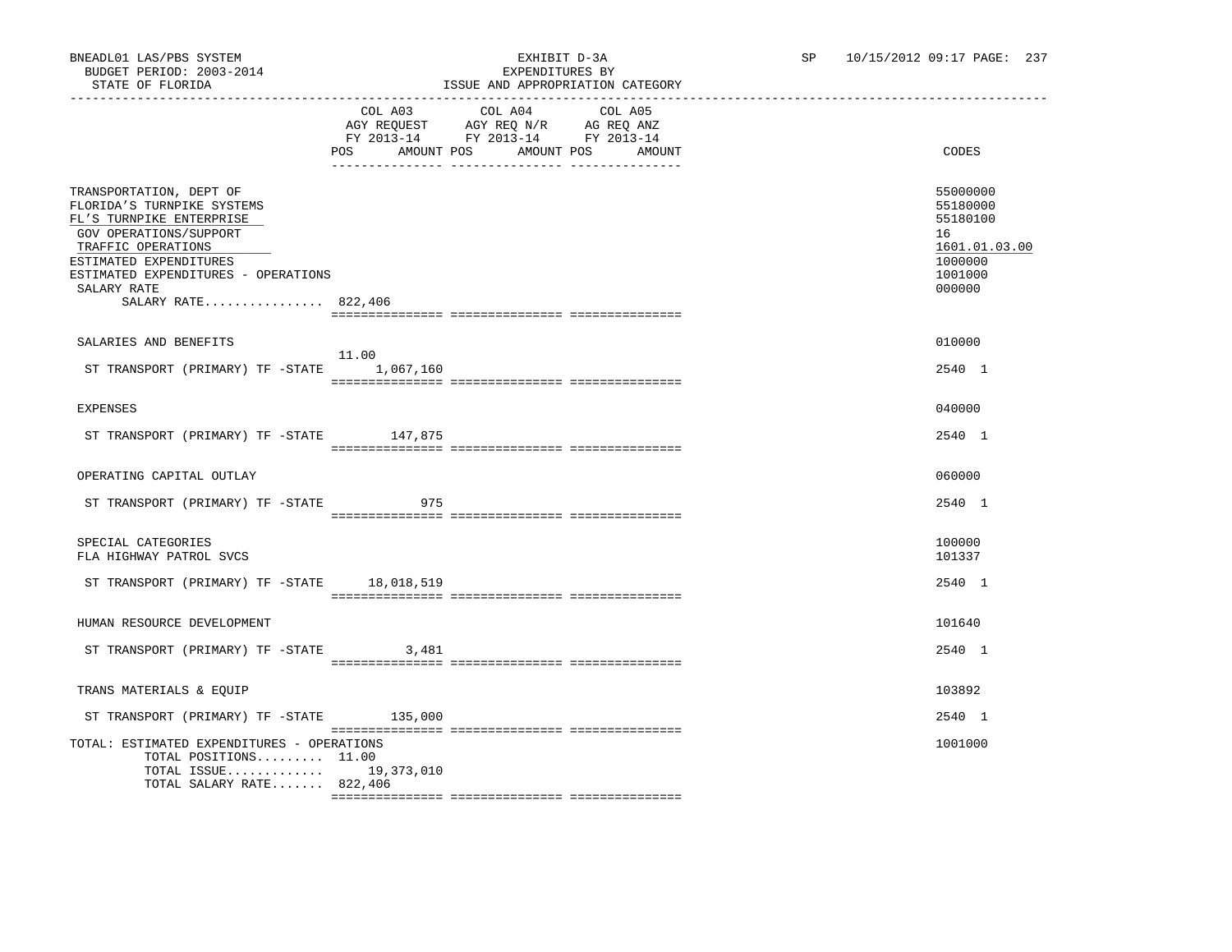|                                                                                                                                                                                                                                          |                                  | TODON THUD IN LIGHTLEIST TON                                                                      | ---------- |                                                                                         |
|------------------------------------------------------------------------------------------------------------------------------------------------------------------------------------------------------------------------------------------|----------------------------------|---------------------------------------------------------------------------------------------------|------------|-----------------------------------------------------------------------------------------|
|                                                                                                                                                                                                                                          | POS AMOUNT POS AMOUNT POS AMOUNT | COL A03 COL A04 COL A05<br>AGY REQUEST AGY REQ N/R AG REQ ANZ<br>FY 2013-14 FY 2013-14 FY 2013-14 |            | CODES                                                                                   |
| TRANSPORTATION, DEPT OF<br>FLORIDA'S TURNPIKE SYSTEMS<br>FL'S TURNPIKE ENTERPRISE<br>GOV OPERATIONS/SUPPORT<br>TRAFFIC OPERATIONS<br>ESTIMATED EXPENDITURES<br>ESTIMATED EXPENDITURES - OPERATIONS<br>SALARY RATE<br>SALARY RATE 822,406 |                                  |                                                                                                   |            | 55000000<br>55180000<br>55180100<br>16<br>1601.01.03.00<br>1000000<br>1001000<br>000000 |
| SALARIES AND BENEFITS                                                                                                                                                                                                                    |                                  |                                                                                                   |            | 010000                                                                                  |
| ST TRANSPORT (PRIMARY) TF -STATE                                                                                                                                                                                                         | 11.00<br>1,067,160               |                                                                                                   |            | 2540 1                                                                                  |
| <b>EXPENSES</b>                                                                                                                                                                                                                          |                                  |                                                                                                   |            | 040000                                                                                  |
| ST TRANSPORT (PRIMARY) TF -STATE 147,875                                                                                                                                                                                                 |                                  |                                                                                                   |            | 2540 1                                                                                  |
| OPERATING CAPITAL OUTLAY                                                                                                                                                                                                                 |                                  |                                                                                                   |            | 060000                                                                                  |
| ST TRANSPORT (PRIMARY) TF -STATE                                                                                                                                                                                                         | 975                              |                                                                                                   |            | 2540 1                                                                                  |
| SPECIAL CATEGORIES<br>FLA HIGHWAY PATROL SVCS                                                                                                                                                                                            |                                  |                                                                                                   |            | 100000<br>101337                                                                        |
| ST TRANSPORT (PRIMARY) TF -STATE 18,018,519                                                                                                                                                                                              |                                  |                                                                                                   |            | 2540 1                                                                                  |
| HUMAN RESOURCE DEVELOPMENT                                                                                                                                                                                                               |                                  |                                                                                                   |            | 101640                                                                                  |
| ST TRANSPORT (PRIMARY) TF -STATE 3,481                                                                                                                                                                                                   |                                  |                                                                                                   |            | 2540 1                                                                                  |
| TRANS MATERIALS & EQUIP                                                                                                                                                                                                                  |                                  |                                                                                                   |            | 103892                                                                                  |
| ST TRANSPORT (PRIMARY) TF -STATE 135,000                                                                                                                                                                                                 |                                  |                                                                                                   |            | 2540 1                                                                                  |
| TOTAL: ESTIMATED EXPENDITURES - OPERATIONS<br>TOTAL POSITIONS 11.00<br>TOTAL ISSUE 19,373,010<br>TOTAL SALARY RATE 822,406                                                                                                               |                                  |                                                                                                   |            | 1001000                                                                                 |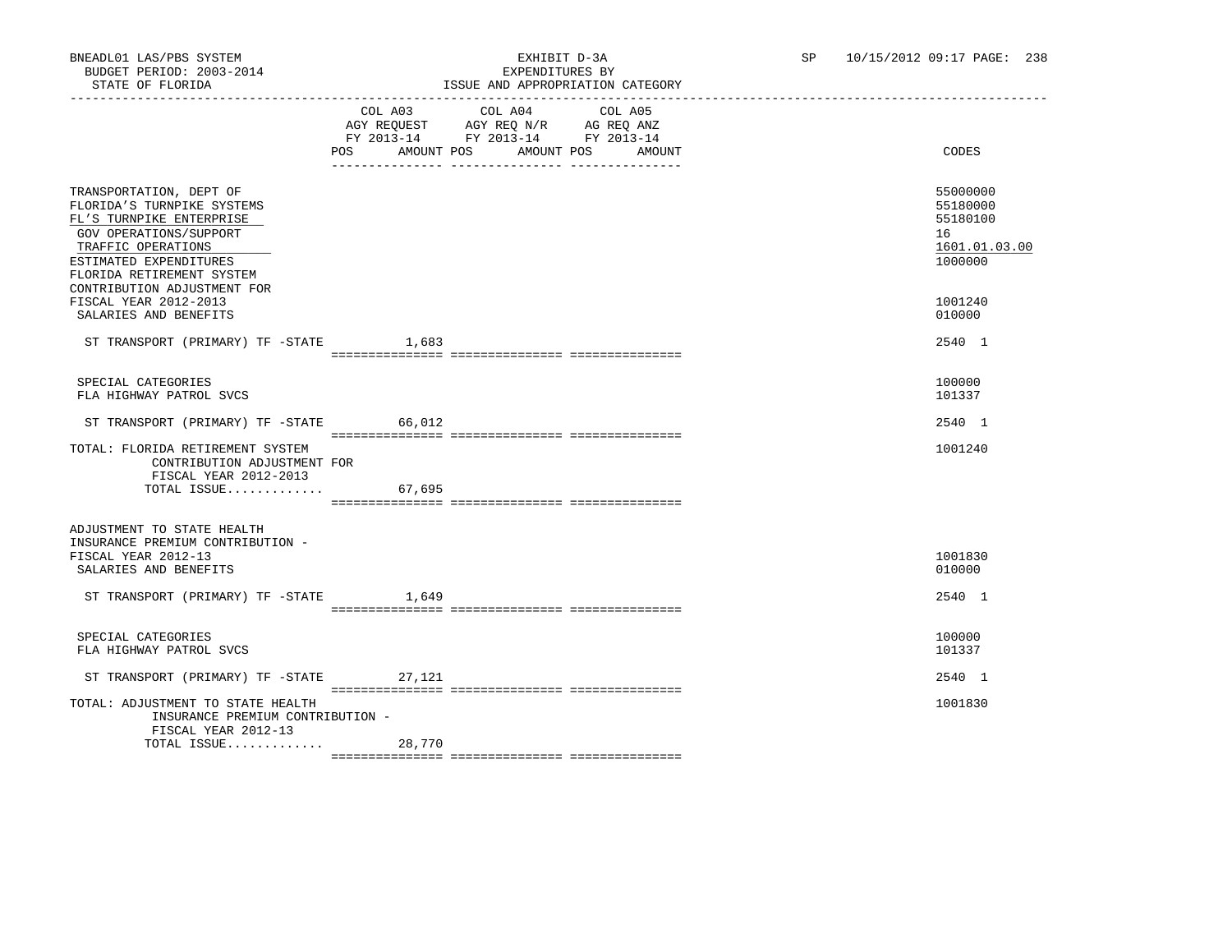|                                                                                                                                                                                                                         |                                  | LOOUS AND AFFROFRIAIION                                                                                                                                                                                        |         |  |                                                                    |
|-------------------------------------------------------------------------------------------------------------------------------------------------------------------------------------------------------------------------|----------------------------------|----------------------------------------------------------------------------------------------------------------------------------------------------------------------------------------------------------------|---------|--|--------------------------------------------------------------------|
|                                                                                                                                                                                                                         | POS AMOUNT POS AMOUNT POS AMOUNT | COL A03 COL A04<br>$\begin{tabular}{lllllll} \bf AGY \,\, REQUEST \,\, &\bf AGY \,\, REQ \,\, N/R &\bf AG \,\, REQ \,\, ANZ \\ \bf FY \,\, 2013-14 &\bf FY \,\, 2013-14 &\bf FY \,\, 2013-14 \\ \end{tabular}$ | COL A05 |  | CODES                                                              |
| TRANSPORTATION, DEPT OF<br>FLORIDA'S TURNPIKE SYSTEMS<br>FL'S TURNPIKE ENTERPRISE<br>GOV OPERATIONS/SUPPORT<br>TRAFFIC OPERATIONS<br>ESTIMATED EXPENDITURES<br>FLORIDA RETIREMENT SYSTEM<br>CONTRIBUTION ADJUSTMENT FOR |                                  |                                                                                                                                                                                                                |         |  | 55000000<br>55180000<br>55180100<br>16<br>1601.01.03.00<br>1000000 |
| FISCAL YEAR 2012-2013<br>SALARIES AND BENEFITS                                                                                                                                                                          |                                  |                                                                                                                                                                                                                |         |  | 1001240<br>010000                                                  |
| ST TRANSPORT (PRIMARY) TF -STATE 1,683                                                                                                                                                                                  |                                  |                                                                                                                                                                                                                |         |  | 2540 1                                                             |
| SPECIAL CATEGORIES<br>FLA HIGHWAY PATROL SVCS                                                                                                                                                                           |                                  |                                                                                                                                                                                                                |         |  | 100000<br>101337                                                   |
| ST TRANSPORT (PRIMARY) TF -STATE 66,012                                                                                                                                                                                 |                                  |                                                                                                                                                                                                                |         |  | 2540 1                                                             |
| TOTAL: FLORIDA RETIREMENT SYSTEM<br>CONTRIBUTION ADJUSTMENT FOR<br>FISCAL YEAR 2012-2013                                                                                                                                |                                  |                                                                                                                                                                                                                |         |  | 1001240                                                            |
| TOTAL ISSUE 67,695                                                                                                                                                                                                      |                                  |                                                                                                                                                                                                                |         |  |                                                                    |
| ADJUSTMENT TO STATE HEALTH<br>INSURANCE PREMIUM CONTRIBUTION -<br>FISCAL YEAR 2012-13<br>SALARIES AND BENEFITS                                                                                                          |                                  |                                                                                                                                                                                                                |         |  | 1001830<br>010000                                                  |
| ST TRANSPORT (PRIMARY) TF -STATE 1,649                                                                                                                                                                                  |                                  |                                                                                                                                                                                                                |         |  | 2540 1                                                             |
| SPECIAL CATEGORIES<br>FLA HIGHWAY PATROL SVCS                                                                                                                                                                           |                                  |                                                                                                                                                                                                                |         |  | 100000<br>101337                                                   |
| ST TRANSPORT (PRIMARY) TF -STATE 27,121                                                                                                                                                                                 |                                  |                                                                                                                                                                                                                |         |  | 2540 1                                                             |
| TOTAL: ADJUSTMENT TO STATE HEALTH<br>INSURANCE PREMIUM CONTRIBUTION -<br>FISCAL YEAR 2012-13                                                                                                                            |                                  |                                                                                                                                                                                                                |         |  | 1001830                                                            |
| TOTAL ISSUE                                                                                                                                                                                                             | 28,770                           |                                                                                                                                                                                                                |         |  |                                                                    |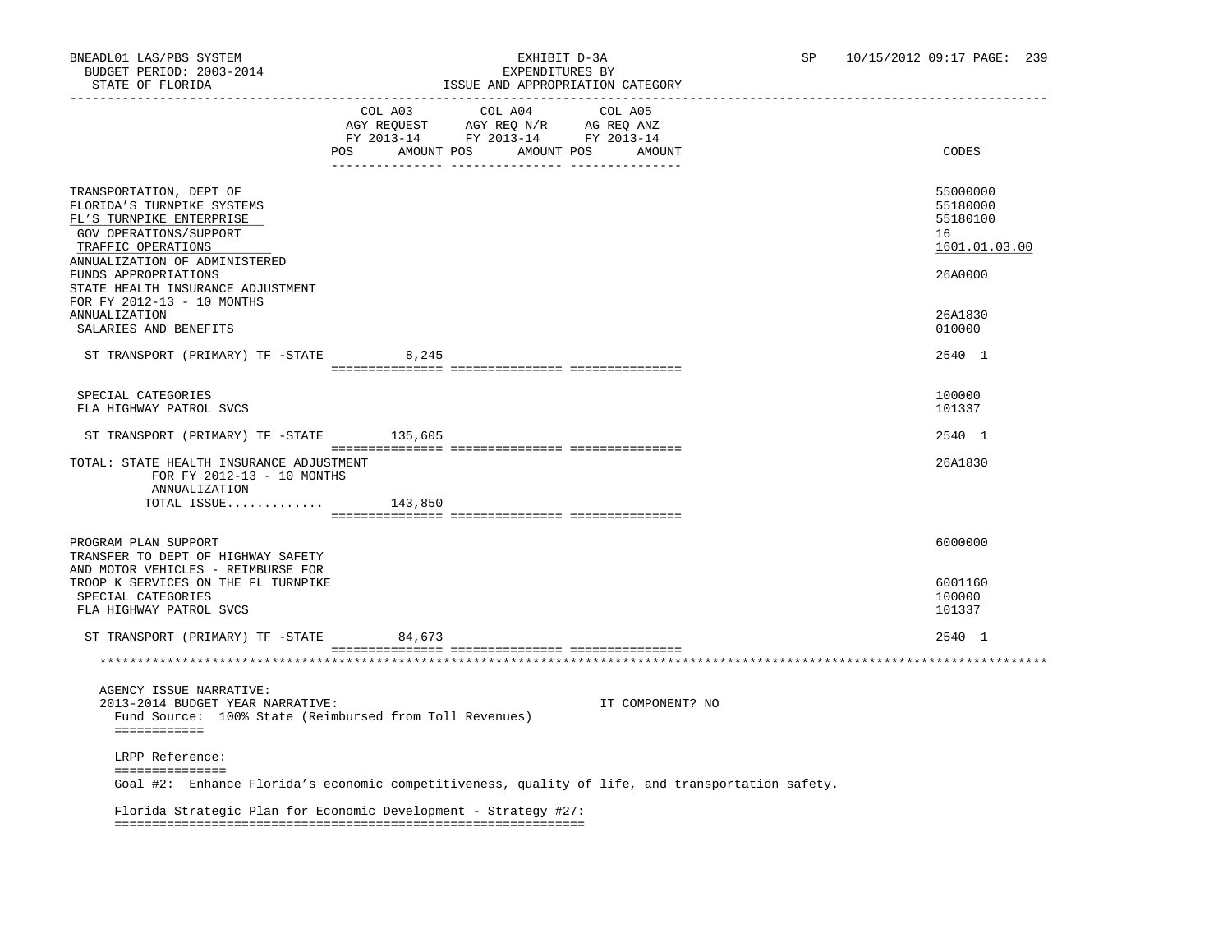| DIAIE OF FEORIDA                                                                                                                                                   |                           |                                                     | LOOUE AND AFFROFRIAIION CAIEGORI |                                                         |
|--------------------------------------------------------------------------------------------------------------------------------------------------------------------|---------------------------|-----------------------------------------------------|----------------------------------|---------------------------------------------------------|
|                                                                                                                                                                    | POS AMOUNT POS AMOUNT POS | COL A03 COL A04<br>FY 2013-14 FY 2013-14 FY 2013-14 | COL A05<br>AMOUNT                | CODES                                                   |
| TRANSPORTATION, DEPT OF<br>FLORIDA'S TURNPIKE SYSTEMS<br>FL'S TURNPIKE ENTERPRISE<br>GOV OPERATIONS/SUPPORT<br>TRAFFIC OPERATIONS<br>ANNUALIZATION OF ADMINISTERED |                           |                                                     |                                  | 55000000<br>55180000<br>55180100<br>16<br>1601.01.03.00 |
| FUNDS APPROPRIATIONS<br>STATE HEALTH INSURANCE ADJUSTMENT<br>FOR FY 2012-13 - 10 MONTHS<br>ANNUALIZATION                                                           |                           |                                                     |                                  | 26A0000<br>26A1830                                      |
| SALARIES AND BENEFITS<br>ST TRANSPORT (PRIMARY) TF -STATE 8,245                                                                                                    |                           |                                                     |                                  | 010000<br>2540 1                                        |
|                                                                                                                                                                    |                           |                                                     |                                  |                                                         |
| SPECIAL CATEGORIES<br>FLA HIGHWAY PATROL SVCS                                                                                                                      |                           |                                                     |                                  | 100000<br>101337                                        |
| ST TRANSPORT (PRIMARY) TF -STATE 135,605                                                                                                                           |                           |                                                     |                                  | 2540 1                                                  |
| TOTAL: STATE HEALTH INSURANCE ADJUSTMENT<br>FOR FY 2012-13 - 10 MONTHS<br>ANNUALIZATION                                                                            |                           |                                                     |                                  | 26A1830                                                 |
| TOTAL ISSUE $143,850$                                                                                                                                              |                           |                                                     |                                  |                                                         |
| PROGRAM PLAN SUPPORT                                                                                                                                               |                           |                                                     |                                  | 6000000                                                 |
| TRANSFER TO DEPT OF HIGHWAY SAFETY<br>AND MOTOR VEHICLES - REIMBURSE FOR                                                                                           |                           |                                                     |                                  |                                                         |
| TROOP K SERVICES ON THE FL TURNPIKE<br>SPECIAL CATEGORIES<br>FLA HIGHWAY PATROL SVCS                                                                               |                           |                                                     |                                  | 6001160<br>100000<br>101337                             |
| ST TRANSPORT (PRIMARY) TF -STATE                                                                                                                                   | 84,673                    |                                                     |                                  | 2540 1                                                  |
|                                                                                                                                                                    |                           |                                                     |                                  |                                                         |
|                                                                                                                                                                    |                           |                                                     |                                  |                                                         |
| AGENCY ISSUE NARRATIVE:<br>2013-2014 BUDGET YEAR NARRATIVE:<br>Fund Source: 100% State (Reimbursed from Toll Revenues)<br>============                             |                           |                                                     | IT COMPONENT? NO                 |                                                         |
| LRPP Reference:                                                                                                                                                    |                           |                                                     |                                  |                                                         |
| ===============<br>Goal #2: Enhance Florida's economic competitiveness, quality of life, and transportation safety.                                                |                           |                                                     |                                  |                                                         |
| Florida Strategic Plan for Economic Development - Strategy #27:                                                                                                    |                           |                                                     |                                  |                                                         |
|                                                                                                                                                                    |                           |                                                     |                                  |                                                         |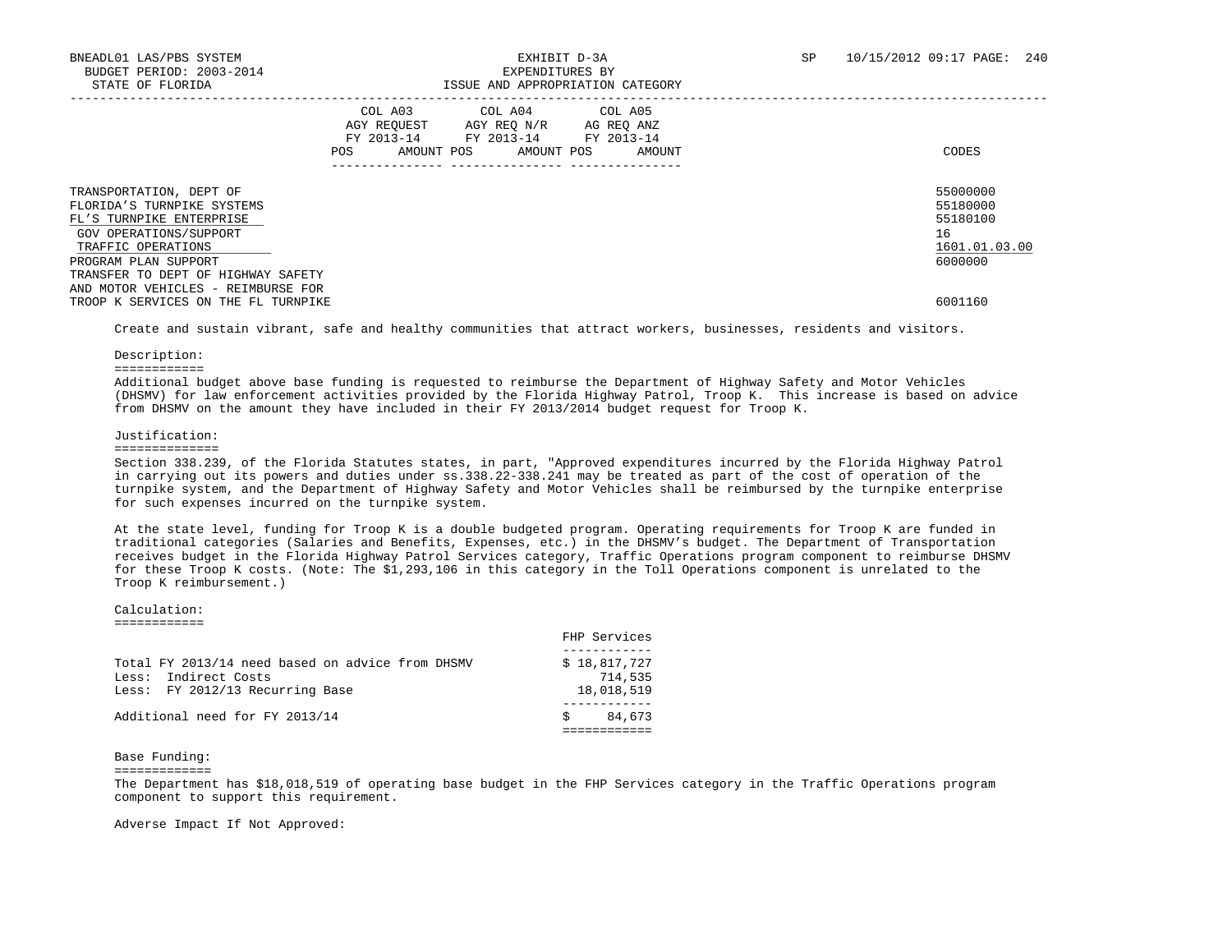|                                                                                                                                                                                                 | COL A03<br>AGY REOUEST<br>FY 2013-14<br>AMOUNT POS<br>POS | COL A04 COL A05<br>AGY REO N/R<br>FY 2013-14<br>AMOUNT POS | AG REO ANZ<br>FY 2013-14<br>AMOUNT | CODES                                                              |
|-------------------------------------------------------------------------------------------------------------------------------------------------------------------------------------------------|-----------------------------------------------------------|------------------------------------------------------------|------------------------------------|--------------------------------------------------------------------|
| TRANSPORTATION, DEPT OF<br>FLORIDA'S TURNPIKE SYSTEMS<br>FL'S TURNPIKE ENTERPRISE<br>GOV OPERATIONS/SUPPORT<br>TRAFFIC OPERATIONS<br>PROGRAM PLAN SUPPORT<br>TRANSFER TO DEPT OF HIGHWAY SAFETY |                                                           |                                                            |                                    | 55000000<br>55180000<br>55180100<br>16<br>1601.01.03.00<br>6000000 |
| AND MOTOR VEHICLES - REIMBURSE FOR<br>TROOP K SERVICES ON THE FL TURNPIKE                                                                                                                       |                                                           |                                                            |                                    | 6001160                                                            |

Create and sustain vibrant, safe and healthy communities that attract workers, businesses, residents and visitors.

Description:

============

 Additional budget above base funding is requested to reimburse the Department of Highway Safety and Motor Vehicles (DHSMV) for law enforcement activities provided by the Florida Highway Patrol, Troop K. This increase is based on advice from DHSMV on the amount they have included in their FY 2013/2014 budget request for Troop K.

### Justification:

#### ==============

 Section 338.239, of the Florida Statutes states, in part, "Approved expenditures incurred by the Florida Highway Patrol in carrying out its powers and duties under ss.338.22-338.241 may be treated as part of the cost of operation of the turnpike system, and the Department of Highway Safety and Motor Vehicles shall be reimbursed by the turnpike enterprise for such expenses incurred on the turnpike system.

 At the state level, funding for Troop K is a double budgeted program. Operating requirements for Troop K are funded in traditional categories (Salaries and Benefits, Expenses, etc.) in the DHSMV's budget. The Department of Transportation receives budget in the Florida Highway Patrol Services category, Traffic Operations program component to reimburse DHSMV for these Troop K costs. (Note: The \$1,293,106 in this category in the Toll Operations component is unrelated to the Troop K reimbursement.)

### Calculation:

============

|                                                                                                             | FHP Services                          |
|-------------------------------------------------------------------------------------------------------------|---------------------------------------|
| Total FY 2013/14 need based on advice from DHSMV<br>Less: Indirect Costs<br>Less: FY 2012/13 Recurring Base | \$18,817,727<br>714,535<br>18,018,519 |
| Additional need for FY 2013/14                                                                              | 84,673                                |

Base Funding:

=============

 The Department has \$18,018,519 of operating base budget in the FHP Services category in the Traffic Operations program component to support this requirement.

Adverse Impact If Not Approved: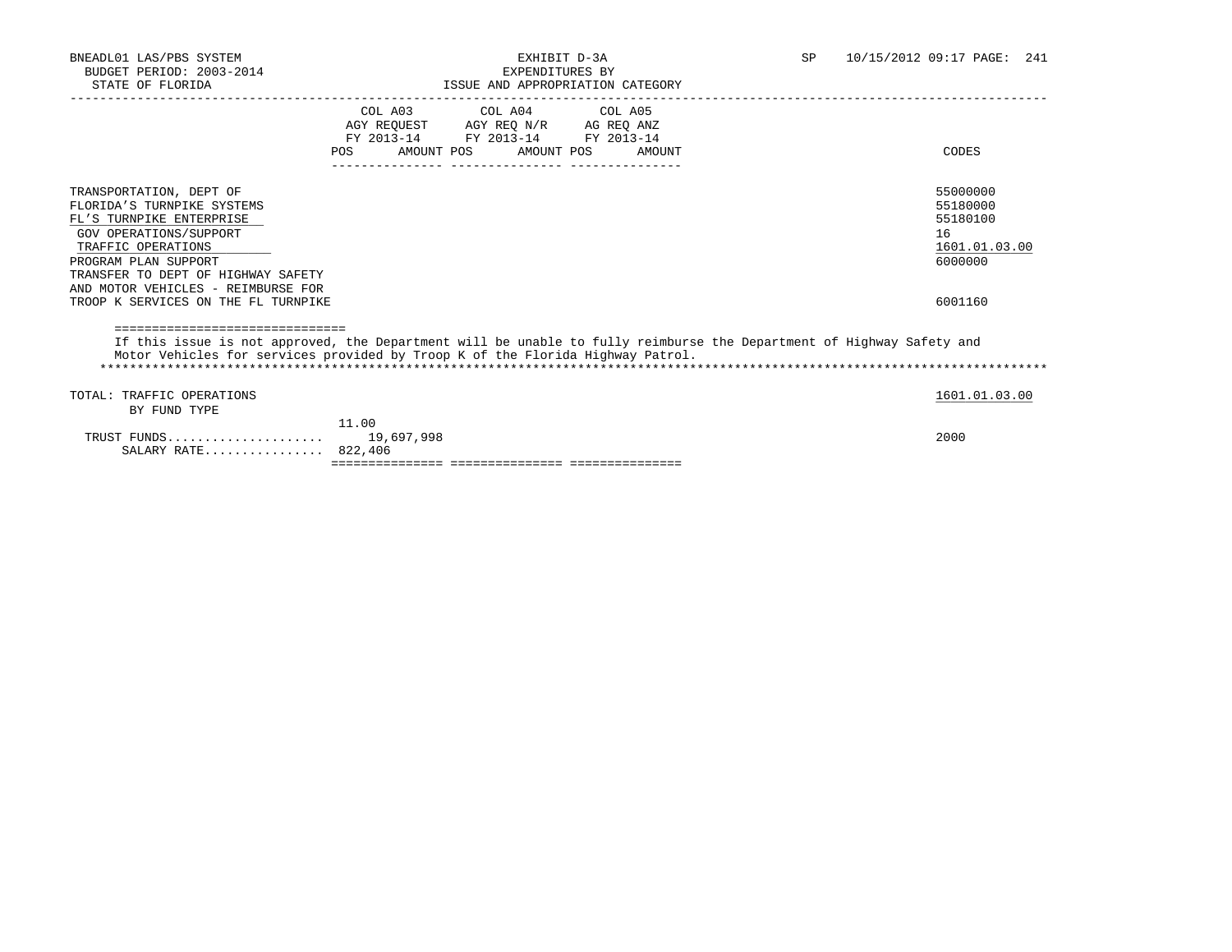|                                                                                                                                                                                                                                         | POS   | COL A03 COL A04 COL A05<br>AGY REQUEST AGY REQ N/R AG REQ ANZ<br>FY 2013-14 FY 2013-14 FY 2013-14<br>AMOUNT POS AMOUNT POS | AMOUNT | CODES                                                              |
|-----------------------------------------------------------------------------------------------------------------------------------------------------------------------------------------------------------------------------------------|-------|----------------------------------------------------------------------------------------------------------------------------|--------|--------------------------------------------------------------------|
| TRANSPORTATION, DEPT OF<br>FLORIDA'S TURNPIKE SYSTEMS<br>FL'S TURNPIKE ENTERPRISE<br><b>GOV OPERATIONS/SUPPORT</b><br>TRAFFIC OPERATIONS<br>PROGRAM PLAN SUPPORT<br>TRANSFER TO DEPT OF HIGHWAY SAFETY                                  |       |                                                                                                                            |        | 55000000<br>55180000<br>55180100<br>16<br>1601.01.03.00<br>6000000 |
| AND MOTOR VEHICLES - REIMBURSE FOR<br>TROOP K SERVICES ON THE FL TURNPIKE                                                                                                                                                               |       |                                                                                                                            |        | 6001160                                                            |
| =============================<br>If this issue is not approved, the Department will be unable to fully reimburse the Department of Highway Safety and<br>Motor Vehicles for services provided by Troop K of the Florida Highway Patrol. |       |                                                                                                                            |        |                                                                    |
| TOTAL: TRAFFIC OPERATIONS<br>BY FUND TYPE                                                                                                                                                                                               |       |                                                                                                                            |        | 1601.01.03.00                                                      |
| SALARY RATE 822,406                                                                                                                                                                                                                     | 11.00 |                                                                                                                            |        | 2000                                                               |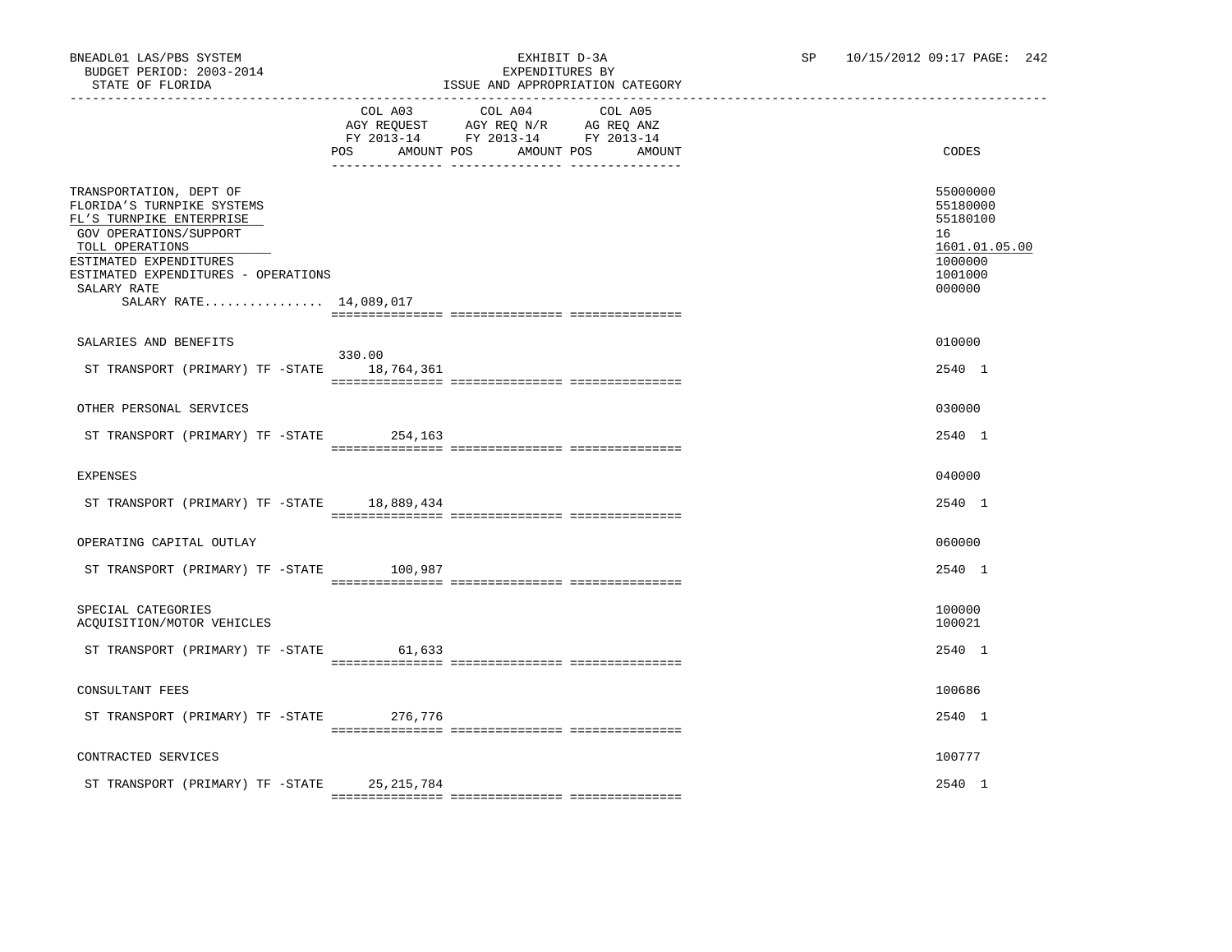|                                                                                                                                                                                                                                          | COL A03<br>AMOUNT POS<br>POS | COL A04 COL A05<br>AGY REQUEST AGY REQ N/R AG REQ ANZ<br>FY 2013-14 FY 2013-14 FY 2013-14<br>AMOUNT POS | AMOUNT | CODES                                                                                   |
|------------------------------------------------------------------------------------------------------------------------------------------------------------------------------------------------------------------------------------------|------------------------------|---------------------------------------------------------------------------------------------------------|--------|-----------------------------------------------------------------------------------------|
| TRANSPORTATION, DEPT OF<br>FLORIDA'S TURNPIKE SYSTEMS<br>FL'S TURNPIKE ENTERPRISE<br>GOV OPERATIONS/SUPPORT<br>TOLL OPERATIONS<br>ESTIMATED EXPENDITURES<br>ESTIMATED EXPENDITURES - OPERATIONS<br>SALARY RATE<br>SALARY RATE 14,089,017 |                              |                                                                                                         |        | 55000000<br>55180000<br>55180100<br>16<br>1601.01.05.00<br>1000000<br>1001000<br>000000 |
| SALARIES AND BENEFITS                                                                                                                                                                                                                    |                              |                                                                                                         |        | 010000                                                                                  |
|                                                                                                                                                                                                                                          | 330.00                       |                                                                                                         |        |                                                                                         |
| ST TRANSPORT (PRIMARY) TF -STATE                                                                                                                                                                                                         | 18,764,361                   |                                                                                                         |        | 2540 1                                                                                  |
| OTHER PERSONAL SERVICES                                                                                                                                                                                                                  |                              |                                                                                                         |        | 030000                                                                                  |
|                                                                                                                                                                                                                                          |                              |                                                                                                         |        |                                                                                         |
| ST TRANSPORT (PRIMARY) TF -STATE 254,163                                                                                                                                                                                                 |                              |                                                                                                         |        | 2540 1                                                                                  |
| <b>EXPENSES</b>                                                                                                                                                                                                                          |                              |                                                                                                         |        | 040000                                                                                  |
| ST TRANSPORT (PRIMARY) TF -STATE 18,889,434                                                                                                                                                                                              |                              |                                                                                                         |        | 2540 1                                                                                  |
|                                                                                                                                                                                                                                          |                              |                                                                                                         |        |                                                                                         |
| OPERATING CAPITAL OUTLAY                                                                                                                                                                                                                 |                              |                                                                                                         |        | 060000                                                                                  |
| ST TRANSPORT (PRIMARY) TF -STATE                                                                                                                                                                                                         | 100,987                      |                                                                                                         |        | 2540 1                                                                                  |
|                                                                                                                                                                                                                                          |                              |                                                                                                         |        |                                                                                         |
| SPECIAL CATEGORIES<br>ACQUISITION/MOTOR VEHICLES                                                                                                                                                                                         |                              |                                                                                                         |        | 100000<br>100021                                                                        |
| ST TRANSPORT (PRIMARY) TF -STATE                                                                                                                                                                                                         | 61,633                       |                                                                                                         |        | 2540 1                                                                                  |
|                                                                                                                                                                                                                                          |                              |                                                                                                         |        |                                                                                         |
| CONSULTANT FEES                                                                                                                                                                                                                          |                              |                                                                                                         |        | 100686                                                                                  |
| ST TRANSPORT (PRIMARY) TF -STATE 276,776                                                                                                                                                                                                 |                              |                                                                                                         |        | 2540 1                                                                                  |
|                                                                                                                                                                                                                                          |                              |                                                                                                         |        |                                                                                         |
| CONTRACTED SERVICES                                                                                                                                                                                                                      |                              |                                                                                                         |        | 100777                                                                                  |
| ST TRANSPORT (PRIMARY) TF -STATE 25, 215, 784                                                                                                                                                                                            |                              |                                                                                                         |        | 2540 1                                                                                  |

=============== =============== ===============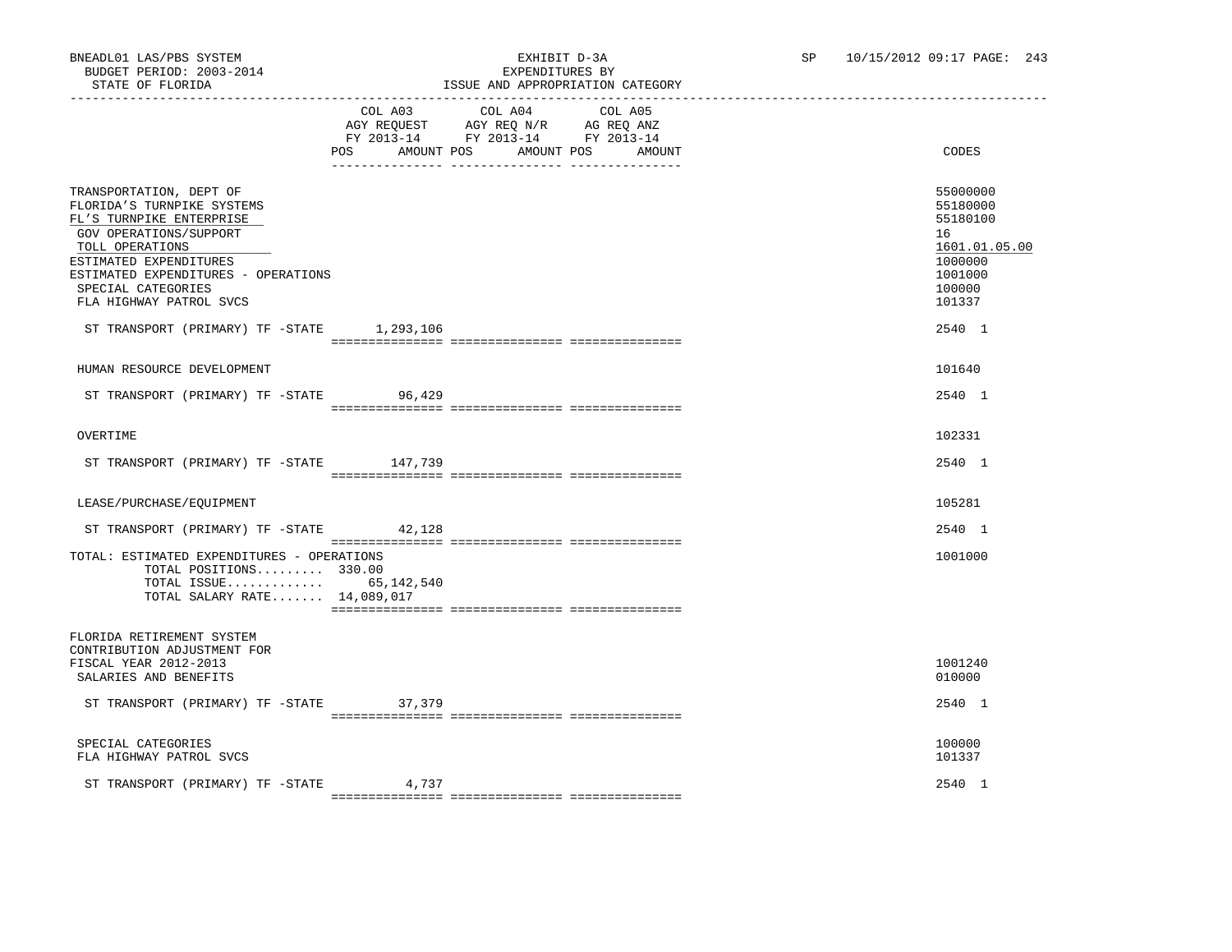# BNEADL01 LAS/PBS SYSTEM EXHIBIT D-3A SP 10/15/2012 09:17 PAGE: 243 ISSUE AND APPROPRIATION CATEGORY

|                                                                                                                                                                                                                                                  | POS AMOUNT POS | COL A03 COL A04 COL A05<br>AGY REQUEST AGY REQ N/R AG REQ ANZ<br>FY 2013-14 FY 2013-14 FY 2013-14 | AMOUNT POS<br>AMOUNT | CODES                                                                                             |
|--------------------------------------------------------------------------------------------------------------------------------------------------------------------------------------------------------------------------------------------------|----------------|---------------------------------------------------------------------------------------------------|----------------------|---------------------------------------------------------------------------------------------------|
| TRANSPORTATION, DEPT OF<br>FLORIDA'S TURNPIKE SYSTEMS<br>FL'S TURNPIKE ENTERPRISE<br>GOV OPERATIONS/SUPPORT<br>TOLL OPERATIONS<br>ESTIMATED EXPENDITURES<br>ESTIMATED EXPENDITURES - OPERATIONS<br>SPECIAL CATEGORIES<br>FLA HIGHWAY PATROL SVCS |                |                                                                                                   |                      | 55000000<br>55180000<br>55180100<br>16<br>1601.01.05.00<br>1000000<br>1001000<br>100000<br>101337 |
| ST TRANSPORT (PRIMARY) TF -STATE 1,293,106                                                                                                                                                                                                       |                |                                                                                                   |                      | 2540 1                                                                                            |
| HUMAN RESOURCE DEVELOPMENT                                                                                                                                                                                                                       |                |                                                                                                   |                      | 101640                                                                                            |
| ST TRANSPORT (PRIMARY) TF -STATE 96,429                                                                                                                                                                                                          |                |                                                                                                   |                      | 2540 1                                                                                            |
| OVERTIME                                                                                                                                                                                                                                         |                |                                                                                                   |                      | 102331                                                                                            |
| ST TRANSPORT (PRIMARY) TF -STATE 147,739                                                                                                                                                                                                         |                |                                                                                                   |                      | 2540 1                                                                                            |
| LEASE/PURCHASE/EOUIPMENT                                                                                                                                                                                                                         |                |                                                                                                   |                      | 105281                                                                                            |
| ST TRANSPORT (PRIMARY) TF -STATE 42,128                                                                                                                                                                                                          |                |                                                                                                   |                      | 2540 1                                                                                            |
| TOTAL: ESTIMATED EXPENDITURES - OPERATIONS<br>TOTAL POSITIONS 330.00<br>TOTAL ISSUE $65,142,540$<br>TOTAL SALARY RATE 14,089,017                                                                                                                 |                |                                                                                                   |                      | 1001000                                                                                           |
| FLORIDA RETIREMENT SYSTEM<br>CONTRIBUTION ADJUSTMENT FOR<br>FISCAL YEAR 2012-2013<br>SALARIES AND BENEFITS                                                                                                                                       |                |                                                                                                   |                      | 1001240<br>010000                                                                                 |
| ST TRANSPORT (PRIMARY) TF -STATE                                                                                                                                                                                                                 | 37,379         |                                                                                                   |                      | 2540 1                                                                                            |
| SPECIAL CATEGORIES<br>FLA HIGHWAY PATROL SVCS                                                                                                                                                                                                    |                |                                                                                                   |                      | 100000<br>101337                                                                                  |
| ST TRANSPORT (PRIMARY) TF -STATE                                                                                                                                                                                                                 | 4,737          |                                                                                                   |                      | 2540 1                                                                                            |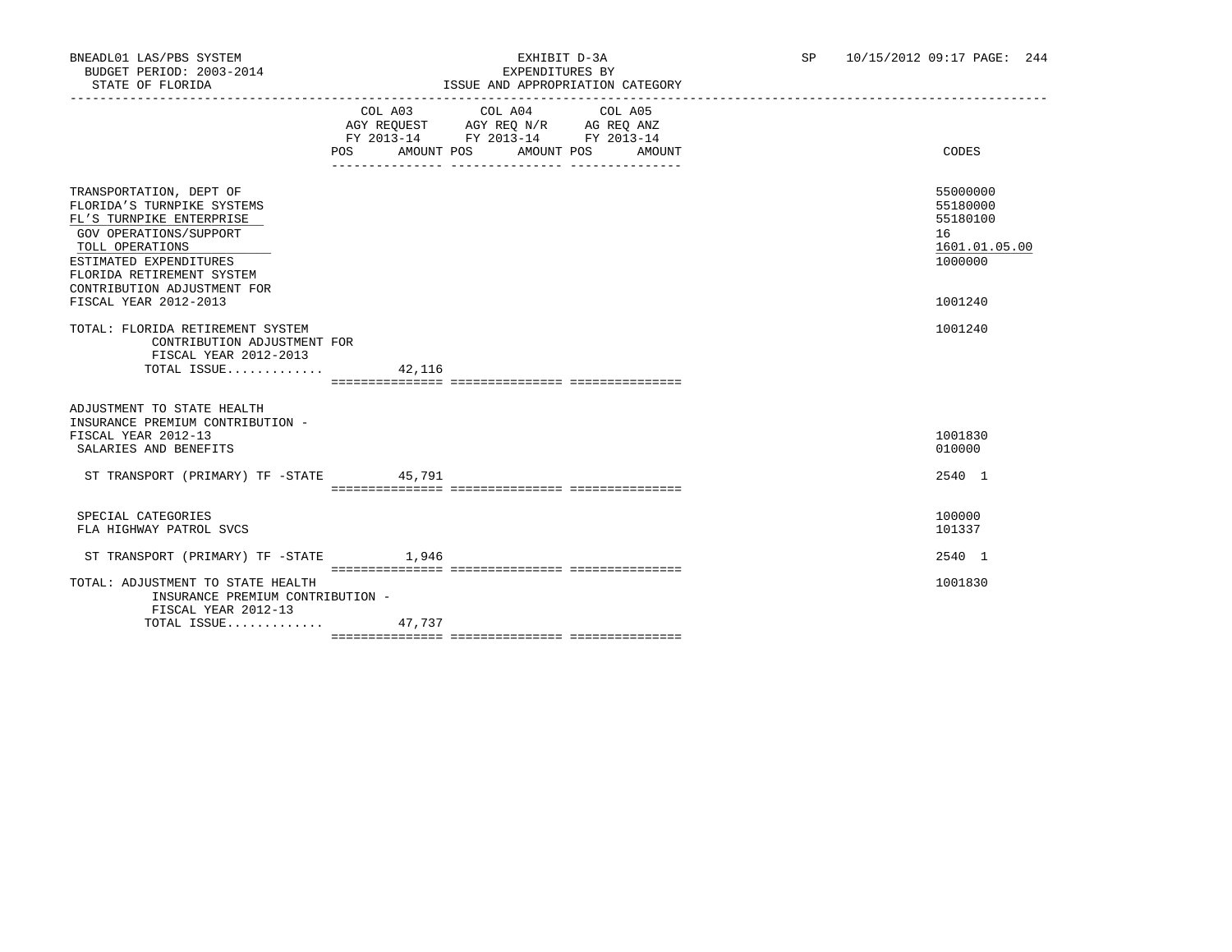|                                                                                                                                                                                       | POS AMOUNT POS AMOUNT POS | COL A03 COL A04 COL A05<br>AGY REQUEST AGY REQ N/R AG REQ ANZ<br>FY 2013-14 FY 2013-14 FY 2013-14 | AMOUNT | CODES                                                              |
|---------------------------------------------------------------------------------------------------------------------------------------------------------------------------------------|---------------------------|---------------------------------------------------------------------------------------------------|--------|--------------------------------------------------------------------|
|                                                                                                                                                                                       |                           |                                                                                                   |        |                                                                    |
| TRANSPORTATION, DEPT OF<br>FLORIDA'S TURNPIKE SYSTEMS<br>FL'S TURNPIKE ENTERPRISE<br>GOV OPERATIONS/SUPPORT<br>TOLL OPERATIONS<br>ESTIMATED EXPENDITURES<br>FLORIDA RETIREMENT SYSTEM |                           |                                                                                                   |        | 55000000<br>55180000<br>55180100<br>16<br>1601.01.05.00<br>1000000 |
| CONTRIBUTION ADJUSTMENT FOR                                                                                                                                                           |                           |                                                                                                   |        |                                                                    |
| FISCAL YEAR 2012-2013                                                                                                                                                                 |                           |                                                                                                   |        | 1001240                                                            |
| TOTAL: FLORIDA RETIREMENT SYSTEM<br>CONTRIBUTION ADJUSTMENT FOR<br>FISCAL YEAR 2012-2013<br>TOTAL ISSUE                                                                               | 42,116                    |                                                                                                   |        | 1001240                                                            |
|                                                                                                                                                                                       |                           |                                                                                                   |        |                                                                    |
| ADJUSTMENT TO STATE HEALTH<br>INSURANCE PREMIUM CONTRIBUTION -<br>FISCAL YEAR 2012-13<br>SALARIES AND BENEFITS                                                                        |                           |                                                                                                   |        | 1001830<br>010000                                                  |
| ST TRANSPORT (PRIMARY) TF -STATE 45,791                                                                                                                                               |                           |                                                                                                   |        | 2540 1                                                             |
|                                                                                                                                                                                       |                           |                                                                                                   |        |                                                                    |
| SPECIAL CATEGORIES<br>FLA HIGHWAY PATROL SVCS                                                                                                                                         |                           |                                                                                                   |        | 100000<br>101337                                                   |
| ST TRANSPORT (PRIMARY) TF -STATE                                                                                                                                                      | 1,946                     |                                                                                                   |        | 2540 1                                                             |
| TOTAL: ADJUSTMENT TO STATE HEALTH<br>INSURANCE PREMIUM CONTRIBUTION -<br>FISCAL YEAR 2012-13                                                                                          |                           |                                                                                                   |        | 1001830                                                            |
| TOTAL ISSUE 47,737                                                                                                                                                                    |                           |                                                                                                   |        |                                                                    |
|                                                                                                                                                                                       |                           |                                                                                                   |        |                                                                    |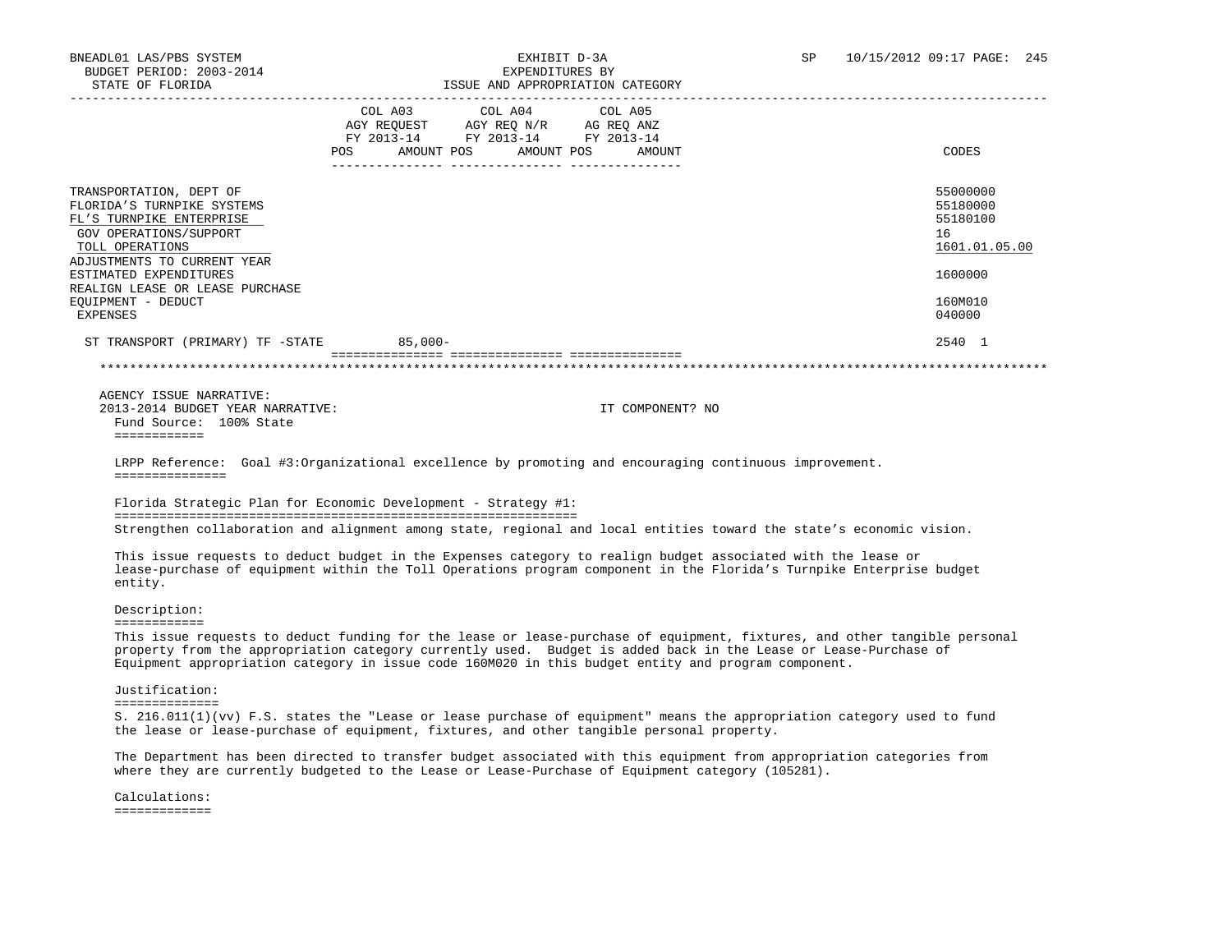| STATE OF FLORIDA                                                                                                                                                                                                                             |                           |                                                                                           | ISSUE AND APPROPRIATION CATEGORY |                                                                                                                           |  |
|----------------------------------------------------------------------------------------------------------------------------------------------------------------------------------------------------------------------------------------------|---------------------------|-------------------------------------------------------------------------------------------|----------------------------------|---------------------------------------------------------------------------------------------------------------------------|--|
|                                                                                                                                                                                                                                              | POS AMOUNT POS AMOUNT POS | COL A03 COL A04<br>AGY REQUEST AGY REQ N/R AG REQ ANZ<br>FY 2013-14 FY 2013-14 FY 2013-14 | COL A05<br>AMOUNT                | <b>CODES</b>                                                                                                              |  |
| TRANSPORTATION, DEPT OF<br>FLORIDA'S TURNPIKE SYSTEMS<br>FL'S TURNPIKE ENTERPRISE<br>GOV OPERATIONS/SUPPORT<br>TOLL OPERATIONS                                                                                                               |                           |                                                                                           |                                  | 55000000<br>55180000<br>55180100<br>16<br>1601.01.05.00                                                                   |  |
| ADJUSTMENTS TO CURRENT YEAR<br>ESTIMATED EXPENDITURES                                                                                                                                                                                        |                           |                                                                                           |                                  | 1600000                                                                                                                   |  |
| REALIGN LEASE OR LEASE PURCHASE<br>EQUIPMENT - DEDUCT<br><b>EXPENSES</b>                                                                                                                                                                     |                           |                                                                                           |                                  | 160M010<br>040000                                                                                                         |  |
| ST TRANSPORT (PRIMARY) TF -STATE 85,000-                                                                                                                                                                                                     |                           |                                                                                           |                                  | 2540 1                                                                                                                    |  |
|                                                                                                                                                                                                                                              |                           |                                                                                           |                                  |                                                                                                                           |  |
| AGENCY ISSUE NARRATIVE:<br>2013-2014 BUDGET YEAR NARRATIVE:<br>Fund Source: 100% State<br>============                                                                                                                                       |                           |                                                                                           | IT COMPONENT? NO                 |                                                                                                                           |  |
| LRPP Reference: Goal #3:Organizational excellence by promoting and encouraging continuous improvement.<br>===============                                                                                                                    |                           |                                                                                           |                                  |                                                                                                                           |  |
| Florida Strategic Plan for Economic Development - Strategy #1:                                                                                                                                                                               |                           |                                                                                           |                                  |                                                                                                                           |  |
|                                                                                                                                                                                                                                              |                           |                                                                                           |                                  | Strengthen collaboration and alignment among state, regional and local entities toward the state's economic vision.       |  |
| This issue requests to deduct budget in the Expenses category to realign budget associated with the lease or<br>entity.                                                                                                                      |                           |                                                                                           |                                  | lease-purchase of equipment within the Toll Operations program component in the Florida's Turnpike Enterprise budget      |  |
| Description:                                                                                                                                                                                                                                 |                           |                                                                                           |                                  |                                                                                                                           |  |
| <b>SEBSSEBSSEE</b><br>property from the appropriation category currently used. Budget is added back in the Lease or Lease-Purchase of<br>Equipment appropriation category in issue code 160M020 in this budget entity and program component. |                           |                                                                                           |                                  | This issue requests to deduct funding for the lease or lease-purchase of equipment, fixtures, and other tangible personal |  |
| Justification:<br>==============                                                                                                                                                                                                             |                           |                                                                                           |                                  |                                                                                                                           |  |
| the lease or lease-purchase of equipment, fixtures, and other tangible personal property.                                                                                                                                                    |                           |                                                                                           |                                  | S. 216.011(1)(vv) F.S. states the "Lease or lease purchase of equipment" means the appropriation category used to fund    |  |
| where they are currently budgeted to the Lease or Lease-Purchase of Equipment category (105281).                                                                                                                                             |                           |                                                                                           |                                  | The Department has been directed to transfer budget associated with this equipment from appropriation categories from     |  |
| Calculations:                                                                                                                                                                                                                                |                           |                                                                                           |                                  |                                                                                                                           |  |

=============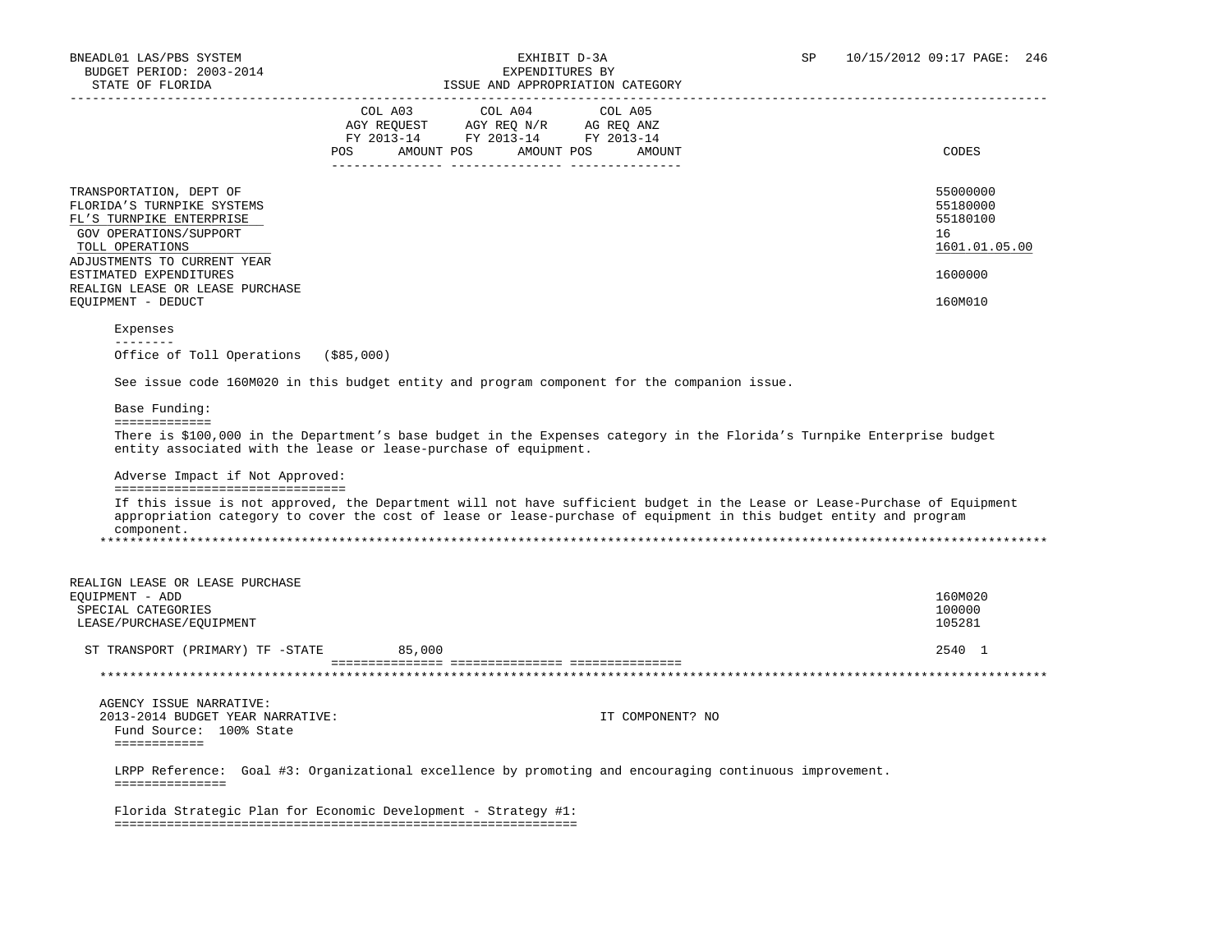| STATE OF FLORIDA                                                                                                                                                                        |         | ISSUE AND APPROPRIATION CATEGORY                                                                        |                                                                                                                                                                                                                                                 |
|-----------------------------------------------------------------------------------------------------------------------------------------------------------------------------------------|---------|---------------------------------------------------------------------------------------------------------|-------------------------------------------------------------------------------------------------------------------------------------------------------------------------------------------------------------------------------------------------|
|                                                                                                                                                                                         | COL A03 | COL A04<br>COL A05                                                                                      |                                                                                                                                                                                                                                                 |
|                                                                                                                                                                                         |         | AGY REQUEST AGY REQ N/R AG REQ ANZ                                                                      |                                                                                                                                                                                                                                                 |
|                                                                                                                                                                                         |         | FY 2013-14 FY 2013-14 FY 2013-14                                                                        |                                                                                                                                                                                                                                                 |
|                                                                                                                                                                                         |         | POS AMOUNT POS AMOUNT POS AMOUNT                                                                        | CODES                                                                                                                                                                                                                                           |
| TRANSPORTATION, DEPT OF<br>FLORIDA'S TURNPIKE SYSTEMS<br>FL'S TURNPIKE ENTERPRISE<br>GOV OPERATIONS/SUPPORT<br>TOLL OPERATIONS<br>ADJUSTMENTS TO CURRENT YEAR<br>ESTIMATED EXPENDITURES |         |                                                                                                         | 55000000<br>55180000<br>55180100<br>16<br>1601.01.05.00<br>1600000                                                                                                                                                                              |
| REALIGN LEASE OR LEASE PURCHASE<br>EQUIPMENT - DEDUCT                                                                                                                                   |         |                                                                                                         | 160M010                                                                                                                                                                                                                                         |
| Expenses                                                                                                                                                                                |         |                                                                                                         |                                                                                                                                                                                                                                                 |
| $- - - - - - - -$<br>Office of Toll Operations (\$85,000)                                                                                                                               |         |                                                                                                         |                                                                                                                                                                                                                                                 |
|                                                                                                                                                                                         |         | See issue code 160M020 in this budget entity and program component for the companion issue.             |                                                                                                                                                                                                                                                 |
| Base Funding:                                                                                                                                                                           |         |                                                                                                         |                                                                                                                                                                                                                                                 |
| =============                                                                                                                                                                           |         |                                                                                                         |                                                                                                                                                                                                                                                 |
| entity associated with the lease or lease-purchase of equipment.                                                                                                                        |         |                                                                                                         | There is \$100,000 in the Department's base budget in the Expenses category in the Florida's Turnpike Enterprise budget                                                                                                                         |
| Adverse Impact if Not Approved:<br>================================                                                                                                                     |         |                                                                                                         |                                                                                                                                                                                                                                                 |
| component.                                                                                                                                                                              |         |                                                                                                         | If this issue is not approved, the Department will not have sufficient budget in the Lease or Lease-Purchase of Equipment<br>appropriation category to cover the cost of lease or lease-purchase of equipment in this budget entity and program |
|                                                                                                                                                                                         |         |                                                                                                         |                                                                                                                                                                                                                                                 |
| REALIGN LEASE OR LEASE PURCHASE                                                                                                                                                         |         |                                                                                                         |                                                                                                                                                                                                                                                 |
| EQUIPMENT - ADD<br>SPECIAL CATEGORIES                                                                                                                                                   |         |                                                                                                         | 160M020<br>100000                                                                                                                                                                                                                               |
| LEASE/PURCHASE/EQUIPMENT                                                                                                                                                                |         |                                                                                                         | 105281                                                                                                                                                                                                                                          |
| ST TRANSPORT (PRIMARY) TF -STATE                                                                                                                                                        | 85,000  |                                                                                                         | 2540 1                                                                                                                                                                                                                                          |
|                                                                                                                                                                                         |         |                                                                                                         |                                                                                                                                                                                                                                                 |
|                                                                                                                                                                                         |         |                                                                                                         |                                                                                                                                                                                                                                                 |
| AGENCY ISSUE NARRATIVE:<br>2013-2014 BUDGET YEAR NARRATIVE:<br>Fund Source: 100% State<br>============                                                                                  |         | IT COMPONENT? NO                                                                                        |                                                                                                                                                                                                                                                 |
|                                                                                                                                                                                         |         |                                                                                                         |                                                                                                                                                                                                                                                 |
|                                                                                                                                                                                         |         | LRPP Reference: Goal #3: Organizational excellence by promoting and encouraging continuous improvement. |                                                                                                                                                                                                                                                 |
| ===============                                                                                                                                                                         |         |                                                                                                         |                                                                                                                                                                                                                                                 |
| Florida Strategic Plan for Economic Development - Strategy #1:                                                                                                                          |         |                                                                                                         |                                                                                                                                                                                                                                                 |
|                                                                                                                                                                                         |         |                                                                                                         |                                                                                                                                                                                                                                                 |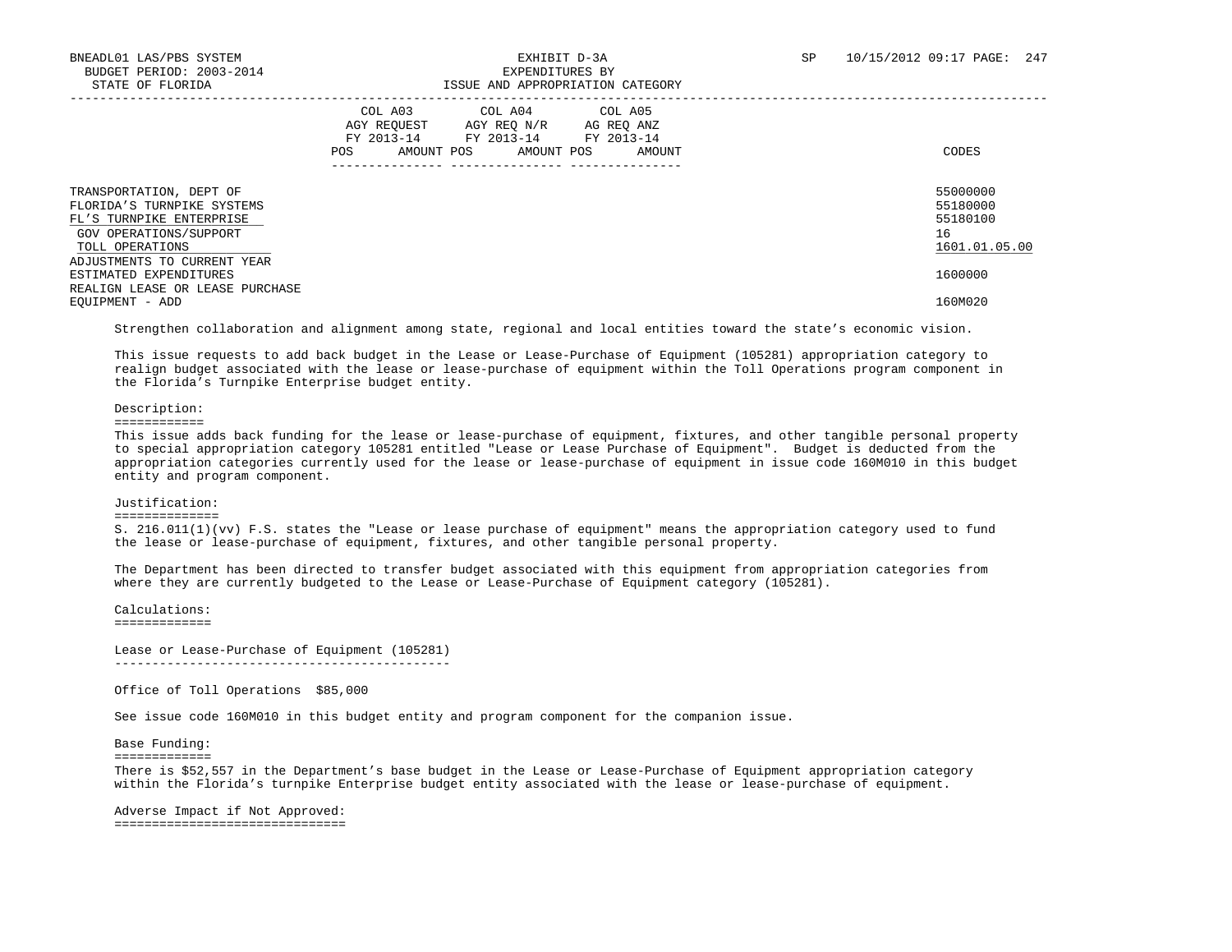|                                                                                                                                | COL A03<br>COL A04<br>COL A05<br>AGY REOUEST<br>AGY REO N/R<br>AG REO ANZ<br>FY 2013-14<br>FY 2013-14<br>FY 2013-14<br>AMOUNT POS<br>AMOUNT POS<br>POS<br>AMOUNT | CODES                                                   |
|--------------------------------------------------------------------------------------------------------------------------------|------------------------------------------------------------------------------------------------------------------------------------------------------------------|---------------------------------------------------------|
| TRANSPORTATION, DEPT OF<br>FLORIDA'S TURNPIKE SYSTEMS<br>FL'S TURNPIKE ENTERPRISE<br>GOV OPERATIONS/SUPPORT<br>TOLL OPERATIONS |                                                                                                                                                                  | 55000000<br>55180000<br>55180100<br>16<br>1601.01.05.00 |
| ADJUSTMENTS TO CURRENT YEAR<br>ESTIMATED EXPENDITURES<br>REALIGN LEASE OR LEASE PURCHASE                                       |                                                                                                                                                                  | 1600000                                                 |
| EOUIPMENT - ADD                                                                                                                |                                                                                                                                                                  | 160M020                                                 |

Strengthen collaboration and alignment among state, regional and local entities toward the state's economic vision.

 This issue requests to add back budget in the Lease or Lease-Purchase of Equipment (105281) appropriation category to realign budget associated with the lease or lease-purchase of equipment within the Toll Operations program component in the Florida's Turnpike Enterprise budget entity.

### Description:

============

 This issue adds back funding for the lease or lease-purchase of equipment, fixtures, and other tangible personal property to special appropriation category 105281 entitled "Lease or Lease Purchase of Equipment". Budget is deducted from the appropriation categories currently used for the lease or lease-purchase of equipment in issue code 160M010 in this budget entity and program component.

### Justification:

==============

 S. 216.011(1)(vv) F.S. states the "Lease or lease purchase of equipment" means the appropriation category used to fund the lease or lease-purchase of equipment, fixtures, and other tangible personal property.

 The Department has been directed to transfer budget associated with this equipment from appropriation categories from where they are currently budgeted to the Lease or Lease-Purchase of Equipment category (105281).

 Calculations: =============

 Lease or Lease-Purchase of Equipment (105281) ---------------------------------------------

Office of Toll Operations \$85,000

See issue code 160M010 in this budget entity and program component for the companion issue.

Base Funding:

=============

There is \$52,557 in the Department's base budget in the Lease or Lease-Purchase of Equipment appropriation category within the Florida's turnpike Enterprise budget entity associated with the lease or lease-purchase of equipment.

 Adverse Impact if Not Approved: ===============================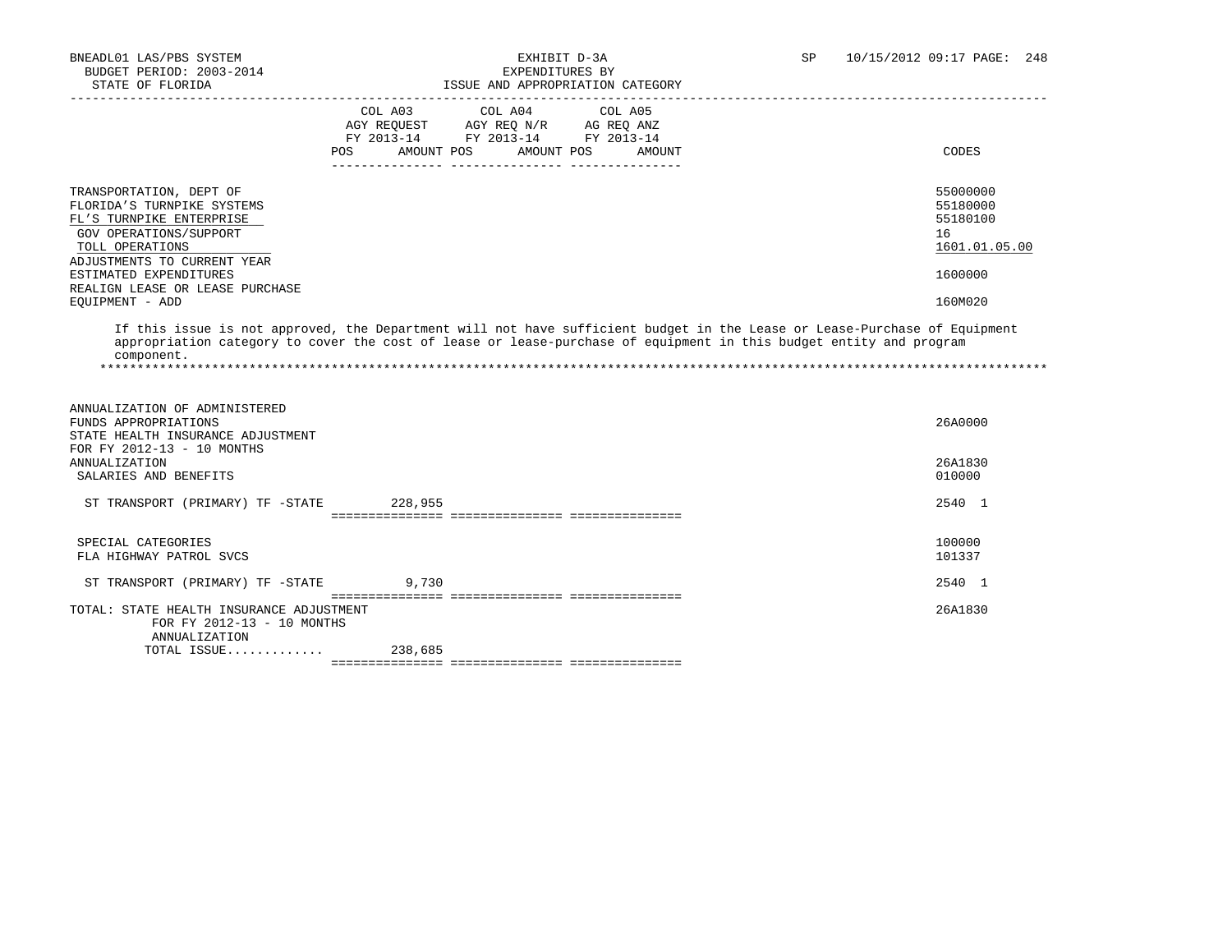TOTAL ISSUE............. 238,685

| SIAIB VF FIURIDA                                                                                                                                                                                                                              |                                                                                                                               |            | LOOUS AND APPROPRIATION CAISGURI |                                                                                                                                                                                                                                                 |
|-----------------------------------------------------------------------------------------------------------------------------------------------------------------------------------------------------------------------------------------------|-------------------------------------------------------------------------------------------------------------------------------|------------|----------------------------------|-------------------------------------------------------------------------------------------------------------------------------------------------------------------------------------------------------------------------------------------------|
|                                                                                                                                                                                                                                               | COL A03 COL A04 COL A05<br>AGY REQUEST AGY REQ N/R AG REQ ANZ<br>FY 2013-14 FY 2013-14 FY 2013-14<br><b>POS</b><br>AMOUNT POS | AMOUNT POS | AMOUNT                           | CODES                                                                                                                                                                                                                                           |
| TRANSPORTATION, DEPT OF<br>FLORIDA'S TURNPIKE SYSTEMS<br>FL'S TURNPIKE ENTERPRISE<br>GOV OPERATIONS/SUPPORT<br>TOLL OPERATIONS<br>ADJUSTMENTS TO CURRENT YEAR<br>ESTIMATED EXPENDITURES<br>REALIGN LEASE OR LEASE PURCHASE<br>EOUIPMENT - ADD |                                                                                                                               |            |                                  | 55000000<br>55180000<br>55180100<br>16<br>1601.01.05.00<br>1600000<br>160M020                                                                                                                                                                   |
| component.                                                                                                                                                                                                                                    |                                                                                                                               |            |                                  | If this issue is not approved, the Department will not have sufficient budget in the Lease or Lease-Purchase of Equipment<br>appropriation category to cover the cost of lease or lease-purchase of equipment in this budget entity and program |
| ANNUALIZATION OF ADMINISTERED<br>FUNDS APPROPRIATIONS<br>STATE HEALTH INSURANCE ADJUSTMENT<br>FOR FY 2012-13 - 10 MONTHS                                                                                                                      |                                                                                                                               |            |                                  | 26A0000                                                                                                                                                                                                                                         |
| <b>ANNUALIZATION</b><br>SALARIES AND BENEFITS                                                                                                                                                                                                 |                                                                                                                               |            |                                  | 26A1830<br>010000                                                                                                                                                                                                                               |
| ST TRANSPORT (PRIMARY) TF -STATE 228,955                                                                                                                                                                                                      |                                                                                                                               |            |                                  | 2540 1                                                                                                                                                                                                                                          |
| SPECIAL CATEGORIES<br>FLA HIGHWAY PATROL SVCS                                                                                                                                                                                                 |                                                                                                                               |            |                                  | 100000<br>101337                                                                                                                                                                                                                                |
| ST TRANSPORT (PRIMARY) TF -STATE                                                                                                                                                                                                              | 9,730                                                                                                                         |            |                                  | 2540 1                                                                                                                                                                                                                                          |
| TOTAL: STATE HEALTH INSURANCE ADJUSTMENT<br>FOR FY 2012-13 - 10 MONTHS<br>ANNUALIZATION                                                                                                                                                       |                                                                                                                               |            |                                  | 26A1830                                                                                                                                                                                                                                         |

=============== =============== ===============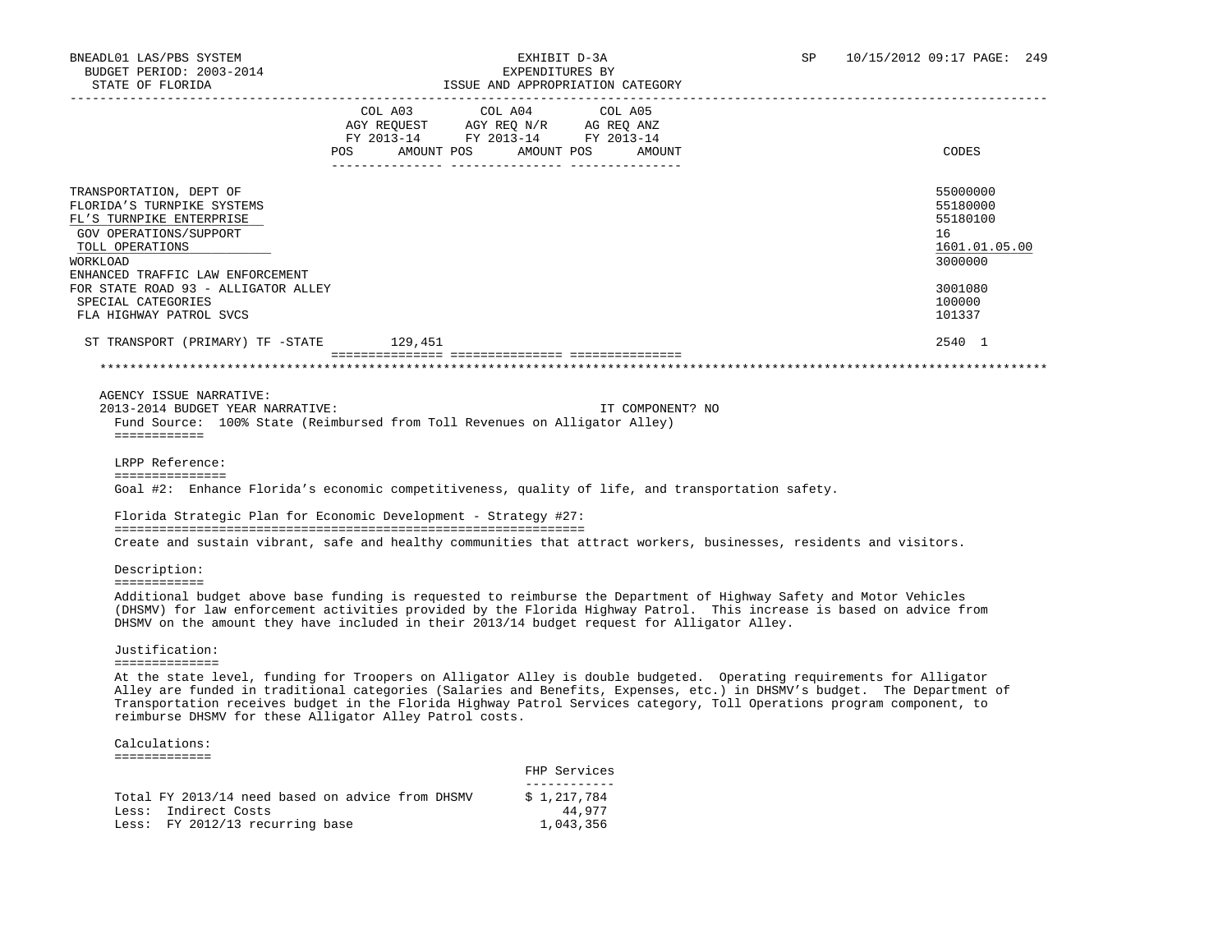| STATE OF FLORIDA                                                                                                                                                                                                                                                                                                                          |                                                                                             | ISSUE AND APPROPRIATION CATEGORY                   |                   |                                                                                                                         |  |
|-------------------------------------------------------------------------------------------------------------------------------------------------------------------------------------------------------------------------------------------------------------------------------------------------------------------------------------------|---------------------------------------------------------------------------------------------|----------------------------------------------------|-------------------|-------------------------------------------------------------------------------------------------------------------------|--|
|                                                                                                                                                                                                                                                                                                                                           | COL A03<br>AGY REQUEST AGY REQ N/R AG REQ ANZ<br>FY 2013-14 FY 2013-14 FY 2013-14<br>POS DO | COL A04<br>AMOUNT POS AMOUNT POS                   | COL A05<br>AMOUNT | CODES                                                                                                                   |  |
| TRANSPORTATION, DEPT OF<br>FLORIDA'S TURNPIKE SYSTEMS<br>FL'S TURNPIKE ENTERPRISE<br>GOV OPERATIONS/SUPPORT<br>TOLL OPERATIONS<br>WORKLOAD                                                                                                                                                                                                |                                                                                             |                                                    |                   | 55000000<br>55180000<br>55180100<br>16<br>1601.01.05.00<br>3000000                                                      |  |
| ENHANCED TRAFFIC LAW ENFORCEMENT<br>FOR STATE ROAD 93 - ALLIGATOR ALLEY<br>SPECIAL CATEGORIES<br>FLA HIGHWAY PATROL SVCS                                                                                                                                                                                                                  |                                                                                             |                                                    |                   | 3001080<br>100000<br>101337                                                                                             |  |
| ST TRANSPORT (PRIMARY) TF -STATE 129,451                                                                                                                                                                                                                                                                                                  |                                                                                             |                                                    |                   | 2540 1                                                                                                                  |  |
|                                                                                                                                                                                                                                                                                                                                           |                                                                                             |                                                    |                   |                                                                                                                         |  |
| AGENCY ISSUE NARRATIVE:<br>2013-2014 BUDGET YEAR NARRATIVE:<br>Fund Source: 100% State (Reimbursed from Toll Revenues on Alligator Alley)<br>============<br>LRPP Reference:<br>===============<br>Goal #2: Enhance Florida's economic competitiveness, quality of life, and transportation safety.                                       |                                                                                             |                                                    | IT COMPONENT? NO  |                                                                                                                         |  |
| Florida Strategic Plan for Economic Development - Strategy #27:                                                                                                                                                                                                                                                                           |                                                                                             |                                                    |                   |                                                                                                                         |  |
| Create and sustain vibrant, safe and healthy communities that attract workers, businesses, residents and visitors.                                                                                                                                                                                                                        |                                                                                             |                                                    |                   |                                                                                                                         |  |
| Description:<br>============                                                                                                                                                                                                                                                                                                              |                                                                                             |                                                    |                   |                                                                                                                         |  |
| Additional budget above base funding is requested to reimburse the Department of Highway Safety and Motor Vehicles<br>(DHSMV) for law enforcement activities provided by the Florida Highway Patrol. This increase is based on advice from<br>DHSMV on the amount they have included in their 2013/14 budget request for Alligator Alley. |                                                                                             |                                                    |                   |                                                                                                                         |  |
| Justification:<br>==============                                                                                                                                                                                                                                                                                                          |                                                                                             |                                                    |                   |                                                                                                                         |  |
| At the state level, funding for Troopers on Alligator Alley is double budgeted. Operating requirements for Alligator<br>Transportation receives budget in the Florida Highway Patrol Services category, Toll Operations program component, to<br>reimburse DHSMV for these Alligator Alley Patrol costs.                                  |                                                                                             |                                                    |                   | Alley are funded in traditional categories (Salaries and Benefits, Expenses, etc.) in DHSMV's budget. The Department of |  |
| Calculations:                                                                                                                                                                                                                                                                                                                             |                                                                                             |                                                    |                   |                                                                                                                         |  |
| =============                                                                                                                                                                                                                                                                                                                             |                                                                                             | FHP Services                                       |                   |                                                                                                                         |  |
| Total FY 2013/14 need based on advice from DHSMV<br>Less: Indirect Costs<br>Less: FY 2012/13 recurring base                                                                                                                                                                                                                               |                                                                                             | ____________<br>\$1,217,784<br>44,977<br>1,043,356 |                   |                                                                                                                         |  |
|                                                                                                                                                                                                                                                                                                                                           |                                                                                             |                                                    |                   |                                                                                                                         |  |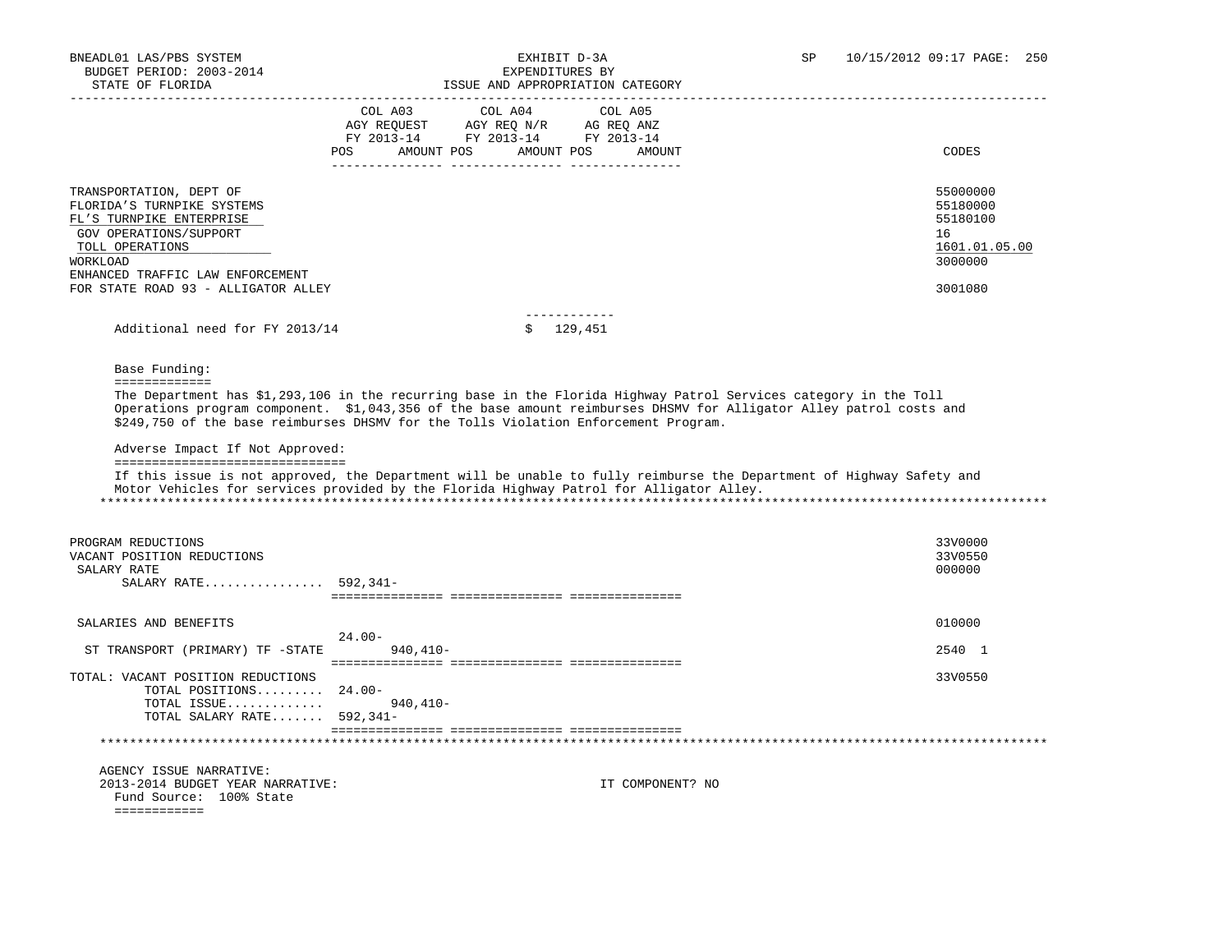BNEADL01 LAS/PBS SYSTEM **EXHIBIT D-3A** SP 10/15/2012 09:17 PAGE: 250 BUDGET PERIOD: 2003-2014 EXPENDITURES BY STATE OF FLORIDA ISSUE AND APPROPRIATION CATEGORY ----------------------------------------------------------------------------------------------------------------------------------- COL A03 COL A04 COL A05 AGY REQUEST AGY REQ N/R AG REQ ANZ FY 2013-14 FY 2013-14 FY 2013-14 POS AMOUNT POS AMOUNT POS AMOUNT CODES --------------- --------------- --------------- TRANSPORTATION, DEPT OF 55000000 FLORIDA'S TURNPIKE SYSTEMS 55180000 FLORIDA'S TURNPIKE SYSTEMS FOR THE SERVICE SYSTEMS FOR THE SYSTEMS FOR THE STR<br>FL'S TURNPIKE ENTERPRISE FL'S TURNPIKE ENTERPRISE GOV OPERATIONS/SUPPORT 16<br>TOLL OPERATIONS 1601.01.05.00  $\texttt{TOLL}\texttt{~OFERATIONS} \color{black} \begin{picture}(180,170) \put(0,0){\dashbox{0.5}} \put(10,0){\dashbox{0.5}} \put(20,0){\dashbox{0.5}} \put(20,0){\dashbox{0.5}} \put(20,0){\dashbox{0.5}} \put(20,0){\dashbox{0.5}} \put(20,0){\dashbox{0.5}} \put(20,0){\dashbox{0.5}} \put(20,0){\dashbox{0.5}} \put(20,0){\dashbox{0.5}} \put(20,0){\dashbox{0.5}} \put(20,0){\dashbox{$  WORKLOAD 3000000 ENHANCED TRAFFIC LAW ENFORCEMENT FOR STATE ROAD 93 - ALLIGATOR ALLEY 3001080 ------------ Additional need for FY 2013/14  $\qquad \qquad$  \$ 129,451 Base Funding: ============= The Department has \$1,293,106 in the recurring base in the Florida Highway Patrol Services category in the Toll Operations program component. \$1,043,356 of the base amount reimburses DHSMV for Alligator Alley patrol costs and \$249,750 of the base reimburses DHSMV for the Tolls Violation Enforcement Program. Adverse Impact If Not Approved: =============================== If this issue is not approved, the Department will be unable to fully reimburse the Department of Highway Safety and Motor Vehicles for services provided by the Florida Highway Patrol for Alligator Alley. \*\*\*\*\*\*\*\*\*\*\*\*\*\*\*\*\*\*\*\*\*\*\*\*\*\*\*\*\*\*\*\*\*\*\*\*\*\*\*\*\*\*\*\*\*\*\*\*\*\*\*\*\*\*\*\*\*\*\*\*\*\*\*\*\*\*\*\*\*\*\*\*\*\*\*\*\*\*\*\*\*\*\*\*\*\*\*\*\*\*\*\*\*\*\*\*\*\*\*\*\*\*\*\*\*\*\*\*\*\*\*\*\*\*\*\*\*\*\*\*\*\*\*\*\*\*\* PROGRAM REDUCTIONS 33V0000 33V0000 33V0000 33V0000 33V0000 33V0000 33V0000 33V0000 33V0000 33V0000 33V0550 33V0550 VACANT POSITION REDUCTIONS  $\,$ SALARY RATE  $\,$  000000  $\,$  SALARY RATE................ 592,341- =============== =============== =============== SALARIES AND BENEFITS 010000 24.00- ST TRANSPORT (PRIMARY) TF -STATE 940,410-<br>2540 1 =============== =============== ===============

 TOTAL: VACANT POSITION REDUCTIONS 33V0550 TOTAL POSITIONS......... 24.00- TOTAL ISSUE............. 940,410- TOTAL SALARY RATE....... 592,341- =============== =============== =============== \*\*\*\*\*\*\*\*\*\*\*\*\*\*\*\*\*\*\*\*\*\*\*\*\*\*\*\*\*\*\*\*\*\*\*\*\*\*\*\*\*\*\*\*\*\*\*\*\*\*\*\*\*\*\*\*\*\*\*\*\*\*\*\*\*\*\*\*\*\*\*\*\*\*\*\*\*\*\*\*\*\*\*\*\*\*\*\*\*\*\*\*\*\*\*\*\*\*\*\*\*\*\*\*\*\*\*\*\*\*\*\*\*\*\*\*\*\*\*\*\*\*\*\*\*\*\*

 AGENCY ISSUE NARRATIVE: 2013-2014 BUDGET YEAR NARRATIVE: IT COMPONENT? NO Fund Source: 100% State ============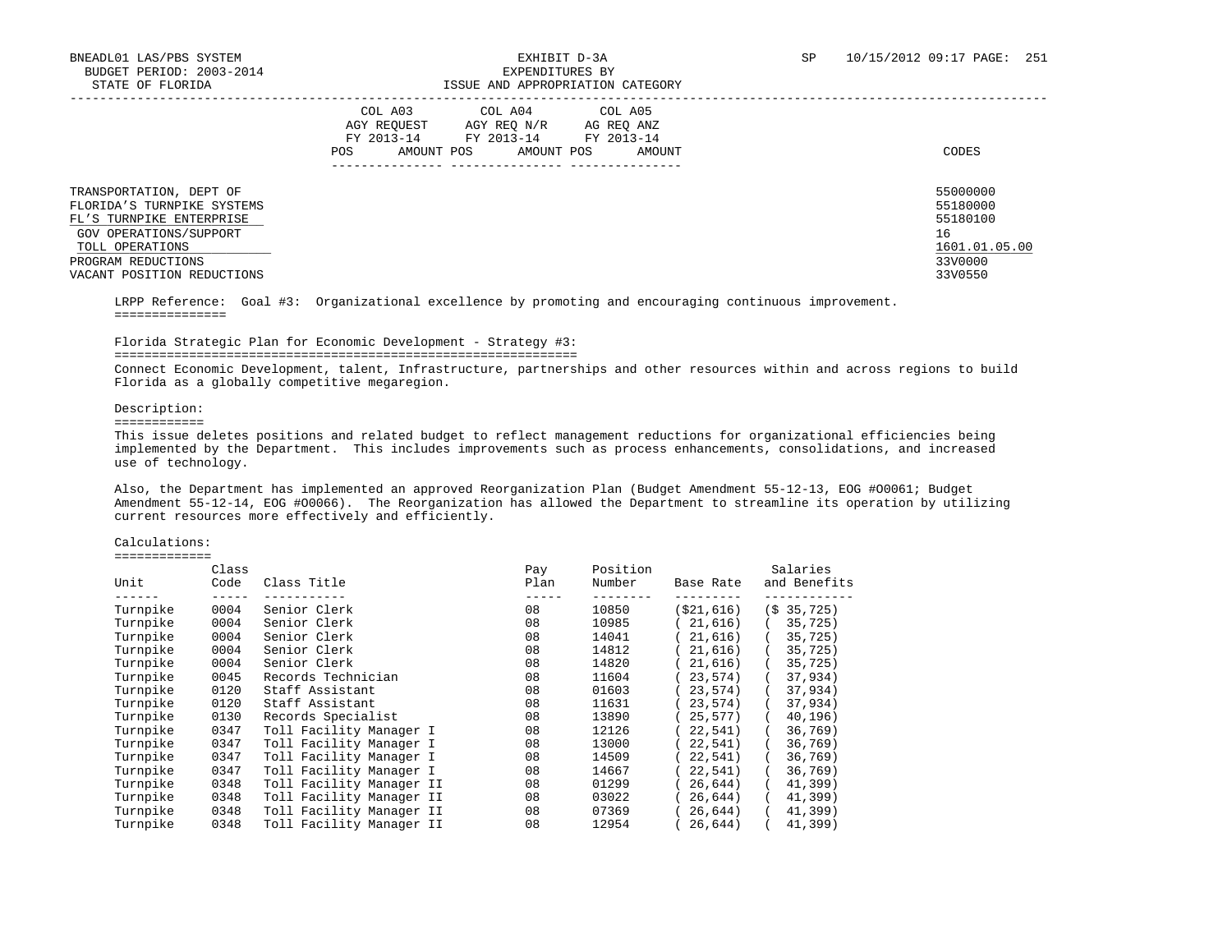|                                                                                                                                | COL A03<br>COL A04<br>COL A05<br>AGY REOUEST<br>AGY REO N/R<br>AG REO ANZ<br>FY 2013-14<br>FY 2013-14<br>FY 2013-14<br>AMOUNT POS<br>AMOUNT POS<br>AMOUNT<br>POS | CODES                                                   |
|--------------------------------------------------------------------------------------------------------------------------------|------------------------------------------------------------------------------------------------------------------------------------------------------------------|---------------------------------------------------------|
| TRANSPORTATION, DEPT OF<br>FLORIDA'S TURNPIKE SYSTEMS<br>FL'S TURNPIKE ENTERPRISE<br>GOV OPERATIONS/SUPPORT<br>TOLL OPERATIONS |                                                                                                                                                                  | 55000000<br>55180000<br>55180100<br>16<br>1601.01.05.00 |
| PROGRAM REDUCTIONS<br>VACANT POSITION REDUCTIONS                                                                               |                                                                                                                                                                  | 33V0000<br>33V0550                                      |

 LRPP Reference: Goal #3: Organizational excellence by promoting and encouraging continuous improvement. ===============

### Florida Strategic Plan for Economic Development - Strategy #3:

==============================================================

 Connect Economic Development, talent, Infrastructure, partnerships and other resources within and across regions to build Florida as a globally competitive megaregion.

### Description:

============

 This issue deletes positions and related budget to reflect management reductions for organizational efficiencies being implemented by the Department. This includes improvements such as process enhancements, consolidations, and increased use of technology.

 Also, the Department has implemented an approved Reorganization Plan (Budget Amendment 55-12-13, EOG #O0061; Budget Amendment 55-12-14, EOG #O0066). The Reorganization has allowed the Department to streamline its operation by utilizing current resources more effectively and efficiently.

### Calculations:

=============

|          | Class |                          | Pay  | Position |            | Salaries              |
|----------|-------|--------------------------|------|----------|------------|-----------------------|
| Unit     | Code  | Class Title              | Plan | Number   | Base Rate  | and Benefits          |
| Turnpike | 0004  | Senior Clerk             | 08   | 10850    | (\$21,616) | (S <sub>35,725)</sub> |
| Turnpike | 0004  | Senior Clerk             | 08   | 10985    | 21,616)    | 35,725                |
| Turnpike | 0004  | Senior Clerk             | 08   | 14041    | 21,616)    | 35,725                |
| Turnpike | 0004  | Senior Clerk             | 08   | 14812    | 21,616)    | 35,725)               |
| Turnpike | 0004  | Senior Clerk             | 08   | 14820    | 21,616)    | 35,725                |
| Turnpike | 0045  | Records Technician       | 08   | 11604    | 23,574)    | 37,934)               |
| Turnpike | 0120  | Staff Assistant          | 08   | 01603    | 23,574)    | 37,934)               |
| Turnpike | 0120  | Staff Assistant          | 08   | 11631    | 23,574)    | 37,934)               |
| Turnpike | 0130  | Records Specialist       | 08   | 13890    | 25,577)    | 40,196)               |
| Turnpike | 0347  | Toll Facility Manager I  | 08   | 12126    | 22,541)    | 36,769                |
| Turnpike | 0347  | Toll Facility Manager I  | 08   | 13000    | 22,541)    | 36,769                |
| Turnpike | 0347  | Toll Facility Manager I  | 08   | 14509    | 22.541     | 36,769)               |
| Turnpike | 0347  | Toll Facility Manager I  | 08   | 14667    | 22.541     | 36,769                |
| Turnpike | 0348  | Toll Facility Manager II | 08   | 01299    | 26.644)    | 41,399                |
| Turnpike | 0348  | Toll Facility Manager II | 08   | 03022    | 26,644)    | 41,399)               |
| Turnpike | 0348  | Toll Facility Manager II | 08   | 07369    | 26,644)    | 41,399)               |
| Turnpike | 0348  | Toll Facility Manager II | 08   | 12954    | 26,644)    | 41,399)               |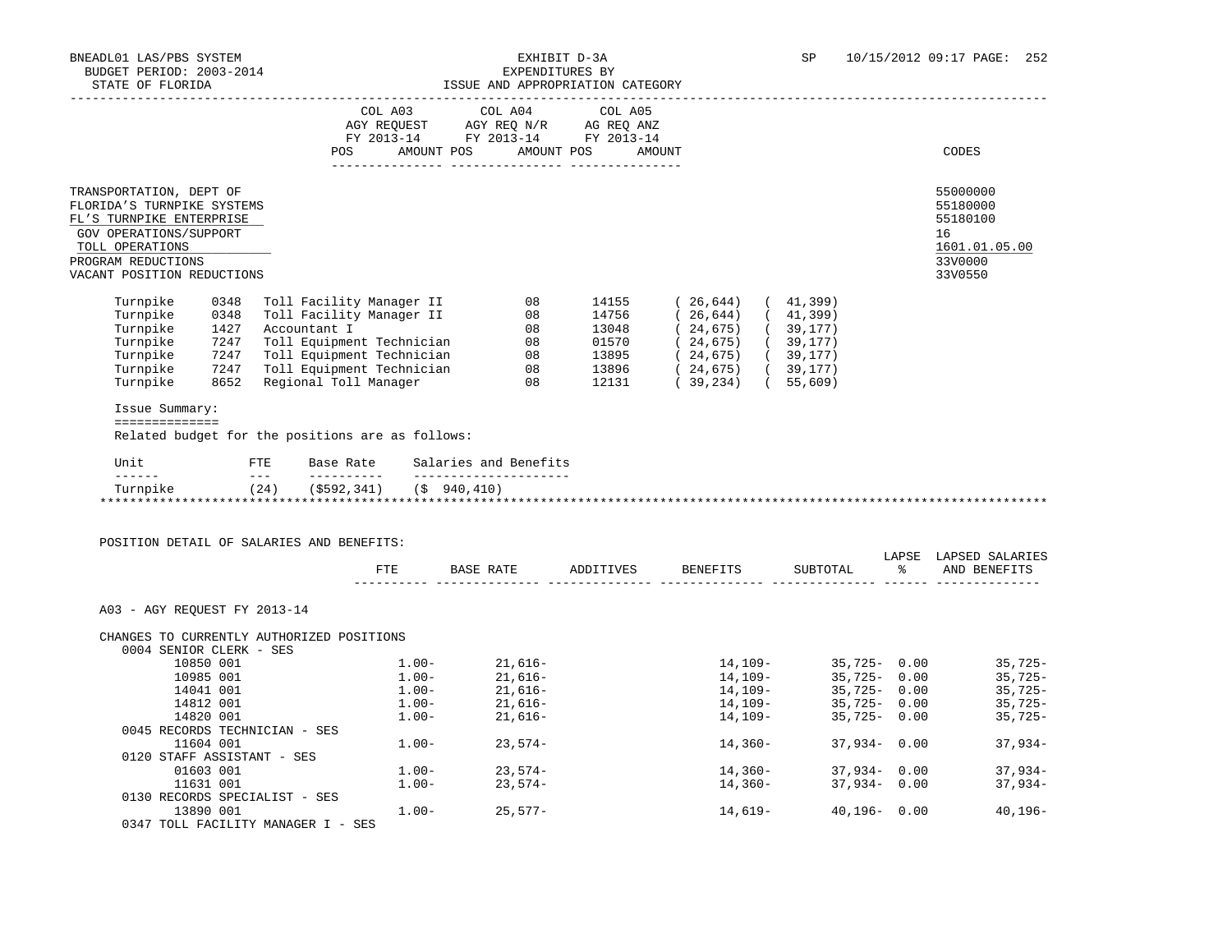|                                                                                                                                                                                    |                                              |              |                                                                                                                |            |                                                                                                                     | LSSUE AND APPROPRIATION CAIEGORI |                                                                                                                                                                                                               |  |                                                                               |
|------------------------------------------------------------------------------------------------------------------------------------------------------------------------------------|----------------------------------------------|--------------|----------------------------------------------------------------------------------------------------------------|------------|---------------------------------------------------------------------------------------------------------------------|----------------------------------|---------------------------------------------------------------------------------------------------------------------------------------------------------------------------------------------------------------|--|-------------------------------------------------------------------------------|
|                                                                                                                                                                                    |                                              |              | POS FOR THE POST OF THE STATE STATE STATE STATE STATE STATE STATE STATE STATE STATE STATE STATE STATE STATE ST | AMOUNT POS | COL A03 COL A04 COL A05<br>AGY REQUEST AGY REQ N/R AG REQ ANZ<br>FY 2013-14 FY 2013-14 FY 2013-14                   | AMOUNT POS                       | AMOUNT                                                                                                                                                                                                        |  | CODES                                                                         |
|                                                                                                                                                                                    |                                              |              |                                                                                                                |            |                                                                                                                     |                                  |                                                                                                                                                                                                               |  |                                                                               |
| TRANSPORTATION, DEPT OF<br>FLORIDA'S TURNPIKE SYSTEMS<br>FL'S TURNPIKE ENTERPRISE<br>GOV OPERATIONS/SUPPORT<br>TOLL OPERATIONS<br>PROGRAM REDUCTIONS<br>VACANT POSITION REDUCTIONS |                                              |              |                                                                                                                |            |                                                                                                                     |                                  |                                                                                                                                                                                                               |  | 55000000<br>55180000<br>55180100<br>16<br>1601.01.05.00<br>33V0000<br>33V0550 |
| Turnpike<br>Turnpike<br>Turnpike<br>Turnpike<br>Turnpike<br>Turnpike<br>Turnpike<br>Issue Summary:<br>==============<br>Related budget for the positions are as follows:           | 0348<br>0348<br>1427<br>7247<br>7247<br>7247 | Accountant I | Toll Equipment Technician<br>8652 Regional Toll Manager                                                        |            | Toll Facility Manager II 08<br>Toll Facility Manager II 08<br>08<br>08<br>Toll Equipment Technician 08<br>$\sim$ 08 |                                  | 14155 (26,644) (41,399)<br>14756 (26,644) (41,399)<br>$13048$ ( $24,675$ ) ( $39,177$ )<br>01570 ( $24,675$ ) ( $39,177$ )<br>$13895$ (24,675) (39,177)<br>13896 (24,675) (39,177)<br>12131 (39,234) (55,609) |  |                                                                               |
| Unit                                                                                                                                                                               |                                              |              |                                                                                                                |            | FTE Base Rate Salaries and Benefits                                                                                 |                                  |                                                                                                                                                                                                               |  |                                                                               |
| Turnpike (24) (\$592,341) (\$940,410)                                                                                                                                              |                                              |              |                                                                                                                |            |                                                                                                                     |                                  |                                                                                                                                                                                                               |  |                                                                               |
| POSITION DETAIL OF SALARIES AND BENEFITS:                                                                                                                                          |                                              |              |                                                                                                                |            |                                                                                                                     |                                  |                                                                                                                                                                                                               |  |                                                                               |
|                                                                                                                                                                                    |                                              |              |                                                                                                                |            | FTE BASE RATE ADDITIVES BENEFITS                                                                                    |                                  |                                                                                                                                                                                                               |  | LAPSE LAPSED SALARIES<br>SUBTOTAL % AND BENEFITS                              |
| A03 - AGY REOUEST FY 2013-14<br>CHANGES TO CURRENTLY AUTHORIZED POSITIONS                                                                                                          |                                              |              |                                                                                                                |            |                                                                                                                     |                                  |                                                                                                                                                                                                               |  |                                                                               |

| 10850 001                          | $1.00 -$ | $21.616-$ | $14, 109 -$ | $35.725 - 0.00$ |      | $35,725-$   |
|------------------------------------|----------|-----------|-------------|-----------------|------|-------------|
| 10985 001                          | $1.00 -$ | 21,616-   | $14, 109 -$ | 35,725-         | 0.00 | $35,725-$   |
| 14041 001                          | $1.00 -$ | 21,616-   | $14, 109 -$ | $35.725 - 0.00$ |      | $35,725-$   |
| 14812 001                          | $1.00 -$ | 21,616-   | $14, 109 -$ | $35,725 - 0.00$ |      | $35,725-$   |
| 14820 001                          | $1.00 -$ | 21,616-   | $14, 109 -$ | 35,725-         | 0.00 | $35,725-$   |
| 0045 RECORDS TECHNICIAN - SES      |          |           |             |                 |      |             |
| 11604 001                          | $1.00 -$ | $23.574-$ | $14,360-$   | $37,934 - 0.00$ |      | $37,934-$   |
| 0120 STAFF ASSISTANT - SES         |          |           |             |                 |      |             |
| 01603 001                          | $1.00 -$ | $23.574-$ | $14,360-$   | $37,934 - 0.00$ |      | $37.934-$   |
| 11631 001                          | $1.00 -$ | $23.574-$ | $14,360-$   | $37,934 - 0.00$ |      | $37,934-$   |
| 0130 RECORDS SPECIALIST - SES      |          |           |             |                 |      |             |
| 13890 001                          | $1.00 -$ | $25.577-$ | 14,619-     | $40.196 - 0.00$ |      | $40, 196 -$ |
| 0347 TOLL FACILITY MANAGER I - SES |          |           |             |                 |      |             |
|                                    |          |           |             |                 |      |             |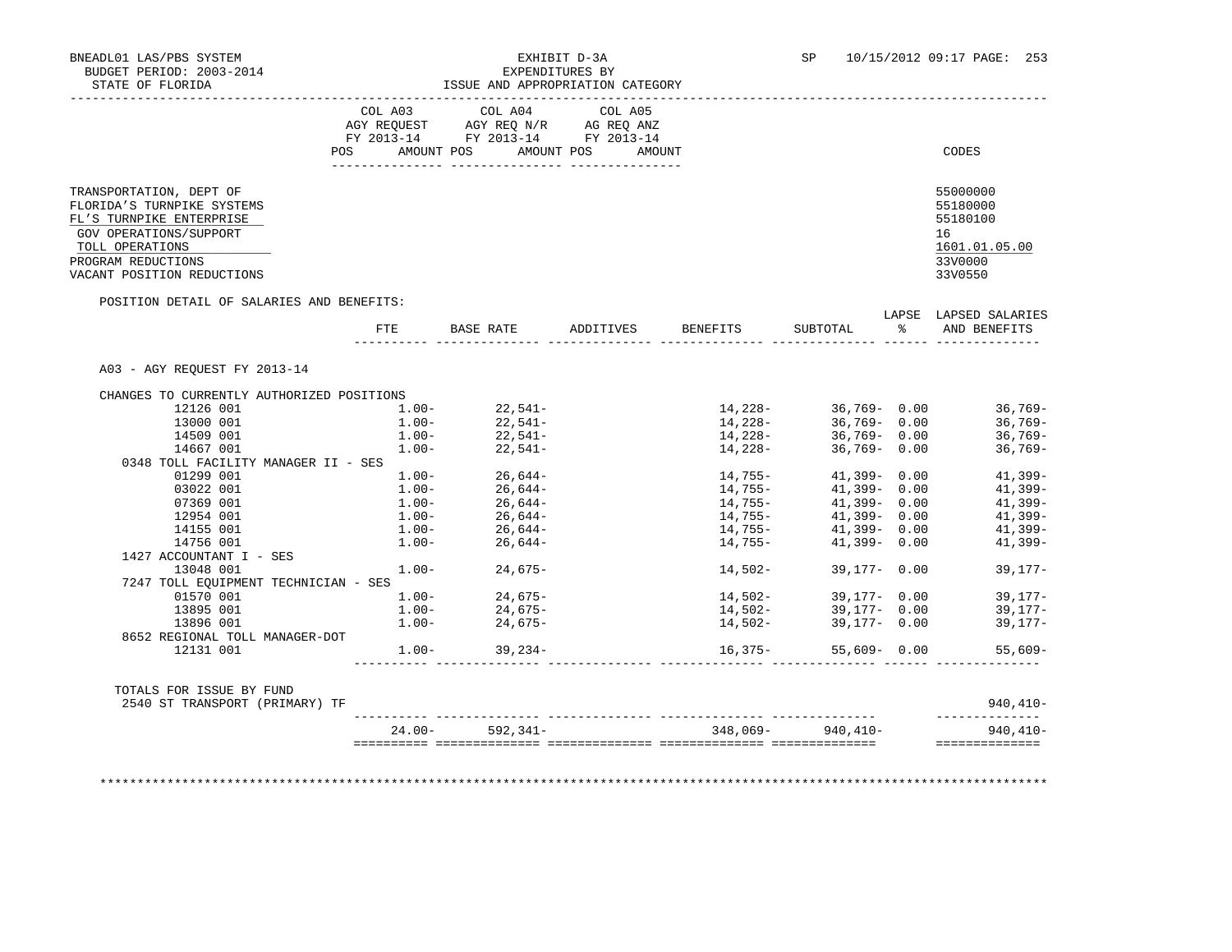### BNEADL01 LAS/PBS SYSTEM **EXHIBIT D-3A** SP 10/15/2012 09:17 PAGE: 253 EXPENDITURES BY

| STATE OF FLORIDA                                                                                            |      |            | ISSUE AND APPROPRIATION CATEGORY                                                                                |           |                        |                        |    |                                        |
|-------------------------------------------------------------------------------------------------------------|------|------------|-----------------------------------------------------------------------------------------------------------------|-----------|------------------------|------------------------|----|----------------------------------------|
|                                                                                                             | POS  | AMOUNT POS | COL A03 COL A04 COL A05<br>AGY REQUEST AGY REQ N/R AG REQ ANZ<br>FY 2013-14 FY 2013-14 FY 2013-14<br>AMOUNT POS | AMOUNT    |                        |                        |    | CODES                                  |
| TRANSPORTATION, DEPT OF<br>FLORIDA'S TURNPIKE SYSTEMS<br>FL'S TURNPIKE ENTERPRISE<br>GOV OPERATIONS/SUPPORT |      |            |                                                                                                                 |           |                        |                        |    | 55000000<br>55180000<br>55180100<br>16 |
| TOLL OPERATIONS                                                                                             |      |            |                                                                                                                 |           |                        |                        |    | 1601.01.05.00                          |
| PROGRAM REDUCTIONS<br>VACANT POSITION REDUCTIONS                                                            |      |            |                                                                                                                 |           |                        |                        |    | 33V0000<br>33V0550                     |
| POSITION DETAIL OF SALARIES AND BENEFITS:                                                                   |      |            |                                                                                                                 |           |                        |                        |    | LAPSE LAPSED SALARIES                  |
|                                                                                                             | FTE. |            | BASE RATE                                                                                                       | ADDITIVES | BENEFITS               | SUBTOTAL               | န္ | AND BENEFITS                           |
| A03 - AGY REOUEST FY 2013-14                                                                                |      |            |                                                                                                                 |           |                        |                        |    |                                        |
| CHANGES TO CURRENTLY AUTHORIZED POSITIONS                                                                   |      |            |                                                                                                                 |           |                        |                        |    |                                        |
| 12126 001                                                                                                   |      | $1.00 -$   | $22,541-$                                                                                                       |           |                        | $14,228-$ 36,769- 0.00 |    | $36,769-$                              |
| 13000 001                                                                                                   |      | $1.00 -$   | $22,541-$                                                                                                       |           | 14, 228-               | 36,769- 0.00           |    | $36,769-$                              |
| 14509 001                                                                                                   |      | $1.00-$    | $22,541-$                                                                                                       |           | 14,228-                | 36,769-0.00            |    | 36,769-                                |
| 14667 001<br>0348 TOLL FACILITY MANAGER II - SES                                                            |      | $1.00 -$   | $22.541-$                                                                                                       |           | 14,228-                | 36,769-0.00            |    | $36,769-$                              |
| 01299 001                                                                                                   |      | $1.00-$    |                                                                                                                 |           |                        | $41,399 - 0.00$        |    | $41,399-$                              |
| 03022 001                                                                                                   |      | $1.00 -$   | $26,644-$<br>26,644-                                                                                            |           | 14,755-<br>14,755-     | 41,399-0.00            |    | $41,399-$                              |
| 07369 001                                                                                                   |      | $1.00 -$   | $26,644-$                                                                                                       |           | $14,755-$              | 41,399- 0.00           |    | $41,399-$                              |
| 12954 001                                                                                                   |      | $1.00 -$   | $26,644-$                                                                                                       |           |                        | $41,399 - 0.00$        |    | $41,399-$                              |
| 14155 001                                                                                                   |      | $1.00-$    | $26,644-$                                                                                                       |           | $14,755-$<br>$14,755-$ | 41,399-0.00            |    | $41,399-$                              |
| 14756 001                                                                                                   |      | $1.00 -$   | 26,644-                                                                                                         |           | 14,755-                | $41,399 - 0.00$        |    | $41,399-$                              |
| 1427 ACCOUNTANT I - SES                                                                                     |      |            |                                                                                                                 |           |                        |                        |    |                                        |
| 13048 001                                                                                                   |      |            |                                                                                                                 |           |                        |                        |    |                                        |
|                                                                                                             |      | $1.00 -$   | $24,675-$                                                                                                       |           | 14,502-                | $39.177 - 0.00$        |    | $39,177-$                              |

 13896 001 1.00- 24,675- 14,502- 39,177- 0.00 39,177- 8652 REGIONAL TOLL MANAGER-DOT 12131 001 1.00- 39,234- 16,375- 55,609- 0.00 55,609- ---------- -------------- -------------- -------------- -------------- ------ -------------- TOTALS FOR ISSUE BY FUND

 01570 001 1.00- 24,675- 14,502- 39,177- 0.00 39,177- 13895 001 1.00- 24,675- 14,502- 39,177- 0.00 39,177-

 2540 ST TRANSPORT (PRIMARY) TF 940,410- ---------- -------------- -------------- -------------- -------------- -------------- 24.00- 592,341- 348,069- 940,410- 940,410- ========== ============== ============== ============== ============== ==============

\*\*\*\*\*\*\*\*\*\*\*\*\*\*\*\*\*\*\*\*\*\*\*\*\*\*\*\*\*\*\*\*\*\*\*\*\*\*\*\*\*\*\*\*\*\*\*\*\*\*\*\*\*\*\*\*\*\*\*\*\*\*\*\*\*\*\*\*\*\*\*\*\*\*\*\*\*\*\*\*\*\*\*\*\*\*\*\*\*\*\*\*\*\*\*\*\*\*\*\*\*\*\*\*\*\*\*\*\*\*\*\*\*\*\*\*\*\*\*\*\*\*\*\*\*\*\*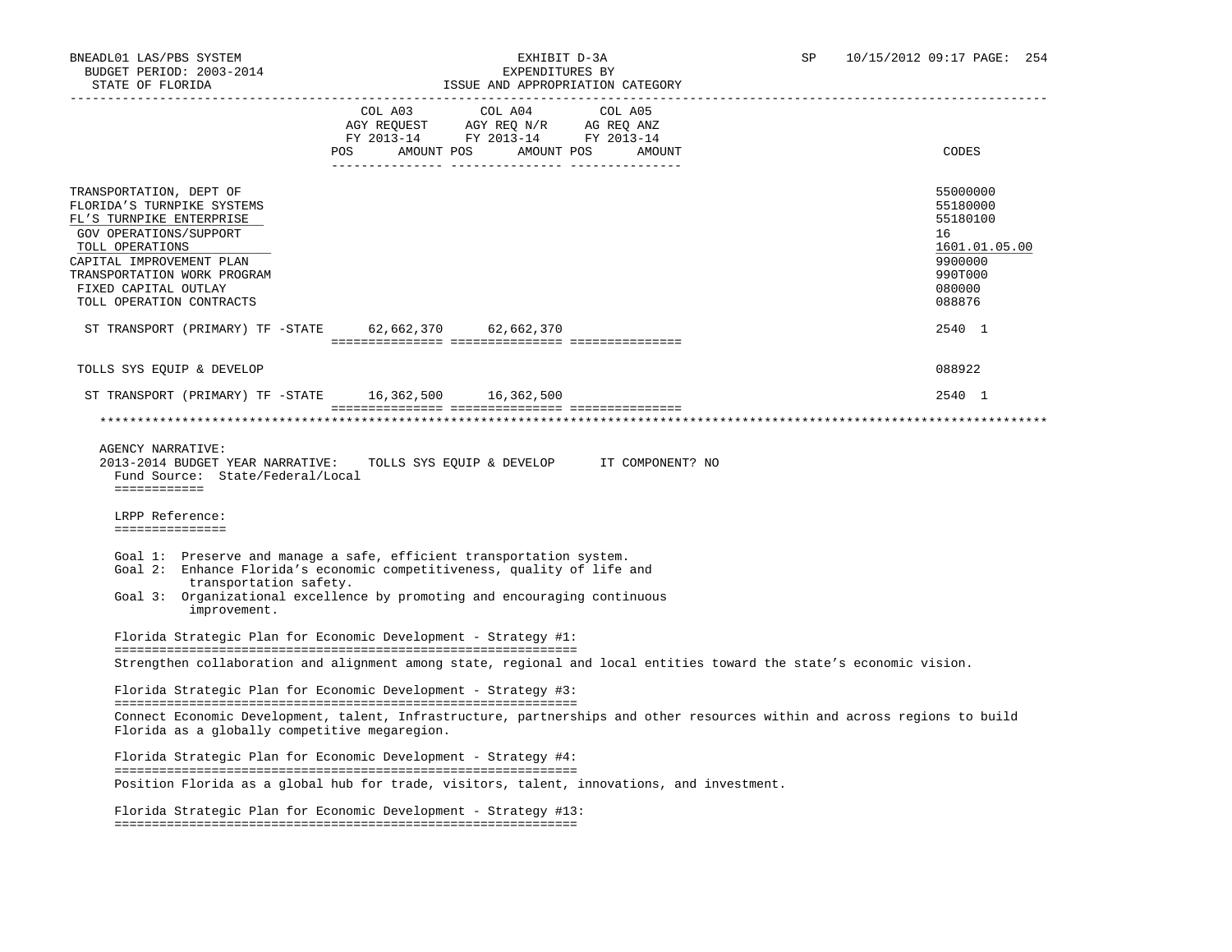|                                                                                                                                                                                                                                                        |        | TODOR UND ULIKOLINIIITUN CUIROONI                                                                       |                                            |                                                                                                                           |
|--------------------------------------------------------------------------------------------------------------------------------------------------------------------------------------------------------------------------------------------------------|--------|---------------------------------------------------------------------------------------------------------|--------------------------------------------|---------------------------------------------------------------------------------------------------------------------------|
|                                                                                                                                                                                                                                                        | POS DO | COL A03 COL A04<br>AGY REQUEST AGY REQ N/R AG REQ ANZ<br>FY 2013-14 FY 2013-14 FY 2013-14<br>AMOUNT POS | COL A05<br>AMOUNT POS<br>AMOUNT            | CODES                                                                                                                     |
| TRANSPORTATION, DEPT OF<br>FLORIDA'S TURNPIKE SYSTEMS<br>FL'S TURNPIKE ENTERPRISE<br>GOV OPERATIONS/SUPPORT<br>TOLL OPERATIONS<br>CAPITAL IMPROVEMENT PLAN<br>TRANSPORTATION WORK PROGRAM<br>FIXED CAPITAL OUTLAY<br>TOLL OPERATION CONTRACTS          |        |                                                                                                         |                                            | 55000000<br>55180000<br>55180100<br>16<br>1601.01.05.00<br>9900000<br>990T000<br>080000<br>088876                         |
| ST TRANSPORT (PRIMARY) TF -STATE 62,662,370 62,662,370                                                                                                                                                                                                 |        |                                                                                                         |                                            | 2540 1                                                                                                                    |
| TOLLS SYS EQUIP & DEVELOP                                                                                                                                                                                                                              |        |                                                                                                         |                                            | 088922                                                                                                                    |
| ST TRANSPORT (PRIMARY) TF - STATE 16,362,500 16,362,500                                                                                                                                                                                                |        |                                                                                                         |                                            | 2540 1                                                                                                                    |
|                                                                                                                                                                                                                                                        |        |                                                                                                         |                                            |                                                                                                                           |
| 2013-2014 BUDGET YEAR NARRATIVE:<br>Fund Source: State/Federal/Local<br>============<br>LRPP Reference:<br>===============                                                                                                                             |        |                                                                                                         | TOLLS SYS EQUIP & DEVELOP IT COMPONENT? NO |                                                                                                                           |
| Goal 1: Preserve and manage a safe, efficient transportation system.<br>Goal 2: Enhance Florida's economic competitiveness, quality of life and<br>transportation safety.<br>Goal 3: Organizational excellence by promoting and encouraging continuous |        |                                                                                                         |                                            |                                                                                                                           |
| improvement.                                                                                                                                                                                                                                           |        |                                                                                                         |                                            |                                                                                                                           |
| Florida Strategic Plan for Economic Development - Strategy #1:                                                                                                                                                                                         |        |                                                                                                         |                                            |                                                                                                                           |
| Strengthen collaboration and alignment among state, regional and local entities toward the state's economic vision.                                                                                                                                    |        |                                                                                                         |                                            |                                                                                                                           |
| Florida Strategic Plan for Economic Development - Strategy #3:                                                                                                                                                                                         |        |                                                                                                         |                                            |                                                                                                                           |
| Florida as a globally competitive megaregion.                                                                                                                                                                                                          |        |                                                                                                         |                                            | Connect Economic Development, talent, Infrastructure, partnerships and other resources within and across regions to build |
| Florida Strategic Plan for Economic Development - Strategy #4:                                                                                                                                                                                         |        |                                                                                                         |                                            |                                                                                                                           |
| Position Florida as a global hub for trade, visitors, talent, innovations, and investment.                                                                                                                                                             |        |                                                                                                         |                                            |                                                                                                                           |
| Florida Strategic Plan for Economic Development - Strategy #13:                                                                                                                                                                                        |        |                                                                                                         |                                            |                                                                                                                           |
|                                                                                                                                                                                                                                                        |        |                                                                                                         |                                            |                                                                                                                           |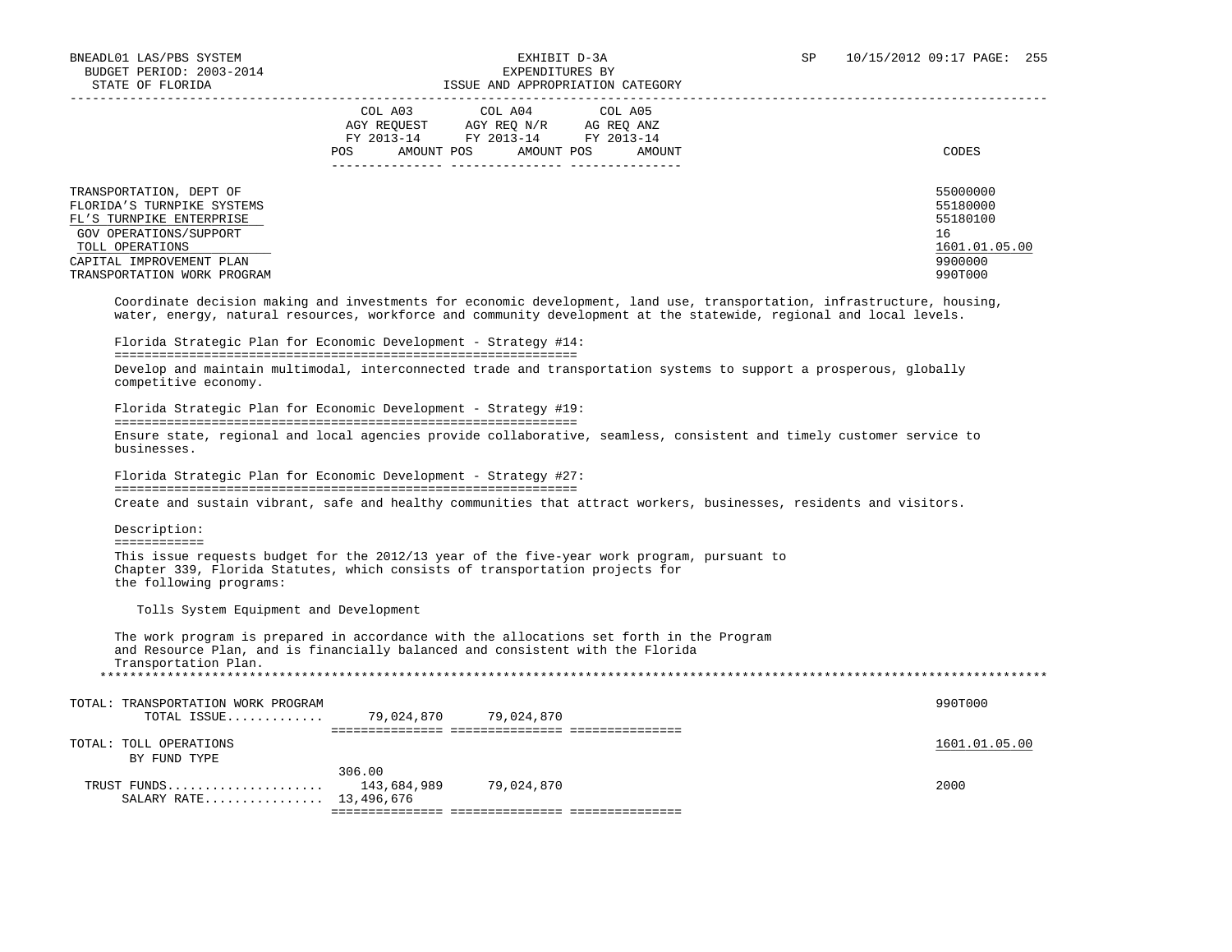306.00

| BUDGET PERIOD: 2003-2014                                                                                    | EXPENDITURES BY                                                                                                                                                            |                                                                                                                                                                                                                                               |                                  |  |  |
|-------------------------------------------------------------------------------------------------------------|----------------------------------------------------------------------------------------------------------------------------------------------------------------------------|-----------------------------------------------------------------------------------------------------------------------------------------------------------------------------------------------------------------------------------------------|----------------------------------|--|--|
| STATE OF FLORIDA                                                                                            | ISSUE AND APPROPRIATION CATEGORY                                                                                                                                           |                                                                                                                                                                                                                                               |                                  |  |  |
|                                                                                                             | COL A03 COL A04 COL A05                                                                                                                                                    |                                                                                                                                                                                                                                               |                                  |  |  |
|                                                                                                             | FY 2013-14 FY 2013-14 FY 2013-14                                                                                                                                           |                                                                                                                                                                                                                                               |                                  |  |  |
|                                                                                                             | POS AMOUNT POS AMOUNT POS AMOUNT                                                                                                                                           |                                                                                                                                                                                                                                               | CODES                            |  |  |
|                                                                                                             |                                                                                                                                                                            |                                                                                                                                                                                                                                               |                                  |  |  |
| TRANSPORTATION, DEPT OF<br>FLORIDA'S TURNPIKE SYSTEMS<br>FL'S TURNPIKE ENTERPRISE<br>GOV OPERATIONS/SUPPORT |                                                                                                                                                                            | 16                                                                                                                                                                                                                                            | 55000000<br>55180000<br>55180100 |  |  |
| TOLL OPERATIONS                                                                                             |                                                                                                                                                                            |                                                                                                                                                                                                                                               | 1601.01.05.00                    |  |  |
| CAPITAL IMPROVEMENT PLAN<br>TRANSPORTATION WORK PROGRAM                                                     |                                                                                                                                                                            |                                                                                                                                                                                                                                               | 9900000<br>990T000               |  |  |
|                                                                                                             |                                                                                                                                                                            | Coordinate decision making and investments for economic development, land use, transportation, infrastructure, housing,<br>water, energy, natural resources, workforce and community development at the statewide, regional and local levels. |                                  |  |  |
|                                                                                                             | Florida Strategic Plan for Economic Development - Strategy #14:                                                                                                            |                                                                                                                                                                                                                                               |                                  |  |  |
| competitive economy.                                                                                        |                                                                                                                                                                            | Develop and maintain multimodal, interconnected trade and transportation systems to support a prosperous, globally                                                                                                                            |                                  |  |  |
|                                                                                                             | Florida Strategic Plan for Economic Development - Strategy #19:                                                                                                            |                                                                                                                                                                                                                                               |                                  |  |  |
| businesses.                                                                                                 |                                                                                                                                                                            | Ensure state, regional and local agencies provide collaborative, seamless, consistent and timely customer service to                                                                                                                          |                                  |  |  |
|                                                                                                             | Florida Strategic Plan for Economic Development - Strategy #27:                                                                                                            |                                                                                                                                                                                                                                               |                                  |  |  |
|                                                                                                             |                                                                                                                                                                            | Create and sustain vibrant, safe and healthy communities that attract workers, businesses, residents and visitors.                                                                                                                            |                                  |  |  |
| Description:<br>============                                                                                |                                                                                                                                                                            |                                                                                                                                                                                                                                               |                                  |  |  |
| the following programs:                                                                                     | This issue requests budget for the 2012/13 year of the five-year work program, pursuant to<br>Chapter 339, Florida Statutes, which consists of transportation projects for |                                                                                                                                                                                                                                               |                                  |  |  |
| Tolls System Equipment and Development                                                                      |                                                                                                                                                                            |                                                                                                                                                                                                                                               |                                  |  |  |
| Transportation Plan.                                                                                        | The work program is prepared in accordance with the allocations set forth in the Program<br>and Resource Plan, and is financially balanced and consistent with the Florida |                                                                                                                                                                                                                                               |                                  |  |  |
|                                                                                                             |                                                                                                                                                                            |                                                                                                                                                                                                                                               |                                  |  |  |
| TOTAL: TRANSPORTATION WORK PROGRAM                                                                          | TOTAL ISSUE 79,024,870 79,024,870                                                                                                                                          |                                                                                                                                                                                                                                               | 990T000                          |  |  |
|                                                                                                             |                                                                                                                                                                            |                                                                                                                                                                                                                                               |                                  |  |  |
| TOTAL: TOLL OPERATIONS<br>BY FUND TYPE                                                                      |                                                                                                                                                                            |                                                                                                                                                                                                                                               | 1601.01.05.00                    |  |  |

 SALARY RATE................ 13,496,676 =============== =============== ===============

TRUST FUNDS..................... 143,684,989 79,024,870 2000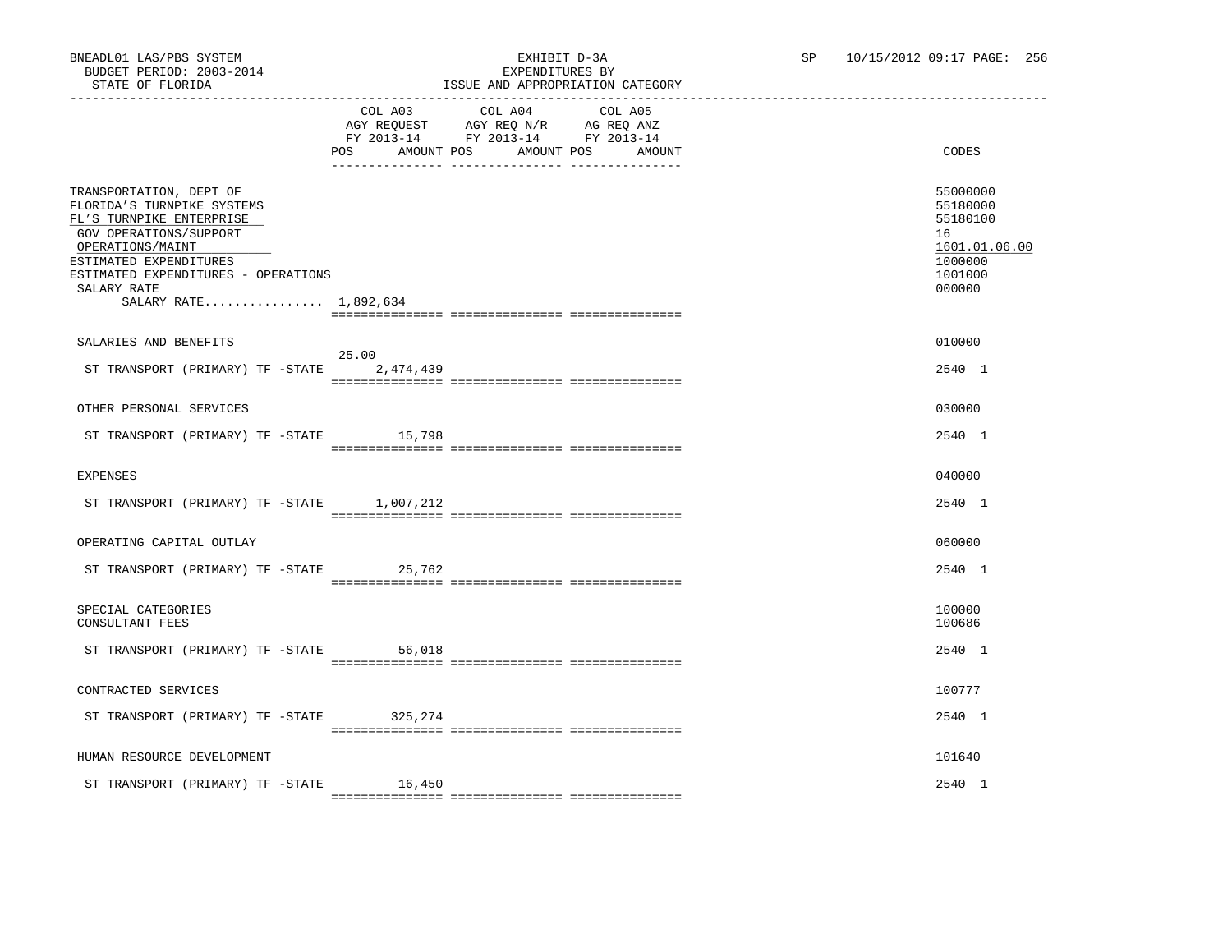|                                                                                                                                                                                                                                          | POS AMOUNT POS     | COL A03 COL A04<br>AGY REQUEST AGY REQ N/R AG REQ ANZ<br>FY 2013-14 FY 2013-14 FY 2013-14 | COL A05<br>AMOUNT POS | AMOUNT | CODES                                                                                   |
|------------------------------------------------------------------------------------------------------------------------------------------------------------------------------------------------------------------------------------------|--------------------|-------------------------------------------------------------------------------------------|-----------------------|--------|-----------------------------------------------------------------------------------------|
| TRANSPORTATION, DEPT OF<br>FLORIDA'S TURNPIKE SYSTEMS<br>FL'S TURNPIKE ENTERPRISE<br>GOV OPERATIONS/SUPPORT<br>OPERATIONS/MAINT<br>ESTIMATED EXPENDITURES<br>ESTIMATED EXPENDITURES - OPERATIONS<br>SALARY RATE<br>SALARY RATE 1,892,634 |                    |                                                                                           |                       |        | 55000000<br>55180000<br>55180100<br>16<br>1601.01.06.00<br>1000000<br>1001000<br>000000 |
| SALARIES AND BENEFITS                                                                                                                                                                                                                    |                    |                                                                                           |                       |        | 010000                                                                                  |
| ST TRANSPORT (PRIMARY) TF -STATE                                                                                                                                                                                                         | 25.00<br>2,474,439 |                                                                                           |                       |        | 2540 1                                                                                  |
| OTHER PERSONAL SERVICES                                                                                                                                                                                                                  |                    |                                                                                           |                       |        | 030000                                                                                  |
| ST TRANSPORT (PRIMARY) TF -STATE 15,798                                                                                                                                                                                                  |                    |                                                                                           |                       |        | 2540 1                                                                                  |
| <b>EXPENSES</b>                                                                                                                                                                                                                          |                    |                                                                                           |                       |        | 040000                                                                                  |
| ST TRANSPORT (PRIMARY) TF -STATE 1,007,212                                                                                                                                                                                               |                    |                                                                                           |                       |        | 2540 1                                                                                  |
| OPERATING CAPITAL OUTLAY                                                                                                                                                                                                                 |                    |                                                                                           |                       |        | 060000                                                                                  |
| ST TRANSPORT (PRIMARY) TF -STATE                                                                                                                                                                                                         | 25,762             |                                                                                           |                       |        | 2540 1                                                                                  |
| SPECIAL CATEGORIES<br>CONSULTANT FEES                                                                                                                                                                                                    |                    |                                                                                           |                       |        | 100000<br>100686                                                                        |
| ST TRANSPORT (PRIMARY) TF -STATE                                                                                                                                                                                                         | 56,018             |                                                                                           |                       |        | 2540 1                                                                                  |
| CONTRACTED SERVICES                                                                                                                                                                                                                      |                    |                                                                                           |                       |        | 100777                                                                                  |
| ST TRANSPORT (PRIMARY) TF -STATE 325,274                                                                                                                                                                                                 |                    |                                                                                           |                       |        | 2540 1                                                                                  |
| HUMAN RESOURCE DEVELOPMENT                                                                                                                                                                                                               |                    |                                                                                           |                       |        | 101640                                                                                  |
| ST TRANSPORT (PRIMARY) TF -STATE                                                                                                                                                                                                         | 16,450             |                                                                                           |                       |        | 2540 1                                                                                  |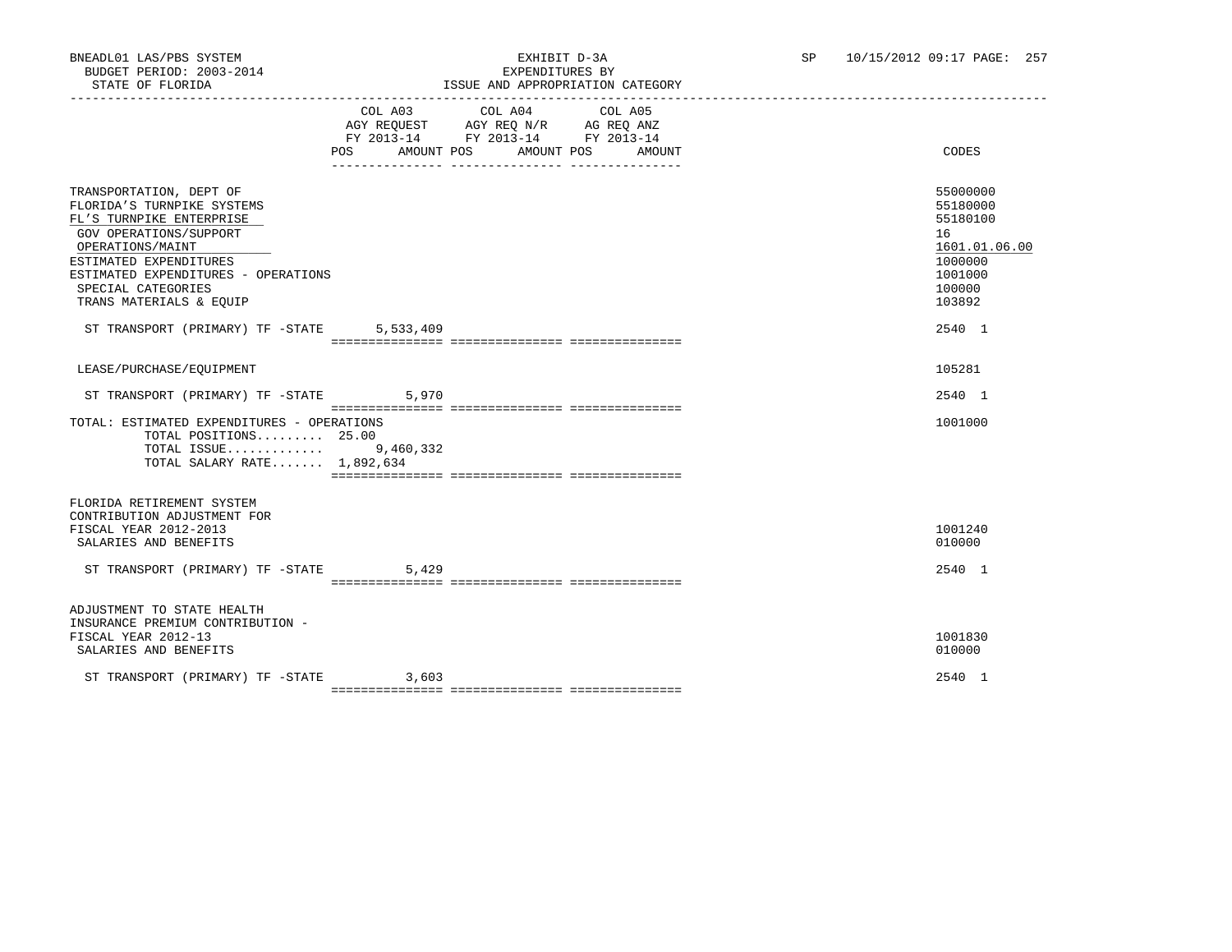|                                                                                                                                                                                                                                                   | POS AMOUNT POS | COL A03 COL A04 COL A05<br>AGY REQUEST AGY REQ N/R AG REQ ANZ<br>FY 2013-14 FY 2013-14 FY 2013-14 | AMOUNT POS<br>AMOUNT | CODES                                                                                             |
|---------------------------------------------------------------------------------------------------------------------------------------------------------------------------------------------------------------------------------------------------|----------------|---------------------------------------------------------------------------------------------------|----------------------|---------------------------------------------------------------------------------------------------|
| TRANSPORTATION, DEPT OF<br>FLORIDA'S TURNPIKE SYSTEMS<br>FL'S TURNPIKE ENTERPRISE<br>GOV OPERATIONS/SUPPORT<br>OPERATIONS/MAINT<br>ESTIMATED EXPENDITURES<br>ESTIMATED EXPENDITURES - OPERATIONS<br>SPECIAL CATEGORIES<br>TRANS MATERIALS & EQUIP |                |                                                                                                   |                      | 55000000<br>55180000<br>55180100<br>16<br>1601.01.06.00<br>1000000<br>1001000<br>100000<br>103892 |
| ST TRANSPORT (PRIMARY) TF -STATE                                                                                                                                                                                                                  | 5,533,409      |                                                                                                   |                      | 2540 1                                                                                            |
| LEASE/PURCHASE/EOUIPMENT                                                                                                                                                                                                                          |                |                                                                                                   |                      | 105281                                                                                            |
| ST TRANSPORT (PRIMARY) TF -STATE                                                                                                                                                                                                                  | 5,970          |                                                                                                   |                      | 2540 1                                                                                            |
| TOTAL: ESTIMATED EXPENDITURES - OPERATIONS<br>TOTAL POSITIONS 25.00<br>TOTAL ISSUE 9,460,332<br>TOTAL SALARY RATE 1,892,634                                                                                                                       |                |                                                                                                   |                      | 1001000                                                                                           |
| FLORIDA RETIREMENT SYSTEM<br>CONTRIBUTION ADJUSTMENT FOR<br>FISCAL YEAR 2012-2013<br>SALARIES AND BENEFITS<br>ST TRANSPORT (PRIMARY) TF -STATE                                                                                                    | 5,429          |                                                                                                   |                      | 1001240<br>010000<br>2540 1                                                                       |
| ADJUSTMENT TO STATE HEALTH<br>INSURANCE PREMIUM CONTRIBUTION -<br>FISCAL YEAR 2012-13<br>SALARIES AND BENEFITS                                                                                                                                    |                |                                                                                                   |                      | 1001830<br>010000                                                                                 |
| ST TRANSPORT (PRIMARY) TF -STATE                                                                                                                                                                                                                  | 3,603          |                                                                                                   |                      | 2540 1                                                                                            |

=============== =============== ===============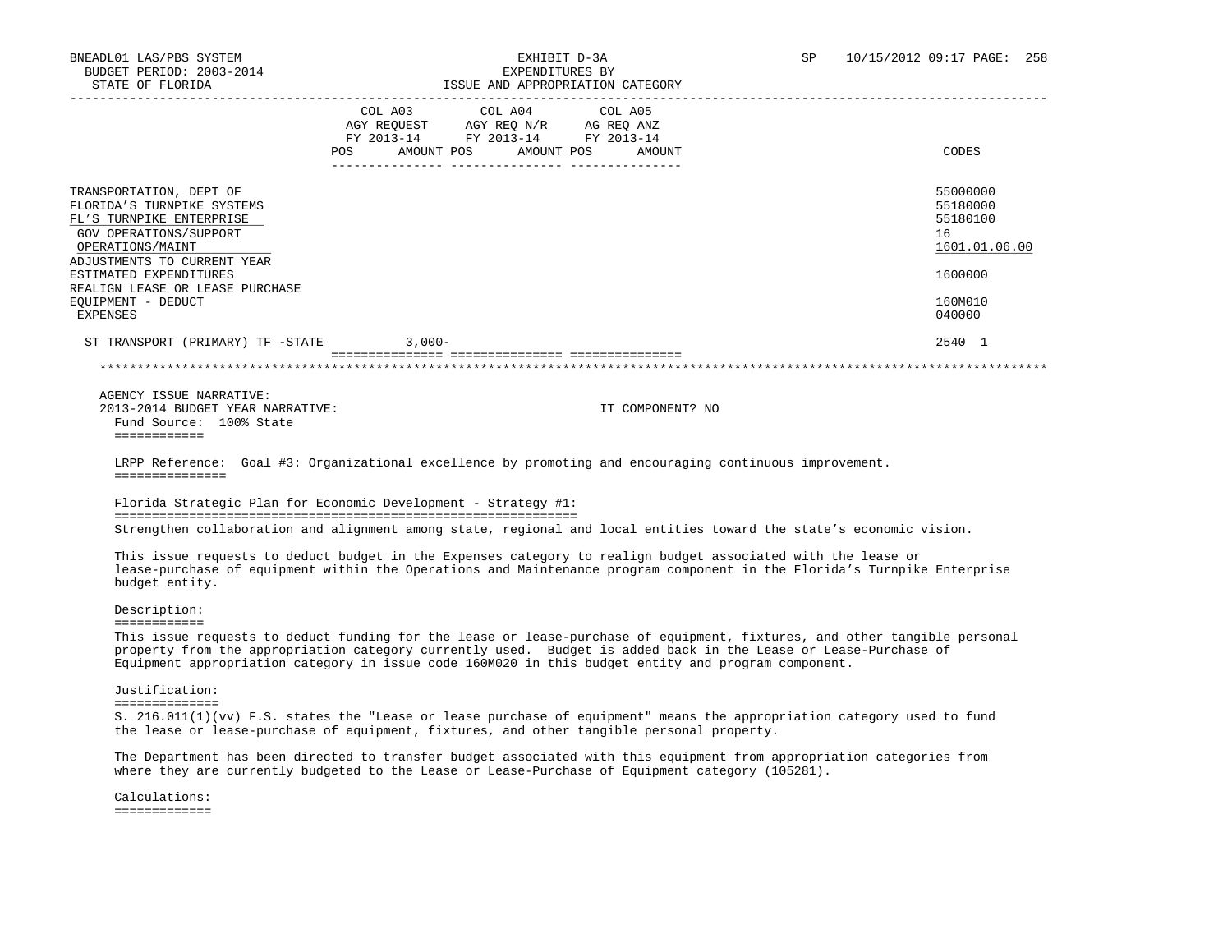| STATE OF FLORIDA                                                                                                                |                           |                                                                                           | ISSUE AND APPROPRIATION CATEGORY                                                                                                                                                                                          |                                                                                                                           |
|---------------------------------------------------------------------------------------------------------------------------------|---------------------------|-------------------------------------------------------------------------------------------|---------------------------------------------------------------------------------------------------------------------------------------------------------------------------------------------------------------------------|---------------------------------------------------------------------------------------------------------------------------|
|                                                                                                                                 | POS AMOUNT POS AMOUNT POS | COL A03 COL A04<br>AGY REQUEST AGY REQ N/R AG REQ ANZ<br>FY 2013-14 FY 2013-14 FY 2013-14 | COL A05<br>AMOUNT                                                                                                                                                                                                         | CODES                                                                                                                     |
| TRANSPORTATION, DEPT OF<br>FLORIDA'S TURNPIKE SYSTEMS<br>FL'S TURNPIKE ENTERPRISE<br>GOV OPERATIONS/SUPPORT<br>OPERATIONS/MAINT |                           |                                                                                           |                                                                                                                                                                                                                           | 55000000<br>55180000<br>55180100<br>16<br>1601.01.06.00                                                                   |
| ADJUSTMENTS TO CURRENT YEAR<br>ESTIMATED EXPENDITURES                                                                           |                           |                                                                                           |                                                                                                                                                                                                                           | 1600000                                                                                                                   |
| REALIGN LEASE OR LEASE PURCHASE<br>EQUIPMENT - DEDUCT<br>EXPENSES                                                               |                           |                                                                                           |                                                                                                                                                                                                                           | 160M010<br>040000                                                                                                         |
| ST TRANSPORT (PRIMARY) TF -STATE                                                                                                | $3.000 -$                 |                                                                                           |                                                                                                                                                                                                                           | 2540 1                                                                                                                    |
|                                                                                                                                 |                           |                                                                                           |                                                                                                                                                                                                                           |                                                                                                                           |
|                                                                                                                                 |                           |                                                                                           |                                                                                                                                                                                                                           |                                                                                                                           |
| AGENCY ISSUE NARRATIVE:<br>2013-2014 BUDGET YEAR NARRATIVE:<br>Fund Source: 100% State<br>============                          |                           |                                                                                           | IT COMPONENT? NO                                                                                                                                                                                                          |                                                                                                                           |
| ===============                                                                                                                 |                           |                                                                                           | LRPP Reference: Goal #3: Organizational excellence by promoting and encouraging continuous improvement.                                                                                                                   |                                                                                                                           |
| Florida Strategic Plan for Economic Development - Strategy #1:                                                                  |                           |                                                                                           |                                                                                                                                                                                                                           |                                                                                                                           |
|                                                                                                                                 |                           |                                                                                           | Strengthen collaboration and alignment among state, regional and local entities toward the state's economic vision.                                                                                                       |                                                                                                                           |
| budget entity.                                                                                                                  |                           |                                                                                           | This issue requests to deduct budget in the Expenses category to realign budget associated with the lease or                                                                                                              | lease-purchase of equipment within the Operations and Maintenance program component in the Florida's Turnpike Enterprise  |
| Description:                                                                                                                    |                           |                                                                                           |                                                                                                                                                                                                                           |                                                                                                                           |
| ============                                                                                                                    |                           |                                                                                           | property from the appropriation category currently used. Budget is added back in the Lease or Lease-Purchase of<br>Equipment appropriation category in issue code 160M020 in this budget entity and program component.    | This issue requests to deduct funding for the lease or lease-purchase of equipment, fixtures, and other tangible personal |
| Justification:<br>==============                                                                                                |                           |                                                                                           |                                                                                                                                                                                                                           |                                                                                                                           |
|                                                                                                                                 |                           |                                                                                           | the lease or lease-purchase of equipment, fixtures, and other tangible personal property.                                                                                                                                 | S. 216.011(1)(vv) F.S. states the "Lease or lease purchase of equipment" means the appropriation category used to fund    |
|                                                                                                                                 |                           |                                                                                           | The Department has been directed to transfer budget associated with this equipment from appropriation categories from<br>where they are currently budgeted to the Lease or Lease-Purchase of Equipment category (105281). |                                                                                                                           |
| Calculations:                                                                                                                   |                           |                                                                                           |                                                                                                                                                                                                                           |                                                                                                                           |

=============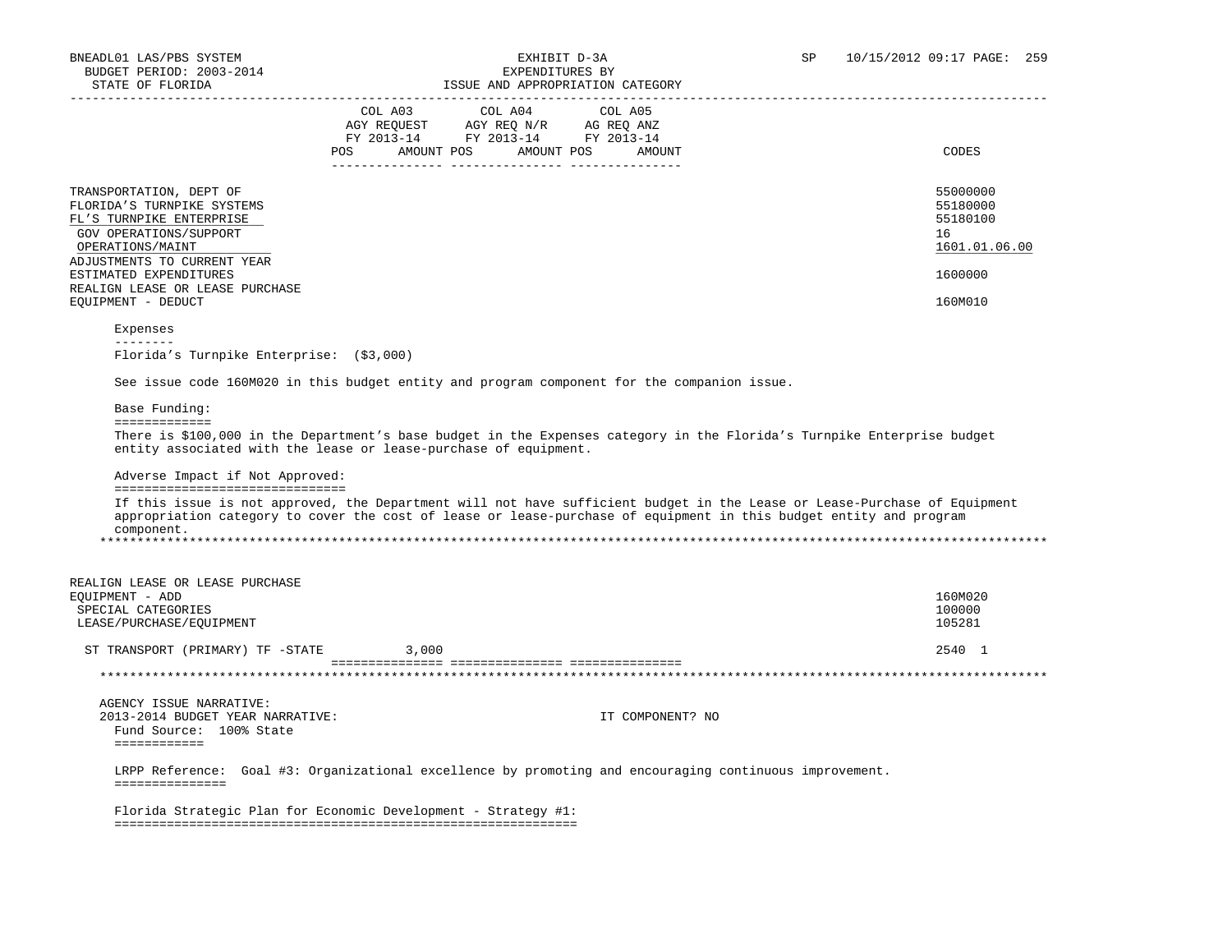| CODES                                                                                                                                                                                                                                           |
|-------------------------------------------------------------------------------------------------------------------------------------------------------------------------------------------------------------------------------------------------|
|                                                                                                                                                                                                                                                 |
|                                                                                                                                                                                                                                                 |
|                                                                                                                                                                                                                                                 |
|                                                                                                                                                                                                                                                 |
| 55000000<br>55180000<br>55180100<br>16<br>1601.01.06.00<br>1600000                                                                                                                                                                              |
| 160M010                                                                                                                                                                                                                                         |
|                                                                                                                                                                                                                                                 |
|                                                                                                                                                                                                                                                 |
| See issue code 160M020 in this budget entity and program component for the companion issue.                                                                                                                                                     |
|                                                                                                                                                                                                                                                 |
|                                                                                                                                                                                                                                                 |
| There is \$100,000 in the Department's base budget in the Expenses category in the Florida's Turnpike Enterprise budget                                                                                                                         |
|                                                                                                                                                                                                                                                 |
| If this issue is not approved, the Department will not have sufficient budget in the Lease or Lease-Purchase of Equipment<br>appropriation category to cover the cost of lease or lease-purchase of equipment in this budget entity and program |
|                                                                                                                                                                                                                                                 |
| 160M020                                                                                                                                                                                                                                         |
| 100000                                                                                                                                                                                                                                          |
| 105281                                                                                                                                                                                                                                          |
| 2540 1                                                                                                                                                                                                                                          |
|                                                                                                                                                                                                                                                 |
|                                                                                                                                                                                                                                                 |
|                                                                                                                                                                                                                                                 |
|                                                                                                                                                                                                                                                 |
| LRPP Reference: Goal #3: Organizational excellence by promoting and encouraging continuous improvement.                                                                                                                                         |
|                                                                                                                                                                                                                                                 |
|                                                                                                                                                                                                                                                 |
|                                                                                                                                                                                                                                                 |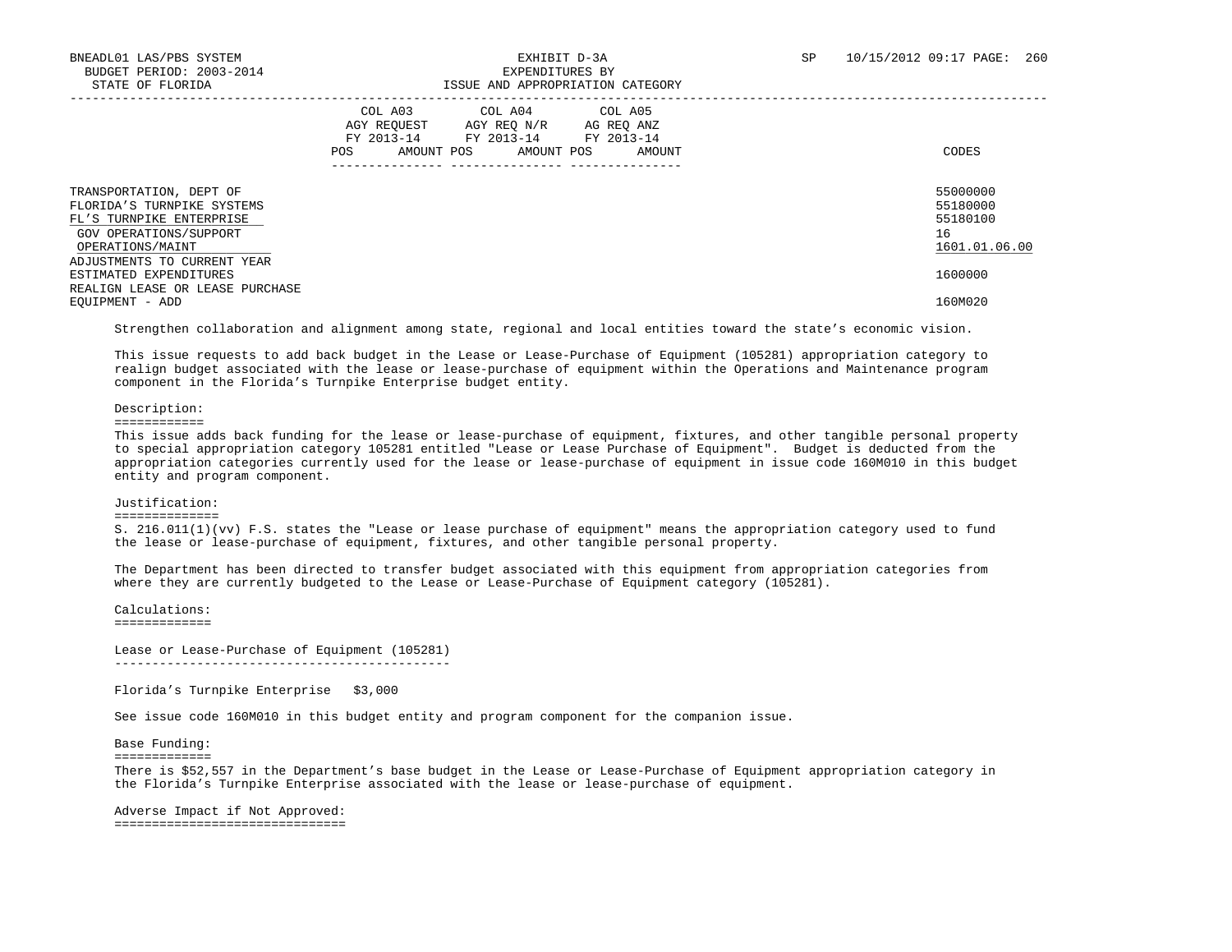|                                                                                                                                 | COL A04<br>COL A03<br>COL A05<br>AGY REOUEST<br>AGY REO N/R<br>AG REO ANZ<br>FY 2013-14<br>FY 2013-14<br>FY 2013-14<br>POS<br>AMOUNT POS<br>AMOUNT POS<br>AMOUNT | CODES                                                   |
|---------------------------------------------------------------------------------------------------------------------------------|------------------------------------------------------------------------------------------------------------------------------------------------------------------|---------------------------------------------------------|
| TRANSPORTATION, DEPT OF<br>FLORIDA'S TURNPIKE SYSTEMS<br>FL'S TURNPIKE ENTERPRISE<br>GOV OPERATIONS/SUPPORT<br>OPERATIONS/MAINT |                                                                                                                                                                  | 55000000<br>55180000<br>55180100<br>16<br>1601.01.06.00 |
| ADJUSTMENTS TO CURRENT YEAR<br>ESTIMATED EXPENDITURES<br>REALIGN LEASE OR LEASE PURCHASE<br>EOUIPMENT - ADD                     |                                                                                                                                                                  | 1600000<br>160M020                                      |
|                                                                                                                                 |                                                                                                                                                                  |                                                         |

Strengthen collaboration and alignment among state, regional and local entities toward the state's economic vision.

 This issue requests to add back budget in the Lease or Lease-Purchase of Equipment (105281) appropriation category to realign budget associated with the lease or lease-purchase of equipment within the Operations and Maintenance program component in the Florida's Turnpike Enterprise budget entity.

#### Description:

============

 This issue adds back funding for the lease or lease-purchase of equipment, fixtures, and other tangible personal property to special appropriation category 105281 entitled "Lease or Lease Purchase of Equipment". Budget is deducted from the appropriation categories currently used for the lease or lease-purchase of equipment in issue code 160M010 in this budget entity and program component.

#### Justification:

==============

 S. 216.011(1)(vv) F.S. states the "Lease or lease purchase of equipment" means the appropriation category used to fund the lease or lease-purchase of equipment, fixtures, and other tangible personal property.

 The Department has been directed to transfer budget associated with this equipment from appropriation categories from where they are currently budgeted to the Lease or Lease-Purchase of Equipment category (105281).

 Calculations: =============

 Lease or Lease-Purchase of Equipment (105281) ---------------------------------------------

Florida's Turnpike Enterprise \$3,000

See issue code 160M010 in this budget entity and program component for the companion issue.

Base Funding:

=============

 There is \$52,557 in the Department's base budget in the Lease or Lease-Purchase of Equipment appropriation category in the Florida's Turnpike Enterprise associated with the lease or lease-purchase of equipment.

 Adverse Impact if Not Approved: ===============================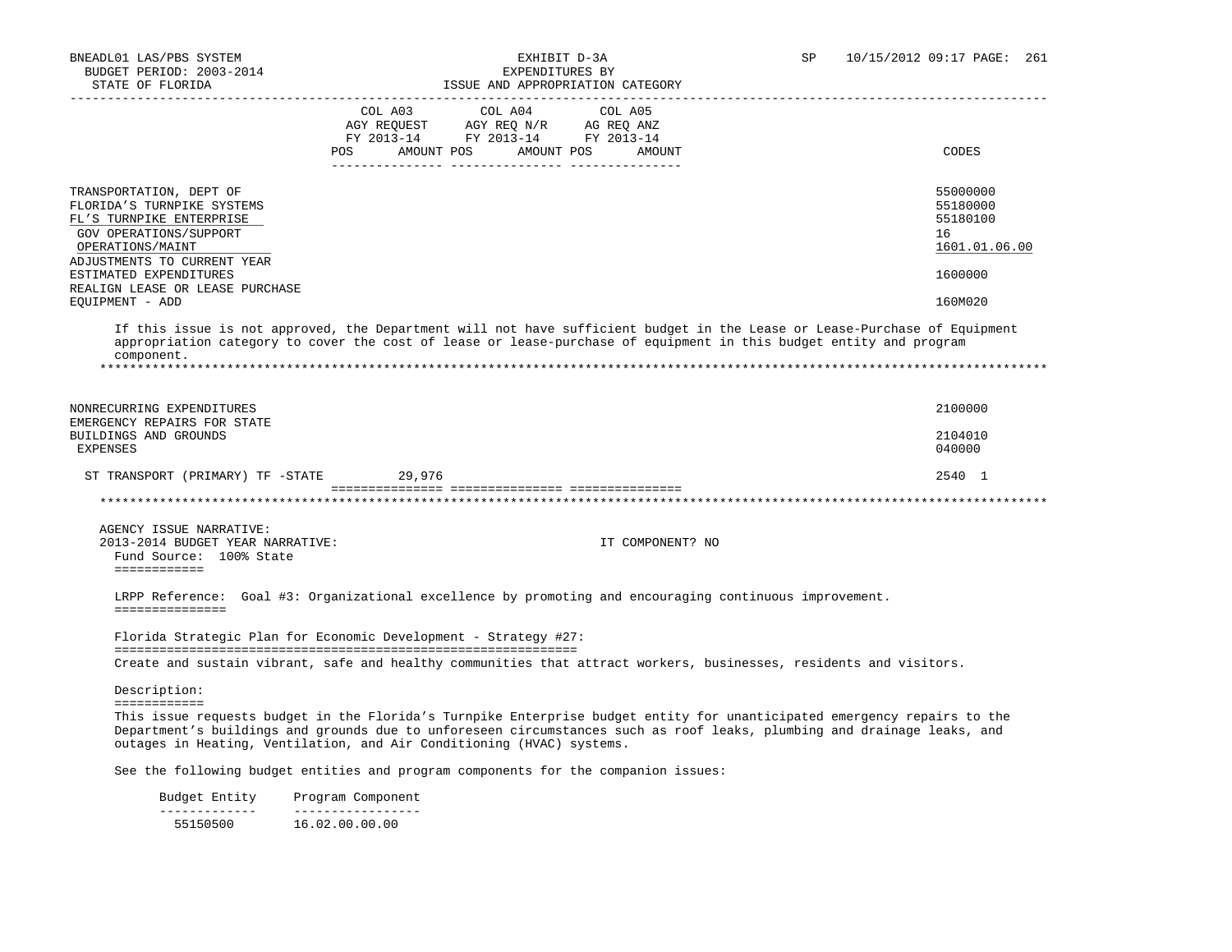| STATE OF FLORIDA                                                                                                                                               |                   |                                               | ISSUE AND APPROPRIATION CATEGORY                                                                                                                                                                                                                    |                                                         |
|----------------------------------------------------------------------------------------------------------------------------------------------------------------|-------------------|-----------------------------------------------|-----------------------------------------------------------------------------------------------------------------------------------------------------------------------------------------------------------------------------------------------------|---------------------------------------------------------|
|                                                                                                                                                                | COL A03           | COL A04<br>AGY REQUEST AGY REQ N/R AG REQ ANZ | COL A05                                                                                                                                                                                                                                             |                                                         |
|                                                                                                                                                                |                   | FY 2013-14 FY 2013-14 FY 2013-14              |                                                                                                                                                                                                                                                     |                                                         |
|                                                                                                                                                                | POS<br>AMOUNT POS |                                               | AMOUNT POS<br>AMOUNT                                                                                                                                                                                                                                | CODES                                                   |
| TRANSPORTATION, DEPT OF<br>FLORIDA'S TURNPIKE SYSTEMS<br>FL'S TURNPIKE ENTERPRISE<br>GOV OPERATIONS/SUPPORT<br>OPERATIONS/MAINT<br>ADJUSTMENTS TO CURRENT YEAR |                   |                                               |                                                                                                                                                                                                                                                     | 55000000<br>55180000<br>55180100<br>16<br>1601.01.06.00 |
| ESTIMATED EXPENDITURES<br>REALIGN LEASE OR LEASE PURCHASE                                                                                                      |                   |                                               |                                                                                                                                                                                                                                                     | 1600000                                                 |
| EQUIPMENT - ADD                                                                                                                                                |                   |                                               |                                                                                                                                                                                                                                                     | 160M020                                                 |
| component.                                                                                                                                                     |                   |                                               | If this issue is not approved, the Department will not have sufficient budget in the Lease or Lease-Purchase of Equipment<br>appropriation category to cover the cost of lease or lease-purchase of equipment in this budget entity and program     |                                                         |
| NONRECURRING EXPENDITURES                                                                                                                                      |                   |                                               |                                                                                                                                                                                                                                                     | 2100000                                                 |
| EMERGENCY REPAIRS FOR STATE<br>BUILDINGS AND GROUNDS<br><b>EXPENSES</b>                                                                                        |                   |                                               |                                                                                                                                                                                                                                                     | 2104010<br>040000                                       |
| ST TRANSPORT (PRIMARY) TF -STATE                                                                                                                               | 29,976            |                                               |                                                                                                                                                                                                                                                     | 2540 1                                                  |
|                                                                                                                                                                |                   |                                               |                                                                                                                                                                                                                                                     |                                                         |
| AGENCY ISSUE NARRATIVE:<br>2013-2014 BUDGET YEAR NARRATIVE:<br>Fund Source: 100% State<br>============                                                         |                   |                                               | IT COMPONENT? NO                                                                                                                                                                                                                                    |                                                         |
| ===============                                                                                                                                                |                   |                                               | LRPP Reference: Goal #3: Organizational excellence by promoting and encouraging continuous improvement.                                                                                                                                             |                                                         |
| Florida Strategic Plan for Economic Development - Strategy #27:                                                                                                |                   |                                               |                                                                                                                                                                                                                                                     |                                                         |
|                                                                                                                                                                |                   |                                               | Create and sustain vibrant, safe and healthy communities that attract workers, businesses, residents and visitors.                                                                                                                                  |                                                         |
| Description:<br>============                                                                                                                                   |                   |                                               |                                                                                                                                                                                                                                                     |                                                         |
| outages in Heating, Ventilation, and Air Conditioning (HVAC) systems.                                                                                          |                   |                                               | This issue requests budget in the Florida's Turnpike Enterprise budget entity for unanticipated emergency repairs to the<br>Department's buildings and grounds due to unforeseen circumstances such as roof leaks, plumbing and drainage leaks, and |                                                         |
| See the following budget entities and program components for the companion issues:                                                                             |                   |                                               |                                                                                                                                                                                                                                                     |                                                         |

Budget Entity Program Component

 ------------- ----------------- 55150500 16.02.00.00.00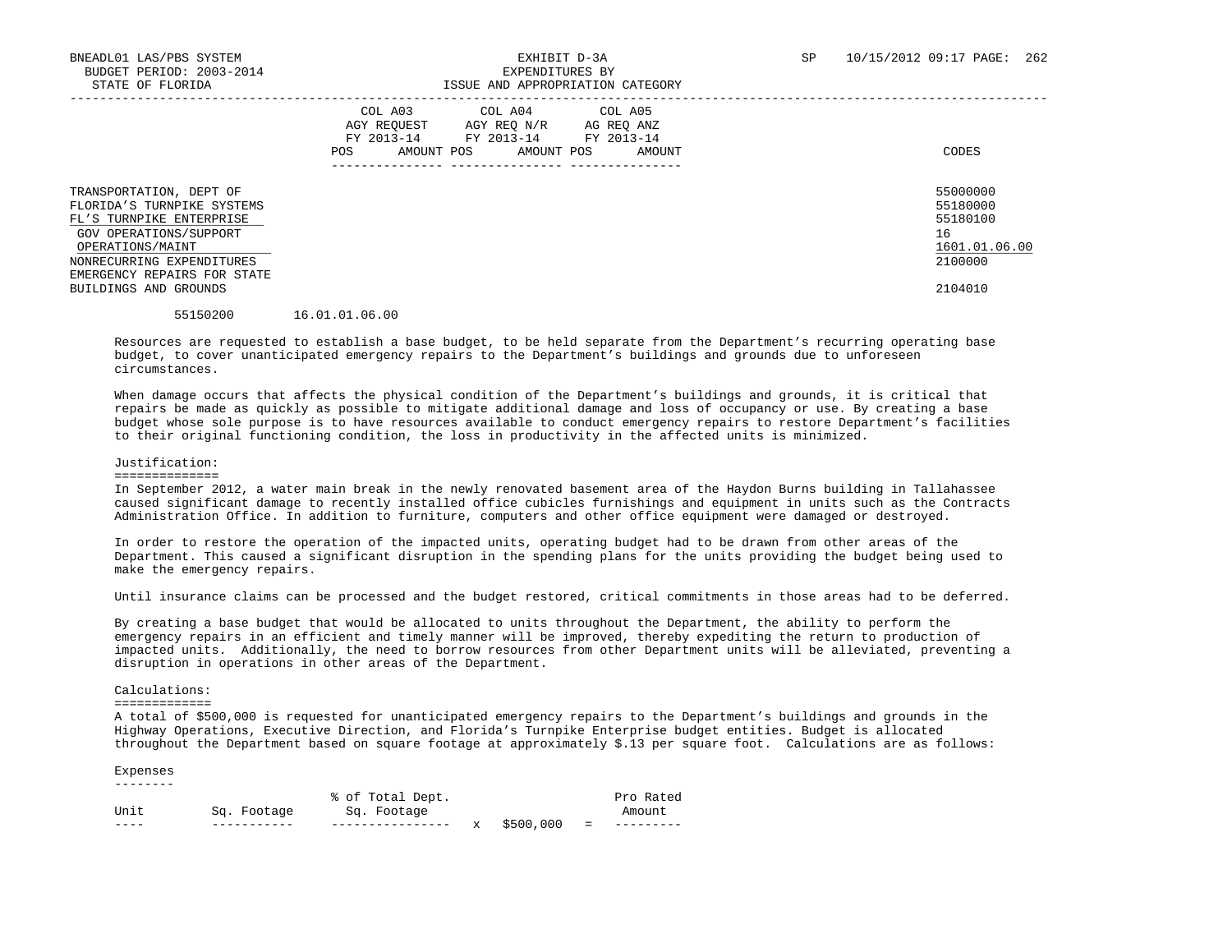|                                                                                                                                                                                                                      | COL A03<br>COL A04<br>COL A05<br>AGY REOUEST<br>AG REQ ANZ<br>AGY REO N/R<br>FY 2013-14<br>FY 2013-14<br>FY 2013-14<br>AMOUNT POS<br>POS<br>AMOUNT POS<br>AMOUNT | CODES                                                                         |
|----------------------------------------------------------------------------------------------------------------------------------------------------------------------------------------------------------------------|------------------------------------------------------------------------------------------------------------------------------------------------------------------|-------------------------------------------------------------------------------|
| TRANSPORTATION, DEPT OF<br>FLORIDA'S TURNPIKE SYSTEMS<br>FL'S TURNPIKE ENTERPRISE<br>GOV OPERATIONS/SUPPORT<br>OPERATIONS/MAINT<br>NONRECURRING EXPENDITURES<br>EMERGENCY REPAIRS FOR STATE<br>BUILDINGS AND GROUNDS |                                                                                                                                                                  | 55000000<br>55180000<br>55180100<br>16<br>1601.01.06.00<br>2100000<br>2104010 |
| 55150200                                                                                                                                                                                                             | 16.01.01.06.00                                                                                                                                                   |                                                                               |

 Resources are requested to establish a base budget, to be held separate from the Department's recurring operating base budget, to cover unanticipated emergency repairs to the Department's buildings and grounds due to unforeseen circumstances.

 When damage occurs that affects the physical condition of the Department's buildings and grounds, it is critical that repairs be made as quickly as possible to mitigate additional damage and loss of occupancy or use. By creating a base budget whose sole purpose is to have resources available to conduct emergency repairs to restore Department's facilities to their original functioning condition, the loss in productivity in the affected units is minimized.

#### Justification:

#### ==============

 In September 2012, a water main break in the newly renovated basement area of the Haydon Burns building in Tallahassee caused significant damage to recently installed office cubicles furnishings and equipment in units such as the Contracts Administration Office. In addition to furniture, computers and other office equipment were damaged or destroyed.

 In order to restore the operation of the impacted units, operating budget had to be drawn from other areas of the Department. This caused a significant disruption in the spending plans for the units providing the budget being used to make the emergency repairs.

Until insurance claims can be processed and the budget restored, critical commitments in those areas had to be deferred.

 By creating a base budget that would be allocated to units throughout the Department, the ability to perform the emergency repairs in an efficient and timely manner will be improved, thereby expediting the return to production of impacted units. Additionally, the need to borrow resources from other Department units will be alleviated, preventing a disruption in operations in other areas of the Department.

#### Calculations:

#### =============

 A total of \$500,000 is requested for unanticipated emergency repairs to the Department's buildings and grounds in the Highway Operations, Executive Direction, and Florida's Turnpike Enterprise budget entities. Budget is allocated throughout the Department based on square footage at approximately \$.13 per square foot. Calculations are as follows:

#### Expenses --------

|      |             | % of Total Dept. |             |          | Pro Rated |
|------|-------------|------------------|-------------|----------|-----------|
| Unit | Sq. Footage | Sq. Footage      |             |          | Amount    |
|      |             |                  | x \$500,000 | $\equiv$ |           |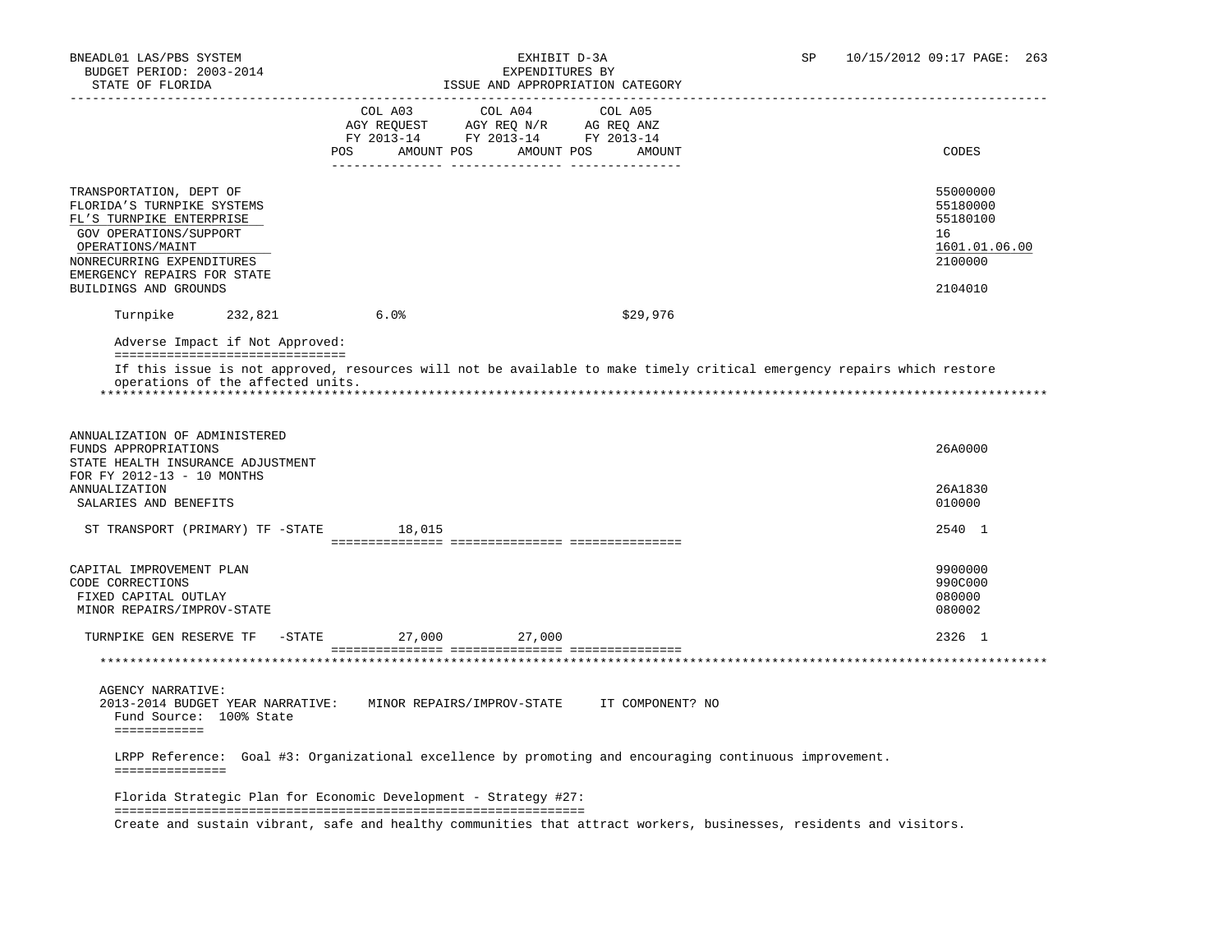| STATE OF FLORIDA                                                                                                                                                                                                     | ___________________________________                                               |            | ISSUE AND APPROPRIATION CATEGORY                                                                                   |                                                                               |
|----------------------------------------------------------------------------------------------------------------------------------------------------------------------------------------------------------------------|-----------------------------------------------------------------------------------|------------|--------------------------------------------------------------------------------------------------------------------|-------------------------------------------------------------------------------|
|                                                                                                                                                                                                                      | COL A03<br>AGY REQUEST AGY REQ N/R AG REQ ANZ<br>FY 2013-14 FY 2013-14 FY 2013-14 | COL A04    | COL A05                                                                                                            |                                                                               |
|                                                                                                                                                                                                                      | AMOUNT POS<br>POS                                                                 | AMOUNT POS | AMOUNT                                                                                                             | CODES                                                                         |
| TRANSPORTATION, DEPT OF<br>FLORIDA'S TURNPIKE SYSTEMS<br>FL'S TURNPIKE ENTERPRISE<br>GOV OPERATIONS/SUPPORT<br>OPERATIONS/MAINT<br>NONRECURRING EXPENDITURES<br>EMERGENCY REPAIRS FOR STATE<br>BUILDINGS AND GROUNDS |                                                                                   |            |                                                                                                                    | 55000000<br>55180000<br>55180100<br>16<br>1601.01.06.00<br>2100000<br>2104010 |
| Turnpike<br>232,821                                                                                                                                                                                                  | 6.0%                                                                              |            | \$29,976                                                                                                           |                                                                               |
| Adverse Impact if Not Approved:<br>=================================                                                                                                                                                 |                                                                                   |            |                                                                                                                    |                                                                               |
| ANNUALIZATION OF ADMINISTERED<br>FUNDS APPROPRIATIONS<br>STATE HEALTH INSURANCE ADJUSTMENT<br>FOR FY 2012-13 - 10 MONTHS                                                                                             |                                                                                   |            |                                                                                                                    | 26A0000                                                                       |
| <b>ANNUALIZATION</b><br>SALARIES AND BENEFITS                                                                                                                                                                        |                                                                                   |            |                                                                                                                    | 26A1830<br>010000                                                             |
| ST TRANSPORT (PRIMARY) TF -STATE                                                                                                                                                                                     | 18,015                                                                            |            |                                                                                                                    | 2540 1                                                                        |
| CAPITAL IMPROVEMENT PLAN<br>CODE CORRECTIONS<br>FIXED CAPITAL OUTLAY<br>MINOR REPAIRS/IMPROV-STATE                                                                                                                   |                                                                                   |            |                                                                                                                    | 9900000<br>990C000<br>080000<br>080002                                        |
| TURNPIKE GEN RESERVE TF<br>$-$ STATE                                                                                                                                                                                 | 27,000                                                                            | 27,000     |                                                                                                                    | 2326 1                                                                        |
|                                                                                                                                                                                                                      |                                                                                   |            |                                                                                                                    |                                                                               |
| <b>AGENCY NARRATIVE:</b><br>2013-2014 BUDGET YEAR NARRATIVE: MINOR REPAIRS/IMPROV-STATE IT COMPONENT? NO<br>Fund Source: 100% State<br>============                                                                  |                                                                                   |            |                                                                                                                    |                                                                               |
| ===============                                                                                                                                                                                                      |                                                                                   |            | LRPP Reference: Goal #3: Organizational excellence by promoting and encouraging continuous improvement.            |                                                                               |
| Florida Strategic Plan for Economic Development - Strategy #27:                                                                                                                                                      |                                                                                   |            |                                                                                                                    |                                                                               |
|                                                                                                                                                                                                                      |                                                                                   |            | Create and sustain vibrant, safe and healthy communities that attract workers, businesses, residents and visitors. |                                                                               |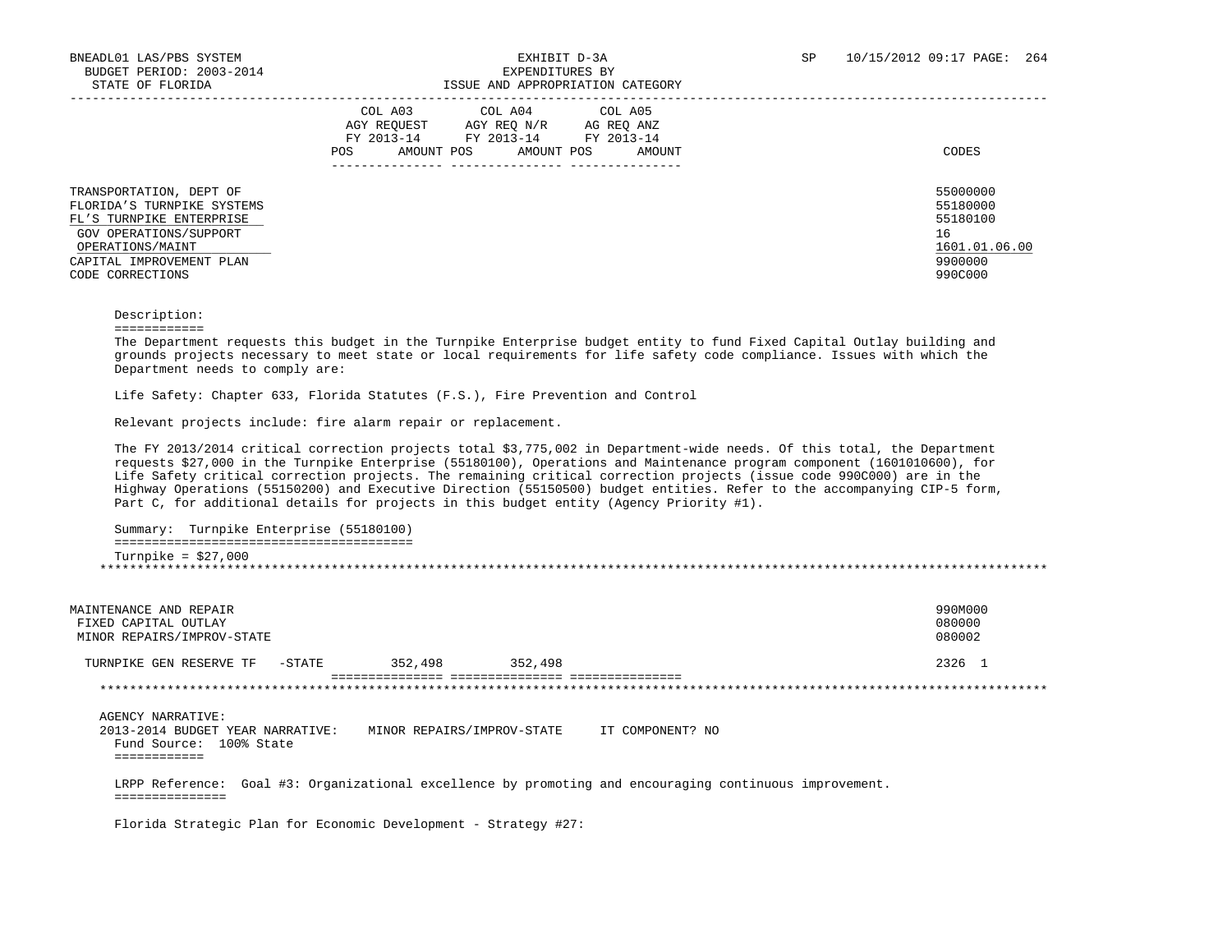| COL A03<br>COL A04<br>COL A05<br>AGY REOUEST<br>AGY REO N/R<br>AG REO ANZ<br>FY 2013-14<br>FY 2013-14<br>FY 2013-14<br>AMOUNT POS<br>AMOUNT POS<br>AMOUNT<br><b>POS</b> | CODES                                     |
|-------------------------------------------------------------------------------------------------------------------------------------------------------------------------|-------------------------------------------|
|                                                                                                                                                                         | 55000000<br>55180000<br>55180100          |
|                                                                                                                                                                         | 16<br>1601.01.06.00<br>9900000<br>990C000 |
|                                                                                                                                                                         |                                           |

Description:

============

 The Department requests this budget in the Turnpike Enterprise budget entity to fund Fixed Capital Outlay building and grounds projects necessary to meet state or local requirements for life safety code compliance. Issues with which the Department needs to comply are:

Life Safety: Chapter 633, Florida Statutes (F.S.), Fire Prevention and Control

Relevant projects include: fire alarm repair or replacement.

 The FY 2013/2014 critical correction projects total \$3,775,002 in Department-wide needs. Of this total, the Department requests \$27,000 in the Turnpike Enterprise (55180100), Operations and Maintenance program component (1601010600), for Life Safety critical correction projects. The remaining critical correction projects (issue code 990C000) are in the Highway Operations (55150200) and Executive Direction (55150500) budget entities. Refer to the accompanying CIP-5 form, Part C, for additional details for projects in this budget entity (Agency Priority #1).

 Summary: Turnpike Enterprise (55180100) ======================================== Turnpike = \$27,000 \*\*\*\*\*\*\*\*\*\*\*\*\*\*\*\*\*\*\*\*\*\*\*\*\*\*\*\*\*\*\*\*\*\*\*\*\*\*\*\*\*\*\*\*\*\*\*\*\*\*\*\*\*\*\*\*\*\*\*\*\*\*\*\*\*\*\*\*\*\*\*\*\*\*\*\*\*\*\*\*\*\*\*\*\*\*\*\*\*\*\*\*\*\*\*\*\*\*\*\*\*\*\*\*\*\*\*\*\*\*\*\*\*\*\*\*\*\*\*\*\*\*\*\*\*\*\*

MAINTENANCE AND REPAIR 990M000<br>FIXED CAPITAL OUTLAY 1980000 FIXED CAPITAL OUTLAY 080000<br>MINOR REPAIRS/IMPROV-STATE MINOR REPAIRS/IMPROV-STATE TURNPIKE GEN RESERVE TF -STATE 352,498 352,498 2326 1 =============== =============== =============== \*\*\*\*\*\*\*\*\*\*\*\*\*\*\*\*\*\*\*\*\*\*\*\*\*\*\*\*\*\*\*\*\*\*\*\*\*\*\*\*\*\*\*\*\*\*\*\*\*\*\*\*\*\*\*\*\*\*\*\*\*\*\*\*\*\*\*\*\*\*\*\*\*\*\*\*\*\*\*\*\*\*\*\*\*\*\*\*\*\*\*\*\*\*\*\*\*\*\*\*\*\*\*\*\*\*\*\*\*\*\*\*\*\*\*\*\*\*\*\*\*\*\*\*\*\*\* AGENCY NARRATIVE: 2013-2014 BUDGET YEAR NARRATIVE: MINOR REPAIRS/IMPROV-STATE IT COMPONENT? NO Fund Source: 100% State ============ LRPP Reference: Goal #3: Organizational excellence by promoting and encouraging continuous improvement. =============== Florida Strategic Plan for Economic Development - Strategy #27: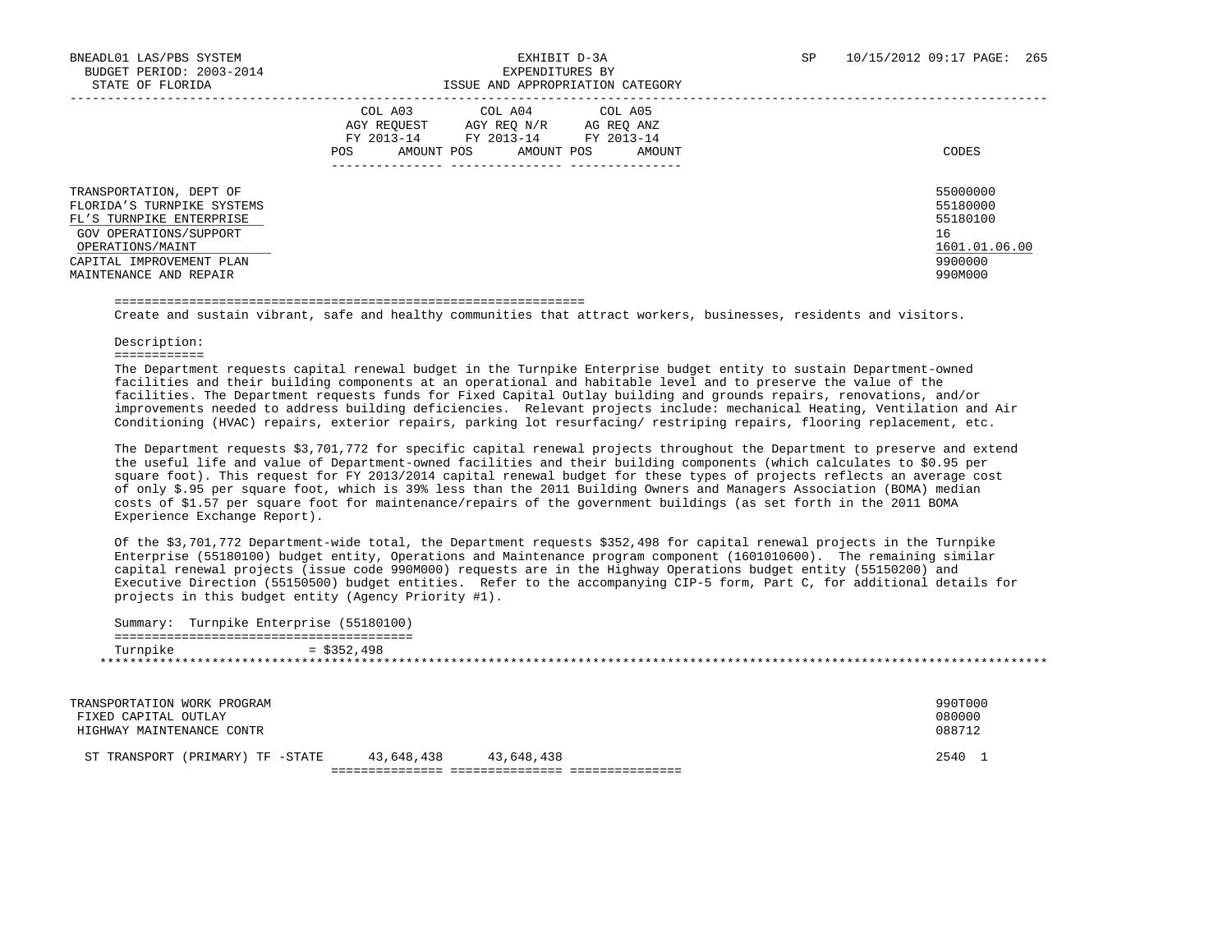|                                                                                                                                                                                       | COL A05<br>COL A03<br>COL A04<br>AGY REOUEST<br>AGY REO N/R<br>AG REO ANZ<br>FY 2013-14<br>FY 2013-14<br>FY 2013-14<br>AMOUNT POS<br>AMOUNT POS<br>POS<br>AMOUNT<br>_______________ | CODES                                                                         |
|---------------------------------------------------------------------------------------------------------------------------------------------------------------------------------------|-------------------------------------------------------------------------------------------------------------------------------------------------------------------------------------|-------------------------------------------------------------------------------|
| TRANSPORTATION, DEPT OF<br>FLORIDA'S TURNPIKE SYSTEMS<br>FL'S TURNPIKE ENTERPRISE<br>GOV OPERATIONS/SUPPORT<br>OPERATIONS/MAINT<br>CAPITAL IMPROVEMENT PLAN<br>MAINTENANCE AND REPAIR |                                                                                                                                                                                     | 55000000<br>55180000<br>55180100<br>16<br>1601.01.06.00<br>9900000<br>990M000 |

#### ===============================================================

Create and sustain vibrant, safe and healthy communities that attract workers, businesses, residents and visitors.

#### Description:

============

 The Department requests capital renewal budget in the Turnpike Enterprise budget entity to sustain Department-owned facilities and their building components at an operational and habitable level and to preserve the value of the facilities. The Department requests funds for Fixed Capital Outlay building and grounds repairs, renovations, and/or improvements needed to address building deficiencies. Relevant projects include: mechanical Heating, Ventilation and Air Conditioning (HVAC) repairs, exterior repairs, parking lot resurfacing/ restriping repairs, flooring replacement, etc.

 The Department requests \$3,701,772 for specific capital renewal projects throughout the Department to preserve and extend the useful life and value of Department-owned facilities and their building components (which calculates to \$0.95 per square foot). This request for FY 2013/2014 capital renewal budget for these types of projects reflects an average cost of only \$.95 per square foot, which is 39% less than the 2011 Building Owners and Managers Association (BOMA) median costs of \$1.57 per square foot for maintenance/repairs of the government buildings (as set forth in the 2011 BOMA Experience Exchange Report).

 Of the \$3,701,772 Department-wide total, the Department requests \$352,498 for capital renewal projects in the Turnpike Enterprise (55180100) budget entity, Operations and Maintenance program component (1601010600). The remaining similar capital renewal projects (issue code 990M000) requests are in the Highway Operations budget entity (55150200) and Executive Direction (55150500) budget entities. Refer to the accompanying CIP-5 form, Part C, for additional details for projects in this budget entity (Agency Priority #1).

| Summary: | Turnpike Enterprise (55180100) |
|----------|--------------------------------|
| Turnpike | $=$ \$352,498                  |

| TRANSPORTATION WORK PROGRAM<br>FIXED CAPITAL OUTLAY<br>HIGHWAY MAINTENANCE CONTR |            |            | 990T000<br>080000<br>088712 |  |
|----------------------------------------------------------------------------------|------------|------------|-----------------------------|--|
| ST TRANSPORT (PRIMARY) TF -STATE                                                 | 43,648,438 | 43,648,438 | 2540                        |  |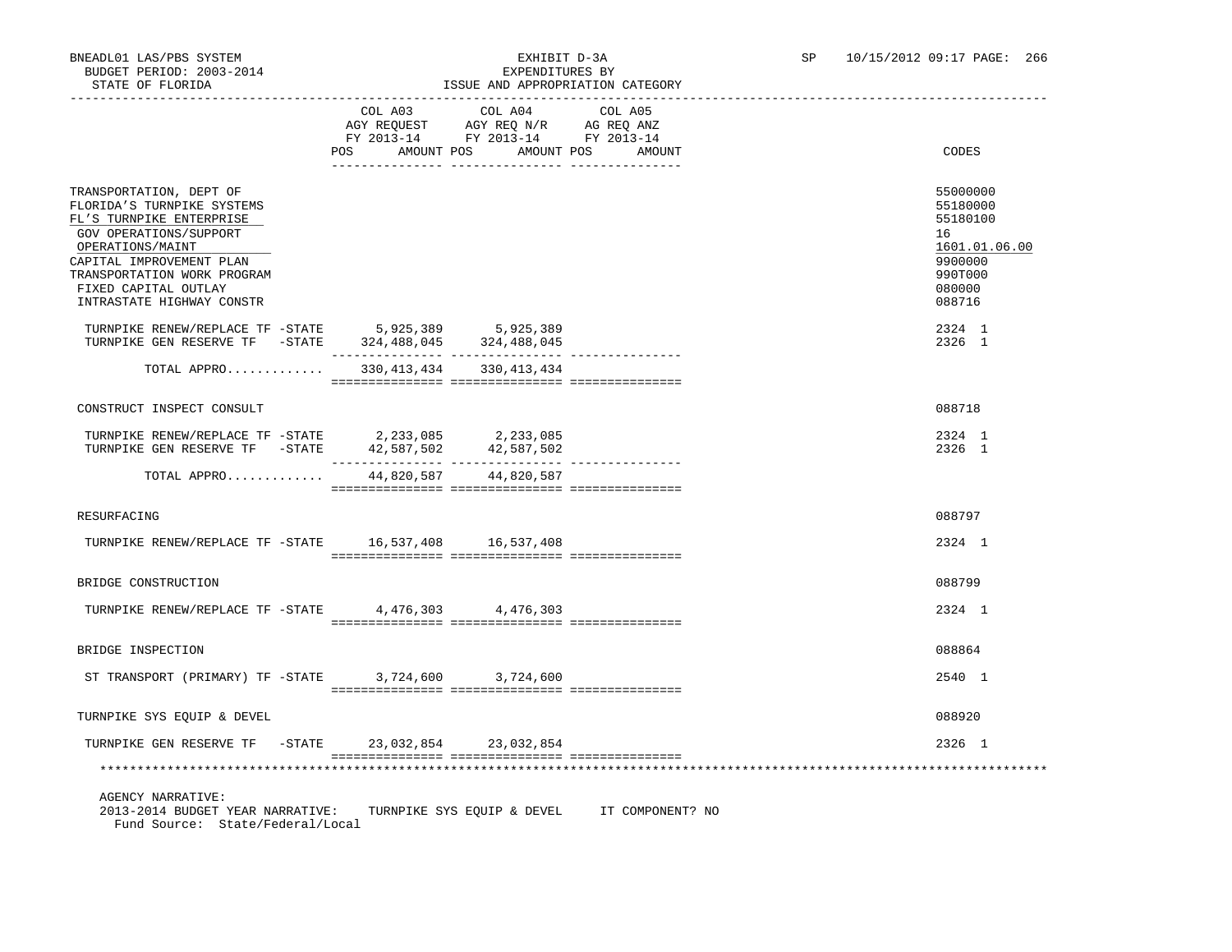### BNEADL01 LAS/PBS SYSTEM EXHIBIT D-3A SP 10/15/2012 09:17 PAGE: 266 ISSUE AND APPROPRIATION CATEGORY

|                                                                                                                     |                | COL A03 COL A04 COL A05                                                |                   |                                  |
|---------------------------------------------------------------------------------------------------------------------|----------------|------------------------------------------------------------------------|-------------------|----------------------------------|
|                                                                                                                     |                | NOT REQUEST AGY REQ N/R AG REQ ANZ<br>FY 2013-14 FY 2013-14 FY 2013-14 |                   |                                  |
|                                                                                                                     |                |                                                                        |                   |                                  |
|                                                                                                                     | POS AMOUNT POS |                                                                        | AMOUNT POS AMOUNT | CODES                            |
| TRANSPORTATION, DEPT OF<br>FLORIDA'S TURNPIKE SYSTEMS<br>FL'S TURNPIKE ENTERPRISE                                   |                |                                                                        |                   | 55000000<br>55180000<br>55180100 |
| GOV OPERATIONS/SUPPORT<br>OPERATIONS/MAINT<br>CAPITAL IMPROVEMENT PLAN                                              |                |                                                                        |                   | 16<br>1601.01.06.00<br>9900000   |
| TRANSPORTATION WORK PROGRAM<br>FIXED CAPITAL OUTLAY<br>INTRASTATE HIGHWAY CONSTR                                    |                |                                                                        |                   | 990T000<br>080000<br>088716      |
| TURNPIKE RENEW/REPLACE TF -STATE 5,925,389 5,925,389<br>TURNPIKE GEN RESERVE TF - STATE 324, 488, 045 324, 488, 045 |                |                                                                        |                   | 2324 1<br>2326 1                 |
| TOTAL APPRO                                                                                                         |                | 330, 413, 434 330, 413, 434                                            |                   |                                  |
| CONSTRUCT INSPECT CONSULT                                                                                           |                |                                                                        |                   | 088718                           |
| TURNPIKE RENEW/REPLACE TF -STATE 2,233,085 2,233,085<br>TURNPIKE GEN RESERVE TF - STATE                             |                | 42,587,502 42,587,502                                                  |                   | 2324 1<br>2326 1                 |
| TOTAL APPRO                                                                                                         |                | 44,820,587 44,820,587                                                  |                   |                                  |
| RESURFACING                                                                                                         |                |                                                                        |                   | 088797                           |
| TURNPIKE RENEW/REPLACE TF -STATE 16,537,408 16,537,408                                                              |                |                                                                        |                   | 2324 1                           |
| BRIDGE CONSTRUCTION                                                                                                 |                |                                                                        |                   | 088799                           |
| TURNPIKE RENEW/REPLACE TF -STATE 4,476,303 4,476,303                                                                |                |                                                                        |                   | 2324 1                           |
| BRIDGE INSPECTION                                                                                                   |                |                                                                        |                   | 088864                           |
| ST TRANSPORT (PRIMARY) TF -STATE 3,724,600 3,724,600                                                                |                |                                                                        |                   | 2540 1                           |
| TURNPIKE SYS EQUIP & DEVEL                                                                                          |                |                                                                        |                   | 088920                           |
| TURNPIKE GEN RESERVE TF - STATE 23, 032, 854 23, 032, 854                                                           |                |                                                                        |                   | 2326 1                           |
|                                                                                                                     |                |                                                                        |                   |                                  |
| <b>AGENCY NARRATIVE:</b><br>2013-2014 BUDGET YEAR NARRATIVE:                                                        |                | TURNPIKE SYS EQUIP & DEVEL                                             | IT COMPONENT? NO  |                                  |

Fund Source: State/Federal/Local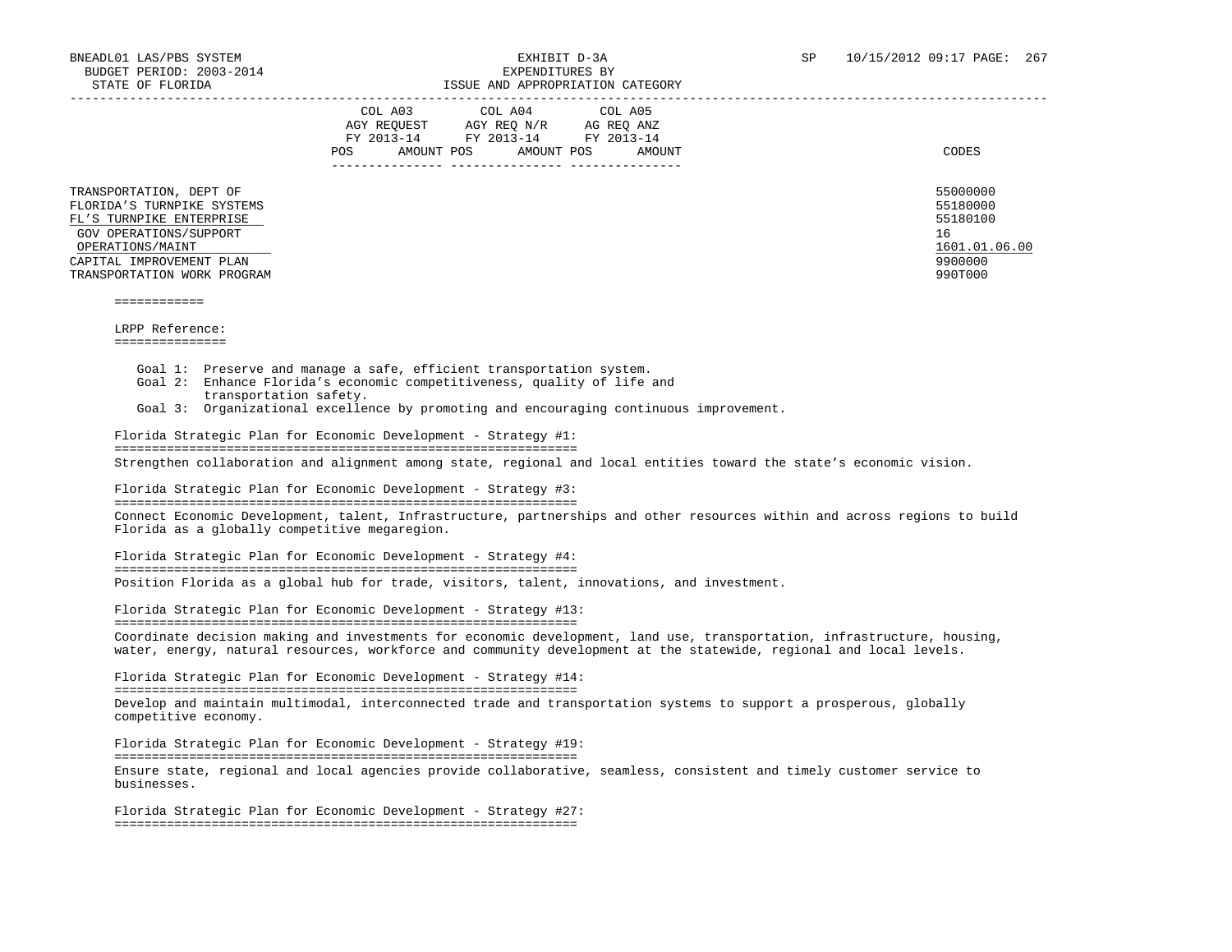|                                                                                                                                                                                            | COL A03<br>COL A05<br>COL A04<br>AGY REOUEST<br>AGY REO N/R<br>AG REO ANZ<br>FY 2013-14<br>FY 2013-14<br>FY 2013-14<br>AMOUNT POS<br>AMOUNT<br>POS<br>AMOUNT POS | CODES                                                                         |
|--------------------------------------------------------------------------------------------------------------------------------------------------------------------------------------------|------------------------------------------------------------------------------------------------------------------------------------------------------------------|-------------------------------------------------------------------------------|
| TRANSPORTATION, DEPT OF<br>FLORIDA'S TURNPIKE SYSTEMS<br>FL'S TURNPIKE ENTERPRISE<br>GOV OPERATIONS/SUPPORT<br>OPERATIONS/MAINT<br>CAPITAL IMPROVEMENT PLAN<br>TRANSPORTATION WORK PROGRAM |                                                                                                                                                                  | 55000000<br>55180000<br>55180100<br>16<br>1601.01.06.00<br>9900000<br>990T000 |

#### ============

LRPP Reference:

===============

Goal 1: Preserve and manage a safe, efficient transportation system.

- Goal 2: Enhance Florida's economic competitiveness, quality of life and transportation safety.
- Goal 3: Organizational excellence by promoting and encouraging continuous improvement.

 Florida Strategic Plan for Economic Development - Strategy #1: ============================================================== Strengthen collaboration and alignment among state, regional and local entities toward the state's economic vision.

 Florida Strategic Plan for Economic Development - Strategy #3: ============================================================== Connect Economic Development, talent, Infrastructure, partnerships and other resources within and across regions to build Florida as a globally competitive megaregion.

 Florida Strategic Plan for Economic Development - Strategy #4: ============================================================== Position Florida as a global hub for trade, visitors, talent, innovations, and investment.

 Florida Strategic Plan for Economic Development - Strategy #13: ============================================================== Coordinate decision making and investments for economic development, land use, transportation, infrastructure, housing, water, energy, natural resources, workforce and community development at the statewide, regional and local levels.

 Florida Strategic Plan for Economic Development - Strategy #14: ============================================================== Develop and maintain multimodal, interconnected trade and transportation systems to support a prosperous, globally competitive economy.

 Florida Strategic Plan for Economic Development - Strategy #19: ============================================================== Ensure state, regional and local agencies provide collaborative, seamless, consistent and timely customer service to businesses.

 Florida Strategic Plan for Economic Development - Strategy #27: ==============================================================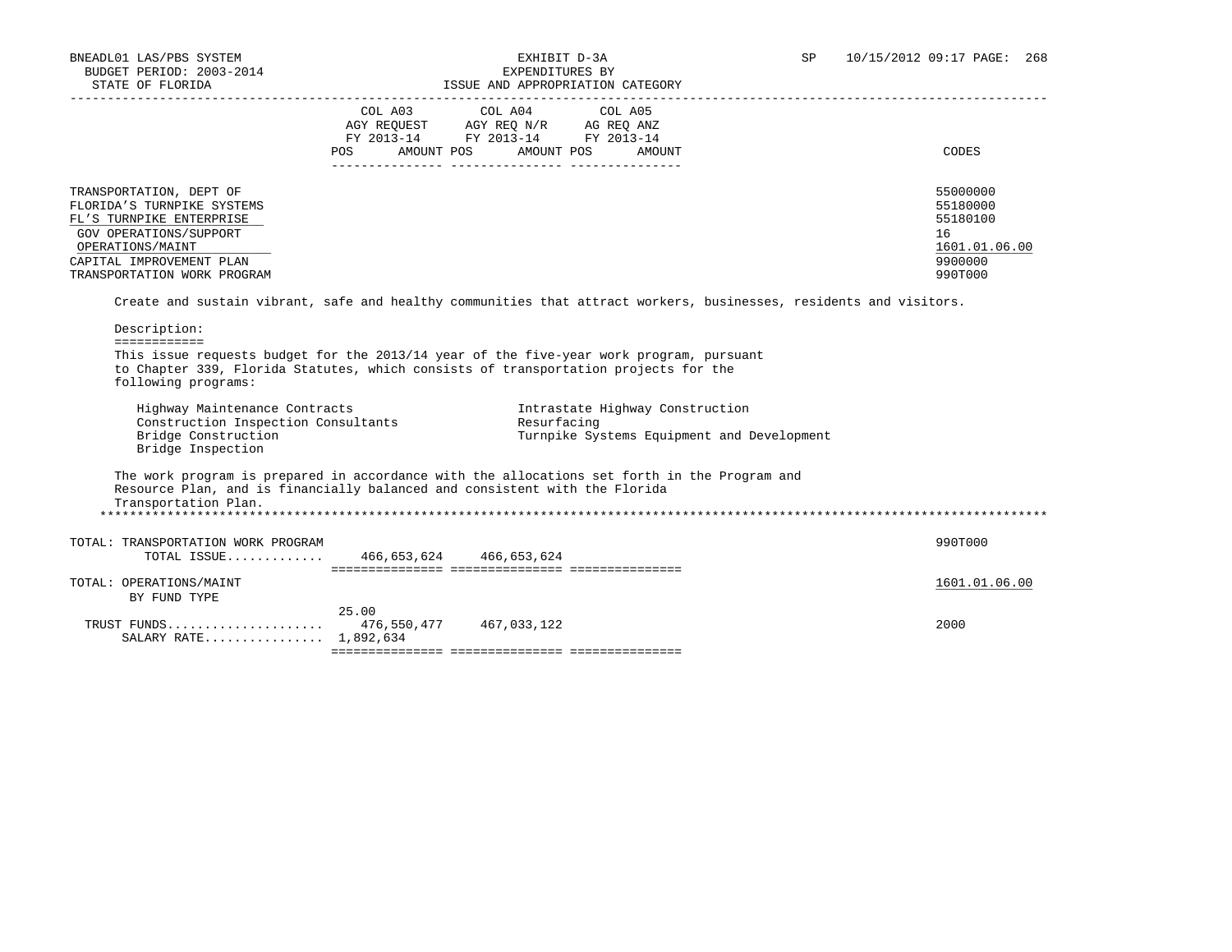## BNEADL01 LAS/PBS SYSTEM EXHIBIT D-3A SP 10/15/2012 09:17 PAGE: 268

| STATE OF FLORIDA                                                                                                                                                                                      |                                                                                                                                                                                                                                                                                                                                                    | ISSUE AND APPROPRIATION CATEGORY |                                                                               |                                                                               |
|-------------------------------------------------------------------------------------------------------------------------------------------------------------------------------------------------------|----------------------------------------------------------------------------------------------------------------------------------------------------------------------------------------------------------------------------------------------------------------------------------------------------------------------------------------------------|----------------------------------|-------------------------------------------------------------------------------|-------------------------------------------------------------------------------|
|                                                                                                                                                                                                       | $\begin{tabular}{lllllllllll} &\multicolumn{4}{c}{\text{COL A03}} &\multicolumn{4}{c}{\text{COL A04}} &\multicolumn{4}{c}{\text{COL A05}} \\ \multicolumn{4}{c}{\text{AGY REQUEST}} &\multicolumn{4}{c}{\text{AGY REQ N/R}} &\multicolumn{4}{c}{\text{AG REQ ANZ}} \end{tabular}$<br>FY 2013-14 FY 2013-14 FY 2013-14<br>POS AMOUNT POS AMOUNT POS |                                  | AMOUNT                                                                        | CODES                                                                         |
|                                                                                                                                                                                                       |                                                                                                                                                                                                                                                                                                                                                    |                                  |                                                                               |                                                                               |
| TRANSPORTATION, DEPT OF<br>FLORIDA'S TURNPIKE SYSTEMS<br>FL'S TURNPIKE ENTERPRISE<br>GOV OPERATIONS/SUPPORT<br>OPERATIONS/MAINT<br>CAPITAL IMPROVEMENT PLAN<br>TRANSPORTATION WORK PROGRAM            |                                                                                                                                                                                                                                                                                                                                                    |                                  |                                                                               | 55000000<br>55180000<br>55180100<br>16<br>1601.01.06.00<br>9900000<br>990T000 |
| Create and sustain vibrant, safe and healthy communities that attract workers, businesses, residents and visitors.                                                                                    |                                                                                                                                                                                                                                                                                                                                                    |                                  |                                                                               |                                                                               |
| Description:<br>============                                                                                                                                                                          |                                                                                                                                                                                                                                                                                                                                                    |                                  |                                                                               |                                                                               |
| This issue requests budget for the 2013/14 year of the five-year work program, pursuant<br>to Chapter 339, Florida Statutes, which consists of transportation projects for the<br>following programs: |                                                                                                                                                                                                                                                                                                                                                    |                                  |                                                                               |                                                                               |
| Highway Maintenance Contracts<br>Construction Inspection Consultants<br>Bridge Construction<br>Bridge Inspection                                                                                      |                                                                                                                                                                                                                                                                                                                                                    | Resurfacing                      | Intrastate Highway Construction<br>Turnpike Systems Equipment and Development |                                                                               |
| The work program is prepared in accordance with the allocations set forth in the Program and<br>Resource Plan, and is financially balanced and consistent with the Florida<br>Transportation Plan.    |                                                                                                                                                                                                                                                                                                                                                    |                                  |                                                                               |                                                                               |
| TOTAL: TRANSPORTATION WORK PROGRAM<br>TOTAL ISSUE 466,653,624 466,653,624                                                                                                                             |                                                                                                                                                                                                                                                                                                                                                    |                                  |                                                                               | 990T000                                                                       |
| TOTAL: OPERATIONS/MAINT<br>BY FUND TYPE                                                                                                                                                               |                                                                                                                                                                                                                                                                                                                                                    |                                  |                                                                               | 1601.01.06.00                                                                 |
| TRUST FUNDS 476,550,477 467,033,122<br>SALARY RATE 1,892,634                                                                                                                                          | 25.00                                                                                                                                                                                                                                                                                                                                              |                                  |                                                                               | 2000                                                                          |
|                                                                                                                                                                                                       |                                                                                                                                                                                                                                                                                                                                                    |                                  |                                                                               |                                                                               |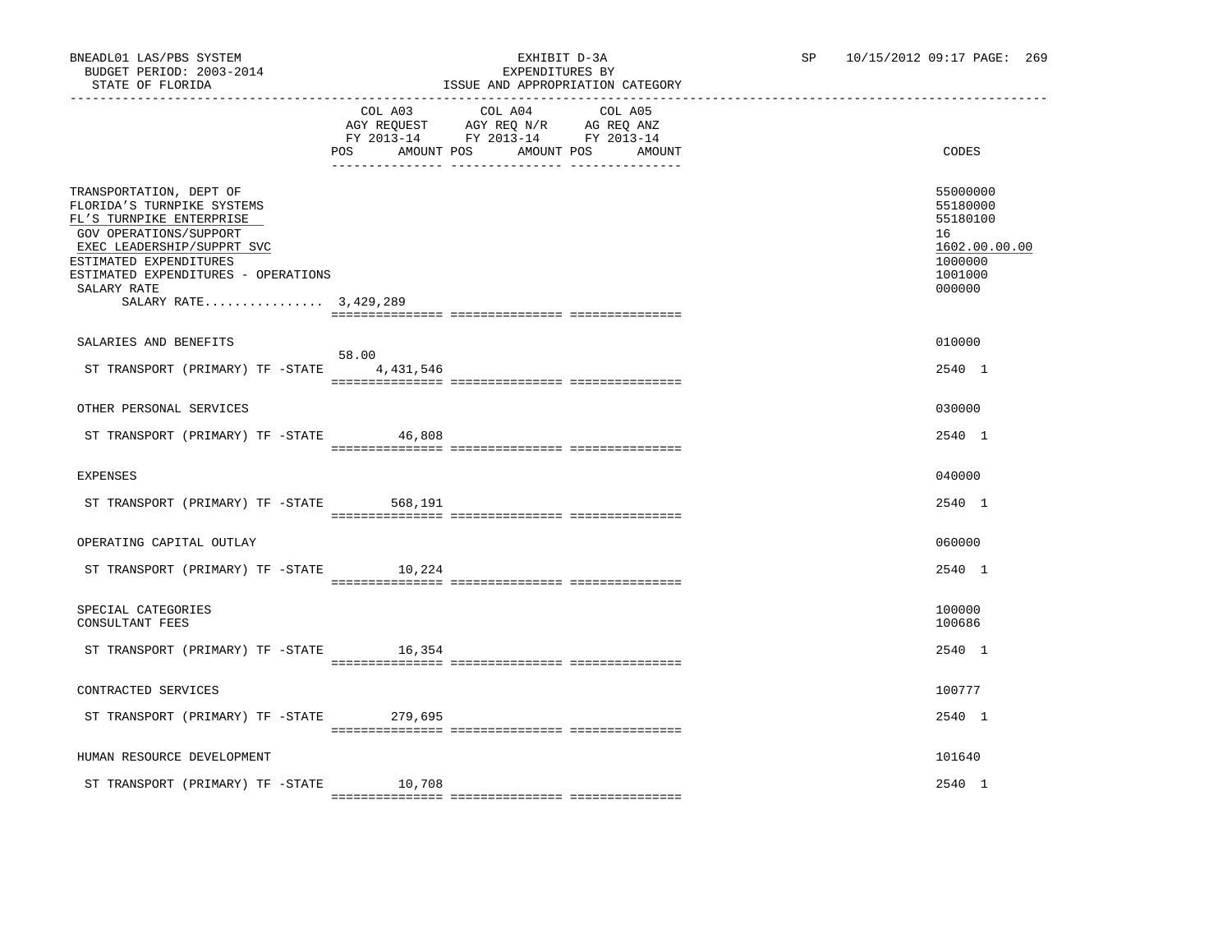|                                                                                                                                                                                                                                                    | COL A03<br>AMOUNT POS<br>POS DO | COL A04<br>AGY REQUEST AGY REQ N/R AG REQ ANZ<br>FY 2013-14 FY 2013-14 FY 2013-14<br>AMOUNT POS | COL A05<br>AMOUNT | CODES                                                                                   |
|----------------------------------------------------------------------------------------------------------------------------------------------------------------------------------------------------------------------------------------------------|---------------------------------|-------------------------------------------------------------------------------------------------|-------------------|-----------------------------------------------------------------------------------------|
| TRANSPORTATION, DEPT OF<br>FLORIDA'S TURNPIKE SYSTEMS<br>FL'S TURNPIKE ENTERPRISE<br>GOV OPERATIONS/SUPPORT<br>EXEC LEADERSHIP/SUPPRT SVC<br>ESTIMATED EXPENDITURES<br>ESTIMATED EXPENDITURES - OPERATIONS<br>SALARY RATE<br>SALARY RATE 3,429,289 |                                 |                                                                                                 |                   | 55000000<br>55180000<br>55180100<br>16<br>1602.00.00.00<br>1000000<br>1001000<br>000000 |
|                                                                                                                                                                                                                                                    |                                 |                                                                                                 |                   |                                                                                         |
| SALARIES AND BENEFITS                                                                                                                                                                                                                              | 58.00                           |                                                                                                 |                   | 010000                                                                                  |
| ST TRANSPORT (PRIMARY) TF -STATE                                                                                                                                                                                                                   | 4,431,546                       |                                                                                                 |                   | 2540 1                                                                                  |
|                                                                                                                                                                                                                                                    |                                 |                                                                                                 |                   |                                                                                         |
| OTHER PERSONAL SERVICES                                                                                                                                                                                                                            |                                 |                                                                                                 |                   | 030000                                                                                  |
|                                                                                                                                                                                                                                                    |                                 |                                                                                                 |                   |                                                                                         |
| ST TRANSPORT (PRIMARY) TF -STATE 46,808                                                                                                                                                                                                            |                                 |                                                                                                 |                   | 2540 1                                                                                  |
|                                                                                                                                                                                                                                                    |                                 |                                                                                                 |                   |                                                                                         |
| <b>EXPENSES</b>                                                                                                                                                                                                                                    |                                 |                                                                                                 |                   | 040000                                                                                  |
| ST TRANSPORT (PRIMARY) TF -STATE 568,191                                                                                                                                                                                                           |                                 |                                                                                                 |                   | 2540 1                                                                                  |
|                                                                                                                                                                                                                                                    |                                 |                                                                                                 |                   |                                                                                         |
| OPERATING CAPITAL OUTLAY                                                                                                                                                                                                                           |                                 |                                                                                                 |                   | 060000                                                                                  |
| ST TRANSPORT (PRIMARY) TF -STATE 10,224                                                                                                                                                                                                            |                                 |                                                                                                 |                   | 2540 1                                                                                  |
|                                                                                                                                                                                                                                                    |                                 |                                                                                                 |                   |                                                                                         |
| SPECIAL CATEGORIES<br>CONSULTANT FEES                                                                                                                                                                                                              |                                 |                                                                                                 |                   | 100000<br>100686                                                                        |
| ST TRANSPORT (PRIMARY) TF -STATE 16,354                                                                                                                                                                                                            |                                 |                                                                                                 |                   | 2540 1                                                                                  |
|                                                                                                                                                                                                                                                    |                                 |                                                                                                 |                   |                                                                                         |
| CONTRACTED SERVICES                                                                                                                                                                                                                                |                                 |                                                                                                 |                   | 100777                                                                                  |
|                                                                                                                                                                                                                                                    |                                 |                                                                                                 |                   |                                                                                         |
| ST TRANSPORT (PRIMARY) TF -STATE 279,695                                                                                                                                                                                                           |                                 |                                                                                                 |                   | 2540 1                                                                                  |
|                                                                                                                                                                                                                                                    |                                 |                                                                                                 |                   |                                                                                         |
| HUMAN RESOURCE DEVELOPMENT                                                                                                                                                                                                                         |                                 |                                                                                                 |                   | 101640                                                                                  |
| ST TRANSPORT (PRIMARY) TF -STATE                                                                                                                                                                                                                   | 10,708                          |                                                                                                 |                   | 2540 1                                                                                  |
|                                                                                                                                                                                                                                                    |                                 |                                                                                                 |                   |                                                                                         |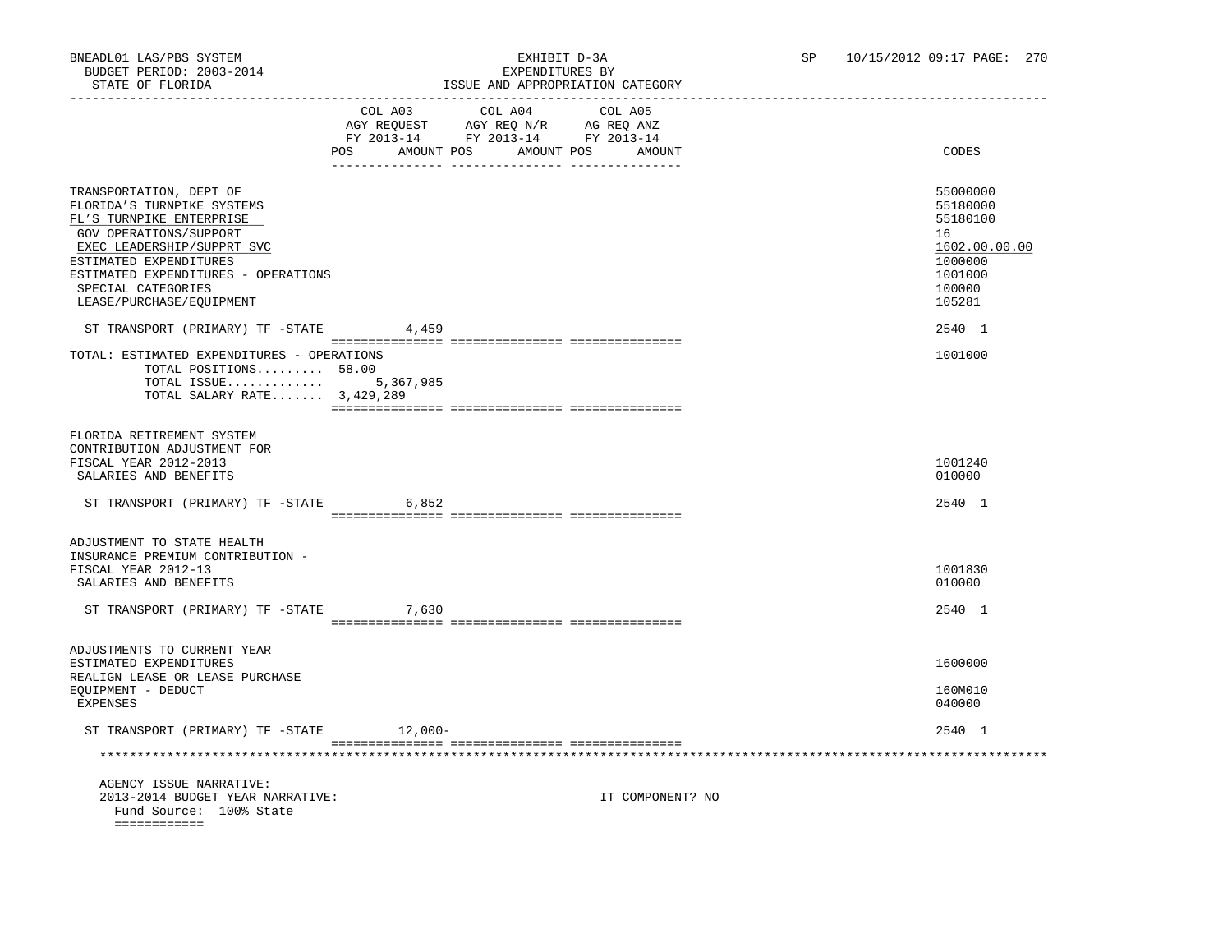### BNEADL01 LAS/PBS SYSTEM EXHIBIT D-3A SP 10/15/2012 09:17 PAGE: 270 ISSUE AND APPROPRIATION CATEGORY

|                                                                                                                                                                                                                                                              | POS AMOUNT POS AMOUNT POS AMOUNT | COL A03 COL A04 COL A05<br>AGY REQUEST AGY REQ N/R AG REQ ANZ<br>FY 2013-14 FY 2013-14 FY 2013-14 |                  | CODES                                                                                             |
|--------------------------------------------------------------------------------------------------------------------------------------------------------------------------------------------------------------------------------------------------------------|----------------------------------|---------------------------------------------------------------------------------------------------|------------------|---------------------------------------------------------------------------------------------------|
| TRANSPORTATION, DEPT OF<br>FLORIDA'S TURNPIKE SYSTEMS<br>FL'S TURNPIKE ENTERPRISE<br>GOV OPERATIONS/SUPPORT<br>EXEC LEADERSHIP/SUPPRT SVC<br>ESTIMATED EXPENDITURES<br>ESTIMATED EXPENDITURES - OPERATIONS<br>SPECIAL CATEGORIES<br>LEASE/PURCHASE/EQUIPMENT |                                  |                                                                                                   |                  | 55000000<br>55180000<br>55180100<br>16<br>1602.00.00.00<br>1000000<br>1001000<br>100000<br>105281 |
| ST TRANSPORT (PRIMARY) TF -STATE 4,459                                                                                                                                                                                                                       |                                  |                                                                                                   |                  | 2540 1                                                                                            |
| TOTAL: ESTIMATED EXPENDITURES - OPERATIONS<br>TOTAL POSITIONS 58.00<br>TOTAL ISSUE<br>TOTAL SALARY RATE $3,429,289$                                                                                                                                          | 5,367,985                        |                                                                                                   |                  | 1001000                                                                                           |
| FLORIDA RETIREMENT SYSTEM<br>CONTRIBUTION ADJUSTMENT FOR<br>FISCAL YEAR 2012-2013<br>SALARIES AND BENEFITS                                                                                                                                                   |                                  |                                                                                                   |                  | 1001240<br>010000                                                                                 |
| ST TRANSPORT (PRIMARY) TF -STATE 6,852                                                                                                                                                                                                                       |                                  |                                                                                                   |                  | 2540 1                                                                                            |
| ADJUSTMENT TO STATE HEALTH<br>INSURANCE PREMIUM CONTRIBUTION -<br>FISCAL YEAR 2012-13<br>SALARIES AND BENEFITS<br>ST TRANSPORT (PRIMARY) TF -STATE 7,630                                                                                                     |                                  |                                                                                                   |                  | 1001830<br>010000<br>2540 1                                                                       |
|                                                                                                                                                                                                                                                              |                                  |                                                                                                   |                  |                                                                                                   |
| ADJUSTMENTS TO CURRENT YEAR<br>ESTIMATED EXPENDITURES<br>REALIGN LEASE OR LEASE PURCHASE<br>EQUIPMENT - DEDUCT                                                                                                                                               |                                  |                                                                                                   |                  | 1600000<br>160M010                                                                                |
| EXPENSES                                                                                                                                                                                                                                                     |                                  |                                                                                                   |                  | 040000                                                                                            |
| ST TRANSPORT (PRIMARY) TF -STATE 12,000-                                                                                                                                                                                                                     |                                  |                                                                                                   |                  | 2540 1                                                                                            |
|                                                                                                                                                                                                                                                              |                                  |                                                                                                   |                  |                                                                                                   |
| AGENCY ISSUE NARRATIVE:<br>2013-2014 BUDGET YEAR NARRATIVE:<br>Fund Source: 100% State<br>============                                                                                                                                                       |                                  |                                                                                                   | IT COMPONENT? NO |                                                                                                   |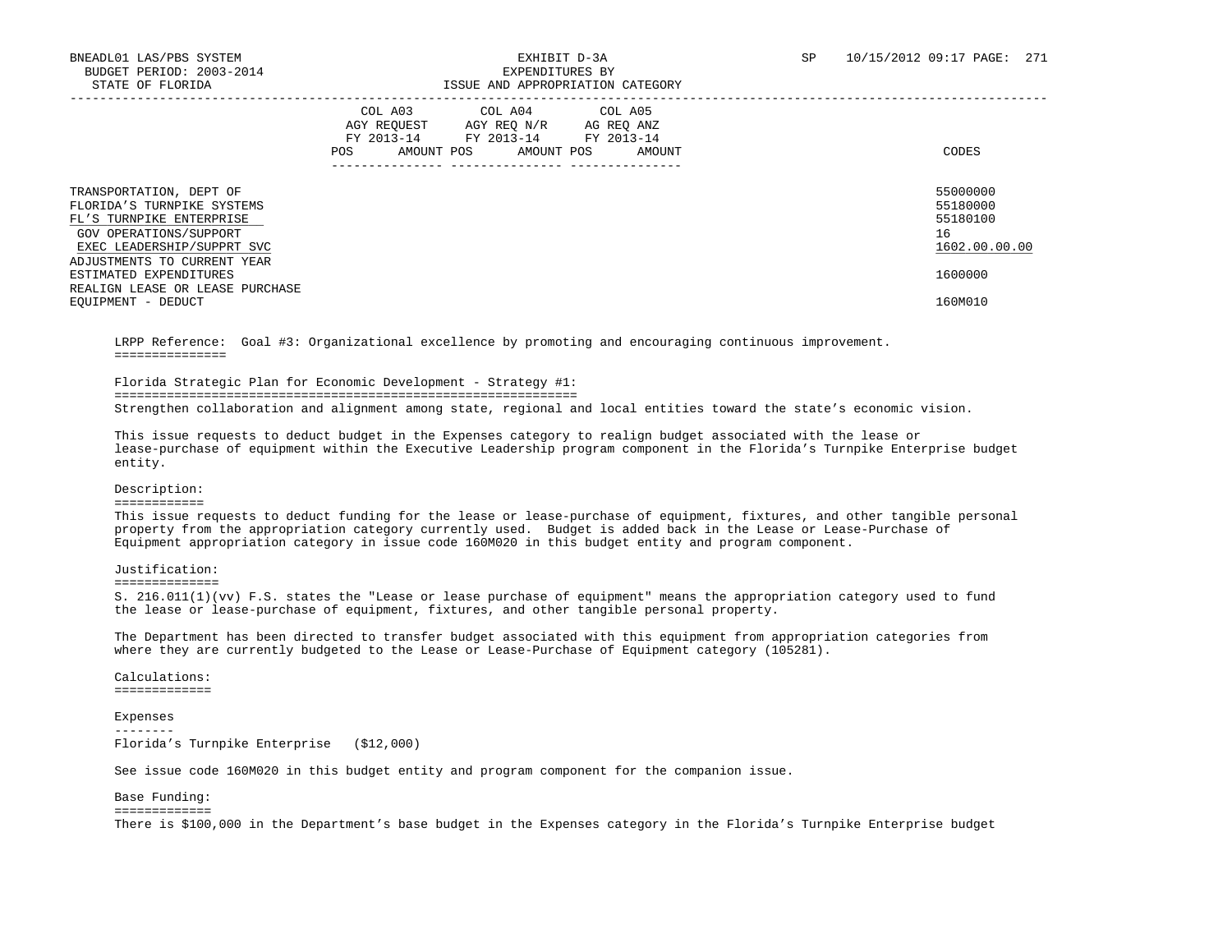|                                                                                                                                           | COL A03<br>COL A04<br>COL A05<br>AGY REOUEST<br>AGY REO N/R<br>AG REO ANZ<br>FY 2013-14<br>FY 2013-14<br>FY 2013-14<br>AMOUNT POS<br><b>POS</b><br>AMOUNT POS<br>AMOUNT | CODES                                                   |
|-------------------------------------------------------------------------------------------------------------------------------------------|-------------------------------------------------------------------------------------------------------------------------------------------------------------------------|---------------------------------------------------------|
| TRANSPORTATION, DEPT OF<br>FLORIDA'S TURNPIKE SYSTEMS<br>FL'S TURNPIKE ENTERPRISE<br>GOV OPERATIONS/SUPPORT<br>EXEC LEADERSHIP/SUPPRT SVC |                                                                                                                                                                         | 55000000<br>55180000<br>55180100<br>16<br>1602.00.00.00 |
| ADJUSTMENTS TO CURRENT YEAR<br>ESTIMATED EXPENDITURES<br>REALIGN LEASE OR LEASE PURCHASE<br>EQUIPMENT - DEDUCT                            |                                                                                                                                                                         | 1600000<br>160M010                                      |

 LRPP Reference: Goal #3: Organizational excellence by promoting and encouraging continuous improvement. ===============

Florida Strategic Plan for Economic Development - Strategy #1:

==============================================================

Strengthen collaboration and alignment among state, regional and local entities toward the state's economic vision.

 This issue requests to deduct budget in the Expenses category to realign budget associated with the lease or lease-purchase of equipment within the Executive Leadership program component in the Florida's Turnpike Enterprise budget entity.

#### Description:

#### ============

 This issue requests to deduct funding for the lease or lease-purchase of equipment, fixtures, and other tangible personal property from the appropriation category currently used. Budget is added back in the Lease or Lease-Purchase of Equipment appropriation category in issue code 160M020 in this budget entity and program component.

#### Justification:

==============

 S. 216.011(1)(vv) F.S. states the "Lease or lease purchase of equipment" means the appropriation category used to fund the lease or lease-purchase of equipment, fixtures, and other tangible personal property.

 The Department has been directed to transfer budget associated with this equipment from appropriation categories from where they are currently budgeted to the Lease or Lease-Purchase of Equipment category (105281).

 Calculations: =============

 Expenses -------- Florida's Turnpike Enterprise (\$12,000)

See issue code 160M020 in this budget entity and program component for the companion issue.

#### Base Funding: =============

There is \$100,000 in the Department's base budget in the Expenses category in the Florida's Turnpike Enterprise budget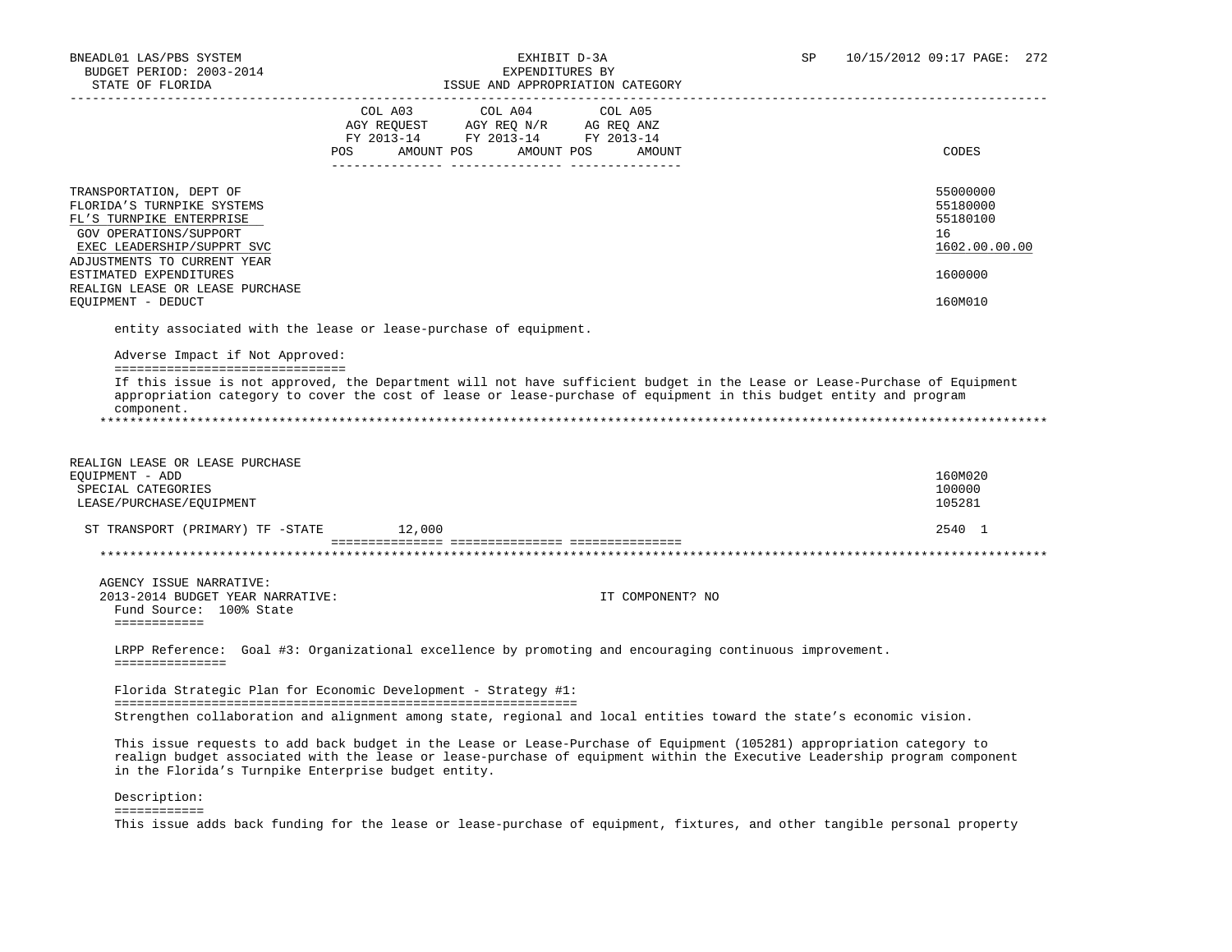## BNEADL01 LAS/PBS SYSTEM EXHIBIT D-3A SP 10/15/2012 09:17 PAGE: 272

| STATE OF FLORIDA                                                 |                                                                                                                                                  | ISSUE AND APPROPRIATION CATEGORY                                                                                          |                   |
|------------------------------------------------------------------|--------------------------------------------------------------------------------------------------------------------------------------------------|---------------------------------------------------------------------------------------------------------------------------|-------------------|
|                                                                  | COL A04<br>COL A03                                                                                                                               | COL A05                                                                                                                   |                   |
|                                                                  | $\begin{tabular}{lllllll} AGY & \texttt{REQUEST} & \texttt{AGY REQ N/R} & \texttt{AG REQ ANZ} \end{tabular}$<br>FY 2013-14 FY 2013-14 FY 2013-14 |                                                                                                                           |                   |
|                                                                  | AMOUNT POS AMOUNT POS<br>POS FOR                                                                                                                 | AMOUNT                                                                                                                    | CODES             |
|                                                                  |                                                                                                                                                  |                                                                                                                           |                   |
| TRANSPORTATION, DEPT OF                                          |                                                                                                                                                  |                                                                                                                           | 55000000          |
| FLORIDA'S TURNPIKE SYSTEMS                                       |                                                                                                                                                  |                                                                                                                           | 55180000          |
| FL'S TURNPIKE ENTERPRISE                                         |                                                                                                                                                  |                                                                                                                           | 55180100          |
| GOV OPERATIONS/SUPPORT                                           |                                                                                                                                                  |                                                                                                                           | 16                |
| EXEC LEADERSHIP/SUPPRT SVC                                       |                                                                                                                                                  |                                                                                                                           | 1602.00.00.00     |
| ADJUSTMENTS TO CURRENT YEAR                                      |                                                                                                                                                  |                                                                                                                           |                   |
| ESTIMATED EXPENDITURES                                           |                                                                                                                                                  |                                                                                                                           | 1600000           |
| REALIGN LEASE OR LEASE PURCHASE<br>EQUIPMENT - DEDUCT            |                                                                                                                                                  |                                                                                                                           | 160M010           |
|                                                                  |                                                                                                                                                  |                                                                                                                           |                   |
| entity associated with the lease or lease-purchase of equipment. |                                                                                                                                                  |                                                                                                                           |                   |
| Adverse Impact if Not Approved:                                  |                                                                                                                                                  |                                                                                                                           |                   |
| =================================                                |                                                                                                                                                  |                                                                                                                           |                   |
|                                                                  |                                                                                                                                                  | If this issue is not approved, the Department will not have sufficient budget in the Lease or Lease-Purchase of Equipment |                   |
|                                                                  |                                                                                                                                                  | appropriation category to cover the cost of lease or lease-purchase of equipment in this budget entity and program        |                   |
| component.                                                       |                                                                                                                                                  |                                                                                                                           |                   |
|                                                                  |                                                                                                                                                  |                                                                                                                           |                   |
|                                                                  |                                                                                                                                                  |                                                                                                                           |                   |
| REALIGN LEASE OR LEASE PURCHASE                                  |                                                                                                                                                  |                                                                                                                           |                   |
| EQUIPMENT - ADD                                                  |                                                                                                                                                  |                                                                                                                           | 160M020<br>100000 |
| SPECIAL CATEGORIES<br>LEASE/PURCHASE/EQUIPMENT                   |                                                                                                                                                  |                                                                                                                           | 105281            |
|                                                                  |                                                                                                                                                  |                                                                                                                           |                   |
| ST TRANSPORT (PRIMARY) TF -STATE                                 | 12,000                                                                                                                                           |                                                                                                                           | 2540 1            |
|                                                                  |                                                                                                                                                  |                                                                                                                           |                   |
| AGENCY ISSUE NARRATIVE:                                          |                                                                                                                                                  |                                                                                                                           |                   |
| 2013-2014 BUDGET YEAR NARRATIVE:                                 |                                                                                                                                                  | IT COMPONENT? NO                                                                                                          |                   |
| Fund Source: 100% State                                          |                                                                                                                                                  |                                                                                                                           |                   |
| ============                                                     |                                                                                                                                                  |                                                                                                                           |                   |
|                                                                  |                                                                                                                                                  | LRPP Reference: Goal #3: Organizational excellence by promoting and encouraging continuous improvement.                   |                   |
| ===============                                                  |                                                                                                                                                  |                                                                                                                           |                   |
| Florida Strategic Plan for Economic Development - Strategy #1:   |                                                                                                                                                  |                                                                                                                           |                   |
|                                                                  |                                                                                                                                                  | Strengthen collaboration and alignment among state, regional and local entities toward the state's economic vision.       |                   |
|                                                                  |                                                                                                                                                  |                                                                                                                           |                   |
|                                                                  |                                                                                                                                                  | This issue requests to add back budget in the Lease or Lease-Purchase of Equipment (105281) appropriation category to     |                   |
|                                                                  |                                                                                                                                                  | realign budget associated with the lease or lease-purchase of equipment within the Executive Leadership program component |                   |
| in the Florida's Turnpike Enterprise budget entity.              |                                                                                                                                                  |                                                                                                                           |                   |

Description:

============

This issue adds back funding for the lease or lease-purchase of equipment, fixtures, and other tangible personal property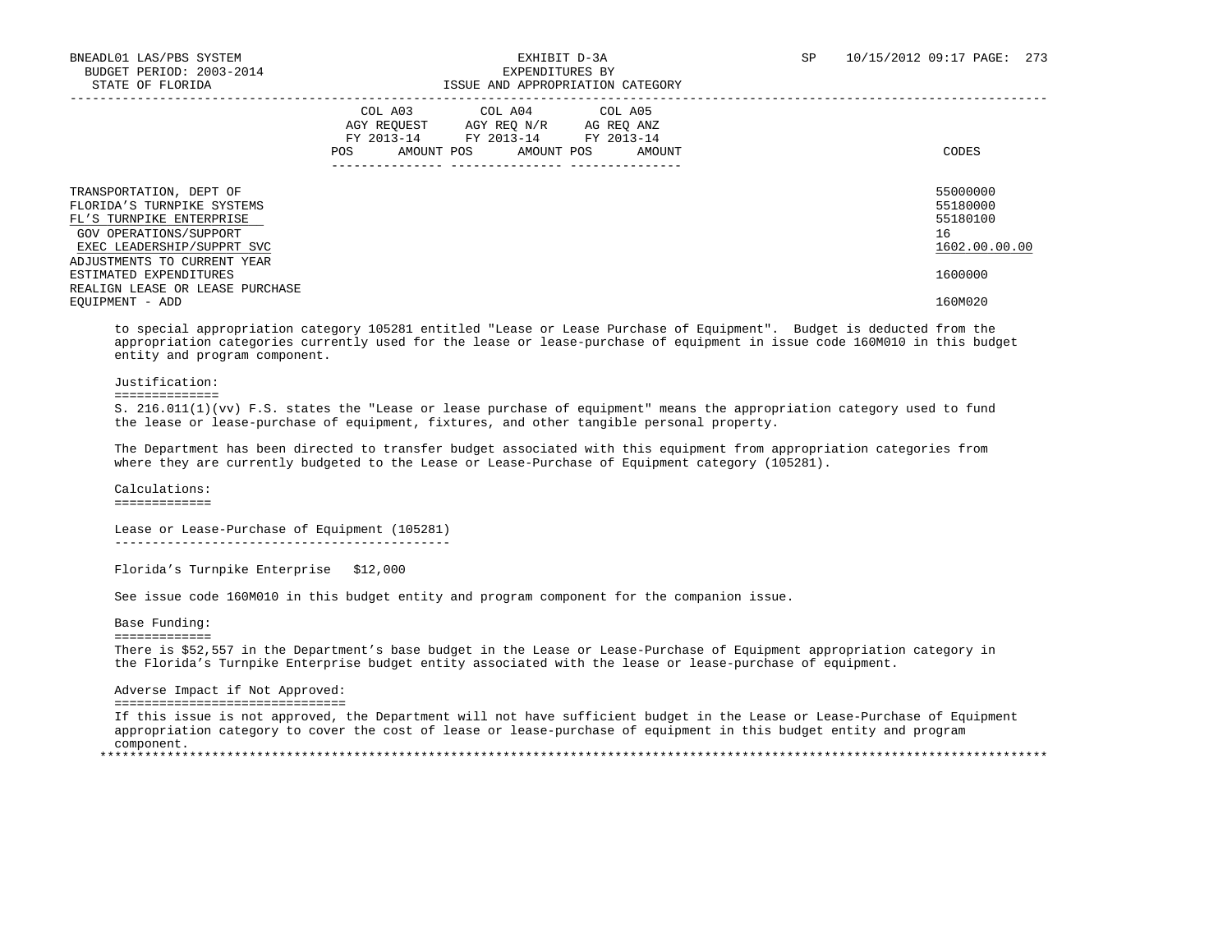|                                                                                                                                           | COL A03<br>COL A04<br>COL A05<br>AGY REOUEST<br>AG REO ANZ<br>AGY REO N/R<br>FY 2013-14<br>FY 2013-14<br>FY 2013-14<br>AMOUNT POS<br>AMOUNT POS<br>POS<br>AMOUNT | CODES                                                   |
|-------------------------------------------------------------------------------------------------------------------------------------------|------------------------------------------------------------------------------------------------------------------------------------------------------------------|---------------------------------------------------------|
| TRANSPORTATION, DEPT OF<br>FLORIDA'S TURNPIKE SYSTEMS<br>FL'S TURNPIKE ENTERPRISE<br>GOV OPERATIONS/SUPPORT<br>EXEC LEADERSHIP/SUPPRT SVC |                                                                                                                                                                  | 55000000<br>55180000<br>55180100<br>16<br>1602.00.00.00 |
| ADJUSTMENTS TO CURRENT YEAR<br>ESTIMATED EXPENDITURES<br>REALIGN LEASE OR LEASE PURCHASE                                                  |                                                                                                                                                                  | 1600000                                                 |
| EOUIPMENT - ADD                                                                                                                           |                                                                                                                                                                  | 160M020                                                 |

 to special appropriation category 105281 entitled "Lease or Lease Purchase of Equipment". Budget is deducted from the appropriation categories currently used for the lease or lease-purchase of equipment in issue code 160M010 in this budget entity and program component.

#### Justification:

#### ==============

 S. 216.011(1)(vv) F.S. states the "Lease or lease purchase of equipment" means the appropriation category used to fund the lease or lease-purchase of equipment, fixtures, and other tangible personal property.

 The Department has been directed to transfer budget associated with this equipment from appropriation categories from where they are currently budgeted to the Lease or Lease-Purchase of Equipment category (105281).

 Calculations: =============

 Lease or Lease-Purchase of Equipment (105281) ---------------------------------------------

Florida's Turnpike Enterprise \$12,000

See issue code 160M010 in this budget entity and program component for the companion issue.

Base Funding:

=============

 There is \$52,557 in the Department's base budget in the Lease or Lease-Purchase of Equipment appropriation category in the Florida's Turnpike Enterprise budget entity associated with the lease or lease-purchase of equipment.

#### Adverse Impact if Not Approved:

===============================

 If this issue is not approved, the Department will not have sufficient budget in the Lease or Lease-Purchase of Equipment appropriation category to cover the cost of lease or lease-purchase of equipment in this budget entity and program component. \*\*\*\*\*\*\*\*\*\*\*\*\*\*\*\*\*\*\*\*\*\*\*\*\*\*\*\*\*\*\*\*\*\*\*\*\*\*\*\*\*\*\*\*\*\*\*\*\*\*\*\*\*\*\*\*\*\*\*\*\*\*\*\*\*\*\*\*\*\*\*\*\*\*\*\*\*\*\*\*\*\*\*\*\*\*\*\*\*\*\*\*\*\*\*\*\*\*\*\*\*\*\*\*\*\*\*\*\*\*\*\*\*\*\*\*\*\*\*\*\*\*\*\*\*\*\*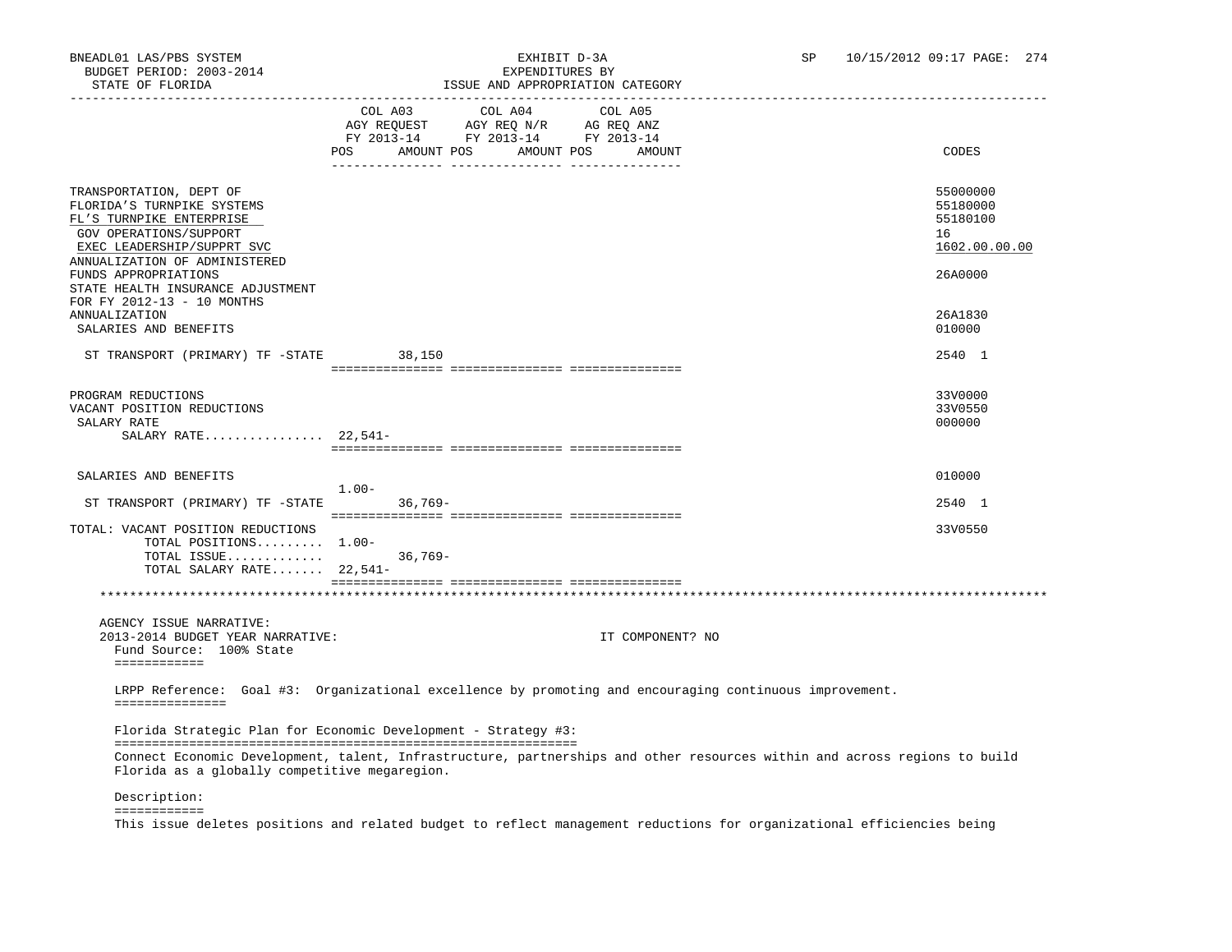| STATE OF FLORIDA                                                                                                                                                           | ISSUE AND APPROPRIATION CATEGORY                                                                                                                                                                                                                                               |                                                         |
|----------------------------------------------------------------------------------------------------------------------------------------------------------------------------|--------------------------------------------------------------------------------------------------------------------------------------------------------------------------------------------------------------------------------------------------------------------------------|---------------------------------------------------------|
|                                                                                                                                                                            | COL A03 COL A04<br>COL A05<br>$\begin{tabular}{lllllll} AGY & \texttt{REQUEST} & \texttt{AGY} & \texttt{REG} & \texttt{N/R} & \texttt{AG} & \texttt{REQ} & \texttt{ANZ} \end{tabular}$<br>FY 2013-14 FY 2013-14 FY 2013-14<br>AMOUNT POS<br>AMOUNT POS<br><b>POS</b><br>AMOUNT | CODES                                                   |
| TRANSPORTATION, DEPT OF<br>FLORIDA'S TURNPIKE SYSTEMS<br>FL'S TURNPIKE ENTERPRISE<br>GOV OPERATIONS/SUPPORT<br>EXEC LEADERSHIP/SUPPRT SVC<br>ANNUALIZATION OF ADMINISTERED |                                                                                                                                                                                                                                                                                | 55000000<br>55180000<br>55180100<br>16<br>1602.00.00.00 |
| FUNDS APPROPRIATIONS<br>STATE HEALTH INSURANCE ADJUSTMENT<br>FOR FY 2012-13 - 10 MONTHS                                                                                    |                                                                                                                                                                                                                                                                                | 26A0000                                                 |
| <b>ANNUALIZATION</b><br>SALARIES AND BENEFITS                                                                                                                              |                                                                                                                                                                                                                                                                                | 26A1830<br>010000                                       |
| ST TRANSPORT (PRIMARY) TF -STATE 38,150                                                                                                                                    |                                                                                                                                                                                                                                                                                | 2540 1                                                  |
| PROGRAM REDUCTIONS<br>VACANT POSITION REDUCTIONS<br>SALARY RATE<br>SALARY RATE $22,541-$                                                                                   |                                                                                                                                                                                                                                                                                | 33V0000<br>33V0550<br>000000                            |
|                                                                                                                                                                            |                                                                                                                                                                                                                                                                                |                                                         |
| SALARIES AND BENEFITS                                                                                                                                                      | $1.00 -$                                                                                                                                                                                                                                                                       | 010000                                                  |
| ST TRANSPORT (PRIMARY) TF -STATE 36,769-<br>TOTAL: VACANT POSITION REDUCTIONS                                                                                              |                                                                                                                                                                                                                                                                                | 2540 1<br>33V0550                                       |
| TOTAL POSITIONS 1.00-<br>TOTAL ISSUE<br>TOTAL SALARY RATE 22,541-                                                                                                          | $36,769-$                                                                                                                                                                                                                                                                      |                                                         |
|                                                                                                                                                                            |                                                                                                                                                                                                                                                                                |                                                         |
| AGENCY ISSUE NARRATIVE:<br>2013-2014 BUDGET YEAR NARRATIVE:<br>Fund Source: 100% State<br>============                                                                     | IT COMPONENT? NO                                                                                                                                                                                                                                                               |                                                         |
| ===============                                                                                                                                                            | LRPP Reference: Goal #3: Organizational excellence by promoting and encouraging continuous improvement.                                                                                                                                                                        |                                                         |
|                                                                                                                                                                            | Florida Strategic Plan for Economic Development - Strategy #3:                                                                                                                                                                                                                 |                                                         |
| Florida as a globally competitive megaregion.                                                                                                                              | Connect Economic Development, talent, Infrastructure, partnerships and other resources within and across regions to build                                                                                                                                                      |                                                         |
|                                                                                                                                                                            |                                                                                                                                                                                                                                                                                |                                                         |

 Description: ============

This issue deletes positions and related budget to reflect management reductions for organizational efficiencies being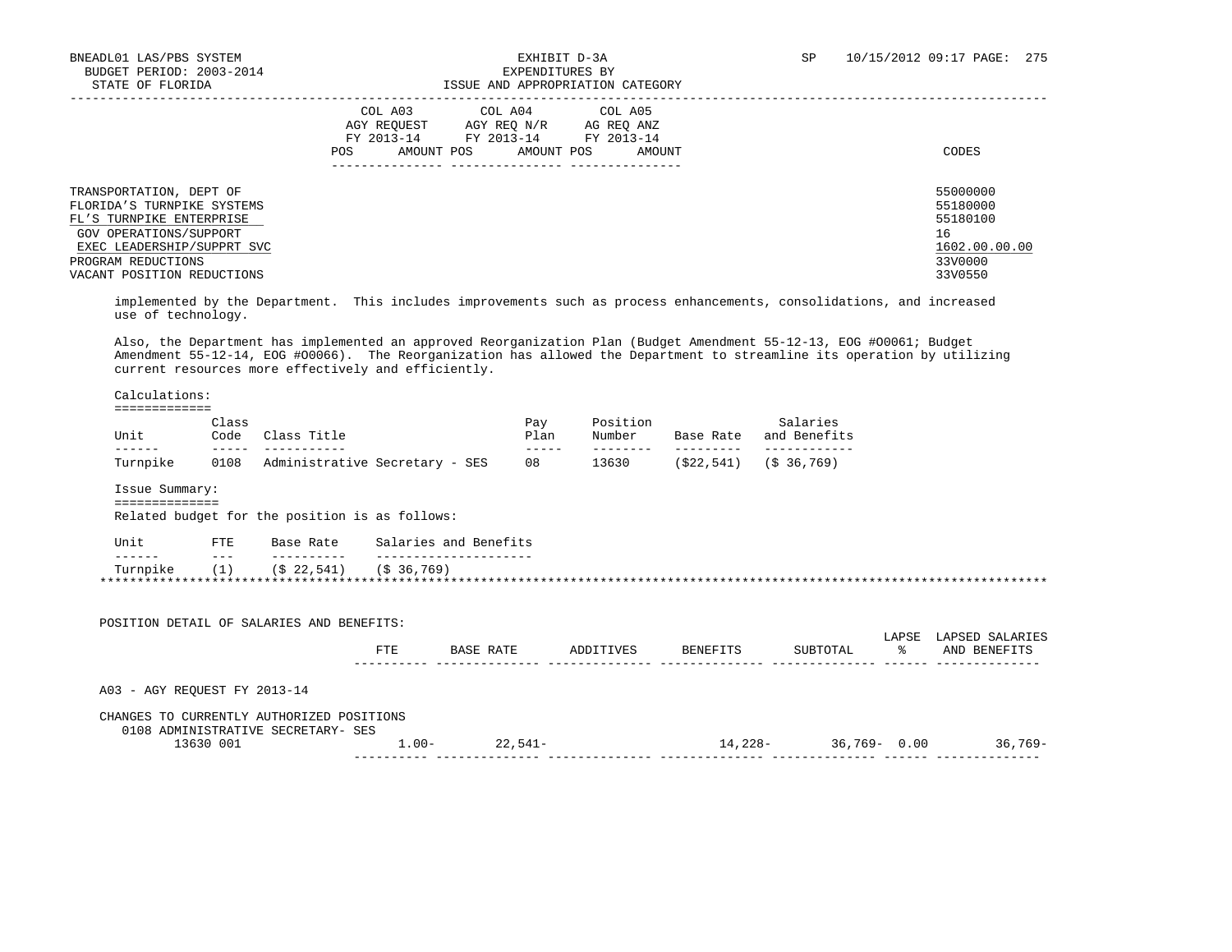### BNEADL01 LAS/PBS SYSTEM  $\,$  EXHIBIT D-3A SP 10/15/2012 09:17 PAGE: 275 BUDGET PERIOD: 2003-2014 SP EXPENDITURES BY ISSUE AND APPROPRIATION CATEGORY

|                                                                                                                                           | COL A03<br>COL A04<br>COL A05<br>AGY REOUEST<br>AGY REO N/R<br>AG REO ANZ<br>FY 2013-14<br>FY 2013-14<br>FY 2013-14<br>AMOUNT POS<br>POS.<br>AMOUNT POS<br>AMOUNT | CODES                                                   |
|-------------------------------------------------------------------------------------------------------------------------------------------|-------------------------------------------------------------------------------------------------------------------------------------------------------------------|---------------------------------------------------------|
| TRANSPORTATION, DEPT OF<br>FLORIDA'S TURNPIKE SYSTEMS<br>FL'S TURNPIKE ENTERPRISE<br>GOV OPERATIONS/SUPPORT<br>EXEC LEADERSHIP/SUPPRT SVC |                                                                                                                                                                   | 55000000<br>55180000<br>55180100<br>16<br>1602.00.00.00 |
| PROGRAM REDUCTIONS<br>VACANT POSITION REDUCTIONS                                                                                          |                                                                                                                                                                   | 33V0000<br>33V0550                                      |

 implemented by the Department. This includes improvements such as process enhancements, consolidations, and increased use of technology.

 Also, the Department has implemented an approved Reorganization Plan (Budget Amendment 55-12-13, EOG #O0061; Budget Amendment 55-12-14, EOG #O0066). The Reorganization has allowed the Department to streamline its operation by utilizing current resources more effectively and efficiently.

 Calculations: =============

| Unit     | Class<br>Code | Class Title                    | Pav<br>Plan |      | Base Rate  | Salaries<br>and Benefits |  |
|----------|---------------|--------------------------------|-------------|------|------------|--------------------------|--|
|          |               |                                | _ _ _       |      |            |                          |  |
| Turnpike | 0108          | Administrative Secretary - SES | 08          | 3630 | '\$22,541) | (S <sub>36,769)</sub>    |  |

Issue Summary:

==============

Related budget for the position is as follows:

| Unit     | FTE | Base Rate                  | Salaries and Benefits |
|----------|-----|----------------------------|-----------------------|
| ------   | ___ | __________                 |                       |
| Turnpike |     | $($ \$ 22,541) (\$ 36,769) |                       |
|          |     |                            |                       |

| POSITION DETAIL OF SALARIES AND BENEFITS:                                       |         |           |           |          |                 |            |                                 |
|---------------------------------------------------------------------------------|---------|-----------|-----------|----------|-----------------|------------|---------------------------------|
|                                                                                 | FTE     | BASE RATE | ADDITIVES | BENEFITS | SUBTOTAL        | LAPSE<br>ୁ | LAPSED SALARIES<br>AND BENEFITS |
| A03 - AGY REOUEST FY 2013-14                                                    |         |           |           |          |                 |            |                                 |
| CHANGES TO CURRENTLY AUTHORIZED POSITIONS<br>0108 ADMINISTRATIVE SECRETARY- SES |         |           |           |          |                 |            |                                 |
| 13630 001                                                                       | $1.00-$ | $22.541-$ |           | 14,228-  | $36,769 - 0.00$ |            | $36,769-$                       |
|                                                                                 |         |           |           |          |                 |            |                                 |